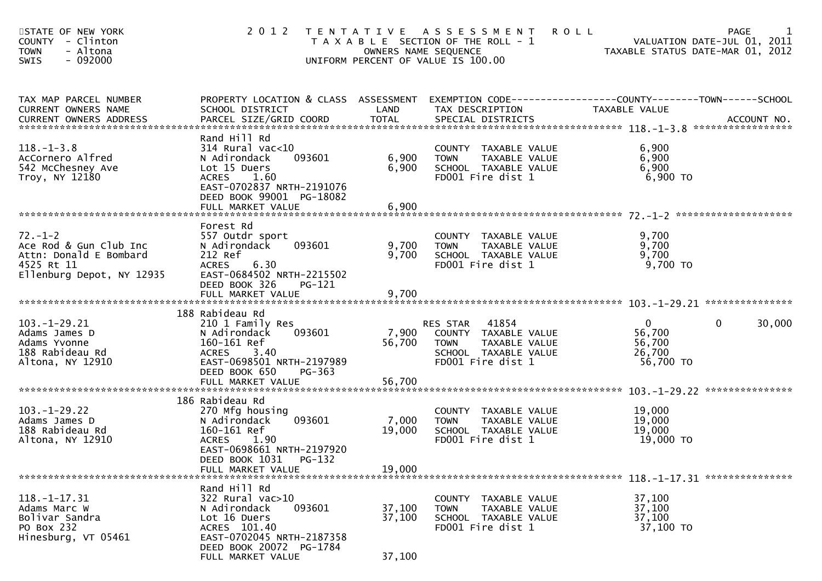| STATE OF NEW YORK<br>COUNTY - Clinton<br>- Altona<br>TOWN<br>- 092000<br>SWIS |  | 2012 TENTATIVE ASSESSMENT ROLL<br>T A X A B L E SECTION OF THE ROLL - 1<br>OWNERS NAME SEQUENCE<br>UNIFORM PERCENT OF VALUE IS 100.00 |  | PAGE<br>VALUATION DATE-JUL 01, 2011<br>TAXABLE STATUS DATE-MAR 01, 2012 |  |
|-------------------------------------------------------------------------------|--|---------------------------------------------------------------------------------------------------------------------------------------|--|-------------------------------------------------------------------------|--|
|-------------------------------------------------------------------------------|--|---------------------------------------------------------------------------------------------------------------------------------------|--|-------------------------------------------------------------------------|--|

| TAX MAP PARCEL NUMBER     | PROPERTY LOCATION & CLASS ASSESSMENT |        |                                                      |                |             |
|---------------------------|--------------------------------------|--------|------------------------------------------------------|----------------|-------------|
| CURRENT OWNERS NAME       | SCHOOL DISTRICT                      | LAND   | TAX DESCRIPTION                                      | TAXABLE VALUE  |             |
|                           |                                      |        |                                                      |                |             |
|                           | Rand Hill Rd                         |        |                                                      |                |             |
| $118. - 1 - 3.8$          | $314$ Rural vac< $10$                |        | COUNTY TAXABLE VALUE                                 | 6,900          |             |
| AcCornero Alfred          | 093601<br>N Adirondack               | 6,900  | <b>TOWN</b><br>TAXABLE VALUE                         | 6,900          |             |
| 542 McChesney Ave         | Lot 15 Duers                         | 6,900  | SCHOOL TAXABLE VALUE                                 | 6,900          |             |
| Troy, NY 12180            | <b>ACRES</b><br>1.60                 |        | FD001 Fire dist 1                                    | 6,900 ТО       |             |
|                           | EAST-0702837 NRTH-2191076            |        |                                                      |                |             |
|                           | DEED BOOK 99001 PG-18082             |        |                                                      |                |             |
|                           | FULL MARKET VALUE                    | 6,900  |                                                      |                |             |
|                           |                                      |        |                                                      |                |             |
|                           | Forest Rd                            |        |                                                      |                |             |
| $72. - 1 - 2$             | 557 Outdr sport                      |        | COUNTY TAXABLE VALUE                                 | 9,700          |             |
| Ace Rod & Gun Club Inc    | 093601<br>N Adirondack               | 9,700  | TAXABLE VALUE<br><b>TOWN</b>                         | 9,700          |             |
| Attn: Donald E Bombard    | 212 Ref                              | 9,700  | SCHOOL TAXABLE VALUE                                 | 9,700          |             |
| 4525 Rt 11                | 6.30<br><b>ACRES</b>                 |        | FD001 Fire dist 1                                    | 9,700 TO       |             |
| Ellenburg Depot, NY 12935 | EAST-0684502 NRTH-2215502            |        |                                                      |                |             |
|                           | DEED BOOK 326<br>PG-121              |        |                                                      |                |             |
|                           |                                      |        |                                                      |                |             |
|                           |                                      |        |                                                      |                |             |
|                           | 188 Rabideau Rd                      |        |                                                      |                |             |
| $103. - 1 - 29.21$        | 210 1 Family Res                     |        | RES STAR<br>41854                                    | $\overline{0}$ | 30,000<br>0 |
| Adams James D             | 093601<br>N Adirondack               | 7,900  | COUNTY TAXABLE VALUE                                 | 56,700         |             |
| Adams Yvonne              | 160-161 Ref                          | 56,700 | TAXABLE VALUE<br><b>TOWN</b>                         | 56,700         |             |
| 188 Rabideau Rd           | ACRES 3.40                           |        | SCHOOL TAXABLE VALUE                                 | 26,700         |             |
| Altona, NY 12910          | EAST-0698501 NRTH-2197989            |        | FD001 Fire dist 1                                    | 56,700 TO      |             |
|                           | DEED BOOK 650<br>PG-363              |        |                                                      |                |             |
|                           |                                      |        |                                                      |                |             |
|                           |                                      |        |                                                      |                |             |
| $103. - 1 - 29.22$        | 186 Rabideau Rd<br>270 Mfg housing   |        |                                                      | 19,000         |             |
| Adams James D             | 093601<br>N Adirondack               | 7,000  | COUNTY TAXABLE VALUE<br>TAXABLE VALUE<br><b>TOWN</b> | 19,000         |             |
| 188 Rabideau Rd           | 160-161 Ref                          | 19,000 | SCHOOL TAXABLE VALUE                                 | 19,000         |             |
| Altona, NY 12910          | ACRES 1.90                           |        | FD001 Fire dist 1                                    | 19,000 TO      |             |
|                           | EAST-0698661 NRTH-2197920            |        |                                                      |                |             |
|                           | DEED BOOK 1031<br>PG-132             |        |                                                      |                |             |
|                           |                                      |        |                                                      |                |             |
|                           |                                      |        |                                                      |                |             |
|                           | Rand Hill Rd                         |        |                                                      |                |             |
| $118. - 1 - 17.31$        | 322 Rural vac>10                     |        | COUNTY TAXABLE VALUE                                 | 37,100         |             |
| Adams Marc W              | 093601<br>N Adirondack               | 37,100 | <b>TOWN</b><br>TAXABLE VALUE                         | 37,100         |             |
| Bolivar Sandra            | Lot 16 Duers                         | 37,100 | SCHOOL TAXABLE VALUE                                 | 37,100         |             |
| PO Box 232                | ACRES 101.40                         |        | FD001 Fire dist 1                                    | 37,100 TO      |             |
| Hinesburg, VT 05461       | EAST-0702045 NRTH-2187358            |        |                                                      |                |             |
|                           | DEED BOOK 20072 PG-1784              |        |                                                      |                |             |
|                           | FULL MARKET VALUE                    | 37,100 |                                                      |                |             |
|                           |                                      |        |                                                      |                |             |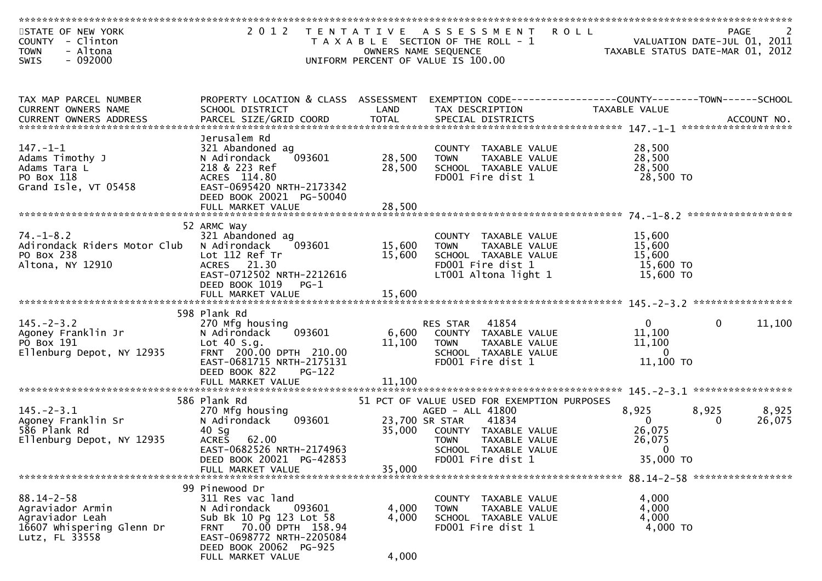| STATE OF NEW YORK<br>COUNTY - Clinton                                                                  |                                                                                                                                                                                               |                         | 2012 TENTATIVE ASSESSMENT ROLL<br>T A X A B L E SECTION OF THE ROLL - 1                                                                                                    | 2<br>VALUATION DATE-JUL 01, 2011<br>TAYAPLE STATUS BLOCKER (1997) |              | 2<br><b>PAGE</b> |
|--------------------------------------------------------------------------------------------------------|-----------------------------------------------------------------------------------------------------------------------------------------------------------------------------------------------|-------------------------|----------------------------------------------------------------------------------------------------------------------------------------------------------------------------|-------------------------------------------------------------------|--------------|------------------|
| <b>TOWN</b><br>- Altona<br>$-092000$<br><b>SWIS</b>                                                    |                                                                                                                                                                                               |                         | OWNERS NAME SEQUENCE<br>UNIFORM PERCENT OF VALUE IS 100.00                                                                                                                 | TAXABLE STATUS DATE-MAR 01, 2012                                  |              |                  |
| TAX MAP PARCEL NUMBER<br>CURRENT OWNERS NAME                                                           | PROPERTY LOCATION & CLASS ASSESSMENT<br>SCHOOL DISTRICT                                                                                                                                       | LAND                    | EXEMPTION CODE------------------COUNTY--------TOWN------SCHOOL<br>TAX DESCRIPTION                                                                                          | <b>TAXABLE VALUE</b>                                              |              |                  |
| $147. - 1 - 1$<br>Adams Timothy J<br>Adams Tara L<br>PO Box 118<br>Grand Isle, VT 05458                | Jerusalem Rd<br>321 Abandoned ag<br>N Adirondack<br>093601<br>218 & 223 Ref<br>ACRES 114.80<br>EAST-0695420 NRTH-2173342<br>DEED BOOK 20021 PG-50040                                          | 28,500<br>28,500        | COUNTY TAXABLE VALUE<br><b>TOWN</b><br>TAXABLE VALUE<br>SCHOOL TAXABLE VALUE<br>FD001 Fire dist 1                                                                          | 28,500<br>28,500<br>28,500<br>28,500 TO                           |              |                  |
| $74. - 1 - 8.2$<br>Adirondack Riders Motor Club<br>PO Box 238<br>Altona, NY 12910                      | 52 ARMC Way<br>321 Abandoned ag<br>N Adirondack<br>093601<br>Lot 112 Ref Tr<br>ACRES 21.30<br>EAST-0712502 NRTH-2212616<br>DEED BOOK 1019<br>PG-1                                             | 15,600<br>15,600        | COUNTY TAXABLE VALUE<br><b>TOWN</b><br>TAXABLE VALUE<br>SCHOOL TAXABLE VALUE<br>FD001 Fire dist 1<br>LT001 Altona light 1                                                  | 15,600<br>15,600<br>15,600<br>15,600 TO<br>15,600 TO              |              |                  |
| $145. - 2 - 3.2$<br>Agoney Franklin Jr<br>PO Box 191<br>Ellenburg Depot, NY 12935                      | 598 Plank Rd<br>270 Mfg housing<br>N Adirondack<br>093601<br>Lot $40 S.g.$<br>FRNT 200.00 DPTH 210.00<br>EAST-0681715 NRTH-2175131<br>DEED BOOK 822<br><b>PG-122</b>                          | 11,100                  | 41854<br>RES STAR<br>6,600 COUNTY TAXABLE VALUE<br><b>TOWN</b><br>TAXABLE VALUE<br>SCHOOL TAXABLE VALUE<br>FD001 Fire dist 1                                               | $\overline{0}$<br>11,100<br>11,100<br>$\Omega$<br>11,100 TO       | $\mathbf{0}$ | 11,100           |
|                                                                                                        |                                                                                                                                                                                               |                         |                                                                                                                                                                            |                                                                   |              |                  |
| $145. - 2 - 3.1$<br>Agoney Franklin Sr<br>586 Plank Rd<br>Ellenburg Depot, NY 12935                    | 586 Plank Rd<br>270 Mfg housing<br>093601<br>N Adirondack<br>$40$ Sg<br>62.00<br><b>ACRES</b><br>EAST-0682526 NRTH-2174963                                                                    | 35,000                  | 51 PCT OF VALUE USED FOR EXEMPTION PURPOSES<br>AGED - ALL 41800<br>23,700 SR STAR<br>41834<br>COUNTY TAXABLE VALUE<br><b>TOWN</b><br>TAXABLE VALUE<br>SCHOOL TAXABLE VALUE | 8,925<br>$\overline{0}$<br>26,075<br>26,075<br>$\overline{0}$     | 8,925<br>0   | 8,925<br>26,075  |
|                                                                                                        | DEED BOOK 20021 PG-42853<br>FULL MARKET VALUE                                                                                                                                                 | 35,000                  | FD001 Fire dist 1                                                                                                                                                          | 35,000 TO                                                         |              |                  |
| $88.14 - 2 - 58$<br>Agraviador Armin<br>Agraviador Leah<br>16607 Whispering Glenn Dr<br>Lutz, FL 33558 | 99 Pinewood Dr<br>311 Res vac land<br>N Adirondack<br>093601<br>Sub Bk 10 Pg 123 Lot 58<br>FRNT 70.00 DPTH 158.94<br>EAST-0698772 NRTH-2205084<br>DEED BOOK 20062 PG-925<br>FULL MARKET VALUE | 4,000<br>4,000<br>4,000 | COUNTY TAXABLE VALUE<br>TAXABLE VALUE<br>TOWN<br>SCHOOL TAXABLE VALUE<br>FD001 Fire dist 1                                                                                 | 4,000<br>4,000<br>4,000<br>4,000 TO                               |              |                  |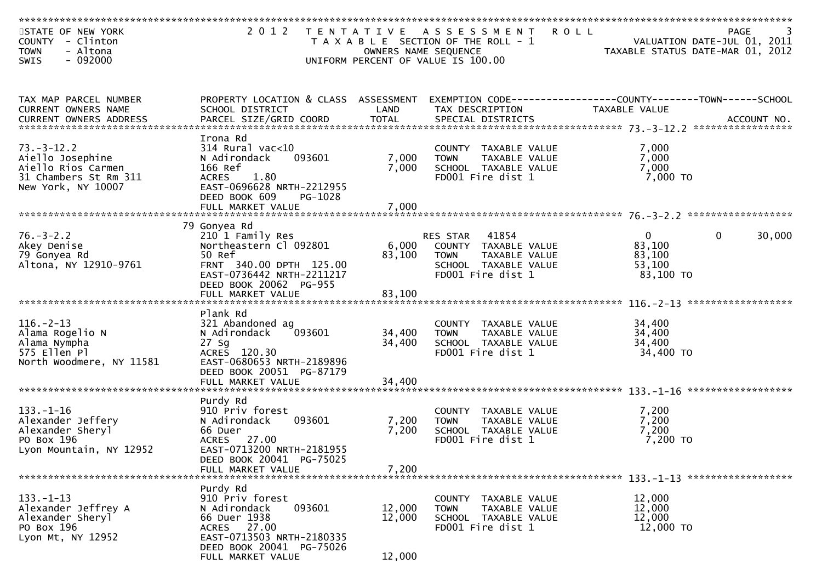| STATE OF NEW YORK<br>COUNTY - Clinton<br><b>TOWN</b><br>- Altona<br>$-092000$<br><b>SWIS</b>              | 2 0 1 2                                                                                                                                                                   |                            | <b>ROLL</b><br>TENTATIVE ASSESSMENT<br>T A X A B L E SECTION OF THE ROLL - 1<br>OWNERS NAME SEQUENCE<br>UNIFORM PERCENT OF VALUE IS 100.00 | TAXABLE STATUS DATE-MAR 01, 2012                        | PAGE<br>VALUATION DATE-JUL 01, 2011 |
|-----------------------------------------------------------------------------------------------------------|---------------------------------------------------------------------------------------------------------------------------------------------------------------------------|----------------------------|--------------------------------------------------------------------------------------------------------------------------------------------|---------------------------------------------------------|-------------------------------------|
| TAX MAP PARCEL NUMBER<br>CURRENT OWNERS NAME                                                              | PROPERTY LOCATION & CLASS ASSESSMENT<br>SCHOOL DISTRICT                                                                                                                   | LAND                       | EXEMPTION CODE-----------------COUNTY-------TOWN------SCHOOL<br>TAX DESCRIPTION                                                            | TAXABLE VALUE                                           |                                     |
| $73. - 3 - 12.2$<br>Aiello Josephine<br>Aiello Rios Carmen<br>31 Chambers St Rm 311<br>New York, NY 10007 | Irona Rd<br>$314$ Rural vac<10<br>N Adirondack<br>093601<br>166 Ref<br>1.80<br><b>ACRES</b><br>EAST-0696628 NRTH-2212955<br>DEED BOOK 609<br>PG-1028<br>FULL MARKET VALUE | 7,000<br>7,000<br>7,000    | COUNTY TAXABLE VALUE<br>TAXABLE VALUE<br><b>TOWN</b><br>SCHOOL TAXABLE VALUE<br>FD001 Fire dist 1                                          | 7,000<br>7,000<br>7,000<br>7,000 TO                     |                                     |
| $76. - 3 - 2.2$<br>Akey Denise<br>79 Gonyea Rd<br>Altona, NY 12910-9761                                   | 79 Gonyea Rd<br>210 1 Family Res<br>Northeastern Cl 092801<br>50 Ref<br>FRNT 340.00 DPTH 125.00<br>EAST-0736442 NRTH-2211217<br>DEED BOOK 20062 PG-955                    | 6,000<br>83,100            | 41854<br><b>RES STAR</b><br>COUNTY TAXABLE VALUE<br><b>TOWN</b><br>TAXABLE VALUE<br>SCHOOL TAXABLE VALUE<br>FD001 Fire dist 1              | $\mathbf{0}$<br>83,100<br>83,100<br>53,100<br>83,100 TO | 30,000<br>$\mathbf{0}$              |
| $116. - 2 - 13$<br>Alama Rogelio N<br>Alama Nympha<br>575 Ellen Pl<br>North Woodmere, NY 11581            | Plank Rd<br>321 Abandoned ag<br>N Adirondack<br>093601<br>$27$ Sg<br>ACRES 120.30<br>EAST-0680653 NRTH-2189896<br>DEED BOOK 20051 PG-87179<br>FULL MARKET VALUE           | 34,400<br>34,400<br>34,400 | COUNTY TAXABLE VALUE<br><b>TOWN</b><br>TAXABLE VALUE<br>SCHOOL TAXABLE VALUE<br>FD001 Fire dist 1                                          | 34,400<br>34,400<br>34,400<br>34,400 TO                 |                                     |
| $133. - 1 - 16$<br>Alexander Jeffery<br>Alexander Sheryl<br>PO Box 196<br>Lyon Mountain, NY 12952         | Purdy Rd<br>910 Priv forest<br>093601<br>N Adirondack<br>66 Duer<br>ACRES 27.00<br>EAST-0713200 NRTH-2181955<br>DEED BOOK 20041 PG-75025<br>FULL MARKET VALUE             | 7,200<br>7,200<br>7,200    | <b>COUNTY</b><br>TAXABLE VALUE<br><b>TOWN</b><br>TAXABLE VALUE<br>SCHOOL TAXABLE VALUE<br>FD001 Fire dist 1                                | 7,200<br>7,200<br>7,200<br>$7,200$ TO                   |                                     |
| $133. - 1 - 13$<br>Alexander Jeffrey A<br>Alexander Sheryl<br>PO Box 196<br>Lyon Mt, NY 12952             | Purdy Rd<br>910 Priv forest<br>093601<br>N Adirondack<br>66 Duer 1938<br>ACRES 27.00<br>EAST-0713503 NRTH-2180335<br>DEED BOOK 20041 PG-75026<br>FULL MARKET VALUE        | 12,000<br>12,000<br>12,000 | COUNTY TAXABLE VALUE<br>TAXABLE VALUE<br><b>TOWN</b><br>SCHOOL TAXABLE VALUE<br>FD001 Fire dist 1                                          | 12,000<br>12,000<br>12,000<br>12,000 TO                 |                                     |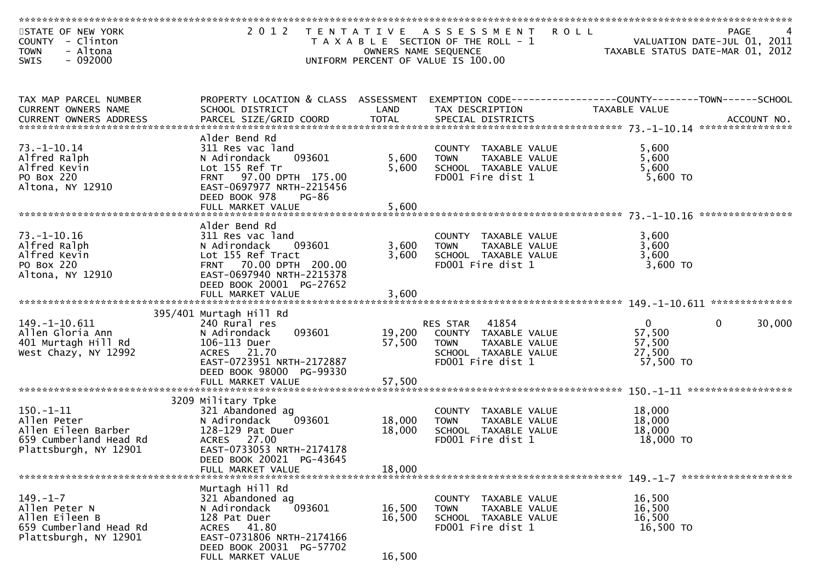| STATE OF NEW YORK<br>COUNTY - Clinton<br><b>TOWN</b><br>- Altona<br>$-092000$<br><b>SWIS</b>             | 2 0 1 2                                                                                                                                                                                    |                            | TENTATIVE ASSESSMENT<br>T A X A B L E SECTION OF THE ROLL - 1<br>OWNERS NAME SEQUENCE<br>UNIFORM PERCENT OF VALUE IS 100.00 | <b>ROLL</b>                                               | PAGE<br>VALUATION DATE-JUL 01, 2011<br>TAXABLE STATUS DATE-MAR 01, 2012 |
|----------------------------------------------------------------------------------------------------------|--------------------------------------------------------------------------------------------------------------------------------------------------------------------------------------------|----------------------------|-----------------------------------------------------------------------------------------------------------------------------|-----------------------------------------------------------|-------------------------------------------------------------------------|
|                                                                                                          |                                                                                                                                                                                            |                            |                                                                                                                             |                                                           |                                                                         |
| TAX MAP PARCEL NUMBER<br>CURRENT OWNERS NAME                                                             | PROPERTY LOCATION & CLASS ASSESSMENT EXEMPTION CODE----------------COUNTY-------TOWN------SCHOOL<br>SCHOOL DISTRICT                                                                        | LAND                       | TAX DESCRIPTION                                                                                                             | TAXABLE VALUE                                             |                                                                         |
| $73. - 1 - 10.14$<br>Alfred Ralph<br>Alfred Kevin<br>PO Box 220<br>Altona, NY 12910                      | Alder Bend Rd<br>311 Res vac land<br>093601<br>N Adirondack<br>Lot 155 Ref Tr<br>FRNT 97.00 DPTH 175.00<br>EAST-0697977 NRTH-2215456<br>DEED BOOK 978<br><b>PG-86</b><br>FULL MARKET VALUE | 5,600<br>5,600<br>5,600    | COUNTY TAXABLE VALUE<br><b>TOWN</b><br>TAXABLE VALUE<br>SCHOOL TAXABLE VALUE<br>FD001 Fire dist 1                           | 5,600<br>5,600<br>5,600<br>5,600 TO                       |                                                                         |
| $73. - 1 - 10.16$<br>Alfred Ralph<br>Alfred Kevin<br>PO Box 220<br>Altona, NY 12910                      | Alder Bend Rd<br>311 Res vac land<br>N Adirondack<br>093601<br>Lot 155 Ref Tract<br>FRNT 70.00 DPTH 200.00<br>EAST-0697940 NRTH-2215378<br>DEED BOOK 20001 PG-27652<br>FULL MARKET VALUE   | 3,600<br>3,600<br>3,600    | COUNTY TAXABLE VALUE<br>TAXABLE VALUE<br><b>TOWN</b><br>SCHOOL TAXABLE VALUE<br>FD001 Fire dist 1                           | 3,600<br>3,600<br>3,600<br>3,600 TO                       |                                                                         |
| 149. -1-10. 611<br>Allen Gloria Ann<br>401 Murtagh Hill Rd<br>West Chazy, NY 12992                       | 395/401 Murtagh Hill Rd<br>240 Rural res<br>N Adirondack<br>093601<br>106-113 Duer<br>ACRES 21.70<br>EAST-0723951 NRTH-2172887<br>DEED BOOK 98000 PG-99330<br>FULL MARKET VALUE            | 19,200<br>57,500<br>57,500 | 41854<br>RES STAR<br>COUNTY TAXABLE VALUE<br><b>TOWN</b><br>TAXABLE VALUE<br>SCHOOL TAXABLE VALUE<br>FD001 Fire dist 1      | $\overline{0}$<br>57,500<br>57,500<br>27,500<br>57,500 TO | 30,000<br>$\overline{0}$                                                |
| $150. - 1 - 11$<br>Allen Peter<br>Allen Eileen Barber<br>659 Cumberland Head Rd<br>Plattsburgh, NY 12901 | 3209 Military Tpke<br>321 Abandoned ag<br>N Adirondack<br>093601<br>128-129 Pat Duer<br>ACRES 27.00<br>EAST-0733053 NRTH-2174178<br>DEED BOOK 20021 PG-43645<br>FULL MARKET VALUE          | 18,000<br>18,000<br>18,000 | COUNTY TAXABLE VALUE<br><b>TOWN</b><br>TAXABLE VALUE<br>SCHOOL TAXABLE VALUE<br>FD001 Fire dist 1                           | 18,000<br>18,000<br>18,000<br>18,000 TO                   |                                                                         |
| $149. - 1 - 7$<br>Allen Peter N<br>Allen Eileen B<br>659 Cumberland Head Rd<br>Plattsburgh, NY 12901     | Murtagh Hill Rd<br>321 Abandoned ag<br>N Adirondack<br>093601<br>128 Pat Duer<br>ACRES 41.80<br>EAST-0731806 NRTH-2174166<br>DEED BOOK 20031 PG-57702<br>FULL MARKET VALUE                 | 16,500<br>16,500<br>16,500 | COUNTY TAXABLE VALUE<br><b>TOWN</b><br>TAXABLE VALUE<br>SCHOOL TAXABLE VALUE<br>FD001 Fire dist 1                           | 16,500<br>16,500<br>16,500<br>16,500 TO                   |                                                                         |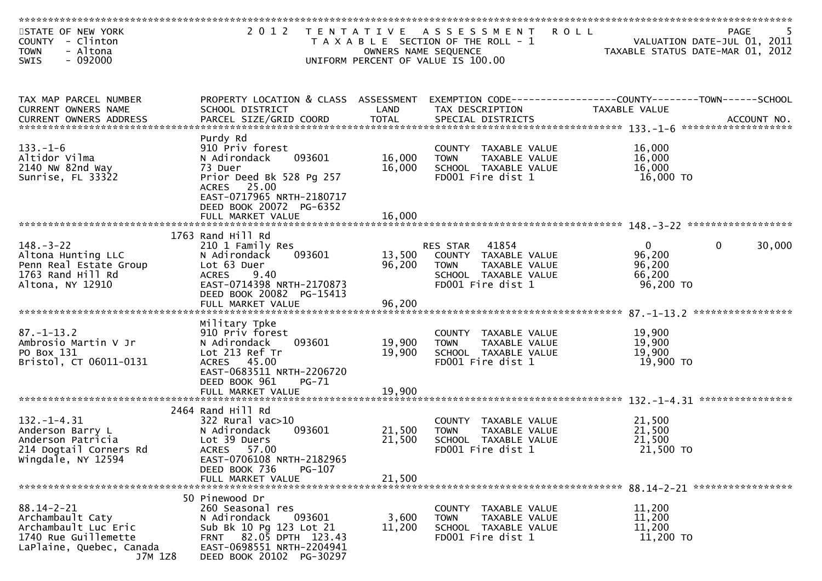| STATE OF NEW YORK<br>COUNTY - Clinton<br>- Altona<br><b>TOWN</b> | 2 0 1 2                                             | OWNERS NAME SEQUENCE | TENTATIVE ASSESSMENT ROLL<br>T A X A B L E SECTION OF THE ROLL - 1 | PAGE 5<br>VALUATION DATE-JUL 01, 2011<br>TAXABLE STATIIS DATE 112 02 7 |
|------------------------------------------------------------------|-----------------------------------------------------|----------------------|--------------------------------------------------------------------|------------------------------------------------------------------------|
| $-092000$<br><b>SWIS</b>                                         |                                                     |                      | UNIFORM PERCENT OF VALUE IS 100.00                                 |                                                                        |
|                                                                  |                                                     |                      |                                                                    |                                                                        |
| TAX MAP PARCEL NUMBER                                            | PROPERTY LOCATION & CLASS ASSESSMENT                |                      |                                                                    | EXEMPTION CODE-----------------COUNTY-------TOWN------SCHOOL           |
| CURRENT OWNERS NAME                                              | SCHOOL DISTRICT                                     | LAND                 | TAX DESCRIPTION                                                    | TAXABLE VALUE                                                          |
|                                                                  |                                                     |                      |                                                                    |                                                                        |
| $133. - 1 - 6$                                                   | Purdy Rd<br>910 Priv forest                         |                      | COUNTY TAXABLE VALUE                                               | 16,000                                                                 |
| Altidor Vilma                                                    | N Adirondack<br>093601                              | 16,000               | <b>TOWN</b><br>TAXABLE VALUE                                       | 16,000                                                                 |
| 2140 NW 82nd Way                                                 | 73 Duer                                             | 16,000               | SCHOOL TAXABLE VALUE                                               | 16,000                                                                 |
| Sunrise, FL 33322                                                | Prior Deed Bk 528 Pg 257<br>ACRES 25.00             |                      | FD001 Fire dist 1                                                  | 16,000 TO                                                              |
|                                                                  | EAST-0717965 NRTH-2180717                           |                      |                                                                    |                                                                        |
|                                                                  | DEED BOOK 20072 PG-6352                             |                      |                                                                    |                                                                        |
|                                                                  |                                                     |                      |                                                                    |                                                                        |
|                                                                  | 1763 Rand Hill Rd                                   |                      |                                                                    |                                                                        |
| $148. - 3 - 22$                                                  | 210 1 Family Res                                    |                      | RES STAR 41854                                                     | $\mathbf{0}$<br>30,000<br>$\overline{0}$                               |
| Altona Hunting LLC<br>Penn Real Estate Group                     | 093601<br>N Adirondack<br>Lot 63 Duer               | 13,500<br>96,200     | COUNTY TAXABLE VALUE<br><b>TOWN</b><br>TAXABLE VALUE               | 96,200<br>96,200                                                       |
| 1763 Rand Hill Rd                                                | <b>ACRES</b><br>9.40                                |                      | SCHOOL TAXABLE VALUE                                               | 66,200                                                                 |
| Altona, NY 12910                                                 | EAST-0714398 NRTH-2170873                           |                      | FD001 Fire dist 1                                                  | 96,200 TO                                                              |
|                                                                  | DEED BOOK 20082 PG-15413                            |                      |                                                                    |                                                                        |
|                                                                  |                                                     |                      |                                                                    |                                                                        |
| $87. - 1 - 13.2$                                                 | Military Tpke<br>910 Priv forest                    |                      |                                                                    |                                                                        |
| Ambrosio Martin V Jr                                             | 093601<br>N Adirondack                              | 19,900               | COUNTY TAXABLE VALUE<br>TAXABLE VALUE<br><b>TOWN</b>               | 19,900<br>19,900                                                       |
| PO Box 131                                                       | Lot 213 Ref Tr                                      | 19,900               | SCHOOL TAXABLE VALUE                                               | 19,900                                                                 |
| Bristol, CT 06011-0131                                           | ACRES 45.00                                         |                      | FD001 Fire dist 1                                                  | 19,900 TO                                                              |
|                                                                  | EAST-0683511 NRTH-2206720<br>DEED BOOK 961<br>PG-71 |                      |                                                                    |                                                                        |
|                                                                  | FULL MARKET VALUE                                   | 19,900               |                                                                    |                                                                        |
|                                                                  | 2464 Rand Hill Rd                                   |                      |                                                                    |                                                                        |
| $132. - 1 - 4.31$                                                | 322 Rural vac>10                                    |                      | COUNTY TAXABLE VALUE                                               | 21,500                                                                 |
| Anderson Barry L                                                 | 093601<br>N Adirondack                              | 21,500               | TAXABLE VALUE<br><b>TOWN</b>                                       | 21,500                                                                 |
| Anderson Patricia<br>214 Dogtail Corners Rd                      | Lot 39 Duers<br>ACRES 57.00                         | 21,500               | SCHOOL TAXABLE VALUE<br>FD001 Fire dist 1                          | 21,500<br>21,500 TO                                                    |
| Wingdale, NY 12594                                               | EAST-0706108 NRTH-2182965                           |                      |                                                                    |                                                                        |
|                                                                  | DEED BOOK 736<br>PG-107                             |                      |                                                                    |                                                                        |
|                                                                  | FULL MARKET VALUE                                   | 21,500               |                                                                    |                                                                        |
|                                                                  | 50 Pinewood Dr                                      |                      |                                                                    |                                                                        |
| $88.14 - 2 - 21$                                                 | 260 Seasonal res                                    |                      | COUNTY TAXABLE VALUE                                               | 11,200                                                                 |
| Archambault Caty<br>Archambault Luc Eric                         | 093601<br>N Adirondack<br>Sub Bk 10 Pg 123 Lot 21   | 3,600<br>11,200      | TAXABLE VALUE<br><b>TOWN</b><br>SCHOOL TAXABLE VALUE               | 11,200<br>11,200                                                       |
| 1740 Rue Guillemette                                             | 82.05 DPTH 123.43<br><b>FRNT</b>                    |                      | FD001 Fire dist 1                                                  | 11,200 TO                                                              |
| LaPlaine, Quebec, Canada                                         | EAST-0698551 NRTH-2204941                           |                      |                                                                    |                                                                        |
| J7M 1Z8                                                          | DEED BOOK 20102 PG-30297                            |                      |                                                                    |                                                                        |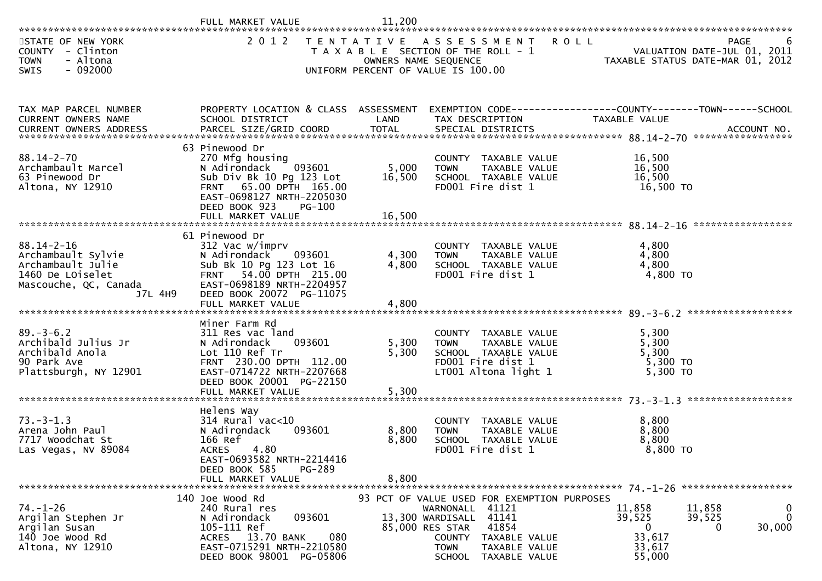|                                                                                                                                    | FULL MARKET VALUE                                                                                | 11,200               |                                                                |                                                                                                           |                  |
|------------------------------------------------------------------------------------------------------------------------------------|--------------------------------------------------------------------------------------------------|----------------------|----------------------------------------------------------------|-----------------------------------------------------------------------------------------------------------|------------------|
|                                                                                                                                    |                                                                                                  |                      |                                                                |                                                                                                           |                  |
| STATE OF NEW YORK<br>COUNTY - Clinton                                                                                              | 2 0 1 2                                                                                          |                      | TENTATIVE ASSESSMENT<br>T A X A B L E SECTION OF THE ROLL - 1  | R O L L<br>VALUATION DATE-JUL 01, 2011<br>VALUATION DATE-JUL VI, 2011<br>TAXABLE STATUS DATE-MAR 01, 2012 | <b>PAGE</b><br>b |
| <b>TOWN</b><br>- Altona<br>$-092000$<br>SWIS                                                                                       |                                                                                                  | OWNERS NAME SEQUENCE | UNIFORM PERCENT OF VALUE IS 100.00                             |                                                                                                           |                  |
|                                                                                                                                    |                                                                                                  |                      |                                                                |                                                                                                           |                  |
|                                                                                                                                    |                                                                                                  |                      |                                                                |                                                                                                           |                  |
| TAX MAP PARCEL NUMBER                                                                                                              | PROPERTY LOCATION & CLASS ASSESSMENT EXEMPTION CODE----------------COUNTY-------TOWN------SCHOOL |                      |                                                                |                                                                                                           |                  |
| CURRENT OWNERS NAME                                                                                                                | SCHOOL DISTRICT                                                                                  | LAND                 | TAX DESCRIPTION                                                | TAXABLE VALUE                                                                                             |                  |
| .4CCOUNT NO . PARCEL SIZE/GRID COORD TOTAL SPECIAL DISTRICTS SPERENT OWNERS ADDRESS PARCEL SIZE/GRID COORD TOTAL SPECIAL DISTRICTS |                                                                                                  |                      |                                                                |                                                                                                           |                  |
|                                                                                                                                    | 63 Pinewood Dr                                                                                   |                      |                                                                |                                                                                                           |                  |
| $88.14 - 2 - 70$                                                                                                                   | 270 Mfg housing                                                                                  |                      | COUNTY TAXABLE VALUE                                           | 16,500                                                                                                    |                  |
| Archambault Marcel                                                                                                                 | 093601<br>N Adirondack                                                                           | 5,000                | <b>TOWN</b><br>TAXABLE VALUE                                   | 16,500                                                                                                    |                  |
| 63 Pinewood Dr<br>Altona, NY 12910                                                                                                 | Sub Div Bk 10 Pg 123 Lot<br>FRNT 65.00 DPTH 165.00                                               | 16,500               | SCHOOL TAXABLE VALUE<br>FD001 Fire dist 1                      | 16,500<br>16,500 TO                                                                                       |                  |
|                                                                                                                                    | EAST-0698127 NRTH-2205030                                                                        |                      |                                                                |                                                                                                           |                  |
|                                                                                                                                    | DEED BOOK 923<br>$PG-100$                                                                        |                      |                                                                |                                                                                                           |                  |
|                                                                                                                                    |                                                                                                  |                      |                                                                |                                                                                                           |                  |
|                                                                                                                                    | 61 Pinewood Dr                                                                                   |                      |                                                                |                                                                                                           |                  |
| $88.14 - 2 - 16$                                                                                                                   | 312 Vac w/imprv                                                                                  |                      | COUNTY TAXABLE VALUE                                           | 4,800                                                                                                     |                  |
| Archambault Sylvie                                                                                                                 | 093601<br>N Adirondack                                                                           | 4,300                | <b>TOWN</b><br>TAXABLE VALUE                                   | 4,800                                                                                                     |                  |
| Archambault Julie                                                                                                                  | Sub Bk 10 Pg 123 Lot 16                                                                          | 4,800                | SCHOOL TAXABLE VALUE                                           | 4,800                                                                                                     |                  |
| 1460 De LOiselet                                                                                                                   | FRNT 54.00 DPTH 215.00                                                                           |                      | FD001 Fire dist 1                                              | 4,800 TO                                                                                                  |                  |
| Mascouche, QC, Canada                                                                                                              | EAST-0698189 NRTH-2204957                                                                        |                      |                                                                |                                                                                                           |                  |
| J7L 4H9                                                                                                                            | DEED BOOK 20072 PG-11075<br>FULL MARKET VALUE                                                    | 4,800                |                                                                |                                                                                                           |                  |
|                                                                                                                                    |                                                                                                  |                      |                                                                |                                                                                                           |                  |
|                                                                                                                                    | Miner Farm Rd                                                                                    |                      |                                                                |                                                                                                           |                  |
| $89. - 3 - 6.2$<br>Archibald Julius Jr                                                                                             | 311 Res vac land<br>093601<br>N Adirondack                                                       | 5,300                | COUNTY TAXABLE VALUE<br><b>TOWN</b><br>TAXABLE VALUE           | 5,300<br>5,300                                                                                            |                  |
| Archibald Anola                                                                                                                    | Lot 110 Ref Tr                                                                                   | 5,300                | SCHOOL TAXABLE VALUE                                           | 5,300                                                                                                     |                  |
| 90 Park Ave                                                                                                                        | FRNT 230.00 DPTH 112.00                                                                          |                      | FD001 Fire dist 1                                              | $5,300$ TO                                                                                                |                  |
| Plattsburgh, NY 12901                                                                                                              | EAST-0714722 NRTH-2207668                                                                        |                      | LT001 Altona light 1                                           | 5,300 TO                                                                                                  |                  |
|                                                                                                                                    | DEED BOOK 20001 PG-22150                                                                         |                      |                                                                |                                                                                                           |                  |
|                                                                                                                                    | FULL MARKET VALUE                                                                                | 5,300                |                                                                |                                                                                                           |                  |
|                                                                                                                                    | Helens Way                                                                                       |                      |                                                                |                                                                                                           |                  |
| $73. - 3 - 1.3$                                                                                                                    | $314$ Rural vac<10                                                                               |                      | COUNTY TAXABLE VALUE                                           | 8,800                                                                                                     |                  |
| Arena John Paul                                                                                                                    | N Adirondack<br>093601                                                                           | 8,800                | TAXABLE VALUE<br><b>TOWN</b>                                   | 8,800                                                                                                     |                  |
| 7717 Woodchat St                                                                                                                   | 166 Ref                                                                                          | 8,800                | SCHOOL TAXABLE VALUE                                           | 8,800                                                                                                     |                  |
| Las Vegas, NV 89084                                                                                                                | 4.80<br><b>ACRES</b><br>EAST-0693582 NRTH-2214416                                                |                      | FD001 Fire dist 1                                              | 8,800 TO                                                                                                  |                  |
|                                                                                                                                    | PG-289<br>DEED BOOK 585                                                                          |                      |                                                                |                                                                                                           |                  |
|                                                                                                                                    | FULL MARKET VALUE                                                                                | 8,800                |                                                                |                                                                                                           |                  |
| *******************************                                                                                                    |                                                                                                  |                      |                                                                |                                                                                                           |                  |
| $74. - 1 - 26$                                                                                                                     | 140 Joe Wood Rd<br>240 Rural res                                                                 |                      | 93 PCT OF VALUE USED FOR EXEMPTION PURPOSES<br>WARNONALL 41121 | 11,858<br>11,858                                                                                          | 0                |
| Argilan Stephen Jr                                                                                                                 | 093601<br>N Adirondack                                                                           |                      | 13,300 WARDISALL 41141                                         | 39,525<br>39,525                                                                                          | 0                |
| Argilan Susan                                                                                                                      | 105-111 Ref                                                                                      |                      | 85,000 RES STAR<br>41854                                       | $\mathbf{0}$                                                                                              | 30,000<br>0      |
| 140 Joe Wood Rd                                                                                                                    | ACRES 13.70 BANK<br>080                                                                          |                      | COUNTY<br>TAXABLE VALUE                                        | 33,617                                                                                                    |                  |
| Altona, NY 12910                                                                                                                   | EAST-0715291 NRTH-2210580                                                                        |                      | TAXABLE VALUE<br><b>TOWN</b>                                   | 33,617                                                                                                    |                  |
|                                                                                                                                    | DEED BOOK 98001 PG-05806                                                                         |                      | <b>SCHOOL</b><br>TAXABLE VALUE                                 | 55,000                                                                                                    |                  |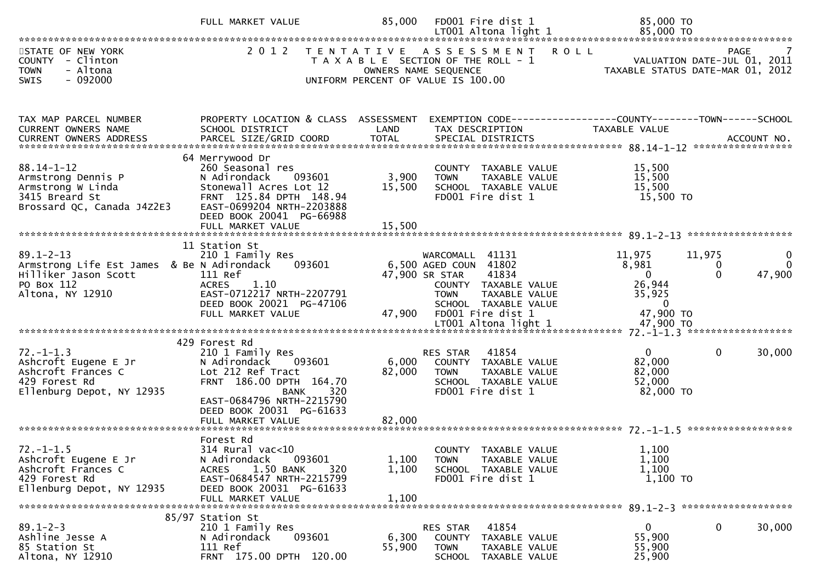|                                                                                                                         | FULL MARKET VALUE                                                                                                                                                                                        | 85,000                    | FD001 Fire dist 1                                                                                                           |                                                                                 | 85,000 TO                                                                          |                                                                                |
|-------------------------------------------------------------------------------------------------------------------------|----------------------------------------------------------------------------------------------------------------------------------------------------------------------------------------------------------|---------------------------|-----------------------------------------------------------------------------------------------------------------------------|---------------------------------------------------------------------------------|------------------------------------------------------------------------------------|--------------------------------------------------------------------------------|
| STATE OF NEW YORK<br>COUNTY - Clinton<br>- Altona<br><b>TOWN</b><br>$-092000$<br>SWIS                                   | 2 0 1 2                                                                                                                                                                                                  |                           | TENTATIVE ASSESSMENT<br>T A X A B L E SECTION OF THE ROLL - 1<br>OWNERS NAME SEQUENCE<br>UNIFORM PERCENT OF VALUE IS 100.00 | <b>ROLL</b>                                                                     |                                                                                    | <b>PAGE</b><br>VALUATION DATE-JUL 01, 2011<br>TAXABLE STATUS DATE-MAR 01, 2012 |
| TAX MAP PARCEL NUMBER<br>CURRENT OWNERS NAME<br><b>CURRENT OWNERS ADDRESS</b>                                           | PROPERTY LOCATION & CLASS ASSESSMENT<br>SCHOOL DISTRICT                                                                                                                                                  | LAND                      | TAX DESCRIPTION                                                                                                             |                                                                                 | EXEMPTION CODE------------------COUNTY--------TOWN------SCHOOL<br>TAXABLE VALUE    |                                                                                |
| $88.14 - 1 - 12$<br>Armstrong Dennis P<br>Armstrong W Linda<br>3415 Breard St<br>Brossard QC, Canada J4Z2E3             | 64 Merrywood Dr<br>260 Seasonal res<br>N Adirondack<br>093601<br>Stonewall Acres Lot 12<br>FRNT 125.84 DPTH 148.94<br>EAST-0699204 NRTH-2203888<br>DEED BOOK 20041 PG-66988<br>FULL MARKET VALUE         | 3,900<br>15,500<br>15,500 | <b>TOWN</b><br>FD001 Fire dist 1                                                                                            | COUNTY TAXABLE VALUE<br>TAXABLE VALUE<br>SCHOOL TAXABLE VALUE                   | 15,500<br>15,500<br>15,500<br>15,500 TO                                            |                                                                                |
| $89.1 - 2 - 13$<br>Armstrong Life Est James & Be N Adirondack<br>Hilliker Jason Scott<br>PO Box 112<br>Altona, NY 12910 | 11 Station St<br>210 1 Family Res<br>093601<br>111 Ref<br>1.10<br><b>ACRES</b><br>EAST-0712217 NRTH-2207791<br>DEED BOOK 20021 PG-47106<br>FULL MARKET VALUE                                             | 47,900                    | WARCOMALL<br>6,500 AGED COUN 41802<br>47,900 SR STAR<br><b>TOWN</b><br>FD001 Fire dist 1                                    | 41131<br>41834<br>COUNTY TAXABLE VALUE<br>TAXABLE VALUE<br>SCHOOL TAXABLE VALUE | 11,975<br>8,981<br>$\mathbf{0}$<br>26,944<br>35,925<br>$\overline{0}$<br>47,900 TO | 11,975<br>$\mathbf{0}$<br>0<br>47,900<br>$\Omega$                              |
| $72. - 1 - 1.3$<br>Ashcroft Eugene E Jr<br>Ashcroft Frances C<br>429 Forest Rd<br>Ellenburg Depot, NY 12935             | 429 Forest Rd<br>210 1 Family Res<br>N Adirondack<br>093601<br>Lot 212 Ref Tract<br>FRNT 186.00 DPTH 164.70<br>320<br>BANK<br>EAST-0684796 NRTH-2215790<br>DEED BOOK 20031 PG-61633<br>FULL MARKET VALUE | 6,000<br>82,000<br>82,000 | RES STAR<br><b>TOWN</b><br>FD001 Fire dist 1                                                                                | 41854<br>COUNTY TAXABLE VALUE<br>TAXABLE VALUE<br>SCHOOL TAXABLE VALUE          | $\mathbf{0}$<br>82,000<br>82,000<br>52,000<br>82,000 TO                            | $\mathbf 0$<br>30,000                                                          |
| $72. - 1 - 1.5$<br>Ashcroft Eugene E Jr<br>Ashcroft Frances C<br>429 Forest Rd<br>Ellenburg Depot, NY 12935             | Forest Rd<br>314 Rural vac<10<br>093601<br>N Adirondack<br>1.50 BANK<br>320<br><b>ACRES</b><br>EAST-0684547 NRTH-2215799<br>DEED BOOK 20031 PG-61633<br>FULL MARKET VALUE                                | 1,100<br>1,100<br>1,100   | <b>TOWN</b><br>FD001 Fire dist 1                                                                                            | COUNTY TAXABLE VALUE<br>TAXABLE VALUE<br>SCHOOL TAXABLE VALUE                   | 1,100<br>1,100<br>1,100<br>$1,100$ TO                                              |                                                                                |
| $89.1 - 2 - 3$<br>Ashline Jesse A<br>85 Station St<br>Altona, NY 12910                                                  | 85/97 Station St<br>210 1 Family Res<br>093601<br>N Adirondack<br>111 Ref<br>FRNT 175.00 DPTH 120.00                                                                                                     | 6,300<br>55,900           | RES STAR<br>COUNTY<br><b>TOWN</b>                                                                                           | 41854<br>TAXABLE VALUE<br>TAXABLE VALUE<br>SCHOOL TAXABLE VALUE                 | 0<br>55,900<br>55,900<br>25,900                                                    | $\mathbf 0$<br>30,000                                                          |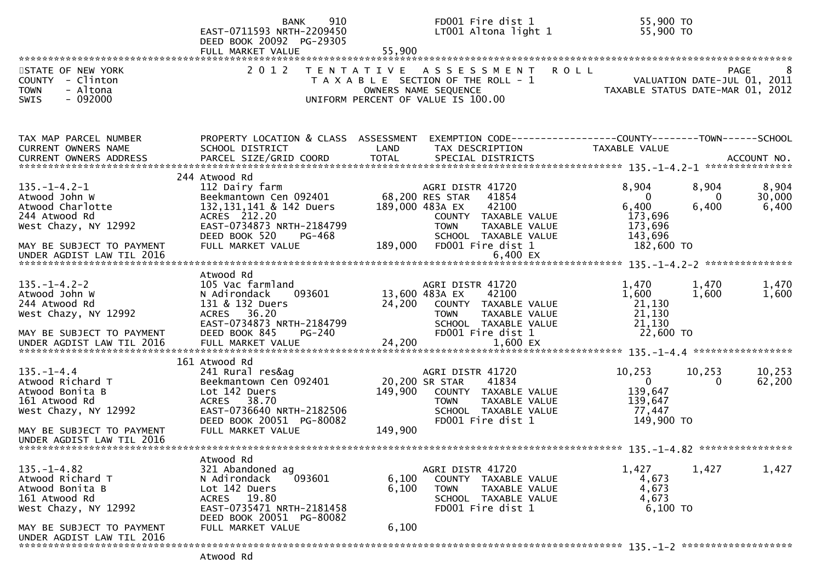|                                                                                                                                                              | 910<br><b>BANK</b><br>EAST-0711593 NRTH-2209450<br>DEED BOOK 20092 PG-29305<br>FULL MARKET VALUE                                                                                                    | 55,900                                       | FD001 Fire dist 1<br>LT001 Altona light 1                                                                                                                                        | 55,900 TO<br>55,900 TO                                                    |                            |                          |
|--------------------------------------------------------------------------------------------------------------------------------------------------------------|-----------------------------------------------------------------------------------------------------------------------------------------------------------------------------------------------------|----------------------------------------------|----------------------------------------------------------------------------------------------------------------------------------------------------------------------------------|---------------------------------------------------------------------------|----------------------------|--------------------------|
| STATE OF NEW YORK<br>COUNTY - Clinton<br>- Altona<br><b>TOWN</b><br>$-092000$<br><b>SWIS</b>                                                                 | 2 0 1 2                                                                                                                                                                                             |                                              | TENTATIVE ASSESSMENT ROLL<br>FAGE 8<br>T A X A B L E SECTION OF THE ROLL - 1<br>OWNERS NAME SEQUENCE<br>INTEORM PERCENT OF VALUE TS 100 00<br>UNIFORM PERCENT OF VALUE IS 100.00 |                                                                           |                            | <b>PAGE</b>              |
| TAX MAP PARCEL NUMBER<br>CURRENT OWNERS NAME                                                                                                                 | PROPERTY LOCATION & CLASS ASSESSMENT<br>SCHOOL DISTRICT                                                                                                                                             | LAND                                         | TAX DESCRIPTION                                                                                                                                                                  | TAXABLE VALUE                                                             |                            |                          |
| $135. - 1 - 4.2 - 1$<br>Atwood John W<br>Atwood Charlotte<br>244 Atwood Rd<br>West Chazy, NY 12992<br>MAY BE SUBJECT TO PAYMENT<br>UNDER AGDIST LAW TIL 2016 | 244 Atwood Rd<br>112 Dairy farm<br>Beekmantown Cen 092401 68,200 RES STAR<br>132, 131, 141 & 142 Duers<br>ACRES 212.20<br>EAST-0734873 NRTH-2184799<br>DEED BOOK 520<br>PG-468<br>FULL MARKET VALUE | 189,000                                      | AGRI DISTR 41720<br>41854<br>42100<br>189,000 483A EX<br>COUNTY TAXABLE VALUE<br><b>TOWN</b><br>TAXABLE VALUE<br>SCHOOL TAXABLE VALUE<br>FD001 Fire dist 1<br>6,400 EX           | 8,904<br>$\Omega$<br>6,400<br>173,696<br>173,696<br>143,696<br>182,600 TO | 8,904<br>$\Omega$<br>6,400 | 8,904<br>30,000<br>6,400 |
| $135. - 1 - 4.2 - 2$<br>Atwood John W<br>244 Atwood Rd<br>West Chazy, NY 12992<br>MAY BE SUBJECT TO PAYMENT<br>UNDER AGDIST LAW TIL 2016                     | Atwood Rd<br>105 Vac farmland<br>N Adirondack<br>093601<br>131 & 132 Duers<br>36.20<br><b>ACRES</b><br>EAST-0734873 NRTH-2184799<br>DEED BOOK 845<br>PG-240<br>FULL MARKET VALUE                    | 13,600 483A EX<br>24,200    COUNTY<br>24,200 | AGRI DISTR 41720<br>42100<br>24,200 COUNTY TAXABLE VALUE<br>TAXABLE VALUE<br><b>TOWN</b><br>SCHOOL TAXABLE VALUE<br>FD001 Fire dist 1<br>1,600 EX                                | 1,470<br>1,600<br>21,130<br>21,130<br>21,130<br>22,600 TO                 | 1,470<br>1,600             | 1,470<br>1,600           |
| $135. - 1 - 4.4$<br>Atwood Richard T<br>Atwood Bonita B<br>161 Atwood Rd<br>West Chazy, NY 12992<br>MAY BE SUBJECT TO PAYMENT<br>UNDER AGDIST LAW TIL 2016   | 161 Atwood Rd<br>241 Rural res&ag<br>Beekmantown Cen 092401<br>Lot 142 Duers<br>38.70<br><b>ACRES</b><br>EAST-0736640 NRTH-2182506<br>DEED BOOK 20051 PG-80082<br>FULL MARKET VALUE                 | 20,200 SR STAR<br>149,900<br>149,900         | AGRI DISTR 41720<br>41834<br>COUNTY TAXABLE VALUE<br>TAXABLE VALUE<br><b>TOWN</b><br>SCHOOL TAXABLE VALUE<br>FD001 Fire dist 1                                                   | 10,253<br>$\overline{0}$<br>139,647<br>139,647<br>77,447<br>149,900 TO    | 10,253<br>$\overline{0}$   | 10,253<br>62,200         |
| $135. - 1 - 4.82$<br>Atwood Richard T<br>Atwood Bonita B<br>161 Atwood Rd<br>West Chazy, NY 12992<br>MAY BE SUBJECT TO PAYMENT<br>UNDER AGDIST LAW TIL 2016  | Atwood Rd<br>321 Abandoned ag<br>093601<br>N Adirondack<br>Lot 142 Duers<br>ACRES 19.80<br>EAST-0735471 NRTH-2181458<br>DEED BOOK 20051 PG-80082<br>FULL MARKET VALUE                               | 6,100<br>6,100<br>6,100                      | AGRI DISTR 41720<br>COUNTY TAXABLE VALUE<br>TAXABLE VALUE<br><b>TOWN</b><br>SCHOOL TAXABLE VALUE<br>FD001 Fire dist 1                                                            | 1,427<br>4,673<br>4,673<br>4,673<br>$6,100$ TO                            | 1,427                      | 1,427                    |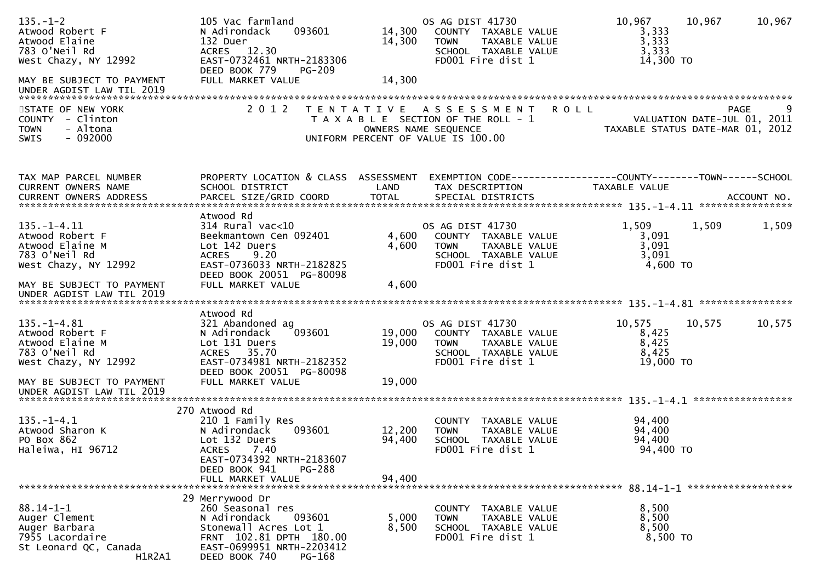| $135. - 1 - 2$<br>Atwood Robert F<br>Atwood Elaine<br>783 O'Neil Rd<br>West Chazy, NY 12992<br>MAY BE SUBJECT TO PAYMENT<br>UNDER AGDIST LAW TIL 2019                                             | 105 Vac farmland<br>093601<br>N Adirondack<br>132 Duer<br>ACRES 12.30<br>EAST-0732461 NRTH-2183306<br>DEED BOOK 779<br><b>PG-209</b><br>FULL MARKET VALUE                 | 14,300<br>14,300<br>14,300 | OS AG DIST 41730<br>COUNTY TAXABLE VALUE<br>TAXABLE VALUE<br><b>TOWN</b><br>SCHOOL TAXABLE VALUE<br>FD001 Fire dist 1            | 10,967<br>10,967<br>3,333<br>3,333<br>3,333<br>14,300 TO        | 10,967           |
|---------------------------------------------------------------------------------------------------------------------------------------------------------------------------------------------------|---------------------------------------------------------------------------------------------------------------------------------------------------------------------------|----------------------------|----------------------------------------------------------------------------------------------------------------------------------|-----------------------------------------------------------------|------------------|
| STATE OF NEW YORK<br>COUNTY - Clinton<br><b>TOWN</b><br>- Altona<br>$-092000$<br>SWIS                                                                                                             | 2 0 1 2                                                                                                                                                                   |                            | TENTATIVE ASSESSMENT ROLL<br>T A X A B L E SECTION OF THE ROLL - 1<br>OWNERS NAME SEQUENCE<br>UNIFORM PERCENT OF VALUE IS 100.00 | VALUATION DATE-JUL 01, 2011<br>TAXABLE STATUS DATE-MAR 01, 2012 | 9<br><b>PAGE</b> |
| TAX MAP PARCEL NUMBER<br>CURRENT OWNERS NAME<br>.CURRENT OWNERS ADDRESS PARCEL SIZE/GRID COORD TOTAL SPECIAL DISTRICTS MOTHERS ADDRESS PARCEL SIZE/GRID COORD TOTAL SPECIAL DISTRICTS ACCOUNT NO. | PROPERTY LOCATION & CLASS ASSESSMENT<br>SCHOOL DISTRICT                                                                                                                   | LAND                       | EXEMPTION CODE------------------COUNTY--------TOWN------SCHOOL<br>TAX DESCRIPTION                                                | TAXABLE VALUE                                                   |                  |
| $135. - 1 - 4.11$<br>Atwood Robert F<br>Atwood Elaine M<br>783 O'Neil Rd<br>West Chazy, NY 12992                                                                                                  | Atwood Rd<br>314 Rural vac<10<br>Beekmantown Cen 092401<br>Lot 142 Duers<br><b>ACRES</b><br>9.20<br>EAST-0736033 NRTH-2182825<br>DEED BOOK 20051 PG-80098                 | 4,600<br>4,600             | OS AG DIST 41730<br>COUNTY TAXABLE VALUE<br><b>TOWN</b><br>TAXABLE VALUE<br>SCHOOL TAXABLE VALUE<br>FD001 Fire dist 1            | 1,509<br>1,509<br>3,091<br>3,091<br>3,091<br>4,600 TO           | 1,509            |
| MAY BE SUBJECT TO PAYMENT                                                                                                                                                                         | FULL MARKET VALUE                                                                                                                                                         | 4,600                      |                                                                                                                                  |                                                                 |                  |
| $135. - 1 - 4.81$<br>Atwood Robert F<br>Atwood Elaine M<br>783 O'Neil Rd<br>West Chazy, NY 12992                                                                                                  | Atwood Rd<br>321 Abandoned ag<br>093601<br>N Adirondack<br>Lot 131 Duers<br>35.70<br><b>ACRES</b><br>EAST-0734981 NRTH-2182352<br>DEED BOOK 20051 PG-80098                | 19,000<br>19,000           | OS AG DIST 41730<br>COUNTY TAXABLE VALUE<br>TOWN<br>TAXABLE VALUE<br>SCHOOL TAXABLE VALUE<br>FD001 Fire dist 1                   | 10,575<br>10,575<br>8,425<br>8,425<br>8,425<br>19,000 TO        | 10,575           |
| MAY BE SUBJECT TO PAYMENT<br>UNDER AGDIST LAW TIL 2019                                                                                                                                            | FULL MARKET VALUE                                                                                                                                                         | 19,000                     |                                                                                                                                  |                                                                 |                  |
| $135. - 1 - 4.1$<br>Atwood Sharon K<br>PO Box 862<br>Haleiwa, HI 96712                                                                                                                            | 270 Atwood Rd<br>210 1 Family Res<br>N Adirondack<br>093601<br>Lot 132 Duers<br><b>ACRES</b><br>7.40<br>EAST-0734392 NRTH-2183607<br>DEED BOOK 941<br><b>PG-288</b>       | 12,200<br>94,400           | COUNTY TAXABLE VALUE<br>TAXABLE VALUE<br><b>TOWN</b><br>SCHOOL TAXABLE VALUE<br>FD001 Fire dist 1                                | 94,400<br>94,400<br>94,400<br>94,400 TO                         |                  |
|                                                                                                                                                                                                   | FULL MARKET VALUE                                                                                                                                                         | 94,400                     |                                                                                                                                  |                                                                 |                  |
| $88.14 - 1 - 1$<br>Auger Clement<br>Auger Barbara<br>7955 Lacordaire<br>St Leonard QC, Canada<br>H1R2A1                                                                                           | 29 Merrywood Dr<br>260 Seasonal res<br>N Adirondack<br>093601<br>Stonewall Acres Lot 1<br>FRNT 102.81 DPTH 180.00<br>EAST-0699951 NRTH-2203412<br>DEED BOOK 740<br>PG-168 | 5,000<br>8,500             | COUNTY TAXABLE VALUE<br>TAXABLE VALUE<br><b>TOWN</b><br>SCHOOL TAXABLE VALUE<br>FD001 Fire dist 1                                | 8,500<br>8,500<br>8,500<br>8,500 TO                             |                  |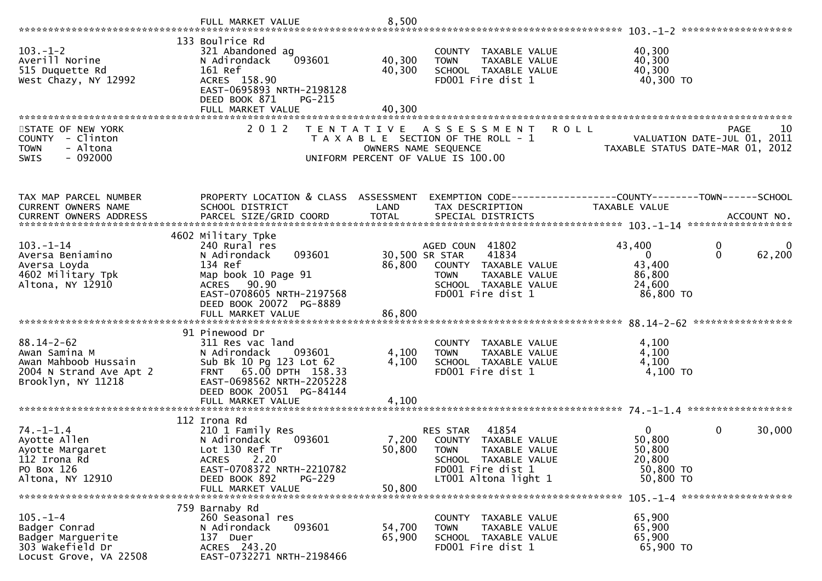|                                                                                                            | FULL MARKET VALUE                                                                                                                                                                 | 8,500                      |                                                                                                                                                      |                                                                                                                          |
|------------------------------------------------------------------------------------------------------------|-----------------------------------------------------------------------------------------------------------------------------------------------------------------------------------|----------------------------|------------------------------------------------------------------------------------------------------------------------------------------------------|--------------------------------------------------------------------------------------------------------------------------|
| $103. - 1 - 2$<br>Averill Norine<br>515 Duquette Rd<br>West Chazy, NY 12992                                | 133 Boulrice Rd<br>321 Abandoned ag<br>093601<br>N Adirondack<br>161 Ref<br>ACRES 158.90<br>EAST-0695893 NRTH-2198128<br>DEED BOOK 871<br>PG-215<br>FULL MARKET VALUE             | 40,300<br>40,300<br>40,300 | COUNTY TAXABLE VALUE<br><b>TOWN</b><br>TAXABLE VALUE<br>SCHOOL TAXABLE VALUE<br>FD001 Fire dist 1                                                    | 40,300<br>40,300<br>40,300<br>40,300 TO                                                                                  |
| STATE OF NEW YORK<br>COUNTY - Clinton<br>- Altona<br><b>TOWN</b><br>$-092000$<br><b>SWIS</b>               | 2 0 1 2<br>T E N T A T I V E                                                                                                                                                      | OWNERS NAME SEQUENCE       | A S S E S S M E N T<br><b>ROLL</b><br>T A X A B L E SECTION OF THE ROLL - 1<br>UNIFORM PERCENT OF VALUE IS 100.00                                    | <b>PAGE</b><br>10<br>VALUATION DATE-JUL 01, 2011<br>ـدن: VALUATION DATE-JUL UI, 2011<br>TAXABLE STATUS DATE-MAR 01, 2012 |
| TAX MAP PARCEL NUMBER<br>CURRENT OWNERS NAME<br>CURRENT OWNERS ADDRESS                                     | PROPERTY LOCATION & CLASS ASSESSMENT<br>SCHOOL DISTRICT<br>PARCEL SIZE/GRID COORD                                                                                                 | LAND<br><b>TOTAL</b>       | TAX DESCRIPTION<br>SPECIAL DISTRICTS                                                                                                                 | EXEMPTION CODE------------------COUNTY--------TOWN------SCHOOL<br>TAXABLE VALUE<br>ACCOUNT NO.                           |
| $103 - 1 - 14$<br>Aversa Beniamino<br>Aversa Loyda<br>4602 Military Tpk<br>Altona, NY 12910                | 4602 Military Tpke<br>240 Rural res<br>093601<br>N Adirondack<br>134 Ref<br>Map book 10 Page 91<br>ACRES 90.90<br>EAST-0708605 NRTH-2197568<br>DEED BOOK 20072 PG-8889            | 86,800                     | AGED COUN 41802<br>41834<br>30,500 SR STAR<br>COUNTY TAXABLE VALUE<br>TAXABLE VALUE<br><b>TOWN</b><br>SCHOOL TAXABLE VALUE<br>FD001 Fire dist 1      | 0<br>43,400<br>0<br>62,200<br>$\mathbf{0}$<br>43,400<br>86,800<br>24,600<br>86,800 TO                                    |
| $88.14 - 2 - 62$<br>Awan Samina M<br>Awan Mahboob Hussain<br>2004 N Strand Ave Apt 2<br>Brooklyn, NY 11218 | 91 Pinewood Dr<br>311 Res vac land<br>N Adirondack<br>093601<br>Sub Bk 10 Pg 123 Lot 62<br>FRNT 65.00 DPTH 158.33<br>EAST-0698562 NRTH-2205228<br>DEED BOOK 20051 PG-84144        | 4,100<br>4,100             | COUNTY TAXABLE VALUE<br><b>TOWN</b><br>TAXABLE VALUE<br>SCHOOL TAXABLE VALUE<br>FD001 Fire dist 1                                                    | 4,100<br>4,100<br>4,100<br>$4,100$ TO                                                                                    |
| $74. - 1 - 1.4$<br>Ayotte Allen<br>Ayotte Margaret<br>112 Irona Rd<br>PO Box 126<br>Altona, NY 12910       | 112 Irona Rd<br>210 1 Family Res<br>093601<br>N Adirondack<br>Lot 130 Ref Tr<br>2.20<br><b>ACRES</b><br>EAST-0708372 NRTH-2210782<br>PG-229<br>DEED BOOK 892<br>FULL MARKET VALUE | 50,800<br>50,800           | 41854<br>RES STAR<br>7,200 COUNTY TAXABLE VALUE<br><b>TOWN</b><br>TAXABLE VALUE<br>SCHOOL TAXABLE VALUE<br>FD001 Fire dist 1<br>LT001 Altona light 1 | $\overline{0}$<br>0<br>30,000<br>50,800<br>50,800<br>20,800<br>50,800 TO<br>50,800 TO                                    |
| $105. - 1 - 4$<br>Badger Conrad<br>Badger Marguerite<br>303 Wakefield Dr<br>Locust Grove, VA 22508         | 759 Barnaby Rd<br>260 Seasonal res<br>093601<br>N Adirondack<br>137 Duer<br>ACRES 243.20<br>EAST-0732271 NRTH-2198466                                                             | 54,700<br>65,900           | COUNTY TAXABLE VALUE<br>TAXABLE VALUE<br><b>TOWN</b><br>SCHOOL TAXABLE VALUE<br>FD001 Fire dist 1                                                    | 65,900<br>65,900<br>65,900<br>65,900 TO                                                                                  |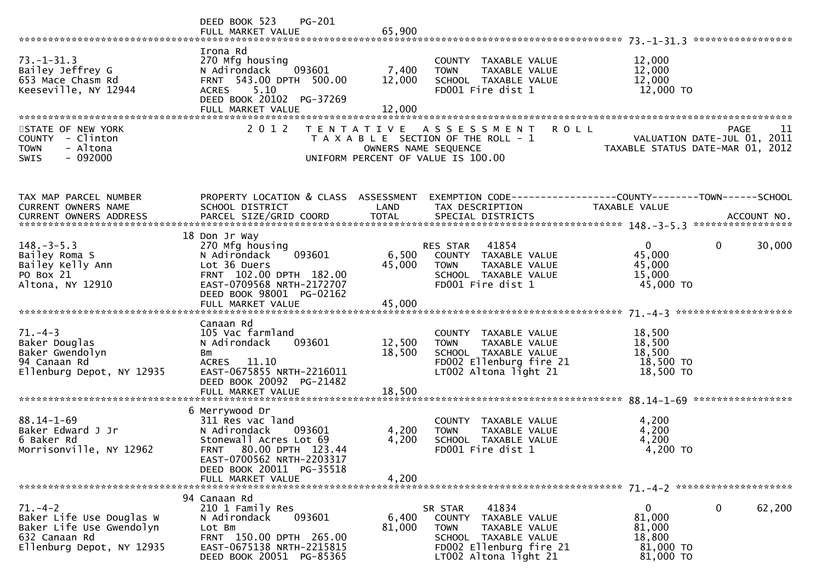|                                                                                                                     | PG-201<br>DEED BOOK 523<br>FULL MARKET VALUE                                                                                                                                                             | 65,900                     |                                                                                                                                                         |                                                                           | ***************** |
|---------------------------------------------------------------------------------------------------------------------|----------------------------------------------------------------------------------------------------------------------------------------------------------------------------------------------------------|----------------------------|---------------------------------------------------------------------------------------------------------------------------------------------------------|---------------------------------------------------------------------------|-------------------|
| $73. - 1 - 31.3$<br>Bailey Jeffrey G<br>653 Mace Chasm Rd<br>Keeseville, NY 12944                                   | Irona Rd<br>270 Mfg housing<br>093601<br>N Adirondack<br>FRNT 543.00 DPTH 500.00<br>5.10<br><b>ACRES</b><br>DEED BOOK 20102 PG-37269<br>FULL MARKET VALUE                                                | 7,400<br>12,000<br>12,000  | COUNTY TAXABLE VALUE<br>TAXABLE VALUE<br><b>TOWN</b><br>SCHOOL TAXABLE VALUE<br>FD001 Fire dist 1                                                       | 12,000<br>12,000<br>12,000<br>12,000 TO                                   |                   |
| STATE OF NEW YORK<br>COUNTY - Clinton<br>- Altona<br><b>TOWN</b><br>$-092000$<br><b>SWIS</b>                        | 2 0 1 2                                                                                                                                                                                                  | T E N T A T I V E          | <b>ROLL</b><br>A S S E S S M E N T<br>T A X A B L E SECTION OF THE ROLL - 1<br>OWNERS NAME SEQUENCE<br>UNIFORM PERCENT OF VALUE IS 100.00               | VALUATION DATE-JUL 01, 2011<br>TAXABLE STATUS DATE-MAR 01, 2012           | <b>PAGE</b><br>11 |
| TAX MAP PARCEL NUMBER<br>CURRENT OWNERS NAME<br>CURRENT OWNERS ADDRESS                                              | PROPERTY LOCATION & CLASS ASSESSMENT<br>SCHOOL DISTRICT<br>PARCEL SIZE/GRID COORD                                                                                                                        | LAND<br><b>TOTAL</b>       | TAX DESCRIPTION<br>SPECIAL DISTRICTS                                                                                                                    | <b>TAXABLE VALUE</b>                                                      | ACCOUNT NO.       |
| $148. - 3 - 5.3$<br>Bailey Roma S<br>Bailey Kelly Ann<br>PO Box 21<br>Altona, NY 12910                              | 18 Don Jr Way<br>270 Mfg housing<br>093601<br>N Adirondack<br>Lot 36 Duers<br>FRNT 102.00 DPTH 182.00<br>EAST-0709568 NRTH-2172707<br>DEED BOOK 98001 PG-02162<br>FULL MARKET VALUE                      | 6,500<br>45,000<br>45,000  | 41854<br>RES STAR<br>COUNTY TAXABLE VALUE<br>TAXABLE VALUE<br><b>TOWN</b><br>SCHOOL TAXABLE VALUE<br>FD001 Fire dist 1                                  | $\overline{0}$<br>$\mathbf{0}$<br>45,000<br>45,000<br>15,000<br>45,000 TO | 30,000            |
| $71. - 4 - 3$<br>Baker Douglas<br>Baker Gwendolyn<br>94 Canaan Rd<br>Ellenburg Depot, NY 12935                      | Canaan Rd<br>105 Vac farmland<br>093601<br>N Adirondack<br>Bm<br>ACRES 11.10<br>EAST-0675855 NRTH-2216011<br>DEED BOOK 20092 PG-21482<br>FULL MARKET VALUE                                               | 12,500<br>18,500<br>18,500 | COUNTY TAXABLE VALUE<br>TAXABLE VALUE<br><b>TOWN</b><br>SCHOOL TAXABLE VALUE<br>FD002 Ellenburg fire 21<br>LT002 Altona light 21                        | 18,500<br>18,500<br>18,500<br>18,500 TO<br>18,500 TO                      |                   |
| $88.14 - 1 - 69$<br>Baker Edward J Jr<br>6 Baker Rd<br>Morrisonville, NY 12962                                      | 6 Merrywood Dr<br>311 Res vac land<br>N Adirondack<br>093601<br>Stonewall Acres Lot 69<br>80.00 DPTH 123.44<br><b>FRNT</b><br>EAST-0700562 NRTH-2203317<br>DEED BOOK 20011 PG-35518<br>FULL MARKET VALUE | 4,200<br>4,200<br>4,200    | COUNTY TAXABLE VALUE<br>TAXABLE VALUE<br><b>TOWN</b><br>SCHOOL TAXABLE VALUE<br>FD001 Fire dist 1                                                       | 4,200<br>4,200<br>4,200<br>4,200 TO                                       |                   |
| $71. - 4 - 2$<br>Baker Life Use Douglas W<br>Baker Life Use Gwendolyn<br>632 Canaan Rd<br>Ellenburg Depot, NY 12935 | 94 Canaan Rd<br>210 1 Family Res<br>093601<br>N Adirondack<br>Lot Bm<br>FRNT 150.00 DPTH 265.00<br>EAST-0675138 NRTH-2215815<br>DEED BOOK 20051 PG-85365                                                 | 6,400<br>81,000            | SR STAR<br>41834<br>TAXABLE VALUE<br>COUNTY<br>TAXABLE VALUE<br><b>TOWN</b><br>SCHOOL TAXABLE VALUE<br>FD002 Ellenburg fire 21<br>LT002 Altona light 21 | 0<br>$\mathbf{0}$<br>81,000<br>81,000<br>18,800<br>81,000 TO<br>81,000 TO | 62,200            |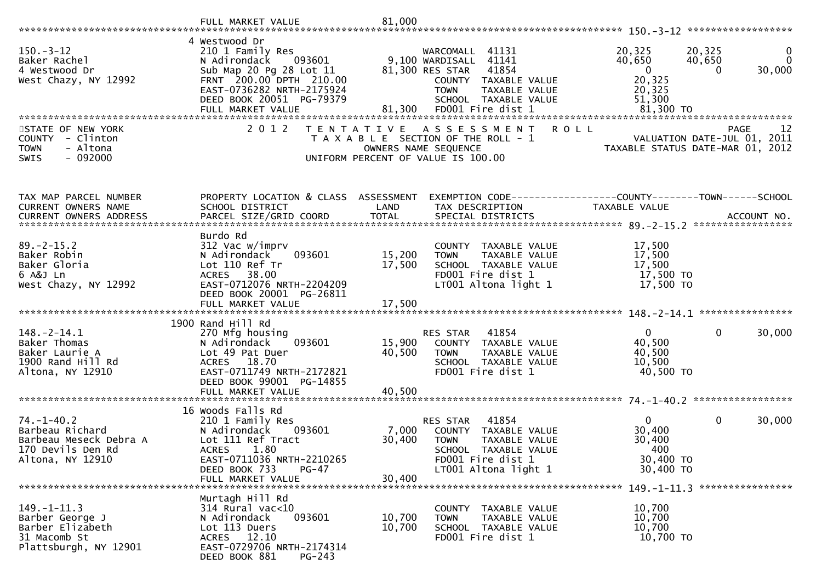| $150 - 3 - 12$<br>Baker Rachel<br>4 Westwood Dr<br>West Chazy, NY 12992                                | 4 Westwood Dr<br>210 1 Family Res<br>093601<br>N Adirondack<br>Sub Map 20 Pg 28 Lot 11<br>FRNT 200.00 DPTH 210.00<br>EAST-0736282 NRTH-2175924<br>DEED BOOK 20051 PG-79379<br>FULL MARKET VALUE | 81,300                     | 41131<br>WARCOMALL<br>9,100 WARDISALL 41141<br>81,300 RES STAR<br>41854<br>COUNTY TAXABLE VALUE<br><b>TOWN</b><br>TAXABLE VALUE<br>SCHOOL TAXABLE VALUE<br>FD001 Fire dist 1 | 20,325<br>40,650<br>$\overline{\mathbf{0}}$<br>20,325<br>20,325<br>51,300<br>81,300 TO | 20,325<br>$\bf{0}$<br>$\Omega$<br>40,650<br>30,000<br>$\Omega$ |
|--------------------------------------------------------------------------------------------------------|-------------------------------------------------------------------------------------------------------------------------------------------------------------------------------------------------|----------------------------|------------------------------------------------------------------------------------------------------------------------------------------------------------------------------|----------------------------------------------------------------------------------------|----------------------------------------------------------------|
| STATE OF NEW YORK<br>COUNTY - Clinton<br><b>TOWN</b><br>- Altona<br>$-092000$<br>SWIS                  | 2 0 1 2                                                                                                                                                                                         | T E N T A T I V E          | A S S E S S M E N T<br>T A X A B L E SECTION OF THE ROLL - 1<br>OWNERS NAME SEQUENCE<br>UNIFORM PERCENT OF VALUE IS 100.00                                                   | <b>ROLL</b><br>TAXABLE STATUS DATE-MAR 01,                                             | -12<br>PAGE<br>VALUATION DATE-JUL 01, 2011<br>2012             |
| TAX MAP PARCEL NUMBER<br>CURRENT OWNERS NAME                                                           | PROPERTY LOCATION & CLASS ASSESSMENT<br>SCHOOL DISTRICT                                                                                                                                         | LAND                       | TAX DESCRIPTION                                                                                                                                                              | EXEMPTION CODE------------------COUNTY--------TOWN------SCHOOL<br><b>TAXABLE VALUE</b> |                                                                |
| $89. - 2 - 15.2$<br>Baker Robin<br>Baker Gloria<br>6 A&J Ln<br>West Chazy, NY 12992                    | Burdo Rd<br>312 Vac w/imprv<br>093601<br>N Adirondack<br>Lot 110 Ref Tr<br>38.00<br><b>ACRES</b><br>EAST-0712076 NRTH-2204209<br>DEED BOOK 20001 PG-26811                                       | 15,200<br>17,500           | COUNTY TAXABLE VALUE<br>TAXABLE VALUE<br><b>TOWN</b><br>SCHOOL TAXABLE VALUE<br>FD001 Fire dist 1<br>LT001 Altona light 1                                                    | 17,500<br>17,500<br>17,500<br>17,500 TO<br>17,500 TO                                   |                                                                |
| $148. - 2 - 14.1$<br>Baker Thomas<br>Baker Laurie A<br>1900 Rand Hill Rd<br>Altona, NY 12910           | 1900 Rand Hill Rd<br>270 Mfg housing<br>093601<br>N Adirondack<br>Lot 49 Pat Duer<br>18.70<br><b>ACRES</b><br>EAST-0711749 NRTH-2172821<br>DEED BOOK 99001 PG-14855<br>FULL MARKET VALUE        | 15,900<br>40,500<br>40,500 | RES STAR<br>41854<br>COUNTY TAXABLE VALUE<br>TAXABLE VALUE<br><b>TOWN</b><br>SCHOOL TAXABLE VALUE<br>FD001 Fire dist 1                                                       | $\mathbf{0}$<br>40,500<br>40,500<br>10,500<br>40,500 TO                                | $\mathbf 0$<br>30,000                                          |
|                                                                                                        |                                                                                                                                                                                                 |                            |                                                                                                                                                                              |                                                                                        |                                                                |
| $74. - 1 - 40.2$<br>Barbeau Richard<br>Barbeau Meseck Debra A<br>170 Devils Den Rd<br>Altona, NY 12910 | 16 Woods Falls Rd<br>210 1 Family Res<br>N Adirondack<br>093601<br>Lot 111 Ref Tract<br>1.80<br><b>ACRES</b><br>EAST-0711036 NRTH-2210265<br>DEED BOOK 733<br>PG-47                             | 7,000<br>30,400            | 41854<br>RES STAR<br>COUNTY TAXABLE VALUE<br><b>TOWN</b><br>TAXABLE VALUE<br>SCHOOL TAXABLE VALUE<br>FD001 Fire dist 1<br>LT001 Altona light 1                               | $\mathbf{0}$<br>30,400<br>30,400<br>400<br>30,400 TO<br>30,400 TO                      | 0<br>30,000                                                    |
|                                                                                                        | FULL MARKET VALUE                                                                                                                                                                               | 30,400                     |                                                                                                                                                                              |                                                                                        |                                                                |
| $149. - 1 - 11.3$<br>Barber George J<br>Barber Elizabeth<br>31 Macomb St<br>Plattsburgh, NY 12901      | Murtagh Hill Rd<br>314 Rural vac<10<br>N Adirondack<br>093601<br>Lot 113 Duers<br>ACRES 12.10<br>EAST-0729706 NRTH-2174314<br>DEED BOOK 881<br>PG-243                                           | 10,700<br>10,700           | COUNTY TAXABLE VALUE<br>TAXABLE VALUE<br><b>TOWN</b><br>SCHOOL TAXABLE VALUE<br>FD001 Fire dist 1                                                                            | 10,700<br>10,700<br>10,700<br>10,700 TO                                                |                                                                |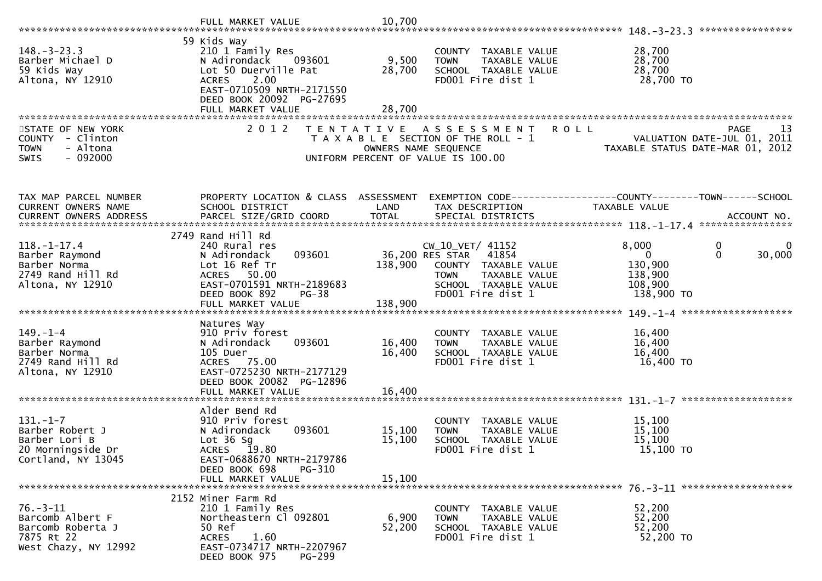| $148. - 3 - 23.3$<br>Barber Michael D<br>59 Kids Way<br>Altona, NY 12910                      | 59 Kids Way<br>210 1 Family Res<br>N Adirondack<br>093601<br>Lot 50 Duerville Pat<br>2.00<br><b>ACRES</b><br>EAST-0710509 NRTH-2171550<br>DEED BOOK 20092 PG-27695<br>FULL MARKET VALUE | 9,500<br>28,700<br>28,700  | COUNTY TAXABLE VALUE<br><b>TOWN</b><br>TAXABLE VALUE<br>SCHOOL TAXABLE VALUE<br>FD001 Fire dist 1                                                         | 28,700<br>28,700<br>28,700<br>28,700 TO                                                              |
|-----------------------------------------------------------------------------------------------|-----------------------------------------------------------------------------------------------------------------------------------------------------------------------------------------|----------------------------|-----------------------------------------------------------------------------------------------------------------------------------------------------------|------------------------------------------------------------------------------------------------------|
|                                                                                               |                                                                                                                                                                                         |                            |                                                                                                                                                           |                                                                                                      |
| STATE OF NEW YORK<br>COUNTY - Clinton<br>- Altona<br><b>TOWN</b><br>$-092000$<br><b>SWIS</b>  | 2 0 1 2                                                                                                                                                                                 | OWNERS NAME SEQUENCE       | <b>ROLL</b><br>TENTATIVE ASSESSMENT<br>T A X A B L E SECTION OF THE ROLL - 1<br>UNIFORM PERCENT OF VALUE IS 100.00                                        | <b>PAGE</b><br>13<br>VALUATION DATE-JUL 01, 2011<br>TAXABLE STATUS DATE-MAR 01, 2012                 |
| TAX MAP PARCEL NUMBER                                                                         | PROPERTY LOCATION & CLASS ASSESSMENT                                                                                                                                                    |                            |                                                                                                                                                           | EXEMPTION CODE------------------COUNTY--------TOWN------SCHOOL                                       |
| CURRENT OWNERS NAME                                                                           | SCHOOL DISTRICT                                                                                                                                                                         | LAND                       | TAX DESCRIPTION                                                                                                                                           | TAXABLE VALUE                                                                                        |
| <b>CURRENT OWNERS ADDRESS</b>                                                                 |                                                                                                                                                                                         |                            |                                                                                                                                                           |                                                                                                      |
|                                                                                               | 2749 Rand Hill Rd                                                                                                                                                                       |                            |                                                                                                                                                           |                                                                                                      |
| $118. - 1 - 17.4$<br>Barber Raymond<br>Barber Norma<br>2749 Rand Hill Rd<br>Altona, NY 12910  | 240 Rural res<br>N Adirondack<br>093601<br>Lot 16 Ref Tr<br>ACRES 50.00<br>EAST-0701591 NRTH-2189683<br>DEED BOOK 892<br>$PG-38$                                                        | 138,900                    | $CW_10_VET/41152$<br>36,200 RES STAR<br>41854<br>COUNTY TAXABLE VALUE<br><b>TAXABLE VALUE</b><br><b>TOWN</b><br>SCHOOL TAXABLE VALUE<br>FD001 Fire dist 1 | 8,000<br>0<br>$\mathbf 0$<br>30,000<br>$\overline{0}$<br>130,900<br>138,900<br>108,900<br>138,900 TO |
|                                                                                               |                                                                                                                                                                                         |                            |                                                                                                                                                           |                                                                                                      |
|                                                                                               |                                                                                                                                                                                         |                            |                                                                                                                                                           |                                                                                                      |
| $149. - 1 - 4$<br>Barber Raymond<br>Barber Norma<br>2749 Rand Hill Rd<br>Altona, NY 12910     | Natures Way<br>910 Priv forest<br>093601<br>N Adirondack<br>105 Duer<br>ACRES 75.00<br>EAST-0725230 NRTH-2177129<br>DEED BOOK 20082 PG-12896                                            | 16,400<br>16,400           | COUNTY TAXABLE VALUE<br>TAXABLE VALUE<br><b>TOWN</b><br>SCHOOL TAXABLE VALUE<br>FD001 Fire dist 1                                                         | 16,400<br>16,400<br>16,400<br>16,400 TO                                                              |
|                                                                                               | FULL MARKET VALUE                                                                                                                                                                       | 16,400                     |                                                                                                                                                           |                                                                                                      |
| $131. - 1 - 7$<br>Barber Robert J<br>Barber Lori B<br>20 Morningside Dr<br>Cortland, NY 13045 | Alder Bend Rd<br>910 Priv forest<br>N Adirondack<br>093601<br>Lot $36$ Sg<br>ACRES 19.80<br>EAST-0688670 NRTH-2179786<br>DEED BOOK 698<br>PG-310<br>FULL MARKET VALUE                   | 15,100<br>15,100<br>15,100 | COUNTY TAXABLE VALUE<br>TAXABLE VALUE<br><b>TOWN</b><br>SCHOOL TAXABLE VALUE<br>FD001 Fire dist 1                                                         | 15,100<br>15,100<br>15,100<br>15,100 TO                                                              |
|                                                                                               |                                                                                                                                                                                         |                            |                                                                                                                                                           |                                                                                                      |
| $76. - 3 - 11$<br>Barcomb Albert F<br>Barcomb Roberta J<br>7875 Rt 22<br>West Chazy, NY 12992 | 2152 Miner Farm Rd<br>210 1 Family Res<br>Northeastern Cl 092801<br>50 Ref<br>1.60<br>ACRES<br>EAST-0734717 NRTH-2207967<br>DEED BOOK 975<br>PG-299                                     | 6,900<br>52,200            | COUNTY TAXABLE VALUE<br><b>TOWN</b><br>TAXABLE VALUE<br>SCHOOL TAXABLE VALUE<br>FD001 Fire dist 1                                                         | 52,200<br>52,200<br>52,200<br>52,200 TO                                                              |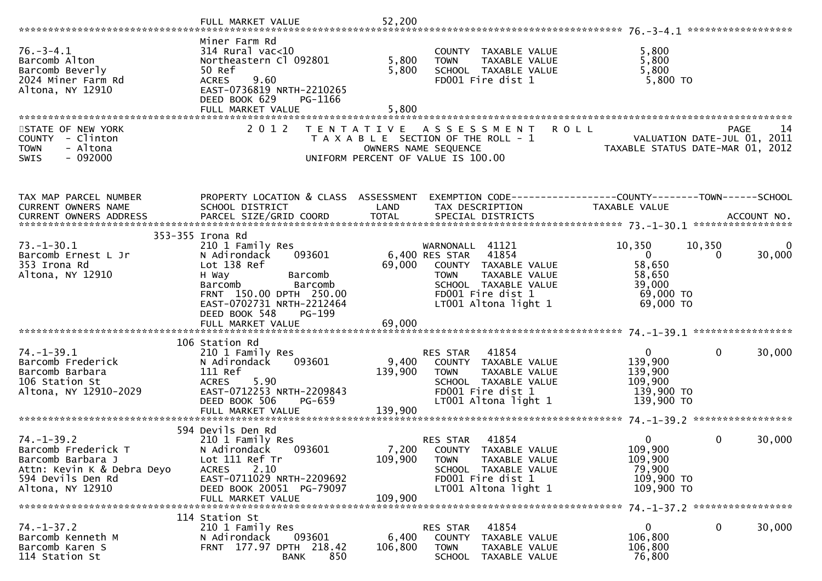| $76. - 3 - 4.1$<br>Barcomb Alton<br>Barcomb Beverly<br>2024 Miner Farm Rd<br>Altona, NY 12910                                       | Miner Farm Rd<br>$314$ Rural vac<10<br>Northeastern Cl 092801<br>50 Ref<br>9.60<br><b>ACRES</b><br>EAST-0736819 NRTH-2210265<br>DEED BOOK 629<br>PG-1166<br>FULL MARKET VALUE                                                   | 5,800<br>5,800<br>5,800     | COUNTY TAXABLE VALUE<br>TAXABLE VALUE<br><b>TOWN</b><br>SCHOOL TAXABLE VALUE<br>FD001 Fire dist 1                                                                          | 5,800<br>5,800<br>5,800<br>$5,800$ TO                                                      |                    |
|-------------------------------------------------------------------------------------------------------------------------------------|---------------------------------------------------------------------------------------------------------------------------------------------------------------------------------------------------------------------------------|-----------------------------|----------------------------------------------------------------------------------------------------------------------------------------------------------------------------|--------------------------------------------------------------------------------------------|--------------------|
|                                                                                                                                     |                                                                                                                                                                                                                                 |                             |                                                                                                                                                                            |                                                                                            |                    |
| STATE OF NEW YORK<br>COUNTY - Clinton<br><b>TOWN</b><br>- Altona<br>$-092000$<br><b>SWIS</b>                                        | 2 0 1 2<br>T E N T A T I V E                                                                                                                                                                                                    |                             | ASSESSMENT<br>T A X A B L E SECTION OF THE ROLL - 1<br>OWNERS NAME SEQUENCE<br>UNIFORM PERCENT OF VALUE IS 100.00                                                          | <b>ROLL</b><br>VALUATION DATE-JUL 01, 2011<br>TAXABLE STATUS DATE-MAR 01, 2012             | <b>PAGE</b><br>14  |
| TAX MAP PARCEL NUMBER                                                                                                               | PROPERTY LOCATION & CLASS ASSESSMENT                                                                                                                                                                                            |                             | EXEMPTION CODE-----------------COUNTY--------TOWN------SCHOOL                                                                                                              |                                                                                            |                    |
| CURRENT OWNERS NAME<br>CURRENT OWNERS ADDRESS                                                                                       | SCHOOL DISTRICT                                                                                                                                                                                                                 | LAND                        | TAX DESCRIPTION                                                                                                                                                            | TAXABLE VALUE                                                                              |                    |
| $73. - 1 - 30.1$<br>Barcomb Ernest L Jr<br>353 Irona Rd<br>Altona, NY 12910                                                         | 353-355 Irona Rd<br>210 1 Family Res<br>093601<br>N Adirondack<br>Lot 138 Ref<br>H Way<br>Barcomb<br>Barcomb<br>Barcomb<br>FRNT 150.00 DPTH 250.00<br>EAST-0702731 NRTH-2212464<br>DEED BOOK 548<br>PG-199<br>FULL MARKET VALUE | 69,000<br>69,000            | 41121<br>WARNONALL<br>6,400 RES STAR<br>41854<br>COUNTY TAXABLE VALUE<br>TAXABLE VALUE<br><b>TOWN</b><br>SCHOOL TAXABLE VALUE<br>FD001 Fire dist 1<br>LT001 Altona light 1 | 10,350<br>10,350<br>$\overline{0}$<br>58,650<br>58,650<br>39,000<br>69,000 TO<br>69,000 TO | 0<br>30,000<br>0   |
|                                                                                                                                     | 106 Station Rd                                                                                                                                                                                                                  |                             |                                                                                                                                                                            |                                                                                            |                    |
| $74. - 1 - 39.1$<br>Barcomb Frederick<br>Barcomb Barbara<br>106 Station St<br>Altona, NY 12910-2029                                 | 210 1 Family Res<br>N Adirondack<br>093601<br>111 Ref<br><b>ACRES</b><br>5.90<br>EAST-0712253 NRTH-2209843<br>PG-659<br>DEED BOOK 506                                                                                           | 9,400<br>139,900            | 41854<br>RES STAR<br>COUNTY TAXABLE VALUE<br><b>TOWN</b><br>TAXABLE VALUE<br>SCHOOL TAXABLE VALUE<br>FD001 Fire dist 1<br>LT001 Altona light 1                             | $\mathbf{0}$<br>139,900<br>139,900<br>109,900<br>139,900 TO<br>139,900 TO                  | 30,000<br>$\Omega$ |
|                                                                                                                                     | 594 Devils Den Rd                                                                                                                                                                                                               |                             |                                                                                                                                                                            |                                                                                            |                    |
| $74. - 1 - 39.2$<br>Barcomb Frederick T<br>Barcomb Barbara J<br>Attn: Kevin K & Debra Deyo<br>594 Devils Den Rd<br>Altona, NY 12910 | 210 1 Family Res<br>N Adirondack<br>093601<br>Lot 111 Ref Tr<br>2.10<br><b>ACRES</b><br>EAST-0711029 NRTH-2209692<br>DEED BOOK 20051 PG-79097<br>FULL MARKET VALUE                                                              | 7,200<br>109,900<br>109,900 | 41854<br>RES STAR<br>COUNTY TAXABLE VALUE<br>TAXABLE VALUE<br><b>TOWN</b><br>SCHOOL TAXABLE VALUE<br>FD001 Fire dist 1<br>LT001 Altona light 1                             | 0<br>109,900<br>109,900<br>79,900<br>109,900 TO<br>109,900 TO                              | 30,000<br>$\Omega$ |
| $74. - 1 - 37.2$<br>Barcomb Kenneth M<br>Barcomb Karen S<br>114 Station St                                                          | 114 Station St<br>210 1 Family Res<br>N Adirondack<br>093601<br>FRNT 177.97 DPTH 218.42<br>850<br><b>BANK</b>                                                                                                                   | 6,400<br>106,800            | 41854<br>RES STAR<br>COUNTY<br>TAXABLE VALUE<br><b>TOWN</b><br>TAXABLE VALUE<br><b>SCHOOL</b><br>TAXABLE VALUE                                                             | $\mathbf 0$<br>106,800<br>106,800<br>76,800                                                | 30,000<br>0        |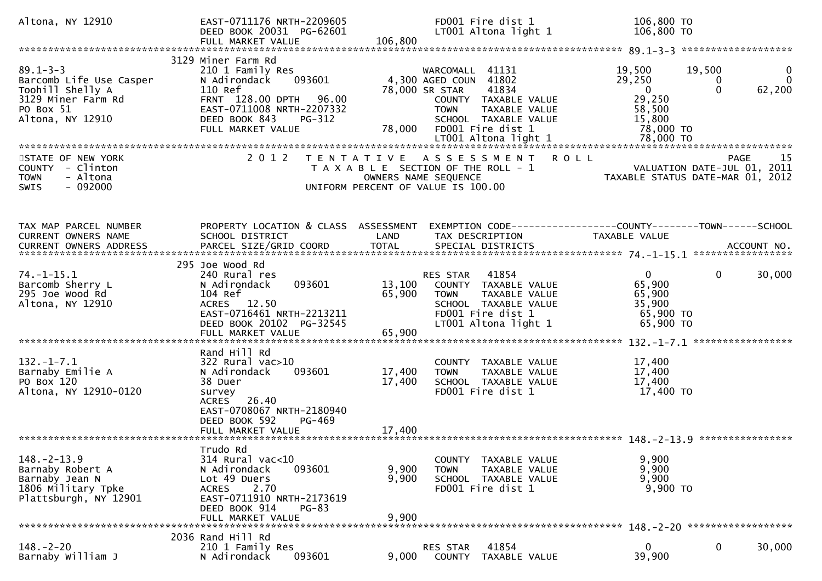| Altona, NY 12910                                                                                                     | EAST-0711176 NRTH-2209605<br>DEED BOOK 20031 PG-62601<br>FULL MARKET VALUE                                                                                                         | FD001 Fire dist 1<br>LT001 Altona light 1<br>106,800                                                                                                                                            | 106,800 TO<br>106,800 TO                                                                                                                           |
|----------------------------------------------------------------------------------------------------------------------|------------------------------------------------------------------------------------------------------------------------------------------------------------------------------------|-------------------------------------------------------------------------------------------------------------------------------------------------------------------------------------------------|----------------------------------------------------------------------------------------------------------------------------------------------------|
|                                                                                                                      |                                                                                                                                                                                    |                                                                                                                                                                                                 |                                                                                                                                                    |
| $89.1 - 3 - 3$<br>Barcomb Life Use Casper<br>Toohill Shelly A<br>3129 Miner Farm Rd<br>PO Box 51<br>Altona, NY 12910 | 3129 Miner Farm Rd<br>210 1 Family Res<br>093601<br>N Adirondack<br>110 Ref<br>FRNT 128.00 DPTH 96.00<br>EAST-0711008 NRTH-2207332<br>DEED BOOK 843<br>PG-312<br>FULL MARKET VALUE | 41131<br>WARCOMALL<br>4,300 AGED COUN<br>41802<br>78,000 SR STAR<br>41834<br>COUNTY TAXABLE VALUE<br><b>TOWN</b><br><b>TAXABLE VALUE</b><br>SCHOOL TAXABLE VALUE<br>FD001 Fire dist 1<br>78,000 | 19,500<br>19,500<br>0<br>$\mathbf 0$<br>29,250<br>0<br>$\mathbf 0$<br>$\overline{\mathbf{0}}$<br>62,200<br>29,250<br>58,500<br>15,800<br>78,000 TO |
| STATE OF NEW YORK<br>COUNTY - Clinton<br>- Altona<br><b>TOWN</b><br>$-092000$<br><b>SWIS</b>                         | 2 0 1 2                                                                                                                                                                            | TENTATIVE ASSESSMENT<br>T A X A B L E SECTION OF THE ROLL - 1<br>OWNERS NAME SEQUENCE<br>UNIFORM PERCENT OF VALUE IS 100.00                                                                     | <b>ROLL</b><br>-15<br><b>PAGE</b><br>VALUATION DATE-JUL 01, 2011<br>TAXABLE STATUS DATE-MAR 01, 2012                                               |
| TAX MAP PARCEL NUMBER<br>CURRENT OWNERS NAME                                                                         | PROPERTY LOCATION & CLASS ASSESSMENT<br>SCHOOL DISTRICT                                                                                                                            | LAND<br>TAX DESCRIPTION                                                                                                                                                                         | EXEMPTION CODE-----------------COUNTY--------TOWN------SCHOOL<br><b>TAXABLE VALUE</b>                                                              |
| $74. - 1 - 15.1$<br>Barcomb Sherry L<br>295 Joe Wood Rd<br>Altona, NY 12910                                          | 295 Joe Wood Rd<br>240 Rural res<br>093601<br>N Adirondack<br>104 Ref<br>ACRES 12.50<br>EAST-0716461 NRTH-2213211<br>DEED BOOK 20102 PG-32545<br>FULL MARKET VALUE                 | 41854<br>RES STAR<br>13,100<br>COUNTY TAXABLE VALUE<br>65,900<br>TAXABLE VALUE<br><b>TOWN</b><br>SCHOOL TAXABLE VALUE<br>FD001 Fire dist 1<br>LT001 Altona light 1<br>65,900                    | $\overline{0}$<br>$\mathbf{0}$<br>30,000<br>65,900<br>65,900<br>35,900<br>65,900 TO<br>65,900 TO                                                   |
| $132 - 1 - 7.1$<br>Barnaby Emilie A<br>PO Box 120<br>Altona, NY 12910-0120                                           | Rand Hill Rd<br>$322$ Rural vac $>10$<br>093601<br>N Adirondack<br>38 Duer<br>survey<br>ACRES 26.40<br>EAST-0708067 NRTH-2180940<br>DEED BOOK 592<br>PG-469                        | <b>COUNTY</b><br>TAXABLE VALUE<br>17,400<br><b>TOWN</b><br>TAXABLE VALUE<br>17,400<br>SCHOOL TAXABLE VALUE<br>FD001 Fire dist 1                                                                 | *****************<br>17,400<br>17,400<br>17,400<br>17,400 TO                                                                                       |
| $148. - 2 - 13.9$<br>Barnaby Robert A<br>Barnaby Jean N<br>1806 Military Tpke<br>Plattsburgh, NY 12901               | Trudo Rd<br>314 Rural vac<10<br>093601<br>N Adirondack<br>Lot 49 Duers<br>2.70<br><b>ACRES</b><br>EAST-0711910 NRTH-2173619<br>DEED BOOK 914<br>$PG-83$<br>FULL MARKET VALUE       | TAXABLE VALUE<br><b>COUNTY</b><br>9,900<br><b>TOWN</b><br>TAXABLE VALUE<br>9,900<br>SCHOOL TAXABLE VALUE<br>FD001 Fire dist 1<br>9,900                                                          | 9,900<br>9,900<br>9,900<br>9,900 TO                                                                                                                |
|                                                                                                                      |                                                                                                                                                                                    |                                                                                                                                                                                                 |                                                                                                                                                    |
| $148. - 2 - 20$<br>Barnaby William J                                                                                 | 2036 Rand Hill Rd<br>210 1 Family Res<br>093601<br>N Adirondack                                                                                                                    | 41854<br>RES STAR<br>9,000<br>TAXABLE VALUE<br>COUNTY                                                                                                                                           | 0<br>30,000<br>0<br>39,900                                                                                                                         |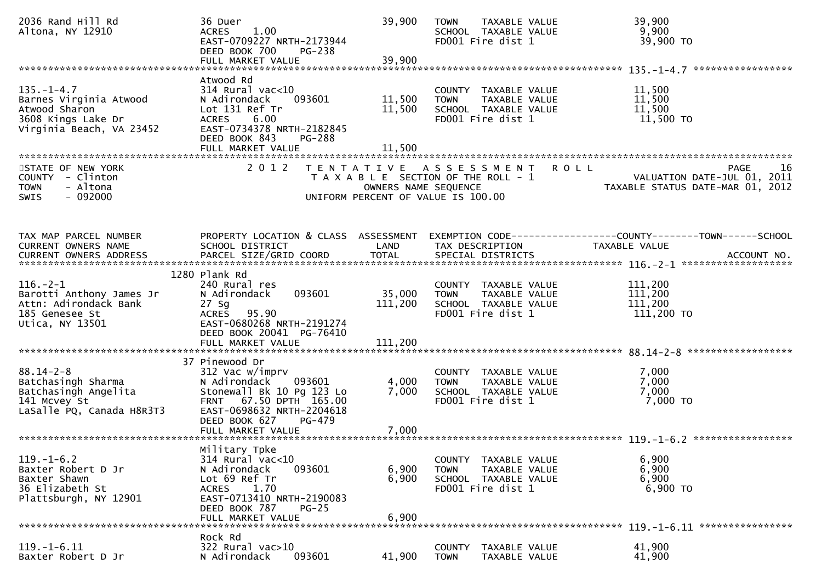| 2036 Rand Hill Rd<br>Altona, NY 12910                                                                         | 36 Duer<br>1.00<br><b>ACRES</b><br>EAST-0709227 NRTH-2173944<br>DEED BOOK 700<br>PG-238<br>FULL MARKET VALUE                                                                        | 39,900<br>39,900           | <b>TOWN</b><br>TAXABLE VALUE<br>SCHOOL TAXABLE VALUE<br>FD001 Fire dist 1                                | 39,900<br>9,900<br>39,900 TO                                                    |
|---------------------------------------------------------------------------------------------------------------|-------------------------------------------------------------------------------------------------------------------------------------------------------------------------------------|----------------------------|----------------------------------------------------------------------------------------------------------|---------------------------------------------------------------------------------|
| $135. - 1 - 4.7$<br>Barnes Virginia Atwood<br>Atwood Sharon<br>3608 Kings Lake Dr<br>Virginia Beach, VA 23452 | Atwood Rd<br>$314$ Rural vac< $10$<br>093601<br>N Adirondack<br>Lot 131 Ref Tr<br>6.00<br><b>ACRES</b><br>EAST-0734378 NRTH-2182845<br>DEED BOOK 843<br>PG-288<br>FULL MARKET VALUE | 11,500<br>11,500<br>11,500 | COUNTY TAXABLE VALUE<br><b>TOWN</b><br>TAXABLE VALUE<br>SCHOOL TAXABLE VALUE<br>FD001 Fire dist 1        | 11,500<br>11,500<br>11,500<br>11,500 TO                                         |
| STATE OF NEW YORK<br>COUNTY - Clinton<br><b>TOWN</b><br>- Altona<br>$-092000$<br><b>SWIS</b>                  | 2 0 1 2                                                                                                                                                                             | OWNERS NAME SEQUENCE       | TENTATIVE ASSESSMENT ROLL<br>T A X A B L E SECTION OF THE ROLL - 1<br>UNIFORM PERCENT OF VALUE IS 100.00 | 16<br>PAGE<br>VALUATION DATE-JUL UI, 2011<br>TAXABLE STATUS DATE-MAR 01, 2012   |
| TAX MAP PARCEL NUMBER<br>CURRENT OWNERS NAME                                                                  | PROPERTY LOCATION & CLASS ASSESSMENT<br>SCHOOL DISTRICT                                                                                                                             | LAND                       | TAX DESCRIPTION                                                                                          | EXEMPTION CODE------------------COUNTY--------TOWN------SCHOOL<br>TAXABLE VALUE |
| $116. - 2 - 1$<br>Barotti Anthony James Jr<br>Attn: Adirondack Bank<br>185 Genesee St<br>Utica, NY 13501      | 1280 Plank Rd<br>240 Rural res<br>093601<br>N Adirondack<br>27 Sg<br>ACRES 95.90<br>EAST-0680268 NRTH-2191274<br>DEED BOOK 20041 PG-76410                                           | 35,000<br>111,200          | COUNTY TAXABLE VALUE<br><b>TOWN</b><br>TAXABLE VALUE<br>SCHOOL TAXABLE VALUE<br>FD001 Fire dist 1        | 111,200<br>111,200<br>111,200<br>111,200 TO                                     |
| $88.14 - 2 - 8$<br>Batchasingh Sharma<br>Batchasingh Angelita<br>141 Mcvey St<br>LaSalle PQ, Canada H8R3T3    | 37 Pinewood Dr<br>312 Vac w/imprv<br>N Adirondack<br>093601<br>Stonewall Bk 10 Pg 123 Lo<br>FRNT 67.50 DPTH 165.00<br>EAST-0698632 NRTH-2204618<br>DEED BOOK 627<br>PG-479          | 4,000<br>7,000             | COUNTY TAXABLE VALUE<br>TAXABLE VALUE<br><b>TOWN</b><br>SCHOOL TAXABLE VALUE<br>FD001 Fire dist 1        | 7,000<br>7,000<br>7,000<br>7,000 TO                                             |
| $119. - 1 - 6.2$<br>Baxter Robert D Jr<br>Baxter Shawn<br>36 Elizabeth St<br>Plattsburgh, NY 12901            | Military Tpke<br>314 Rural vac<10<br>N Adirondack<br>093601<br>Lot 69 Ref Tr<br>1.70<br><b>ACRES</b><br>EAST-0713410 NRTH-2190083<br>DEED BOOK 787<br>$PG-25$<br>FULL MARKET VALUE  | 6,900<br>6,900<br>6,900    | COUNTY TAXABLE VALUE<br>TAXABLE VALUE<br><b>TOWN</b><br>SCHOOL TAXABLE VALUE<br>FD001 Fire dist 1        | 6,900<br>6,900<br>6,900<br>6,900 TO                                             |
| $119. - 1 - 6.11$<br>Baxter Robert D Jr                                                                       | Rock Rd<br>$322$ Rural vac $>10$<br>N Adirondack<br>093601                                                                                                                          | 41,900                     | COUNTY<br>TAXABLE VALUE<br>TAXABLE VALUE<br><b>TOWN</b>                                                  | 41,900<br>41,900                                                                |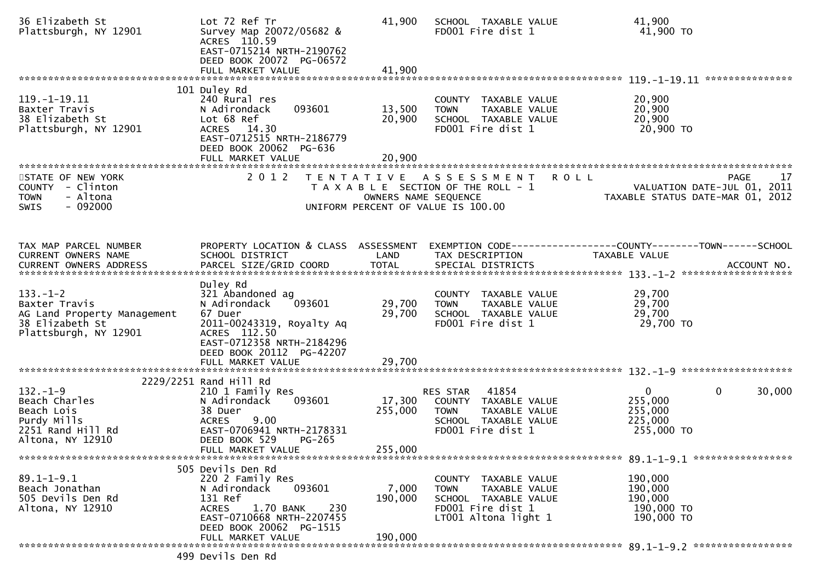| 36 Elizabeth St<br>Plattsburgh, NY 12901                                                                   | Lot 72 Ref Tr<br>Survey Map 20072/05682 &<br>ACRES 110.59<br>EAST-0715214 NRTH-2190762<br>DEED BOOK 20072 PG-06572                                               | 41,900                     | SCHOOL TAXABLE VALUE<br>FD001 Fire dist 1                                                                                 | 41,900<br>$41,900$ TO                                                                   |
|------------------------------------------------------------------------------------------------------------|------------------------------------------------------------------------------------------------------------------------------------------------------------------|----------------------------|---------------------------------------------------------------------------------------------------------------------------|-----------------------------------------------------------------------------------------|
|                                                                                                            |                                                                                                                                                                  |                            |                                                                                                                           |                                                                                         |
| $119. - 1 - 19.11$<br>Baxter Travis<br>38 Elizabeth St<br>Plattsburgh, NY 12901                            | 101 Duley Rd<br>240 Rural res<br>093601<br>N Adirondack<br>Lot 68 Ref<br>ACRES 14.30<br>EAST-0712515 NRTH-2186779<br>DEED BOOK 20062 PG-636<br>FULL MARKET VALUE | 13,500<br>20,900<br>20,900 | COUNTY TAXABLE VALUE<br>TAXABLE VALUE<br><b>TOWN</b><br>SCHOOL TAXABLE VALUE<br>FD001 Fire dist 1                         | 20,900<br>20,900<br>20,900<br>20,900 TO                                                 |
|                                                                                                            |                                                                                                                                                                  |                            |                                                                                                                           |                                                                                         |
| STATE OF NEW YORK<br>COUNTY - Clinton<br>- Altona<br><b>TOWN</b><br>$-092000$<br>SWIS                      | 2 0 1 2                                                                                                                                                          | OWNERS NAME SEQUENCE       | TENTATIVE ASSESSMENT<br><b>ROLL</b><br>T A X A B L E SECTION OF THE ROLL - 1<br>UNIFORM PERCENT OF VALUE IS 100.00        | <b>PAGE</b><br>17<br>VALUATION DATE-JUL 01, 2011<br>TAXABLE STATUS DATE-MAR 01, 2012    |
|                                                                                                            |                                                                                                                                                                  |                            |                                                                                                                           |                                                                                         |
| TAX MAP PARCEL NUMBER<br>CURRENT OWNERS NAME                                                               | PROPERTY LOCATION & CLASS ASSESSMENT<br>SCHOOL DISTRICT                                                                                                          | LAND                       | TAX DESCRIPTION                                                                                                           | EXEMPTION CODE-----------------COUNTY-------TOWN------SCHOOL<br>TAXABLE VALUE           |
|                                                                                                            |                                                                                                                                                                  |                            |                                                                                                                           |                                                                                         |
| $133. - 1 - 2$<br>Baxter Travis<br>AG Land Property Management<br>38 Elizabeth St<br>Plattsburgh, NY 12901 | Duley Rd<br>321 Abandoned ag<br>N Adirondack<br>093601<br>67 Duer<br>2011-00243319, Royalty Aq<br>ACRES 112.50<br>EAST-0712358 NRTH-2184296                      | 29,700<br>29,700           | COUNTY TAXABLE VALUE<br>TAXABLE VALUE<br><b>TOWN</b><br>SCHOOL TAXABLE VALUE<br>FD001 Fire dist 1                         | 29,700<br>29,700<br>29,700<br>29,700 TO                                                 |
|                                                                                                            | DEED BOOK 20112 PG-42207                                                                                                                                         |                            |                                                                                                                           |                                                                                         |
|                                                                                                            | FULL MARKET VALUE                                                                                                                                                | 29,700                     |                                                                                                                           |                                                                                         |
|                                                                                                            | 2229/2251 Rand Hill Rd                                                                                                                                           |                            |                                                                                                                           |                                                                                         |
| $132. - 1 - 9$<br>Beach Charles<br>Beach Lois<br>Purdy Mills<br>2251 Rand Hill Rd<br>Altona, NY 12910      | 210 1 Family Res<br>N Adirondack<br>093601<br>38 Duer<br>9.00<br><b>ACRES</b><br>EAST-0706941 NRTH-2178331<br>DEED BOOK 529<br>PG-265                            | 17,300<br>255,000          | 41854<br>RES STAR<br>COUNTY TAXABLE VALUE<br><b>TOWN</b><br>TAXABLE VALUE<br>SCHOOL TAXABLE VALUE<br>FD001 Fire dist 1    | $\mathbf{0}$<br>30,000<br>$\overline{0}$<br>255,000<br>255,000<br>225,000<br>255,000 TO |
|                                                                                                            | FULL MARKET VALUE                                                                                                                                                | 255,000                    |                                                                                                                           |                                                                                         |
|                                                                                                            |                                                                                                                                                                  |                            |                                                                                                                           |                                                                                         |
| $89.1 - 1 - 9.1$<br>Beach Jonathan<br>505 Devils Den Rd<br>Altona, NY 12910                                | 505 Devils Den Rd<br>220 2 Family Res<br>093601<br>N Adirondack<br>131 Ref<br>230<br>ACRES<br>1.70 BANK<br>EAST-0710668 NRTH-2207455<br>DEED BOOK 20062 PG-1515  | 7,000<br>190,000           | COUNTY TAXABLE VALUE<br><b>TOWN</b><br>TAXABLE VALUE<br>SCHOOL TAXABLE VALUE<br>FD001 Fire dist 1<br>LT001 Altona light 1 | 190,000<br>190,000<br>190,000<br>190,000 то<br>190,000 TO                               |
|                                                                                                            | FULL MARKET VALUE                                                                                                                                                | 190,000                    |                                                                                                                           |                                                                                         |
|                                                                                                            |                                                                                                                                                                  |                            |                                                                                                                           |                                                                                         |
|                                                                                                            | 499 Devils Den Rd                                                                                                                                                |                            |                                                                                                                           |                                                                                         |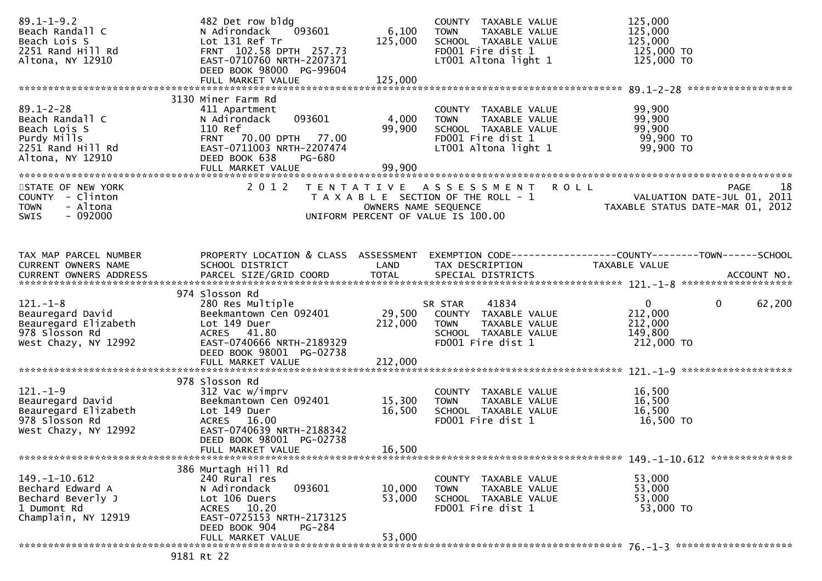| $89.1 - 1 - 9.2$<br>Beach Randall C<br>Beach Lois S<br>2251 Rand Hill Rd<br>Altona, NY 12910               | 482 Det row bldg<br>093601<br>N Adirondack<br>Lot 131 Ref Tr<br>FRNT 102.58 DPTH 257.73<br>EAST-0710760 NRTH-2207371<br>DEED BOOK 98000 PG-99604<br>FULL MARKET VALUE | 6,100<br>125,000<br>125,000 | COUNTY TAXABLE VALUE<br><b>TOWN</b><br>TAXABLE VALUE<br>SCHOOL TAXABLE VALUE<br>FD001 Fire dist 1<br>LT001 Altona light 1    | 125,000<br>125,000<br>125,000<br>125,000 TO<br>125,000 TO                                                         |
|------------------------------------------------------------------------------------------------------------|-----------------------------------------------------------------------------------------------------------------------------------------------------------------------|-----------------------------|------------------------------------------------------------------------------------------------------------------------------|-------------------------------------------------------------------------------------------------------------------|
|                                                                                                            | 3130 Miner Farm Rd                                                                                                                                                    |                             |                                                                                                                              |                                                                                                                   |
| $89.1 - 2 - 28$<br>Beach Randall C<br>Beach Lois S<br>Purdy Mills<br>2251 Rand Hill Rd<br>Altona, NY 12910 | 411 Apartment<br>093601<br>N Adirondack<br>110 Ref<br>FRNT 70.00 DPTH 77.00<br>EAST-0711003 NRTH-2207474<br>DEED BOOK 638<br><b>PG-680</b><br>FULL MARKET VALUE       | 4,000<br>99,900<br>99,900   | COUNTY TAXABLE VALUE<br>TAXABLE VALUE<br><b>TOWN</b><br>SCHOOL TAXABLE VALUE<br>FD001 Fire dist 1<br>LT001 Altona light 1    | 99,900<br>99,900<br>99,900<br>טע, פע<br>99,900 TO<br>חד <u>ממה</u><br>99,900 TO                                   |
|                                                                                                            |                                                                                                                                                                       |                             |                                                                                                                              |                                                                                                                   |
| STATE OF NEW YORK<br>COUNTY - Clinton<br>- Altona<br><b>TOWN</b><br>$-092000$<br>SWIS                      |                                                                                                                                                                       |                             | 2012 TENTATIVE ASSESSMENT ROLL<br>UNIFORM PERCENT OF VALUE IS 100.00                                                         | 18<br><b>PAGE</b><br>T A X A B L E SECTION OF THE ROLL - 1<br>OWNERS NAME SEQUENCE<br>OWNERS NAME SEQUENCE        |
|                                                                                                            |                                                                                                                                                                       |                             |                                                                                                                              |                                                                                                                   |
| TAX MAP PARCEL NUMBER<br>CURRENT OWNERS NAME                                                               | SCHOOL DISTRICT                                                                                                                                                       | LAND                        | TAX DESCRIPTION                                                                                                              | PROPERTY LOCATION & CLASS ASSESSMENT EXEMPTION CODE----------------COUNTY-------TOWN------SCHOOL<br>TAXABLE VALUE |
|                                                                                                            | 974 Slosson Rd                                                                                                                                                        |                             |                                                                                                                              |                                                                                                                   |
| $121. - 1 - 8$<br>Beauregard David<br>Beauregard Elizabeth<br>978 Slosson Rd<br>West Chazy, NY 12992       | 280 Res Multiple<br>Beekmantown Cen 092401<br>Lot 149 Duer<br>ACRES 41.80<br>EAST-0740666 NRTH-2189329<br>DEED BOOK 98001 PG-02738                                    | 212,000                     | 41834<br>SR STAR<br>29,500 COUNTY TAXABLE VALUE<br><b>TOWN</b><br>TAXABLE VALUE<br>SCHOOL TAXABLE VALUE<br>FD001 Fire dist 1 | $\mathbf{0}$<br>$\mathbf{0}$<br>62,200<br>212,000<br>212,000<br>149,800<br>212,000 TO                             |
|                                                                                                            |                                                                                                                                                                       |                             |                                                                                                                              |                                                                                                                   |
|                                                                                                            | 978 Slosson Rd                                                                                                                                                        |                             |                                                                                                                              |                                                                                                                   |
| $121.-1-9$<br>Beauregard David<br>Beauregard Elizabeth<br>978 Slosson Rd<br>West Chazy, NY 12992           | 312 Vac w/imprv<br>Beekmantown Cen 092401<br>Lot 149 Duer<br>ACRES 16.00<br>EAST-0740639 NRTH-2188342<br>DEED BOOK 98001 PG-02738                                     | 15,300<br>16,500            | COUNTY TAXABLE VALUE<br><b>TOWN</b><br>TAXABLE VALUE<br>SCHOOL TAXABLE VALUE<br>FD001 Fire dist 1                            | 16,500<br>16,500<br>16,500<br>16,500 TO                                                                           |
|                                                                                                            | FULL MARKET VALUE                                                                                                                                                     | 16,500                      |                                                                                                                              |                                                                                                                   |
| $149. - 1 - 10.612$<br>Bechard Edward A<br>Bechard Beverly J<br>1 Dumont Rd<br>Champlain, NY 12919         | 386 Murtagh Hill Rd<br>240 Rural res<br>N Adirondack<br>093601<br>Lot 106 Duers<br>ACRES 10.20<br>EAST-0725153 NRTH-2173125<br>DEED BOOK 904<br>PG-284                | 10,000<br>53,000            | COUNTY TAXABLE VALUE<br>TAXABLE VALUE<br><b>TOWN</b><br>SCHOOL TAXABLE VALUE<br>FD001 Fire dist 1                            | 53,000<br>53,000<br>53,000<br>53,000 TO                                                                           |
|                                                                                                            | FULL MARKET VALUE                                                                                                                                                     | 53,000                      |                                                                                                                              |                                                                                                                   |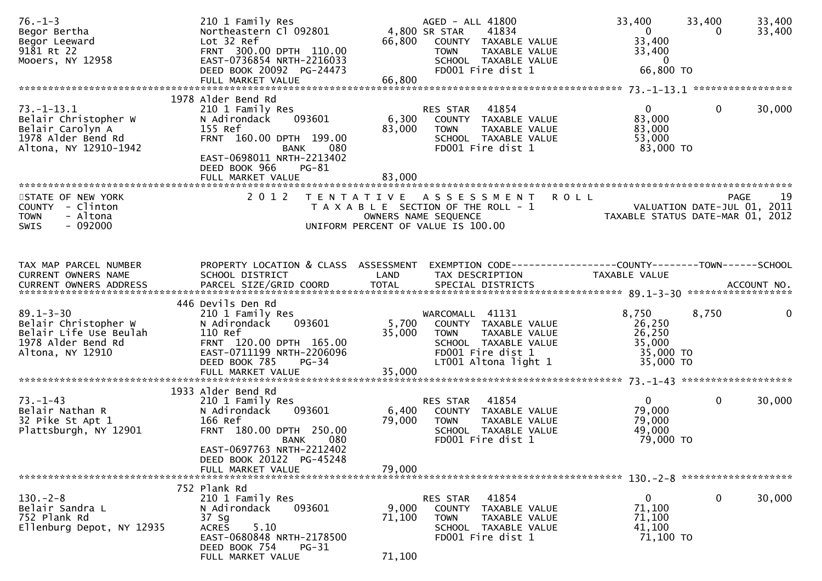| $76. - 1 - 3$<br>Begor Bertha<br>Begor Leeward<br>9181 Rt 22<br>Mooers, NY 12958                            | 210 1 Family Res<br>Northeastern Cl 092801<br>Lot 32 Ref<br>FRNT 300.00 DPTH 110.00<br>EAST-0736854 NRTH-2216033<br>DEED BOOK 20092 PG-24473<br>FULL MARKET VALUE       | 66,800<br>66,800          | AGED - ALL 41800<br>4,800 SR STAR<br>41834<br>COUNTY TAXABLE VALUE<br>TAXABLE VALUE<br><b>TOWN</b><br>SCHOOL TAXABLE VALUE<br>FD001 Fire dist 1 | 33,400<br>$\mathbf{0}$<br>33,400<br>33,400<br>$\overline{0}$<br>66,800 TO | 33,400<br>33,400<br>33,400<br>0                 |
|-------------------------------------------------------------------------------------------------------------|-------------------------------------------------------------------------------------------------------------------------------------------------------------------------|---------------------------|-------------------------------------------------------------------------------------------------------------------------------------------------|---------------------------------------------------------------------------|-------------------------------------------------|
|                                                                                                             | 1978 Alder Bend Rd                                                                                                                                                      |                           |                                                                                                                                                 |                                                                           |                                                 |
| $73. - 1 - 13.1$<br>Belair Christopher W<br>Belair Carolyn A<br>1978 Alder Bend Rd<br>Altona, NY 12910-1942 | 210 1 Family Res<br>093601<br>N Adirondack<br>155 Ref<br>FRNT 160.00 DPTH 199.00<br><b>BANK</b><br>080<br>EAST-0698011 NRTH-2213402<br>DEED BOOK 966<br><b>PG-81</b>    | 6,300<br>83,000           | 41854<br>RES STAR<br>COUNTY TAXABLE VALUE<br><b>TOWN</b><br>TAXABLE VALUE<br>SCHOOL TAXABLE VALUE<br>FD001 Fire dist 1                          | $\overline{0}$<br>83,000<br>83,000<br>53,000<br>83,000 TO                 | 0<br>30,000                                     |
|                                                                                                             |                                                                                                                                                                         |                           |                                                                                                                                                 |                                                                           |                                                 |
| STATE OF NEW YORK<br>COUNTY - Clinton<br>- Altona<br><b>TOWN</b><br>$-092000$<br><b>SWIS</b>                | 2 0 1 2                                                                                                                                                                 |                           | TENTATIVE ASSESSMENT<br><b>ROLL</b><br>T A X A B L E SECTION OF THE ROLL - 1<br>OWNERS NAME SEQUENCE<br>UNIFORM PERCENT OF VALUE IS 100.00      | VALUATION DATE-JUL 01, 2011                                               | -19<br>PAGE<br>TAXABLE STATUS DATE-MAR 01, 2012 |
| TAX MAP PARCEL NUMBER<br>CURRENT OWNERS NAME                                                                | PROPERTY LOCATION & CLASS ASSESSMENT<br>SCHOOL DISTRICT                                                                                                                 | LAND                      | EXEMPTION CODE-----------------COUNTY-------TOWN------SCHOOL<br>TAX DESCRIPTION                                                                 | TAXABLE VALUE                                                             |                                                 |
| $89.1 - 3 - 30$<br>Belair Christopher W<br>Belair Life Use Beulah<br>1978 Alder Bend Rd<br>Altona, NY 12910 | 446 Devils Den Rd<br>210 1 Family Res<br>093601<br>N Adirondack<br>110 Ref<br>FRNT 120.00 DPTH 165.00<br>EAST-0711199 NRTH-2206096<br>DEED BOOK 785<br>$PG-34$          | 5,700<br>35,000           | WARCOMALL 41131<br>COUNTY TAXABLE VALUE<br><b>TOWN</b><br>TAXABLE VALUE<br>SCHOOL TAXABLE VALUE<br>FD001 Fire dist 1<br>LT001 Altona light 1    | 8,750<br>26,250<br>26,250<br>35,000<br>35,000 TO<br>35,000 TO             | 8,750<br>$\mathbf{0}$                           |
|                                                                                                             | FULL MARKET VALUE                                                                                                                                                       | 35,000                    |                                                                                                                                                 |                                                                           |                                                 |
| $73. - 1 - 43$<br>Belair Nathan R<br>32 Pike St Apt 1<br>Plattsburgh, NY 12901                              | 1933 Alder Bend Rd<br>210 1 Family Res<br>093601<br>N Adirondack<br>166 Ref<br>FRNT 180.00 DPTH 250.00<br>080<br>BANK                                                   | 6,400<br>79,000           | RES STAR<br>41854<br>COUNTY TAXABLE VALUE<br><b>TOWN</b><br>TAXABLE VALUE<br>SCHOOL TAXABLE VALUE<br>FD001 Fire dist 1                          | $\mathbf{0}$<br>79,000<br>79,000<br>49,000<br>79,000 TO                   | 0<br>30,000                                     |
|                                                                                                             | EAST-0697763 NRTH-2212402<br>DEED BOOK 20122 PG-45248<br>FULL MARKET VALUE                                                                                              | 79,000                    |                                                                                                                                                 |                                                                           |                                                 |
| $130 - 2 - 8$<br>Belair Sandra L<br>752 Plank Rd<br>Ellenburg Depot, NY 12935                               | 752 Plank Rd<br>210 1 Family Res<br>N Adirondack<br>093601<br>37 Sg<br><b>ACRES</b><br>5.10<br>EAST-0680848 NRTH-2178500<br>DEED BOOK 754<br>PG-31<br>FULL MARKET VALUE | 9,000<br>71,100<br>71,100 | RES STAR<br>41854<br>COUNTY<br>TAXABLE VALUE<br>TAXABLE VALUE<br><b>TOWN</b><br>SCHOOL TAXABLE VALUE<br>FD001 Fire dist 1                       | $\mathbf{0}$<br>71,100<br>71,100<br>41,100<br>71,100 TO                   | 0<br>30,000                                     |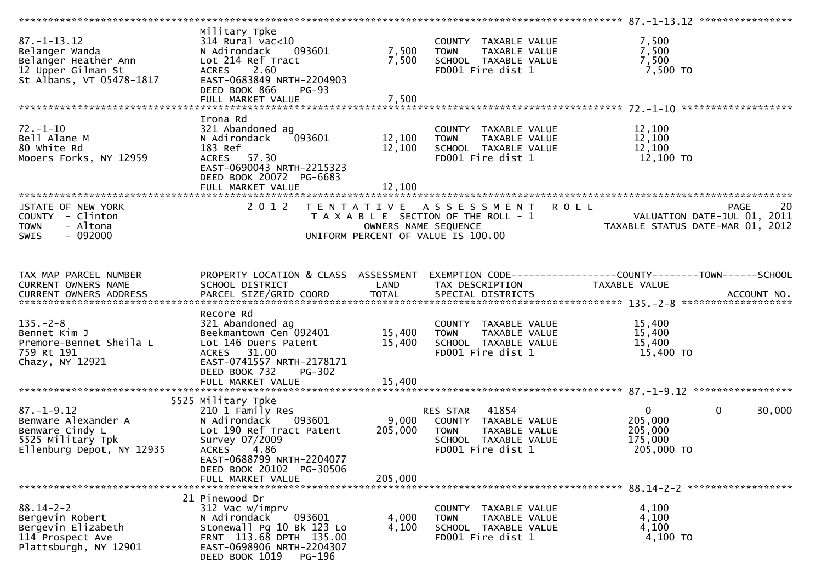| $87. - 1 - 13.12$<br>Belanger Wanda<br>Belanger Heather Ann<br>12 Upper Gilman St<br>St Albans, VT 05478-1817 | Military Tpke<br>$314$ Rural vac<10<br>093601<br>N Adirondack<br>Lot 214 Ref Tract<br><b>ACRES</b><br>2.60<br>EAST-0683849 NRTH-2204903<br>DEED BOOK 866<br><b>PG-93</b><br>FULL MARKET VALUE | 7,500<br>7,500<br>7,500    | COUNTY TAXABLE VALUE<br>TAXABLE VALUE<br><b>TOWN</b><br>SCHOOL TAXABLE VALUE<br>FD001 Fire dist 1                      | 7,500<br>7,500<br>7,500<br>7,500 TO                                             |                        |
|---------------------------------------------------------------------------------------------------------------|-----------------------------------------------------------------------------------------------------------------------------------------------------------------------------------------------|----------------------------|------------------------------------------------------------------------------------------------------------------------|---------------------------------------------------------------------------------|------------------------|
|                                                                                                               |                                                                                                                                                                                               |                            |                                                                                                                        |                                                                                 |                        |
| $72. - 1 - 10$<br>Bell Alane M<br>80 white Rd<br>Mooers Forks, NY 12959                                       | Irona Rd<br>321 Abandoned ag<br>N Adirondack<br>093601<br>183 Ref<br>ACRES 57.30<br>EAST-0690043 NRTH-2215323<br>DEED BOOK 20072 PG-6683<br>FULL MARKET VALUE                                 | 12,100<br>12,100<br>12,100 | COUNTY TAXABLE VALUE<br>TAXABLE VALUE<br>TOWN<br>SCHOOL TAXABLE VALUE<br>FD001 Fire dist 1                             | 12,100<br>12,100<br>12,100<br>12,100 TO                                         |                        |
| STATE OF NEW YORK                                                                                             | 2 0 1 2                                                                                                                                                                                       |                            |                                                                                                                        | <b>ROLL</b>                                                                     | 20<br><b>PAGE</b>      |
| COUNTY - Clinton<br>- Altona<br><b>TOWN</b><br><b>SWIS</b><br>- 092000                                        |                                                                                                                                                                                               | OWNERS NAME SEQUENCE       | TENTATIVE ASSESSMENT<br>T A X A B L E SECTION OF THE ROLL - 1<br>UNIFORM PERCENT OF VALUE IS 100.00                    | VALUATION DATE-JUL 01, 2011<br>TAXABLE STATUS DATE-MAR 01, 2012                 |                        |
| TAX MAP PARCEL NUMBER<br>CURRENT OWNERS NAME                                                                  | PROPERTY LOCATION & CLASS ASSESSMENT<br>SCHOOL DISTRICT                                                                                                                                       | LAND                       | TAX DESCRIPTION                                                                                                        | EXEMPTION CODE------------------COUNTY--------TOWN------SCHOOL<br>TAXABLE VALUE |                        |
| $135. - 2 - 8$<br>Bennet Kim J<br>Premore-Bennet Sheila L<br>759 Rt 191<br>Chazy, NY 12921                    | Recore Rd<br>321 Abandoned ag<br>Beekmantown Cen 092401<br>Lot 146 Duers Patent<br>ACRES 31.00<br>EAST-0741557 NRTH-2178171<br>DEED BOOK 732<br><b>PG-302</b>                                 | 15,400<br>15,400           | COUNTY TAXABLE VALUE<br><b>TOWN</b><br>TAXABLE VALUE<br>SCHOOL TAXABLE VALUE<br>FD001 Fire dist 1                      | 15,400<br>15,400<br>15,400<br>15,400 TO                                         |                        |
|                                                                                                               | 5525 Military Tpke                                                                                                                                                                            |                            |                                                                                                                        |                                                                                 |                        |
| $87. - 1 - 9.12$<br>Benware Alexander A<br>Benware Cindy L<br>5525 Military Tpk<br>Ellenburg Depot, NY 12935  | 210 1 Family Res<br>N Adirondack<br>093601<br>Lot 190 Ref Tract Patent<br>Survey 07/2009<br>4.86<br><b>ACRES</b><br>EAST-0688799 NRTH-2204077<br>DEED BOOK 20102 PG-30506                     | 9,000<br>205,000           | 41854<br>RES STAR<br>COUNTY TAXABLE VALUE<br><b>TOWN</b><br>TAXABLE VALUE<br>SCHOOL TAXABLE VALUE<br>FD001 Fire dist 1 | $\overline{0}$<br>205,000<br>205,000<br>175,000<br>205,000 TO                   | $\mathbf{0}$<br>30,000 |
|                                                                                                               | FULL MARKET VALUE                                                                                                                                                                             | 205,000                    |                                                                                                                        |                                                                                 |                        |
| $88.14 - 2 - 2$<br>Bergevin Robert<br>Bergevin Elizabeth<br>114 Prospect Ave<br>Plattsburgh, NY 12901         | 21 Pinewood Dr<br>312 Vac w/imprv<br>N Adirondack<br>093601<br>Stonewall Pg 10 Bk 123 Lo<br>FRNT 113.68 DPTH 135.00<br>EAST-0698906 NRTH-2204307<br>DEED BOOK 1019<br>PG-196                  | 4,000<br>4,100             | COUNTY TAXABLE VALUE<br><b>TOWN</b><br>TAXABLE VALUE<br>SCHOOL TAXABLE VALUE<br>FD001 Fire dist 1                      | 4,100<br>4,100<br>4,100<br>4,100 TO                                             |                        |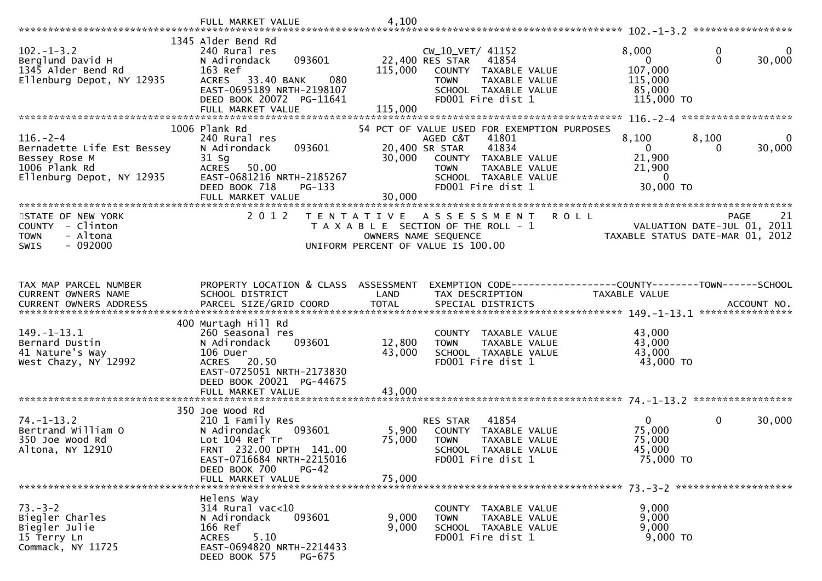|                                                                                                             | FULL MARKET VALUE                                                                                                                                                                           | 4,100                     |                                                                                                                                                                                                  |                                                                     |                                                                               |
|-------------------------------------------------------------------------------------------------------------|---------------------------------------------------------------------------------------------------------------------------------------------------------------------------------------------|---------------------------|--------------------------------------------------------------------------------------------------------------------------------------------------------------------------------------------------|---------------------------------------------------------------------|-------------------------------------------------------------------------------|
| $102. - 1 - 3.2$<br>Berglund David H<br>1345 Alder Bend Rd<br>Ellenburg Depot, NY 12935                     | 1345 Alder Bend Rd<br>240 Rural res<br>093601<br>N Adirondack<br>163 Ref<br>33.40 BANK<br>080<br><b>ACRES</b><br>EAST-0695189 NRTH-2198107<br>DEED BOOK 20072 PG-11641<br>FULL MARKET VALUE | 115,000<br>115,000        | CW_10_VET/ 41152<br>22,400 RES STAR<br>41854<br>COUNTY<br>TAXABLE VALUE<br>TAXABLE VALUE<br><b>TOWN</b><br>SCHOOL TAXABLE VALUE<br>FD001 Fire dist 1                                             | 8,000<br>$\mathbf{0}$<br>107,000<br>115,000<br>85,000<br>115,000 TO | 0<br>0<br>$\Omega$<br>30,000                                                  |
| $116. - 2 - 4$<br>Bernadette Life Est Bessey<br>Bessey Rose M<br>1006 Plank Rd<br>Ellenburg Depot, NY 12935 | 1006 Plank Rd<br>240 Rural res<br>093601<br>N Adirondack<br>$31$ Sg<br><b>ACRES</b><br>50.00<br>EAST-0681216 NRTH-2185267<br>DEED BOOK 718<br>PG-133<br>FULL MARKET VALUE                   | 30,000<br>30,000          | 54 PCT OF VALUE USED FOR EXEMPTION PURPOSES<br>41801<br>AGED C&T<br>20,400 SR STAR<br>41834<br>COUNTY TAXABLE VALUE<br>TAXABLE VALUE<br><b>TOWN</b><br>SCHOOL TAXABLE VALUE<br>FD001 Fire dist 1 | 8,100<br>$\mathbf{0}$<br>21,900<br>21,900<br>$\Omega$<br>30,000 TO  | 8,100<br>$\bf{0}$<br>30,000<br>$\Omega$                                       |
| STATE OF NEW YORK<br>COUNTY - Clinton<br><b>TOWN</b><br>- Altona<br>$-092000$<br><b>SWIS</b>                | 2 0 1 2                                                                                                                                                                                     | T E N T A T I V E         | ASSESSMENT<br>T A X A B L E SECTION OF THE ROLL - 1<br>OWNERS NAME SEQUENCE<br>UNIFORM PERCENT OF VALUE IS 100.00                                                                                | <b>ROLL</b>                                                         | 21<br>PAGE<br>VALUATION DATE-JUL 01, 2011<br>TAXABLE STATUS DATE-MAR 01, 2012 |
| TAX MAP PARCEL NUMBER<br>CURRENT OWNERS NAME<br>$149. - 1 - 13.1$<br>Bernard Dustin                         | PROPERTY LOCATION & CLASS ASSESSMENT<br>SCHOOL DISTRICT<br>400 Murtagh Hill Rd<br>260 Seasonal res<br>N Adirondack<br>093601                                                                | LAND<br>12,800            | EXEMPTION CODE-----------------COUNTY-------TOWN------SCHOOL<br>TAX DESCRIPTION<br>COUNTY TAXABLE VALUE<br>TAXABLE VALUE<br><b>TOWN</b>                                                          | TAXABLE VALUE<br>43,000<br>43,000                                   | ACCOUNT NO.<br>****************                                               |
| 41 Nature's Way<br>West Chazy, NY 12992                                                                     | 106 Duer<br>ACRES 20.50<br>EAST-0725051 NRTH-2173830<br>DEED BOOK 20021 PG-44675<br>FULL MARKET VALUE<br>350 Joe Wood Rd                                                                    | 43,000<br>43,000          | SCHOOL TAXABLE VALUE<br>FD001 Fire dist 1                                                                                                                                                        | 43,000<br>43,000 TO                                                 |                                                                               |
| $74. - 1 - 13.2$<br>Bertrand William O<br>350 Joe Wood Rd<br>Altona, NY 12910                               | 210 1 Family Res<br>N Adirondack<br>093601<br>Lot 104 Ref Tr<br>FRNT 232.00 DPTH 141.00<br>EAST-0716684 NRTH-2215016<br>DEED BOOK 700<br>$PG-42$<br>FULL MARKET VALUE                       | 5,900<br>75,000<br>75,000 | 41854<br>RES STAR<br>COUNTY<br>TAXABLE VALUE<br><b>TOWN</b><br>TAXABLE VALUE<br><b>SCHOOL</b><br>TAXABLE VALUE<br>FD001 Fire dist 1                                                              | $\mathbf{0}$<br>75,000<br>75,000<br>45,000<br>75,000 TO             | $\mathbf 0$<br>30,000                                                         |
| $73 - 3 - 2$<br>Biegler Charles<br>Biegler Julie<br>15 Terry Ln<br>Commack, NY 11725                        | Helens Way<br>$314$ Rural vac<10<br>093601<br>N Adirondack<br>166 Ref<br>5.10<br>ACRES<br>EAST-0694820 NRTH-2214433<br>DEED BOOK 575<br>PG-675                                              | 9,000<br>9,000            | COUNTY TAXABLE VALUE<br>TAXABLE VALUE<br><b>TOWN</b><br>SCHOOL TAXABLE VALUE<br>FD001 Fire dist 1                                                                                                | 9,000<br>9,000<br>9,000<br>9,000 TO                                 |                                                                               |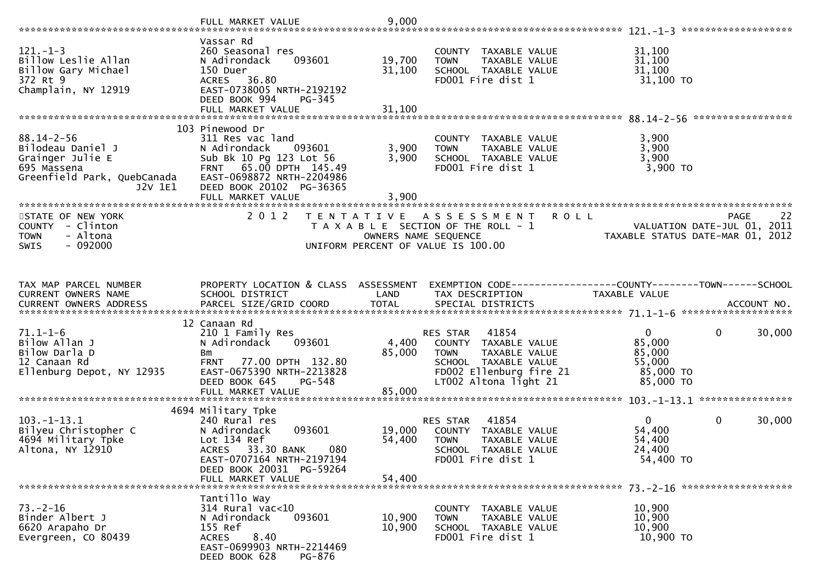|                                                                                                                    | FULL MARKET VALUE                                                                                                                                                                               | 9,000                      |                                                                                                                                                       |                                                                      | *******************                              |
|--------------------------------------------------------------------------------------------------------------------|-------------------------------------------------------------------------------------------------------------------------------------------------------------------------------------------------|----------------------------|-------------------------------------------------------------------------------------------------------------------------------------------------------|----------------------------------------------------------------------|--------------------------------------------------|
| $121. - 1 - 3$<br>Billow Leslie Allan<br>Billow Gary Michael<br>372 Rt 9<br>Champlain, NY 12919                    | Vassar Rd<br>260 Seasonal res<br>N Adirondack<br>093601<br>150 Duer<br>ACRES 36.80<br>EAST-0738005 NRTH-2192192<br>DEED BOOK 994<br>PG-345                                                      | 19,700<br>31,100           | COUNTY TAXABLE VALUE<br>TAXABLE VALUE<br><b>TOWN</b><br>SCHOOL TAXABLE VALUE<br>FD001 Fire dist 1                                                     | 31,100<br>31,100<br>31,100<br>31,100 TO                              |                                                  |
|                                                                                                                    | 103 Pinewood Dr                                                                                                                                                                                 |                            |                                                                                                                                                       |                                                                      |                                                  |
| $88.14 - 2 - 56$<br>Bilodeau Daniel J<br>Grainger Julie E<br>695 Massena<br>Greenfield Park, QuebCanada<br>J2V 1E1 | 311 Res vac land<br>N Adirondack<br>093601<br>Sub Bk 10 Pg 123 Lot 56<br>FRNT 65.00 DPTH 145.49<br>EAST-0698872 NRTH-2204986<br>DEED BOOK 20102 PG-36365                                        | 3,900<br>3,900             | COUNTY TAXABLE VALUE<br>TAXABLE VALUE<br><b>TOWN</b><br>SCHOOL TAXABLE VALUE<br>FD001 Fire dist 1                                                     | 3,900<br>3,900<br>3,900<br>$3,900$ TO                                |                                                  |
|                                                                                                                    | FULL MARKET VALUE                                                                                                                                                                               | 3,900                      |                                                                                                                                                       |                                                                      |                                                  |
| STATE OF NEW YORK<br>COUNTY - Clinton<br><b>TOWN</b><br>- Altona<br>$-092000$<br>SWIS                              | 2012<br>T E N T A T I V E                                                                                                                                                                       | OWNERS NAME SEQUENCE       | A S S E S S M E N T<br><b>ROLL</b><br>T A X A B L E SECTION OF THE ROLL - 1<br>UNIFORM PERCENT OF VALUE IS 100.00                                     | TAXABLE STATUS DATE-MAR 01, 2012                                     | 22<br><b>PAGE</b><br>VALUATION DATE-JUL 01, 2011 |
| TAX MAP PARCEL NUMBER                                                                                              | PROPERTY LOCATION & CLASS ASSESSMENT                                                                                                                                                            |                            | EXEMPTION CODE-----------------COUNTY-------TOWN------SCHOOL                                                                                          |                                                                      |                                                  |
| CURRENT OWNERS NAME                                                                                                | SCHOOL DISTRICT                                                                                                                                                                                 | LAND                       | TAX DESCRIPTION                                                                                                                                       | TAXABLE VALUE                                                        |                                                  |
| $71.1 - 1 - 6$<br>Bilow Allan J<br>Bilow Darla D<br>12 Canaan Rd<br>Ellenburg Depot, NY 12935                      | 12 Canaan Rd<br>210 1 Family Res<br>N Adirondack<br>093601<br>Bm<br><b>FRNT</b><br>77.00 DPTH 132.80<br>EAST-0675390 NRTH-2213828<br>DEED BOOK 645<br>$PG - 548$<br>FULL MARKET VALUE           | 4,400<br>85,000<br>85,000  | 41854<br>RES STAR<br>COUNTY TAXABLE VALUE<br><b>TOWN</b><br>TAXABLE VALUE<br>SCHOOL TAXABLE VALUE<br>FD002 Ellenburg fire 21<br>LT002 Altona light 21 | $\mathbf{0}$<br>85,000<br>85,000<br>55,000<br>85,000 TO<br>85,000 TO | 0<br>30,000                                      |
|                                                                                                                    |                                                                                                                                                                                                 |                            |                                                                                                                                                       |                                                                      |                                                  |
| $103. - 1 - 13.1$<br>Bilyeu Christopher C<br>4694 Military Tpke<br>Altona, NY 12910                                | 4694 Military Tpke<br>240 Rural res<br>093601<br>N Adirondack<br>Lot 134 Ref<br>33.30 BANK<br>080<br><b>ACRES</b><br>EAST-0707164 NRTH-2197194<br>DEED BOOK 20031 PG-59264<br>FULL MARKET VALUE | 19,000<br>54,400<br>54,400 | 41854<br><b>RES STAR</b><br>COUNTY TAXABLE VALUE<br><b>TOWN</b><br>TAXABLE VALUE<br>SCHOOL TAXABLE VALUE<br>FD001 Fire dist 1                         | $\mathbf{0}$<br>54,400<br>54,400<br>24,400<br>54,400 TO              | 0<br>30,000                                      |
|                                                                                                                    |                                                                                                                                                                                                 |                            |                                                                                                                                                       |                                                                      |                                                  |
| $73. - 2 - 16$<br>Binder Albert J<br>6620 Arapaho Dr<br>Evergreen, CO 80439                                        | Tantillo Way<br>314 Rural vac<10<br>N Adirondack<br>093601<br>155 Ref<br>8.40<br><b>ACRES</b><br>EAST-0699903 NRTH-2214469<br>DEED BOOK 628<br>PG-876                                           | 10,900<br>10,900           | COUNTY TAXABLE VALUE<br>TAXABLE VALUE<br><b>TOWN</b><br>SCHOOL TAXABLE VALUE<br>FD001 Fire dist 1                                                     | 10,900<br>10,900<br>10,900<br>10,900 TO                              |                                                  |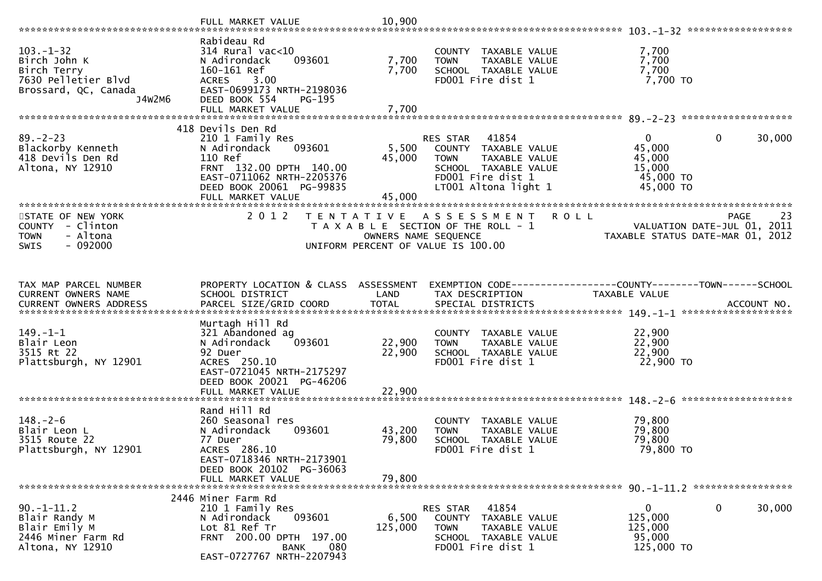| $103. - 1 - 32$<br>Birch John K<br>Birch Terry<br>7630 Pelletier Blvd<br>Brossard, QC, Canada<br>J4W2M6 | Rabideau Rd<br>$314$ Rural vac<10<br>N Adirondack<br>093601<br>160-161 Ref<br><b>ACRES</b><br>3.00<br>EAST-0699173 NRTH-2198036<br>DEED BOOK 554<br>PG-195                          | 7,700<br>7,700             | COUNTY TAXABLE VALUE<br><b>TOWN</b><br>TAXABLE VALUE<br>SCHOOL TAXABLE VALUE<br>FD001 Fire dist 1                                           | 7,700<br>7,700<br>7,700<br>7,700 TO                                  |                                                  |
|---------------------------------------------------------------------------------------------------------|-------------------------------------------------------------------------------------------------------------------------------------------------------------------------------------|----------------------------|---------------------------------------------------------------------------------------------------------------------------------------------|----------------------------------------------------------------------|--------------------------------------------------|
|                                                                                                         |                                                                                                                                                                                     |                            |                                                                                                                                             |                                                                      |                                                  |
| $89. - 2 - 23$<br>Blackorby Kenneth<br>418 Devils Den Rd<br>Altona, NY 12910                            | 418 Devils Den Rd<br>210 1 Family Res<br>093601<br>N Adirondack<br>110 Ref<br>FRNT 132.00 DPTH 140.00<br>EAST-0711062 NRTH-2205376<br>DEED BOOK 20061 PG-99835<br>FULL MARKET VALUE | 5,500<br>45,000<br>45,000  | RES STAR 41854<br>COUNTY TAXABLE VALUE<br>TAXABLE VALUE<br><b>TOWN</b><br>SCHOOL TAXABLE VALUE<br>FD001 Fire dist 1<br>LT001 Altona light 1 | $\mathbf{0}$<br>45,000<br>45,000<br>15,000<br>45,000 TO<br>45,000 TO | $\mathbf 0$<br>30,000                            |
|                                                                                                         |                                                                                                                                                                                     |                            |                                                                                                                                             |                                                                      |                                                  |
| STATE OF NEW YORK<br>COUNTY - Clinton<br><b>TOWN</b><br>- Altona<br>$-092000$<br><b>SWIS</b>            | 2 0 1 2                                                                                                                                                                             | OWNERS NAME SEQUENCE       | TENTATIVE ASSESSMENT<br>T A X A B L E SECTION OF THE ROLL - 1<br>UNIFORM PERCENT OF VALUE IS 100.00                                         | <b>ROLL</b><br>TAXABLE STATUS DATE-MAR 01, 2012                      | 23<br><b>PAGE</b><br>VALUATION DATE-JUL 01, 2011 |
| TAX MAP PARCEL NUMBER<br>CURRENT OWNERS NAME                                                            | PROPERTY LOCATION & CLASS ASSESSMENT<br>SCHOOL DISTRICT                                                                                                                             | LAND                       | EXEMPTION CODE------------------COUNTY--------TOWN------SCHOOL<br>TAX DESCRIPTION                                                           | TAXABLE VALUE                                                        |                                                  |
| $149. - 1 - 1$<br>Blair Leon<br>3515 Rt 22<br>Plattsburgh, NY 12901                                     | Murtagh Hill Rd<br>321 Abandoned ag<br>093601<br>N Adirondack<br>92 Duer<br>ACRES 250.10<br>EAST-0721045 NRTH-2175297<br>DEED BOOK 20021 PG-46206<br>FULL MARKET VALUE              | 22,900<br>22,900<br>22,900 | COUNTY TAXABLE VALUE<br>TAXABLE VALUE<br><b>TOWN</b><br>SCHOOL TAXABLE VALUE<br>FD001 Fire dist 1                                           | 22,900<br>22,900<br>22,900<br>22,900 TO                              |                                                  |
|                                                                                                         |                                                                                                                                                                                     |                            |                                                                                                                                             |                                                                      |                                                  |
| $148. - 2 - 6$<br>Blair Leon L<br>3515 Route 22<br>Plattsburgh, NY 12901                                | Rand Hill Rd<br>260 Seasonal res<br>N Adirondack<br>093601<br>77 Duer<br>ACRES 286.10<br>EAST-0718346 NRTH-2173901<br>DEED BOOK 20102 PG-36063                                      | 43,200<br>79,800           | COUNTY TAXABLE VALUE<br>TAXABLE VALUE<br><b>TOWN</b><br>SCHOOL TAXABLE VALUE<br>FD001 Fire dist 1                                           | 79,800<br>79,800<br>79,800<br>79,800 TO                              |                                                  |
|                                                                                                         | FULL MARKET VALUE                                                                                                                                                                   | 79,800                     |                                                                                                                                             |                                                                      |                                                  |
|                                                                                                         | 2446 Miner Farm Rd                                                                                                                                                                  |                            |                                                                                                                                             |                                                                      |                                                  |
| $90. -1 - 11.2$<br>Blair Randy M<br>Blair Emily M<br>2446 Miner Farm Rd<br>Altona, NY 12910             | 210 1 Family Res<br>N Adirondack<br>093601<br>Lot 81 Ref Tr<br>FRNT 200.00 DPTH 197.00<br>080<br><b>BANK</b><br>EAST-0727767 NRTH-2207943                                           | 6,500<br>125,000           | 41854<br>RES STAR<br>COUNTY TAXABLE VALUE<br><b>TOWN</b><br>TAXABLE VALUE<br>SCHOOL TAXABLE VALUE<br>FD001 Fire dist 1                      | $\overline{0}$<br>125,000<br>125,000<br>95,000<br>125,000 TO         | 0<br>30,000                                      |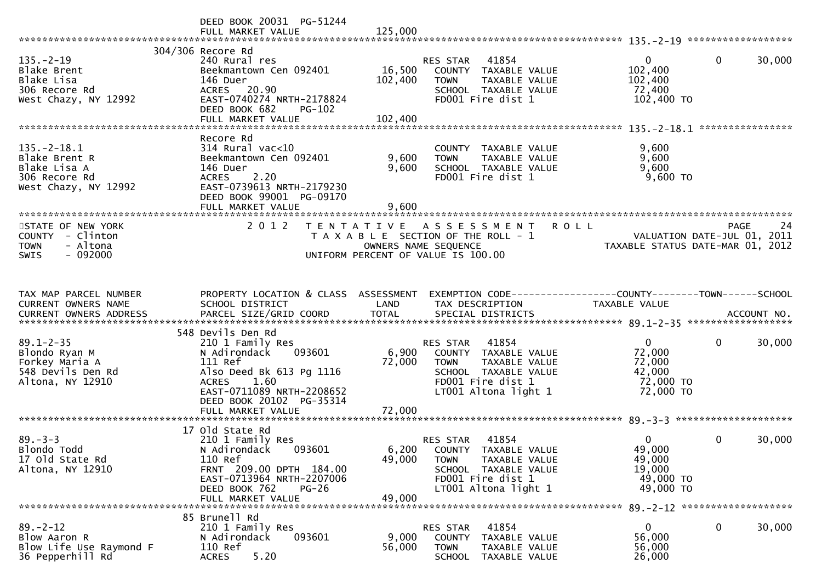|                                                                                             | DEED BOOK 20031 PG-51244<br>FULL MARKET VALUE                                                                                                                                                                | 125,000                   |                                                                                                                                                      |                                                                      |                                                  |
|---------------------------------------------------------------------------------------------|--------------------------------------------------------------------------------------------------------------------------------------------------------------------------------------------------------------|---------------------------|------------------------------------------------------------------------------------------------------------------------------------------------------|----------------------------------------------------------------------|--------------------------------------------------|
| $135. - 2 - 19$<br>Blake Brent<br>Blake Lisa<br>306 Recore Rd<br>West Chazy, NY 12992       | 304/306 Recore Rd<br>240 Rural res<br>Beekmantown Cen 092401<br>146 Duer<br>ACRES 20.90<br>EAST-0740274 NRTH-2178824<br>DEED BOOK 682<br><b>PG-102</b>                                                       | 16,500<br>102,400         | 41854<br>RES STAR<br>COUNTY TAXABLE VALUE<br>TAXABLE VALUE<br><b>TOWN</b><br>SCHOOL TAXABLE VALUE<br>FD001 Fire dist 1                               | $\Omega$<br>102,400<br>102,400<br>72,400<br>102,400 TO               | $\mathbf 0$<br>30,000<br>****************        |
| $135. - 2 - 18.1$<br>Blake Brent R<br>Blake Lisa A<br>306 Recore Rd<br>West Chazy, NY 12992 | Recore Rd<br>$314$ Rural vac<10<br>Beekmantown Cen 092401<br>146 Duer<br>2.20<br><b>ACRES</b><br>EAST-0739613 NRTH-2179230<br>DEED BOOK 99001 PG-09170                                                       | 9,600<br>9,600<br>9,600   | COUNTY TAXABLE VALUE<br><b>TOWN</b><br>TAXABLE VALUE<br>SCHOOL TAXABLE VALUE<br>FD001 Fire dist 1                                                    | 9,600<br>9,600<br>9,600<br>9,600 TO                                  |                                                  |
| STATE OF NEW YORK<br>COUNTY - Clinton<br>- Altona<br><b>TOWN</b><br>$-092000$<br>SWIS       | 2 0 1 2                                                                                                                                                                                                      |                           | TENTATIVE ASSESSMENT<br><b>ROLL</b><br>T A X A B L E SECTION OF THE ROLL - 1<br>OWNERS NAME SEQUENCE<br>UNIFORM PERCENT OF VALUE IS 100.00           | TAXABLE STATUS DATE-MAR 01, 2012                                     | <b>PAGE</b><br>24<br>VALUATION DATE-JUL 01, 2011 |
| TAX MAP PARCEL NUMBER<br>CURRENT OWNERS NAME                                                | PROPERTY LOCATION & CLASS ASSESSMENT<br>SCHOOL DISTRICT                                                                                                                                                      | LAND                      | EXEMPTION CODE------------------COUNTY--------TOWN------SCHOOL<br>TAX DESCRIPTION                                                                    | TAXABLE VALUE                                                        |                                                  |
| $89.1 - 2 - 35$<br>Blondo Ryan M<br>Forkey Maria A<br>548 Devils Den Rd<br>Altona, NY 12910 | 548 Devils Den Rd<br>210 1 Family Res<br>093601<br>N Adirondack<br>111 Ref<br>Also Deed Bk 613 Pg 1116<br>1.60<br><b>ACRES</b><br>EAST-0711089 NRTH-2208652<br>DEED BOOK 20102 PG-35314<br>FULL MARKET VALUE | 6,900<br>72,000<br>72,000 | RES STAR<br>41854<br>COUNTY TAXABLE VALUE<br>TAXABLE VALUE<br><b>TOWN</b><br>SCHOOL TAXABLE VALUE<br>FD001 Fire dist 1<br>LT001 Altona light 1       | $\mathbf{0}$<br>72,000<br>72,000<br>42,000<br>72,000 TO<br>72,000 TO | $\mathbf 0$<br>30,000                            |
| $89. - 3 - 3$<br>Blondo Todd<br>17 Old State Rd<br>Altona, NY 12910                         | 17 Old State Rd<br>210 1 Family Res<br>N Adirondack<br>093601<br>110 Ref<br>FRNT 209.00 DPTH 184.00<br>EAST-0713964 NRTH-2207006<br>DEED BOOK 762<br>$PG-26$<br>FULL MARKET VALUE                            | 49,000<br>49,000          | 41854<br>RES STAR<br>6,200 COUNTY TAXABLE VALUE<br>TAXABLE VALUE<br><b>TOWN</b><br>SCHOOL TAXABLE VALUE<br>FD001 Fire dist 1<br>LT001 Altona light 1 | $\mathbf{0}$<br>49,000<br>49,000<br>19,000<br>49,000 TO<br>49,000 TO | $\mathbf{0}$<br>30,000                           |
| $89. - 2 - 12$<br>Blow Aaron R<br>Blow Life Use Raymond F<br>36 Pepperhill Rd               | 85 Brunell Rd<br>210 1 Family Res<br>N Adirondack<br>093601<br>110 Ref<br>5.20<br><b>ACRES</b>                                                                                                               | 9,000<br>56,000           | RES STAR<br>41854<br>COUNTY<br>TAXABLE VALUE<br><b>TOWN</b><br>TAXABLE VALUE<br><b>SCHOOL</b><br>TAXABLE VALUE                                       | $\mathbf{0}$<br>56,000<br>56,000<br>26,000                           | $\mathbf 0$<br>30,000                            |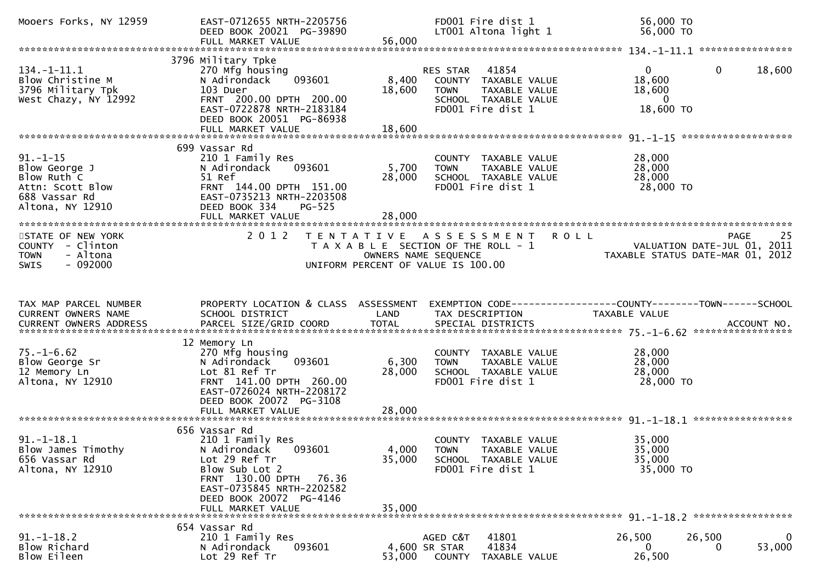| Mooers Forks, NY 12959                                                                                  | EAST-0712655 NRTH-2205756<br>DEED BOOK 20021 PG-39890<br>FULL MARKET VALUE                                                                                                                               | 56,000                    | FD001 Fire dist 1<br>LT001 Altona light 1                                                                                        | 56,000 TO<br>56,000 TO                                                          |             |
|---------------------------------------------------------------------------------------------------------|----------------------------------------------------------------------------------------------------------------------------------------------------------------------------------------------------------|---------------------------|----------------------------------------------------------------------------------------------------------------------------------|---------------------------------------------------------------------------------|-------------|
|                                                                                                         |                                                                                                                                                                                                          |                           |                                                                                                                                  |                                                                                 |             |
| $134. - 1 - 11.1$<br>Blow Christine M<br>3796 Military Tpk<br>West Chazy, NY 12992                      | 3796 Military Tpke<br>270 Mfg housing<br>093601<br>N Adirondack<br>103 Duer<br>FRNT 200.00 DPTH 200.00<br>EAST-0722878 NRTH-2183184<br>DEED BOOK 20051 PG-86938<br>FULL MARKET VALUE                     | 8,400<br>18,600<br>18,600 | 41854<br>RES STAR<br>COUNTY TAXABLE VALUE<br><b>TOWN</b><br>TAXABLE VALUE<br>SCHOOL TAXABLE VALUE<br>FD001 Fire dist 1           | $\overline{0}$<br>$\mathbf{0}$<br>18,600<br>18,600<br>$\mathbf{0}$<br>18,600 TO | 18,600      |
|                                                                                                         |                                                                                                                                                                                                          |                           |                                                                                                                                  |                                                                                 |             |
|                                                                                                         |                                                                                                                                                                                                          |                           |                                                                                                                                  |                                                                                 |             |
| $91. - 1 - 15$<br>Blow George J<br>Blow Ruth C<br>Attn: Scott Blow<br>688 Vassar Rd<br>Altona, NY 12910 | 699 Vassar Rd<br>210 1 Family Res<br>093601<br>N Adirondack<br>51 Ref<br>FRNT 144.00 DPTH 151.00<br>EAST-0735213 NRTH-2203508<br>DEED BOOK 334<br>PG-525                                                 | 5,700<br>28,000           | COUNTY TAXABLE VALUE<br>TAXABLE VALUE<br><b>TOWN</b><br>SCHOOL TAXABLE VALUE<br>FD001 Fire dist 1                                | 28,000<br>28,000<br>28,000<br>28,000 TO                                         |             |
|                                                                                                         | FULL MARKET VALUE                                                                                                                                                                                        | 28,000                    |                                                                                                                                  |                                                                                 |             |
|                                                                                                         |                                                                                                                                                                                                          |                           |                                                                                                                                  |                                                                                 |             |
| STATE OF NEW YORK<br>COUNTY - Clinton<br><b>TOWN</b><br>- Altona<br>$-092000$<br><b>SWIS</b>            | 2 0 1 2                                                                                                                                                                                                  |                           | TENTATIVE ASSESSMENT ROLL<br>T A X A B L E SECTION OF THE ROLL - 1<br>OWNERS NAME SEQUENCE<br>UNIFORM PERCENT OF VALUE IS 100.00 | PAGE<br>VALUATION DATE-JUL 01, 2011<br>TAXABLE STATUS DATE-MAR 01, 2012         | 25          |
|                                                                                                         |                                                                                                                                                                                                          |                           |                                                                                                                                  |                                                                                 |             |
| TAX MAP PARCEL NUMBER<br>CURRENT OWNERS NAME                                                            | PROPERTY LOCATION & CLASS ASSESSMENT<br>SCHOOL DISTRICT                                                                                                                                                  | LAND                      | TAX DESCRIPTION                                                                                                                  | EXEMPTION CODE-----------------COUNTY-------TOWN------SCHOOL<br>TAXABLE VALUE   |             |
|                                                                                                         |                                                                                                                                                                                                          |                           |                                                                                                                                  |                                                                                 |             |
| $75. - 1 - 6.62$<br>Blow George Sr<br>12 Memory Ln<br>Altona, NY 12910                                  | 12 Memory Ln<br>270 Mfg housing<br>093601<br>N Adirondack<br>Lot 81 Ref Tr<br>FRNT 141.00 DPTH 260.00<br>EAST-0726024 NRTH-2208172<br>DEED BOOK 20072 PG-3108                                            | 6,300<br>28,000           | COUNTY TAXABLE VALUE<br>TAXABLE VALUE<br><b>TOWN</b><br>SCHOOL TAXABLE VALUE<br>FD001 Fire dist 1                                | 28,000<br>28,000<br>28,000<br>28,000 TO                                         |             |
|                                                                                                         | FULL MARKET VALUE                                                                                                                                                                                        | 28,000                    |                                                                                                                                  |                                                                                 |             |
| $91. - 1 - 18.1$<br>Blow James Timothy<br>656 Vassar Rd<br>Altona, NY 12910                             | 656 Vassar Rd<br>210 1 Family Res<br>N Adirondack<br>093601<br>Lot 29 Ref Tr<br>Blow Sub Lot 2<br>FRNT 130.00 DPTH<br>76.36<br>EAST-0735845 NRTH-2202582<br>DEED BOOK 20072 PG-4146<br>FULL MARKET VALUE | 35,000<br>35,000          | COUNTY TAXABLE VALUE<br>4,000 TOWN<br>TAXABLE VALUE<br>SCHOOL TAXABLE VALUE<br>FD001 Fire dist 1                                 | 35,000<br>35,000<br>35,000<br>35,000 TO                                         |             |
|                                                                                                         |                                                                                                                                                                                                          |                           |                                                                                                                                  |                                                                                 |             |
| $91. - 1 - 18.2$<br>Blow Richard<br>Blow Eileen                                                         | 654 Vassar Rd<br>210 1 Family Res<br>093601<br>N Adirondack<br>Lot 29 Ref Tr                                                                                                                             | 53,000                    | 41801<br>AGED C&T<br>41834<br>4,600 SR STAR<br>TAXABLE VALUE<br>COUNTY                                                           | 26,500<br>26,500<br>0<br>0<br>26,500                                            | 0<br>53,000 |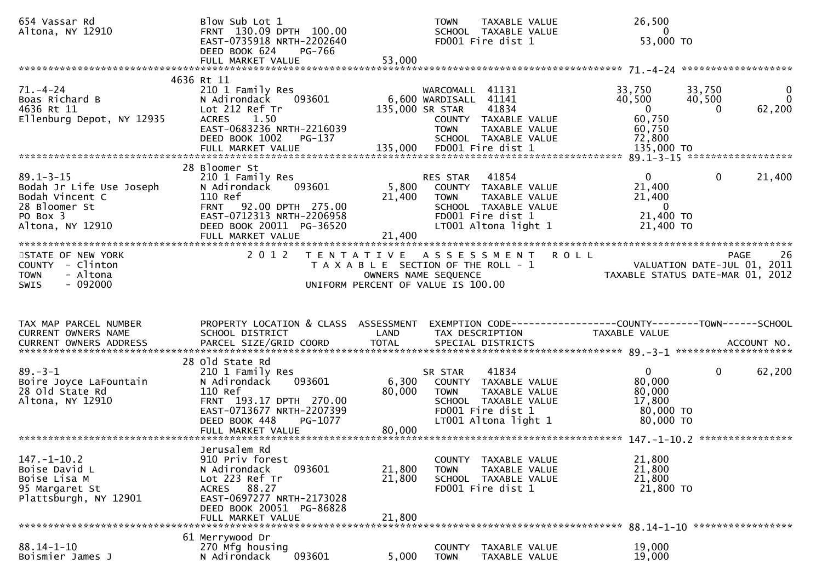| 654 Vassar Rd<br>Altona, NY 12910                                                                               | Blow Sub Lot 1<br>FRNT 130.09 DPTH 100.00<br>EAST-0735918 NRTH-2202640<br>DEED BOOK 624<br>PG-766                                                                                 |                            | TAXABLE VALUE<br><b>TOWN</b><br>SCHOOL TAXABLE VALUE<br>FD001 Fire dist 1                                                                            | 26,500<br>$\Omega$<br>53,000 TO                                                                                   |                                    |
|-----------------------------------------------------------------------------------------------------------------|-----------------------------------------------------------------------------------------------------------------------------------------------------------------------------------|----------------------------|------------------------------------------------------------------------------------------------------------------------------------------------------|-------------------------------------------------------------------------------------------------------------------|------------------------------------|
|                                                                                                                 | FULL MARKET VALUE                                                                                                                                                                 | 53,000                     |                                                                                                                                                      |                                                                                                                   |                                    |
|                                                                                                                 | 4636 Rt 11                                                                                                                                                                        |                            |                                                                                                                                                      |                                                                                                                   |                                    |
| 71. –4–24<br>Boas Richard B<br>4636 Rt 11<br>Ellenburg Depot, NY 12935                                          | 210 1 Family Res<br>093601<br>N Adirondack<br>Lot 212 Ref Tr<br>ACRES 1.50<br>EAST-0683236 NRTH-2216039<br>DEED BOOK 1002 PG-137                                                  |                            | WARCOMALL 41131<br>6,600 WARDISALL 41141<br>41834<br>135,000 SR STAR<br>COUNTY TAXABLE VALUE<br>TAXABLE VALUE<br><b>TOWN</b><br>SCHOOL TAXABLE VALUE | 33,750<br>33,750<br>40,500<br>40,500<br>$\overline{0}$<br>$\mathbf{0}$<br>60,750<br>60,750<br>72,800              | $\mathbf{0}$<br>$\Omega$<br>62,200 |
|                                                                                                                 | 28 Bloomer St                                                                                                                                                                     |                            |                                                                                                                                                      |                                                                                                                   |                                    |
| $89.1 - 3 - 15$<br>Bodah Jr Life Use Joseph<br>Bodah Vincent C<br>28 Bloomer St<br>PO Box 3<br>Altona, NY 12910 | 210 1 Family Res<br>093601<br>N Adirondack<br>110 Ref<br>FRNT 92.00 DPTH 275.00<br>EAST-0712313 NRTH-2206958<br>DEED BOOK 20011 PG-36520                                          | 5,800<br>21,400            | RES STAR 41854<br>COUNTY TAXABLE VALUE<br>TAXABLE VALUE<br><b>TOWN</b><br>SCHOOL TAXABLE VALUE<br>FD001 Fire dist 1<br>LT001 Altona light 1          | $\overline{0}$<br>$\Omega$<br>21,400<br>21,400<br>$\overline{\phantom{0}}$<br>21,400 TO<br>21,400 TO              | 21,400                             |
|                                                                                                                 | FULL MARKET VALUE                                                                                                                                                                 | 21,400                     |                                                                                                                                                      |                                                                                                                   |                                    |
| STATE OF NEW YORK<br>COUNTY - Clinton<br>- Altona<br><b>TOWN</b><br>$-092000$<br><b>SWIS</b>                    |                                                                                                                                                                                   |                            | 2012 TENTATIVE ASSESSMENT ROLL<br>T A X A B L E SECTION OF THE ROLL - 1<br>OWNERS NAME SEQUENCE<br>UNIFORM PERCENT OF VALUE IS 100.00                | ROLL - 1 November 2011<br>TAXABLE STATUS DATE-JUL 01, 2011<br>Compared to the TAXABLE STATUS DATE-MAR 01, 2012    | -26<br>PAGE                        |
|                                                                                                                 |                                                                                                                                                                                   |                            |                                                                                                                                                      |                                                                                                                   |                                    |
| TAX MAP PARCEL NUMBER<br>CURRENT OWNERS NAME                                                                    | <b>Example 12 DENSITY</b><br>SCHOOL DISTRICT                                                                                                                                      |                            | TAX DESCRIPTION                                                                                                                                      | PROPERTY LOCATION & CLASS ASSESSMENT EXEMPTION CODE----------------COUNTY-------TOWN------SCHOOL<br>TAXABLE VALUE |                                    |
|                                                                                                                 | CURRENT OWNERS ADDRESS PARCEL SIZE/GRID COORD TOTAL SPECIAL DISTRICTS (2011) ACCOUNT NO.                                                                                          |                            |                                                                                                                                                      |                                                                                                                   |                                    |
| $89. - 3 - 1$<br>Boire Joyce LaFountain<br>28 Old State Rd<br>Altona, NY 12910                                  | 28 old State Rd<br>210 1 Family Res<br>N Adirondack<br>093601<br>110 Ref<br>FRNT 193.17 DPTH 270.00<br>EAST-0713677 NRTH-2207399<br>DEED BOOK 448<br>PG-1077<br>FULL MARKET VALUE | 80,000<br>80,000           | 41834<br>SR STAR<br>6,300 COUNTY TAXABLE VALUE<br><b>TOWN</b><br>TAXABLE VALUE<br>SCHOOL TAXABLE VALUE<br>FD001 Fire dist 1<br>LT001 Altona light 1  | $0 \qquad \qquad$<br>$\mathbf{0}$<br>80,000<br>80,000<br>17,800<br>80,000 TO<br>80,000 TO                         | 62,200                             |
|                                                                                                                 |                                                                                                                                                                                   |                            |                                                                                                                                                      |                                                                                                                   |                                    |
| $147. - 1 - 10.2$<br>Boise David L<br>Boise Lisa M<br>95 Margaret St<br>Plattsburgh, NY 12901                   | Jerusalem Rd<br>910 Priv forest<br>093601<br>N Adirondack<br>Lot 223 Ref Tr<br>ACRES 88.27<br>EAST-0697277 NRTH-2173028<br>DEED BOOK 20051 PG-86828<br>FULL MARKET VALUE          | 21,800<br>21,800<br>21,800 | COUNTY TAXABLE VALUE<br><b>TOWN</b><br>TAXABLE VALUE<br>SCHOOL TAXABLE VALUE<br>FD001 Fire dist 1                                                    | 21,800<br>21,800<br>21,800<br>21,800 TO                                                                           |                                    |
|                                                                                                                 | 61 Merrywood Dr                                                                                                                                                                   |                            |                                                                                                                                                      | 88.14-1-10 ******************                                                                                     |                                    |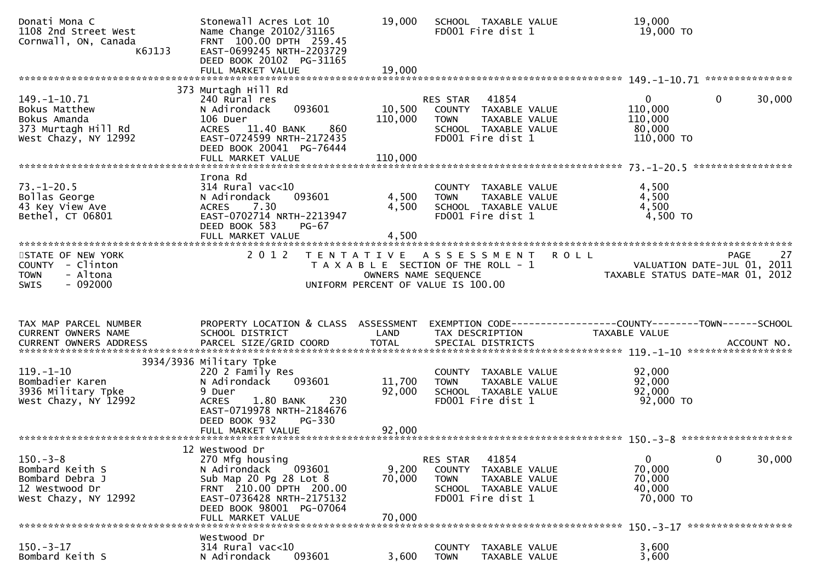| Donati Mona C<br>1108 2nd Street West<br>Cornwall, ON, Canada<br>K6J1J3                            | Stonewall Acres Lot 10<br>Name Change 20102/31165<br>FRNT 100.00 DPTH 259.45<br>EAST-0699245 NRTH-2203729<br>DEED BOOK 20102 PG-31165<br>FULL MARKET VALUE                                     | 19,000<br>19,000             | SCHOOL TAXABLE VALUE<br>FD001 Fire dist 1                                                                                        | 19,000<br>19,000 TO                                                                    |        |
|----------------------------------------------------------------------------------------------------|------------------------------------------------------------------------------------------------------------------------------------------------------------------------------------------------|------------------------------|----------------------------------------------------------------------------------------------------------------------------------|----------------------------------------------------------------------------------------|--------|
|                                                                                                    | 373 Murtagh Hill Rd                                                                                                                                                                            |                              |                                                                                                                                  |                                                                                        |        |
| $149. - 1 - 10.71$<br>Bokus Matthew<br>Bokus Amanda<br>373 Murtagh Hill Rd<br>West Chazy, NY 12992 | 240 Rural res<br>093601<br>N Adirondack<br>106 Duer<br>860<br>ACRES 11.40 BANK<br>EAST-0724599 NRTH-2172435<br>DEED BOOK 20041 PG-76444<br>FULL MARKET VALUE                                   | 10,500<br>110,000<br>110,000 | 41854<br>RES STAR<br>COUNTY TAXABLE VALUE<br><b>TOWN</b><br>TAXABLE VALUE<br>SCHOOL TAXABLE VALUE<br>FD001 Fire dist 1           | $\Omega$<br>$\overline{0}$<br>110,000<br>110,000<br>80,000<br>110,000 TO               | 30,000 |
|                                                                                                    | Irona Rd                                                                                                                                                                                       |                              |                                                                                                                                  |                                                                                        |        |
| $73. - 1 - 20.5$<br>Bollas George<br>43 Key View Ave<br>Bethel, CT 06801                           | $314$ Rural vac<10<br>093601<br>N Adirondack<br>7.30<br><b>ACRES</b><br>EAST-0702714 NRTH-2213947<br>DEED BOOK 583<br>PG-67<br>FULL MARKET VALUE                                               | 4,500<br>4,500<br>4,500      | COUNTY TAXABLE VALUE<br>TAXABLE VALUE<br><b>TOWN</b><br>SCHOOL TAXABLE VALUE<br>FD001 Fire dist 1                                | 4,500<br>4,500<br>4,500<br>4,500 TO                                                    |        |
|                                                                                                    |                                                                                                                                                                                                |                              |                                                                                                                                  |                                                                                        |        |
| STATE OF NEW YORK<br>COUNTY - Clinton<br>- Altona<br><b>TOWN</b><br>$-092000$<br><b>SWIS</b>       | 2 0 1 2                                                                                                                                                                                        | OWNERS NAME SEQUENCE         | TENTATIVE ASSESSMENT<br>T A X A B L E SECTION OF THE ROLL - 1                                                                    | <b>ROLL</b><br>PAGE<br>VALUATION DATE-JUL 01, 2011<br>TAXABLE STATUS DATE-MAR 01, 2012 | 27     |
|                                                                                                    |                                                                                                                                                                                                |                              | UNIFORM PERCENT OF VALUE IS 100.00                                                                                               |                                                                                        |        |
| TAX MAP PARCEL NUMBER<br>CURRENT OWNERS NAME                                                       | PROPERTY LOCATION & CLASS ASSESSMENT<br>SCHOOL DISTRICT                                                                                                                                        | LAND                         | TAX DESCRIPTION                                                                                                                  | EXEMPTION CODE------------------COUNTY--------TOWN------SCHOOL<br>TAXABLE VALUE        |        |
|                                                                                                    |                                                                                                                                                                                                |                              |                                                                                                                                  |                                                                                        |        |
| $119. - 1 - 10$<br>Bombadier Karen<br>3936 Military Tpke<br>West Chazy, NY 12992                   | 3934/3936 Military Tpke<br>220 2 Family Res<br>093601<br>N Adirondack<br>9 Duer<br><b>ACRES</b><br>1.80 BANK<br>230<br>EAST-0719978 NRTH-2184676<br>DEED BOOK 932<br>PG-330                    | 11,700<br>92,000             | COUNTY TAXABLE VALUE<br>TAXABLE VALUE<br><b>TOWN</b><br>SCHOOL TAXABLE VALUE<br>FD001 Fire dist 1                                | 92,000<br>92,000<br>92,000<br>92,000 TO                                                |        |
|                                                                                                    |                                                                                                                                                                                                |                              |                                                                                                                                  |                                                                                        |        |
| $150. - 3 - 8$<br>Bombard Keith S<br>Bombard Debra J<br>12 Westwood Dr<br>West Chazy, NY 12992     | 12 Westwood Dr<br>270 Mfg housing<br>N Adirondack<br>093601<br>Sub Map 20 Pg 28 Lot 8<br>FRNT 210.00 DPTH 200.00<br>EAST-0736428 NRTH-2175132<br>DEED BOOK 98001 PG-07064<br>FULL MARKET VALUE | 9,200<br>70,000<br>70,000    | 41854<br>RES STAR<br><b>COUNTY</b><br>TAXABLE VALUE<br><b>TOWN</b><br>TAXABLE VALUE<br>SCHOOL TAXABLE VALUE<br>FD001 Fire dist 1 | $\mathbf{0}$<br>0<br>70,000<br>70,000<br>40,000<br>70,000 TO                           | 30,000 |
|                                                                                                    | Westwood Dr                                                                                                                                                                                    |                              |                                                                                                                                  | ******************                                                                     |        |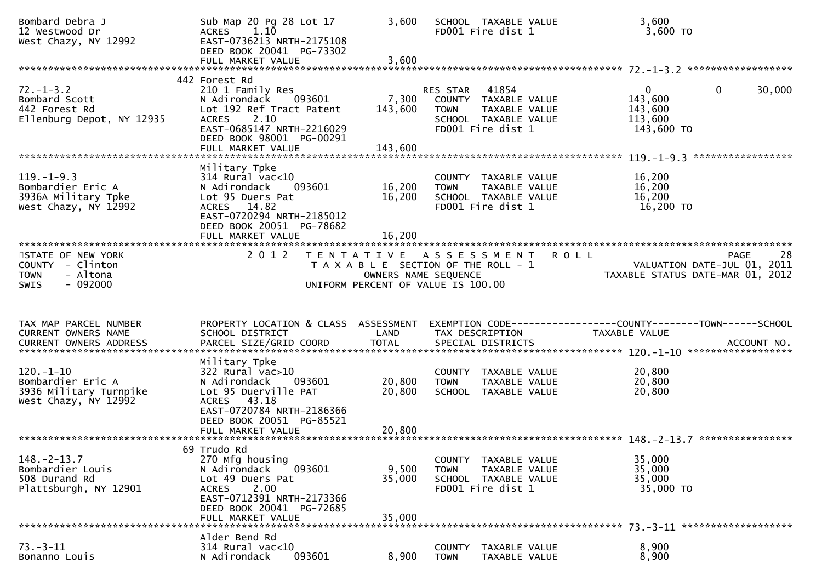| Bombard Debra J<br>12 Westwood Dr<br>West Chazy, NY 12992                                    | Sub Map 20 Pg 28 Lot 17<br>$ACRES$ 1.10<br>EAST-0736213 NRTH-2175108<br>DEED BOOK 20041 PG-73302<br>FULL MARKET VALUE                                                              | 3,600<br>3,600              | SCHOOL TAXABLE VALUE<br>FD001 Fire dist 1                                                                              | 3,600<br>$3,600$ TO                                                                          |        |
|----------------------------------------------------------------------------------------------|------------------------------------------------------------------------------------------------------------------------------------------------------------------------------------|-----------------------------|------------------------------------------------------------------------------------------------------------------------|----------------------------------------------------------------------------------------------|--------|
|                                                                                              | 442 Forest Rd                                                                                                                                                                      |                             |                                                                                                                        |                                                                                              |        |
| $72. - 1 - 3.2$<br>Bombard Scott<br>442 Forest Rd<br>Ellenburg Depot, NY 12935               | 210 1 Family Res<br>N Adirondack<br>093601<br>Lot 192 Ref Tract Patent<br>2.10<br><b>ACRES</b><br>EAST-0685147 NRTH-2216029<br>DEED BOOK 98001 PG-00291<br>FULL MARKET VALUE       | 7,300<br>143,600<br>143,600 | 41854<br>RES STAR<br>COUNTY TAXABLE VALUE<br>TAXABLE VALUE<br><b>TOWN</b><br>SCHOOL TAXABLE VALUE<br>FD001 Fire dist 1 | $\Omega$<br>$\mathbf{0}$<br>143,600<br>143,600<br>113,600<br>143,600 TO<br>***************** | 30,000 |
| $119. - 1 - 9.3$<br>Bombardier Eric A<br>3936A Military Tpke<br>West Chazy, NY 12992         | Military Tpke<br>$314$ Rural vac< $10$<br>N Adirondack<br>093601<br>Lot 95 Duers Pat<br>ACRES 14.82<br>EAST-0720294 NRTH-2185012<br>DEED BOOK 20051 PG-78682<br>FULL MARKET VALUE  | 16,200<br>16,200<br>16,200  | COUNTY<br>TAXABLE VALUE<br><b>TOWN</b><br>TAXABLE VALUE<br>SCHOOL TAXABLE VALUE<br>FD001 Fire dist 1                   | 16,200<br>16,200<br>16,200<br>16,200 TO                                                      |        |
| STATE OF NEW YORK<br>COUNTY - Clinton<br>- Altona<br><b>TOWN</b><br>$-092000$<br><b>SWIS</b> | 2 0 1 2                                                                                                                                                                            | OWNERS NAME SEQUENCE        | <b>ROLL</b><br>TENTATIVE ASSESSMENT<br>T A X A B L E SECTION OF THE ROLL - 1<br>UNIFORM PERCENT OF VALUE IS 100.00     | PAGE<br>VALUATION DATE-JUL 01, 2011<br>TAXABLE STATUS DATE-MAR 01, 2012                      | 28     |
| TAX MAP PARCEL NUMBER<br>CURRENT OWNERS NAME                                                 | PROPERTY LOCATION & CLASS ASSESSMENT                                                                                                                                               |                             |                                                                                                                        |                                                                                              |        |
| <b>CURRENT OWNERS ADDRESS</b>                                                                | SCHOOL DISTRICT                                                                                                                                                                    | LAND                        | TAX DESCRIPTION                                                                                                        | TAXABLE VALUE                                                                                |        |
| $120. - 1 - 10$<br>Bombardier Eric A<br>3936 Military Turnpike<br>West Chazy, NY 12992       | Military Tpke<br>$322$ Rural vac $>10$<br>N Adirondack<br>093601<br>Lot 95 Duerville PAT<br>ACRES 43.18<br>EAST-0720784 NRTH-2186366<br>DEED BOOK 20051 PG-85521                   | 20,800<br>20,800            | COUNTY TAXABLE VALUE<br>TAXABLE VALUE<br><b>TOWN</b><br>SCHOOL TAXABLE VALUE                                           | 20,800<br>20,800<br>20,800                                                                   |        |
|                                                                                              |                                                                                                                                                                                    |                             |                                                                                                                        | ****************                                                                             |        |
| $148. - 2 - 13.7$<br>Bombardier Louis<br>508 Durand Rd<br>Plattsburgh, NY 12901              | 69 Trudo Rd<br>270 Mfg housing<br>093601<br>N Adirondack<br>Lot 49 Duers Pat<br>2.00<br><b>ACRES</b><br>EAST-0712391 NRTH-2173366<br>DEED BOOK 20041 PG-72685<br>FULL MARKET VALUE | 9,500<br>35,000<br>35,000   | COUNTY TAXABLE VALUE<br>TAXABLE VALUE<br><b>TOWN</b><br>SCHOOL TAXABLE VALUE<br>FD001 Fire dist 1                      | 35,000<br>35,000<br>35,000<br>35,000 TO                                                      |        |
|                                                                                              | Alder Bend Rd                                                                                                                                                                      |                             |                                                                                                                        |                                                                                              |        |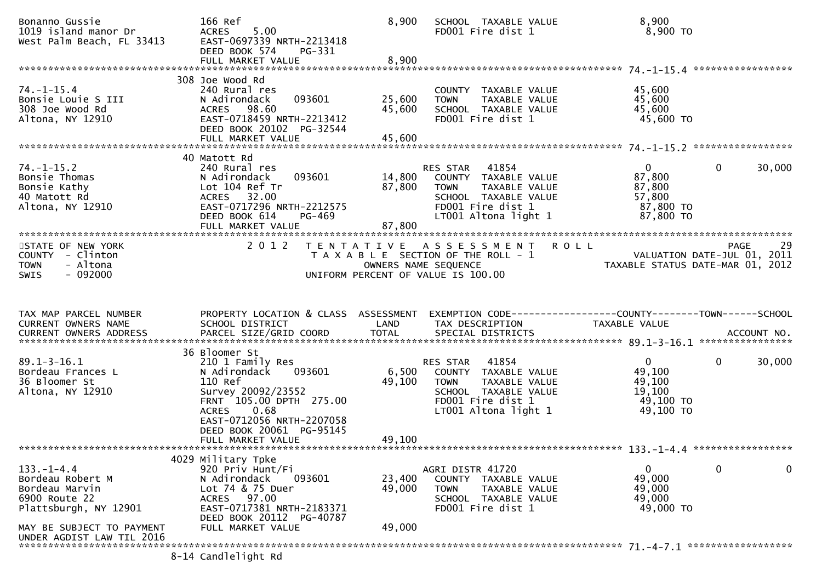| Bonanno Gussie<br>1019 island manor Dr<br>West Palm Beach, FL 33413                                       | 166 Ref<br>5.00<br><b>ACRES</b><br>EAST-0697339 NRTH-2213418<br>DEED BOOK 574<br>PG-331<br>FULL MARKET VALUE                                                             | 8,900<br>8,900             | SCHOOL TAXABLE VALUE<br>FD001 Fire dist 1                                                                                                   | 8,900<br>8,900 то                                                                              |             |
|-----------------------------------------------------------------------------------------------------------|--------------------------------------------------------------------------------------------------------------------------------------------------------------------------|----------------------------|---------------------------------------------------------------------------------------------------------------------------------------------|------------------------------------------------------------------------------------------------|-------------|
|                                                                                                           |                                                                                                                                                                          |                            |                                                                                                                                             |                                                                                                |             |
| $74. - 1 - 15.4$<br>Bonsie Louie S III<br>308 Joe Wood Rd<br>Altona, NY 12910                             | 308 Joe Wood Rd<br>240 Rural res<br>093601<br>N Adirondack<br>ACRES 98.60<br>EAST-0718459 NRTH-2213412<br>DEED BOOK 20102 PG-32544<br>FULL MARKET VALUE                  | 25,600<br>45,600<br>45,600 | COUNTY TAXABLE VALUE<br>TAXABLE VALUE<br><b>TOWN</b><br>SCHOOL TAXABLE VALUE<br>FD001 Fire dist 1                                           | 45,600<br>45,600<br>45,600<br>45,600 TO                                                        |             |
|                                                                                                           |                                                                                                                                                                          |                            |                                                                                                                                             |                                                                                                |             |
| $74. - 1 - 15.2$<br>Bonsie Thomas<br>Bonsie Kathy<br>40 Matott Rd<br>Altona. NY 12910<br>Altona, NY 12910 | 40 Matott Rd<br>240 Rural res<br>093601<br>N Adirondack<br>Lot 104 Ref Tr<br>32.00<br>ACRES<br>EAST-0717296 NRTH-2212575<br>DEED BOOK 614<br>PG-469<br>FULL MARKET VALUE | 14,800<br>87,800<br>87,800 | RES STAR 41854<br>COUNTY TAXABLE VALUE<br>TAXABLE VALUE<br><b>TOWN</b><br>SCHOOL TAXABLE VALUE<br>FD001 Fire dist 1<br>LT001 Altona light 1 | $\Omega$<br>87,800<br>87,800<br>57,800<br>87,800 TO<br>87,800 TO                               | 30,000<br>0 |
|                                                                                                           |                                                                                                                                                                          |                            |                                                                                                                                             |                                                                                                |             |
| STATE OF NEW YORK<br>COUNTY - Clinton<br>- Altona<br><b>TOWN</b><br>$-092000$<br><b>SWIS</b>              | 2 0 1 2                                                                                                                                                                  | OWNERS NAME SEQUENCE       | TENTATIVE ASSESSMENT ROLL<br>T A X A B L E SECTION OF THE ROLL - 1<br>UNIFORM PERCENT OF VALUE IS 100.00                                    | VALUATION DATE-JUL 01, 2011<br>VALUATION DATE-JUL 01, 2011<br>TAXABLE STATUS DATE-MAR 01, 2012 | -29<br>PAGE |
| TAX MAP PARCEL NUMBER<br>CURRENT OWNERS NAME                                                              | PROPERTY LOCATION & CLASS ASSESSMENT<br>SCHOOL DISTRICT                                                                                                                  | LAND                       | EXEMPTION CODE------------------COUNTY--------TOWN------SCHOOL<br>TAX DESCRIPTION                                                           | TAXABLE VALUE                                                                                  |             |
|                                                                                                           | 36 Bloomer St                                                                                                                                                            |                            |                                                                                                                                             |                                                                                                |             |
| $89.1 - 3 - 16.1$<br>Bordeau Frances L<br>36 Bloomer St<br>Altona, NY 12910                               | 210 1 Family Res<br>093601<br>N Adirondack<br>110 Ref                                                                                                                    | 6,500<br>49,100            | RES STAR<br>41854<br>COUNTY TAXABLE VALUE<br><b>TOWN</b><br>TAXABLE VALUE                                                                   | 0<br>49,100<br>49,100                                                                          | 0<br>30,000 |
|                                                                                                           | Survey 20092/23552<br>FRNT 105.00 DPTH 275.00<br>0.68<br><b>ACRES</b><br>EAST-0712056 NRTH-2207058                                                                       |                            | SCHOOL TAXABLE VALUE<br>FD001 Fire dist 1<br>LT001 Altona light 1                                                                           | 19,100<br>49,100 TO<br>49,100 TO                                                               |             |
|                                                                                                           | DEED BOOK 20061 PG-95145<br>FULL MARKET VALUE                                                                                                                            | 49,100                     |                                                                                                                                             |                                                                                                |             |
|                                                                                                           |                                                                                                                                                                          |                            |                                                                                                                                             |                                                                                                |             |
| $133. - 1 - 4.4$<br>Bordeau Robert M<br>Bordeau Marvin<br>6900 Route 22<br>Plattsburgh, NY 12901          | 4029 Military Tpke<br>920 Priv Hunt/Fi<br>N Adirondack<br>093601<br>Lot 74 & 75 Duer<br>ACRES 97.00<br>EAST-0717381 NRTH-2183371<br>DEED BOOK 20112 PG-40787             | 23,400<br>49,000           | AGRI DISTR 41720<br>COUNTY TAXABLE VALUE<br><b>TOWN</b><br>TAXABLE VALUE<br>SCHOOL TAXABLE VALUE<br>FD001 Fire dist 1                       | $\mathbf{0}$<br>49,000<br>49,000<br>49,000<br>49,000 TO                                        | 0<br>0      |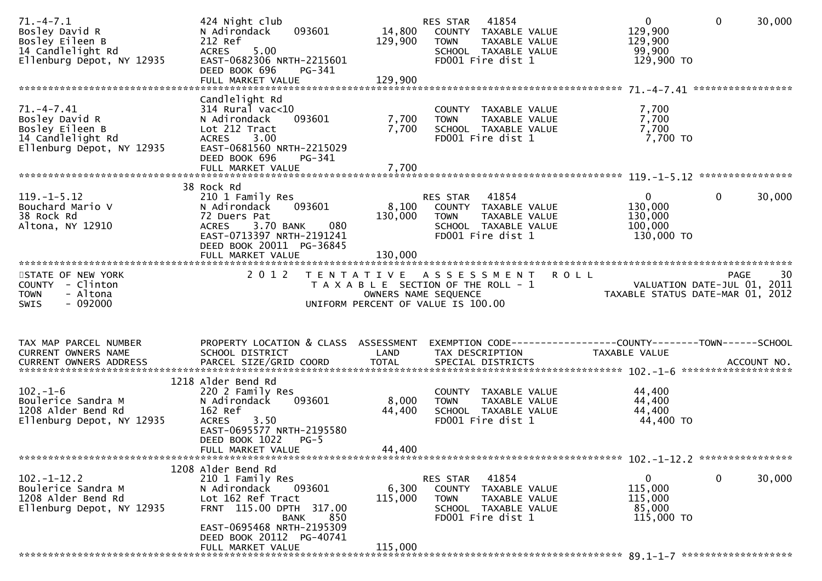| $71. - 4 - 7.1$<br>Bosley David R<br>Bosley Eileen B<br>14 Candlelight Rd<br>Ellenburg Depot, NY 12935 | 424 Night club<br>093601<br>N Adirondack<br>212 Ref<br>5.00<br><b>ACRES</b><br>EAST-0682306 NRTH-2215601<br>DEED BOOK 696<br>PG-341                                                  | 14,800<br>129,900         | 41854<br>RES STAR<br>COUNTY TAXABLE VALUE<br>TAXABLE VALUE<br><b>TOWN</b><br>SCHOOL TAXABLE VALUE<br>FD001 Fire dist 1    | $\mathbf 0$<br>129,900<br>129,900<br>99,900<br>129,900 TO       | $\mathbf 0$<br>30,000  |
|--------------------------------------------------------------------------------------------------------|--------------------------------------------------------------------------------------------------------------------------------------------------------------------------------------|---------------------------|---------------------------------------------------------------------------------------------------------------------------|-----------------------------------------------------------------|------------------------|
| $71. -4 - 7.41$<br>Bosley David R<br>Bosley Eileen B<br>14 Candlelight Rd<br>Ellenburg Depot, NY 12935 | Candlelight Rd<br>$314$ Rural vac<10<br>093601<br>N Adirondack<br>Lot 212 Tract<br>3.00<br><b>ACRES</b><br>EAST-0681560 NRTH-2215029<br>DEED BOOK 696<br>PG-341<br>FULL MARKET VALUE | 7,700<br>7,700<br>7,700   | COUNTY TAXABLE VALUE<br>TAXABLE VALUE<br><b>TOWN</b><br>SCHOOL TAXABLE VALUE<br>FD001 Fire dist 1                         | 7,700<br>7,700<br>7,700<br>7,700 TO                             |                        |
| $119. - 1 - 5.12$<br>Bouchard Mario V<br>38 Rock Rd<br>Altona, NY 12910                                | 38 Rock Rd<br>210 1 Family Res<br>093601<br>N Adirondack<br>72 Duers Pat<br>3.70 BANK<br>080<br><b>ACRES</b><br>EAST-0713397 NRTH-2191241<br>DEED BOOK 20011 PG-36845                | 130,000                   | RES STAR 41854<br>8,100 COUNTY TAXABLE VALUE<br>TAXABLE VALUE<br><b>TOWN</b><br>SCHOOL TAXABLE VALUE<br>FD001 Fire dist 1 | $\mathbf{0}$<br>130,000<br>130,000<br>100,000<br>130,000 TO     | $\mathbf{0}$<br>30,000 |
| STATE OF NEW YORK<br>COUNTY - Clinton<br>- Altona<br><b>TOWN</b><br><b>SWIS</b><br>- 092000            | 2 0 1 2                                                                                                                                                                              | OWNERS NAME SEQUENCE      | TENTATIVE ASSESSMENT<br><b>ROLL</b><br>T A X A B L E SECTION OF THE ROLL - 1<br>UNIFORM PERCENT OF VALUE IS 100.00        | VALUATION DATE-JUL 01, 2011<br>TAXABLE STATUS DATE-MAR 01, 2012 | 30<br><b>PAGE</b>      |
| TAX MAP PARCEL NUMBER<br>CURRENT OWNERS NAME                                                           | PROPERTY LOCATION & CLASS ASSESSMENT<br>SCHOOL DISTRICT<br>1218 Alder Bend Rd                                                                                                        | LAND                      | EXEMPTION CODE-----------------COUNTY-------TOWN------SCHOOL<br>TAX DESCRIPTION                                           | TAXABLE VALUE                                                   |                        |
| $102. - 1 - 6$<br>Boulerice Sandra M<br>1208 Alder Bend Rd<br>Ellenburg Depot, NY 12935                | 220 2 Family Res<br>093601<br>N Adirondack<br>162 Ref<br>3.50<br><b>ACRES</b><br>EAST-0695577 NRTH-2195580<br>DEED BOOK 1022<br>$PG-5$<br>FULL MARKET VALUE                          | 8,000<br>44,400<br>44,400 | COUNTY TAXABLE VALUE<br><b>TOWN</b><br>TAXABLE VALUE<br>SCHOOL TAXABLE VALUE<br>FD001 Fire dist 1                         | 44,400<br>44,400<br>44,400<br>44,400 TO                         |                        |
|                                                                                                        | 1208 Alder Bend Rd                                                                                                                                                                   |                           |                                                                                                                           |                                                                 |                        |
| $102. - 1 - 12.2$<br>Boulerice Sandra M<br>1208 Alder Bend Rd<br>Ellenburg Depot, NY 12935             | 210 1 Family Res<br>093601<br>N Adirondack<br>Lot 162 Ref Tract<br>FRNT 115.00 DPTH 317.00<br>850<br><b>BANK</b><br>EAST-0695468 NRTH-2195309                                        | 6,300<br>115,000          | 41854<br>RES STAR<br>COUNTY TAXABLE VALUE<br>TAXABLE VALUE<br>TOWN<br>SCHOOL TAXABLE VALUE<br>FD001 Fire dist 1           | 0<br>115,000<br>115,000<br>85,000<br>115,000 TO                 | 0<br>30,000            |
|                                                                                                        | DEED BOOK 20112 PG-40741<br>FULL MARKET VALUE                                                                                                                                        | 115,000                   |                                                                                                                           |                                                                 |                        |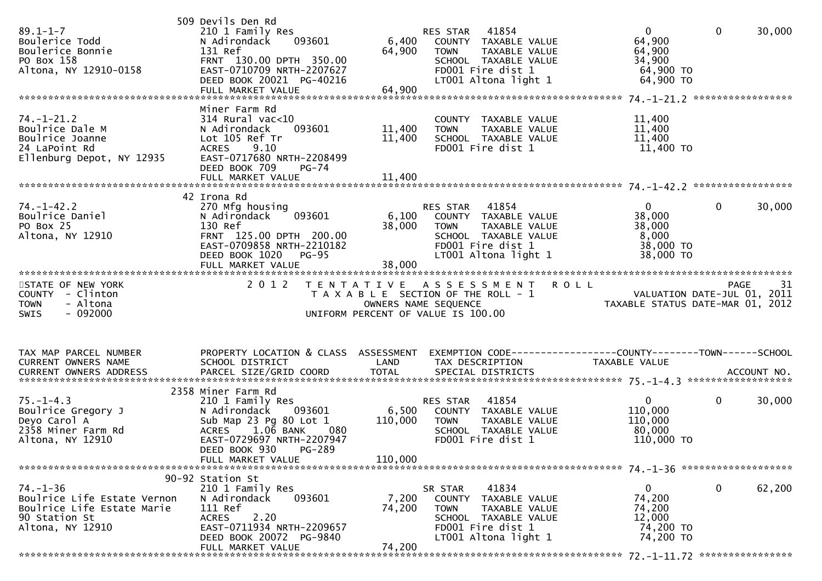| $89.1 - 1 - 7$<br>Boulerice Todd<br>Boulerice Bonnie<br>PO Box 158<br>Altona, NY 12910-0158                 | 509 Devils Den Rd<br>210 1 Family Res<br>N Adirondack<br>093601<br>131 Ref<br>FRNT 130.00 DPTH 350.00<br>EAST-0710709 NRTH-2207627<br>DEED BOOK 20021 PG-40216                                         | 6,400<br>64,900                                                                                     | RES STAR 41854<br><b>TOWN</b> | COUNTY TAXABLE VALUE<br>TAXABLE VALUE<br>SCHOOL TAXABLE VALUE<br>FD001 Fire dist 1<br>LT001 Altona light 1          | $\overline{0}$<br>64,900<br>64,900<br>34,900<br>64,900 TO<br>$64,900$ TO       | $\overline{0}$ | 30,000 |
|-------------------------------------------------------------------------------------------------------------|--------------------------------------------------------------------------------------------------------------------------------------------------------------------------------------------------------|-----------------------------------------------------------------------------------------------------|-------------------------------|---------------------------------------------------------------------------------------------------------------------|--------------------------------------------------------------------------------|----------------|--------|
| $74. - 1 - 21.2$<br>Boulrice Dale M<br>Boulrice Joanne<br>24 LaPoint Rd<br>Ellenburg Depot, NY 12935        | Miner Farm Rd<br>$314$ Rural vac< $10$<br>093601<br>N Adirondack<br>Lot 105 Ref Tr<br><b>ACRES</b><br>9.10<br>EAST-0717680 NRTH-2208499<br>DEED BOOK 709<br>$PG-74$                                    | 11,400<br>11,400                                                                                    | <b>TOWN</b>                   | COUNTY TAXABLE VALUE<br>TAXABLE VALUE<br>SCHOOL TAXABLE VALUE<br>FD001 Fire dist 1                                  | 11,400<br>11,400<br>11,400<br>11,400 TO                                        |                |        |
| $74. - 1 - 42.2$<br>Boulrice Daniel<br>PO Box 25<br>Altona, NY 12910                                        | 42 Irona Rd<br>270 Mfg housing<br>N Adirondack<br>093601<br>130 Ref<br>FRNT 125.00 DPTH 200.00<br>EAST-0709858 NRTH-2210182<br>DEED BOOK 1020<br>$PG-95$                                               | 6,100<br>38,000                                                                                     | RES STAR 41854<br><b>TOWN</b> | COUNTY TAXABLE VALUE<br>TAXABLE VALUE<br>SCHOOL TAXABLE VALUE<br>FD001 Fire dist 1<br>LT001 Altona light 1          | $\overline{0}$<br>38,000<br>38,000<br>8,000<br>38,000 TO<br>38,000 TO          | $\mathbf 0$    | 30,000 |
| STATE OF NEW YORK<br>COUNTY - Clinton<br><b>TOWN</b><br>- Altona<br>$-092000$<br><b>SWIS</b>                | 2 0 1 2                                                                                                                                                                                                | TENTATIVE ASSESSMENT<br>T A X A B L E SECTION OF THE ROLL - 1<br>UNIFORM PERCENT OF VALUE IS 100.00 | OWNERS NAME SEQUENCE          |                                                                                                                     | <b>ROLL</b><br>VALUATION DATE-JUL 01, 2011<br>TAXABLE STATUS DATE-MAR 01, 2012 | <b>PAGE</b>    | 31     |
| TAX MAP PARCEL NUMBER<br>CURRENT OWNERS NAME                                                                | PROPERTY LOCATION & CLASS ASSESSMENT<br>SCHOOL DISTRICT                                                                                                                                                | LAND                                                                                                |                               | TAX DESCRIPTION                                                                                                     | EXEMPTION CODE-----------------COUNTY-------TOWN------SCHOOL<br>TAXABLE VALUE  |                |        |
| $75. - 1 - 4.3$<br>Boulrice Gregory J<br>Deyo Carol A<br>2358 Miner Farm Rd<br>Altona, NY 12910             | 2358 Miner Farm Rd<br>210 1 Family Res<br>N Adirondack 093601<br>Sub Map 23 Pg 80 Lot 1<br>$1.0\bar{6}$ BANK<br><b>ACRES</b><br>EAST-0729697 NRTH-2207947<br>DEED BOOK 930 PG-289<br>FULL MARKET VALUE | 6,500<br>110,000<br>110,000                                                                         | RES STAR<br><b>TOWN</b>       | 41854<br>COUNTY TAXABLE VALUE<br>TAXABLE VALUE<br>SCHOOL TAXABLE VALUE<br>FD001 Fire dist 1                         | $\mathbf{0}$<br>110,000<br>110,000<br>80,000<br>110,000 TO                     | $\mathbf{0}$   | 30,000 |
|                                                                                                             |                                                                                                                                                                                                        |                                                                                                     |                               |                                                                                                                     |                                                                                |                |        |
| 74. –1–36<br>Boulrice Life Estate Vernon<br>Boulrice Life Estate Marie<br>90 Station St<br>Altona, NY 12910 | 90-92 Station St<br>210 1 Family Res<br>N Adirondack<br>093601<br>111 Ref<br>2.20<br><b>ACRES</b><br>EAST-0711934 NRTH-2209657<br>DEED BOOK 20072 PG-9840<br>FULL MARKET VALUE                         | 7,200<br>74,200<br>74,200                                                                           | SR STAR<br><b>TOWN</b>        | 41834<br>COUNTY TAXABLE VALUE<br>TAXABLE VALUE<br>SCHOOL TAXABLE VALUE<br>FD001 Fire dist 1<br>LT001 Altona light 1 | 0<br>74,200<br>74,200<br>12,000<br>74,200 TO<br>74,200 TO                      | $\mathbf{0}$   | 62,200 |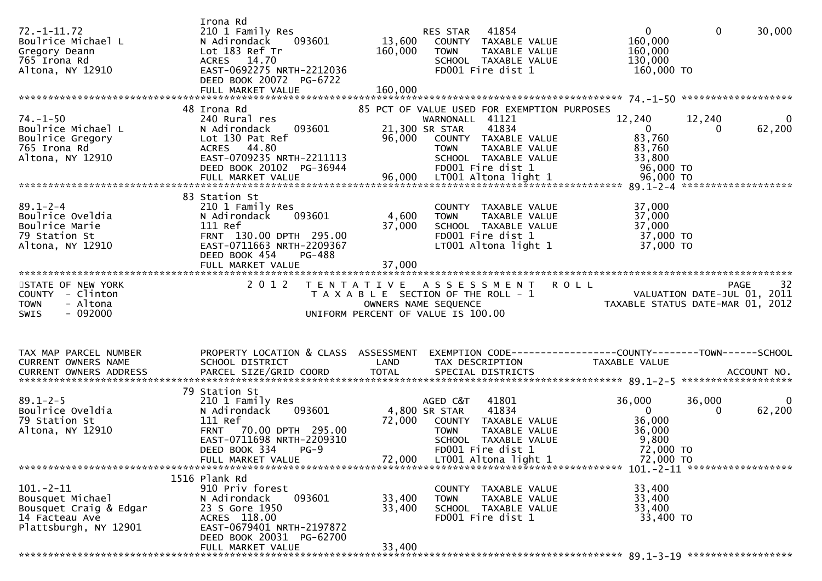| $72. - 1 - 11.72$<br>Boulrice Michael L<br>Gregory Deann<br>765 Irona Rd | Irona Rd<br>210 1 Family Res<br>N Adirondack<br>093601<br>Lot 183 Ref Tr<br>ACRES 14.70 | 13,600<br>160,000 | 41854<br>RES STAR<br>COUNTY TAXABLE VALUE<br><b>TOWN</b><br>TAXABLE VALUE<br>SCHOOL TAXABLE VALUE | $\mathbf{0}$<br>$\mathbf{0}$<br>30,000<br>160,000<br>160,000<br>130,000 |
|--------------------------------------------------------------------------|-----------------------------------------------------------------------------------------|-------------------|---------------------------------------------------------------------------------------------------|-------------------------------------------------------------------------|
| Altona, NY 12910                                                         | EAST-0692275 NRTH-2212036<br>DEED BOOK 20072 PG-6722                                    |                   | FD001 Fire dist 1                                                                                 | 160,000 TO                                                              |
|                                                                          |                                                                                         |                   |                                                                                                   |                                                                         |
|                                                                          |                                                                                         |                   |                                                                                                   |                                                                         |
| $74. - 1 - 50$                                                           | 48 Irona Rd<br>240 Rural res                                                            |                   | 85 PCT OF VALUE USED FOR EXEMPTION PURPOSES<br>WARNONALL 41121                                    | 12,240<br>12,240                                                        |
| Boulrice Michael L                                                       | 093601<br>N Adirondack                                                                  |                   | 21,300 SR STAR<br>41834                                                                           | $\mathbf{0}$<br>62,200<br>0                                             |
| Boulrice Gregory                                                         | Lot 130 Pat Ref                                                                         | 96,000            | COUNTY TAXABLE VALUE                                                                              | 83,760                                                                  |
| 765 Irona Rd<br>Altona, NY 12910                                         | ACRES 44.80<br>EAST-0709235 NRTH-2211113                                                |                   | TAXABLE VALUE<br><b>TOWN</b><br>SCHOOL TAXABLE VALUE                                              | 83,760<br>33,800                                                        |
|                                                                          | DEED BOOK 20102 PG-36944                                                                |                   | FD001 Fire dist 1                                                                                 | 96,000 TO                                                               |
|                                                                          |                                                                                         |                   |                                                                                                   |                                                                         |
|                                                                          | 83 Station St                                                                           |                   |                                                                                                   |                                                                         |
| $89.1 - 2 - 4$                                                           | 210 1 Family Res                                                                        |                   | COUNTY TAXABLE VALUE                                                                              | 37,000                                                                  |
| Boulrice Oveldia                                                         | N Adirondack<br>093601                                                                  | 4,600             | TAXABLE VALUE<br><b>TOWN</b>                                                                      | 37,000                                                                  |
| Boulrice Marie<br>79 Station St                                          | 111 Ref<br>FRNT 130.00 DPTH 295.00                                                      | 37,000            | SCHOOL TAXABLE VALUE<br>FD001 Fire dist 1                                                         | 37,000<br>37,000 TO                                                     |
| Altona, NY 12910                                                         | EAST-0711663 NRTH-2209367                                                               |                   | LT001 Altona light 1                                                                              | 37,000 TO                                                               |
|                                                                          | DEED BOOK 454<br>PG-488                                                                 |                   |                                                                                                   |                                                                         |
|                                                                          |                                                                                         |                   |                                                                                                   |                                                                         |
| STATE OF NEW YORK                                                        | 2 0 1 2                                                                                 |                   | TENTATIVE ASSESSMENT                                                                              | 32<br><b>ROLL</b><br>PAGE                                               |
| COUNTY - Clinton                                                         |                                                                                         |                   | T A X A B L E SECTION OF THE ROLL - 1                                                             | VALUATION DATE-JUL 01, 2011                                             |
|                                                                          |                                                                                         |                   |                                                                                                   |                                                                         |
| - Altona<br><b>TOWN</b>                                                  |                                                                                         |                   | OWNERS NAME SEQUENCE                                                                              | TAXABLE STATUS DATE-MAR 01, 2012                                        |
| $-092000$<br><b>SWIS</b>                                                 |                                                                                         |                   | UNIFORM PERCENT OF VALUE IS 100.00                                                                |                                                                         |
|                                                                          |                                                                                         |                   |                                                                                                   |                                                                         |
| TAX MAP PARCEL NUMBER                                                    |                                                                                         |                   |                                                                                                   | EXEMPTION CODE-----------------COUNTY-------TOWN------SCHOOL            |
| CURRENT OWNERS NAME                                                      | PROPERTY LOCATION & CLASS ASSESSMENT<br>SCHOOL DISTRICT                                 | LAND              | TAX DESCRIPTION                                                                                   | TAXABLE VALUE                                                           |
|                                                                          |                                                                                         |                   |                                                                                                   |                                                                         |
|                                                                          |                                                                                         |                   |                                                                                                   |                                                                         |
| $89.1 - 2 - 5$                                                           | 79 Station St<br>210 1 Family Res                                                       |                   | AGED C&T<br>41801                                                                                 | 36,000<br>36,000                                                        |
| Boulrice Oveldia                                                         | 093601<br>N Adirondack                                                                  |                   | 4,800 SR STAR<br>41834                                                                            | 62,200<br>$\mathbf{0}$<br>$\bf{0}$                                      |
| 79 Station St                                                            | 111 Ref                                                                                 | 72,000            | COUNTY TAXABLE VALUE<br><b>TOWN</b>                                                               | 36,000                                                                  |
| Altona, NY 12910                                                         | FRNT 70.00 DPTH 295.00<br>EAST-0711698 NRTH-2209310                                     |                   | TAXABLE VALUE<br>SCHOOL TAXABLE VALUE                                                             | 36,000<br>9,800                                                         |
|                                                                          | DEED BOOK 334 PG-9                                                                      |                   | FD001 Fire dist 1                                                                                 | 72,000 TO                                                               |
|                                                                          | FULL MARKET VALUE                                                                       | 72,000            | LT001 Altona light 1                                                                              | 72,000 TO                                                               |
|                                                                          | 1516 Plank Rd                                                                           |                   |                                                                                                   |                                                                         |
| $101 - 2 - 11$                                                           | 910 Priv forest                                                                         |                   | COUNTY TAXABLE VALUE                                                                              | 33,400                                                                  |
| Bousquet Michael                                                         | N Adirondack<br>093601                                                                  | 33,400            | <b>TOWN</b><br>TAXABLE VALUE                                                                      | 33,400                                                                  |
| Bousquet Craig & Edgar<br>14 Facteau Ave                                 | 23 S Gore 1950<br>ACRES 118.00                                                          | 33,400            | SCHOOL TAXABLE VALUE<br>FD001 Fire dist 1                                                         | 33,400<br>33,400 TO                                                     |
| Plattsburgh, NY 12901                                                    | EAST-0679401 NRTH-2197872                                                               |                   |                                                                                                   |                                                                         |
|                                                                          | DEED BOOK 20031 PG-62700<br>FULL MARKET VALUE                                           | 33,400            |                                                                                                   |                                                                         |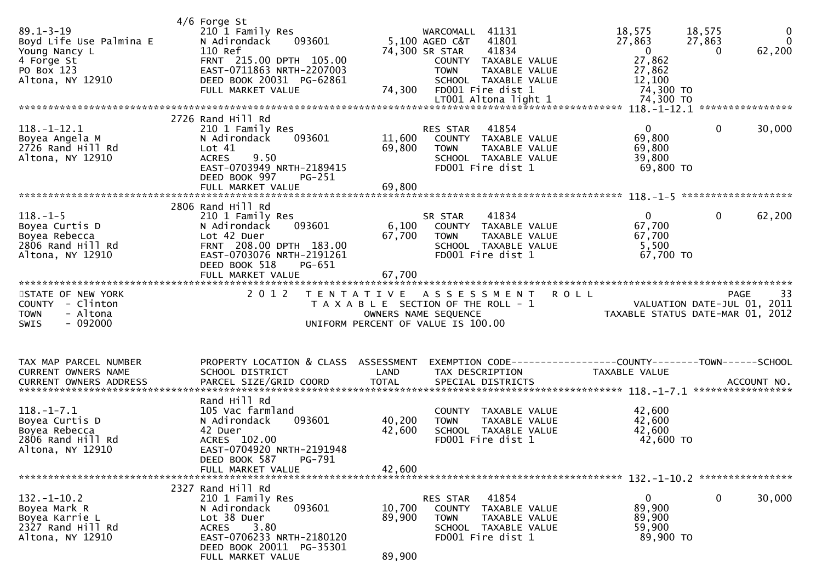| $89.1 - 3 - 19$<br>Boyd Life Use Palmina E<br>Young Nancy L<br>4 Forge St<br>PO Box 123<br>Altona, NY 12910 | $4/6$ Forge St<br>210 1 Family Res<br>N Adirondack<br>093601<br>110 Ref<br>FRNT 215.00 DPTH 105.00<br>EAST-0711863 NRTH-2207003<br>DEED BOOK 20031 PG-62861<br>FULL MARKET VALUE       | 74,300                                    | 41131<br>WARCOMALL<br>5,100 AGED C&T<br>41801<br>74,300 SR STAR<br>41834<br>COUNTY TAXABLE VALUE<br>TAXABLE VALUE<br><b>TOWN</b><br>SCHOOL TAXABLE VALUE<br>FD001 Fire dist 1 | 18,575<br>27,863<br>$\overline{0}$<br>27,862<br>27,862<br>12,100<br>74,300 TO | 18,575<br>$\mathbf 0$<br>$\mathbf{0}$<br>27,863<br>62,200<br>$\Omega$ |
|-------------------------------------------------------------------------------------------------------------|----------------------------------------------------------------------------------------------------------------------------------------------------------------------------------------|-------------------------------------------|-------------------------------------------------------------------------------------------------------------------------------------------------------------------------------|-------------------------------------------------------------------------------|-----------------------------------------------------------------------|
| $118.-1-12.1$<br>Boyea Angela M<br>2726 Rand Hill Rd<br>Altona, NY 12910                                    | 2726 Rand Hill Rd<br>210 1 Family Res<br>N Adirondack<br>093601<br>Lot $41$<br>9.50<br><b>ACRES</b><br>EAST-0703949 NRTH-2189415<br>DEED BOOK 997<br>$PG-251$<br>FULL MARKET VALUE     | 11,600<br>69,800<br>69,800                | 41854<br>RES STAR<br>COUNTY TAXABLE VALUE<br><b>TOWN</b><br>TAXABLE VALUE<br>SCHOOL TAXABLE VALUE<br>FD001 Fire dist 1                                                        | $\mathbf{0}$<br>69,800<br>69,800<br>39,800<br>69,800 TO                       | $\mathbf 0$<br>30,000                                                 |
|                                                                                                             |                                                                                                                                                                                        |                                           |                                                                                                                                                                               |                                                                               |                                                                       |
| $118. - 1 - 5$<br>Boyea Curtis D<br>Boyea Rebecca<br>2806 Rand Hill Rd<br>Altona, NY 12910                  | 2806 Rand Hill Rd<br>210 1 Family Res<br>N Adirondack<br>093601<br>Lot 42 Duer<br>FRNT 208.00 DPTH 183.00<br>EAST-0703076 NRTH-2191261<br>DEED BOOK 518<br>PG-651<br>FULL MARKET VALUE | 6,100<br>67,700<br>67,700                 | 41834<br>SR STAR<br>COUNTY TAXABLE VALUE<br><b>TOWN</b><br>TAXABLE VALUE<br>SCHOOL TAXABLE VALUE<br>FD001 Fire dist 1                                                         | $\mathbf{0}$<br>67,700<br>67,700<br>5,500<br>67,700 TO                        | $\mathbf 0$<br>62,200                                                 |
|                                                                                                             |                                                                                                                                                                                        |                                           |                                                                                                                                                                               |                                                                               |                                                                       |
| STATE OF NEW YORK<br>COUNTY - Clinton<br>- Altona<br><b>TOWN</b><br>$-092000$<br><b>SWIS</b>                | 2 0 1 2                                                                                                                                                                                | T E N T A T I V E<br>OWNERS NAME SEQUENCE | A S S E S S M E N T<br>T A X A B L E SECTION OF THE ROLL - 1<br>UNIFORM PERCENT OF VALUE IS 100.00                                                                            | <b>ROLL</b><br>TAXABLE STATUS DATE-MAR 01, 2012                               | 33<br><b>PAGE</b><br>VALUATION DATE-JUL 01, 2011                      |
| TAX MAP PARCEL NUMBER<br>CURRENT OWNERS NAME<br><b>CURRENT OWNERS ADDRESS</b>                               | PROPERTY LOCATION & CLASS ASSESSMENT<br>SCHOOL DISTRICT<br>PARCEL SIZE/GRID COORD                                                                                                      | LAND<br><b>TOTAL</b>                      | EXEMPTION CODE------------------COUNTY--------TOWN------SCHOOL<br>TAX DESCRIPTION<br>SPECIAL DISTRICTS                                                                        | TAXABLE VALUE                                                                 | ACCOUNT NO.                                                           |
| $118. - 1 - 7.1$<br>Boyea Curtis D<br>Boyea Rebecca<br>2806 Rand Hill Rd<br>Altona, NY 12910                | Rand Hill Rd<br>105 Vac farmland<br>093601<br>N Adirondack<br>42 Duer<br>ACRES 102.00<br>EAST-0704920 NRTH-2191948<br>DEED BOOK 587<br>PG-791<br>FULL MARKET VALUE                     | 40,200<br>42,600<br>42,600                | COUNTY TAXABLE VALUE<br>TAXABLE VALUE<br><b>TOWN</b><br>SCHOOL TAXABLE VALUE<br>FD001 Fire dist 1                                                                             | 42,600<br>42,600<br>42,600<br>42,600 TO                                       |                                                                       |
|                                                                                                             |                                                                                                                                                                                        |                                           |                                                                                                                                                                               |                                                                               |                                                                       |
| $132. - 1 - 10.2$<br>Boyea Mark R<br>Boyea Karrie L<br>2327 Rand Hill Rd<br>Altona, NY 12910                | 2327 Rand Hill Rd<br>210 1 Family Res<br>093601<br>N Adirondack<br>Lot 38 Duer<br>3.80<br><b>ACRES</b><br>EAST-0706233 NRTH-2180120<br>DEED BOOK 20011 PG-35301<br>FULL MARKET VALUE   | 10,700<br>89,900<br>89,900                | 41854<br>RES STAR<br>COUNTY TAXABLE VALUE<br><b>TOWN</b><br>TAXABLE VALUE<br>SCHOOL TAXABLE VALUE<br>FD001 Fire dist 1                                                        | $\mathbf{0}$<br>89,900<br>89,900<br>59,900<br>89,900 TO                       | $\mathbf 0$<br>30,000                                                 |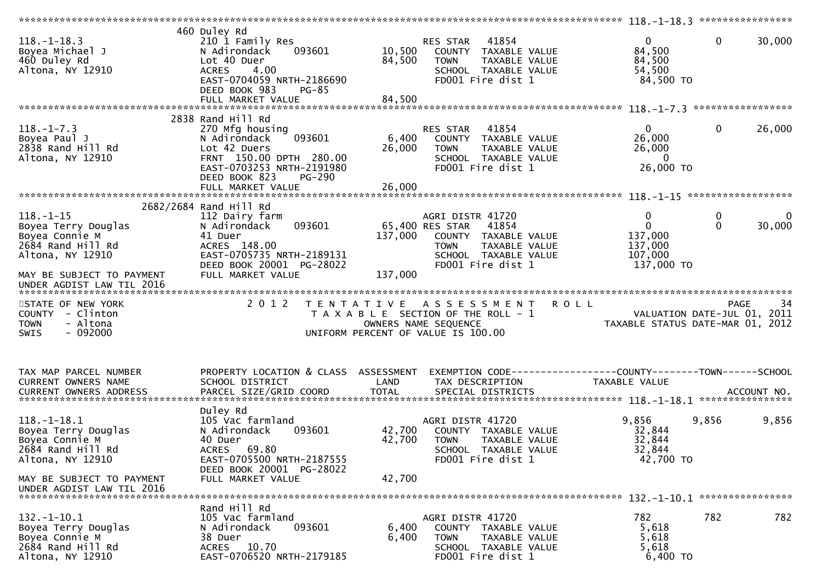|                                       | 460 Duley Rd                             |              |                                                              |                                  |                   |             |
|---------------------------------------|------------------------------------------|--------------|--------------------------------------------------------------|----------------------------------|-------------------|-------------|
| $118. - 1 - 18.3$                     | 210 1 Family Res                         |              | 41854<br>RES STAR                                            | $\mathbf{0}$                     | $\mathbf{0}$      | 30,000      |
| Boyea Michael J                       | 093601<br>N Adirondack                   | 10,500       | COUNTY TAXABLE VALUE                                         | 84,500                           |                   |             |
| 460 Duley Rd                          | Lot 40 Duer                              | 84,500       | <b>TOWN</b><br>TAXABLE VALUE                                 | 84,500                           |                   |             |
| Altona, NY 12910                      | <b>ACRES</b><br>4.00                     |              | SCHOOL TAXABLE VALUE                                         | 54,500                           |                   |             |
|                                       | EAST-0704059 NRTH-2186690                |              | FD001 Fire dist 1                                            | 84,500 TO                        |                   |             |
|                                       | DEED BOOK 983<br>$PG-85$                 |              |                                                              |                                  |                   |             |
|                                       | FULL MARKET VALUE                        | 84,500       |                                                              |                                  |                   |             |
|                                       |                                          |              |                                                              |                                  |                   |             |
|                                       | 2838 Rand Hill Rd                        |              |                                                              |                                  |                   |             |
| $118. - 1 - 7.3$                      | 270 Mfg housing                          |              | 41854<br>RES STAR                                            | $\mathbf{0}$                     | $\mathbf{0}$      | 26,000      |
| Boyea Paul J                          | 093601<br>N Adirondack                   | 6,400        | COUNTY TAXABLE VALUE                                         | 26,000                           |                   |             |
| 2838 Rand Hill Rd                     | Lot 42 Duers                             | 26,000       | <b>TOWN</b><br>TAXABLE VALUE                                 | 26,000                           |                   |             |
| Altona, NY 12910                      | FRNT 150.00 DPTH 280.00                  |              | SCHOOL TAXABLE VALUE                                         | $\Omega$                         |                   |             |
|                                       | EAST-0703253 NRTH-2191980                |              | FD001 Fire dist 1                                            | 26,000 TO                        |                   |             |
|                                       | DEED BOOK 823<br><b>PG-290</b>           |              |                                                              |                                  |                   |             |
|                                       | FULL MARKET VALUE                        | 26,000       |                                                              |                                  |                   |             |
|                                       |                                          |              |                                                              |                                  |                   |             |
|                                       | 2682/2684 Rand Hill Rd                   |              |                                                              |                                  |                   |             |
| $118. - 1 - 15$                       | 112 Dairy farm                           |              | AGRI DISTR 41720                                             | 0<br>$\overline{0}$              | 0<br>$\mathbf{0}$ | $\Omega$    |
| Boyea Terry Douglas<br>Boyea Connie M | 093601<br>N Adirondack                   | 137,000      | 65,400 RES STAR<br>41854                                     |                                  |                   | 30,000      |
| 2684 Rand Hill Rd                     | 41 Duer<br>ACRES 148.00                  |              | COUNTY TAXABLE VALUE                                         | 137,000<br>137,000               |                   |             |
| Altona, NY 12910                      | EAST-0705735 NRTH-2189131                |              | TAXABLE VALUE<br><b>TOWN</b><br>SCHOOL TAXABLE VALUE         | 107,000                          |                   |             |
|                                       | DEED BOOK 20001 PG-28022                 |              | FD001 Fire dist 1                                            | 137,000 TO                       |                   |             |
| MAY BE SUBJECT TO PAYMENT             | FULL MARKET VALUE                        | 137,000      |                                                              |                                  |                   |             |
| UNDER AGDIST LAW TIL 2016             |                                          |              |                                                              |                                  |                   |             |
|                                       |                                          |              |                                                              |                                  |                   |             |
|                                       |                                          |              |                                                              |                                  |                   |             |
|                                       |                                          |              |                                                              |                                  |                   |             |
| STATE OF NEW YORK                     | 2 0 1 2                                  |              | TENTATIVE ASSESSMENT                                         | <b>ROLL</b>                      | <b>PAGE</b>       | 34          |
| COUNTY - Clinton                      |                                          |              | T A X A B L E SECTION OF THE ROLL - 1                        | VALUATION DATE-JUL 01, 2011      |                   |             |
| - Altona<br><b>TOWN</b>               |                                          |              | OWNERS NAME SEQUENCE                                         | TAXABLE STATUS DATE-MAR 01, 2012 |                   |             |
| $-092000$<br>SWIS                     |                                          |              | UNIFORM PERCENT OF VALUE IS 100.00                           |                                  |                   |             |
|                                       |                                          |              |                                                              |                                  |                   |             |
|                                       |                                          |              |                                                              |                                  |                   |             |
| TAX MAP PARCEL NUMBER                 | PROPERTY LOCATION & CLASS ASSESSMENT     |              | EXEMPTION CODE-----------------COUNTY-------TOWN------SCHOOL |                                  |                   |             |
| CURRENT OWNERS NAME                   | SCHOOL DISTRICT                          | LAND         | TAX DESCRIPTION                                              | TAXABLE VALUE                    |                   |             |
| <b>CURRENT OWNERS ADDRESS</b>         |                                          | <b>TOTAL</b> | SPECIAL DISTRICTS                                            |                                  |                   | ACCOUNT NO. |
|                                       | PARCEL SIZE/GRID COORD                   |              |                                                              |                                  |                   |             |
|                                       | Duley Rd                                 |              |                                                              |                                  |                   |             |
| $118.-1-18.1$                         | 105 Vac farmland                         |              | AGRI DISTR 41720                                             | 9,856                            | 9,856             | 9,856       |
| Boyea Terry Douglas                   | N Adirondack<br>093601                   | 42,700       | COUNTY TAXABLE VALUE                                         | 32,844                           |                   |             |
| Boyea Connie M                        | 40 Duer                                  | 42,700       | <b>TOWN</b><br>TAXABLE VALUE                                 | 32,844                           |                   |             |
| 2684 Rand Hill Rd                     | <b>ACRES</b><br>69.80                    |              | SCHOOL TAXABLE VALUE                                         | 32,844                           |                   |             |
| Altona, NY 12910                      | EAST-0705500 NRTH-2187555                |              | FD001 Fire dist 1                                            | 42,700 TO                        |                   |             |
|                                       | DEED BOOK 20001 PG-28022                 |              |                                                              |                                  |                   |             |
| MAY BE SUBJECT TO PAYMENT             | FULL MARKET VALUE                        | 42,700       |                                                              |                                  |                   |             |
| UNDER AGDIST LAW TIL 2016             |                                          |              |                                                              |                                  |                   |             |
|                                       |                                          |              |                                                              |                                  |                   |             |
|                                       | Rand Hill Rd                             |              |                                                              |                                  |                   |             |
| $132. - 1 - 10.1$                     | 105 Vac farmland                         |              | AGRI DISTR 41720                                             | 782                              | 782               | 782         |
| Boyea Terry Douglas                   | N Adirondack<br>093601                   | 6,400        | COUNTY TAXABLE VALUE                                         | 5,618                            |                   |             |
| Boyea Connie M                        | 38 Duer                                  | 6,400        | <b>TOWN</b><br>TAXABLE VALUE                                 | 5,618                            |                   |             |
| 2684 Rand Hill Rd<br>Altona, NY 12910 | ACRES 10.70<br>EAST-0706520 NRTH-2179185 |              | SCHOOL TAXABLE VALUE<br>FD001 Fire dist 1                    | 5,618<br>6,400 TO                |                   |             |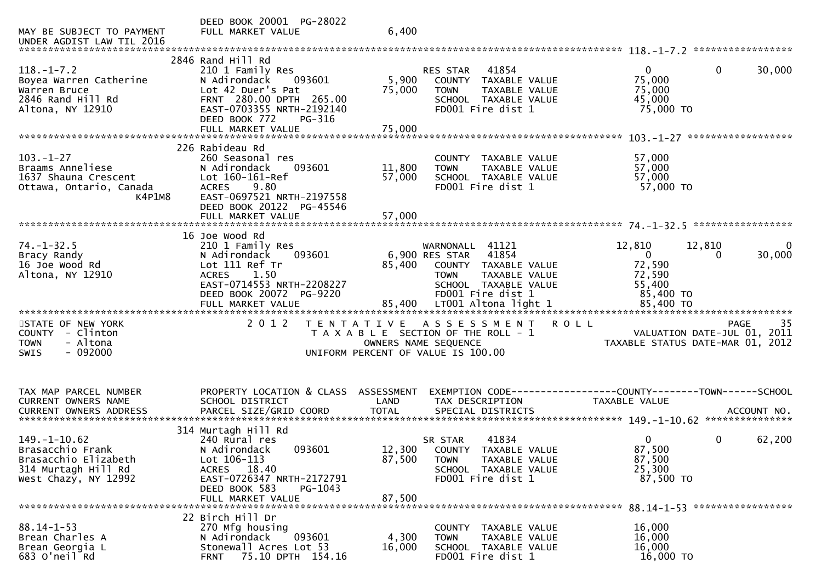| MAY BE SUBJECT TO PAYMENT                                  | DEED BOOK 20001 PG-28022<br>FULL MARKET VALUE                                   | 6,400           |                                                                           |                                                                     |  |
|------------------------------------------------------------|---------------------------------------------------------------------------------|-----------------|---------------------------------------------------------------------------|---------------------------------------------------------------------|--|
| UNDER AGDIST LAW TIL 2016                                  |                                                                                 |                 |                                                                           |                                                                     |  |
|                                                            | 2846 Rand Hill Rd                                                               |                 |                                                                           |                                                                     |  |
| $118. - 1 - 7.2$<br>Boyea Warren Catherine<br>Warren Bruce | 210 1 Family Res<br>N Adirondack<br>093601<br>Lot 42 Duer's Pat                 | 5,900<br>75,000 | 41854<br>RES STAR<br>COUNTY TAXABLE VALUE<br><b>TOWN</b><br>TAXABLE VALUE | $\mathbf{0}$<br>30,000<br>$\overline{0}$<br>75,000<br>75,000        |  |
| 2846 Rand Hill Rd<br>Altona, NY 12910                      | FRNT 280.00 DPTH 265.00<br>EAST-0703355 NRTH-2192140<br>DEED BOOK 772<br>PG-316 |                 | SCHOOL TAXABLE VALUE<br>FD001 Fire dist 1                                 | 45,000<br>75,000 TO                                                 |  |
|                                                            | FULL MARKET VALUE                                                               | 75,000          |                                                                           |                                                                     |  |
|                                                            |                                                                                 |                 |                                                                           |                                                                     |  |
| $103. - 1 - 27$                                            | 226 Rabideau Rd<br>260 Seasonal res                                             |                 | COUNTY TAXABLE VALUE                                                      | 57,000                                                              |  |
| Braams Anneliese                                           | 093601<br>N Adirondack                                                          | 11,800          | <b>TOWN</b><br>TAXABLE VALUE                                              | 57,000                                                              |  |
| 1637 Shauna Crescent                                       | Lot 160-161-Ref                                                                 | 57,000          | SCHOOL TAXABLE VALUE                                                      | 57,000                                                              |  |
| Ottawa, Ontario, Canada                                    | <b>ACRES</b><br>9.80                                                            |                 | FD001 Fire dist 1                                                         | 57,000 TO                                                           |  |
| K4P1M8                                                     | EAST-0697521 NRTH-2197558                                                       |                 |                                                                           |                                                                     |  |
|                                                            | DEED BOOK 20122 PG-45546                                                        |                 |                                                                           |                                                                     |  |
|                                                            | FULL MARKET VALUE                                                               | 57,000          |                                                                           |                                                                     |  |
|                                                            | 16 Joe Wood Rd                                                                  |                 |                                                                           |                                                                     |  |
| $74. - 1 - 32.5$                                           | 210 1 Family Res                                                                |                 | WARNONALL 41121                                                           | 12,810<br>12,810                                                    |  |
| Bracy Randy                                                | 093601<br>N Adirondack                                                          |                 | 6,900 RES STAR 41854                                                      | $\overline{0}$<br>30,000<br>$\Omega$                                |  |
| 16 Joe Wood Rd                                             | Lot 111 Ref Tr                                                                  | 85,400          | COUNTY TAXABLE VALUE                                                      | 72,590                                                              |  |
| Altona, NY 12910                                           | 1.50<br><b>ACRES</b>                                                            |                 | <b>TOWN</b><br>TAXABLE VALUE                                              | 72,590                                                              |  |
|                                                            | EAST-0714553 NRTH-2208227                                                       |                 | SCHOOL TAXABLE VALUE                                                      | 55,400                                                              |  |
|                                                            | DEED BOOK 20072 PG-9220                                                         |                 | FD001 Fire dist 1                                                         | 85,400 TO                                                           |  |
|                                                            |                                                                                 |                 |                                                                           |                                                                     |  |
| STATE OF NEW YORK                                          | 2 0 1 2                                                                         |                 | TENTATIVE ASSESSMENT ROLL                                                 | 35<br><b>PAGE</b>                                                   |  |
| COUNTY - Clinton                                           |                                                                                 |                 | T A X A B L E SECTION OF THE ROLL - 1                                     | VALUATION DATE-JUL 01, 2011                                         |  |
| - Altona<br><b>TOWN</b>                                    |                                                                                 |                 | OWNERS NAME SEQUENCE                                                      | TAXABLE STATUS DATE-MAR 01, 2012                                    |  |
| $-092000$<br><b>SWIS</b>                                   |                                                                                 |                 | UNIFORM PERCENT OF VALUE IS 100.00                                        |                                                                     |  |
|                                                            |                                                                                 |                 |                                                                           |                                                                     |  |
|                                                            |                                                                                 |                 |                                                                           |                                                                     |  |
| TAX MAP PARCEL NUMBER                                      | PROPERTY LOCATION & CLASS ASSESSMENT                                            |                 |                                                                           | EXEMPTION        CODE-----------------COUNTY-------TOWN------SCHOOL |  |
| CURRENT OWNERS NAME                                        | SCHOOL DISTRICT                                                                 | LAND            | TAX DESCRIPTION                                                           | <b>TAXABLE VALUE</b>                                                |  |
|                                                            |                                                                                 |                 |                                                                           |                                                                     |  |
|                                                            | 314 Murtagh Hill Rd                                                             |                 |                                                                           |                                                                     |  |
| $149. - 1 - 10.62$                                         | 240 Rural res                                                                   |                 | 41834<br>SR STAR                                                          | $\mathbf{0}$<br>62,200<br>0                                         |  |
| Brasacchio Frank                                           | N Adirondack<br>093601                                                          |                 | 12,300 COUNTY TAXABLE VALUE                                               | 87,500                                                              |  |
| Brasacchio Elizabeth                                       | Lot 106-113                                                                     | 87,500          | <b>TOWN</b><br>TAXABLE VALUE                                              | 87,500                                                              |  |
| 314 Murtagh Hill Rd                                        | ACRES 18.40                                                                     |                 | SCHOOL TAXABLE VALUE                                                      | 25,300                                                              |  |
| West Chazy, NY 12992                                       | EAST-0726347 NRTH-2172791                                                       |                 | FD001 Fire dist 1                                                         | 87,500 TO                                                           |  |
|                                                            | DEED BOOK 583<br>PG-1043                                                        |                 |                                                                           |                                                                     |  |
|                                                            | FULL MARKET VALUE                                                               | 87,500          |                                                                           |                                                                     |  |
|                                                            | 22 Birch Hill Dr                                                                |                 |                                                                           |                                                                     |  |
| $88.14 - 1 - 53$                                           | 270 Mfg housing                                                                 |                 | TAXABLE VALUE<br>COUNTY                                                   | 16,000                                                              |  |
| Brean Charles A                                            | N Adirondack<br>093601                                                          | 4,300           | <b>TOWN</b><br>TAXABLE VALUE                                              | 16,000                                                              |  |
| Brean Georgia L                                            | Stonewall Acres Lot 53                                                          | 16,000          | SCHOOL TAXABLE VALUE                                                      | 16,000                                                              |  |
| 683 O'neil Rd                                              | 75.10 DPTH 154.16<br><b>FRNT</b>                                                |                 | FD001 Fire dist 1                                                         | 16,000 TO                                                           |  |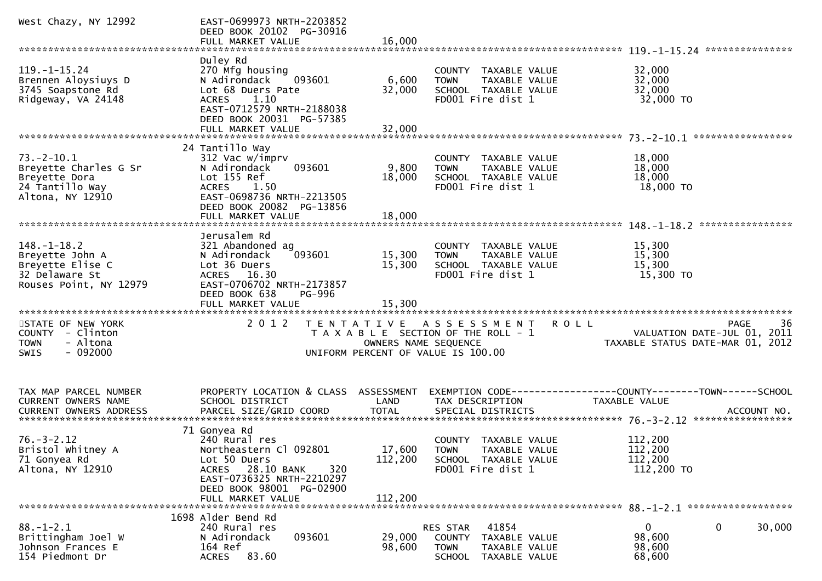| West Chazy, NY 12992                                                                                 | EAST-0699973 NRTH-2203852<br>DEED BOOK 20102 PG-30916<br>FULL MARKET VALUE                                                                                                        | 16,000                    |                                                                                                                    |                                                                                      |
|------------------------------------------------------------------------------------------------------|-----------------------------------------------------------------------------------------------------------------------------------------------------------------------------------|---------------------------|--------------------------------------------------------------------------------------------------------------------|--------------------------------------------------------------------------------------|
|                                                                                                      |                                                                                                                                                                                   |                           |                                                                                                                    |                                                                                      |
| $119. - 1 - 15.24$<br>Brennen Aloysiuys D<br>3745 Soapstone Rd<br>Ridgeway, VA 24148                 | Duley Rd<br>270 Mfg housing<br>N Adirondack<br>093601<br>Lot 68 Duers Pate<br>1.10<br><b>ACRES</b><br>EAST-0712579 NRTH-2188038<br>DEED BOOK 20031 PG-57385<br>FULL MARKET VALUE  | 6,600<br>32,000<br>32,000 | COUNTY TAXABLE VALUE<br>TAXABLE VALUE<br><b>TOWN</b><br>SCHOOL TAXABLE VALUE<br>FD001 Fire dist 1                  | 32,000<br>32,000<br>32,000<br>32,000 TO                                              |
|                                                                                                      |                                                                                                                                                                                   |                           |                                                                                                                    |                                                                                      |
| $73. - 2 - 10.1$<br>Breyette Charles G Sr<br>Breyette Dora<br>24 Tantillo Way<br>Altona, NY 12910    | 24 Tantillo Way<br>312 Vac w/imprv<br>093601<br>N Adirondack<br>Lot 155 Ref<br><b>ACRES</b><br>1.50<br>EAST-0698736 NRTH-2213505<br>DEED BOOK 20082 PG-13856<br>FULL MARKET VALUE | 9,800<br>18,000<br>18,000 | COUNTY TAXABLE VALUE<br>TAXABLE VALUE<br><b>TOWN</b><br>SCHOOL TAXABLE VALUE<br>FD001 Fire dist 1                  | 18,000<br>18,000<br>18,000<br>18,000 TO                                              |
|                                                                                                      |                                                                                                                                                                                   |                           |                                                                                                                    | ****************                                                                     |
| $148. - 1 - 18.2$<br>Breyette John A<br>Breyette Elise C<br>32 Delaware St<br>Rouses Point, NY 12979 | Jerusalem Rd<br>321 Abandoned ag<br>093601<br>N Adirondack<br>Lot 36 Duers<br>ACRES 16.30<br>EAST-0706702 NRTH-2173857<br>DEED BOOK 638<br>PG-996                                 | 15,300<br>15,300          | COUNTY TAXABLE VALUE<br><b>TOWN</b><br>TAXABLE VALUE<br>SCHOOL TAXABLE VALUE<br>FD001 Fire dist 1                  | 15,300<br>15,300<br>15,300<br>15,300 TO                                              |
|                                                                                                      | FULL MARKET VALUE                                                                                                                                                                 | 15,300                    |                                                                                                                    |                                                                                      |
| STATE OF NEW YORK<br>COUNTY - Clinton<br><b>TOWN</b><br>- Altona<br>$-092000$<br><b>SWIS</b>         | 2 0 1 2                                                                                                                                                                           | OWNERS NAME SEQUENCE      | TENTATIVE ASSESSMENT<br><b>ROLL</b><br>T A X A B L E SECTION OF THE ROLL - 1<br>UNIFORM PERCENT OF VALUE IS 100.00 | 36<br><b>PAGE</b><br>VALUATION DATE-JUL 01, 2011<br>TAXABLE STATUS DATE-MAR 01, 2012 |
| TAX MAP PARCEL NUMBER<br>CURRENT OWNERS NAME                                                         | PROPERTY LOCATION & CLASS ASSESSMENT<br>SCHOOL DISTRICT                                                                                                                           | LAND                      | EXEMPTION CODE-----------------COUNTY-------TOWN------SCHOOL<br>TAX DESCRIPTION                                    | TAXABLE VALUE                                                                        |
| $76. - 3 - 2.12$<br>Bristol Whitney A<br>71 Gonyea Rd<br>Altona, NY 12910                            | 71 Gonyea Rd<br>240 Rural res<br>Northeastern Cl 092801<br>Lot 50 Duers<br>ACRES 28.10 BANK<br>320<br>EAST-0736325 NRTH-2210297<br>DEED BOOK 98001 PG-02900<br>FULL MARKET VALUE  | 112,200<br>112,200        | COUNTY TAXABLE VALUE<br>17,600 TOWN<br>TAXABLE VALUE<br>SCHOOL TAXABLE VALUE<br>FD001 Fire dist 1                  | 112,200<br>112,200<br>112,200<br>112,200 TO                                          |
|                                                                                                      |                                                                                                                                                                                   |                           |                                                                                                                    |                                                                                      |
| $88. - 1 - 2.1$<br>Brittingham Joel W<br>Johnson Frances E<br>154 Piedmont Dr                        | 1698 Alder Bend Rd<br>240 Rural res<br>093601<br>N Adirondack<br>164 Ref<br>83.60<br><b>ACRES</b>                                                                                 | 29,000<br>98,600          | 41854<br>RES STAR<br>COUNTY TAXABLE VALUE<br>TAXABLE VALUE<br><b>TOWN</b><br>SCHOOL<br>TAXABLE VALUE               | $\mathbf 0$<br>30,000<br>$\overline{0}$<br>98,600<br>98,600<br>68,600                |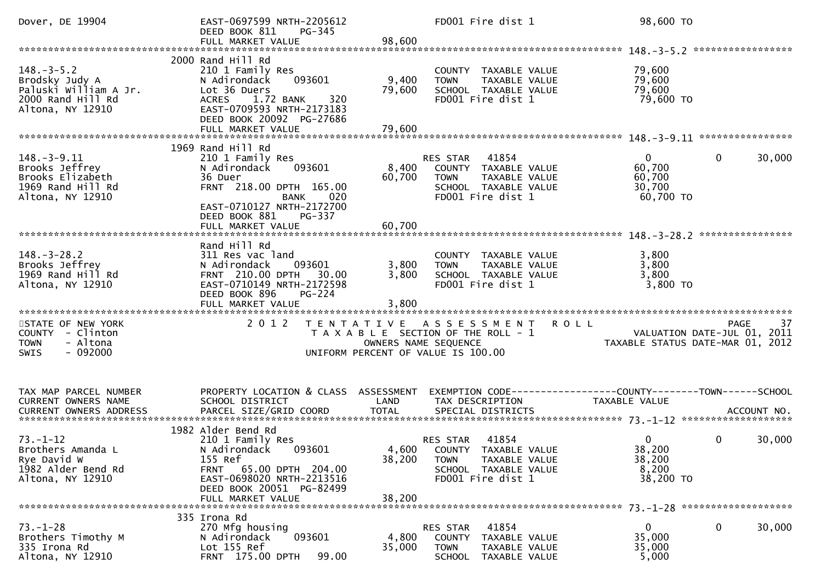| Dover, DE 19904                                                                                      | EAST-0697599 NRTH-2205612<br>DEED BOOK 811<br>PG-345                                                                                                                                |                           | FD001 Fire dist 1                                                                                                                | 98,600 TO                                                                      |                        |
|------------------------------------------------------------------------------------------------------|-------------------------------------------------------------------------------------------------------------------------------------------------------------------------------------|---------------------------|----------------------------------------------------------------------------------------------------------------------------------|--------------------------------------------------------------------------------|------------------------|
|                                                                                                      |                                                                                                                                                                                     |                           |                                                                                                                                  |                                                                                |                        |
| $148. - 3 - 5.2$<br>Brodsky Judy A<br>Paluski William A Jr.<br>2000 Rand Hill Rd<br>Altona, NY 12910 | 2000 Rand Hill Rd<br>210 1 Family Res<br>093601<br>N Adirondack<br>Lot 36 Duers<br>320<br>ACRES 1.72 BANK<br>EAST-0709593 NRTH-2173183<br>DEED BOOK 20092 PG-27686                  | 9,400<br>79,600<br>79,600 | COUNTY TAXABLE VALUE<br>TAXABLE VALUE<br><b>TOWN</b><br>SCHOOL TAXABLE VALUE<br>FD001 Fire dist 1                                | 79,600<br>79,600<br>79,600<br>79,600 TO                                        |                        |
|                                                                                                      | FULL MARKET VALUE                                                                                                                                                                   |                           |                                                                                                                                  |                                                                                |                        |
|                                                                                                      | 1969 Rand Hill Rd                                                                                                                                                                   |                           |                                                                                                                                  |                                                                                |                        |
| $148. - 3 - 9.11$<br>Brooks Jeffrey<br>Brooks Elizabeth<br>1969 Rand Hill Rd<br>Altona, NY 12910     | 210 1 Family Res<br>N Adirondack<br>093601<br>36 Duer<br>FRNT 218.00 DPTH 165.00<br><b>BANK</b><br>020<br>EAST-0710127 NRTH-2172700<br>DEED BOOK 881<br>PG-337                      | 60,700                    | RES STAR 41854<br>8,400 COUNTY TAXABLE VALUE<br>TAXABLE VALUE<br><b>TOWN</b><br>SCHOOL TAXABLE VALUE<br>FD001 Fire dist 1        | $\mathbf{0}$<br>60,700<br>60,700<br>30,700<br>60,700 TO                        | $\mathbf 0$<br>30,000  |
|                                                                                                      | FULL MARKET VALUE                                                                                                                                                                   | 60,700                    |                                                                                                                                  |                                                                                |                        |
|                                                                                                      |                                                                                                                                                                                     |                           |                                                                                                                                  |                                                                                |                        |
| $148. - 3 - 28.2$<br>Brooks Jeffrey<br>1969 Rand Hill Rd<br>Altona, NY 12910                         | Rand Hill Rd<br>311 Res vac land<br>N Adirondack<br>093601<br>FRNT 210.00 DPTH 30.00<br>EAST-0710149 NRTH-2172598<br>DEED BOOK 896<br><b>PG-224</b>                                 | 3,800<br>3,800            | COUNTY TAXABLE VALUE<br>TAXABLE VALUE<br><b>TOWN</b><br>SCHOOL TAXABLE VALUE<br>FD001 Fire dist 1                                | 3,800<br>3,800<br>3,800<br>$3,800$ TO                                          |                        |
|                                                                                                      | FULL MARKET VALUE                                                                                                                                                                   | 3,800                     |                                                                                                                                  |                                                                                |                        |
| STATE OF NEW YORK<br>COUNTY - Clinton<br><b>TOWN</b><br>- Altona<br>$-092000$<br><b>SWIS</b>         |                                                                                                                                                                                     |                           | 2012 TENTATIVE ASSESSMENT<br>T A X A B L E SECTION OF THE ROLL - 1<br>OWNERS NAME SEQUENCE<br>UNIFORM PERCENT OF VALUE IS 100.00 | <b>ROLL</b><br>VALUATION DATE-JUL 01, 2011<br>TAXABLE STATUS DATE-MAR 01, 2012 | 37<br><b>PAGE</b>      |
| TAX MAP PARCEL NUMBER                                                                                | PROPERTY LOCATION & CLASS ASSESSMENT                                                                                                                                                |                           |                                                                                                                                  | EXEMPTION CODE------------------COUNTY--------TOWN------SCHOOL                 |                        |
| CURRENT OWNERS NAME                                                                                  | SCHOOL DISTRICT                                                                                                                                                                     | LAND                      | TAX DESCRIPTION                                                                                                                  | TAXABLE VALUE                                                                  |                        |
|                                                                                                      |                                                                                                                                                                                     |                           |                                                                                                                                  |                                                                                |                        |
|                                                                                                      |                                                                                                                                                                                     |                           |                                                                                                                                  |                                                                                |                        |
| $73. - 1 - 12$<br>Brothers Amanda L<br>Rye David W<br>1982 Alder Bend Rd<br>Altona, NY 12910         | 1982 Alder Bend Rd<br>210 1 Family Res<br>N Adirondack    093601<br>155 Ref<br>FRNT 65.00 DPTH 204.00<br>EAST-0698020 NRTH-2213516<br>DEED BOOK 20051 PG-82499<br>FULL MARKET VALUE | 38,200<br>38,200          | RES STAR 41854<br>4,600 COUNTY TAXABLE VALUE<br><b>TOWN</b><br>TAXABLE VALUE<br>SCHOOL TAXABLE VALUE<br>FD001 Fire dist 1        | $\overline{0}$<br>38,200<br>38,200<br>8,200<br>38,200 TO                       | $\mathbf{0}$<br>30,000 |
|                                                                                                      |                                                                                                                                                                                     |                           |                                                                                                                                  |                                                                                |                        |
| $73. - 1 - 28$<br>Brothers Timothy M<br>335 Irona Rd<br>Altona, NY 12910                             | 335 Irona Rd<br>270 Mfg housing<br>093601<br>N Adirondack<br>Lot 155 Ref<br>FRNT 175.00 DPTH<br>99.00                                                                               | 4,800<br>35,000           | 41854<br>RES STAR<br>COUNTY TAXABLE VALUE<br><b>TOWN</b><br>TAXABLE VALUE<br><b>SCHOOL</b><br>TAXABLE VALUE                      | $\mathbf{0}$<br>35,000<br>35,000<br>5,000                                      | $\mathbf 0$<br>30,000  |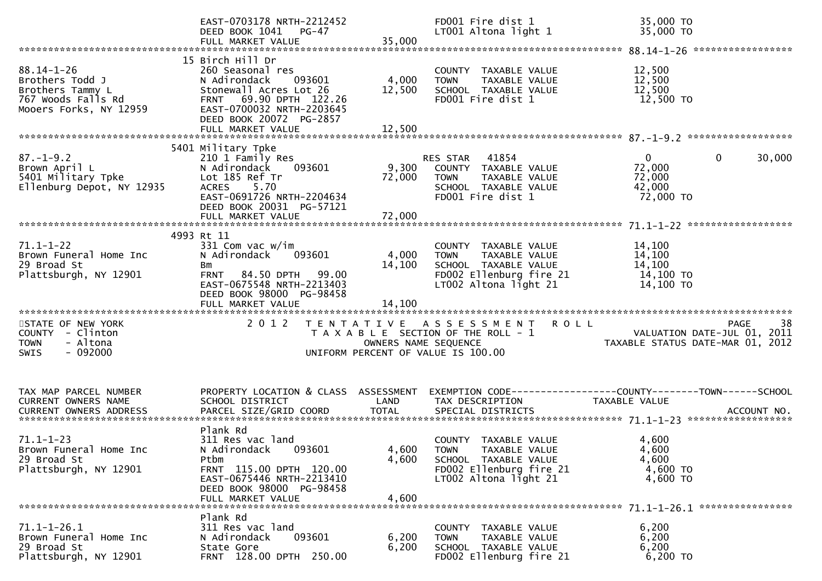|                                                                                                         | EAST-0703178 NRTH-2212452<br>DEED BOOK 1041 PG-47                                                                                                                                               |                           | FD001 Fire dist 1<br>LT001 Altona light 1                                                                                        | 35,000 TO<br>35,000 TO                                                                                                                                       |
|---------------------------------------------------------------------------------------------------------|-------------------------------------------------------------------------------------------------------------------------------------------------------------------------------------------------|---------------------------|----------------------------------------------------------------------------------------------------------------------------------|--------------------------------------------------------------------------------------------------------------------------------------------------------------|
| $88.14 - 1 - 26$<br>Brothers Todd J<br>Brothers Tammy L<br>767 Woods Falls Rd<br>Mooers Forks, NY 12959 | 15 Birch Hill Dr<br>260 Seasonal res<br>N Adirondack<br>093601<br>Stonewall Acres Lot 26<br>FRNT 69.90 DPTH 122.26<br>EAST-0700032 NRTH-2203645<br>DEED BOOK 20072 PG-2857<br>FULL MARKET VALUE | 4,000<br>12,500<br>12,500 | COUNTY TAXABLE VALUE<br><b>TOWN</b><br>TAXABLE VALUE<br>SCHOOL TAXABLE VALUE<br>FD001 Fire dist 1                                | 12,500<br>12,500<br>12,500<br>12,500 TO                                                                                                                      |
|                                                                                                         |                                                                                                                                                                                                 |                           |                                                                                                                                  |                                                                                                                                                              |
| $87. - 1 - 9.2$<br>Brown April L<br>5401 Military Tpke<br>Ellenburg Depot, NY 12935                     | 5401 Military Tpke<br>210 1 Family Res<br>093601<br>N Adirondack<br>Lot 185 Ref Tr<br>ACRES 5.70<br>EAST-0691726 NRTH-2204634<br>DEED BOOK 20031 PG-57121                                       | 72,000                    | RES STAR 41854<br>9,300 COUNTY TAXABLE VALUE<br>TAXABLE VALUE<br><b>TOWN</b><br>SCHOOL TAXABLE VALUE<br>FD001 Fire dist 1        | $\mathbf{0}$<br>$\mathbf{0}$<br>30,000<br>72,000<br>72,000<br>42,000<br>72,000 TO                                                                            |
|                                                                                                         | 4993 Rt 11                                                                                                                                                                                      |                           |                                                                                                                                  |                                                                                                                                                              |
| $71.1 - 1 - 22$<br>Brown Funeral Home Inc<br>29 Broad St<br>Plattsburgh, NY 12901                       | 331 Com vac w/im<br>N Adirondack 093601<br>Bm<br>FRNT 84.50 DPTH 99.00<br>EAST-0675548 NRTH-2213403<br>DEED BOOK 98000 PG-98458<br>FULL MARKET VALUE                                            | 4,000<br>14,100<br>14,100 | COUNTY TAXABLE VALUE<br><b>TOWN</b><br>TAXABLE VALUE<br>SCHOOL TAXABLE VALUE<br>FD002 Ellenburg fire 21<br>LT002 Altona light 21 | 14,100<br>14,100<br>14,100<br>14,100 TO<br>14,100 TO                                                                                                         |
| STATE OF NEW YORK<br>COUNTY - Clinton<br><b>TOWN</b><br>- Altona<br>$-092000$<br><b>SWIS</b>            | 2 0 1 2                                                                                                                                                                                         |                           | TENTATIVE ASSESSMENT ROLL<br>UNIFORM PERCENT OF VALUE IS 100.00                                                                  | 38<br><b>PAGE</b><br>T A X A B L E SECTION OF THE ROLL - 1<br>T A X A B L E SECTION OF THE ROLL - 1<br>OWNERS NAME SEQUENCE TAXABLE STATUS DATE-MAR 01, 2012 |
|                                                                                                         |                                                                                                                                                                                                 |                           |                                                                                                                                  |                                                                                                                                                              |
| TAX MAP PARCEL NUMBER<br>CURRENT OWNERS NAME                                                            | SCHOOL DISTRICT                                                                                                                                                                                 | LAND                      | TAX DESCRIPTION                                                                                                                  | PROPERTY LOCATION & CLASS ASSESSMENT EXEMPTION CODE----------------COUNTY-------TOWN------SCHOOL<br>TAXABLE VALUE                                            |
| $71.1 - 1 - 23$<br>Brown Funeral Home Inc<br>29 Broad St<br>Plattsburgh, NY 12901                       | Plank Rd<br>311 Res vac land<br>N Adirondack 093601<br>Ptbm<br>FRNT 115.00 DPTH 120.00<br>EAST-0675446 NRTH-2213410<br>DEED BOOK 98000 PG-98458<br>FULL MARKET VALUE                            | 4,600<br>4,600            | COUNTY TAXABLE VALUE<br>4,600 TOWN TAXABLE VALUE<br>SCHOOL TAXABLE VALUE<br>FD002 Ellenburg fire 21<br>LT002 Altona light 21     | 4,600<br>4,600<br>4,600<br>4,600 TO<br>4,600 TO                                                                                                              |
| $71.1 - 1 - 26.1$<br>Brown Funeral Home Inc<br>29 Broad St<br>Plattsburgh, NY 12901                     | Plank Rd<br>311 Res vac land<br>093601<br>N Adirondack<br>State Gore<br>FRNT 128.00 DPTH 250.00                                                                                                 | 6,200<br>6,200            | TAXABLE VALUE<br>COUNTY<br>TAXABLE VALUE<br><b>TOWN</b><br>SCHOOL TAXABLE VALUE<br>FD002 Ellenburg fire 21                       | 6,200<br>6,200<br>6,200<br>6,200 TO                                                                                                                          |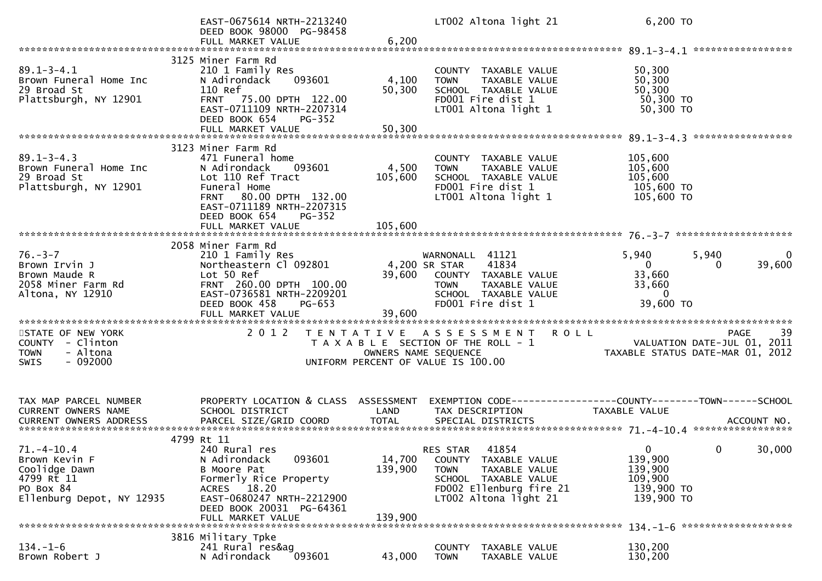|                                                                                                           | EAST-0675614 NRTH-2213240<br>DEED BOOK 98000 PG-98458<br>FULL MARKET VALUE                                                                                          | 6,200             | LT002 Altona light 21                                                                                                                              | 6,200 TO                                                                                                          |
|-----------------------------------------------------------------------------------------------------------|---------------------------------------------------------------------------------------------------------------------------------------------------------------------|-------------------|----------------------------------------------------------------------------------------------------------------------------------------------------|-------------------------------------------------------------------------------------------------------------------|
|                                                                                                           |                                                                                                                                                                     |                   |                                                                                                                                                    |                                                                                                                   |
| $89.1 - 3 - 4.1$<br>Brown Funeral Home Inc<br>29 Broad St<br>Plattsburgh, NY 12901                        | 3125 Miner Farm Rd<br>210 1 Family Res<br>093601<br>N Adirondack<br>110 Ref<br>FRNT 75.00 DPTH 122.00<br>EAST-0711109 NRTH-2207314<br>DEED BOOK 654<br>PG-352       | 4,100<br>50,300   | COUNTY TAXABLE VALUE<br>TAXABLE VALUE<br><b>TOWN</b><br>SCHOOL TAXABLE VALUE<br>FD001 Fire dist 1<br>LT001 Altona light 1                          | 50,300<br>50,300<br>50,300<br>50,300 TO<br>50,300 TO                                                              |
|                                                                                                           | FULL MARKET VALUE                                                                                                                                                   | 50,300            |                                                                                                                                                    |                                                                                                                   |
|                                                                                                           |                                                                                                                                                                     |                   |                                                                                                                                                    |                                                                                                                   |
|                                                                                                           | 3123 Miner Farm Rd                                                                                                                                                  |                   |                                                                                                                                                    |                                                                                                                   |
| $89.1 - 3 - 4.3$<br>Brown Funeral Home Inc<br>29 Broad St<br>Plattsburgh, NY 12901                        | 471 Funeral home<br>N Adirondack<br>093601<br>Lot 110 Ref Tract<br>Funeral Home<br>FRNT 80.00 DPTH 132.00<br>EAST-0711189 NRTH-2207315<br>DEED BOOK 654<br>$PG-352$ | 4,500<br>105,600  | COUNTY TAXABLE VALUE<br>TAXABLE VALUE<br><b>TOWN</b><br>SCHOOL TAXABLE VALUE<br>FD001 Fire dist 1<br>LT001 Altona light 1                          | 105,600<br>105,600<br>105,600<br>105,600 TO<br>105,600 TO                                                         |
|                                                                                                           | FULL MARKET VALUE                                                                                                                                                   | 105,600           |                                                                                                                                                    |                                                                                                                   |
|                                                                                                           |                                                                                                                                                                     |                   |                                                                                                                                                    |                                                                                                                   |
| $76. - 3 - 7$<br>Brown Irvin J<br>Brown Maude R<br>2058 Miner Farm Rd<br>Altona, NY 12910                 | 2058 Miner Farm Rd<br>210 1 Family Res<br>Northeastern Cl 092801<br>Lot 50 Ref<br>FRNT 260.00 DPTH 100.00<br>EAST-0736581 NRTH-2209201<br>DEED BOOK 458<br>PG-653   | 39,600            | WARNONALL 41121<br>41834<br>4,200 SR STAR<br>COUNTY TAXABLE VALUE<br>TAXABLE VALUE<br><b>TOWN</b><br>SCHOOL TAXABLE VALUE<br>FD001 Fire dist 1     | 5,940<br>5,940<br>39,600<br>$\mathbf{0}$<br>$\overline{0}$<br>33,660<br>33,660<br>$\overline{0}$<br>39,600 TO     |
| STATE OF NEW YORK                                                                                         | 2 0 1 2                                                                                                                                                             |                   | TENTATIVE ASSESSMENT                                                                                                                               |                                                                                                                   |
| COUNTY - Clinton<br>- Altona<br><b>TOWN</b><br>$-092000$<br>SWIS                                          |                                                                                                                                                                     |                   | T A X A B L E SECTION OF THE ROLL - 1<br>OWNERS NAME SEQUENCE<br>UNIFORM PERCENT OF VALUE IS 100.00                                                | E PAGE 39<br>VALUATION DATE-JUL 01, 2011<br>TAXABLE STATIIS DATE 112 2011                                         |
|                                                                                                           |                                                                                                                                                                     |                   |                                                                                                                                                    |                                                                                                                   |
| TAX MAP PARCEL NUMBER<br>CURRENT OWNERS NAME                                                              | SCHOOL DISTRICT                                                                                                                                                     | LAND              | TAX DESCRIPTION                                                                                                                                    | PROPERTY LOCATION & CLASS ASSESSMENT EXEMPTION CODE----------------COUNTY-------TOWN------SCHOOL<br>TAXABLE VALUE |
|                                                                                                           | 4799 Rt 11                                                                                                                                                          |                   |                                                                                                                                                    |                                                                                                                   |
| $71. -4 - 10.4$<br>Brown Kevin F<br>Coolidge Dawn<br>4799 Rt 11<br>PO Box 84<br>Ellenburg Depot, NY 12935 | 240 Rural res<br>093601<br>N Adirondack<br>B Moore Pat<br>Formerly Rice Property<br>ACRES 18.20<br>EAST-0680247 NRTH-2212900<br>DEED BOOK 20031 PG-64361            | 14,700<br>139,900 | RES STAR 41854<br>COUNTY TAXABLE VALUE<br><b>TOWN</b><br>TAXABLE VALUE<br>SCHOOL TAXABLE VALUE<br>FD002 Ellenburg fire 21<br>LT002 Altona light 21 | 30,000<br>$\mathbf{0}$<br>$\mathbf{0}$<br>139,900<br>139,900<br>109,900<br>139,900 TO<br>139,900 TO               |
|                                                                                                           | FULL MARKET VALUE                                                                                                                                                   | 139,900           |                                                                                                                                                    |                                                                                                                   |
|                                                                                                           |                                                                                                                                                                     |                   |                                                                                                                                                    |                                                                                                                   |
| $134. - 1 - 6$<br>Brown Robert J                                                                          | 3816 Military Tpke<br>241 Rural res&ag<br>N Adirondack<br>093601                                                                                                    | 43,000            | COUNTY TAXABLE VALUE<br>TAXABLE VALUE<br><b>TOWN</b>                                                                                               | 130,200<br>130,200                                                                                                |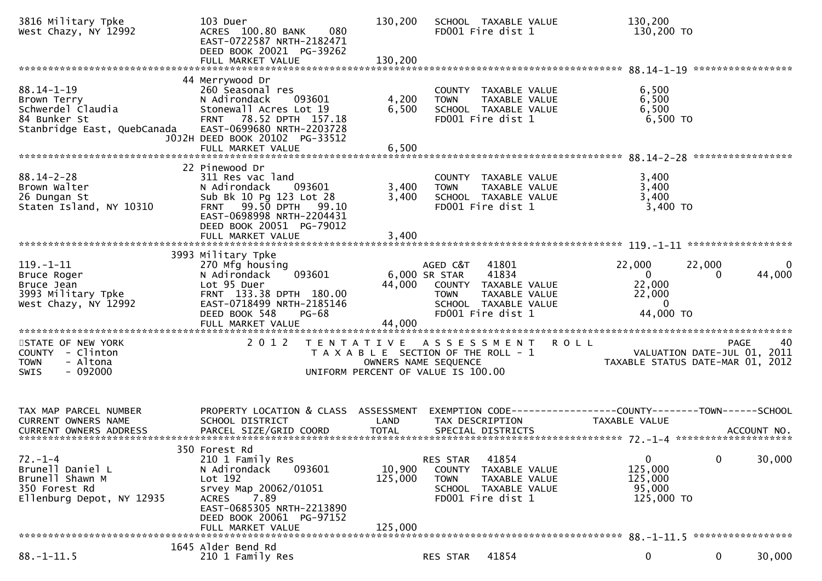| 3816 Military Tpke<br>West Chazy, NY 12992                                                          | 103 Duer<br>080<br>ACRES 100.80 BANK<br>EAST-0722587 NRTH-2182471<br>DEED BOOK 20021 PG-39262<br>FULL MARKET VALUE                                                                                          | 130,200<br>130,200                                                                               |                                          | SCHOOL TAXABLE VALUE<br>FD001 Fire dist 1                                                            | 130,200<br>130,200 то                                                                |                    |                                                  |
|-----------------------------------------------------------------------------------------------------|-------------------------------------------------------------------------------------------------------------------------------------------------------------------------------------------------------------|--------------------------------------------------------------------------------------------------|------------------------------------------|------------------------------------------------------------------------------------------------------|--------------------------------------------------------------------------------------|--------------------|--------------------------------------------------|
|                                                                                                     |                                                                                                                                                                                                             |                                                                                                  |                                          |                                                                                                      |                                                                                      |                    |                                                  |
| $88.14 - 1 - 19$<br>Brown Terry<br>Schwerdel Claudia<br>84 Bunker St<br>Stanbridge East, QuebCanada | 44 Merrywood Dr<br>260 Seasonal res<br>N Adirondack<br>093601<br>Stonewall Acres Lot 19<br>78.52 DPTH 157.18<br><b>FRNT</b><br>EAST-0699680 NRTH-2203728<br>J0J2H DEED BOOK 20102 PG-33512                  | 4,200<br>6,500                                                                                   | <b>TOWN</b>                              | COUNTY TAXABLE VALUE<br>TAXABLE VALUE<br>SCHOOL TAXABLE VALUE<br>FD001 Fire dist 1                   | 6,500<br>6,500<br>6,500                                                              | $6,500$ TO         |                                                  |
|                                                                                                     | FULL MARKET VALUE                                                                                                                                                                                           | 6,500                                                                                            |                                          |                                                                                                      |                                                                                      |                    |                                                  |
| $88.14 - 2 - 28$<br>Brown Walter<br>26 Dungan St<br>Staten Island, NY 10310                         | 22 Pinewood Dr<br>311 Res vac land<br>N Adirondack<br>093601<br>Sub Bk 10 Pg 123 Lot 28<br>99.50 DPTH<br><b>FRNT</b><br>99.10<br>EAST-0698998 NRTH-2204431<br>DEED BOOK 20051 PG-79012<br>FULL MARKET VALUE | 3,400<br>3,400<br>3,400                                                                          | <b>TOWN</b>                              | COUNTY TAXABLE VALUE<br>TAXABLE VALUE<br>SCHOOL TAXABLE VALUE<br>FD001 Fire dist 1                   | 3,400<br>3,400<br>3,400                                                              | 3,400 TO           |                                                  |
|                                                                                                     |                                                                                                                                                                                                             |                                                                                                  |                                          |                                                                                                      |                                                                                      |                    |                                                  |
| $119. - 1 - 11$<br>Bruce Roger<br>Bruce Jean<br>3993 Military Tpke<br>West Chazy, NY 12992          | 3993 Military Tpke<br>270 Mfg housing<br>N Adirondack<br>093601<br>Lot 95 Duer<br>FRNT 133.38 DPTH 180.00<br>EAST-0718499 NRTH-2185146<br>DEED BOOK 548<br>PG-68<br>FULL MARKET VALUE                       | 44,000<br>44,000                                                                                 | AGED C&T<br>6,000 SR STAR<br><b>TOWN</b> | 41801<br>41834<br>COUNTY TAXABLE VALUE<br>TAXABLE VALUE<br>SCHOOL TAXABLE VALUE<br>FD001 Fire dist 1 | 22,000<br>$\Omega$<br>22,000<br>22,000<br>$\Omega$<br>44,000 TO                      | 22,000<br>$\Omega$ | 44,000                                           |
|                                                                                                     |                                                                                                                                                                                                             |                                                                                                  |                                          |                                                                                                      |                                                                                      |                    |                                                  |
| STATE OF NEW YORK<br>COUNTY - Clinton<br>- Altona<br><b>TOWN</b><br>$-092000$<br><b>SWIS</b>        | 2 0 1 2                                                                                                                                                                                                     | T E N T A T I V E<br>T A X A B L E SECTION OF THE ROLL - 1<br>UNIFORM PERCENT OF VALUE IS 100.00 | ASSESSMENT<br>OWNERS NAME SEQUENCE       |                                                                                                      | <b>ROLL</b><br>TAXABLE STATUS DATE-MAR 01, 2012                                      |                    | <b>PAGE</b><br>40<br>VALUATION DATE-JUL 01, 2011 |
| TAX MAP PARCEL NUMBER<br><b>CURRENT OWNERS NAME</b><br><b>CURRENT OWNERS ADDRESS</b>                | PROPERTY LOCATION & CLASS ASSESSMENT<br>SCHOOL DISTRICT                                                                                                                                                     | LAND                                                                                             | TAX DESCRIPTION                          |                                                                                                      | EXEMPTION        CODE-----------------COUNTY-------TOWN------SCHOOL<br>TAXABLE VALUE |                    |                                                  |
|                                                                                                     | 350 Forest Rd                                                                                                                                                                                               |                                                                                                  |                                          |                                                                                                      |                                                                                      |                    |                                                  |
| $72. - 1 - 4$<br>Brunell Daniel L<br>Brunell Shawn M<br>350 Forest Rd<br>Ellenburg Depot, NY 12935  | 210 1 Family Res<br>N Adirondack<br>093601<br>Lot 192<br>srvey Map 20062/01051<br>7.89<br>ACRES<br>EAST-0685305 NRTH-2213890<br>DEED BOOK 20061 PG-97152<br>FULL MARKET VALUE                               | 10,900<br>125,000<br>125,000                                                                     | RES STAR<br><b>TOWN</b>                  | 41854<br>COUNTY TAXABLE VALUE<br>TAXABLE VALUE<br>SCHOOL TAXABLE VALUE<br>FD001 Fire dist 1          | 0<br>125,000<br>125,000<br>95,000<br>125,000 TO                                      | 0                  | 30,000                                           |
|                                                                                                     | 1645 Alder Bend Rd                                                                                                                                                                                          |                                                                                                  |                                          |                                                                                                      |                                                                                      |                    |                                                  |
| $88. - 1 - 11.5$                                                                                    | 210 1 Family Res                                                                                                                                                                                            |                                                                                                  | RES STAR                                 | 41854                                                                                                | 0                                                                                    | 0                  | 30,000                                           |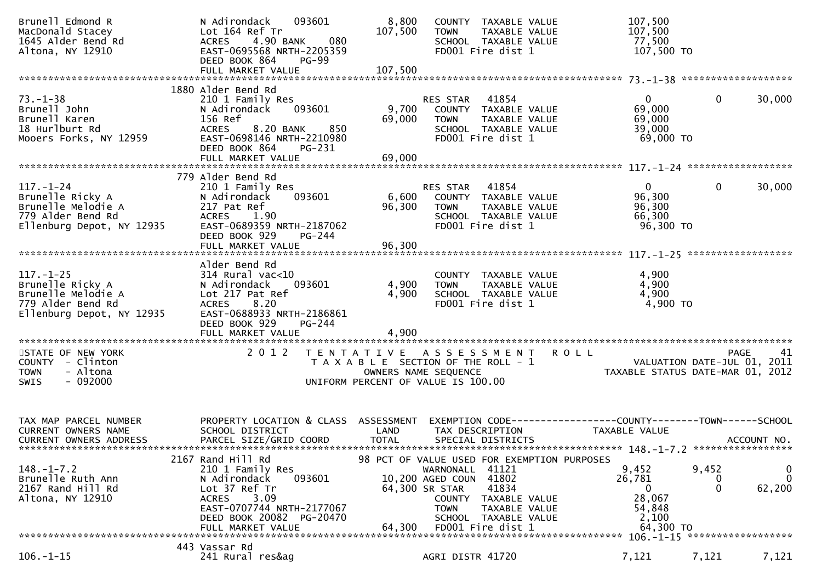| Brunell Edmond R<br>MacDonald Stacey<br>1645 Alder Bend Rd<br>Altona, NY 12910                              | 093601<br>N Adirondack<br>Lot 164 Ref Tr<br>4.90 BANK<br>080<br><b>ACRES</b><br>EAST-0695568 NRTH-2205359<br>DEED BOOK 864<br>PG-99                                                    | 8,800<br>107,500     | COUNTY TAXABLE VALUE<br>TAXABLE VALUE<br><b>TOWN</b><br>SCHOOL TAXABLE VALUE<br>FD001 Fire dist 1                                                                                                                              | 107,500<br>107,500<br>77,500<br>107,500 TO                                                                              |
|-------------------------------------------------------------------------------------------------------------|----------------------------------------------------------------------------------------------------------------------------------------------------------------------------------------|----------------------|--------------------------------------------------------------------------------------------------------------------------------------------------------------------------------------------------------------------------------|-------------------------------------------------------------------------------------------------------------------------|
|                                                                                                             |                                                                                                                                                                                        |                      |                                                                                                                                                                                                                                |                                                                                                                         |
| $73. - 1 - 38$<br>Brunell John<br>Brunell Karen<br>18 Hurlburt Rd<br>Mooers Forks, NY 12959                 | 1880 Alder Bend Rd<br>210 1 Family Res<br>093601<br>N Adirondack<br>156 Ref<br>8.20 BANK<br>850<br><b>ACRES</b><br>EAST-0698146 NRTH-2210980<br>DEED BOOK 864<br>PG-231                | 9,700<br>69,000      | RES STAR 41854<br>COUNTY TAXABLE VALUE<br>TAXABLE VALUE<br><b>TOWN</b><br>SCHOOL TAXABLE VALUE<br>FD001 Fire dist 1                                                                                                            | 30,000<br>0<br>0<br>69,000<br>69,000<br>39,000<br>69,000 TO                                                             |
|                                                                                                             |                                                                                                                                                                                        |                      |                                                                                                                                                                                                                                |                                                                                                                         |
|                                                                                                             |                                                                                                                                                                                        |                      |                                                                                                                                                                                                                                |                                                                                                                         |
| $117. - 1 - 24$<br>Brunelle Ricky A<br>Brunelle Melodie A<br>779 Alder Bend Rd<br>Ellenburg Depot, NY 12935 | 779 Alder Bend Rd<br>210 1 Family Res<br>N Adirondack<br>093601<br>217 Pat Ref<br><b>ACRES</b><br>1.90<br>EAST-0689359 NRTH-2187062<br>DEED BOOK 929<br>PG-244                         | 6,600<br>96,300      | 41854<br>RES STAR<br>COUNTY TAXABLE VALUE<br><b>TOWN</b><br>TAXABLE VALUE<br>SCHOOL TAXABLE VALUE<br>FD001 Fire dist 1                                                                                                         | $\mathbf{0}$<br>$\mathbf{0}$<br>30,000<br>96,300<br>96,300<br>66,300<br>96,300 TO                                       |
|                                                                                                             |                                                                                                                                                                                        |                      |                                                                                                                                                                                                                                |                                                                                                                         |
| $117. - 1 - 25$<br>Brunelle Ricky A<br>Brunelle Melodie A<br>779 Alder Bend Rd<br>Ellenburg Depot, NY 12935 | Alder Bend Rd<br>$314$ Rural vac< $10$<br>N Adirondack<br>093601<br>Lot 217 Pat Ref<br>8.20<br><b>ACRES</b><br>EAST-0688933 NRTH-2186861<br>DEED BOOK 929<br>$PG-244$                  | 4,900<br>4,900       | COUNTY TAXABLE VALUE<br><b>TOWN</b><br>TAXABLE VALUE<br>SCHOOL TAXABLE VALUE<br>FD001 Fire dist 1                                                                                                                              | 4,900<br>4,900<br>4,900<br>4,900 TO                                                                                     |
|                                                                                                             | FULL MARKET VALUE                                                                                                                                                                      | 4,900                |                                                                                                                                                                                                                                |                                                                                                                         |
| STATE OF NEW YORK<br>COUNTY - Clinton<br>- Altona<br><b>TOWN</b><br>$-092000$<br>SWIS                       | 2 0 1 2                                                                                                                                                                                |                      | TENTATIVE ASSESSMENT ROLL<br>T A X A B L E SECTION OF THE ROLL - 1<br>OWNERS NAME SEQUENCE<br>UNIFORM PERCENT OF VALUE IS 100.00                                                                                               | <b>PAGE</b><br>41<br>PAGE 41<br>VALUATION DATE-JUL 01, 2011<br>TAXABLE STATUS DATE-MAR 01, 2012                         |
| TAX MAP PARCEL NUMBER<br>CURRENT OWNERS NAME<br><b>CURRENT OWNERS ADDRESS</b>                               | PROPERTY LOCATION & CLASS ASSESSMENT<br>SCHOOL DISTRICT<br>PARCEL SIZE/GRID COORD                                                                                                      | LAND<br><b>TOTAL</b> | TAX DESCRIPTION<br>SPECIAL DISTRICTS                                                                                                                                                                                           | EXEMPTION CODE-----------------COUNTY--------TOWN------SCHOOL<br>TAXABLE VALUE<br>ACCOUNT NO.                           |
| $148. - 1 - 7.2$<br>Brunelle Ruth Ann<br>2167 Rand Hill Rd<br>Altona, NY 12910                              | 2167 Rand Hill Rd<br>210 1 Family Res<br>093601<br>N Adirondack<br>Lot 37 Ref Tr<br>3.09<br><b>ACRES</b><br>EAST-0707744 NRTH-2177067<br>DEED BOOK 20082 PG-20470<br>FULL MARKET VALUE | 64.300               | 98 PCT OF VALUE USED FOR EXEMPTION PURPOSES<br>41121<br>WARNONALL<br>10,200 AGED COUN 41802<br>41834<br>64,300 SR STAR<br>COUNTY<br>TAXABLE VALUE<br>TAXABLE VALUE<br><b>TOWN</b><br>SCHOOL TAXABLE VALUE<br>FD001 Fire dist 1 | 9,452<br>9,452<br>0<br>26,781<br>$\Omega$<br>0<br>$\mathbf{0}$<br>62,200<br>0<br>28,067<br>54,848<br>2,100<br>64,300 TO |
|                                                                                                             | 443 Vassar Rd                                                                                                                                                                          |                      |                                                                                                                                                                                                                                |                                                                                                                         |
| $106. - 1 - 15$                                                                                             | 241 Rural res&ag                                                                                                                                                                       |                      | AGRI DISTR 41720                                                                                                                                                                                                               | 7,121<br>7,121<br>7,121                                                                                                 |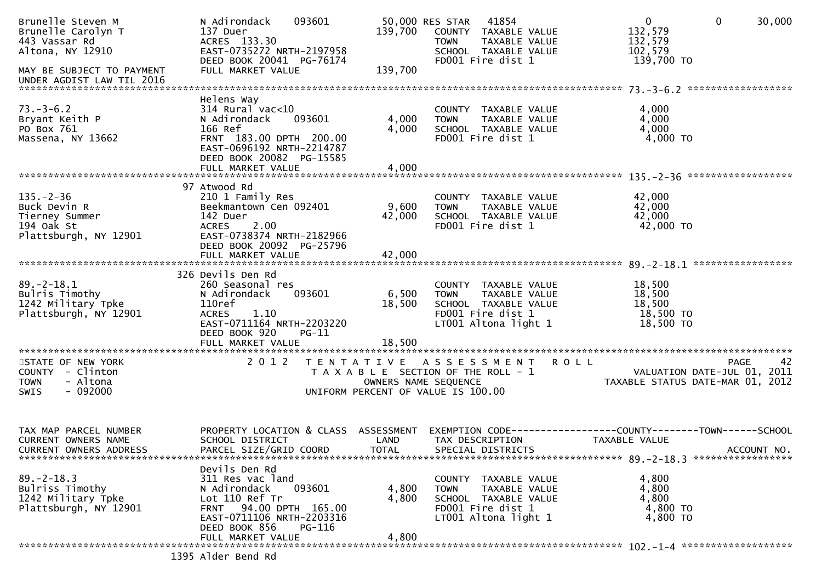| Brunelle Steven M<br>Brunelle Carolyn T<br>443 Vassar Rd<br>Altona, NY 12910 | 093601<br>N Adirondack<br>137 Duer<br>ACRES 133.30<br>EAST-0735272 NRTH-2197958<br>DEED BOOK 20041 PG-76174 | 139,700                               | 50,000 RES STAR<br><b>TOWN</b> | 41854<br>COUNTY TAXABLE VALUE<br>TAXABLE VALUE<br>SCHOOL TAXABLE VALUE<br>FD001 Fire dist 1 | $\mathbf{0}$<br>132,579<br>132,579<br>102,579<br>139,700 TO  | $\mathbf 0$<br>30,000            |
|------------------------------------------------------------------------------|-------------------------------------------------------------------------------------------------------------|---------------------------------------|--------------------------------|---------------------------------------------------------------------------------------------|--------------------------------------------------------------|----------------------------------|
| MAY BE SUBJECT TO PAYMENT<br>UNDER AGDIST LAW TIL 2016                       | FULL MARKET VALUE                                                                                           | 139,700                               |                                |                                                                                             |                                                              |                                  |
|                                                                              | Helens Way                                                                                                  |                                       |                                |                                                                                             |                                                              |                                  |
| $73. - 3 - 6.2$                                                              | $314$ Rural vac<10<br>093601                                                                                |                                       |                                | COUNTY TAXABLE VALUE                                                                        | 4,000                                                        |                                  |
| Bryant Keith P<br>PO Box 761                                                 | N Adirondack<br>166 Ref                                                                                     | 4,000<br>4,000                        | <b>TOWN</b>                    | TAXABLE VALUE<br>SCHOOL TAXABLE VALUE                                                       | 4,000<br>4,000                                               |                                  |
| Massena, NY 13662                                                            | FRNT 183.00 DPTH 200.00<br>EAST-0696192 NRTH-2214787                                                        |                                       |                                | FD001 Fire dist 1                                                                           | 4,000 TO                                                     |                                  |
|                                                                              | DEED BOOK 20082 PG-15585<br>FULL MARKET VALUE                                                               | 4,000                                 |                                |                                                                                             |                                                              |                                  |
|                                                                              |                                                                                                             |                                       |                                |                                                                                             |                                                              |                                  |
|                                                                              | 97 Atwood Rd                                                                                                |                                       |                                |                                                                                             |                                                              |                                  |
| $135. - 2 - 36$                                                              | 210 1 Family Res                                                                                            |                                       |                                | COUNTY TAXABLE VALUE                                                                        | 42,000                                                       |                                  |
| Buck Devin R<br>Tierney Summer                                               | Beekmantown Cen 092401<br>142 Duer                                                                          | 9,600<br>42,000                       | TOWN                           | TAXABLE VALUE<br>SCHOOL TAXABLE VALUE                                                       | 42,000<br>42,000                                             |                                  |
| 194 Oak St                                                                   | 2.00<br><b>ACRES</b>                                                                                        |                                       |                                | FD001 Fire dist 1                                                                           | 42,000 TO                                                    |                                  |
| Plattsburgh, NY 12901                                                        | EAST-0738374 NRTH-2182966                                                                                   |                                       |                                |                                                                                             |                                                              |                                  |
|                                                                              | DEED BOOK 20092 PG-25796                                                                                    |                                       |                                |                                                                                             |                                                              |                                  |
|                                                                              | FULL MARKET VALUE                                                                                           | 42,000                                |                                |                                                                                             |                                                              |                                  |
|                                                                              | 326 Devils Den Rd                                                                                           |                                       |                                |                                                                                             |                                                              |                                  |
| $89. - 2 - 18.1$                                                             | 260 Seasonal res                                                                                            |                                       |                                | COUNTY TAXABLE VALUE                                                                        | 18,500                                                       |                                  |
| Bulris Timothy                                                               | 093601<br>N Adirondack                                                                                      | 6,500                                 | <b>TOWN</b>                    | TAXABLE VALUE                                                                               | 18,500                                                       |                                  |
| 1242 Military Tpke                                                           | 110ref                                                                                                      | 18,500                                |                                | SCHOOL TAXABLE VALUE                                                                        | 18,500                                                       |                                  |
| Plattsburgh, NY 12901                                                        | <b>ACRES</b><br>1.10                                                                                        |                                       |                                | FD001 Fire dist 1                                                                           | 18,500 TO                                                    |                                  |
|                                                                              | EAST-0711164 NRTH-2203220                                                                                   |                                       |                                | LT001 Altona light 1                                                                        | 18,500 TO                                                    |                                  |
|                                                                              | DEED BOOK 920<br>$PG-11$<br>FULL MARKET VALUE                                                               | 18,500                                |                                |                                                                                             |                                                              |                                  |
|                                                                              |                                                                                                             |                                       |                                |                                                                                             |                                                              |                                  |
| STATE OF NEW YORK                                                            | 2 0 1 2                                                                                                     |                                       |                                | TENTATIVE ASSESSMENT ROLL                                                                   |                                                              | 42<br><b>PAGE</b>                |
| COUNTY - Clinton                                                             |                                                                                                             | T A X A B L E SECTION OF THE ROLL - 1 |                                |                                                                                             |                                                              | VALUATION DATE-JUL 01, 2011      |
| - Altona<br><b>TOWN</b>                                                      |                                                                                                             |                                       | OWNERS NAME SEQUENCE           |                                                                                             |                                                              | TAXABLE STATUS DATE-MAR 01, 2012 |
| $-092000$<br><b>SWIS</b>                                                     |                                                                                                             | UNIFORM PERCENT OF VALUE IS 100.00    |                                |                                                                                             |                                                              |                                  |
|                                                                              |                                                                                                             |                                       |                                |                                                                                             |                                                              |                                  |
|                                                                              |                                                                                                             |                                       |                                |                                                                                             |                                                              |                                  |
| TAX MAP PARCEL NUMBER                                                        | PROPERTY LOCATION & CLASS ASSESSMENT                                                                        |                                       |                                |                                                                                             | EXEMPTION CODE-----------------COUNTY-------TOWN------SCHOOL |                                  |
| CURRENT OWNERS NAME                                                          | SCHOOL DISTRICT                                                                                             | LAND                                  |                                | TAX DESCRIPTION                                                                             | TAXABLE VALUE                                                |                                  |
| <b>CURRENT OWNERS ADDRESS</b>                                                | PARCEL SIZE/GRID COORD                                                                                      | <b>TOTAL</b>                          |                                | SPECIAL DISTRICTS                                                                           |                                                              | ACCOUNT NO.                      |
|                                                                              | Devils Den Rd                                                                                               |                                       |                                |                                                                                             |                                                              |                                  |
| $89. - 2 - 18.3$                                                             | 311 Res vac land                                                                                            |                                       |                                | COUNTY TAXABLE VALUE                                                                        | 4,800                                                        |                                  |
| Bulriss Timothy                                                              | 093601<br>N Adirondack                                                                                      | 4,800                                 | <b>TOWN</b>                    | TAXABLE VALUE                                                                               | 4,800                                                        |                                  |
| 1242 Military Tpke                                                           | Lot 110 Ref Tr                                                                                              | 4,800                                 |                                | SCHOOL TAXABLE VALUE                                                                        | 4,800                                                        |                                  |
| Plattsburgh, NY 12901                                                        | FRNT 94.00 DPTH 165.00                                                                                      |                                       |                                | FD001 Fire dist 1                                                                           | 4,800 TO                                                     |                                  |
|                                                                              | EAST-0711106 NRTH-2203316<br>DEED BOOK 856<br>PG-116                                                        |                                       |                                | LT001 Altona light 1                                                                        | 4,800 TO                                                     |                                  |
|                                                                              | FULL MARKET VALUE                                                                                           | 4,800                                 |                                |                                                                                             |                                                              |                                  |
|                                                                              |                                                                                                             |                                       |                                |                                                                                             |                                                              |                                  |
|                                                                              | 1395 Alder Bend Rd                                                                                          |                                       |                                |                                                                                             |                                                              |                                  |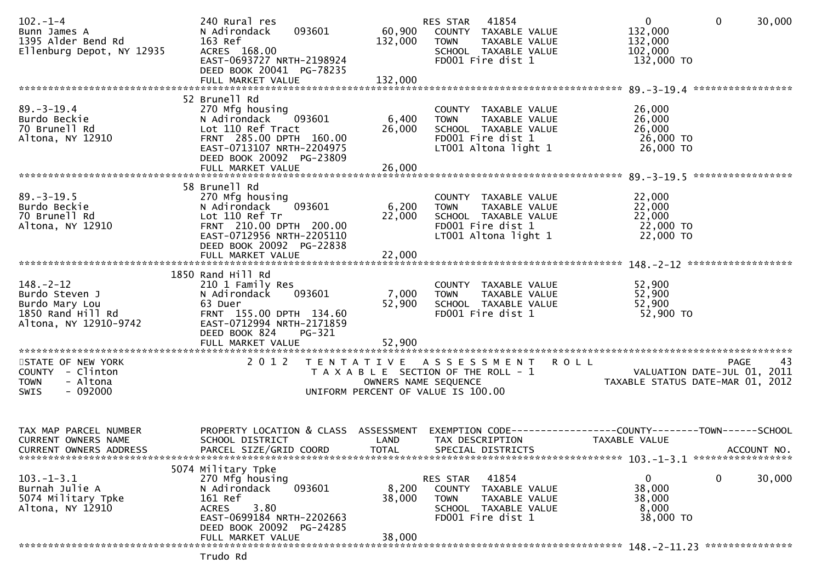| $102 - 1 - 4$<br>Bunn James A<br>1395 Alder Bend Rd<br>Ellenburg Depot, NY 12935                  | 240 Rural res<br>093601<br>N Adirondack<br>163 Ref<br>ACRES 168.00<br>EAST-0693727 NRTH-2198924<br>DEED BOOK 20041 PG-78235                                                        | 132,000                   | 41854<br>RES STAR<br>60,900 COUNTY TAXABLE VALUE<br>TOWN TAXABLE VALUE<br>SCHOOL TAXABLE VALUE<br>FD001 Fire dist 1    | $\mathbf 0$<br>$\overline{0}$<br>30,000<br>132,000<br>132,000<br>102,000<br>132,000 TO                                                                |
|---------------------------------------------------------------------------------------------------|------------------------------------------------------------------------------------------------------------------------------------------------------------------------------------|---------------------------|------------------------------------------------------------------------------------------------------------------------|-------------------------------------------------------------------------------------------------------------------------------------------------------|
| $89. - 3 - 19.4$<br>Burdo Beckie<br>70 Brunell Rd<br>Altona, NY 12910                             | 52 Brunell Rd<br>270 Mfg housing<br>N Adirondack 093601<br>Lot 110 Ref Tract<br>FRNT 285.00 DPTH 160.00<br>EAST-0713107 NRTH-2204975<br>DEED BOOK 20092 PG-23809                   | 6,400<br>26,000           | COUNTY TAXABLE VALUE<br>TOWN TAXABLE VALUE<br>SCHOOL TAXABLE VALUE<br>FD001 Fire dist 1<br>LT001 Altona light 1        | 26,000<br>26,000<br>26,000<br>26,000 TO<br>26,000 TO                                                                                                  |
| $89. - 3 - 19.5$<br>Burdo Beckie<br>70 Brunell Rd<br>Altona, NY 12910                             | 58 Brunell Rd<br>270 Mfg housing<br>093601<br>N Adirondack<br>Lot 110 Ref Tr<br>FRNT 210.00 DPTH 200.00<br>EAST-0712956 NRTH-2205110<br>DEED BOOK 20092 PG-22838                   | 6,200 TOWN<br>22,000      | COUNTY TAXABLE VALUE<br>TAXABLE VALUE<br>SCHOOL TAXABLE VALUE<br>FD001 Fire dist 1<br>LT001 Altona light 1             | 22,000<br>22,000<br>22,000<br>$\frac{1}{22}$ ,000 TO<br>22,000 TO                                                                                     |
| $148. - 2 - 12$<br>Burdo Steven J<br>Burdo Mary Lou<br>1850 Rand Hill Rd<br>Altona, NY 12910-9742 | 1850 Rand Hill Rd<br>210 1 Family Res<br>093601<br>N Adirondack<br>63 Duer<br>FRNT 155.00 DPTH 134.60<br>EAST-0712994 NRTH-2171859<br>DEED BOOK 824<br>PG-321<br>FULL MARKET VALUE | 7,000<br>52,900<br>52,900 | COUNTY TAXABLE VALUE<br><b>TOWN</b><br>TAXABLE VALUE<br>SCHOOL TAXABLE VALUE<br>FD001 Fire dist 1                      | 52,900<br>52,900<br>52,900<br>52,900 TO                                                                                                               |
| STATE OF NEW YORK<br>COUNTY - Clinton<br>- Altona<br><b>TOWN</b><br>$-092000$<br>SWIS             | 2 0 1 2                                                                                                                                                                            |                           | TENTATIVE ASSESSMENT ROLL<br>UNIFORM PERCENT OF VALUE IS 100.00                                                        | 43<br>PAGE<br>T A X A B L E SECTION OF THE ROLL - 1<br>T A X A B L E SECTION OF THE ROLL - 1<br>OWNERS NAME SEQUENCE TAXABLE STATUS DATE-MAR 01, 2012 |
| TAX MAP PARCEL NUMBER<br><b>CURRENT OWNERS NAME</b><br>CURRENT OWNERS ADDRESS                     | PROPERTY LOCATION & CLASS ASSESSMENT<br>SCHOOL DISTRICT<br>PARCEL SIZE/GRID COORD                                                                                                  | LAND<br><b>TOTAL</b>      | TAX DESCRIPTION<br>SPECIAL DISTRICTS                                                                                   | EXEMPTION CODE-----------------COUNTY-------TOWN------SCHOOL<br>TAXABLE VALUE<br>ACCOUNT NO.                                                          |
| $103. - 1 - 3.1$<br>Burnah Julie A<br>5074 Military Tpke<br>Altona, NY 12910                      | 5074 Military Tpke<br>270 Mfg housing<br>N Adirondack<br>093601<br>161 Ref<br>3.80<br><b>ACRES</b><br>EAST-0699184 NRTH-2202663<br>DEED BOOK 20092 PG-24285<br>FULL MARKET VALUE   | 8,200<br>38,000<br>38,000 | 41854<br>RES STAR<br>COUNTY TAXABLE VALUE<br><b>TOWN</b><br>TAXABLE VALUE<br>SCHOOL TAXABLE VALUE<br>FD001 Fire dist 1 | 0<br>0<br>30,000<br>38,000<br>38,000<br>8,000<br>38,000 TO                                                                                            |
|                                                                                                   | Trudo Rd                                                                                                                                                                           |                           |                                                                                                                        |                                                                                                                                                       |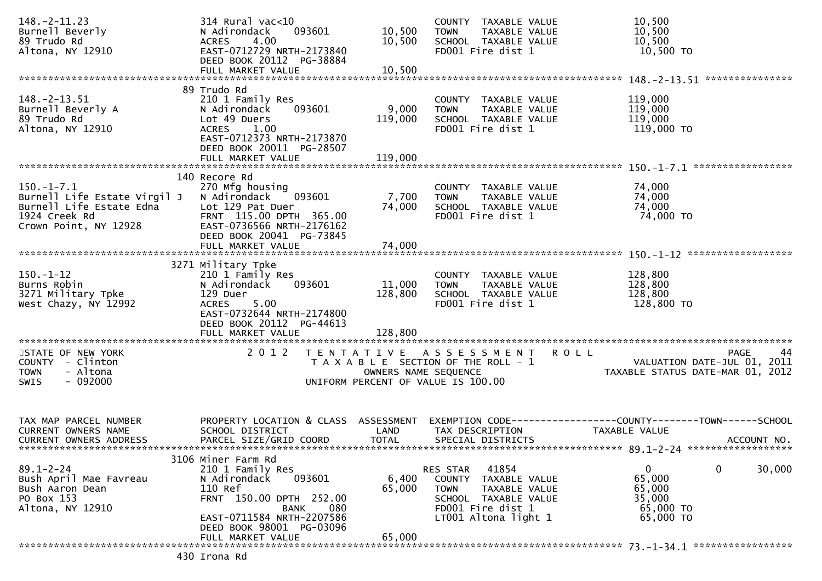| $148. - 2 - 11.23$<br>Burnell Beverly<br>89 Trudo Rd<br>Altona, NY 12910                                           | 314 Rural vac<10<br>093601<br>N Adirondack<br>4.00<br><b>ACRES</b><br>EAST-0712729 NRTH-2173840<br>DEED BOOK 20112 PG-38884                                                    | 10,500<br>10,500     | COUNTY TAXABLE VALUE<br><b>TOWN</b><br>TAXABLE VALUE<br>SCHOOL TAXABLE VALUE<br>FD001 Fire dist 1                                              | 10,500<br>10,500<br>10,500<br>10,500 TO                                                        |
|--------------------------------------------------------------------------------------------------------------------|--------------------------------------------------------------------------------------------------------------------------------------------------------------------------------|----------------------|------------------------------------------------------------------------------------------------------------------------------------------------|------------------------------------------------------------------------------------------------|
|                                                                                                                    |                                                                                                                                                                                |                      |                                                                                                                                                |                                                                                                |
| $148. - 2 - 13.51$<br>Burnell Beverly A<br>89 Trudo Rd<br>Altona, NY 12910                                         | 89 Trudo Rd<br>210 1 Family Res<br>N Adirondack<br>093601<br>Lot 49 Duers<br><b>ACRES</b><br>1.00<br>EAST-0712373 NRTH-2173870<br>DEED BOOK 20011 PG-28507                     | 9,000<br>119,000     | COUNTY TAXABLE VALUE<br>TAXABLE VALUE<br><b>TOWN</b><br>SCHOOL TAXABLE VALUE<br>FD001 Fire dist 1                                              | 119,000<br>119,000<br>119,000<br>119,000 TO                                                    |
|                                                                                                                    | FULL MARKET VALUE                                                                                                                                                              | 119,000              |                                                                                                                                                |                                                                                                |
| $150.-1-7.1$<br>Burnell Life Estate Virgil J<br>Burnell Life Estate Edna<br>1924 Creek Rd<br>Crown Point, NY 12928 | 140 Recore Rd<br>270 Mfg housing<br>N Adirondack<br>093601<br>Lot 129 Pat Duer<br>FRNT 115.00 DPTH 365.00<br>EAST-0736566 NRTH-2176162<br>DEED BOOK 20041 PG-73845             | 7,700<br>74,000      | COUNTY TAXABLE VALUE<br><b>TOWN</b><br>TAXABLE VALUE<br>SCHOOL TAXABLE VALUE<br>FD001 Fire dist 1                                              | 74,000<br>74,000<br>74,000<br>74,000 TO                                                        |
|                                                                                                                    |                                                                                                                                                                                |                      |                                                                                                                                                |                                                                                                |
| $150. - 1 - 12$<br>Burns Robin<br>3271 Military Tpke<br>West Chazy, NY 12992                                       | 3271 Military Tpke<br>210 1 Family Res<br>093601<br>N Adirondack<br>129 Duer<br>5.00<br><b>ACRES</b><br>EAST-0732644 NRTH-2174800<br>DEED BOOK 20112 PG-44613                  | 11,000<br>128,800    | COUNTY TAXABLE VALUE<br><b>TOWN</b><br>TAXABLE VALUE<br>SCHOOL TAXABLE VALUE<br>FD001 Fire dist 1                                              | 128,800<br>128,800<br>128,800<br>128,800 TO                                                    |
|                                                                                                                    | FULL MARKET VALUE                                                                                                                                                              | 128,800              |                                                                                                                                                |                                                                                                |
| STATE OF NEW YORK<br>COUNTY - Clinton<br>- Altona<br><b>TOWN</b><br>$-092000$<br><b>SWIS</b>                       | 2 0 1 2                                                                                                                                                                        | OWNERS NAME SEQUENCE | TENTATIVE ASSESSMENT ROLL<br>T A X A B L E SECTION OF THE ROLL - 1<br>UNIFORM PERCENT OF VALUE IS 100.00                                       | PAGE<br>44<br>VALUATION DATE-JUL 01, 2011<br>TAXABLE STATUS DATE-MAR 01, 2012                  |
| TAX MAP PARCEL NUMBER<br>CURRENT OWNERS NAME<br><b>CURRENT OWNERS ADDRESS</b>                                      | PROPERTY LOCATION & CLASS ASSESSMENT<br>SCHOOL DISTRICT<br>PARCEL SIZE/GRID COORD                                                                                              | LAND<br><b>TOTAL</b> | TAX DESCRIPTION<br>SPECIAL DISTRICTS                                                                                                           | EXEMPTION CODE------------------COUNTY--------TOWN------SCHOOL<br>TAXABLE VALUE<br>ACCOUNT NO. |
| $89.1 - 2 - 24$<br>Bush April Mae Favreau<br>Bush Aaron Dean<br>PO Box 153<br>Altona, NY 12910                     | 3106 Miner Farm Rd<br>210 1 Family Res<br>N Adirondack<br>093601<br>110 Ref<br>FRNT 150.00 DPTH 252.00<br>080<br>BANK<br>EAST-0711584 NRTH-2207586<br>DEED BOOK 98001 PG-03096 | 6,400<br>65,000      | 41854<br>RES STAR<br>COUNTY TAXABLE VALUE<br>TAXABLE VALUE<br><b>TOWN</b><br>SCHOOL TAXABLE VALUE<br>FD001 Fire dist 1<br>LT001 Altona light 1 | $\mathbf 0$<br>$\mathbf{0}$<br>30,000<br>65,000<br>65,000<br>35,000<br>65,000 TO<br>65,000 TO  |
|                                                                                                                    | FULL MARKET VALUE                                                                                                                                                              | 65,000               |                                                                                                                                                |                                                                                                |
|                                                                                                                    | 430 Irona Rd                                                                                                                                                                   |                      |                                                                                                                                                |                                                                                                |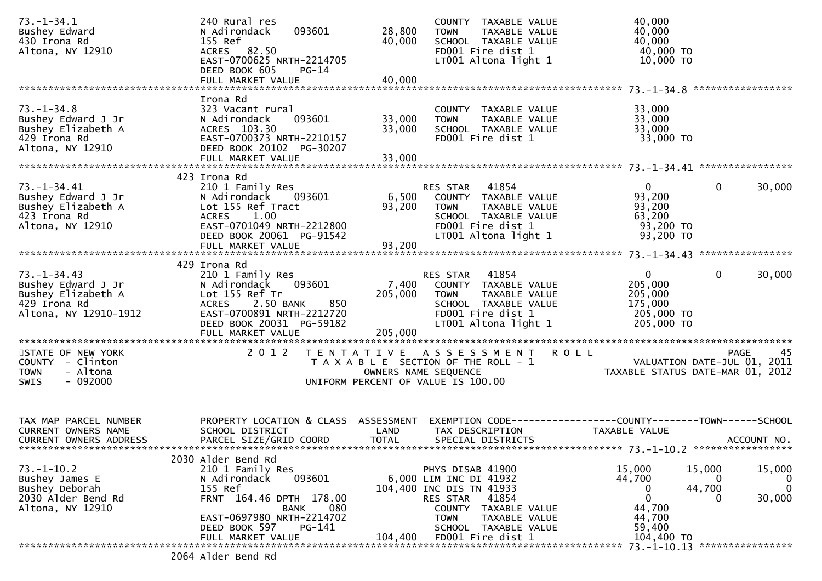| $73. - 1 - 34.1$<br>Bushey Edward<br>430 Irona Rd<br>Altona, NY 12910                                  | 240 Rural res<br>093601<br>N Adirondack<br>155 Ref<br>ACRES 82.50<br>EAST-0700625 NRTH-2214705<br>DEED BOOK 605<br>$PG-14$                                                                                | 28,800<br>40,000           | COUNTY TAXABLE VALUE<br><b>TOWN</b><br>TAXABLE VALUE<br>SCHOOL TAXABLE VALUE<br>FD001 Fire dist 1<br>$LT001$ Altona light 1                                                                                | 40,000<br>40,000<br>40,000<br>40,000 TO<br>10,000 TO                                                      |                                   |
|--------------------------------------------------------------------------------------------------------|-----------------------------------------------------------------------------------------------------------------------------------------------------------------------------------------------------------|----------------------------|------------------------------------------------------------------------------------------------------------------------------------------------------------------------------------------------------------|-----------------------------------------------------------------------------------------------------------|-----------------------------------|
|                                                                                                        |                                                                                                                                                                                                           |                            |                                                                                                                                                                                                            |                                                                                                           |                                   |
| $73. - 1 - 34.8$<br>Bushey Edward J Jr<br>Bushey Elizabeth A<br>429 Irona Rd<br>Altona, NY 12910       | Irona Rd<br>323 Vacant rural<br>N Adirondack<br>093601<br>ACRES 103.30<br>EAST-0700373 NRTH-2210157<br>DEED BOOK 20102 PG-30207<br>FULL MARKET VALUE                                                      | 33,000<br>33,000<br>33,000 | COUNTY TAXABLE VALUE<br><b>TOWN</b><br>TAXABLE VALUE<br>SCHOOL TAXABLE VALUE<br>FD001 Fire dist 1                                                                                                          | 33,000<br>33,000<br>33,000<br>33,000 TO                                                                   |                                   |
|                                                                                                        |                                                                                                                                                                                                           |                            |                                                                                                                                                                                                            |                                                                                                           |                                   |
| 73. – 1 – 34. 41<br>Bushey Edward J Jr<br>Bushey Elizabeth A<br>423 Irona Rd<br>Altona, NY 12910       | 423 Irona Rd<br>210 1 Family Res<br>N Adirondack<br>093601<br>Lot 155 Ref Tract<br><b>ACRES</b><br>1.00<br>EAST-0701049 NRTH-2212800<br>DEED BOOK 20061 PG-91542                                          | 6,500<br>93,200            | 41854<br>RES STAR<br>COUNTY TAXABLE VALUE<br>TAXABLE VALUE<br><b>TOWN</b><br>SCHOOL TAXABLE VALUE<br>FD001 Fire dist 1<br>LT001 Altona light 1                                                             | $\Omega$<br>$\mathbf{0}$<br>93,200<br>93,200<br>63,200<br>93,200 TO<br>93,200 TO                          | 30,000                            |
|                                                                                                        |                                                                                                                                                                                                           |                            |                                                                                                                                                                                                            |                                                                                                           |                                   |
| $73. - 1 - 34.43$<br>Bushey Edward J Jr<br>Bushey Elizabeth A<br>429 Irona Rd<br>Altona, NY 12910-1912 | 429 Irona Rd<br>210 1 Family Res<br>093601<br>N Adirondack<br>Lot 155 Ref Tr<br>850<br><b>ACRES</b><br>2.50 BANK<br>EAST-0700891 NRTH-2212720<br>DEED BOOK 20031 PG-59182                                 | 205,000                    | 41854<br>RES STAR<br>7,400 COUNTY TAXABLE VALUE<br><b>TOWN</b><br>TAXABLE VALUE<br>SCHOOL TAXABLE VALUE<br>FD001 Fire dist 1<br>LT001 Altona light 1                                                       | $\mathbf{0}$<br>0<br>205,000<br>205,000<br>175,000<br>205,000 TO<br>205,000 TO                            | 30,000                            |
|                                                                                                        | FULL MARKET VALUE                                                                                                                                                                                         | 205,000                    |                                                                                                                                                                                                            |                                                                                                           |                                   |
| STATE OF NEW YORK<br>COUNTY - Clinton<br>- Altona<br><b>TOWN</b><br>$-092000$<br>SWIS                  | 2 0 1 2                                                                                                                                                                                                   |                            | TENTATIVE ASSESSMENT<br>T A X A B L E SECTION OF THE ROLL - 1<br>OWNERS NAME SEQUENCE<br>UNIFORM PERCENT OF VALUE IS 100.00                                                                                | <b>ROLL</b><br><b>PAGE</b><br>VALUATION DATE-JUL 01, 2011<br>TAXABLE STATUS DATE-MAR 01, 2012             | 45                                |
| TAX MAP PARCEL NUMBER<br>CURRENT OWNERS NAME<br><b>CURRENT OWNERS ADDRESS</b>                          | PROPERTY LOCATION & CLASS ASSESSMENT<br>SCHOOL DISTRICT<br>PARCEL SIZE/GRID COORD                                                                                                                         | LAND<br><b>TOTAL</b>       | TAX DESCRIPTION<br>SPECIAL DISTRICTS                                                                                                                                                                       | EXEMPTION CODE------------------COUNTY--------TOWN------SCHOOL<br>TAXABLE VALUE                           | ACCOUNT NO.                       |
| $73. - 1 - 10.2$<br>Bushey James E<br>Bushey Deborah<br>2030 Alder Bend Rd<br>Altona, NY 12910         | 2030 Alder Bend Rd<br>210 1 Family Res<br>N Adirondack<br>093601<br>155 Ref<br>FRNT 164.46 DPTH 178.00<br>080<br><b>BANK</b><br>EAST-0697980 NRTH-2214702<br>DEED BOOK 597<br>PG-141<br>FULL MARKET VALUE | 104,400                    | PHYS DISAB 41900<br>6,000 LIM INC DI 41932<br>104,400 INC DIS TN 41933<br>41854<br>RES STAR<br><b>COUNTY</b><br>TAXABLE VALUE<br><b>TOWN</b><br>TAXABLE VALUE<br>SCHOOL TAXABLE VALUE<br>FD001 Fire dist 1 | 15,000<br>15,000<br>44,700<br>O<br>44,700<br>0<br>$\mathbf 0$<br>44,700<br>44,700<br>59,400<br>104,400 TO | 15,000<br>0<br>$\Omega$<br>30,000 |
|                                                                                                        | 2064 Alder Bend Rd                                                                                                                                                                                        |                            |                                                                                                                                                                                                            | ****************<br>73. –1–10.13                                                                          |                                   |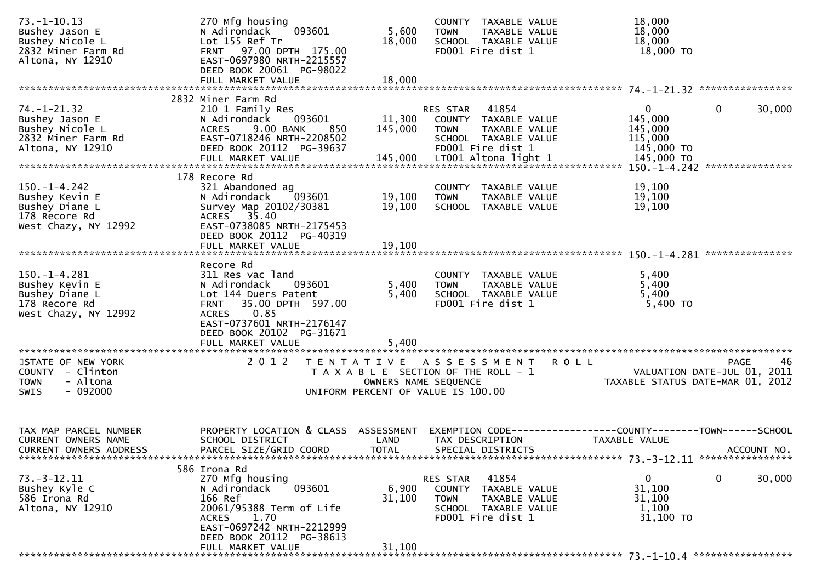| $73. - 1 - 10.13$<br>Bushey Jason E<br>Bushey Nicole L<br>2832 Miner Farm Rd<br>Altona, NY 12910 | 270 Mfg housing<br>093601<br>N Adirondack<br>Lot 155 Ref Tr<br>FRNT 97.00 DPTH 175.00<br>EAST-0697980 NRTH-2215557<br>DEED BOOK 20061 PG-98022<br>FULL MARKET VALUE                                                       | 5,600<br>18,000<br>18,000    | COUNTY TAXABLE VALUE<br><b>TOWN</b><br>TAXABLE VALUE<br>SCHOOL TAXABLE VALUE<br>FD001 Fire dist 1                                                     | 18,000<br>18,000<br>18,000<br>18,000 TO                                                             |
|--------------------------------------------------------------------------------------------------|---------------------------------------------------------------------------------------------------------------------------------------------------------------------------------------------------------------------------|------------------------------|-------------------------------------------------------------------------------------------------------------------------------------------------------|-----------------------------------------------------------------------------------------------------|
|                                                                                                  |                                                                                                                                                                                                                           |                              |                                                                                                                                                       |                                                                                                     |
| $74. - 1 - 21.32$<br>Bushey Jason E<br>Bushey Nicole L<br>2832 Miner Farm Rd<br>Altona, NY 12910 | 2832 Miner Farm Rd<br>210 1 Family Res<br>093601<br>N Adirondack<br>9.00 BANK<br><b>ACRES</b><br>850<br>EAST-0718246 NRTH-2208502<br>DEED BOOK 20112 PG-39637<br>FULL MARKET VALUE                                        | 11,300<br>145,000<br>145,000 | 41854<br>RES STAR<br>COUNTY TAXABLE VALUE<br><b>TOWN</b><br><b>TAXABLE VALUE</b><br>SCHOOL TAXABLE VALUE<br>FD001 Fire dist 1<br>LT001 Altona light 1 | $\mathbf{0}$<br>0<br>30,000<br>145,000<br>145,000<br>115,000<br>145,000 TO<br>145,000 TO            |
| $150. - 1 - 4.242$<br>Bushey Kevin E<br>Bushey Diane L<br>178 Recore Rd<br>West Chazy, NY 12992  | 178 Recore Rd<br>321 Abandoned ag<br>N Adirondack<br>093601<br>Survey Map 20102/30381<br>ACRES 35.40<br>EAST-0738085 NRTH-2175453<br>DEED BOOK 20112 PG-40319                                                             | 19,100<br>19,100             | COUNTY TAXABLE VALUE<br>TAXABLE VALUE<br><b>TOWN</b><br>SCHOOL TAXABLE VALUE                                                                          | 19,100<br>19,100<br>19,100                                                                          |
|                                                                                                  |                                                                                                                                                                                                                           |                              |                                                                                                                                                       |                                                                                                     |
| $150. - 1 - 4.281$<br>Bushey Kevin E<br>Bushey Diane L<br>178 Recore Rd<br>West Chazy, NY 12992  | Recore Rd<br>311 Res vac land<br>093601<br>N Adirondack<br>Lot 144 Duers Patent<br>35.00 DPTH 597.00<br><b>FRNT</b><br>0.85<br><b>ACRES</b><br>EAST-0737601 NRTH-2176147<br>DEED BOOK 20102 PG-31671<br>FULL MARKET VALUE | 5,400<br>5,400<br>5,400      | COUNTY TAXABLE VALUE<br><b>TOWN</b><br>TAXABLE VALUE<br>SCHOOL TAXABLE VALUE<br>FD001 Fire dist 1                                                     | 5,400<br>5,400<br>5,400<br>5,400 TO                                                                 |
| STATE OF NEW YORK<br>COUNTY - Clinton<br>- Altona<br><b>TOWN</b><br>$-092000$<br>SWIS            | 2 0 1 2                                                                                                                                                                                                                   | OWNERS NAME SEQUENCE         | TENTATIVE ASSESSMENT<br>T A X A B L E SECTION OF THE ROLL - 1<br>UNIFORM PERCENT OF VALUE IS 100.00                                                   | 46<br><b>ROLL</b><br><b>PAGE</b><br>VALUATION DATE-JUL 01, 2011<br>TAXABLE STATUS DATE-MAR 01, 2012 |
| TAX MAP PARCEL NUMBER<br><b>CURRENT OWNERS NAME</b><br><b>CURRENT OWNERS ADDRESS</b>             | PROPERTY LOCATION & CLASS ASSESSMENT<br>SCHOOL DISTRICT<br>PARCEL SIZE/GRID COORD                                                                                                                                         | LAND<br><b>TOTAL</b>         | TAX DESCRIPTION<br>SPECIAL DISTRICTS                                                                                                                  | EXEMPTION CODE-----------------COUNTY-------TOWN------SCHOOL<br>TAXABLE VALUE<br>ACCOUNT NO.        |
| $73. - 3 - 12.11$<br>Bushey Kyle C<br>586 Irona Rd<br>Altona, NY 12910                           | 586 Irona Rd<br>270 Mfg housing<br>093601<br>N Adirondack<br>166 Ref<br>20061/95388 Term of Life<br>ACRES 1.70<br>EAST-0697242 NRTH-2212999<br>DEED BOOK 20112 PG-38613<br>FULL MARKET VALUE                              | 6,900<br>31,100<br>31,100    | RES STAR 41854<br>COUNTY TAXABLE VALUE<br>TAXABLE VALUE<br><b>TOWN</b><br>SCHOOL TAXABLE VALUE<br>FD001 Fire dist 1                                   | 0<br>30,000<br>$\mathbf{0}$<br>31,100<br>31,100<br>1,100<br>31,100 TO                               |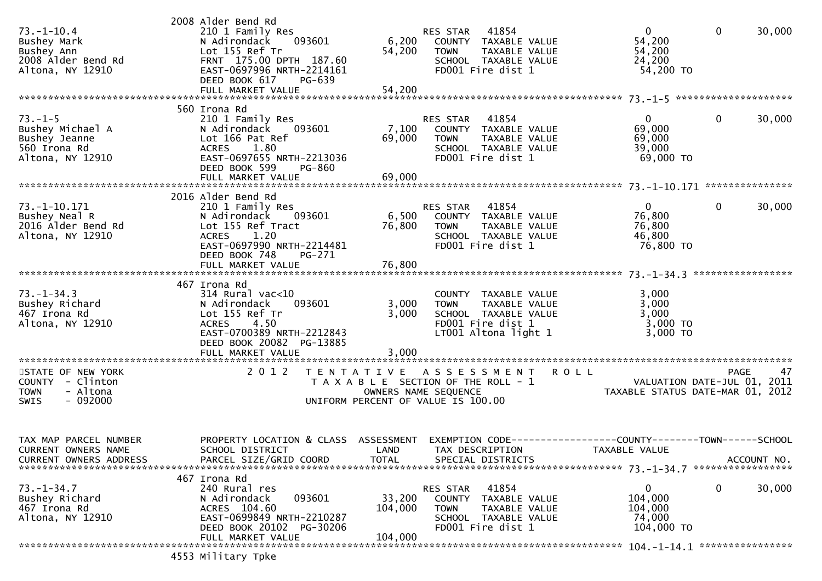| $73. - 1 - 10.4$<br>Bushey Mark<br>Bushey Ann<br>2008 Alder Bend Rd<br>Altona, NY 12910     | 2008 Alder Bend Rd<br>210 1 Family Res<br>N Adirondack<br>093601<br>Lot 155 Ref Tr<br>FRNT 175.00 DPTH 187.60<br>EAST-0697996 NRTH-2214161<br>DEED BOOK 617<br>PG-639                | 6,200<br>54,200                          | 41854<br>RES STAR<br>COUNTY TAXABLE VALUE<br>TAXABLE VALUE<br><b>TOWN</b><br>SCHOOL TAXABLE VALUE<br>FD001 Fire dist 1       | $\overline{0}$<br>54,200<br>54,200<br>24,200<br>54,200 TO | $\mathbf 0$<br>30,000                                                                |
|---------------------------------------------------------------------------------------------|--------------------------------------------------------------------------------------------------------------------------------------------------------------------------------------|------------------------------------------|------------------------------------------------------------------------------------------------------------------------------|-----------------------------------------------------------|--------------------------------------------------------------------------------------|
|                                                                                             | 560 Irona Rd                                                                                                                                                                         |                                          |                                                                                                                              |                                                           |                                                                                      |
| $73. - 1 - 5$<br>Bushey Michael A<br>Bushey Jeanne<br>560 Irona Rd<br>Altona, NY 12910      | 210 1 Family Res<br>N Adirondack<br>093601<br>Lot 166 Pat Ref<br><b>ACRES</b><br>1.80<br>EAST-0697655 NRTH-2213036<br>DEED BOOK 599<br>PG-860                                        | 7,100<br>69,000                          | RES STAR<br>41854<br>COUNTY TAXABLE VALUE<br>TAXABLE VALUE<br><b>TOWN</b><br>SCHOOL TAXABLE VALUE<br>FD001 Fire dist 1       | $\mathbf{0}$<br>69,000<br>69,000<br>39,000<br>69,000 TO   | 0<br>30,000                                                                          |
|                                                                                             | FULL MARKET VALUE                                                                                                                                                                    | 69,000                                   |                                                                                                                              |                                                           |                                                                                      |
| 73. -1-10. 171<br>Bushey Neal R<br>2016 Alder Bend Rd<br>Altona, NY 12910                   | 2016 Alder Bend Rd<br>210 1 Family Res<br>093601<br>N Adirondack<br>Lot 155 Ref Tract<br>1.20<br><b>ACRES</b><br>EAST-0697990 NRTH-2214481<br>DEED BOOK 748<br>PG-271                | 76,800                                   | 41854<br>RES STAR<br>6,500 COUNTY TAXABLE VALUE<br><b>TOWN</b><br>TAXABLE VALUE<br>SCHOOL TAXABLE VALUE<br>FD001 Fire dist 1 | $\mathbf{0}$<br>76,800<br>76,800<br>46,800<br>76,800 TO   | $\mathbf{0}$<br>30,000                                                               |
|                                                                                             |                                                                                                                                                                                      |                                          |                                                                                                                              |                                                           |                                                                                      |
| $73. - 1 - 34.3$<br>Bushey Richard<br>467 Irona Rd<br>Altona, NY 12910                      | 467 Irona Rd<br>$314$ Rural vac<10<br>093601<br>N Adirondack<br>Lot 155 Ref Tr<br>4.50<br><b>ACRES</b><br>EAST-0700389 NRTH-2212843<br>DEED BOOK 20082 PG-13885<br>FULL MARKET VALUE | 3,000<br>3,000<br>3,000                  | COUNTY TAXABLE VALUE<br>TAXABLE VALUE<br><b>TOWN</b><br>SCHOOL TAXABLE VALUE<br>FD001 Fire dist 1<br>LT001 Altona light 1    | 3,000<br>3,000<br>3,000<br>$3,000$ TO<br>3,000 TO         |                                                                                      |
| STATE OF NEW YORK<br>COUNTY - Clinton<br>- Altona<br><b>TOWN</b><br><b>SWIS</b><br>- 092000 | 2 0 1 2                                                                                                                                                                              | T E N T A T I V E                        | A S S E S S M E N T<br>T A X A B L E SECTION OF THE ROLL - 1<br>OWNERS NAME SEQUENCE<br>UNIFORM PERCENT OF VALUE IS 100.00   | <b>ROLL</b>                                               | <b>PAGE</b><br>47<br>VALUATION DATE-JUL 01, 2011<br>TAXABLE STATUS DATE-MAR 01, 2012 |
| TAX MAP PARCEL NUMBER<br>CURRENT OWNERS NAME<br><b>CURRENT OWNERS ADDRESS</b>               | PROPERTY LOCATION & CLASS ASSESSMENT<br>SCHOOL DISTRICT<br>PARCEL SIZE/GRID COORD                                                                                                    | <b>Example 12 DELAND</b><br><b>TOTAL</b> | TAX DESCRIPTION<br>SPECIAL DISTRICTS                                                                                         | TAXABLE VALUE                                             | ACCOUNT NO.                                                                          |
| $73. - 1 - 34.7$<br>Bushey Richard<br>467 Irona Rd<br>Altona, NY 12910                      | 467 Irona Rd<br>240 Rural res<br>093601<br>N Adirondack<br>ACRES 104.60<br>EAST-0699849 NRTH-2210287<br>DEED BOOK 20102 PG-30206<br>FULL MARKET VALUE                                | 33,200<br>104,000<br>104,000             | 41854<br>RES STAR<br>COUNTY TAXABLE VALUE<br>TOWN<br>TAXABLE VALUE<br>SCHOOL TAXABLE VALUE<br>FD001 Fire dist 1              | 0<br>104,000<br>104,000<br>74,000<br>104,000 TO           | 0<br>30,000                                                                          |
|                                                                                             | 4553 Military Tpke                                                                                                                                                                   |                                          |                                                                                                                              |                                                           |                                                                                      |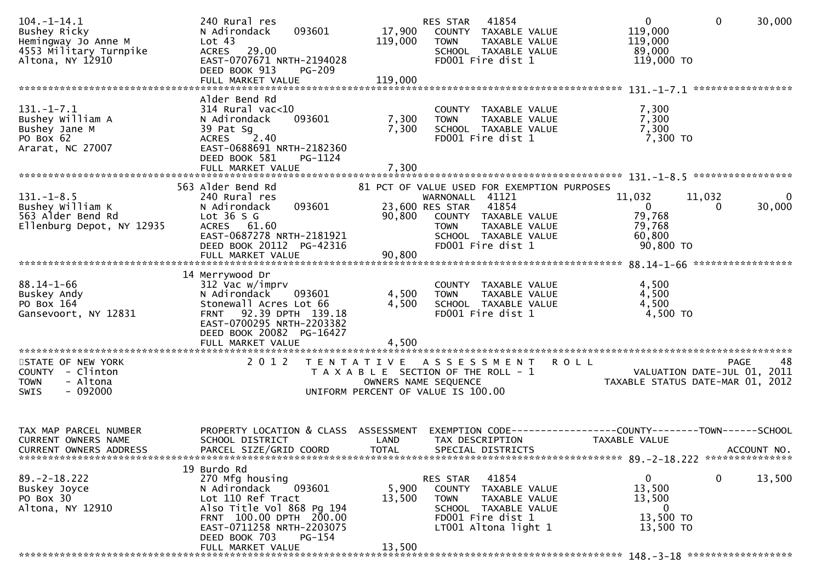| $104. - 1 - 14.1$<br>Bushey Ricky<br>Hemingway Jo Anne M<br>4553 Military Turnpike<br>Altona, NY 12910 | 240 Rural res<br>093601<br>N Adirondack<br>Lot 43<br>ACRES 29.00<br>EAST-0707671 NRTH-2194028<br>DEED BOOK 913<br>PG-209                                                                                           | 17,900<br>119,000         | 41854<br>RES STAR<br>COUNTY TAXABLE VALUE<br><b>TOWN</b><br>TAXABLE VALUE<br>SCHOOL TAXABLE VALUE<br>FD001 Fire dist 1                                                                       | $\mathbf 0$<br>$\overline{0}$<br>30,000<br>119,000<br>119,000<br>89,000<br>119,000 TO                                       |
|--------------------------------------------------------------------------------------------------------|--------------------------------------------------------------------------------------------------------------------------------------------------------------------------------------------------------------------|---------------------------|----------------------------------------------------------------------------------------------------------------------------------------------------------------------------------------------|-----------------------------------------------------------------------------------------------------------------------------|
|                                                                                                        |                                                                                                                                                                                                                    |                           |                                                                                                                                                                                              |                                                                                                                             |
| $131. - 1 - 7.1$<br>Bushey William A<br>Bushey Jane M<br>PO Box 62<br>Ararat, NC 27007                 | Alder Bend Rd<br>$314$ Rural vac<10<br>093601<br>N Adirondack<br>39 Pat Sg<br>ACRES 2.40<br>EAST-0688691 NRTH-2182360<br>DEED BOOK 581<br>PG-1124<br>FULL MARKET VALUE                                             | 7,300<br>7,300<br>7,300   | COUNTY TAXABLE VALUE<br><b>TOWN</b><br>TAXABLE VALUE<br>SCHOOL TAXABLE VALUE<br>FD001 Fire dist 1                                                                                            | 7,300<br>7,300<br>7,300<br>7,300 TO                                                                                         |
|                                                                                                        |                                                                                                                                                                                                                    |                           |                                                                                                                                                                                              |                                                                                                                             |
| $131. - 1 - 8.5$<br>Bushey William K<br>$\sim$ 4000F<br>563 Alder Bend Rd<br>Ellenburg Depot, NY 12935 | 563 Alder Bend Rd<br>240 Rural res<br>093601<br>N Adirondack<br>Lot $36S$ G<br>ACRES 61.60<br>EAST-0687278 NRTH-2181921<br>DEED BOOK 20112 PG-42316<br>FULL MARKET VALUE                                           | 90,800<br>90,800          | 81 PCT OF VALUE USED FOR EXEMPTION PURPOSES<br>WARNONALL 41121<br>23,600 RES STAR 41854<br>COUNTY TAXABLE VALUE<br><b>TOWN</b><br>TAXABLE VALUE<br>SCHOOL TAXABLE VALUE<br>FD001 Fire dist 1 | 11,032<br>11,032<br>$\overline{0}$<br>$\overline{0}$<br>30,000<br>$\overline{0}$<br>79,768<br>79,768<br>60,800<br>90,800 TO |
|                                                                                                        |                                                                                                                                                                                                                    |                           |                                                                                                                                                                                              |                                                                                                                             |
| $88.14 - 1 - 66$<br>Buskey Andy<br>PO Box 164<br>Gansevoort, NY 12831                                  | 14 Merrywood Dr<br>312 Vac w/imprv<br>093601<br>N Adirondack<br>Stonewall Acres Lot 66<br>FRNT 92.39 DPTH 139.18<br>EAST-0700295 NRTH-2203382<br>DEED BOOK 20082 PG-16427<br>FULL MARKET VALUE                     | 4,500<br>4,500<br>4,500   | COUNTY TAXABLE VALUE<br><b>TOWN</b><br>TAXABLE VALUE<br>SCHOOL TAXABLE VALUE<br>FD001 Fire dist 1                                                                                            | 4,500<br>4,500<br>4,500<br>4,500 TO                                                                                         |
| STATE OF NEW YORK                                                                                      | 2 0 1 2                                                                                                                                                                                                            |                           | TENTATIVE ASSESSMENT ROLL                                                                                                                                                                    | 48<br>PAGE                                                                                                                  |
| COUNTY - Clinton<br>- Altona<br><b>TOWN</b><br>$-092000$<br><b>SWIS</b>                                |                                                                                                                                                                                                                    |                           | T A X A B L E SECTION OF THE ROLL - 1<br>OWNERS NAME SEQUENCE<br>UNIFORM PERCENT OF VALUE IS 100.00                                                                                          | VALUATION DATE-JUL 01, 2011<br>TAXABLE STATUS DATE-MAR 01, 2012                                                             |
| TAX MAP PARCEL NUMBER<br><b>CURRENT OWNERS NAME</b><br>CURRENT OWNERS ADDRESS                          | PROPERTY LOCATION & CLASS ASSESSMENT<br>SCHOOL DISTRICT<br>PARCEL SIZE/GRID COORD                                                                                                                                  | LAND<br><b>TOTAL</b>      | TAX DESCRIPTION<br>SPECIAL DISTRICTS                                                                                                                                                         | EXEMPTION CODE-----------------COUNTY-------TOWN------SCHOOL<br>TAXABLE VALUE<br>ACCOUNT NO.                                |
| $89. -2 - 18.222$<br>Buskey Joyce<br>PO Box 30<br>Altona, NY 12910                                     | 19 Burdo Rd<br>270 Mfg housing<br>093601<br>N Adirondack<br>Lot 110 Ref Tract<br>Also Title Vol 868 Pg 194<br>FRNT 100.00 DPTH 200.00<br>EAST-0711258 NRTH-2203075<br>DEED BOOK 703<br>PG-154<br>FULL MARKET VALUE | 5,900<br>13,500<br>13,500 | 41854<br>RES STAR<br>COUNTY TAXABLE VALUE<br><b>TOWN</b><br>TAXABLE VALUE<br>SCHOOL TAXABLE VALUE<br>FD001 Fire dist 1<br>LT001 Altona light 1                                               | $\mathbf 0$<br>$\mathbf{0}$<br>13,500<br>13,500<br>13,500<br>$\overline{0}$<br>13,500 TO<br>13,500 TO                       |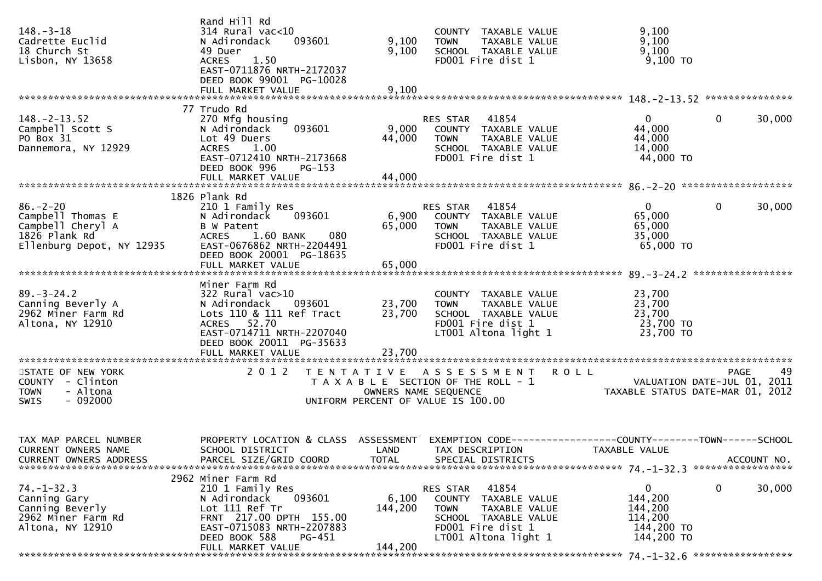| $148. - 3 - 18$<br>Cadrette Euclid<br>18 Church St<br>Lisbon, NY 13658                                 | Rand Hill Rd<br>$314$ Rural vac<10<br>093601<br>N Adirondack<br>49 Duer<br>1.50<br><b>ACRES</b><br>EAST-0711876 NRTH-2172037<br>DEED BOOK 99001 PG-10028                                   | 9,100<br>9,100                            | COUNTY TAXABLE VALUE<br>TAXABLE VALUE<br><b>TOWN</b><br>SCHOOL TAXABLE VALUE<br>FD001 Fire dist 1                                              | 9,100<br>9,100<br>9,100<br>$9,100$ TO                          |                                                  |
|--------------------------------------------------------------------------------------------------------|--------------------------------------------------------------------------------------------------------------------------------------------------------------------------------------------|-------------------------------------------|------------------------------------------------------------------------------------------------------------------------------------------------|----------------------------------------------------------------|--------------------------------------------------|
|                                                                                                        |                                                                                                                                                                                            |                                           |                                                                                                                                                |                                                                |                                                  |
| $148. - 2 - 13.52$<br>Campbell Scott S<br>PO Box 31<br>Dannemora, NY 12929                             | 77 Trudo Rd<br>270 Mfg housing<br>093601<br>N Adirondack<br>Lot 49 Duers<br><b>ACRES</b><br>1.00<br>EAST-0712410 NRTH-2173668<br>DEED BOOK 996<br>PG-153                                   | 9,000<br>44,000                           | RES STAR 41854<br>COUNTY TAXABLE VALUE<br><b>TOWN</b><br>TAXABLE VALUE<br>SCHOOL TAXABLE VALUE<br>FD001 Fire dist 1                            | $\mathbf{0}$<br>44,000<br>44,000<br>14,000<br>44,000 TO        | $\mathbf{0}$<br>30,000                           |
|                                                                                                        | 1826 Plank Rd                                                                                                                                                                              |                                           |                                                                                                                                                |                                                                |                                                  |
| $86. - 2 - 20$<br>Campbell Thomas E<br>Campbell Cheryl A<br>1826 Plank Rd<br>Ellenburg Depot, NY 12935 | 210 1 Family Res<br>N Adirondack<br>093601<br>B W Patent<br>ACRES 1.60 BANK<br>080<br>EAST-0676862 NRTH-2204491<br>DEED BOOK 20001 PG-18635                                                | 65,000                                    | RES STAR 41854<br>6,900 COUNTY TAXABLE VALUE<br>TAXABLE VALUE<br><b>TOWN</b><br>SCHOOL TAXABLE VALUE<br>FD001 Fire dist 1                      | $\mathbf{0}$<br>65,000<br>65,000<br>35,000<br>65,000 TO        | $\mathbf{0}$<br>30,000                           |
|                                                                                                        |                                                                                                                                                                                            |                                           |                                                                                                                                                |                                                                |                                                  |
| $89. - 3 - 24.2$<br>Canning Beverly A<br>2962 Miner Farm Rd<br>Altona, NY 12910                        | Miner Farm Rd<br>$322$ Rural vac $>10$<br>093601<br>N Adirondack<br>Lots 110 & 111 Ref Tract<br>ACRES 52.70<br>EAST-0714711 NRTH-2207040<br>DEED BOOK 20011 PG-35633<br>FULL MARKET VALUE  | 23,700<br>23,700<br>23,700                | COUNTY TAXABLE VALUE<br><b>TOWN</b><br>TAXABLE VALUE<br>SCHOOL TAXABLE VALUE<br>FD001 Fire dist 1<br>LT001 Altona light 1                      | 23,700<br>23,700<br>23,700<br>23,700 TO<br>23,700 TO           |                                                  |
| STATE OF NEW YORK<br>COUNTY - Clinton<br><b>TOWN</b><br>- Altona<br>$-092000$<br><b>SWIS</b>           | 2 0 1 2                                                                                                                                                                                    | T E N T A T I V E<br>OWNERS NAME SEQUENCE | A S S E S S M E N T<br>T A X A B L E SECTION OF THE ROLL - 1<br>UNIFORM PERCENT OF VALUE IS 100.00                                             | <b>ROLL</b><br>TAXABLE STATUS DATE-MAR 01, 2012                | 49<br><b>PAGE</b><br>VALUATION DATE-JUL 01, 2011 |
| TAX MAP PARCEL NUMBER<br>CURRENT OWNERS NAME<br><b>CURRENT OWNERS ADDRESS</b>                          | PROPERTY LOCATION & CLASS ASSESSMENT EXEMPTION CODE----------------COUNTY-------TOWN------SCHOOL<br>SCHOOL DISTRICT<br>PARCEL SIZE/GRID COORD                                              | <b>TOTAL</b>                              | LAND TAX DESCRIPTION<br>SPECIAL DISTRICTS                                                                                                      | TAXABLE VALUE                                                  | ACCOUNT NO.                                      |
| $74. - 1 - 32.3$<br>Canning Gary<br>Canning Beverly<br>2962 Miner Farm Rd<br>Altona, NY 12910          | 2962 Miner Farm Rd<br>210 1 Family Res<br>093601<br>N Adirondack<br>Lot 111 Ref Tr<br>FRNT 217.00 DPTH 155.00<br>EAST-0715083 NRTH-2207883<br>DEED BOOK 588<br>PG-451<br>FULL MARKET VALUE | 6,100<br>144,200<br>144,200               | 41854<br>RES STAR<br>COUNTY TAXABLE VALUE<br>TAXABLE VALUE<br><b>TOWN</b><br>SCHOOL TAXABLE VALUE<br>FD001 Fire dist 1<br>LT001 Altona light 1 | 0<br>144,200<br>144,200<br>114,200<br>144,200 TO<br>144,200 TO | 30,000<br>0                                      |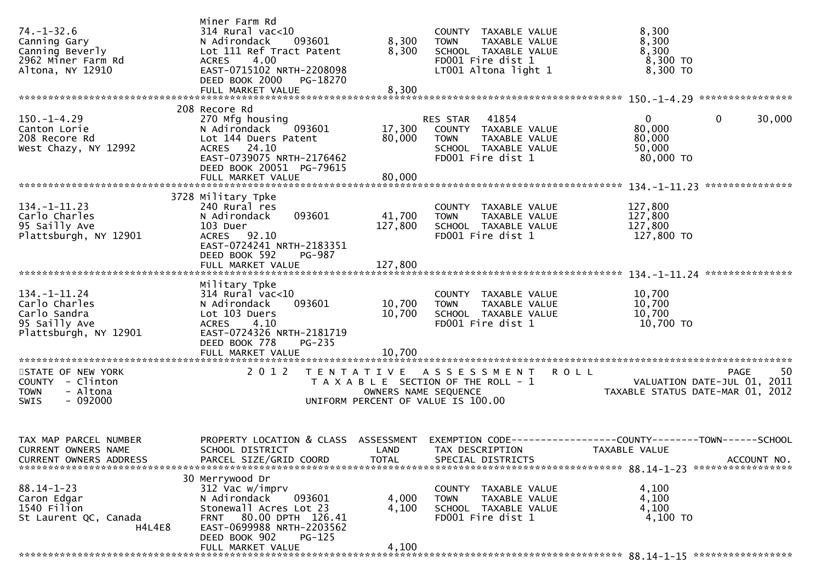| $74. - 1 - 32.6$<br>Canning Gary<br>Canning Beverly<br>2962 Miner Farm Rd<br>Altona, NY 12910 | Miner Farm Rd<br>$314$ Rural vac< $10$<br>N Adirondack<br>093601<br>Lot 111 Ref Tract Patent<br>4.00<br><b>ACRES</b><br>EAST-0715102 NRTH-2208098<br>DEED BOOK 2000<br>PG-18270 | 8,300<br>8,300                            | COUNTY TAXABLE VALUE<br>TAXABLE VALUE<br><b>TOWN</b><br>SCHOOL TAXABLE VALUE<br>FD001 Fire dist 1<br>LT001 Altona light 1 | 8,300<br>8,300<br>8,300<br>$8,300$ TO<br>8,300 TO                                                                                |
|-----------------------------------------------------------------------------------------------|---------------------------------------------------------------------------------------------------------------------------------------------------------------------------------|-------------------------------------------|---------------------------------------------------------------------------------------------------------------------------|----------------------------------------------------------------------------------------------------------------------------------|
|                                                                                               |                                                                                                                                                                                 |                                           |                                                                                                                           |                                                                                                                                  |
| $150. - 1 - 4.29$<br>Canton Lorie<br>208 Recore Rd<br>West Chazy, NY 12992                    | 208 Recore Rd<br>270 Mfg housing<br>N Adirondack<br>093601<br>Lot 144 Duers Patent<br>ACRES 24.10<br>EAST-0739075 NRTH-2176462<br>DEED BOOK 20051 PG-79615                      | 17,300<br>80,000                          | RES STAR 41854<br>COUNTY TAXABLE VALUE<br>TAXABLE VALUE<br><b>TOWN</b><br>SCHOOL TAXABLE VALUE<br>FD001 Fire dist 1       | $\overline{0}$<br>$\mathbf 0$<br>30,000<br>80,000<br>80,000<br>50,000<br>80,000 TO                                               |
|                                                                                               | 3728 Military Tpke                                                                                                                                                              |                                           |                                                                                                                           |                                                                                                                                  |
| $134. - 1 - 11.23$<br>Carlo Charles<br>95 Sailly Ave<br>Plattsburgh, NY 12901                 | 240 Rural res<br>093601<br>N Adirondack<br>103 Duer<br>ACRES 92.10<br>EAST-0724241 NRTH-2183351<br>DEED BOOK 592<br><b>PG-987</b>                                               | 41,700<br>127,800                         | COUNTY TAXABLE VALUE<br>TAXABLE VALUE<br><b>TOWN</b><br>SCHOOL TAXABLE VALUE<br>FD001 Fire dist 1                         | 127,800<br>127,800<br>127,800<br>127,800 TO                                                                                      |
|                                                                                               |                                                                                                                                                                                 |                                           |                                                                                                                           |                                                                                                                                  |
|                                                                                               |                                                                                                                                                                                 |                                           |                                                                                                                           |                                                                                                                                  |
| $134. - 1 - 11.24$<br>Carlo Charles<br>Carlo Sandra<br>95 Sailly Ave<br>Plattsburgh, NY 12901 | Military Tpke<br>$314$ Rural vac<10<br>093601<br>N Adirondack<br>Lot 103 Duers<br><b>ACRES</b><br>4.10<br>EAST-0724326 NRTH-2181719<br>DEED BOOK 778<br>PG-235                  | 10,700<br>10,700                          | COUNTY TAXABLE VALUE<br><b>TOWN</b><br>TAXABLE VALUE<br>SCHOOL TAXABLE VALUE<br>FD001 Fire dist 1                         | 10,700<br>10,700<br>10,700<br>10,700 TO                                                                                          |
|                                                                                               | FULL MARKET VALUE                                                                                                                                                               | 10,700                                    |                                                                                                                           |                                                                                                                                  |
| STATE OF NEW YORK<br>COUNTY - Clinton<br>- Altona<br><b>TOWN</b><br>$-092000$<br>SWIS         | 2 0 1 2                                                                                                                                                                         | T E N T A T I V E<br>OWNERS NAME SEQUENCE | A S S E S S M E N T<br>T A X A B L E SECTION OF THE ROLL - 1<br>UNIFORM PERCENT OF VALUE IS 100.00                        | <b>ROLL</b><br>-50<br><b>PAGE</b><br>VALUATION DATE-JUL 01, 2011<br>TAXABLE STATUS DATE-MAR 01, 2012                             |
| TAX MAP PARCEL NUMBER<br>CURRENT OWNERS NAME<br><b>CURRENT OWNERS ADDRESS</b>                 | SCHOOL DISTRICT<br>PARCEL SIZE/GRID COORD                                                                                                                                       | <b>TOTAL</b>                              | LAND TAX DESCRIPTION<br>SPECIAL DISTRICTS                                                                                 | PROPERTY LOCATION & CLASS ASSESSMENT EXEMPTION CODE----------------COUNTY-------TOWN------SCHOOL<br>TAXABLE VALUE<br>ACCOUNT NO. |
|                                                                                               | 30 Merrywood Dr                                                                                                                                                                 |                                           |                                                                                                                           |                                                                                                                                  |
| $88.14 - 1 - 23$<br>Caron Edgar<br>1540 Filion<br>St Laurent QC, Canada<br>H4L4E8             | 312 Vac w/imprv<br>093601<br>N Adirondack<br>Stonewall Acres Lot 23<br>FRNT 80.00 DPTH 126.41<br>EAST-0699988 NRTH-2203562<br>DEED BOOK 902<br>$PG-125$                         | 4,000<br>4,100                            | COUNTY TAXABLE VALUE<br>TAXABLE VALUE<br><b>TOWN</b><br>SCHOOL TAXABLE VALUE<br>FD001 Fire dist 1                         | 4,100<br>4,100<br>4,100<br>4,100 TO                                                                                              |
|                                                                                               | FULL MARKET VALUE                                                                                                                                                               | 4,100                                     |                                                                                                                           |                                                                                                                                  |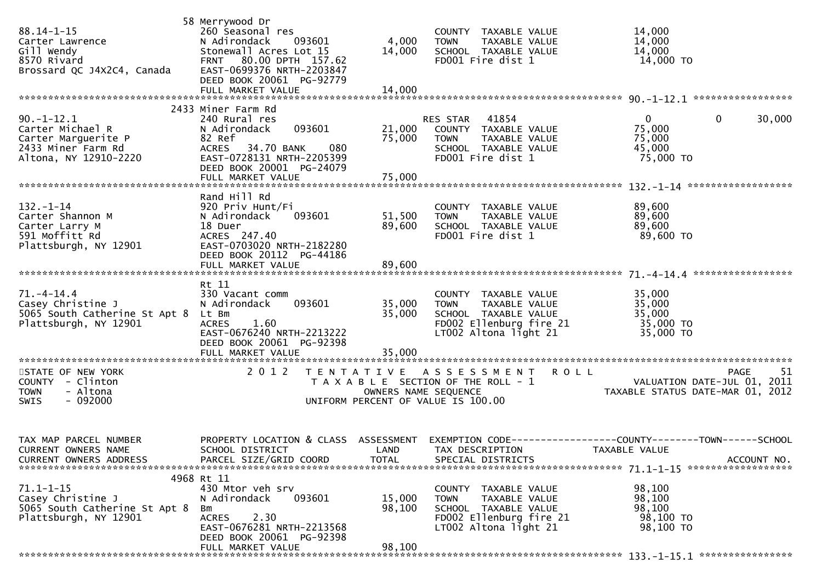| $88.14 - 1 - 15$<br>Carter Lawrence<br>Gill Wendy<br>8570 Rivard<br>Brossard QC J4X2C4, Canada         | 58 Merrywood Dr<br>260 Seasonal res<br>N Adirondack 093601<br>Stonewall Acres Lot 15<br>FRNT 80.00 DPTH 157.62<br>EAST-0699376 NRTH-2203847<br>DEED BOOK 20061 PG-92779 | 4,000<br>14,000                           | COUNTY TAXABLE VALUE<br><b>TOWN</b><br>TAXABLE VALUE<br>SCHOOL TAXABLE VALUE<br>FD001 Fire dist 1                                | 14,000<br>14,000<br>14,000<br>14,000 TO                                                                                            |
|--------------------------------------------------------------------------------------------------------|-------------------------------------------------------------------------------------------------------------------------------------------------------------------------|-------------------------------------------|----------------------------------------------------------------------------------------------------------------------------------|------------------------------------------------------------------------------------------------------------------------------------|
|                                                                                                        | 2433 Miner Farm Rd                                                                                                                                                      |                                           |                                                                                                                                  |                                                                                                                                    |
| $90.-1-12.1$<br>Carter Michael R<br>Carter Marguerite P<br>2433 Miner Farm Rd<br>Altona, NY 12910-2220 | 240 Rural res<br>093601<br>N Adirondack<br>82 Ref<br>080<br>ACRES 34.70 BANK<br>EAST-0728131 NRTH-2205399<br>DEED BOOK 20001 PG-24079                                   | 21,000<br>75,000                          | RES STAR 41854<br>COUNTY TAXABLE VALUE<br>TAXABLE VALUE<br>TOWN<br>SCHOOL TAXABLE VALUE<br>FD001 Fire dist 1                     | $\mathbf{0}$<br>$\mathbf{0}$<br>30,000<br>75,000<br>75,000<br>45,000<br>75,000 TO                                                  |
|                                                                                                        |                                                                                                                                                                         |                                           |                                                                                                                                  |                                                                                                                                    |
| $132 - 1 - 14$<br>Carter Shannon M<br>Carter Larry M<br>591 Moffitt Rd<br>Plattsburgh, NY 12901        | Rand Hill Rd<br>920 Priv Hunt/Fi<br>093601<br>N Adirondack<br>18 Duer<br>ACRES 247.40<br>EAST-0703020 NRTH-2182280<br>DEED BOOK 20112 PG-44186                          | 51,500<br>89,600                          | COUNTY TAXABLE VALUE<br>TAXABLE VALUE<br><b>TOWN</b><br>SCHOOL TAXABLE VALUE<br>FD001 Fire dist 1                                | 89,600<br>89,600<br>89,600<br>89,600 TO                                                                                            |
|                                                                                                        | FULL MARKET VALUE                                                                                                                                                       | 89,600                                    |                                                                                                                                  |                                                                                                                                    |
|                                                                                                        | Rt 11                                                                                                                                                                   |                                           |                                                                                                                                  |                                                                                                                                    |
| $71. - 4 - 14.4$<br>Casey Christine J<br>5065 South Catherine St Apt 8<br>Plattsburgh, NY 12901        | 330 Vacant comm<br>093601<br>N Adirondack<br>Lt Bm<br>1.60<br><b>ACRES</b><br>EAST-0676240 NRTH-2213222<br>DEED BOOK 20061 PG-92398                                     | 35,000<br>35,000                          | COUNTY TAXABLE VALUE<br><b>TOWN</b><br>TAXABLE VALUE<br>SCHOOL TAXABLE VALUE<br>FD002 Ellenburg fire 21<br>LT002 Altona light 21 | 35,000<br>35,000<br>35,000<br>35,000 TO<br>35,000 TO                                                                               |
|                                                                                                        | FULL MARKET VALUE                                                                                                                                                       | 35,000                                    |                                                                                                                                  |                                                                                                                                    |
| STATE OF NEW YORK<br>COUNTY - Clinton<br><b>TOWN</b><br>- Altona<br>$-092000$<br><b>SWIS</b>           | 2 0 1 2                                                                                                                                                                 | T E N T A T I V E<br>OWNERS NAME SEQUENCE | A S S E S S M E N T<br>T A X A B L E SECTION OF THE ROLL - 1<br>UNIFORM PERCENT OF VALUE IS 100.00                               | <b>ROLL</b><br><b>PAGE</b><br>51<br>VALUATION DATE-JUL 01, 2011<br>VALUATION DATE-JUL 01, 2011<br>TAXABLE STATUS DATE-MAR 01, 2012 |
| TAX MAP PARCEL NUMBER<br>CURRENT OWNERS NAME<br><b>CURRENT OWNERS ADDRESS</b>                          | SCHOOL DISTRICT LAND TAX DESCRIPTION<br>PARCEL SIZE/GRID COORD                                                                                                          | <b>TOTAL</b>                              | SPECIAL DISTRICTS                                                                                                                | PROPERTY LOCATION & CLASS ASSESSMENT EXEMPTION CODE----------------COUNTY-------TOWN------SCHOOL<br>TAXABLE VALUE<br>ACCOUNT NO.   |
|                                                                                                        | 4968 Rt 11                                                                                                                                                              |                                           |                                                                                                                                  |                                                                                                                                    |
| $71.1 - 1 - 15$<br>Casey Christine J<br>5065 South Catherine St Apt 8<br>Plattsburgh, NY 12901         | 430 Mtor veh srv<br>N Adirondack<br>093601<br>Bm<br>2.30<br><b>ACRES</b><br>EAST-0676281 NRTH-2213568<br>DEED BOOK 20061 PG-92398<br>FULL MARKET VALUE                  | 15,000<br>98,100<br>98,100                | COUNTY TAXABLE VALUE<br>TAXABLE VALUE<br><b>TOWN</b><br>SCHOOL TAXABLE VALUE<br>FD002 Ellenburg fire 21<br>LT002 Altona light 21 | 98,100<br>98,100<br>98,100<br>98,100 TO<br>98,100 TO                                                                               |
|                                                                                                        |                                                                                                                                                                         |                                           |                                                                                                                                  |                                                                                                                                    |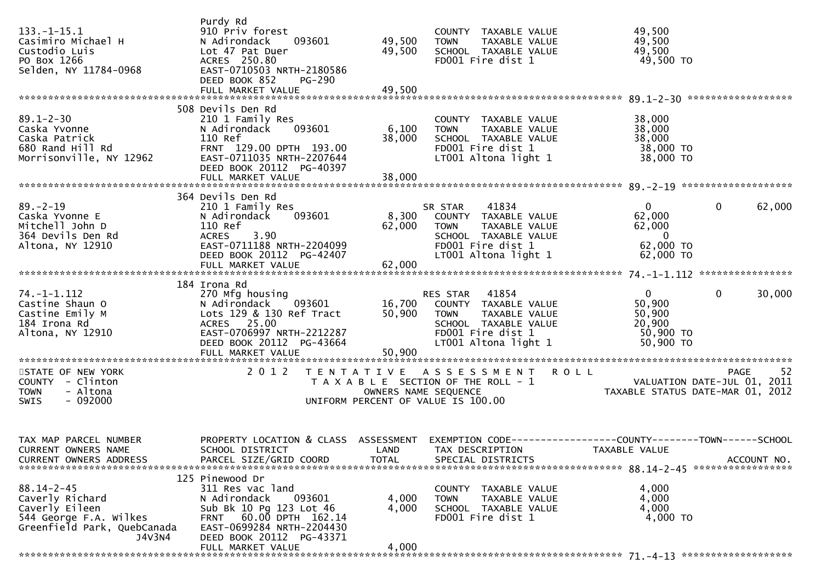| $133. - 1 - 15.1$<br>Casimiro Michael H<br>Custodio Luis<br>PO Box 1266<br>Selden, NY 11784-0968                         | Purdy Rd<br>910 Priv forest<br>N Adirondack<br>093601<br>Lot 47 Pat Duer<br>ACRES 250.80<br>EAST-0710503 NRTH-2180586<br>DEED BOOK 852<br>PG-290<br>FULL MARKET VALUE                            | 49,500<br>49,500<br>49,500 | COUNTY TAXABLE VALUE<br><b>TOWN</b><br>TAXABLE VALUE<br>SCHOOL TAXABLE VALUE<br>FD001 Fire dist 1                                                   | 49,500<br>49,500<br>49,500<br>49,500 TO                                                |                        |
|--------------------------------------------------------------------------------------------------------------------------|--------------------------------------------------------------------------------------------------------------------------------------------------------------------------------------------------|----------------------------|-----------------------------------------------------------------------------------------------------------------------------------------------------|----------------------------------------------------------------------------------------|------------------------|
| $89.1 - 2 - 30$<br>Caska Yvonne<br>Caska Patrick<br>680 Rand Hill Rd<br>Morrisonville, NY 12962                          | 508 Devils Den Rd<br>210 1 Family Res<br>093601<br>N Adirondack<br>110 Ref<br>FRNT 129.00 DPTH 193.00<br>EAST-0711035 NRTH-2207644<br>DEED BOOK 20112 PG-40397                                   | 6,100<br>38,000            | COUNTY TAXABLE VALUE<br>TAXABLE VALUE<br><b>TOWN</b><br>SCHOOL TAXABLE VALUE<br>FD001 Fire dist 1<br>LT001 Altona light 1                           | 38,000<br>38,000<br>38,000<br>38,000 TO<br>38,000 TO                                   |                        |
| $89. - 2 - 19$<br>Caska Yvonne E<br>Mitchell John D<br>364 Devils Den Rd<br>Altona, NY 12910                             | 364 Devils Den Rd<br>210 1 Family Res<br>N Adirondack 093601<br>110 Ref<br>3.90<br><b>ACRES</b><br>EAST-0711188 NRTH-2204099<br>DEED BOOK 20112 PG-42407                                         | 62,000                     | 41834<br>SR STAR<br>8,300 COUNTY TAXABLE VALUE<br><b>TOWN</b><br>TAXABLE VALUE<br>SCHOOL TAXABLE VALUE<br>FD001 Fire dist 1<br>LT001 Altona light 1 | $\mathbf{0}$<br>62,000<br>62,000<br>$\overline{\phantom{0}}$<br>62,000 TO<br>62,000 TO | $\mathbf{0}$<br>62,000 |
| $74. - 1 - 1.112$<br>Castine Shaun O<br>Castine Emily M<br>184 Irona Rd<br>Altona, NY 12910                              | 184 Irona Rd<br>270 Mfg housing<br>N Adirondack 093601<br>Lots 129 & 130 Ref Tract<br>ACRES 25.00<br>EAST-0706997 NRTH-2212287<br>DEED BOOK 20112 PG-43664<br>FULL MARKET VALUE                  | 50,900<br>50,900           | RES STAR 41854<br>16,700 COUNTY TAXABLE VALUE<br><b>TOWN</b><br>TAXABLE VALUE<br>SCHOOL TAXABLE VALUE<br>FD001 Fire dist 1<br>LT001 Altona light 1  | $\overline{0}$<br>50,900<br>50,900<br>20,900<br>50,900 TO<br>$50,900$ TO               | $\mathbf{0}$<br>30,000 |
| STATE OF NEW YORK<br>COUNTY - Clinton<br>- Altona<br><b>TOWN</b><br>$-092000$<br><b>SWIS</b>                             | 2 0 1 2                                                                                                                                                                                          | OWNERS NAME SEQUENCE       | TENTATIVE ASSESSMENT ROLL<br>T A X A B L E SECTION OF THE ROLL - 1<br>UNIFORM PERCENT OF VALUE IS 100.00                                            | VALUATION DATE-JUL 01, 2011<br>TAXABLE STATUS DATE-MAR 01, 2012                        | -52<br>PAGE            |
| TAX MAP PARCEL NUMBER<br>CURRENT OWNERS NAME<br><b>CURRENT OWNERS ADDRESS</b>                                            | PROPERTY LOCATION & CLASS ASSESSMENT EXEMPTION CODE----------------COUNTY-------TOWN------SCHOOL<br>SCHOOL DISTRICT<br>PARCEL SIZE/GRID COORD                                                    | <b>TOTAL</b>               | LAND TAX DESCRIPTION<br>SPECIAL DISTRICTS                                                                                                           | TAXABLE VALUE                                                                          | ACCOUNT NO.            |
| $88.14 - 2 - 45$<br>Caverly Richard<br>Caverly Eileen<br>544 George F.A. Wilkes<br>Greenfield Park, QuebCanada<br>J4V3N4 | 125 Pinewood Dr<br>311 Res vac land<br>N Adirondack<br>093601<br>Sub Bk 10 Pg 123 Lot 46<br>FRNT 60.00 DPTH 162.14<br>EAST-0699284 NRTH-2204430<br>DEED BOOK 20112 PG-43371<br>FULL MARKET VALUE | 4,000<br>4,000<br>4,000    | COUNTY TAXABLE VALUE<br><b>TOWN</b><br>TAXABLE VALUE<br>SCHOOL TAXABLE VALUE<br>FD001 Fire dist 1                                                   | 4,000<br>4,000<br>4,000<br>4,000 TO                                                    |                        |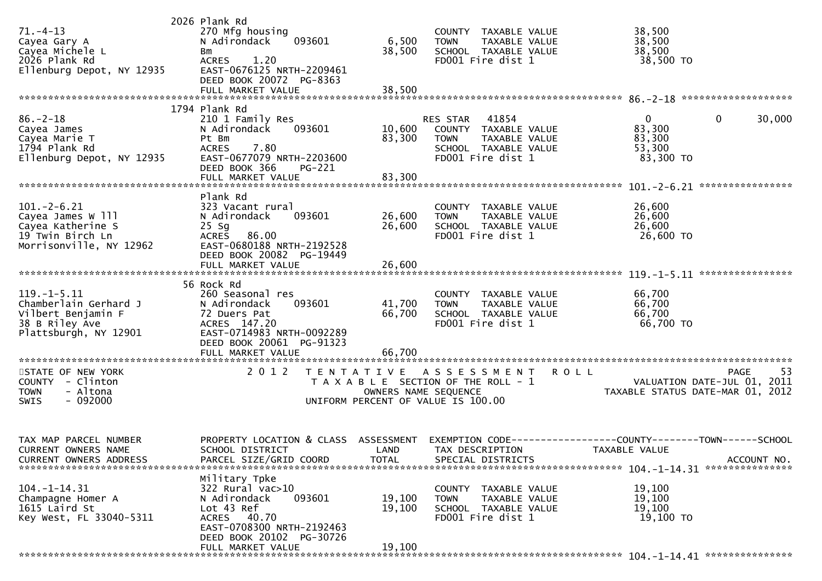| $71. - 4 - 13$<br>Cayea Gary A<br>Cayea Michele L<br>2026 Plank Rd<br>Ellenburg Depot, NY 12935            | 2026 Plank Rd<br>270 Mfg housing<br>N Adirondack<br>093601<br><b>Bm</b><br>1.20<br><b>ACRES</b><br>EAST-0676125 NRTH-2209461<br>DEED BOOK 20072 PG-8363<br>FULL MARKET VALUE | 6,500<br>38,500<br>38,500  | COUNTY TAXABLE VALUE<br><b>TOWN</b><br>TAXABLE VALUE<br>SCHOOL TAXABLE VALUE<br>FD001 Fire dist 1                             |               | 38,500<br>38,500<br>38,500<br>38,500 TO                                              |
|------------------------------------------------------------------------------------------------------------|------------------------------------------------------------------------------------------------------------------------------------------------------------------------------|----------------------------|-------------------------------------------------------------------------------------------------------------------------------|---------------|--------------------------------------------------------------------------------------|
|                                                                                                            | 1794 Plank Rd                                                                                                                                                                |                            |                                                                                                                               |               |                                                                                      |
| $86. - 2 - 18$<br>Cayea James<br>Cayea Marie T<br>1794 Plank Rd<br>Ellenburg Depot, NY 12935               | 210 1 Family Res<br>093601<br>N Adirondack<br>Pt Bm<br>7.80<br><b>ACRES</b><br>EAST-0677079 NRTH-2203600<br>DEED BOOK 366<br><b>PG-221</b><br>FULL MARKET VALUE              | 10,600<br>83,300<br>83,300 | 41854<br><b>RES STAR</b><br>COUNTY TAXABLE VALUE<br>TAXABLE VALUE<br><b>TOWN</b><br>SCHOOL TAXABLE VALUE<br>FD001 Fire dist 1 |               | $\mathbf{0}$<br>30,000<br>$\mathbf{0}$<br>83,300<br>83,300<br>53,300<br>83,300 TO    |
|                                                                                                            |                                                                                                                                                                              |                            |                                                                                                                               |               |                                                                                      |
| $101 - 2 - 6.21$<br>Cayea James W 111<br>Cayea Katherine S<br>19 Twin Birch Ln<br>Morrisonville, NY 12962  | Plank Rd<br>323 Vacant rural<br>N Adirondack<br>093601<br>$25$ Sg<br>ACRES 86.00<br>EAST-0680188 NRTH-2192528<br>DEED BOOK 20082 PG-19449<br>FULL MARKET VALUE               | 26,600<br>26,600<br>26,600 | COUNTY TAXABLE VALUE<br>TAXABLE VALUE<br><b>TOWN</b><br>SCHOOL TAXABLE VALUE<br>FD001 Fire dist 1                             |               | 26,600<br>26,600<br>26,600<br>26,600 TO                                              |
|                                                                                                            |                                                                                                                                                                              |                            |                                                                                                                               |               |                                                                                      |
| $119. -1 - 5.11$<br>Chamberlain Gerhard J<br>Vilbert Benjamin F<br>38 B Riley Ave<br>Plattsburgh, NY 12901 | 56 Rock Rd<br>260 Seasonal res<br>093601<br>N Adirondack<br>72 Duers Pat<br>ACRES 147.20<br>EAST-0714983 NRTH-0092289<br>DEED BOOK 20061 PG-91323                            | 41,700<br>66,700           | COUNTY TAXABLE VALUE<br><b>TOWN</b><br>TAXABLE VALUE<br>SCHOOL TAXABLE VALUE<br>FD001 Fire dist 1                             |               | 66,700<br>66,700<br>66,700<br>66,700 TO                                              |
|                                                                                                            | FULL MARKET VALUE                                                                                                                                                            | 66,700                     |                                                                                                                               |               |                                                                                      |
| STATE OF NEW YORK<br>COUNTY - Clinton<br>- Altona<br><b>TOWN</b><br>$-092000$<br><b>SWIS</b>               | 2 0 1 2                                                                                                                                                                      | OWNERS NAME SEQUENCE       | TENTATIVE ASSESSMENT<br>T A X A B L E SECTION OF THE ROLL - 1<br>UNIFORM PERCENT OF VALUE IS 100.00                           | <b>ROLL</b>   | <b>PAGE</b><br>53<br>VALUATION DATE-JUL 01, 2011<br>TAXABLE STATUS DATE-MAR 01, 2012 |
| TAX MAP PARCEL NUMBER<br>CURRENT OWNERS NAME<br><b>CURRENT OWNERS ADDRESS</b>                              | PROPERTY LOCATION & CLASS ASSESSMENT<br>SCHOOL DISTRICT<br>PARCEL SIZE/GRID COORD                                                                                            | <b>TOTAL</b>               | LAND TAX DESCRIPTION<br>SPECIAL DISTRICTS                                                                                     | TAXABLE VALUE | EXEMPTION CODE-----------------COUNTY-------TOWN------SCHOOL<br>ACCOUNT NO.          |
| $104. - 1 - 14.31$<br>Champagne Homer A<br>1615 Laird St<br>Key West, FL 33040-5311                        | Military Tpke<br>322 Rural vac>10<br>N Adirondack<br>093601<br>Lot 43 Ref<br>ACRES 40.70<br>EAST-0708300 NRTH-2192463<br>DEED BOOK 20102 PG-30726<br>FULL MARKET VALUE       | 19,100<br>19,100<br>19,100 | COUNTY TAXABLE VALUE<br>TAXABLE VALUE<br><b>TOWN</b><br>SCHOOL TAXABLE VALUE<br>FD001 Fire dist 1                             |               | 19,100<br>19,100<br>19,100<br>19,100 TO                                              |
|                                                                                                            |                                                                                                                                                                              |                            |                                                                                                                               |               |                                                                                      |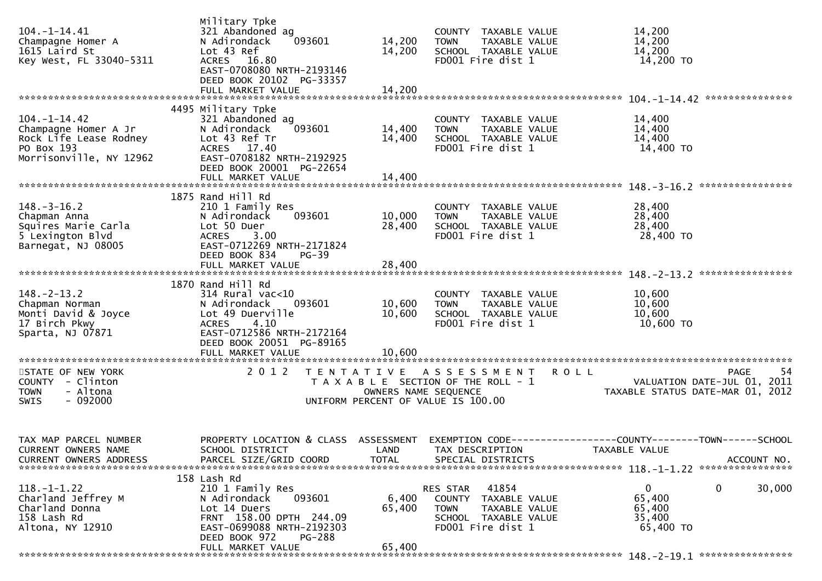| $104. - 1 - 14.41$<br>Champagne Homer A<br>1615 Laird St<br>Key West, FL 33040-5311                           | Military Tpke<br>321 Abandoned ag<br>N Adirondack<br>093601<br>Lot 43 Ref<br>ACRES 16.80<br>EAST-0708080 NRTH-2193146<br>DEED BOOK 20102 PG-33357<br>FULL MARKET VALUE | 14,200<br>14,200<br>14,200 | COUNTY TAXABLE VALUE<br>TAXABLE VALUE<br><b>TOWN</b><br>SCHOOL TAXABLE VALUE<br>FD001 Fire dist 1               |               | 14,200<br>14,200<br>14,200<br>14,200 TO                                                          |
|---------------------------------------------------------------------------------------------------------------|------------------------------------------------------------------------------------------------------------------------------------------------------------------------|----------------------------|-----------------------------------------------------------------------------------------------------------------|---------------|--------------------------------------------------------------------------------------------------|
|                                                                                                               | 4495 Military Tpke                                                                                                                                                     |                            |                                                                                                                 |               |                                                                                                  |
| $104. - 1 - 14.42$<br>Champagne Homer A Jr<br>Rock Life Lease Rodney<br>PO Box 193<br>Morrisonville, NY 12962 | 321 Abandoned ag<br>093601<br>N Adirondack<br>Lot 43 Ref Tr<br>ACRES 17.40<br>EAST-0708182 NRTH-2192925<br>DEED BOOK 20001 PG-22654                                    | 14,400<br>14,400           | COUNTY TAXABLE VALUE<br><b>TOWN</b><br>TAXABLE VALUE<br>SCHOOL TAXABLE VALUE<br>FD001 Fire dist 1               |               | 14,400<br>14,400<br>14,400<br>14,400 TO                                                          |
|                                                                                                               | FULL MARKET VALUE                                                                                                                                                      | 14,400                     |                                                                                                                 |               |                                                                                                  |
|                                                                                                               |                                                                                                                                                                        |                            |                                                                                                                 |               |                                                                                                  |
| $148. - 3 - 16.2$<br>Chapman Anna<br>Squires Marie Carla<br>5 Lexington Blvd<br>Barnegat, NJ 08005            | 1875 Rand Hill Rd<br>210 1 Family Res<br>093601<br>N Adirondack<br>Lot 50 Duer<br>3.00<br>ACRES<br>EAST-0712269 NRTH-2171824<br>DEED BOOK 834<br>PG-39                 | 10,000<br>28,400           | COUNTY TAXABLE VALUE<br>TAXABLE VALUE<br><b>TOWN</b><br>SCHOOL TAXABLE VALUE<br>FD001 Fire dist 1               |               | 28,400<br>28,400<br>28,400<br>28,400 TO                                                          |
|                                                                                                               |                                                                                                                                                                        |                            |                                                                                                                 |               |                                                                                                  |
|                                                                                                               |                                                                                                                                                                        |                            |                                                                                                                 |               |                                                                                                  |
|                                                                                                               | 1870 Rand Hill Rd                                                                                                                                                      |                            |                                                                                                                 |               |                                                                                                  |
| $148. - 2 - 13.2$<br>Chapman Norman<br>Monti David & Joyce<br>17 Birch Pkwy<br>Sparta, NJ 07871               | 314 Rural vac<10<br>N Adirondack<br>093601<br>Lot 49 Duerville<br>4.10<br><b>ACRES</b><br>EAST-0712586 NRTH-2172164                                                    | 10,600<br>10,600           | COUNTY TAXABLE VALUE<br><b>TOWN</b><br>TAXABLE VALUE<br>SCHOOL TAXABLE VALUE<br>FD001 Fire dist 1               |               | 10,600<br>10,600<br>10,600<br>10,600 TO                                                          |
|                                                                                                               | DEED BOOK 20051 PG-89165                                                                                                                                               |                            |                                                                                                                 |               |                                                                                                  |
|                                                                                                               | FULL MARKET VALUE                                                                                                                                                      | 10,600                     |                                                                                                                 |               |                                                                                                  |
| STATE OF NEW YORK<br>COUNTY - Clinton<br>- Altona<br><b>TOWN</b><br><b>SWIS</b><br>$-092000$                  | 2 0 1 2<br>T E N T A T I V E                                                                                                                                           | OWNERS NAME SEQUENCE       | A S S E S S M E N T<br>T A X A B L E SECTION OF THE ROLL - 1<br>UNIFORM PERCENT OF VALUE IS 100.00              | <b>ROLL</b>   | <b>PAGE</b><br>-54<br>VALUATION DATE-JUL 01, 2011<br>TAXABLE STATUS DATE-MAR 01, 2012            |
| TAX MAP PARCEL NUMBER                                                                                         | SCHOOL DISTRICT                                                                                                                                                        |                            | LAND TAX DESCRIPTION                                                                                            |               | PROPERTY LOCATION & CLASS ASSESSMENT EXEMPTION CODE----------------COUNTY-------TOWN------SCHOOL |
| CURRENT OWNERS NAME<br><b>CURRENT OWNERS ADDRESS</b>                                                          | PARCEL SIZE/GRID COORD                                                                                                                                                 | <b>TOTAL</b>               | SPECIAL DISTRICTS                                                                                               | TAXABLE VALUE | ACCOUNT NO.                                                                                      |
|                                                                                                               |                                                                                                                                                                        |                            |                                                                                                                 |               |                                                                                                  |
| $118. - 1 - 1.22$<br>Charland Jeffrey M<br>Charland Donna<br>158 Lash Rd<br>Altona, NY 12910                  | 158 Lash Rd<br>210 1 Family Res<br>N Adirondack<br>093601<br>Lot 14 Duers<br>FRNT 158.00 DPTH 244.09<br>EAST-0699088 NRTH-2192303<br>DEED BOOK 972<br>PG-288           | 6,400<br>65,400            | 41854<br>RES STAR<br>COUNTY TAXABLE VALUE<br>TOWN<br>TAXABLE VALUE<br>SCHOOL TAXABLE VALUE<br>FD001 Fire dist 1 |               | 0<br>0<br>30,000<br>65,400<br>65,400<br>35,400<br>65,400 TO                                      |
|                                                                                                               | FULL MARKET VALUE                                                                                                                                                      | 65,400                     |                                                                                                                 |               |                                                                                                  |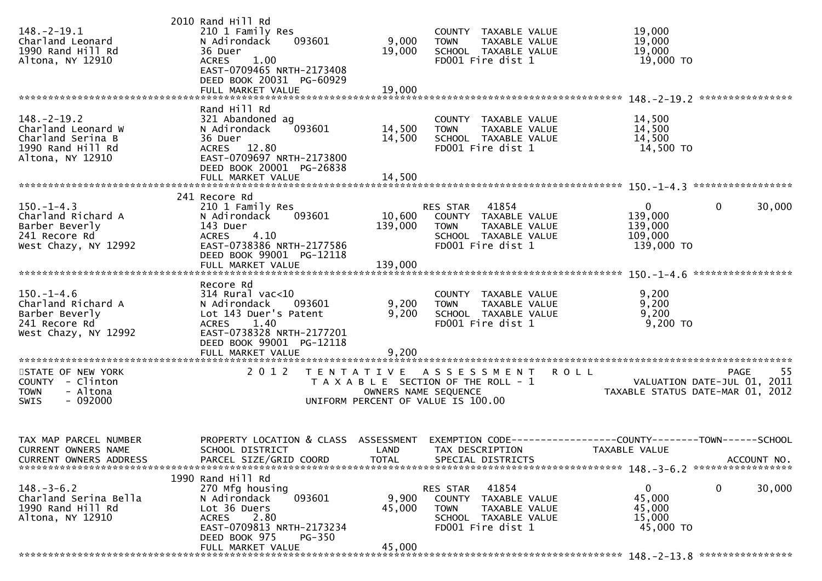|                               | 2010 Rand Hill Rd                    |                      |                                       |               |                                             |             |             |
|-------------------------------|--------------------------------------|----------------------|---------------------------------------|---------------|---------------------------------------------|-------------|-------------|
| $148. - 2 - 19.1$             | 210 1 Family Res                     |                      | COUNTY TAXABLE VALUE                  |               | 19,000                                      |             |             |
| Charland Leonard              | N Adirondack<br>093601               | 9,000                | <b>TOWN</b>                           | TAXABLE VALUE | 19,000                                      |             |             |
| 1990 Rand Hill Rd             | 36 Duer                              | 19,000               | SCHOOL TAXABLE VALUE                  |               | 19,000                                      |             |             |
|                               |                                      |                      |                                       |               |                                             |             |             |
| Altona, NY 12910              | <b>ACRES</b><br>1.00                 |                      | FD001 Fire dist 1                     |               | 19,000 TO                                   |             |             |
|                               | EAST-0709465 NRTH-2173408            |                      |                                       |               |                                             |             |             |
|                               | DEED BOOK 20031 PG-60929             |                      |                                       |               |                                             |             |             |
|                               | FULL MARKET VALUE                    | 19,000               |                                       |               |                                             |             |             |
|                               |                                      |                      |                                       |               |                                             |             |             |
|                               | Rand Hill Rd                         |                      |                                       |               |                                             |             |             |
|                               |                                      |                      |                                       |               |                                             |             |             |
| $148. - 2 - 19.2$             | 321 Abandoned ag                     |                      | COUNTY TAXABLE VALUE                  |               | 14,500                                      |             |             |
| Charland Leonard W            | 093601<br>N Adirondack               | 14,500               | <b>TOWN</b>                           | TAXABLE VALUE | 14,500                                      |             |             |
| Charland Serina B             | 36 Duer                              | 14,500               | SCHOOL TAXABLE VALUE                  |               | 14,500                                      |             |             |
| 1990 Rand Hill Rd             | ACRES 12.80                          |                      | FD001 Fire dist 1                     |               | 14,500 TO                                   |             |             |
| Altona, NY 12910              | EAST-0709697 NRTH-2173800            |                      |                                       |               |                                             |             |             |
|                               | DEED BOOK 20001 PG-26838             |                      |                                       |               |                                             |             |             |
|                               |                                      |                      |                                       |               |                                             |             |             |
|                               |                                      |                      |                                       |               |                                             |             |             |
|                               |                                      |                      |                                       |               |                                             |             |             |
|                               | 241 Recore Rd                        |                      |                                       |               |                                             |             |             |
| $150. - 1 - 4.3$              | 210 1 Family Res                     |                      | RES STAR 41854                        |               | $\mathbf{0}$                                | 0           | 30,000      |
| Charland Richard A            | 093601<br>N Adirondack               | 10,600               | COUNTY TAXABLE VALUE                  |               | 139,000                                     |             |             |
| Barber Beverly                | 143 Duer                             | 139,000              | <b>TOWN</b>                           | TAXABLE VALUE | 139,000                                     |             |             |
| 241 Recore Rd                 | 4.10<br><b>ACRES</b>                 |                      | SCHOOL TAXABLE VALUE                  |               | 109,000                                     |             |             |
|                               |                                      |                      |                                       |               |                                             |             |             |
| West Chazy, NY 12992          | EAST-0738386 NRTH-2177586            |                      | FD001 Fire dist 1                     |               | 139,000 TO                                  |             |             |
|                               | DEED BOOK 99001 PG-12118             |                      |                                       |               |                                             |             |             |
|                               | FULL MARKET VALUE                    | 139,000              |                                       |               |                                             |             |             |
|                               |                                      |                      |                                       |               |                                             |             |             |
|                               | Recore Rd                            |                      |                                       |               |                                             |             |             |
| $150. - 1 - 4.6$              | $314$ Rural vac<10                   |                      | COUNTY TAXABLE VALUE                  |               | 9,200                                       |             |             |
| Charland Richard A            | N Adirondack<br>093601               | 9,200                | <b>TOWN</b>                           | TAXABLE VALUE | 9,200                                       |             |             |
|                               |                                      |                      |                                       |               |                                             |             |             |
| Barber Beverly                | Lot 143 Duer's Patent                | 9,200                | SCHOOL TAXABLE VALUE                  |               | 9,200                                       |             |             |
| 241 Recore Rd                 | <b>ACRES</b><br>1.40                 |                      | FD001 Fire dist 1                     |               | $9,200$ TO                                  |             |             |
| West Chazy, NY 12992          | EAST-0738328 NRTH-2177201            |                      |                                       |               |                                             |             |             |
|                               | DEED BOOK 99001 PG-12118             |                      |                                       |               |                                             |             |             |
|                               | FULL MARKET VALUE                    | 9,200                |                                       |               |                                             |             |             |
|                               |                                      |                      |                                       |               |                                             |             |             |
| STATE OF NEW YORK             |                                      |                      |                                       |               |                                             |             |             |
|                               |                                      |                      |                                       |               |                                             |             |             |
|                               | 2 0 1 2                              |                      | TENTATIVE ASSESSMENT ROLL             |               |                                             | <b>PAGE</b> | -55         |
| COUNTY - Clinton              |                                      |                      | T A X A B L E SECTION OF THE ROLL - 1 |               | VALUATION DATE-JUL 01, 2011                 |             |             |
| - Altona<br><b>TOWN</b>       |                                      | OWNERS NAME SEQUENCE |                                       |               | TAXABLE STATUS DATE-MAR 01, 2012            |             |             |
| $-092000$<br><b>SWIS</b>      |                                      |                      | UNIFORM PERCENT OF VALUE IS 100.00    |               |                                             |             |             |
|                               |                                      |                      |                                       |               |                                             |             |             |
|                               |                                      |                      |                                       |               |                                             |             |             |
|                               |                                      |                      |                                       |               |                                             |             |             |
|                               |                                      |                      |                                       |               |                                             |             |             |
| TAX MAP PARCEL NUMBER         | PROPERTY LOCATION & CLASS ASSESSMENT |                      | EXEMPTION CODE-                       |               | -------------COUNTY--------TOWN------SCHOOL |             |             |
| CURRENT OWNERS NAME           | SCHOOL DISTRICT                      | LAND                 | TAX DESCRIPTION                       |               | TAXABLE VALUE                               |             |             |
| <b>CURRENT OWNERS ADDRESS</b> | PARCEL SIZE/GRID COORD               | <b>TOTAL</b>         | SPECIAL DISTRICTS                     |               |                                             |             | ACCOUNT NO. |
|                               |                                      |                      |                                       |               |                                             |             |             |
|                               | 1990 Rand Hill Rd                    |                      |                                       |               |                                             |             |             |
| $148. - 3 - 6.2$              | 270 Mfg housing                      |                      | 41854<br>RES STAR                     |               | $\mathbf 0$                                 | 0           | 30,000      |
|                               |                                      |                      |                                       |               |                                             |             |             |
| Charland Serina Bella         | 093601<br>N Adirondack               | 9,900                | COUNTY TAXABLE VALUE                  |               | 45,000                                      |             |             |
| 1990 Rand Hill Rd             | Lot 36 Duers                         | 45,000               | <b>TOWN</b>                           | TAXABLE VALUE | 45,000                                      |             |             |
| Altona, NY 12910              | 2.80<br><b>ACRES</b>                 |                      | SCHOOL TAXABLE VALUE                  |               | 15,000                                      |             |             |
|                               | EAST-0709813 NRTH-2173234            |                      | FD001 Fire dist 1                     |               | 45,000 TO                                   |             |             |
|                               | DEED BOOK 975<br><b>PG-350</b>       |                      |                                       |               |                                             |             |             |
|                               | FULL MARKET VALUE                    | 45,000               |                                       |               |                                             |             |             |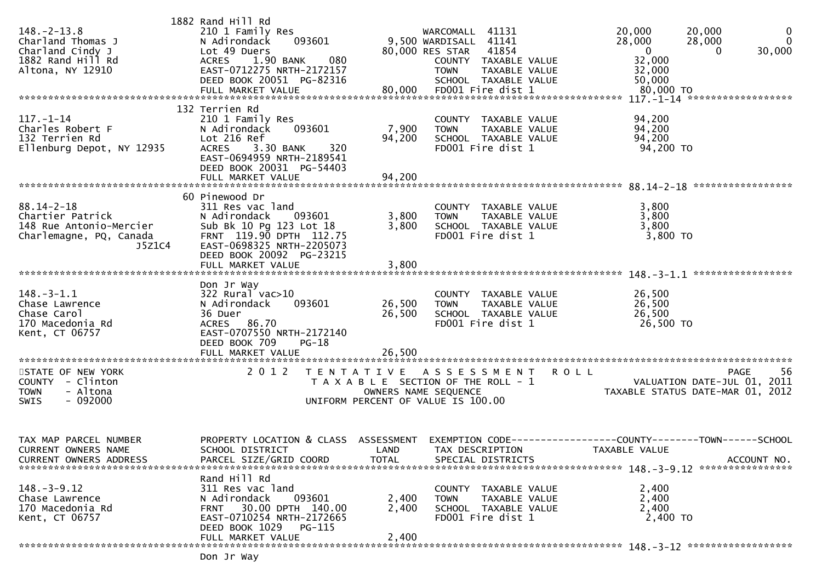| $148. - 2 - 13.8$<br>Charland Thomas J<br>Charland Cindy J<br>1882 Rand Hill Rd<br>Altona, NY 12910 | 1882 Rand Hill Rd<br>210 1 Family Res<br>093601<br>N Adirondack<br>Lot 49 Duers<br>080<br>1.90 BANK<br><b>ACRES</b><br>EAST-0712275 NRTH-2172157<br>DEED BOOK 20051 PG-82316 |                                           | WARCOMALL 41131<br>9,500 WARDISALL 41141<br>80,000 RES STAR 41854<br>COUNTY TAXABLE VALUE<br><b>TOWN</b><br>TAXABLE VALUE<br>SCHOOL TAXABLE VALUE | $\mathbf 0$<br>20,000<br>20,000<br>$\mathbf{0}$<br>28,000<br>28,000<br>$\mathbf 0$<br>30,000<br>$\Omega$<br>32,000<br>32,000<br>50,000 |
|-----------------------------------------------------------------------------------------------------|------------------------------------------------------------------------------------------------------------------------------------------------------------------------------|-------------------------------------------|---------------------------------------------------------------------------------------------------------------------------------------------------|----------------------------------------------------------------------------------------------------------------------------------------|
| $117. - 1 - 14$                                                                                     | 132 Terrien Rd                                                                                                                                                               |                                           |                                                                                                                                                   |                                                                                                                                        |
| Charles Robert F<br>132 Terrien Rd<br>Ellenburg Depot, NY 12935                                     | 210 1 Family Res<br>093601<br>N Adirondack<br>Lot 216 Ref<br>ACRES 3.30 BANK<br>320<br>EAST-0694959 NRTH-2189541<br>DEED BOOK 20031 PG-54403                                 | 7,900<br>94,200                           | COUNTY TAXABLE VALUE<br><b>TOWN</b><br>TAXABLE VALUE<br>SCHOOL TAXABLE VALUE<br>FD001 Fire dist 1                                                 | 94,200<br>94,200<br>94,200<br>94,200 TO                                                                                                |
|                                                                                                     |                                                                                                                                                                              |                                           |                                                                                                                                                   |                                                                                                                                        |
| $88.14 - 2 - 18$                                                                                    | 60 Pinewood Dr<br>311 Res vac land                                                                                                                                           |                                           | COUNTY TAXABLE VALUE                                                                                                                              | 3,800                                                                                                                                  |
| Chartier Patrick                                                                                    | N Adirondack<br>093601                                                                                                                                                       | 3,800                                     | <b>TOWN</b><br>TAXABLE VALUE                                                                                                                      | 3,800                                                                                                                                  |
| 148 Rue Antonio-Mercier<br>Charlemagne, PQ, Canada<br>J5Z1C4                                        | Sub Bk 10 Pg 123 Lot 18<br>FRNT 119.90 DPTH 112.75<br>EAST-0698325 NRTH-2205073<br>DEED BOOK 20092 PG-23215                                                                  | 3,800                                     | SCHOOL TAXABLE VALUE<br>FD001 Fire dist 1                                                                                                         | 3,800<br>$3,800$ TO                                                                                                                    |
|                                                                                                     | FULL MARKET VALUE                                                                                                                                                            | 3,800                                     |                                                                                                                                                   | ******************                                                                                                                     |
| $148. - 3 - 1.1$<br>Chase Lawrence<br>Chase Carol<br>170 Macedonia Rd<br>Kent, CT 06757             | Don Jr Way<br>$322$ Rural vac $>10$<br>093601<br>N Adirondack<br>36 Duer<br>ACRES 86.70<br>EAST-0707550 NRTH-2172140<br>DEED BOOK 709<br>$PG-18$                             | 26,500<br>26,500                          | COUNTY TAXABLE VALUE<br>TAXABLE VALUE<br><b>TOWN</b><br>SCHOOL TAXABLE VALUE<br>FD001 Fire dist 1                                                 | 26,500<br>26,500<br>26,500<br>26,500 TO                                                                                                |
|                                                                                                     | FULL MARKET VALUE                                                                                                                                                            | 26,500                                    |                                                                                                                                                   |                                                                                                                                        |
| STATE OF NEW YORK<br>COUNTY - Clinton<br>- Altona<br><b>TOWN</b><br>$-092000$<br><b>SWIS</b>        | 2 0 1 2                                                                                                                                                                      | T E N T A T I V E<br>OWNERS NAME SEQUENCE | A S S E S S M E N T<br>T A X A B L E SECTION OF THE ROLL - 1<br>UNIFORM PERCENT OF VALUE IS 100.00                                                | <b>ROLL</b><br>-56<br><b>PAGE</b><br>VALUATION DATE-JUL 01, 2011<br>TAXABLE STATUS DATE-MAR 01, 2012                                   |
| TAX MAP PARCEL NUMBER<br>CURRENT OWNERS NAME<br><b>CURRENT OWNERS ADDRESS</b>                       | SCHOOL DISTRICT<br>PARCEL SIZE/GRID COORD                                                                                                                                    | <b>TOTAL</b>                              | LAND TAX DESCRIPTION<br>SPECIAL DISTRICTS                                                                                                         | PROPERTY LOCATION & CLASS ASSESSMENT EXEMPTION CODE----------------COUNTY-------TOWN------SCHOOL<br>TAXABLE VALUE<br>ACCOUNT NO.       |
|                                                                                                     | Rand Hill Rd                                                                                                                                                                 |                                           |                                                                                                                                                   |                                                                                                                                        |
| $148. - 3 - 9.12$<br>Chase Lawrence<br>170 Macedonia Rd<br>Kent, CT 06757                           | 311 Res vac land<br>N Adirondack<br>093601<br>30.00 DPTH 140.00<br><b>FRNT</b><br>EAST-0710254 NRTH-2172665<br>DEED BOOK 1029 PG-115                                         | 2,400<br>2,400                            | COUNTY TAXABLE VALUE<br>TAXABLE VALUE<br>TOWN<br>SCHOOL TAXABLE VALUE<br>FD001 Fire dist 1                                                        | 2,400<br>2,400<br>2,400<br>2,400 TO                                                                                                    |
|                                                                                                     | FULL MARKET VALUE                                                                                                                                                            | 2,400                                     |                                                                                                                                                   |                                                                                                                                        |
|                                                                                                     | Don Jr Way                                                                                                                                                                   |                                           |                                                                                                                                                   |                                                                                                                                        |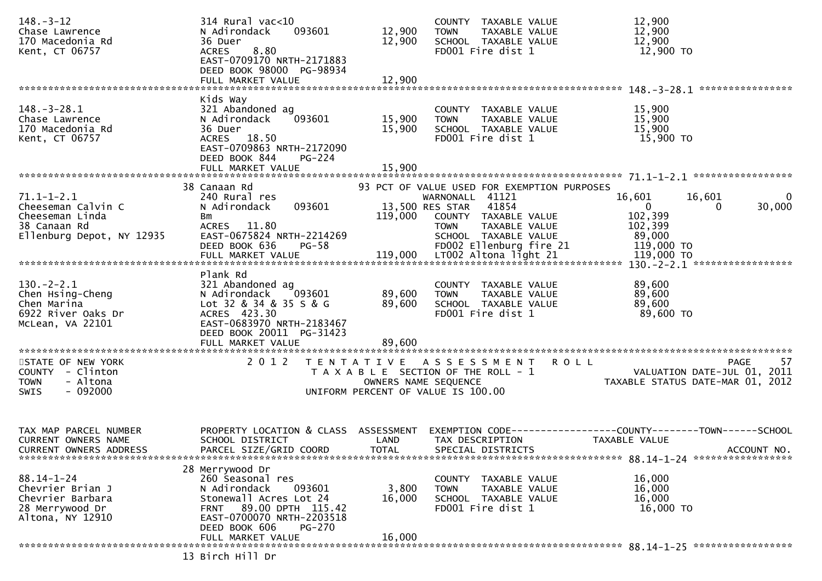| $148. - 3 - 12$<br>Chase Lawrence<br>170 Macedonia Rd<br>Kent, CT 06757                                                                                                                                                                                                                      | 314 Rural vac<10<br>093601<br>N Adirondack<br>36 Duer<br>8.80<br><b>ACRES</b><br>EAST-0709170 NRTH-2171883<br>DEED BOOK 98000 PG-98934<br>FULL MARKET VALUE     | 12,900<br>12,900<br>12,900 | COUNTY TAXABLE VALUE<br><b>TOWN</b><br>TAXABLE VALUE<br>SCHOOL TAXABLE VALUE<br>FD001 Fire dist 1                        | 12,900<br>12,900<br>12,900<br>12,900 TO                                              |                                   |
|----------------------------------------------------------------------------------------------------------------------------------------------------------------------------------------------------------------------------------------------------------------------------------------------|-----------------------------------------------------------------------------------------------------------------------------------------------------------------|----------------------------|--------------------------------------------------------------------------------------------------------------------------|--------------------------------------------------------------------------------------|-----------------------------------|
|                                                                                                                                                                                                                                                                                              |                                                                                                                                                                 |                            |                                                                                                                          |                                                                                      | ****************                  |
| $148. - 3 - 28.1$<br>Chase Lawrence<br>170 Macedonia Rd<br>Kent, CT 06757                                                                                                                                                                                                                    | Kids Way<br>321 Abandoned ag<br>N Adirondack<br>093601<br>36 Duer<br>ACRES 18.50<br>EAST-0709863 NRTH-2172090<br>DEED BOOK 844<br>$PG-224$<br>FULL MARKET VALUE | 15,900<br>15,900<br>15,900 | COUNTY TAXABLE VALUE<br><b>TOWN</b><br>TAXABLE VALUE<br>SCHOOL TAXABLE VALUE<br>FD001 Fire dist 1                        | 15,900<br>15,900<br>15,900<br>15,900 TO                                              |                                   |
|                                                                                                                                                                                                                                                                                              | 38 Canaan Rd                                                                                                                                                    |                            | 93 PCT OF VALUE USED FOR EXEMPTION PURPOSES                                                                              |                                                                                      |                                   |
| $71.1 - 1 - 2.1$<br>Cheeseman Calvin C<br>Cheeseman Linda<br>38 Canaan Rd<br>Ellenburg Depot, NY 12935<br>ETTERDITY SUBSTRATES TO MARKET VALUE<br>FULL MARKET VALUE<br>FULL MARKET VALUE 119,000 LT002 Altona light 21 119,000 TO FULL MARKET VALUE 119,000 LT002 Altona light 21 119,000 TO | 240 Rural res<br>093601<br>N Adirondack<br>Bm<br>ACRES 11.80<br>EAST-0675824 NRTH-2214269                                                                       | 119,000                    | WARNONALL 41121<br>13,500 RES STAR 41854<br>COUNTY TAXABLE VALUE<br>TAXABLE VALUE<br><b>TOWN</b><br>SCHOOL TAXABLE VALUE | 16,601<br>$\Omega$<br>102,399<br>102,399<br>89,000                                   | 16,601<br>0<br>30,000<br>$\bf{0}$ |
|                                                                                                                                                                                                                                                                                              | Plank Rd                                                                                                                                                        |                            |                                                                                                                          |                                                                                      |                                   |
| $130 - 2 - 2.1$<br>Chen Hsing-Cheng<br>Chen Marina<br>6922 River Oaks Dr<br>McLean, VA 22101                                                                                                                                                                                                 | 321 Abandoned ag<br>N Adirondack 093601<br>Lot 32 & 34 & 35 S & G<br>ACRES 423.30<br>EAST-0683970 NRTH-2183467<br>DEED BOOK 20011 PG-31423<br>FULL MARKET VALUE | 89,600<br>89,600<br>89,600 | COUNTY TAXABLE VALUE<br>TAXABLE VALUE<br><b>TOWN</b><br>SCHOOL TAXABLE VALUE<br>FD001 Fire dist 1                        | 89,600<br>89,600<br>89,600<br>89,600 TO                                              |                                   |
| STATE OF NEW YORK                                                                                                                                                                                                                                                                            | 2 0 1 2                                                                                                                                                         |                            | TENTATIVE ASSESSMENT ROLL                                                                                                |                                                                                      | 57<br>PAGE                        |
| COUNTY - Clinton<br>- Altona<br><b>TOWN</b><br>SWIS<br>- 092000                                                                                                                                                                                                                              |                                                                                                                                                                 | OWNERS NAME SEQUENCE       | T A X A B L E SECTION OF THE ROLL - 1<br>UNIFORM PERCENT OF VALUE IS 100.00                                              | VALUATION DATE-JUL VI, 2012<br>TAXABLE STATUS DATE-MAR 01, 2012                      |                                   |
|                                                                                                                                                                                                                                                                                              |                                                                                                                                                                 |                            |                                                                                                                          |                                                                                      |                                   |
| TAX MAP PARCEL NUMBER<br>CURRENT OWNERS NAME<br><b>CURRENT OWNERS ADDRESS</b>                                                                                                                                                                                                                | PROPERTY LOCATION & CLASS ASSESSMENT<br>SCHOOL DISTRICT<br>PARCEL SIZE/GRID COORD                                                                               | LAND<br>TOTAL              | TAX DESCRIPTION<br>SPECIAL DISTRICTS                                                                                     | EXEMPTION        CODE-----------------COUNTY-------TOWN------SCHOOL<br>TAXABLE VALUE | ACCOUNT NO.                       |
|                                                                                                                                                                                                                                                                                              | 28 Merrywood Dr                                                                                                                                                 |                            |                                                                                                                          |                                                                                      |                                   |
| $88.14 - 1 - 24$<br>Chevrier Brian J<br>Chevrier Barbara<br>28 Merrywood Dr<br>Altona, NY 12910                                                                                                                                                                                              | 260 Seasonal res<br>093601<br>N Adirondack<br>Stonewall Acres Lot 24<br>FRNT 89.00 DPTH 115.42<br>EAST-0700070 NRTH-2203518<br>DEED BOOK 606<br><b>PG-270</b>   | 3,800<br>16,000            | COUNTY TAXABLE VALUE<br><b>TOWN</b><br>TAXABLE VALUE<br>SCHOOL TAXABLE VALUE<br>FD001 Fire dist 1                        | 16,000<br>16,000<br>16,000<br>16,000 TO                                              |                                   |
|                                                                                                                                                                                                                                                                                              | FULL MARKET VALUE                                                                                                                                               | 16,000                     |                                                                                                                          |                                                                                      |                                   |
|                                                                                                                                                                                                                                                                                              | 13 Birch Hill Dr                                                                                                                                                |                            |                                                                                                                          |                                                                                      |                                   |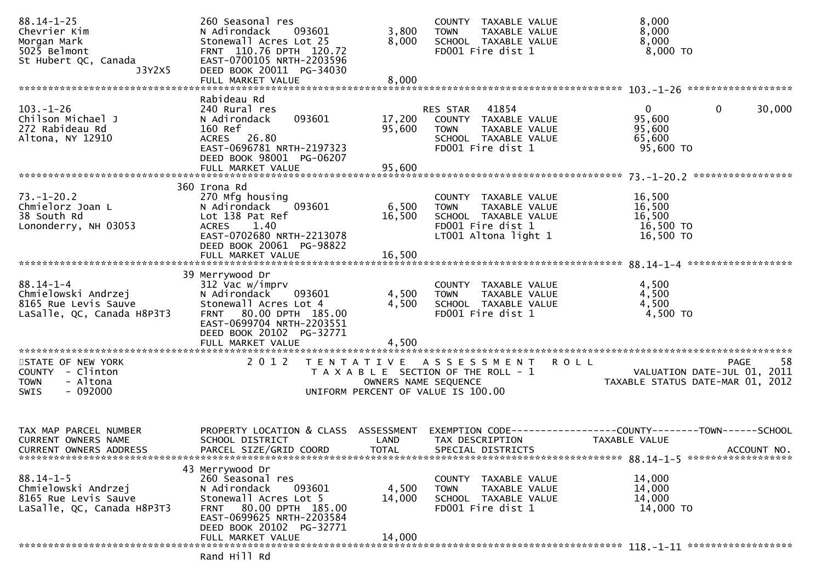| $88.14 - 1 - 25$<br>Chevrier Kim<br>Morgan Mark<br>5025 Belmont<br>St Hubert QC, Canada      | 260 Seasonal res<br>N Adirondack<br>093601<br>Stonewall Acres Lot 25<br>FRNT 110.76 DPTH 120.72<br>EAST-0700105 NRTH-2203596                                               | 3,800<br>8,000            | COUNTY TAXABLE VALUE<br>TAXABLE VALUE<br><b>TOWN</b><br>SCHOOL TAXABLE VALUE<br>FD001 Fire dist 1                         | 8,000<br>8,000<br>8,000<br>8,000 TO                                                  |             |
|----------------------------------------------------------------------------------------------|----------------------------------------------------------------------------------------------------------------------------------------------------------------------------|---------------------------|---------------------------------------------------------------------------------------------------------------------------|--------------------------------------------------------------------------------------|-------------|
| J3Y2X5                                                                                       | DEED BOOK 20011 PG-34030<br>FULL MARKET VALUE                                                                                                                              | 8,000                     |                                                                                                                           |                                                                                      |             |
| $103. - 1 - 26$<br>Chilson Michael J<br>272 Rabideau Rd<br>Altona, NY 12910                  | Rabideau Rd<br>240 Rural res<br>093601<br>N Adirondack<br>160 Ref<br>ACRES 26.80<br>EAST-0696781 NRTH-2197323<br>DEED BOOK 98001 PG-06207                                  | 17,200<br>95,600          | RES STAR 41854<br>COUNTY TAXABLE VALUE<br>TAXABLE VALUE<br><b>TOWN</b><br>SCHOOL TAXABLE VALUE<br>FD001 Fire dist 1       | $\mathbf{0}$<br>$\mathbf 0$<br>95,600<br>95,600<br>65,600<br>95,600 TO               | 30,000      |
|                                                                                              |                                                                                                                                                                            |                           |                                                                                                                           |                                                                                      |             |
| $73. - 1 - 20.2$<br>Chmielorz Joan L<br>38 South Rd<br>Lononderry, NH 03053                  | 360 Irona Rd<br>270 Mfg housing<br>N Adirondack<br>093601<br>Lot 138 Pat Ref<br>ACRES 1.40<br>EAST-0702680 NRTH-2213078<br>DEED BOOK 20061 PG-98822<br>FULL MARKET VALUE   | 6,500<br>16,500<br>16,500 | COUNTY TAXABLE VALUE<br>TAXABLE VALUE<br><b>TOWN</b><br>SCHOOL TAXABLE VALUE<br>FD001 Fire dist 1<br>LT001 Altona light 1 | 16,500<br>16,500<br>16,500<br>16,500 TO<br>16,500 TO                                 |             |
|                                                                                              | 39 Merrywood Dr                                                                                                                                                            |                           |                                                                                                                           |                                                                                      |             |
| $88.14 - 1 - 4$<br>Chmielowski Andrzej<br>8165 Rue Levis Sauve<br>LaSalle, QC, Canada H8P3T3 | 312 Vac w/imprv<br>N Adirondack<br>093601<br>Stonewall Acres Lot 4<br>FRNT 80.00 DPTH 185.00<br>EAST-0699704 NRTH-2203551<br>DEED BOOK 20102 PG-32771<br>FULL MARKET VALUE | 4,500<br>4,500<br>4,500   | COUNTY TAXABLE VALUE<br>TAXABLE VALUE<br><b>TOWN</b><br>SCHOOL TAXABLE VALUE<br>FD001 Fire dist 1                         | 4,500<br>4,500<br>4,500<br>4,500 TO                                                  |             |
| STATE OF NEW YORK<br>COUNTY - Clinton<br>- Altona<br><b>TOWN</b><br>$-092000$<br><b>SWIS</b> | 2 0 1 2                                                                                                                                                                    | OWNERS NAME SEQUENCE      | <b>ROLL</b><br>TENTATIVE ASSESSMENT<br>T A X A B L E SECTION OF THE ROLL - 1<br>UNIFORM PERCENT OF VALUE IS 100.00        | <b>PAGE</b><br>VALUATION DATE-JUL 01, 2011<br>TAXABLE STATUS DATE-MAR 01, 2012       | 58          |
| TAX MAP PARCEL NUMBER<br><b>CURRENT OWNERS NAME</b><br>CURRENT OWNERS ADDRESS                | PROPERTY LOCATION & CLASS ASSESSMENT<br>SCHOOL DISTRICT<br>PARCEL SIZE/GRID COORD                                                                                          | LAND<br><b>TOTAL</b>      | TAX DESCRIPTION<br>SPECIAL DISTRICTS                                                                                      | EXEMPTION        CODE-----------------COUNTY-------TOWN------SCHOOL<br>TAXABLE VALUE | ACCOUNT NO. |
| $88.14 - 1 - 5$<br>Chmielowski Andrzej<br>8165 Rue Levis Sauve<br>LaSalle, QC, Canada H8P3T3 | 43 Merrywood Dr<br>260 Seasonal res<br>093601<br>N Adirondack<br>Stonewall Acres Lot 5<br>FRNT 80.00 DPTH 185.00<br>EAST-0699625 NRTH-2203584<br>DEED BOOK 20102 PG-32771  | 4,500<br>14,000           | COUNTY TAXABLE VALUE<br>TAXABLE VALUE<br><b>TOWN</b><br>SCHOOL TAXABLE VALUE<br>FD001 Fire dist 1                         | 14,000<br>14,000<br>14,000<br>14,000 TO                                              |             |
|                                                                                              | FULL MARKET VALUE<br>Rand Hill Rd                                                                                                                                          | 14,000                    |                                                                                                                           |                                                                                      |             |
|                                                                                              |                                                                                                                                                                            |                           |                                                                                                                           |                                                                                      |             |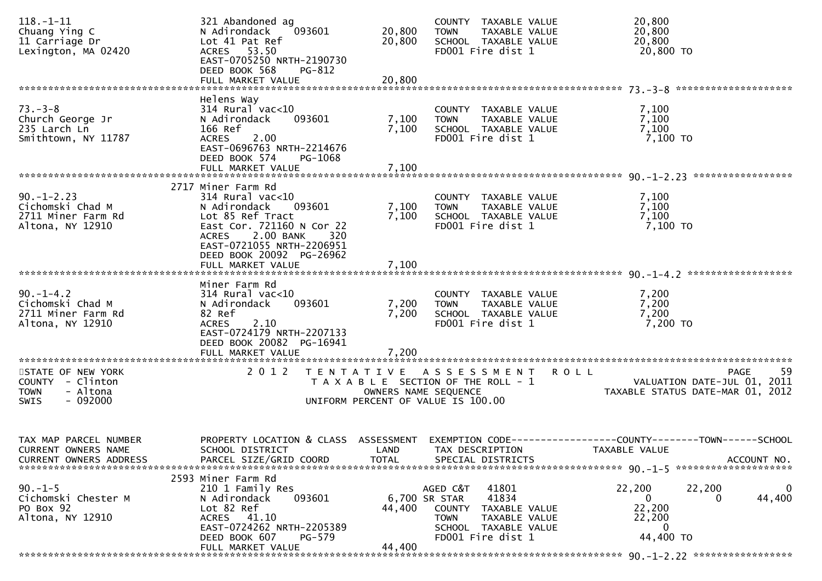| $118. - 1 - 11$<br>Chuang Ying C<br>11 Carriage Dr | 321 Abandoned ag<br>N Adirondack<br>093601<br>Lot 41 Pat Ref        | 20,800<br>20,800     | COUNTY TAXABLE VALUE<br><b>TOWN</b><br>TAXABLE VALUE<br>SCHOOL TAXABLE VALUE | 20,800<br>20,800<br>20,800                                     |
|----------------------------------------------------|---------------------------------------------------------------------|----------------------|------------------------------------------------------------------------------|----------------------------------------------------------------|
| Lexington, MA 02420                                | ACRES 53.50<br>EAST-0705250 NRTH-2190730<br>DEED BOOK 568<br>PG-812 |                      | FD001 Fire dist 1                                                            | 20,800 TO                                                      |
|                                                    | FULL MARKET VALUE                                                   | 20,800               |                                                                              |                                                                |
|                                                    | Helens Way                                                          |                      |                                                                              |                                                                |
| $73. - 3 - 8$                                      | $314$ Rural vac<10                                                  |                      | COUNTY TAXABLE VALUE                                                         | 7,100                                                          |
| Church George Jr<br>235 Larch Ln                   | N Adirondack<br>093601<br>166 Ref                                   | 7,100<br>7,100       | TAXABLE VALUE<br><b>TOWN</b><br>SCHOOL TAXABLE VALUE                         | 7,100<br>7,100                                                 |
| Smithtown, NY 11787                                | <b>ACRES</b><br>2.00                                                |                      | FD001 Fire dist 1                                                            | 7,100 TO                                                       |
|                                                    | EAST-0696763 NRTH-2214676<br>DEED BOOK 574<br>PG-1068               |                      |                                                                              |                                                                |
|                                                    | FULL MARKET VALUE                                                   | 7,100                |                                                                              |                                                                |
|                                                    | 2717 Miner Farm Rd                                                  |                      |                                                                              |                                                                |
| $90. -1 - 2.23$                                    | $314$ Rural vac< $10$                                               |                      | COUNTY TAXABLE VALUE                                                         | 7,100                                                          |
| Cichomski Chad M<br>2711 Miner Farm Rd             | N Adirondack<br>093601<br>Lot 85 Ref Tract                          | 7,100<br>7,100       | TAXABLE VALUE<br><b>TOWN</b><br>SCHOOL TAXABLE VALUE                         | 7,100<br>7,100                                                 |
| Altona, NY 12910                                   | East Cor. 721160 N Cor 22                                           |                      | FD001 Fire dist 1                                                            | 7,100 TO                                                       |
|                                                    | 2.00 BANK<br><b>ACRES</b><br>320                                    |                      |                                                                              |                                                                |
|                                                    | EAST-0721055 NRTH-2206951<br>DEED BOOK 20092 PG-26962               |                      |                                                                              |                                                                |
|                                                    | FULL MARKET VALUE                                                   | 7,100                |                                                                              |                                                                |
|                                                    |                                                                     |                      |                                                                              |                                                                |
|                                                    | Miner Farm Rd<br>$314$ Rural vac<10                                 |                      |                                                                              |                                                                |
| $90. -1 - 4.2$<br>Cichomski Chad M                 | N Adirondack<br>093601                                              | 7,200                | COUNTY TAXABLE VALUE<br><b>TOWN</b><br>TAXABLE VALUE                         | 7,200<br>7,200                                                 |
| 2711 Miner Farm Rd                                 | 82 Ref                                                              | 7,200                | SCHOOL TAXABLE VALUE                                                         | 7,200                                                          |
| Altona, NY 12910                                   | 2.10<br><b>ACRES</b>                                                |                      | FD001 Fire dist 1                                                            | 7,200 TO                                                       |
|                                                    | EAST-0724179 NRTH-2207133<br>DEED BOOK 20082 PG-16941               |                      |                                                                              |                                                                |
|                                                    | FULL MARKET VALUE                                                   | 7,200                |                                                                              |                                                                |
|                                                    |                                                                     |                      |                                                                              |                                                                |
| STATE OF NEW YORK<br>COUNTY - Clinton              | 2 0 1 2                                                             |                      | TENTATIVE ASSESSMENT<br>T A X A B L E SECTION OF THE ROLL - 1                | 59<br><b>ROLL</b><br>PAGE<br>VALUATION DATE-JUL 01, 2011       |
| - Altona<br><b>TOWN</b>                            |                                                                     | OWNERS NAME SEQUENCE |                                                                              | TAXABLE STATUS DATE-MAR 01, 2012                               |
| $-092000$<br><b>SWIS</b>                           |                                                                     |                      | UNIFORM PERCENT OF VALUE IS 100.00                                           |                                                                |
|                                                    |                                                                     |                      |                                                                              |                                                                |
|                                                    |                                                                     |                      |                                                                              |                                                                |
| TAX MAP PARCEL NUMBER<br>CURRENT OWNERS NAME       | PROPERTY LOCATION & CLASS ASSESSMENT<br>SCHOOL DISTRICT             | LAND                 | EXEMPTION CODE-<br>TAX DESCRIPTION                                           | ---------------COUNTY--------TOWN------SCHOOL<br>TAXABLE VALUE |
| <b>CURRENT OWNERS ADDRESS</b>                      | PARCEL SIZE/GRID COORD                                              | <b>TOTAL</b>         | SPECIAL DISTRICTS                                                            | ACCOUNT NO.                                                    |
|                                                    |                                                                     |                      |                                                                              |                                                                |
| $90. -1 - 5$                                       | 2593 Miner Farm Rd<br>210 1 Family Res                              |                      | AGED C&T<br>41801                                                            | 22,200<br>22,200<br>0                                          |
| Cichomski Chester M                                | 093601<br>N Adirondack                                              | 6,700 SR STAR        | 41834                                                                        | 44,400<br>0<br>0                                               |
| PO Box 92                                          | Lot 82 Ref                                                          | 44,400               | <b>COUNTY</b><br>TAXABLE VALUE                                               | 22,200                                                         |
| Altona, NY 12910                                   | ACRES 41.10                                                         |                      | <b>TOWN</b><br>TAXABLE VALUE                                                 | 22,200                                                         |
|                                                    | EAST-0724262 NRTH-2205389<br>DEED BOOK 607<br>$PG-579$              |                      | SCHOOL TAXABLE VALUE<br>FD001 Fire dist 1                                    | 0<br>44,400 TO                                                 |
|                                                    | FULL MARKET VALUE                                                   | 44,400               |                                                                              |                                                                |
| *******************                                |                                                                     |                      |                                                                              |                                                                |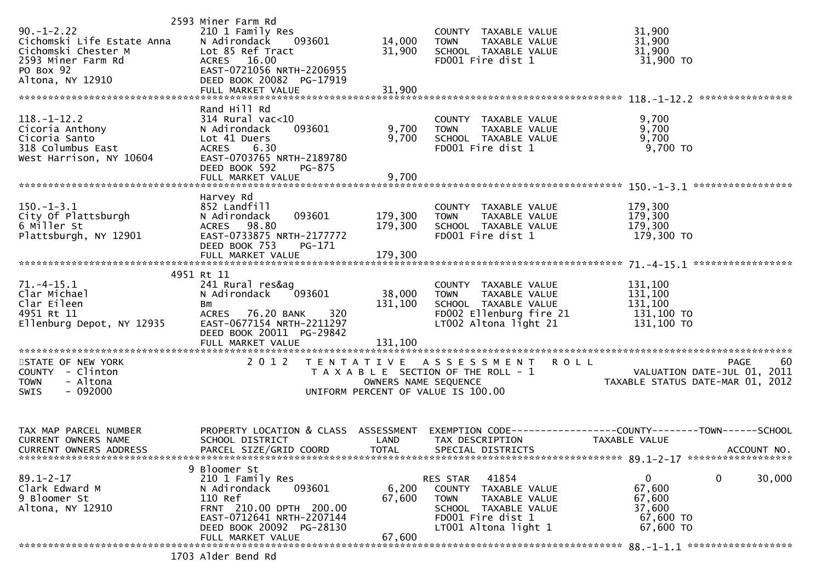| $90. -1 - 2.22$<br>Cichomski Life Estate Anna<br>Cichomski Chester M<br>2593 Miner Farm Rd<br>PO Box 92<br>Altona, NY 12910 | 2593 Miner Farm Rd<br>210 1 Family Res<br>N Adirondack<br>093601<br>Lot 85 Ref Tract<br>ACRES 16.00<br>EAST-0721056 NRTH-2206955<br>DEED BOOK 20082 PG-17919<br>FULL MARKET VALUE                    | 14,000<br>31,900<br>31,900   | COUNTY TAXABLE VALUE<br><b>TOWN</b><br>TAXABLE VALUE<br>SCHOOL TAXABLE VALUE<br>FD001 Fire dist 1                                              | 31,900<br>31,900<br>31,900<br>31,900 TO                                                        |
|-----------------------------------------------------------------------------------------------------------------------------|------------------------------------------------------------------------------------------------------------------------------------------------------------------------------------------------------|------------------------------|------------------------------------------------------------------------------------------------------------------------------------------------|------------------------------------------------------------------------------------------------|
| $118. - 1 - 12.2$<br>Cicoria Anthony<br>Cicoria Santo<br>318 Columbus East<br>West Harrison, NY 10604                       | Rand Hill Rd<br>$314$ Rural vac<10<br>093601<br>N Adirondack<br>Lot 41 Duers<br><b>ACRES</b><br>6.30<br>EAST-0703765 NRTH-2189780<br>DEED BOOK 592<br>PG-875                                         | 9,700<br>9,700               | COUNTY TAXABLE VALUE<br>TAXABLE VALUE<br><b>TOWN</b><br>SCHOOL TAXABLE VALUE<br>FD001 Fire dist 1                                              | 9,700<br>9,700<br>9,700<br>$9,700$ TO                                                          |
|                                                                                                                             |                                                                                                                                                                                                      |                              |                                                                                                                                                |                                                                                                |
| $150.-1-3.1$<br>City Of Plattsburgh<br>6 Miller St<br>Plattsburgh, NY 12901                                                 | Harvey Rd<br>852 Landfill<br>N Adirondack<br>093601<br>ACRES 98.80<br>EAST-0733875 NRTH-2177772<br>DEED BOOK 753<br>PG-171                                                                           | 179,300<br>179,300           | COUNTY TAXABLE VALUE<br>TAXABLE VALUE<br><b>TOWN</b><br>SCHOOL TAXABLE VALUE<br>FD001 Fire dist 1                                              | 179,300<br>179,300<br>179,300<br>179,300 то                                                    |
|                                                                                                                             | FULL MARKET VALUE                                                                                                                                                                                    | 179,300                      |                                                                                                                                                |                                                                                                |
|                                                                                                                             | 4951 Rt 11                                                                                                                                                                                           |                              |                                                                                                                                                |                                                                                                |
| $71.-4-15.1$<br>Clar Michael<br>Clar Eileen<br>4951 Rt 11<br>Ellenburg Depot, NY 12935                                      | 241 Rural res&ag<br>093601<br>N Adirondack<br>Bm<br>320<br>ACRES 76.20 BANK<br>EAST-0677154 NRTH-2211297<br>DEED BOOK 20011 PG-29842<br>FULL MARKET VALUE                                            | 38,000<br>131,100<br>131,100 | COUNTY TAXABLE VALUE<br>TAXABLE VALUE<br><b>TOWN</b><br>SCHOOL TAXABLE VALUE<br>FD002 Ellenburg fire 21<br>LT002 Altona light 21               | 131,100<br>131,100<br>131,100<br>131,100 TO<br>131,100 TO                                      |
| STATE OF NEW YORK                                                                                                           | 2 0 1 2                                                                                                                                                                                              |                              | TENTATIVE ASSESSMENT ROLL                                                                                                                      | 60<br>PAGE                                                                                     |
| COUNTY - Clinton<br><b>TOWN</b><br>- Altona<br>$-092000$<br>SWIS                                                            |                                                                                                                                                                                                      |                              | T A X A B L E SECTION OF THE ROLL - 1<br>OWNERS NAME SEQUENCE TAXA<br>UNIFORM PERCENT OF VALUE IS 100.00                                       | VALUATION DATE-JUL 01, 2011<br>TAXABLE STATUS DATE-MAR 01, 2012                                |
| TAX MAP PARCEL NUMBER<br>CURRENT OWNERS NAME<br>CURRENT OWNERS ADDRESS                                                      | PROPERTY LOCATION & CLASS ASSESSMENT<br>SCHOOL DISTRICT<br>PARCEL SIZE/GRID COORD                                                                                                                    | LAND<br><b>TOTAL</b>         | TAX DESCRIPTION<br>SPECIAL DISTRICTS                                                                                                           | EXEMPTION CODE------------------COUNTY--------TOWN------SCHOOL<br>TAXABLE VALUE<br>ACCOUNT NO. |
| $89.1 - 2 - 17$<br>Clark Edward M<br>9 Bloomer St<br>Altona, NY 12910                                                       | 9 Bloomer St<br>210 1 Family Res<br>093601<br>N Adirondack<br>110 Ref<br>FRNT 210.00 DPTH 200.00<br>EAST-0712641 NRTH-2207144<br>DEED BOOK 20092 PG-28130<br>FULL MARKET VALUE<br>1703 Alder Bend Rd | 6,200<br>67,600<br>67,600    | 41854<br>RES STAR<br>COUNTY TAXABLE VALUE<br><b>TOWN</b><br>TAXABLE VALUE<br>SCHOOL TAXABLE VALUE<br>FD001 Fire dist 1<br>LT001 Altona light 1 | $\mathbf 0$<br>$\mathbf{0}$<br>30,000<br>67,600<br>67,600<br>37,600<br>67,600 TO<br>67,600 TO  |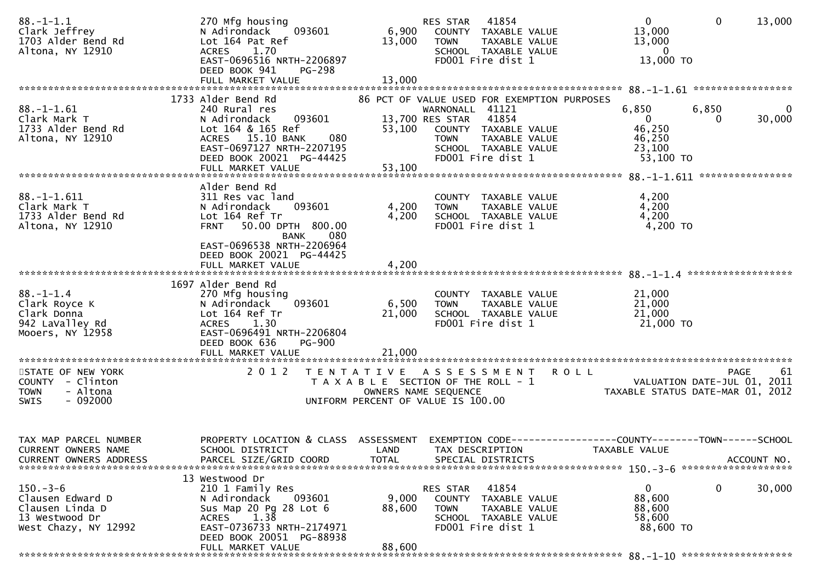| $88. - 1 - 1.1$<br>Clark Jeffrey<br>1703 Alder Bend Rd<br>Altona, NY 12910                     | 270 Mfg housing<br>093601<br>N Adirondack<br>Lot 164 Pat Ref<br>1.70<br><b>ACRES</b><br>EAST-0696516 NRTH-2206897<br>DEED BOOK 941<br><b>PG-298</b>                                           | 6,900<br>13,000                                                                                  | RES STAR<br><b>TOWN</b>                           | 41854<br>COUNTY TAXABLE VALUE<br>TAXABLE VALUE<br>SCHOOL TAXABLE VALUE<br>FD001 Fire dist 1                                                | $\overline{0}$<br>13,000<br>13,000<br>$\Omega$<br>13,000 TO        | $\mathbf 0$                                | 13,000      |
|------------------------------------------------------------------------------------------------|-----------------------------------------------------------------------------------------------------------------------------------------------------------------------------------------------|--------------------------------------------------------------------------------------------------|---------------------------------------------------|--------------------------------------------------------------------------------------------------------------------------------------------|--------------------------------------------------------------------|--------------------------------------------|-------------|
|                                                                                                |                                                                                                                                                                                               |                                                                                                  |                                                   |                                                                                                                                            |                                                                    |                                            |             |
| $88. - 1 - 1.61$<br>Clark Mark T<br>1733 Alder Bend Rd<br>Altona, NY 12910                     | 1733 Alder Bend Rd<br>240 Rural res<br>093601<br>N Adirondack<br>Lot 164 & 165 Ref<br>ACRES 15.10 BANK<br>080<br>EAST-0697127 NRTH-2207195<br>DEED BOOK 20021 PG-44425<br>FULL MARKET VALUE   | 53,100<br>53,100                                                                                 | WARNONALL 41121<br>13,700 RES STAR<br><b>TOWN</b> | 86 PCT OF VALUE USED FOR EXEMPTION PURPOSES<br>41854<br>COUNTY TAXABLE VALUE<br>TAXABLE VALUE<br>SCHOOL TAXABLE VALUE<br>FD001 Fire dist 1 | 6,850<br>$\overline{0}$<br>46,250<br>46,250<br>23,100<br>53,100 TO | 6,850                                      | 0<br>30,000 |
|                                                                                                |                                                                                                                                                                                               |                                                                                                  |                                                   |                                                                                                                                            |                                                                    |                                            |             |
| $88. - 1 - 1.611$<br>Clark Mark T<br>1733 Alder Bend Rd<br>Altona, NY 12910                    | Alder Bend Rd<br>311 Res vac land<br>093601<br>N Adirondack<br>Lot 164 Ref Tr<br>50.00 DPTH 800.00<br><b>FRNT</b><br><b>BANK</b><br>080<br>EAST-0696538 NRTH-2206964                          | 4,200<br>4,200                                                                                   | TOWN                                              | COUNTY TAXABLE VALUE<br>TAXABLE VALUE<br>SCHOOL TAXABLE VALUE<br>FD001 Fire dist 1                                                         | 4,200<br>4,200<br>4,200<br>4,200 TO                                |                                            |             |
|                                                                                                | DEED BOOK 20021 PG-44425<br>FULL MARKET VALUE                                                                                                                                                 | 4,200                                                                                            |                                                   |                                                                                                                                            |                                                                    |                                            |             |
|                                                                                                |                                                                                                                                                                                               |                                                                                                  |                                                   |                                                                                                                                            |                                                                    |                                            |             |
| $88. - 1 - 1.4$<br>Clark Royce K<br>Clark Donna<br>942 LaValley Rd<br>Mooers, NY 12958         | 1697 Alder Bend Rd<br>270 Mfg housing<br>093601<br>N Adirondack<br>Lot 164 Ref Tr<br><b>ACRES</b><br>1.30<br>EAST-0696491 NRTH-2206804<br>DEED BOOK 636<br><b>PG-900</b><br>FULL MARKET VALUE | 6,500<br>21,000<br>21,000                                                                        | <b>TOWN</b>                                       | COUNTY TAXABLE VALUE<br>TAXABLE VALUE<br>SCHOOL TAXABLE VALUE<br>FD001 Fire dist 1                                                         | 21,000<br>21,000<br>21,000<br>21,000 TO                            |                                            |             |
| STATE OF NEW YORK<br>COUNTY - Clinton<br>- Altona<br><b>TOWN</b><br>$-092000$<br><b>SWIS</b>   | 2 0 1 2                                                                                                                                                                                       | T E N T A T I V E<br>T A X A B L E SECTION OF THE ROLL - 1<br>UNIFORM PERCENT OF VALUE IS 100.00 | A S S E S S M E N T<br>OWNERS NAME SEQUENCE       |                                                                                                                                            | <b>ROLL</b><br>TAXABLE STATUS DATE-MAR 01, 2012                    | <b>PAGE</b><br>VALUATION DATE-JUL 01, 2011 | -61         |
| TAX MAP PARCEL NUMBER<br>CURRENT OWNERS NAME<br><b>CURRENT OWNERS ADDRESS</b>                  | PROPERTY LOCATION & CLASS<br>SCHOOL DISTRICT<br>PARCEL SIZE/GRID COORD                                                                                                                        | ASSESSMENT<br>LAND<br><b>TOTAL</b>                                                               | EXEMPTION CODE--<br>TAX DESCRIPTION               | SPECIAL DISTRICTS                                                                                                                          | ---------------COUNTY--------TOWN------SCHOOL<br>TAXABLE VALUE     |                                            | ACCOUNT NO. |
| $150 - 3 - 6$<br>Clausen Edward D<br>Clausen Linda D<br>13 Westwood Dr<br>West Chazy, NY 12992 | 13 Westwood Dr<br>210 1 Family Res<br>093601<br>N Adirondack<br>Sus Map 20 Pg 28 Lot 6<br>ACRES 1.38<br>EAST-0736733 NRTH-2174971<br>DEED BOOK 20051 PG-88938<br>FULL MARKET VALUE            | 9,000<br>88,600<br>88,600                                                                        | RES STAR<br>COUNTY<br><b>TOWN</b>                 | 41854<br>TAXABLE VALUE<br>TAXABLE VALUE<br>SCHOOL TAXABLE VALUE<br>FD001 Fire dist 1                                                       | 0<br>88,600<br>88,600<br>58,600<br>88,600 TO                       | 0                                          | 30,000      |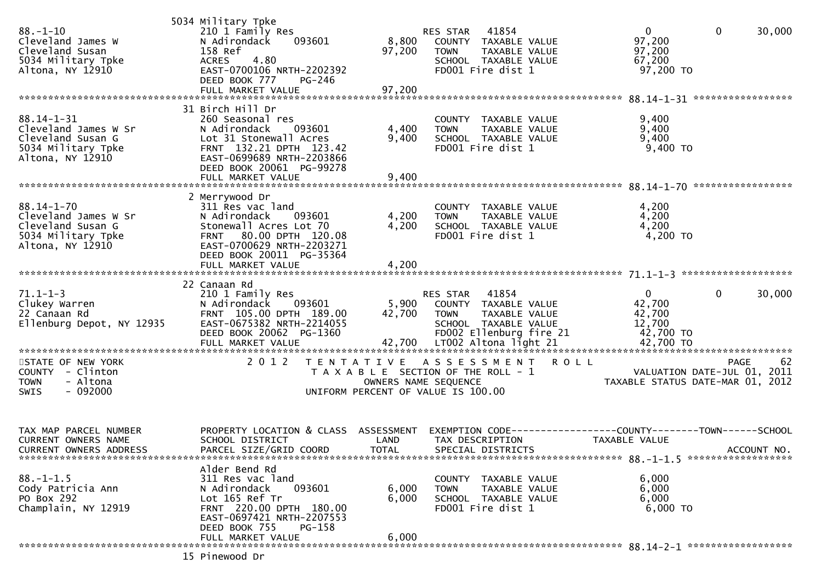| $88. - 1 - 10$<br>Cleveland James W<br>Cleveland Susan<br>5034 Military Tpke<br>Altona, NY 12910        | 5034 Military Tpke<br>210 1 Family Res<br>093601<br>N Adirondack<br>158 Ref<br>4.80<br><b>ACRES</b><br>EAST-0700106 NRTH-2202392<br>DEED BOOK 777<br>PG-246<br>FULL MARKET VALUE                  | 8,800<br>97,200<br>97,200                                                                           | RES STAR 41854<br><b>TOWN</b> | COUNTY TAXABLE VALUE<br>TAXABLE VALUE<br>SCHOOL TAXABLE VALUE<br>FD001 Fire dist 1                      | $\mathbf 0$<br>97,200<br>97,200<br>67,200<br>97,200 TO                         | $\mathbf 0$ | 30,000      |
|---------------------------------------------------------------------------------------------------------|---------------------------------------------------------------------------------------------------------------------------------------------------------------------------------------------------|-----------------------------------------------------------------------------------------------------|-------------------------------|---------------------------------------------------------------------------------------------------------|--------------------------------------------------------------------------------|-------------|-------------|
| $88.14 - 1 - 31$<br>Cleveland James W Sr<br>Cleveland Susan G<br>5034 Military Tpke<br>Altona, NY 12910 | 31 Birch Hill Dr<br>260 Seasonal res<br>N Adirondack<br>093601<br>Lot 31 Stonewall Acres<br>FRNT 132.21 DPTH 123.42<br>EAST-0699689 NRTH-2203866<br>DEED BOOK 20061 PG-99278<br>FULL MARKET VALUE | 4,400<br>9,400<br>9,400                                                                             | <b>TOWN</b>                   | COUNTY TAXABLE VALUE<br>TAXABLE VALUE<br>SCHOOL TAXABLE VALUE<br>FD001 Fire dist 1                      | 9,400<br>9,400<br>9,400<br>9,400 TO                                            |             |             |
| $88.14 - 1 - 70$<br>Cleveland James W Sr<br>Cleveland Susan G<br>5034 Military Tpke<br>Altona, NY 12910 | 2 Merrywood Dr<br>311 Res vac land<br>N Adirondack<br>093601<br>Stonewall Acres Lot 70<br>FRNT 80.00 DPTH 120.08<br>EAST-0700629 NRTH-2203271<br>DEED BOOK 20011 PG-35364<br>FULL MARKET VALUE    | 4,200<br>4,200<br>4,200                                                                             | <b>TOWN</b>                   | COUNTY TAXABLE VALUE<br>TAXABLE VALUE<br>SCHOOL TAXABLE VALUE<br>FD001 Fire dist 1                      | 4,200<br>4,200<br>4,200<br>$4,200$ TO                                          |             |             |
| $71.1 - 1 - 3$<br>Clukey Warren<br>22 Canaan Rd<br>Ellenburg Depot, NY 12935                            | 22 Canaan Rd<br>210 1 Family Res<br>N Adirondack<br>093601<br>FRNT 105.00 DPTH 189.00<br>EAST-0675382 NRTH-2214055<br>DEED BOOK 20062 PG-1360<br>FULL MARKET VALUE                                | 42,700                                                                                              | RES STAR<br><b>TOWN</b>       | 41854<br>5,900 COUNTY TAXABLE VALUE<br>TAXABLE VALUE<br>SCHOOL TAXABLE VALUE<br>FD002 Ellenburg fire 21 | $\mathbf{0}$<br>42,700<br>42,700<br>12,700<br>42,700 TO                        | 0           | 30,000      |
| STATE OF NEW YORK<br>COUNTY - Clinton<br>- Altona<br><b>TOWN</b><br>$-092000$<br>SWIS                   | 2 0 1 2                                                                                                                                                                                           | TENTATIVE ASSESSMENT<br>T A X A B L E SECTION OF THE ROLL - 1<br>UNIFORM PERCENT OF VALUE IS 100.00 | OWNERS NAME SEQUENCE          |                                                                                                         | <b>ROLL</b><br>VALUATION DATE-JUL 01, 2011<br>TAXABLE STATUS DATE-MAR 01, 2012 | <b>PAGE</b> | 62          |
| TAX MAP PARCEL NUMBER<br>CURRENT OWNERS NAME<br>CURRENT OWNERS ADDRESS                                  | PROPERTY LOCATION & CLASS ASSESSMENT<br>SCHOOL DISTRICT<br>PARCEL SIZE/GRID COORD                                                                                                                 | LAND<br>TOTAL                                                                                       | TAX DESCRIPTION               | SPECIAL DISTRICTS                                                                                       | EXEMPTION CODE-----------------COUNTY--------TOWN------SCHOOL<br>TAXABLE VALUE |             | ACCOUNT NO. |
| $88. - 1 - 1.5$<br>Cody Patricia Ann<br>PO Box 292<br>Champlain, NY 12919                               | Alder Bend Rd<br>311 Res vac land<br>093601<br>N Adirondack<br>Lot 165 Ref Tr<br>FRNT 220.00 DPTH 180.00<br>EAST-0697421 NRTH-2207553<br>DEED BOOK 755<br>PG-158                                  | 6,000<br>6,000                                                                                      | <b>TOWN</b>                   | COUNTY TAXABLE VALUE<br>TAXABLE VALUE<br>SCHOOL TAXABLE VALUE<br>FD001 Fire dist 1                      | 6,000<br>6,000<br>6,000<br>$6,000$ TO                                          |             |             |
|                                                                                                         | FULL MARKET VALUE<br>15 Pinewood Dr                                                                                                                                                               | 6,000                                                                                               |                               |                                                                                                         |                                                                                |             |             |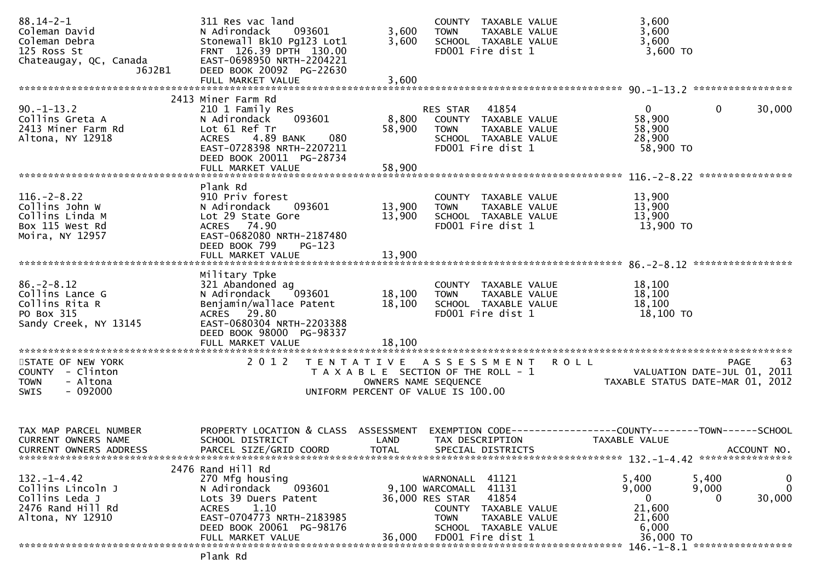| $88.14 - 2 - 1$<br>Coleman David<br>Coleman Debra<br>125 Ross St<br>Chateaugay, QC, Canada       | 311 Res vac land<br>093601<br>N Adirondack<br>Stonewall Bk10 Pg123 Lot1<br>FRNT 126.39 DPTH 130.00<br>EAST-0698950 NRTH-2204221                                                              | 3,600<br>3,600             | COUNTY TAXABLE VALUE<br>TAXABLE VALUE<br>TOWN<br>SCHOOL TAXABLE VALUE<br>FD001 Fire dist 1                                                                                |             | 3,600<br>3,600<br>3,600<br>3,600 TO                                  |                                                                                      |
|--------------------------------------------------------------------------------------------------|----------------------------------------------------------------------------------------------------------------------------------------------------------------------------------------------|----------------------------|---------------------------------------------------------------------------------------------------------------------------------------------------------------------------|-------------|----------------------------------------------------------------------|--------------------------------------------------------------------------------------|
| J6J2B1                                                                                           | DEED BOOK 20092 PG-22630<br>FULL MARKET VALUE                                                                                                                                                | 3,600                      |                                                                                                                                                                           |             |                                                                      |                                                                                      |
|                                                                                                  | 2413 Miner Farm Rd                                                                                                                                                                           |                            |                                                                                                                                                                           |             |                                                                      |                                                                                      |
| $90. -1 - 13.2$<br>Collins Greta A<br>2413 Miner Farm Rd<br>Altona, NY 12918                     | 210 1 Family Res<br>093601<br>N Adirondack<br>Lot 61 Ref Tr<br><b>ACRES</b><br>4.89 BANK<br>080<br>EAST-0728398 NRTH-2207211<br>DEED BOOK 20011 PG-28734                                     | 8,800<br>58,900            | 41854<br>RES STAR<br>COUNTY TAXABLE VALUE<br><b>TOWN</b><br>TAXABLE VALUE<br>SCHOOL TAXABLE VALUE<br>FD001 Fire dist 1                                                    |             | $\mathbf{0}$<br>58,900<br>58,900<br>28,900<br>58,900 TO              | $\mathbf 0$<br>30,000                                                                |
|                                                                                                  | FULL MARKET VALUE                                                                                                                                                                            | 58,900                     |                                                                                                                                                                           |             |                                                                      |                                                                                      |
| $116. - 2 - 8.22$<br>Collins John W<br>Collins Linda M<br>Box 115 West Rd<br>Moira, NY 12957     | Plank Rd<br>910 Priv forest<br>093601<br>N Adirondack<br>Lot 29 State Gore<br>ACRES 74.90<br>EAST-0682080 NRTH-2187480<br>DEED BOOK 799<br>$PG-123$                                          | 13,900<br>13,900           | COUNTY TAXABLE VALUE<br>TAXABLE VALUE<br>TOWN<br>SCHOOL TAXABLE VALUE<br>FD001 Fire dist 1                                                                                |             | 13,900<br>13,900<br>13,900<br>13,900 TO                              |                                                                                      |
|                                                                                                  | FULL MARKET VALUE                                                                                                                                                                            | 13,900                     |                                                                                                                                                                           |             |                                                                      |                                                                                      |
| $86. - 2 - 8.12$<br>Collins Lance G<br>Collins Rita R<br>PO Box 315<br>Sandy Creek, NY 13145     | Military Tpke<br>321 Abandoned ag<br>N Adirondack<br>093601<br>Benjamin/wallace Patent<br>ACRES 29.80<br>EAST-0680304 NRTH-2203388<br>DEED BOOK 98000 PG-98337<br>FULL MARKET VALUE          | 18,100<br>18,100<br>18,100 | COUNTY TAXABLE VALUE<br><b>TOWN</b><br>TAXABLE VALUE<br>SCHOOL TAXABLE VALUE<br>FD001 Fire dist 1                                                                         |             | 18,100<br>18,100<br>18,100<br>18,100 TO                              |                                                                                      |
| STATE OF NEW YORK<br>COUNTY - Clinton<br>- Altona<br><b>TOWN</b><br>$-092000$<br><b>SWIS</b>     | 2 0 1 2                                                                                                                                                                                      | OWNERS NAME SEQUENCE       | TENTATIVE ASSESSMENT<br>T A X A B L E SECTION OF THE ROLL - 1<br>UNIFORM PERCENT OF VALUE IS 100.00                                                                       | <b>ROLL</b> |                                                                      | 63<br><b>PAGE</b><br>VALUATION DATE-JUL 01, 2011<br>TAXABLE STATUS DATE-MAR 01, 2012 |
| TAX MAP PARCEL NUMBER<br>CURRENT OWNERS NAME<br><b>CURRENT OWNERS ADDRESS</b>                    | PROPERTY LOCATION & CLASS ASSESSMENT<br>SCHOOL DISTRICT<br>PARCEL SIZE/GRID COORD                                                                                                            | LAND<br><b>TOTAL</b>       | EXEMPTION CODE-----------------COUNTY-------TOWN------SCHOOL<br>TAX DESCRIPTION<br>SPECIAL DISTRICTS                                                                      |             | TAXABLE VALUE                                                        | ACCOUNT NO.<br>132. -1-4. 42 *****************                                       |
| $132 - 1 - 4.42$<br>Collins Lincoln J<br>Collins Leda J<br>2476 Rand Hill Rd<br>Altona, NY 12910 | 2476 Rand Hill Rd<br>270 Mfg housing<br>N Adirondack<br>093601<br>Lots 39 Duers Patent<br>1.10<br><b>ACRES</b><br>EAST-0704773 NRTH-2183985<br>DEED BOOK 20061 PG-98176<br>FULL MARKET VALUE | 36.000                     | WARNONALL 41121<br>9,100 WARCOMALL 41131<br>36,000 RES STAR<br>41854<br>COUNTY TAXABLE VALUE<br><b>TOWN</b><br>TAXABLE VALUE<br>SCHOOL TAXABLE VALUE<br>FD001 Fire dist 1 |             | 5,400<br>9,000<br>$\Omega$<br>21,600<br>21,600<br>6,000<br>36,000 TO | $\mathbf 0$<br>5,400<br>$\mathbf 0$<br>9,000<br>30,000<br>0                          |
|                                                                                                  | Plank Rd                                                                                                                                                                                     |                            |                                                                                                                                                                           |             |                                                                      |                                                                                      |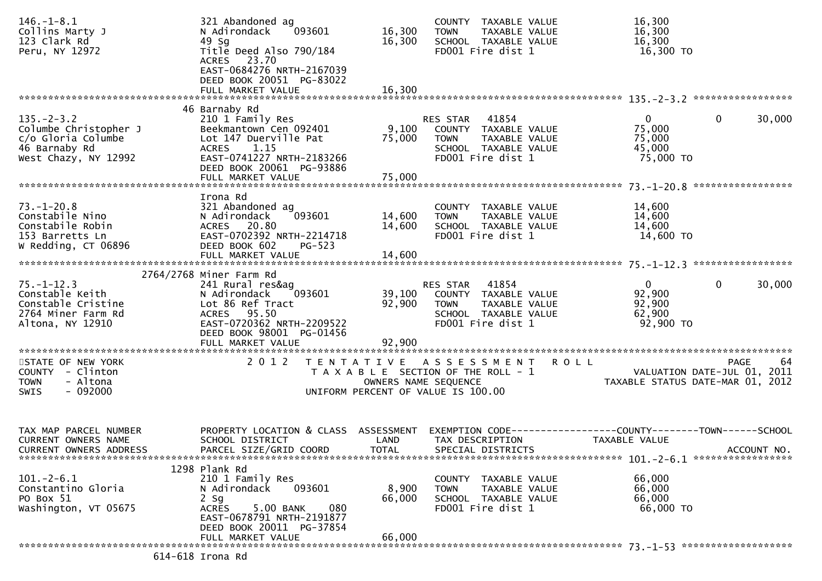| $146. - 1 - 8.1$<br>Collins Marty J<br>123 Clark Rd<br>Peru, NY 12972                                    | 321 Abandoned ag<br>093601<br>N Adirondack<br>49 Sg<br>Title Deed Also 790/184<br>ACRES 23.70<br>EAST-0684276 NRTH-2167039<br>DEED BOOK 20051 PG-83022                                  | 16,300<br>16,300           | COUNTY TAXABLE VALUE<br><b>TOWN</b><br>TAXABLE VALUE<br>SCHOOL TAXABLE VALUE<br>FD001 Fire dist 1                          |             | 16,300<br>16,300<br>16,300<br>16,300 TO                                              |             |
|----------------------------------------------------------------------------------------------------------|-----------------------------------------------------------------------------------------------------------------------------------------------------------------------------------------|----------------------------|----------------------------------------------------------------------------------------------------------------------------|-------------|--------------------------------------------------------------------------------------|-------------|
|                                                                                                          | FULL MARKET VALUE                                                                                                                                                                       | 16,300                     |                                                                                                                            |             |                                                                                      |             |
| $135. - 2 - 3.2$<br>Columbe Christopher J<br>c/o Gloria Columbe<br>46 Barnaby Rd<br>West Chazy, NY 12992 | 46 Barnaby Rd<br>210 1 Family Res<br>Beekmantown Cen 092401<br>Lot 147 Duerville Pat<br>ACRES 1.15<br>EAST-0741227 NRTH-2183266<br>DEED BOOK 20061 PG-93886<br>FULL MARKET VALUE        | 9,100<br>75,000<br>75,000  | 41854<br>RES STAR<br>COUNTY TAXABLE VALUE<br><b>TOWN</b><br>TAXABLE VALUE<br>SCHOOL TAXABLE VALUE<br>FD001 Fire dist 1     |             | $\mathbf{0}$<br>$\mathbf{0}$<br>75,000<br>75,000<br>45,000<br>75,000 TO              | 30,000      |
|                                                                                                          | Irona Rd                                                                                                                                                                                |                            |                                                                                                                            |             |                                                                                      |             |
| $73. - 1 - 20.8$<br>Constabile Nino<br>Constabile Robin<br>153 Barretts Ln<br>W Redding, CT 06896        | 321 Abandoned ag<br>093601<br>N Adirondack<br>ACRES 20.80<br>EAST-0702392 NRTH-2214718<br>DEED BOOK 602<br>$PG-523$                                                                     | 14,600<br>14,600           | COUNTY TAXABLE VALUE<br>TAXABLE VALUE<br><b>TOWN</b><br>SCHOOL TAXABLE VALUE<br>FD001 Fire dist 1                          |             | 14,600<br>14,600<br>14,600<br>14,600 TO                                              |             |
|                                                                                                          | FULL MARKET VALUE                                                                                                                                                                       | 14,600                     |                                                                                                                            |             |                                                                                      |             |
| $75. - 1 - 12.3$<br>Constable Keith<br>Constable Cristine<br>2764 Miner Farm Rd<br>Altona, NY 12910      | 2764/2768 Miner Farm Rd<br>241 Rural res&ag<br>N Adirondack<br>093601<br>Lot 86 Ref Tract<br>ACRES 95.50<br>EAST-0720362 NRTH-2209522<br>DEED BOOK 98001 PG-01456<br>FULL MARKET VALUE  | 39,100<br>92,900<br>92,900 | RES STAR 41854<br>COUNTY TAXABLE VALUE<br>TAXABLE VALUE<br><b>TOWN</b><br>SCHOOL TAXABLE VALUE<br>FD001 Fire dist 1        |             | $\mathbf 0$<br>$\mathbf{0}$<br>92,900<br>92,900<br>62,900<br>92,900 TO               | 30,000      |
| STATE OF NEW YORK<br>COUNTY - Clinton<br><b>TOWN</b><br>- Altona<br>$-092000$<br>SWIS                    | 2 0 1 2<br>T E N T A T I V E                                                                                                                                                            |                            | A S S E S S M E N T<br>T A X A B L E SECTION OF THE ROLL - 1<br>OWNERS NAME SEQUENCE<br>UNIFORM PERCENT OF VALUE IS 100.00 | <b>ROLL</b> | PAGE<br>VALUATION DATE-JUL 01, 2011<br>TAXABLE STATUS DATE-MAR 01, 2012              | 64          |
| TAX MAP PARCEL NUMBER<br><b>CURRENT OWNERS NAME</b><br>CURRENT OWNERS ADDRESS                            | PROPERTY LOCATION & CLASS ASSESSMENT<br>SCHOOL DISTRICT<br>PARCEL SIZE/GRID COORD                                                                                                       | LAND<br><b>TOTAL</b>       | TAX DESCRIPTION<br>SPECIAL DISTRICTS                                                                                       |             | EXEMPTION        CODE-----------------COUNTY-------TOWN------SCHOOL<br>TAXABLE VALUE | ACCOUNT NO. |
| $101. - 2 - 6.1$<br>Constantino Gloria<br>PO Box 51<br>Washington, VT 05675                              | 1298 Plank Rd<br>210 1 Family Res<br>093601<br>N Adirondack<br>$2$ Sg<br>5.00 BANK<br>080<br><b>ACRES</b><br>EAST-0678791 NRTH-2191877<br>DEED BOOK 20011 PG-37854<br>FULL MARKET VALUE | 8,900<br>66,000<br>66,000  | COUNTY TAXABLE VALUE<br><b>TOWN</b><br>TAXABLE VALUE<br>SCHOOL TAXABLE VALUE<br>FD001 Fire dist 1                          |             | 66,000<br>66,000<br>66,000<br>66,000 TO                                              |             |
|                                                                                                          | 614-618 Irona Rd                                                                                                                                                                        |                            |                                                                                                                            |             |                                                                                      |             |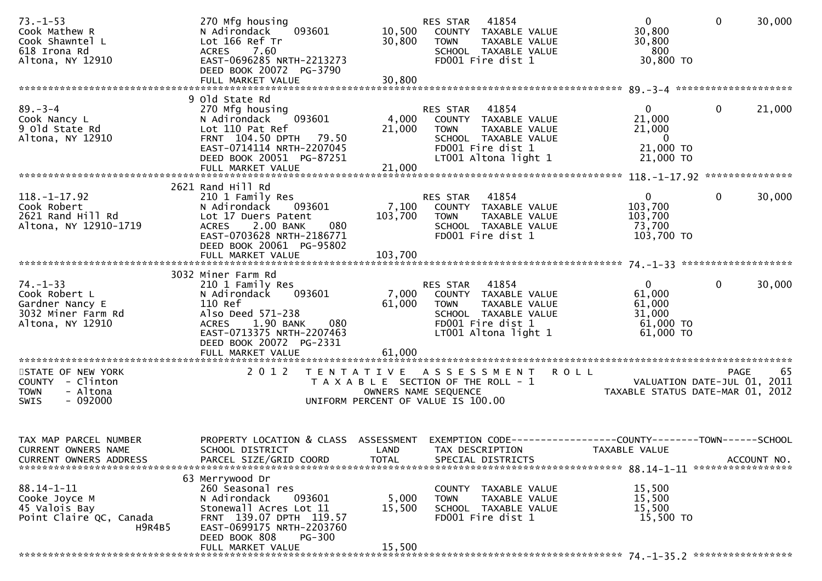| $73. - 1 - 53$<br>Cook Mathew R<br>Cook Shawntel L<br>618 Irona Rd<br>Altona, NY 12910       | 270 Mfg housing<br>093601<br>N Adirondack<br>Lot 166 Ref Tr<br>7.60<br><b>ACRES</b><br>EAST-0696285 NRTH-2213273<br>DEED BOOK 20072 PG-3790<br>FULL MARKET VALUE                                                  | 10,500<br>30,800<br>30,800 | 41854<br>RES STAR<br>COUNTY TAXABLE VALUE<br><b>TOWN</b><br>TAXABLE VALUE<br>SCHOOL TAXABLE VALUE<br>FD001 Fire dist 1                         | $\overline{0}$<br>30,800<br>30,800<br>- 800<br>30,800 TO                     | $\mathbf 0$<br>30,000                             |
|----------------------------------------------------------------------------------------------|-------------------------------------------------------------------------------------------------------------------------------------------------------------------------------------------------------------------|----------------------------|------------------------------------------------------------------------------------------------------------------------------------------------|------------------------------------------------------------------------------|---------------------------------------------------|
|                                                                                              | 9 old State Rd                                                                                                                                                                                                    |                            |                                                                                                                                                |                                                                              |                                                   |
| $89 - 3 - 4$<br>Cook Nancy L<br>9 old State Rd<br>Altona, NY 12910                           | 270 Mfg housing<br>093601<br>N Adirondack<br>Lot 110 Pat Ref<br>FRNT 104.50 DPTH 79.50<br>EAST-0714114 NRTH-2207045<br>DEED BOOK 20051 PG-87251<br>FULL MARKET VALUE                                              | 4,000<br>21,000<br>21,000  | RES STAR<br>41854<br>COUNTY TAXABLE VALUE<br>TAXABLE VALUE<br><b>TOWN</b><br>SCHOOL TAXABLE VALUE<br>FD001 Fire dist 1<br>LT001 Altona light 1 | $\mathbf{0}$<br>21,000<br>21,000<br>$\overline{0}$<br>21,000 TO<br>21,000 TO | $\mathbf 0$<br>21,000                             |
|                                                                                              |                                                                                                                                                                                                                   |                            |                                                                                                                                                |                                                                              |                                                   |
| $118. - 1 - 17.92$<br>Cook Robert<br>2621 Rand Hill Rd<br>Altona, NY 12910-1719              | 2621 Rand Hill Rd<br>210 1 Family Res<br>N Adirondack<br>093601<br>Lot 17 Duers Patent<br>2.00 BANK<br>080<br><b>ACRES</b><br>EAST-0703628 NRTH-2186771<br>DEED BOOK 20061 PG-95802                               | 7,100<br>103,700           | 41854<br>RES STAR<br>COUNTY TAXABLE VALUE<br>TAXABLE VALUE<br><b>TOWN</b><br>SCHOOL TAXABLE VALUE<br>FD001 Fire dist 1                         | $\mathbf{0}$<br>103,700<br>103,700<br>73,700<br>103,700 TO                   | $\mathbf{0}$<br>30,000                            |
|                                                                                              |                                                                                                                                                                                                                   |                            |                                                                                                                                                |                                                                              |                                                   |
| $74. - 1 - 33$<br>Cook Robert L<br>Gardner Nancy E<br>3032 Miner Farm Rd<br>Altona, NY 12910 | 3032 Miner Farm Rd<br>210 1 Family Res<br>093601<br>N Adirondack<br>110 Ref<br>Also Deed 571-238<br>1.90 BANK<br><b>ACRES</b><br>080<br>EAST-0713375 NRTH-2207463<br>DEED BOOK 20072 PG-2331<br>FULL MARKET VALUE | 7,000<br>61,000<br>61,000  | RES STAR<br>41854<br>COUNTY TAXABLE VALUE<br>TAXABLE VALUE<br><b>TOWN</b><br>SCHOOL TAXABLE VALUE<br>FD001 Fire dist 1<br>LT001 Altona light 1 | $\mathbf{0}$<br>61,000<br>61,000<br>31,000<br>$61,000$ TO<br>61,000 TO       | 0<br>30,000                                       |
|                                                                                              |                                                                                                                                                                                                                   |                            |                                                                                                                                                |                                                                              |                                                   |
| STATE OF NEW YORK<br>COUNTY - Clinton<br>- Altona<br><b>TOWN</b><br>$-092000$<br><b>SWIS</b> | 2 0 1 2                                                                                                                                                                                                           | OWNERS NAME SEQUENCE       | R O L L<br>TENTATIVE ASSESSMENT<br>T A X A B L E SECTION OF THE ROLL - 1<br>UNIFORM PERCENT OF VALUE IS 100.00                                 | TAXABLE STATUS DATE-MAR 01, 2012                                             | -65<br><b>PAGE</b><br>VALUATION DATE-JUL 01, 2011 |
| TAX MAP PARCEL NUMBER<br>CURRENT OWNERS NAME<br><b>CURRENT OWNERS ADDRESS</b>                | PROPERTY LOCATION & CLASS ASSESSMENT<br>SCHOOL DISTRICT<br>PARCEL SIZE/GRID COORD                                                                                                                                 | LAND<br><b>TOTAL</b>       | EXEMPTION CODE--<br>TAX DESCRIPTION<br>SPECIAL DISTRICTS                                                                                       | ---------------COUNTY--------TOWN------SCHOOL<br>TAXABLE VALUE               | ACCOUNT NO.                                       |
| $88.14 - 1 - 11$<br>Cooke Joyce M<br>45 Valois Bay<br>Point Claire QC, Canada<br>H9R4B5      | 63 Merrywood Dr<br>260 Seasonal res<br>093601<br>N Adirondack<br>Stonewall Acres Lot 11<br>FRNT 139.07 DPTH 119.57<br>EAST-0699175 NRTH-2203760<br>DEED BOOK 808<br><b>PG-300</b><br>FULL MARKET VALUE            | 5,000<br>15,500<br>15,500  | COUNTY TAXABLE VALUE<br>TAXABLE VALUE<br><b>TOWN</b><br>SCHOOL TAXABLE VALUE<br>FD001 Fire dist 1                                              | 15,500<br>15,500<br>15,500<br>15,500 TO                                      |                                                   |
|                                                                                              |                                                                                                                                                                                                                   |                            |                                                                                                                                                |                                                                              |                                                   |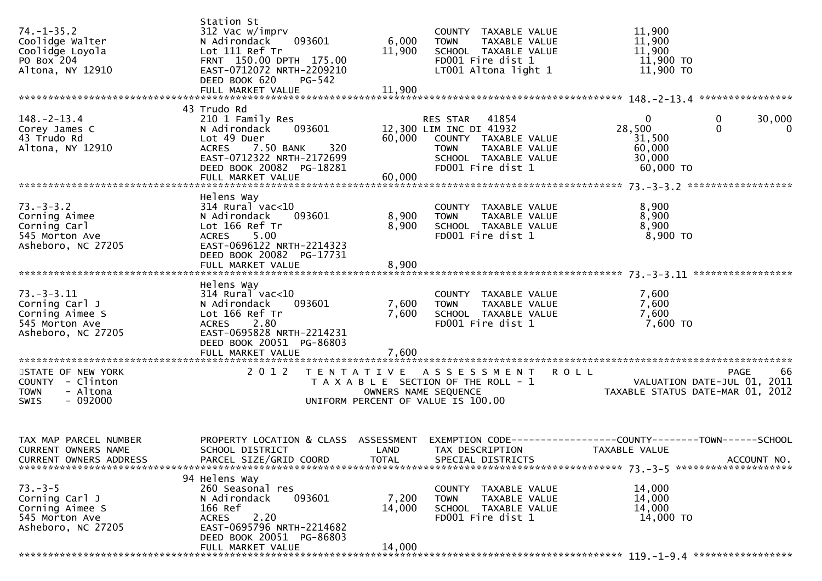| $74. - 1 - 35.2$<br>Coolidge Walter<br>Coolidge Loyola<br>PO Box 204<br>Altona, NY 12910      | Station St<br>312 Vac w/imprv<br>093601<br>N Adirondack<br>Lot 111 Ref Tr<br>FRNT 150.00 DPTH 175.00<br>EAST-0712072 NRTH-2209210<br>DEED BOOK 620<br><b>PG-542</b>      | 6,000<br>11,900         | COUNTY TAXABLE VALUE<br><b>TOWN</b><br>TAXABLE VALUE<br>SCHOOL TAXABLE VALUE<br>FD001 Fire dist 1<br>LT001 Altona light 1                      | 11,900<br>11,900<br>11,900<br>11,900 TO<br>$11,900$ TO                                                                            |
|-----------------------------------------------------------------------------------------------|--------------------------------------------------------------------------------------------------------------------------------------------------------------------------|-------------------------|------------------------------------------------------------------------------------------------------------------------------------------------|-----------------------------------------------------------------------------------------------------------------------------------|
|                                                                                               |                                                                                                                                                                          |                         |                                                                                                                                                |                                                                                                                                   |
| $148. - 2 - 13.4$<br>Corey James C<br>43 Trudo Rd<br>Altona, NY 12910                         | 43 Trudo Rd<br>210 1 Family Res<br>093601<br>N Adirondack<br>Lot 49 Duer<br>7.50 BANK<br>320<br><b>ACRES</b><br>EAST-0712322 NRTH-2172699<br>DEED BOOK 20082 PG-18281    | 60,000                  | RES STAR 41854<br>12,300 LIM INC DI 41932<br>COUNTY TAXABLE VALUE<br><b>TOWN</b><br>TAXABLE VALUE<br>SCHOOL TAXABLE VALUE<br>FD001 Fire dist 1 | $\mathbf 0$<br>$\mathbf{0}$<br>30,000<br>$\Omega$<br>28,500<br>$\overline{0}$<br>31,500<br>60,000<br>30,000<br>60,000 TO          |
|                                                                                               |                                                                                                                                                                          |                         |                                                                                                                                                |                                                                                                                                   |
| $73. - 3 - 3.2$<br>Corning Aimee<br>Corning Carl<br>545 Morton Ave<br>Asheboro, NC 27205      | Helens Way<br>$314$ Rural vac<10<br>N Adirondack<br>093601<br>Lot 166 Ref Tr<br>ACRES 5.00<br>EAST-0696122 NRTH-2214323<br>DEED BOOK 20082 PG-17731                      | 8,900<br>8,900          | COUNTY TAXABLE VALUE<br>TAXABLE VALUE<br><b>TOWN</b><br>SCHOOL TAXABLE VALUE<br>FD001 Fire dist 1                                              | 8,900<br>8,900<br>8,900<br>8,900 TO                                                                                               |
|                                                                                               | FULL MARKET VALUE                                                                                                                                                        | 8,900                   |                                                                                                                                                |                                                                                                                                   |
|                                                                                               |                                                                                                                                                                          |                         |                                                                                                                                                |                                                                                                                                   |
| $73. - 3 - 3.11$<br>Corning Carl J<br>Corning Aimee S<br>545 Morton Ave<br>Asheboro, NC 27205 | Helens Way<br>$314$ Rural vac<10<br>N Adirondack<br>093601<br>Lot 166 Ref Tr<br>ACRES 2.80<br>EAST-0695828 NRTH-2214231<br>DEED BOOK 20051 PG-86803<br>FULL MARKET VALUE | 7,600<br>7,600<br>7,600 | COUNTY TAXABLE VALUE<br>TAXABLE VALUE<br><b>TOWN</b><br>SCHOOL TAXABLE VALUE<br>FD001 Fire dist 1                                              | 7,600<br>7,600<br>7,600<br>7,600 TO                                                                                               |
|                                                                                               |                                                                                                                                                                          |                         |                                                                                                                                                |                                                                                                                                   |
| STATE OF NEW YORK<br>COUNTY - Clinton<br>- Altona<br><b>TOWN</b><br>$-092000$<br>SWIS         | 2 0 1 2<br>T E N T A T I V E                                                                                                                                             |                         | A S S E S S M E N T<br>T A X A B L E SECTION OF THE ROLL - 1<br>OWNERS NAME SEQUENCE<br>UNIFORM PERCENT OF VALUE IS 100.00                     | <b>ROLL</b><br>66<br><b>PAGE</b><br>VALUATION DATE-JUL 01, 2011<br>TAXABLE STATUS DATE-MAR 01, 2012                               |
| TAX MAP PARCEL NUMBER<br>CURRENT OWNERS NAME<br><b>CURRENT OWNERS ADDRESS</b>                 | SCHOOL DISTRICT<br>PARCEL SIZE/GRID COORD                                                                                                                                | <b>TOTAL</b>            | LAND TAX DESCRIPTION<br>SPECIAL DISTRICTS                                                                                                      | PROPERTY LOCATION & CLASS ASSESSMENT EXEMPTION CODE----------------COUNTY--------TOWN------SCHOOL<br>TAXABLE VALUE<br>ACCOUNT NO. |
|                                                                                               | 94 Helens Way                                                                                                                                                            |                         |                                                                                                                                                |                                                                                                                                   |
| $73 - 3 - 5$<br>Corning Carl J<br>Corning Aimee S<br>545 Morton Ave<br>Asheboro, NC 27205     | 260 Seasonal res<br>093601<br>N Adirondack<br>166 Ref<br>2.20<br><b>ACRES</b><br>EAST-0695796 NRTH-2214682<br>DEED BOOK 20051 PG-86803                                   | 7,200<br>14,000         | COUNTY TAXABLE VALUE<br>TAXABLE VALUE<br><b>TOWN</b><br>SCHOOL TAXABLE VALUE<br>FD001 Fire dist 1                                              | 14,000<br>14,000<br>14,000<br>14,000 TO                                                                                           |
|                                                                                               | FULL MARKET VALUE                                                                                                                                                        | 14,000                  |                                                                                                                                                |                                                                                                                                   |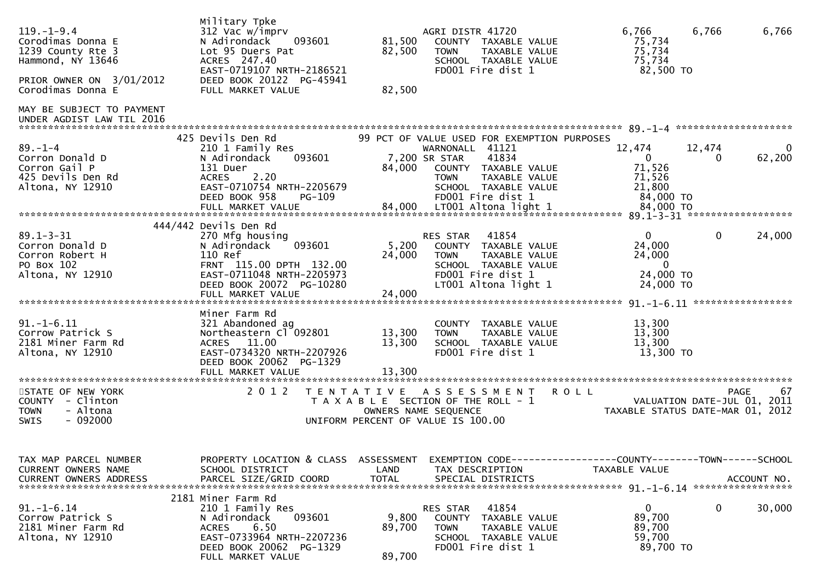| $119. - 1 - 9.4$<br>Corodimas Donna E<br>1239 County Rte 3<br>Hammond, NY 13646<br>PRIOR OWNER ON 3/01/2012<br>Corodimas Donna E | Military Tpke<br>312 Vac w/imprv<br>N Adirondack<br>093601<br>Lot 95 Duers Pat<br>ACRES 247.40<br>EAST-0719107 NRTH-2186521<br>DEED BOOK 20122 PG-45941<br>FULL MARKET VALUE           | 81,500<br>82,500<br>82,500 | AGRI DISTR 41720<br>COUNTY TAXABLE VALUE<br>TAXABLE VALUE<br><b>TOWN</b><br>SCHOOL TAXABLE VALUE<br>FD001 Fire dist 1                                                                         | 6,766<br>6,766<br>75,734<br>75,734<br>75,734<br>82,500 TO                                  | 6,766             |
|----------------------------------------------------------------------------------------------------------------------------------|----------------------------------------------------------------------------------------------------------------------------------------------------------------------------------------|----------------------------|-----------------------------------------------------------------------------------------------------------------------------------------------------------------------------------------------|--------------------------------------------------------------------------------------------|-------------------|
| MAY BE SUBJECT TO PAYMENT<br>UNDER AGDIST LAW TIL 2016                                                                           |                                                                                                                                                                                        |                            |                                                                                                                                                                                               |                                                                                            |                   |
| $89. - 1 - 4$<br>Corron Donald D<br>Corron Gail P<br>425 Devils Den Rd<br>Altona, NY 12910                                       | 425 Devils Den Rd<br>210 1 Family Res<br>N Adirondack<br>093601<br>131 Duer<br>2.20<br><b>ACRES</b><br>EAST-0710754 NRTH-2205679<br>DEED BOOK 958<br>PG-109                            | 84,000                     | 99 PCT OF VALUE USED FOR EXEMPTION PURPOSES<br>WARNONALL 41121<br>41834<br>7,200 SR STAR<br>COUNTY TAXABLE VALUE<br><b>TOWN</b><br>TAXABLE VALUE<br>SCHOOL TAXABLE VALUE<br>FD001 Fire dist 1 | 12,474<br>12,474<br>$\overline{0}$<br>0<br>71,526<br>71,526<br>21,800<br>84,000 TO         | 0<br>62,200       |
|                                                                                                                                  |                                                                                                                                                                                        |                            |                                                                                                                                                                                               |                                                                                            |                   |
| $89.1 - 3 - 31$<br>Corron Donald D<br>Corron Robert H<br>PO Box 102<br>Altona, NY 12910                                          | 444/442 Devils Den Rd<br>270 Mfg housing<br>093601<br>N Adirondack<br>110 Ref<br>FRNT 115.00 DPTH 132.00<br>EAST-0711048 NRTH-2205973<br>DEED BOOK 20072 PG-10280<br>FULL MARKET VALUE | 5,200<br>24,000<br>24,000  | RES STAR<br>41854<br>COUNTY TAXABLE VALUE<br><b>TOWN</b><br>TAXABLE VALUE<br>SCHOOL TAXABLE VALUE<br>FD001 Fire dist 1<br>LT001 Altona light 1                                                | $\mathbf{0}$<br>$\mathbf{0}$<br>24,000<br>24,000<br>$\mathbf{0}$<br>24,000 TO<br>24,000 TO | 24,000            |
| $91. - 1 - 6.11$<br>Corrow Patrick S<br>2181 Miner Farm Rd<br>Altona, NY 12910                                                   | Miner Farm Rd<br>321 Abandoned ag<br>Northeastern Cl 092801<br>11.00<br><b>ACRES</b><br>EAST-0734320 NRTH-2207926<br>DEED BOOK 20062 PG-1329                                           | 13,300<br>13,300           | COUNTY TAXABLE VALUE<br>TAXABLE VALUE<br><b>TOWN</b><br>SCHOOL TAXABLE VALUE<br>FD001 Fire dist 1                                                                                             | 13,300<br>13,300<br>13,300<br>13,300 TO                                                    |                   |
| STATE OF NEW YORK<br>COUNTY - Clinton<br>- Altona<br><b>TOWN</b><br>$-092000$<br>SWIS                                            | 2 0 1 2<br>T E N T A T I V E                                                                                                                                                           |                            | A S S E S S M E N T<br><b>ROLL</b><br>T A X A B L E SECTION OF THE ROLL - 1<br>OWNERS NAME SEQUENCE<br>UNIFORM PERCENT OF VALUE IS 100.00                                                     | VALUATION DATE-JUL 01, 2011<br>TAXABLE STATUS DATE-MAR 01, 2012                            | 67<br><b>PAGE</b> |
| TAX MAP PARCEL NUMBER<br>CURRENT OWNERS NAME<br><b>CURRENT OWNERS ADDRESS</b>                                                    | PROPERTY LOCATION & CLASS ASSESSMENT<br>SCHOOL DISTRICT<br>PARCEL SIZE/GRID COORD                                                                                                      | LAND<br><b>TOTAL</b>       | EXEMPTION CODE-----------------COUNTY-------TOWN------SCHOOL<br>TAX DESCRIPTION<br>SPECIAL DISTRICTS                                                                                          | TAXABLE VALUE                                                                              | ACCOUNT NO.       |
| $91.-1-6.14$<br>Corrow Patrick S<br>2181 Miner Farm Rd<br>Altona, NY 12910                                                       | 2181 Miner Farm Rd<br>210 1 Family Res<br>093601<br>N Adirondack<br><b>ACRES</b><br>6.50<br>EAST-0733964 NRTH-2207236<br>DEED BOOK 20062 PG-1329<br>FULL MARKET VALUE                  | 9,800<br>89,700<br>89,700  | 41854<br>RES STAR<br>COUNTY TAXABLE VALUE<br><b>TOWN</b><br>TAXABLE VALUE<br>SCHOOL TAXABLE VALUE<br>FD001 Fire dist 1                                                                        | $\mathbf{0}$<br>0<br>89,700<br>89,700<br>59,700<br>89,700 TO                               | 30,000            |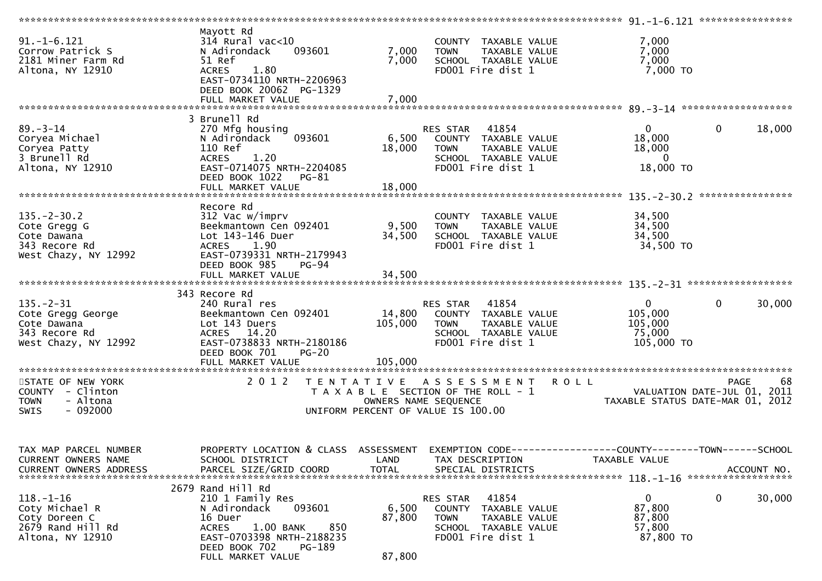| $91. -1 - 6.121$<br>Corrow Patrick S<br>2181 Miner Farm Rd<br>Altona, NY 12910               | Mayott Rd<br>$314$ Rural vac<10<br>N Adirondack<br>093601<br>51 Ref<br><b>ACRES</b><br>1.80<br>EAST-0734110 NRTH-2206963                                                                    | 7,000<br>7,000            | COUNTY TAXABLE VALUE<br>TAXABLE VALUE<br><b>TOWN</b><br>SCHOOL TAXABLE VALUE<br>FD001 Fire dist 1                                | 7,000<br>7,000<br>7,000<br>7,000 TO                                            |                                                       |
|----------------------------------------------------------------------------------------------|---------------------------------------------------------------------------------------------------------------------------------------------------------------------------------------------|---------------------------|----------------------------------------------------------------------------------------------------------------------------------|--------------------------------------------------------------------------------|-------------------------------------------------------|
|                                                                                              | DEED BOOK 20062 PG-1329                                                                                                                                                                     |                           |                                                                                                                                  |                                                                                |                                                       |
|                                                                                              | FULL MARKET VALUE                                                                                                                                                                           | 7,000                     |                                                                                                                                  |                                                                                |                                                       |
|                                                                                              | 3 Brunell Rd                                                                                                                                                                                |                           |                                                                                                                                  |                                                                                |                                                       |
| $89. - 3 - 14$<br>Coryea Michael<br>Coryea Patty<br>3 Brunell Rd<br>Altona, NY 12910         | 270 Mfg housing<br>N Adirondack<br>093601<br>110 Ref<br>1.20<br><b>ACRES</b><br>EAST-0714075 NRTH-2204085<br>DEED BOOK 1022 PG-81                                                           | 18,000                    | RES STAR 41854<br>6,500 COUNTY TAXABLE VALUE<br><b>TOWN</b><br>TAXABLE VALUE<br>SCHOOL TAXABLE VALUE<br>FD001 Fire dist 1        | $\mathbf{0}$<br>18,000<br>18,000<br>$\overline{0}$<br>18,000 TO                | $\mathbf 0$<br>18,000                                 |
|                                                                                              |                                                                                                                                                                                             |                           |                                                                                                                                  |                                                                                |                                                       |
| $135. - 2 - 30.2$<br>Cote Gregg G                                                            | Recore Rd<br>312 Vac w/imprv<br>Beekmantown Cen 092401                                                                                                                                      | 9,500                     | COUNTY TAXABLE VALUE<br><b>TOWN</b><br>TAXABLE VALUE                                                                             | 34,500<br>34,500                                                               | ****************                                      |
| Cote Dawana<br>343 Recore Rd<br>West Chazy, NY 12992                                         | Lot 143-146 Duer<br>ACRES 1.90<br>EAST-0739331 NRTH-2179943<br>DEED BOOK 985<br><b>PG-94</b>                                                                                                | 34,500                    | SCHOOL TAXABLE VALUE<br>FD001 Fire dist 1                                                                                        | 34,500<br>34,500 TO                                                            |                                                       |
|                                                                                              |                                                                                                                                                                                             |                           |                                                                                                                                  |                                                                                |                                                       |
|                                                                                              | 343 Recore Rd                                                                                                                                                                               |                           |                                                                                                                                  |                                                                                |                                                       |
| $135. - 2 - 31$<br>Cote Gregg George<br>Cote Dawana<br>343 Recore Rd<br>West Chazy, NY 12992 | 240 Rural res<br>Beekmantown Cen 092401<br>Lot 143 Duers<br>ACRES 14.20<br>EAST-0738833 NRTH-2180186<br>DEED BOOK 701<br>$PG-20$                                                            | 105,000                   | RES STAR 41854<br>14,800 COUNTY TAXABLE VALUE<br><b>TOWN</b><br>TAXABLE VALUE<br>SCHOOL TAXABLE VALUE<br>FD001 Fire dist 1       | $\mathbf{0}$<br>105,000<br>105,000<br>75,000<br>105,000 TO                     | $\mathbf 0$<br>30,000                                 |
|                                                                                              |                                                                                                                                                                                             |                           |                                                                                                                                  |                                                                                |                                                       |
| STATE OF NEW YORK<br>COUNTY - Clinton<br>- Altona<br><b>TOWN</b><br>$-092000$<br>SWIS        | 2 0 1 2                                                                                                                                                                                     |                           | TENTATIVE ASSESSMENT<br>T A X A B L E SECTION OF THE ROLL - 1<br>OWNERS NAME SEQUENCE<br>UNIFORM PERCENT OF VALUE IS 100.00      | <b>ROLL</b><br>VALUATION DATE-JUL 01, 2011<br>TAXARLE STATIIS DATE-MAP 01 2012 | 68<br><b>PAGE</b><br>TAXABLE STATUS DATE-MAR 01, 2012 |
| TAX MAP PARCEL NUMBER<br>CURRENT OWNERS NAME<br><b>CURRENT OWNERS ADDRESS</b>                | PROPERTY LOCATION & CLASS ASSESSMENT EXEMPTION CODE----------------COUNTY--------TOWN------SCHOOL<br>SCHOOL DISTRICT<br>PARCEL SIZE/GRID COORD                                              | LAND<br><b>TOTAL</b>      | TAX DESCRIPTION<br>SPECIAL DISTRICTS                                                                                             | TAXABLE VALUE                                                                  | ACCOUNT NO.                                           |
| $118. - 1 - 16$<br>Coty Michael R<br>Coty Doreen C<br>2679 Rand Hill Rd<br>Altona, NY 12910  | 2679 Rand Hill Rd<br>210 1 Family Res<br>093601<br>N Adirondack<br>16 Duer<br>1.00 BANK<br>850<br><b>ACRES</b><br>EAST-0703398 NRTH-2188235<br>DEED BOOK 702<br>PG-189<br>FULL MARKET VALUE | 6,500<br>87,800<br>87,800 | 41854<br>RES STAR<br><b>COUNTY</b><br>TAXABLE VALUE<br><b>TOWN</b><br>TAXABLE VALUE<br>SCHOOL TAXABLE VALUE<br>FD001 Fire dist 1 | $\mathbf 0$<br>87,800<br>87,800<br>57,800<br>87,800 TO                         | $\mathbf 0$<br>30,000                                 |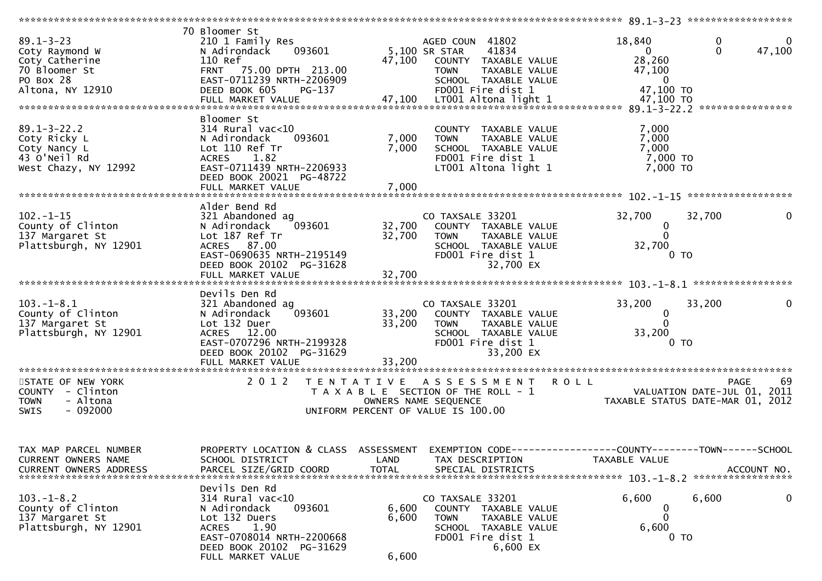| $89.1 - 3 - 23$<br>Coty Raymond W<br>Coty Catherine<br>70 Bloomer St<br>PO Box 28<br>Altona, NY 12910 | 70 Bloomer St<br>210 1 Family Res<br>093601<br>N Adirondack<br>110 Ref<br>75.00 DPTH 213.00<br><b>FRNT</b><br>EAST-0711239 NRTH-2206909<br>DEED BOOK 605<br>PG-137<br>FULL MARKET VALUE | 47,100                     | AGED COUN 41802<br>5,100 SR STAR<br>41834<br>47,100 COUNTY TAXABLE VALUE<br>TAXABLE VALUE<br><b>TOWN</b><br>SCHOOL TAXABLE VALUE<br>FD001 Fire dist 1<br>LT001 Altona light 1 | 18,840<br>$\Omega$<br>28,260<br>47,100<br>$\bf{0}$<br>47,100 TO<br>47,100 TO    | 0<br>$\mathbf{0}$<br>47,100                                   |
|-------------------------------------------------------------------------------------------------------|-----------------------------------------------------------------------------------------------------------------------------------------------------------------------------------------|----------------------------|-------------------------------------------------------------------------------------------------------------------------------------------------------------------------------|---------------------------------------------------------------------------------|---------------------------------------------------------------|
| $89.1 - 3 - 22.2$<br>Coty Ricky L<br>Coty Nancy L<br>43 O'Neil Rd<br>West Chazy, NY 12992             | Bloomer St<br>$314$ Rural vac<10<br>N Adirondack<br>093601<br>Lot 110 Ref Tr<br>1.82<br>ACRES<br>EAST-0711439 NRTH-2206933<br>DEED BOOK 20021 PG-48722<br>FULL MARKET VALUE             | 7,000<br>7,000<br>7,000    | COUNTY TAXABLE VALUE<br>TAXABLE VALUE<br><b>TOWN</b><br>SCHOOL TAXABLE VALUE<br>FD001 Fire dist 1<br>LT001 Altona light 1                                                     | 7,000<br>7,000<br>7,000<br>7,000 TO<br>7,000 TO                                 |                                                               |
| $102. - 1 - 15$<br>County of Clinton<br>137 Margaret St<br>Plattsburgh, NY 12901                      | Alder Bend Rd<br>321 Abandoned ag<br>N Adirondack<br>093601<br>Lot 187 Ref Tr<br>ACRES 87.00<br>EAST-0690635 NRTH-2195149<br>DEED BOOK 20102 PG-31628<br>FULL MARKET VALUE              | 32,700<br>32,700<br>32,700 | CO TAXSALE 33201<br>COUNTY TAXABLE VALUE<br>TAXABLE VALUE<br><b>TOWN</b><br>SCHOOL TAXABLE VALUE<br>FD001 Fire dist 1<br>32,700 EX                                            | 32,700<br>$\mathbf 0$<br>$\Omega$<br>32,700<br>0 TO                             | 32,700                                                        |
| $103.-1-8.1$<br>County of Clinton<br>137 Margaret St<br>Plattsburgh, NY 12901                         | Devils Den Rd<br>321 Abandoned ag<br>093601<br>N Adirondack<br>Lot 132 Duer<br>ACRES 12.00<br>EAST-0707296 NRTH-2199328<br>DEED BOOK 20102 PG-31629                                     | 33,200<br>33,200           | CO TAXSALE 33201<br>COUNTY TAXABLE VALUE<br><b>TOWN</b><br>TAXABLE VALUE<br>SCHOOL TAXABLE VALUE<br>FD001 Fire dist 1<br>33,200 EX                                            | 33,200<br>0<br>33,200<br>0 <sub>T</sub>                                         | 33,200                                                        |
| STATE OF NEW YORK<br>COUNTY - Clinton<br>- Altona<br><b>TOWN</b><br>SWIS<br>- 092000                  | 2 0 1 2                                                                                                                                                                                 |                            | TENTATIVE ASSESSMENT<br>T A X A B L E SECTION OF THE ROLL - 1<br>OWNERS NAME SEQUENCE<br>UNIFORM PERCENT OF VALUE IS 100.00                                                   | <b>ROLL</b><br>VALUATION DATE-JUL 01,                                           | 69<br><b>PAGE</b><br>2011<br>TAXABLE STATUS DATE-MAR 01, 2012 |
| TAX MAP PARCEL NUMBER<br>CURRENT OWNERS NAME<br><b>CURRENT OWNERS ADDRESS</b>                         | PROPERTY LOCATION & CLASS ASSESSMENT<br>SCHOOL DISTRICT<br>PARCEL SIZE/GRID COORD                                                                                                       | LAND<br><b>TOTAL</b>       | TAX DESCRIPTION<br>SPECIAL DISTRICTS                                                                                                                                          | EXEMPTION CODE------------------COUNTY--------TOWN------SCHOOL<br>TAXABLE VALUE | ACCOUNT NO.<br>*****************                              |
| $103. - 1 - 8.2$<br>County of Clinton<br>137 Margaret St<br>Plattsburgh, NY 12901                     | Devils Den Rd<br>$314$ Rural vac<10<br>093601<br>N Adirondack<br>Lot 132 Duers<br>1.90<br><b>ACRES</b><br>EAST-0708014 NRTH-2200668<br>DEED BOOK 20102 PG-31629<br>FULL MARKET VALUE    | 6,600<br>6,600<br>6,600    | CO TAXSALE 33201<br>COUNTY TAXABLE VALUE<br><b>TOWN</b><br>TAXABLE VALUE<br>SCHOOL TAXABLE VALUE<br>FD001 Fire dist 1<br>6,600 EX                                             | 6,600<br>6,600<br>0 <sub>T</sub>                                                | 6,600<br>0                                                    |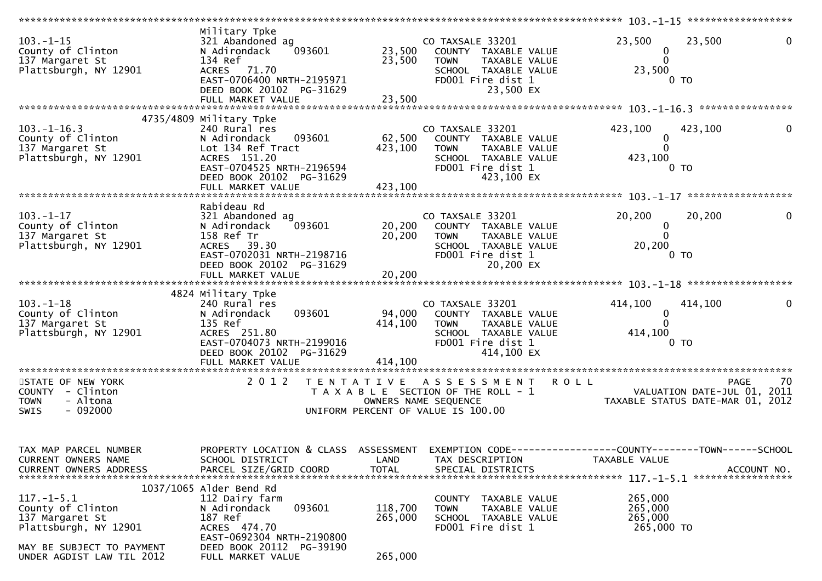| $103. - 1 - 15$<br>County of Clinton<br>137 Margaret St<br>Plattsburgh, NY 12901                                                            | Military Tpke<br>321 Abandoned ag<br>093601<br>N Adirondack<br>134 Ref<br>ACRES 71.70<br>EAST-0706400 NRTH-2195971<br>DEED BOOK 20102 PG-31629<br>FULL MARKET VALUE            | 23,500<br>23,500<br>23,500    | CO TAXSALE 33201<br>COUNTY TAXABLE VALUE<br>TAXABLE VALUE<br><b>TOWN</b><br>SCHOOL TAXABLE VALUE<br>FD001 Fire dist 1<br>23,500 EX         | 23,500<br>23,500<br>0<br>$\mathbf{0}$<br>23,500<br>0 <sub>T</sub>                             |             |
|---------------------------------------------------------------------------------------------------------------------------------------------|--------------------------------------------------------------------------------------------------------------------------------------------------------------------------------|-------------------------------|--------------------------------------------------------------------------------------------------------------------------------------------|-----------------------------------------------------------------------------------------------|-------------|
|                                                                                                                                             |                                                                                                                                                                                |                               |                                                                                                                                            |                                                                                               |             |
| $103. - 1 - 16.3$<br>County of Clinton<br>137 Margaret St<br>Plattsburgh, NY 12901                                                          | 4735/4809 Military Tpke<br>240 Rural res<br>093601<br>N Adirondack<br>Lot 134 Ref Tract<br>ACRES 151.20<br>EAST-0704525 NRTH-2196594<br>DEED BOOK 20102 PG-31629               | 62,500<br>423,100             | CO TAXSALE 33201<br>COUNTY TAXABLE VALUE<br><b>TOWN</b><br>TAXABLE VALUE<br>SCHOOL TAXABLE VALUE<br>FD001 Fire dist 1<br>423,100 EX        | 423,100<br>423,100<br>$\mathbf{0}$<br>423,100<br>0 <sub>T</sub>                               |             |
|                                                                                                                                             | Rabideau Rd                                                                                                                                                                    |                               |                                                                                                                                            |                                                                                               |             |
| $103 - 1 - 17$<br>County of Clinton<br>137 Margaret St<br>Plattsburgh, NY 12901                                                             | 321 Abandoned ag<br>093601<br>N Adirondack<br>158 Ref Tr<br>ACRES 39.30<br>EAST-0702031 NRTH-2198716<br>DEED BOOK 20102 PG-31629<br>FULL MARKET VALUE                          | 20,200<br>20,200<br>20,200    | CO TAXSALE 33201<br>COUNTY TAXABLE VALUE<br>TAXABLE VALUE<br><b>TOWN</b><br>SCHOOL TAXABLE VALUE<br>FD001 Fire dist 1<br>20,200 EX         | 20,200<br>20,200<br>$\mathbf 0$<br>$\Omega$<br>20,200<br>0 <sub>T</sub>                       |             |
|                                                                                                                                             |                                                                                                                                                                                |                               |                                                                                                                                            |                                                                                               |             |
| $103. - 1 - 18$<br>County of Clinton<br>137 Margaret St<br>Plattsburgh, NY 12901                                                            | 4824 Military Tpke<br>240 Rural res<br>093601<br>N Adirondack<br>135 Ref<br>ACRES 251.80<br>EAST-0704073 NRTH-2199016<br>DEED BOOK 20102 PG-31629                              | 414,100                       | CO TAXSALE 33201<br>94,000 COUNTY TAXABLE VALUE<br><b>TOWN</b><br>TAXABLE VALUE<br>SCHOOL TAXABLE VALUE<br>FD001 Fire dist 1<br>414,100 EX | 414,100<br>414,100<br>$\mathbf 0$<br>414,100<br>0 <sub>T</sub>                                |             |
| STATE OF NEW YORK<br>COUNTY - Clinton<br>- Altona<br><b>TOWN</b><br>$-092000$<br>SWIS                                                       | 2 0 1 2                                                                                                                                                                        | T E N T A T I V E             | A S S E S S M E N T<br>T A X A B L E SECTION OF THE ROLL - 1<br>OWNERS NAME SEQUENCE<br>UNIFORM PERCENT OF VALUE IS 100.00                 | <b>ROLL</b><br><b>PAGE</b><br>VALUATION DATE-JUL 01, 2011<br>TAXABLE STATUS DATE-MAR 01, 2012 | 70          |
| TAX MAP PARCEL NUMBER<br>CURRENT OWNERS NAME<br><b>CURRENT OWNERS ADDRESS</b>                                                               | PROPERTY LOCATION & CLASS ASSESSMENT<br>SCHOOL DISTRICT<br>PARCEL SIZE/GRID COORD                                                                                              | LAND<br><b>TOTAL</b>          | TAX DESCRIPTION<br>SPECIAL DISTRICTS                                                                                                       | EXEMPTION CODE-----------------COUNTY-------TOWN------SCHOOL<br>TAXABLE VALUE                 | ACCOUNT NO. |
| $117. - 1 - 5.1$<br>County of Clinton<br>137 Margaret St<br>Plattsburgh, NY 12901<br>MAY BE SUBJECT TO PAYMENT<br>UNDER AGDIST LAW TIL 2012 | $1037/1065$ Alder Bend Rd<br>112 Dairy farm<br>093601<br>N Adirondack<br>187 Ref<br>ACRES 474.70<br>EAST-0692304 NRTH-2190800<br>DEED BOOK 20112 PG-39190<br>FULL MARKET VALUE | 118,700<br>265,000<br>265,000 | TAXABLE VALUE<br>COUNTY<br><b>TOWN</b><br>TAXABLE VALUE<br>SCHOOL TAXABLE VALUE<br>FD001 Fire dist 1                                       | 265,000<br>265,000<br>265,000<br>265,000 TO                                                   |             |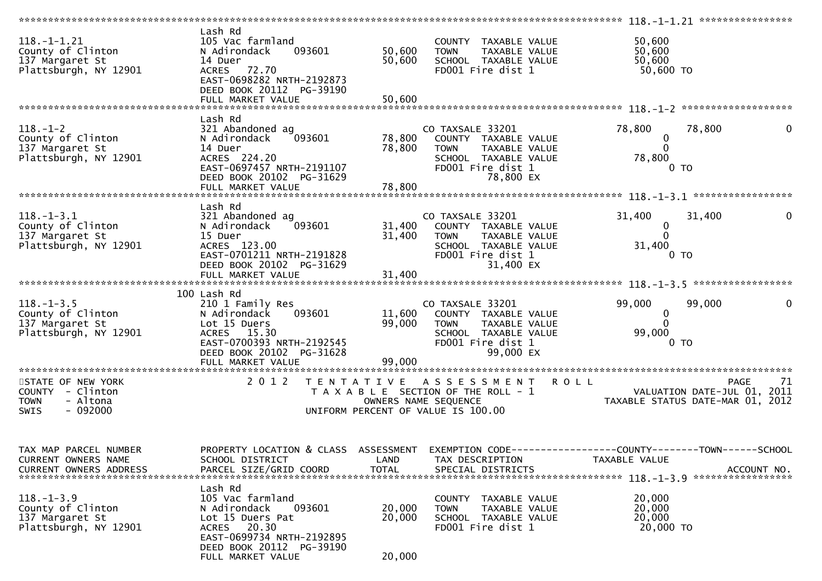|                                                                                       |                                                                                                                                                                        |                            |                                                                                                                                           |                                                                                | 118. -1-1.21 ***************** |
|---------------------------------------------------------------------------------------|------------------------------------------------------------------------------------------------------------------------------------------------------------------------|----------------------------|-------------------------------------------------------------------------------------------------------------------------------------------|--------------------------------------------------------------------------------|--------------------------------|
| $118. - 1 - 1.21$<br>County of Clinton<br>137 Margaret St<br>Plattsburgh, NY 12901    | Lash Rd<br>105 Vac farmland<br>093601<br>N Adirondack<br>14 Duer<br>ACRES 72.70<br>EAST-0698282 NRTH-2192873<br>DEED BOOK 20112 PG-39190<br>FULL MARKET VALUE          | 50,600<br>50,600<br>50,600 | COUNTY TAXABLE VALUE<br><b>TOWN</b><br>TAXABLE VALUE<br>SCHOOL TAXABLE VALUE<br>FD001 Fire dist 1                                         | 50,600<br>50,600<br>50,600<br>50,600 TO                                        |                                |
|                                                                                       |                                                                                                                                                                        |                            |                                                                                                                                           |                                                                                |                                |
| $118. - 1 - 2$<br>County of Clinton<br>137 Margaret St<br>Plattsburgh, NY 12901       | Lash Rd<br>321 Abandoned ag<br>093601<br>N Adirondack<br>14 Duer<br>ACRES 224.20<br>EAST-0697457 NRTH-2191107<br>DEED BOOK 20102 PG-31629                              | 78,800<br>78,800           | CO TAXSALE 33201<br>COUNTY TAXABLE VALUE<br><b>TOWN</b><br>TAXABLE VALUE<br>SCHOOL TAXABLE VALUE<br>FD001 Fire dist 1<br>78,800 EX        | 78,800<br>0<br>0<br>78,800<br>0 <sub>T</sub>                                   | 78,800<br>0                    |
|                                                                                       |                                                                                                                                                                        |                            |                                                                                                                                           |                                                                                |                                |
| $118. - 1 - 3.1$<br>County of Clinton<br>137 Margaret St<br>Plattsburgh, NY 12901     | Lash Rd<br>321 Abandoned ag<br>093601<br>N Adirondack<br>15 Duer<br>ACRES 123.00<br>EAST-0701211 NRTH-2191828<br>DEED BOOK 20102 PG-31629<br>FULL MARKET VALUE         | 31,400<br>31,400<br>31,400 | CO TAXSALE 33201<br>COUNTY TAXABLE VALUE<br><b>TOWN</b><br>TAXABLE VALUE<br>SCHOOL TAXABLE VALUE<br>FD001 Fire dist 1<br>31,400 EX        | 31,400<br>$\mathbf 0$<br>$\Omega$<br>31,400<br>0 <sub>T</sub>                  | 31,400<br>0                    |
|                                                                                       |                                                                                                                                                                        |                            |                                                                                                                                           |                                                                                |                                |
| $118. - 1 - 3.5$<br>County of Clinton<br>137 Margaret St<br>Plattsburgh, NY 12901     | 100 Lash Rd<br>210 1 Family Res<br>N Adirondack<br>093601<br>Lot 15 Duers<br>ACRES 15.30<br>EAST-0700393 NRTH-2192545<br>DEED BOOK 20102 PG-31628                      | 99,000                     | CO TAXSALE 33201<br>11,600 COUNTY TAXABLE VALUE<br><b>TOWN</b><br>TAXABLE VALUE<br>SCHOOL TAXABLE VALUE<br>FD001 Fire dist 1<br>99,000 EX | 99,000<br>$\mathbf{0}$<br>99,000<br>0 TO                                       | 99,000                         |
| STATE OF NEW YORK<br>COUNTY - Clinton<br>- Altona<br><b>TOWN</b><br>$-092000$<br>SWIS | 2 0 1 2                                                                                                                                                                |                            | TENTATIVE ASSESSMENT<br>T A X A B L E SECTION OF THE ROLL - 1<br>OWNERS NAME SEQUENCE<br>UNIFORM PERCENT OF VALUE IS 100.00               | <b>ROLL</b><br>VALUATION DATE-JUL 01, 2011<br>TAXABLE STATUS DATE-MAR 01, 2012 | <b>PAGE</b><br>71              |
| TAX MAP PARCEL NUMBER<br>CURRENT OWNERS NAME<br><b>CURRENT OWNERS ADDRESS</b>         | PROPERTY LOCATION & CLASS ASSESSMENT<br>SCHOOL DISTRICT<br>PARCEL SIZE/GRID COORD                                                                                      | LAND<br><b>TOTAL</b>       | TAX DESCRIPTION<br>SPECIAL DISTRICTS                                                                                                      | TAXABLE VALUE                                                                  | ACCOUNT NO.                    |
| $118. - 1 - 3.9$<br>County of Clinton<br>137 Margaret St<br>Plattsburgh, NY 12901     | Lash Rd<br>105 Vac farmland<br>N Adirondack<br>093601<br>Lot 15 Duers Pat<br>ACRES 20.30<br>EAST-0699734 NRTH-2192895<br>DEED BOOK 20112 PG-39190<br>FULL MARKET VALUE | 20,000<br>20,000<br>20,000 | TAXABLE VALUE<br>COUNTY<br><b>TOWN</b><br>TAXABLE VALUE<br>SCHOOL TAXABLE VALUE<br>FD001 Fire dist 1                                      | 20,000<br>20,000<br>20,000<br>20,000 TO                                        |                                |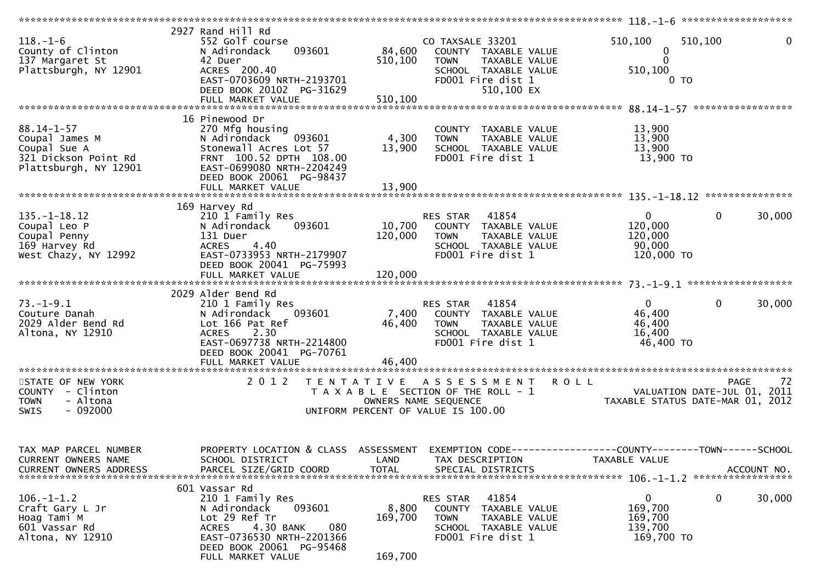| $118. - 1 - 6$<br>County of Clinton<br>137 Margaret St<br>Plattsburgh, NY 12901                     | 2927 Rand Hill Rd<br>552 Golf course<br>093601<br>N Adirondack<br>42 Duer<br>ACRES 200.40<br>EAST-0703609 NRTH-2193701<br>DEED BOOK 20102 PG-31629<br>FULL MARKET VALUE                        | 84,600<br>510,100<br>510,100 | CO TAXSALE 33201<br>COUNTY TAXABLE VALUE<br>TAXABLE VALUE<br><b>TOWN</b><br>SCHOOL TAXABLE VALUE<br>FD001 Fire dist 1<br>510,100 EX | 510,100<br>510,100<br>0<br>$\Omega$<br>510,100<br>$0$ TO                  | 0                                |
|-----------------------------------------------------------------------------------------------------|------------------------------------------------------------------------------------------------------------------------------------------------------------------------------------------------|------------------------------|-------------------------------------------------------------------------------------------------------------------------------------|---------------------------------------------------------------------------|----------------------------------|
| $88.14 - 1 - 57$<br>Coupal James M<br>Coupal Sue A<br>321 Dickson Point Rd<br>Plattsburgh, NY 12901 | 16 Pinewood Dr<br>270 Mfg housing<br>N Adirondack<br>093601<br>Stonewall Acres Lot 57<br>FRNT 100.52 DPTH 108.00<br>EAST-0699080 NRTH-2204249<br>DEED BOOK 20061 PG-98437                      | 4,300<br>13,900              | COUNTY TAXABLE VALUE<br>TAXABLE VALUE<br><b>TOWN</b><br>SCHOOL TAXABLE VALUE<br>FD001 Fire dist 1                                   | 13,900<br>13,900<br>13,900<br>13,900 TO                                   |                                  |
| $135. - 1 - 18.12$<br>Coupal Leo P<br>Coupal Penny<br>169 Harvey Rd<br>West Chazy, NY 12992         | 169 Harvey Rd<br>210 1 Family Res<br>093601<br>N Adirondack<br>131 Duer<br>4.40<br><b>ACRES</b><br>EAST-0733953 NRTH-2179907<br>DEED BOOK 20041 PG-75993                                       | 10,700<br>120,000            | RES STAR 41854<br>COUNTY TAXABLE VALUE<br>TAXABLE VALUE<br><b>TOWN</b><br>SCHOOL TAXABLE VALUE<br>FD001 Fire dist 1                 | $\mathbf{0}$<br>$\mathbf 0$<br>120,000<br>120,000<br>90,000<br>120,000 TO | 30,000                           |
| $73. - 1 - 9.1$<br>Couture Danah<br>2029 Alder Bend Rd<br>Altona, NY 12910                          | 2029 Alder Bend Rd<br>210 1 Family Res<br>N Adirondack<br>093601<br>Lot 166 Pat Ref<br>ACRES 2.30<br>EAST-0697738 NRTH-2214800<br>DEED BOOK 20041 PG-70761                                     | 7,400<br>46,400              | RES STAR 41854<br>COUNTY TAXABLE VALUE<br><b>TOWN</b><br>TAXABLE VALUE<br>SCHOOL TAXABLE VALUE<br>FD001 Fire dist 1                 | $\mathbf{0}$<br>$\mathbf 0$<br>46,400<br>46,400<br>16,400<br>46,400 TO    | 30,000                           |
| STATE OF NEW YORK<br>COUNTY - Clinton<br>- Altona<br><b>TOWN</b><br>$-092000$<br>SWIS               | 2 0 1 2                                                                                                                                                                                        |                              | TENTATIVE ASSESSMENT<br>T A X A B L E SECTION OF THE ROLL - 1<br>OWNERS NAME SEQUENCE<br>UNIFORM PERCENT OF VALUE IS 100.00         | <b>ROLL</b><br>VALUATION DATE-JUL 01,<br>TAXABLE STATUS DATE-MAR 01, 2012 | PAGE<br>72<br>2011               |
| TAX MAP PARCEL NUMBER<br>CURRENT OWNERS NAME<br>CURRENT OWNERS ADDRESS                              | PROPERTY LOCATION & CLASS ASSESSMENT<br>SCHOOL DISTRICT<br>PARCEL SIZE/GRID COORD                                                                                                              | LAND<br><b>TOTAL</b>         | TAX DESCRIPTION<br>SPECIAL DISTRICTS                                                                                                | TAXABLE VALUE                                                             | ACCOUNT NO.<br>***************** |
| $106. - 1 - 1.2$<br>Craft Gary L Jr<br>Hoag Tami M<br>601 Vassar Rd<br>Altona, NY 12910             | 601 Vassar Rd<br>210 1 Family Res<br>093601<br>N Adirondack<br>Lot 29 Ref Tr<br>4.30 BANK<br>080<br><b>ACRES</b><br>EAST-0736530 NRTH-2201366<br>DEED BOOK 20061 PG-95468<br>FULL MARKET VALUE | 8,800<br>169,700<br>169,700  | 41854<br>RES STAR<br><b>COUNTY</b><br>TAXABLE VALUE<br>TAXABLE VALUE<br><b>TOWN</b><br>SCHOOL TAXABLE VALUE<br>FD001 Fire dist 1    | $\mathbf{0}$<br>0<br>169,700<br>169,700<br>139,700<br>169,700 TO          | 30,000                           |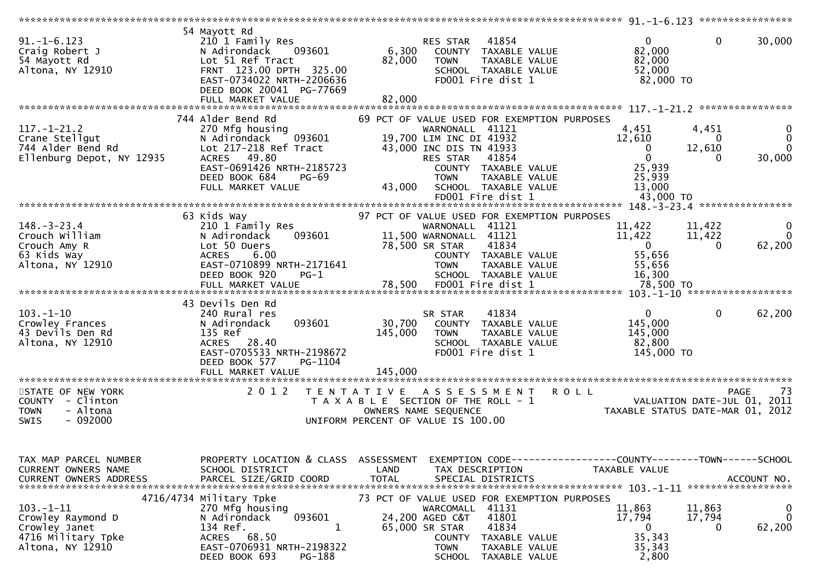| $91. -1 - 6.123$<br>Craig Robert J<br>54 Mayott Rd<br>Altona, NY 12910                          | 54 Mayott Rd<br>210 1 Family Res<br>093601<br>N Adirondack<br>Lot 51 Ref Tract<br>FRNT 123.00 DPTH 325.00<br>EAST-0734022 NRTH-2206636<br>DEED BOOK 20041 PG-77669<br>FULL MARKET VALUE   | 41854<br>RES STAR<br>6,300<br>COUNTY TAXABLE VALUE<br>82,000<br>TAXABLE VALUE<br><b>TOWN</b><br>SCHOOL TAXABLE VALUE<br>FD001 Fire dist 1<br>82,000                                                                                                      | $\mathbf{0}$<br>$\mathbf{0}$<br>30,000<br>82,000<br>82,000<br>52,000<br>82,000 TO                                                                         |
|-------------------------------------------------------------------------------------------------|-------------------------------------------------------------------------------------------------------------------------------------------------------------------------------------------|----------------------------------------------------------------------------------------------------------------------------------------------------------------------------------------------------------------------------------------------------------|-----------------------------------------------------------------------------------------------------------------------------------------------------------|
|                                                                                                 |                                                                                                                                                                                           |                                                                                                                                                                                                                                                          |                                                                                                                                                           |
| $117.-1-21.2$<br>Crane Stellgut<br>744 Alder Bend Rd<br>Ellenburg Depot, NY 12935               | 744 Alder Bend Rd<br>270 Mfg housing<br>N Adirondack<br>093601<br>Lot 217-218 Ref Tract<br>ACRES 49.80<br>EAST-0691426 NRTH-2185723<br>DEED BOOK 684<br><b>PG-69</b><br>FULL MARKET VALUE | 69 PCT OF VALUE USED FOR EXEMPTION PURPOSES<br>WARNONALL 41121<br>19,700 LIM INC DI 41932<br>43,000 INC DIS TN 41933<br>41854<br>RES STAR<br>COUNTY TAXABLE VALUE<br>TAXABLE VALUE<br><b>TOWN</b><br>43,000<br>SCHOOL TAXABLE VALUE<br>FD001 Fire dist 1 | 4,451<br>4,451<br>12,610<br>$\mathbf{0}$<br>$\bf{0}$<br>12,610<br>$\Omega$<br>0<br>$\mathbf{0}$<br>30,000<br>0<br>25,939<br>25,939<br>13,000<br>43,000 TO |
|                                                                                                 |                                                                                                                                                                                           |                                                                                                                                                                                                                                                          |                                                                                                                                                           |
| $148. - 3 - 23.4$<br>Crouch William<br>Crouch Amy R<br>63 Kids Way<br>Altona, NY 12910          | 63 Kids Way<br>210 1 Family Res<br>093601<br>N Adirondack<br>Lot 50 Duers<br><b>ACRES</b><br>6.00<br>EAST-0710899 NRTH-2171641<br>DEED BOOK 920<br>$PG-1$                                 | 97 PCT OF VALUE USED FOR EXEMPTION PURPOSES<br>WARNONALL 41121<br>11,500 WARNONALL 41121<br>41834<br>78,500 SR STAR<br>COUNTY TAXABLE VALUE<br>TAXABLE VALUE<br><b>TOWN</b><br>SCHOOL TAXABLE VALUE                                                      | 11,422<br>11,422<br>0<br>$\Omega$<br>11,422<br>11,422<br>$\mathbf{0}$<br>62,200<br>$\Omega$<br>55,656<br>55,656<br>16,300                                 |
|                                                                                                 | FULL MARKET VALUE                                                                                                                                                                         | FD001 Fire dist 1<br>78,500                                                                                                                                                                                                                              | 78,500 TO                                                                                                                                                 |
|                                                                                                 |                                                                                                                                                                                           |                                                                                                                                                                                                                                                          |                                                                                                                                                           |
| $103. - 1 - 10$<br>Crowley Frances<br>43 Devils Den Rd<br>Altona, NY 12910                      | 43 Devils Den Rd<br>240 Rural res<br>093601<br>N Adirondack<br>135 Ref<br>ACRES 28.40<br>EAST-0705533 NRTH-2198672<br>DEED BOOK 577<br>PG-1104                                            | 41834<br>SR STAR<br>30,700<br>COUNTY TAXABLE VALUE<br>145,000<br><b>TOWN</b><br>TAXABLE VALUE<br>SCHOOL TAXABLE VALUE<br>FD001 Fire dist 1                                                                                                               | $\overline{0}$<br>$\mathbf{0}$<br>62,200<br>145,000<br>145,000<br>82,800<br>145,000 TO                                                                    |
|                                                                                                 | FULL MARKET VALUE                                                                                                                                                                         | 145,000<br>*************                                                                                                                                                                                                                                 |                                                                                                                                                           |
| STATE OF NEW YORK<br>COUNTY - Clinton<br>- Altona<br><b>TOWN</b><br>$-092000$<br>SWIS           | 2 0 1 2                                                                                                                                                                                   | ASSESSMENT ROLL<br>T E N T A T I V E<br>T A X A B L E SECTION OF THE ROLL - 1<br>OWNERS NAME SEQUENCE<br>UNIFORM PERCENT OF VALUE IS 100.00                                                                                                              | -73<br><b>PAGE</b><br>VALUATION DATE-JUL 01, 2011<br>VALUATION DATE-JUL VI, ZVII<br>TAXABLE STATUS DATE-MAR 01, 2012                                      |
| TAX MAP PARCEL NUMBER<br>CURRENT OWNERS NAME<br><b>CURRENT OWNERS ADDRESS</b>                   | PROPERTY LOCATION & CLASS<br>SCHOOL DISTRICT<br>PARCEL SIZE/GRID COORD                                                                                                                    | ASSESSMENT<br>LAND<br>TAX DESCRIPTION<br><b>TOTAL</b><br>SPECIAL DISTRICTS                                                                                                                                                                               | EXEMPTION CODE-----------------COUNTY--------TOWN------SCHOOL<br>TAXABLE VALUE<br>ACCOUNT NO.<br>******************                                       |
| $103. - 1 - 11$<br>Crowley Raymond D<br>Crowley Janet<br>4716 Military Tpke<br>Altona, NY 12910 | 4716/4734 Military Tpke<br>270 Mfg housing<br>093601<br>N Adirondack<br>134 Ref.<br>1<br>ACRES 68.50<br>EAST-0706931 NRTH-2198322<br>PG-188<br>DEED BOOK 693                              | 73 PCT OF VALUE USED FOR EXEMPTION PURPOSES<br>WARCOMALL 41131<br>24,200 AGED C&T<br>41801<br>65,000 SR STAR<br>41834<br>TAXABLE VALUE<br>COUNTY<br><b>TOWN</b><br>TAXABLE VALUE<br><b>SCHOOL</b><br>TAXABLE VALUE                                       | 0<br>11,863<br>11,863<br>$\mathbf 0$<br>17,794<br>17,794<br>62,200<br>0<br>0<br>35,343<br>35,343<br>2,800                                                 |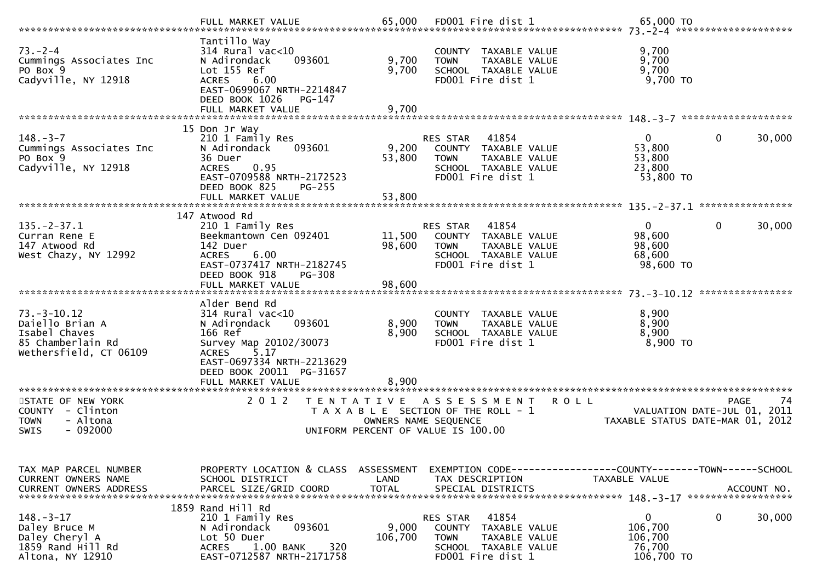|                                                                                                        | FULL MARKET VALUE                                                                                                                                                               |                                    |                                                                                                                               |                                                     |                                           |
|--------------------------------------------------------------------------------------------------------|---------------------------------------------------------------------------------------------------------------------------------------------------------------------------------|------------------------------------|-------------------------------------------------------------------------------------------------------------------------------|-----------------------------------------------------|-------------------------------------------|
| $73 - 2 - 4$<br>Cummings Associates Inc<br>PO Box 9<br>Cadyville, NY 12918                             | Tantillo Way<br>314 Rural vac<10<br>N Adirondack<br>093601<br>Lot 155 Ref<br>6.00<br><b>ACRES</b><br>EAST-0699067 NRTH-2214847<br>DEED BOOK 1026<br>PG-147<br>FULL MARKET VALUE | 9,700<br>9,700<br>9,700            | COUNTY TAXABLE VALUE<br>TAXABLE VALUE<br><b>TOWN</b><br>SCHOOL TAXABLE VALUE<br>FD001 Fire dist 1                             | 9,700<br>9,700<br>9,700<br>$9,700$ TO               |                                           |
|                                                                                                        | 15 Don Jr Way                                                                                                                                                                   |                                    |                                                                                                                               |                                                     |                                           |
| $148. - 3 - 7$<br>Cummings Associates Inc<br>PO Box 9<br>Cadyville, NY 12918                           | 210 1 Family Res<br>N Adirondack<br>093601<br>36 Duer<br>0.95<br><b>ACRES</b><br>EAST-0709588 NRTH-2172523<br>DEED BOOK 825<br><b>PG-255</b>                                    | 9,200<br>53,800                    | 41854<br>RES STAR<br>COUNTY TAXABLE VALUE<br>TAXABLE VALUE<br><b>TOWN</b><br>SCHOOL TAXABLE VALUE<br>FD001 Fire dist 1        | $\Omega$<br>53,800<br>53,800<br>23,800<br>53,800 TO | $\mathbf{0}$<br>30,000                    |
|                                                                                                        | FULL MARKET VALUE                                                                                                                                                               | 53,800                             |                                                                                                                               |                                                     | ****************                          |
|                                                                                                        | 147 Atwood Rd                                                                                                                                                                   |                                    |                                                                                                                               |                                                     |                                           |
| $135. - 2 - 37.1$<br>Curran Rene E<br>147 Atwood Rd<br>West Chazy, NY 12992                            | 210 1 Family Res<br>Beekmantown Cen 092401<br>142 Duer<br>6.00<br><b>ACRES</b><br>EAST-0737417 NRTH-2182745<br>DEED BOOK 918<br>PG-308                                          | 11,500<br>98,600                   | 41854<br><b>RES STAR</b><br>COUNTY TAXABLE VALUE<br><b>TOWN</b><br>TAXABLE VALUE<br>SCHOOL TAXABLE VALUE<br>FD001 Fire dist 1 | 0<br>98,600<br>98,600<br>68,600<br>98,600 TO        | $\mathbf 0$<br>30,000                     |
|                                                                                                        | FULL MARKET VALUE                                                                                                                                                               | 98,600                             |                                                                                                                               |                                                     |                                           |
|                                                                                                        | Alder Bend Rd                                                                                                                                                                   |                                    |                                                                                                                               |                                                     | ****************                          |
| $73. - 3 - 10.12$<br>Daiello Brian A<br>Isabel Chaves<br>85 Chamberlain Rd<br>Wethersfield, CT 06109   | 314 Rural vac<10<br>093601<br>N Adirondack<br>166 Ref<br>Survey Map 20102/30073<br>5.17<br><b>ACRES</b><br>EAST-0697334 NRTH-2213629<br>DEED BOOK 20011 PG-31657                | 8,900<br>8,900                     | COUNTY<br>TAXABLE VALUE<br>TAXABLE VALUE<br><b>TOWN</b><br>SCHOOL TAXABLE VALUE<br>FD001 Fire dist 1                          | 8,900<br>8,900<br>8,900<br>8,900 TO                 |                                           |
| *********************                                                                                  | FULL MARKET VALUE                                                                                                                                                               | 8.900                              |                                                                                                                               |                                                     |                                           |
| STATE OF NEW YORK<br><b>COUNTY</b><br>- Clinton<br>- Altona<br><b>TOWN</b><br>$-092000$<br><b>SWIS</b> | 2 0 1 2<br>T E N T A T I V E                                                                                                                                                    | OWNERS NAME SEQUENCE               | A S S E S S M E N T<br>T A X A B L E SECTION OF THE ROLL - 1<br>UNIFORM PERCENT OF VALUE IS 100.00                            | <b>ROLL</b><br>TAXABLE STATUS DATE-MAR 01, 2012     | 74<br>PAGE<br>VALUATION DATE-JUL 01, 2011 |
|                                                                                                        |                                                                                                                                                                                 |                                    |                                                                                                                               |                                                     |                                           |
| TAX MAP PARCEL NUMBER<br>CURRENT OWNERS NAME<br><b>CURRENT OWNERS ADDRESS</b>                          | PROPERTY LOCATION & CLASS<br>SCHOOL DISTRICT<br>PARCEL SIZE/GRID COORD                                                                                                          | ASSESSMENT<br>LAND<br><b>TOTAL</b> | TAX DESCRIPTION<br>SPECIAL DISTRICTS                                                                                          | TAXABLE VALUE                                       | ACCOUNT NO.                               |
|                                                                                                        | 1859 Rand Hill Rd                                                                                                                                                               |                                    |                                                                                                                               |                                                     |                                           |
| $148. - 3 - 17$<br>Daley Bruce M<br>Daley Cheryl A<br>1859 Rand Hill Rd<br>Altona, NY 12910            | 210 1 Family Res<br>093601<br>N Adirondack<br>Lot 50 Duer<br>320<br><b>ACRES</b><br>$1.00$ BANK<br>EAST-0712587 NRTH-2171758                                                    | 9,000<br>106,700                   | RES STAR<br>41854<br>COUNTY<br>TAXABLE VALUE<br><b>TOWN</b><br>TAXABLE VALUE<br>SCHOOL TAXABLE VALUE<br>FD001 Fire dist 1     | 0<br>106,700<br>106,700<br>76,700<br>106,700 TO     | $\mathbf{0}$<br>30,000                    |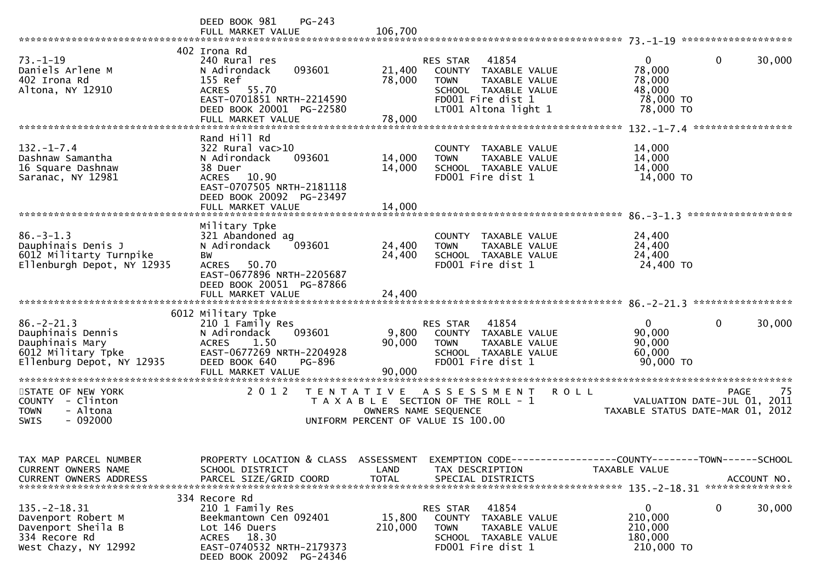|                                                                                                            | $PG-243$<br>DEED BOOK 981<br>FULL MARKET VALUE                                                                                                                                    | 106,700                                                                                                                                                                      |                                                                                                                          |
|------------------------------------------------------------------------------------------------------------|-----------------------------------------------------------------------------------------------------------------------------------------------------------------------------------|------------------------------------------------------------------------------------------------------------------------------------------------------------------------------|--------------------------------------------------------------------------------------------------------------------------|
| $73. - 1 - 19$<br>Daniels Arlene M<br>402 Irona Rd<br>Altona, NY 12910                                     | 402 Irona Rd<br>240 Rural res<br>N Adirondack<br>093601<br>155 Ref<br>55.70<br><b>ACRES</b><br>EAST-0701851 NRTH-2214590<br>DEED BOOK 20001 PG-22580<br>FULL MARKET VALUE         | 41854<br>RES STAR<br>21,400<br>COUNTY TAXABLE VALUE<br>78,000<br><b>TOWN</b><br>TAXABLE VALUE<br>SCHOOL TAXABLE VALUE<br>FD001 Fire dist 1<br>LT001 Altona light 1<br>78,000 | 0<br>$\Omega$<br>30,000<br>78,000<br>78,000<br>48,000<br>78,000 TO<br>78,000 TO                                          |
| $132. - 1 - 7.4$<br>Dashnaw Samantha<br>16 Square Dashnaw<br>Saranac, NY 12981                             | Rand Hill Rd<br>$322$ Rural vac $>10$<br>N Adirondack<br>093601<br>38 Duer<br><b>ACRES</b><br>10.90<br>EAST-0707505 NRTH-2181118<br>DEED BOOK 20092 PG-23497<br>FULL MARKET VALUE | COUNTY TAXABLE VALUE<br>14,000<br><b>TOWN</b><br>TAXABLE VALUE<br>14,000<br>SCHOOL TAXABLE VALUE<br>FD001 Fire dist 1<br>14,000                                              | ************************* 132.-1-7.4 ******************<br>14,000<br>14,000<br>14,000<br>14,000 TO<br>****************** |
| $86. - 3 - 1.3$<br>Dauphinais Denis J<br>6012 Militarty Turnpike<br>Ellenburgh Depot, NY 12935             | Military Tpke<br>321 Abandoned ag<br>093601<br>N Adirondack<br><b>BW</b><br><b>ACRES</b><br>50.70<br>EAST-0677896 NRTH-2205687<br>DEED BOOK 20051 PG-87866<br>FULL MARKET VALUE   | COUNTY TAXABLE VALUE<br>24,400<br>TAXABLE VALUE<br><b>TOWN</b><br>24,400<br>SCHOOL TAXABLE VALUE<br>FD001 Fire dist 1<br>24,400                                              | 24,400<br>24,400<br>24,400<br>24,400 TO                                                                                  |
| $86. -2 - 21.3$<br>Dauphinais Dennis<br>Dauphinais Mary<br>6012 Military Tpke<br>Ellenburg Depot, NY 12935 | 6012 Military Tpke<br>210 1 Family Res<br>093601<br>N Adirondack<br>1.50<br><b>ACRES</b><br>EAST-0677269 NRTH-2204928<br>DEED BOOK 640<br>PG-896<br>FULL MARKET VALUE             | 41854<br>RES STAR<br>9,800<br>COUNTY TAXABLE VALUE<br>90,000<br>TAXABLE VALUE<br><b>TOWN</b><br>SCHOOL TAXABLE VALUE<br>FD001 Fire dist 1<br>90,000                          | $\mathbf{0}$<br>30,000<br>0<br>90,000<br>90,000<br>60,000<br>90,000 TO                                                   |
| STATE OF NEW YORK<br><b>COUNTY</b><br>- Clinton<br>- Altona<br><b>TOWN</b><br>$-092000$<br>SWIS            | ******************<br>2 0 1 2                                                                                                                                                     | T E N T A T I V E<br><b>ROLL</b><br>A S S E S S M E N T<br>T A X A B L E SECTION OF THE ROLL - 1<br>OWNERS NAME SEQUENCE<br>UNIFORM PERCENT OF VALUE IS 100.00               | 75<br><b>PAGE</b><br>VALUATION DATE-JUL 01, 2011<br>TAXABLE STATUS DATE-MAR 01, 2012                                     |
| TAX MAP PARCEL NUMBER<br>CURRENT OWNERS NAME<br><b>CURRENT OWNERS ADDRESS</b>                              | PROPERTY LOCATION & CLASS ASSESSMENT<br>SCHOOL DISTRICT<br>PARCEL SIZE/GRID COORD                                                                                                 | LAND<br>TAX DESCRIPTION<br><b>TOTAL</b><br>SPECIAL DISTRICTS                                                                                                                 | EXEMPTION CODE-----------------COUNTY-------TOWN------SCHOOL<br><b>TAXABLE VALUE</b><br>ACCOUNT NO.                      |
| $135. - 2 - 18.31$<br>Davenport Robert M<br>Davenport Sheila B<br>334 Recore Rd<br>West Chazy, NY 12992    | 334 Recore Rd<br>210 1 Family Res<br>Beekmantown Cen 092401<br>Lot 146 Duers<br>ACRES 18.30<br>EAST-0740532 NRTH-2179373<br>DEED BOOK 20092 PG-24346                              | 41854<br>RES STAR<br>15,800<br><b>COUNTY</b><br>TAXABLE VALUE<br>210,000<br><b>TOWN</b><br>TAXABLE VALUE<br>SCHOOL TAXABLE VALUE<br>FD001 Fire dist 1                        | $\mathbf{0}$<br>$\mathbf{0}$<br>30,000<br>210,000<br>210,000<br>180,000<br>210,000 TO                                    |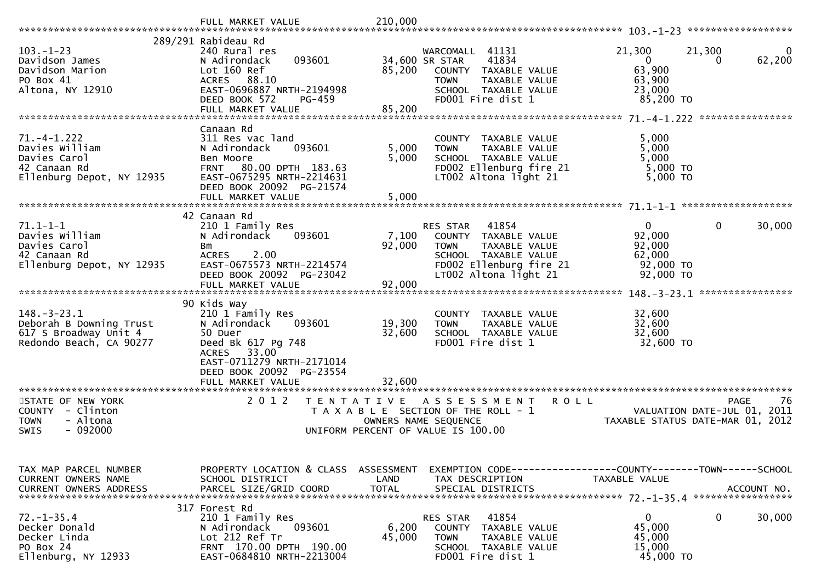|                                                                                                  | 289/291 Rabideau Rd                                                                                                                                                          |                      |                                                                                                                                                              |                                                                                                |
|--------------------------------------------------------------------------------------------------|------------------------------------------------------------------------------------------------------------------------------------------------------------------------------|----------------------|--------------------------------------------------------------------------------------------------------------------------------------------------------------|------------------------------------------------------------------------------------------------|
| $103. - 1 - 23$<br>Davidson James<br>Davidson Marion<br>PO Box 41<br>Altona, NY 12910            | 240 Rural res<br>093601<br>N Adirondack<br>Lot 160 Ref<br>ACRES 88.10<br>EAST-0696887 NRTH-2194998<br>DEED BOOK 572<br>PG-459                                                | 85,200               | WARCOMALL 41131<br>41834<br>34,600 SR STAR<br>COUNTY TAXABLE VALUE<br><b>TOWN</b><br>TAXABLE VALUE<br>SCHOOL TAXABLE VALUE<br>FD001 Fire dist 1              | 21,300<br>21,300<br>$\mathbf{0}$<br>62,200<br>0<br>63,900<br>63,900<br>23,000<br>85,200 TO     |
|                                                                                                  |                                                                                                                                                                              |                      |                                                                                                                                                              | ****************                                                                               |
| $71. -4 - 1.222$<br>Davies William<br>Davies Carol<br>42 Canaan Rd<br>Ellenburg Depot, NY 12935  | Canaan Rd<br>311 Res vac land<br>N Adirondack<br>093601<br>Ben Moore<br>80.00 DPTH 183.63<br><b>FRNT</b><br>EAST-0675295 NRTH-2214631<br>DEED BOOK 20092 PG-21574            | 5,000<br>5,000       | COUNTY TAXABLE VALUE<br><b>TOWN</b><br>TAXABLE VALUE<br>SCHOOL TAXABLE VALUE<br>FD002 Ellenburg fire 21<br>LT002 Altona light 21                             | 5,000<br>5,000<br>5,000<br>$5,000$ TO<br>5,000 TO                                              |
|                                                                                                  | FULL MARKET VALUE                                                                                                                                                            | 5,000                |                                                                                                                                                              |                                                                                                |
| $71.1 - 1 - 1$<br>Davies William<br>Davies Carol<br>42 Canaan Rd<br>Ellenburg Depot, NY 12935    | 42 Canaan Rd<br>210 1 Family Res<br>N Adirondack<br>093601<br>Bm<br>2.00<br><b>ACRES</b><br>EAST-0675573 NRTH-2214574<br>DEED BOOK 20092 PG-23042                            | 7,100<br>92,000      | 41854<br><b>RES STAR</b><br>COUNTY TAXABLE VALUE<br><b>TOWN</b><br>TAXABLE VALUE<br>SCHOOL TAXABLE VALUE<br>FD002 Ellenburg fire 21<br>LT002 Altona light 21 | $\mathbf{0}$<br>0<br>30,000<br>92,000<br>92,000<br>62,000<br>92,000 TO<br>92,000 TO            |
|                                                                                                  | FULL MARKET VALUE                                                                                                                                                            | 92,000               |                                                                                                                                                              | ****************                                                                               |
| $148. - 3 - 23.1$<br>Deborah B Downing Trust<br>617 S Broadway Unit 4<br>Redondo Beach, CA 90277 | 90 Kids Way<br>210 1 Family Res<br>N Adirondack<br>093601<br>50 Duer<br>Deed Bk 617 Pg 748<br>33.00<br><b>ACRES</b><br>EAST-0711279 NRTH-2171014<br>DEED BOOK 20092 PG-23554 | 19,300<br>32,600     | COUNTY TAXABLE VALUE<br>TAXABLE VALUE<br><b>TOWN</b><br>SCHOOL TAXABLE VALUE<br>FD001 Fire dist 1                                                            | 32,600<br>32,600<br>32,600<br>32,600 TO                                                        |
|                                                                                                  | FULL MARKET VALUE                                                                                                                                                            | 32,600               |                                                                                                                                                              |                                                                                                |
| STATE OF NEW YORK<br>COUNTY - Clinton<br>- Altona<br><b>TOWN</b><br>$-092000$<br><b>SWIS</b>     | 2 0 1 2<br>TENTATIVE                                                                                                                                                         | OWNERS NAME SEQUENCE | <b>ROLL</b><br>A S S E S S M E N T<br>T A X A B L E SECTION OF THE ROLL - 1<br>UNIFORM PERCENT OF VALUE IS 100.00                                            | -76<br>PAGE<br>VALUATION DATE-JUL 01, 2011<br>TAXABLE STATUS DATE-MAR 01, 2012                 |
| TAX MAP PARCEL NUMBER<br>CURRENT OWNERS NAME<br><b>CURRENT OWNERS ADDRESS</b>                    | PROPERTY LOCATION & CLASS ASSESSMENT<br>SCHOOL DISTRICT<br>PARCEL SIZE/GRID COORD                                                                                            | LAND<br><b>TOTAL</b> | TAX DESCRIPTION<br>SPECIAL DISTRICTS                                                                                                                         | EXEMPTION CODE------------------COUNTY--------TOWN------SCHOOL<br>TAXABLE VALUE<br>ACCOUNT NO. |
| $72. - 1 - 35.4$<br>Decker Donald<br>Decker Linda<br>PO Box 24<br>Ellenburg, NY 12933            | 317 Forest Rd<br>210 1 Family Res<br>093601<br>N Adirondack<br>Lot 212 Ref Tr<br>FRNT 170.00 DPTH 190.00<br>EAST-0684810 NRTH-2213004                                        | 6,200<br>45,000      | 41854<br>RES STAR<br>COUNTY TAXABLE VALUE<br><b>TOWN</b><br>TAXABLE VALUE<br>SCHOOL TAXABLE VALUE<br>FD001 Fire dist 1                                       | $\mathbf{0}$<br>0<br>30,000<br>45,000<br>45,000<br>15,000<br>45,000 TO                         |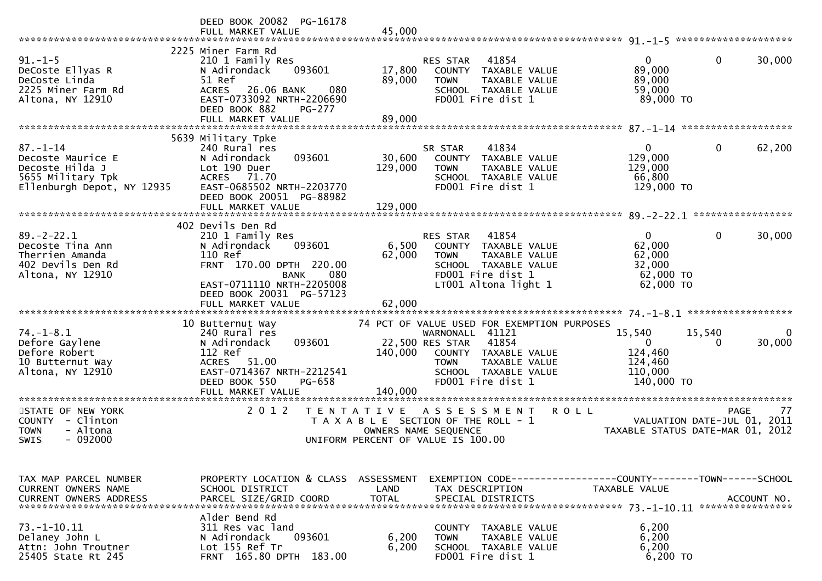|                                                                                                           | DEED BOOK 20082 PG-16178<br>FULL MARKET VALUE                                                                                                                                                             | 45,000                                                                                                                                                                      |                                                                                                            |
|-----------------------------------------------------------------------------------------------------------|-----------------------------------------------------------------------------------------------------------------------------------------------------------------------------------------------------------|-----------------------------------------------------------------------------------------------------------------------------------------------------------------------------|------------------------------------------------------------------------------------------------------------|
| $91. -1 - 5$<br>DeCoste Ellyas R<br>DeCoste Linda<br>2225 Miner Farm Rd<br>Altona, NY 12910               | 2225 Miner Farm Rd<br>210 1 Family Res<br>N Adirondack<br>093601<br>51 Ref<br><b>ACRES</b><br>26.06 BANK<br>080<br>EAST-0733092 NRTH-2206690<br>DEED BOOK 882<br><b>PG-277</b><br>FULL MARKET VALUE       | 41854<br><b>RES STAR</b><br>17,800<br>COUNTY TAXABLE VALUE<br>89,000<br>TAXABLE VALUE<br><b>TOWN</b><br>SCHOOL TAXABLE VALUE<br>FD001 Fire dist 1<br>89,000                 | $\mathbf{0}$<br>30,000<br>$\overline{0}$<br>89,000<br>89,000<br>59,000<br>89,000 TO                        |
|                                                                                                           |                                                                                                                                                                                                           |                                                                                                                                                                             |                                                                                                            |
| $87. - 1 - 14$<br>Decoste Maurice E<br>Decoste Hilda J<br>5655 Military Tpk<br>Ellenburgh Depot, NY 12935 | 5639 Military Tpke<br>240 Rural res<br>093601<br>N Adirondack<br>Lot 190 Duer<br>71.70<br><b>ACRES</b><br>EAST-0685502 NRTH-2203770<br>DEED BOOK 20051 PG-88982<br>FULL MARKET VALUE                      | 41834<br>SR STAR<br>30,600<br>COUNTY TAXABLE VALUE<br>129,000<br><b>TOWN</b><br>TAXABLE VALUE<br>SCHOOL TAXABLE VALUE<br>FD001 Fire dist 1<br>129,000                       | $\mathbf{0}$<br>$\mathbf 0$<br>62,200<br>129,000<br>129,000<br>66,800<br>129,000 TO                        |
|                                                                                                           |                                                                                                                                                                                                           |                                                                                                                                                                             |                                                                                                            |
| $89. - 2 - 22.1$<br>Decoste Tina Ann<br>Therrien Amanda<br>402 Devils Den Rd<br>Altona, NY 12910          | 402 Devils Den Rd<br>210 1 Family Res<br>093601<br>N Adirondack<br>110 Ref<br>FRNT 170.00 DPTH 220.00<br>080<br><b>BANK</b><br>EAST-0711110 NRTH-2205008<br>DEED BOOK 20031 PG-57123<br>FULL MARKET VALUE | 41854<br>RES STAR<br>6,500<br>COUNTY TAXABLE VALUE<br>62,000<br>TAXABLE VALUE<br><b>TOWN</b><br>SCHOOL TAXABLE VALUE<br>FD001 Fire dist 1<br>LT001 Altona light 1<br>62,000 | $\mathbf{0}$<br>$\mathbf{0}$<br>30,000<br>62,000<br>62,000<br>32,000<br>62,000 TO<br>62,000 TO             |
|                                                                                                           | 10 Butternut Way                                                                                                                                                                                          | 74 PCT OF VALUE USED FOR EXEMPTION PURPOSES                                                                                                                                 |                                                                                                            |
| $74. - 1 - 8.1$<br>Defore Gaylene<br>Defore Robert<br>10 Butternut Way<br>Altona, NY 12910                | 240 Rural res<br>093601<br>N Adirondack<br>112 Ref<br><b>ACRES</b><br>51.00<br>EAST-0714367 NRTH-2212541<br>PG-658<br>DEED BOOK 550                                                                       | WARNONALL 41121<br>41854<br>22,500 RES STAR<br>140,000<br>COUNTY TAXABLE VALUE<br>TAXABLE VALUE<br><b>TOWN</b><br>SCHOOL TAXABLE VALUE<br>FD001 Fire dist 1                 | 15,540<br>15,540<br>0<br>30,000<br>$\mathbf{0}$<br>$\Omega$<br>124,460<br>124,460<br>110,000<br>140,000 TO |
|                                                                                                           | FULL MARKET VALUE                                                                                                                                                                                         | 140,000                                                                                                                                                                     |                                                                                                            |
| STATE OF NEW YORK<br>COUNTY - Clinton<br><b>TOWN</b><br>- Altona<br><b>SWIS</b><br>$-092000$              | 2 0 1 2<br>T E N T A T I V E                                                                                                                                                                              | <b>ROLL</b><br>A S S E S S M E N T<br>T A X A B L E SECTION OF THE ROLL - 1<br>OWNERS NAME SEQUENCE<br>UNIFORM PERCENT OF VALUE IS 100.00                                   | <b>PAGE</b><br>77<br>VALUATION DATE-JUL 01, 2011<br>TAXABLE STATUS DATE-MAR 01, 2012                       |
| TAX MAP PARCEL NUMBER<br>CURRENT OWNERS NAME<br><b>CURRENT OWNERS ADDRESS</b>                             | PROPERTY LOCATION & CLASS ASSESSMENT<br>SCHOOL DISTRICT<br>PARCEL SIZE/GRID COORD                                                                                                                         | LAND<br>TAX DESCRIPTION<br><b>TOTAL</b><br>SPECIAL DISTRICTS                                                                                                                | TAXABLE VALUE<br>ACCOUNT NO.                                                                               |
| $73. - 1 - 10.11$<br>Delaney John L<br>Attn: John Troutner<br>25405 State Rt 245                          | Alder Bend Rd<br>311 Res vac land<br>N Adirondack<br>093601<br>Lot 155 Ref Tr<br>FRNT 165.80 DPTH 183.00                                                                                                  | COUNTY TAXABLE VALUE<br>6,200<br><b>TAXABLE VALUE</b><br><b>TOWN</b><br>6,200<br>SCHOOL TAXABLE VALUE<br>FD001 Fire dist 1                                                  | 6,200<br>6,200<br>6,200<br>6,200 TO                                                                        |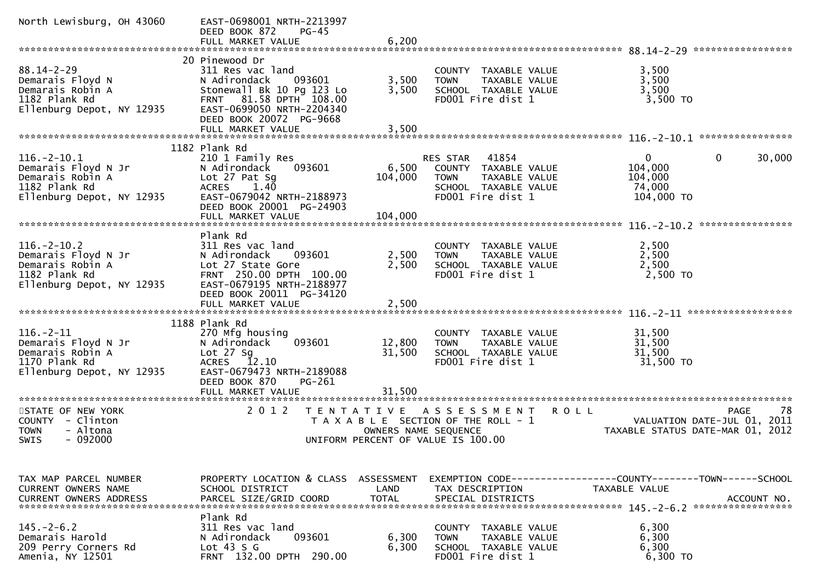| North Lewisburg, OH 43060                                                                                  | EAST-0698001 NRTH-2213997<br>DEED BOOK 872<br>$PG-45$<br>FULL MARKET VALUE                                                                                                                       | 6,200                              |                                                                                                                               |                                                                                 |                                                                                      |
|------------------------------------------------------------------------------------------------------------|--------------------------------------------------------------------------------------------------------------------------------------------------------------------------------------------------|------------------------------------|-------------------------------------------------------------------------------------------------------------------------------|---------------------------------------------------------------------------------|--------------------------------------------------------------------------------------|
|                                                                                                            |                                                                                                                                                                                                  |                                    |                                                                                                                               |                                                                                 |                                                                                      |
| $88.14 - 2 - 29$<br>Demarais Floyd N<br>Demarais Robin A<br>1182 Plank Rd<br>Ellenburg Depot, NY 12935     | 20 Pinewood Dr<br>311 Res vac land<br>N Adirondack<br>093601<br>Stonewall Bk 10 Pg 123 Lo<br>FRNT 81.58 DPTH 108.00<br>EAST-0699050 NRTH-2204340<br>DEED BOOK 20072 PG-9668<br>FULL MARKET VALUE | 3,500<br>3,500<br>3,500            | COUNTY TAXABLE VALUE<br>TAXABLE VALUE<br><b>TOWN</b><br>SCHOOL TAXABLE VALUE<br>FD001 Fire dist 1                             | 3,500<br>3,500<br>3,500<br>$3,500$ TO                                           |                                                                                      |
|                                                                                                            |                                                                                                                                                                                                  |                                    |                                                                                                                               |                                                                                 |                                                                                      |
| $116. - 2 - 10.1$<br>Demarais Floyd N Jr<br>Demarais Robin A<br>1182 Plank Rd<br>Ellenburg Depot, NY 12935 | 1182 Plank Rd<br>210 1 Family Res<br>093601<br>N Adirondack<br>Lot 27 Pat Sg<br>1.40<br><b>ACRES</b><br>EAST-0679042 NRTH-2188973<br>DEED BOOK 20001 PG-24903<br>FULL MARKET VALUE               | 6,500<br>104,000<br>104,000        | 41854<br><b>RES STAR</b><br>COUNTY TAXABLE VALUE<br>TAXABLE VALUE<br><b>TOWN</b><br>SCHOOL TAXABLE VALUE<br>FD001 Fire dist 1 | $\mathbf{0}$<br>104,000<br>104,000<br>74,000<br>104,000 TO                      | 30,000<br>0                                                                          |
|                                                                                                            |                                                                                                                                                                                                  |                                    |                                                                                                                               |                                                                                 |                                                                                      |
| $116. - 2 - 10.2$<br>Demarais Floyd N Jr<br>Demarais Robin A<br>1182 Plank Rd<br>Ellenburg Depot, NY 12935 | Plank Rd<br>311 Res vac land<br>N Adirondack<br>093601<br>Lot 27 State Gore<br>FRNT 250.00 DPTH 100.00<br>EAST-0679195 NRTH-2188977<br>DEED BOOK 20011 PG-34120                                  | 2,500<br>2,500                     | TAXABLE VALUE<br>COUNTY<br>TAXABLE VALUE<br><b>TOWN</b><br>SCHOOL TAXABLE VALUE<br>FD001 Fire dist 1                          | 2,500<br>2,500<br>2,500<br>2,500 TO                                             |                                                                                      |
|                                                                                                            | FULL MARKET VALUE                                                                                                                                                                                | 2,500                              |                                                                                                                               |                                                                                 |                                                                                      |
| $116. - 2 - 11$<br>Demarais Floyd N Jr<br>Demarais Robin A<br>1170 Plank Rd<br>Ellenburg Depot, NY 12935   | 1188 Plank Rd<br>270 Mfg housing<br>093601<br>N Adirondack<br>Lot $27$ Sg<br>12.10<br><b>ACRES</b><br>EAST-0679473 NRTH-2189088<br>DEED BOOK 870<br>PG-261<br>FULL MARKET VALUE                  | 12,800<br>31,500<br>31,500         | COUNTY TAXABLE VALUE<br><b>TOWN</b><br>TAXABLE VALUE<br>SCHOOL TAXABLE VALUE<br>FD001 Fire dist 1                             | 31,500<br>31,500<br>31,500<br>31,500 TO                                         |                                                                                      |
| STATE OF NEW YORK<br>COUNTY - Clinton<br>- Altona<br><b>TOWN</b><br>$-092000$<br><b>SWIS</b>               | 2 0 1 2<br>T E N T A T I V E                                                                                                                                                                     | OWNERS NAME SEQUENCE               | A S S E S S M E N T<br>T A X A B L E SECTION OF THE ROLL - 1<br>UNIFORM PERCENT OF VALUE IS 100.00                            | <b>ROLL</b>                                                                     | 78<br><b>PAGE</b><br>VALUATION DATE-JUL 01, 2011<br>TAXABLE STATUS DATE-MAR 01, 2012 |
| TAX MAP PARCEL NUMBER<br><b>CURRENT OWNERS NAME</b><br><b>CURRENT OWNERS ADDRESS</b>                       | PROPERTY LOCATION & CLASS<br>SCHOOL DISTRICT<br>PARCEL SIZE/GRID COORD                                                                                                                           | ASSESSMENT<br>LAND<br><b>TOTAL</b> | TAX DESCRIPTION<br>SPECIAL DISTRICTS                                                                                          | EXEMPTION CODE------------------COUNTY--------TOWN------SCHOOL<br>TAXABLE VALUE | ACCOUNT NO.                                                                          |
| $145. - 2 - 6.2$<br>Demarais Harold<br>209 Perry Corners Rd<br>Amenia, NY 12501                            | Plank Rd<br>311 Res vac land<br>093601<br>N Adirondack<br>Lot $43 S G$<br>FRNT 132.00 DPTH 290.00                                                                                                | 6,300<br>6,300                     | COUNTY TAXABLE VALUE<br>TAXABLE VALUE<br><b>TOWN</b><br>SCHOOL TAXABLE VALUE<br>FD001 Fire dist 1                             | 6,300<br>6,300<br>6,300<br>6,300 TO                                             |                                                                                      |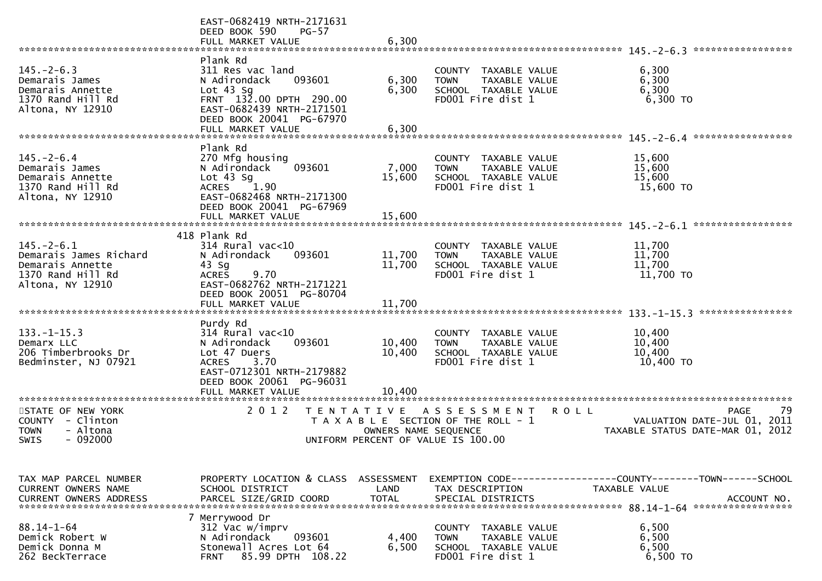|                                                                                                         | EAST-0682419 NRTH-2171631<br>DEED BOOK 590<br>$PG-57$<br>FULL MARKET VALUE                                                                                                                          | 6,300                      |                                                                                                      |                                                                                                  |
|---------------------------------------------------------------------------------------------------------|-----------------------------------------------------------------------------------------------------------------------------------------------------------------------------------------------------|----------------------------|------------------------------------------------------------------------------------------------------|--------------------------------------------------------------------------------------------------|
| $145. - 2 - 6.3$<br>Demarais James<br>Demarais Annette<br>1370 Rand Hill Rd<br>Altona, NY 12910         | Plank Rd<br>311 Res vac land<br>N Adirondack<br>093601<br>Lot $43$ Sq<br>FRNT 132.00 DPTH 290.00<br>EAST-0682439 NRTH-2171501<br>DEED BOOK 20041 PG-67970                                           | 6,300<br>6,300             | TAXABLE VALUE<br>COUNTY<br>TAXABLE VALUE<br><b>TOWN</b><br>SCHOOL TAXABLE VALUE<br>FD001 Fire dist 1 | *****************<br>6,300<br>6,300<br>6,300<br>6,300 TO                                         |
|                                                                                                         | FULL MARKET VALUE                                                                                                                                                                                   | 6,300                      |                                                                                                      |                                                                                                  |
| $145. - 2 - 6.4$<br>Demarais James<br>Demarais Annette<br>1370 Rand Hill Rd<br>Altona, NY 12910         | Plank Rd<br>270 Mfg housing<br>093601<br>N Adirondack<br>Lot $43$ Sq<br><b>ACRES</b><br>1.90<br>EAST-0682468 NRTH-2171300<br>DEED BOOK 20041 PG-67969<br>FULL MARKET VALUE                          | 7,000<br>15,600<br>15,600  | COUNTY TAXABLE VALUE<br><b>TOWN</b><br>TAXABLE VALUE<br>SCHOOL TAXABLE VALUE<br>FD001 Fire dist 1    | 15,600<br>15,600<br>15,600<br>15,600 TO                                                          |
|                                                                                                         | 418 Plank Rd                                                                                                                                                                                        |                            |                                                                                                      | *****************                                                                                |
| $145. - 2 - 6.1$<br>Demarais James Richard<br>Demarais Annette<br>1370 Rand Hill Rd<br>Altona, NY 12910 | $314$ Rural vac<10<br>093601<br>N Adirondack<br>$43$ Sg<br>9.70<br><b>ACRES</b><br>EAST-0682762 NRTH-2171221<br>DEED BOOK 20051 PG-80704                                                            | 11,700<br>11,700           | TAXABLE VALUE<br>COUNTY<br><b>TOWN</b><br>TAXABLE VALUE<br>SCHOOL TAXABLE VALUE<br>FD001 Fire dist 1 | 11,700<br>11,700<br>11,700<br>11,700 TO                                                          |
|                                                                                                         | FULL MARKET VALUE                                                                                                                                                                                   | 11,700                     |                                                                                                      | ****************                                                                                 |
| $133. - 1 - 15.3$<br>Demarx LLC<br>206 Timberbrooks Dr<br>Bedminster, NJ 07921                          | Purdy Rd<br>$314$ Rural vac<10<br>093601<br>N Adirondack<br>Lot 47 Duers<br>3.70<br><b>ACRES</b><br>EAST-0712301 NRTH-2179882<br>DEED BOOK 20061 PG-96031<br>FULL MARKET VALUE<br>***************** | 10,400<br>10,400<br>10.400 | COUNTY<br>TAXABLE VALUE<br><b>TOWN</b><br>TAXABLE VALUE<br>SCHOOL TAXABLE VALUE<br>FD001 Fire dist 1 | 10,400<br>10,400<br>10,400<br>10,400 TO                                                          |
| STATE OF NEW YORK<br>- Clinton<br><b>COUNTY</b><br>- Altona<br><b>TOWN</b><br>$-092000$<br>SWIS         | 2 0 1 2<br>T E N T A T I V E                                                                                                                                                                        | OWNERS NAME SEQUENCE       | A S S E S S M E N T<br>T A X A B L E SECTION OF THE ROLL - 1<br>UNIFORM PERCENT OF VALUE IS 100.00   | -79<br><b>PAGE</b><br>R O L L<br>VALUATION DATE-JUL 01, 2011<br>TAXABLE STATUS DATE-MAR 01, 2012 |
| TAX MAP PARCEL NUMBER<br>CURRENT OWNERS NAME                                                            | PROPERTY LOCATION & CLASS<br>SCHOOL DISTRICT                                                                                                                                                        | ASSESSMENT<br>LAND         | TAX DESCRIPTION                                                                                      | EXEMPTION CODE-----------------COUNTY-------TOWN------SCHOOL<br><b>TAXABLE VALUE</b>             |
| $88.14 - 1 - 64$<br>Demick Robert W<br>Demick Donna M<br>262 BeckTerrace                                | 7 Merrywood Dr<br>312 Vac w/imprv<br>N Adirondack<br>093601<br>Stonewall Acres Lot 64<br>85.99 DPTH 108.22<br><b>FRNT</b>                                                                           | 4,400<br>6,500             | COUNTY<br>TAXABLE VALUE<br><b>TOWN</b><br>TAXABLE VALUE<br>SCHOOL TAXABLE VALUE<br>FD001 Fire dist 1 | 6,500<br>6,500<br>6,500<br>6,500 TO                                                              |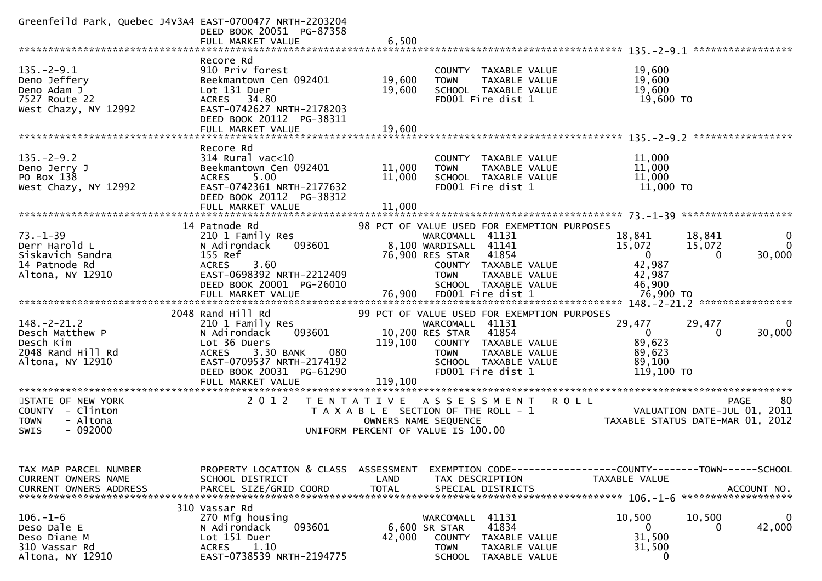| Greenfeild Park, Quebec J4V3A4 EAST-0700477 NRTH-2203204                                   | DEED BOOK 20051 PG-87358<br>FULL MARKET VALUE                                                                                                                                                     | 6,500                      |                                                                                                                       |                                                                        |                                                                               |                                                                                      |
|--------------------------------------------------------------------------------------------|---------------------------------------------------------------------------------------------------------------------------------------------------------------------------------------------------|----------------------------|-----------------------------------------------------------------------------------------------------------------------|------------------------------------------------------------------------|-------------------------------------------------------------------------------|--------------------------------------------------------------------------------------|
|                                                                                            |                                                                                                                                                                                                   |                            |                                                                                                                       |                                                                        |                                                                               |                                                                                      |
| $135. - 2 - 9.1$<br>Deno Jeffery<br>Deno Adam J<br>7527 Route 22<br>West Chazy, NY 12992   | Recore Rd<br>910 Priv forest<br>Beekmantown Cen 092401<br>Lot 131 Duer<br>ACRES 34.80<br>EAST-0742627 NRTH-2178203<br>DEED BOOK 20112 PG-38311<br>FULL MARKET VALUE                               | 19,600<br>19,600<br>19,600 | <b>COUNTY</b><br><b>TOWN</b><br>FD001 Fire dist 1                                                                     | TAXABLE VALUE<br><b>TAXABLE VALUE</b><br>SCHOOL TAXABLE VALUE          | 19,600<br>19,600<br>19,600<br>19,600 TO                                       |                                                                                      |
|                                                                                            |                                                                                                                                                                                                   |                            |                                                                                                                       |                                                                        |                                                                               |                                                                                      |
| $135. - 2 - 9.2$<br>Deno Jerry J<br>PO Box 138<br>West Chazy, NY 12992                     | Recore Rd<br>$314$ Rural vac<10<br>Beekmantown Cen 092401<br>5.00<br><b>ACRES</b><br>EAST-0742361 NRTH-2177632<br>DEED BOOK 20112 PG-38312<br>FULL MARKET VALUE                                   | 11,000<br>11,000<br>11,000 | <b>TOWN</b><br>FD001 Fire dist 1                                                                                      | COUNTY TAXABLE VALUE<br>TAXABLE VALUE<br>SCHOOL TAXABLE VALUE          | 11,000<br>11,000<br>11,000<br>11,000 TO                                       |                                                                                      |
|                                                                                            |                                                                                                                                                                                                   |                            |                                                                                                                       |                                                                        |                                                                               | *******************                                                                  |
| $73. - 1 - 39$<br>Derr Harold L                                                            | 14 Patnode Rd<br>210 1 Family Res<br>N Adirondack<br>093601                                                                                                                                       |                            | 98 PCT OF VALUE USED FOR EXEMPTION PURPOSES<br>WARCOMALL 41131<br>8,100 WARDISALL 41141                               |                                                                        | 18,841<br>15,072                                                              | 18,841<br>0<br>$\Omega$<br>15,072                                                    |
| Siskavich Sandra<br>14 Patnode Rd                                                          | 155 Ref<br><b>ACRES</b><br>3.60                                                                                                                                                                   |                            | 76,900 RES STAR                                                                                                       | 41854<br>COUNTY TAXABLE VALUE                                          | $\mathbf{0}$<br>42,987                                                        | 30,000<br>0                                                                          |
| Altona, NY 12910                                                                           | EAST-0698392 NRTH-2212409<br>DEED BOOK 20001 PG-26010<br>FULL MARKET VALUE                                                                                                                        | 76,900                     | <b>TOWN</b><br>FD001 Fire dist 1                                                                                      | <b>TAXABLE VALUE</b><br>SCHOOL TAXABLE VALUE                           | 42,987<br>46,900<br>76,900 TO                                                 |                                                                                      |
|                                                                                            |                                                                                                                                                                                                   |                            |                                                                                                                       |                                                                        | $148. - 2 - 21.2$                                                             | ****************                                                                     |
| $148. - 2 - 21.2$<br>Desch Matthew P<br>Desch Kim<br>2048 Rand Hill Rd<br>Altona, NY 12910 | 2048 Rand Hill Rd<br>210 1 Family Res<br>N Adirondack<br>093601<br>Lot 36 Duers<br>3.30 BANK<br>080<br><b>ACRES</b><br>EAST-0709537 NRTH-2174192<br>DEED BOOK 20031 PG-61290<br>FULL MARKET VALUE | 119,100<br>119,100         | 99 PCT OF VALUE USED FOR EXEMPTION PURPOSES<br>WARCOMALL 41131<br>10,200 RES STAR<br><b>TOWN</b><br>FD001 Fire dist 1 | 41854<br>COUNTY TAXABLE VALUE<br>TAXABLE VALUE<br>SCHOOL TAXABLE VALUE | 29,477<br>$\mathbf 0$<br>89,623<br>89,623<br>89,100<br>119,100 TO             | 29,477<br>0<br>30,000<br>0                                                           |
|                                                                                            | *****************************                                                                                                                                                                     |                            |                                                                                                                       |                                                                        |                                                                               |                                                                                      |
| STATE OF NEW YORK<br>COUNTY - Clinton<br>- Altona<br><b>TOWN</b><br>$-092000$<br>SWIS      | 2 0 1 2<br>TAXABLE                                                                                                                                                                                | T E N T A T I V E          | A S S E S S M E N T<br>SECTION OF THE ROLL - 1<br>OWNERS NAME SEQUENCE<br>UNIFORM PERCENT OF VALUE IS 100.00          |                                                                        | R O L L                                                                       | 80<br><b>PAGE</b><br>VALUATION DATE-JUL 01, 2011<br>TAXABLE STATUS DATE-MAR 01, 2012 |
| TAX MAP PARCEL NUMBER<br>CURRENT OWNERS NAME<br><b>CURRENT OWNERS ADDRESS</b>              | PROPERTY LOCATION & CLASS ASSESSMENT<br>SCHOOL DISTRICT<br>PARCEL SIZE/GRID COORD                                                                                                                 | LAND<br><b>TOTAL</b>       | TAX DESCRIPTION<br>SPECIAL DISTRICTS                                                                                  |                                                                        | EXEMPTION CODE-----------------COUNTY-------TOWN------SCHOOL<br>TAXABLE VALUE | ACCOUNT NO.<br>*******************                                                   |
| $106. - 1 - 6$<br>Deso Dale E<br>Deso Diane M<br>310 Vassar Rd<br>Altona, NY 12910         | 310 Vassar Rd<br>270 Mfg housing<br>N Adirondack<br>093601<br>Lot 151 Duer<br>1.10<br><b>ACRES</b><br>EAST-0738539 NRTH-2194775                                                                   | 42,000                     | WARCOMALL 41131<br>6,600 SR STAR<br><b>COUNTY</b><br><b>TOWN</b>                                                      | 41834<br>TAXABLE VALUE<br>TAXABLE VALUE<br>SCHOOL TAXABLE VALUE        | 10,500<br>$\mathbf 0$<br>31,500<br>31,500<br>0                                | 10,500<br>0<br>42,000<br>0                                                           |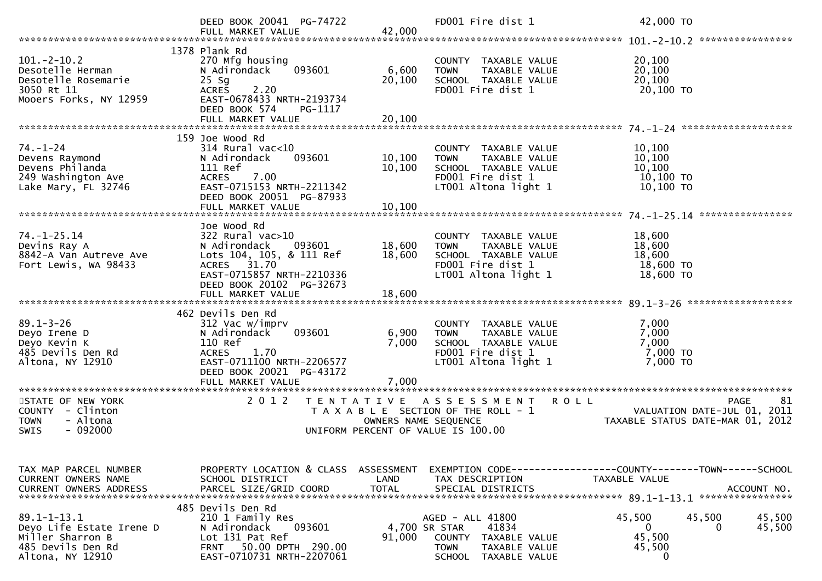|                                                                                                            | DEED BOOK 20041 PG-74722                                                                                                                                      |                         | FD001 Fire dist 1                                                                                                         | 42,000 TO                                                                                    |
|------------------------------------------------------------------------------------------------------------|---------------------------------------------------------------------------------------------------------------------------------------------------------------|-------------------------|---------------------------------------------------------------------------------------------------------------------------|----------------------------------------------------------------------------------------------|
| $101. - 2 - 10.2$<br>Desotelle Herman<br>Desotelle Rosemarie<br>3050 Rt 11<br>Mooers Forks, NY 12959       | 1378 Plank Rd<br>270 Mfg housing<br>093601<br>N Adirondack<br>$25$ Sg<br>2.20<br><b>ACRES</b><br>EAST-0678433 NRTH-2193734<br>DEED BOOK 574<br>PG-1117        | 6,600<br>20,100         | COUNTY TAXABLE VALUE<br><b>TOWN</b><br>TAXABLE VALUE<br>SCHOOL TAXABLE VALUE<br>FD001 Fire dist 1                         | 20,100<br>20,100<br>20,100<br>20,100 TO                                                      |
| $74. - 1 - 24$<br>Devens Raymond<br>Devens Philanda<br>249 Washington Ave<br>Lake Mary, FL 32746           | 159 Joe Wood Rd<br>$314$ Rural vac<10<br>093601<br>N Adirondack<br>111 Ref<br>7.00<br><b>ACRES</b><br>EAST-0715153 NRTH-2211342<br>DEED BOOK 20051 PG-87933   | 10,100<br>10,100        | COUNTY TAXABLE VALUE<br>TAXABLE VALUE<br><b>TOWN</b><br>SCHOOL TAXABLE VALUE<br>FD001 Fire dist 1<br>LT001 Altona light 1 | 10,100<br>10,100<br>10,100<br>10,100 TO<br>$10,100$ TO                                       |
| $74. - 1 - 25.14$<br>Devins Ray A<br>8842-A Van Autreve Ave<br>Fort Lewis, WA 98433                        | Joe Wood Rd<br>322 Rural vac>10<br>N Adirondack<br>093601<br>Lots 104, 105, & 111 Ref<br>ACRES 31.70<br>EAST-0715857 NRTH-2210336<br>DEED BOOK 20102 PG-32673 | 18,600<br>18,600        | COUNTY TAXABLE VALUE<br><b>TOWN</b><br>TAXABLE VALUE<br>SCHOOL TAXABLE VALUE<br>FD001 Fire dist 1<br>LT001 Altona light 1 | 18,600<br>18,600<br>18,600<br>18,600 TO<br>18,600 TO                                         |
| $89.1 - 3 - 26$<br>Deyo Irene D<br>Deyo Kevin K<br>485 Devils Den Rd<br>Altona, NY 12910                   | 462 Devils Den Rd<br>312 Vac w/imprv<br>093601<br>N Adirondack<br>110 Ref<br>1.70<br><b>ACRES</b><br>EAST-0711100 NRTH-2206577<br>DEED BOOK 20021 PG-43172    | 6,900<br>7,000          | COUNTY TAXABLE VALUE<br>TAXABLE VALUE<br><b>TOWN</b><br>SCHOOL TAXABLE VALUE<br>FD001 Fire dist 1<br>LT001 Altona light 1 | 7,000<br>7,000<br>7,000<br>7,000 TO<br>7,000 TO                                              |
| STATE OF NEW YORK<br>COUNTY - Clinton<br><b>TOWN</b><br>- Altona<br><b>SWIS</b><br>$-092000$               | 2 0 1 2<br>T E N T A T I V E                                                                                                                                  | OWNERS NAME SEQUENCE    | ASSESSMENT<br><b>ROLL</b><br>T A X A B L E SECTION OF THE ROLL - 1<br>UNIFORM PERCENT OF VALUE IS 100.00                  | 81<br><b>PAGE</b><br>VALUATION DATE-JUL 01,<br>2011<br>TAXABLE STATUS DATE-MAR 01, 2012      |
| TAX MAP PARCEL NUMBER<br>CURRENT OWNERS NAME<br><b>CURRENT OWNERS ADDRESS</b>                              | PROPERTY LOCATION & CLASS ASSESSMENT<br>SCHOOL DISTRICT<br>PARCEL SIZE/GRID COORD<br>485 Devils Den Rd                                                        | LAND<br><b>TOTAL</b>    | TAX DESCRIPTION<br>SPECIAL DISTRICTS                                                                                      | EXEMPTION CODE-----------------COUNTY-------TOWN------SCHOOL<br>TAXABLE VALUE<br>ACCOUNT NO. |
| $89.1 - 1 - 13.1$<br>Deyo Life Estate Irene D<br>Miller Sharron B<br>485 Devils Den Rd<br>Altona, NY 12910 | 210 1 Family Res<br>N Adirondack<br>093601<br>Lot 131 Pat Ref<br>50.00 DPTH 290.00<br><b>FRNT</b><br>EAST-0710731 NRTH-2207061                                | 4,700 SR STAR<br>91,000 | AGED - ALL 41800<br>41834<br>COUNTY<br>TAXABLE VALUE<br><b>TOWN</b><br>TAXABLE VALUE<br><b>SCHOOL</b><br>TAXABLE VALUE    | 45,500<br>45,500<br>45,500<br>$\mathbf{0}$<br>45,500<br>0<br>45,500<br>45,500<br>0           |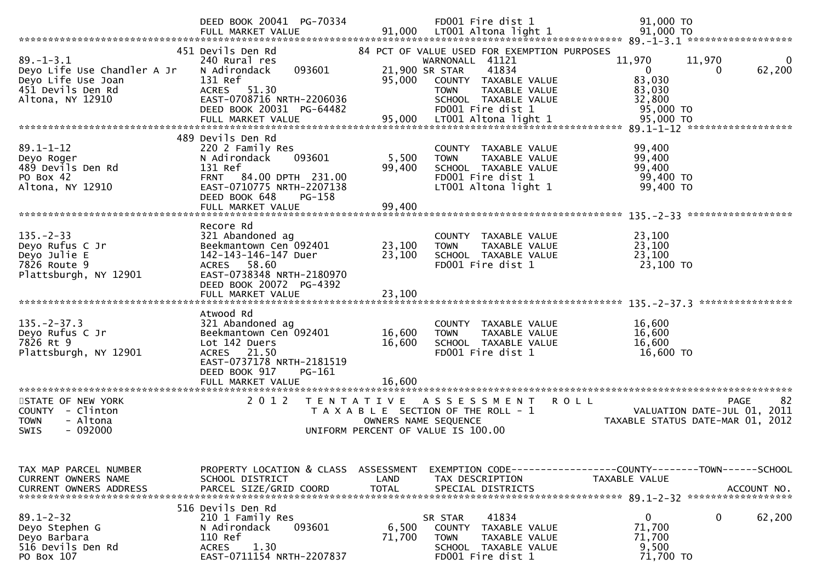|                                                                                                               | DEED BOOK 20041 PG-70334                                                                                                                                                          |                                           | FD001 Fire dist 1                                                                                                                                                                                                      | 91,000 TO                                                                                         |
|---------------------------------------------------------------------------------------------------------------|-----------------------------------------------------------------------------------------------------------------------------------------------------------------------------------|-------------------------------------------|------------------------------------------------------------------------------------------------------------------------------------------------------------------------------------------------------------------------|---------------------------------------------------------------------------------------------------|
| $89. - 1 - 3.1$<br>Deyo Life Use Chandler A Jr<br>Deyo Life Use Joan<br>451 Devils Den Rd<br>Altona, NY 12910 | 451 Devils Den Rd<br>240 Rural res<br>093601<br>N Adirondack<br>131 Ref<br><b>ACRES</b><br>51.30<br>EAST-0708716 NRTH-2206036<br>DEED BOOK 20031 PG-64482<br>FULL MARKET VALUE    | 95,000<br>95,000                          | 84 PCT OF VALUE USED FOR EXEMPTION PURPOSES<br>WARNONALL 41121<br>41834<br>21,900 SR STAR<br>COUNTY TAXABLE VALUE<br>TAXABLE VALUE<br><b>TOWN</b><br>SCHOOL TAXABLE VALUE<br>FD001 Fire dist 1<br>LT001 Altona light 1 | 11,970<br>11,970<br>0<br>62,200<br>0<br>0<br>83,030<br>83,030<br>32,800<br>95,000 TO<br>95,000 TO |
|                                                                                                               |                                                                                                                                                                                   |                                           |                                                                                                                                                                                                                        |                                                                                                   |
| $89.1 - 1 - 12$<br>Deyo Roger<br>489 Devils Den Rd<br>PO Box 42<br>Altona, NY 12910                           | 489 Devils Den Rd<br>220 2 Family Res<br>N Adirondack<br>093601<br>131 Ref<br>FRNT 84.00 DPTH 231.00<br>EAST-0710775 NRTH-2207138<br>DEED BOOK 648<br>PG-158<br>FULL MARKET VALUE | 5,500<br>99,400<br>99,400                 | COUNTY TAXABLE VALUE<br><b>TOWN</b><br>TAXABLE VALUE<br>SCHOOL TAXABLE VALUE<br>FD001 Fire dist 1<br>LT001 Altona light 1                                                                                              | 99,400<br>99,400<br>99,400<br>99,400 TO<br>99,400 TO                                              |
|                                                                                                               |                                                                                                                                                                                   |                                           |                                                                                                                                                                                                                        | $135 - 2 - 33$ ********************                                                               |
| $135. - 2 - 33$<br>Deyo Rufus C Jr<br>Deyo Julie E<br>7826 Route 9<br>Plattsburgh, NY 12901                   | Recore Rd<br>321 Abandoned ag<br>Beekmantown Cen 092401<br>142-143-146-147 Duer<br>ACRES 58.60<br>EAST-0738348 NRTH-2180970<br>DEED BOOK 20072 PG-4392<br>FULL MARKET VALUE       | 23,100<br>23,100<br>23,100                | <b>COUNTY</b><br><b>TAXABLE VALUE</b><br>TAXABLE VALUE<br><b>TOWN</b><br>SCHOOL TAXABLE VALUE<br>FD001 Fire dist 1                                                                                                     | 23,100<br>23,100<br>23,100<br>23,100 TO                                                           |
|                                                                                                               |                                                                                                                                                                                   |                                           |                                                                                                                                                                                                                        |                                                                                                   |
| $135. - 2 - 37.3$<br>Deyo Rufus C Jr<br>7826 Rt 9<br>Plattsburgh, NY 12901                                    | Atwood Rd<br>321 Abandoned ag<br>Beekmantown Cen 092401<br>Lot 142 Duers<br>21.50<br><b>ACRES</b><br>EAST-0737178 NRTH-2181519<br>DEED BOOK 917<br>PG-161                         | 16,600<br>16,600                          | COUNTY TAXABLE VALUE<br><b>TOWN</b><br>TAXABLE VALUE<br>SCHOOL TAXABLE VALUE<br>FD001 Fire dist 1                                                                                                                      | 16,600<br>16,600<br>16,600<br>16,600 TO                                                           |
| **********************                                                                                        | FULL MARKET VALUE<br>***********************                                                                                                                                      | 16.600                                    |                                                                                                                                                                                                                        |                                                                                                   |
| STATE OF NEW YORK<br>- Clinton<br>COUNTY<br>- Altona<br><b>TOWN</b><br>$-092000$<br><b>SWIS</b>               | 2 0 1 2                                                                                                                                                                           | T E N T A T I V E<br>OWNERS NAME SEQUENCE | A S S E S S M E N T<br>T A X A B L E SECTION OF THE ROLL - 1<br>UNIFORM PERCENT OF VALUE IS 100.00                                                                                                                     | -82<br><b>PAGE</b><br>R O L L<br>VALUATION DATE-JUL 01, 2011<br>TAXABLE STATUS DATE-MAR 01, 2012  |
| TAX MAP PARCEL NUMBER<br>CURRENT OWNERS NAME<br><b>CURRENT OWNERS ADDRESS</b>                                 | PROPERTY LOCATION & CLASS<br>SCHOOL DISTRICT<br>PARCEL SIZE/GRID COORD                                                                                                            | ASSESSMENT<br>LAND<br><b>TOTAL</b>        | TAX DESCRIPTION<br>SPECIAL DISTRICTS                                                                                                                                                                                   | EXEMPTION CODE-----------------COUNTY-------TOWN------SCHOOL<br>TAXABLE VALUE<br>ACCOUNT NO.      |
| $89.1 - 2 - 32$<br>Deyo Stephen G<br>Deyo Barbara<br>516 Devils Den Rd<br>PO Box 107                          | 516 Devils Den Rd<br>210 1 Family Res<br>N Adirondack<br>093601<br>110 Ref<br>1.30<br><b>ACRES</b><br>EAST-0711154 NRTH-2207837                                                   | 6,500<br>71,700                           | 41834<br>SR STAR<br><b>COUNTY</b><br>TAXABLE VALUE<br><b>TOWN</b><br>TAXABLE VALUE<br>SCHOOL TAXABLE VALUE<br>FD001 Fire dist 1                                                                                        | $\mathbf 0$<br>0<br>62,200<br>71,700<br>71,700<br>9,500<br>71,700 TO                              |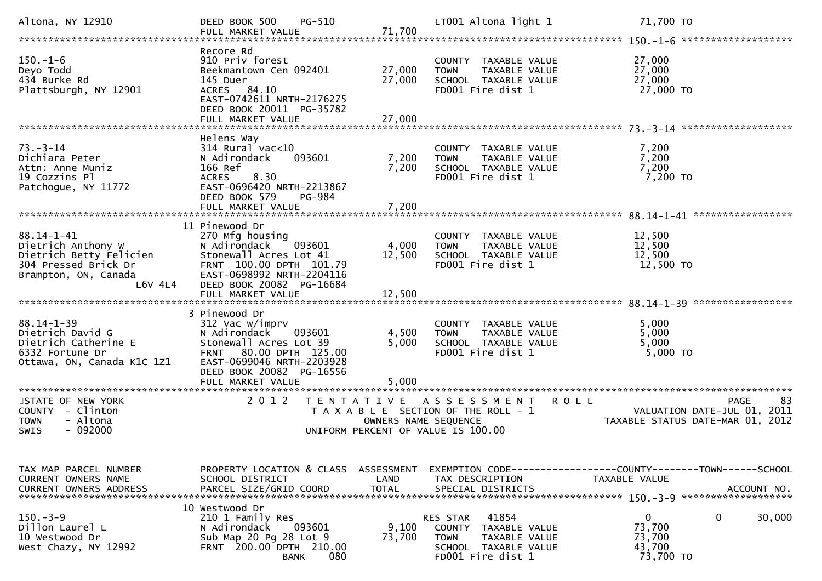| Altona, NY 12910                                                                                                             | PG-510<br>DEED BOOK 500<br>FULL MARKET VALUE                                                                                                                              | 71,700                     | LT001 Altona light 1                                                                                                   | 71,700 TO                                                                                    |
|------------------------------------------------------------------------------------------------------------------------------|---------------------------------------------------------------------------------------------------------------------------------------------------------------------------|----------------------------|------------------------------------------------------------------------------------------------------------------------|----------------------------------------------------------------------------------------------|
| $150. - 1 - 6$<br>Deyo Todd<br>434 Burke Rd<br>Plattsburgh, NY 12901                                                         | Recore Rd<br>910 Priv forest<br>Beekmantown Cen 092401<br>145 Duer<br>ACRES 84.10<br>EAST-0742611 NRTH-2176275<br>DEED BOOK 20011 PG-35782<br>FULL MARKET VALUE           | 27,000<br>27,000<br>27,000 | COUNTY TAXABLE VALUE<br>TAXABLE VALUE<br><b>TOWN</b><br>SCHOOL TAXABLE VALUE<br>FD001 Fire dist 1                      | 27,000<br>27,000<br>27,000<br>27,000 TO                                                      |
| $73 - 3 - 14$<br>Dichiara Peter<br>Attn: Anne Muniz<br>19 Cozzins Pl<br>Patchogue, NY 11772                                  | Helens Way<br>$314$ Rural vac<10<br>N Adirondack<br>093601<br>166 Ref<br>8.30<br><b>ACRES</b><br>EAST-0696420 NRTH-2213867<br>DEED BOOK 579<br>PG-984                     | 7,200<br>7,200             | COUNTY TAXABLE VALUE<br>TAXABLE VALUE<br><b>TOWN</b><br>SCHOOL TAXABLE VALUE<br>FD001 Fire dist 1                      | 7,200<br>7,200<br>7,200<br>7,200 TO                                                          |
| $88.14 - 1 - 41$<br>Dietrich Anthony W<br>Dietrich Betty Felicien<br>304 Pressed Brick Dr<br>Brampton, ON, Canada<br>L6V 4L4 | 11 Pinewood Dr<br>270 Mfg housing<br>N Adirondack<br>093601<br>Stonewall Acres Lot 41<br>FRNT 100.00 DPTH 101.79<br>EAST-0698992 NRTH-2204116<br>DEED BOOK 20082 PG-16684 | 4,000<br>12,500            | COUNTY TAXABLE VALUE<br>TAXABLE VALUE<br><b>TOWN</b><br>SCHOOL TAXABLE VALUE<br>FD001 Fire dist 1                      | 12,500<br>12,500<br>12,500<br>12,500 TO                                                      |
| $88.14 - 1 - 39$<br>Dietrich David G<br>Dietrich Catherine E<br>6332 Fortune Dr<br>Ottawa, ON, Canada K1C 1Z1                | 3 Pinewood Dr<br>312 Vac w/imprv<br>N Adirondack<br>093601<br>Stonewall Acres Lot 39<br>FRNT 80.00 DPTH 125.00<br>EAST-0699046 NRTH-2203928<br>DEED BOOK 20082 PG-16556   | 4,500<br>5,000             | COUNTY TAXABLE VALUE<br>TAXABLE VALUE<br><b>TOWN</b><br>SCHOOL TAXABLE VALUE<br>FD001 Fire dist 1                      | 5,000<br>5,000<br>5,000<br>5,000 TO                                                          |
| STATE OF NEW YORK<br>COUNTY - Clinton<br><b>TOWN</b><br>- Altona<br><b>SWIS</b><br>$-092000$                                 | 2 0 1 2<br>T E N T A T I V E                                                                                                                                              | OWNERS NAME SEQUENCE       | <b>ROLL</b><br>A S S E S S M E N T<br>T A X A B L E SECTION OF THE ROLL - 1<br>UNIFORM PERCENT OF VALUE IS 100.00      | 83<br>PAGE<br>VALUATION DATE-JUL 01,<br>2011<br>TAXABLE STATUS DATE-MAR 01, 2012             |
| TAX MAP PARCEL NUMBER<br>CURRENT OWNERS NAME<br><b>CURRENT OWNERS ADDRESS</b>                                                | PROPERTY LOCATION & CLASS ASSESSMENT<br>SCHOOL DISTRICT<br>PARCEL SIZE/GRID COORD                                                                                         | LAND<br><b>TOTAL</b>       | TAX DESCRIPTION<br>SPECIAL DISTRICTS                                                                                   | EXEMPTION CODE-----------------COUNTY-------TOWN------SCHOOL<br>TAXABLE VALUE<br>ACCOUNT NO. |
| $150. - 3 - 9$<br>Dillon Laurel L<br>10 Westwood Dr<br>West Chazy, NY 12992                                                  | 10 Westwood Dr<br>210 1 Family Res<br>N Adirondack<br>093601<br>Sub Map 20 Pg 28 Lot 9<br>FRNT 200.00 DPTH 210.00<br><b>BANK</b><br>080                                   | 9,100<br>73,700            | 41854<br>RES STAR<br>COUNTY TAXABLE VALUE<br><b>TOWN</b><br>TAXABLE VALUE<br>SCHOOL TAXABLE VALUE<br>FD001 Fire dist 1 | 0<br>0<br>30,000<br>73,700<br>73,700<br>43,700<br>73,700 TO                                  |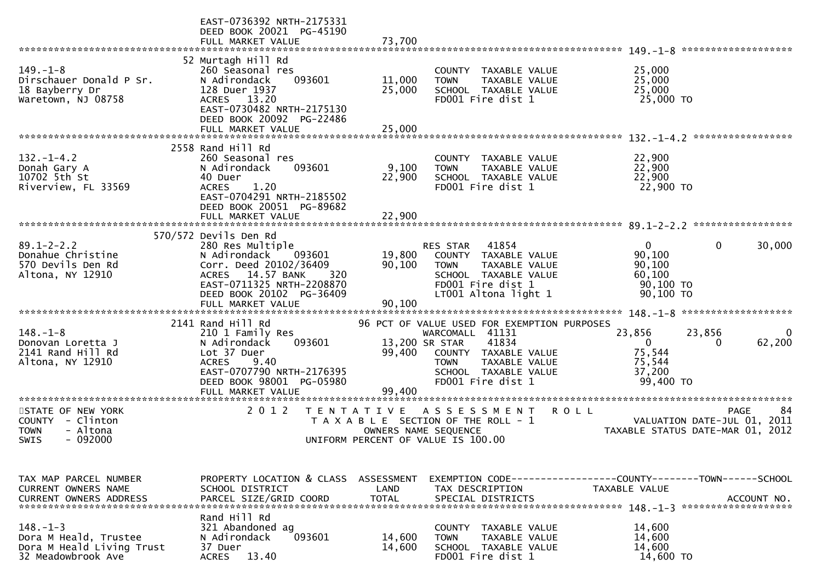|                                                                                                       | EAST-0736392 NRTH-2175331<br>DEED BOOK 20021 PG-45190<br>FULL MARKET VALUE                                                                                                                                       | 73,700                             |                                                                                                                                                                                                       | *******************                                                                                  |
|-------------------------------------------------------------------------------------------------------|------------------------------------------------------------------------------------------------------------------------------------------------------------------------------------------------------------------|------------------------------------|-------------------------------------------------------------------------------------------------------------------------------------------------------------------------------------------------------|------------------------------------------------------------------------------------------------------|
| $149. - 1 - 8$<br>Dirschauer Donald P Sr.<br>18 Bayberry Dr<br>Waretown, NJ 08758                     | 52 Murtagh Hill Rd<br>260 Seasonal res<br>093601<br>N Adirondack<br>128 Duer 1937<br>ACRES 13.20<br>EAST-0730482 NRTH-2175130<br>DEED BOOK 20092 PG-22486<br>FULL MARKET VALUE                                   | 11,000<br>25,000<br>25,000         | COUNTY TAXABLE VALUE<br>TAXABLE VALUE<br><b>TOWN</b><br>SCHOOL TAXABLE VALUE<br>FD001 Fire dist 1                                                                                                     | 25,000<br>25,000<br>25,000<br>25,000 TO                                                              |
| $132. - 1 - 4.2$<br>Donah Gary A<br>10702 5th St<br>Riverview, FL 33569                               | 2558 Rand Hill Rd<br>260 Seasonal res<br>093601<br>N Adirondack<br>40 Duer<br><b>ACRES</b><br>1.20<br>EAST-0704291 NRTH-2185502                                                                                  | 9,100<br>22,900                    | COUNTY TAXABLE VALUE<br><b>TOWN</b><br>TAXABLE VALUE<br>SCHOOL TAXABLE VALUE<br>FD001 Fire dist 1                                                                                                     | 22,900<br>22,900<br>22,900<br>22,900 TO                                                              |
|                                                                                                       | DEED BOOK 20051 PG-89682<br>FULL MARKET VALUE                                                                                                                                                                    | 22,900                             |                                                                                                                                                                                                       |                                                                                                      |
| $89.1 - 2 - 2.2$<br>Donahue Christine<br>570 Devils Den Rd<br>Altona, NY 12910                        | 570/572 Devils Den Rd<br>280 Res Multiple<br>N Adirondack<br>093601<br>Corr. Deed 20102/36409<br>14.57 BANK<br><b>ACRES</b><br>320<br>EAST-0711325 NRTH-2208870<br>DEED BOOK 20102 PG-36409<br>FULL MARKET VALUE | 19,800<br>90,100<br>90,100         | 41854<br>RES STAR<br>COUNTY<br>TAXABLE VALUE<br><b>TOWN</b><br>TAXABLE VALUE<br>SCHOOL TAXABLE VALUE<br>FD001 Fire dist 1<br>LT001 Altona light 1                                                     | $\overline{0}$<br>$\Omega$<br>30,000<br>90,100<br>90,100<br>60,100<br>90,100 TO<br>90,100 TO         |
| $148. - 1 - 8$<br>Donovan Loretta J<br>2141 Rand Hill Rd<br>Altona, NY 12910<br>********************* | 2141 Rand Hill Rd<br>210 1 Family Res<br>093601<br>N Adirondack<br>Lot 37 Duer<br>9.40<br><b>ACRES</b><br>EAST-0707790 NRTH-2176395<br>DEED BOOK 98001 PG-05980<br>FULL MARKET VALUE<br>********************     | 99,400<br>99,400                   | 96 PCT OF VALUE USED FOR EXEMPTION PURPOSES<br>WARCOMALL 41131<br>13,200 SR STAR<br>41834<br>COUNTY TAXABLE VALUE<br><b>TAXABLE VALUE</b><br><b>TOWN</b><br>SCHOOL TAXABLE VALUE<br>FD001 Fire dist 1 | 23,856<br>23,856<br>0<br>62,200<br>$\mathbf{0}$<br>0<br>75,544<br>75,544<br>37,200<br>99,400 TO      |
| STATE OF NEW YORK<br><b>COUNTY</b><br>- Clinton<br>- Altona<br><b>TOWN</b><br>- 092000<br><b>SWIS</b> | 2 0 1 2<br>T E N T A T I V E                                                                                                                                                                                     |                                    | A S S E S S M E N T<br>T A X A B L E SECTION OF THE ROLL - 1<br>OWNERS NAME SEQUENCE<br>UNIFORM PERCENT OF VALUE IS 100.00                                                                            | -84<br><b>ROLL</b><br><b>PAGE</b><br>VALUATION DATE-JUL 01, 2011<br>TAXABLE STATUS DATE-MAR 01, 2012 |
| TAX MAP PARCEL NUMBER<br><b>CURRENT OWNERS NAME</b><br><b>CURRENT OWNERS ADDRESS</b>                  | PROPERTY LOCATION & CLASS<br>SCHOOL DISTRICT<br>PARCEL SIZE/GRID COORD                                                                                                                                           | ASSESSMENT<br>LAND<br><b>TOTAL</b> | TAX DESCRIPTION<br>SPECIAL DISTRICTS                                                                                                                                                                  | EXEMPTION CODE-----------------COUNTY-------TOWN------SCHOOL<br>TAXABLE VALUE<br>ACCOUNT NO.         |
| $148. - 1 - 3$<br>Dora M Heald, Trustee<br>Dora M Heald Living Trust<br>32 Meadowbrook Ave            | Rand Hill Rd<br>321 Abandoned ag<br>093601<br>N Adirondack<br>37 Duer<br><b>ACRES</b><br>13.40                                                                                                                   | 14,600<br>14,600                   | COUNTY TAXABLE VALUE<br><b>TOWN</b><br>TAXABLE VALUE<br>SCHOOL TAXABLE VALUE<br>FD001 Fire dist 1                                                                                                     | 14,600<br>14,600<br>14,600<br>14,600 TO                                                              |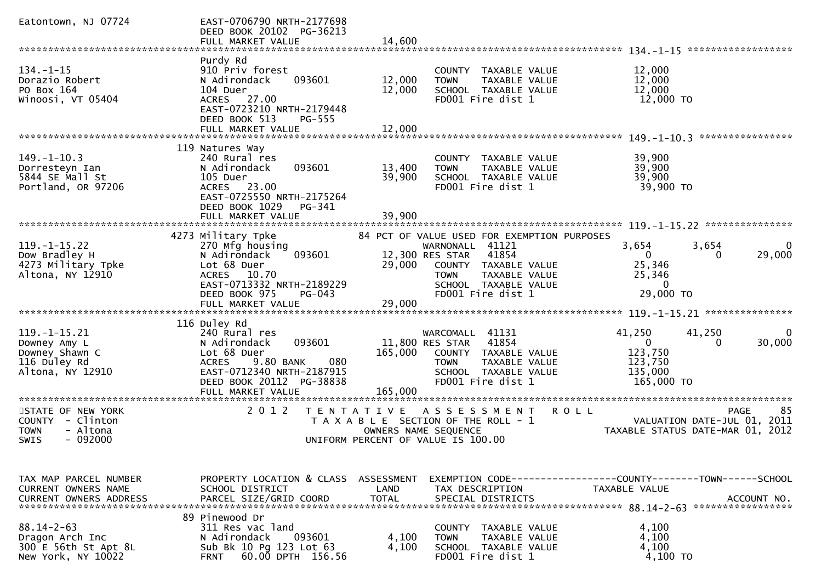| Eatontown, NJ 07724                                                                             | EAST-0706790 NRTH-2177698<br>DEED BOOK 20102 PG-36213<br>FULL MARKET VALUE                                                                                                                                      | 14,600                                |                                                                                                                                                                                     |                                                                                                                                                        |
|-------------------------------------------------------------------------------------------------|-----------------------------------------------------------------------------------------------------------------------------------------------------------------------------------------------------------------|---------------------------------------|-------------------------------------------------------------------------------------------------------------------------------------------------------------------------------------|--------------------------------------------------------------------------------------------------------------------------------------------------------|
|                                                                                                 |                                                                                                                                                                                                                 |                                       |                                                                                                                                                                                     | $134. - 1 - 15$ ********************                                                                                                                   |
| $134. - 1 - 15$<br>Dorazio Robert<br>PO Box 164<br>Winoosi, VT 05404                            | Purdy Rd<br>910 Priv forest<br>093601<br>N Adirondack<br>104 Duer<br>ACRES 27.00<br>EAST-0723210 NRTH-2179448<br>DEED BOOK 513<br>PG-555<br>FULL MARKET VALUE                                                   | 12,000<br>12,000<br>12,000            | COUNTY TAXABLE VALUE<br><b>TOWN</b><br>TAXABLE VALUE<br>SCHOOL TAXABLE VALUE<br>FD001 Fire dist 1                                                                                   | 12,000<br>12,000<br>12,000<br>12,000 TO<br>****************                                                                                            |
|                                                                                                 | 119 Natures Wav                                                                                                                                                                                                 |                                       |                                                                                                                                                                                     |                                                                                                                                                        |
| $149. - 1 - 10.3$<br>Dorresteyn Ian<br>5844 SE Mall St<br>Portland, OR 97206                    | 240 Rural res<br>093601<br>N Adirondack<br>105 Duer<br>ACRES 23.00<br>EAST-0725550 NRTH-2175264<br>DEED BOOK 1029<br>PG-341                                                                                     | 13,400<br>39,900                      | COUNTY TAXABLE VALUE<br><b>TOWN</b><br>TAXABLE VALUE<br>SCHOOL TAXABLE VALUE<br>FD001 Fire dist 1                                                                                   | 39,900<br>39,900<br>39,900<br>39,900 TO                                                                                                                |
|                                                                                                 | FULL MARKET VALUE                                                                                                                                                                                               | 39,900                                |                                                                                                                                                                                     |                                                                                                                                                        |
| $119. - 1 - 15.22$<br>Dow Bradley H<br>4273 Military Tpke<br>Altona, NY 12910                   | 4273 Military Tpke<br>270 Mfg housing<br>093601<br>N Adirondack<br>Lot 68 Duer<br>ACRES 10.70<br>EAST-0713332 NRTH-2189229<br>DEED BOOK 975<br>PG-043<br>FULL MARKET VALUE                                      | 12,300 RES STAR<br>29,000<br>29,000   | 84 PCT OF VALUE USED FOR EXEMPTION PURPOSES<br>WARNONALL 41121<br>41854<br>COUNTY TAXABLE VALUE<br><b>TAXABLE VALUE</b><br><b>TOWN</b><br>SCHOOL TAXABLE VALUE<br>FD001 Fire dist 1 | $119. - 1 - 15.22$<br>***************<br>3,654<br>3,654<br>$\Omega$<br>29,000<br>$\Omega$<br>$\Omega$<br>25,346<br>25,346<br>$\mathbf{0}$<br>29,000 TO |
| $119. - 1 - 15.21$<br>Downey Amy L<br>Downey Shawn C<br>116 Duley Rd<br>Altona, NY 12910        | 116 Duley Rd<br>240 Rural res<br>093601<br>N Adirondack<br>Lot 68 Duer<br>080<br>9.80 BANK<br><b>ACRES</b><br>EAST-0712340 NRTH-2187915<br>DEED BOOK 20112 PG-38838<br>FULL MARKET VALUE<br>******************* | 11,800 RES STAR<br>165,000<br>165,000 | WARCOMALL 41131<br>41854<br>COUNTY TAXABLE VALUE<br><b>TOWN</b><br>TAXABLE VALUE<br>SCHOOL TAXABLE VALUE<br>FD001 Fire dist 1                                                       | 41,250<br>41,250<br>0<br>30,000<br>$\mathbf{0}$<br>0<br>123,750<br>123,750<br>135,000<br>165,000 TO                                                    |
| STATE OF NEW YORK<br><b>COUNTY</b><br>- Clinton<br><b>TOWN</b><br>- Altona<br>$-092000$<br>SWIS | 2 0 1 2<br>T E N T A T I V E                                                                                                                                                                                    | OWNERS NAME SEQUENCE                  | A S S E S S M E N T<br>T A X A B L E SECTION OF THE ROLL - 1<br>UNIFORM PERCENT OF VALUE IS 100.00                                                                                  | 85<br>R O L L<br><b>PAGE</b><br>VALUATION DATE-JUL 01, 2011<br>TAXABLE STATUS DATE-MAR 01, 2012                                                        |
| TAX MAP PARCEL NUMBER<br>CURRENT OWNERS NAME                                                    | PROPERTY LOCATION & CLASS<br>SCHOOL DISTRICT                                                                                                                                                                    | ASSESSMENT<br>LAND                    | TAX DESCRIPTION                                                                                                                                                                     | EXEMPTION CODE-----------------COUNTY-------TOWN------SCHOOL<br>TAXABLE VALUE                                                                          |
| $88.14 - 2 - 63$<br>Dragon Arch Inc<br>300 E 56th St Apt 8L<br>New York, NY 10022               | 89 Pinewood Dr<br>311 Res vac land<br>093601<br>N Adirondack<br>Sub Bk 10 Pg 123 Lot 63<br>60.00 DPTH 156.56<br><b>FRNT</b>                                                                                     | 4,100<br>4,100                        | COUNTY TAXABLE VALUE<br>TAXABLE VALUE<br><b>TOWN</b><br>SCHOOL TAXABLE VALUE<br>FD001 Fire dist 1                                                                                   | 4,100<br>4,100<br>4,100<br>4,100 TO                                                                                                                    |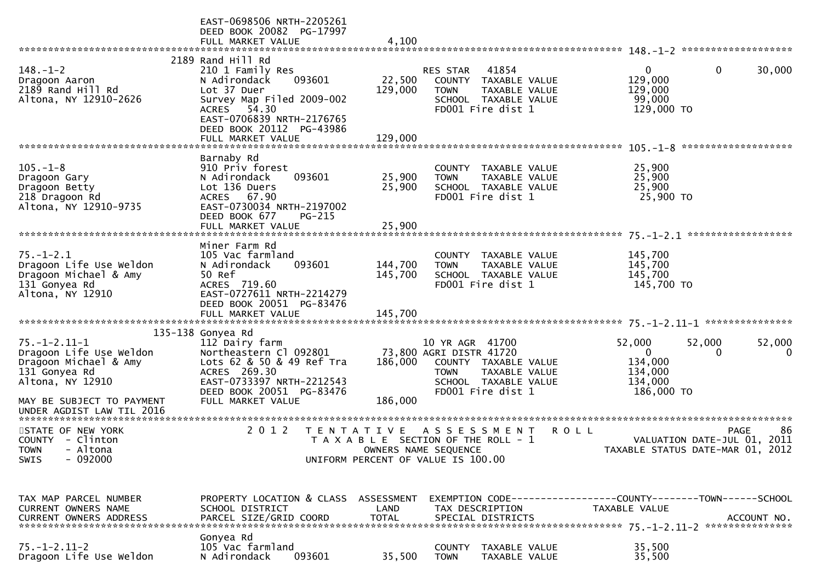|                                                                                                               | EAST-0698506 NRTH-2205261<br>DEED BOOK 20082 PG-17997<br>FULL MARKET VALUE                                                                                                                               | 4,100                        |                                                                                                                                                 |             |                                                                       |                                                                                      |
|---------------------------------------------------------------------------------------------------------------|----------------------------------------------------------------------------------------------------------------------------------------------------------------------------------------------------------|------------------------------|-------------------------------------------------------------------------------------------------------------------------------------------------|-------------|-----------------------------------------------------------------------|--------------------------------------------------------------------------------------|
|                                                                                                               |                                                                                                                                                                                                          |                              |                                                                                                                                                 |             |                                                                       |                                                                                      |
| $148. - 1 - 2$<br>Dragoon Aaron<br>2189 Rand Hill Rd<br>Altona, NY 12910-2626                                 | 2189 Rand Hill Rd<br>210 1 Family Res<br>N Adirondack<br>093601<br>Lot 37 Duer<br>Survey Map Filed 2009-002<br>ACRES 54.30<br>EAST-0706839 NRTH-2176765<br>DEED BOOK 20112 PG-43986<br>FULL MARKET VALUE | 22,500<br>129,000<br>129,000 | 41854<br><b>RES STAR</b><br>COUNTY TAXABLE VALUE<br><b>TOWN</b><br>TAXABLE VALUE<br>SCHOOL TAXABLE VALUE<br>FD001 Fire dist 1                   |             | $\mathbf{0}$<br>129,000<br>129,000<br>99,000<br>129,000 TO            | 0<br>30,000                                                                          |
|                                                                                                               |                                                                                                                                                                                                          |                              |                                                                                                                                                 |             |                                                                       |                                                                                      |
| $105. - 1 - 8$<br>Dragoon Gary<br>Dragoon Betty<br>218 Dragoon Rd<br>Altona, NY 12910-9735                    | Barnaby Rd<br>910 Priv forest<br>N Adirondack<br>093601<br>Lot 136 Duers<br>ACRES 67.90<br>EAST-0730034 NRTH-2197002<br>DEED BOOK 677<br>PG-215                                                          | 25,900<br>25,900             | COUNTY TAXABLE VALUE<br><b>TOWN</b><br>TAXABLE VALUE<br>SCHOOL TAXABLE VALUE<br>FD001 Fire dist 1                                               |             | 25,900<br>25,900<br>25,900<br>25,900 TO                               |                                                                                      |
|                                                                                                               | FULL MARKET VALUE                                                                                                                                                                                        | 25,900                       |                                                                                                                                                 |             |                                                                       |                                                                                      |
|                                                                                                               |                                                                                                                                                                                                          |                              |                                                                                                                                                 |             |                                                                       |                                                                                      |
| $75. - 1 - 2.1$<br>Dragoon Life Use Weldon<br>Dragoon Michael & Amy<br>131 Gonyea Rd<br>Altona, NY 12910      | Miner Farm Rd<br>105 Vac farmland<br>N Adirondack<br>093601<br>50 Ref<br>ACRES 719.60<br>EAST-0727611 NRTH-2214279<br>DEED BOOK 20051 PG-83476                                                           | 144,700<br>145,700           | COUNTY TAXABLE VALUE<br>TAXABLE VALUE<br><b>TOWN</b><br>SCHOOL TAXABLE VALUE<br>FD001 Fire dist 1                                               |             | 145,700<br>145,700<br>145,700<br>145,700 TO                           |                                                                                      |
|                                                                                                               |                                                                                                                                                                                                          |                              |                                                                                                                                                 |             |                                                                       |                                                                                      |
|                                                                                                               |                                                                                                                                                                                                          |                              |                                                                                                                                                 |             |                                                                       |                                                                                      |
| $75. - 1 - 2.11 - 1$<br>Dragoon Life Use Weldon<br>Dragoon Michael & Amy<br>131 Gonyea Rd<br>Altona, NY 12910 | 135-138 Gonyea Rd<br>112 Dairy farm<br>Northeastern Cl 092801<br>Lots 62 & 50 & 49 Ref Tra<br>ACRES 269.30<br>EAST-0733397 NRTH-2212543<br>DEED BOOK 20051 PG-83476                                      | 186,000                      | 10 YR AGR 41700<br>73,800 AGRI DISTR 41720<br>COUNTY TAXABLE VALUE<br><b>TOWN</b><br>TAXABLE VALUE<br>SCHOOL TAXABLE VALUE<br>FD001 Fire dist 1 |             | 52,000<br>$\mathbf{0}$<br>134,000<br>134,000<br>134,000<br>186,000 TO | 52,000<br>52,000<br>0<br>0                                                           |
| MAY BE SUBJECT TO PAYMENT<br>UNDER AGDIST LAW TIL 2016                                                        | FULL MARKET VALUE                                                                                                                                                                                        | 186,000                      |                                                                                                                                                 |             |                                                                       |                                                                                      |
| STATE OF NEW YORK<br>COUNTY - Clinton<br>TOWN - Altona<br>- 092000<br><b>SWIS</b>                             | 2 0 1 2                                                                                                                                                                                                  |                              | TENTATIVE ASSESSMENT<br>T A X A B L E SECTION OF THE ROLL - 1<br>OWNERS NAME SEQUENCE<br>UNIFORM PERCENT OF VALUE IS 100.00                     | <b>ROLL</b> |                                                                       | 86<br><b>PAGE</b><br>VALUATION DATE-JUL 01, 2011<br>TAXABLE STATUS DATE-MAR 01, 2012 |
| TAX MAP PARCEL NUMBER<br>CURRENT OWNERS NAME                                                                  | PROPERTY LOCATION & CLASS ASSESSMENT<br>SCHOOL DISTRICT                                                                                                                                                  | LAND                         | EXEMPTION CODE-----------------COUNTY-------TOWN------SCHOOL<br>TAX DESCRIPTION                                                                 |             | TAXABLE VALUE                                                         |                                                                                      |
| $75. - 1 - 2.11 - 2$<br>Dragoon Life Use Weldon                                                               | Gonyea Rd<br>105 Vac farmland<br>093601<br>N Adirondack                                                                                                                                                  | 35,500                       | COUNTY TAXABLE VALUE<br><b>TOWN</b><br>TAXABLE VALUE                                                                                            |             | 35,500<br>35,500                                                      |                                                                                      |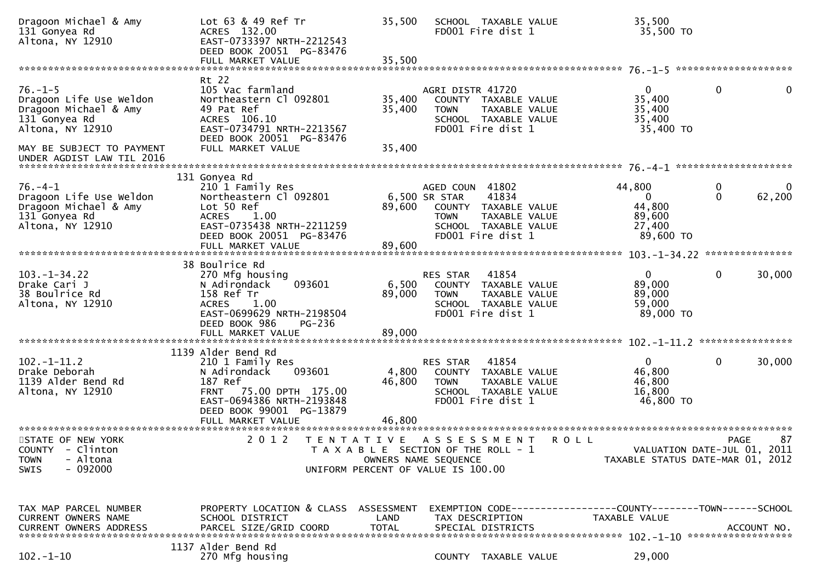| Dragoon Michael & Amy<br>131 Gonyea Rd<br>Altona, NY 12910                                             | Lot 63 & 49 Ref Tr<br>ACRES 132.00<br>EAST-0733397 NRTH-2212543<br>DEED BOOK 20051 PG-83476<br>FULL MARKET VALUE                                                                              | 35,500<br>35,500          | SCHOOL TAXABLE VALUE<br>FD001 Fire dist 1                                                                                                      |             | 35,500<br>35,500 TO                                               |                  |              |
|--------------------------------------------------------------------------------------------------------|-----------------------------------------------------------------------------------------------------------------------------------------------------------------------------------------------|---------------------------|------------------------------------------------------------------------------------------------------------------------------------------------|-------------|-------------------------------------------------------------------|------------------|--------------|
|                                                                                                        |                                                                                                                                                                                               |                           |                                                                                                                                                |             |                                                                   |                  |              |
| $76. - 1 - 5$<br>Dragoon Life Use Weldon<br>Dragoon Michael & Amy<br>131 Gonyea Rd<br>Altona, NY 12910 | Rt 22<br>105 Vac farmland<br>Northeastern Cl 092801<br>49 Pat Ref<br>ACRES 106.10<br>EAST-0734791 NRTH-2213567<br>DEED BOOK 20051 PG-83476                                                    | 35,400<br>35,400          | AGRI DISTR 41720<br>COUNTY TAXABLE VALUE<br><b>TOWN</b><br>TAXABLE VALUE<br>SCHOOL TAXABLE VALUE<br>FD001 Fire dist 1                          |             | $\mathbf{0}$<br>35,400<br>35,400<br>35,400<br>35,400 TO           | $\mathbf 0$      | $\mathbf{0}$ |
| MAY BE SUBJECT TO PAYMENT<br>UNDER AGDIST LAW TIL 2016                                                 | FULL MARKET VALUE                                                                                                                                                                             | 35,400                    |                                                                                                                                                |             |                                                                   |                  |              |
| $76. -4 - 1$<br>Dragoon Life Use Weldon<br>Dragoon Michael & Amy<br>131 Gonyea Rd<br>Altona, NY 12910  | 131 Gonyea Rd<br>210 1 Family Res<br>Northeastern Cl 092801<br>Lot 50 Ref<br><b>ACRES</b><br>1.00<br>EAST-0735438 NRTH-2211259<br>DEED BOOK 20051 PG-83476                                    | 89,600                    | AGED COUN 41802<br>41834<br>6,500 SR STAR<br>COUNTY TAXABLE VALUE<br>TAXABLE VALUE<br><b>TOWN</b><br>SCHOOL TAXABLE VALUE<br>FD001 Fire dist 1 |             | 44,800<br>$\mathbf{0}$<br>44,800<br>89,600<br>27,400<br>89,600 TO | 0<br>$\mathbf 0$ | 62,200       |
|                                                                                                        |                                                                                                                                                                                               |                           |                                                                                                                                                |             |                                                                   |                  |              |
| $103. - 1 - 34.22$<br>Drake Cari J<br>38 Boulrice Rd<br>Altona, NY 12910                               | 38 Boulrice Rd<br>270 Mfg housing<br>093601<br>N Adirondack<br>158 Ref Tr<br>1.00<br><b>ACRES</b><br>EAST-0699629 NRTH-2198504<br>DEED BOOK 986<br>PG-236                                     | 6,500<br>89,000           | 41854<br>RES STAR<br>COUNTY TAXABLE VALUE<br>TAXABLE VALUE<br><b>TOWN</b><br>SCHOOL TAXABLE VALUE<br>FD001 Fire dist 1                         |             | $\mathbf{0}$<br>89,000<br>89,000<br>59,000<br>89,000 TO           | $\mathbf{0}$     | 30,000       |
|                                                                                                        | FULL MARKET VALUE                                                                                                                                                                             | 89,000                    |                                                                                                                                                |             |                                                                   |                  |              |
| $102 - 1 - 11.2$<br>Drake Deborah<br>1139 Alder Bend Rd<br>Altona, NY 12910                            | 1139 Alder Bend Rd<br>210 1 Family Res<br>093601<br>N Adirondack<br>187 Ref<br><b>FRNT</b><br>75.00 DPTH 175.00<br>EAST-0694386 NRTH-2193848<br>DEED BOOK 99001 PG-13879<br>FULL MARKET VALUE | 4,800<br>46,800<br>46,800 | 41854<br><b>RES STAR</b><br>COUNTY TAXABLE VALUE<br><b>TOWN</b><br>TAXABLE VALUE<br>SCHOOL TAXABLE VALUE<br>FD001 Fire dist 1                  |             | $\mathbf{0}$<br>46,800<br>46,800<br>16,800<br>46,800 TO           | $\mathbf{0}$     | 30,000       |
| STATE OF NEW YORK<br>COUNTY - Clinton<br>- Altona<br><b>TOWN</b><br>$-092000$<br><b>SWIS</b>           | 2 0 1 2                                                                                                                                                                                       |                           | TENTATIVE ASSESSMENT<br>T A X A B L E SECTION OF THE ROLL - 1<br>OWNERS NAME SEQUENCE<br>UNIFORM PERCENT OF VALUE IS 100.00                    | <b>ROLL</b> | VALUATION DATE-JUL 01, 2011<br>TAXABLE STATUS DATE-MAR 01, 2012   | <b>PAGE</b>      | 87           |
| TAX MAP PARCEL NUMBER<br>CURRENT OWNERS NAME<br>CURRENT OWNERS ADDRESS                                 | PROPERTY LOCATION & CLASS ASSESSMENT<br>SCHOOL DISTRICT<br>PARCEL SIZE/GRID COORD<br>1137 Alder Bend Rd                                                                                       | LAND<br><b>TOTAL</b>      | EXEMPTION CODE-----------------COUNTY-------TOWN------SCHOOL<br>TAX DESCRIPTION<br>SPECIAL DISTRICTS                                           |             | TAXABLE VALUE                                                     |                  | ACCOUNT NO.  |
| $102 - 1 - 10$                                                                                         | 270 Mfg housing                                                                                                                                                                               |                           | COUNTY TAXABLE VALUE                                                                                                                           |             | 29,000                                                            |                  |              |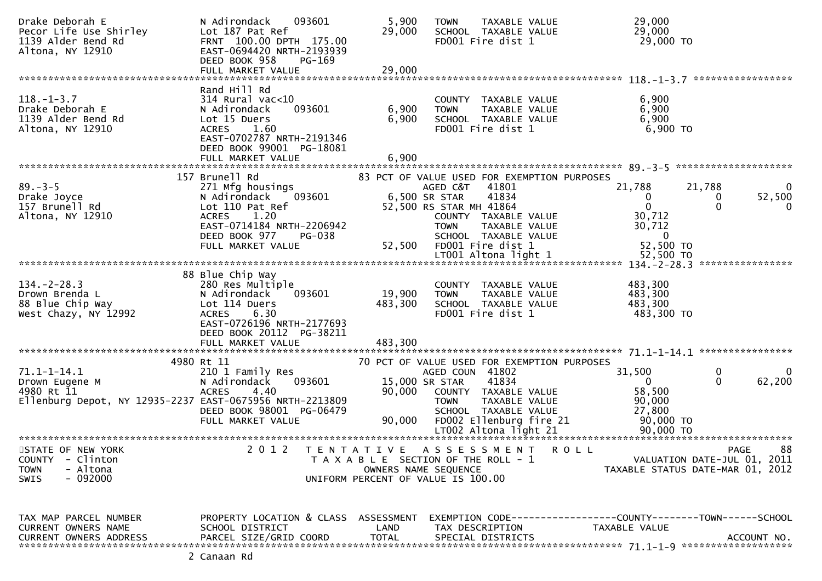| Drake Deborah E<br>Pecor Life Use Shirley<br>1139 Alder Bend Rd<br>Altona, NY 12910                           | 093601<br>N Adirondack<br>Lot 187 Pat Ref<br>FRNT 100.00 DPTH 175.00<br>EAST-0694420 NRTH-2193939<br>DEED BOOK 958<br>PG-169<br>FULL MARKET VALUE                                  | 5,900<br>29,000<br>29,000 | TAXABLE VALUE<br><b>TOWN</b><br>SCHOOL TAXABLE VALUE<br>FD001 Fire dist 1                                                                                                                             | 29,000<br>29,000<br>29,000 TO                                                        |                                                                                      |
|---------------------------------------------------------------------------------------------------------------|------------------------------------------------------------------------------------------------------------------------------------------------------------------------------------|---------------------------|-------------------------------------------------------------------------------------------------------------------------------------------------------------------------------------------------------|--------------------------------------------------------------------------------------|--------------------------------------------------------------------------------------|
|                                                                                                               |                                                                                                                                                                                    |                           |                                                                                                                                                                                                       |                                                                                      | *****************                                                                    |
| $118. - 1 - 3.7$<br>Drake Deborah E<br>1139 Alder Bend Rd<br>Altona, NY 12910                                 | Rand Hill Rd<br>$314$ Rural vac<10<br>093601<br>N Adirondack<br>Lot 15 Duers<br><b>ACRES</b><br>1.60<br>EAST-0702787 NRTH-2191346<br>DEED BOOK 99001 PG-18081<br>FULL MARKET VALUE | 6,900<br>6,900<br>6,900   | COUNTY TAXABLE VALUE<br>TAXABLE VALUE<br><b>TOWN</b><br>SCHOOL TAXABLE VALUE<br>FD001 Fire dist 1                                                                                                     | 6,900<br>6,900<br>6,900<br>6,900 TO                                                  |                                                                                      |
|                                                                                                               | 157 Brunell Rd                                                                                                                                                                     |                           |                                                                                                                                                                                                       |                                                                                      |                                                                                      |
| $89. - 3 - 5$<br>Drake Joyce<br>157 Brunell Rd<br>Altona, NY 12910                                            | 271 Mfg housings<br>093601<br>N Adirondack<br>Lot 110 Pat Ref<br>1.20<br><b>ACRES</b><br>EAST-0714184 NRTH-2206942<br>DEED BOOK 977<br><b>PG-038</b>                               |                           | 83 PCT OF VALUE USED FOR EXEMPTION PURPOSES<br>AGED C&T<br>41801<br>41834<br>6,500 SR STAR<br>52,500 RS STAR MH 41864<br>COUNTY TAXABLE VALUE<br><b>TOWN</b><br>TAXABLE VALUE<br>SCHOOL TAXABLE VALUE | 21,788<br>0<br>$\mathbf 0$<br>30,712<br>30,712<br>$\Omega$                           | 21,788<br>0<br>52,500<br>0<br>$\mathbf 0$<br>0                                       |
|                                                                                                               | FULL MARKET VALUE                                                                                                                                                                  | 52,500                    | FD001 Fire dist 1                                                                                                                                                                                     | 52,500 TO                                                                            |                                                                                      |
|                                                                                                               |                                                                                                                                                                                    |                           | LT001 Altona light 1                                                                                                                                                                                  | 52,500 TO                                                                            | ****************                                                                     |
|                                                                                                               | 88 Blue Chip Way                                                                                                                                                                   |                           |                                                                                                                                                                                                       |                                                                                      |                                                                                      |
| $134 - 2 - 28.3$<br>Drown Brenda L<br>88 Blue Chip Way<br>West Chazy, NY 12992                                | 280 Res Multiple<br>N Adirondack<br>093601<br>Lot 114 Duers<br><b>ACRES</b><br>6.30<br>EAST-0726196 NRTH-2177693<br>DEED BOOK 20112 PG-38211                                       | 19,900<br>483,300         | COUNTY TAXABLE VALUE<br>TAXABLE VALUE<br><b>TOWN</b><br>SCHOOL TAXABLE VALUE<br>FD001 Fire dist 1                                                                                                     | 483,300<br>483,300<br>483,300<br>483,300 TO                                          |                                                                                      |
|                                                                                                               | FULL MARKET VALUE                                                                                                                                                                  | 483,300                   |                                                                                                                                                                                                       |                                                                                      |                                                                                      |
|                                                                                                               | 4980 Rt 11                                                                                                                                                                         |                           | 70 PCT OF VALUE USED FOR EXEMPTION PURPOSES                                                                                                                                                           |                                                                                      |                                                                                      |
| $71.1 - 1 - 14.1$<br>Drown Eugene M<br>4980 Rt 11<br>Ellenburg Depot, NY 12935-2237 EAST-0675956 NRTH-2213809 | 210 1 Family Res<br>093601<br>N Adirondack<br><b>ACRES</b><br>4.40<br>DEED BOOK 98001 PG-06479<br>FULL MARKET VALUE                                                                | 90,000<br>90,000          | AGED COUN 41802<br>15,000 SR STAR<br>41834<br>COUNTY TAXABLE VALUE<br>TAXABLE VALUE<br><b>TOWN</b><br>SCHOOL TAXABLE VALUE<br>FD002 Ellenburg fire 21<br>LT002 Altona light 21                        | 31,500<br>$\Omega$<br>58,500<br>90,000<br>27,800<br>90,000 TO<br>90,000 TO           | 0<br>0<br>62,200<br>$\Omega$                                                         |
|                                                                                                               |                                                                                                                                                                                    |                           |                                                                                                                                                                                                       |                                                                                      |                                                                                      |
| STATE OF NEW YORK<br><b>COUNTY</b><br>- Clinton<br>- Altona<br><b>TOWN</b><br>$-092000$<br><b>SWIS</b>        | 2 0 1 2                                                                                                                                                                            | T E N T A T I V E         | A S S E S S M E N T<br>T A X A B L E SECTION OF THE ROLL - 1<br>OWNERS NAME SEQUENCE<br>UNIFORM PERCENT OF VALUE IS 100.00                                                                            | <b>ROLL</b>                                                                          | 88<br><b>PAGE</b><br>VALUATION DATE-JUL 01, 2011<br>TAXABLE STATUS DATE-MAR 01, 2012 |
| TAX MAP PARCEL NUMBER<br>CURRENT OWNERS NAME<br><b>CURRENT OWNERS ADDRESS</b>                                 | PROPERTY LOCATION & CLASS ASSESSMENT<br>SCHOOL DISTRICT<br>PARCEL SIZE/GRID COORD                                                                                                  | LAND<br><b>TOTAL</b>      | TAX DESCRIPTION<br>SPECIAL DISTRICTS                                                                                                                                                                  | EXEMPTION        CODE-----------------COUNTY-------TOWN------SCHOOL<br>TAXABLE VALUE | ACCOUNT NO.                                                                          |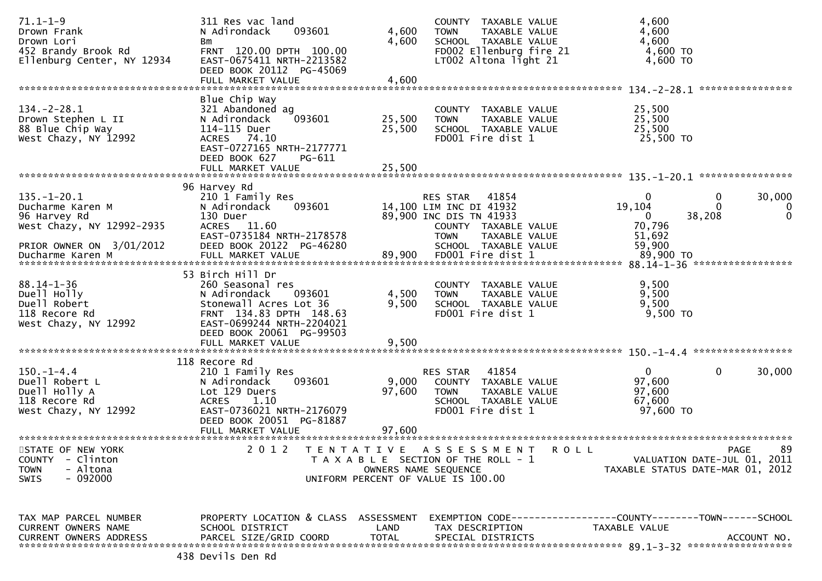| $71.1 - 1 - 9$<br>Drown Frank<br>Drown Lori<br>452 Brandy Brook Rd<br>Ellenburg Center, NY 12934 | 311 Res vac land<br>093601<br>N Adirondack<br>Bm<br>FRNT 120.00 DPTH 100.00<br>EAST-0675411 NRTH-2213582<br>DEED BOOK 20112 PG-45069<br>FULL MARKET VALUE | 4,600<br>4,600<br>4,600 | COUNTY TAXABLE VALUE<br><b>TOWN</b><br>TAXABLE VALUE<br>SCHOOL TAXABLE VALUE<br>FD002 Ellenburg fire 21<br>LT002 Altona light 21 | 4,600<br>4,600<br>4,600<br>4,600 TO<br>4,600 TO<br>****************                                 |
|--------------------------------------------------------------------------------------------------|-----------------------------------------------------------------------------------------------------------------------------------------------------------|-------------------------|----------------------------------------------------------------------------------------------------------------------------------|-----------------------------------------------------------------------------------------------------|
| $134 - 2 - 28.1$                                                                                 | Blue Chip Way<br>321 Abandoned ag                                                                                                                         |                         | COUNTY TAXABLE VALUE                                                                                                             | 25,500                                                                                              |
| Drown Stephen L II<br>88 Blue Chip Way<br>West Chazy, NY 12992                                   | N Adirondack<br>093601<br>114-115 Duer<br>ACRES 74.10<br>EAST-0727165 NRTH-2177771<br>DEED BOOK 627<br>PG-611                                             | 25,500<br>25,500        | TAXABLE VALUE<br><b>TOWN</b><br>SCHOOL TAXABLE VALUE<br>FD001 Fire dist 1                                                        | 25,500<br>25,500<br>25,500 TO                                                                       |
|                                                                                                  | FULL MARKET VALUE                                                                                                                                         | 25,500                  |                                                                                                                                  |                                                                                                     |
| $135. - 1 - 20.1$<br>Ducharme Karen M                                                            | 96 Harvey Rd<br>210 1 Family Res<br>093601<br>N Adirondack                                                                                                |                         | RES STAR<br>41854<br>14,100 LIM INC DI 41932                                                                                     | 30,000<br>$\Omega$<br>0<br>19,104<br>$\bf{0}$                                                       |
| 96 Harvey Rd<br>West Chazy, NY 12992-2935                                                        | 130 Duer<br>ACRES 11.60<br>EAST-0735184 NRTH-2178578                                                                                                      |                         | 89,900 INC DIS TN 41933<br>COUNTY TAXABLE VALUE<br>TAXABLE VALUE<br><b>TOWN</b>                                                  | 38,208<br>0<br>0<br>70,796<br>51,692                                                                |
| PRIOR OWNER ON 3/01/2012<br>Ducharme Karen M                                                     | DEED BOOK 20122 PG-46280<br>FULL MARKET VALUE                                                                                                             | 89,900                  | SCHOOL TAXABLE VALUE<br>FD001 Fire dist 1                                                                                        | 59,900<br>89,900 TO                                                                                 |
| $88.14 - 1 - 36$                                                                                 | 53 Birch Hill Dr<br>260 Seasonal res                                                                                                                      |                         | COUNTY TAXABLE VALUE                                                                                                             | 9,500                                                                                               |
| Duell Holly<br>Duell Robert<br>118 Recore Rd<br>West Chazy, NY 12992                             | N Adirondack<br>093601<br>Stonewall Acres Lot 36<br>FRNT 134.83 DPTH 148.63<br>EAST-0699244 NRTH-2204021                                                  | 4,500<br>9,500          | TAXABLE VALUE<br><b>TOWN</b><br>SCHOOL TAXABLE VALUE<br>FD001 Fire dist 1                                                        | 9,500<br>9,500<br>9,500 TO                                                                          |
|                                                                                                  | DEED BOOK 20061 PG-99503<br>FULL MARKET VALUE                                                                                                             | 9,500                   |                                                                                                                                  |                                                                                                     |
| $150.-1-4.4$<br>Duell Robert L<br>Duell Holly A<br>118 Recore Rd                                 | 118 Recore Rd<br>210 1 Family Res<br>093601<br>N Adirondack<br>Lot 129 Duers<br><b>ACRES</b><br>1.10                                                      | 9,000<br>97,600         | 41854<br>RES STAR<br>COUNTY TAXABLE VALUE<br><b>TOWN</b><br>TAXABLE VALUE<br>SCHOOL TAXABLE VALUE                                | 30,000<br>$\mathbf{0}$<br>0<br>97,600<br>97,600<br>67,600                                           |
| West Chazy, NY 12992                                                                             | EAST-0736021 NRTH-2176079<br>DEED BOOK 20051 PG-81887<br>FULL MARKET VALUE                                                                                | 97,600                  | FD001 Fire dist 1                                                                                                                | 97,600 TO                                                                                           |
| STATE OF NEW YORK<br><b>COUNTY</b><br>- Clinton<br>- Altona<br><b>TOWN</b>                       | *******************<br>2 0 1 2                                                                                                                            | TENTATIVE               | ASSESSMENT<br><b>ROLL</b><br>T A X A B L E SECTION OF THE ROLL - 1<br>OWNERS NAME SEQUENCE                                       | 89<br>PAGE<br>VALUATION DATE-JUL 01, 2011<br>TAXABLE STATUS DATE-MAR 01, 2012                       |
| $-092000$<br><b>SWIS</b>                                                                         |                                                                                                                                                           |                         | UNIFORM PERCENT OF VALUE IS 100.00                                                                                               |                                                                                                     |
| TAX MAP PARCEL NUMBER<br>CURRENT OWNERS NAME<br><b>CURRENT OWNERS ADDRESS</b>                    | PROPERTY LOCATION & CLASS ASSESSMENT<br>SCHOOL DISTRICT<br>PARCEL SIZE/GRID COORD                                                                         | LAND<br><b>TOTAL</b>    | TAX DESCRIPTION<br>SPECIAL DISTRICTS                                                                                             | EXEMPTION        CODE-----------------COUNTY-------TOWN------SCHOOL<br>TAXABLE VALUE<br>ACCOUNT NO. |
|                                                                                                  |                                                                                                                                                           |                         |                                                                                                                                  |                                                                                                     |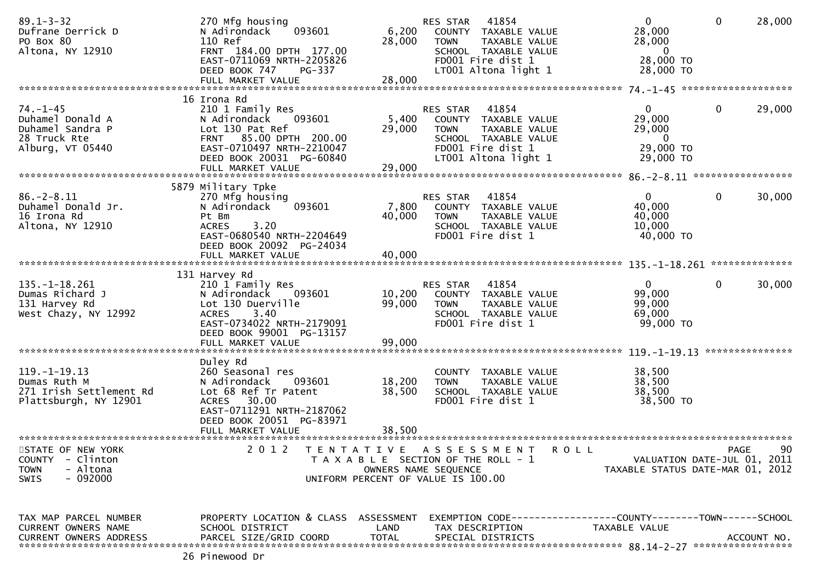| $89.1 - 3 - 32$<br>Dufrane Derrick D<br>PO Box 80<br>Altona, NY 12910                                  | 270 Mfg housing<br>093601<br>N Adirondack<br>110 Ref<br>FRNT 184.00 DPTH 177.00<br>EAST-0711069 NRTH-2205826                                                                                                 | 6,200<br>28,000                           | 41854<br>RES STAR<br>COUNTY TAXABLE VALUE<br>TAXABLE VALUE<br><b>TOWN</b><br>SCHOOL TAXABLE VALUE<br>FD001 Fire dist 1                                   | $\overline{0}$<br>28,000<br>28,000<br>$\overline{0}$<br>28,000 TO              | 28,000<br>$\mathbf{0}$                           |
|--------------------------------------------------------------------------------------------------------|--------------------------------------------------------------------------------------------------------------------------------------------------------------------------------------------------------------|-------------------------------------------|----------------------------------------------------------------------------------------------------------------------------------------------------------|--------------------------------------------------------------------------------|--------------------------------------------------|
|                                                                                                        | DEED BOOK 747<br>PG-337<br>FULL MARKET VALUE                                                                                                                                                                 | 28,000                                    | LT001 Altona light 1                                                                                                                                     | 28,000 TO                                                                      |                                                  |
| $74. - 1 - 45$<br>Duhamel Donald A<br>Duhamel Sandra P<br>28 Truck Rte<br>Alburg, VT 05440             | 16 Irona Rd<br>210 1 Family Res<br>N Adirondack<br>093601<br>Lot 130 Pat Ref<br>FRNT 85.00 DPTH 200.00<br>EAST-0710497 NRTH-2210047<br>DEED BOOK 20031 PG-60840<br>FULL MARKET VALUE                         | 5,400<br>29,000<br>29,000                 | 41854<br><b>RES STAR</b><br>TAXABLE VALUE<br>COUNTY<br><b>TOWN</b><br>TAXABLE VALUE<br>SCHOOL TAXABLE VALUE<br>FD001 Fire dist 1<br>LT001 Altona light 1 | $\overline{0}$<br>29,000<br>29,000<br>$\overline{0}$<br>29,000 TO<br>29,000 TO | $\mathbf 0$<br>29,000                            |
|                                                                                                        |                                                                                                                                                                                                              |                                           |                                                                                                                                                          |                                                                                |                                                  |
| $86. - 2 - 8.11$<br>Duhamel Donald Jr.<br>16 Irona Rd<br>Altona, NY 12910                              | 5879 Military Tpke<br>270 Mfg housing<br>093601<br>N Adirondack<br>Pt Bm<br>3.20<br><b>ACRES</b><br>EAST-0680540 NRTH-2204649<br>DEED BOOK 20092 PG-24034<br>FULL MARKET VALUE                               | 7,800<br>40,000<br>40,000                 | 41854<br>RES STAR<br>COUNTY TAXABLE VALUE<br><b>TOWN</b><br><b>TAXABLE VALUE</b><br>SCHOOL TAXABLE VALUE<br>FD001 Fire dist 1                            | $\mathbf{0}$<br>40,000<br>40,000<br>10,000<br>40,000 TO                        | $\mathbf 0$<br>30,000                            |
|                                                                                                        |                                                                                                                                                                                                              |                                           |                                                                                                                                                          | 135.–1–18.261                                                                  | **************                                   |
| $135. - 1 - 18.261$<br>Dumas Richard J<br>131 Harvey Rd<br>West Chazy, NY 12992                        | 131 Harvey Rd<br>210 1 Family Res<br>N Adirondack<br>093601<br>Lot 130 Duerville<br>3.40<br><b>ACRES</b><br>EAST-0734022 NRTH-2179091<br>DEED BOOK 99001 PG-13157<br>FULL MARKET VALUE                       | 10,200<br>99,000<br>99,000                | 41854<br>RES STAR<br>TAXABLE VALUE<br>COUNTY<br><b>TOWN</b><br>TAXABLE VALUE<br>SCHOOL TAXABLE VALUE<br>FD001 Fire dist 1                                | $\mathbf{0}$<br>99,000<br>99,000<br>69,000<br>99,000 TO                        | 0<br>30,000<br>***************                   |
| $119. - 1 - 19.13$<br>Dumas Ruth M<br>271 Irish Settlement Rd<br>Plattsburgh, NY 12901                 | Duley Rd<br>260 Seasonal res<br>093601<br>N Adirondack<br>Lot 68 Ref Tr Patent<br>30.00<br><b>ACRES</b><br>EAST-0711291 NRTH-2187062<br>DEED BOOK 20051 PG-83971<br>FULL MARKET VALUE<br>******************* | 18,200<br>38,500<br>38.500                | COUNTY<br>TAXABLE VALUE<br>TAXABLE VALUE<br><b>TOWN</b><br>SCHOOL TAXABLE VALUE<br>FD001 Fire dist 1                                                     | 38,500<br>38,500<br>38,500<br>38,500 TO                                        |                                                  |
| STATE OF NEW YORK<br><b>COUNTY</b><br>- Clinton<br>- Altona<br><b>TOWN</b><br>$-092000$<br><b>SWIS</b> | 2 0 1 2                                                                                                                                                                                                      | T E N T A T I V E<br>OWNERS NAME SEQUENCE | A S S E S S M E N T<br><b>ROLL</b><br>T A X A B L E SECTION OF THE ROLL - 1<br>UNIFORM PERCENT OF VALUE IS 100.00                                        | TAXABLE STATUS DATE-MAR 01, 2012                                               | 90<br><b>PAGE</b><br>VALUATION DATE-JUL 01, 2011 |
| TAX MAP PARCEL NUMBER<br>CURRENT OWNERS NAME                                                           | PROPERTY LOCATION & CLASS ASSESSMENT<br>SCHOOL DISTRICT<br>26 Pinewood Dr                                                                                                                                    | LAND                                      | EXEMPTION CODE-----------------COUNTY--------TOWN------SCHOOL<br>TAX DESCRIPTION                                                                         | TAXABLE VALUE                                                                  |                                                  |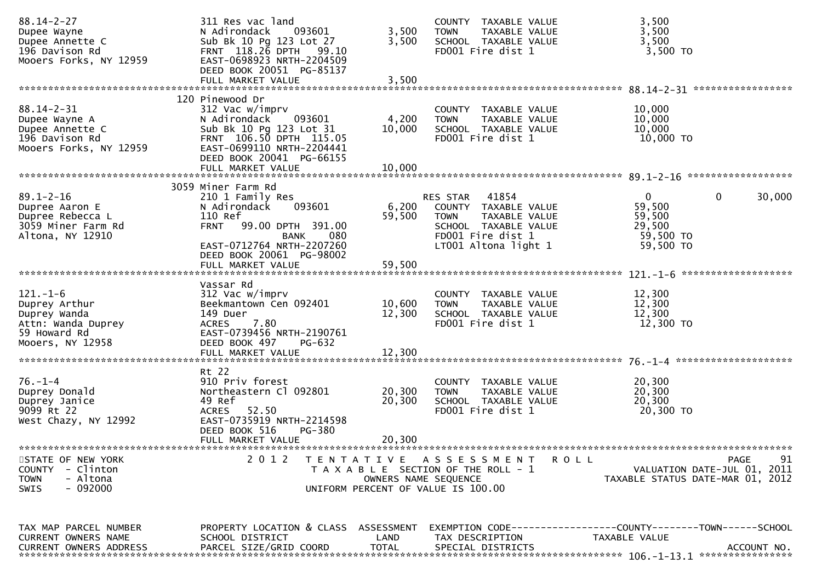| $88.14 - 2 - 27$                 | 311 Res vac land                     |                      | COUNTY TAXABLE VALUE                                 | 3,500                                                               |
|----------------------------------|--------------------------------------|----------------------|------------------------------------------------------|---------------------------------------------------------------------|
| Dupee Wayne                      | N Adirondack<br>093601               | 3,500                | <b>TOWN</b><br>TAXABLE VALUE                         | 3,500                                                               |
| Dupee Annette C                  | Sub Bk 10 Pg 123 Lot 27              | 3,500                | SCHOOL TAXABLE VALUE                                 | 3,500                                                               |
| 196 Davison Rd                   | FRNT 118.26 DPTH 99.10               |                      | FD001 Fire dist 1                                    | 3,500 TO                                                            |
| Mooers Forks, NY 12959           | EAST-0698923 NRTH-2204509            |                      |                                                      |                                                                     |
|                                  | DEED BOOK 20051 PG-85137             |                      |                                                      |                                                                     |
|                                  | FULL MARKET VALUE                    | 3,500                |                                                      | *****************                                                   |
|                                  |                                      |                      |                                                      |                                                                     |
| $88.14 - 2 - 31$                 | 120 Pinewood Dr<br>312 Vac w/imprv   |                      |                                                      | 10,000                                                              |
|                                  | N Adirondack<br>093601               | 4,200                | COUNTY TAXABLE VALUE<br>TAXABLE VALUE<br><b>TOWN</b> | 10,000                                                              |
| Dupee Wayne A<br>Dupee Annette C | Sub Bk 10 Pg 123 Lot 31              | 10,000               | SCHOOL TAXABLE VALUE                                 | 10,000                                                              |
| 196 Davison Rd                   | FRNT 106.50 DPTH 115.05              |                      | FD001 Fire dist 1                                    | $10,000$ TO                                                         |
| Mooers Forks, NY 12959           | EAST-0699110 NRTH-2204441            |                      |                                                      |                                                                     |
|                                  | DEED BOOK 20041 PG-66155             |                      |                                                      |                                                                     |
|                                  | FULL MARKET VALUE                    | 10,000               |                                                      |                                                                     |
|                                  |                                      |                      |                                                      |                                                                     |
|                                  | 3059 Miner Farm Rd                   |                      |                                                      |                                                                     |
| $89.1 - 2 - 16$                  | 210 1 Family Res                     |                      | RES STAR 41854                                       | $\mathbf{0}$<br>$\mathbf{0}$<br>30,000                              |
| Dupree Aaron E                   | N Adirondack<br>093601               | 6,200                | COUNTY TAXABLE VALUE                                 | 59,500                                                              |
| Dupree Rebecca L                 | 110 Ref                              | 59,500               | <b>TOWN</b><br>TAXABLE VALUE                         | 59,500                                                              |
| 3059 Miner Farm Rd               | 99.00 DPTH 391.00<br><b>FRNT</b>     |                      | SCHOOL TAXABLE VALUE                                 | 29,500                                                              |
| Altona, NY 12910                 | <b>BANK</b><br>080                   |                      | FD001 Fire dist 1                                    | 59,500 TO                                                           |
|                                  | EAST-0712764 NRTH-2207260            |                      | LT001 Altona light 1                                 | 59,500 TO                                                           |
|                                  | DEED BOOK 20061 PG-98002             |                      |                                                      |                                                                     |
|                                  | FULL MARKET VALUE                    | 59,500               |                                                      |                                                                     |
|                                  |                                      |                      |                                                      |                                                                     |
|                                  | Vassar Rd                            |                      |                                                      |                                                                     |
| $121 - 1 - 6$                    | 312 Vac w/imprv                      |                      | COUNTY TAXABLE VALUE                                 | 12,300                                                              |
| Duprey Arthur                    | Beekmantown Cen 092401               | 10,600               | TAXABLE VALUE<br><b>TOWN</b>                         | 12,300                                                              |
| Duprey Wanda                     | 149 Duer                             | 12,300               | SCHOOL TAXABLE VALUE                                 | 12,300                                                              |
| Attn: Wanda Duprey               | 7.80<br><b>ACRES</b>                 |                      | FD001 Fire dist 1                                    | 12,300 TO                                                           |
| 59 Howard Rd                     | EAST-0739456 NRTH-2190761            |                      |                                                      |                                                                     |
| Mooers, NY 12958                 | DEED BOOK 497<br>PG-632              |                      |                                                      |                                                                     |
|                                  |                                      |                      |                                                      |                                                                     |
|                                  |                                      |                      |                                                      |                                                                     |
|                                  | Rt 22                                |                      |                                                      |                                                                     |
| $76. - 1 - 4$                    | 910 Priv forest                      |                      | COUNTY TAXABLE VALUE                                 | 20,300                                                              |
| Duprey Donald                    | Northeastern Cl 092801               | 20,300               | <b>TOWN</b><br>TAXABLE VALUE                         | 20,300                                                              |
| Duprey Janice                    | 49 Ref                               | 20,300               | SCHOOL TAXABLE VALUE                                 | 20,300                                                              |
| 9099 Rt 22                       | 52.50<br><b>ACRES</b>                |                      | FD001 Fire dist 1                                    | 20,300 TO                                                           |
| West Chazy, NY 12992             | EAST-0735919 NRTH-2214598            |                      |                                                      |                                                                     |
|                                  | DEED BOOK 516<br><b>PG-380</b>       | 20,300               |                                                      |                                                                     |
|                                  | FULL MARKET VALUE                    |                      |                                                      |                                                                     |
| STATE OF NEW YORK                | 2 0 1 2                              |                      | TENTATIVE ASSESSMENT<br><b>ROLL</b>                  | 91<br>PAGE                                                          |
| <b>COUNTY</b><br>- Clinton       |                                      |                      | T A X A B L E SECTION OF THE ROLL - 1                | VALUATION DATE-JUL 01, 2011                                         |
| - Altona<br><b>TOWN</b>          |                                      | OWNERS NAME SEQUENCE |                                                      | TAXABLE STATUS DATE-MAR 01, 2012                                    |
| SWIS<br>- 092000                 |                                      |                      | UNIFORM PERCENT OF VALUE IS 100.00                   |                                                                     |
|                                  |                                      |                      |                                                      |                                                                     |
|                                  |                                      |                      |                                                      |                                                                     |
|                                  |                                      |                      |                                                      |                                                                     |
| TAX MAP PARCEL NUMBER            | PROPERTY LOCATION & CLASS ASSESSMENT |                      |                                                      | EXEMPTION        CODE-----------------COUNTY-------TOWN------SCHOOL |
| <b>CURRENT OWNERS NAME</b>       | SCHOOL DISTRICT                      | LAND                 | TAX DESCRIPTION                                      | TAXABLE VALUE                                                       |
| <b>CURRENT OWNERS ADDRESS</b>    | PARCEL SIZE/GRID COORD               | <b>TOTAL</b>         | SPECIAL DISTRICTS                                    | ACCOUNT NO.                                                         |
|                                  |                                      |                      |                                                      |                                                                     |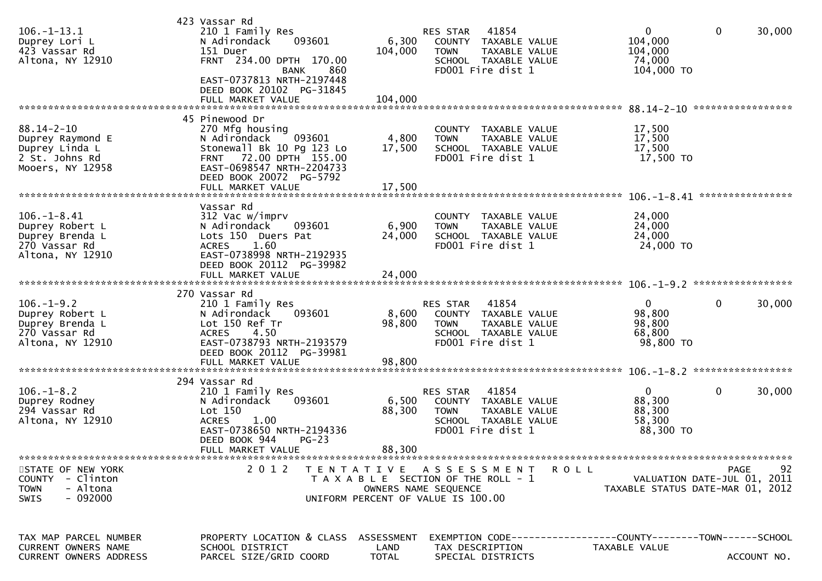| $106. - 1 - 13.1$<br>Duprey Lori L<br>423 Vassar Rd<br>Altona, NY 12910                      | 423 Vassar Rd<br>210 1 Family Res<br>N Adirondack<br>093601<br>151 Duer<br>FRNT 234.00 DPTH 170.00<br>860<br>BANK<br>EAST-0737813 NRTH-2197448<br>DEED BOOK 20102 PG-31845<br>FULL MARKET VALUE | 6,300<br>104,000<br>104,000 | 41854<br>RES STAR<br>COUNTY TAXABLE VALUE<br><b>TOWN</b><br>TAXABLE VALUE<br>SCHOOL TAXABLE VALUE<br>FD001 Fire dist 1                | 0<br>104,000<br>104,000<br>74,000<br>104,000 TO         | 0<br>30,000                               |
|----------------------------------------------------------------------------------------------|-------------------------------------------------------------------------------------------------------------------------------------------------------------------------------------------------|-----------------------------|---------------------------------------------------------------------------------------------------------------------------------------|---------------------------------------------------------|-------------------------------------------|
| $88.14 - 2 - 10$<br>Duprey Raymond E<br>Duprey Linda L<br>2 St. Johns Rd<br>Mooers, NY 12958 | 45 Pinewood Dr<br>270 Mfg housing<br>093601<br>N Adirondack<br>Stonewall Bk 10 Pg 123 Lo<br>FRNT 72.00 DPTH 155.00<br>EAST-0698547 NRTH-2204733<br>DEED BOOK 20072 PG-5792<br>FULL MARKET VALUE | 4,800<br>17,500<br>17,500   | COUNTY TAXABLE VALUE<br>TAXABLE VALUE<br><b>TOWN</b><br>SCHOOL TAXABLE VALUE<br>FD001 Fire dist 1                                     | 17,500<br>17,500<br>17,500<br>17,500 TO                 | *****************                         |
| $106. - 1 - 8.41$<br>Duprey Robert L<br>Duprey Brenda L<br>270 Vassar Rd<br>Altona, NY 12910 | Vassar Rd<br>312 Vac w/imprv<br>N Adirondack<br>093601<br>Lots 150 Duers Pat<br>1.60<br><b>ACRES</b><br>EAST-0738998 NRTH-2192935<br>DEED BOOK 20112 PG-39982                                   | 6,900<br>24,000             | COUNTY TAXABLE VALUE<br>TAXABLE VALUE<br><b>TOWN</b><br>SCHOOL TAXABLE VALUE<br>FD001 Fire dist 1                                     | 24,000<br>24,000<br>24,000<br>24,000 TO                 | ****************                          |
| $106. - 1 - 9.2$<br>Duprey Robert L<br>Duprey Brenda L<br>270 Vassar Rd<br>Altona, NY 12910  | 270 Vassar Rd<br>210 1 Family Res<br>093601<br>N Adirondack<br>Lot 150 Ref Tr<br>4.50<br><b>ACRES</b><br>EAST-0738793 NRTH-2193579<br>DEED BOOK 20112 PG-39981<br>FULL MARKET VALUE             | 8,600<br>98,800<br>98,800   | 41854<br><b>RES STAR</b><br>COUNTY TAXABLE VALUE<br><b>TOWN</b><br>TAXABLE VALUE<br>SCHOOL TAXABLE VALUE<br>FD001 Fire dist 1         | $\mathbf{0}$<br>98,800<br>98,800<br>68,800<br>98,800 TO | 0<br>30,000                               |
| $106. - 1 - 8.2$<br>Duprey Rodney<br>294 Vassar Rd<br>Altona, NY 12910                       | 294 Vassar Rd<br>210 1 Family Res<br>N Adirondack<br>093601<br>Lot 150<br>1.00<br><b>ACRES</b><br>EAST-0738650 NRTH-2194336<br>DEED BOOK 944<br>$PG-23$<br>FULL MARKET VALUE                    | 6,500<br>88,300<br>88,300   | 41854<br>RES STAR<br>COUNTY TAXABLE VALUE<br><b>TOWN</b><br><b>TAXABLE VALUE</b><br>SCHOOL TAXABLE VALUE<br>FD001 Fire dist 1         | $\mathbf{0}$<br>88,300<br>88,300<br>58,300<br>88,300 TO | 0<br>30,000                               |
| STATE OF NEW YORK<br>COUNTY - Clinton<br><b>TOWN</b><br>- Altona<br>$-092000$<br><b>SWIS</b> |                                                                                                                                                                                                 |                             | 2012 TENTATIVE ASSESSMENT ROLL<br>T A X A B L E SECTION OF THE ROLL - 1<br>OWNERS NAME SEQUENCE<br>UNIFORM PERCENT OF VALUE IS 100.00 | TAXABLE STATUS DATE-MAR 01, 2012                        | 92<br>PAGE<br>VALUATION DATE-JUL 01, 2011 |
| TAX MAP PARCEL NUMBER<br>CURRENT OWNERS NAME<br><b>CURRENT OWNERS ADDRESS</b>                | PROPERTY LOCATION & CLASS<br>SCHOOL DISTRICT<br>PARCEL SIZE/GRID COORD                                                                                                                          | ASSESSMENT<br>LAND<br>TOTAL | EXEMPTION CODE-----------------COUNTY-------TOWN------SCHOOL<br>TAX DESCRIPTION<br>SPECIAL DISTRICTS                                  | TAXABLE VALUE                                           | ACCOUNT NO.                               |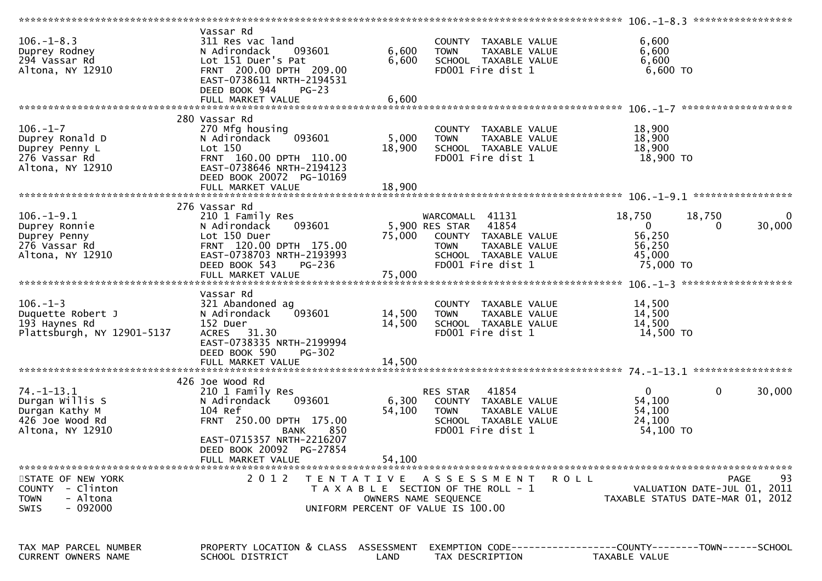|                                                                                              |                                                                                                                                                                                        |                         |                                                                                                                                              | 106. -1-8.3 ******************<br>******************                                 |                   |
|----------------------------------------------------------------------------------------------|----------------------------------------------------------------------------------------------------------------------------------------------------------------------------------------|-------------------------|----------------------------------------------------------------------------------------------------------------------------------------------|--------------------------------------------------------------------------------------|-------------------|
| $106. - 1 - 8.3$<br>Duprey Rodney<br>294 Vassar Rd<br>Altona, NY 12910                       | Vassar Rd<br>311 Res vac land<br>093601<br>N Adirondack<br>Lot 151 Duer's Pat<br>FRNT 200.00 DPTH 209.00<br>EAST-0738611 NRTH-2194531<br>DEED BOOK 944<br>$PG-23$<br>FULL MARKET VALUE | 6,600<br>6,600<br>6,600 | COUNTY TAXABLE VALUE<br>TAXABLE VALUE<br><b>TOWN</b><br>SCHOOL TAXABLE VALUE<br>FD001 Fire dist 1                                            | 6,600<br>6,600<br>6,600<br>6,600 TO                                                  |                   |
|                                                                                              |                                                                                                                                                                                        |                         |                                                                                                                                              |                                                                                      |                   |
| $106. - 1 - 7$<br>Duprey Ronald D<br>Duprey Penny L<br>276 Vassar Rd<br>Altona, NY 12910     | 280 Vassar Rd<br>270 Mfg housing<br>093601<br>N Adirondack<br>Lot 150<br>FRNT 160.00 DPTH 110.00<br>EAST-0738646 NRTH-2194123<br>DEED BOOK 20072 PG-10169                              | 5,000<br>18,900         | COUNTY TAXABLE VALUE<br>TAXABLE VALUE<br>TOWN<br>SCHOOL TAXABLE VALUE<br>FD001 Fire dist 1                                                   | 18,900<br>18,900<br>18,900<br>18,900 TO                                              |                   |
|                                                                                              |                                                                                                                                                                                        |                         |                                                                                                                                              |                                                                                      |                   |
| $106. - 1 - 9.1$<br>Duprey Ronnie<br>Duprey Penny<br>276 Vassar Rd<br>Altona, NY 12910       | 276 Vassar Rd<br>210 1 Family Res<br>093601<br>N Adirondack<br>Lot 150 Duer<br>FRNT 120.00 DPTH 175.00<br>EAST-0738703 NRTH-2193993<br>DEED BOOK 543<br>PG-236                         | 75,000                  | WARCOMALL 41131<br>5,900 RES STAR 41854<br>COUNTY TAXABLE VALUE<br>TAXABLE VALUE<br><b>TOWN</b><br>SCHOOL TAXABLE VALUE<br>FD001 Fire dist 1 | 18,750<br>18,750<br>$\overline{0}$<br>0<br>56,250<br>56,250<br>45,000<br>75,000 TO   | 0<br>30,000       |
|                                                                                              |                                                                                                                                                                                        |                         |                                                                                                                                              |                                                                                      |                   |
|                                                                                              |                                                                                                                                                                                        |                         |                                                                                                                                              |                                                                                      |                   |
| $106. - 1 - 3$<br>Duquette Robert J<br>193 Haynes Rd<br>Plattsburgh, NY 12901-5137           | Vassar Rd<br>321 Abandoned ag<br>093601<br>N Adirondack<br>152 Duer<br>ACRES 31.30<br>EAST-0738335 NRTH-2199994<br>DEED BOOK 590<br><b>PG-302</b>                                      | 14,500<br>14,500        | COUNTY TAXABLE VALUE<br>TAXABLE VALUE<br><b>TOWN</b><br>SCHOOL TAXABLE VALUE<br>FD001 Fire dist 1                                            | 14,500<br>14,500<br>14,500<br>14,500 TO                                              |                   |
|                                                                                              |                                                                                                                                                                                        |                         |                                                                                                                                              |                                                                                      |                   |
| $74. - 1 - 13.1$<br>Durgan Willis S<br>Durgan Kathy M<br>426 Joe Wood Rd<br>Altona, NY 12910 | 426 Joe Wood Rd<br>210 1 Family Res<br>093601<br>N Adirondack<br>104 Ref<br>FRNT 250.00 DPTH 175.00<br>850<br>BANK<br>EAST-0715357 NRTH-2216207<br>DEED BOOK 20092 PG-27854            | 6,300<br>54,100         | 41854<br>RES STAR<br>COUNTY TAXABLE VALUE<br><b>TOWN</b><br>TAXABLE VALUE<br>SCHOOL TAXABLE VALUE<br>FD001 Fire dist 1                       | $\mathbf 0$<br>$\mathbf{0}$<br>54,100<br>54,100<br>24,100<br>54,100 TO               | 30,000            |
|                                                                                              | FULL MARKET VALUE                                                                                                                                                                      | 54,100                  |                                                                                                                                              |                                                                                      |                   |
| STATE OF NEW YORK<br>COUNTY - Clinton<br>- Altona<br><b>TOWN</b><br>$-092000$<br><b>SWIS</b> | 2 0 1 2                                                                                                                                                                                |                         | TENTATIVE ASSESSMENT<br>T A X A B L E SECTION OF THE ROLL - 1<br>OWNERS NAME SEQUENCE<br>UNIFORM PERCENT OF VALUE IS 100.00                  | R O L L<br>VALUATION DATE-JUL 01, 2011<br>TAXABLE STATUS DATE-MAR 01, 2012           | 93<br><b>PAGE</b> |
| TAX MAP PARCEL NUMBER<br>CURRENT OWNERS NAME                                                 | PROPERTY LOCATION & CLASS ASSESSMENT<br>SCHOOL DISTRICT                                                                                                                                | LAND                    | TAX DESCRIPTION                                                                                                                              | EXEMPTION        CODE-----------------COUNTY-------TOWN------SCHOOL<br>TAXABLE VALUE |                   |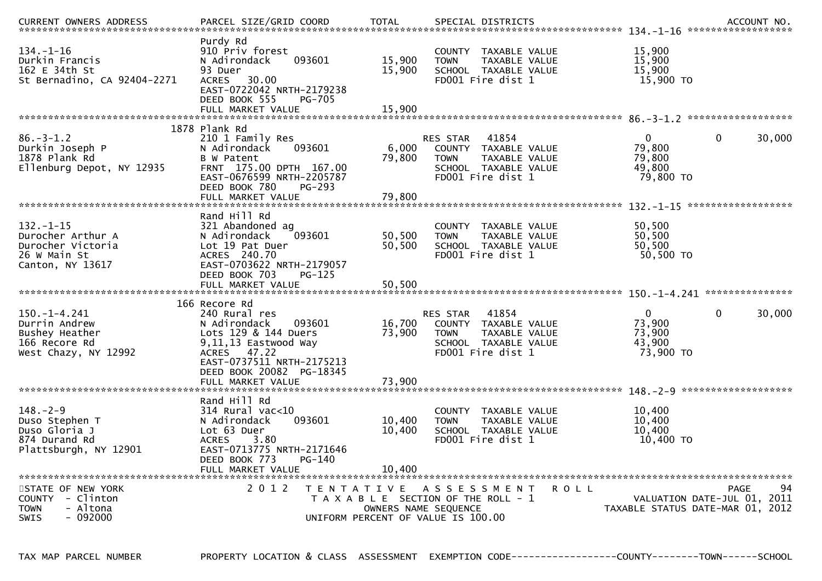| <b>CURRENT OWNERS ADDRESS</b>                                                                  | PARCEL SIZE/GRID COORD                                                                                                                                                            | <b>TOTAL</b>                              | SPECIAL DISTRICTS                                                                                                                       |                                                         | ACCOUNT NO.                                                     |
|------------------------------------------------------------------------------------------------|-----------------------------------------------------------------------------------------------------------------------------------------------------------------------------------|-------------------------------------------|-----------------------------------------------------------------------------------------------------------------------------------------|---------------------------------------------------------|-----------------------------------------------------------------|
| $134. - 1 - 16$<br>Durkin Francis<br>162 E 34th St<br>St Bernadino, CA 92404-2271              | Purdy Rd<br>910 Priv forest<br>N Adirondack<br>093601<br>93 Duer<br><b>ACRES</b><br>30.00<br>EAST-0722042 NRTH-2179238<br>DEED BOOK 555<br><b>PG-705</b><br>FULL MARKET VALUE     | 15,900<br>15,900<br>15,900                | COUNTY TAXABLE VALUE<br><b>TOWN</b><br>TAXABLE VALUE<br>SCHOOL TAXABLE VALUE<br>FD001 Fire dist 1                                       | 15,900<br>15,900<br>15,900<br>15,900 TO                 |                                                                 |
|                                                                                                |                                                                                                                                                                                   |                                           |                                                                                                                                         |                                                         |                                                                 |
| $86. - 3 - 1.2$<br>Durkin Joseph P<br>1878 Plank Rd<br>Ellenburg Depot, NY 12935               | 1878 Plank Rd<br>210 1 Family Res<br>N Adirondack<br>093601<br>B W Patent<br>FRNT 175.00 DPTH 167.00<br>EAST-0676599 NRTH-2205787<br>DEED BOOK 780<br>PG-293<br>FULL MARKET VALUE | 6,000<br>79,800<br>79,800                 | 41854<br>RES STAR<br>COUNTY TAXABLE VALUE<br>TAXABLE VALUE<br><b>TOWN</b><br>SCHOOL TAXABLE VALUE<br>FD001 Fire dist 1                  | $\mathbf{0}$<br>79,800<br>79,800<br>49.800<br>79,800 TO | $\mathbf{0}$<br>30,000                                          |
|                                                                                                |                                                                                                                                                                                   |                                           |                                                                                                                                         |                                                         |                                                                 |
| $132 - 1 - 15$<br>Durocher Arthur A<br>Durocher Victoria<br>26 W Main St<br>Canton, NY 13617   | Rand Hill Rd<br>321 Abandoned ag<br>093601<br>N Adirondack<br>Lot 19 Pat Duer<br>ACRES 240.70<br>EAST-0703622 NRTH-2179057<br>DEED BOOK 703<br>$PG-125$<br>FULL MARKET VALUE      | 50,500<br>50,500<br>50,500                | COUNTY TAXABLE VALUE<br><b>TOWN</b><br>TAXABLE VALUE<br>SCHOOL TAXABLE VALUE<br>FD001 Fire dist 1                                       | 50,500<br>50,500<br>50,500<br>50,500 TO                 |                                                                 |
|                                                                                                | 166 Recore Rd                                                                                                                                                                     |                                           |                                                                                                                                         |                                                         |                                                                 |
| $150. - 1 - 4.241$<br>Durrin Andrew<br>Bushey Heather<br>166 Recore Rd<br>West Chazy, NY 12992 | 240 Rural res<br>N Adirondack<br>093601<br>Lots 129 & 144 Duers<br>9,11,13 Eastwood Way<br>47.22<br>ACRES<br>EAST-0737511 NRTH-2175213<br>DEED BOOK 20082 PG-18345                | 16,700<br>73,900                          | <b>RES STAR</b><br>41854<br>TAXABLE VALUE<br>COUNTY<br><b>TOWN</b><br><b>TAXABLE VALUE</b><br>SCHOOL TAXABLE VALUE<br>FD001 Fire dist 1 | 0<br>73,900<br>73,900<br>43,900<br>73,900 TO            | $\mathbf{0}$<br>30,000                                          |
|                                                                                                | FULL MARKET VALUE                                                                                                                                                                 | 73,900                                    |                                                                                                                                         |                                                         |                                                                 |
| $148. - 2 - 9$<br>Duso Stephen T<br>Duso Gloria J<br>874 Durand Rd<br>Plattsburgh, NY 12901    | Rand Hill Rd<br>$314$ Rural vac<10<br>093601<br>N Adirondack<br>Lot 63 Duer<br><b>ACRES</b><br>3.80<br>EAST-0713775 NRTH-2171646<br>DEED BOOK 773<br>PG-140                       | 10,400<br>10,400                          | <b>COUNTY</b><br>TAXABLE VALUE<br>TAXABLE VALUE<br><b>TOWN</b><br>SCHOOL TAXABLE VALUE<br>FD001 Fire dist 1                             | 10,400<br>10,400<br>10,400<br>10,400 TO                 |                                                                 |
|                                                                                                | FULL MARKET VALUE                                                                                                                                                                 | 10.400                                    |                                                                                                                                         |                                                         |                                                                 |
| *************************                                                                      | ***************************                                                                                                                                                       |                                           |                                                                                                                                         |                                                         | 94<br><b>PAGE</b>                                               |
| STATE OF NEW YORK<br>COUNTY - Clinton<br>- Altona<br><b>TOWN</b><br>$-092000$<br><b>SWIS</b>   | 2 0 1 2                                                                                                                                                                           | T E N T A T I V E<br>OWNERS NAME SEQUENCE | A S S E S S M E N T<br>T A X A B L E SECTION OF THE ROLL - 1<br>UNIFORM PERCENT OF VALUE IS 100.00                                      | ROLL                                                    | VALUATION DATE-JUL 01, 2011<br>TAXABLE STATUS DATE-MAR 01, 2012 |

TAX MAP PARCEL NUMBER PROPERTY LOCATION & CLASS ASSESSMENT EXEMPTION CODE------------------COUNTY--------TOWN------SCHOOL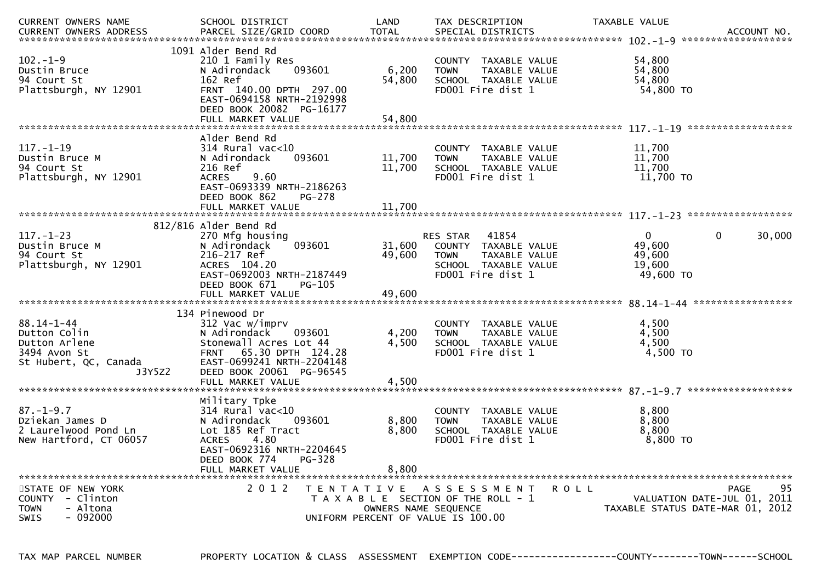| CURRENT OWNERS NAME<br><b>CURRENT OWNERS ADDRESS</b>                                                 | SCHOOL DISTRICT<br>PARCEL SIZE/GRID COORD                                                                                                                                                                | LAND<br><b>TOTAL</b>                      | TAX DESCRIPTION<br>SPECIAL DISTRICTS                                                                                          | TAXABLE VALUE                                           | ACCOUNT NO.                                                                          |
|------------------------------------------------------------------------------------------------------|----------------------------------------------------------------------------------------------------------------------------------------------------------------------------------------------------------|-------------------------------------------|-------------------------------------------------------------------------------------------------------------------------------|---------------------------------------------------------|--------------------------------------------------------------------------------------|
| $102 - 1 - 9$<br>Dustin Bruce<br>94 Court St<br>Plattsburgh, NY 12901                                | 1091 Alder Bend Rd<br>210 1 Family Res<br>N Adirondack<br>093601<br>162 Ref<br>FRNT 140.00 DPTH 297.00<br>EAST-0694158 NRTH-2192998<br>DEED BOOK 20082 PG-16177<br>FULL MARKET VALUE                     | 6,200<br>54,800<br>54,800                 | COUNTY TAXABLE VALUE<br><b>TOWN</b><br>TAXABLE VALUE<br>SCHOOL TAXABLE VALUE<br>FD001 Fire dist 1                             | 54,800<br>54,800<br>54,800<br>54,800 TO                 |                                                                                      |
|                                                                                                      |                                                                                                                                                                                                          |                                           |                                                                                                                               |                                                         | ******************                                                                   |
| $117. - 1 - 19$<br>Dustin Bruce M<br>94 Court St<br>Plattsburgh, NY 12901                            | Alder Bend Rd<br>314 Rural vac<10<br>093601<br>N Adirondack<br>216 Ref<br>9.60<br><b>ACRES</b><br>EAST-0693339 NRTH-2186263<br>DEED BOOK 862<br>PG-278                                                   | 11,700<br>11,700                          | <b>COUNTY</b><br>TAXABLE VALUE<br>TAXABLE VALUE<br><b>TOWN</b><br>SCHOOL TAXABLE VALUE<br>FD001 Fire dist 1                   | 11,700<br>11,700<br>11,700<br>11,700 TO                 |                                                                                      |
|                                                                                                      | FULL MARKET VALUE                                                                                                                                                                                        | 11,700                                    |                                                                                                                               |                                                         |                                                                                      |
|                                                                                                      | 812/816 Alder Bend Rd                                                                                                                                                                                    |                                           |                                                                                                                               |                                                         |                                                                                      |
| $117. - 1 - 23$<br>Dustin Bruce M<br>94 Court St<br>Plattsburgh, NY 12901                            | 270 Mfg housing<br>093601<br>N Adirondack<br>216-217 Ref<br>ACRES 104.20<br>EAST-0692003 NRTH-2187449<br>DEED BOOK 671<br>PG-105                                                                         | 31,600<br>49.600                          | <b>RES STAR</b><br>41854<br>COUNTY TAXABLE VALUE<br>TAXABLE VALUE<br><b>TOWN</b><br>SCHOOL TAXABLE VALUE<br>FD001 Fire dist 1 | $\mathbf{0}$<br>49,600<br>49,600<br>19,600<br>49,600 TO | $\mathbf 0$<br>30,000                                                                |
|                                                                                                      | FULL MARKET VALUE                                                                                                                                                                                        | 49.600                                    |                                                                                                                               |                                                         |                                                                                      |
| $88.14 - 1 - 44$<br>Dutton Colin<br>Dutton Arlene<br>3494 Avon St<br>St Hubert, QC, Canada<br>J3Y5Z2 | 134 Pinewood Dr<br>312 Vac w/imprv<br>N Adirondack<br>093601<br>Stonewall Acres Lot 44<br>65.30 DPTH 124.28<br><b>FRNT</b><br>EAST-0699241 NRTH-2204148<br>DEED BOOK 20061 PG-96545<br>FULL MARKET VALUE | 4,200<br>4,500<br>4,500                   | TAXABLE VALUE<br><b>COUNTY</b><br>TAXABLE VALUE<br><b>TOWN</b><br>SCHOOL TAXABLE VALUE<br>FD001 Fire dist 1                   | 4,500<br>4,500<br>4,500<br>4,500 TO                     |                                                                                      |
|                                                                                                      |                                                                                                                                                                                                          |                                           |                                                                                                                               |                                                         |                                                                                      |
| $87. - 1 - 9.7$<br>Dziekan James D<br>2 Laurelwood Pond Ln<br>New Hartford, CT 06057                 | Military Tpke<br>$314$ Rural vac<10<br>N Adirondack<br>093601<br>Lot 185 Ref Tract<br>4.80<br><b>ACRES</b><br>EAST-0692316 NRTH-2204645<br>DEED BOOK 774<br>PG-328<br>FULL MARKET VALUE                  | 8,800<br>8,800<br>8.800                   | <b>COUNTY</b><br>TAXABLE VALUE<br><b>TOWN</b><br>TAXABLE VALUE<br>SCHOOL TAXABLE VALUE<br>FD001 Fire dist 1                   | 8,800<br>8,800<br>8.800<br>$8,800$ TO                   |                                                                                      |
|                                                                                                      |                                                                                                                                                                                                          |                                           |                                                                                                                               |                                                         |                                                                                      |
| STATE OF NEW YORK<br>COUNTY - Clinton<br><b>TOWN</b><br>- Altona<br>- 092000<br><b>SWIS</b>          | 2 0 1 2                                                                                                                                                                                                  | T E N T A T I V E<br>OWNERS NAME SEQUENCE | A S S E S S M E N T<br>T A X A B L E SECTION OF THE ROLL - 1<br>UNIFORM PERCENT OF VALUE IS 100.00                            | <b>ROLL</b>                                             | 95<br><b>PAGE</b><br>VALUATION DATE-JUL 01, 2011<br>TAXABLE STATUS DATE-MAR 01, 2012 |

TAX MAP PARCEL NUMBER PROPERTY LOCATION & CLASS ASSESSMENT EXEMPTION CODE------------------COUNTY--------TOWN------SCHOOL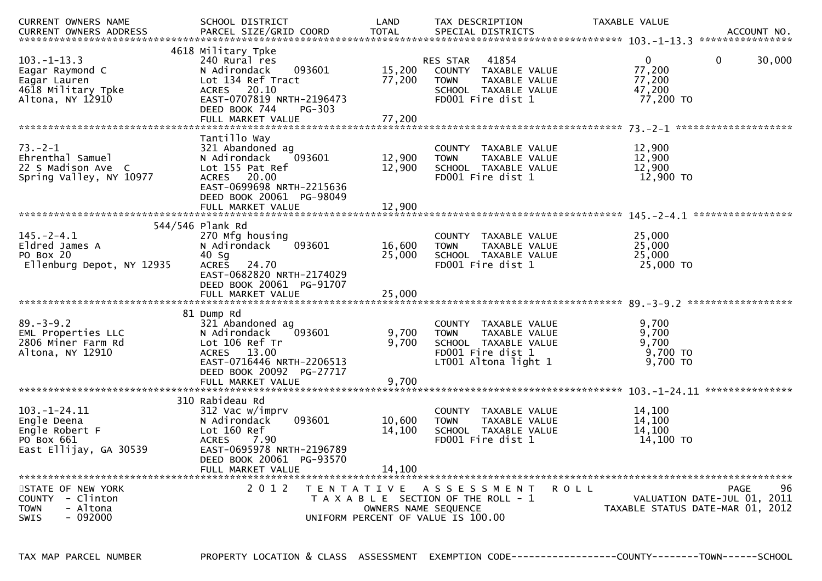| CURRENT OWNERS NAME<br><b>CURRENT OWNERS ADDRESS</b>                                           | SCHOOL DISTRICT<br>PARCEL SIZE/GRID COORD                                                                                                                                                | LAND<br><b>TOTAL</b>                                                            | TAX DESCRIPTION<br>SPECIAL DISTRICTS                                                                                          | TAXABLE VALUE                                           | ACCOUNT NO.<br>****************                                                      |
|------------------------------------------------------------------------------------------------|------------------------------------------------------------------------------------------------------------------------------------------------------------------------------------------|---------------------------------------------------------------------------------|-------------------------------------------------------------------------------------------------------------------------------|---------------------------------------------------------|--------------------------------------------------------------------------------------|
| $103. - 1 - 13.3$<br>Eagar Raymond C<br>Eagar Lauren<br>4618 Military Tpke<br>Altona, NY 12910 | 4618 Military Tpke<br>240 Rural res<br>N Adirondack<br>093601<br>Lot 134 Ref Tract<br>20.10<br><b>ACRES</b><br>EAST-0707819 NRTH-2196473<br>DEED BOOK 744<br>PG-303<br>FULL MARKET VALUE | 15,200<br>77,200<br>77,200                                                      | 41854<br><b>RES STAR</b><br>COUNTY TAXABLE VALUE<br>TAXABLE VALUE<br><b>TOWN</b><br>SCHOOL TAXABLE VALUE<br>FD001 Fire dist 1 | $\mathbf{0}$<br>77,200<br>77,200<br>47,200<br>77,200 TO | 30,000<br>$\mathbf 0$                                                                |
| $73. - 2 - 1$<br>Ehrenthal Samuel<br>22 S Madison Ave C<br>Spring Valley, NY 10977             | Tantillo Way<br>321 Abandoned ag<br>093601<br>N Adirondack<br>Lot 155 Pat Ref<br><b>ACRES</b><br>20.00<br>EAST-0699698 NRTH-2215636<br>DEED BOOK 20061 PG-98049<br>FULL MARKET VALUE     | 12,900<br>12,900<br>12,900                                                      | <b>COUNTY</b><br>TAXABLE VALUE<br>TAXABLE VALUE<br><b>TOWN</b><br>SCHOOL TAXABLE VALUE<br>FD001 Fire dist 1                   | 12,900<br>12,900<br>12.900<br>12,900 TO                 |                                                                                      |
|                                                                                                |                                                                                                                                                                                          |                                                                                 |                                                                                                                               |                                                         |                                                                                      |
| $145. - 2 - 4.1$<br>Eldred James A<br>PO Box 20<br>Ellenburg Depot, NY 12935                   | 544/546 Plank Rd<br>270 Mfg housing<br>093601<br>N Adirondack<br>40 Sg<br>24.70<br><b>ACRES</b><br>EAST-0682820 NRTH-2174029<br>DEED BOOK 20061 PG-91707<br>FULL MARKET VALUE            | 16,600<br>25,000<br>25,000                                                      | COUNTY<br>TAXABLE VALUE<br>TAXABLE VALUE<br><b>TOWN</b><br>SCHOOL TAXABLE VALUE<br>FD001 Fire dist 1                          | 25,000<br>25,000<br>25,000<br>25,000 TO                 |                                                                                      |
|                                                                                                |                                                                                                                                                                                          |                                                                                 |                                                                                                                               |                                                         |                                                                                      |
| $89 - 3 - 9.2$<br>EML Properties LLC<br>2806 Miner Farm Rd<br>Altona, NY 12910                 | 81 Dump Rd<br>321 Abandoned ag<br>N Adirondack<br>093601<br>Lot 106 Ref Tr<br><b>ACRES</b><br>13.00<br>EAST-0716446 NRTH-2206513<br>DEED BOOK 20092 PG-27717<br>FULL MARKET VALUE        | 9,700<br>9,700<br>9,700                                                         | COUNTY TAXABLE VALUE<br>TAXABLE VALUE<br><b>TOWN</b><br>SCHOOL TAXABLE VALUE<br>FD001 Fire dist 1<br>LT001 Altona light 1     | 9,700<br>9,700<br>9,700<br>9,700 TO<br>9,700 TO         |                                                                                      |
|                                                                                                |                                                                                                                                                                                          |                                                                                 |                                                                                                                               |                                                         | ***************                                                                      |
| $103.-1-24.11$<br>Engle Deena<br>Engle Robert F<br>PO Box 661<br>East Ellijay, GA 30539        | 310 Rabideau Rd<br>312 Vac w/imprv<br>N Adirondack<br>093601<br>Lot 160 Ref<br>7.90<br><b>ACRES</b><br>EAST-0695978 NRTH-2196789<br>DEED BOOK 20061 PG-93570                             | 10,600<br>14,100                                                                | <b>COUNTY</b><br>TAXABLE VALUE<br>TAXABLE VALUE<br><b>TOWN</b><br>SCHOOL TAXABLE VALUE<br>FD001 Fire dist 1                   | 14,100<br>14,100<br>14.100<br>14,100 TO                 |                                                                                      |
|                                                                                                | FULL MARKET VALUE                                                                                                                                                                        | 14,100                                                                          |                                                                                                                               |                                                         |                                                                                      |
| STATE OF NEW YORK<br>COUNTY - Clinton<br><b>TOWN</b><br>- Altona<br>$-092000$<br><b>SWIS</b>   | 2 0 1 2                                                                                                                                                                                  | T E N T A T I V E<br>OWNERS NAME SEQUENCE<br>UNIFORM PERCENT OF VALUE IS 100.00 | A S S E S S M E N T<br>T A X A B L E SECTION OF THE ROLL - 1                                                                  | <b>ROLL</b>                                             | <b>PAGE</b><br>96<br>VALUATION DATE-JUL 01, 2011<br>TAXABLE STATUS DATE-MAR 01, 2012 |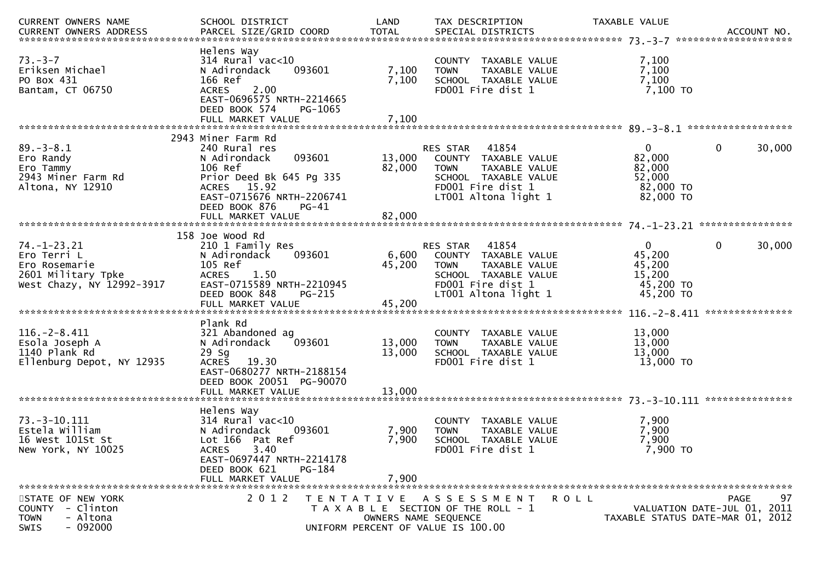| CURRENT OWNERS NAME                                                                                  | SCHOOL DISTRICT                                                                                                                                                             | LAND                                                    | TAX DESCRIPTION                                                                                                                                   | TAXABLE VALUE                                                        |                                                                               |
|------------------------------------------------------------------------------------------------------|-----------------------------------------------------------------------------------------------------------------------------------------------------------------------------|---------------------------------------------------------|---------------------------------------------------------------------------------------------------------------------------------------------------|----------------------------------------------------------------------|-------------------------------------------------------------------------------|
| $73 - 3 - 7$<br>Eriksen Michael<br>PO Box 431<br>Bantam, CT 06750                                    | Helens Way<br>$314$ Rural vac<10<br>093601<br>N Adirondack<br>166 Ref<br>2.00<br><b>ACRES</b><br>EAST-0696575 NRTH-2214665<br>DEED BOOK 574<br>PG-1065<br>FULL MARKET VALUE | 7,100<br>7,100<br>7,100                                 | COUNTY TAXABLE VALUE<br>TAXABLE VALUE<br><b>TOWN</b><br>SCHOOL TAXABLE VALUE<br>FD001 Fire dist 1                                                 | 7,100<br>7,100<br>7,100<br>7,100 TO                                  |                                                                               |
|                                                                                                      | 2943 Miner Farm Rd                                                                                                                                                          |                                                         |                                                                                                                                                   |                                                                      |                                                                               |
| $89. - 3 - 8.1$<br>Ero Randy<br>Ero Tammy<br>2943 Miner Farm Rd<br>Altona, NY 12910                  | 240 Rural res<br>093601<br>N Adirondack<br>106 Ref<br>Prior Deed Bk 645 Pg 335<br>ACRES 15.92<br>EAST-0715676 NRTH-2206741<br>DEED BOOK 876<br>PG-41                        | 13,000<br>82,000                                        | 41854<br>RES STAR<br>COUNTY TAXABLE VALUE<br>TAXABLE VALUE<br><b>TOWN</b><br>SCHOOL TAXABLE VALUE<br>FD001 Fire dist 1<br>LT001 Altona light 1    | $\mathbf{0}$<br>82,000<br>82,000<br>52,000<br>82,000 TO<br>82,000 TO | $\mathbf{0}$<br>30,000                                                        |
|                                                                                                      |                                                                                                                                                                             |                                                         |                                                                                                                                                   |                                                                      |                                                                               |
| $74. - 1 - 23.21$<br>Ero Terri L<br>Ero Rosemarie<br>2601 Military Tpke<br>West Chazy, NY 12992-3917 | 158 Joe Wood Rd<br>210 1 Family Res<br>093601<br>N Adirondack<br>105 Ref<br>1.50<br><b>ACRES</b><br>EAST-0715589 NRTH-2210945<br>DEED BOOK 848<br>PG-215                    | 45,200                                                  | RES STAR 41854<br>6,600 COUNTY TAXABLE VALUE<br><b>TOWN</b><br>TAXABLE VALUE<br>SCHOOL TAXABLE VALUE<br>FD001 Fire dist 1<br>LT001 Altona light 1 | $\mathbf{0}$<br>45,200<br>45,200<br>15,200<br>45,200 TO<br>45,200 TO | $\mathbf 0$<br>30,000<br>***************                                      |
|                                                                                                      | Plank Rd                                                                                                                                                                    |                                                         |                                                                                                                                                   |                                                                      |                                                                               |
| $116. - 2 - 8.411$<br>Esola Joseph A<br>1140 Plank Rd<br>Ellenburg Depot, NY 12935                   | 321 Abandoned ag<br>093601<br>N Adirondack<br>29 Sg<br>19.30<br><b>ACRES</b><br>EAST-0680277 NRTH-2188154<br>DEED BOOK 20051 PG-90070                                       | 13,000<br>13,000                                        | COUNTY TAXABLE VALUE<br><b>TOWN</b><br>TAXABLE VALUE<br>SCHOOL TAXABLE VALUE<br>FD001 Fire dist 1                                                 | 13,000<br>13,000<br>13,000<br>13,000 TO                              |                                                                               |
|                                                                                                      | Helens Way                                                                                                                                                                  |                                                         |                                                                                                                                                   |                                                                      |                                                                               |
| $73. - 3 - 10.111$<br>Estela William<br>16 West 101St St<br>New York, NY 10025                       | $314$ Rural vac<10<br>N Adirondack<br>093601<br>Lot 166 Pat Ref<br>3.40<br><b>ACRES</b><br>EAST-0697447 NRTH-2214178<br>DEED BOOK 621<br>PG-184<br>FULL MARKET VALUE        | 7,900<br>7,900<br>7,900                                 | COUNTY TAXABLE VALUE<br>TAXABLE VALUE<br><b>TOWN</b><br>SCHOOL TAXABLE VALUE<br>FD001 Fire dist 1                                                 | 7,900<br>7,900<br>7,900<br>7,900 TO                                  |                                                                               |
| STATE OF NEW YORK<br>COUNTY - Clinton<br>- Altona<br><b>TOWN</b><br>$-092000$<br><b>SWIS</b>         | 2 0 1 2                                                                                                                                                                     | T E N T A T I V E<br>UNIFORM PERCENT OF VALUE IS 100.00 | A S S E S S M E N T<br>T A X A B L E SECTION OF THE ROLL - 1<br>OWNERS NAME SEQUENCE                                                              | <b>ROLL</b>                                                          | 97<br>PAGE<br>VALUATION DATE-JUL 01, 2011<br>TAXABLE STATUS DATE-MAR 01, 2012 |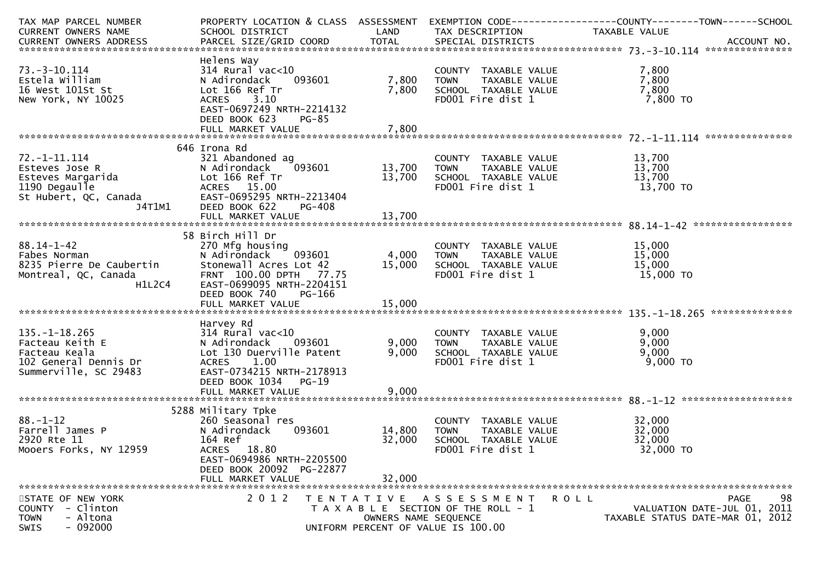| TAX MAP PARCEL NUMBER              | PROPERTY LOCATION & CLASS ASSESSMENT |                      |                                       |                                                                                                                                                       |
|------------------------------------|--------------------------------------|----------------------|---------------------------------------|-------------------------------------------------------------------------------------------------------------------------------------------------------|
| CURRENT OWNERS NAME                | SCHOOL DISTRICT                      | LAND                 | TAX DESCRIPTION                       | TAXABLE VALUE                                                                                                                                         |
|                                    |                                      |                      |                                       | .CURRENT OWNERS ADDRESS PARCEL SIZE/GRID COORD TOTAL SPECIAL DISTRICTS MOTHER ACCOUNT NO ACCOUNT NO AND ARCEL SIZE/GRID COORD TOTAL SPECIAL DISTRICTS |
|                                    |                                      |                      |                                       |                                                                                                                                                       |
|                                    | Helens Way                           |                      |                                       |                                                                                                                                                       |
| $73. - 3 - 10.114$                 | $314$ Rural vac< $10$                |                      | COUNTY TAXABLE VALUE                  | 7,800                                                                                                                                                 |
| Estela William                     | 093601<br>N Adirondack               | 7,800                | TAXABLE VALUE<br><b>TOWN</b>          | 7,800                                                                                                                                                 |
| 16 West 101St St                   | Lot 166 Ref Tr                       | 7,800                | SCHOOL TAXABLE VALUE                  | 7,800                                                                                                                                                 |
| New York, NY 10025                 | 3.10<br><b>ACRES</b>                 |                      | FD001 Fire dist 1                     | 7,800 TO                                                                                                                                              |
|                                    | EAST-0697249 NRTH-2214132            |                      |                                       |                                                                                                                                                       |
|                                    | DEED BOOK 623<br>PG-85               |                      |                                       |                                                                                                                                                       |
|                                    |                                      |                      |                                       |                                                                                                                                                       |
|                                    |                                      |                      |                                       |                                                                                                                                                       |
|                                    | 646 Irona Rd                         |                      |                                       |                                                                                                                                                       |
| $72. - 1 - 11.114$                 | 321 Abandoned ag                     |                      | COUNTY TAXABLE VALUE                  | 13,700                                                                                                                                                |
| Esteves Jose R                     | 093601<br>N Adirondack               | 13,700               | TAXABLE VALUE<br><b>TOWN</b>          | 13,700                                                                                                                                                |
| Esteves Margarida<br>1190 Degaulle | Lot 166 Ref Tr                       | 13,700               | SCHOOL TAXABLE VALUE                  | 13,700                                                                                                                                                |
| 1190 Degaulle                      | ACRES 15.00                          |                      | FD001 Fire dist 1                     | 13,700 TO                                                                                                                                             |
| St Hubert, QC, Canada              | EAST-0695295 NRTH-2213404            |                      |                                       |                                                                                                                                                       |
| J4T1M1                             | DEED BOOK 622<br>PG-408              |                      |                                       |                                                                                                                                                       |
|                                    |                                      |                      |                                       |                                                                                                                                                       |
|                                    |                                      |                      |                                       |                                                                                                                                                       |
|                                    | 58 Birch Hill Dr                     |                      |                                       |                                                                                                                                                       |
| $88.14 - 1 - 42$                   | 270 Mfg housing                      |                      | COUNTY TAXABLE VALUE                  | 15,000                                                                                                                                                |
| Fabes Norman                       | N Adirondack<br>093601               | 4,000                | TAXABLE VALUE<br><b>TOWN</b>          | 15,000                                                                                                                                                |
| 8235 Pierre De Caubertin           | Stonewall Acres Lot 42               | 15,000               | SCHOOL TAXABLE VALUE                  | 15,000                                                                                                                                                |
| Montreal, QC, Canada               | FRNT 100.00 DPTH 77.75               |                      | FD001 Fire dist 1                     | 15,000 TO                                                                                                                                             |
| H1L2C4                             | EAST-0699095 NRTH-2204151            |                      |                                       |                                                                                                                                                       |
|                                    | DEED BOOK 740<br>PG-166              |                      |                                       |                                                                                                                                                       |
|                                    |                                      |                      |                                       |                                                                                                                                                       |
|                                    |                                      |                      |                                       |                                                                                                                                                       |
|                                    | Harvey Rd                            |                      |                                       |                                                                                                                                                       |
| $135. - 1 - 18.265$                | $314$ Rural vac<10                   |                      | COUNTY TAXABLE VALUE                  | 9,000                                                                                                                                                 |
| Facteau Keith E                    | N Adirondack 093601                  | 9,000                | TAXABLE VALUE<br><b>TOWN</b>          | 9,000                                                                                                                                                 |
| Facteau Keala                      | Lot 130 Duerville Patent             | 9,000                | SCHOOL TAXABLE VALUE                  | 9,000                                                                                                                                                 |
| 102 General Dennis Dr              | <b>ACRES</b><br>1.00                 |                      | FD001 Fire dist 1                     | $9,000$ TO                                                                                                                                            |
|                                    |                                      |                      |                                       |                                                                                                                                                       |
| Summerville, SC 29483              | EAST-0734215 NRTH-2178913            |                      |                                       |                                                                                                                                                       |
|                                    | DEED BOOK 1034<br>$PG-19$            |                      |                                       |                                                                                                                                                       |
|                                    | FULL MARKET VALUE                    | 9,000                |                                       |                                                                                                                                                       |
|                                    |                                      |                      |                                       |                                                                                                                                                       |
|                                    | 5288 Military Tpke                   |                      |                                       |                                                                                                                                                       |
| $88. - 1 - 12$                     | 260 Seasonal res                     |                      | COUNTY TAXABLE VALUE                  | 32,000                                                                                                                                                |
| Farrell James P                    | N Adirondack<br>093601               | 14,800               | TAXABLE VALUE<br><b>TOWN</b>          | 32,000                                                                                                                                                |
| 2920 Rte 11                        | 164 Ref                              | 32,000               | SCHOOL TAXABLE VALUE                  | 32,000                                                                                                                                                |
| Mooers Forks, NY 12959             | ACRES 18.80                          |                      | FD001 Fire dist 1                     | 32,000 TO                                                                                                                                             |
|                                    | EAST-0694986 NRTH-2205500            |                      |                                       |                                                                                                                                                       |
|                                    | DEED BOOK 20092 PG-22877             |                      |                                       |                                                                                                                                                       |
|                                    | FULL MARKET VALUE                    | 32,000               |                                       |                                                                                                                                                       |
|                                    |                                      |                      |                                       |                                                                                                                                                       |
| STATE OF NEW YORK                  | 2 0 1 2                              |                      | TENTATIVE ASSESSMENT                  | 98<br>PAGE<br>R O L L                                                                                                                                 |
| COUNTY - Clinton                   |                                      |                      | T A X A B L E SECTION OF THE ROLL - 1 | VALUATION DATE-JUL 01, 2011                                                                                                                           |
| <b>TOWN</b><br>- Altona            |                                      | OWNERS NAME SEQUENCE |                                       | TAXABLE STATUS DATE-MAR 01, 2012                                                                                                                      |
| $-092000$<br><b>SWIS</b>           |                                      |                      | UNIFORM PERCENT OF VALUE IS 100.00    |                                                                                                                                                       |
|                                    |                                      |                      |                                       |                                                                                                                                                       |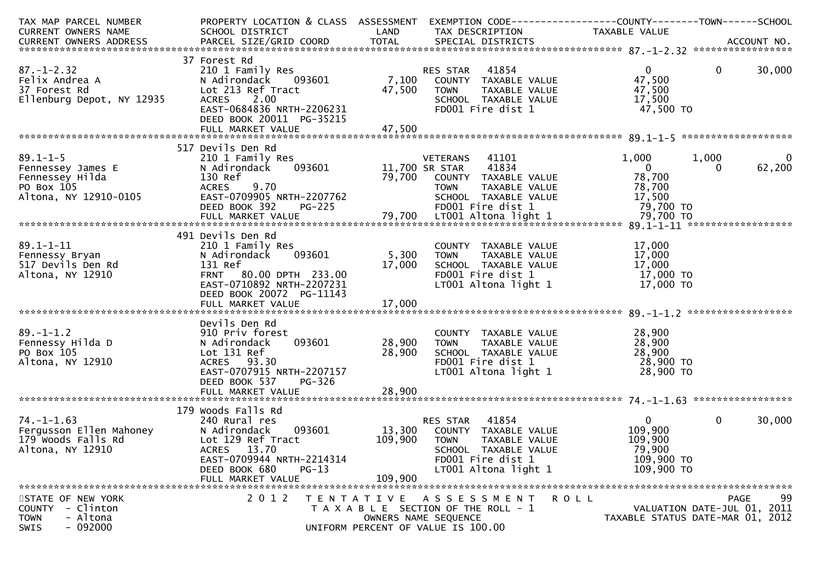| TAX MAP PARCEL NUMBER                              | PROPERTY LOCATION & CLASS ASSESSMENT EXEMPTION CODE---------------COUNTY-------TOWN------SCHOOL |                            |                                                            |                                     |                             |             |
|----------------------------------------------------|-------------------------------------------------------------------------------------------------|----------------------------|------------------------------------------------------------|-------------------------------------|-----------------------------|-------------|
| CURRENT OWNERS NAME                                | SCHOOL DISTRICT                                                                                 | LAND                       | TAX DESCRIPTION                                            | TAXABLE VALUE                       |                             |             |
|                                                    |                                                                                                 |                            |                                                            |                                     |                             |             |
|                                                    |                                                                                                 |                            |                                                            |                                     |                             |             |
|                                                    | 37 Forest Rd                                                                                    |                            |                                                            |                                     |                             |             |
| $87. - 1 - 2.32$                                   | 210 1 Family Res                                                                                |                            | RES STAR 41854                                             | $\mathbf{0}$                        | $\overline{0}$              | 30,000      |
| Felix Andrea A                                     | 093601<br>N Adirondack                                                                          |                            | 7,100 COUNTY TAXABLE VALUE                                 | 47,500                              |                             |             |
| <b>NIV 12935</b><br>37 Forest Rd                   | Lot 213 Ref Tract                                                                               | 47,500                     | TAXABLE VALUE<br><b>TOWN</b>                               | 47,500                              |                             |             |
| Ellenburg Depot, NY 12935                          | <b>ACRES</b><br>2.00                                                                            |                            | SCHOOL TAXABLE VALUE                                       | 17,500                              |                             |             |
|                                                    | EAST-0684836 NRTH-2206231<br>DEED BOOK 20011 PG-35215                                           |                            | FD001 Fire dist 1                                          | 47,500 TO                           |                             |             |
|                                                    |                                                                                                 |                            |                                                            |                                     |                             |             |
|                                                    |                                                                                                 |                            |                                                            |                                     |                             |             |
|                                                    | 517 Devils Den Rd                                                                               |                            |                                                            |                                     |                             |             |
| $89.1 - 1 - 5$                                     | 210 1 Family Res                                                                                |                            | 41101<br>VETERANS                                          | 1,000                               | 1,000                       | $\mathbf 0$ |
| Fennessey James E<br>Fennessey Hilda<br>PO Box 105 | 093601<br>N Adirondack                                                                          | VETERANS<br>11,700 SR STAR | 41834                                                      | $\overline{0}$                      | 0                           | 62,200      |
|                                                    | 130 Ref                                                                                         | 79,700                     | COUNTY TAXABLE VALUE                                       | 78,700                              |                             |             |
| PO Box 105                                         | ACRES 9.70                                                                                      |                            | <b>TOWN</b><br>TAXABLE VALUE                               | 78,700                              |                             |             |
| Altona, NY 12910-0105                              | EAST-0709905 NRTH-2207762                                                                       |                            | SCHOOL TAXABLE VALUE                                       | 17,500                              |                             |             |
|                                                    | <b>PG-225</b><br>DEED BOOK 392                                                                  |                            | FD001 Fire dist 1                                          | 79,700 TO                           |                             |             |
|                                                    |                                                                                                 |                            |                                                            |                                     |                             |             |
|                                                    |                                                                                                 |                            |                                                            |                                     |                             |             |
|                                                    | 491 Devils Den Rd                                                                               |                            |                                                            |                                     |                             |             |
| $89.1 - 1 - 11$                                    | 210 1 Family Res                                                                                |                            | COUNTY TAXABLE VALUE                                       | 17,000                              |                             |             |
| Fennessy Bryan                                     | 093601<br>N Adirondack                                                                          | 5,300                      | TAXABLE VALUE<br>TOWN                                      | 17,000                              |                             |             |
| 517 Devils Den Rd                                  | 131 Ref                                                                                         | 17,000                     | SCHOOL TAXABLE VALUE                                       | 17,000                              |                             |             |
| Altona, NY 12910                                   | FRNT 80.00 DPTH 233.00                                                                          |                            | FD001 Fire dist 1                                          | 17,000 TO                           |                             |             |
|                                                    | EAST-0710892 NRTH-2207231                                                                       |                            | LT001 Altona light 1                                       | 17,000 TO                           |                             |             |
|                                                    | DEED BOOK 20072 PG-11143                                                                        |                            |                                                            |                                     |                             |             |
|                                                    |                                                                                                 |                            |                                                            |                                     |                             |             |
|                                                    |                                                                                                 |                            |                                                            |                                     |                             |             |
|                                                    | Devils Den Rd                                                                                   |                            |                                                            |                                     |                             |             |
| $89. - 1 - 1.2$                                    | 910 Priv forest                                                                                 |                            | COUNTY TAXABLE VALUE                                       | 28,900                              |                             |             |
| Fennessy Hilda D                                   | 093601<br>N Adirondack                                                                          | 28,900                     | TAXABLE VALUE<br><b>TOWN</b>                               | 28,900                              |                             |             |
| PO Box 105                                         | Lot 131 Ref                                                                                     | 28,900                     | SCHOOL TAXABLE VALUE                                       | טע, 28, אט 28, 900<br>28, 900 TO 28 |                             |             |
| Altona, NY 12910                                   | ACRES 93.30                                                                                     |                            | FD001 Fire dist 1                                          |                                     |                             |             |
|                                                    | EAST-0707915 NRTH-2207157                                                                       |                            | LT001 Altona light 1                                       | 28,900 TO                           |                             |             |
|                                                    | DEED BOOK 537<br>PG-326                                                                         |                            |                                                            |                                     |                             |             |
|                                                    | FULL MARKET VALUE                                                                               | 28,900                     |                                                            |                                     |                             |             |
|                                                    |                                                                                                 |                            |                                                            |                                     |                             |             |
|                                                    | 179 Woods Falls Rd                                                                              |                            |                                                            |                                     |                             |             |
| $74. - 1 - 1.63$                                   | 240 Rural res                                                                                   |                            | 41854<br>RES STAR                                          | $\overline{0}$                      | $\mathbf{0}$                | 30,000      |
| Fergusson Ellen Mahoney                            | N Adirondack<br>093601                                                                          | 13,300                     | COUNTY TAXABLE VALUE                                       | 109,900                             |                             |             |
| 179 Woods Falls Rd                                 | Lot 129 Ref Tract                                                                               | 109,900                    | <b>TOWN</b><br>TAXABLE VALUE                               | 109,900                             |                             |             |
| Altona, NY 12910                                   | ACRES 13.70                                                                                     |                            | SCHOOL TAXABLE VALUE                                       | 79,900                              |                             |             |
|                                                    | EAST-0709944 NRTH-2214314                                                                       |                            | FD001 Fire dist 1                                          | 109,900 TO                          |                             |             |
|                                                    | DEED BOOK 680<br>$PG-13$                                                                        |                            | LT001 Altona light 1                                       | 109,900 TO                          |                             |             |
|                                                    | FULL MARKET VALUE                                                                               | 109,900                    |                                                            |                                     |                             |             |
|                                                    |                                                                                                 |                            |                                                            |                                     |                             |             |
| STATE OF NEW YORK                                  | 2 0 1 2                                                                                         | T E N T A T I V E          | A S S E S S M E N T                                        | <b>ROLL</b>                         |                             | 99<br>PAGE  |
| - Clinton<br><b>COUNTY</b>                         |                                                                                                 |                            | T A X A B L E SECTION OF THE ROLL - 1                      |                                     | VALUATION DATE-JUL 01, 2011 |             |
| - Altona<br><b>TOWN</b><br>- 092000<br><b>SWIS</b> |                                                                                                 |                            | OWNERS NAME SEQUENCE<br>UNIFORM PERCENT OF VALUE IS 100.00 | TAXABLE STATUS DATE-MAR 01, 2012    |                             |             |
|                                                    |                                                                                                 |                            |                                                            |                                     |                             |             |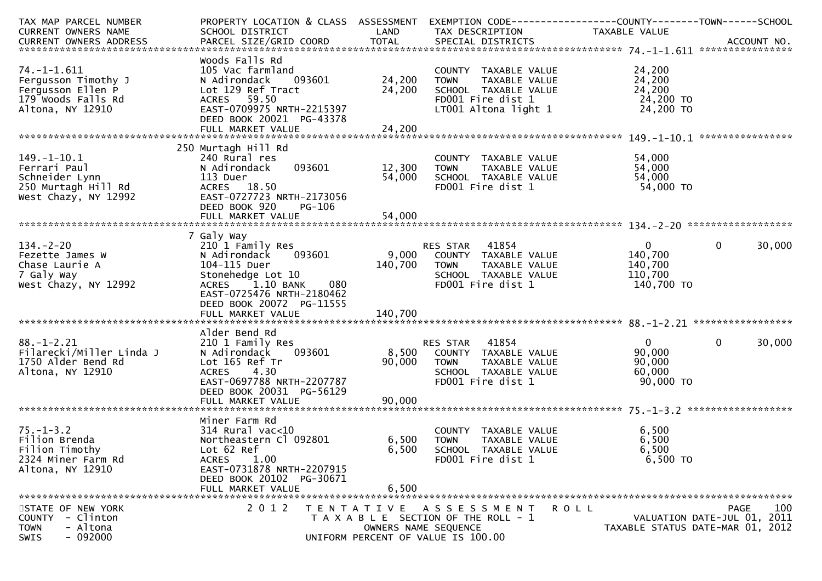| TAX MAP PARCEL NUMBER    | PROPERTY LOCATION & CLASS ASSESSMENT |                      |                                       | EXEMPTION CODE-----------------COUNTY-------TOWN------SCHOOL |                                  |
|--------------------------|--------------------------------------|----------------------|---------------------------------------|--------------------------------------------------------------|----------------------------------|
| CURRENT OWNERS NAME      | SCHOOL DISTRICT                      | LAND                 | TAX DESCRIPTION                       | TAXABLE VALUE                                                |                                  |
|                          |                                      |                      |                                       |                                                              |                                  |
|                          |                                      |                      |                                       |                                                              |                                  |
|                          | Woods Falls Rd                       |                      |                                       |                                                              |                                  |
| $74. - 1 - 1.611$        | 105 Vac farmland                     |                      | COUNTY TAXABLE VALUE                  | 24,200                                                       |                                  |
| Fergusson Timothy J      | 093601<br>N Adirondack               | 24,200               | TAXABLE VALUE<br><b>TOWN</b>          | 24,200                                                       |                                  |
| Fergusson Ellen P        | Lot 129 Ref Tract                    | 24,200               | SCHOOL TAXABLE VALUE                  | 24,200                                                       |                                  |
| 179 Woods Falls Rd       | ACRES 59.50                          |                      | FD001 Fire dist 1                     | 24,200 TO                                                    |                                  |
| Altona, NY 12910         | EAST-0709975 NRTH-2215397            |                      | LT001 Altona light 1                  | 24,200 TO                                                    |                                  |
|                          | DEED BOOK 20021 PG-43378             |                      |                                       |                                                              |                                  |
|                          | FULL MARKET VALUE                    | 24,200               |                                       |                                                              |                                  |
|                          |                                      |                      |                                       |                                                              | ****************                 |
|                          | 250 Murtagh Hill Rd                  |                      |                                       |                                                              |                                  |
| $149. - 1 - 10.1$        | 240 Rural res                        |                      | COUNTY TAXABLE VALUE                  | 54,000                                                       |                                  |
| Ferrari Paul             | 093601<br>N Adirondack               | 12,300               | TAXABLE VALUE<br><b>TOWN</b>          | 54,000                                                       |                                  |
| Schneider Lynn           | 113 Duer                             | 54,000               | SCHOOL TAXABLE VALUE                  | 54,000                                                       |                                  |
| 250 Murtagh Hill Rd      | ACRES 18.50                          |                      | FD001 Fire dist 1                     | 54,000 TO                                                    |                                  |
| West Chazy, NY 12992     | EAST-0727723 NRTH-2173056            |                      |                                       |                                                              |                                  |
|                          | DEED BOOK 920<br><b>PG-106</b>       |                      |                                       |                                                              |                                  |
|                          | FULL MARKET VALUE                    | 54,000               |                                       |                                                              |                                  |
|                          |                                      |                      |                                       |                                                              |                                  |
|                          | 7 Galy Way                           |                      |                                       |                                                              |                                  |
| $134. - 2 - 20$          | 210 1 Family Res                     |                      | RES STAR 41854                        | $\overline{0}$                                               | $\mathbf 0$<br>30,000            |
| Fezette James W          | N Adirondack<br>093601               | 9,000                | COUNTY TAXABLE VALUE                  | 140,700                                                      |                                  |
| Chase Laurie A           | 104-115 Duer                         | 140,700              | TAXABLE VALUE<br><b>TOWN</b>          | 140,700                                                      |                                  |
| 7 Galy Way               | Stonehedge Lot 10                    |                      | SCHOOL TAXABLE VALUE                  | 110,700                                                      |                                  |
| West Chazy, NY 12992     | ACRES 1.10 BANK<br>080               |                      | FD001 Fire dist 1                     | 140,700 TO                                                   |                                  |
|                          | EAST-0725476 NRTH-2180462            |                      |                                       |                                                              |                                  |
|                          | DEED BOOK 20072 PG-11555             |                      |                                       |                                                              |                                  |
|                          |                                      |                      |                                       |                                                              |                                  |
|                          |                                      |                      |                                       |                                                              |                                  |
|                          | Alder Bend Rd                        |                      |                                       |                                                              |                                  |
| $88. - 1 - 2.21$         | 210 1 Family Res                     |                      | 41854<br>RES STAR                     | 0                                                            | $\Omega$<br>30,000               |
| Filarecki/Miller Linda J | 093601<br>N Adirondack               | 8,500                | COUNTY TAXABLE VALUE                  | 90,000                                                       |                                  |
| 1750 Alder Bend Rd       | Lot 165 Ref Tr                       | 90,000               | <b>TOWN</b><br>TAXABLE VALUE          | 90,000                                                       |                                  |
| Altona, NY 12910         | <b>ACRES</b><br>4.30                 |                      | SCHOOL TAXABLE VALUE                  | 60,000                                                       |                                  |
|                          | EAST-0697788 NRTH-2207787            |                      | FD001 Fire dist 1                     | 90,000 TO                                                    |                                  |
|                          | DEED BOOK 20031 PG-56129             |                      |                                       |                                                              |                                  |
|                          |                                      |                      |                                       |                                                              |                                  |
|                          |                                      |                      |                                       |                                                              |                                  |
|                          |                                      |                      |                                       |                                                              |                                  |
|                          | Miner Farm Rd                        |                      |                                       |                                                              |                                  |
| $75. - 1 - 3.2$          | $314$ Rural vac<10                   |                      | COUNTY TAXABLE VALUE                  | 6,500                                                        |                                  |
| Filion Brenda            | Northeastern Cl 092801               | 6,500                | <b>TOWN</b><br>TAXABLE VALUE          | 6,500                                                        |                                  |
| Filion Timothy           | Lot 62 Ref                           | 6,500                | SCHOOL TAXABLE VALUE                  | 6,500                                                        |                                  |
| 2324 Miner Farm Rd       | 1.00<br><b>ACRES</b>                 |                      | FD001 Fire dist 1                     | 6,500 TO                                                     |                                  |
| Altona, NY 12910         | EAST-0731878 NRTH-2207915            |                      |                                       |                                                              |                                  |
|                          | DEED BOOK 20102 PG-30671             |                      |                                       |                                                              |                                  |
|                          | FULL MARKET VALUE                    | 6,500                |                                       |                                                              |                                  |
|                          |                                      |                      |                                       |                                                              |                                  |
| STATE OF NEW YORK        | 2 0 1 2                              |                      | TENTATIVE ASSESSMENT                  | <b>ROLL</b>                                                  | 100<br>PAGE                      |
| COUNTY<br>- Clinton      |                                      |                      | T A X A B L E SECTION OF THE ROLL - 1 |                                                              | VALUATION DATE-JUL 01, 2011      |
| <b>TOWN</b><br>- Altona  |                                      | OWNERS NAME SEQUENCE |                                       |                                                              | TAXABLE STATUS DATE-MAR 01, 2012 |
| $-092000$<br><b>SWIS</b> |                                      |                      | UNIFORM PERCENT OF VALUE IS 100.00    |                                                              |                                  |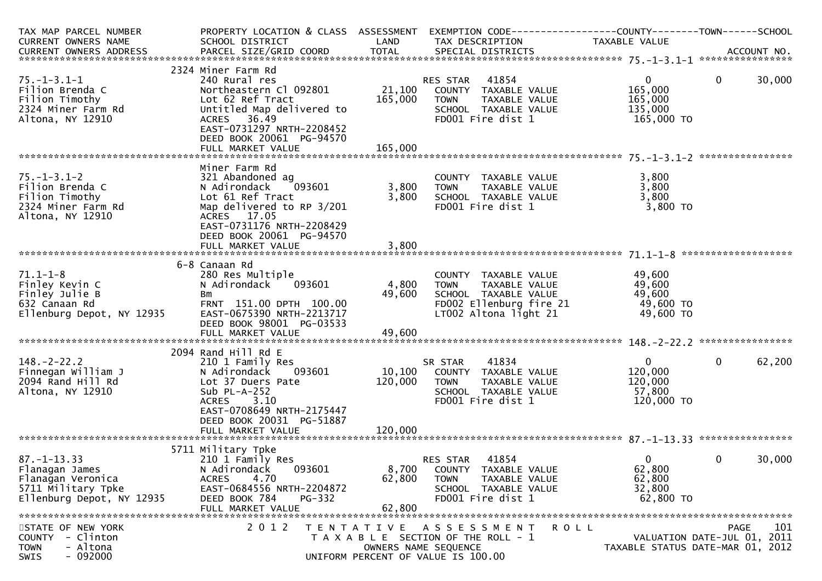| TAX MAP PARCEL NUMBER             | PROPERTY LOCATION & CLASS ASSESSMENT              |         | EXEMPTION CODE------------------COUNTY--------TOWN------SCHOOL |                         |                                  |
|-----------------------------------|---------------------------------------------------|---------|----------------------------------------------------------------|-------------------------|----------------------------------|
| CURRENT OWNERS NAME               | SCHOOL DISTRICT                                   | LAND    | TAX DESCRIPTION                                                | TAXABLE VALUE           |                                  |
| CURRENT OWNERS ADDRESS            |                                                   |         |                                                                |                         |                                  |
|                                   |                                                   |         |                                                                |                         |                                  |
|                                   | 2324 Miner Farm Rd                                |         |                                                                |                         | 30,000                           |
| $75. - 1 - 3.1 - 1$               | 240 Rural res<br>Northeastern Cl 092801           | 21,100  | 41854<br>RES STAR                                              | $\mathbf{0}$<br>165,000 | $\mathbf{0}$                     |
| Filion Brenda C<br>Filion Timothy | Lot 62 Ref Tract                                  | 165,000 | COUNTY TAXABLE VALUE<br>TAXABLE VALUE<br>TOWN                  | 165,000                 |                                  |
| 2324 Miner Farm Rd                | Untitled Map delivered to                         |         | SCHOOL TAXABLE VALUE                                           | 135,000                 |                                  |
| Altona, NY 12910                  | ACRES 36.49                                       |         | FD001 Fire dist 1                                              | 165,000 TO              |                                  |
|                                   | EAST-0731297 NRTH-2208452                         |         |                                                                |                         |                                  |
|                                   | DEED BOOK 20061 PG-94570                          |         |                                                                |                         |                                  |
|                                   | FULL MARKET VALUE                                 | 165,000 |                                                                |                         |                                  |
|                                   |                                                   |         |                                                                |                         |                                  |
|                                   | Miner Farm Rd                                     |         |                                                                |                         |                                  |
| $75. - 1 - 3.1 - 2$               | 321 Abandoned ag                                  |         | COUNTY TAXABLE VALUE                                           | 3,800                   |                                  |
| Filion Brenda C                   | N Adirondack<br>093601                            | 3,800   | TAXABLE VALUE<br><b>TOWN</b>                                   | 3,800                   |                                  |
| Filion Timothy                    | Lot 61 Ref Tract                                  | 3,800   | SCHOOL TAXABLE VALUE                                           | 3,800                   |                                  |
| 2324 Miner Farm Rd                | Map delivered to RP 3/201                         |         | FD001 Fire dist 1                                              | 3,800 TO                |                                  |
| Altona, NY 12910                  | ACRES 17.05                                       |         |                                                                |                         |                                  |
|                                   | EAST-0731176 NRTH-2208429                         |         |                                                                |                         |                                  |
|                                   | DEED BOOK 20061 PG-94570                          |         |                                                                |                         |                                  |
|                                   |                                                   |         |                                                                |                         |                                  |
|                                   | 6-8 Canaan Rd                                     |         |                                                                |                         |                                  |
| $71.1 - 1 - 8$                    | 280 Res Multiple                                  |         | COUNTY TAXABLE VALUE                                           | 49,600                  |                                  |
| Finley Kevin C                    | N Adirondack<br>093601                            | 4,800   | TAXABLE VALUE<br>TOWN                                          | 49,600                  |                                  |
| Finley Julie B                    | Bm                                                | 49,600  | SCHOOL TAXABLE VALUE                                           | 49,600                  |                                  |
| 632 Canaan Rd                     | FRNT 151.00 DPTH 100.00                           |         | FD002 Ellenburg fire 21                                        | 49,600 TO               |                                  |
| Ellenburg Depot, NY 12935         | EAST-0675390 NRTH-2213717                         |         | LT002 Altona light 21                                          | 49,600 TO               |                                  |
|                                   | DEED BOOK 98001 PG-03533                          |         |                                                                |                         |                                  |
|                                   |                                                   |         |                                                                |                         |                                  |
|                                   |                                                   |         |                                                                |                         |                                  |
|                                   | 2094 Rand Hill Rd E                               |         |                                                                |                         |                                  |
| $148. - 2 - 22.2$                 | 210 1 Family Res                                  |         | 41834<br>SR STAR                                               | $\mathbf{0}$            | 62,200<br>$\mathbf{0}$           |
| Finnegan William J                | N Adirondack<br>093601                            | 10,100  | COUNTY TAXABLE VALUE                                           | 120,000                 |                                  |
| 2094 Rand Hill Rd                 | Lot 37 Duers Pate                                 | 120,000 | TAXABLE VALUE<br>TOWN                                          | 120,000                 |                                  |
| Altona, NY 12910                  | Sub $PL-A-252$                                    |         | SCHOOL TAXABLE VALUE                                           | 57,800                  |                                  |
|                                   | 3.10<br><b>ACRES</b><br>EAST-0708649 NRTH-2175447 |         | FD001 Fire dist 1                                              | 120,000 TO              |                                  |
|                                   | DEED BOOK 20031 PG-51887                          |         |                                                                |                         |                                  |
|                                   |                                                   |         |                                                                |                         |                                  |
|                                   |                                                   |         |                                                                |                         |                                  |
|                                   | 5711 Military Tpke                                |         |                                                                |                         |                                  |
| $87. - 1 - 13.33$                 | 210 1 Family Res                                  |         | 41854<br><b>RES STAR</b>                                       | $\Omega$                | 0<br>30,000                      |
| Flanagan James                    | 093601<br>N Adirondack                            | 8,700   | COUNTY TAXABLE VALUE                                           | 62,800                  |                                  |
| Flanagan Veronica                 | 4.70<br><b>ACRES</b>                              | 62,800  | <b>TOWN</b><br>TAXABLE VALUE                                   | 62,800                  |                                  |
| 5711 Military Tpke                | EAST-0684556 NRTH-2204872                         |         | SCHOOL TAXABLE VALUE                                           | 32,800                  |                                  |
| Ellenburg Depot, NY 12935         | DEED BOOK 784<br>PG-332                           |         | FD001 Fire dist 1                                              | 62,800 TO               |                                  |
|                                   | FULL MARKET VALUE                                 | 62,800  |                                                                |                         |                                  |
|                                   |                                                   |         |                                                                |                         |                                  |
| STATE OF NEW YORK                 | 2 0 1 2                                           |         | TENTATIVE ASSESSMENT<br><b>ROLL</b>                            |                         | 101<br>PAGE                      |
| - Clinton<br><b>COUNTY</b>        |                                                   |         | T A X A B L E SECTION OF THE ROLL - 1                          |                         | VALUATION DATE-JUL 01, 2011      |
| - Altona<br><b>TOWN</b>           |                                                   |         | OWNERS NAME SEQUENCE                                           |                         | TAXABLE STATUS DATE-MAR 01, 2012 |
| $-092000$<br>SWIS                 |                                                   |         | UNIFORM PERCENT OF VALUE IS 100.00                             |                         |                                  |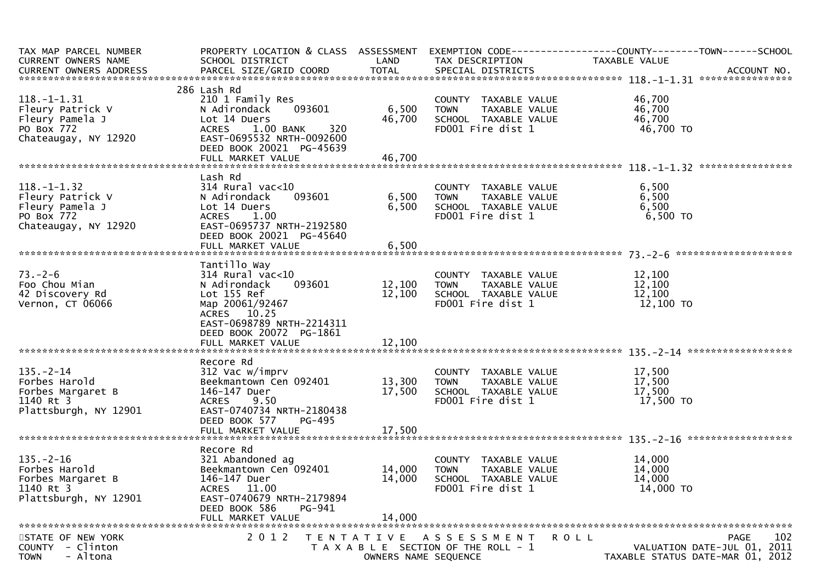| TAX MAP PARCEL NUMBER<br>CURRENT OWNERS NAME                                                | PROPERTY LOCATION & CLASS ASSESSMENT EXEMPTION CODE----------------COUNTY-------TOWN------SCHOOL<br>SCHOOL DISTRICT                          | LAND                 | TAX DESCRIPTION                                                                                   | TAXABLE VALUE                           |                             |
|---------------------------------------------------------------------------------------------|----------------------------------------------------------------------------------------------------------------------------------------------|----------------------|---------------------------------------------------------------------------------------------------|-----------------------------------------|-----------------------------|
|                                                                                             |                                                                                                                                              |                      |                                                                                                   |                                         |                             |
| $118. - 1 - 1.31$<br>Fleury Patrick V                                                       | 286 Lash Rd<br>210 1 Family Res<br>093601<br>N Adirondack                                                                                    | 6,500                | COUNTY TAXABLE VALUE<br>TAXABLE VALUE<br><b>TOWN</b>                                              | 46,700<br>46,700<br>46,700              |                             |
| Fleury Pamela J<br>PO Box 772<br>Chateaugay, NY 12920                                       | Lot 14 Duers<br>$1.00$ BANK<br>320<br><b>ACRES</b><br>EAST-0695532 NRTH-0092600<br>DEED BOOK 20021 PG-45639                                  | 46,700               | SCHOOL TAXABLE VALUE<br>FD001 Fire dist 1                                                         | 46,700 TO                               |                             |
|                                                                                             |                                                                                                                                              |                      |                                                                                                   |                                         |                             |
| $118. - 1 - 1.32$<br>Fleury Patrick V                                                       | Lash Rd<br>$314$ Rural vac<10<br>093601<br>N Adirondack                                                                                      | 6,500                | COUNTY TAXABLE VALUE<br>TAXABLE VALUE<br><b>TOWN</b>                                              | 6,500<br>6,500                          |                             |
| Fleury Pamela J<br>PO Box 772<br>Chateaugay, NY 12920                                       | Lot 14 Duers<br>ACRES<br>1.00<br>EAST-0695737 NRTH-2192580                                                                                   | 6,500                | SCHOOL TAXABLE VALUE<br>FD001 Fire dist 1                                                         | 6,500<br>6,500 TO                       |                             |
|                                                                                             | DEED BOOK 20021 PG-45640                                                                                                                     |                      |                                                                                                   |                                         |                             |
|                                                                                             | Tantillo Way                                                                                                                                 |                      |                                                                                                   |                                         |                             |
| $73. - 2 - 6$<br>Foo Chou Mian<br>42 Discovery Rd<br>Vernon, CT 06066                       | $314$ Rural vac<10<br>093601<br>N Adirondack<br>Lot 155 Ref<br>Map 20061/92467                                                               | 12,100<br>12,100     | COUNTY TAXABLE VALUE<br>TAXABLE VALUE<br><b>TOWN</b><br>SCHOOL TAXABLE VALUE<br>FD001 Fire dist 1 | 12,100<br>12,100<br>12,100<br>12,100 TO |                             |
|                                                                                             | ACRES 10.25<br>EAST-0698789 NRTH-2214311<br>DEED BOOK 20072 PG-1861                                                                          |                      |                                                                                                   |                                         |                             |
|                                                                                             |                                                                                                                                              |                      |                                                                                                   |                                         |                             |
| $135. - 2 - 14$<br>Forbes Harold<br>Forbes Margaret B<br>1140 Rt 3<br>Plattsburgh, NY 12901 | Recore Rd<br>312 Vac w/imprv<br>Beekmantown Cen 092401<br>146-147 Duer<br>ACRES 9.50<br>EAST-0740734 NRTH-2180438<br>DEED BOOK 577<br>PG-495 | 13,300<br>17,500     | COUNTY TAXABLE VALUE<br>TAXABLE VALUE<br><b>TOWN</b><br>SCHOOL TAXABLE VALUE<br>FD001 Fire dist 1 | 17,500<br>17,500<br>17,500<br>17,500 TO |                             |
|                                                                                             | FULL MARKET VALUE                                                                                                                            | 17,500               |                                                                                                   |                                         |                             |
|                                                                                             | Recore Rd                                                                                                                                    |                      |                                                                                                   |                                         |                             |
| $135. - 2 - 16$<br>Forbes Harold<br>Forbes Margaret B<br>1140 Rt 3<br>Plattsburgh, NY 12901 | 321 Abandoned ag<br>Beekmantown Cen 092401<br>146-147 Duer<br>ACRES 11.00<br>EAST-0740679 NRTH-2179894<br>DEED BOOK 586<br>PG-941            | 14,000<br>14,000     | COUNTY TAXABLE VALUE<br><b>TOWN</b><br>TAXABLE VALUE<br>SCHOOL TAXABLE VALUE<br>FD001 Fire dist 1 | 14,000<br>14,000<br>14,000<br>14,000 TO |                             |
|                                                                                             | FULL MARKET VALUE                                                                                                                            | 14,000               |                                                                                                   |                                         |                             |
| STATE OF NEW YORK                                                                           | 2 0 1 2                                                                                                                                      |                      | TENTATIVE ASSESSMENT                                                                              | ROLL                                    | 102<br><b>PAGE</b>          |
| - Clinton<br><b>COUNTY</b><br>- Altona<br><b>TOWN</b>                                       |                                                                                                                                              | OWNERS NAME SEQUENCE | T A X A B L E SECTION OF THE ROLL - 1                                                             | TAXABLE STATUS DATE-MAR 01, 2012        | VALUATION DATE-JUL 01, 2011 |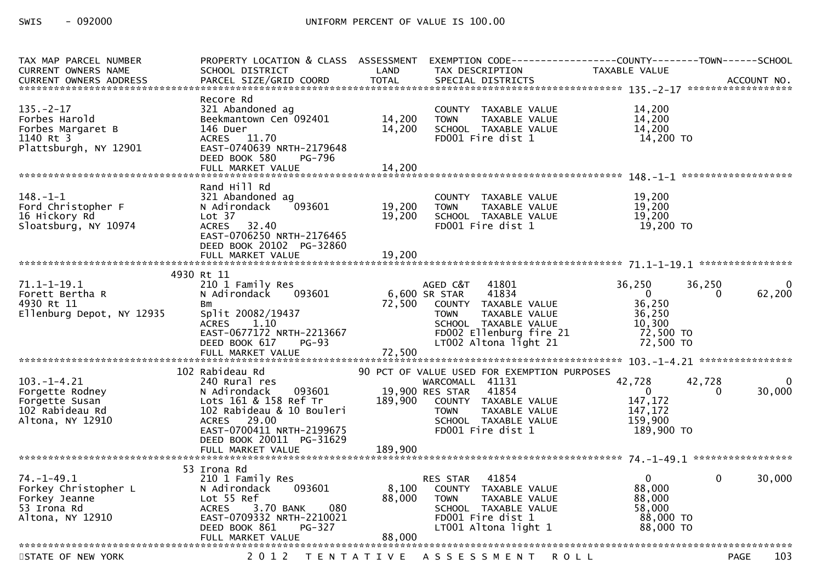| TAX MAP PARCEL NUMBER<br><b>CURRENT OWNERS NAME</b><br><b>CURRENT OWNERS ADDRESS</b>          | PROPERTY LOCATION & CLASS ASSESSMENT<br>SCHOOL DISTRICT<br>PARCEL SIZE/GRID COORD                                                                                                         | LAND<br><b>TOTAL</b>       | EXEMPTION CODE-----------------COUNTY-------TOWN------SCHOOL<br>TAX DESCRIPTION<br>SPECIAL DISTRICTS                                                                                            | <b>TAXABLE VALUE</b>                                                       | ACCOUNT NO.                       |
|-----------------------------------------------------------------------------------------------|-------------------------------------------------------------------------------------------------------------------------------------------------------------------------------------------|----------------------------|-------------------------------------------------------------------------------------------------------------------------------------------------------------------------------------------------|----------------------------------------------------------------------------|-----------------------------------|
|                                                                                               |                                                                                                                                                                                           |                            |                                                                                                                                                                                                 |                                                                            |                                   |
| $135. - 2 - 17$<br>Forbes Harold<br>Forbes Margaret B<br>1140 Rt 3<br>Plattsburgh, NY 12901   | Recore Rd<br>321 Abandoned ag<br>Beekmantown Cen 092401<br>146 Duer<br>ACRES 11.70<br>EAST-0740639 NRTH-2179648<br>DEED BOOK 580<br>PG-796                                                | 14,200<br>14,200           | COUNTY TAXABLE VALUE<br><b>TOWN</b><br>TAXABLE VALUE<br>SCHOOL TAXABLE VALUE<br>FD001 Fire dist 1                                                                                               | 14,200<br>14,200<br>14,200<br>14,200 TO                                    |                                   |
|                                                                                               | FULL MARKET VALUE                                                                                                                                                                         | 14,200                     |                                                                                                                                                                                                 |                                                                            |                                   |
| $148. - 1 - 1$<br>Ford Christopher F<br>16 Hickory Rd<br>Sloatsburg, NY 10974                 | Rand Hill Rd<br>321 Abandoned ag<br>093601<br>N Adirondack<br>Lot 37<br><b>ACRES</b><br>32.40<br>EAST-0706250 NRTH-2176465<br>DEED BOOK 20102 PG-32860<br>FULL MARKET VALUE               | 19,200<br>19,200<br>19,200 | COUNTY TAXABLE VALUE<br>TAXABLE VALUE<br><b>TOWN</b><br>SCHOOL TAXABLE VALUE<br>FD001 Fire dist 1                                                                                               | 19,200<br>19,200<br>19,200<br>19,200 TO                                    |                                   |
|                                                                                               |                                                                                                                                                                                           |                            |                                                                                                                                                                                                 |                                                                            |                                   |
| $71.1 - 1 - 19.1$<br>Forett Bertha R<br>4930 Rt 11<br>Ellenburg Depot, NY 12935               | 4930 Rt 11<br>210 1 Family Res<br>N Adirondack<br>093601<br>Bm<br>Split 20082/19437<br>1.10<br><b>ACRES</b><br>EAST-0677172 NRTH-2213667<br>$PG-93$<br>DEED BOOK 617<br>FULL MARKET VALUE | 72,500<br>72,500           | AGED C&T<br>41801<br>6,600 SR STAR<br>41834<br>COUNTY TAXABLE VALUE<br><b>TOWN</b><br>TAXABLE VALUE<br>SCHOOL TAXABLE VALUE<br>FD002 Ellenburg fire 21<br>LT002 Altona light 21                 | 36,250<br>$\Omega$<br>36,250<br>36,250<br>10,300<br>72,500 TO<br>72,500 TO | 36,250<br>0<br>62,200<br>$\Omega$ |
|                                                                                               |                                                                                                                                                                                           |                            |                                                                                                                                                                                                 |                                                                            |                                   |
| $103. - 1 - 4.21$<br>Forgette Rodney<br>Forgette Susan<br>102 Rabideau Rd<br>Altona, NY 12910 | 102 Rabideau Rd<br>240 Rural res<br>N Adirondack<br>093601<br>Lots 161 & 158 Ref Tr<br>102 Rabideau & 10 Bouleri<br>ACRES 29.00<br>EAST-0700411 NRTH-2199675<br>DEED BOOK 20011 PG-31629  | 189,900                    | 90 PCT OF VALUE USED FOR EXEMPTION PURPOSES<br>WARCOMALL 41131<br>19,900 RES STAR<br>41854<br>COUNTY TAXABLE VALUE<br><b>TOWN</b><br>TAXABLE VALUE<br>SCHOOL TAXABLE VALUE<br>FD001 Fire dist 1 | 42,728<br>$\Omega$<br>147,172<br>147,172<br>159,900<br>189,900 TO          | 42,728<br>$\Omega$<br>30,000<br>0 |
|                                                                                               | FULL MARKET VALUE                                                                                                                                                                         | 189,900                    |                                                                                                                                                                                                 |                                                                            |                                   |
| $74. - 1 - 49.1$<br>Forkey Christopher L<br>Forkey Jeanne<br>53 Irona Rd<br>Altona, NY 12910  | 53 Irona Rd<br>210 1 Family Res<br>N Adirondack<br>093601<br>Lot 55 Ref<br>080<br>3.70 BANK<br><b>ACRES</b><br>EAST-0709332 NRTH-2210021<br>PG-327<br>DEED BOOK 861<br>FULL MARKET VALUE  | 8,100<br>88,000<br>88,000  | 41854<br>RES STAR<br>COUNTY TAXABLE VALUE<br><b>TOWN</b><br>TAXABLE VALUE<br>SCHOOL TAXABLE VALUE<br>FD001 Fire dist 1<br>LT001 Altona light 1                                                  | $\Omega$<br>88,000<br>88,000<br>58,000<br>88,000 TO<br>88,000 TO           | 30,000<br>$\mathbf{0}$            |
|                                                                                               |                                                                                                                                                                                           |                            |                                                                                                                                                                                                 |                                                                            |                                   |
| STATE OF NEW YORK                                                                             | 2 0 1 2                                                                                                                                                                                   |                            | TENTATIVE ASSESSMENT                                                                                                                                                                            | <b>ROLL</b>                                                                | 103<br><b>PAGE</b>                |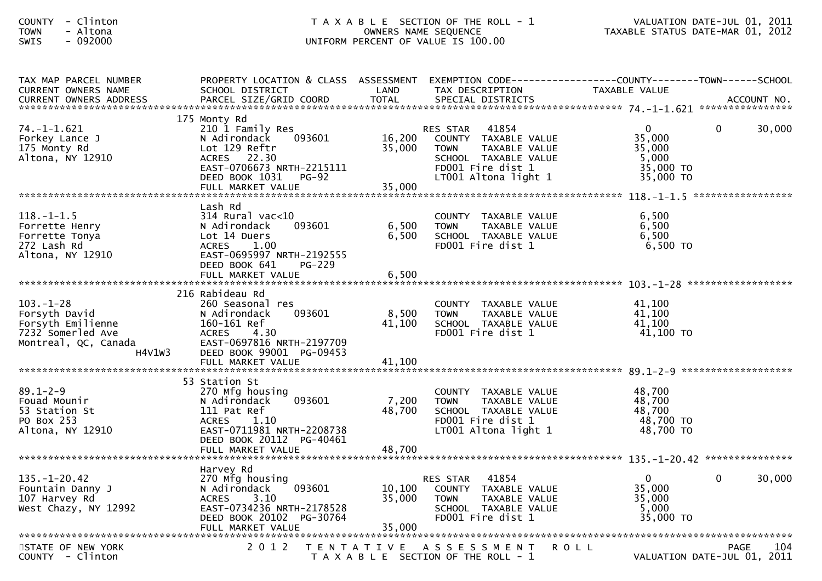| - Clinton<br><b>COUNTY</b><br>- Altona<br><b>TOWN</b><br>$-092000$<br>SWIS                                   |                                                                                                                                                                                    |                            | T A X A B L E SECTION OF THE ROLL - 1<br>OWNERS NAME SEQUENCE<br>UNIFORM PERCENT OF VALUE IS 100.00                                                   | TAXABLE STATUS DATE-MAR 01, 2012                                    | VALUATION DATE-JUL 01, 2011                       |
|--------------------------------------------------------------------------------------------------------------|------------------------------------------------------------------------------------------------------------------------------------------------------------------------------------|----------------------------|-------------------------------------------------------------------------------------------------------------------------------------------------------|---------------------------------------------------------------------|---------------------------------------------------|
| TAX MAP PARCEL NUMBER<br>CURRENT OWNERS NAME                                                                 | PROPERTY LOCATION & CLASS ASSESSMENT EXEMPTION CODE----------------COUNTY-------TOWN------SCHOOL<br>SCHOOL DISTRICT                                                                | LAND                       | TAX DESCRIPTION                                                                                                                                       | TAXABLE VALUE                                                       |                                                   |
| $74. - 1 - 1.621$<br>Forkey Lance J<br>175 Monty Rd<br>Altona, NY 12910                                      | 175 Monty Rd<br>210 1 Family Res<br>093601<br>N Adirondack<br>Lot 129 Reftr<br>ACRES 22.30<br>EAST-0706673 NRTH-2215111<br>DEED BOOK 1031<br>PG-92<br>FULL MARKET VALUE            | 16,200<br>35,000<br>35,000 | 41854<br><b>RES STAR</b><br>COUNTY TAXABLE VALUE<br>TAXABLE VALUE<br><b>TOWN</b><br>SCHOOL TAXABLE VALUE<br>FD001 Fire dist 1<br>LT001 Altona light 1 | $\mathbf{0}$<br>35,000<br>35,000<br>5,000<br>35,000 TO<br>35,000 TO | 30,000<br>0<br>*****************                  |
| $118.-1-1.5$<br>Forrette Henry<br>Forrette Tonya<br>272 Lash Rd<br>Altona, NY 12910                          | Lash Rd<br>$314$ Rural vac< $10$<br>093601<br>N Adirondack<br>Lot 14 Duers<br>ACRES 1.00<br>EAST-0695997 NRTH-2192555<br>DEED BOOK 641<br><b>PG-229</b><br>FULL MARKET VALUE       | 6,500<br>6,500<br>6,500    | COUNTY TAXABLE VALUE<br>TAXABLE VALUE<br><b>TOWN</b><br>SCHOOL TAXABLE VALUE<br>FD001 Fire dist 1                                                     | 6,500<br>6,500<br>6,500<br>6,500 TO                                 |                                                   |
|                                                                                                              |                                                                                                                                                                                    |                            |                                                                                                                                                       |                                                                     |                                                   |
| $103. - 1 - 28$<br>Forsyth David<br>Forsyth Emilienne<br>7232 Somerled Ave<br>Montreal, QC, Canada<br>H4V1W3 | 216 Rabideau Rd<br>260 Seasonal res<br>093601<br>N Adirondack<br>160-161 Ref<br><b>ACRES</b><br>4.30<br>EAST-0697816 NRTH-2197709<br>DEED BOOK 99001 PG-09453<br>FULL MARKET VALUE | 8,500<br>41,100<br>41,100  | COUNTY TAXABLE VALUE<br>TAXABLE VALUE<br><b>TOWN</b><br>SCHOOL TAXABLE VALUE<br>FD001 Fire dist 1                                                     | 41,100<br>41,100<br>41,100<br>41,100 TO                             |                                                   |
| $89.1 - 2 - 9$<br>Fouad Mounir<br>53 Station St<br>PO Box 253<br>Altona, NY 12910                            | 53 Station St<br>270 Mfg housing<br>093601<br>N Adirondack<br>111 Pat Ref<br><b>ACRES</b><br>1.10<br>EAST-0711981 NRTH-2208738<br>DEED BOOK 20112 PG-40461<br>FULL MARKET VALUE    | 7,200<br>48,700<br>48,700  | COUNTY TAXABLE VALUE<br>TAXABLE VALUE<br><b>TOWN</b><br>SCHOOL TAXABLE VALUE<br>FD001 Fire dist 1<br>LT001 Altona light 1                             | 48,700<br>48,700<br>48,700<br>48,700 TO<br>48,700 TO                |                                                   |
|                                                                                                              | Harvey Rd                                                                                                                                                                          |                            |                                                                                                                                                       |                                                                     |                                                   |
| $135. - 1 - 20.42$<br>Fountain Danny J<br>107 Harvey Rd<br>West Chazy, NY 12992                              | 270 Mfg housing<br>093601<br>N Adirondack<br>3.10<br><b>ACRES</b><br>EAST-0734236 NRTH-2178528<br>DEED BOOK 20102 PG-30764<br>FULL MARKET VALUE                                    | 10,100<br>35,000<br>35,000 | RES STAR<br>41854<br>COUNTY TAXABLE VALUE<br><b>TOWN</b><br>TAXABLE VALUE<br>SCHOOL TAXABLE VALUE<br>FD001 Fire dist 1                                | $\mathbf{0}$<br>35,000<br>35,000<br>5,000<br>35,000 TO              | 30,000<br>0                                       |
|                                                                                                              |                                                                                                                                                                                    |                            |                                                                                                                                                       |                                                                     |                                                   |
| STATE OF NEW YORK<br>COUNTY - Clinton                                                                        | 2 0 1 2                                                                                                                                                                            |                            | TENTATIVE ASSESSMENT<br>T A X A B L E SECTION OF THE ROLL - 1                                                                                         | R O L L                                                             | 104<br><b>PAGE</b><br>VALUATION DATE-JUL 01, 2011 |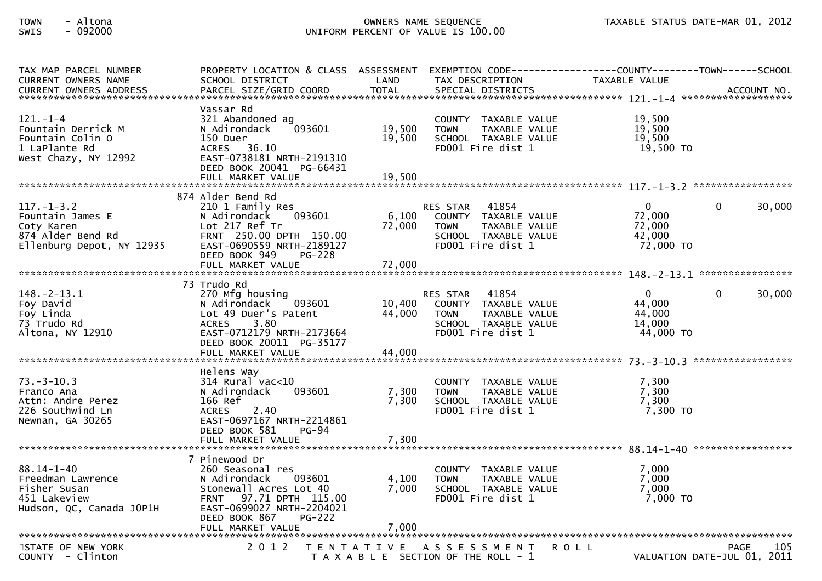## TOWN - Altona OWNERS NAME SEQUENCE TAXABLE STATUS DATE-MAR 01, 2012SWIS - 092000 UNIFORM PERCENT OF VALUE IS 100.00

| TAX MAP PARCEL NUMBER<br><b>CURRENT OWNERS NAME</b>                                                  | PROPERTY LOCATION & CLASS ASSESSMENT<br>SCHOOL DISTRICT                                                                                                                                  | LAND              | EXEMPTION CODE---<br>TAX DESCRIPTION                                                                                          | ------------COUNTY--------TOWN------SCHOOL<br>TAXABLE VALUE |                                                   |
|------------------------------------------------------------------------------------------------------|------------------------------------------------------------------------------------------------------------------------------------------------------------------------------------------|-------------------|-------------------------------------------------------------------------------------------------------------------------------|-------------------------------------------------------------|---------------------------------------------------|
|                                                                                                      | Vassar Rd                                                                                                                                                                                |                   |                                                                                                                               |                                                             |                                                   |
| $121. - 1 - 4$<br>Fountain Derrick M<br>Fountain Colin O<br>1 LaPlante Rd<br>West Chazy, NY 12992    | 321 Abandoned ag<br>N Adirondack<br>093601<br>150 Duer<br>ACRES 36.10<br>EAST-0738181 NRTH-2191310<br>DEED BOOK 20041 PG-66431                                                           | 19,500<br>19,500  | COUNTY TAXABLE VALUE<br><b>TOWN</b><br>TAXABLE VALUE<br>SCHOOL TAXABLE VALUE<br>FD001 Fire dist 1                             | 19,500<br>19,500<br>19,500<br>19,500 TO                     |                                                   |
|                                                                                                      |                                                                                                                                                                                          |                   |                                                                                                                               |                                                             |                                                   |
|                                                                                                      | 874 Alder Bend Rd                                                                                                                                                                        |                   |                                                                                                                               |                                                             |                                                   |
| $117. - 1 - 3.2$<br>Fountain James E<br>Coty Karen<br>874 Alder Bend Rd<br>Ellenburg Depot, NY 12935 | 210 1 Family Res<br>093601<br>N Adirondack<br>Lot 217 Ref Tr<br>FRNT 250.00 DPTH 150.00<br>EAST-0690559 NRTH-2189127<br>DEED BOOK 949<br><b>PG-228</b>                                   | 6,100<br>72,000   | 41854<br><b>RES STAR</b><br>COUNTY TAXABLE VALUE<br>TAXABLE VALUE<br>TOWN<br>SCHOOL TAXABLE VALUE<br>FD001 Fire dist 1        | $\overline{0}$<br>72,000<br>72,000<br>42,000<br>72,000 TO   | 30,000<br>0                                       |
|                                                                                                      |                                                                                                                                                                                          |                   |                                                                                                                               |                                                             |                                                   |
| $148. - 2 - 13.1$<br>Foy David<br>Foy Linda<br>73 Trudo Rd<br>Altona, NY 12910                       | 73 Trudo Rd<br>270 Mfg housing<br>093601<br>N Adirondack<br>Lot 49 Duer's Patent<br>3.80<br><b>ACRES</b><br>EAST-0712179 NRTH-2173664<br>DEED BOOK 20011 PG-35177                        | 10,400<br>44,000  | 41854<br><b>RES STAR</b><br>COUNTY TAXABLE VALUE<br>TAXABLE VALUE<br><b>TOWN</b><br>SCHOOL TAXABLE VALUE<br>FD001 Fire dist 1 | $\Omega$<br>44,000<br>44,000<br>14,000<br>44,000 TO         | 30,000<br>0                                       |
|                                                                                                      | FULL MARKET VALUE                                                                                                                                                                        | 44,000            |                                                                                                                               |                                                             |                                                   |
| $73. - 3 - 10.3$<br>Franco Ana<br>Attn: Andre Perez<br>226 Southwind Ln<br>Newnan, GA 30265          | Helens Way<br>$314$ Rural vac<10<br>N Adirondack<br>093601<br>166 Ref<br>2.40<br><b>ACRES</b><br>EAST-0697167 NRTH-2214861<br>DEED BOOK 581<br><b>PG-94</b>                              | 7,300<br>7,300    | <b>COUNTY</b><br>TAXABLE VALUE<br>TAXABLE VALUE<br><b>TOWN</b><br>SCHOOL TAXABLE VALUE<br>FD001 Fire dist 1                   | 7,300<br>7,300<br>7,300<br>$7,300$ TO                       |                                                   |
|                                                                                                      | FULL MARKET VALUE                                                                                                                                                                        | 7,300             |                                                                                                                               |                                                             |                                                   |
| $88.14 - 1 - 40$<br>Freedman Lawrence<br>Fisher Susan<br>451 Lakeview<br>Hudson, QC, Canada JOP1H    | 7 Pinewood Dr<br>260 Seasonal res<br>N Adirondack<br>093601<br>Stonewall Acres Lot 40<br>97.71 DPTH 115.00<br><b>FRNT</b><br>EAST-0699027 NRTH-2204021<br>DEED BOOK 867<br><b>PG-222</b> | 4,100<br>7,000    | COUNTY TAXABLE VALUE<br><b>TOWN</b><br>TAXABLE VALUE<br>SCHOOL TAXABLE VALUE<br>FD001 Fire dist 1                             | 7,000<br>7,000<br>7,000<br>7,000 TO                         |                                                   |
| STATE OF NEW YORK<br>COUNTY - Clinton                                                                | 2 0 1 2                                                                                                                                                                                  | T E N T A T I V E | A S S E S S M E N T<br>T A X A B L E SECTION OF THE ROLL - 1                                                                  | <b>ROLL</b>                                                 | <b>PAGE</b><br>105<br>VALUATION DATE-JUL 01, 2011 |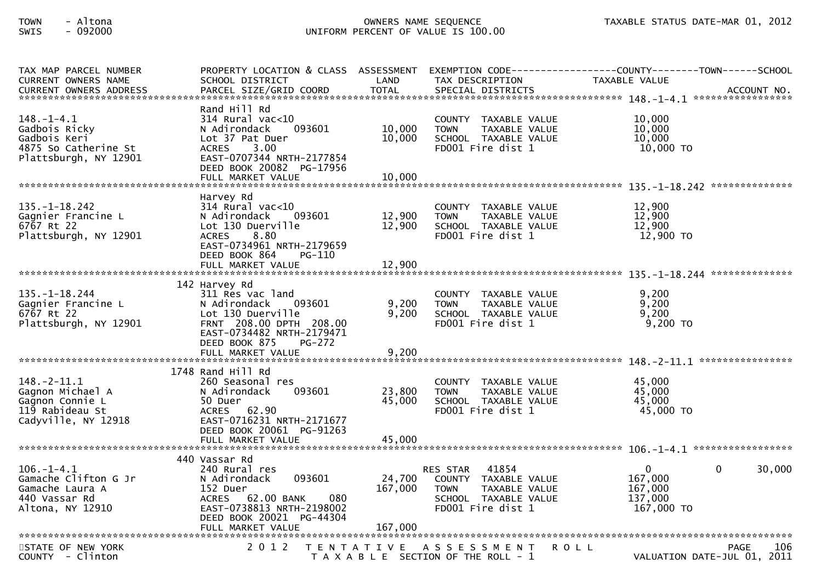## TOWN - Altona OWNERS NAME SEQUENCE TAXABLE STATUS DATE-MAR 01, 2012SWIS - 092000 UNIFORM PERCENT OF VALUE IS 100.00

| TAX MAP PARCEL NUMBER<br><b>CURRENT OWNERS NAME</b>                                                | PROPERTY LOCATION & CLASS ASSESSMENT<br>SCHOOL DISTRICT                                                                                                                                  | LAND                       | TAX DESCRIPTION                                                                                                               | EXEMPTION CODE------------------COUNTY--------TOWN------SCHOOL<br><b>TAXABLE VALUE</b> |
|----------------------------------------------------------------------------------------------------|------------------------------------------------------------------------------------------------------------------------------------------------------------------------------------------|----------------------------|-------------------------------------------------------------------------------------------------------------------------------|----------------------------------------------------------------------------------------|
| $148. - 1 - 4.1$<br>Gadbois Ricky<br>Gadbois Keri<br>4875 So Catherine St<br>Plattsburgh, NY 12901 | Rand Hill Rd<br>$314$ Rural vac< $10$<br>093601<br>N Adirondack<br>Lot 37 Pat Duer<br>3.00<br><b>ACRES</b><br>EAST-0707344 NRTH-2177854<br>DEED BOOK 20082 PG-17956<br>FULL MARKET VALUE | 10,000<br>10,000<br>10,000 | COUNTY TAXABLE VALUE<br><b>TOWN</b><br>TAXABLE VALUE<br>SCHOOL TAXABLE VALUE<br>FD001 Fire dist 1                             | 10,000<br>10,000<br>10,000<br>$10,000$ TO<br>**************                            |
| $135. - 1 - 18.242$<br>Gagnier Francine L<br>6767 Rt 22<br>Plattsburgh, NY 12901                   | Harvey Rd<br>$314$ Rural vac<10<br>N Adirondack<br>093601<br>Lot 130 Duerville<br>8.80<br><b>ACRES</b><br>EAST-0734961 NRTH-2179659<br>DEED BOOK 864<br>PG-110<br>FULL MARKET VALUE      | 12,900<br>12,900<br>12,900 | <b>COUNTY</b><br>TAXABLE VALUE<br><b>TOWN</b><br>TAXABLE VALUE<br>SCHOOL TAXABLE VALUE<br>FD001 Fire dist 1                   | 12,900<br>12,900<br>12,900<br>12,900 TO                                                |
| $135. - 1 - 18.244$<br>Gagnier Francine L<br>6767 Rt 22<br>Plattsburgh, NY 12901                   | 142 Harvey Rd<br>311 Res vac land<br>N Adirondack<br>093601<br>Lot 130 Duerville<br>FRNT 208.00 DPTH 208.00<br>EAST-0734482 NRTH-2179471<br>DEED BOOK 875<br>PG-272                      | 9,200<br>9,200             | COUNTY TAXABLE VALUE<br><b>TOWN</b><br>TAXABLE VALUE<br>SCHOOL TAXABLE VALUE<br>FD001 Fire dist 1                             | 9,200<br>9,200<br>9.200<br>$9,200$ TO                                                  |
| $148. - 2 - 11.1$<br>Gagnon Michael A<br>Gagnon Connie L<br>119 Rabideau St<br>Cadyville, NY 12918 | $1748$ Rand Hill Rd<br>260 Seasonal res<br>093601<br>N Adirondack<br>50 Duer<br>ACRES 62.90<br>EAST-0716231 NRTH-2171677<br>DEED BOOK 20061 PG-91263<br>FULL MARKET VALUE                | 23,800<br>45,000<br>45,000 | <b>COUNTY</b><br>TAXABLE VALUE<br><b>TOWN</b><br>TAXABLE VALUE<br>SCHOOL TAXABLE VALUE<br>FD001 Fire dist 1                   | ****************<br>45,000<br>45,000<br>45,000<br>45,000 TO                            |
| $106. - 1 - 4.1$<br>Gamache Clifton G Jr<br>Gamache Laura A<br>440 Vassar Rd<br>Altona, NY 12910   | 440 Vassar Rd<br>240 Rural res<br>093601<br>N Adirondack<br>152 Duer<br>ACRES 62.00 BANK<br>080<br>EAST-0738813 NRTH-2198002<br>DEED BOOK 20021 PG-44304                                 | 24,700<br>167,000          | 41854<br><b>RES STAR</b><br>COUNTY TAXABLE VALUE<br>TAXABLE VALUE<br><b>TOWN</b><br>SCHOOL TAXABLE VALUE<br>FD001 Fire dist 1 | $\mathbf{0}$<br>30,000<br>0<br>167,000<br>167,000<br>137,000<br>167,000 TO             |
| STATE OF NEW YORK<br>COUNTY - Clinton                                                              | 2 0 1 2                                                                                                                                                                                  | T E N T A T I V E          | A S S E S S M E N T<br>T A X A B L E SECTION OF THE ROLL - 1                                                                  | <b>ROLL</b><br>PAGE<br>106<br>VALUATION DATE-JUL 01, 2011                              |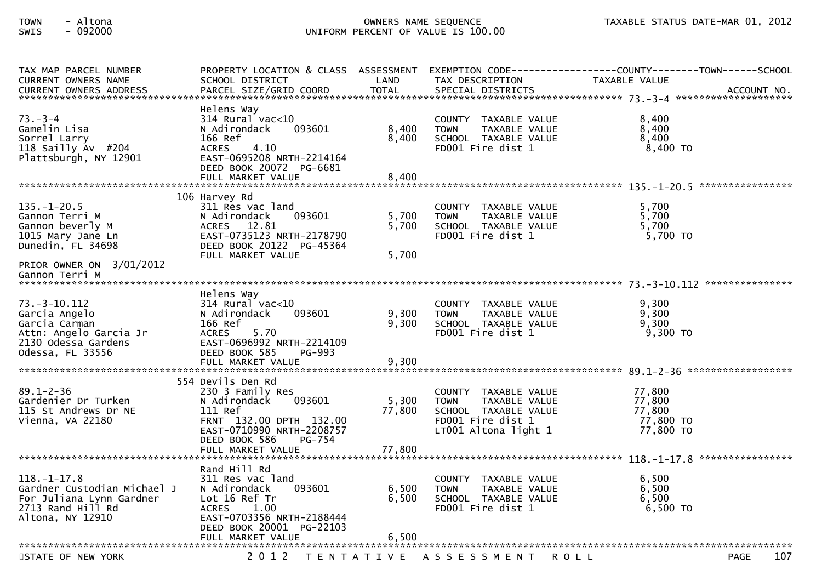## TOWN - Altona OWNERS NAME SEQUENCE TAXABLE STATUS DATE-MAR 01, 2012SWIS - 092000 UNIFORM PERCENT OF VALUE IS 100.00

| TAX MAP PARCEL NUMBER<br><b>CURRENT OWNERS NAME</b>                                                                       | PROPERTY LOCATION & CLASS ASSESSMENT<br>SCHOOL DISTRICT                                                                                                                            | LAND                      | EXEMPTION CODE-----<br>TAX DESCRIPTION                                                                                    | -------------COUNTY--------TOWN------SCHOOL<br>TAXABLE VALUE |
|---------------------------------------------------------------------------------------------------------------------------|------------------------------------------------------------------------------------------------------------------------------------------------------------------------------------|---------------------------|---------------------------------------------------------------------------------------------------------------------------|--------------------------------------------------------------|
| $73. - 3 - 4$<br>Gamelin Lisa<br>Sorrel Larry<br>118 Sailly Av #204<br>Plattsburgh, NY 12901                              | Helens Way<br>314 Rural vac<10<br>N Adirondack<br>093601<br>166 Ref<br><b>ACRES</b><br>4.10<br>EAST-0695208 NRTH-2214164<br>DEED BOOK 20072 PG-6681<br>FULL MARKET VALUE           | 8,400<br>8,400<br>8,400   | COUNTY TAXABLE VALUE<br><b>TOWN</b><br>TAXABLE VALUE<br>SCHOOL TAXABLE VALUE<br>FD001 Fire dist 1                         | 8,400<br>8,400<br>8,400<br>$8,400$ TO<br>****************    |
|                                                                                                                           |                                                                                                                                                                                    |                           |                                                                                                                           |                                                              |
| $135. - 1 - 20.5$<br>Gannon Terri M<br>Gannon beverly M<br>1015 Mary Jane Ln<br>Dunedin, FL 34698                         | 106 Harvey Rd<br>311 Res vac land<br>093601<br>N Adirondack<br>ACRES 12.81<br>EAST-0735123 NRTH-2178790<br>DEED BOOK 20122 PG-45364<br>FULL MARKET VALUE                           | 5,700<br>5,700<br>5,700   | COUNTY TAXABLE VALUE<br><b>TOWN</b><br>TAXABLE VALUE<br>SCHOOL TAXABLE VALUE<br>FD001 Fire dist 1                         | 5,700<br>5,700<br>5,700<br>$5,700$ TO                        |
| PRIOR OWNER ON 3/01/2012                                                                                                  |                                                                                                                                                                                    |                           |                                                                                                                           |                                                              |
| Gannon Terri M                                                                                                            |                                                                                                                                                                                    |                           |                                                                                                                           |                                                              |
|                                                                                                                           |                                                                                                                                                                                    |                           |                                                                                                                           |                                                              |
| $73. - 3 - 10.112$<br>Garcia Angelo<br>Garcia Carman<br>Attn: Angelo Garcia Jr<br>2130 Odessa Gardens<br>Odessa, FL 33556 | Helens Way<br>$314$ Rural vac< $10$<br>N Adirondack<br>093601<br>166 Ref<br>5.70<br><b>ACRES</b><br>EAST-0696992 NRTH-2214109<br>DEED BOOK 585<br>PG-993<br>FULL MARKET VALUE      | 9,300<br>9,300<br>9,300   | COUNTY TAXABLE VALUE<br>TAXABLE VALUE<br><b>TOWN</b><br>SCHOOL TAXABLE VALUE<br>FD001 Fire dist 1                         | 9,300<br>9,300<br>9,300<br>9,300 TO                          |
|                                                                                                                           |                                                                                                                                                                                    |                           |                                                                                                                           |                                                              |
| $89.1 - 2 - 36$<br>Gardenier Dr Turken<br>115 St Andrews Dr NE<br>Vienna, VA 22180                                        | 554 Devils Den Rd<br>230 3 Family Res<br>N Adirondack<br>093601<br>111 Ref<br>FRNT 132.00 DPTH 132.00<br>EAST-0710990 NRTH-2208757<br>DEED BOOK 586<br>PG-754<br>FULL MARKET VALUE | 5,300<br>77,800<br>77,800 | COUNTY TAXABLE VALUE<br>TAXABLE VALUE<br><b>TOWN</b><br>SCHOOL TAXABLE VALUE<br>FD001 Fire dist 1<br>LT001 Altona light 1 | 77,800<br>77,800<br>77,800<br>77,800 TO<br>77,800 TO         |
|                                                                                                                           |                                                                                                                                                                                    |                           |                                                                                                                           |                                                              |
| $118. - 1 - 17.8$<br>Gardner Custodian Michael J<br>For Juliana Lynn Gardner<br>2713 Rand Hill Rd<br>Altona, NY 12910     | Rand Hill Rd<br>311 Res vac land<br>093601<br>N Adirondack<br>Lot 16 Ref Tr<br><b>ACRES</b><br>1.00<br>EAST-0703356 NRTH-2188444<br>DEED BOOK 20001 PG-22103                       | 6,500<br>6,500            | COUNTY TAXABLE VALUE<br>TAXABLE VALUE<br><b>TOWN</b><br>SCHOOL TAXABLE VALUE<br>FD001 Fire dist 1                         | 6,500<br>6,500<br>6,500<br>$6,500$ TO                        |
|                                                                                                                           | FULL MARKET VALUE                                                                                                                                                                  | 6,500                     |                                                                                                                           |                                                              |
| STATE OF NEW YORK                                                                                                         | 2 0 1 2                                                                                                                                                                            | T E N T A T I V E         | A S S E S S M E N T                                                                                                       | 107<br><b>ROLL</b><br>PAGE                                   |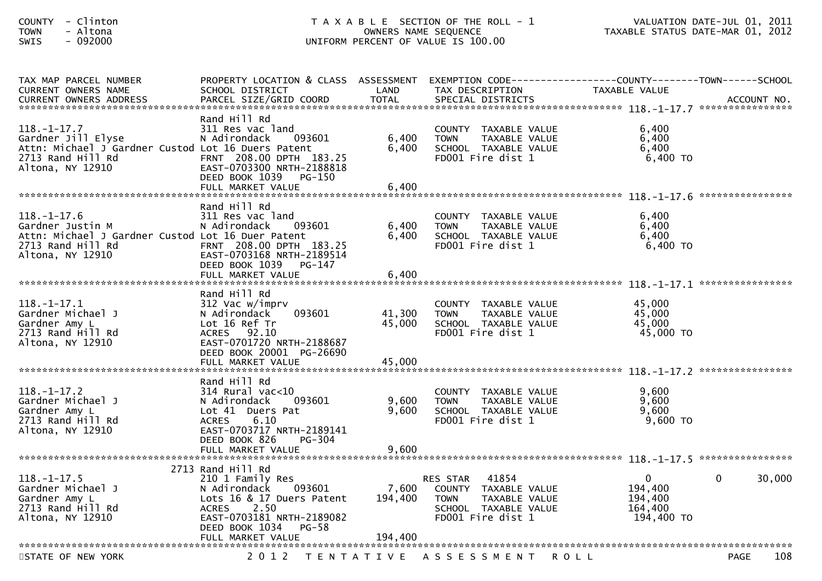| - Clinton<br><b>COUNTY</b><br>- Altona<br><b>TOWN</b><br>$-092000$<br><b>SWIS</b>                                                   | T A X A B L E SECTION OF THE ROLL - 1<br>OWNERS NAME SEQUENCE<br>UNIFORM PERCENT OF VALUE IS 100.00                                                                                               |                             |                                                                                                                                  | VALUATION DATE-JUL 01, 2011<br>TAXABLE STATUS DATE-MAR 01, 2012 |                       |
|-------------------------------------------------------------------------------------------------------------------------------------|---------------------------------------------------------------------------------------------------------------------------------------------------------------------------------------------------|-----------------------------|----------------------------------------------------------------------------------------------------------------------------------|-----------------------------------------------------------------|-----------------------|
| TAX MAP PARCEL NUMBER<br>CURRENT OWNERS NAME                                                                                        | PROPERTY LOCATION & CLASS ASSESSMENT<br>SCHOOL DISTRICT                                                                                                                                           | LAND                        | EXEMPTION CODE-----------------COUNTY--------TOWN-----SCHOOL<br>TAX DESCRIPTION                                                  | TAXABLE VALUE                                                   |                       |
| $118.-1-17.7$<br>Gardner Jill Elyse<br>Attn: Michael J Gardner Custod Lot 16 Duers Patent<br>2713 Rand Hill Rd<br>Altona, NY 12910  | Rand Hill Rd<br>311 Res vac land<br>N Adirondack<br>093601<br>FRNT 208.00 DPTH 183.25<br>EAST-0703300 NRTH-2188818<br>DEED BOOK 1039 PG-150<br>FULL MARKET VALUE                                  | 6,400<br>6,400<br>6,400     | COUNTY TAXABLE VALUE<br><b>TOWN</b><br>TAXABLE VALUE<br>SCHOOL TAXABLE VALUE<br>FD001 Fire dist 1                                | 6,400<br>6,400<br>6,400<br>6,400 TO                             |                       |
| $118. - 1 - 17.6$<br>Gardner Justin M<br>Attn: Michael J Gardner Custod Lot 16 Duer Patent<br>2713 Rand Hill Rd<br>Altona, NY 12910 | Rand Hill Rd<br>311 Res vac land<br>N Adirondack<br>093601<br>FRNT 208.00 DPTH 183.25<br>EAST-0703168 NRTH-2189514<br>DEED BOOK 1039 PG-147<br>FULL MARKET VALUE                                  | 6,400<br>6,400<br>6,400     | COUNTY TAXABLE VALUE<br>TAXABLE VALUE<br><b>TOWN</b><br>SCHOOL TAXABLE VALUE<br>FD001 Fire dist 1                                | 6,400<br>6,400<br>6,400<br>6,400 TO                             |                       |
| $118.-1-17.1$<br>Gardner Michael J<br>Gardner Amy L<br>2713 Rand Hill Rd<br>Altona, NY 12910                                        | Rand Hill Rd<br>312 Vac w/imprv<br>093601<br>N Adirondack<br>Lot 16 Ref Tr<br>ACRES 92.10<br>EAST-0701720 NRTH-2188687<br>DEED BOOK 20001 PG-26690                                                | 41,300<br>45,000            | COUNTY TAXABLE VALUE<br>TAXABLE VALUE<br><b>TOWN</b><br>SCHOOL TAXABLE VALUE<br>FD001 Fire dist 1                                | 45,000<br>45,000<br>45,000<br>45,000 TO                         |                       |
| $118.-1-17.2$<br>Gardner Michael J<br>Gardner Amy L<br>2713 Rand Hill Rd<br>Altona, NY 12910                                        | Rand Hill Rd<br>$314$ Rural vac<10<br>N Adirondack<br>093601<br>Lot 41 Duers Pat<br>6.10<br><b>ACRES</b><br>EAST-0703717 NRTH-2189141<br>DEED BOOK 826<br>PG-304<br>FULL MARKET VALUE             | 9,600<br>9,600<br>9,600     | COUNTY TAXABLE VALUE<br><b>TOWN</b><br>TAXABLE VALUE<br>SCHOOL TAXABLE VALUE<br>FD001 Fire dist 1                                | 9,600<br>9,600<br>9,600<br>9,600 TO                             |                       |
| $118. - 1 - 17.5$<br>Gardner Michael J<br>Gardner Amy L<br>2713 Rand Hill Rd<br>Altona, NY 12910                                    | 2713 Rand Hill Rd<br>210 1 Family Res<br>N Adirondack<br>093601<br>Lots 16 & 17 Duers Patent<br>2.50<br><b>ACRES</b><br>EAST-0703181 NRTH-2189082<br>DEED BOOK 1034<br>PG-58<br>FULL MARKET VALUE | 7,600<br>194,400<br>194,400 | 41854<br>RES STAR<br><b>COUNTY</b><br>TAXABLE VALUE<br>TAXABLE VALUE<br><b>TOWN</b><br>SCHOOL TAXABLE VALUE<br>FD001 Fire dist 1 | 0<br>194,400<br>194,400<br>164,400<br>194,400 TO                | $\mathbf 0$<br>30,000 |
| STATE OF NEW YORK                                                                                                                   | 2 0 1 2                                                                                                                                                                                           |                             | TENTATIVE ASSESSMENT<br><b>ROLL</b>                                                                                              |                                                                 | 108<br><b>PAGE</b>    |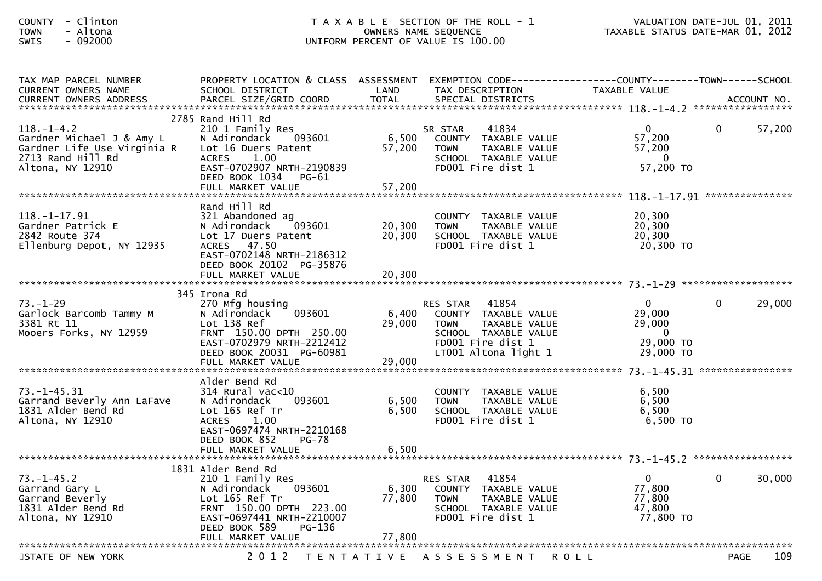| - Clinton<br><b>COUNTY</b><br>- Altona<br><b>TOWN</b><br>$-092000$<br>SWIS                                            |                                                                                                                                                                                        |                           | T A X A B L E SECTION OF THE ROLL - 1<br>OWNERS NAME SEQUENCE<br>UNIFORM PERCENT OF VALUE IS 100.00                                                   | VALUATION DATE-JUL U1, ZUII<br>TAXABLE STATUS DATE-MAR 01, 2012                       | VALUATION DATE-JUL 01, 2011 |
|-----------------------------------------------------------------------------------------------------------------------|----------------------------------------------------------------------------------------------------------------------------------------------------------------------------------------|---------------------------|-------------------------------------------------------------------------------------------------------------------------------------------------------|---------------------------------------------------------------------------------------|-----------------------------|
| TAX MAP PARCEL NUMBER<br>CURRENT OWNERS NAME                                                                          | PROPERTY LOCATION & CLASS ASSESSMENT EXEMPTION CODE---------------COUNTY-------TOWN-----SCHOOL<br>SCHOOL DISTRICT                                                                      | LAND                      | TAX DESCRIPTION                                                                                                                                       | TAXABLE VALUE                                                                         |                             |
| $118. - 1 - 4.2$<br>Gardner Michael J & Amy L<br>Gardner Life Use Virginia R<br>2713 Rand Hill Rd<br>Altona, NY 12910 | 2785 Rand Hill Rd<br>210 1 Family Res<br>N Adirondack<br>093601<br>Lot 16 Duers Patent<br>ACRES 1.00<br>EAST-0702907 NRTH-2190839<br>DEED BOOK 1034<br>PG-61<br>FULL MARKET VALUE      | 6,500<br>57,200<br>57,200 | 41834<br>SR STAR<br>COUNTY TAXABLE VALUE<br><b>TOWN</b><br>TAXABLE VALUE<br>SCHOOL TAXABLE VALUE<br>FD001 Fire dist 1                                 | $\mathbf{0}$<br>57,200<br>57,200<br>- 0<br>57,200 TO                                  | 57,200<br>$\overline{0}$    |
| $118. - 1 - 17.91$<br>Gardner Patrick E<br>2842 Route 374<br>Ellenburg Depot, NY 12935                                | Rand Hill Rd<br>321 Abandoned ag<br>093601<br>N Adirondack<br>Lot 17 Duers Patent<br>ACRES 47.50<br>EAST-0702148 NRTH-2186312<br>DEED BOOK 20102 PG-35876                              | 20,300<br>20,300          | COUNTY TAXABLE VALUE<br><b>TOWN</b><br>TAXABLE VALUE<br>SCHOOL TAXABLE VALUE<br>FD001 Fire dist 1                                                     | 20,300<br>20,300<br>20,300<br>20,300 TO                                               |                             |
|                                                                                                                       |                                                                                                                                                                                        |                           |                                                                                                                                                       |                                                                                       |                             |
| $73. - 1 - 29$<br>Garlock Barcomb Tammy M<br>3381 Rt 11<br>Mooers Forks, NY 12959                                     | 345 Irona Rd<br>270 Mfg housing<br>093601<br>N Adirondack<br>Lot 138 Ref<br>FRNT 150.00 DPTH 250.00<br>EAST-0702979 NRTH-2212412<br>DEED BOOK 20031 PG-60981<br>FULL MARKET VALUE      | 6,400<br>29,000<br>29,000 | 41854<br><b>RES STAR</b><br>COUNTY TAXABLE VALUE<br>TAXABLE VALUE<br><b>TOWN</b><br>SCHOOL TAXABLE VALUE<br>FD001 Fire dist 1<br>LT001 Altona light 1 | $\mathbf{0}$<br>29,000<br>29,000<br>$\overline{\mathbf{0}}$<br>29,000 TO<br>29,000 TO | 29,000<br>0                 |
| $73. - 1 - 45.31$<br>Garrand Beverly Ann LaFave<br>1831 Alder Bend Rd<br>Altona, NY 12910                             | Alder Bend Rd<br>$314$ Rural vac< $10$<br>093601<br>N Adirondack<br>Lot 165 Ref Tr<br>1.00<br><b>ACRES</b><br>EAST-0697474 NRTH-2210168<br>DEED BOOK 852<br>PG-78<br>FULL MARKET VALUE | 6,500<br>6,500<br>6,500   | COUNTY TAXABLE VALUE<br>TAXABLE VALUE<br><b>TOWN</b><br>SCHOOL TAXABLE VALUE<br>FD001 Fire dist 1                                                     | 6,500<br>6,500<br>6,500<br>6,500 TO                                                   |                             |
|                                                                                                                       | 1831 Alder Bend Rd                                                                                                                                                                     |                           |                                                                                                                                                       |                                                                                       |                             |
| $73. - 1 - 45.2$<br>Garrand Gary L<br>Garrand Beverly<br>1831 Alder Bend Rd<br>Altona, NY 12910                       | 210 1 Family Res<br>N Adirondack<br>093601<br>Lot 165 Ref Tr<br>FRNT 150.00 DPTH 223.00<br>EAST-0697441 NRTH-2210007<br>DEED BOOK 589<br>PG-136                                        | 6,300<br>77,800           | 41854<br>RES STAR<br>COUNTY TAXABLE VALUE<br>TAXABLE VALUE<br><b>TOWN</b><br>SCHOOL TAXABLE VALUE<br>FD001 Fire dist 1                                | 0<br>77,800<br>77,800<br>47,800<br>77,800 TO                                          | 30,000<br>0                 |
|                                                                                                                       | FULL MARKET VALUE                                                                                                                                                                      | 77,800                    |                                                                                                                                                       |                                                                                       |                             |
| STATE OF NEW YORK                                                                                                     | 2 0 1 2                                                                                                                                                                                |                           | TENTATIVE ASSESSMENT ROLL                                                                                                                             |                                                                                       | 109<br><b>PAGE</b>          |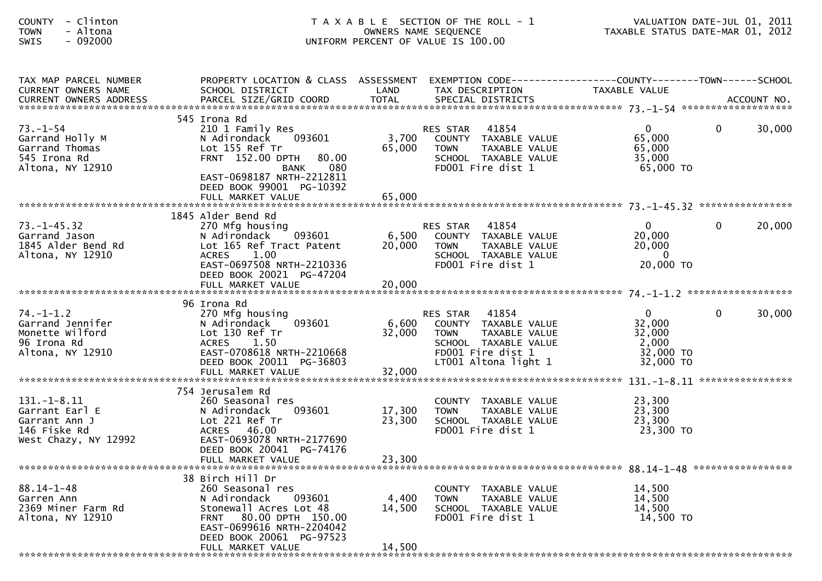| - Clinton<br><b>COUNTY</b><br>- Altona<br><b>TOWN</b><br>$-092000$<br><b>SWIS</b>         |                                                                                                                                                                                                            |                           | T A X A B L E SECTION OF THE ROLL - 1<br>OWNERS NAME SEQUENCE<br>UNIFORM PERCENT OF VALUE IS 100.00                                         | TAXABLE STATUS DATE-MAR 01, 2012                                               | VALUATION DATE-JUL 01, 2011 |
|-------------------------------------------------------------------------------------------|------------------------------------------------------------------------------------------------------------------------------------------------------------------------------------------------------------|---------------------------|---------------------------------------------------------------------------------------------------------------------------------------------|--------------------------------------------------------------------------------|-----------------------------|
| TAX MAP PARCEL NUMBER<br>CURRENT OWNERS NAME<br>CURRENT OWNERS ADDRESS                    | PROPERTY LOCATION & CLASS ASSESSMENT EXEMPTION CODE----------------COUNTY-------TOWN------SCHOOL<br>SCHOOL DISTRICT                                                                                        | LAND                      | TAX DESCRIPTION                                                                                                                             | TAXABLE VALUE                                                                  |                             |
| $73. - 1 - 54$<br>Garrand Holly M<br>Garrand Thomas<br>545 Irona Rd<br>Altona, NY 12910   | 545 Irona Rd<br>210 1 Family Res<br>N Adirondack 093601<br>Lot 155 Ref Tr<br>FRNT 152.00 DPTH<br>80.00<br>080<br>BANK<br>EAST-0698187 NRTH-2212811<br>DEED BOOK 99001 PG-10392                             | 3,700<br>65,000           | RES STAR<br>41854<br>COUNTY TAXABLE VALUE<br><b>TOWN</b><br>TAXABLE VALUE<br>SCHOOL TAXABLE VALUE<br>FD001 Fire dist 1                      | $\mathbf{0}$<br>65,000<br>65,000<br>35,000<br>65,000 TO                        | $\mathbf{0}$<br>30,000      |
|                                                                                           |                                                                                                                                                                                                            |                           |                                                                                                                                             |                                                                                |                             |
| $73. - 1 - 45.32$<br>Garrand Jason<br>1845 Alder Bend Rd<br>Altona, NY 12910              | 1845 Alder Bend Rd<br>270 Mfg housing<br>N Adirondack 093601<br>Lot 165 Ref Tract Patent<br>1.00<br><b>ACRES</b><br>EAST-0697508 NRTH-2210336<br>DEED BOOK 20021 PG-47204                                  | 6,500<br>20,000           | RES STAR<br>41854<br>COUNTY TAXABLE VALUE<br>TAXABLE VALUE<br><b>TOWN</b><br>SCHOOL TAXABLE VALUE<br>FD001 Fire dist 1                      | $\mathbf{0}$<br>20,000<br>20,000<br>$\overline{0}$<br>20,000 TO                | $\mathbf{0}$<br>20,000      |
|                                                                                           | FULL MARKET VALUE                                                                                                                                                                                          | 20,000                    |                                                                                                                                             |                                                                                |                             |
| $74. - 1 - 1.2$<br>Garrand Jennifer<br>Monette Wilford<br>96 Irona Rd<br>Altona, NY 12910 | 96 Irona Rd<br>270 Mfg housing<br>093601<br>N Adirondack<br>Lot 130 Ref Tr<br>1.50<br><b>ACRES</b><br>EAST-0708618 NRTH-2210668<br>DEED BOOK 20011 PG-36803                                                | 6,600<br>32,000           | RES STAR 41854<br>COUNTY TAXABLE VALUE<br>TAXABLE VALUE<br><b>TOWN</b><br>SCHOOL TAXABLE VALUE<br>FD001 Fire dist 1<br>LT001 Altona light 1 | $\overline{\mathbf{0}}$<br>32,000<br>32,000<br>2,000<br>32,000 TO<br>32,000 TO | $\Omega$<br>30,000          |
|                                                                                           |                                                                                                                                                                                                            |                           |                                                                                                                                             |                                                                                |                             |
| $131.-1-8.11$<br>Garrant Earl E<br>Garrant Ann J<br>146 Fiske Rd<br>West Chazy, NY 12992  | 754 Jerusalem Rd<br>260 Seasonal res<br>093601<br>N Adirondack<br>Lot 221 Ref Tr<br>ACRES 46.00<br>EAST-0693078 NRTH-2177690                                                                               | 17,300<br>23,300          | COUNTY TAXABLE VALUE<br><b>TOWN</b><br>TAXABLE VALUE<br>SCHOOL TAXABLE VALUE<br>FD001 Fire dist 1                                           | 23,300<br>23,300<br>23,300<br>23,300 TO                                        |                             |
|                                                                                           | DEED BOOK 20041 PG-74176<br>FULL MARKET VALUE                                                                                                                                                              | 23,300                    |                                                                                                                                             |                                                                                |                             |
| $88.14 - 1 - 48$<br>Garren Ann<br>2369 Miner Farm Rd<br>Altona, NY 12910                  | 38 Birch Hill Dr<br>260 Seasonal res<br>N Adirondack<br>093601<br>Stonewall Acres Lot 48<br>80.00 DPTH 150.00<br><b>FRNT</b><br>EAST-0699616 NRTH-2204042<br>DEED BOOK 20061 PG-97523<br>FULL MARKET VALUE | 4,400<br>14,500<br>14,500 | COUNTY TAXABLE VALUE<br>TAXABLE VALUE<br><b>TOWN</b><br>SCHOOL TAXABLE VALUE<br>FD001 Fire dist 1                                           | 14,500<br>14,500<br>14,500<br>14,500 TO                                        |                             |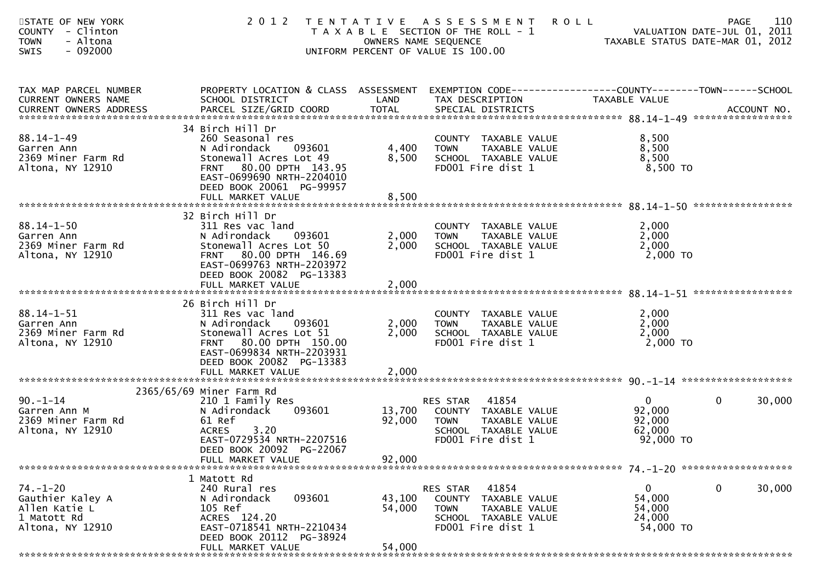| STATE OF NEW YORK<br><b>COUNTY</b><br>- Clinton<br>- Altona<br><b>TOWN</b><br>$-092000$<br><b>SWIS</b> | 2 0 1 2                                                                                                                                                                                                    |                            | TENTATIVE ASSESSMENT<br><b>ROLL</b><br>T A X A B L E SECTION OF THE ROLL - 1<br>OWNERS NAME SEQUENCE<br>UNIFORM PERCENT OF VALUE IS 100.00 | VALUATION DATE SUL 2012<br>TAXABLE STATUS DATE-MAR 01, 2012 | 110<br><b>PAGE</b><br>VALUATION DATE-JUL 01, 2011 |
|--------------------------------------------------------------------------------------------------------|------------------------------------------------------------------------------------------------------------------------------------------------------------------------------------------------------------|----------------------------|--------------------------------------------------------------------------------------------------------------------------------------------|-------------------------------------------------------------|---------------------------------------------------|
| TAX MAP PARCEL NUMBER<br>CURRENT OWNERS NAME                                                           | PROPERTY LOCATION & CLASS ASSESSMENT<br>SCHOOL DISTRICT                                                                                                                                                    | LAND                       | EXEMPTION CODE------------------COUNTY-------TOWN------SCHOOL<br>TAX DESCRIPTION                                                           | TAXABLE VALUE                                               |                                                   |
| $88.14 - 1 - 49$<br>Garren Ann<br>2369 Miner Farm Rd<br>Altona, NY 12910                               | 34 Birch Hill Dr<br>260 Seasonal res<br>N Adirondack<br>093601<br>Stonewall Acres Lot 49<br>80.00 DPTH 143.95<br><b>FRNT</b><br>EAST-0699690 NRTH-2204010<br>DEED BOOK 20061 PG-99957<br>FULL MARKET VALUE | 4,400<br>8,500<br>8,500    | COUNTY TAXABLE VALUE<br><b>TOWN</b><br>TAXABLE VALUE<br>SCHOOL TAXABLE VALUE<br>FD001 Fire dist 1                                          | 8,500<br>8,500<br>8,500<br>$8,500$ TO                       |                                                   |
| $88.14 - 1 - 50$<br>Garren Ann<br>2369 Miner Farm Rd<br>Altona, NY 12910                               | 32 Birch Hill Dr<br>311 Res vac land<br>N Adirondack<br>093601<br>Stonewall Acres Lot 50<br>80.00 DPTH 146.69<br><b>FRNT</b><br>EAST-0699763 NRTH-2203972<br>DEED BOOK 20082 PG-13383<br>FULL MARKET VALUE | 2,000<br>2,000<br>2,000    | COUNTY TAXABLE VALUE<br>TAXABLE VALUE<br><b>TOWN</b><br>SCHOOL TAXABLE VALUE<br>FD001 Fire dist 1                                          | 2,000<br>2,000<br>2,000<br>2,000 TO                         |                                                   |
| $88.14 - 1 - 51$<br>Garren Ann<br>2369 Miner Farm Rd<br>Altona, NY 12910                               | 26 Birch Hill Dr<br>311 Res vac land<br>N Adirondack<br>093601<br>Stonewall Acres Lot 51<br>80.00 DPTH 150.00<br><b>FRNT</b><br>EAST-0699834 NRTH-2203931<br>DEED BOOK 20082 PG-13383<br>FULL MARKET VALUE | 2,000<br>2,000<br>2,000    | COUNTY TAXABLE VALUE<br>TAXABLE VALUE<br><b>TOWN</b><br>SCHOOL TAXABLE VALUE<br>FD001 Fire dist 1                                          | 2,000<br>2,000<br>2,000<br>$2,000$ TO                       |                                                   |
|                                                                                                        |                                                                                                                                                                                                            |                            |                                                                                                                                            |                                                             |                                                   |
| $90. - 1 - 14$<br>Garren Ann M<br>2369 Miner Farm Rd<br>Altona, NY 12910                               | 2365/65/69 Miner Farm Rd<br>210 1 Family Res<br>N Adirondack<br>093601<br>61 Ref<br>3.20<br><b>ACRES</b><br>EAST-0729534 NRTH-2207516<br>DEED BOOK 20092 PG-22067                                          | 13,700<br>92,000           | 41854<br>RES STAR<br>COUNTY TAXABLE VALUE<br>TAXABLE VALUE<br><b>TOWN</b><br>SCHOOL TAXABLE VALUE<br>FD001 Fire dist 1                     | $\mathbf{0}$<br>92,000<br>92,000<br>62,000<br>92,000 TO     | 30,000<br>$\mathbf{0}$                            |
|                                                                                                        | FULL MARKET VALUE                                                                                                                                                                                          | 92,000                     |                                                                                                                                            |                                                             |                                                   |
| $74. - 1 - 20$<br>Gauthier Kaley A<br>Allen Katie L<br>1 Matott Rd<br>Altona, NY 12910                 | 1 Matott Rd<br>240 Rural res<br>093601<br>N Adirondack<br>105 Ref<br>ACRES 124.20<br>EAST-0718541 NRTH-2210434<br>DEED BOOK 20112 PG-38924<br>FULL MARKET VALUE                                            | 43,100<br>54,000<br>54,000 | 41854<br>RES STAR<br>COUNTY TAXABLE VALUE<br><b>TOWN</b><br>TAXABLE VALUE<br>SCHOOL TAXABLE VALUE<br>FD001 Fire dist 1                     | 0<br>54,000<br>54,000<br>24,000<br>54,000 TO                | 30,000<br>$\bf{0}$                                |
|                                                                                                        |                                                                                                                                                                                                            |                            |                                                                                                                                            |                                                             |                                                   |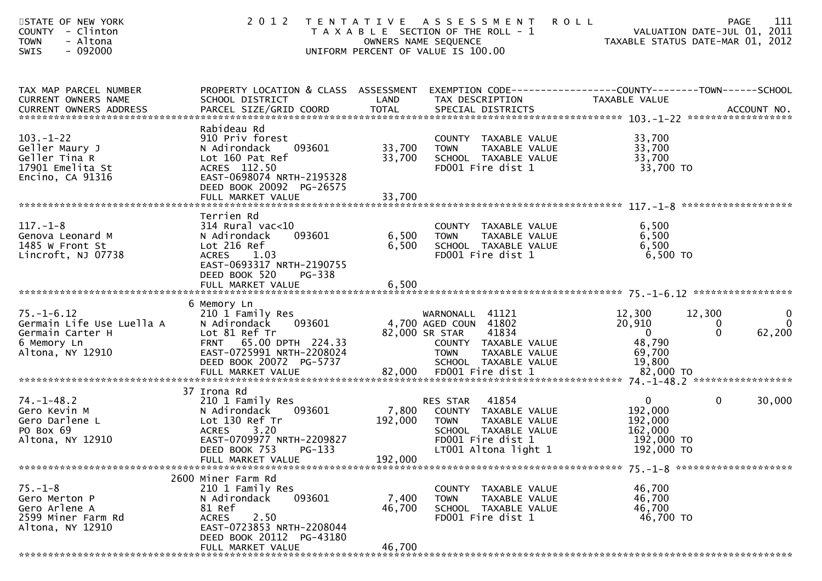| STATE OF NEW YORK<br><b>COUNTY</b><br>- Clinton<br>- Altona<br><b>TOWN</b><br>$-092000$<br><b>SWIS</b> | 2 0 1 2                                                                                                                                                                   |                            | TENTATIVE ASSESSMENT<br>T A X A B L E SECTION OF THE ROLL - 1<br>OWNERS NAME SEQUENCE<br>UNIFORM PERCENT OF VALUE IS 100.00                         | <b>ROLL</b><br>VALUATION DATE-JUL 01, 2011<br>TAXABLE STATUS DATE-MAR 01, 2012 | <b>PAGE</b>             | 111                         |
|--------------------------------------------------------------------------------------------------------|---------------------------------------------------------------------------------------------------------------------------------------------------------------------------|----------------------------|-----------------------------------------------------------------------------------------------------------------------------------------------------|--------------------------------------------------------------------------------|-------------------------|-----------------------------|
| TAX MAP PARCEL NUMBER<br>CURRENT OWNERS NAME                                                           | PROPERTY LOCATION & CLASS ASSESSMENT EXEMPTION CODE---------------COUNTY-------TOWN------SCHOOL<br>SCHOOL DISTRICT                                                        | LAND                       | TAX DESCRIPTION                                                                                                                                     | TAXABLE VALUE                                                                  |                         |                             |
| $103. - 1 - 22$<br>Geller Maury J<br>Geller Tina R<br>17901 Emelita St<br>Encino, CA 91316             | Rabideau Rd<br>910 Priv forest<br>N Adirondack<br>093601<br>Lot 160 Pat Ref<br>ACRES 112.50<br>EAST-0698074 NRTH-2195328<br>DEED BOOK 20092 PG-26575<br>FULL MARKET VALUE | 33,700<br>33,700<br>33,700 | COUNTY TAXABLE VALUE<br><b>TOWN</b><br>TAXABLE VALUE<br>SCHOOL TAXABLE VALUE<br>FD001 Fire dist 1                                                   | 33,700<br>33,700<br>33,700<br>33,700 TO                                        |                         |                             |
|                                                                                                        | Terrien Rd                                                                                                                                                                |                            |                                                                                                                                                     |                                                                                |                         |                             |
| $117. - 1 - 8$<br>Genova Leonard M<br>1485 W Front St<br>Lincroft, NJ 07738                            | $314$ Rural vac<10<br>093601<br>N Adirondack<br>Lot 216 Ref<br><b>ACRES</b><br>1.03<br>EAST-0693317 NRTH-2190755<br>DEED BOOK 520<br>PG-338                               | 6,500<br>6,500             | COUNTY TAXABLE VALUE<br>TAXABLE VALUE<br><b>TOWN</b><br>SCHOOL TAXABLE VALUE<br>FD001 Fire dist 1                                                   | 6,500<br>6,500<br>6,500<br>6,500 TO                                            |                         |                             |
|                                                                                                        | FULL MARKET VALUE                                                                                                                                                         | 6,500                      |                                                                                                                                                     |                                                                                |                         |                             |
| $75. - 1 - 6.12$<br>Germain Life Use Luella A<br>Germain Carter H<br>6 Memory Ln<br>Altona, NY 12910   | 6 Memory Ln<br>210 1 Family Res<br>N Adirondack<br>093601<br>Lot 81 Ref Tr<br>FRNT 65.00 DPTH 224.33<br>EAST-0725991 NRTH-2208024<br>DEED BOOK 20072 PG-5737              |                            | WARNONALL 41121<br>4,700 AGED COUN 41802<br>82,000 SR STAR<br>41834<br>COUNTY TAXABLE VALUE<br>TAXABLE VALUE<br><b>TOWN</b><br>SCHOOL TAXABLE VALUE | 12,300<br>20,910<br>$\overline{\mathbf{0}}$<br>48,790<br>69,700<br>19,800      | 12,300<br>0<br>$\Omega$ | 0<br>$\mathbf{0}$<br>62,200 |
|                                                                                                        |                                                                                                                                                                           |                            |                                                                                                                                                     |                                                                                |                         |                             |
| $74. - 1 - 48.2$<br>Gero Kevin M<br>Gero Darlene L<br>PO Box 69<br>Altona, NY 12910                    | 37 Irona Rd<br>210 1 Family Res<br>093601<br>N Adirondack<br>Lot 130 Ref Tr<br><b>ACRES</b><br>3.20<br>EAST-0709977 NRTH-2209827<br>DEED BOOK 753 PG-133                  | 7,800<br>192,000           | 41854<br>RES STAR<br>COUNTY TAXABLE VALUE<br><b>TOWN</b><br>TAXABLE VALUE<br>SCHOOL TAXABLE VALUE<br>FD001 Fire dist 1<br>LT001 Altona light 1      | $\mathbf{0}$<br>192,000<br>192,000<br>162,000<br>192,000 TO<br>192,000 TO      | $\mathbf{0}$            | 30,000                      |
|                                                                                                        | FULL MARKET VALUE                                                                                                                                                         | 192,000                    |                                                                                                                                                     |                                                                                |                         |                             |
| $75. - 1 - 8$<br>Gero Merton P<br>Gero Arlene A<br>2599 Miner Farm Rd<br>Altona, NY 12910              | 2600 Miner Farm Rd<br>210 1 Family Res<br>N Adirondack<br>093601<br>81 Ref<br>2.50<br><b>ACRES</b><br>EAST-0723853 NRTH-2208044<br>DEED BOOK 20112 PG-43180               | 7,400<br>46,700            | <b>COUNTY</b><br>TAXABLE VALUE<br>TAXABLE VALUE<br><b>TOWN</b><br>SCHOOL TAXABLE VALUE<br>FD001 Fire dist 1                                         | 46,700<br>46,700<br>46,700<br>46,700 TO                                        |                         |                             |
|                                                                                                        | FULL MARKET VALUE                                                                                                                                                         | 46,700                     |                                                                                                                                                     |                                                                                |                         |                             |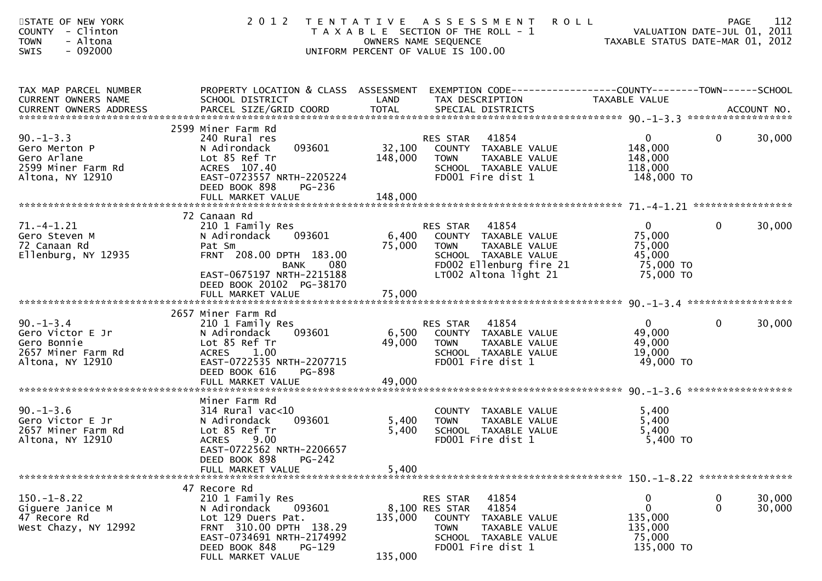| STATE OF NEW YORK<br>COUNTY - Clinton<br>- Altona<br><b>TOWN</b><br>$-092000$<br><b>SWIS</b> | 2 0 1 2                                                                                                                                                       |                   | TENTATIVE ASSESSMENT<br><b>ROLL</b><br>T A X A B L E SECTION OF THE ROLL - 1<br>OWNERS NAME SEQUENCE<br>UNIFORM PERCENT OF VALUE IS 100.00           | VALUATION DATE-JUL 01, 2011<br>TAXABLE STATUS DATE-MAR 01, 2012          | 112<br><b>PAGE</b>                |
|----------------------------------------------------------------------------------------------|---------------------------------------------------------------------------------------------------------------------------------------------------------------|-------------------|------------------------------------------------------------------------------------------------------------------------------------------------------|--------------------------------------------------------------------------|-----------------------------------|
| TAX MAP PARCEL NUMBER<br>CURRENT OWNERS NAME                                                 | SCHOOL DISTRICT                                                                                                                                               | LAND              | PROPERTY LOCATION & CLASS ASSESSMENT EXEMPTION CODE----------------COUNTY-------TOWN------SCHOOL<br>TAX DESCRIPTION                                  | TAXABLE VALUE                                                            |                                   |
| $90. -1 - 3.3$<br>Gero Merton P<br>Gero Arlane<br>2599 Miner Farm Rd<br>Altona, NY 12910     | 2599 Miner Farm Rd<br>240 Rural res<br>093601<br>N Adirondack<br>Lot 85 Ref Tr<br>ACRES 107.40<br>EAST-0723557 NRTH-2205224<br>DEED BOOK 898<br><b>PG-236</b> | 32,100<br>148,000 | 41854<br>RES STAR<br>COUNTY TAXABLE VALUE<br>TAXABLE VALUE<br><b>TOWN</b><br>SCHOOL TAXABLE VALUE<br>FD001 Fire dist 1                               | $\mathbf{0}$<br>148,000<br>148,000<br>118,000<br>148,000 TO              | 30,000<br>0                       |
|                                                                                              | 72 Canaan Rd                                                                                                                                                  |                   |                                                                                                                                                      |                                                                          |                                   |
| $71. -4 - 1.21$<br>Gero Steven M<br>72 Canaan Rd<br>Ellenburg, NY 12935                      | 210 1 Family Res<br>N Adirondack<br>093601<br>Pat Sm<br>FRNT 208.00 DPTH 183.00<br>080<br>BANK                                                                | 6,400<br>75,000   | 41854<br>RES STAR<br>COUNTY TAXABLE VALUE<br>TAXABLE VALUE<br><b>TOWN</b><br>SCHOOL TAXABLE VALUE<br>FD002 Ellenburg fire 21                         | $\overline{0}$<br>75,000<br>75,000<br>45,000<br>75,000 TO                | 30,000<br>$\mathbf{0}$            |
|                                                                                              | EAST-0675197 NRTH-2215188<br>DEED BOOK 20102 PG-38170                                                                                                         |                   | LT002 Altona light 21                                                                                                                                | 75,000 TO                                                                |                                   |
|                                                                                              | 2657 Miner Farm Rd                                                                                                                                            |                   |                                                                                                                                                      |                                                                          |                                   |
| $90. - 1 - 3.4$<br>Gero Victor E Jr<br>Gero Bonnie<br>2657 Miner Farm Rd<br>Altona, NY 12910 | 210 1 Family Res<br>N Adirondack<br>093601<br>Lot 85 Ref Tr<br><b>ACRES</b><br>1.00<br>EAST-0722535 NRTH-2207715<br>DEED BOOK 616<br>PG-898                   | 6,500<br>49,000   | 41854<br>RES STAR<br>COUNTY TAXABLE VALUE<br><b>TOWN</b><br>TAXABLE VALUE<br>SCHOOL TAXABLE VALUE<br>FD001 Fire dist 1                               | $\overline{0}$<br>49,000<br>49,000<br>19,000<br>49,000 TO                | $\mathbf{0}$<br>30,000            |
|                                                                                              |                                                                                                                                                               |                   |                                                                                                                                                      |                                                                          |                                   |
| $90. - 1 - 3.6$<br>Gero Victor E Jr<br>2657 Miner Farm Rd<br>Altona, NY 12910                | Miner Farm Rd<br>$314$ Rural vac<10<br>093601<br>N Adirondack<br>Lot 85 Ref Tr<br><b>ACRES</b><br>9.00<br>EAST-0722562 NRTH-2206657                           | 5,400<br>5,400    | COUNTY TAXABLE VALUE<br><b>TOWN</b><br>TAXABLE VALUE<br>SCHOOL TAXABLE VALUE<br>FD001 Fire dist 1                                                    | 5,400<br>5,400<br>5,400<br>$5,400$ TO                                    |                                   |
|                                                                                              | DEED BOOK 898<br>PG-242                                                                                                                                       |                   |                                                                                                                                                      |                                                                          |                                   |
|                                                                                              | 47 Recore Rd                                                                                                                                                  |                   |                                                                                                                                                      |                                                                          |                                   |
| $150. - 1 - 8.22$<br>Giguere Janice M<br>47 Recore Rd<br>West Chazy, NY 12992                | 210 1 Family Res<br>N Adirondack<br>093601<br>Lot 129 Duers Pat.<br>FRNT 310.00 DPTH 138.29<br>EAST-0734691 NRTH-2174992<br>DEED BOOK 848<br>PG-129           | 135,000           | 41854<br>RES STAR<br>8,100 RES STAR<br>41854<br>COUNTY<br>TAXABLE VALUE<br><b>TOWN</b><br>TAXABLE VALUE<br>SCHOOL TAXABLE VALUE<br>FD001 Fire dist 1 | $\mathbf 0$<br>$\mathbf 0$<br>135,000<br>135,000<br>75,000<br>135,000 TO | 30,000<br>0<br>$\Omega$<br>30,000 |
|                                                                                              | FULL MARKET VALUE                                                                                                                                             | 135,000           |                                                                                                                                                      |                                                                          |                                   |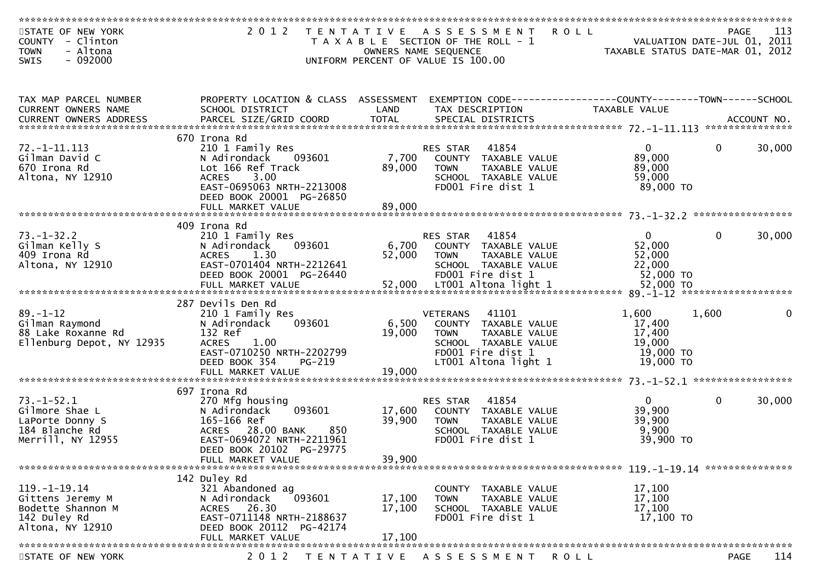| STATE OF NEW YORK<br>COUNTY - Clinton<br>- Altona<br><b>TOWN</b> | 2 0 1 2<br>T E N T A T I V E                   |                 | A S S E S S M E N T<br>T A X A B L E SECTION OF THE ROLL - 1<br>OWNERS NAME SEQUENCE | <b>ROLL</b><br>VALUATION DATE-JUL 01, 2011<br>TAXABLE STATUS DATE-MAR 01, 2012 |              | 113<br>PAGE        |
|------------------------------------------------------------------|------------------------------------------------|-----------------|--------------------------------------------------------------------------------------|--------------------------------------------------------------------------------|--------------|--------------------|
| $-092000$<br>SWIS                                                |                                                |                 | UNIFORM PERCENT OF VALUE IS 100.00                                                   |                                                                                |              |                    |
|                                                                  |                                                |                 |                                                                                      |                                                                                |              |                    |
| TAX MAP PARCEL NUMBER                                            | PROPERTY LOCATION & CLASS ASSESSMENT           |                 |                                                                                      |                                                                                |              |                    |
| CURRENT OWNERS NAME                                              | SCHOOL DISTRICT                                | LAND            | TAX DESCRIPTION                                                                      | <b>TAXABLE VALUE</b>                                                           |              |                    |
|                                                                  | 670 Irona Rd                                   |                 |                                                                                      |                                                                                |              |                    |
| $72. - 1 - 11.113$<br>Gilman David C                             | 210 1 Family Res<br>093601<br>N Adirondack     | 7,700           | 41854<br><b>RES STAR</b><br>COUNTY TAXABLE VALUE                                     | $\overline{0}$<br>89,000                                                       | $\mathbf{0}$ | 30,000             |
| 670 Irona Rd<br>Altona, NY 12910                                 | Lot 166 Ref Track<br>3.00<br><b>ACRES</b>      | 89,000          | <b>TOWN</b><br>TAXABLE VALUE<br>SCHOOL TAXABLE VALUE                                 | 89,000<br>59,000                                                               |              |                    |
|                                                                  | EAST-0695063 NRTH-2213008                      |                 | FD001 Fire dist 1                                                                    | 89,000 TO                                                                      |              |                    |
|                                                                  | DEED BOOK 20001 PG-26850<br>FULL MARKET VALUE  | 89,000          |                                                                                      |                                                                                |              |                    |
|                                                                  | 409 Irona Rd                                   |                 |                                                                                      |                                                                                |              |                    |
| $73. - 1 - 32.2$                                                 | 210 1 Family Res                               |                 | RES STAR<br>41854                                                                    | $\overline{0}$                                                                 | $\mathbf{0}$ | 30,000             |
| Gilman Kelly S<br>409 Irona Rd                                   | 093601<br>N Adirondack<br><b>ACRES</b><br>1.30 | 6,700<br>52,000 | COUNTY TAXABLE VALUE<br><b>TOWN</b>                                                  | 52,000<br>52,000                                                               |              |                    |
| Altona, NY 12910                                                 | EAST-0701404 NRTH-2212641                      |                 | TAXABLE VALUE<br>SCHOOL TAXABLE VALUE                                                | 22,000                                                                         |              |                    |
|                                                                  | DEED BOOK 20001 PG-26440                       |                 | FD001 Fire dist 1                                                                    | 52,000 TO                                                                      |              |                    |
|                                                                  |                                                |                 |                                                                                      |                                                                                |              |                    |
| $89. - 1 - 12$                                                   | 287 Devils Den Rd                              |                 | 41101<br><b>VETERANS</b>                                                             | 1,600                                                                          | 1,600        |                    |
| Gilman Raymond                                                   | 210 1 Family Res<br>093601<br>N Adirondack     | 6,500           | COUNTY TAXABLE VALUE                                                                 | 17,400                                                                         |              |                    |
| 88 Lake Roxanne Rd<br>Ellenburg Depot, NY 12935                  | 132 Ref<br>1.00<br><b>ACRES</b>                | 19,000          | TAXABLE VALUE<br><b>TOWN</b><br>SCHOOL TAXABLE VALUE                                 | 17,400<br>19,000                                                               |              |                    |
|                                                                  | EAST-0710250 NRTH-2202799                      |                 | FD001 Fire dist 1                                                                    | 19,000 TO                                                                      |              |                    |
|                                                                  | DEED BOOK 354<br>PG-219                        |                 | LT001 Altona light 1                                                                 | 19,000 TO                                                                      |              |                    |
|                                                                  |                                                |                 |                                                                                      |                                                                                |              |                    |
| $73. - 1 - 52.1$                                                 | 697 Irona Rd<br>270 Mfg housing                |                 | 41854<br>RES STAR                                                                    | $\mathbf 0$                                                                    | $\mathbf{0}$ | 30,000             |
| Gilmore Shae L                                                   | 093601<br>N Adirondack                         | 17,600          | COUNTY TAXABLE VALUE                                                                 | 39,900                                                                         |              |                    |
| LaPorte Donny S<br>184 Blanche Rd                                | 165-166 Ref<br>ACRES 28.00 BANK<br>850         | 39,900          | TAXABLE VALUE<br><b>TOWN</b><br>SCHOOL TAXABLE VALUE                                 | 39,900<br>9,900                                                                |              |                    |
| Merrill, NY 12955                                                | EAST-0694072 NRTH-2211961                      |                 | FD001 Fire dist 1                                                                    | 39,900 TO                                                                      |              |                    |
|                                                                  | DEED BOOK 20102 PG-29775<br>FULL MARKET VALUE  | 39,900          |                                                                                      |                                                                                |              |                    |
| *******************************                                  |                                                |                 |                                                                                      |                                                                                |              |                    |
| $119. - 1 - 19.14$                                               | 142 Duley Rd<br>321 Abandoned ag               |                 | TAXABLE VALUE<br>COUNTY                                                              | 17,100                                                                         |              |                    |
| Gittens Jeremy M                                                 | 093601<br>N Adirondack                         | 17,100          | <b>TOWN</b><br>TAXABLE VALUE                                                         | 17,100                                                                         |              |                    |
| Bodette Shannon M<br>142 Duley Rd                                | ACRES 26.30<br>EAST-0711148 NRTH-2188637       | 17,100          | SCHOOL TAXABLE VALUE<br>FD001 Fire dist 1                                            | 17,100<br>17,100 TO                                                            |              |                    |
| Altona, NY 12910                                                 | DEED BOOK 20112 PG-42174                       |                 |                                                                                      |                                                                                |              |                    |
|                                                                  | FULL MARKET VALUE                              | 17,100          |                                                                                      |                                                                                |              |                    |
| STATE OF NEW YORK                                                | 2 0 1 2<br>T E N T A T I V E                   |                 | A S S E S S M E N T                                                                  | <b>ROLL</b>                                                                    |              | 114<br><b>PAGE</b> |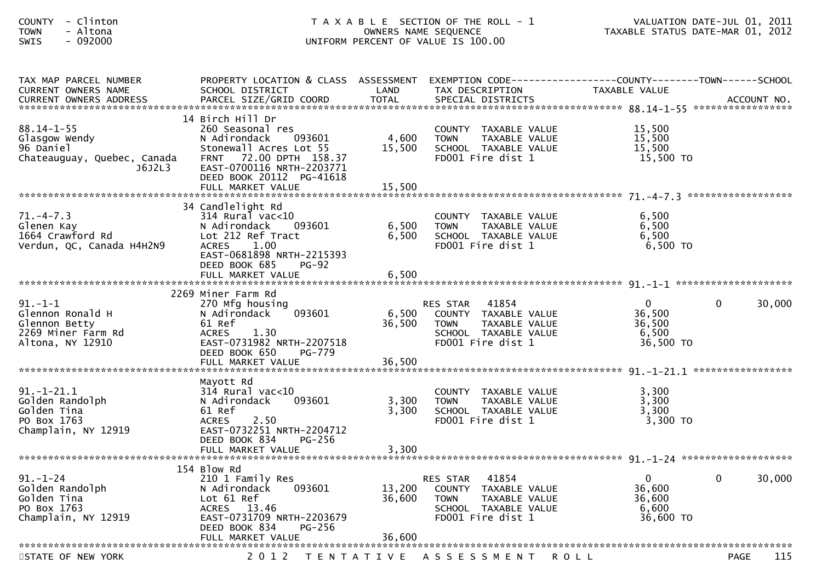| - Clinton<br><b>COUNTY</b><br>- Altona<br><b>TOWN</b><br>SWIS<br>$-092000$                                        | T A X A B L E SECTION OF THE ROLL - 1<br>UNIFORM PERCENT OF VALUE IS 100.00                                                                                                 | VALUATION DATE-JUL 01, 2011<br>TAXABLE STATUS DATE-MAR 01, 2012 |                                                                                                                                  |                                                                                                                   |
|-------------------------------------------------------------------------------------------------------------------|-----------------------------------------------------------------------------------------------------------------------------------------------------------------------------|-----------------------------------------------------------------|----------------------------------------------------------------------------------------------------------------------------------|-------------------------------------------------------------------------------------------------------------------|
| TAX MAP PARCEL NUMBER<br>CURRENT OWNERS NAME                                                                      | SCHOOL DISTRICT                                                                                                                                                             | LAND                                                            | TAX DESCRIPTION                                                                                                                  | PROPERTY LOCATION & CLASS ASSESSMENT EXEMPTION CODE----------------COUNTY-------TOWN------SCHOOL<br>TAXABLE VALUE |
| $88.14 - 1 - 55$<br>Glasgow Wendy<br>96 Daniel<br>Chateauguay, Quebec, Canada<br>J6J2L3                           | 14 Birch Hill Dr<br>260 Seasonal res<br>N Adirondack<br>093601<br>Stonewall Acres Lot 55<br>FRNT 72.00 DPTH 158.37<br>EAST-0700116 NRTH-2203771<br>DEED BOOK 20112 PG-41618 | 4,600<br>15,500                                                 | COUNTY TAXABLE VALUE<br>TAXABLE VALUE<br><b>TOWN</b><br>SCHOOL TAXABLE VALUE<br>FD001 Fire dist 1                                | 15,500<br>15,500<br>15,500<br>15,500 TO                                                                           |
| $71. - 4 - 7.3$<br>Glenen Kay<br>$1664$ Crawford Rd<br>Verdun OC Consider the Second<br>Verdun, QC, Canada H4H2N9 | 34 Candlelight Rd<br>$314$ Rural vac<10<br>N Adirondack<br>093601<br>Lot 212 Ref Tract<br><b>ACRES</b><br>1.00<br>EAST-0681898 NRTH-2215393<br>DEED BOOK 685<br>$PG-92$     | 6,500<br>6,500                                                  | COUNTY TAXABLE VALUE<br>TAXABLE VALUE<br><b>TOWN</b><br>SCHOOL TAXABLE VALUE<br>FD001 Fire dist 1                                | 6,500<br>6,500<br>6,500<br>$6,500$ TO                                                                             |
| $91. - 1 - 1$<br>Glennon Ronald H<br>Glennon Betty<br>2269 Miner Farm Rd<br>Altona, NY 12910                      | 2269 Miner Farm Rd<br>270 Mfg housing<br>N Adirondack<br>093601<br>61 Ref<br>1.30<br><b>ACRES</b><br>EAST-0731982 NRTH-2207518<br>DEED BOOK 650<br>PG-779                   | 6,500<br>36,500                                                 | 41854<br>RES STAR<br>COUNTY TAXABLE VALUE<br><b>TOWN</b><br>TAXABLE VALUE<br>SCHOOL TAXABLE VALUE<br>FD001 Fire dist 1           | 30,000<br>$\overline{0}$<br>$\mathbf{0}$<br>36,500<br>36,500<br>6,500<br>36,500 TO                                |
| 91.-1-21.1<br>Golden Randolph<br>Tina<br>PO Box 1763<br>Champlain, NY 12919                                       | Mayott Rd<br>$314$ Rural vac<10<br>N Adirondack<br>093601<br>61 Ref<br>2.50<br><b>ACRES</b><br>EAST-0732251 NRTH-2204712<br>DEED BOOK 834<br>PG-256<br>FULL MARKET VALUE    | 3,300<br>3,300<br>3,300                                         | COUNTY<br>TAXABLE VALUE<br><b>TOWN</b><br>TAXABLE VALUE<br>SCHOOL TAXABLE VALUE<br>FD001 Fire dist 1                             | 3,300<br>3,300<br>3,300<br>3,300 TO                                                                               |
| $91. - 1 - 24$<br>Golden Randolph<br>Golden Tina<br>PO Box 1763<br>Champlain, NY 12919                            | 154 Blow Rd<br>210 1 Family Res<br>N Adirondack<br>093601<br>Lot 61 Ref<br>ACRES 13.46<br>EAST-0731709 NRTH-2203679<br>DEED BOOK 834<br>$PG-256$<br>FULL MARKET VALUE       | 13,200<br>36,600<br>36,600                                      | 41854<br>RES STAR<br><b>COUNTY</b><br>TAXABLE VALUE<br><b>TOWN</b><br>TAXABLE VALUE<br>SCHOOL TAXABLE VALUE<br>FD001 Fire dist 1 | 30,000<br>0<br>$\bf{0}$<br>36,600<br>36,600<br>6,600<br>36,600 TO                                                 |
| STATE OF NEW YORK                                                                                                 | 2 0 1 2<br>T E N T A T I V E                                                                                                                                                |                                                                 | A S S E S S M E N T                                                                                                              | 115<br>PAGE<br>R O L L                                                                                            |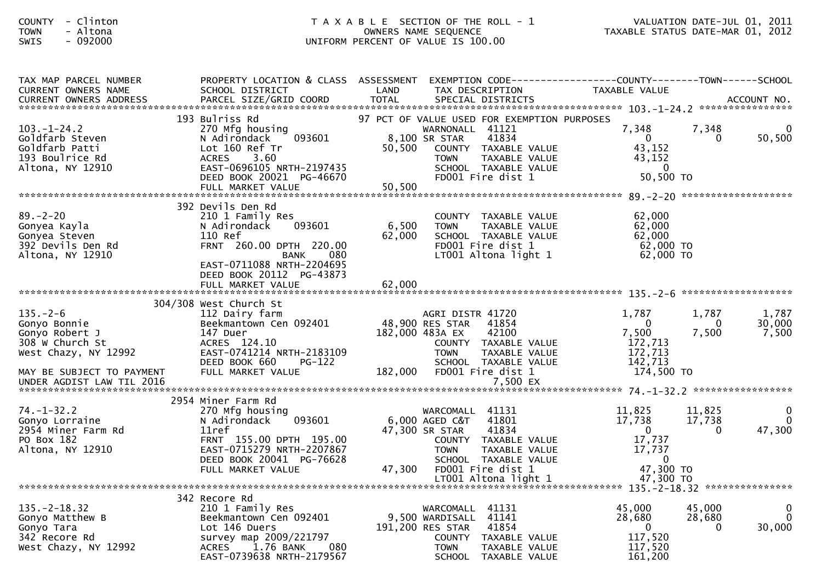| <b>COUNTY</b><br>- Clinton<br>- Altona<br><b>TOWN</b><br>$-092000$<br><b>SWIS</b>                                                                     |                                                                                                                                                                                                    |                           | T A X A B L E SECTION OF THE ROLL - 1<br>OWNERS NAME SEQUENCE<br>UNIFORM PERCENT OF VALUE IS 100.00                                                                                                     | TAXABLE STATUS DATE-MAR 01, 2012                                                           |                              | VALUATION DATE-JUL 01, 2011 |
|-------------------------------------------------------------------------------------------------------------------------------------------------------|----------------------------------------------------------------------------------------------------------------------------------------------------------------------------------------------------|---------------------------|---------------------------------------------------------------------------------------------------------------------------------------------------------------------------------------------------------|--------------------------------------------------------------------------------------------|------------------------------|-----------------------------|
| TAX MAP PARCEL NUMBER<br><b>CURRENT OWNERS NAME</b>                                                                                                   | PROPERTY LOCATION & CLASS ASSESSMENT<br>SCHOOL DISTRICT                                                                                                                                            | LAND                      | EXEMPTION CODE-----------------COUNTY-------TOWN------SCHOOL<br>TAX DESCRIPTION                                                                                                                         | TAXABLE VALUE                                                                              |                              |                             |
| $103. - 1 - 24.2$<br>Goldfarb Steven<br>Goldfarb Patti<br>193 Boulrice Rd<br>Altona, NY 12910                                                         | 193 Bulriss Rd<br>270 Mfg housing<br>093601<br>N Adirondack<br>Lot 160 Ref Tr<br><b>ACRES</b><br>3.60<br>EAST-0696105 NRTH-2197435<br>DEED BOOK 20021 PG-46670<br>FULL MARKET VALUE                | 50,500<br>50,500          | 97 PCT OF VALUE USED FOR EXEMPTION PURPOSES<br>WARNONALL 41121<br>8,100 SR STAR<br>41834<br>COUNTY TAXABLE VALUE<br><b>TOWN</b><br>TAXABLE VALUE<br>SCHOOL TAXABLE VALUE<br>FD001 Fire dist 1           | 7,348<br>$\mathbf{0}$<br>43,152<br>43,152<br>$\Omega$<br>50,500 TO                         | 7,348<br>$\Omega$            | 0<br>50,500                 |
| $89. - 2 - 20$<br>Gonyea Kayla<br>Gonyea Steven<br>392 Devils Den Rd<br>Altona, NY 12910                                                              | 392 Devils Den Rd<br>210 1 Family Res<br>N Adirondack<br>093601<br>110 Ref<br>FRNT 260.00 DPTH 220.00<br>080<br>BANK<br>EAST-0711088 NRTH-2204695<br>DEED BOOK 20112 PG-43873<br>FULL MARKET VALUE | 6,500<br>62,000<br>62,000 | COUNTY TAXABLE VALUE<br>TAXABLE VALUE<br><b>TOWN</b><br>SCHOOL TAXABLE VALUE<br>FD001 Fire dist 1<br>LT001 Altona light 1                                                                               | 62,000<br>62,000<br>62,000<br>62,000 TO<br>62,000 TO                                       |                              |                             |
| $135. - 2 - 6$<br>Gonyo Bonnie<br>Gonyo Robert J<br>308 W Church St<br>West Chazy, NY 12992<br>MAY BE SUBJECT TO PAYMENT<br>UNDER AGDIST LAW TIL 2016 | 304/308 West Church St<br>112 Dairy farm<br>Beekmantown Cen 092401<br>147 Duer<br>ACRES 124.10<br>EAST-0741214 NRTH-2183109<br>DEED BOOK 660<br>$PG-122$<br>FULL MARKET VALUE                      | 182,000                   | AGRI DISTR 41720<br>48,900 RES STAR<br>41854<br>182,000 483A EX<br>42100<br>COUNTY TAXABLE VALUE<br><b>TOWN</b><br>TAXABLE VALUE<br>SCHOOL TAXABLE VALUE<br>FD001 Fire dist 1<br>7,500 EX               | 1,787<br>$\overline{0}$<br>7,500<br>172,713<br>172,713<br>142,713<br>174,500 TO            | 1,787<br>$\bf{0}$<br>7,500   | 1,787<br>30,000<br>7,500    |
| $74. - 1 - 32.2$<br>Gonyo Lorraine<br>2954 Miner Farm Rd<br>PO Box 182<br>Altona, NY 12910                                                            | 2954 Miner Farm Rd<br>270 Mfg housing<br>093601<br>N Adirondack<br>11ref<br>FRNT 155.00 DPTH 195.00<br>EAST-0715279 NRTH-2207867<br>DEED BOOK 20041 PG-76628<br>FULL MARKET VALUE                  | 47,300                    | 41131<br>WARCOMALL<br>41801<br>$6,000$ AGED C&T<br>47,300 SR STAR<br>41834<br>COUNTY TAXABLE VALUE<br><b>TOWN</b><br>TAXABLE VALUE<br>SCHOOL TAXABLE VALUE<br>FD001 Fire dist 1<br>LT001 Altona light 1 | 11,825<br>17,738<br>$\mathbf{0}$<br>17,737<br>17,737<br>$\bf{0}$<br>47,300 TO<br>47,300 TO | 11,825<br>17,738<br>0        | $\overline{0}$<br>47,300    |
| $135. - 2 - 18.32$<br>Gonyo Matthew B<br>Gonyo Tara<br>342 Recore Rd<br>West Chazy, NY 12992                                                          | 342 Recore Rd<br>210 1 Family Res<br>Beekmantown Cen 092401<br>Lot 146 Duers<br>survey map 2009/221797<br>1.76 BANK<br>080<br><b>ACRES</b><br>EAST-0739638 NRTH-2179567                            |                           | WARCOMALL 41131<br>41141<br>9,500 WARDISALL<br>41854<br>191,200 RES STAR<br><b>COUNTY</b><br>TAXABLE VALUE<br><b>TOWN</b><br>TAXABLE VALUE<br><b>SCHOOL</b><br>TAXABLE VALUE                            | 45,000<br>28,680<br>$\bf{0}$<br>117,520<br>117,520<br>161,200                              | 45,000<br>28,680<br>$\bf{0}$ | 0<br>0<br>30,000            |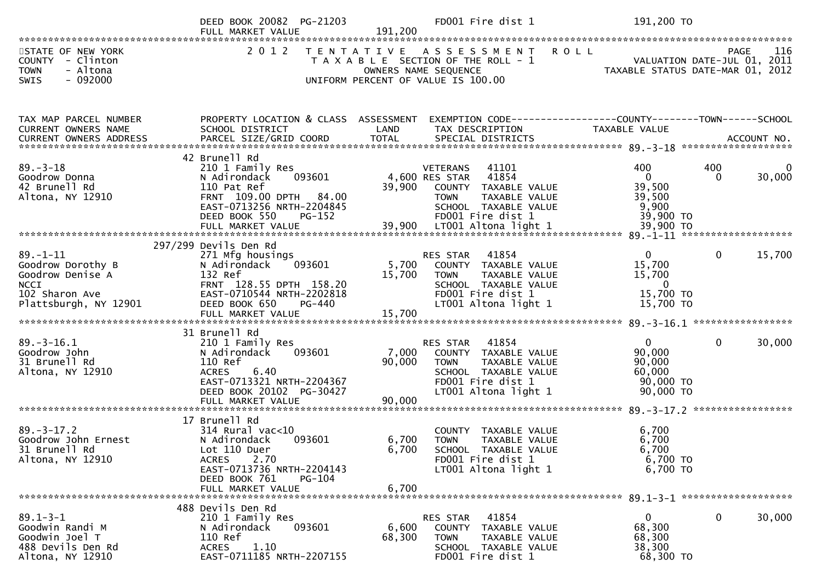|                                                                                                                   | DEED BOOK 20082 PG-21203<br>FULL MARKET VALUE                                                                                                                                      | FD001 Fire dist 1<br>191,200                                                                                                                                                | 191,200 TO                                                                                                              |
|-------------------------------------------------------------------------------------------------------------------|------------------------------------------------------------------------------------------------------------------------------------------------------------------------------------|-----------------------------------------------------------------------------------------------------------------------------------------------------------------------------|-------------------------------------------------------------------------------------------------------------------------|
| STATE OF NEW YORK<br>COUNTY - Clinton<br>- Altona<br><b>TOWN</b><br><b>SWIS</b><br>- 092000                       | 2 0 1 2                                                                                                                                                                            | TENTATIVE ASSESSMENT<br><b>ROLL</b><br>T A X A B L E SECTION OF THE ROLL - 1<br>OWNERS NAME SEQUENCE<br>UNIFORM PERCENT OF VALUE IS 100.00                                  | 116<br>PAGE 116<br>VALUATION DATE-JUL 01, 2011<br>TAXARLE STATUS DATE WALL 01, 2011<br>TAXABLE STATUS DATE-MAR 01, 2012 |
| TAX MAP PARCEL NUMBER<br>CURRENT OWNERS NAME                                                                      | PROPERTY LOCATION & CLASS ASSESSMENT<br>SCHOOL DISTRICT                                                                                                                            | LAND<br>TAX DESCRIPTION                                                                                                                                                     | EXEMPTION CODE-----------------COUNTY--------TOWN------SCHOOL<br>TAXABLE VALUE                                          |
| $89. - 3 - 18$<br>Goodrow Donna<br>42 Brunell Rd<br>Altona, NY 12910                                              | 42 Brunell Rd<br>210 1 Family Res<br>093601<br>N Adirondack<br>110 Pat Ref<br>FRNT 109.00 DPTH 84.00<br>EAST-0713256 NRTH-2204845<br>DEED BOOK 550<br>PG-152                       | <b>VETERANS</b><br>41101<br>4,600 RES STAR<br>41854<br>39,900<br>COUNTY TAXABLE VALUE<br>TAXABLE VALUE<br><b>TOWN</b><br>SCHOOL TAXABLE VALUE<br>FD001 Fire dist 1          | 400<br>400<br>30,000<br>$\mathbf{0}$<br>$\Omega$<br>39,500<br>39,500<br>9,900<br>39,900 TO                              |
| $89. - 1 - 11$<br>Goodrow Dorothy B<br>Goodrow Denise A<br><b>NCCI</b><br>102 Sharon Ave<br>Plattsburgh, NY 12901 | 297/299 Devils Den Rd<br>271 Mfg housings<br>093601<br>N Adirondack<br>132 Ref<br>FRNT 128.55 DPTH 158.20<br>EAST-0710544 NRTH-2202818<br>DEED BOOK 650<br>PG-440                  | 41854<br>RES STAR<br>5,700<br>COUNTY TAXABLE VALUE<br>15,700<br><b>TOWN</b><br>TAXABLE VALUE<br>SCHOOL TAXABLE VALUE<br>FD001 Fire dist 1<br>LT001 Altona light 1           | $\Omega$<br>$\mathbf{0}$<br>15,700<br>15,700<br>15,700<br>$\overline{0}$<br>15,700 TO<br>15,700 TO                      |
| $89. - 3 - 16.1$<br>Goodrow John<br>31 Brunell Rd<br>Altona, NY 12910                                             | 31 Brunell Rd<br>210 1 Family Res<br>N Adirondack<br>093601<br>110 Ref<br>6.40<br><b>ACRES</b><br>EAST-0713321 NRTH-2204367<br>DEED BOOK 20102 PG-30427<br>FULL MARKET VALUE       | 41854<br>RES STAR<br>7,000<br>COUNTY TAXABLE VALUE<br>90,000<br>TAXABLE VALUE<br><b>TOWN</b><br>SCHOOL TAXABLE VALUE<br>FD001 Fire dist 1<br>LT001 Altona light 1<br>90,000 | $\mathbf{0}$<br>$\mathbf{0}$<br>30,000<br>90,000<br>90,000<br>60,000<br>90,000 TO<br>90,000 TO                          |
| $89. - 3 - 17.2$<br>Goodrow John Ernest<br>31 Brunell Rd<br>Altona, NY 12910                                      | 17 Brunell Rd<br>$314$ Rural vac<10<br>N Adirondack<br>093601<br>Lot 110 Duer<br>2.70<br><b>ACRES</b><br>EAST-0713736 NRTH-2204143<br>DEED BOOK 761<br>PG-104<br>FULL MARKET VALUE | TAXABLE VALUE<br><b>COUNTY</b><br>6,700<br><b>TOWN</b><br>TAXABLE VALUE<br>6,700<br>SCHOOL TAXABLE VALUE<br>FD001 Fire dist 1<br>LT001 Altona light 1<br>6,700              | 6,700<br>6,700<br>6,700<br>6,700 TO<br>6,700 TO                                                                         |
| $89.1 - 3 - 1$<br>Goodwin Randi M<br>Goodwin Joel T<br>488 Devils Den Rd<br>Altona, NY 12910                      | 488 Devils Den Rd<br>210 1 Family Res<br>093601<br>N Adirondack<br>110 Ref<br>1.10<br><b>ACRES</b><br>EAST-0711185 NRTH-2207155                                                    | RES STAR<br>41854<br>6,600<br>COUNTY TAXABLE VALUE<br>68,300<br><b>TOWN</b><br>TAXABLE VALUE<br>SCHOOL TAXABLE VALUE<br>FD001 Fire dist 1                                   | $\mathbf 0$<br>30,000<br>0<br>68,300<br>68,300<br>38,300<br>68,300 TO                                                   |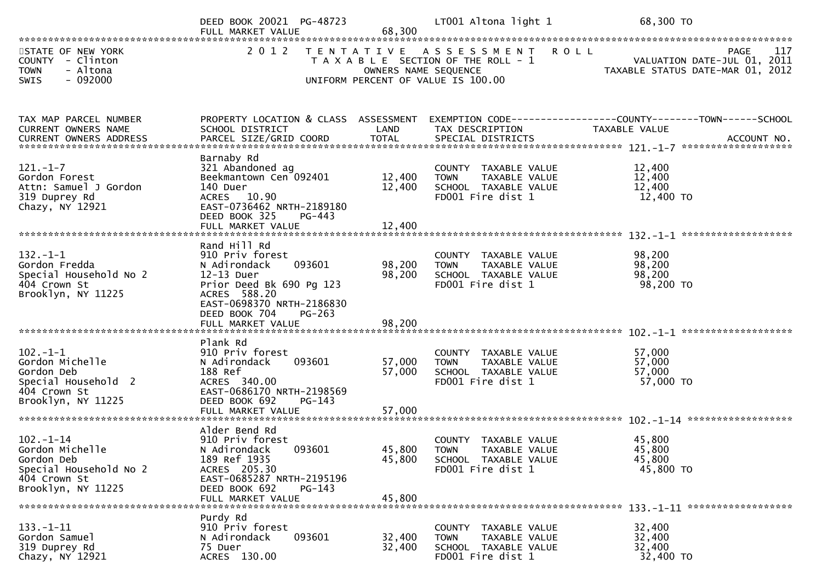|                                                                                                                 | DEED BOOK 20021 PG-48723<br>FULL MARKET VALUE                                                                                                                                 | 68,300                          | LT001 Altona light 1                                                                                          | 68,300 TO                                                                              |
|-----------------------------------------------------------------------------------------------------------------|-------------------------------------------------------------------------------------------------------------------------------------------------------------------------------|---------------------------------|---------------------------------------------------------------------------------------------------------------|----------------------------------------------------------------------------------------|
| STATE OF NEW YORK<br>COUNTY - Clinton<br>- Altona<br><b>TOWN</b><br>$-092000$<br><b>SWIS</b>                    |                                                                                                                                                                               | OWNERS NAME SEQUENCE            | 2012 TENTATIVE ASSESSMENT ROLL<br>T A X A B L E SECTION OF THE ROLL - 1<br>UNIFORM PERCENT OF VALUE IS 100.00 | 117<br>PAGE<br>VALUATION DATE-JUL 01, 2011<br>TAXABLE STATUS DATE-MAR 01, 2012         |
| TAX MAP PARCEL NUMBER<br>CURRENT OWNERS NAME                                                                    | PROPERTY LOCATION & CLASS ASSESSMENT<br>SCHOOL DISTRICT                                                                                                                       | LAND                            | TAX DESCRIPTION                                                                                               | EXEMPTION CODE------------------COUNTY--------TOWN------SCHOOL<br><b>TAXABLE VALUE</b> |
| $121. - 1 - 7$<br>Gordon Forest<br>Attn: Samuel J Gordon<br>319 Duprey Rd<br>Chazy, NY 12921                    | Barnaby Rd<br>321 Abandoned ag<br>Beekmantown Cen 092401<br>140 Duer<br>ACRES 10.90<br>EAST-0736462 NRTH-2189180<br>PG-443<br>DEED BOOK 325<br>FULL MARKET VALUE              | 12,400<br>12,400<br>12,400      | COUNTY TAXABLE VALUE<br><b>TOWN</b><br>TAXABLE VALUE<br>SCHOOL TAXABLE VALUE<br>FD001 Fire dist 1             | 12,400<br>12,400<br>12,400<br>12,400 TO                                                |
| $132 - 1 - 1$<br>Gordon Fredda<br>Special Household No 2<br>404 Crown St<br>Brooklyn, NY 11225                  | Rand Hill Rd<br>910 Priv forest<br>N Adirondack<br>093601<br>12-13 Duer<br>Prior Deed Bk 690 Pg 123<br>ACRES 588.20<br>EAST-0698370 NRTH-2186830<br>DEED BOOK 704<br>$PG-263$ | 98,200<br>98,200                | COUNTY TAXABLE VALUE<br>TAXABLE VALUE<br><b>TOWN</b><br>SCHOOL TAXABLE VALUE<br>FD001 Fire dist 1             | 98,200<br>98,200<br>98,200<br>98,200 TO                                                |
| $102 - 1 - 1$<br>Gordon Michelle<br>Gordon Deb<br>Special Household 2<br>404 Crown St<br>Brooklyn, NY 11225     | Plank Rd<br>910 Priv forest<br>093601<br>N Adirondack<br>188 Ref<br>ACRES 340.00<br>EAST-0686170 NRTH-2198569<br>DEED BOOK 692<br>$PG-143$<br>FULL MARKET VALUE               | 57,000<br>57,000<br>57,000      | COUNTY TAXABLE VALUE<br>TAXABLE VALUE<br>TOWN<br>SCHOOL TAXABLE VALUE<br>FD001 Fire dist 1                    | 57,000<br>57,000<br>57,000<br>57,000 TO                                                |
| $102 - 1 - 14$<br>Gordon Michelle<br>Gordon Deb<br>Special Household No 2<br>404 Crown St<br>Brooklyn, NY 11225 | Alder Bend Rd<br>910 Priv forest<br>093601<br>N Adirondack<br>189 Ref 1935<br>ACRES 205.30<br>EAST-0685287 NRTH-2195196<br>DEED BOOK 692<br>PG-143<br>FULL MARKET VALUE       | 45,800 TOWN<br>45,800<br>45,800 | COUNTY TAXABLE VALUE<br>TAXABLE VALUE<br>SCHOOL TAXABLE VALUE<br>FD001 Fire dist 1                            | 45,800<br>45,800<br>45,800<br>45,800 TO                                                |
| $133. - 1 - 11$<br>Gordon Samuel<br>319 Duprey Rd<br>Chazy, NY 12921                                            | Purdy Rd<br>910 Priv forest<br>093601<br>N Adirondack<br>75 Duer<br>ACRES 130.00                                                                                              | 32,400<br>32,400                | COUNTY TAXABLE VALUE<br>TAXABLE VALUE<br><b>TOWN</b><br>SCHOOL TAXABLE VALUE<br>FD001 Fire dist 1             | 32,400<br>32,400<br>32,400<br>32,400 TO                                                |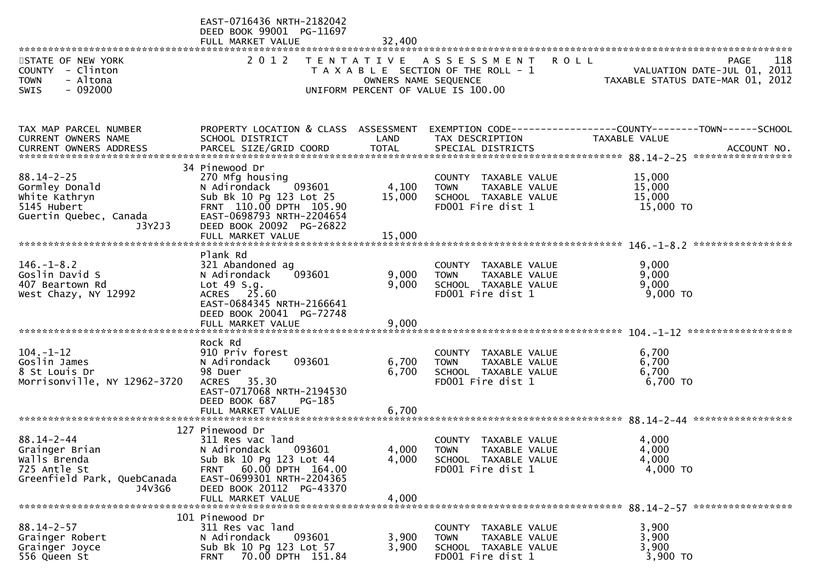| ***********************                                          | EAST-0716436 NRTH-2182042<br>DEED BOOK 99001 PG-11697<br>FULL MARKET VALUE<br>******************************* | 32,400                                    |                                                                             |                                                                                       |
|------------------------------------------------------------------|---------------------------------------------------------------------------------------------------------------|-------------------------------------------|-----------------------------------------------------------------------------|---------------------------------------------------------------------------------------|
| STATE OF NEW YORK<br>COUNTY - Clinton<br>- Altona<br><b>TOWN</b> | 2 0 1 2                                                                                                       | T E N T A T I V E<br>OWNERS NAME SEQUENCE | A S S E S S M E N T<br><b>ROLL</b><br>T A X A B L E SECTION OF THE ROLL - 1 | 118<br><b>PAGE</b><br>VALUATION DATE-JUL 01, 2011<br>TAXABLE STATUS DATE-MAR 01, 2012 |
| $-092000$<br>SWIS                                                |                                                                                                               |                                           | UNIFORM PERCENT OF VALUE IS 100.00                                          |                                                                                       |
| TAX MAP PARCEL NUMBER<br>CURRENT OWNERS NAME                     | PROPERTY LOCATION & CLASS ASSESSMENT<br>SCHOOL DISTRICT                                                       | LAND                                      | TAX DESCRIPTION                                                             | EXEMPTION CODE-----------------COUNTY-------TOWN------SCHOOL<br>TAXABLE VALUE         |
|                                                                  |                                                                                                               |                                           |                                                                             |                                                                                       |
|                                                                  | 34 Pinewood Dr                                                                                                |                                           |                                                                             |                                                                                       |
| $88.14 - 2 - 25$<br>Gormley Donald                               | 270 Mfg housing<br>093601<br>N Adirondack                                                                     | 4,100                                     | COUNTY TAXABLE VALUE<br>TAXABLE VALUE<br><b>TOWN</b>                        | 15,000<br>15,000                                                                      |
| White Kathryn                                                    | Sub Bk 10 Pg 123 Lot 25                                                                                       | 15,000                                    | SCHOOL TAXABLE VALUE                                                        | 15,000                                                                                |
| 5145 Hubert<br>Guertin Quebec, Canada                            | FRNT 110.00 DPTH 105.90<br>EAST-0698793 NRTH-2204654                                                          |                                           | FD001 Fire dist 1                                                           | 15,000 TO                                                                             |
| J3Y2J3                                                           | DEED BOOK 20092 PG-26822                                                                                      |                                           |                                                                             |                                                                                       |
|                                                                  | FULL MARKET VALUE                                                                                             | 15,000                                    |                                                                             |                                                                                       |
|                                                                  | Plank Rd                                                                                                      |                                           |                                                                             |                                                                                       |
| $146. - 1 - 8.2$<br>Goslin David S                               | 321 Abandoned ag<br>093601<br>N Adirondack                                                                    | 9,000                                     | COUNTY TAXABLE VALUE<br>TAXABLE VALUE<br><b>TOWN</b>                        | 9,000<br>9,000                                                                        |
| 407 Beartown Rd                                                  | Lot 49 S.g.                                                                                                   | 9,000                                     | SCHOOL TAXABLE VALUE                                                        | 9,000                                                                                 |
| West Chazy, NY 12992                                             | ACRES 25.60<br>EAST-0684345 NRTH-2166641                                                                      |                                           | FD001 Fire dist 1                                                           | $9,000$ TO                                                                            |
|                                                                  | DEED BOOK 20041 PG-72748                                                                                      |                                           |                                                                             |                                                                                       |
|                                                                  | FULL MARKET VALUE                                                                                             | 9,000                                     |                                                                             | ******************                                                                    |
|                                                                  | Rock Rd                                                                                                       |                                           |                                                                             |                                                                                       |
| $104. - 1 - 12$                                                  | 910 Priv forest                                                                                               |                                           | COUNTY TAXABLE VALUE                                                        | 6,700                                                                                 |
| Goslin James<br>8 St Louis Dr                                    | 093601<br>N Adirondack<br>98 Duer                                                                             | 6,700<br>6,700                            | TAXABLE VALUE<br><b>TOWN</b><br>SCHOOL TAXABLE VALUE                        | 6,700<br>6,700                                                                        |
| Morrisonville, NY 12962-3720                                     | ACRES 35.30                                                                                                   |                                           | FD001 Fire dist 1                                                           | 6,700 TO                                                                              |
|                                                                  | EAST-0717068 NRTH-2194530<br>DEED BOOK 687<br>$PG-185$                                                        |                                           |                                                                             |                                                                                       |
|                                                                  | FULL MARKET VALUE                                                                                             | 6,700                                     |                                                                             |                                                                                       |
|                                                                  | 127 Pinewood Dr                                                                                               |                                           |                                                                             |                                                                                       |
| $88.14 - 2 - 44$                                                 | 311 Res vac land                                                                                              |                                           | COUNTY TAXABLE VALUE                                                        | 4,000                                                                                 |
| Grainger Brian<br>Walls Brenda                                   | 093601<br>N Adirondack<br>Sub Bk 10 Pg 123 Lot 44                                                             | 4,000<br>4,000                            | <b>TOWN</b><br>TAXABLE VALUE<br>SCHOOL TAXABLE VALUE                        | 4,000<br>4,000                                                                        |
| 725 Antle St                                                     | FRNT 60.00 DPTH 164.00                                                                                        |                                           | FD001 Fire dist 1                                                           | 4,000 TO                                                                              |
| Greenfield Park, QuebCanada                                      | EAST-0699301 NRTH-2204365                                                                                     |                                           |                                                                             |                                                                                       |
| J4V3G6                                                           | DEED BOOK 20112 PG-43370<br>FULL MARKET VALUE                                                                 | 4,000                                     |                                                                             |                                                                                       |
|                                                                  |                                                                                                               |                                           |                                                                             |                                                                                       |
| $88.14 - 2 - 57$                                                 | 101 Pinewood Dr<br>311 Res vac land                                                                           |                                           | COUNTY<br>TAXABLE VALUE                                                     | 3,900                                                                                 |
| Grainger Robert                                                  | 093601<br>N Adirondack                                                                                        | 3,900                                     | TAXABLE VALUE<br><b>TOWN</b>                                                | 3,900                                                                                 |
| Grainger Joyce<br>556 Queen St                                   | Sub Bk 10 Pg 123 Lot 57<br>70.00 DPTH 151.84<br><b>FRNT</b>                                                   | 3,900                                     | SCHOOL TAXABLE VALUE<br>FD001 Fire dist 1                                   | 3,900<br>3,900 TO                                                                     |
|                                                                  |                                                                                                               |                                           |                                                                             |                                                                                       |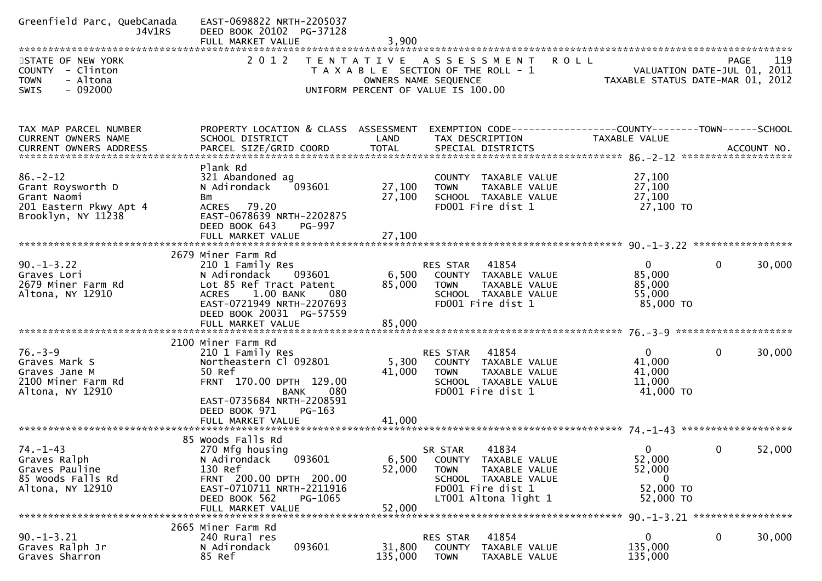| Greenfield Parc, QuebCanada<br>J4V1RS                      | EAST-0698822 NRTH-2205037<br>DEED BOOK 20102 PG-37128<br>FULL MARKET VALUE | 3,900            |                                                                              |                                  |              |        |
|------------------------------------------------------------|----------------------------------------------------------------------------|------------------|------------------------------------------------------------------------------|----------------------------------|--------------|--------|
| STATE OF NEW YORK<br>COUNTY - Clinton                      | 2 0 1 2                                                                    |                  | TENTATIVE ASSESSMENT<br><b>ROLL</b><br>T A X A B L E SECTION OF THE ROLL - 1 | VALUATION DATE-JUL 01, 2011      | PAGE         | 119    |
| <b>TOWN</b><br>- Altona<br>$-092000$<br><b>SWIS</b>        |                                                                            |                  | OWNERS NAME SEQUENCE<br>UNIFORM PERCENT OF VALUE IS 100.00                   | TAXABLE STATUS DATE-MAR 01, 2012 |              |        |
| TAX MAP PARCEL NUMBER                                      | PROPERTY LOCATION & CLASS ASSESSMENT                                       |                  | EXEMPTION CODE------------------COUNTY--------TOWN------SCHOOL               |                                  |              |        |
| CURRENT OWNERS NAME<br>CURRENT OWNERS ADDRESS              | SCHOOL DISTRICT                                                            | LAND             | TAX DESCRIPTION                                                              | TAXABLE VALUE                    |              |        |
| $86. - 2 - 12$                                             | Plank Rd<br>321 Abandoned ag                                               |                  | COUNTY TAXABLE VALUE                                                         | 27,100                           |              |        |
| Grant Roysworth D<br>Grant Naomi<br>201 Eastern Pkwy Apt 4 | 093601<br>N Adirondack<br>Bm<br>ACRES 79.20                                | 27,100<br>27,100 | TAXABLE VALUE<br><b>TOWN</b><br>SCHOOL TAXABLE VALUE<br>FD001 Fire dist 1    | 27,100<br>27,100<br>27,100 TO    |              |        |
| Brooklyn, NY 11238                                         | EAST-0678639 NRTH-2202875<br>DEED BOOK 643<br>PG-997<br>FULL MARKET VALUE  | 27,100           |                                                                              |                                  |              |        |
|                                                            |                                                                            |                  |                                                                              |                                  |              |        |
| $90. -1 - 3.22$<br>Graves Lori                             | 2679 Miner Farm Rd<br>210 1 Family Res<br>N Adirondack<br>093601           | 6,500            | RES STAR 41854<br>COUNTY TAXABLE VALUE                                       | $\mathbf{0}$<br>85,000           | $\Omega$     | 30,000 |
| 2679 Miner Farm Rd<br>Altona, NY 12910                     | Lot 85 Ref Tract Patent<br>1.00 BANK<br><b>ACRES</b><br>080                | 85,000           | <b>TOWN</b><br>TAXABLE VALUE<br>SCHOOL TAXABLE VALUE                         | 85,000<br>55,000                 |              |        |
|                                                            | EAST-0721949 NRTH-2207693<br>DEED BOOK 20031 PG-57559                      |                  | FD001 Fire dist 1                                                            | 85,000 TO                        |              |        |
|                                                            |                                                                            |                  |                                                                              |                                  |              |        |
| $76. - 3 - 9$                                              | 2100 Miner Farm Rd<br>210 1 Family Res                                     |                  | 41854<br>RES STAR                                                            | $\mathbf{0}$                     | 0            | 30,000 |
| Graves Mark S                                              | Northeastern Cl 092801                                                     | 5,300            | COUNTY TAXABLE VALUE                                                         | 41,000                           |              |        |
| Graves Jane M<br>2100 Miner Farm Rd                        | 50 Ref<br>FRNT 170.00 DPTH 129.00                                          | 41,000           | <b>TOWN</b><br>TAXABLE VALUE<br>SCHOOL TAXABLE VALUE                         | 41,000<br>11,000                 |              |        |
| Altona, NY 12910                                           | <b>BANK</b><br>080                                                         |                  | FD001 Fire dist 1                                                            | 41,000 TO                        |              |        |
|                                                            | EAST-0735684 NRTH-2208591<br>DEED BOOK 971<br>PG-163<br>FULL MARKET VALUE  | 41,000           |                                                                              |                                  |              |        |
|                                                            |                                                                            |                  |                                                                              |                                  |              |        |
| $74. - 1 - 43$                                             | 85 Woods Falls Rd<br>270 Mfg housing                                       |                  | 41834<br>SR STAR                                                             | $\mathbf 0$                      | $\mathbf{0}$ | 52,000 |
| Graves Ralph                                               | N Adirondack 093601                                                        | 6,500            | COUNTY TAXABLE VALUE                                                         | 52,000                           |              |        |
| Graves Pauline<br>85 Woods Falls Rd                        | 130 Ref<br>FRNT 200.00 DPTH 200.00                                         | 52,000           | <b>TOWN</b><br>TAXABLE VALUE<br>SCHOOL TAXABLE VALUE                         | 52,000<br>$\mathbf{0}$           |              |        |
| Altona, NY 12910                                           | EAST-0710711 NRTH-2211916<br>DEED BOOK 562<br>PG-1065                      |                  | FD001 Fire dist 1<br>LT001 Altona light 1                                    | 52,000 TO<br>52,000 TO           |              |        |
|                                                            | FULL MARKET VALUE                                                          | 52,000           |                                                                              |                                  |              |        |
|                                                            | 2665 Miner Farm Rd                                                         |                  |                                                                              |                                  |              |        |
| $90. -1 - 3.21$                                            | 240 Rural res<br>093601<br>N Adirondack                                    | 31,800           | 41854<br>RES STAR                                                            | 0<br>135,000                     | 0            | 30,000 |
| Graves Ralph Jr<br>Graves Sharron                          | 85 Ref                                                                     | 135,000          | COUNTY TAXABLE VALUE<br><b>TOWN</b><br>TAXABLE VALUE                         | 135,000                          |              |        |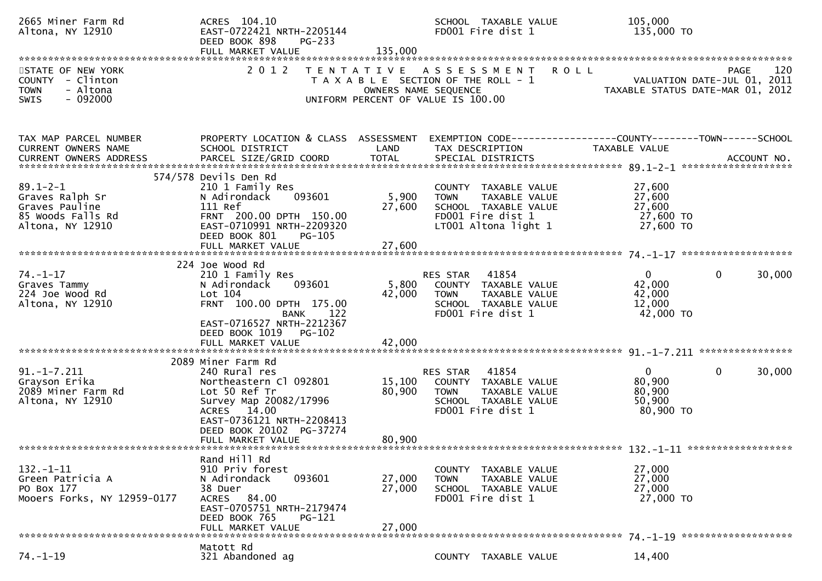| 2665 Miner Farm Rd<br>Altona, NY 12910                                                       | ACRES 104.10<br>EAST-0722421 NRTH-2205144<br>DEED BOOK 898<br>PG-233<br>FULL MARKET VALUE                                                                                                             | 135,000                    | SCHOOL TAXABLE VALUE<br>FD001 Fire dist 1                                                                                 | 105,000<br>135,000 TO                                                                         |
|----------------------------------------------------------------------------------------------|-------------------------------------------------------------------------------------------------------------------------------------------------------------------------------------------------------|----------------------------|---------------------------------------------------------------------------------------------------------------------------|-----------------------------------------------------------------------------------------------|
| STATE OF NEW YORK<br>COUNTY - Clinton<br>- Altona<br><b>TOWN</b><br>$-092000$<br><b>SWIS</b> | 2 0 1 2                                                                                                                                                                                               | OWNERS NAME SEQUENCE       | TENTATIVE ASSESSMENT<br>T A X A B L E SECTION OF THE ROLL - 1<br>UNIFORM PERCENT OF VALUE IS 100.00                       | <b>ROLL</b><br>120<br>PAGE<br>VALUATION DATE-JUL 01, 2011<br>TAXABLE STATUS DATE-MAR 01, 2012 |
| TAX MAP PARCEL NUMBER<br>CURRENT OWNERS NAME                                                 | PROPERTY LOCATION & CLASS ASSESSMENT<br>SCHOOL DISTRICT                                                                                                                                               | LAND                       | TAX DESCRIPTION                                                                                                           | TAXABLE VALUE                                                                                 |
| $89.1 - 2 - 1$<br>Graves Ralph Sr<br>Graves Pauline<br>85 Woods Falls Rd<br>Altona, NY 12910 | 574/578 Devils Den Rd<br>210 1 Family Res<br>093601<br>N Adirondack<br>111 Ref<br>FRNT 200.00 DPTH 150.00<br>EAST-0710991 NRTH-2209320<br>DEED BOOK 801<br>PG-105                                     | 5,900<br>27,600            | COUNTY TAXABLE VALUE<br>TAXABLE VALUE<br><b>TOWN</b><br>SCHOOL TAXABLE VALUE<br>FD001 Fire dist 1<br>LT001 Altona light 1 | 27,600<br>27,600<br>27,600<br>27,600 TO<br>27,600 TO                                          |
| $74. - 1 - 17$<br>Graves Tammy<br>224 Joe Wood Rd<br>Altona, NY 12910                        | 224 Joe Wood Rd<br>210 1 Family Res<br>093601<br>N Adirondack<br>Lot 104<br>FRNT 100.00 DPTH 175.00<br>BANK<br>122<br>EAST-0716527 NRTH-2212367<br>PG-102<br>DEED BOOK 1019<br>FULL MARKET VALUE      | 5,800<br>42,000<br>42,000  | 41854<br>RES STAR<br>COUNTY TAXABLE VALUE<br>TAXABLE VALUE<br><b>TOWN</b><br>SCHOOL TAXABLE VALUE<br>FD001 Fire dist 1    | $\mathbf{0}$<br>$\mathbf{0}$<br>30,000<br>42,000<br>42,000<br>12,000<br>42,000 TO             |
|                                                                                              |                                                                                                                                                                                                       |                            |                                                                                                                           |                                                                                               |
| $91. -1 - 7.211$<br>Grayson Erika<br>2089 Miner Farm Rd<br>Altona, NY 12910                  | 2089 Miner Farm Rd<br>240 Rural res<br>Northeastern Cl 092801<br>Lot 50 Ref Tr<br>Survey Map 20082/17996<br>ACRES 14.00<br>EAST-0736121 NRTH-2208413<br>DEED BOOK 20102 PG-37274<br>FULL MARKET VALUE | 15,100<br>80,900<br>80,900 | RES STAR 41854<br>COUNTY TAXABLE VALUE<br>TAXABLE VALUE<br><b>TOWN</b><br>SCHOOL TAXABLE VALUE<br>FD001 Fire dist 1       | $\mathbf 0$<br>$\overline{0}$<br>30,000<br>80,900<br>80,900<br>50,900<br>80,900 TO            |
|                                                                                              | Rand Hill Rd                                                                                                                                                                                          |                            |                                                                                                                           |                                                                                               |
| $132 - 1 - 11$<br>Green Patricia A<br>PO Box 177<br>Mooers Forks, NY 12959-0177              | 910 Priv forest<br>093601<br>N Adirondack<br>38 Duer<br>ACRES 84.00<br>EAST-0705751 NRTH-2179474<br>DEED BOOK 765<br>PG-121<br>FULL MARKET VALUE                                                      | 27,000<br>27,000<br>27,000 | COUNTY TAXABLE VALUE<br>TAXABLE VALUE<br><b>TOWN</b><br>SCHOOL TAXABLE VALUE<br>FD001 Fire dist 1                         | 27,000<br>27,000<br>27,000<br>27,000 TO                                                       |
|                                                                                              | Matott Rd                                                                                                                                                                                             |                            |                                                                                                                           |                                                                                               |
| $74. - 1 - 19$                                                                               | 321 Abandoned ag                                                                                                                                                                                      |                            | COUNTY TAXABLE VALUE                                                                                                      | 14,400                                                                                        |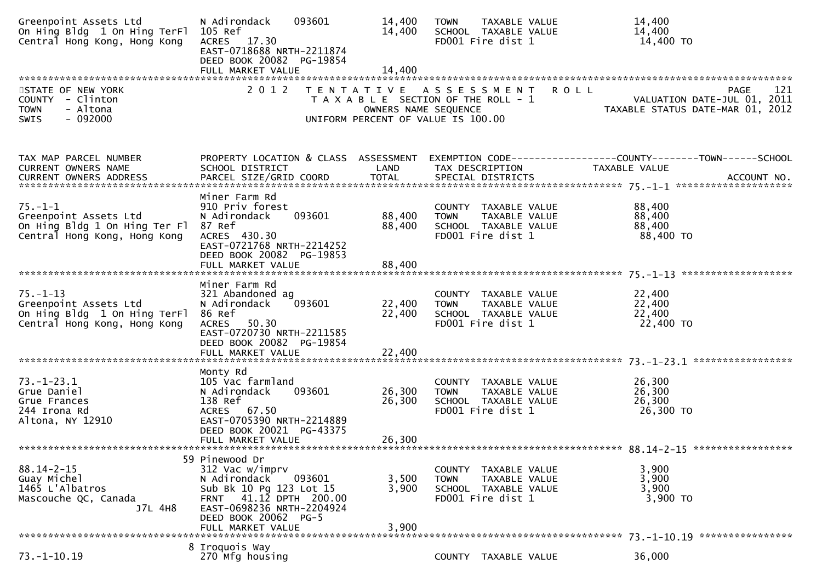| Greenpoint Assets Ltd<br>On Hing Bldg 1 On Hing TerFl<br>Central Hong Kong, Hong Kong                   | 093601<br>N Adirondack<br>105 Ref<br>ACRES 17.30<br>EAST-0718688 NRTH-2211874<br>DEED BOOK 20082 PG-19854                                                                                            | 14,400<br>14,400           | TAXABLE VALUE<br><b>TOWN</b><br>SCHOOL TAXABLE VALUE<br>FD001 Fire dist 1                            |               | 14,400<br>14,400<br>14,400 TO                                                         |
|---------------------------------------------------------------------------------------------------------|------------------------------------------------------------------------------------------------------------------------------------------------------------------------------------------------------|----------------------------|------------------------------------------------------------------------------------------------------|---------------|---------------------------------------------------------------------------------------|
|                                                                                                         |                                                                                                                                                                                                      |                            |                                                                                                      |               |                                                                                       |
| STATE OF NEW YORK<br>COUNTY - Clinton<br>- Altona<br><b>TOWN</b><br>$-092000$<br>SWIS                   | 2 0 1 2                                                                                                                                                                                              | OWNERS NAME SEQUENCE       | TENTATIVE ASSESSMENT<br>T A X A B L E SECTION OF THE ROLL - 1<br>UNIFORM PERCENT OF VALUE IS 100.00  | <b>ROLL</b>   | 121<br><b>PAGE</b><br>VALUATION DATE-JUL 01, 2011<br>TAXABLE STATUS DATE-MAR 01, 2012 |
| TAX MAP PARCEL NUMBER<br>CURRENT OWNERS NAME                                                            | PROPERTY LOCATION & CLASS ASSESSMENT<br>SCHOOL DISTRICT                                                                                                                                              | LAND                       | TAX DESCRIPTION                                                                                      | TAXABLE VALUE |                                                                                       |
| $75. - 1 - 1$<br>Greenpoint Assets Ltd<br>On Hing Bldg 1 On Hing Ter Fl<br>Central Hong Kong, Hong Kong | Miner Farm Rd<br>910 Priv forest<br>093601<br>N Adirondack<br>87 Ref<br>ACRES 430.30<br>EAST-0721768 NRTH-2214252<br>DEED BOOK 20082 PG-19853                                                        | 88,400<br>88,400           | COUNTY TAXABLE VALUE<br><b>TOWN</b><br>TAXABLE VALUE<br>SCHOOL TAXABLE VALUE<br>FD001 Fire dist 1    |               | 88,400<br>88,400<br>88,400<br>88,400 TO                                               |
|                                                                                                         | FULL MARKET VALUE                                                                                                                                                                                    | 88,400                     |                                                                                                      |               |                                                                                       |
| $75. - 1 - 13$<br>Greenpoint Assets Ltd<br>On Hing Bldg 1 On Hing TerFl<br>Central Hong Kong, Hong Kong | Miner Farm Rd<br>321 Abandoned ag<br>093601<br>N Adirondack<br>86 Ref<br>50.30<br><b>ACRES</b><br>EAST-0720730 NRTH-2211585<br>DEED BOOK 20082 PG-19854<br>FULL MARKET VALUE                         | 22,400<br>22,400<br>22,400 | COUNTY TAXABLE VALUE<br>TAXABLE VALUE<br><b>TOWN</b><br>SCHOOL TAXABLE VALUE<br>FD001 Fire dist 1    |               | 22,400<br>22,400<br>22,400<br>22,400 TO                                               |
|                                                                                                         |                                                                                                                                                                                                      |                            |                                                                                                      |               |                                                                                       |
| $73. - 1 - 23.1$<br>Grue Daniel<br>Grue Frances<br>244 Irona Rd<br>Altona, NY 12910                     | Monty Rd<br>105 Vac farmland<br>093601<br>N Adirondack<br>138 Ref<br>ACRES 67.50<br>EAST-0705390 NRTH-2214889<br>DEED BOOK 20021 PG-43375<br>FULL MARKET VALUE                                       | 26,300<br>26,300<br>26,300 | COUNTY TAXABLE VALUE<br>TAXABLE VALUE<br><b>TOWN</b><br>SCHOOL TAXABLE VALUE<br>FD001 Fire dist 1    |               | 26,300<br>26,300<br>26,300<br>26,300 TO                                               |
|                                                                                                         |                                                                                                                                                                                                      |                            |                                                                                                      |               |                                                                                       |
| $88.14 - 2 - 15$<br>Guay Michel<br>1465 L'Albatros<br>Mascouche QC, Canada<br>J7L 4H8                   | 59 Pinewood Dr<br>312 Vac w/imprv<br>093601<br>N Adirondack<br>Sub Bk 10 Pg 123 Lot 15<br>41.12 DPTH 200.00<br><b>FRNT</b><br>EAST-0698236 NRTH-2204924<br>DEED BOOK 20062 PG-5<br>FULL MARKET VALUE | 3,500<br>3,900<br>3,900    | COUNTY<br>TAXABLE VALUE<br>TAXABLE VALUE<br><b>TOWN</b><br>SCHOOL TAXABLE VALUE<br>FD001 Fire dist 1 |               | 3,900<br>3,900<br>3,900<br>3,900 TO                                                   |
|                                                                                                         |                                                                                                                                                                                                      |                            |                                                                                                      |               |                                                                                       |
| $73. - 1 - 10.19$                                                                                       | 8 Iroquois Way<br>270 Mfg housing                                                                                                                                                                    |                            | COUNTY TAXABLE VALUE                                                                                 |               | 36,000                                                                                |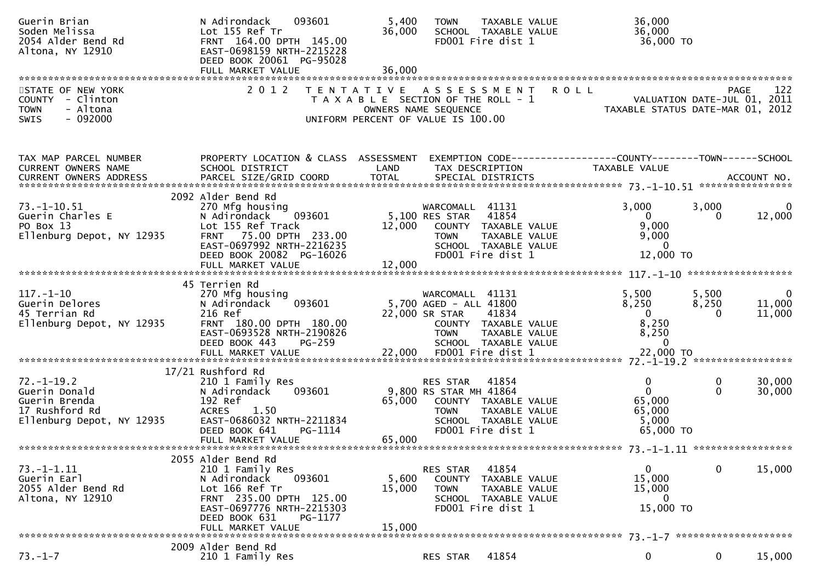| Guerin Brian<br>Soden Melissa<br>2054 Alder Bend Rd<br>Altona, NY 12910                           | 093601<br>N Adirondack<br>Lot 155 Ref Tr<br>FRNT 164.00 DPTH 145.00<br>EAST-0698159 NRTH-2215228<br>DEED BOOK 20061 PG-95028                                                                | 5,400<br>36,000                                                                                     | <b>TOWN</b>                                                          | <b>TAXABLE VALUE</b><br>SCHOOL TAXABLE VALUE<br>FD001 Fire dist 1                           |             | 36,000<br>36,000<br>36,000 TO                                                 |                            |                                            |
|---------------------------------------------------------------------------------------------------|---------------------------------------------------------------------------------------------------------------------------------------------------------------------------------------------|-----------------------------------------------------------------------------------------------------|----------------------------------------------------------------------|---------------------------------------------------------------------------------------------|-------------|-------------------------------------------------------------------------------|----------------------------|--------------------------------------------|
|                                                                                                   |                                                                                                                                                                                             |                                                                                                     |                                                                      |                                                                                             |             |                                                                               |                            |                                            |
| STATE OF NEW YORK<br>COUNTY - Clinton<br>- Altona<br><b>TOWN</b><br>$-092000$<br><b>SWIS</b>      | 2 0 1 2                                                                                                                                                                                     | TENTATIVE ASSESSMENT<br>T A X A B L E SECTION OF THE ROLL - 1<br>UNIFORM PERCENT OF VALUE IS 100.00 | OWNERS NAME SEQUENCE                                                 |                                                                                             | <b>ROLL</b> | TAXABLE STATUS DATE-MAR 01, 2012                                              |                            | 122<br>PAGE<br>VALUATION DATE-JUL 01, 2011 |
| TAX MAP PARCEL NUMBER<br>CURRENT OWNERS NAME<br>CURRENT OWNERS ADDRESS                            | PROPERTY LOCATION & CLASS ASSESSMENT<br>SCHOOL DISTRICT                                                                                                                                     | LAND                                                                                                |                                                                      | TAX DESCRIPTION                                                                             |             | EXEMPTION CODE-----------------COUNTY-------TOWN------SCHOOL<br>TAXABLE VALUE |                            |                                            |
| $73. - 1 - 10.51$<br>Guerin Charles E<br>PO Box 13<br>Ellenburg Depot, NY 12935                   | 2092 Alder Bend Rd<br>270 Mfg housing<br>093601<br>N Adirondack<br>Lot 155 Ref Track<br>FRNT 75.00 DPTH 233.00<br>EAST-0697992 NRTH-2216235<br>DEED BOOK 20082 PG-16026                     | 12,000                                                                                              | WARCOMALL 41131<br>5,100 RES STAR<br><b>TOWN</b>                     | 41854<br>COUNTY TAXABLE VALUE<br>TAXABLE VALUE<br>SCHOOL TAXABLE VALUE<br>FD001 Fire dist 1 |             | 3,000<br>$\mathbf{0}$<br>9,000<br>9,000<br>$\Omega$<br>12,000 TO              | 3,000<br>$\Omega$          | $\Omega$<br>12,000                         |
|                                                                                                   | FULL MARKET VALUE                                                                                                                                                                           | 12,000                                                                                              |                                                                      |                                                                                             |             |                                                                               |                            |                                            |
|                                                                                                   |                                                                                                                                                                                             |                                                                                                     |                                                                      |                                                                                             |             |                                                                               |                            |                                            |
| $117. - 1 - 10$<br>Guerin Delores<br>45 Terrian Rd<br>Ellenburg Depot, NY 12935                   | 45 Terrien Rd<br>270 Mfg housing<br>093601<br>N Adirondack<br>216 Ref<br>FRNT 180.00 DPTH 180.00<br>EAST-0693528 NRTH-2190826                                                               |                                                                                                     | WARCOMALL<br>5,700 AGED - ALL 41800<br>22,000 SR STAR<br><b>TOWN</b> | 41131<br>41834<br>COUNTY TAXABLE VALUE<br>TAXABLE VALUE                                     |             | 5,500<br>8,250<br>$\Omega$<br>8,250<br>8,250                                  | 5,500<br>8,250<br>$\Omega$ | 0<br>11,000<br>11,000                      |
|                                                                                                   | DEED BOOK 443<br>$PG-259$                                                                                                                                                                   |                                                                                                     |                                                                      | SCHOOL TAXABLE VALUE                                                                        |             | $\Omega$                                                                      |                            |                                            |
| $72. - 1 - 19.2$<br>Guerin Donald<br>Guerin Brenda<br>17 Rushford Rd<br>Ellenburg Depot, NY 12935 | 17/21 Rushford Rd<br>210 1 Family Res<br>N Adirondack<br>093601<br>192 Ref<br>1.50<br><b>ACRES</b><br>EAST-0686032 NRTH-2211834<br>DEED BOOK 641<br>PG-1114                                 | 65,000                                                                                              | RES STAR<br>9,800 RS STAR MH 41864<br><b>TOWN</b>                    | 41854<br>COUNTY TAXABLE VALUE<br>TAXABLE VALUE<br>SCHOOL TAXABLE VALUE<br>FD001 Fire dist 1 |             | $\mathbf 0$<br>$\mathbf{0}$<br>65,000<br>65,000<br>5,000<br>65,000 TO         | 0<br>$\mathbf{0}$          | 30,000<br>30,000                           |
|                                                                                                   | FULL MARKET VALUE                                                                                                                                                                           | 65,000                                                                                              |                                                                      |                                                                                             |             |                                                                               |                            |                                            |
| <u>73. – 1–1. 11</u><br>Guerin Earl<br>2055 Alder Bend Rd<br>Altona, NY 12910                     | 2055 Alder Bend Rd<br>210 1 Family Res<br>N Adirondack<br>093601<br>Lot 166 Ref Tr<br>FRNT 235.00 DPTH 125.00<br>EAST-0697776 NRTH-2215303<br>DEED BOOK 631<br>PG-1177<br>FULL MARKET VALUE | 5,600<br>15,000<br>15,000                                                                           | RES STAR<br><b>TOWN</b>                                              | 41854<br>COUNTY TAXABLE VALUE<br>TAXABLE VALUE<br>SCHOOL TAXABLE VALUE<br>FD001 Fire dist 1 |             | 0<br>15,000<br>15,000<br>0<br>15,000 TO                                       | $\bf{0}$                   | 15,000                                     |
|                                                                                                   | 2009 Alder Bend Rd                                                                                                                                                                          |                                                                                                     |                                                                      |                                                                                             |             |                                                                               |                            |                                            |
| $73. - 1 - 7$                                                                                     | 210 1 Family Res                                                                                                                                                                            |                                                                                                     | RES STAR                                                             | 41854                                                                                       |             | $\bf{0}$                                                                      | 0                          | 15,000                                     |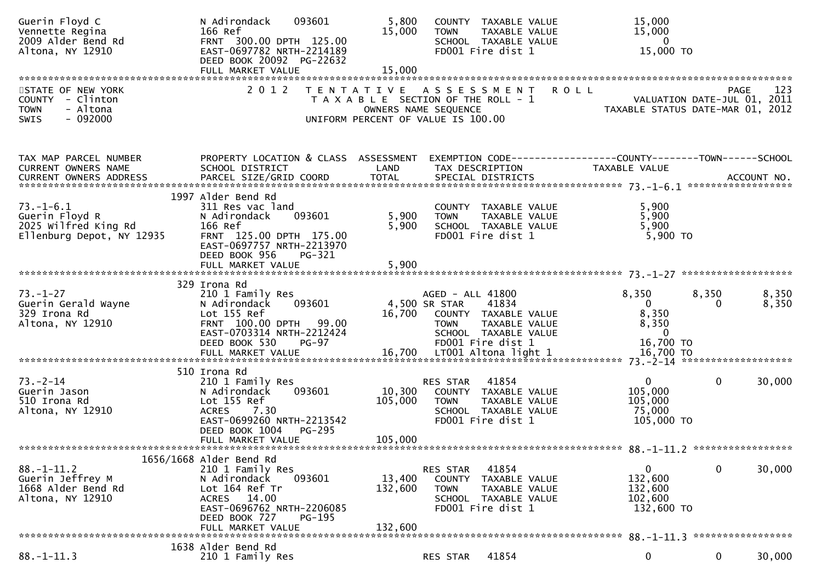| Guerin Floyd C<br>Vennette Regina<br>2009 Alder Bend Rd<br>Altona, NY 12910                  | 093601<br>N Adirondack<br>166 Ref<br>FRNT 300.00 DPTH 125.00<br>EAST-0697782 NRTH-2214189<br>DEED BOOK 20092 PG-22632                                                                  | 5,800<br>15,000              | COUNTY TAXABLE VALUE<br>TAXABLE VALUE<br><b>TOWN</b><br>SCHOOL TAXABLE VALUE<br>FD001 Fire dist 1                                               | 15,000<br>15,000<br>$\overline{0}$<br>15,000 TO                                             |                                                 |
|----------------------------------------------------------------------------------------------|----------------------------------------------------------------------------------------------------------------------------------------------------------------------------------------|------------------------------|-------------------------------------------------------------------------------------------------------------------------------------------------|---------------------------------------------------------------------------------------------|-------------------------------------------------|
| STATE OF NEW YORK<br>COUNTY - Clinton<br>- Altona<br><b>TOWN</b><br>$-092000$<br><b>SWIS</b> | 2 0 1 2                                                                                                                                                                                |                              | TENTATIVE ASSESSMENT<br>T A X A B L E SECTION OF THE ROLL - 1<br>OWNERS NAME SEQUENCE<br>UNIFORM PERCENT OF VALUE IS 100.00                     | <b>ROLL</b><br>$-$ - $-$ VALUATION DATE-JUL 01, 2011<br>TAXABLE STATUS AND THE JUL 01, 2011 | 123<br>PAGE<br>TAXABLE STATUS DATE-MAR 01, 2012 |
| TAX MAP PARCEL NUMBER<br>CURRENT OWNERS NAME<br>CURRENT OWNERS ADDRESS                       | PROPERTY LOCATION & CLASS ASSESSMENT<br>SCHOOL DISTRICT                                                                                                                                | LAND                         | TAX DESCRIPTION                                                                                                                                 | EXEMPTION CODE------------------COUNTY--------TOWN------SCHOOL<br>TAXABLE VALUE             |                                                 |
| $73. - 1 - 6.1$<br>Guerin Floyd R<br>2025 Wilfred King Rd<br>Ellenburg Depot, NY 12935       | 1997 Alder Bend Rd<br>311 Res vac land<br>093601<br>N Adirondack<br>166 Ref<br>FRNT 125.00 DPTH 175.00<br>EAST-0697757 NRTH-2213970<br>DEED BOOK 956<br>PG-321                         | 5,900<br>5,900               | COUNTY TAXABLE VALUE<br>TAXABLE VALUE<br><b>TOWN</b><br>SCHOOL TAXABLE VALUE<br>FD001 Fire dist 1                                               | 5,900<br>5,900<br>5,900<br>$5,900$ TO                                                       |                                                 |
|                                                                                              | FULL MARKET VALUE                                                                                                                                                                      | 5,900                        |                                                                                                                                                 |                                                                                             |                                                 |
| $73. - 1 - 27$<br>Guerin Gerald Wayne<br>329 Irona Rd<br>Altona, NY 12910                    | 329 Irona Rd<br>210 1 Family Res<br>093601<br>N Adirondack<br>Lot 155 Ref<br>FRNT 100.00 DPTH 99.00<br>EAST-0703314 NRTH-2212424<br>DEED BOOK 530<br>PG-97                             | 16,700                       | AGED - ALL 41800<br>4,500 SR STAR<br>41834<br>COUNTY TAXABLE VALUE<br>TAXABLE VALUE<br><b>TOWN</b><br>SCHOOL TAXABLE VALUE<br>FD001 Fire dist 1 | 8,350<br>$\overline{0}$<br>8,350<br>8,350<br>$\overline{0}$<br>16,700 TO                    | 8,350<br>8,350<br>8,350<br>0                    |
|                                                                                              |                                                                                                                                                                                        |                              |                                                                                                                                                 |                                                                                             |                                                 |
| $73. - 2 - 14$<br>Guerin Jason<br>510 Irona Rd<br>Altona, NY 12910                           | 510 Irona Rd<br>210 1 Family Res<br>093601<br>N Adirondack<br>Lot 155 Ref<br><b>ACRES</b><br>7.30<br>EAST-0699260 NRTH-2213542<br>DEED BOOK 1004<br><b>PG-295</b><br>FULL MARKET VALUE | 10,300<br>105,000<br>105,000 | 41854<br>RES STAR<br>COUNTY TAXABLE VALUE<br>TAXABLE VALUE<br><b>TOWN</b><br>SCHOOL TAXABLE VALUE<br>FD001 Fire dist 1                          | $\mathbf{0}$<br>105,000<br>105,000<br>75,000<br>105,000 TO                                  | $\mathbf{0}$<br>30,000                          |
|                                                                                              | 1656/1668 Alder Bend Rd                                                                                                                                                                |                              |                                                                                                                                                 |                                                                                             |                                                 |
| $88. - 1 - 11.2$<br>Guerin Jeffrey M<br>1668 Alder Bend Rd<br>Altona, NY 12910               | 210 1 Family Res<br>N Adirondack<br>093601<br>Lot 164 Ref Tr<br>14.00<br><b>ACRES</b><br>EAST-0696762 NRTH-2206085<br>DEED BOOK 727<br>$PG-195$<br>FULL MARKET VALUE                   | 13,400<br>132,600<br>132,600 | 41854<br>RES STAR<br>COUNTY TAXABLE VALUE<br>TAXABLE VALUE<br><b>TOWN</b><br>SCHOOL TAXABLE VALUE<br>FD001 Fire dist 1                          | 0<br>132,600<br>132,600<br>102,600<br>132,600 TO                                            | 0<br>30,000                                     |
|                                                                                              | 1638 Alder Bend Rd                                                                                                                                                                     |                              |                                                                                                                                                 |                                                                                             |                                                 |
| $88. - 1 - 11.3$                                                                             | 210 1 Family Res                                                                                                                                                                       |                              | 41854<br>RES STAR                                                                                                                               | 0                                                                                           | $\mathbf 0$<br>30,000                           |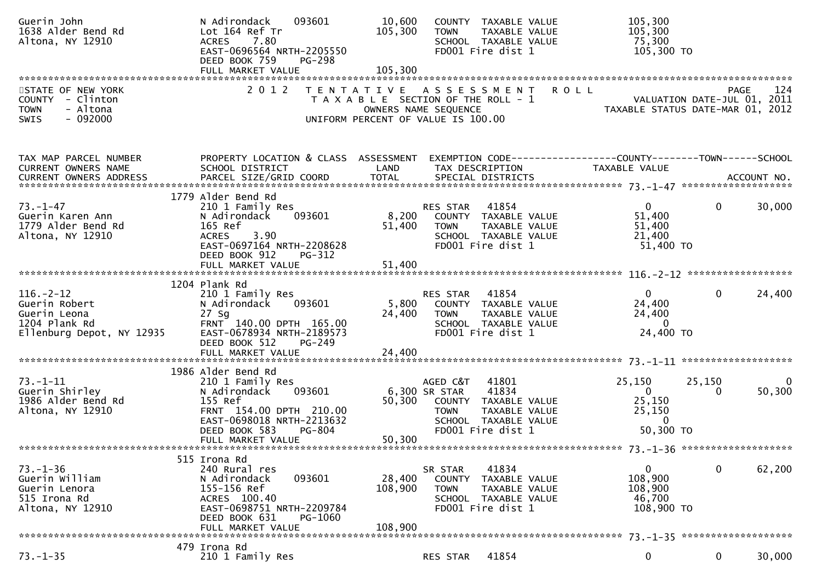| Guerin John<br>1638 Alder Bend Rd<br>Altona, NY 12910                                          | N Adirondack<br>093601<br>Lot 164 Ref Tr<br><b>ACRES</b><br>7.80<br>EAST-0696564 NRTH-2205550<br>DEED BOOK 759<br><b>PG-298</b>                                                     | 10,600<br>105,300            | COUNTY TAXABLE VALUE<br>TAXABLE VALUE<br><b>TOWN</b><br>SCHOOL TAXABLE VALUE<br>FD001 Fire dist 1                                                       | 105,300<br>105,300<br>75,300<br>105,300 TO                                      |                            |
|------------------------------------------------------------------------------------------------|-------------------------------------------------------------------------------------------------------------------------------------------------------------------------------------|------------------------------|---------------------------------------------------------------------------------------------------------------------------------------------------------|---------------------------------------------------------------------------------|----------------------------|
| STATE OF NEW YORK<br>COUNTY - Clinton<br>- Altona<br><b>TOWN</b><br>$-092000$<br><b>SWIS</b>   | 2 0 1 2                                                                                                                                                                             |                              | TENTATIVE ASSESSMENT<br>T A X A B L E SECTION OF THE ROLL - 1<br>OWNERS NAME SEQUENCE<br>UNIFORM PERCENT OF VALUE IS 100.00                             | PAGE 124<br>VALUATION DATE-JUL 01, 2011<br>TAXARLE STATUS DATE USE 11, 2011     |                            |
| TAX MAP PARCEL NUMBER<br>CURRENT OWNERS NAME                                                   | PROPERTY LOCATION & CLASS ASSESSMENT<br>SCHOOL DISTRICT                                                                                                                             | LAND                         | TAX DESCRIPTION                                                                                                                                         | EXEMPTION CODE------------------COUNTY--------TOWN------SCHOOL<br>TAXABLE VALUE |                            |
| 73. – 1–47<br>Guerin Karen Ann<br>1779 Alder Bend Rd<br>Altona, NY 12910                       | 1779 Alder Bend Rd<br>210 1 Family Res<br>093601<br>N Adirondack<br>165 Ref<br>3.90<br><b>ACRES</b><br>EAST-0697164 NRTH-2208628<br>DEED BOOK 912<br>PG-312                         | 51,400                       | 41854<br>RES STAR<br>8,200 COUNTY TAXABLE VALUE<br><b>TOWN</b><br>TAXABLE VALUE<br>SCHOOL TAXABLE VALUE<br>FD001 Fire dist 1                            | $\mathbf{0}$<br>51,400<br>51,400<br>21,400<br>51,400 TO                         | 30,000<br>$\overline{0}$   |
|                                                                                                | FULL MARKET VALUE                                                                                                                                                                   | 51,400                       |                                                                                                                                                         |                                                                                 |                            |
| $116. - 2 - 12$<br>Guerin Robert<br>Guerin Leona<br>1204 Plank Rd<br>Ellenburg Depot, NY 12935 | 1204 Plank Rd<br>210 1 Family Res<br>093601<br>N Adirondack<br>$27$ Sg<br>FRNT 140.00 DPTH 165.00<br>EAST-0678934 NRTH-2189573<br>DEED BOOK 512<br>PG-249                           | 5,800<br>24,400              | RES STAR<br>41854<br>COUNTY TAXABLE VALUE<br>TAXABLE VALUE<br><b>TOWN</b><br>SCHOOL TAXABLE VALUE<br>FD001 Fire dist 1                                  | $\mathbf{0}$<br>24,400<br>24,400<br>$\mathbf{0}$<br>24,400 TO                   | 24,400<br>$\overline{0}$   |
|                                                                                                | FULL MARKET VALUE                                                                                                                                                                   | 24,400                       |                                                                                                                                                         |                                                                                 |                            |
| $73. - 1 - 11$<br>Guerin Shirley<br>1986 Alder Bend Rd<br>Altona, NY 12910                     | 1986 Alder Bend Rd<br>210 1 Family Res<br>093601<br>N Adirondack<br>155 Ref<br>FRNT 154.00 DPTH 210.00<br>EAST-0698018 NRTH-2213632<br>DEED BOOK 583<br>PG-804<br>FULL MARKET VALUE | 50,300                       | AGED C&T<br>41801<br>6,300 SR STAR<br>41834<br>50,300 COUNTY TAXABLE VALUE<br>TAXABLE VALUE<br><b>TOWN</b><br>SCHOOL TAXABLE VALUE<br>FD001 Fire dist 1 | 25,150<br>$\mathbf{0}$<br>25,150<br>25,150<br>$\overline{0}$<br>50,300 TO       | 25,150<br>0<br>50,300<br>0 |
|                                                                                                |                                                                                                                                                                                     |                              |                                                                                                                                                         |                                                                                 |                            |
| $73. - 1 - 36$<br>Guerin William<br>Guerin Lenora<br>515 Irona Rd<br>Altona, NY 12910          | 515 Irona Rd<br>240 Rural res<br>093601<br>N Adirondack<br>155-156 Ref<br>ACRES 100.40<br>EAST-0698751 NRTH-2209784<br>DEED BOOK 631<br>PG-1060<br>FULL MARKET VALUE                | 28,400<br>108,900<br>108,900 | 41834<br>SR STAR<br>COUNTY<br>TAXABLE VALUE<br>TAXABLE VALUE<br><b>TOWN</b><br>SCHOOL TAXABLE VALUE<br>FD001 Fire dist 1                                | 0<br>108,900<br>108,900<br>46,700<br>108,900 TO                                 | 62,200<br>$\bf{0}$         |
|                                                                                                | 479 Irona Rd                                                                                                                                                                        |                              |                                                                                                                                                         |                                                                                 |                            |
| $73. - 1 - 35$                                                                                 | 210 1 Family Res                                                                                                                                                                    |                              | 41854<br>RES STAR                                                                                                                                       | $\bf{0}$                                                                        | 0<br>30,000                |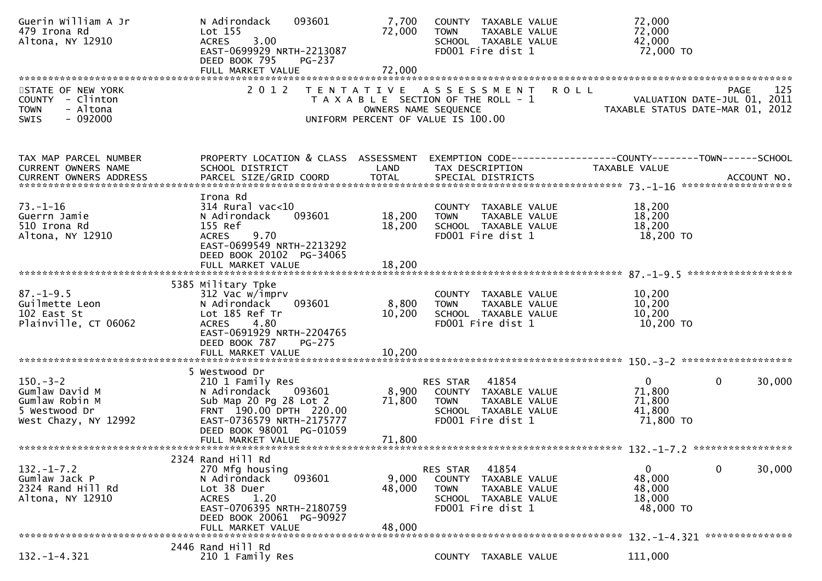| Guerin William A Jr<br>479 Irona Rd<br>Altona, NY 12910                                     | N Adirondack<br>093601<br>Lot 155<br>3.00<br><b>ACRES</b><br>EAST-0699929 NRTH-2213087<br>DEED BOOK 795<br><b>PG-237</b>                                                                       | 7,700<br>72,000           | COUNTY TAXABLE VALUE<br><b>TOWN</b><br>TAXABLE VALUE<br>SCHOOL TAXABLE VALUE<br>FD001 Fire dist 1                         |             | 72,000<br>72,000<br>42,000<br>72,000 TO                                          |
|---------------------------------------------------------------------------------------------|------------------------------------------------------------------------------------------------------------------------------------------------------------------------------------------------|---------------------------|---------------------------------------------------------------------------------------------------------------------------|-------------|----------------------------------------------------------------------------------|
| STATE OF NEW YORK<br>COUNTY - Clinton<br>- Altona<br><b>TOWN</b><br><b>SWIS</b><br>- 092000 | 2 0 1 2                                                                                                                                                                                        | OWNERS NAME SEQUENCE      | TENTATIVE ASSESSMENT<br>T A X A B L E SECTION OF THE ROLL - 1<br>UNIFORM PERCENT OF VALUE IS 100.00                       | <b>ROLL</b> | 125<br>PAGE<br>VALUATION DATE-JUL 01, 2011<br>TAXABLE STATUS DATE-MAR 01, 2012   |
| TAX MAP PARCEL NUMBER<br>CURRENT OWNERS NAME<br>CURRENT OWNERS ADDRESS                      | PROPERTY LOCATION & CLASS ASSESSMENT<br>SCHOOL DISTRICT                                                                                                                                        | LAND                      | TAX DESCRIPTION                                                                                                           |             | EXEMPTION CODE------------------COUNTY--------TOWN------SCHOOL<br>TAXABLE VALUE  |
| $73. - 1 - 16$<br>Guerrn Jamie<br>510 Irona Rd<br>Altona, NY 12910                          | Irona Rd<br>$314$ Rural vac< $10$<br>093601<br>N Adirondack<br>155 Ref<br>9.70<br><b>ACRES</b><br>EAST-0699549 NRTH-2213292<br>DEED BOOK 20102 PG-34065                                        | 18,200<br>18,200          | COUNTY TAXABLE VALUE<br><b>TOWN</b><br>TAXABLE VALUE<br>SCHOOL TAXABLE VALUE<br>FD001 Fire dist 1                         |             | 18,200<br>18,200<br>18,200<br>18,200 TO                                          |
|                                                                                             | FULL MARKET VALUE                                                                                                                                                                              | 18,200                    |                                                                                                                           |             |                                                                                  |
| $87. - 1 - 9.5$<br>Guilmette Leon<br>102 East St<br>Plainville, CT 06062                    | 5385 Military Tpke<br>312 Vac w/imprv<br>N Adirondack<br>093601<br>Lot 185 Ref Tr<br><b>ACRES</b><br>4.80<br>EAST-0691929 NRTH-2204765<br>DEED BOOK 787<br><b>PG-275</b>                       | 8,800<br>10,200           | COUNTY TAXABLE VALUE<br>TAXABLE VALUE<br><b>TOWN</b><br>SCHOOL TAXABLE VALUE<br>FD001 Fire dist 1                         |             | 10,200<br>10,200<br>10,200<br>10,200 TO                                          |
|                                                                                             | FULL MARKET VALUE                                                                                                                                                                              | 10,200                    |                                                                                                                           |             |                                                                                  |
| $150 - 3 - 2$<br>Gumlaw David M<br>Gumlaw Robin M<br>5 Westwood Dr<br>West Chazy, NY 12992  | 5 Westwood Dr<br>210 1 Family Res<br>N Adirondack<br>093601<br>Sub Map 20 Pg 28 Lot 2<br>FRNT 190.00 DPTH 220.00<br>EAST-0736579 NRTH-2175777<br>DEED BOOK 98001 PG-01059<br>FULL MARKET VALUE | 8,900<br>71,800<br>71,800 | 41854<br>RES STAR<br>COUNTY TAXABLE VALUE<br>TAXABLE VALUE<br><b>TOWN</b><br>SCHOOL TAXABLE VALUE<br>FD001 Fire dist 1    |             | $\mathbf 0$<br>$\mathbf{0}$<br>30,000<br>71,800<br>71,800<br>41,800<br>71,800 TO |
|                                                                                             | 2324 Rand Hill Rd                                                                                                                                                                              |                           |                                                                                                                           |             |                                                                                  |
| $132. - 1 - 7.2$<br>Gumlaw Jack P<br>2324 Rand Hill Rd<br>Altona, NY 12910                  | 270 Mfg housing<br>093601<br>N Adirondack<br>Lot 38 Duer<br>1.20<br><b>ACRES</b><br>EAST-0706395 NRTH-2180759<br>DEED BOOK 20061 PG-90927<br>FULL MARKET VALUE                                 | 9,000<br>48,000<br>48,000 | 41854<br>RES STAR<br>COUNTY<br>TAXABLE VALUE<br><b>TOWN</b><br>TAXABLE VALUE<br>SCHOOL TAXABLE VALUE<br>FD001 Fire dist 1 |             | 0<br>30,000<br>0<br>48,000<br>48,000<br>18,000<br>48,000 TO                      |
|                                                                                             | 2446 Rand Hill Rd                                                                                                                                                                              |                           |                                                                                                                           |             | 132. -1-4.321 ****************                                                   |
| $132. - 1 - 4.321$                                                                          | 210 1 Family Res                                                                                                                                                                               |                           | COUNTY TAXABLE VALUE                                                                                                      |             | 111,000                                                                          |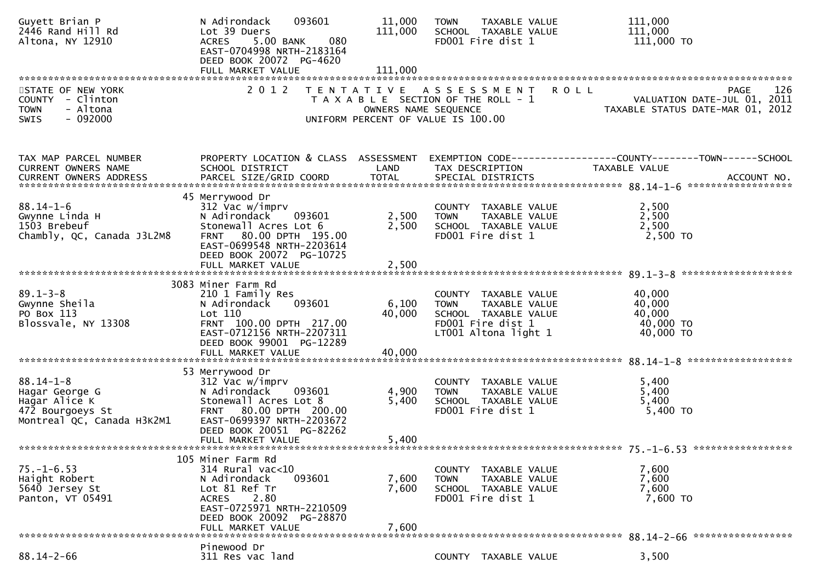| Guyett Brian P<br>2446 Rand Hill Rd<br>Altona, NY 12910                                              | 093601<br>N Adirondack<br>Lot 39 Duers<br>5.00 BANK<br>080<br><b>ACRES</b><br>EAST-0704998 NRTH-2183164<br>DEED BOOK 20072 PG-4620                                                               | 11,000<br>111,000         | <b>TAXABLE VALUE</b><br><b>TOWN</b><br>SCHOOL TAXABLE VALUE<br>FD001 Fire dist 1                                          | 111,000<br>111,000<br>111,000 TO                                                                     |
|------------------------------------------------------------------------------------------------------|--------------------------------------------------------------------------------------------------------------------------------------------------------------------------------------------------|---------------------------|---------------------------------------------------------------------------------------------------------------------------|------------------------------------------------------------------------------------------------------|
|                                                                                                      |                                                                                                                                                                                                  |                           |                                                                                                                           |                                                                                                      |
| STATE OF NEW YORK<br>COUNTY - Clinton<br>- Altona<br><b>TOWN</b><br>SWIS<br>- 092000                 | 2 0 1 2                                                                                                                                                                                          | OWNERS NAME SEQUENCE      | TENTATIVE ASSESSMENT<br>T A X A B L E SECTION OF THE ROLL - 1<br>UNIFORM PERCENT OF VALUE IS 100.00                       | 126<br><b>ROLL</b><br><b>PAGE</b><br>VALUATION DATE-JUL 01, 2011<br>TAXABLE STATUS DATE-MAR 01, 2012 |
| TAX MAP PARCEL NUMBER<br>CURRENT OWNERS NAME<br>CURRENT OWNERS ADDRESS                               | PROPERTY LOCATION & CLASS ASSESSMENT<br>SCHOOL DISTRICT                                                                                                                                          | LAND                      | TAX DESCRIPTION                                                                                                           | EXEMPTION        CODE-----------------COUNTY-------TOWN------SCHOOL<br>TAXABLE VALUE                 |
| $88.14 - 1 - 6$<br>Gwynne Linda H<br>1503 Brebeuf<br>Chambly, QC, Canada J3L2M8                      | 45 Merrywood Dr<br>312 Vac w/imprv<br>N Adirondack<br>093601<br>Stonewall Acres Lot 6<br>FRNT 80.00 DPTH 195.00<br>EAST-0699548 NRTH-2203614<br>DEED BOOK 20072 PG-10725                         | 2,500<br>2,500            | COUNTY TAXABLE VALUE<br><b>TOWN</b><br>TAXABLE VALUE<br>SCHOOL TAXABLE VALUE<br>FD001 Fire dist 1                         | 2,500<br>2,500<br>2,500<br>2,500 TO                                                                  |
|                                                                                                      | FULL MARKET VALUE                                                                                                                                                                                | 2,500                     |                                                                                                                           |                                                                                                      |
| $89.1 - 3 - 8$<br>Gwynne Sheila<br>PO Box 113<br>Blossvale, NY 13308                                 | 3083 Miner Farm Rd<br>210 1 Family Res<br>093601<br>N Adirondack<br>Lot 110<br>FRNT 100.00 DPTH 217.00<br>EAST-0712156 NRTH-2207311<br>DEED BOOK 99001 PG-12289<br>FULL MARKET VALUE             | 6,100<br>40,000<br>40,000 | COUNTY TAXABLE VALUE<br>TAXABLE VALUE<br><b>TOWN</b><br>SCHOOL TAXABLE VALUE<br>FD001 Fire dist 1<br>LT001 Altona light 1 | 40,000<br>40,000<br>40,000<br>40,000 TO<br>40,000 TO                                                 |
| $88.14 - 1 - 8$<br>Hagar George G<br>Hagar Alice K<br>472 Bourgoeys St<br>Montreal QC, Canada H3K2M1 | 53 Merrywood Dr<br>312 Vac w/imprv<br>N Adirondack<br>093601<br>Stonewall Acres Lot 8<br>80.00 DPTH 200.00<br>FRNT<br>EAST-0699397 NRTH-2203672<br>DEED BOOK 20051 PG-82262<br>FULL MARKET VALUE | 4,900<br>5,400<br>5,400   | COUNTY TAXABLE VALUE<br>TAXABLE VALUE<br><b>TOWN</b><br>SCHOOL TAXABLE VALUE<br>FD001 Fire dist 1                         | 5,400<br>5,400<br>5,400<br>$5,400$ TO                                                                |
|                                                                                                      | 105 Miner Farm Rd                                                                                                                                                                                |                           |                                                                                                                           |                                                                                                      |
| $75. - 1 - 6.53$<br>Haight Robert<br>5640 Jersey St<br>Panton, VT 05491                              | 314 Rural vac<10<br>093601<br>N Adirondack<br>Lot 81 Ref Tr<br>2.80<br><b>ACRES</b><br>EAST-0725971 NRTH-2210509<br>DEED BOOK 20092 PG-28870<br>FULL MARKET VALUE                                | 7,600<br>7,600<br>7,600   | COUNTY TAXABLE VALUE<br>TAXABLE VALUE<br><b>TOWN</b><br>SCHOOL TAXABLE VALUE<br>FD001 Fire dist 1                         | 7,600<br>7,600<br>7,600<br>7,600 TO                                                                  |
|                                                                                                      | Pinewood Dr                                                                                                                                                                                      |                           |                                                                                                                           |                                                                                                      |
| $88.14 - 2 - 66$                                                                                     | 311 Res vac land                                                                                                                                                                                 |                           | COUNTY TAXABLE VALUE                                                                                                      | 3,500                                                                                                |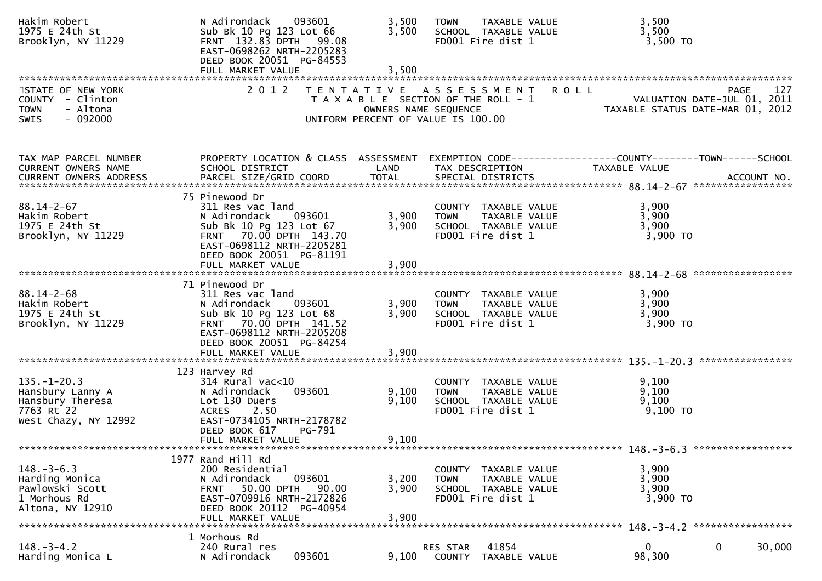| Hakim Robert<br>1975 E 24th St<br>Brooklyn, NY 11229                                            | N Adirondack<br>093601<br>Sub Bk 10 Pg 123 Lot 66<br>FRNT 132.83 DPTH 99.08<br>EAST-0698262 NRTH-2205283<br>DEED BOOK 20051 PG-84553                                                   | 3,500<br>3,500          | TAXABLE VALUE<br><b>TOWN</b><br>SCHOOL TAXABLE VALUE<br>FD001 Fire dist 1                           | 3,500<br>3,500<br>3,500 TO                                                                           |
|-------------------------------------------------------------------------------------------------|----------------------------------------------------------------------------------------------------------------------------------------------------------------------------------------|-------------------------|-----------------------------------------------------------------------------------------------------|------------------------------------------------------------------------------------------------------|
|                                                                                                 |                                                                                                                                                                                        |                         |                                                                                                     |                                                                                                      |
| STATE OF NEW YORK<br>COUNTY - Clinton<br><b>TOWN</b><br>- Altona<br>$-092000$<br><b>SWIS</b>    | 2 0 1 2                                                                                                                                                                                | OWNERS NAME SEQUENCE    | TENTATIVE ASSESSMENT<br>T A X A B L E SECTION OF THE ROLL - 1<br>UNIFORM PERCENT OF VALUE IS 100.00 | 127<br><b>ROLL</b><br><b>PAGE</b><br>VALUATION DATE-JUL 01, 2011<br>TAXABLE STATUS DATE-MAR 01, 2012 |
| TAX MAP PARCEL NUMBER<br>CURRENT OWNERS NAME                                                    | PROPERTY LOCATION & CLASS ASSESSMENT<br>SCHOOL DISTRICT                                                                                                                                | LAND                    | TAX DESCRIPTION                                                                                     | EXEMPTION CODE-----------------COUNTY--------TOWN------SCHOOL<br>TAXABLE VALUE                       |
|                                                                                                 |                                                                                                                                                                                        |                         |                                                                                                     |                                                                                                      |
| $88.14 - 2 - 67$<br>Hakim Robert<br>1975 E 24th St<br>Brooklyn, NY 11229                        | 75 Pinewood Dr<br>311 Res vac land<br>N Adirondack<br>093601<br>Sub Bk 10 Pg 123 Lot 67<br>FRNT 70.00 DPTH 143.70<br>EAST-0698112 NRTH-2205281<br>DEED BOOK 20051 PG-81191             | 3,900<br>3,900          | COUNTY TAXABLE VALUE<br><b>TOWN</b><br>TAXABLE VALUE<br>SCHOOL TAXABLE VALUE<br>FD001 Fire dist 1   | 3,900<br>3,900<br>3,900<br>$3,900$ TO                                                                |
|                                                                                                 | FULL MARKET VALUE                                                                                                                                                                      | 3,900                   |                                                                                                     |                                                                                                      |
|                                                                                                 |                                                                                                                                                                                        |                         |                                                                                                     |                                                                                                      |
| $88.14 - 2 - 68$<br>Hakim Robert<br>1975 E 24th St<br>Brooklyn, NY 11229                        | 71 Pinewood Dr<br>311 Res vac land<br>N Adirondack<br>093601<br>Sub Bk 10 Pg 123 Lot 68<br>FRNT 70.00 DPTH 141.52<br>EAST-0698112 NRTH-2205208<br>DEED BOOK 20051 PG-84254             | 3,900<br>3,900          | COUNTY TAXABLE VALUE<br>TAXABLE VALUE<br><b>TOWN</b><br>SCHOOL TAXABLE VALUE<br>FD001 Fire dist 1   | 3,900<br>3,900<br>3,900<br>3,900 TO                                                                  |
|                                                                                                 | FULL MARKET VALUE                                                                                                                                                                      | 3,900                   |                                                                                                     |                                                                                                      |
|                                                                                                 |                                                                                                                                                                                        |                         |                                                                                                     | ****************                                                                                     |
| $135. - 1 - 20.3$<br>Hansbury Lanny A<br>Hansbury Theresa<br>7763 Rt 22<br>West Chazy, NY 12992 | 123 Harvey Rd<br>$314$ Rural vac< $10$<br>093601<br>N Adirondack<br>Lot 130 Duers<br><b>ACRES</b><br>2.50<br>EAST-0734105 NRTH-2178782<br>DEED BOOK 617<br>PG-791<br>FULL MARKET VALUE | 9,100<br>9,100<br>9,100 | COUNTY TAXABLE VALUE<br>TAXABLE VALUE<br><b>TOWN</b><br>SCHOOL TAXABLE VALUE<br>FD001 Fire dist 1   | 9,100<br>9,100<br>9,100<br>$9,100$ TO                                                                |
|                                                                                                 |                                                                                                                                                                                        |                         |                                                                                                     |                                                                                                      |
|                                                                                                 | 1977 Rand Hill Rd                                                                                                                                                                      |                         |                                                                                                     |                                                                                                      |
| $148. - 3 - 6.3$<br>Harding Monica<br>Pawlowski Scott<br>1 Morhous Rd<br>Altona, NY 12910       | 200 Residential<br>093601<br>N Adirondack<br>50.00 DPTH<br>90.00<br><b>FRNT</b><br>EAST-0709916 NRTH-2172826<br>DEED BOOK 20112 PG-40954                                               | 3,200<br>3,900<br>3,900 | COUNTY TAXABLE VALUE<br>TAXABLE VALUE<br><b>TOWN</b><br>SCHOOL TAXABLE VALUE<br>FD001 Fire dist 1   | 3,900<br>3,900<br>3,900<br>3,900 TO                                                                  |
|                                                                                                 | FULL MARKET VALUE                                                                                                                                                                      |                         |                                                                                                     |                                                                                                      |
| $148. - 3 - 4.2$<br>Harding Monica L                                                            | 1 Morhous Rd<br>240 Rural res<br>093601<br>N Adirondack                                                                                                                                | 9,100                   | 41854<br>RES STAR<br>COUNTY<br>TAXABLE VALUE                                                        | $\mathbf{0}$<br>0<br>30,000<br>98,300                                                                |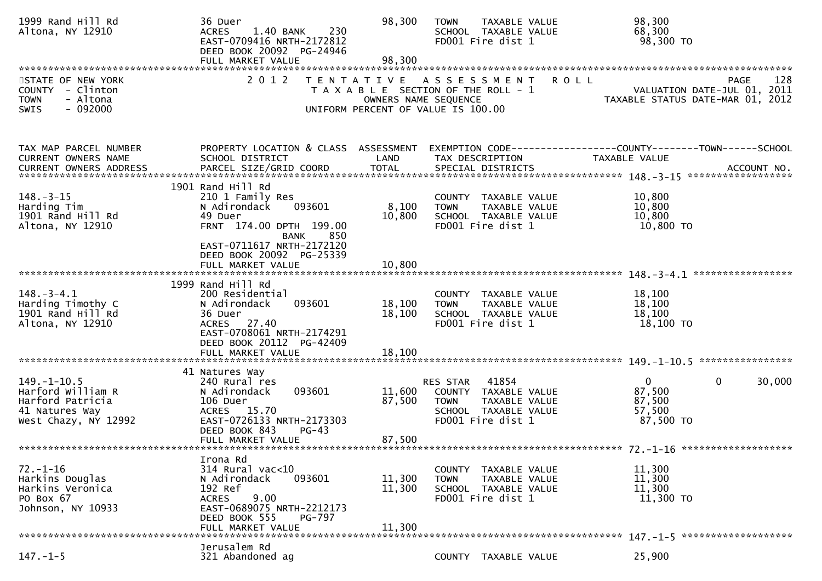| 1999 Rand Hill Rd<br>Altona, NY 12910                                                                | 36 Duer<br>1.40 BANK<br>230<br><b>ACRES</b><br>EAST-0709416 NRTH-2172812<br>DEED BOOK 20092 PG-24946<br>FULL MARKET VALUE                                              | 98,300<br>98,300           | <b>TOWN</b><br>TAXABLE VALUE<br>SCHOOL TAXABLE VALUE<br>FD001 Fire dist 1                                           | 98,300<br>68,300<br>98,300 TO                                                                        |
|------------------------------------------------------------------------------------------------------|------------------------------------------------------------------------------------------------------------------------------------------------------------------------|----------------------------|---------------------------------------------------------------------------------------------------------------------|------------------------------------------------------------------------------------------------------|
| STATE OF NEW YORK<br>COUNTY - Clinton<br><b>TOWN</b><br>- Altona<br>$-092000$<br><b>SWIS</b>         | 2 0 1 2                                                                                                                                                                | OWNERS NAME SEQUENCE       | TENTATIVE ASSESSMENT<br>T A X A B L E SECTION OF THE ROLL - 1<br>UNIFORM PERCENT OF VALUE IS 100.00                 | <b>ROLL</b><br>128<br><b>PAGE</b><br>VALUATION DATE-JUL 01, 2011<br>TAXABLE STATUS DATE-MAR 01, 2012 |
| TAX MAP PARCEL NUMBER<br>CURRENT OWNERS NAME                                                         | PROPERTY LOCATION & CLASS ASSESSMENT<br>SCHOOL DISTRICT                                                                                                                | LAND                       | TAX DESCRIPTION                                                                                                     | EXEMPTION CODE-----------------COUNTY-------TOWN------SCHOOL<br>TAXABLE VALUE                        |
|                                                                                                      |                                                                                                                                                                        |                            |                                                                                                                     |                                                                                                      |
| $148. - 3 - 15$<br>Harding Tim<br>1901 Rand Hill Rd<br>Altona, NY 12910                              | 1901 Rand Hill Rd<br>210 1 Family Res<br>093601<br>N Adirondack<br>49 Duer<br>FRNT 174.00 DPTH 199.00<br>850<br>BANK<br>EAST-0711617 NRTH-2172120                      | 8,100<br>10,800            | COUNTY TAXABLE VALUE<br>TAXABLE VALUE<br><b>TOWN</b><br>SCHOOL TAXABLE VALUE<br>FD001 Fire dist 1                   | 10,800<br>10,800<br>10,800<br>10,800 TO                                                              |
|                                                                                                      | DEED BOOK 20092 PG-25339<br>FULL MARKET VALUE                                                                                                                          | 10,800                     |                                                                                                                     |                                                                                                      |
|                                                                                                      |                                                                                                                                                                        |                            |                                                                                                                     |                                                                                                      |
| $148. - 3 - 4.1$<br>Harding Timothy C<br>1901 Rand Hill Rd<br>Altona, NY 12910                       | 1999 Rand Hill Rd<br>200 Residential<br>093601<br>N Adirondack<br>36 Duer<br>ACRES 27.40<br>EAST-0708061 NRTH-2174291<br>DEED BOOK 20112 PG-42409                      | 18,100<br>18,100           | COUNTY TAXABLE VALUE<br>TAXABLE VALUE<br><b>TOWN</b><br>SCHOOL TAXABLE VALUE<br>FD001 Fire dist 1                   | 18,100<br>18,100<br>18,100<br>18,100 TO                                                              |
|                                                                                                      | FULL MARKET VALUE                                                                                                                                                      | 18,100                     |                                                                                                                     |                                                                                                      |
|                                                                                                      | 41 Natures Way                                                                                                                                                         |                            |                                                                                                                     |                                                                                                      |
| $149. - 1 - 10.5$<br>Harford William R<br>Harford Patricia<br>41 Natures Way<br>West Chazy, NY 12992 | 240 Rural res<br>093601<br>N Adirondack<br>106 Duer<br>ACRES 15.70<br>EAST-0726133 NRTH-2173303<br>DEED BOOK 843<br>$PG-43$<br>FULL MARKET VALUE                       | 11,600<br>87,500<br>87,500 | RES STAR 41854<br>COUNTY TAXABLE VALUE<br><b>TOWN</b><br>TAXABLE VALUE<br>SCHOOL TAXABLE VALUE<br>FD001 Fire dist 1 | $\mathbf{0}$<br>$\mathbf{0}$<br>30,000<br>87,500<br>87,500<br>57,500<br>87,500 TO                    |
|                                                                                                      |                                                                                                                                                                        |                            |                                                                                                                     |                                                                                                      |
| $72. - 1 - 16$<br>Harkins Douglas<br>Harkins Veronica<br>PO Box 67<br>Johnson, NY 10933              | Irona Rd<br>314 Rural vac<10<br>093601<br>N Adirondack<br>192 Ref<br>9.00<br><b>ACRES</b><br>EAST-0689075 NRTH-2212173<br>DEED BOOK 555<br>PG-797<br>FULL MARKET VALUE | 11,300<br>11,300<br>11,300 | COUNTY TAXABLE VALUE<br>TAXABLE VALUE<br><b>TOWN</b><br>SCHOOL TAXABLE VALUE<br>FD001 Fire dist 1                   | 11,300<br>11,300<br>11,300<br>11,300 TO                                                              |
|                                                                                                      |                                                                                                                                                                        |                            |                                                                                                                     |                                                                                                      |
| $147. - 1 - 5$                                                                                       | Jerusalem Rd<br>321 Abandoned ag                                                                                                                                       |                            | COUNTY TAXABLE VALUE                                                                                                | 25,900                                                                                               |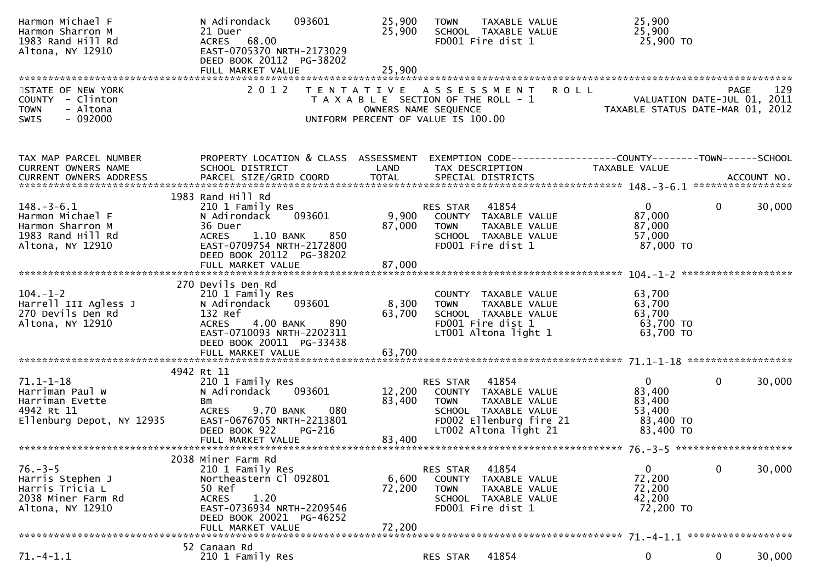| Harmon Michael F<br>Harmon Sharron M<br>1983 Rand Hill Rd<br>Altona, NY 12910                    | N Adirondack<br>093601<br>21 Duer<br>68.00<br><b>ACRES</b><br>EAST-0705370 NRTH-2173029<br>DEED BOOK 20112 PG-38202                                                                    | 25,900<br>25,900                                                                                                            | <b>TOWN</b>                       | <b>TAXABLE VALUE</b><br>SCHOOL TAXABLE VALUE<br>FD001 Fire dist 1                                                          |                                                                | 25,900<br>25,900<br>25,900 TO                                        |                |        |
|--------------------------------------------------------------------------------------------------|----------------------------------------------------------------------------------------------------------------------------------------------------------------------------------------|-----------------------------------------------------------------------------------------------------------------------------|-----------------------------------|----------------------------------------------------------------------------------------------------------------------------|----------------------------------------------------------------|----------------------------------------------------------------------|----------------|--------|
|                                                                                                  |                                                                                                                                                                                        |                                                                                                                             |                                   |                                                                                                                            |                                                                |                                                                      |                |        |
| STATE OF NEW YORK<br>COUNTY - Clinton<br>- Altona<br><b>TOWN</b><br>$-092000$<br><b>SWIS</b>     | 2 0 1 2                                                                                                                                                                                | TENTATIVE ASSESSMENT<br>T A X A B L E SECTION OF THE ROLL - 1<br>OWNERS NAME SEQUENCE<br>UNIFORM PERCENT OF VALUE IS 100.00 |                                   |                                                                                                                            | <b>ROLL</b>                                                    | VALUATION DATE-JUL 01, 2011<br>TAXABLE STATUS DATE-MAR 01, 2012      | PAGE           | 129    |
| TAX MAP PARCEL NUMBER<br>CURRENT OWNERS NAME<br>CURRENT OWNERS ADDRESS                           | PROPERTY LOCATION & CLASS ASSESSMENT<br>SCHOOL DISTRICT                                                                                                                                | LAND                                                                                                                        |                                   | TAX DESCRIPTION                                                                                                            | EXEMPTION CODE------------------COUNTY--------TOWN------SCHOOL | <b>TAXABLE VALUE</b>                                                 |                |        |
| $148.-3-6.1$<br>Harmon Michael F<br>Harmon Sharron M<br>1983 Rand Hill Rd<br>Altona, NY 12910    | 1983 Rand Hill Rd<br>210 1 Family Res<br>093601<br>N Adirondack<br>36 Duer<br>850<br>1.10 BANK<br><b>ACRES</b><br>EAST-0709754 NRTH-2172800<br>DEED BOOK 20112 PG-38202                | 9,900<br>87,000                                                                                                             | RES STAR<br><b>TOWN</b>           | 41854<br>COUNTY TAXABLE VALUE<br>TAXABLE VALUE<br>SCHOOL TAXABLE VALUE<br>FD001 Fire dist 1                                |                                                                | 0<br>87,000<br>87,000<br>57,000<br>87,000 TO                         | $\overline{0}$ | 30,000 |
|                                                                                                  | FULL MARKET VALUE                                                                                                                                                                      | 87,000                                                                                                                      |                                   |                                                                                                                            |                                                                |                                                                      |                |        |
| $104. - 1 - 2$<br>Harrell III Agless J<br>270 Devils Den Rd<br>Altona, NY 12910                  | 270 Devils Den Rd<br>210 1 Family Res<br>093601<br>N Adirondack<br>132 Ref<br>4.00 BANK<br><b>ACRES</b><br>890<br>EAST-0710093 NRTH-2202311<br>DEED BOOK 20011 PG-33438                | 8,300<br>63,700                                                                                                             | <b>TOWN</b>                       | COUNTY TAXABLE VALUE<br>TAXABLE VALUE<br>SCHOOL TAXABLE VALUE<br>FD001 Fire dist 1<br>LT001 Altona light 1                 |                                                                | 63,700<br>63,700<br>63,700<br>63,700 TO<br>63,700 TO                 |                |        |
|                                                                                                  | FULL MARKET VALUE                                                                                                                                                                      | 63,700                                                                                                                      |                                   |                                                                                                                            |                                                                |                                                                      |                |        |
| $71.1 - 1 - 18$<br>Harriman Paul W<br>Harriman Evette<br>4942 Rt 11<br>Ellenburg Depot, NY 12935 | 4942 Rt 11<br>210 1 Family Res<br>N Adirondack<br>093601<br>Bm<br>9.70 BANK<br>080<br><b>ACRES</b><br>EAST-0676705 NRTH-2213801<br>DEED BOOK 922<br><b>PG-216</b><br>FULL MARKET VALUE | 12,200<br>83,400<br>83,400                                                                                                  | RES STAR<br><b>TOWN</b>           | 41854<br>COUNTY TAXABLE VALUE<br>TAXABLE VALUE<br>SCHOOL TAXABLE VALUE<br>FD002 Ellenburg fire 21<br>LT002 Altona light 21 |                                                                | $\mathbf{0}$<br>83,400<br>83,400<br>53,400<br>83,400 TO<br>83,400 TO | $\mathbf{0}$   | 30,000 |
|                                                                                                  |                                                                                                                                                                                        |                                                                                                                             |                                   |                                                                                                                            |                                                                |                                                                      |                |        |
| $76. - 3 - 5$<br>Harris Stephen J<br>Harris Tricia L<br>2038 Miner Farm Rd<br>Altona, NY 12910   | 2038 Miner Farm Rd<br>210 1 Family Res<br>Northeastern Cl 092801<br>50 Ref<br>1.20<br><b>ACRES</b><br>EAST-0736934 NRTH-2209546<br>DEED BOOK 20021 PG-46252<br>FULL MARKET VALUE       | 6,600<br>72,200<br>72,200                                                                                                   | RES STAR<br>COUNTY<br><b>TOWN</b> | 41854<br>TAXABLE VALUE<br>TAXABLE VALUE<br>SCHOOL TAXABLE VALUE<br>FD001 Fire dist 1                                       |                                                                | $\bf{0}$<br>72,200<br>72,200<br>42,200<br>72,200 TO                  | 0              | 30,000 |
|                                                                                                  | 52 Canaan Rd                                                                                                                                                                           |                                                                                                                             |                                   |                                                                                                                            |                                                                |                                                                      |                |        |
| $71. - 4 - 1.1$                                                                                  | 210 1 Family Res                                                                                                                                                                       |                                                                                                                             | RES STAR                          | 41854                                                                                                                      |                                                                | 0                                                                    | 0              | 30,000 |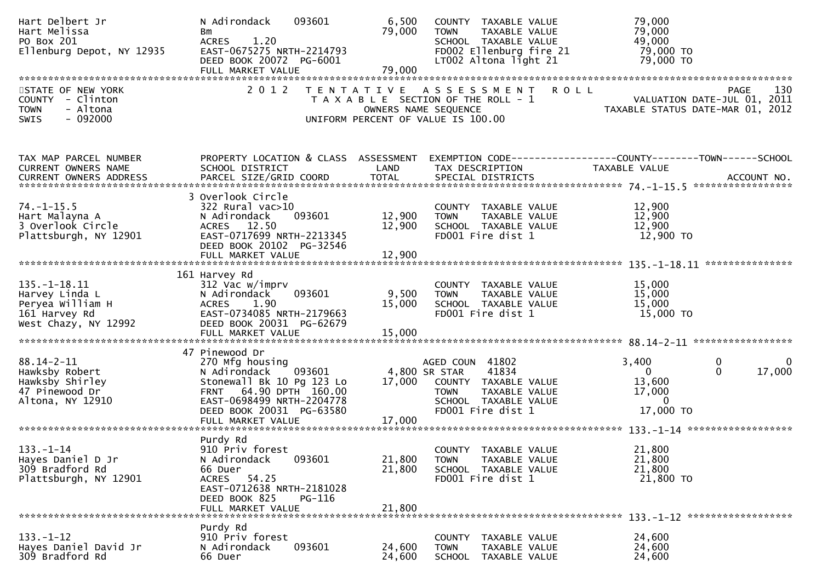| Hart Delbert Jr<br>Hart Melissa<br>PO Box 201<br>Ellenburg Depot, NY 12935                        | 093601<br>N Adirondack<br>Bm<br>1.20<br><b>ACRES</b><br>EAST-0675275 NRTH-2214793<br>DEED BOOK 20072 PG-6001                                                                                     | 6,500<br>79,000            | COUNTY TAXABLE VALUE<br>TAXABLE VALUE<br><b>TOWN</b><br>SCHOOL TAXABLE VALUE<br>FD002 Ellenburg fire 21<br>LT002 Altona light 21               | 79,000<br>79,000<br>49,000<br>79,000 TO<br>79,000 TO                                                 |
|---------------------------------------------------------------------------------------------------|--------------------------------------------------------------------------------------------------------------------------------------------------------------------------------------------------|----------------------------|------------------------------------------------------------------------------------------------------------------------------------------------|------------------------------------------------------------------------------------------------------|
|                                                                                                   |                                                                                                                                                                                                  | 79,000                     |                                                                                                                                                |                                                                                                      |
| STATE OF NEW YORK<br>COUNTY - Clinton<br>- Altona<br><b>TOWN</b><br>SWIS<br>$-092000$             | 2 0 1 2                                                                                                                                                                                          |                            | TENTATIVE ASSESSMENT<br>T A X A B L E SECTION OF THE ROLL - 1<br>OWNERS NAME SEQUENCE<br>UNIFORM PERCENT OF VALUE IS 100.00                    | 130<br><b>ROLL</b><br><b>PAGE</b><br>VALUATION DATE-JUL 01, 2011<br>TAXABLE STATUS DATE-MAR 01, 2012 |
| TAX MAP PARCEL NUMBER<br>CURRENT OWNERS NAME<br><b>CURRENT OWNERS ADDRESS</b>                     | PROPERTY LOCATION & CLASS ASSESSMENT<br>SCHOOL DISTRICT                                                                                                                                          | LAND                       | TAX DESCRIPTION                                                                                                                                | EXEMPTION CODE------------------COUNTY--------TOWN------SCHOOL<br>TAXABLE VALUE                      |
| $74. - 1 - 15.5$<br>Hart Malayna A<br>3 Overlook Circle<br>Plattsburgh, NY 12901                  | 3 Overlook Circle<br>322 Rural vac>10<br>093601<br>N Adirondack<br>ACRES 12.50<br>EAST-0717699 NRTH-2213345<br>DEED BOOK 20102 PG-32546<br>FULL MARKET VALUE                                     | 12,900<br>12,900<br>12,900 | COUNTY TAXABLE VALUE<br><b>TOWN</b><br>TAXABLE VALUE<br>SCHOOL TAXABLE VALUE<br>FD001 Fire dist 1                                              | 12,900<br>12,900<br>12,900<br>12,900 TO                                                              |
| $135. - 1 - 18.11$<br>Harvey Linda L<br>Peryea William H<br>161 Harvey Rd<br>West Chazy, NY 12992 | 161 Harvey Rd<br>312 Vac w/imprv<br>093601<br>N Adirondack<br><b>ACRES</b><br>1.90<br>EAST-0734085 NRTH-2179663<br>DEED BOOK 20031 PG-62679<br>FULL MARKET VALUE                                 | 9,500<br>15,000<br>15,000  | COUNTY TAXABLE VALUE<br>TAXABLE VALUE<br><b>TOWN</b><br>SCHOOL TAXABLE VALUE<br>FD001 Fire dist 1                                              | 15,000<br>15,000<br>15,000<br>15,000 TO                                                              |
| $88.14 - 2 - 11$<br>Hawksby Robert<br>Hawksby Shirley<br>47 Pinewood Dr<br>Altona, NY 12910       | 47 Pinewood Dr<br>270 Mfg housing<br>N Adirondack<br>093601<br>Stonewall Bk 10 Pg 123 Lo<br>FRNT 64.90 DPTH 160.00<br>EAST-0698499 NRTH-2204778<br>DEED BOOK 20031 PG-63580<br>FULL MARKET VALUE | 17,000<br>17,000           | AGED COUN 41802<br>41834<br>4,800 SR STAR<br>COUNTY TAXABLE VALUE<br><b>TOWN</b><br>TAXABLE VALUE<br>SCHOOL TAXABLE VALUE<br>FD001 Fire dist 1 | 0<br>3,400<br>0<br>17,000<br>$\mathbf{0}$<br>$\Omega$<br>13,600<br>17,000<br>0<br>17,000 TO          |
| $133. - 1 - 14$<br>Hayes Daniel D Jr<br>309 Bradford Rd<br>Plattsburgh, NY 12901                  | Purdy Rd<br>910 Priv forest<br>093601<br>N Adirondack<br>66 Duer<br>54.25<br><b>ACRES</b><br>EAST-0712638 NRTH-2181028<br>DEED BOOK 825<br><b>PG-116</b><br>FULL MARKET VALUE                    | 21,800<br>21,800<br>21,800 | COUNTY TAXABLE VALUE<br>TAXABLE VALUE<br><b>TOWN</b><br>SCHOOL TAXABLE VALUE<br>FD001 Fire dist 1                                              | 21,800<br>21,800<br>21,800<br>21,800 TO                                                              |
| $133. - 1 - 12$<br>Hayes Daniel David Jr<br>309 Bradford Rd                                       | Purdy Rd<br>910 Priv forest<br>093601<br>N Adirondack<br>66 Duer                                                                                                                                 | 24,600<br>24,600           | <b>COUNTY</b><br>TAXABLE VALUE<br><b>TOWN</b><br>TAXABLE VALUE<br>SCHOOL TAXABLE VALUE                                                         | 24,600<br>24,600<br>24,600                                                                           |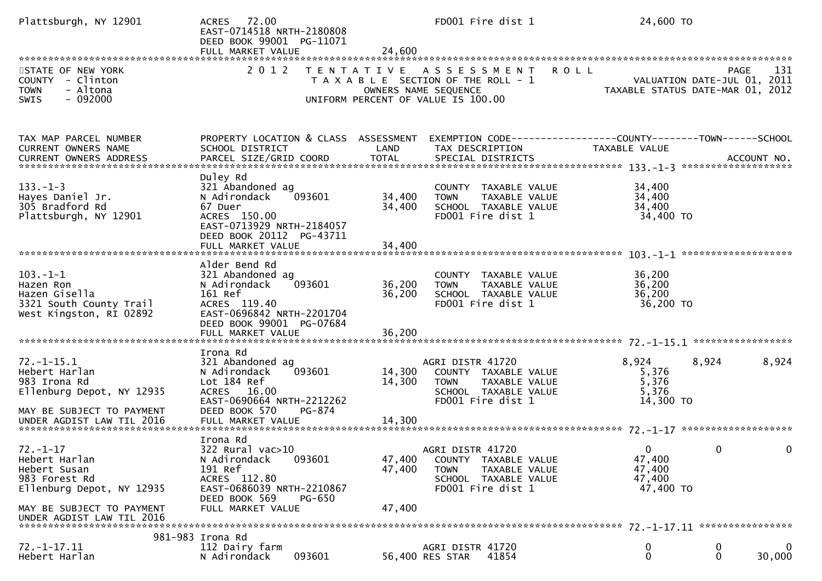| Plattsburgh, NY 12901                                                                                                                                   | ACRES 72.00<br>EAST-0714518 NRTH-2180808<br>DEED BOOK 99001 PG-11071<br>FULL MARKET VALUE                                                                            | 24,600                                    | FD001 Fire dist 1                                                                                                     | 24,600 TO                                                           |             |
|---------------------------------------------------------------------------------------------------------------------------------------------------------|----------------------------------------------------------------------------------------------------------------------------------------------------------------------|-------------------------------------------|-----------------------------------------------------------------------------------------------------------------------|---------------------------------------------------------------------|-------------|
| STATE OF NEW YORK<br>COUNTY - Clinton<br>- Altona<br><b>TOWN</b><br>$-092000$<br>SWIS                                                                   | 2 0 1 2                                                                                                                                                              | T E N T A T I V E<br>OWNERS NAME SEQUENCE | <b>ROLL</b><br>A S S E S S M E N T<br>T A X A B L E SECTION OF THE ROLL - 1<br>UNIFORM PERCENT OF VALUE IS 100.00     | VALUATION DATE-JUL 01, 2011<br>TAXABLE STATUS DATE-MAR 01, 2012     | PAGE<br>131 |
| TAX MAP PARCEL NUMBER<br><b>CURRENT OWNERS NAME</b>                                                                                                     | PROPERTY LOCATION & CLASS ASSESSMENT<br>SCHOOL DISTRICT                                                                                                              | LAND                                      | EXEMPTION CODE-----------------COUNTY-------TOWN------SCHOOL<br>TAX DESCRIPTION                                       | TAXABLE VALUE                                                       |             |
| $133. - 1 - 3$<br>Hayes Daniel Jr.<br>305 Bradford Rd<br>Plattsburgh, NY 12901                                                                          | Duley Rd<br>321 Abandoned ag<br>N Adirondack<br>093601<br>67 Duer<br>ACRES 150.00<br>EAST-0713929 NRTH-2184057<br>DEED BOOK 20112 PG-43711<br>FULL MARKET VALUE      | 34,400<br>34,400<br>34,400                | COUNTY TAXABLE VALUE<br>TAXABLE VALUE<br><b>TOWN</b><br>SCHOOL TAXABLE VALUE<br>FD001 Fire dist 1                     | 34,400<br>34,400<br>34,400<br>34,400 TO                             |             |
| $103. - 1 - 1$<br>Hazen Ron<br>Hazen Gisella<br>3321 South County Trail<br>West Kingston, RI 02892                                                      | Alder Bend Rd<br>321 Abandoned ag<br>093601<br>N Adirondack<br>161 Ref<br>ACRES 119.40<br>EAST-0696842 NRTH-2201704<br>DEED BOOK 99001 PG-07684<br>FULL MARKET VALUE | 36,200<br>36,200<br>36,200                | COUNTY TAXABLE VALUE<br>TAXABLE VALUE<br><b>TOWN</b><br>SCHOOL TAXABLE VALUE<br>FD001 Fire dist 1                     | 36,200<br>36,200<br>36,200<br>36,200 TO                             |             |
| $72. - 1 - 15.1$<br>Hebert Harlan<br>983 Irona Rd<br>Ellenburg Depot, NY 12935<br>MAY BE SUBJECT TO PAYMENT                                             | Irona Rd<br>321 Abandoned ag<br>093601<br>N Adirondack<br>Lot 184 Ref<br>ACRES 16.00<br>EAST-0690664 NRTH-2212262<br>DEED BOOK 570<br>PG-874                         | 14,300<br>14,300                          | AGRI DISTR 41720<br>COUNTY TAXABLE VALUE<br><b>TOWN</b><br>TAXABLE VALUE<br>SCHOOL TAXABLE VALUE<br>FD001 Fire dist 1 | 8,924<br>8,924<br>5,376<br>5,376<br>5,376<br>14,300 TO              | 8,924       |
| $72. - 1 - 17$<br>Hebert Harlan<br>Hebert Susan<br>983 Forest Rd<br>Ellenburg Depot, NY 12935<br>MAY BE SUBJECT TO PAYMENT<br>UNDER AGDIST LAW TIL 2016 | Irona Rd<br>$322$ Rural vac $>10$<br>093601<br>N Adirondack<br>191 Ref<br>ACRES 112.80<br>EAST-0686039 NRTH-2210867<br>DEED BOOK 569<br>PG-650<br>FULL MARKET VALUE  | 47,400<br>47,400<br>47,400                | AGRI DISTR 41720<br>COUNTY TAXABLE VALUE<br>TAXABLE VALUE<br><b>TOWN</b><br>SCHOOL TAXABLE VALUE<br>FD001 Fire dist 1 | $\mathbf{0}$<br>$\bf{0}$<br>47,400<br>47,400<br>47,400<br>47,400 TO |             |
| $72. - 1 - 17.11$<br>Hebert Harlan                                                                                                                      | 981-983 Irona Rd<br>112 Dairy farm<br>093601<br>N Adirondack                                                                                                         |                                           | AGRI DISTR 41720<br>56,400 RES STAR<br>41854                                                                          | 0<br>0<br>$\mathbf 0$<br>$\mathbf{0}$                               | 0<br>30,000 |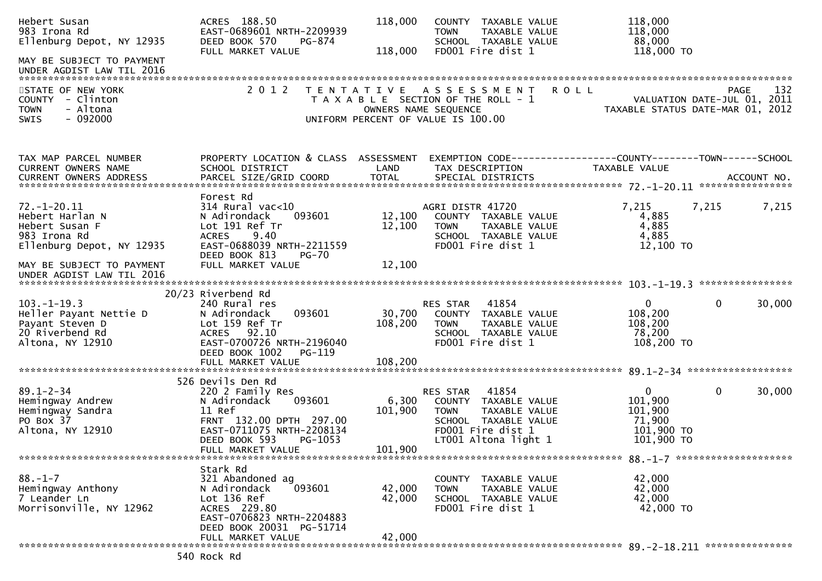| Hebert Susan<br>983 Irona Rd<br>Ellenburg Depot, NY 12935<br>MAY BE SUBJECT TO PAYMENT              | ACRES 188.50<br>EAST-0689601 NRTH-2209939<br>DEED BOOK 570<br>PG-874<br>FULL MARKET VALUE                                                                                          | 118,000<br>118,000          | COUNTY TAXABLE VALUE<br>TAXABLE VALUE<br><b>TOWN</b><br>SCHOOL TAXABLE VALUE<br>FD001 Fire dist 1                                              | 118,000<br>118,000<br>88,000<br>118,000 TO                                      |             |
|-----------------------------------------------------------------------------------------------------|------------------------------------------------------------------------------------------------------------------------------------------------------------------------------------|-----------------------------|------------------------------------------------------------------------------------------------------------------------------------------------|---------------------------------------------------------------------------------|-------------|
| UNDER AGDIST LAW TIL 2016                                                                           |                                                                                                                                                                                    |                             |                                                                                                                                                |                                                                                 |             |
| STATE OF NEW YORK<br>COUNTY - Clinton<br>- Altona<br><b>TOWN</b><br>$-092000$<br><b>SWIS</b>        | 2 0 1 2                                                                                                                                                                            | T E N T A T I V E           | A S S E S S M E N T<br><b>ROLL</b><br>T A X A B L E SECTION OF THE ROLL - 1<br>OWNERS NAME SEQUENCE<br>UNIFORM PERCENT OF VALUE IS 100.00      | VALUATION DATE-JUL 01, 2011<br>TAXABLE STATUS DATE-MAR 01, 2012                 | 132<br>PAGE |
| TAX MAP PARCEL NUMBER<br>CURRENT OWNERS NAME                                                        | PROPERTY LOCATION & CLASS ASSESSMENT<br>SCHOOL DISTRICT                                                                                                                            | LAND                        | TAX DESCRIPTION                                                                                                                                | EXEMPTION CODE------------------COUNTY--------TOWN------SCHOOL<br>TAXABLE VALUE |             |
| $72. - 1 - 20.11$<br>Hebert Harlan N<br>Hebert Susan F<br>983 Irona Rd<br>Ellenburg Depot, NY 12935 | Forest Rd<br>$314$ Rural vac<10<br>N Adirondack<br>093601<br>Lot 191 Ref Tr<br>9.40<br><b>ACRES</b><br>EAST-0688039 NRTH-2211559                                                   | 12,100<br>12,100            | AGRI DISTR 41720<br>COUNTY TAXABLE VALUE<br><b>TOWN</b><br>TAXABLE VALUE<br>SCHOOL TAXABLE VALUE<br>FD001 Fire dist 1                          | 7,215<br>7,215<br>4,885<br>4,885<br>4,885<br>12,100 TO                          | 7,215       |
| MAY BE SUBJECT TO PAYMENT<br>UNDER AGDIST LAW TIL 2016                                              | DEED BOOK 813<br><b>PG-70</b><br>FULL MARKET VALUE                                                                                                                                 | 12,100                      |                                                                                                                                                |                                                                                 |             |
| $103. - 1 - 19.3$                                                                                   | 20/23 Riverbend Rd<br>240 Rural res                                                                                                                                                |                             | 41854<br>RES STAR                                                                                                                              | $\mathbf{0}$<br>$\mathbf{0}$                                                    | 30,000      |
| Heller Payant Nettie D<br>Payant Steven D<br>20 Riverbend Rd<br>Altona, NY 12910                    | 093601<br>N Adirondack<br>Lot 159 Ref Tr<br>ACRES 92.10<br>EAST-0700726 NRTH-2196040<br>DEED BOOK 1002<br>PG-119                                                                   | 30,700<br>108,200           | COUNTY TAXABLE VALUE<br><b>TOWN</b><br>TAXABLE VALUE<br>SCHOOL TAXABLE VALUE<br>FD001 Fire dist 1                                              | 108,200<br>108,200<br>78,200<br>108,200 TO                                      |             |
|                                                                                                     |                                                                                                                                                                                    |                             |                                                                                                                                                |                                                                                 |             |
| $89.1 - 2 - 34$<br>Hemingway Andrew<br>Hemingway Sandra<br>PO Box 37<br>Altona, NY 12910            | 526 Devils Den Rd<br>220 2 Family Res<br>N Adirondack<br>093601<br>11 Ref<br>FRNT 132.00 DPTH 297.00<br>EAST-0711075 NRTH-2208134<br>DEED BOOK 593<br>PG-1053<br>FULL MARKET VALUE | 6,300<br>101,900<br>101,900 | 41854<br>RES STAR<br>COUNTY TAXABLE VALUE<br>TAXABLE VALUE<br><b>TOWN</b><br>SCHOOL TAXABLE VALUE<br>FD001 Fire dist 1<br>LT001 Altona light 1 | $\overline{0}$<br>0<br>101,900<br>101,900<br>71,900<br>101,900 TO<br>101,900 TO | 30,000      |
|                                                                                                     |                                                                                                                                                                                    |                             |                                                                                                                                                |                                                                                 |             |
| $88. - 1 - 7$<br>Hemingway Anthony<br>7 Leander Ln<br>Morrisonville, NY 12962                       | Stark Rd<br>321 Abandoned ag<br>N Adirondack<br>093601<br>Lot 136 Ref<br>ACRES 229.80<br>EAST-0706823 NRTH-2204883<br>DEED BOOK 20031 PG-51714                                     | 42,000<br>42,000            | COUNTY TAXABLE VALUE<br><b>TOWN</b><br>TAXABLE VALUE<br>SCHOOL TAXABLE VALUE<br>FD001 Fire dist 1                                              | 42,000<br>42,000<br>42,000<br>42,000 TO                                         |             |
|                                                                                                     | FULL MARKET VALUE                                                                                                                                                                  | 42,000                      |                                                                                                                                                |                                                                                 |             |
|                                                                                                     | 540 Rock Rd                                                                                                                                                                        |                             |                                                                                                                                                |                                                                                 |             |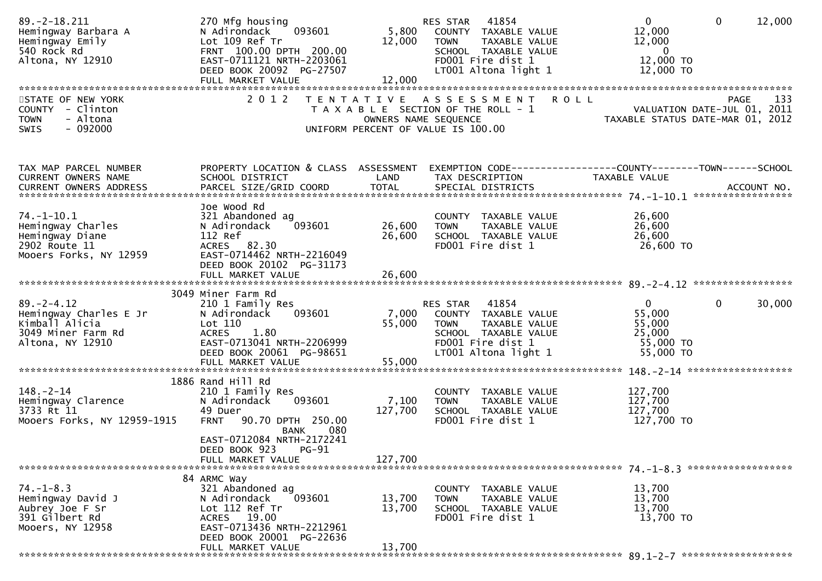| $89. -2 - 18.211$<br>Hemingway Barbara A<br>Hemingway Emily<br>540 Rock Rd<br>Altona, NY 12910 | 270 Mfg housing<br>093601<br>N Adirondack<br>Lot 109 Ref Tr<br>FRNT 100.00 DPTH 200.00<br>EAST-0711121 NRTH-2203061<br>DEED BOOK 20092 PG-27507 | 12,000           | RES STAR 41854<br>5,800 COUNTY TAXABLE VALUE<br>TAXABLE VALUE<br><b>TOWN</b><br>SCHOOL TAXABLE VALUE<br>FD001 Fire dist 1<br>LT001 Altona light 1 | $\overline{0}$<br>$\mathbf{0}$<br>12,000<br>12,000<br>12,000<br>$\overline{\mathbf{0}}$<br>12,000 TO<br>12,000 TO |
|------------------------------------------------------------------------------------------------|-------------------------------------------------------------------------------------------------------------------------------------------------|------------------|---------------------------------------------------------------------------------------------------------------------------------------------------|-------------------------------------------------------------------------------------------------------------------|
| STATE OF NEW YORK                                                                              | 2 0 1 2                                                                                                                                         |                  | TENTATIVE ASSESSMENT ROLL                                                                                                                         | 133<br>PAGE                                                                                                       |
| COUNTY - Clinton<br><b>TOWN</b><br>- Altona<br>$-092000$<br><b>SWIS</b>                        |                                                                                                                                                 |                  | T A X A B L E SECTION OF THE ROLL - 1<br>OWNERS NAME SEQUENCE<br>UNIFORM PERCENT OF VALUE IS 100.00                                               | 133<br>VALUATION DATE-JUL 01, 2011<br>TAXABLE STATIIS DATE-MAR 01 2013                                            |
| TAX MAP PARCEL NUMBER<br>CURRENT OWNERS NAME                                                   | SCHOOL DISTRICT                                                                                                                                 | LAND             | TAX DESCRIPTION                                                                                                                                   | PROPERTY LOCATION & CLASS ASSESSMENT EXEMPTION CODE----------------COUNTY-------TOWN------SCHOOL<br>TAXABLE VALUE |
|                                                                                                |                                                                                                                                                 |                  |                                                                                                                                                   |                                                                                                                   |
| $74. - 1 - 10.1$                                                                               | Joe Wood Rd<br>321 Abandoned ag                                                                                                                 |                  |                                                                                                                                                   | 26,600                                                                                                            |
| Hemingway Charles                                                                              | N Adirondack<br>093601                                                                                                                          | 26,600           | COUNTY TAXABLE VALUE<br><b>TOWN</b><br>TAXABLE VALUE                                                                                              | 26,600                                                                                                            |
| Hemingway Diane                                                                                | 112 Ref                                                                                                                                         | 26,600           | SCHOOL TAXABLE VALUE                                                                                                                              | 26,600                                                                                                            |
| 2902 Route 11<br>Mooers Forks, NY 12959                                                        | ACRES 82.30<br>EAST-0714462 NRTH-2216049<br>DEED BOOK 20102 PG-31173                                                                            |                  | FD001 Fire dist 1                                                                                                                                 | 26,600 TO                                                                                                         |
|                                                                                                |                                                                                                                                                 |                  |                                                                                                                                                   |                                                                                                                   |
|                                                                                                | 3049 Miner Farm Rd                                                                                                                              |                  |                                                                                                                                                   |                                                                                                                   |
| $89. - 2 - 4.12$                                                                               | 210 1 Family Res                                                                                                                                |                  | RES STAR 41854                                                                                                                                    | $\mathbf{0}$<br>$\overline{0}$<br>30,000                                                                          |
| Hemingway Charles E Jr<br>Kimball Alicia                                                       | 093601<br>N Adirondack<br>Lot 110                                                                                                               | 55,000           | 7,000 COUNTY TAXABLE VALUE<br><b>TOWN</b><br>TAXABLE VALUE                                                                                        | 55,000<br>55,000                                                                                                  |
| 3049 Miner Farm Rd                                                                             | ACRES 1.80                                                                                                                                      |                  | SCHOOL TAXABLE VALUE                                                                                                                              | 25,000                                                                                                            |
| Altona, NY 12910                                                                               | EAST-0713041 NRTH-2206999                                                                                                                       |                  | FD001 Fire dist 1                                                                                                                                 | 55,000 TO                                                                                                         |
|                                                                                                | DEED BOOK 20061 PG-98651                                                                                                                        |                  | LT001 Altona light 1                                                                                                                              | 55,000 TO                                                                                                         |
|                                                                                                |                                                                                                                                                 |                  |                                                                                                                                                   |                                                                                                                   |
| $148. - 2 - 14$                                                                                | 1886 Rand Hill Rd<br>210 1 Family Res                                                                                                           |                  | COUNTY TAXABLE VALUE                                                                                                                              | 127,700                                                                                                           |
| Hemingway Clarence                                                                             | N Adirondack<br>093601                                                                                                                          | 7,100            | TAXABLE VALUE<br><b>TOWN</b>                                                                                                                      | 127,700                                                                                                           |
| 3733 Rt 11                                                                                     | 49 Duer                                                                                                                                         | 127,700          | SCHOOL TAXABLE VALUE                                                                                                                              | 127,700                                                                                                           |
| Mooers Forks, NY 12959-1915                                                                    | FRNT 90.70 DPTH 250.00<br>080<br><b>BANK</b><br>EAST-0712084 NRTH-2172241                                                                       |                  | FD001 Fire dist 1                                                                                                                                 | 127,700 TO                                                                                                        |
|                                                                                                | DEED BOOK 923<br><b>PG-91</b>                                                                                                                   |                  |                                                                                                                                                   |                                                                                                                   |
|                                                                                                | FULL MARKET VALUE                                                                                                                               | 127,700          |                                                                                                                                                   |                                                                                                                   |
|                                                                                                | 84 ARMC Way                                                                                                                                     |                  |                                                                                                                                                   |                                                                                                                   |
| $74. - 1 - 8.3$                                                                                | 321 Abandoned ag<br>093601                                                                                                                      |                  | COUNTY TAXABLE VALUE                                                                                                                              | 13,700                                                                                                            |
| Hemingway David J<br>Aubrey Joe F Sr                                                           | N Adirondack<br>Lot 112 Ref Tr                                                                                                                  | 13,700<br>13,700 | <b>TOWN</b><br>TAXABLE VALUE<br>SCHOOL TAXABLE VALUE                                                                                              | 13,700<br>13,700                                                                                                  |
| 391 Gilbert Rd                                                                                 | ACRES 19.00                                                                                                                                     |                  | FD001 Fire dist 1                                                                                                                                 | 13,700 TO                                                                                                         |
| Mooers, NY 12958                                                                               | EAST-0713436 NRTH-2212961<br>DEED BOOK 20001 PG-22636                                                                                           |                  |                                                                                                                                                   |                                                                                                                   |
|                                                                                                | FULL MARKET VALUE                                                                                                                               | 13,700           |                                                                                                                                                   |                                                                                                                   |
|                                                                                                |                                                                                                                                                 |                  |                                                                                                                                                   |                                                                                                                   |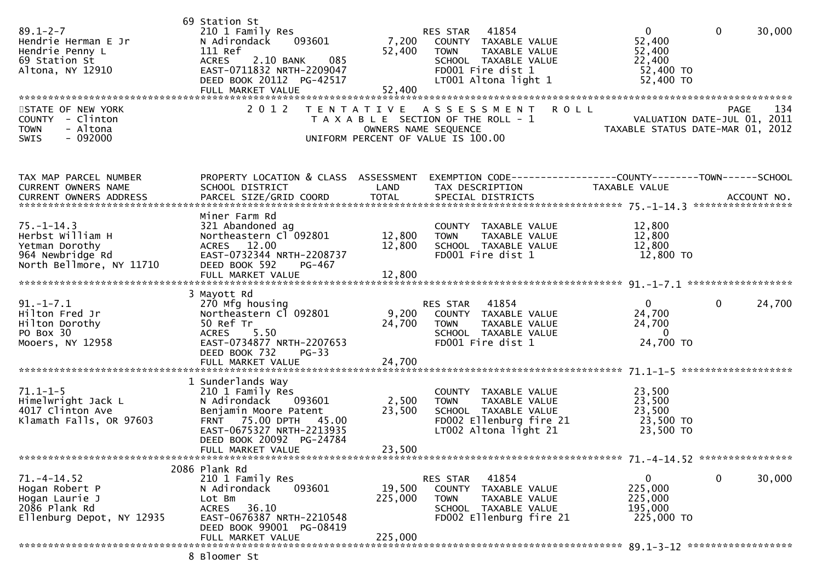| $89.1 - 2 - 7$<br>Hendrie Herman E Jr<br>Hendrie Penny L<br>69 Station St<br>Altona, NY 12910          | 69 Station St<br>210 1 Family Res<br>093601<br>N Adirondack<br>111 Ref<br>2.10 BANK<br>085<br><b>ACRES</b><br>EAST-0711832 NRTH-2209047<br>DEED BOOK 20112 PG-42517                             | 7,200<br>52,400<br>52,400    | RES STAR 41854<br>COUNTY TAXABLE VALUE<br>TAXABLE VALUE<br>TOWN<br>SCHOOL TAXABLE VALUE<br>FD001 Fire dist 1<br>LT001 Altona light 1       | $\overline{0}$<br>$\mathbf{0}$<br>52,400<br>52,400<br>22,400<br>52,400 TO<br>52,400 TO | 30,000 |
|--------------------------------------------------------------------------------------------------------|-------------------------------------------------------------------------------------------------------------------------------------------------------------------------------------------------|------------------------------|--------------------------------------------------------------------------------------------------------------------------------------------|----------------------------------------------------------------------------------------|--------|
| STATE OF NEW YORK<br>COUNTY - Clinton<br>- Altona<br><b>TOWN</b><br><b>SWIS</b><br>$-092000$           | 2 0 1 2                                                                                                                                                                                         |                              | TENTATIVE ASSESSMENT<br><b>ROLL</b><br>T A X A B L E SECTION OF THE ROLL - 1<br>OWNERS NAME SEQUENCE<br>UNIFORM PERCENT OF VALUE IS 100.00 | <b>PAGE</b><br>VALUATION DATE-JUL 01, 2011<br>TAXABLE STATUS DATE-MAR 01, 2012         | 134    |
| TAX MAP PARCEL NUMBER<br>CURRENT OWNERS NAME<br><b>CURRENT OWNERS ADDRESS</b>                          | SCHOOL DISTRICT                                                                                                                                                                                 | LAND                         | PROPERTY LOCATION & CLASS ASSESSMENT EXEMPTION CODE----------------COUNTY-------TOWN------SCHOOL<br>TAX DESCRIPTION                        | TAXABLE VALUE                                                                          |        |
| $75. - 1 - 14.3$<br>Herbst William H<br>Yetman Dorothy<br>964 Newbridge Rd<br>North Bellmore, NY 11710 | Miner Farm Rd<br>321 Abandoned ag<br>Northeastern Cl 092801<br>ACRES 12.00<br>EAST-0732344 NRTH-2208737<br>DEED BOOK 592<br>PG-467<br>FULL MARKET VALUE                                         | 12,800<br>12,800<br>12,800   | COUNTY TAXABLE VALUE<br><b>TOWN</b><br>TAXABLE VALUE<br>SCHOOL TAXABLE VALUE<br>FD001 Fire dist 1                                          | 12,800<br>12,800<br>12,800<br>12,800 TO                                                |        |
| $91. - 1 - 7.1$<br>Hilton Fred Jr<br>Hilton Dorothy<br>PO Box 30<br>Mooers, NY 12958                   | 3 Mayott Rd<br>270 Mfg housing<br>Northeastern Cl 092801<br>50 Ref Tr<br>5.50<br><b>ACRES</b><br>EAST-0734877 NRTH-2207653<br>DEED BOOK 732<br>$PG-33$                                          | 9,200<br>24,700              | 41854<br>RES STAR<br>COUNTY TAXABLE VALUE<br><b>TOWN</b><br>TAXABLE VALUE<br>SCHOOL TAXABLE VALUE<br>FD001 Fire dist 1                     | $\mathbf{0}$<br>$\mathbf{0}$<br>24,700<br>24,700<br>$\mathbf{0}$<br>24,700 TO          | 24,700 |
| $71.1 - 1 - 5$<br>Himelwright Jack L<br>4017 Clinton Ave<br>Klamath Falls, OR 97603                    | 1 Sunderlands Way<br>210 1 Family Res<br>093601<br>N Adirondack<br>Benjamin Moore Patent<br>FRNT 75.00 DPTH 45.00<br>EAST-0675327 NRTH-2213935<br>DEED BOOK 20092 PG-24784<br>FULL MARKET VALUE | 2,500<br>23,500<br>23,500    | COUNTY TAXABLE VALUE<br><b>TOWN</b><br>TAXABLE VALUE<br>SCHOOL TAXABLE VALUE<br>FD002 Ellenburg fire 21<br>$LT002$ Altona light 21         | 23,500<br>23,500<br>23,500<br>23,500 TO<br>23,500 TO                                   |        |
| $71. -4 - 14.52$<br>Hogan Robert P<br>Hogan Laurie J<br>2086 Plank Rd<br>Ellenburg Depot, NY 12935     | 2086 Plank Rd<br>210 1 Family Res<br>093601<br>N Adirondack<br>Lot Bm<br>36.10<br>ACRES<br>EAST-0676387 NRTH-2210548<br>DEED BOOK 99001 PG-08419<br>FULL MARKET VALUE                           | 19,500<br>225,000<br>225,000 | 41854<br>RES STAR<br>COUNTY TAXABLE VALUE<br>TAXABLE VALUE<br><b>TOWN</b><br>SCHOOL TAXABLE VALUE<br>FD002 Ellenburg fire 21               | 0<br>0<br>225,000<br>225,000<br>195,000<br>225,000 TO                                  | 30,000 |
|                                                                                                        | 8 Bloomer St                                                                                                                                                                                    |                              |                                                                                                                                            |                                                                                        |        |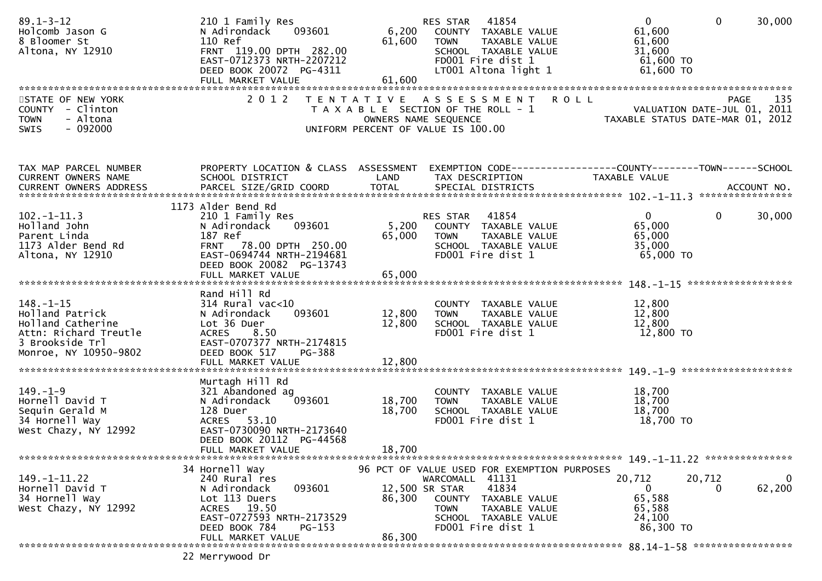| $89.1 - 3 - 12$<br>Holcomb Jason G<br>8 Bloomer St<br>Altona, NY 12910                                                       | 210 1 Family Res<br>093601<br>N Adirondack<br>110 Ref<br>FRNT 119.00 DPTH 282.00<br>EAST-0712373 NRTH-2207212<br>DEED BOOK 20072 PG-4311             | 61,600<br>61,600 | RES STAR 41854<br>6,200 COUNTY TAXABLE VALUE<br>TAXABLE VALUE<br>TOWN<br>SCHOOL TAXABLE VALUE<br>FD001 Fire dist 1<br>LT001 Altona light 1      | $\overline{0}$<br>61,600<br>61,600<br>31,600<br>61,600 TO<br>61,600 TO | $\mathbf 0$<br>30,000       |
|------------------------------------------------------------------------------------------------------------------------------|------------------------------------------------------------------------------------------------------------------------------------------------------|------------------|-------------------------------------------------------------------------------------------------------------------------------------------------|------------------------------------------------------------------------|-----------------------------|
| STATE OF NEW YORK                                                                                                            | 2 0 1 2                                                                                                                                              |                  | TENTATIVE ASSESSMENT ROLL                                                                                                                       |                                                                        | 135<br>PAGE                 |
| COUNTY - Clinton<br>- Altona<br><b>TOWN</b><br>$-092000$<br>SWIS                                                             |                                                                                                                                                      |                  | T A X A B L E SECTION OF THE ROLL - 1<br>OWNERS NAME SEQUENCE<br>UNIFORM PERCENT OF VALUE IS 100.00                                             | TAXABLE STATUS DATE-MAR 01, 2012                                       | VALUATION DATE-JUL 01, 2011 |
| TAX MAP PARCEL NUMBER                                                                                                        | PROPERTY LOCATION & CLASS ASSESSMENT EXEMPTION CODE----------------COUNTY-------TOWN------SCHOOL                                                     |                  |                                                                                                                                                 |                                                                        |                             |
| CURRENT OWNERS NAME                                                                                                          | SCHOOL DISTRICT                                                                                                                                      | <b>LAND</b>      | TAX DESCRIPTION                                                                                                                                 | TAXABLE VALUE                                                          |                             |
|                                                                                                                              | 1173 Alder Bend Rd                                                                                                                                   |                  |                                                                                                                                                 |                                                                        |                             |
| $102. - 1 - 11.3$<br>Holland John<br>Parent Linda<br>1173 Alder Bend Rd<br>Altona, NY 12910                                  | 210 1 Family Res<br>093601<br>N Adirondack<br>187 Ref<br>FRNT 78.00 DPTH 250.00<br>EAST-0694744 NRTH-2194681                                         | 65,000           | RES STAR 41854<br>5,200 COUNTY TAXABLE VALUE<br>TAXABLE VALUE<br>TOWN<br>SCHOOL TAXABLE VALUE<br>FD001 Fire dist 1                              | $\mathbf{0}$<br>65,000<br>65,000<br>35,000<br>65,000 TO                | $\mathbf 0$<br>30,000       |
|                                                                                                                              | DEED BOOK 20082 PG-13743                                                                                                                             |                  |                                                                                                                                                 |                                                                        |                             |
|                                                                                                                              |                                                                                                                                                      |                  |                                                                                                                                                 |                                                                        |                             |
| $148. - 1 - 15$<br>Holland Patrick<br>Holland Catherine<br>Attn: Richard Treutle<br>3 Brookside Trl<br>Monroe, NY 10950-9802 | Rand Hill Rd<br>$314$ Rural vac< $10$<br>093601<br>N Adirondack<br>Lot 36 Duer<br>ACRES 8.50<br>EAST-0707377 NRTH-2174815<br>DEED BOOK 517<br>PG-388 | 12,800<br>12,800 | COUNTY TAXABLE VALUE<br>TAXABLE VALUE<br><b>TOWN</b><br>SCHOOL TAXABLE VALUE<br>FD001 Fire dist 1                                               | 12,800<br>12,800<br>12,800<br>12,800 TO                                |                             |
|                                                                                                                              |                                                                                                                                                      |                  |                                                                                                                                                 |                                                                        |                             |
| $149. - 1 - 9$<br>Hornell David T<br>Sequin Gerald M<br>34 Hornell Way<br>West Chazy, NY 12992                               | Murtagh Hill Rd<br>321 Abandoned ag<br>093601<br>N Adirondack<br>128 Duer<br>ACRES 53.10<br>EAST-0730090 NRTH-2173640<br>DEED BOOK 20112 PG-44568    | 18,700<br>18,700 | COUNTY TAXABLE VALUE<br><b>TOWN</b><br>TAXABLE VALUE<br>SCHOOL TAXABLE VALUE<br>FD001 Fire dist 1                                               | 18,700<br>18,700<br>18,700<br>18,700 TO                                |                             |
|                                                                                                                              | FULL MARKET VALUE                                                                                                                                    | 18,700           |                                                                                                                                                 |                                                                        |                             |
|                                                                                                                              | 34 Hornell Way                                                                                                                                       |                  | 96 PCT OF VALUE USED FOR EXEMPTION PURPOSES                                                                                                     |                                                                        |                             |
| $149. - 1 - 11.22$<br>Hornell David T<br>34 Hornell Way<br>West Chazy, NY 12992                                              | 240 Rural res<br>093601<br>N Adirondack<br>Lot 113 Duers<br>ACRES 19.50<br>EAST-0727593 NRTH-2173529<br>DEED BOOK 784<br>$PG-153$                    | 86,300           | WARCOMALL 41131<br>41834<br>12,500 SR STAR<br>COUNTY TAXABLE VALUE<br><b>TOWN</b><br>TAXABLE VALUE<br>SCHOOL TAXABLE VALUE<br>FD001 Fire dist 1 | 20,712<br>20,712<br>0<br>65,588<br>65,588<br>24,100<br>86,300 TO       | 0<br>62,200<br>0            |
|                                                                                                                              | FULL MARKET VALUE                                                                                                                                    | 86.300           |                                                                                                                                                 |                                                                        |                             |
|                                                                                                                              | 22 Merrywood Dr                                                                                                                                      |                  |                                                                                                                                                 |                                                                        |                             |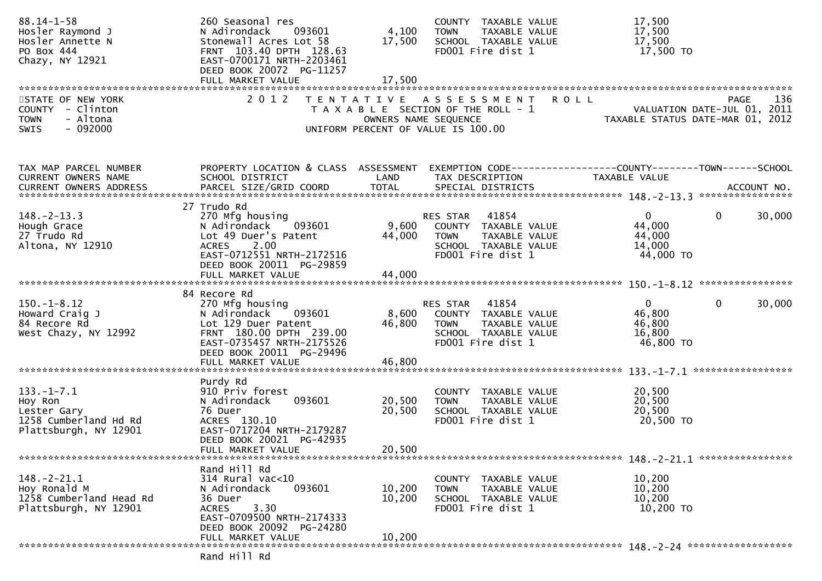| $88.14 - 1 - 58$<br>Hosler Raymond J<br>Hosler Annette N<br>PO Box 444<br>Chazy, NY 12921    | 260 Seasonal res<br>N Adirondack<br>093601<br>Stonewall Acres Lot 58<br>FRNT 103.40 DPTH 128.63<br>EAST-0700171 NRTH-2203461<br>DEED BOOK 20072 PG-11257                               | 4,100<br>17,500            | COUNTY TAXABLE VALUE<br>TAXABLE VALUE<br><b>TOWN</b><br>SCHOOL TAXABLE VALUE<br>FD001 Fire dist 1                      | 17,500<br>17,500<br>17,500<br>17,500 TO                 |                                                                                       |
|----------------------------------------------------------------------------------------------|----------------------------------------------------------------------------------------------------------------------------------------------------------------------------------------|----------------------------|------------------------------------------------------------------------------------------------------------------------|---------------------------------------------------------|---------------------------------------------------------------------------------------|
|                                                                                              |                                                                                                                                                                                        |                            |                                                                                                                        |                                                         |                                                                                       |
| STATE OF NEW YORK<br>COUNTY - Clinton<br><b>TOWN</b><br>- Altona<br>$-092000$<br><b>SWIS</b> | 2 0 1 2                                                                                                                                                                                | OWNERS NAME SEQUENCE       | TENTATIVE ASSESSMENT<br>T A X A B L E SECTION OF THE ROLL - 1<br>UNIFORM PERCENT OF VALUE IS 100.00                    | <b>ROLL</b>                                             | 136<br><b>PAGE</b><br>VALUATION DATE-JUL 01, 2011<br>TAXABLE STATUS DATE-MAR 01, 2012 |
| TAX MAP PARCEL NUMBER<br>CURRENT OWNERS NAME                                                 | PROPERTY LOCATION & CLASS ASSESSMENT<br>SCHOOL DISTRICT                                                                                                                                | LAND                       | TAX DESCRIPTION                                                                                                        | TAXABLE VALUE                                           |                                                                                       |
| $148. - 2 - 13.3$<br>Hough Grace<br>27 Trudo Rd<br>Altona, NY 12910                          | 27 Trudo Rd<br>270 Mfg housing<br>093601<br>N Adirondack<br>Lot 49 Duer's Patent<br>2.00<br><b>ACRES</b><br>EAST-0712551 NRTH-2172516<br>DEED BOOK 20011 PG-29859<br>FULL MARKET VALUE | 9,600<br>44,000<br>44,000  | RES STAR<br>41854<br>COUNTY TAXABLE VALUE<br>TAXABLE VALUE<br><b>TOWN</b><br>SCHOOL TAXABLE VALUE<br>FD001 Fire dist 1 | $\mathbf{0}$<br>44,000<br>44,000<br>14,000<br>44,000 TO | 0<br>30,000                                                                           |
|                                                                                              |                                                                                                                                                                                        |                            |                                                                                                                        |                                                         |                                                                                       |
| $150. - 1 - 8.12$<br>Howard Craig J<br>84 Recore Rd<br>West Chazy, NY 12992                  | 84 Recore Rd<br>270 Mfg housing<br>N Adirondack<br>093601<br>Lot 129 Duer Patent<br>FRNT 180.00 DPTH 239.00<br>EAST-0735457 NRTH-2175526<br>DEED BOOK 20011 PG-29496                   | 8,600<br>46,800            | 41854<br>RES STAR<br>COUNTY TAXABLE VALUE<br><b>TOWN</b><br>TAXABLE VALUE<br>SCHOOL TAXABLE VALUE<br>FD001 Fire dist 1 | $\mathbf{0}$<br>46,800<br>46,800<br>16,800<br>46,800 TO | $\mathbf{0}$<br>30,000                                                                |
|                                                                                              |                                                                                                                                                                                        |                            |                                                                                                                        |                                                         |                                                                                       |
| $133. - 1 - 7.1$<br>Hoy Ron<br>Lester Gary<br>1258 Cumberland Hd Rd<br>Plattsburgh, NY 12901 | Purdy Rd<br>910 Priv forest<br>093601<br>N Adirondack<br>76 Duer<br>ACRES 130.10<br>EAST-0717204 NRTH-2179287<br>DEED BOOK 20021 PG-42935<br>FULL MARKET VALUE                         | 20,500<br>20,500<br>20,500 | COUNTY TAXABLE VALUE<br>TAXABLE VALUE<br><b>TOWN</b><br>SCHOOL TAXABLE VALUE<br>FD001 Fire dist 1                      | 20,500<br>20,500<br>20,500<br>20,500 TO                 |                                                                                       |
|                                                                                              |                                                                                                                                                                                        |                            |                                                                                                                        |                                                         |                                                                                       |
| $148. - 2 - 21.1$<br>Hoy Ronald M<br>1258 Cumberland Head Rd<br>Plattsburgh, NY 12901        | Rand Hill Rd<br>314 Rural vac<10<br>093601<br>N Adirondack<br>36 Duer<br>3.30<br><b>ACRES</b><br>EAST-0709500 NRTH-2174333<br>DEED BOOK 20092 PG-24280<br>FULL MARKET VALUE            | 10,200<br>10,200<br>10,200 | COUNTY TAXABLE VALUE<br>TAXABLE VALUE<br><b>TOWN</b><br>SCHOOL TAXABLE VALUE<br>FD001 Fire dist 1                      | 10,200<br>10,200<br>10,200<br>10,200 TO                 |                                                                                       |
|                                                                                              | Rand Hill Rd                                                                                                                                                                           |                            |                                                                                                                        |                                                         |                                                                                       |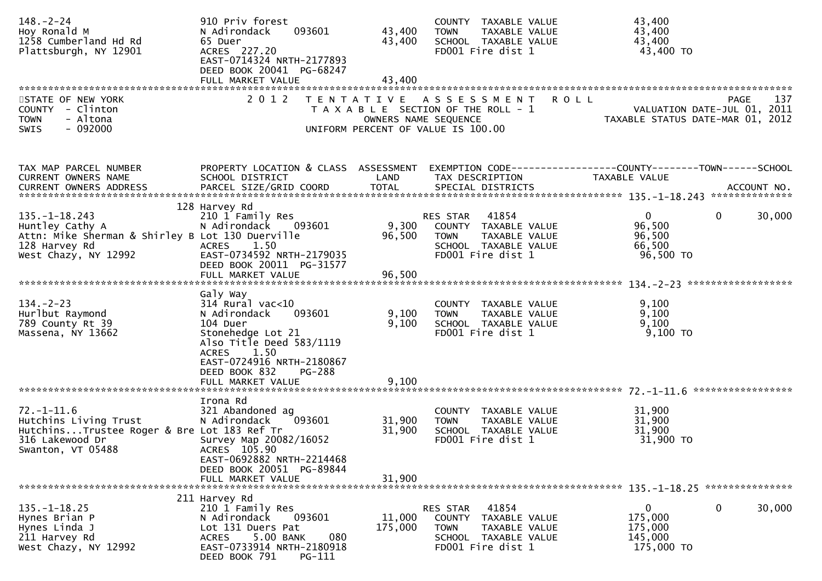| $148. - 2 - 24$<br>Hoy Ronald M<br>1258 Cumberland Hd Rd<br>Plattsburgh, NY 12901                                                   | 910 Priv forest<br>093601<br>N Adirondack<br>65 Duer<br>ACRES 227.20<br>EAST-0714324 NRTH-2177893<br>DEED BOOK 20041 PG-68247                                                                                       | 43,400<br>43,400           | COUNTY TAXABLE VALUE<br><b>TOWN</b><br>TAXABLE VALUE<br>SCHOOL TAXABLE VALUE<br>FD001 Fire dist 1                                |                                                                                | 43,400<br>43,400<br>43,400<br>43,400 TO                     |                    |
|-------------------------------------------------------------------------------------------------------------------------------------|---------------------------------------------------------------------------------------------------------------------------------------------------------------------------------------------------------------------|----------------------------|----------------------------------------------------------------------------------------------------------------------------------|--------------------------------------------------------------------------------|-------------------------------------------------------------|--------------------|
| STATE OF NEW YORK<br>COUNTY - Clinton<br>- Altona<br><b>TOWN</b><br>SWIS<br>- 092000                                                |                                                                                                                                                                                                                     |                            | 2012 TENTATIVE ASSESSMENT<br>T A X A B L E SECTION OF THE ROLL - 1<br>OWNERS NAME SEQUENCE<br>UNIFORM PERCENT OF VALUE IS 100.00 | <b>ROLL</b><br>VALUATION DATE-JUL 01, 2011<br>TAXABLE STATUS DATE-MAR 01, 2012 |                                                             | 137<br><b>PAGE</b> |
| TAX MAP PARCEL NUMBER<br>CURRENT OWNERS NAME                                                                                        | PROPERTY LOCATION & CLASS ASSESSMENT<br>SCHOOL DISTRICT                                                                                                                                                             | LAND                       | TAX DESCRIPTION                                                                                                                  |                                                                                | TAXABLE VALUE                                               |                    |
| $135. - 1 - 18.243$<br>Huntley Cathy A<br>Attn: Mike Sherman & Shirley B Lot 130 Duerville<br>128 Harvey Rd<br>West Chazy, NY 12992 | 128 Harvey Rd<br>210 1 Family Res<br>N Adirondack 093601<br>ACRES<br>1.50<br>EAST-0734592 NRTH-2179035<br>DEED BOOK 20011 PG-31577                                                                                  |                            | RES STAR 41854<br>9,300   COUNTY  TAXABLE VALUE<br>96,500   TOWN    TAXABLE VALUE<br>SCHOOL TAXABLE VALUE<br>FD001 Fire dist 1   |                                                                                | $\Omega$<br>96,500<br>96,500<br>66,500<br>96,500 TO         | 30,000<br>$\bf{0}$ |
| $134. - 2 - 23$<br>Hurlbut Raymond<br>789 County Rt 39<br>Massena, NY 13662                                                         | Galy Way<br>$314$ Rural vac< $10$<br>093601<br>N Adirondack<br>104 Duer<br>Stonehedge Lot 21<br>Also Title Deed 583/1119<br>ACRES 1.50<br>EAST-0724916 NRTH-2180867<br>DEED BOOK 832<br>PG-288<br>FULL MARKET VALUE | 9,100<br>9,100<br>9,100    | COUNTY TAXABLE VALUE<br><b>TOWN</b><br>TAXABLE VALUE<br>SCHOOL TAXABLE VALUE<br>FD001 Fire dist 1                                |                                                                                | 9,100<br>9,100<br>9,100<br>$9,100$ TO                       |                    |
| $72. - 1 - 11.6$<br>Hutchins Living Trust<br>HutchinsTrustee Roger & Bre Lot 183 Ref Tr<br>316 Lakewood Dr<br>Swanton, VT 05488     | Irona Rd<br>321 Abandoned ag<br>093601<br>N Adirondack<br>Survey Map 20082/16052<br>ACRES 105.90<br>EAST-0692882 NRTH-2214468<br>DEED BOOK 20051 PG-89844<br>FULL MARKET VALUE                                      | 31,900<br>31,900<br>31,900 | COUNTY TAXABLE VALUE<br>TAXABLE VALUE<br><b>TOWN</b><br>SCHOOL TAXABLE VALUE<br>FD001 Fire dist 1                                |                                                                                | 31,900<br>31,900<br>31,900<br>31,900 TO                     |                    |
| $135. - 1 - 18.25$<br>Hynes Brian P<br>Hynes Linda J<br>211 Harvey Rd<br>West Chazy, NY 12992                                       | 211 Harvey Rd<br>210 1 Family Res<br>093601<br>N Adirondack<br>Lot 131 Duers Pat<br>5.00 BANK<br>080<br><b>ACRES</b><br>EAST-0733914 NRTH-2180918<br>DEED BOOK 791<br>PG-111                                        | 11,000<br>175,000          | 41854<br>RES STAR<br>COUNTY TAXABLE VALUE<br>TAXABLE VALUE<br><b>TOWN</b><br>SCHOOL TAXABLE VALUE<br>FD001 Fire dist 1           |                                                                                | $\mathbf{0}$<br>175,000<br>175,000<br>145,000<br>175,000 TO | 0<br>30,000        |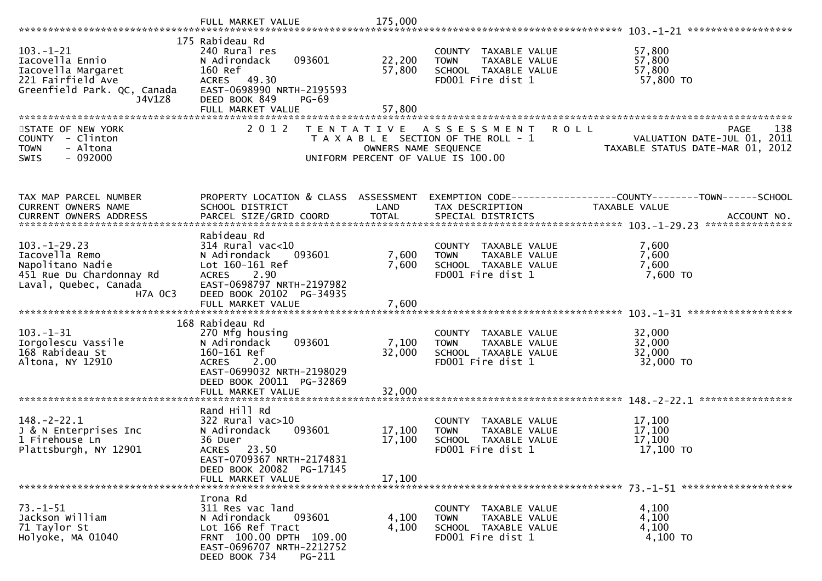| $103. - 1 - 21$<br>Iacovella Ennio<br>Iacovella Margaret<br>221 Fairfield Ave<br>Greenfield Park. QC, Canada<br>J4V1Z8 | 175 Rabideau Rd<br>240 Rural res<br>093601<br>N Adirondack<br>160 Ref<br>ACRES 49.30<br>EAST-0698990 NRTH-2195593<br>DEED BOOK 849<br><b>PG-69</b>                                | 22,200<br>57,800                          | COUNTY TAXABLE VALUE<br>TAXABLE VALUE<br><b>TOWN</b><br>SCHOOL TAXABLE VALUE<br>FD001 Fire dist 1             | 57,800<br>57,800<br>57,800<br>57,800 TO                                                  |
|------------------------------------------------------------------------------------------------------------------------|-----------------------------------------------------------------------------------------------------------------------------------------------------------------------------------|-------------------------------------------|---------------------------------------------------------------------------------------------------------------|------------------------------------------------------------------------------------------|
|                                                                                                                        | FULL MARKET VALUE                                                                                                                                                                 | 57,800                                    |                                                                                                               |                                                                                          |
|                                                                                                                        |                                                                                                                                                                                   |                                           |                                                                                                               |                                                                                          |
| STATE OF NEW YORK<br>COUNTY - Clinton<br><b>TOWN</b><br>- Altona<br>$-092000$<br><b>SWIS</b>                           | 2 0 1 2                                                                                                                                                                           | T E N T A T I V E<br>OWNERS NAME SEQUENCE | R O L L<br>A S S E S S M E N T<br>T A X A B L E SECTION OF THE ROLL - 1<br>UNIFORM PERCENT OF VALUE IS 100.00 | 138<br><b>PAGE</b><br>VALUATION DATE-JUL 01, 2011<br>TAXABLE STATUS DATE-MAR 01,<br>2012 |
| TAX MAP PARCEL NUMBER                                                                                                  | PROPERTY LOCATION & CLASS ASSESSMENT                                                                                                                                              |                                           |                                                                                                               | EXEMPTION CODE------------------COUNTY--------TOWN------SCHOOL                           |
| CURRENT OWNERS NAME                                                                                                    | SCHOOL DISTRICT                                                                                                                                                                   | LAND                                      | TAX DESCRIPTION                                                                                               | TAXABLE VALUE                                                                            |
|                                                                                                                        |                                                                                                                                                                                   |                                           |                                                                                                               |                                                                                          |
|                                                                                                                        |                                                                                                                                                                                   |                                           |                                                                                                               |                                                                                          |
| $103. - 1 - 29.23$<br>Iacovella Remo<br>Napolitano Nadie<br>451 Rue Du Chardonnay Rd<br>Laval, Quebec, Canada          | Rabideau Rd<br>$314$ Rural vac<10<br>N Adirondack<br>093601<br>Lot 160-161 Ref<br><b>ACRES</b><br>2.90<br>EAST-0698797 NRTH-2197982                                               | 7,600<br>7,600                            | COUNTY TAXABLE VALUE<br>TAXABLE VALUE<br><b>TOWN</b><br>SCHOOL TAXABLE VALUE<br>FD001 Fire dist 1             | 7,600<br>7,600<br>7,600<br>7,600 TO                                                      |
| <b>H7A OC3</b>                                                                                                         | DEED BOOK 20102 PG-34935<br>FULL MARKET VALUE                                                                                                                                     | 7,600                                     |                                                                                                               |                                                                                          |
|                                                                                                                        |                                                                                                                                                                                   |                                           |                                                                                                               |                                                                                          |
| $103. - 1 - 31$<br>Iorgolescu Vassile<br>168 Rabideau St<br>Altona, NY 12910                                           | 168 Rabideau Rd<br>270 Mfg housing<br>093601<br>N Adirondack<br>160-161 Ref<br><b>ACRES</b><br>2.00<br>EAST-0699032 NRTH-2198029<br>DEED BOOK 20011 PG-32869<br>FULL MARKET VALUE | 7,100<br>32,000<br>32,000                 | COUNTY TAXABLE VALUE<br>TAXABLE VALUE<br><b>TOWN</b><br>SCHOOL TAXABLE VALUE<br>FD001 Fire dist 1             | 32,000<br>32,000<br>32,000<br>32,000 TO                                                  |
|                                                                                                                        |                                                                                                                                                                                   |                                           |                                                                                                               |                                                                                          |
| $148. - 2 - 22.1$<br>J & N Enterprises Inc<br>1 Firehouse Ln<br>Plattsburgh, NY 12901                                  | Rand Hill Rd<br>322 Rural vac>10<br>N Adirondack<br>093601<br>36 Duer<br>ACRES 23.50<br>EAST-0709367 NRTH-2174831<br>DEED BOOK 20082 PG-17145<br>FULL MARKET VALUE                | 17,100<br>17,100<br>17,100                | COUNTY TAXABLE VALUE<br>TAXABLE VALUE<br><b>TOWN</b><br>SCHOOL TAXABLE VALUE<br>FD001 Fire dist 1             | 17,100<br>17,100<br>17,100<br>17,100 TO                                                  |
|                                                                                                                        |                                                                                                                                                                                   |                                           |                                                                                                               |                                                                                          |
| $73. - 1 - 51$<br>Jackson William<br>71 Taylor St<br>Holyoke, MA 01040                                                 | Irona Rd<br>311 Res vac land<br>N Adirondack<br>093601<br>Lot 166 Ref Tract<br>FRNT 100.00 DPTH 109.00<br>EAST-0696707 NRTH-2212752<br>DEED BOOK 734<br><b>PG-211</b>             | 4,100<br>4,100                            | COUNTY TAXABLE VALUE<br>TAXABLE VALUE<br><b>TOWN</b><br>SCHOOL TAXABLE VALUE<br>FD001 Fire dist 1             | 4,100<br>4,100<br>4,100<br>4,100 TO                                                      |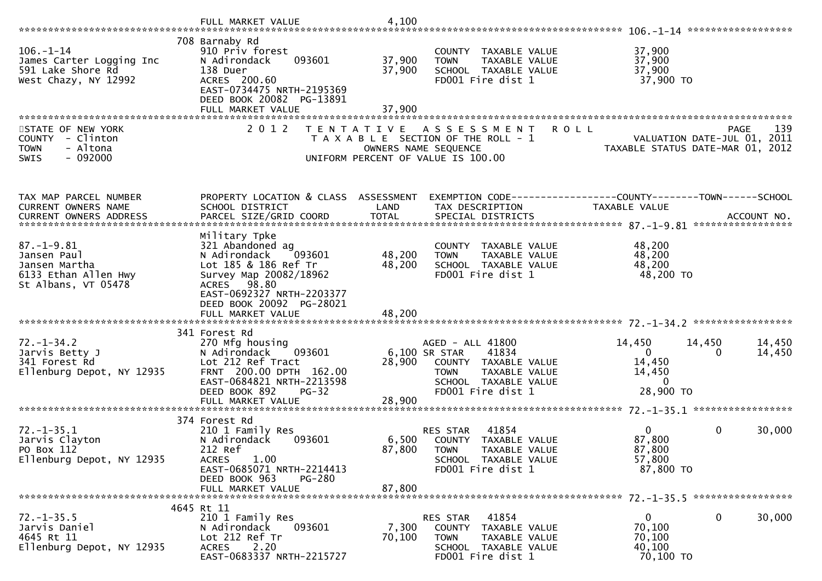|                                                                                                 | FULL MARKET VALUE                                                                                                                                                                        | 4,100                      |                                                                                                                                                 |                                                                                    |                            |
|-------------------------------------------------------------------------------------------------|------------------------------------------------------------------------------------------------------------------------------------------------------------------------------------------|----------------------------|-------------------------------------------------------------------------------------------------------------------------------------------------|------------------------------------------------------------------------------------|----------------------------|
| $106. - 1 - 14$<br>James Carter Logging Inc<br>591 Lake Shore Rd<br>West Chazy, NY 12992        | 708 Barnaby Rd<br>910 Priv forest<br>093601<br>N Adirondack<br>138 Duer<br>ACRES 200.60<br>EAST-0734475 NRTH-2195369<br>DEED BOOK 20082 PG-13891<br>FULL MARKET VALUE                    | 37,900<br>37,900<br>37,900 | COUNTY TAXABLE VALUE<br>TAXABLE VALUE<br><b>TOWN</b><br>SCHOOL TAXABLE VALUE<br>FD001 Fire dist 1                                               | 37,900<br>37,900<br>37,900<br>37,900 TO                                            |                            |
| STATE OF NEW YORK<br>COUNTY - Clinton<br><b>TOWN</b><br>- Altona<br>$-092000$<br><b>SWIS</b>    | 2 0 1 2<br>T E N T A T I V E                                                                                                                                                             |                            | <b>ROLL</b><br>A S S E S S M E N T<br>T A X A B L E SECTION OF THE ROLL - 1<br>OWNERS NAME SEQUENCE<br>UNIFORM PERCENT OF VALUE IS 100.00       | VALUATION DATE-JUL 01, 2011<br>TAXABLE STATUS DATE-MAR 01,                         | 139<br><b>PAGE</b><br>2012 |
| TAX MAP PARCEL NUMBER<br><b>CURRENT OWNERS NAME</b><br><b>CURRENT OWNERS ADDRESS</b>            | PROPERTY LOCATION & CLASS ASSESSMENT<br>SCHOOL DISTRICT<br>PARCEL SIZE/GRID COORD                                                                                                        | LAND<br><b>TOTAL</b>       | EXEMPTION CODE-----------------COUNTY-------TOWN------SCHOOL<br>TAX DESCRIPTION<br>SPECIAL DISTRICTS                                            | TAXABLE VALUE                                                                      | ACCOUNT NO.                |
| $87. - 1 - 9.81$<br>Jansen Paul<br>Jansen Martha<br>6133 Ethan Allen Hwy<br>St Albans, VT 05478 | Military Tpke<br>321 Abandoned ag<br>N Adirondack<br>093601<br>Lot 185 & 186 Ref Tr<br>Survey Map 20082/18962<br>ACRES 98.80<br>EAST-0692327 NRTH-2203377<br>DEED BOOK 20092 PG-28021    | 48,200<br>48,200           | COUNTY TAXABLE VALUE<br>TAXABLE VALUE<br><b>TOWN</b><br>SCHOOL TAXABLE VALUE<br>FD001 Fire dist 1                                               | 48,200<br>48,200<br>48,200<br>48,200 TO                                            |                            |
| $72. - 1 - 34.2$<br>Jarvis Betty J<br>341 Forest Rd<br>Ellenburg Depot, NY 12935                | 341 Forest Rd<br>270 Mfg housing<br>N Adirondack<br>093601<br>Lot 212 Ref Tract<br>FRNT 200.00 DPTH 162.00<br>EAST-0684821 NRTH-2213598<br>DEED BOOK 892<br>$PG-32$<br>FULL MARKET VALUE | 28,900<br>28,900           | AGED - ALL 41800<br>6,100 SR STAR<br>41834<br>COUNTY TAXABLE VALUE<br>TAXABLE VALUE<br><b>TOWN</b><br>SCHOOL TAXABLE VALUE<br>FD001 Fire dist 1 | 14,450<br>14,450<br>$\mathbf{0}$<br>0<br>14,450<br>14,450<br>$\Omega$<br>28,900 TO | 14,450<br>14,450           |
| $72. - 1 - 35.1$<br>Jarvis Clayton<br>PO Box 112<br>Ellenburg Depot, NY 12935                   | 374 Forest Rd<br>210 1 Family Res<br>N Adirondack<br>093601<br>212 Ref<br>1.00<br><b>ACRES</b><br>EAST-0685071 NRTH-2214413<br>DEED BOOK 963<br>PG-280<br>FULL MARKET VALUE              | 6,500<br>87,800<br>87,800  | 41854<br>RES STAR<br>COUNTY TAXABLE VALUE<br><b>TOWN</b><br>TAXABLE VALUE<br>SCHOOL TAXABLE VALUE<br>FD001 Fire dist 1                          | $\Omega$<br>0<br>87,800<br>87,800<br>57,800<br>87,800 TO                           | 30,000                     |
| $72. - 1 - 35.5$<br>Jarvis Daniel<br>4645 Rt 11<br>Ellenburg Depot, NY 12935                    | 4645 Rt 11<br>210 1 Family Res<br>093601<br>N Adirondack<br>Lot 212 Ref Tr<br>2.20<br><b>ACRES</b><br>EAST-0683337 NRTH-2215727                                                          | 7,300<br>70,100            | 41854<br>RES STAR<br>COUNTY TAXABLE VALUE<br><b>TOWN</b><br>TAXABLE VALUE<br>SCHOOL TAXABLE VALUE<br>FD001 Fire dist 1                          | 0<br>$\mathbf{0}$<br>70,100<br>70,100<br>40,100<br>70,100 TO                       | 30,000                     |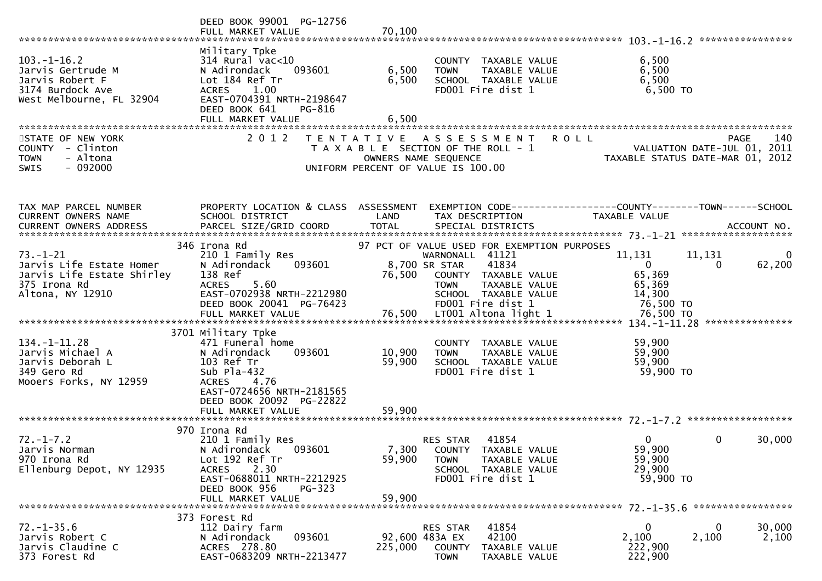|                                                                                                              | DEED BOOK 99001 PG-12756<br>FULL MARKET VALUE                                                                                                                                                         | 70,100                                                                                                                   |                                                            |                                                                                                                                            |                                                                                 |                                     |                    |
|--------------------------------------------------------------------------------------------------------------|-------------------------------------------------------------------------------------------------------------------------------------------------------------------------------------------------------|--------------------------------------------------------------------------------------------------------------------------|------------------------------------------------------------|--------------------------------------------------------------------------------------------------------------------------------------------|---------------------------------------------------------------------------------|-------------------------------------|--------------------|
| $103. - 1 - 16.2$<br>Jarvis Gertrude M<br>Jarvis Robert F<br>3174 Burdock Ave<br>West Melbourne, FL 32904    | Military Tpke<br>314 Rural vac<10<br>N Adirondack<br>093601<br>Lot 184 Ref Tr<br><b>ACRES</b><br>1.00<br>EAST-0704391 NRTH-2198647<br>DEED BOOK 641<br>PG-816<br>FULL MARKET VALUE                    | 6,500<br>6,500<br>6,500                                                                                                  | <b>TOWN</b>                                                | COUNTY TAXABLE VALUE<br>TAXABLE VALUE<br>SCHOOL TAXABLE VALUE<br>FD001 Fire dist 1                                                         | 6,500<br>6,500<br>6,500<br>6,500 TO                                             |                                     |                    |
| STATE OF NEW YORK<br>COUNTY - Clinton<br>- Altona<br><b>TOWN</b><br>$-092000$<br><b>SWIS</b>                 | 2 0 1 2                                                                                                                                                                                               | T E N T A T I V E<br>T A X A B L E SECTION OF THE ROLL - 1<br>OWNERS NAME SEQUENCE<br>UNIFORM PERCENT OF VALUE IS 100.00 |                                                            | A S S E S S M E N T                                                                                                                        | <b>ROLL</b><br>TAXABLE STATUS DATE-MAR 01, 2012                                 | PAGE<br>VALUATION DATE-JUL 01, 2011 | 140                |
| TAX MAP PARCEL NUMBER<br>CURRENT OWNERS NAME                                                                 | PROPERTY LOCATION & CLASS ASSESSMENT<br>SCHOOL DISTRICT                                                                                                                                               | LAND                                                                                                                     |                                                            | TAX DESCRIPTION                                                                                                                            | EXEMPTION CODE------------------COUNTY--------TOWN------SCHOOL<br>TAXABLE VALUE |                                     |                    |
| $73. - 1 - 21$<br>Jarvis Life Estate Homer<br>Jarvis Life Estate Shirley<br>375 Irona Rd<br>Altona, NY 12910 | 346 Irona Rd<br>210 1 Family Res<br>N Adirondack<br>093601<br>138 Ref<br><b>ACRES</b><br>5.60<br>EAST-0702938 NRTH-2212980<br>DEED BOOK 20041 PG-76423                                                | 76,500                                                                                                                   | WARNONALL 41121<br>8,700 SR STAR<br><b>TOWN</b>            | 97 PCT OF VALUE USED FOR EXEMPTION PURPOSES<br>41834<br>COUNTY TAXABLE VALUE<br>TAXABLE VALUE<br>SCHOOL TAXABLE VALUE<br>FD001 Fire dist 1 | 11,131<br>$\overline{0}$<br>65,369<br>65,369<br>14,300<br>76,500 TO             | 11,131<br>$\Omega$                  | $\Omega$<br>62,200 |
| $134. - 1 - 11.28$<br>Jarvis Michael A<br>Jarvis Deborah L<br>349 Gero Rd<br>Mooers Forks, NY 12959          | 3701 Military Tpke<br>471 Funeral home<br>093601<br>N Adirondack<br>103 Ref Tr<br>Sub $P1a-432$<br><b>ACRES</b><br>4.76<br>EAST-0724656 NRTH-2181565<br>DEED BOOK 20092 PG-22822<br>FULL MARKET VALUE | 10,900<br>59,900<br>59,900                                                                                               | <b>TOWN</b>                                                | COUNTY TAXABLE VALUE<br>TAXABLE VALUE<br>SCHOOL TAXABLE VALUE<br>FD001 Fire dist 1                                                         | 59,900<br>59,900<br>59,900<br>59,900 TO                                         |                                     |                    |
| $72. - 1 - 7.2$<br>Jarvis Norman<br>970 Irona Rd<br>Ellenburg Depot, NY 12935                                | 970 Irona Rd<br>210 1 Family Res<br>093601<br>N Adirondack<br>Lot 192 Ref Tr<br>2.30<br><b>ACRES</b><br>EAST-0688011 NRTH-2212925<br>DEED BOOK 956<br>$PG-323$<br>FULL MARKET VALUE                   | 59,900<br>59,900                                                                                                         | RES STAR<br><b>TOWN</b>                                    | 41854<br>7,300 COUNTY TAXABLE VALUE<br>TAXABLE VALUE<br>SCHOOL TAXABLE VALUE<br>FD001 Fire dist 1                                          | $\Omega$<br>59,900<br>59,900<br>29,900<br>59,900 TO                             | 0                                   | 30,000             |
| $72. - 1 - 35.6$<br>Jarvis Robert C<br>Jarvis Claudine C<br>373 Forest Rd                                    | 373 Forest Rd<br>112 Dairy farm<br>093601<br>N Adirondack<br>ACRES 278.80<br>EAST-0683209 NRTH-2213477                                                                                                | 225,000                                                                                                                  | RES STAR<br>92,600 483A EX<br><b>COUNTY</b><br><b>TOWN</b> | 41854<br>42100<br>TAXABLE VALUE<br>TAXABLE VALUE                                                                                           | 0<br>2,100<br>222,900<br>222,900                                                | 0<br>2,100                          | 30,000<br>2,100    |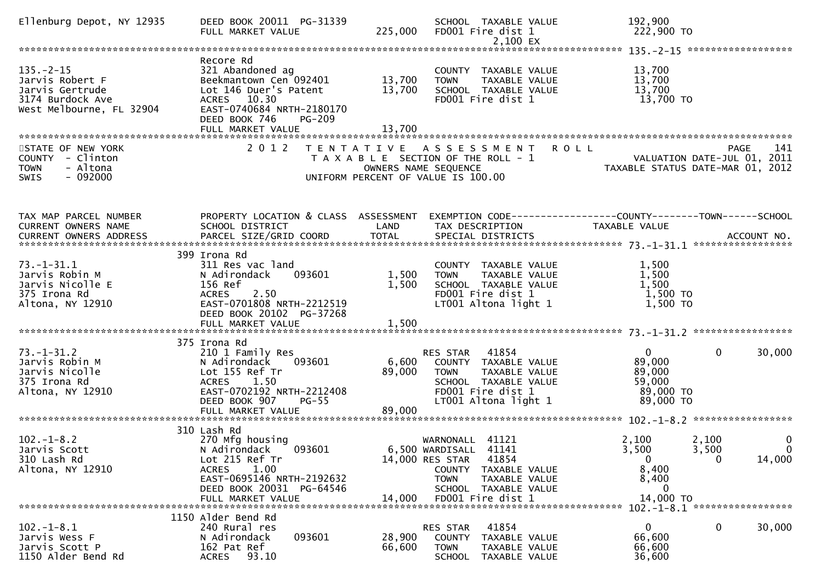| Ellenburg Depot, NY 12935                                                                             | DEED BOOK 20011 PG-31339<br>FULL MARKET VALUE                                                                                                                                    | 225,000                    | SCHOOL TAXABLE VALUE<br>FD001 Fire dist 1<br>2,100 EX                                                                                                                               | 192,900<br>222,900 TO                                                          |                                                           |
|-------------------------------------------------------------------------------------------------------|----------------------------------------------------------------------------------------------------------------------------------------------------------------------------------|----------------------------|-------------------------------------------------------------------------------------------------------------------------------------------------------------------------------------|--------------------------------------------------------------------------------|-----------------------------------------------------------|
|                                                                                                       |                                                                                                                                                                                  |                            |                                                                                                                                                                                     |                                                                                |                                                           |
| $135. - 2 - 15$<br>Jarvis Robert F<br>Jarvis Gertrude<br>3174 Burdock Ave<br>West Melbourne, FL 32904 | Recore Rd<br>321 Abandoned ag<br>Beekmantown Cen 092401<br>Lot 146 Duer's Patent<br>ACRES 10.30<br>EAST-0740684 NRTH-2180170<br>DEED BOOK 746<br>PG-209<br>FULL MARKET VALUE     | 13,700<br>13,700<br>13,700 | COUNTY TAXABLE VALUE<br><b>TOWN</b><br>TAXABLE VALUE<br>SCHOOL TAXABLE VALUE<br>FD001 Fire dist 1                                                                                   | 13,700<br>13,700<br>13,700<br>13,700 TO                                        |                                                           |
|                                                                                                       |                                                                                                                                                                                  |                            |                                                                                                                                                                                     |                                                                                |                                                           |
| STATE OF NEW YORK<br>COUNTY - Clinton<br><b>TOWN</b><br>- Altona<br>$-092000$<br><b>SWIS</b>          | 2 0 1 2                                                                                                                                                                          |                            | TENTATIVE ASSESSMENT<br>T A X A B L E SECTION OF THE ROLL - 1<br>OWNERS NAME SEQUENCE<br>UNIFORM PERCENT OF VALUE IS 100.00                                                         | <b>ROLL</b><br>VALUATION DATE-JUL 01, 2011<br>TAXABLE STATUS DATE-MAR 01, 2012 | 141<br>PAGE                                               |
| TAX MAP PARCEL NUMBER<br>CURRENT OWNERS NAME                                                          | PROPERTY LOCATION & CLASS ASSESSMENT<br>SCHOOL DISTRICT                                                                                                                          | LAND                       | EXEMPTION CODE------------------COUNTY--------TOWN------SCHOOL<br>TAX DESCRIPTION                                                                                                   | <b>TAXABLE VALUE</b>                                                           |                                                           |
| $73. - 1 - 31.1$<br>Jarvis Robin M<br>Jarvis Nicolle E<br>375 Irona Rd<br>Altona, NY 12910            | 399 Irona Rd<br>311 Res vac land<br>093601<br>N Adirondack<br>156 Ref<br>2.50<br><b>ACRES</b><br>EAST-0701808 NRTH-2212519<br>DEED BOOK 20102 PG-37268                           | 1,500<br>1,500             | COUNTY TAXABLE VALUE<br><b>TOWN</b><br>TAXABLE VALUE<br>SCHOOL TAXABLE VALUE<br>FD001 Fire dist 1<br>LT001 Altona light 1                                                           | 1,500<br>1,500<br>1,500<br>1,500 TO<br>$1,500$ TO                              |                                                           |
|                                                                                                       | 375 Irona Rd                                                                                                                                                                     |                            |                                                                                                                                                                                     |                                                                                |                                                           |
| $73. - 1 - 31.2$<br>Jarvis Robin M<br>Jarvis Nicolle<br>375 Irona Rd<br>Altona, NY 12910              | 210 1 Family Res<br>093601<br>N Adirondack<br>Lot 155 Ref Tr<br>ACRES 1.50<br>EAST-0702192 NRTH-2212408<br>DEED BOOK 907<br>$PG-55$<br>FULL MARKET VALUE                         | 6,600<br>89,000<br>89,000  | RES STAR 41854<br>COUNTY TAXABLE VALUE<br><b>TOWN</b><br>TAXABLE VALUE<br>SCHOOL TAXABLE VALUE<br>FD001 Fire dist 1<br>LT001 Altona light 1                                         | $\mathbf{0}$<br>89,000<br>89,000<br>59,000<br>89,000 TO<br>89,000 TO           | $\mathbf{0}$<br>30,000                                    |
|                                                                                                       |                                                                                                                                                                                  |                            |                                                                                                                                                                                     |                                                                                |                                                           |
| $102. - 1 - 8.2$<br>Jarvis Scott<br>310 Lash Rd<br>Altona, NY 12910                                   | 310 Lash Rd<br>270 Mfg housing<br>N Adirondack<br>093601<br>Lot 215 Ref Tr<br>1.00<br><b>ACRES</b><br>EAST-0695146 NRTH-2192632<br>DEED BOOK 20031 PG-64546<br>FULL MARKET VALUE | 14,000                     | WARNONALL 41121<br>6,500 WARDISALL<br>41141<br>14,000 RES STAR<br>41854<br>COUNTY TAXABLE VALUE<br><b>TOWN</b><br><b>TAXABLE VALUE</b><br>SCHOOL TAXABLE VALUE<br>FD001 Fire dist 1 | 2,100<br>3,500<br>$\overline{0}$<br>8,400<br>8,400<br>$\bf{0}$<br>14,000 TO    | 0<br>2,100<br>$\Omega$<br>3,500<br>14,000<br>$\mathbf{0}$ |
|                                                                                                       | 1150 Alder Bend Rd                                                                                                                                                               |                            |                                                                                                                                                                                     |                                                                                |                                                           |
| $102. -1 - 8.1$<br>Jarvis Wess F<br>Jarvis Scott P<br>1150 Alder Bend Rd                              | 240 Rural res<br>093601<br>N Adirondack<br>162 Pat Ref<br>93.10<br><b>ACRES</b>                                                                                                  | 28,900<br>66,600           | 41854<br>RES STAR<br>COUNTY<br>TAXABLE VALUE<br><b>TOWN</b><br>TAXABLE VALUE<br>SCHOOL<br>TAXABLE VALUE                                                                             | $\mathbf{0}$<br>66,600<br>66,600<br>36,600                                     | 0<br>30,000                                               |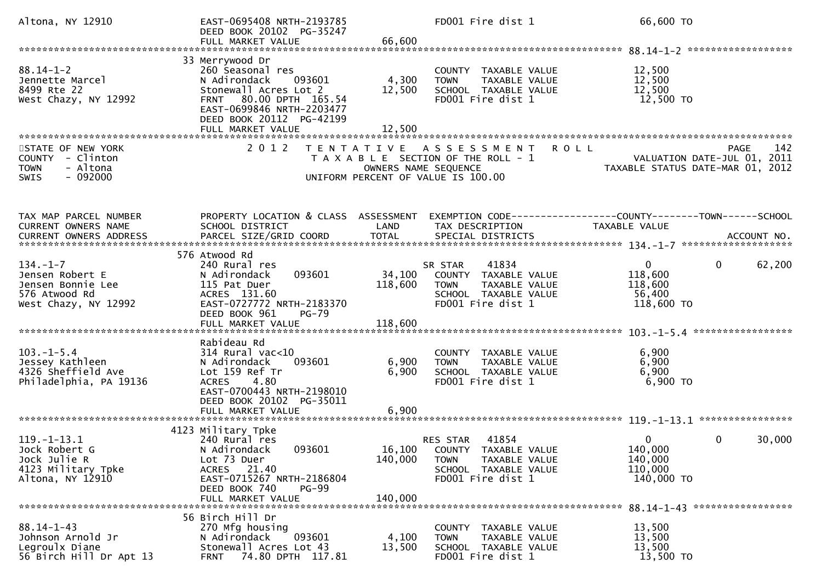| Altona, NY 12910                                                                                | EAST-0695408 NRTH-2193785<br>DEED BOOK 20102 PG-35247<br>FULL MARKET VALUE                                                                                                                     | 66,600                       | FD001 Fire dist 1                                                                                                       | 66,600 TO                                                   |                                                        |
|-------------------------------------------------------------------------------------------------|------------------------------------------------------------------------------------------------------------------------------------------------------------------------------------------------|------------------------------|-------------------------------------------------------------------------------------------------------------------------|-------------------------------------------------------------|--------------------------------------------------------|
|                                                                                                 |                                                                                                                                                                                                |                              |                                                                                                                         |                                                             |                                                        |
| $88.14 - 1 - 2$<br>Jennette Marcel<br>8499 Rte 22<br>West Chazy, NY 12992                       | 33 Merrywood Dr<br>260 Seasonal res<br>N Adirondack<br>093601<br>Stonewall Acres Lot 2<br>FRNT 80.00 DPTH 165.54<br>EAST-0699846 NRTH-2203477<br>DEED BOOK 20112 PG-42199<br>FULL MARKET VALUE | 4,300<br>12,500<br>12,500    | COUNTY TAXABLE VALUE<br><b>TOWN</b><br>TAXABLE VALUE<br>SCHOOL TAXABLE VALUE<br>FD001 Fire dist 1                       | 12,500<br>12,500<br>12,500<br>12,500 TO                     |                                                        |
| STATE OF NEW YORK<br>COUNTY - Clinton<br>- Altona<br><b>TOWN</b><br>$-092000$<br><b>SWIS</b>    |                                                                                                                                                                                                | OWNERS NAME SEQUENCE         | 2012 TENTATIVE ASSESSMENT<br><b>ROLL</b><br>T A X A B L E SECTION OF THE ROLL - 1<br>UNIFORM PERCENT OF VALUE IS 100.00 | لباط باسمان<br>2011 VALUATION DATE-JUL 01, 2011             | 142<br><b>PAGE</b><br>TAXABLE STATUS DATE-MAR 01, 2012 |
| TAX MAP PARCEL NUMBER<br>CURRENT OWNERS NAME                                                    | PROPERTY LOCATION & CLASS ASSESSMENT<br>SCHOOL DISTRICT                                                                                                                                        | LAND                         | EXEMPTION CODE------------------COUNTY--------TOWN------SCHOOL<br>TAX DESCRIPTION                                       | <b>TAXABLE VALUE</b>                                        |                                                        |
| $134. - 1 - 7$<br>Jensen Robert E<br>Jensen Bonnie Lee<br>576 Atwood Rd<br>West Chazy, NY 12992 | 576 Atwood Rd<br>240 Rural res<br>093601<br>N Adirondack<br>115 Pat Duer<br>ACRES 131.60<br>EAST-0727772 NRTH-2183370<br>DEED BOOK 961<br>$PG-79$<br>FULL MARKET VALUE                         | 34,100<br>118,600<br>118,600 | 41834<br>SR STAR<br>COUNTY TAXABLE VALUE<br>TAXABLE VALUE<br><b>TOWN</b><br>SCHOOL TAXABLE VALUE<br>FD001 Fire dist 1   | $\mathbf{0}$<br>118,600<br>118,600<br>56,400<br>118,600 TO  | 62,200<br>$\mathbf{0}$                                 |
| $103. -1 - 5.4$<br>Jessey Kathleen<br>4326 Sheffield Ave<br>Philadelphia, PA 19136              | Rabideau Rd<br>$314$ Rural vac<10<br>N Adirondack<br>093601<br>Lot 159 Ref Tr<br>4.80<br><b>ACRES</b><br>EAST-0700443 NRTH-2198010<br>DEED BOOK 20102 PG-35011<br>FULL MARKET VALUE            | 6,900<br>6,900<br>6,900      | COUNTY TAXABLE VALUE<br>TAXABLE VALUE<br><b>TOWN</b><br>SCHOOL TAXABLE VALUE<br>FD001 Fire dist 1                       | 6,900<br>6,900<br>6,900<br>6,900 ТО                         |                                                        |
| $119. - 1 - 13.1$<br>Jock Robert G<br>Jock Julie R<br>4123 Military Tpke<br>Altona, NY 12910    | 4123 Military Tpke<br>240 Rural res<br>N Adirondack<br>093601<br>Lot 73 Duer<br>ACRES 21.40<br>EAST-0715267 NRTH-2186804<br>DEED BOOK 740<br>$PG-99$<br>FULL MARKET VALUE                      | 16,100<br>140,000<br>140,000 | 41854<br>RES STAR<br>COUNTY TAXABLE VALUE<br>TAXABLE VALUE<br><b>TOWN</b><br>SCHOOL TAXABLE VALUE<br>FD001 Fire dist 1  | $\mathbf{0}$<br>140,000<br>140,000<br>110,000<br>140,000 TO | $\mathbf{0}$<br>30,000                                 |
| $88.14 - 1 - 43$<br>Johnson Arnold Jr<br>Legroulx Diane<br>56 Birch Hill Dr Apt 13              | 56 Birch Hill Dr<br>270 Mfg housing<br>093601<br>N Adirondack<br>Stonewall Acres Lot 43<br>74.80 DPTH 117.81<br><b>FRNT</b>                                                                    | 4,100<br>13,500              | COUNTY TAXABLE VALUE<br>TAXABLE VALUE<br>TOWN<br>SCHOOL TAXABLE VALUE<br>FD001 Fire dist 1                              | 13,500<br>13,500<br>13,500<br>13,500 TO                     |                                                        |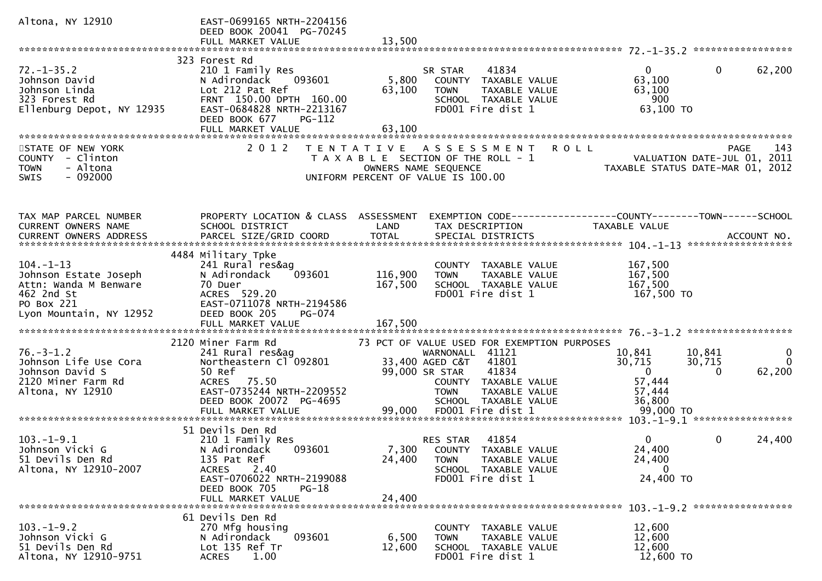| Altona, NY 12910                             | EAST-0699165 NRTH-2204156<br>DEED BOOK 20041 PG-70245<br>FULL MARKET VALUE | 13,500          |                                                            |                                                                |             |
|----------------------------------------------|----------------------------------------------------------------------------|-----------------|------------------------------------------------------------|----------------------------------------------------------------|-------------|
|                                              |                                                                            |                 |                                                            |                                                                |             |
|                                              | 323 Forest Rd                                                              |                 |                                                            |                                                                |             |
| $72. - 1 - 35.2$                             | 210 1 Family Res                                                           |                 | 41834<br>SR STAR                                           | $\mathbf{0}$<br>$\overline{0}$                                 | 62,200      |
| Johnson David                                | 093601<br>N Adirondack                                                     | 5,800           | COUNTY TAXABLE VALUE                                       | 63,100                                                         |             |
| Johnson Linda<br>323 Forest Rd               | Lot 212 Pat Ref<br>FRNT 150.00 DPTH 160.00                                 | 63,100          | TAXABLE VALUE<br><b>TOWN</b>                               | 63,100<br>900                                                  |             |
| Ellenburg Depot, NY 12935                    | EAST-0684828 NRTH-2213167                                                  |                 | SCHOOL TAXABLE VALUE<br>FD001 Fire dist 1                  | 63,100 TO                                                      |             |
|                                              | PG-112<br>DEED BOOK 677                                                    |                 |                                                            |                                                                |             |
|                                              | FULL MARKET VALUE                                                          | 63,100          |                                                            |                                                                |             |
|                                              |                                                                            |                 |                                                            |                                                                |             |
| STATE OF NEW YORK                            | 2 0 1 2                                                                    |                 | TENTATIVE ASSESSMENT ROLL                                  |                                                                | 143<br>PAGE |
| COUNTY - Clinton                             |                                                                            |                 | T A X A B L E SECTION OF THE ROLL - 1                      | VALUATION DATE-JUL 01, 2011                                    |             |
| - Altona<br><b>TOWN</b><br>$-092000$<br>SWIS |                                                                            |                 | OWNERS NAME SEQUENCE<br>UNIFORM PERCENT OF VALUE IS 100.00 | TAXABLE STATUS DATE-MAR 01, 2012                               |             |
|                                              |                                                                            |                 |                                                            |                                                                |             |
|                                              |                                                                            |                 |                                                            |                                                                |             |
|                                              |                                                                            |                 |                                                            |                                                                |             |
| TAX MAP PARCEL NUMBER                        | PROPERTY LOCATION & CLASS ASSESSMENT                                       |                 |                                                            | EXEMPTION CODE------------------COUNTY--------TOWN------SCHOOL |             |
| CURRENT OWNERS NAME                          | SCHOOL DISTRICT                                                            | LAND            | TAX DESCRIPTION                                            | TAXABLE VALUE                                                  |             |
|                                              |                                                                            |                 |                                                            |                                                                |             |
|                                              | 4484 Military Tpke                                                         |                 |                                                            |                                                                |             |
| $104. -1 - 13$                               | 241 Rural res&ag                                                           |                 | COUNTY TAXABLE VALUE                                       | 167,500                                                        |             |
| Johnson Estate Joseph                        | 093601<br>N Adirondack                                                     | 116,900         | TAXABLE VALUE<br><b>TOWN</b>                               | 167,500                                                        |             |
| Attn: Wanda M Benware                        | 70 Duer                                                                    | 167,500         | SCHOOL TAXABLE VALUE                                       | 167,500                                                        |             |
| 462 2nd St                                   | ACRES 529.20                                                               |                 | FD001 Fire dist 1                                          | 167,500 TO                                                     |             |
| PO Box 221<br>Lyon Mountain, NY 12952        | EAST-0711078 NRTH-2194586<br>DEED BOOK 205<br>PG-074                       |                 |                                                            |                                                                |             |
|                                              | FULL MARKET VALUE                                                          | 167,500         |                                                            |                                                                |             |
|                                              |                                                                            |                 |                                                            |                                                                |             |
|                                              | 2120 Miner Farm Rd                                                         |                 | 73 PCT OF VALUE USED FOR EXEMPTION PURPOSES                |                                                                |             |
| $76. - 3 - 1.2$                              | 241 Rural res&ag                                                           |                 | WARNONALL 41121                                            | 10,841<br>10,841                                               | $\bf{0}$    |
| Johnson Life Use Cora                        | Northeastern Cl 092801                                                     |                 | 33,400 AGED C&T<br>41801                                   | 30,715<br>30,715                                               | $\Omega$    |
| Johnson David S<br>2120 Miner Farm Rd        | 50 Ref<br>75.50                                                            |                 | 41834<br>99,000 SR STAR                                    | $\overline{0}$<br>$\Omega$<br>57,444                           | 62,200      |
| Altona, NY 12910                             | <b>ACRES</b><br>EAST-0735244 NRTH-2209552                                  |                 | COUNTY TAXABLE VALUE<br><b>TOWN</b><br>TAXABLE VALUE       | 57,444                                                         |             |
|                                              | DEED BOOK 20072 PG-4695                                                    |                 | SCHOOL TAXABLE VALUE                                       | 36,800                                                         |             |
|                                              | FULL MARKET VALUE                                                          | 99,000          | FD001 Fire dist 1                                          | 99,000 TO                                                      |             |
|                                              |                                                                            |                 |                                                            |                                                                |             |
|                                              | 51 Devils Den Rd                                                           |                 |                                                            |                                                                |             |
| $103.-1-9.1$                                 | 210 1 Family Res                                                           |                 | 41854<br>RES STAR                                          | $\mathbf{0}$<br>0                                              | 24,400      |
| Johnson Vicki G<br>51 Devils Den Rd          | N Adirondack<br>093601<br>135 Pat Ref                                      | 7,300<br>24,400 | COUNTY TAXABLE VALUE<br>TAXABLE VALUE<br><b>TOWN</b>       | 24,400<br>24,400                                               |             |
| Altona, NY 12910-2007                        | 2.40<br><b>ACRES</b>                                                       |                 | SCHOOL TAXABLE VALUE                                       | 0                                                              |             |
|                                              | EAST-0706022 NRTH-2199088                                                  |                 | FD001 Fire dist 1                                          | 24,400 TO                                                      |             |
|                                              | DEED BOOK 705<br>$PG-18$                                                   |                 |                                                            |                                                                |             |
|                                              | FULL MARKET VALUE                                                          | 24,400          |                                                            |                                                                |             |
|                                              |                                                                            |                 |                                                            |                                                                |             |
| $103. - 1 - 9.2$                             | 61 Devils Den Rd<br>270 Mfg housing                                        |                 | COUNTY<br>TAXABLE VALUE                                    | 12,600                                                         |             |
| Johnson Vicki G                              | N Adirondack<br>093601                                                     | 6,500           | <b>TOWN</b><br>TAXABLE VALUE                               | 12,600                                                         |             |
| 51 Devils Den Rd                             | Lot 135 Ref Tr                                                             | 12,600          | SCHOOL TAXABLE VALUE                                       | 12,600                                                         |             |
| Altona, NY 12910-9751                        | 1.00<br><b>ACRES</b>                                                       |                 | FD001 Fire dist 1                                          | 12,600 TO                                                      |             |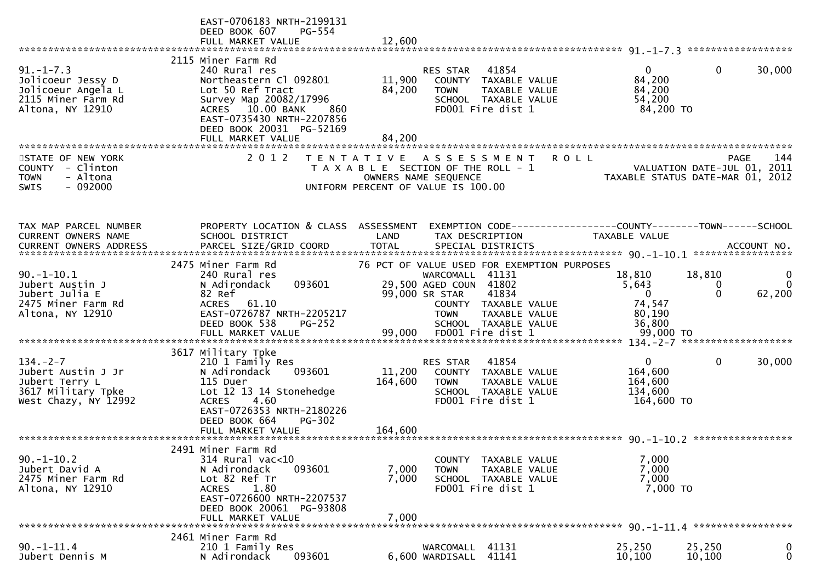|                                                                                                      | EAST-0706183 NRTH-2199131<br>DEED BOOK 607<br>PG-554<br>FULL MARKET VALUE                                                                                                                                            | 12,600                     |                                                                                                                             |             |                                                                                       |                         |                                       |  |
|------------------------------------------------------------------------------------------------------|----------------------------------------------------------------------------------------------------------------------------------------------------------------------------------------------------------------------|----------------------------|-----------------------------------------------------------------------------------------------------------------------------|-------------|---------------------------------------------------------------------------------------|-------------------------|---------------------------------------|--|
|                                                                                                      |                                                                                                                                                                                                                      |                            |                                                                                                                             |             |                                                                                       |                         |                                       |  |
| $91. - 1 - 7.3$<br>Jolicoeur Jessy D<br>Jolicoeur Angela L<br>2115 Miner Farm Rd<br>Altona, NY 12910 | 2115 Miner Farm Rd<br>240 Rural res<br>Northeastern Cl 092801<br>Lot 50 Ref Tract<br>Survey Map 20082/17996<br>ACRES 10.00 BANK<br>860<br>EAST-0735430 NRTH-2207856<br>DEED BOOK 20031 PG-52169<br>FULL MARKET VALUE | 11,900<br>84,200<br>84,200 | 41854<br>RES STAR<br>COUNTY TAXABLE VALUE<br><b>TOWN</b><br>TAXABLE VALUE<br>SCHOOL TAXABLE VALUE<br>FD001 Fire dist 1      |             | $\Omega$<br>84,200<br>84,200<br>54,200<br>84,200 TO                                   | $\mathbf{0}$            | 30,000                                |  |
|                                                                                                      |                                                                                                                                                                                                                      |                            |                                                                                                                             |             |                                                                                       |                         |                                       |  |
| STATE OF NEW YORK<br>COUNTY - Clinton<br>- Altona<br><b>TOWN</b><br>$-092000$<br><b>SWIS</b>         | 2 0 1 2                                                                                                                                                                                                              |                            | TENTATIVE ASSESSMENT<br>T A X A B L E SECTION OF THE ROLL - 1<br>OWNERS NAME SEQUENCE<br>UNIFORM PERCENT OF VALUE IS 100.00 | <b>ROLL</b> | VALUATION DATE-JUL 01, 2011<br>TAXABLE STATUS DATE-MAR 01, 2012                       | <b>PAGE</b>             | 144                                   |  |
| TAX MAP PARCEL NUMBER<br><b>CURRENT OWNERS NAME</b>                                                  | PROPERTY LOCATION & CLASS ASSESSMENT<br>SCHOOL DISTRICT                                                                                                                                                              | LAND                       | TAX DESCRIPTION                                                                                                             |             | EXEMPTION CODE-----------------COUNTY--------TOWN------SCHOOL<br><b>TAXABLE VALUE</b> |                         |                                       |  |
|                                                                                                      |                                                                                                                                                                                                                      |                            |                                                                                                                             |             |                                                                                       |                         |                                       |  |
|                                                                                                      | 2475 Miner Farm Rd                                                                                                                                                                                                   |                            | 76 PCT OF VALUE USED FOR EXEMPTION PURPOSES                                                                                 |             |                                                                                       |                         |                                       |  |
| $90. - 1 - 10.1$<br>Jubert Austin J<br>Jubert Julia E<br>2475 Miner Farm Rd                          | 240 Rural res<br>093601<br>N Adirondack<br>82 Ref<br><b>ACRES</b><br>61.10                                                                                                                                           |                            | WARCOMALL 41131<br>29,500 AGED COUN 41802<br>41834<br>99,000 SR STAR<br>COUNTY TAXABLE VALUE                                |             | 18,810<br>5,643<br>$\overline{0}$<br>74,547                                           | 18,810<br>0<br>$\Omega$ | $\mathbf 0$<br>$\mathbf{0}$<br>62,200 |  |
| Altona, NY 12910                                                                                     | EAST-0726787 NRTH-2205217<br>DEED BOOK 538<br>$PG-252$                                                                                                                                                               |                            | <b>TOWN</b><br>TAXABLE VALUE<br>SCHOOL TAXABLE VALUE                                                                        |             | 80,190<br>36,800                                                                      |                         |                                       |  |
|                                                                                                      | 3617 Military Tpke                                                                                                                                                                                                   |                            |                                                                                                                             |             |                                                                                       |                         |                                       |  |
| $134. - 2 - 7$<br>Jubert Austin J Jr<br>Jubert Terry L<br>3617 Military Tpke<br>West Chazy, NY 12992 | 210 1 Family Res<br>N Adirondack<br>093601<br>115 Duer<br>Lot 12 13 14 Stonehedge<br><b>ACRES</b><br>4.60<br>EAST-0726353 NRTH-2180226<br>DEED BOOK 664<br>$PG-302$                                                  | 11,200<br>164,600          | 41854<br>RES STAR<br>COUNTY TAXABLE VALUE<br>TAXABLE VALUE<br><b>TOWN</b><br>SCHOOL TAXABLE VALUE<br>FD001 Fire dist 1      |             | $\overline{0}$<br>164,600<br>164,600<br>134,600<br>164,600 TO                         | $\mathbf 0$             | 30,000                                |  |
|                                                                                                      |                                                                                                                                                                                                                      |                            |                                                                                                                             |             |                                                                                       |                         |                                       |  |
| $90. -1 - 10.2$<br>Jubert David A                                                                    | 2491 Miner Farm Rd<br>314 Rural vac<10<br>N Adirondack<br>093601                                                                                                                                                     | 7,000                      | COUNTY TAXABLE VALUE<br><b>TOWN</b><br>TAXABLE VALUE                                                                        |             | 7,000<br>7,000                                                                        |                         |                                       |  |
| 2475 Miner Farm Rd<br>Altona, NY 12910                                                               | Lot 82 Ref Tr<br>1.80<br><b>ACRES</b><br>EAST-0726600 NRTH-2207537<br>DEED BOOK 20061 PG-93808                                                                                                                       | 7,000                      | SCHOOL TAXABLE VALUE<br>FD001 Fire dist 1                                                                                   |             | 7,000<br>7,000 TO                                                                     |                         |                                       |  |
|                                                                                                      | FULL MARKET VALUE                                                                                                                                                                                                    | 7,000                      |                                                                                                                             |             |                                                                                       |                         |                                       |  |
| $90. - 1 - 11.4$<br>Jubert Dennis M                                                                  | 2461 Miner Farm Rd<br>210 1 Family Res<br>N Adirondack<br>093601                                                                                                                                                     |                            | WARCOMALL 41131<br>6,600 WARDISALL 41141                                                                                    |             | 25,250<br>10,100                                                                      | 25,250<br>10,100        | $\boldsymbol{0}$<br>$\mathbf 0$       |  |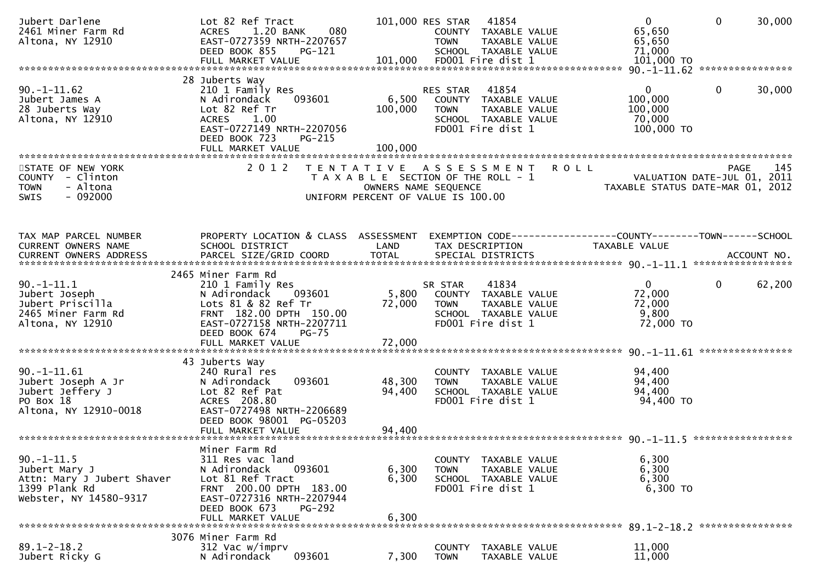| Jubert Darlene<br>2461 Miner Farm Rd<br>Altona, NY 12910                                                  | Lot 82 Ref Tract<br>1.20 BANK<br>080<br><b>ACRES</b><br>EAST-0727359 NRTH-2207657<br>DEED BOOK 855<br>PG-121<br>FULL MARKET VALUE                                                                |                                                                             | 101,000 RES STAR 41854<br><b>TOWN</b><br>101,000 FD001 Fire dist 1 | COUNTY TAXABLE VALUE<br>TAXABLE VALUE<br>SCHOOL TAXABLE VALUE                               |                           | $\overline{0}$<br>65,650<br>65,650<br>71,000<br>$101,000$ TO                    | $\mathbf 0$  | 30,000 |
|-----------------------------------------------------------------------------------------------------------|--------------------------------------------------------------------------------------------------------------------------------------------------------------------------------------------------|-----------------------------------------------------------------------------|--------------------------------------------------------------------|---------------------------------------------------------------------------------------------|---------------------------|---------------------------------------------------------------------------------|--------------|--------|
| $90. - 1 - 11.62$<br>Jubert James A<br>28 Juberts Way<br>Altona, NY 12910                                 | 28 Juberts Way<br>210 1 Family Res<br>093601<br>N Adirondack<br>Lot 82 Ref Tr<br><b>ACRES</b><br>1.00<br>EAST-0727149 NRTH-2207056<br>DEED BOOK 723<br>PG-215<br>FULL MARKET VALUE               | 6,500<br>100,000<br>100,000                                                 | RES STAR<br>COUNTY TAXABLE VALUE<br><b>TOWN</b>                    | 41854<br>TAXABLE VALUE<br>SCHOOL TAXABLE VALUE<br>FD001 Fire dist 1                         |                           | 0<br>100,000<br>100,000<br>70,000<br>100,000 TO                                 | $\mathbf{0}$ | 30,000 |
| STATE OF NEW YORK<br>COUNTY - Clinton<br>- Altona<br><b>TOWN</b><br>$-092000$<br><b>SWIS</b>              | 2 0 1 2                                                                                                                                                                                          | T A X A B L E SECTION OF THE ROLL - 1<br>UNIFORM PERCENT OF VALUE IS 100.00 | OWNERS NAME SEQUENCE                                               |                                                                                             | TENTATIVE ASSESSMENT ROLL | VALUATION DATE-JUL 01, 2011<br>TAXABLE STATUS DATE-MAR 01, 2012                 | PAGE         | 145    |
| TAX MAP PARCEL NUMBER<br>CURRENT OWNERS NAME                                                              | PROPERTY LOCATION & CLASS ASSESSMENT<br>SCHOOL DISTRICT                                                                                                                                          | LAND                                                                        | TAX DESCRIPTION                                                    |                                                                                             |                           | EXEMPTION CODE------------------COUNTY--------TOWN------SCHOOL<br>TAXABLE VALUE |              |        |
| $90.-1-11.1$<br>Jubert Joseph<br>Jubert Priscilla<br>2465 Miner Farm Rd<br>Altona, NY 12910               | 2465 Miner Farm Rd<br>210 1 Family Res<br>093601<br>N Adirondack<br>Lots 81 & 82 Ref Tr<br>FRNT 182.00 DPTH 150.00<br>EAST-0727158 NRTH-2207711<br>DEED BOOK 674<br>$PG-75$<br>FULL MARKET VALUE | 5,800<br>72,000<br>72,000                                                   | SR STAR<br><b>TOWN</b>                                             | 41834<br>COUNTY TAXABLE VALUE<br>TAXABLE VALUE<br>SCHOOL TAXABLE VALUE<br>FD001 Fire dist 1 |                           | $\overline{0}$<br>72,000<br>72,000<br>9,800<br>72,000 TO                        | $\mathbf{0}$ | 62,200 |
| $90. -1 - 11.61$<br>Jubert Joseph A Jr<br>Jubert Jeffery J<br>PO Box 18<br>Altona, NY 12910-0018          | 43 Juberts Way<br>240 Rural res<br>093601<br>N Adirondack<br>Lot 82 Ref Pat<br>ACRES 208.80<br>EAST-0727498 NRTH-2206689<br>DEED BOOK 98001 PG-05203<br>FULL MARKET VALUE                        | 48,300<br>94,400<br>94,400                                                  | TOWN                                                               | COUNTY TAXABLE VALUE<br>TAXABLE VALUE<br>SCHOOL TAXABLE VALUE<br>FD001 Fire dist 1          |                           | 94,400<br>94,400<br>94,400<br>94,400 TO                                         |              |        |
| $90. -1 - 11.5$<br>Jubert Mary J<br>Attn: Mary J Jubert Shaver<br>1399 Plank Rd<br>Webster, NY 14580-9317 | Miner Farm Rd<br>311 Res vac land<br>N Adirondack<br>093601<br>Lot 81 Ref Tract<br>FRNT 200.00 DPTH 183.00<br>EAST-0727316 NRTH-2207944<br>DEED BOOK 673<br>PG-292<br>FULL MARKET VALUE          | 6,300<br>6,300<br>6,300                                                     | <b>TOWN</b>                                                        | COUNTY TAXABLE VALUE<br>TAXABLE VALUE<br>SCHOOL TAXABLE VALUE<br>FD001 Fire dist 1          |                           | 6,300<br>6,300<br>6,300<br>6,300 TO                                             |              |        |
| $89.1 - 2 - 18.2$<br>Jubert Ricky G                                                                       | 3076 Miner Farm Rd<br>312 Vac w/imprv<br>093601<br>N Adirondack                                                                                                                                  | 7,300                                                                       | <b>COUNTY</b><br><b>TOWN</b>                                       | TAXABLE VALUE<br>TAXABLE VALUE                                                              |                           | 11,000<br>11,000                                                                |              |        |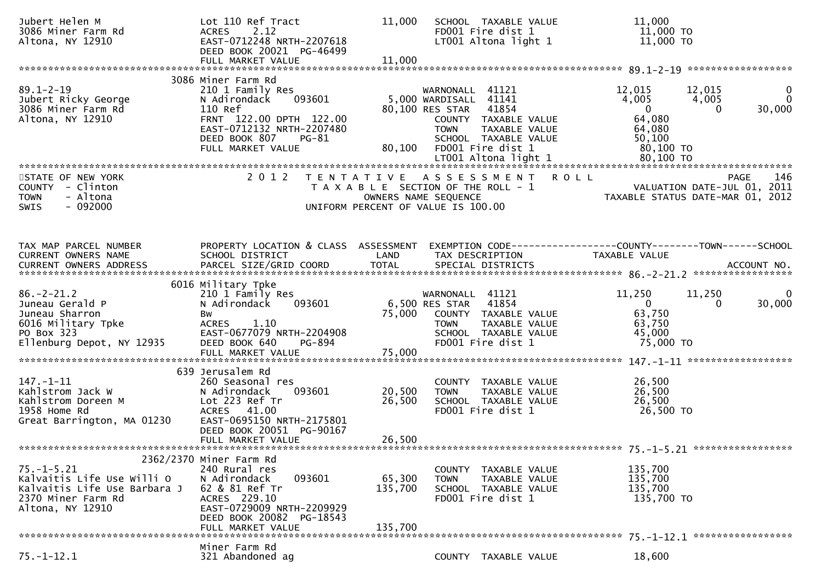| Jubert Helen M<br>3086 Miner Farm Rd<br>Altona, NY 12910                                                                 | Lot 110 Ref Tract<br>2.12<br><b>ACRES</b><br>EAST-0712248 NRTH-2207618<br>DEED BOOK 20021 PG-46499<br>FULL MARKET VALUE                                                            | 11,000<br>11,000             | SCHOOL TAXABLE VALUE<br>FD001 Fire dist 1                                                                                                                              | 11,000<br>11,000 TO<br>$LT001$ Altona light 1 $11,000$ TO                                                                                                                                               |
|--------------------------------------------------------------------------------------------------------------------------|------------------------------------------------------------------------------------------------------------------------------------------------------------------------------------|------------------------------|------------------------------------------------------------------------------------------------------------------------------------------------------------------------|---------------------------------------------------------------------------------------------------------------------------------------------------------------------------------------------------------|
|                                                                                                                          | 3086 Miner Farm Rd                                                                                                                                                                 |                              |                                                                                                                                                                        |                                                                                                                                                                                                         |
| $89.1 - 2 - 19$<br>Jubert Ricky George<br>3086 Miner Farm Rd<br>Altona, NY 12910                                         | 210 1 Family Res<br>093601<br>N Adirondack<br>110 Ref<br>FRNT 122.00 DPTH 122.00<br>EAST-0712132 NRTH-2207480<br>DEED BOOK 807<br>PG-81<br>FULL MARKET VALUE                       | 80,100                       | WARNONALL 41121<br>5,000 WARDISALL 41141<br>80,100 RES STAR 41854<br>COUNTY TAXABLE VALUE<br>TAXABLE VALUE<br><b>TOWN</b><br>SCHOOL TAXABLE VALUE<br>FD001 Fire dist 1 | 12,015<br>12,015<br>$\mathbf{0}$<br>$\Omega$<br>4,005<br>4,005<br>$\overline{0}$<br>30,000<br>$\Omega$<br>64,080<br>64,080<br>50,100<br>80,100 то                                                       |
|                                                                                                                          |                                                                                                                                                                                    |                              |                                                                                                                                                                        |                                                                                                                                                                                                         |
| STATE OF NEW YORK<br>COUNTY - Clinton<br>- Altona<br><b>TOWN</b><br>$-092000$<br>SWIS                                    | 2 0 1 2                                                                                                                                                                            | T E N T A T I V E            | A S S E S S M E N T R O L L<br>T A X A B L E SECTION OF THE ROLL - 1<br>OWNERS NAME SEQUENCE<br>UNIFORM PERCENT OF VALUE IS 100.00                                     | 146<br><b>PAGE</b><br>VALUATION DATE-JUL 01, 2011<br>TAXABLE STATUS DATE-MAR 01, 2012                                                                                                                   |
| TAX MAP PARCEL NUMBER<br>CURRENT OWNERS NAME                                                                             | PROPERTY LOCATION & CLASS ASSESSMENT<br>SCHOOL DISTRICT                                                                                                                            | LAND                         | TAX DESCRIPTION                                                                                                                                                        | EXEMPTION        CODE-----------------COUNTY-------TOWN------SCHOOL<br>TAXABLE VALUE<br>.CURRENT OWNERS ADDRESS PARCEL SIZE/GRID COORD TOTAL SPECIAL DISTRICTS ACCOUNT NO ACCOUNT NO ACCOUNT NO ACCOUNT |
|                                                                                                                          | 6016 Military Tpke                                                                                                                                                                 |                              |                                                                                                                                                                        |                                                                                                                                                                                                         |
| $86. - 2 - 21.2$<br>Juneau Gerald P<br>Juneau Sharron<br>6016 Military Tpke<br>PO Box 323<br>Ellenburg Depot, NY 12935   | 210 1 Family Res<br>N Adirondack<br>093601<br>Bw<br>ACRES 1.10<br>EAST-0677079 NRTH-2204908<br>PG-894                                                                              | 75,000                       | WARNONALL 41121<br>6,500 RES STAR<br>41854<br>COUNTY TAXABLE VALUE<br>TAXABLE VALUE<br><b>TOWN</b><br>SCHOOL TAXABLE VALUE<br>FD001 Fire dist 1                        | 11,250<br>11,250<br>0<br>$\mathbf{0}$<br>30,000<br>$\Omega$<br>63,750<br>63,750<br>45,000<br>75,000 TO                                                                                                  |
|                                                                                                                          | DEED BOOK 640<br>FULL MARKET VALUE                                                                                                                                                 | 75,000                       |                                                                                                                                                                        |                                                                                                                                                                                                         |
|                                                                                                                          |                                                                                                                                                                                    |                              |                                                                                                                                                                        |                                                                                                                                                                                                         |
| $147. - 1 - 11$<br>147.-1-11<br>Kahlstrom Jack W<br>Kahlstrom Doreen M<br>1958 ноте Rd<br>Great Barrington, MA 01230     | 639 Jerusalem Rd<br>260 Seasonal res<br>093601<br>N Adirondack<br>Lot 223 Ref Tr<br>ACRES 41.00<br>EAST-0695150 NRTH-2175801<br>DEED BOOK 20051 PG-90167<br>FULL MARKET VALUE      | 20,500<br>26,500<br>26,500   | COUNTY TAXABLE VALUE<br><b>TOWN</b><br>TAXABLE VALUE<br>SCHOOL TAXABLE VALUE<br>FD001 Fire dist 1                                                                      | 26,500<br>26,500<br>26,500<br>26,500 TO                                                                                                                                                                 |
|                                                                                                                          |                                                                                                                                                                                    |                              |                                                                                                                                                                        |                                                                                                                                                                                                         |
| $75. - 1 - 5.21$<br>Kalvaitis Life Use Willi O<br>Kalvaitis Life Use Barbara J<br>2370 Miner Farm Rd<br>Altona, NY 12910 | 2362/2370 Miner Farm Rd<br>240 Rural res<br>N Adirondack<br>093601<br>62 & 81 Ref Tr<br>ACRES 229.10<br>EAST-0729009 NRTH-2209929<br>DEED BOOK 20082 PG-18543<br>FULL MARKET VALUE | 65,300<br>135,700<br>135,700 | COUNTY TAXABLE VALUE<br><b>TOWN</b><br>TAXABLE VALUE<br>SCHOOL TAXABLE VALUE<br>FD001 Fire dist 1                                                                      | 135,700<br>135,700<br>135,700<br>135,700 TO                                                                                                                                                             |
|                                                                                                                          | Miner Farm Rd                                                                                                                                                                      |                              |                                                                                                                                                                        |                                                                                                                                                                                                         |
| $75. - 1 - 12.1$                                                                                                         | 321 Abandoned ag                                                                                                                                                                   |                              | COUNTY TAXABLE VALUE                                                                                                                                                   | 18,600                                                                                                                                                                                                  |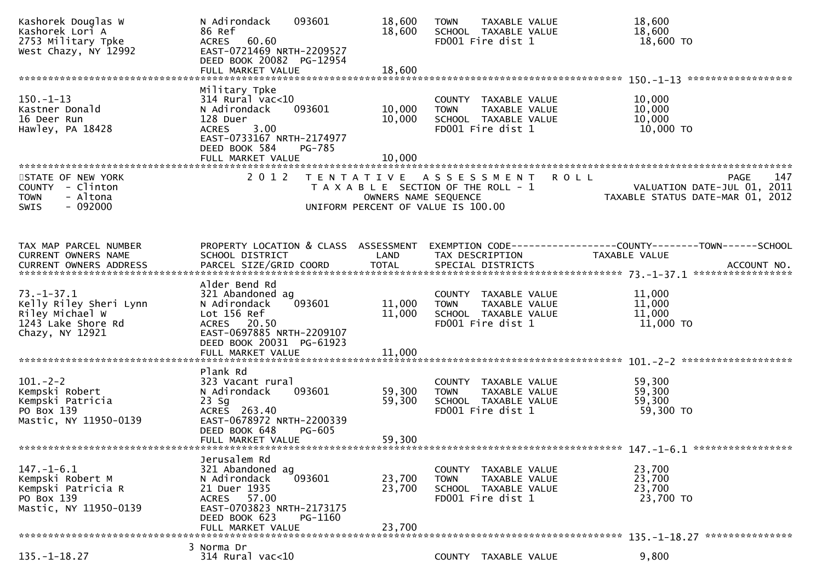| Kashorek Douglas W<br>Kashorek Lori A<br>2753 Military Tpke<br>West Chazy, NY 12992                    | N Adirondack<br>093601<br>86 Ref<br>60.60<br>ACRES<br>EAST-0721469 NRTH-2209527<br>DEED BOOK 20082 PG-12954                                                                       | 18,600<br>18,600           | TAXABLE VALUE<br><b>TOWN</b><br>SCHOOL TAXABLE VALUE<br>FD001 Fire dist 1                                   |             | 18,600<br>18,600<br>18,600 TO                                                                  |
|--------------------------------------------------------------------------------------------------------|-----------------------------------------------------------------------------------------------------------------------------------------------------------------------------------|----------------------------|-------------------------------------------------------------------------------------------------------------|-------------|------------------------------------------------------------------------------------------------|
|                                                                                                        |                                                                                                                                                                                   |                            |                                                                                                             |             |                                                                                                |
| $150.-1-13$<br>Kastner Donald<br>16 Deer Run<br>Hawley, PA 18428                                       | Military Tpke<br>$314$ Rural vac< $10$<br>093601<br>N Adirondack<br>128 Duer<br>3.00<br><b>ACRES</b><br>EAST-0733167 NRTH-2174977<br>DEED BOOK 584<br>PG-785<br>FULL MARKET VALUE | 10,000<br>10,000<br>10,000 | COUNTY TAXABLE VALUE<br><b>TOWN</b><br>TAXABLE VALUE<br>SCHOOL TAXABLE VALUE<br>FD001 Fire dist 1           |             | 10,000<br>10,000<br>10,000<br>10,000 TO                                                        |
| STATE OF NEW YORK<br>COUNTY - Clinton<br>- Altona<br><b>TOWN</b>                                       | 2 0 1 2                                                                                                                                                                           | OWNERS NAME SEQUENCE       | TENTATIVE ASSESSMENT<br>T A X A B L E SECTION OF THE ROLL - 1                                               | <b>ROLL</b> | PAGE<br>147<br>VALUATION DATE-JUL 01, 2011<br>TAXABLE STATUS DATE-MAR 01, 2012                 |
| $-092000$<br><b>SWIS</b>                                                                               |                                                                                                                                                                                   |                            | UNIFORM PERCENT OF VALUE IS 100.00                                                                          |             |                                                                                                |
| TAX MAP PARCEL NUMBER<br>CURRENT OWNERS NAME<br><b>CURRENT OWNERS ADDRESS</b>                          | PROPERTY LOCATION & CLASS ASSESSMENT<br>SCHOOL DISTRICT<br>PARCEL SIZE/GRID COORD                                                                                                 | LAND<br><b>TOTAL</b>       | TAX DESCRIPTION<br>SPECIAL DISTRICTS                                                                        |             | EXEMPTION CODE------------------COUNTY--------TOWN------SCHOOL<br>TAXABLE VALUE<br>ACCOUNT NO. |
|                                                                                                        | Alder Bend Rd                                                                                                                                                                     |                            |                                                                                                             |             |                                                                                                |
| $73. - 1 - 37.1$<br>Kelly Riley Sheri Lynn<br>Riley Michael W<br>1243 Lake Shore Rd<br>Chazy, NY 12921 | 321 Abandoned ag<br>093601<br>N Adirondack<br>Lot 156 Ref<br>ACRES 20.50<br>EAST-0697885 NRTH-2209107<br>DEED BOOK 20031 PG-61923                                                 | 11,000<br>11,000           | COUNTY TAXABLE VALUE<br>TAXABLE VALUE<br><b>TOWN</b><br>SCHOOL TAXABLE VALUE<br>FD001 Fire dist 1           |             | 11,000<br>11,000<br>11,000<br>11,000 TO                                                        |
|                                                                                                        | FULL MARKET VALUE                                                                                                                                                                 | 11,000                     |                                                                                                             |             |                                                                                                |
|                                                                                                        | Plank Rd                                                                                                                                                                          |                            |                                                                                                             |             |                                                                                                |
| $101. - 2 - 2$<br>Kempski Robert<br>Kempski Patricia<br>PO Box 139<br>Mastic, NY 11950-0139            | 323 Vacant rural<br>093601<br>N Adirondack<br>$23$ Sg<br>ACRES 263.40<br>EAST-0678972 NRTH-2200339<br>DEED BOOK 648<br><b>PG-605</b>                                              | 59,300<br>59,300           | COUNTY TAXABLE VALUE<br>TAXABLE VALUE<br><b>TOWN</b><br>SCHOOL TAXABLE VALUE<br>FD001 Fire dist 1           |             | 59,300<br>59,300<br>59,300<br>59,300 TO                                                        |
|                                                                                                        | FULL MARKET VALUE                                                                                                                                                                 | 59,300                     |                                                                                                             |             |                                                                                                |
| $147. - 1 - 6.1$<br>Kempski Robert M<br>Kempski Patricia R<br>PO Box 139<br>Mastic, NY 11950-0139      | Jerusalem Rd<br>321 Abandoned ag<br>093601<br>N Adirondack<br>21 Duer 1935<br>ACRES 57.00<br>EAST-0703823 NRTH-2173175<br>DEED BOOK 623<br>PG-1160<br>FULL MARKET VALUE           | 23,700<br>23,700<br>23,700 | COUNTY<br>TAXABLE VALUE<br><b>TAXABLE VALUE</b><br><b>TOWN</b><br>SCHOOL TAXABLE VALUE<br>FD001 Fire dist 1 |             | 23,700<br>23,700<br>23,700<br>23,700 TO                                                        |
|                                                                                                        | 3 Norma Dr                                                                                                                                                                        |                            |                                                                                                             |             |                                                                                                |
| $135. - 1 - 18.27$                                                                                     | 314 Rural vac<10                                                                                                                                                                  |                            | COUNTY<br>TAXABLE VALUE                                                                                     |             | 9,800                                                                                          |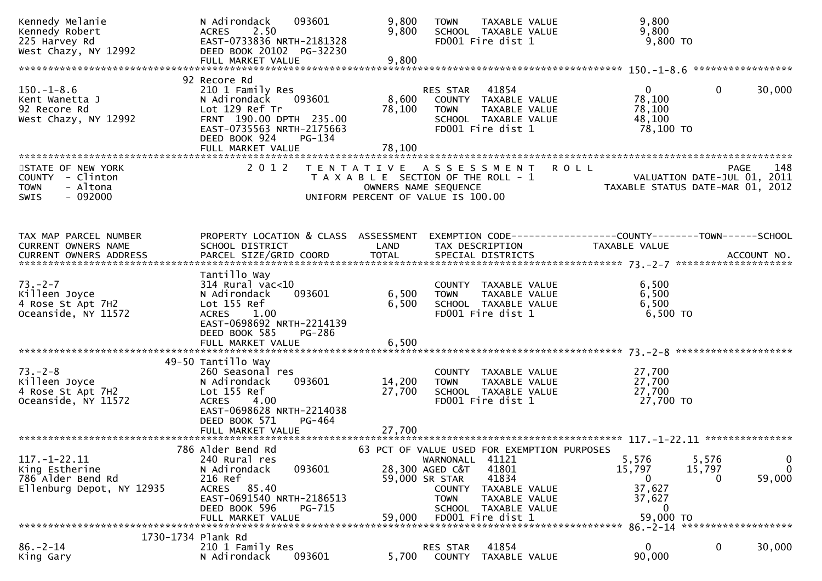| Kennedy Melanie<br>Kennedy Robert<br>225 Harvey Rd<br>West Chazy, NY 12992                   | 093601<br>N Adirondack<br>2.50<br><b>ACRES</b><br>EAST-0733836 NRTH-2181328<br>DEED BOOK 20102 PG-32230<br>FULL MARKET VALUE                                                | 9,800<br>9,800<br>9,800 | <b>TOWN</b><br>TAXABLE VALUE<br>SCHOOL TAXABLE VALUE<br>FD001 Fire dist 1                                                                                                                                                               | 9,800<br>9,800<br>9,800 TO                                                     |                                                     |
|----------------------------------------------------------------------------------------------|-----------------------------------------------------------------------------------------------------------------------------------------------------------------------------|-------------------------|-----------------------------------------------------------------------------------------------------------------------------------------------------------------------------------------------------------------------------------------|--------------------------------------------------------------------------------|-----------------------------------------------------|
|                                                                                              |                                                                                                                                                                             |                         |                                                                                                                                                                                                                                         |                                                                                |                                                     |
| $150. - 1 - 8.6$<br>Kent Wanetta J<br>92 Recore Rd<br>West Chazy, NY 12992                   | 92 Recore Rd<br>210 1 Family Res<br>093601<br>N Adirondack<br>Lot 129 Ref Tr<br>FRNT 190.00 DPTH 235.00<br>EAST-0735563 NRTH-2175663<br>DEED BOOK 924<br>PG-134             | 8,600                   | 41854<br>RES STAR<br>COUNTY TAXABLE VALUE<br>78,100 TOWN<br>TAXABLE VALUE<br>SCHOOL TAXABLE VALUE<br>FD001 Fire dist 1                                                                                                                  | $\overline{0}$<br>78,100<br>78,100<br>48,100<br>78,100 TO                      | 30,000<br>$\mathbf{0}$                              |
|                                                                                              | FULL MARKET VALUE                                                                                                                                                           | 78,100                  |                                                                                                                                                                                                                                         |                                                                                |                                                     |
| STATE OF NEW YORK<br>COUNTY - Clinton<br>- Altona<br><b>TOWN</b><br>$-092000$<br><b>SWIS</b> | 2 0 1 2                                                                                                                                                                     |                         | TENTATIVE ASSESSMENT<br>T A X A B L E SECTION OF THE ROLL - 1<br>OWNERS NAME SEQUENCE<br>UNIFORM PERCENT OF VALUE IS 100.00                                                                                                             | <b>ROLL</b><br>VALUATION DATE-JUL 01, 2011<br>TAXABLE STATUS DATE-MAR 01, 2012 | 148<br><b>PAGE</b>                                  |
| TAX MAP PARCEL NUMBER<br>CURRENT OWNERS NAME                                                 | SCHOOL DISTRICT                                                                                                                                                             | LAND                    | PROPERTY LOCATION & CLASS ASSESSMENT EXEMPTION CODE----------------COUNTY-------TOWN------SCHOOL<br>TAX DESCRIPTION                                                                                                                     | TAXABLE VALUE                                                                  |                                                     |
| $73. - 2 - 7$<br>Killeen Joyce<br>4 Rose St Apt 7H2<br>Oceanside, NY 11572                   | Tantillo Way<br>314 Rural vac<10<br>093601<br>N Adirondack<br>Lot 155 Ref<br>ACRES 1.00<br>EAST-0698692 NRTH-2214139<br>DEED BOOK 585<br><b>PG-286</b><br>FULL MARKET VALUE | 6,500<br>6,500<br>6,500 | COUNTY TAXABLE VALUE<br>TAXABLE VALUE<br><b>TOWN</b><br>SCHOOL TAXABLE VALUE<br>FD001 Fire dist 1                                                                                                                                       | 6,500<br>6,500<br>6,500<br>6,500 TO                                            |                                                     |
| $73. - 2 - 8$<br>Killeen Joyce<br>4 Rose St Apt 7H2<br>Oceanside, NY 11572                   | 49-50 Tantillo Way<br>260 Seasonal res<br>093601<br>N Adirondack<br>Lot 155 Ref<br>ACRES 4.00<br>EAST-0698628 NRTH-2214038<br>PG-464<br>DEED BOOK 571                       | 14,200<br>27,700        | COUNTY TAXABLE VALUE<br><b>TOWN</b><br>TAXABLE VALUE<br>SCHOOL TAXABLE VALUE<br>FD001 Fire dist 1                                                                                                                                       | 27,700<br>27,700<br>27,700<br>27,700 TO                                        |                                                     |
| $117. - 1 - 22.11$<br>King Estherine<br>786 Alder Bend Rd<br>Ellenburg Depot, NY 12935       | 786 Alder Bend Rd<br>240 Rural res<br>N Adirondack<br>093601<br>216 Ref<br>ACRES 85.40<br>EAST-0691540 NRTH-2186513<br>DEED BOOK 596<br>PG-715<br>FULL MARKET VALUE         | 59,000                  | 63 PCT OF VALUE USED FOR EXEMPTION PURPOSES<br>41121<br>WARNONALL<br>28,300 AGED C&T<br>41801<br>59,000 SR STAR<br>41834<br><b>COUNTY</b><br>TAXABLE VALUE<br>TAXABLE VALUE<br><b>TOWN</b><br>SCHOOL TAXABLE VALUE<br>FD001 Fire dist 1 | 5,576<br>15,797<br>$\bf{0}$<br>37,627<br>37,627<br>0<br>59,000 TO              | 5,576<br>0<br>$\mathbf{0}$<br>15,797<br>59,000<br>0 |
|                                                                                              |                                                                                                                                                                             |                         |                                                                                                                                                                                                                                         |                                                                                |                                                     |
| 1730-1734 Plank Rd<br>$86. - 2 - 14$<br>King Gary                                            | 210 1 Family Res<br>N Adirondack<br>093601                                                                                                                                  | 5,700                   | 41854<br>RES STAR<br>COUNTY<br>TAXABLE VALUE                                                                                                                                                                                            | $\mathbf{0}$<br>90,000                                                         | $\mathbf 0$<br>30,000                               |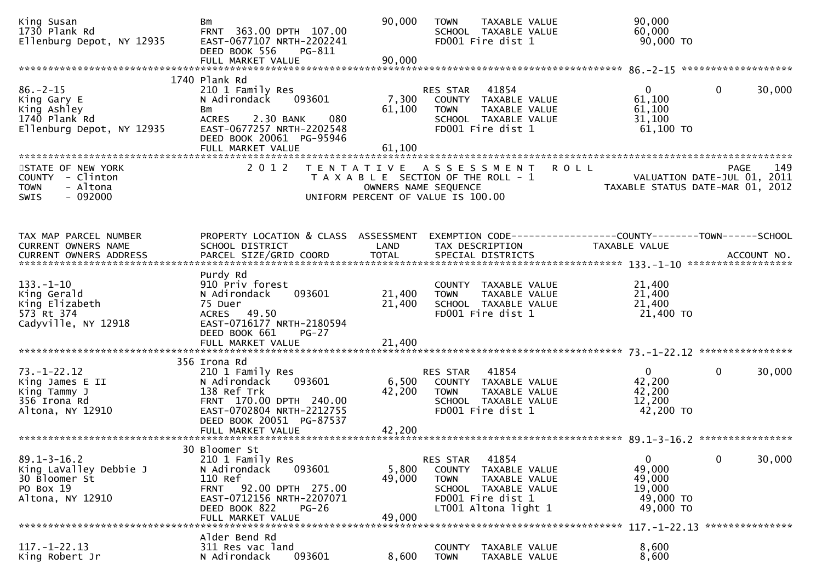| King Susan<br>1730 Plank Rd<br>Ellenburg Depot, NY 12935                                      | Bm<br>FRNT 363.00 DPTH 107.00<br>EAST-0677107 NRTH-2202241<br>DEED BOOK 556<br>PG-811<br>FULL MARKET VALUE                                                                          | 90,000<br>90,000                                                                                                         | <b>TOWN</b>                       | TAXABLE VALUE<br>SCHOOL TAXABLE VALUE<br>FD001 Fire dist 1                                                   |             | 90,000<br>60,000<br>90,000 TO                                                   |                 |        |
|-----------------------------------------------------------------------------------------------|-------------------------------------------------------------------------------------------------------------------------------------------------------------------------------------|--------------------------------------------------------------------------------------------------------------------------|-----------------------------------|--------------------------------------------------------------------------------------------------------------|-------------|---------------------------------------------------------------------------------|-----------------|--------|
|                                                                                               |                                                                                                                                                                                     |                                                                                                                          |                                   |                                                                                                              |             |                                                                                 |                 |        |
| $86. - 2 - 15$<br>King Gary E<br>King Ashley<br>1740 Plank Rd<br>Ellenburg Depot, NY 12935    | 1740 Plank Rd<br>210 1 Family Res<br>N Adirondack<br>093601<br>Bm<br>080<br><b>ACRES</b><br>2.30 BANK<br>EAST-0677257 NRTH-2202548<br>DEED BOOK 20061 PG-95946<br>FULL MARKET VALUE | 7,300<br>61,100<br>61,100                                                                                                | RES STAR<br><b>TOWN</b>           | 41854<br>COUNTY TAXABLE VALUE<br>TAXABLE VALUE<br>SCHOOL TAXABLE VALUE<br>FD001 Fire dist 1                  |             | $\mathbf{0}$<br>61,100<br>61,100<br>31,100<br>61,100 TO                         | 0               | 30,000 |
|                                                                                               | **********************                                                                                                                                                              |                                                                                                                          |                                   |                                                                                                              |             |                                                                                 |                 |        |
| STATE OF NEW YORK<br>COUNTY - Clinton<br>- Altona<br><b>TOWN</b><br>$-092000$<br>SWIS         | 2 0 1 2                                                                                                                                                                             | T E N T A T I V E<br>T A X A B L E SECTION OF THE ROLL - 1<br>OWNERS NAME SEQUENCE<br>UNIFORM PERCENT OF VALUE IS 100.00 | A S S E S S M E N T               |                                                                                                              | <b>ROLL</b> | VALUATION DATE-JUL 01, 2011<br>TAXABLE STATUS DATE-MAR 01, 2012                 | <b>PAGE</b>     | 149    |
| TAX MAP PARCEL NUMBER<br>CURRENT OWNERS NAME                                                  | PROPERTY LOCATION & CLASS ASSESSMENT<br>SCHOOL DISTRICT                                                                                                                             | LAND                                                                                                                     |                                   | TAX DESCRIPTION                                                                                              |             | EXEMPTION CODE------------------COUNTY--------TOWN------SCHOOL<br>TAXABLE VALUE |                 |        |
| $133. - 1 - 10$<br>King Gerald<br>King Elizabeth<br>573 Rt 374<br>Cadyville, NY 12918         | Purdy Rd<br>910 Priv forest<br>093601<br>N Adirondack<br>75 Duer<br>ACRES 49.50<br>EAST-0716177 NRTH-2180594<br>DEED BOOK 661<br>$PG-27$<br>FULL MARKET VALUE                       | 21,400<br>21,400<br>21,400                                                                                               | <b>TOWN</b>                       | COUNTY TAXABLE VALUE<br>TAXABLE VALUE<br>SCHOOL TAXABLE VALUE<br>FD001 Fire dist 1                           |             | 21,400<br>21,400<br>21,400<br>21,400 TO                                         |                 |        |
|                                                                                               | 356 Irona Rd                                                                                                                                                                        |                                                                                                                          |                                   |                                                                                                              |             |                                                                                 |                 |        |
| $73. - 1 - 22.12$<br>King James E II<br>King Tammy J<br>356 Irona Rd<br>Altona, NY 12910      | 210 1 Family Res<br>093601<br>N Adirondack<br>138 Ref Trk<br>FRNT 170.00 DPTH 240.00<br>EAST-0702804 NRTH-2212755<br>DEED BOOK 20051 PG-87537<br>FULL MARKET VALUE                  | 6,500<br>42,200<br>42,200                                                                                                | RES STAR<br><b>TOWN</b>           | 41854<br>COUNTY TAXABLE VALUE<br>TAXABLE VALUE<br>SCHOOL TAXABLE VALUE<br>FD001 Fire dist 1                  |             | $\mathbf{0}$<br>42,200<br>42,200<br>12,200<br>42,200 TO                         | $\mathbf{0}$    | 30,000 |
|                                                                                               |                                                                                                                                                                                     |                                                                                                                          |                                   |                                                                                                              |             |                                                                                 |                 |        |
| $89.1 - 3 - 16.2$<br>King LaValley Debbie J<br>30 Bloomer St<br>PO Box 19<br>Altona, NY 12910 | 30 Bloomer St<br>210 1 Family Res<br>N Adirondack<br>093601<br>110 Ref<br>FRNT 92.00 DPTH 275.00<br>EAST-0712156 NRTH-2207071<br>DEED BOOK 822<br><b>PG-26</b><br>FULL MARKET VALUE | 5,800<br>49,000<br>49,000                                                                                                | RES STAR<br>COUNTY<br><b>TOWN</b> | 41854<br>TAXABLE VALUE<br>TAXABLE VALUE<br>SCHOOL TAXABLE VALUE<br>FD001 Fire dist 1<br>LT001 Altona light 1 |             | $\mathbf{0}$<br>49,000<br>49,000<br>19,000<br>49,000 TO<br>49,000 TO            | $\mathbf 0$     | 30,000 |
|                                                                                               |                                                                                                                                                                                     |                                                                                                                          |                                   |                                                                                                              |             | 117. –1–22.13                                                                   | *************** |        |
| $117. - 1 - 22.13$<br>King Robert Jr                                                          | Alder Bend Rd<br>311 Res vac land<br>093601<br>N Adirondack                                                                                                                         | 8,600                                                                                                                    | <b>COUNTY</b><br><b>TOWN</b>      | TAXABLE VALUE<br>TAXABLE VALUE                                                                               |             | 8,600<br>8,600                                                                  |                 |        |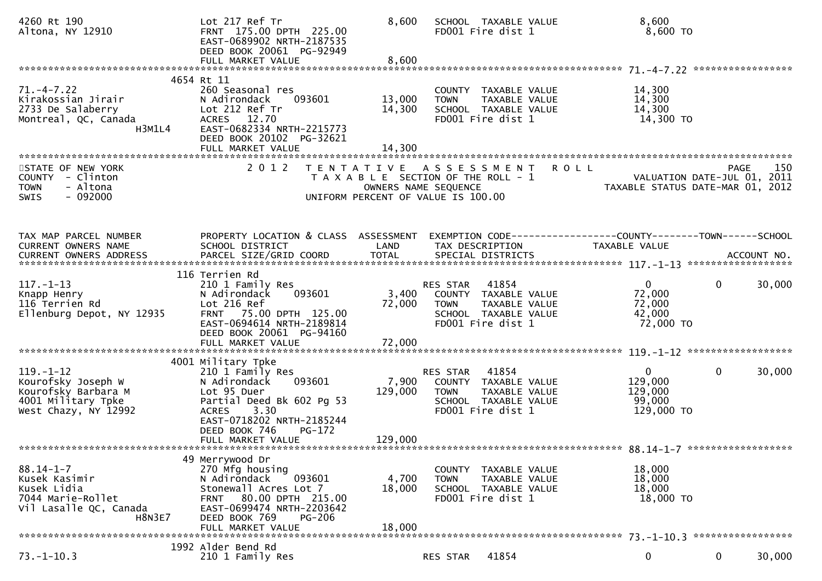| 4260 Rt 190<br>Altona, NY 12910                                                                                 | Lot 217 Ref Tr<br>FRNT 175.00 DPTH 225.00<br>EAST-0689902 NRTH-2187535<br>DEED BOOK 20061 PG-92949<br>FULL MARKET VALUE                                                                       | 8,600<br>8,600                                                                                                                   |                                                       | SCHOOL TAXABLE VALUE<br>FD001 Fire dist 1                                                   |  | 8,600<br>8,600 TO                                               |                |        |
|-----------------------------------------------------------------------------------------------------------------|-----------------------------------------------------------------------------------------------------------------------------------------------------------------------------------------------|----------------------------------------------------------------------------------------------------------------------------------|-------------------------------------------------------|---------------------------------------------------------------------------------------------|--|-----------------------------------------------------------------|----------------|--------|
|                                                                                                                 |                                                                                                                                                                                               |                                                                                                                                  |                                                       |                                                                                             |  |                                                                 |                |        |
| $71. - 4 - 7.22$<br>Kirakossian Jirair<br>2733 De Salaberry<br>Montreal, QC, Canada<br>H3M1L4                   | 4654 Rt 11<br>260 Seasonal res<br>093601<br>N Adirondack<br>Lot 212 Ref Tr<br>ACRES 12.70<br>EAST-0682334 NRTH-2215773<br>DEED BOOK 20102 PG-32621                                            | 13,000<br>14,300                                                                                                                 | <b>TOWN</b>                                           | COUNTY TAXABLE VALUE<br>TAXABLE VALUE<br>SCHOOL TAXABLE VALUE<br>FD001 Fire dist 1          |  | 14,300<br>14,300<br>14,300<br>14,300 TO                         |                |        |
|                                                                                                                 |                                                                                                                                                                                               |                                                                                                                                  |                                                       |                                                                                             |  |                                                                 |                |        |
| STATE OF NEW YORK<br>COUNTY - Clinton<br>- Altona<br><b>TOWN</b><br>$-092000$<br><b>SWIS</b>                    | 2 0 1 2                                                                                                                                                                                       | TENTATIVE ASSESSMENT ROLL<br>T A X A B L E SECTION OF THE ROLL - 1<br>OWNERS NAME SEQUENCE<br>UNIFORM PERCENT OF VALUE IS 100.00 |                                                       |                                                                                             |  | VALUATION DATE-JUL 01, 2011<br>TAXABLE STATUS DATE-MAR 01, 2012 | PAGE           | 150    |
|                                                                                                                 |                                                                                                                                                                                               |                                                                                                                                  |                                                       |                                                                                             |  |                                                                 |                |        |
| TAX MAP PARCEL NUMBER<br>CURRENT OWNERS NAME<br>CURRENT OWNERS ADDRESS                                          | PROPERTY LOCATION & CLASS ASSESSMENT<br>SCHOOL DISTRICT                                                                                                                                       | LAND                                                                                                                             | TAX DESCRIPTION                                       |                                                                                             |  | TAXABLE VALUE                                                   |                |        |
|                                                                                                                 | 116 Terrien Rd                                                                                                                                                                                |                                                                                                                                  |                                                       |                                                                                             |  |                                                                 |                |        |
| $117. - 1 - 13$<br>Knapp Henry<br>116 Terrien Rd<br>Ellenburg Depot, NY 12935                                   | 210 1 Family Res<br>N Adirondack<br>093601<br>Lot 216 Ref<br>FRNT 75.00 DPTH 125.00<br>EAST-0694614 NRTH-2189814<br>DEED BOOK 20061 PG-94160<br>FULL MARKET VALUE                             | 72,000<br>72,000                                                                                                                 | RES STAR<br>3,400 COUNTY TAXABLE VALUE<br><b>TOWN</b> | 41854<br>TAXABLE VALUE<br>SCHOOL TAXABLE VALUE<br>FD001 Fire dist 1                         |  | $\mathbf{0}$<br>72,000<br>72,000<br>42,000<br>72,000 TO         | $\overline{0}$ | 30,000 |
|                                                                                                                 | 4001 Military Tpke                                                                                                                                                                            |                                                                                                                                  |                                                       |                                                                                             |  |                                                                 |                |        |
| $119. - 1 - 12$<br>Kourofsky Joseph W<br>Kourofsky Barbara M<br>4001 Military Tpke<br>West Chazy, NY 12992      | 210 1 Family Res<br>N Adirondack<br>093601<br>Lot 95 Duer<br>Partial Deed Bk 602 Pg 53<br>3.30<br><b>ACRES</b><br>EAST-0718202 NRTH-2185244<br>DEED BOOK 746<br>$PG-172$<br>FULL MARKET VALUE | 7,900<br>129,000<br>129,000                                                                                                      | RES STAR<br><b>TOWN</b>                               | 41854<br>COUNTY TAXABLE VALUE<br>TAXABLE VALUE<br>SCHOOL TAXABLE VALUE<br>FD001 Fire dist 1 |  | $\mathbf{0}$<br>129,000<br>129,000<br>99,000<br>129,000 TO      | $\mathbf{0}$   | 30,000 |
|                                                                                                                 |                                                                                                                                                                                               |                                                                                                                                  |                                                       |                                                                                             |  |                                                                 |                |        |
| $88.14 - 1 - 7$<br>Kusek Kasimir<br>Kusek Lidia<br>7044 Marie-Rollet<br>Vil Lasalle QC, Canada<br><b>H8N3E7</b> | 49 Merrywood Dr<br>270 Mfg housing<br>N Adirondack<br>093601<br>Stonewall Acres Lot 7<br>FRNT 80.00 DPTH 215.00<br>EAST-0699474 NRTH-2203642<br>DEED BOOK 769<br><b>PG-206</b>                | 4,700<br>18,000                                                                                                                  | <b>TOWN</b>                                           | COUNTY TAXABLE VALUE<br>TAXABLE VALUE<br>SCHOOL TAXABLE VALUE<br>FD001 Fire dist 1          |  | 18,000<br>18,000<br>18,000<br>18,000 TO                         |                |        |
|                                                                                                                 | 18,000<br>FULL MARKET VALUE                                                                                                                                                                   |                                                                                                                                  |                                                       |                                                                                             |  |                                                                 |                |        |
| $73. - 1 - 10.3$                                                                                                | 1992 Alder Bend Rd<br>210 1 Family Res                                                                                                                                                        |                                                                                                                                  | RES STAR                                              | 41854                                                                                       |  | $\bf{0}$                                                        | 0              | 30,000 |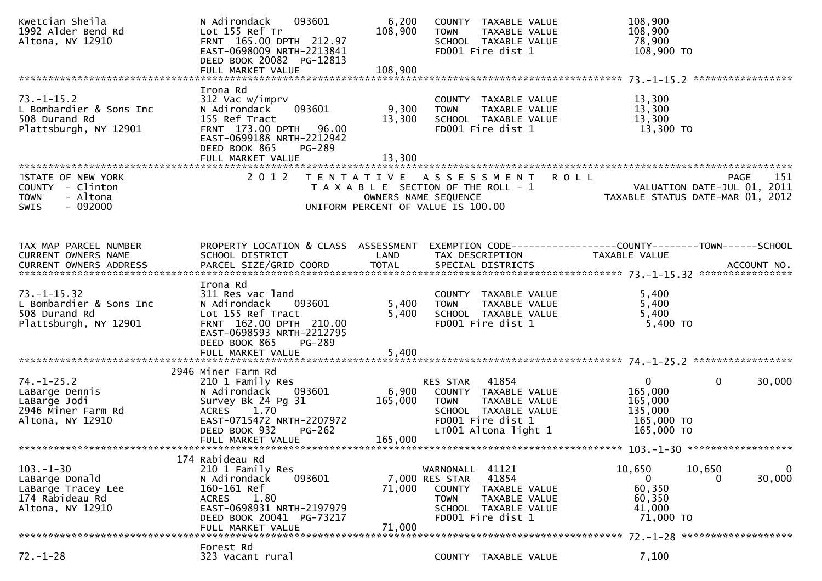| Kwetcian Sheila<br>1992 Alder Bend Rd<br>Altona, NY 12910                                     | 093601<br>N Adirondack<br>Lot 155 Ref Tr<br>FRNT 165.00 DPTH 212.97<br>EAST-0698009 NRTH-2213841<br>DEED BOOK 20082 PG-12813                                                       | 6,200<br>108,900     | COUNTY TAXABLE VALUE<br><b>TOWN</b><br>TAXABLE VALUE<br>SCHOOL TAXABLE VALUE<br>FD001 Fire dist 1                                                            | 108,900<br>108,900<br>78,900<br>108,900 TO                      |                            |
|-----------------------------------------------------------------------------------------------|------------------------------------------------------------------------------------------------------------------------------------------------------------------------------------|----------------------|--------------------------------------------------------------------------------------------------------------------------------------------------------------|-----------------------------------------------------------------|----------------------------|
|                                                                                               | Irona Rd                                                                                                                                                                           |                      |                                                                                                                                                              |                                                                 |                            |
| $73. - 1 - 15.2$<br>L Bombardier & Sons Inc<br>508 Durand Rd<br>Plattsburgh, NY 12901         | 312 Vac w/imprv<br>093601<br>N Adirondack<br>155 Ref Tract<br>FRNT 173.00 DPTH<br>96.00<br>EAST-0699188 NRTH-2212942<br>DEED BOOK 865<br>PG-289                                    | 9,300<br>13,300      | COUNTY TAXABLE VALUE<br><b>TOWN</b><br>TAXABLE VALUE<br>SCHOOL TAXABLE VALUE<br>FD001 Fire dist 1                                                            | 13,300<br>13,300<br>13,300<br>13,300 TO                         |                            |
|                                                                                               | FULL MARKET VALUE                                                                                                                                                                  | 13,300               |                                                                                                                                                              |                                                                 |                            |
| STATE OF NEW YORK<br>COUNTY - Clinton<br>- Altona<br><b>TOWN</b><br>$-092000$<br><b>SWIS</b>  | 2 0 1 2                                                                                                                                                                            |                      | TENTATIVE ASSESSMENT ROLL<br>T A X A B L E SECTION OF THE ROLL - 1<br>OWNERS NAME SEQUENCE<br>UNIFORM PERCENT OF VALUE IS 100.00                             | VALUATION DATE-JUL 01, 2011<br>TAXABLE STATUS DATE-MAR 01, 2012 | 151<br><b>PAGE</b>         |
|                                                                                               |                                                                                                                                                                                    |                      |                                                                                                                                                              |                                                                 |                            |
| TAX MAP PARCEL NUMBER<br>CURRENT OWNERS NAME<br><b>CURRENT OWNERS ADDRESS</b>                 | PROPERTY LOCATION & CLASS ASSESSMENT<br>SCHOOL DISTRICT<br>PARCEL SIZE/GRID COORD                                                                                                  | LAND<br><b>TOTAL</b> | EXEMPTION CODE------------------COUNTY--------TOWN------SCHOOL<br>TAX DESCRIPTION<br>SPECIAL DISTRICTS                                                       | <b>TAXABLE VALUE</b>                                            | ACCOUNT NO.                |
|                                                                                               |                                                                                                                                                                                    |                      |                                                                                                                                                              |                                                                 |                            |
| $73. - 1 - 15.32$<br>L Bombardier & Sons Inc<br>508 Durand Rd<br>Plattsburgh, NY 12901        | Irona Rd<br>311 Res vac land<br>N Adirondack<br>093601<br>Lot 155 Ref Tract<br>FRNT 162.00 DPTH 210.00<br>EAST-0698593 NRTH-2212795<br>DEED BOOK 865<br>PG-289                     | 5,400<br>5,400       | COUNTY TAXABLE VALUE<br>TAXABLE VALUE<br><b>TOWN</b><br>SCHOOL TAXABLE VALUE<br>FD001 Fire dist 1                                                            | 5,400<br>5,400<br>5,400<br>$5,400$ TO                           |                            |
|                                                                                               | FULL MARKET VALUE                                                                                                                                                                  | 5,400                |                                                                                                                                                              |                                                                 |                            |
| $74. - 1 - 25.2$<br>LaBarge Dennis<br>LaBarge Jodi<br>2946 Miner Farm Rd<br>Altona, NY 12910  | 2946 Miner Farm Rd<br>210 1 Family Res<br>N Adirondack<br>093601<br>Survey Bk 24 Pg 31<br><b>ACRES</b><br>1.70<br>EAST-0715472 NRTH-2207972                                        | 6,900<br>165,000     | 41854<br>RES STAR<br>COUNTY TAXABLE VALUE<br>TAXABLE VALUE<br><b>TOWN</b><br>SCHOOL TAXABLE VALUE<br>FD001 Fire dist 1                                       | $\mathbf{0}$<br>165,000<br>165,000<br>135,000<br>165,000 TO     | $\mathbf{0}$<br>30,000     |
|                                                                                               | DEED BOOK 932<br><b>PG-262</b><br>FULL MARKET VALUE                                                                                                                                | 165,000              | LT001 Altona light 1                                                                                                                                         | 165,000 TO                                                      |                            |
|                                                                                               |                                                                                                                                                                                    |                      |                                                                                                                                                              |                                                                 |                            |
| $103 - 1 - 30$<br>LaBarge Donald<br>LaBarge Tracey Lee<br>174 Rabideau Rd<br>Altona, NY 12910 | 174 Rabideau Rd<br>210 1 Family Res<br>093601<br>N Adirondack<br>160-161 Ref<br>1.80<br><b>ACRES</b><br>EAST-0698931 NRTH-2197979<br>DEED BOOK 20041 PG-73217<br>FULL MARKET VALUE | 71,000<br>71,000     | 41121<br>WARNONALL<br>41854<br>7,000 RES STAR<br><b>COUNTY</b><br>TAXABLE VALUE<br>TAXABLE VALUE<br><b>TOWN</b><br>SCHOOL TAXABLE VALUE<br>FD001 Fire dist 1 | 10,650<br>0<br>60,350<br>60,350<br>41,000<br>71,000 TO          | 10,650<br>0<br>30,000<br>0 |
|                                                                                               | Forest Rd                                                                                                                                                                          |                      |                                                                                                                                                              |                                                                 |                            |
| $72. - 1 - 28$                                                                                | 323 Vacant rural                                                                                                                                                                   |                      | COUNTY TAXABLE VALUE                                                                                                                                         | 7,100                                                           |                            |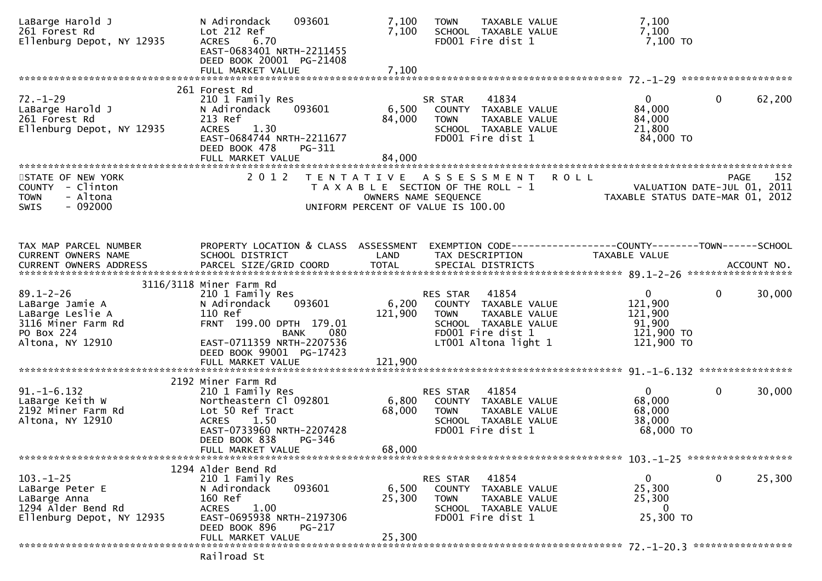| LaBarge Harold J<br>261 Forest Rd<br>Ellenburg Depot, NY 12935                                                 | N Adirondack<br>093601<br>Lot 212 Ref<br>6.70<br><b>ACRES</b><br>EAST-0683401 NRTH-2211455<br>DEED BOOK 20001 PG-21408                                                                    | 7,100<br>7,100            | TAXABLE VALUE<br><b>TOWN</b><br>SCHOOL TAXABLE VALUE<br>FD001 Fire dist 1                                                                      | 7,100<br>7,100<br>7,100 TO                                                     |              |        |
|----------------------------------------------------------------------------------------------------------------|-------------------------------------------------------------------------------------------------------------------------------------------------------------------------------------------|---------------------------|------------------------------------------------------------------------------------------------------------------------------------------------|--------------------------------------------------------------------------------|--------------|--------|
|                                                                                                                |                                                                                                                                                                                           |                           |                                                                                                                                                |                                                                                |              |        |
| $72. - 1 - 29$<br>LaBarge Harold J<br>261 Forest Rd<br>Ellenburg Depot, NY 12935                               | 261 Forest Rd<br>210 1 Family Res<br>093601<br>N Adirondack<br>213 Ref<br>1.30<br><b>ACRES</b><br>EAST-0684744 NRTH-2211677<br>DEED BOOK 478<br><b>PG-311</b><br>FULL MARKET VALUE        | 6,500<br>84,000<br>84,000 | 41834<br>SR STAR<br>COUNTY TAXABLE VALUE<br><b>TOWN</b><br>TAXABLE VALUE<br>SCHOOL TAXABLE VALUE<br>FD001 Fire dist 1                          | $\mathbf{0}$<br>84,000<br>84,000<br>21,800<br>84,000 TO                        | $\mathbf 0$  | 62,200 |
| STATE OF NEW YORK<br>COUNTY - Clinton<br>- Altona<br><b>TOWN</b><br>$-092000$<br><b>SWIS</b>                   | 2 0 1 2                                                                                                                                                                                   |                           | TENTATIVE ASSESSMENT<br>T A X A B L E SECTION OF THE ROLL - 1<br>OWNERS NAME SEQUENCE<br>UNIFORM PERCENT OF VALUE IS 100.00                    | <b>ROLL</b><br>VALUATION DATE-JUL 01, 2011<br>TAXABLE STATUS DATE-MAR 01, 2012 | PAGE         | 152    |
| TAX MAP PARCEL NUMBER<br>CURRENT OWNERS NAME<br>CURRENT OWNERS ADDRESS                                         | PROPERTY LOCATION & CLASS ASSESSMENT<br>SCHOOL DISTRICT                                                                                                                                   | LAND                      | EXEMPTION CODE------------------COUNTY--------TOWN------SCHOOL<br>TAX DESCRIPTION                                                              | TAXABLE VALUE                                                                  |              |        |
| $89.1 - 2 - 26$<br>LaBarge Jamie A<br>LaBarge Leslie A<br>3116 Miner Farm Rd<br>PO Box 224<br>Altona, NY 12910 | 3116/3118 Miner Farm Rd<br>210 1 Family Res<br>093601<br>N Adirondack<br>110 Ref<br>FRNT 199.00 DPTH 179.01<br>080<br>BANK<br>EAST-0711359 NRTH-2207536<br>DEED BOOK 99001 PG-17423       | 6,200<br>121,900          | 41854<br>RES STAR<br>COUNTY TAXABLE VALUE<br>TAXABLE VALUE<br><b>TOWN</b><br>SCHOOL TAXABLE VALUE<br>FD001 Fire dist 1<br>LT001 Altona light 1 | $\mathbf{0}$<br>121,900<br>121,900<br>91,900<br>121,900 TO<br>121,900 TO       | $\mathbf{0}$ | 30,000 |
| $91. -1 - 6.132$<br>LaBarge Keith W<br>2192 Miner Farm Rd<br>Altona, NY 12910                                  | 2192 Miner Farm Rd<br>210 1 Family Res<br>Northeastern Cl 092801<br>Lot 50 Ref Tract<br>1.50<br><b>ACRES</b><br>EAST-0733960 NRTH-2207428<br>DEED BOOK 838<br>PG-346<br>FULL MARKET VALUE | 6,800<br>68,000<br>68,000 | RES STAR<br>41854<br>COUNTY TAXABLE VALUE<br>TAXABLE VALUE<br><b>TOWN</b><br>SCHOOL TAXABLE VALUE<br>FD001 Fire dist 1                         | $\mathbf{0}$<br>68,000<br>68,000<br>38,000<br>68,000 TO                        | $\mathbf 0$  | 30,000 |
| $103. - 1 - 25$<br>LaBarge Peter E<br>LaBarge Anna<br>1294 Alder Bend Rd<br>Ellenburg Depot, NY 12935          | 1294 Alder Bend Rd<br>210 1 Family Res<br>093601<br>N Adirondack<br>160 Ref<br>1.00<br><b>ACRES</b><br>EAST-0695938 NRTH-2197306<br>DEED BOOK 896<br>PG-217<br>FULL MARKET VALUE          | 6,500<br>25,300<br>25,300 | 41854<br>RES STAR<br>COUNTY TAXABLE VALUE<br>TAXABLE VALUE<br><b>TOWN</b><br>SCHOOL TAXABLE VALUE<br>FD001 Fire dist 1                         | $\mathbf{0}$<br>25,300<br>25,300<br>0<br>25,300 TO                             | $\mathbf 0$  | 25,300 |
|                                                                                                                | Railroad St                                                                                                                                                                               |                           |                                                                                                                                                |                                                                                |              |        |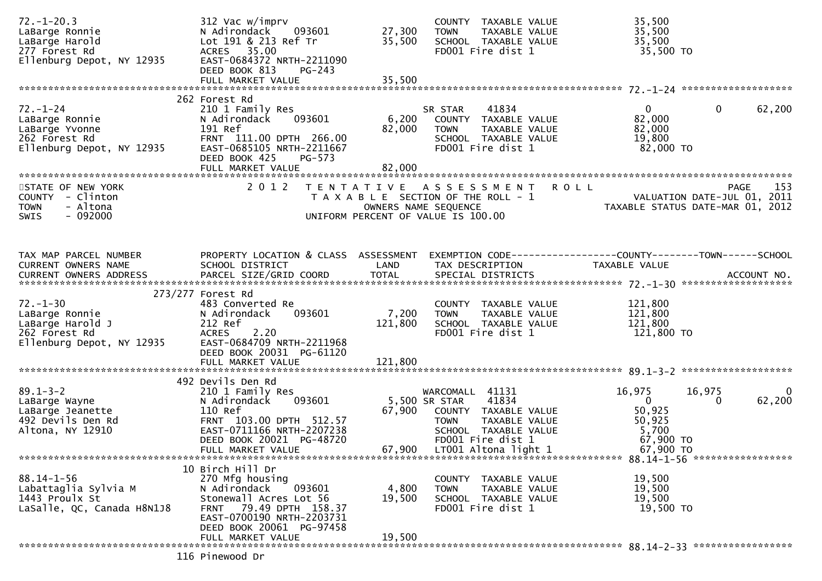| $72. - 1 - 20.3$<br>LaBarge Ronnie<br>LaBarge Harold<br>277 Forest Rd<br>Ellenburg Depot, NY 12935 | 312 Vac w/imprv<br>093601<br>N Adirondack<br>Lot 191 & 213 Ref Tr<br>ACRES 35.00<br>EAST-0684372 NRTH-2211090<br>DEED BOOK 813<br><b>PG-243</b>                                     | 27,300<br>35,500          | COUNTY TAXABLE VALUE<br>TAXABLE VALUE<br><b>TOWN</b><br>SCHOOL TAXABLE VALUE<br>FD001 Fire dist 1                                                                      | 35,500<br>35,500<br>35,500<br>35,500 TO                                                      |                    |
|----------------------------------------------------------------------------------------------------|-------------------------------------------------------------------------------------------------------------------------------------------------------------------------------------|---------------------------|------------------------------------------------------------------------------------------------------------------------------------------------------------------------|----------------------------------------------------------------------------------------------|--------------------|
|                                                                                                    | 262 Forest Rd                                                                                                                                                                       |                           |                                                                                                                                                                        |                                                                                              |                    |
| $72. - 1 - 24$<br>LaBarge Ronnie<br>LaBarge Yvonne<br>262 Forest Rd<br>Ellenburg Depot, NY 12935   | 210 1 Family Res<br>093601<br>N Adirondack<br>191 Ref<br>FRNT 111.00 DPTH 266.00<br>EAST-0685105 NRTH-2211667<br>PG-573<br>DEED BOOK 425<br>FULL MARKET VALUE                       | 6,200<br>82,000<br>82,000 | 41834<br>SR STAR<br>COUNTY TAXABLE VALUE<br><b>TOWN</b><br>TAXABLE VALUE<br>SCHOOL TAXABLE VALUE<br>FD001 Fire dist 1                                                  | 0<br>$\mathbf{0}$<br>82,000<br>82,000<br>19,800<br>82,000 TO                                 | 62,200             |
| STATE OF NEW YORK                                                                                  | 2 0 1 2                                                                                                                                                                             |                           | TENTATIVE ASSESSMENT                                                                                                                                                   | ROLL                                                                                         | 153<br><b>PAGE</b> |
| COUNTY - Clinton<br><b>TOWN</b><br>- Altona<br>$-092000$<br>SWIS                                   |                                                                                                                                                                                     |                           | T A X A B L E SECTION OF THE ROLL - 1<br>OWNERS NAME SEQUENCE<br>UNIFORM PERCENT OF VALUE IS 100.00                                                                    | VALUATION DATE-JUL 01, 2011<br>TAXABLE STATUS DATE-MAR 01, 2012                              |                    |
|                                                                                                    |                                                                                                                                                                                     |                           |                                                                                                                                                                        |                                                                                              |                    |
| TAX MAP PARCEL NUMBER<br>CURRENT OWNERS NAME<br>CURRENT OWNERS ADDRESS                             | PROPERTY LOCATION & CLASS ASSESSMENT<br>SCHOOL DISTRICT                                                                                                                             | LAND                      | TAX DESCRIPTION                                                                                                                                                        | EXEMPTION CODE------------------COUNTY--------TOWN------SCHOOL<br><b>TAXABLE VALUE</b>       |                    |
|                                                                                                    | 273/277 Forest Rd                                                                                                                                                                   |                           |                                                                                                                                                                        |                                                                                              |                    |
| $72. - 1 - 30$<br>LaBarge Ronnie<br>LaBarge Harold J<br>262 Forest Rd<br>Ellenburg Depot, NY 12935 | 483 Converted Re<br>N Adirondack<br>093601<br>212 Ref<br>2.20<br><b>ACRES</b><br>EAST-0684709 NRTH-2211968<br>DEED BOOK 20031 PG-61120                                              | 7,200<br>121,800          | COUNTY TAXABLE VALUE<br>TAXABLE VALUE<br><b>TOWN</b><br>SCHOOL TAXABLE VALUE<br>FD001 Fire dist 1                                                                      | 121,800<br>121,800<br>121,800<br>121,800 TO                                                  |                    |
|                                                                                                    |                                                                                                                                                                                     |                           |                                                                                                                                                                        |                                                                                              |                    |
| $89.1 - 3 - 2$<br>LaBarge Wayne<br>LaBarge Jeanette<br>492 Devils Den Rd<br>Altona, NY 12910       | 492 Devils Den Rd<br>210 1 Family Res<br>093601<br>N Adirondack<br>110 Ref<br>FRNT 103.00 DPTH 512.57<br>EAST-0711166 NRTH-2207238<br>DEED BOOK 20021 PG-48720<br>FULL MARKET VALUE | 67,900<br>67,900          | WARCOMALL 41131<br>5,500 SR STAR<br>41834<br>COUNTY TAXABLE VALUE<br><b>TOWN</b><br>TAXABLE VALUE<br>SCHOOL TAXABLE VALUE<br>FD001 Fire dist 1<br>LT001 Altona light 1 | 16,975<br>16,975<br>$\mathbf{0}$<br>0<br>50,925<br>50,925<br>5,700<br>67,900 TO<br>67,900 TO | $\bf{0}$<br>62,200 |
|                                                                                                    | 10 Birch Hill Dr                                                                                                                                                                    |                           |                                                                                                                                                                        |                                                                                              |                    |
| $88.14 - 1 - 56$<br>Labattaglia Sylvia M<br>1443 Proulx St<br>LaSalle, QC, Canada H8N1J8           | 270 Mfg housing<br>N Adirondack<br>093601<br>Stonewall Acres Lot 56<br>FRNT 79.49 DPTH 158.37<br>EAST-0700190 NRTH-2203731<br>DEED BOOK 20061 PG-97458                              | 4,800<br>19,500<br>19,500 | COUNTY TAXABLE VALUE<br><b>TOWN</b><br>TAXABLE VALUE<br>SCHOOL TAXABLE VALUE<br>FD001 Fire dist 1                                                                      | 19,500<br>19,500<br>19,500<br>19,500 TO                                                      |                    |
|                                                                                                    | FULL MARKET VALUE                                                                                                                                                                   |                           |                                                                                                                                                                        |                                                                                              |                    |
|                                                                                                    | 116 Pinewood Dr                                                                                                                                                                     |                           |                                                                                                                                                                        |                                                                                              |                    |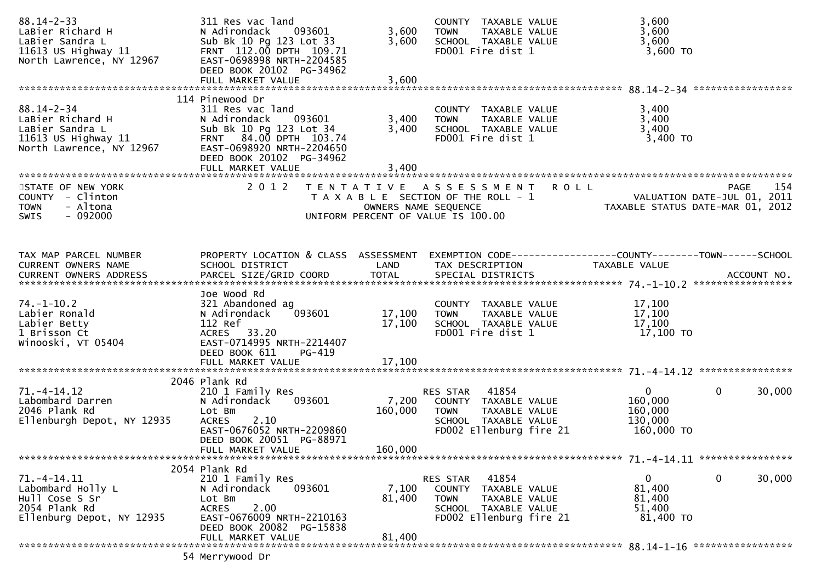| $88.14 - 2 - 33$<br>LaBier Richard H<br>LaBier Sandra L<br>11613 US Highway $11$<br>North Lawrence, NY 12967                 | 311 Res vac land<br>093601<br>N Adirondack<br>Sub Bk 10 Pg 123 Lot 33<br>FRNT 112.00 DPTH 109.71<br>EAST-0698998 NRTH-2204585<br>DEED BOOK 20102 PG-34962                     | 3,600<br>3,600              | COUNTY TAXABLE VALUE<br>TAXABLE VALUE<br><b>TOWN</b><br>SCHOOL TAXABLE VALUE<br>FD001 Fire dist 1                            | 3,600<br>3,600<br>3,600<br>3,600 TO                                            |                       |
|------------------------------------------------------------------------------------------------------------------------------|-------------------------------------------------------------------------------------------------------------------------------------------------------------------------------|-----------------------------|------------------------------------------------------------------------------------------------------------------------------|--------------------------------------------------------------------------------|-----------------------|
|                                                                                                                              | 114 Pinewood Dr                                                                                                                                                               |                             |                                                                                                                              |                                                                                |                       |
| $88.14 - 2 - 34$<br>LaBier Richard H<br>LaBier Sandra L<br>است - Sanura L<br>11613 US Highway 11<br>North Lawrence, NY 12967 | 311 Res vac land<br>N Adirondack<br>093601<br>Sub Bk 10 Pg 123 Lot 34<br>FRNT 84.00 DPTH 103.74<br>EAST-0698920 NRTH-2204650<br>DEED BOOK 20102 PG-34962<br>FULL MARKET VALUE | 3,400<br>3,400<br>3,400     | COUNTY TAXABLE VALUE<br>TAXABLE VALUE<br><b>TOWN</b><br>SCHOOL TAXABLE VALUE<br>FD001 Fire dist 1                            | 3,400<br>3,400<br>3,400<br>3,400 TO                                            |                       |
|                                                                                                                              |                                                                                                                                                                               |                             |                                                                                                                              |                                                                                |                       |
| STATE OF NEW YORK<br>COUNTY - Clinton<br>- Altona<br><b>TOWN</b><br>$-092000$<br><b>SWIS</b>                                 | 2 0 1 2                                                                                                                                                                       | OWNERS NAME SEQUENCE        | TENTATIVE ASSESSMENT<br>T A X A B L E SECTION OF THE ROLL - 1<br>UNIFORM PERCENT OF VALUE IS 100.00                          | <b>ROLL</b><br>VALUATION DATE-JUL 01, 2011<br>TAXABLE STATUS DATE-MAR 01, 2012 | 154<br><b>PAGE</b>    |
|                                                                                                                              |                                                                                                                                                                               |                             |                                                                                                                              |                                                                                |                       |
| TAX MAP PARCEL NUMBER<br>CURRENT OWNERS NAME<br>CURRENT OWNERS ADDRESS                                                       | PROPERTY LOCATION & CLASS ASSESSMENT EXEMPTION CODE----------------COUNTY-------TOWN------SCHOOL<br>SCHOOL DISTRICT                                                           | LAND                        | TAX DESCRIPTION                                                                                                              | TAXABLE VALUE                                                                  |                       |
|                                                                                                                              | Joe Wood Rd                                                                                                                                                                   |                             |                                                                                                                              |                                                                                |                       |
| $74. - 1 - 10.2$<br>Labier Ronald<br>Labier Betty<br>1 Brisson Ct<br>Winooski, VT 05404                                      | 321 Abandoned ag<br>N Adirondack<br>093601<br>112 Ref<br>ACRES 33.20<br>EAST-0714995 NRTH-2214407<br>DEED BOOK 611<br>PG-419                                                  | 17,100<br>17,100            | COUNTY TAXABLE VALUE<br>TAXABLE VALUE<br><b>TOWN</b><br>SCHOOL TAXABLE VALUE<br>FD001 Fire dist 1                            | 17,100<br>17,100<br>17,100<br>17,100 TO                                        |                       |
|                                                                                                                              |                                                                                                                                                                               |                             |                                                                                                                              |                                                                                |                       |
|                                                                                                                              | 2046 Plank Rd                                                                                                                                                                 |                             |                                                                                                                              |                                                                                |                       |
| $71. -4 - 14.12$<br>Labombard Darren<br>2046 Plank Rd<br>Ellenburgh Depot, NY 12935                                          | 210 1 Family Res<br>N Adirondack<br>093601<br>Lot Bm<br>2.10<br><b>ACRES</b><br>EAST-0676052 NRTH-2209860<br>DEED BOOK 20051 PG-88971                                         | 7,200<br>160,000<br>160,000 | 41854<br>RES STAR<br>COUNTY TAXABLE VALUE<br><b>TOWN</b><br>TAXABLE VALUE<br>SCHOOL TAXABLE VALUE<br>FD002 Ellenburg fire 21 | $\mathbf{0}$<br>160,000<br>160,000<br>130,000<br>160,000 TO                    | $\mathbf 0$<br>30,000 |
|                                                                                                                              | FULL MARKET VALUE                                                                                                                                                             |                             |                                                                                                                              |                                                                                |                       |
| $71. -4 - 14.11$<br>Labombard Holly L<br>Hull Cose S Sr<br>2054 Plank Rd<br>Ellenburg Depot, NY 12935                        | 2054 Plank Rd<br>210 1 Family Res<br>N Adirondack<br>093601<br>Lot Bm<br>2.00<br><b>ACRES</b><br>EAST-0676009 NRTH-2210163<br>DEED BOOK 20082 PG-15838                        | 7,100<br>81,400             | 41854<br>RES STAR<br>COUNTY TAXABLE VALUE<br><b>TOWN</b><br>TAXABLE VALUE<br>SCHOOL TAXABLE VALUE<br>FD002 Ellenburg fire 21 | $\mathbf{0}$<br>81,400<br>81,400<br>51,400<br>81,400 TO                        | $\mathbf 0$<br>30,000 |
|                                                                                                                              | FULL MARKET VALUE                                                                                                                                                             | 81,400                      |                                                                                                                              |                                                                                |                       |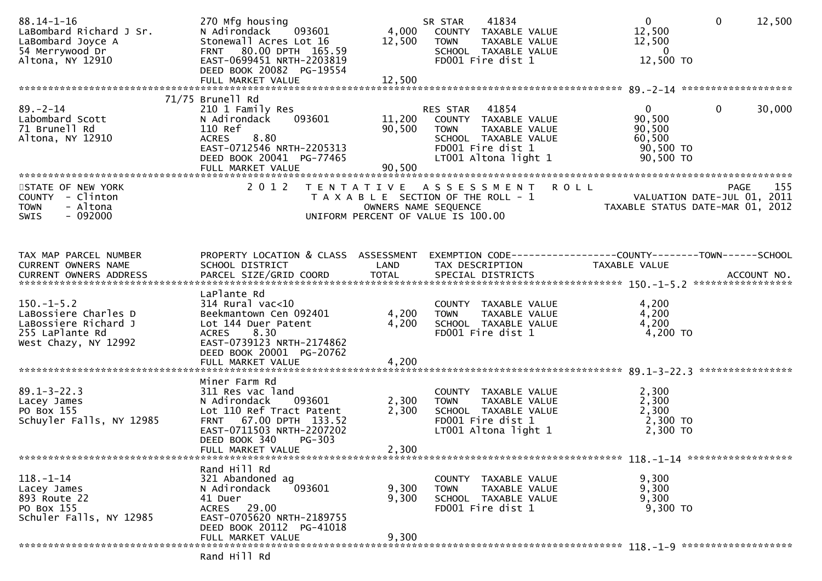| $88.14 - 1 - 16$<br>LaBombard Richard J Sr.<br>LaBombard Joyce A<br>54 Merrywood Dr<br>Altona, NY 12910 | 270 Mfg housing<br>N Adirondack<br>093601<br>Stonewall Acres Lot 16<br>FRNT 80.00 DPTH 165.59<br>EAST-0699451 NRTH-2203819<br>DEED BOOK 20082 PG-19554<br>FULL MARKET VALUE                      | 4,000<br>12,500<br>12,500  | 41834<br>SR STAR<br>COUNTY TAXABLE VALUE<br><b>TOWN</b><br>TAXABLE VALUE<br>SCHOOL TAXABLE VALUE<br>FD001 Fire dist 1                          | $\overline{0}$<br>12,500<br>12,500<br>- 0<br>12,500 TO               | $\mathbf{0}$<br>12,500 |
|---------------------------------------------------------------------------------------------------------|--------------------------------------------------------------------------------------------------------------------------------------------------------------------------------------------------|----------------------------|------------------------------------------------------------------------------------------------------------------------------------------------|----------------------------------------------------------------------|------------------------|
|                                                                                                         | 71/75 Brunell Rd                                                                                                                                                                                 |                            |                                                                                                                                                |                                                                      |                        |
| $89 - 2 - 14$<br>Labombard Scott<br>71 Brunell Rd<br>Altona, NY 12910                                   | 210 1 Family Res<br>093601<br>N Adirondack<br>110 Ref<br>8.80<br><b>ACRES</b><br>EAST-0712546 NRTH-2205313<br>DEED BOOK 20041 PG-77465<br>FULL MARKET VALUE                                      | 11,200<br>90,500<br>90,500 | RES STAR<br>41854<br>COUNTY TAXABLE VALUE<br><b>TOWN</b><br>TAXABLE VALUE<br>SCHOOL TAXABLE VALUE<br>FD001 Fire dist 1<br>LT001 Altona light 1 | $\mathbf{0}$<br>90,500<br>90,500<br>60,500<br>90,500 TO<br>90,500 TO | $\mathbf{0}$<br>30,000 |
| STATE OF NEW YORK                                                                                       | 2 0 1 2                                                                                                                                                                                          |                            | <b>ROLL</b><br>TENTATIVE ASSESSMENT                                                                                                            |                                                                      | 155<br>PAGE            |
| COUNTY - Clinton<br>- Altona<br><b>TOWN</b><br>$-092000$<br><b>SWIS</b>                                 |                                                                                                                                                                                                  |                            | T A X A B L E SECTION OF THE ROLL - 1<br>OWNERS NAME SEQUENCE<br>UNIFORM PERCENT OF VALUE IS 100.00                                            | VALUATION DATE-JUL 01, 2011<br>TAXABLE STATUS DATE-MAR 01, 2012      |                        |
|                                                                                                         |                                                                                                                                                                                                  |                            |                                                                                                                                                |                                                                      |                        |
| TAX MAP PARCEL NUMBER<br>CURRENT OWNERS NAME                                                            | PROPERTY LOCATION & CLASS ASSESSMENT<br>SCHOOL DISTRICT                                                                                                                                          | LAND                       | EXEMPTION CODE-----------------COUNTY-------TOWN------SCHOOL<br>TAX DESCRIPTION                                                                | <b>TAXABLE VALUE</b>                                                 |                        |
| $150.-1-5.2$<br>LaBossiere Charles D<br>LaBossiere Richard J<br>255 LaPlante Rd<br>West Chazy, NY 12992 | LaPlante Rd<br>314 Rural vac<10<br>Beekmantown Cen 092401<br>Lot 144 Duer Patent<br>8.30<br><b>ACRES</b><br>EAST-0739123 NRTH-2174862<br>DEED BOOK 20001 PG-20762                                | 4,200<br>4,200             | COUNTY TAXABLE VALUE<br><b>TOWN</b><br>TAXABLE VALUE<br>SCHOOL TAXABLE VALUE<br>FD001 Fire dist 1                                              | 4,200<br>4,200<br>4,200<br>4,200 TO                                  |                        |
|                                                                                                         |                                                                                                                                                                                                  |                            |                                                                                                                                                |                                                                      | ****************       |
| $89.1 - 3 - 22.3$<br>Lacey James<br>PO Box 155<br>Schuyler Falls, NY 12985                              | Miner Farm Rd<br>311 Res vac land<br>N Adirondack<br>093601<br>Lot 110 Ref Tract Patent<br>FRNT 67.00 DPTH 133.52<br>EAST-0711503 NRTH-2207202<br>DEED BOOK 340<br>$PG-303$<br>FULL MARKET VALUE | 2,300<br>2,300<br>2,300    | COUNTY TAXABLE VALUE<br>TAXABLE VALUE<br><b>TOWN</b><br>SCHOOL TAXABLE VALUE<br>FD001 Fire dist 1<br>LT001 Altona light 1                      | 2,300<br>2,300<br>2,300<br>2,300 TO<br>2,300 TO                      |                        |
|                                                                                                         |                                                                                                                                                                                                  |                            |                                                                                                                                                |                                                                      |                        |
| $118. - 1 - 14$<br>Lacey James<br>893 Route 22<br>PO Box 155<br>Schuler Falls, NY 12985                 | Rand Hill Rd<br>321 Abandoned ag<br>N Adirondack<br>093601<br>41 Duer<br>ACRES 29.00<br>EAST-0705620 NRTH-2189755<br>DEED BOOK 20112 PG-41018<br>FULL MARKET VALUE                               | 9,300<br>9,300<br>9,300    | COUNTY TAXABLE VALUE<br>TAXABLE VALUE<br><b>TOWN</b><br>SCHOOL TAXABLE VALUE<br>FD001 Fire dist 1                                              | 9,300<br>9,300<br>9,300<br>9,300 TO                                  |                        |
|                                                                                                         |                                                                                                                                                                                                  |                            |                                                                                                                                                |                                                                      |                        |
|                                                                                                         | Rand Hill Rd                                                                                                                                                                                     |                            |                                                                                                                                                |                                                                      |                        |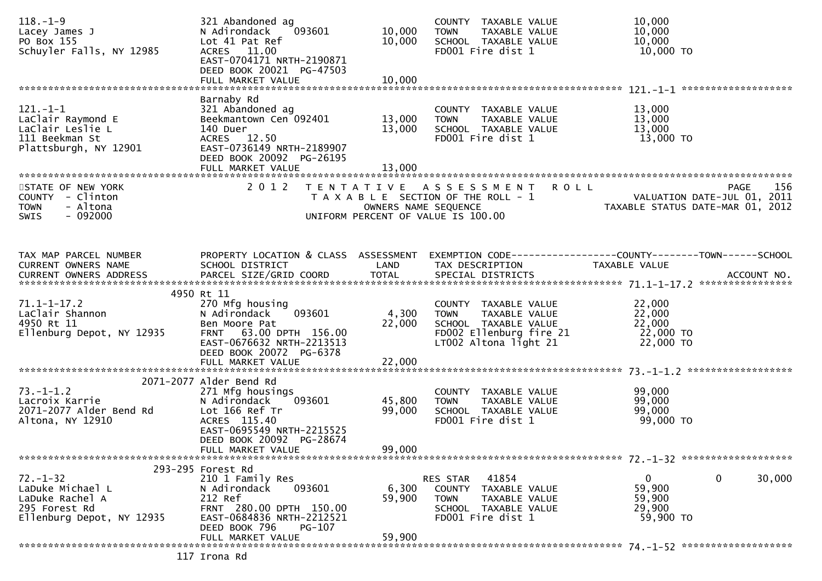| $118. - 1 - 9$<br>Lacey James J<br>PO Box 155<br>Schuyler Falls, NY 12985                           | 321 Abandoned ag<br>093601<br>N Adirondack<br>Lot 41 Pat Ref<br>ACRES 11.00<br>EAST-0704171 NRTH-2190871<br>DEED BOOK 20021 PG-47503                | 10,000<br>10,000           | COUNTY TAXABLE VALUE<br>TAXABLE VALUE<br><b>TOWN</b><br>SCHOOL TAXABLE VALUE<br>FD001 Fire dist 1                                  | 10,000<br>10,000<br>10,000<br>10,000 TO                                                          |
|-----------------------------------------------------------------------------------------------------|-----------------------------------------------------------------------------------------------------------------------------------------------------|----------------------------|------------------------------------------------------------------------------------------------------------------------------------|--------------------------------------------------------------------------------------------------|
|                                                                                                     | Barnaby Rd                                                                                                                                          |                            |                                                                                                                                    |                                                                                                  |
| $121. - 1 - 1$<br>LaClair Raymond E<br>LaClair Leslie L<br>111 Beekman St<br>Plattsburgh, NY 12901  | 321 Abandoned ag<br>Beekmantown Cen 092401<br>140 Duer<br>ACRES 12.50<br>EAST-0736149 NRTH-2189907<br>DEED BOOK 20092 PG-26195<br>FULL MARKET VALUE | 13,000<br>13,000<br>13,000 | COUNTY TAXABLE VALUE<br>TAXABLE VALUE<br><b>TOWN</b><br>SCHOOL TAXABLE VALUE<br>FD001 Fire dist 1                                  | 13,000<br>13,000<br>13,000<br>13,000 TO                                                          |
|                                                                                                     |                                                                                                                                                     |                            |                                                                                                                                    |                                                                                                  |
| STATE OF NEW YORK<br>COUNTY - Clinton<br>- Altona<br><b>TOWN</b><br>$-092000$<br>SWIS               | 2 0 1 2                                                                                                                                             | OWNERS NAME SEQUENCE       | <b>ROLL</b><br>TENTATIVE ASSESSMENT<br>T A X A B L E SECTION OF THE ROLL - 1<br>UNIFORM PERCENT OF VALUE IS 100.00                 | 156<br>PAGE<br>VALUATION DATE-JUL 01, 2011<br>TAXABLE STATUS DATE-MAR 01, 2012                   |
| TAX MAP PARCEL NUMBER                                                                               |                                                                                                                                                     |                            |                                                                                                                                    | PROPERTY LOCATION & CLASS ASSESSMENT EXEMPTION CODE----------------COUNTY-------TOWN------SCHOOL |
| CURRENT OWNERS NAME                                                                                 | SCHOOL DISTRICT                                                                                                                                     | LAND                       | TAX DESCRIPTION                                                                                                                    | TAXABLE VALUE                                                                                    |
|                                                                                                     | 4950 Rt 11                                                                                                                                          |                            |                                                                                                                                    |                                                                                                  |
| $71.1 - 1 - 17.2$<br>LaClair Shannon<br>4950 Rt 11<br>Ellenburg Depot, NY 12935                     | 270 Mfg housing<br>093601<br>N Adirondack<br>Ben Moore Pat<br>FRNT 63.00 DPTH 156.00<br>EAST-0676632 NRTH-2213513<br>DEED BOOK 20072 PG-6378        | 4,300<br>22,000            | COUNTY TAXABLE VALUE<br>TAXABLE VALUE<br><b>TOWN</b><br>SCHOOL TAXABLE VALUE<br>FD002 Ellenburg fire 21<br>$LT002$ Altona light 21 | 22,000<br>22,000<br>22,000<br>22,000 TO<br>22,000 TO                                             |
|                                                                                                     |                                                                                                                                                     |                            |                                                                                                                                    |                                                                                                  |
|                                                                                                     | 2071-2077 Alder Bend Rd                                                                                                                             |                            |                                                                                                                                    |                                                                                                  |
| $73. - 1 - 1.2$<br>Lacroix Karrie<br>2071-2077 Alder Bend Rd<br>Altona, NY 12910                    | 271 Mfg housings<br>093601<br>N Adirondack<br>Lot 166 Ref Tr<br>ACRES 115.40<br>EAST-0695549 NRTH-2215525<br>DEED BOOK 20092 PG-28674               | 45,800<br>99,000           | COUNTY TAXABLE VALUE<br><b>TOWN</b><br>TAXABLE VALUE<br>SCHOOL TAXABLE VALUE<br>FD001 Fire dist 1                                  | 99,000<br>99,000<br>99,000<br>99,000 TO                                                          |
|                                                                                                     | FULL MARKET VALUE                                                                                                                                   | 99,000                     |                                                                                                                                    |                                                                                                  |
|                                                                                                     | 293-295 Forest Rd                                                                                                                                   |                            |                                                                                                                                    |                                                                                                  |
| $72. - 1 - 32$<br>LaDuke Michael L<br>LaDuke Rachel A<br>295 Forest Rd<br>Ellenburg Depot, NY 12935 | 210 1 Family Res<br>N Adirondack<br>093601<br>212 Ref<br>FRNT 280.00 DPTH 150.00<br>EAST-0684836 NRTH-2212521<br>DEED BOOK 796<br>PG-107            | 6,300<br>59,900            | RES STAR 41854<br>COUNTY TAXABLE VALUE<br><b>TOWN</b><br>TAXABLE VALUE<br>SCHOOL TAXABLE VALUE<br>FD001 Fire dist 1                | $\mathbf 0$<br>$\mathbf 0$<br>30,000<br>59,900<br>59,900<br>29,900<br>59,900 TO                  |
|                                                                                                     | FULL MARKET VALUE                                                                                                                                   | 59,900                     |                                                                                                                                    |                                                                                                  |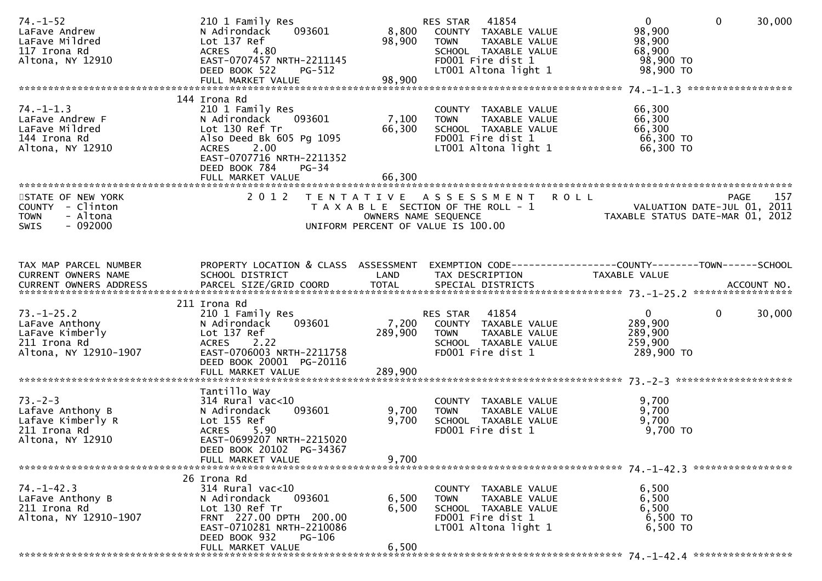| $74. - 1 - 52$<br>LaFave Andrew<br>LaFave Mildred<br>117 Irona Rd<br>Altona, NY 12910          | 210 1 Family Res<br>093601<br>N Adirondack<br>Lot 137 Ref<br>ACRES 4.80<br>EAST-0707457 NRTH-2211145<br>DEED BOOK 522<br><b>PG-512</b><br>FULL MARKET VALUE                              | 8,800<br>98,900<br>98,900   | RES STAR 41854<br>COUNTY TAXABLE VALUE<br><b>TOWN</b><br>TAXABLE VALUE<br>SCHOOL TAXABLE VALUE<br>FD001 Fire dist 1<br>LT001 Altona light 1 | $\mathbf{0}$<br>$\mathbf{0}$<br>30,000<br>98,900<br>98,900<br>68,900<br>98,900 TO<br>98,900 TO                                         |
|------------------------------------------------------------------------------------------------|------------------------------------------------------------------------------------------------------------------------------------------------------------------------------------------|-----------------------------|---------------------------------------------------------------------------------------------------------------------------------------------|----------------------------------------------------------------------------------------------------------------------------------------|
| $74. - 1 - 1.3$<br>LaFave Andrew F<br>LaFave Mildred<br>144 Irona Rd<br>Altona, NY 12910       | 144 Irona Rd<br>210 1 Family Res<br>093601<br>N Adirondack<br>Lot 130 Ref Tr<br>Also Deed Bk 605 Pg 1095<br>2.00<br>ACRES<br>EAST-0707716 NRTH-2211352<br>DEED BOOK 784<br>$PG-34$       | 7,100<br>66,300             | COUNTY TAXABLE VALUE<br>TAXABLE VALUE<br><b>TOWN</b><br>SCHOOL TAXABLE VALUE<br>FD001 Fire dist 1<br>LT001 Altona light 1                   | 66,300<br>66,300<br>66,300<br>66,300 TO<br>66,300 TO                                                                                   |
| STATE OF NEW YORK<br>COUNTY - Clinton<br>- Altona<br><b>TOWN</b><br>$-092000$<br><b>SWIS</b>   | 2012                                                                                                                                                                                     | OWNERS NAME SEQUENCE        | TENTATIVE ASSESSMENT ROLL<br>T A X A B L E SECTION OF THE ROLL - 1<br>UNIFORM PERCENT OF VALUE IS 100.00                                    | 157<br><b>PAGE</b><br>FAGE 157<br>VALUATION DATE-JUL 01, 2011<br>TAXARIF STATIIS DATE-MAR 01, 2013<br>TAXABLE STATUS DATE-MAR 01, 2012 |
| TAX MAP PARCEL NUMBER<br>CURRENT OWNERS NAME                                                   | SCHOOL DISTRICT                                                                                                                                                                          | LAND<br><b>TOTAL</b>        | TAX DESCRIPTION                                                                                                                             | PROPERTY LOCATION & CLASS ASSESSMENT EXEMPTION CODE----------------COUNTY-------TOWN------SCHOOL<br>TAXABLE VALUE                      |
| $73. - 1 - 25.2$<br>LaFave Anthony<br>LaFave Kimberly<br>211 Irona Rd<br>Altona, NY 12910-1907 | 211 Irona Rd<br>210 1 Family Res<br>093601<br>N Adirondack<br>Lot 137 Ref<br>ACRES 2.22<br>EAST-0706003 NRTH-2211758<br>DEED BOOK 20001 PG-20116<br>FULL MARKET VALUE                    | 7,200<br>289,900<br>289,900 | RES STAR 41854<br>COUNTY TAXABLE VALUE<br><b>TOWN</b><br>TAXABLE VALUE<br>SCHOOL TAXABLE VALUE<br>FD001 Fire dist 1                         | $\overline{0}$<br>$\mathbf{0}$<br>30,000<br>289,900<br>289,900<br>259,900<br>289,900 то                                                |
| $73. - 2 - 3$<br>Lafave Anthony B<br>Lafave Kimberly R<br>211 Irona Rd<br>Altona, NY 12910     | Tantillo Way<br>$314$ Rural vac< $10$<br>093601<br>N Adirondack<br>Lot 155 Ref<br>ACRES 5.90<br>EAST-0699207 NRTH-2215020<br>DEED BOOK 20102 PG-34367<br>FULL MARKET VALUE               | 9,700<br>9,700<br>9,700     | COUNTY TAXABLE VALUE<br><b>TOWN</b><br>TAXABLE VALUE<br>SCHOOL TAXABLE VALUE<br>FD001 Fire dist 1                                           | 9,700<br>9,700<br>9,700<br>9,700 TO                                                                                                    |
| $74. - 1 - 42.3$<br>LaFave Anthony B<br>211 Irona Rd<br>Altona, NY 12910-1907                  | 26 Irona Rd<br>$314$ Rural vac< $10$<br>093601<br>N Adirondack<br>Lot 130 Ref Tr<br>FRNT 227.00 DPTH 200.00<br>EAST-0710281 NRTH-2210086<br>DEED BOOK 932<br>PG-106<br>FULL MARKET VALUE | 6,500<br>6,500<br>6,500     | COUNTY TAXABLE VALUE<br>TAXABLE VALUE<br><b>TOWN</b><br>SCHOOL TAXABLE VALUE<br>FD001 Fire dist 1<br>LT001 Altona light 1                   | 6,500<br>6,500<br>6,500<br>6,500 TO<br>6,500 TO                                                                                        |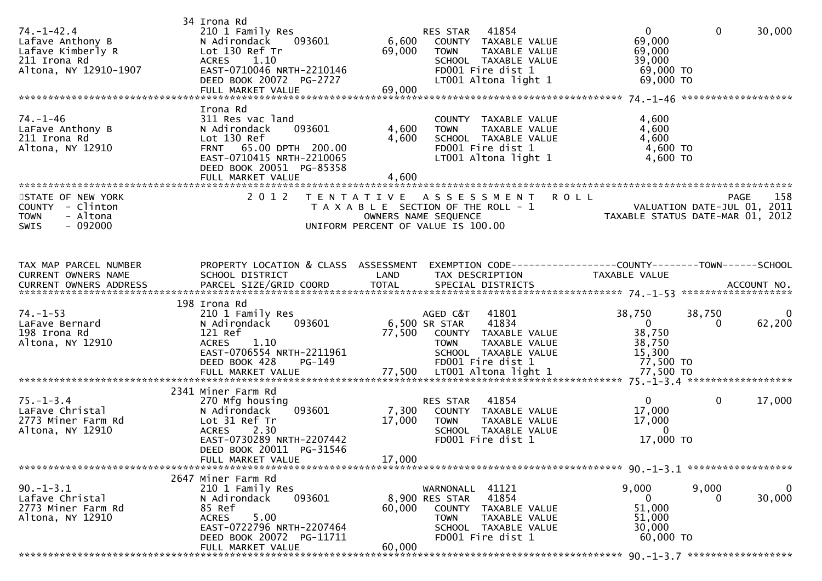| $74. - 1 - 42.4$<br>Lafave Anthony B<br>Lafave Kimberly R<br>211 Irona Rd<br>Altona, NY 12910-1907 | 34 Irona Rd<br>210 1 Family Res<br>N Adirondack<br>093601<br>Lot 130 Ref Tr<br><b>ACRES</b><br>1.10<br>EAST-0710046 NRTH-2210146<br>DEED BOOK 20072 PG-2727                            | 69,000                                                                          | RES STAR 41854<br>6,600 COUNTY TAXABLE VALUE<br>TAXABLE VALUE<br><b>TOWN</b><br>SCHOOL TAXABLE VALUE<br>FD001 Fire dist 1<br>LT001 Altona light 1 | $\overline{0}$<br>69,000<br>69,000<br>39,000<br>69,000 TO<br>69,000 TO                          | $\mathbf 0$<br>30,000                    |
|----------------------------------------------------------------------------------------------------|----------------------------------------------------------------------------------------------------------------------------------------------------------------------------------------|---------------------------------------------------------------------------------|---------------------------------------------------------------------------------------------------------------------------------------------------|-------------------------------------------------------------------------------------------------|------------------------------------------|
| 74. –1–46<br>LaFave Anthony B<br>211 Irona Rd<br>Altona, NY 12910                                  | Irona Rd<br>311 Res vac land<br>093601<br>N Adirondack<br>Lot 130 Ref<br>FRNT 65.00 DPTH 200.00<br>EAST-0710415 NRTH-2210065<br>DEED BOOK 20051 PG-85358<br>FULL MARKET VALUE          | 4,600<br>4,600<br>4,600                                                         | COUNTY TAXABLE VALUE<br><b>TOWN</b><br>TAXABLE VALUE<br>SCHOOL TAXABLE VALUE<br>FD001 Fire dist 1<br>LT001 Altona light 1                         | 4,600<br>4,600<br>4,600<br>4,600 TO<br>4,600 TO                                                 |                                          |
| STATE OF NEW YORK<br>COUNTY - Clinton<br><b>TOWN</b><br>- Altona<br><b>SWIS</b><br>- 092000        | 2 0 1 2                                                                                                                                                                                | T E N T A T I V E<br>OWNERS NAME SEQUENCE<br>UNIFORM PERCENT OF VALUE IS 100.00 | A S S E S S M E N T<br>T A X A B L E SECTION OF THE ROLL - 1                                                                                      | <b>ROLL</b><br>ROLL - 1<br>TAXABLE STATUS DATE-JUL 01, 2011<br>TAXABLE STATUS DATE-MAR 01, 2012 | 158<br><b>PAGE</b>                       |
| TAX MAP PARCEL NUMBER<br>CURRENT OWNERS NAME                                                       | PROPERTY LOCATION & CLASS ASSESSMENT<br>SCHOOL DISTRICT                                                                                                                                | LAND                                                                            | EXEMPTION CODE------------------COUNTY--------TOWN------SCHOOL<br>TAX DESCRIPTION                                                                 | TAXABLE VALUE                                                                                   |                                          |
| $74. - 1 - 53$<br>LaFave Bernard<br>198 Irona Rd<br>Altona, NY 12910                               | 198 Irona Rd<br>210 1 Family Res<br>N Adirondack<br>093601<br>121 Ref<br>ACRES 1.10<br>EAST-0706554 NRTH-2211961<br>DEED BOOK 428<br>PG-149                                            | 6,500 SR STAR                                                                   | 41801<br>AGED C&T<br>41834<br>77,500 COUNTY TAXABLE VALUE<br><b>TOWN</b><br>TAXABLE VALUE<br>SCHOOL TAXABLE VALUE<br>FD001 Fire dist 1            | 38,750<br>$\overline{0}$<br>38,750<br>38,750<br>15,300<br>77,500 TO                             | 38,750<br>$\Omega$<br>62,200<br>$\Omega$ |
| $75. - 1 - 3.4$<br>LaFave Christal<br>2773 Miner Farm Rd<br>Altona, NY 12910                       | 2341 Miner Farm Rd<br>270 Mfg housing<br>093601<br>N Adirondack<br>Lot 31 Ref Tr<br>2.30<br><b>ACRES</b><br>EAST-0730289 NRTH-2207442<br>DEED BOOK 20011 PG-31546<br>FULL MARKET VALUE | 7,300<br>17,000<br>17,000                                                       | RES STAR<br>41854<br>COUNTY TAXABLE VALUE<br>TAXABLE VALUE<br><b>TOWN</b><br>SCHOOL TAXABLE VALUE<br>FD001 Fire dist 1                            | $\mathbf{0}$<br>17,000<br>17,000<br>$\overline{0}$<br>17,000 TO                                 | $\mathbf{0}$<br>17,000                   |
| $90. -1 - 3.1$<br>Lafave Christal<br>2773 Miner Farm Rd<br>Altona, NY 12910                        | 2647 Miner Farm Rd<br>210 1 Family Res<br>093601<br>N Adirondack<br>85 Ref<br>5.00<br><b>ACRES</b><br>EAST-0722796 NRTH-2207464<br>DEED BOOK 20072 PG-11711<br>FULL MARKET VALUE       | 8,900 RES STAR<br>60,000<br>60,000                                              | WARNONALL 41121<br>41854<br>COUNTY TAXABLE VALUE<br><b>TOWN</b><br>TAXABLE VALUE<br>SCHOOL TAXABLE VALUE<br>FD001 Fire dist 1                     | 9,000<br>$\Omega$<br>51,000<br>51,000<br>30,000<br>60,000 TO                                    | 9,000<br>0<br>30,000<br>$\Omega$         |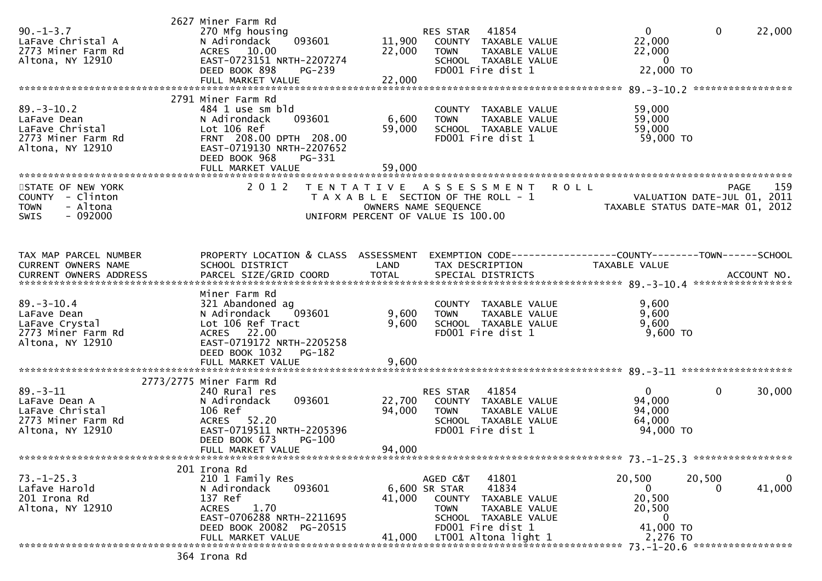| $90. - 1 - 3.7$<br>LaFave Christal A<br>2773 Miner Farm Rd<br>Altona, NY 12910               | 2627 Miner Farm Rd<br>270 Mfg housing<br>N Adirondack<br>093601<br>ACRES 10.00<br>EAST-0723151 NRTH-2207274<br>DEED BOOK 898<br>PG-239<br>FULL MARKET VALUE                             | 11,900<br>22,000<br>22,000 | RES STAR 41854<br>COUNTY TAXABLE VALUE<br>TAXABLE VALUE<br><b>TOWN</b><br>SCHOOL TAXABLE VALUE<br>FD001 Fire dist 1                                                      | $\mathbf{0}$<br>22,000<br>22,000<br>$\overline{0}$<br>22,000 TO            | $\mathbf 0$<br>22,000                    |
|----------------------------------------------------------------------------------------------|-----------------------------------------------------------------------------------------------------------------------------------------------------------------------------------------|----------------------------|--------------------------------------------------------------------------------------------------------------------------------------------------------------------------|----------------------------------------------------------------------------|------------------------------------------|
| $89. - 3 - 10.2$<br>LaFave Dean<br>LaFave Christal<br>2773 Miner Farm Rd<br>Altona, NY 12910 | 2791 Miner Farm Rd<br>484 1 use sm bld<br>093601<br>N Adirondack<br>Lot 106 Ref<br>FRNT 208.00 DPTH 208.00<br>EAST-0719130 NRTH-2207652<br>DEED BOOK 968<br>PG-331<br>FULL MARKET VALUE | 6,600<br>59,000<br>59,000  | COUNTY TAXABLE VALUE<br>TAXABLE VALUE<br><b>TOWN</b><br>SCHOOL TAXABLE VALUE<br>FD001 Fire dist 1                                                                        | 59,000<br>59,000<br>59,000<br>59,000 TO                                    |                                          |
| STATE OF NEW YORK<br>COUNTY - Clinton<br>- Altona<br><b>TOWN</b><br>$-092000$<br>SWIS        | 2 0 1 2                                                                                                                                                                                 |                            | TENTATIVE ASSESSMENT ROLL<br>T A X A B L E SECTION OF THE ROLL - 1<br>OWNERS NAME SEQUENCE<br>UNIFORM PERCENT OF VALUE IS 100.00                                         | VALUATION DATE-JUL 01, 2011<br>TAXABLE STATUS DATE-MAR 01, 2012            | 159<br>PAGE                              |
| TAX MAP PARCEL NUMBER<br>CURRENT OWNERS NAME                                                 | PROPERTY LOCATION & CLASS ASSESSMENT<br>SCHOOL DISTRICT                                                                                                                                 | LAND                       | EXEMPTION CODE-----------------COUNTY-------TOWN------SCHOOL<br>TAX DESCRIPTION                                                                                          | TAXABLE VALUE                                                              |                                          |
| $89. - 3 - 10.4$<br>LaFave Dean<br>LaFave Crystal<br>2773 Miner Farm Rd<br>Altona, NY 12910  | Miner Farm Rd<br>321 Abandoned ag<br>093601<br>N Adirondack<br>Lot 106 Ref Tract<br>ACRES 22.00<br>EAST-0719172 NRTH-2205258<br>DEED BOOK 1032<br><b>PG-182</b><br>FULL MARKET VALUE    | 9,600<br>9,600<br>9,600    | COUNTY TAXABLE VALUE<br><b>TOWN</b><br>TAXABLE VALUE<br>SCHOOL TAXABLE VALUE<br>FD001 Fire dist 1                                                                        | 9,600<br>9,600<br>9,600<br>9,600 TO                                        |                                          |
| $89 - 3 - 11$<br>LaFave Dean A<br>LaFave Christal<br>2773 Miner Farm Rd<br>Altona, NY 12910  | 2773/2775 Miner Farm Rd<br>240 Rural res<br>N Adirondack<br>093601<br>106 Ref<br>ACRES 52.20<br>EAST-0719511 NRTH-2205396<br>DEED BOOK 673<br>$PG-100$<br>FULL MARKET VALUE             | 22,700<br>94,000<br>94,000 | 41854<br>RES STAR<br>COUNTY TAXABLE VALUE<br><b>TOWN</b><br>TAXABLE VALUE<br>SCHOOL TAXABLE VALUE<br>FD001 Fire dist 1                                                   | $\overline{0}$<br>94,000<br>94,000<br>64,000<br>94,000 TO                  | 0<br>30,000                              |
| $73. - 1 - 25.3$<br>Lafave Harold<br>201 Irona Rd<br>Altona, NY 12910                        | 201 Irona Rd<br>210 1 Family Res<br>N Adirondack<br>093601<br>137 Ref<br>1.70<br><b>ACRES</b><br>EAST-0706288 NRTH-2211695<br>DEED BOOK 20082 PG-20515<br>FULL MARKET VALUE             | 41,000<br>41,000           | 41801<br>AGED C&T<br>41834<br>6,600 SR STAR<br>COUNTY TAXABLE VALUE<br>TAXABLE VALUE<br><b>TOWN</b><br>SCHOOL TAXABLE VALUE<br>FD001 Fire dist 1<br>LT001 Altona light 1 | 20,500<br>$\overline{0}$<br>20,500<br>20,500<br>0<br>41,000 TO<br>2,276 TO | 20,500<br>$\bf{0}$<br>41,000<br>$\Omega$ |
|                                                                                              | 364 Irona Rd                                                                                                                                                                            |                            |                                                                                                                                                                          |                                                                            |                                          |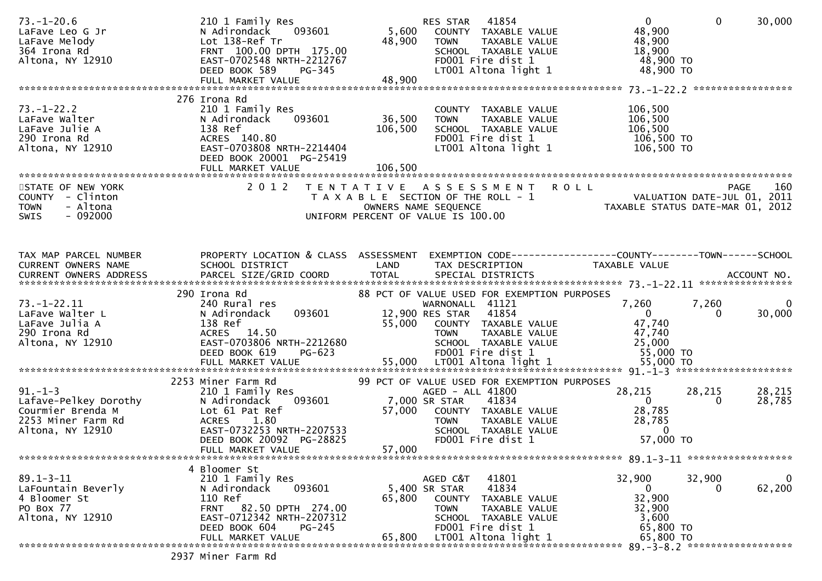| $73. - 1 - 20.6$<br>LaFave Leo G Jr<br>LaFave Melody<br>364 Irona Rd<br>Altona, NY 12910              | 210 1 Family Res<br>093601<br>N Adirondack<br>Lot 138-Ref Tr<br>FRNT 100.00 DPTH 175.00<br>EAST-0702548 NRTH-2212767<br>PG-345<br>DEED BOOK 589<br>FULL MARKET VALUE                     | 48,900<br>48,900             | 41854<br>RES STAR<br>5,600 COUNTY TAXABLE VALUE<br><b>TOWN</b><br>TAXABLE VALUE<br>SCHOOL TAXABLE VALUE<br>FD001 Fire dist 1<br>LT001 Altona light 1                                                          | $\overline{0}$<br>48,900<br>48,900<br>18,900<br>48,900 TO<br>48,900 TO                       | $\mathbf{0}$<br>30,000          |                    |
|-------------------------------------------------------------------------------------------------------|------------------------------------------------------------------------------------------------------------------------------------------------------------------------------------------|------------------------------|---------------------------------------------------------------------------------------------------------------------------------------------------------------------------------------------------------------|----------------------------------------------------------------------------------------------|---------------------------------|--------------------|
| $73. - 1 - 22.2$<br>LaFave Walter<br>LaFave Julie A<br>290 Irona Rd<br>Altona, NY 12910               | 276 Irona Rd<br>210 1 Family Res<br>093601<br>N Adirondack<br>138 Ref<br>ACRES 140.80<br>EAST-0703808 NRTH-2214404<br>DEED BOOK 20001 PG-25419<br>FULL MARKET VALUE                      | 36,500<br>106,500<br>106,500 | COUNTY TAXABLE VALUE<br><b>TOWN</b><br>TAXABLE VALUE<br>SCHOOL TAXABLE VALUE<br>FD001 Fire dist 1<br>LT001 Altona light 1                                                                                     | 106,500<br>106,500<br>106,500<br>106,500 TO<br>106,500 то                                    |                                 |                    |
| STATE OF NEW YORK<br>COUNTY - Clinton<br>- Altona<br><b>TOWN</b><br>$-092000$<br><b>SWIS</b>          | 2 0 1 2                                                                                                                                                                                  |                              | TENTATIVE ASSESSMENT ROLL<br>T A X A B L E SECTION OF THE ROLL - 1<br>OWNERS NAME SEQUENCE<br>UNIFORM PERCENT OF VALUE IS 100.00                                                                              | ROLL - 1 NOLL - 2011<br>TAXABLE STATUS DATE-JUL 01, 2011<br>TAXABLE STATUS DATE-MAR 01, 2012 | PAGE                            | 160                |
| TAX MAP PARCEL NUMBER<br>CURRENT OWNERS NAME                                                          | PROPERTY LOCATION & CLASS ASSESSMENT EXEMPTION CODE----------------COUNTY-------TOWN------SCHOOL<br>SCHOOL DISTRICT                                                                      | LAND                         | TAX DESCRIPTION                                                                                                                                                                                               | TAXABLE VALUE                                                                                |                                 |                    |
| $73. - 1 - 22.11$<br>LaFave Walter L<br>LaFave Julia A<br>290 Irona Rd<br>Altona, NY 12910            | 290 Irona Rd<br>240 Rural res<br>093601<br>N Adirondack<br>138 Ref<br>ACRES 14.50<br>EAST-0703806 NRTH-2212680<br>DEED BOOK 619<br>PG-623                                                | 55,000                       | 88 PCT OF VALUE USED FOR EXEMPTION PURPOSES<br>WARNONALL 41121<br>12,900 RES STAR 41854<br>COUNTY TAXABLE VALUE<br><b>TOWN</b><br>TAXABLE VALUE<br>TAXABLE VALUE<br>SCHOOL TAXABLE VALUE<br>FD001 Fire dist 1 | 7,260<br>$\overline{0}$<br>47,740<br>47,740<br>25,000<br>55,000 TO                           | 7,260<br>30,000<br>$\Omega$     | $\overline{0}$     |
| $91. - 1 - 3$<br>Lafave-Pelkey Dorothy<br>Courmier Brenda M<br>2253 Miner Farm Rd<br>Altona, NY 12910 | 2253 Miner Farm Rd<br>210 1 Family Res<br>093601<br>N Adirondack<br>Lot 61 Pat Ref<br><b>ACRES</b><br>1.80<br>EAST-0732253 NRTH-2207533<br>DEED BOOK 20092 PG-28825<br>FULL MARKET VALUE | 57,000<br>57,000             | 99 PCT OF VALUE USED FOR EXEMPTION PURPOSES<br>AGED - ALL 41800<br>7,000 SR STAR<br>41834<br>COUNTY TAXABLE VALUE<br><b>TOWN</b><br>TAXABLE VALUE<br>SCHOOL TAXABLE VALUE<br>FD001 Fire dist 1                | 28,215<br>$\overline{0}$<br>28,785<br>28,785<br>$\Omega$<br>57,000 TO                        | 28,215<br>28,215<br>28,785<br>0 |                    |
| $89.1 - 3 - 11$<br>LaFountain Beverly<br>4 Bloomer St<br>PO Box 77<br>Altona, NY 12910                | 4 Bloomer St<br>210 1 Family Res<br>093601<br>N Adirondack<br>110 Ref<br>FRNT 82.50 DPTH 274.00<br>EAST-0712342 NRTH-2207312<br>DEED BOOK 604<br>$PG-245$<br>FULL MARKET VALUE           | 65,800<br>65,800             | 41801<br>AGED C&T<br>41834<br>5,400 SR STAR<br>COUNTY<br>TAXABLE VALUE<br><b>TOWN</b><br>TAXABLE VALUE<br>SCHOOL TAXABLE VALUE<br>FD001 Fire dist 1<br>LT001 Altona light 1                                   | 32,900<br>$\overline{0}$<br>32,900<br>32,900<br>3,600<br>65,800 TO<br>65,800 TO              | 32,900                          | $\bf{0}$<br>62,200 |
|                                                                                                       | 2937 Miner Farm Rd                                                                                                                                                                       |                              |                                                                                                                                                                                                               |                                                                                              |                                 |                    |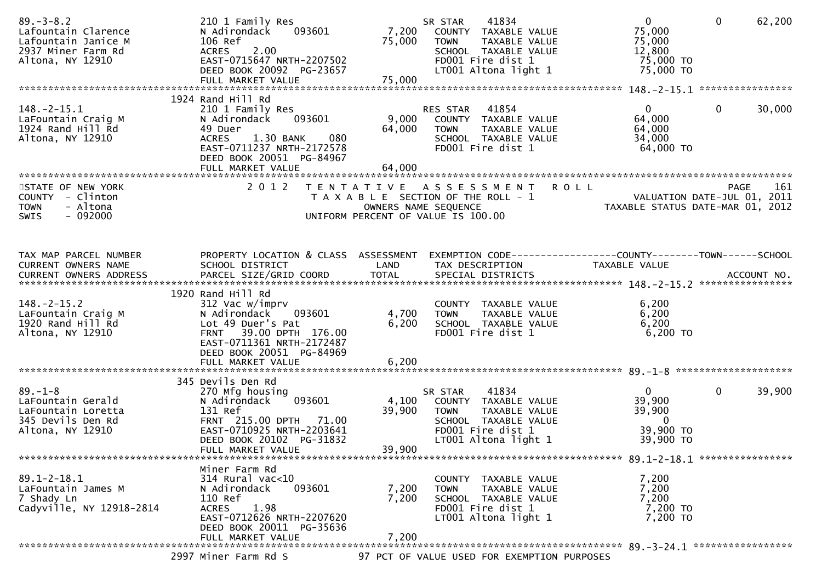| $89. - 3 - 8.2$<br>Lafountain Clarence<br>Lafountain Janice M<br>2937 Miner Farm Rd<br>Altona, NY 12910 | 210 1 Family Res<br>093601<br>N Adirondack<br>106 Ref<br>ACRES 2.00<br>EAST-0715647 NRTH-2207502<br>DEED BOOK 20092 PG-23657                                            | 7,200<br>75,000           | 41834<br>SR STAR<br>COUNTY TAXABLE VALUE<br>TAXABLE VALUE<br><b>TOWN</b><br>SCHOOL TAXABLE VALUE<br>FD001 Fire dist 1<br>LT001 Altona light 1 | $\mathbf{0}$<br>75,000<br>75,000<br>12,800<br>75,000 TO<br>75,000 TO         | $\mathbf{0}$<br>62,200                     |
|---------------------------------------------------------------------------------------------------------|-------------------------------------------------------------------------------------------------------------------------------------------------------------------------|---------------------------|-----------------------------------------------------------------------------------------------------------------------------------------------|------------------------------------------------------------------------------|--------------------------------------------|
|                                                                                                         | 1924 Rand Hill Rd                                                                                                                                                       |                           |                                                                                                                                               |                                                                              |                                            |
| $148. - 2 - 15.1$<br>LaFountain Craig M<br>1924 Rand Hill Rd<br>Altona, NY 12910                        | 210 1 Family Res<br>N Adirondack<br>093601<br>49 Duer<br>1.30 BANK<br>080<br><b>ACRES</b><br>EAST-0711237 NRTH-2172578<br>DEED BOOK 20051 PG-84967<br>FULL MARKET VALUE | 9,000<br>64,000<br>64,000 | RES STAR<br>41854<br>COUNTY TAXABLE VALUE<br><b>TOWN</b><br>TAXABLE VALUE<br>SCHOOL TAXABLE VALUE<br>FD001 Fire dist 1                        | $\mathbf{0}$<br>64,000<br>64,000<br>34,000<br>64,000 TO                      | $\mathbf{0}$<br>30,000                     |
|                                                                                                         | 2 0 1 2                                                                                                                                                                 |                           | <b>ROLL</b>                                                                                                                                   |                                                                              | 161                                        |
| STATE OF NEW YORK<br>COUNTY - Clinton<br>- Altona<br><b>TOWN</b><br>$-092000$<br>SWIS                   |                                                                                                                                                                         |                           | TENTATIVE ASSESSMENT<br>T A X A B L E SECTION OF THE ROLL - 1<br>OWNERS NAME SEQUENCE<br>UNIFORM PERCENT OF VALUE IS 100.00                   | TAXABLE STATUS DATE-MAR 01, 2012                                             | <b>PAGE</b><br>VALUATION DATE-JUL 01, 2011 |
| TAX MAP PARCEL NUMBER<br>CURRENT OWNERS NAME                                                            | PROPERTY LOCATION & CLASS ASSESSMENT<br>SCHOOL DISTRICT                                                                                                                 | LAND                      | EXEMPTION CODE-----------------COUNTY-------TOWN------SCHOOL<br>TAX DESCRIPTION                                                               | TAXABLE VALUE                                                                |                                            |
|                                                                                                         |                                                                                                                                                                         |                           |                                                                                                                                               |                                                                              |                                            |
|                                                                                                         | 1920 Rand Hill Rd                                                                                                                                                       |                           |                                                                                                                                               |                                                                              |                                            |
| $148. - 2 - 15.2$<br>LaFountain Craig M<br>1920 Rand Hill Rd<br>Altona, NY 12910                        | 312 Vac w/imprv<br>N Adirondack<br>093601<br>Lot 49 Duer's Pat<br>FRNT 39.00 DPTH 176.00<br>EAST-0711361 NRTH-2172487<br>DEED BOOK 20051 PG-84969                       | 4,700<br>6,200            | COUNTY TAXABLE VALUE<br>TAXABLE VALUE<br><b>TOWN</b><br>SCHOOL TAXABLE VALUE<br>FD001 Fire dist 1                                             | 6,200<br>6,200<br>6,200<br>6,200 TO                                          |                                            |
|                                                                                                         |                                                                                                                                                                         |                           |                                                                                                                                               |                                                                              |                                            |
|                                                                                                         | 345 Devils Den Rd                                                                                                                                                       |                           |                                                                                                                                               |                                                                              |                                            |
| $89. - 1 - 8$<br>LaFountain Gerald<br>LaFountain Loretta<br>345 Devils Den Rd<br>Altona, NY 12910       | 270 Mfg housing<br>093601<br>N Adirondack<br>131 Ref<br>FRNT 215.00 DPTH 71.00<br>EAST-0710925 NRTH-2203641<br>DEED BOOK 20102 PG-31832                                 | 4,100<br>39,900           | 41834<br>SR STAR<br>COUNTY TAXABLE VALUE<br>TAXABLE VALUE<br><b>TOWN</b><br>SCHOOL TAXABLE VALUE<br>FD001 Fire dist 1<br>LT001 Altona light 1 | $\mathbf{0}$<br>39,900<br>39,900<br>$\overline{0}$<br>39,900 TO<br>39,900 TO | 0<br>39,900                                |
|                                                                                                         | FULL MARKET VALUE                                                                                                                                                       | 39,900                    |                                                                                                                                               |                                                                              |                                            |
|                                                                                                         | Miner Farm Rd                                                                                                                                                           |                           |                                                                                                                                               |                                                                              |                                            |
| $89.1 - 2 - 18.1$<br>LaFountain James M<br>7 Shady Ln<br>Cadyville, NY 12918-2814                       | $314$ Rural vac<10<br>093601<br>N Adirondack<br>110 Ref<br>1.98<br><b>ACRES</b><br>EAST-0712626 NRTH-2207620<br>DEED BOOK 20011 PG-35636                                | 7,200<br>7,200            | COUNTY TAXABLE VALUE<br>TAXABLE VALUE<br><b>TOWN</b><br>SCHOOL TAXABLE VALUE<br>FD001 Fire dist 1<br>LT001 Altona light 1                     | 7,200<br>7,200<br>7,200<br>7,200 TO<br>7,200 TO                              |                                            |
|                                                                                                         | FULL MARKET VALUE                                                                                                                                                       | 7,200                     |                                                                                                                                               |                                                                              |                                            |
|                                                                                                         | 2997 Miner Farm Rd S                                                                                                                                                    |                           | 97 PCT OF VALUE USED FOR EXEMPTION PURPOSES                                                                                                   |                                                                              |                                            |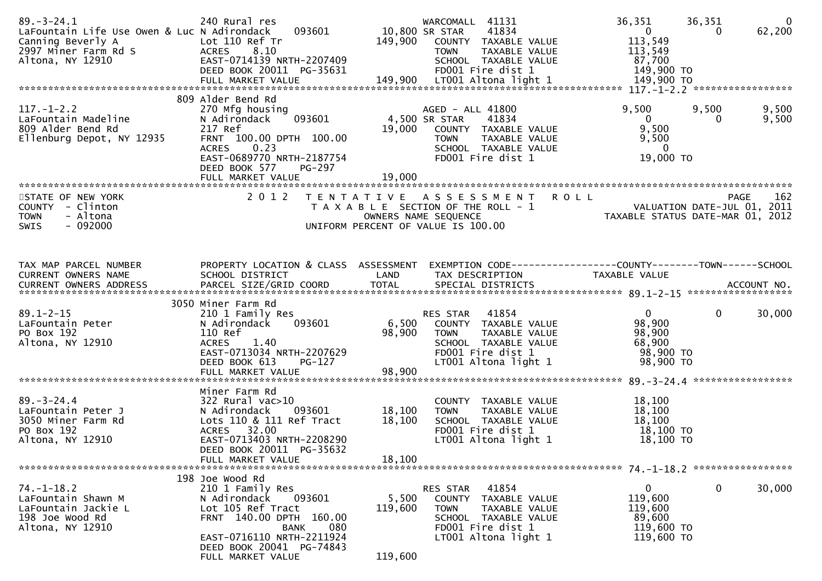| $89. - 3 - 24.1$<br>LaFountain Life Use Owen & Luc N Adirondack<br>Canning Beverly A<br>2997 Miner Farm Rd S<br>Altona, NY 12910 | 240 Rural res<br>093601<br>Lot 110 Ref Tr<br><b>ACRES</b><br>8.10<br>EAST-0714139 NRTH-2207409<br>DEED BOOK 20011 PG-35631                                                                                 | 10,800 SR STAR<br>149,900   | WARCOMALL 41131<br>41834<br>COUNTY TAXABLE VALUE<br><b>TOWN</b><br>TAXABLE VALUE<br>SCHOOL TAXABLE VALUE<br>FD001 Fire dist 1                     | 36,351<br>$\overline{0}$<br>113,549<br>113,549<br>87,700<br>149,900 TO                                       | $\overline{0}$<br>36,351<br>62,200<br>0 |
|----------------------------------------------------------------------------------------------------------------------------------|------------------------------------------------------------------------------------------------------------------------------------------------------------------------------------------------------------|-----------------------------|---------------------------------------------------------------------------------------------------------------------------------------------------|--------------------------------------------------------------------------------------------------------------|-----------------------------------------|
| $117. - 1 - 2.2$<br>LaFountain Madeline<br>809 Alder Bend Rd<br>Ellenburg Depot, NY 12935                                        | 809 Alder Bend Rd<br>270 Mfg housing<br>093601<br>N Adirondack<br>217 Ref<br>FRNT 100.00 DPTH 100.00<br>0.23<br>ACRES<br>EAST-0689770 NRTH-2187754<br>DEED BOOK 577<br>PG-297                              | 19,000                      | AGED - ALL 41800<br>4,500 SR STAR<br>41834<br>COUNTY TAXABLE VALUE<br><b>TOWN</b><br>TAXABLE VALUE<br>SCHOOL TAXABLE VALUE<br>FD001 Fire dist 1   | 9,500<br>$\overline{0}$<br>9,500<br>9,500<br>$\overline{\mathbf{0}}$<br>19,000 TO                            | 9,500<br>9,500<br>9,500                 |
| STATE OF NEW YORK<br>COUNTY - Clinton<br><b>TOWN</b><br>- Altona<br>$-092000$<br>SWIS                                            | 2 0 1 2                                                                                                                                                                                                    |                             | TENTATIVE ASSESSMENT<br>T A X A B L E SECTION OF THE ROLL - 1<br>OWNERS NAME SEQUENCE<br>UNIFORM PERCENT OF VALUE IS 100.00                       | <b>ROLL</b><br>261 - YALUATION DATE-JUL<br>2011 - VALUATION DATE-JUL<br>2013 - TAXABLE STATIIS DATE-MAR 2013 | 162<br>PAGE                             |
| TAX MAP PARCEL NUMBER<br>CURRENT OWNERS NAME                                                                                     | PROPERTY LOCATION & CLASS ASSESSMENT<br>SCHOOL DISTRICT                                                                                                                                                    | LAND                        | EXEMPTION CODE-----------------COUNTY-------TOWN------SCHOOL<br>TAX DESCRIPTION                                                                   | TAXABLE VALUE                                                                                                |                                         |
| $89.1 - 2 - 15$<br>LaFountain Peter<br>PO Box 192<br>Altona, NY 12910                                                            | 3050 Miner Farm Rd<br>210 1 Family Res<br>093601<br>N Adirondack<br>110 Ref<br>1.40<br><b>ACRES</b><br>EAST-0713034 NRTH-2207629<br>DEED BOOK 613<br>$PG-127$<br>FULL MARKET VALUE                         | 6,500<br>98,900<br>98,900   | 41854<br>RES STAR<br>COUNTY TAXABLE VALUE<br><b>TOWN</b><br>TAXABLE VALUE<br>SCHOOL TAXABLE VALUE<br>FD001 Fire dist 1<br>LT001 Altona light 1    | $\overline{0}$<br>98,900<br>98,900<br>68,900<br>98,900 TO<br>98,900 TO                                       | $\mathbf{0}$<br>30,000                  |
| $89. - 3 - 24.4$<br>LaFountain Peter J<br>3050 Miner Farm Rd<br>PO Box 192<br>Altona, NY 12910                                   | Miner Farm Rd<br>$322$ Rural vac $>10$<br>N Adirondack<br>093601<br>Lots 110 & 111 Ref Tract<br>ACRES 32.00<br>EAST-0713403 NRTH-2208290<br>DEED BOOK 20011 PG-35632<br>FULL MARKET VALUE                  | 18,100<br>18,100<br>18,100  | COUNTY TAXABLE VALUE<br>TAXABLE VALUE<br><b>TOWN</b><br>SCHOOL TAXABLE VALUE<br>FD001 Fire dist 1<br>LT001 Altona light 1                         | 18,100<br>18,100<br>18,100<br>18,100 TO<br>18,100 TO                                                         |                                         |
| $74. - 1 - 18.2$<br>LaFountain Shawn M<br>LaFountain Jackie L<br>198 Joe Wood Rd<br>Altona, NY 12910                             | 198 Joe Wood Rd<br>210 1 Family Res<br>N Adirondack<br>093601<br>Lot 105 Ref Tract<br>FRNT 140.00 DPTH 160.00<br>080<br>BANK<br>EAST-0716110 NRTH-2211924<br>DEED BOOK 20041 PG-74843<br>FULL MARKET VALUE | 5,500<br>119,600<br>119,600 | RES STAR<br>41854<br>COUNTY<br>TAXABLE VALUE<br><b>TOWN</b><br>TAXABLE VALUE<br>SCHOOL TAXABLE VALUE<br>FD001 Fire dist 1<br>LT001 Altona light 1 | $\mathbf 0$<br>119,600<br>119,600<br>89,600<br>119,600 TO<br>119,600 TO                                      | 0<br>30,000                             |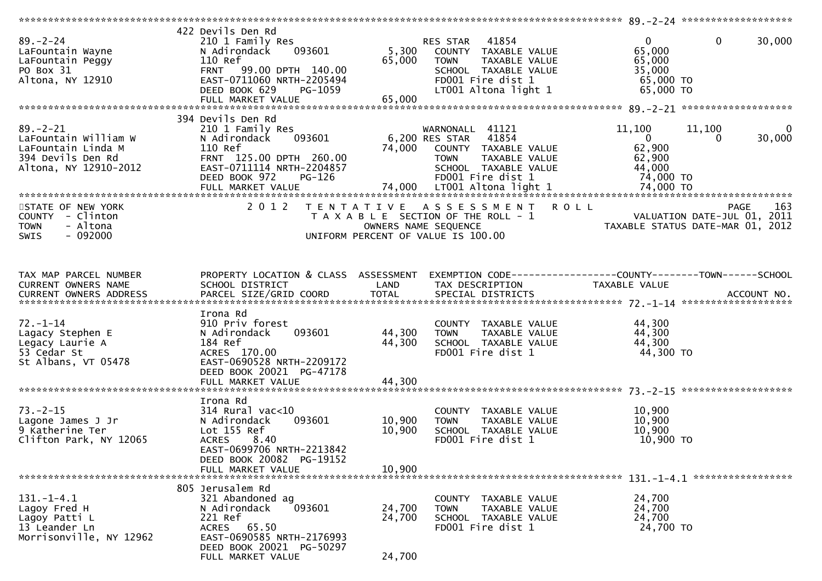| $89. - 2 - 24$<br>LaFountain Wayne<br>LaFountain Peggy<br>PO Box 31<br>Altona, NY 12910                    | 422 Devils Den Rd<br>210 1 Family Res<br>N Adirondack<br>093601<br>110 Ref<br>99.00 DPTH 140.00<br><b>FRNT</b><br>EAST-0711060 NRTH-2205494<br>DEED BOOK 629<br>PG-1059<br>FULL MARKET VALUE | 41854<br>RES STAR<br>5,300<br>COUNTY TAXABLE VALUE<br>65,000<br>TAXABLE VALUE<br><b>TOWN</b><br>SCHOOL TAXABLE VALUE<br>FD001 Fire dist 1<br>LT001 Altona light 1<br>65,000 | $\overline{0}$<br>$\mathbf{0}$<br>30,000<br>65,000<br>65,000<br>35,000<br>$65,000$ TO<br>65,000 TO  |
|------------------------------------------------------------------------------------------------------------|----------------------------------------------------------------------------------------------------------------------------------------------------------------------------------------------|-----------------------------------------------------------------------------------------------------------------------------------------------------------------------------|-----------------------------------------------------------------------------------------------------|
| $89. - 2 - 21$<br>LaFountain William W<br>LaFountain Linda M<br>394 Devils Den Rd<br>Altona, NY 12910-2012 | 394 Devils Den Rd<br>210 1 Family Res<br>093601<br>N Adirondack<br>110 Ref<br>FRNT 125.00 DPTH 260.00<br>EAST-0711114 NRTH-2204857<br>DEED BOOK 972<br><b>PG-126</b>                         | WARNONALL 41121<br>41854<br>6,200 RES STAR<br>74,000<br>COUNTY TAXABLE VALUE<br>TAXABLE VALUE<br><b>TOWN</b><br>SCHOOL TAXABLE VALUE<br>FD001 Fire dist 1                   | 11,100<br>11,100<br>0<br>$\overline{0}$<br>30,000<br>0<br>62,900<br>62,900<br>44,000<br>74,000 TO   |
| STATE OF NEW YORK<br>COUNTY - Clinton<br>- Altona<br><b>TOWN</b><br>$-092000$<br><b>SWIS</b>               |                                                                                                                                                                                              | 2012 TENTATIVE ASSESSMENT ROLL<br>T A X A B L E SECTION OF THE ROLL - 1<br>OWNERS NAME SEQUENCE<br>UNIFORM PERCENT OF VALUE IS 100.00                                       | 163<br><b>PAGE</b><br>$\frac{1}{2}$ valuation date-jul 01, 2011<br>TAXABLE STATUS DATE-MAR 01, 2012 |
| TAX MAP PARCEL NUMBER<br>CURRENT OWNERS NAME                                                               | PROPERTY LOCATION & CLASS ASSESSMENT<br>SCHOOL DISTRICT                                                                                                                                      | LAND<br>TAX DESCRIPTION                                                                                                                                                     | EXEMPTION CODE-----------------COUNTY--------TOWN------SCHOOL<br>TAXABLE VALUE                      |
| $72. - 1 - 14$<br>Lagacy Stephen E<br>Legacy Laurie A<br>53 Cedar St<br>St Albans, VT 05478                | Irona Rd<br>910 Priv forest<br>093601<br>N Adirondack<br>184 Ref<br>ACRES 170.00<br>EAST-0690528 NRTH-2209172<br>DEED BOOK 20021 PG-47178<br>FULL MARKET VALUE                               | COUNTY TAXABLE VALUE<br>44,300<br><b>TOWN</b><br>TAXABLE VALUE<br>44,300<br>SCHOOL TAXABLE VALUE<br>FD001 Fire dist 1<br>44,300                                             | 44,300<br>44,300<br>44,300<br>44,300 TO                                                             |
| $73. - 2 - 15$<br>Lagone James J Jr<br>9 Katherine Ter<br>Clifton Park, NY 12065                           | Irona Rd<br>$314$ Rural vac<10<br>093601<br>N Adirondack<br>Lot 155 Ref<br><b>ACRES</b><br>8.40<br>EAST-0699706 NRTH-2213842<br>DEED BOOK 20082 PG-19152<br>FULL MARKET VALUE                | COUNTY TAXABLE VALUE<br>10,900<br>TAXABLE VALUE<br><b>TOWN</b><br>10,900<br>SCHOOL TAXABLE VALUE<br>FD001 Fire dist 1<br>10,900                                             | 10,900<br>10,900<br>10,900<br>10,900 TO                                                             |
| $131. - 1 - 4.1$<br>Lagoy Fred H<br>Lagoy Patti L<br>13 Leander Ln<br>Morrisonville, NY 12962              | 805 Jerusalem Rd<br>321 Abandoned ag<br>093601<br>N Adirondack<br>221 Ref<br>ACRES 65.50<br>EAST-0690585 NRTH-2176993<br>DEED BOOK 20021 PG-50297<br>FULL MARKET VALUE                       | COUNTY TAXABLE VALUE<br>24,700<br><b>TOWN</b><br>TAXABLE VALUE<br>24,700<br>SCHOOL TAXABLE VALUE<br>FD001 Fire dist 1<br>24,700                                             | 24,700<br>24,700<br>24,700<br>24,700 TO                                                             |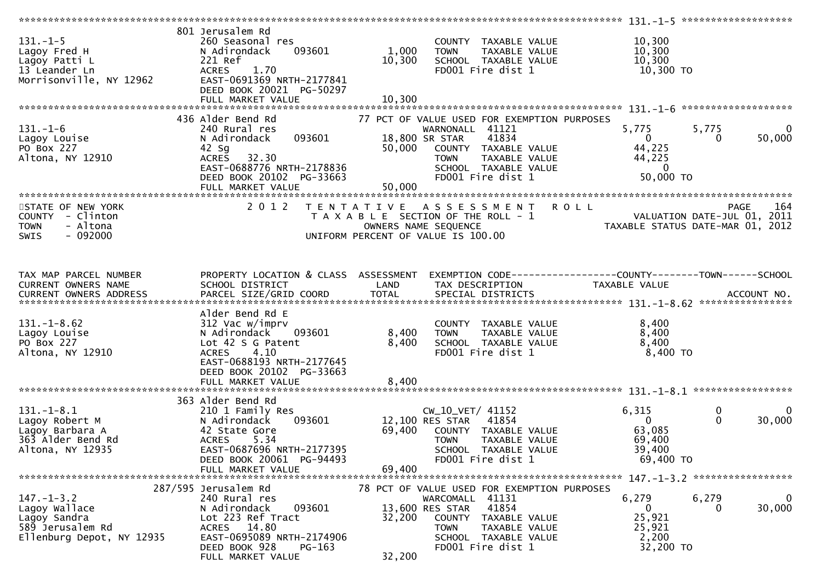|                                                                                                    |                                                                                                                                                                                  |                         |                                                                                                                                                                                                    | *************** 131.-1-5 ********************                    |                                                 |
|----------------------------------------------------------------------------------------------------|----------------------------------------------------------------------------------------------------------------------------------------------------------------------------------|-------------------------|----------------------------------------------------------------------------------------------------------------------------------------------------------------------------------------------------|------------------------------------------------------------------|-------------------------------------------------|
| $131. - 1 - 5$<br>Lagoy Fred H<br>Lagoy Patti L<br>13 Leander Ln<br>Morrisonville, NY 12962        | 801 Jerusalem Rd<br>260 Seasonal res<br>N Adirondack<br>093601<br>221 Ref<br><b>ACRES</b><br>1.70<br>EAST-0691369 NRTH-2177841<br>DEED BOOK 20021 PG-50297                       | 1,000<br>10,300         | COUNTY TAXABLE VALUE<br>TAXABLE VALUE<br><b>TOWN</b><br>SCHOOL TAXABLE VALUE<br>FD001 Fire dist 1                                                                                                  | 10,300<br>10,300<br>10,300<br>10,300 TO                          |                                                 |
|                                                                                                    |                                                                                                                                                                                  |                         |                                                                                                                                                                                                    |                                                                  |                                                 |
| $131.-1-6$<br>Lagoy Louise<br>PO Box 227<br>Altona, NY 12910                                       | 436 Alder Bend Rd<br>240 Rural res<br>093601<br>N Adirondack<br>42 Sg<br>32.30<br><b>ACRES</b><br>EAST-0688776 NRTH-2178836<br>DEED BOOK 20102 PG-33663<br>FULL MARKET VALUE     | 50,000<br>50,000        | 77 PCT OF VALUE USED FOR EXEMPTION PURPOSES<br>WARNONALL 41121<br>18,800 SR STAR<br>41834<br>COUNTY TAXABLE VALUE<br>TAXABLE VALUE<br><b>TOWN</b><br>SCHOOL TAXABLE VALUE<br>FD001 Fire dist 1     | 5,775<br>$\mathbf{0}$<br>44,225<br>44,225<br>- 0<br>50,000 TO    | $\overline{0}$<br>5,775<br>50,000<br>0          |
|                                                                                                    |                                                                                                                                                                                  |                         |                                                                                                                                                                                                    |                                                                  |                                                 |
| STATE OF NEW YORK<br>COUNTY - Clinton<br>- Altona<br><b>TOWN</b><br>$-092000$<br><b>SWIS</b>       | 2 0 1 2                                                                                                                                                                          |                         | TENTATIVE ASSESSMENT<br>T A X A B L E SECTION OF THE ROLL - 1<br>OWNERS NAME SEQUENCE<br>UNIFORM PERCENT OF VALUE IS 100.00                                                                        | <b>ROLL</b><br>VALUATION DATE-JUL 01, 2011                       | 164<br>PAGE<br>TAXABLE STATUS DATE-MAR 01, 2012 |
| TAX MAP PARCEL NUMBER                                                                              | PROPERTY LOCATION & CLASS ASSESSMENT                                                                                                                                             |                         | EXEMPTION CODE-----------------COUNTY-------TOWN------SCHOOL                                                                                                                                       |                                                                  |                                                 |
| CURRENT OWNERS NAME                                                                                | SCHOOL DISTRICT                                                                                                                                                                  | LAND                    | TAX DESCRIPTION                                                                                                                                                                                    | TAXABLE VALUE                                                    |                                                 |
|                                                                                                    |                                                                                                                                                                                  |                         |                                                                                                                                                                                                    |                                                                  |                                                 |
| $131. - 1 - 8.62$<br>Lagoy Louise<br>PO Box 227<br>Altona, NY 12910                                | Alder Bend Rd E<br>312 Vac w/imprv<br>N Adirondack<br>093601<br>Lot 42 S G Patent<br>4.10<br><b>ACRES</b><br>EAST-0688193 NRTH-2177645<br>DEED BOOK 20102 PG-33663               | 8,400<br>8,400<br>8,400 | COUNTY TAXABLE VALUE<br><b>TOWN</b><br>TAXABLE VALUE<br>SCHOOL TAXABLE VALUE<br>FD001 Fire dist 1                                                                                                  | 8,400<br>8,400<br>8,400<br>8,400 TO                              |                                                 |
|                                                                                                    | FULL MARKET VALUE                                                                                                                                                                |                         |                                                                                                                                                                                                    |                                                                  |                                                 |
| 131. – 1–8.1<br>Lagoy Robert M<br>Lagoy Barbara A<br>363 Alder Bend Rd<br>Altona, NY 12935         | 363 Alder Bend Rd<br>210 1 Family Res<br>N Adirondack<br>093601<br>42 State Gore<br><b>ACRES</b><br>5.34<br>EAST-0687696 NRTH-2177395<br>DEED BOOK 20061 PG-94493                | 69,400                  | CW_10_VET/ 41152<br>12,100 RES STAR 41854<br>COUNTY TAXABLE VALUE<br><b>TOWN</b><br>TAXABLE VALUE<br>SCHOOL TAXABLE VALUE<br>FD001 Fire dist 1                                                     | 6,315<br>$\mathbf{0}$<br>63,085<br>69,400<br>39,400<br>69,400 TO | $\mathbf 0$<br>$\Omega$<br>$\Omega$<br>30,000   |
|                                                                                                    | FULL MARKET VALUE                                                                                                                                                                | 69,400                  |                                                                                                                                                                                                    |                                                                  |                                                 |
|                                                                                                    |                                                                                                                                                                                  |                         |                                                                                                                                                                                                    |                                                                  |                                                 |
| $147. - 1 - 3.2$<br>Lagoy Wallace<br>Lagoy Sandra<br>589 Jerusalem Rd<br>Ellenburg Depot, NY 12935 | 287/595 Jerusalem Rd<br>240 Rural res<br>N Adirondack<br>093601<br>Lot 223 Ref Tract<br>ACRES 14.80<br>EAST-0695089 NRTH-2174906<br>DEED BOOK 928<br>PG-163<br>FULL MARKET VALUE | 32,200<br>32,200        | 78 PCT OF VALUE USED FOR EXEMPTION PURPOSES<br>WARCOMALL 41131<br>41854<br>13,600 RES STAR<br>COUNTY<br>TAXABLE VALUE<br><b>TOWN</b><br>TAXABLE VALUE<br>SCHOOL TAXABLE VALUE<br>FD001 Fire dist 1 | 6,279<br>$\mathbf{0}$<br>25,921<br>25,921<br>2,200<br>32,200 TO  | $\mathbf 0$<br>6,279<br>30,000<br>0             |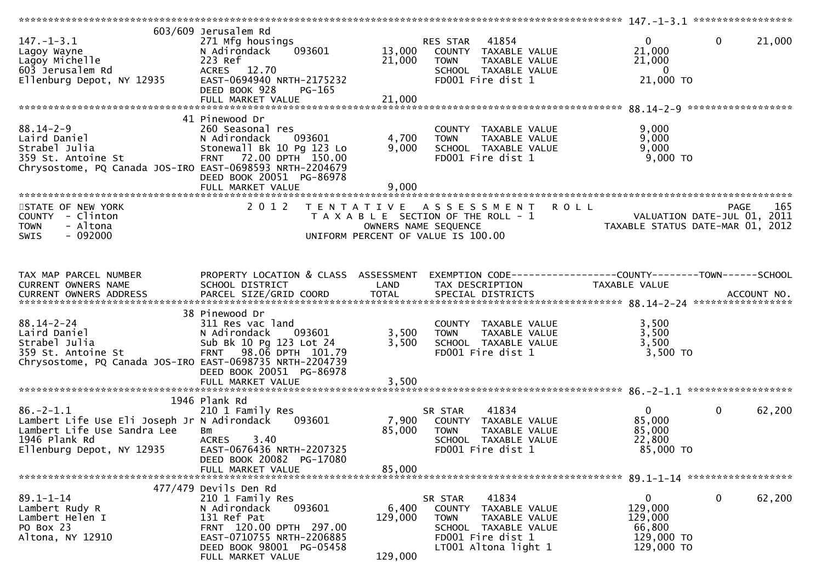| $147. - 1 - 3.1$<br>Lagoy Wayne<br>Lagoy Michelle<br>603 Jerusalem Rd<br>Ellenburg Depot, NY 12935                                          | 603/609 Jerusalem Rd<br>271 Mfg housings<br>N Adirondack<br>093601<br>223 Ref<br>ACRES 12.70<br>EAST-0694940 NRTH-2175232<br>DEED BOOK 928<br>$PG-165$<br>FULL MARKET VALUE                 | 13,000<br>21,000<br>21,000                         | 41854<br>RES STAR<br>COUNTY TAXABLE VALUE<br>TAXABLE VALUE<br><b>TOWN</b><br>SCHOOL TAXABLE VALUE<br>FD001 Fire dist 1                           | $\mathbf{0}$<br>21,000<br>21,000<br>$\overline{0}$<br>21,000 TO                                                     | $\mathbf 0$<br>21,000 |
|---------------------------------------------------------------------------------------------------------------------------------------------|---------------------------------------------------------------------------------------------------------------------------------------------------------------------------------------------|----------------------------------------------------|--------------------------------------------------------------------------------------------------------------------------------------------------|---------------------------------------------------------------------------------------------------------------------|-----------------------|
| $88.14 - 2 - 9$<br>Laird Daniel<br>Strabel Julia<br>359 St. Antoine St<br>Chrysostome, PQ Canada JOS-IRO EAST-0698593 NRTH-2204679          | 41 Pinewood Dr<br>260 Seasonal res<br>N Adirondack<br>093601<br>Stonewall Bk 10 Pg 123 Lo<br>FRNT 72.00 DPTH 150.00                                                                         | 4,700<br>9,000                                     | COUNTY TAXABLE VALUE<br><b>TOWN</b><br>TAXABLE VALUE<br>SCHOOL TAXABLE VALUE<br>FD001 Fire dist 1                                                | 9,000<br>9,000<br>9,000<br>$9,000$ TO                                                                               |                       |
| STATE OF NEW YORK<br>COUNTY - Clinton<br><b>TOWN</b><br>- Altona<br>$-092000$<br>SWIS                                                       | DEED BOOK 20051 PG-86978<br>FULL MARKET VALUE<br>2 0 1 2                                                                                                                                    | 9,000<br>T E N T A T I V E<br>OWNERS NAME SEQUENCE | A S S E S S M E N T<br>T A X A B L E SECTION OF THE ROLL - 1<br>UNIFORM PERCENT OF VALUE IS 100.00                                               | <b>ROLL</b><br>VALUATION DATE-JUL 01, 2011<br>TAXABLE STATIIS DATE-MAP 01, 2012<br>TAXABLE STATUS DATE-MAR 01, 2012 | 165<br><b>PAGE</b>    |
| TAX MAP PARCEL NUMBER<br>CURRENT OWNERS NAME                                                                                                | PROPERTY LOCATION & CLASS ASSESSMENT<br>SCHOOL DISTRICT                                                                                                                                     | LAND                                               | EXEMPTION CODE-----------------COUNTY-------TOWN------SCHOOL<br>TAX DESCRIPTION                                                                  | TAXABLE VALUE                                                                                                       |                       |
| $88.14 - 2 - 24$<br>Laird Daniel<br>Strabel Julia<br>359 St. Antoine St<br>Chrysostome, PQ Canada JOS-IRO EAST-0698735 NRTH-2204739         | 38 Pinewood Dr<br>311 Res vac land<br>N Adirondack<br>093601<br>Sub Bk 10 Pg 123 Lot 24<br>98.06 DPTH 101.79<br><b>FRNT</b><br>DEED BOOK 20051 PG-86978<br>FULL MARKET VALUE                | 3,500<br>3,500<br>3,500                            | COUNTY TAXABLE VALUE<br>TAXABLE VALUE<br><b>TOWN</b><br>SCHOOL TAXABLE VALUE<br>FD001 Fire dist 1                                                | 3,500<br>3,500<br>3,500<br>3,500 TO                                                                                 |                       |
| $86. - 2 - 1.1$<br>Lambert Life Use Eli Joseph Jr N Adirondack<br>Lambert Life Use Sandra Lee<br>1946 Plank Rd<br>Ellenburg Depot, NY 12935 | 1946 Plank Rd<br>210 1 Family Res<br>093601<br>Bm<br><b>ACRES</b><br>3.40<br>EAST-0676436 NRTH-2207325<br>DEED BOOK 20082 PG-17080                                                          | 7,900<br>85,000                                    | 41834<br>SR STAR<br>COUNTY TAXABLE VALUE<br><b>TOWN</b><br>TAXABLE VALUE<br>SCHOOL TAXABLE VALUE<br>FD001 Fire dist 1                            | $\Omega$<br>85,000<br>85,000<br>22,800<br>85,000 TO                                                                 | $\mathbf 0$<br>62,200 |
|                                                                                                                                             | FULL MARKET VALUE                                                                                                                                                                           | 85,000                                             |                                                                                                                                                  |                                                                                                                     |                       |
| $89.1 - 1 - 14$<br>Lambert Rudy R<br>Lambert Helen I<br>PO Box 23<br>Altona, NY 12910                                                       | 477/479 Devils Den Rd<br>210 1 Family Res<br>093601<br>N Adirondack<br>131 Ref Pat<br>FRNT 120.00 DPTH 297.00<br>EAST-0710755 NRTH-2206885<br>DEED BOOK 98001 PG-05458<br>FULL MARKET VALUE | 6,400<br>129,000<br>129,000                        | SR STAR<br>41834<br>TAXABLE VALUE<br>COUNTY<br><b>TOWN</b><br>TAXABLE VALUE<br>SCHOOL TAXABLE VALUE<br>FD001 Fire dist 1<br>LT001 Altona light 1 | $\mathbf{0}$<br>129,000<br>129,000<br>66,800<br>129,000 TO<br>129,000 TO                                            | 62,200<br>0           |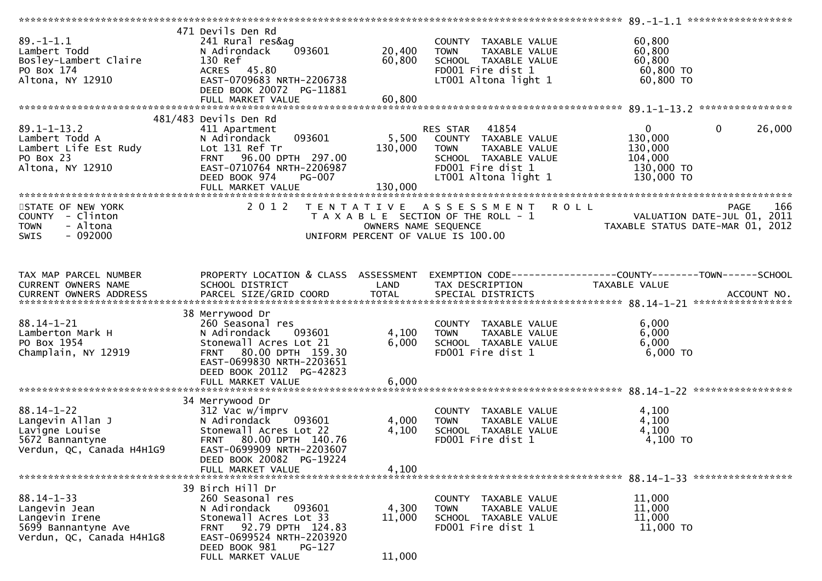|                                                                                                         |                                                                                                                                                                               |                      |                                                                                                                                             | 89. -1-1.1 *******************                                                                      |
|---------------------------------------------------------------------------------------------------------|-------------------------------------------------------------------------------------------------------------------------------------------------------------------------------|----------------------|---------------------------------------------------------------------------------------------------------------------------------------------|-----------------------------------------------------------------------------------------------------|
| $89. - 1 - 1.1$<br>Lambert Todd<br>Bosley-Lambert Claire<br>PO Box 174<br>Altona, NY 12910              | 471 Devils Den Rd<br>241 Rural res&ag<br>093601<br>N Adirondack<br>130 Ref<br>ACRES 45.80<br>EAST-0709683 NRTH-2206738<br>DEED BOOK 20072 PG-11881                            | 20,400<br>60,800     | COUNTY TAXABLE VALUE<br>TAXABLE VALUE<br><b>TOWN</b><br>SCHOOL TAXABLE VALUE<br>FD001 Fire dist 1<br>LT001 Altona light 1                   | 60,800<br>60,800<br>60,800<br>60,800 TO<br>60,800 TO                                                |
|                                                                                                         | FULL MARKET VALUE                                                                                                                                                             | 60,800               |                                                                                                                                             |                                                                                                     |
|                                                                                                         |                                                                                                                                                                               |                      |                                                                                                                                             |                                                                                                     |
| $89.1 - 1 - 13.2$<br>Lambert Todd A<br>Lambert Life Est Rudy<br>PO Box 23<br>Altona, NY 12910           | 481/483 Devils Den Rd<br>411 Apartment<br>093601<br>N Adirondack<br>Lot 131 Ref Tr<br>FRNT 96.00 DPTH 297.00<br>EAST-0710764 NRTH-2206987<br>DEED BOOK 974<br><b>PG-007</b>   | 5,500<br>130,000     | RES STAR 41854<br>COUNTY TAXABLE VALUE<br>TAXABLE VALUE<br><b>TOWN</b><br>SCHOOL TAXABLE VALUE<br>FD001 Fire dist 1<br>LT001 Altona light 1 | $\mathbf{0}$<br>$\mathbf{0}$<br>26,000<br>130,000<br>130,000<br>104,000<br>130,000 TO<br>130,000 TO |
|                                                                                                         |                                                                                                                                                                               |                      |                                                                                                                                             |                                                                                                     |
| STATE OF NEW YORK<br>COUNTY - Clinton<br>- Altona<br><b>TOWN</b><br><b>SWIS</b><br>- 092000             | 2 0 1 2                                                                                                                                                                       | OWNERS NAME SEQUENCE | TENTATIVE ASSESSMENT ROLL<br>T A X A B L E SECTION OF THE ROLL - 1<br>UNIFORM PERCENT OF VALUE IS 100.00                                    | 166<br><b>PAGE</b><br>VALUATION DATE-JUL 01, 2011<br>TAXABLE STATUS DATE-MAR 01, 2012               |
| TAX MAP PARCEL NUMBER<br>CURRENT OWNERS NAME                                                            | PROPERTY LOCATION & CLASS ASSESSMENT<br>SCHOOL DISTRICT                                                                                                                       | LAND                 | TAX DESCRIPTION                                                                                                                             | TAXABLE VALUE                                                                                       |
|                                                                                                         | 38 Merrywood Dr                                                                                                                                                               |                      |                                                                                                                                             |                                                                                                     |
| $88.14 - 1 - 21$<br>Lamberton Mark H<br>PO Box 1954<br>Champlain, NY 12919                              | 260 Seasonal res<br>N Adirondack<br>093601<br>Stonewall Acres Lot 21<br>80.00 DPTH 159.30<br><b>FRNT</b><br>EAST-0699830 NRTH-2203651<br>DEED BOOK 20112 PG-42823             | 4,100<br>6,000       | COUNTY TAXABLE VALUE<br><b>TOWN</b><br>TAXABLE VALUE<br>SCHOOL TAXABLE VALUE<br>FD001 Fire dist 1                                           | 6,000<br>6,000<br>6,000<br>6,000 TO                                                                 |
|                                                                                                         | FULL MARKET VALUE                                                                                                                                                             | 6,000                |                                                                                                                                             |                                                                                                     |
|                                                                                                         |                                                                                                                                                                               |                      |                                                                                                                                             |                                                                                                     |
| $88.14 - 1 - 22$<br>Langevin Allan J<br>Lavigne Louise<br>5672 Bannantyne<br>Verdun, QC, Canada H4H1G9  | 34 Merrywood Dr<br>312 Vac w/imprv<br>N Adirondack<br>093601<br>Stonewall Acres Lot 22<br>FRNT 80.00 DPTH 140.76<br>EAST-0699909 NRTH-2203607                                 | 4,000<br>4,100       | COUNTY TAXABLE VALUE<br>TAXABLE VALUE<br><b>TOWN</b><br>SCHOOL TAXABLE VALUE<br>FD001 Fire dist 1                                           | 4,100<br>4,100<br>4,100<br>4,100 TO                                                                 |
|                                                                                                         | DEED BOOK 20082 PG-19224<br>FULL MARKET VALUE                                                                                                                                 | 4,100                |                                                                                                                                             |                                                                                                     |
|                                                                                                         |                                                                                                                                                                               |                      |                                                                                                                                             |                                                                                                     |
| $88.14 - 1 - 33$<br>Langevin Jean<br>Langevin Irene<br>5699 Bannantyne Ave<br>Verdun, QC, Canada H4H1G8 | 39 Birch Hill Dr<br>260 Seasonal res<br>N Adirondack<br>093601<br>Stonewall Acres Lot 33<br>92.79 DPTH 124.83<br>FRNT<br>EAST-0699524 NRTH-2203920<br>DEED BOOK 981<br>PG-127 | 4,300<br>11,000      | TAXABLE VALUE<br>COUNTY<br>TAXABLE VALUE<br><b>TOWN</b><br>SCHOOL TAXABLE VALUE<br>FD001 Fire dist 1                                        | 11,000<br>11,000<br>11,000<br>11,000 TO                                                             |
|                                                                                                         | FULL MARKET VALUE                                                                                                                                                             | 11,000               |                                                                                                                                             |                                                                                                     |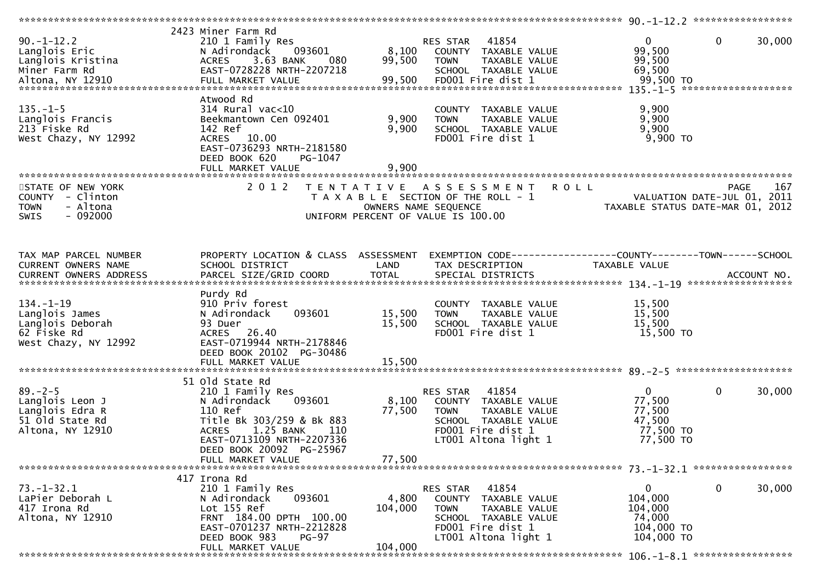| $90. -1 - 12.2$<br>Langlois Eric<br>Langlois Kristina<br>Miner Farm Rd                       | 2423 Miner Farm Rd<br>210 1 Family Res<br>093601<br>N Adirondack<br>3.63 BANK<br>ACRES<br>080<br>EAST-0728228 NRTH-2207218                                                                         | 8,100<br>99,500             | RES STAR<br>41854<br>COUNTY TAXABLE VALUE<br>TAXABLE VALUE<br><b>TOWN</b><br>SCHOOL TAXABLE VALUE                                              | 0<br>$\Omega$<br>99,500<br>99,500<br>69,500                           | 30,000             |
|----------------------------------------------------------------------------------------------|----------------------------------------------------------------------------------------------------------------------------------------------------------------------------------------------------|-----------------------------|------------------------------------------------------------------------------------------------------------------------------------------------|-----------------------------------------------------------------------|--------------------|
|                                                                                              |                                                                                                                                                                                                    |                             | FD001 Fire dist 1                                                                                                                              |                                                                       |                    |
| $135. - 1 - 5$<br>Langlois Francis<br>213 Fiske Rd<br>West Chazy, NY 12992                   | Atwood Rd<br>$314$ Rural vac<10<br>Beekmantown Cen 092401<br>142 Ref<br>ACRES 10.00                                                                                                                | 9,900<br>9,900              | COUNTY TAXABLE VALUE<br><b>TOWN</b><br>TAXABLE VALUE<br>SCHOOL TAXABLE VALUE<br>FD001 Fire dist 1                                              | 9,900<br>9,900<br>9,900<br>9,900 TO                                   |                    |
|                                                                                              | EAST-0736293 NRTH-2181580<br>DEED BOOK 620<br>PG-1047<br>FULL MARKET VALUE                                                                                                                         | 9,900                       |                                                                                                                                                |                                                                       |                    |
| STATE OF NEW YORK<br>COUNTY - Clinton<br>- Altona<br><b>TOWN</b><br>$-092000$<br><b>SWIS</b> | 2 0 1 2                                                                                                                                                                                            | OWNERS NAME SEQUENCE        | TENTATIVE ASSESSMENT<br><b>ROLL</b><br>T A X A B L E SECTION OF THE ROLL - 1<br>UNIFORM PERCENT OF VALUE IS 100.00                             | VALUATION DATE-JUL 01, 2011<br>TAXABLE STATUS DATE-MAR 01, 2012       | 167<br><b>PAGE</b> |
| TAX MAP PARCEL NUMBER<br>CURRENT OWNERS NAME<br>CURRENT OWNERS ADDRESS                       | PROPERTY LOCATION & CLASS ASSESSMENT<br>SCHOOL DISTRICT                                                                                                                                            | LAND                        | EXEMPTION CODE-----------------COUNTY-------TOWN------SCHOOL<br>TAX DESCRIPTION                                                                | TAXABLE VALUE                                                         |                    |
| $134. - 1 - 19$<br>Langlois James<br>Langlois Deborah<br>62 Fiske Rd<br>West Chazy, NY 12992 | Purdy Rd<br>910 Priv forest<br>N Adirondack<br>093601<br>93 Duer<br>ACRES 26.40<br>EAST-0719944 NRTH-2178846<br>DEED BOOK 20102 PG-30486                                                           | 15,500<br>15,500            | COUNTY TAXABLE VALUE<br>TAXABLE VALUE<br><b>TOWN</b><br>SCHOOL TAXABLE VALUE<br>FD001 Fire dist 1                                              | 15,500<br>15,500<br>15,500<br>15,500 TO                               |                    |
|                                                                                              |                                                                                                                                                                                                    |                             |                                                                                                                                                |                                                                       |                    |
| $89. - 2 - 5$<br>Langlois Leon J<br>Langlois Edra R<br>51 old State Rd<br>Altona, NY 12910   | 51 Old State Rd<br>210 1 Family Res<br>N Adirondack<br>093601<br>110 Ref<br>Title Bk 303/259 & Bk 883<br>1.25 BANK<br><b>ACRES</b><br>110<br>EAST-0713109 NRTH-2207336<br>DEED BOOK 20092 PG-25967 | 8,100<br>77,500             | RES STAR<br>41854<br>COUNTY TAXABLE VALUE<br><b>TOWN</b><br>TAXABLE VALUE<br>SCHOOL TAXABLE VALUE<br>FD001 Fire dist 1<br>LT001 Altona light 1 | $\Omega$<br>0<br>77,500<br>77,500<br>47,500<br>77,500 TO<br>77,500 TO | 30,000             |
|                                                                                              | FULL MARKET VALUE                                                                                                                                                                                  | 77,500                      |                                                                                                                                                |                                                                       |                    |
| $73. - 1 - 32.1$<br>LaPier Deborah L<br>417 Irona Rd<br>Altona, NY 12910                     | 417 Irona Rd<br>210 1 Family Res<br>093601<br>N Adirondack<br>Lot 155 Ref<br>FRNT 184.00 DPTH 100.00<br>EAST-0701237 NRTH-2212828<br>DEED BOOK 983<br>PG-97<br>FULL MARKET VALUE                   | 4,800<br>104,000<br>104,000 | RES STAR<br>41854<br>COUNTY TAXABLE VALUE<br>TAXABLE VALUE<br><b>TOWN</b><br>SCHOOL TAXABLE VALUE<br>FD001 Fire dist 1<br>LT001 Altona light 1 | 0<br>0<br>104,000<br>104,000<br>74,000<br>104,000 TO<br>104,000 TO    | 30,000             |
|                                                                                              |                                                                                                                                                                                                    |                             |                                                                                                                                                |                                                                       |                    |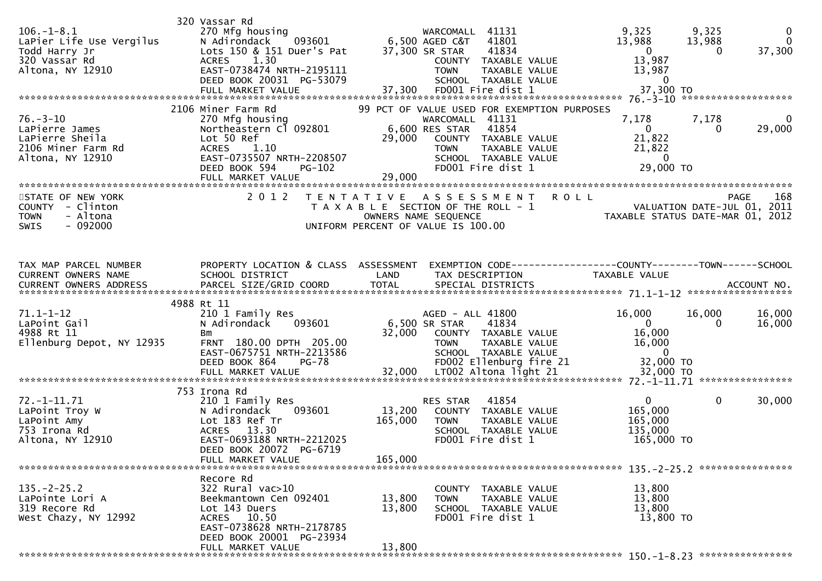| $106. - 1 - 8.1$<br>LaPier Life Use Vergilus<br>Todd Harry Jr<br>320 Vassar Rd<br>Altona, NY 12910 | 320 Vassar Rd<br>270 Mfg housing<br>N Adirondack<br>Lots 150 & 151 Duer's Pat<br>1.30<br><b>ACRES</b><br>EAST-0738474 NRTH-2195111<br>DEED BOOK 20031 PG-53079           | 093601 6,500 AGED C&T<br>37,300 SR STAR | WARCOMALL 41131<br>41801<br>41834<br>COUNTY TAXABLE VALUE<br><b>TAXABLE VALUE</b><br><b>TOWN</b><br>SCHOOL TAXABLE VALUE                                                     | 9,325<br>13,988<br>$\mathbf{0}$<br>13,987<br>13,987<br>$\overline{\phantom{0}}$ | 9,325<br>13,988<br>0 | $\mathbf 0$<br>$\mathbf 0$<br>37,300 |
|----------------------------------------------------------------------------------------------------|--------------------------------------------------------------------------------------------------------------------------------------------------------------------------|-----------------------------------------|------------------------------------------------------------------------------------------------------------------------------------------------------------------------------|---------------------------------------------------------------------------------|----------------------|--------------------------------------|
| $76. - 3 - 10$<br>LaPierre James<br>LaPierre Sheila<br>2106 Miner Farm Rd<br>Altona, NY 12910      | 2106 Miner Farm Rd<br>270 Mfg housing<br>Northeastern Cl 092801<br>Lot 50 Ref<br>ACRES 1.10<br>EAST-0735507 NRTH-2208507<br>DEED BOOK 594<br>PG-102<br>FULL MARKET VALUE | 6,600 RES STAR<br>29,000<br>29,000      | 99 PCT OF VALUE USED FOR EXEMPTION PURPOSES<br>WARCOMALL 41131<br>41854<br>COUNTY TAXABLE VALUE<br>TAXABLE VALUE<br><b>TOWN</b><br>SCHOOL TAXABLE VALUE<br>FD001 Fire dist 1 | 7,178<br>$\overline{0}$<br>21,822<br>21,822<br>$\overline{0}$<br>29,000 TO      | 7,178<br>0           | 0<br>29,000                          |
| STATE OF NEW YORK<br>COUNTY - Clinton<br><b>TOWN</b><br>- Altona<br>$-092000$<br><b>SWIS</b>       | 2 0 1 2                                                                                                                                                                  | OWNERS NAME SEQUENCE                    | TENTATIVE ASSESSMENT<br>T A X A B L E SECTION OF THE ROLL - 1<br>UNIFORM PERCENT OF VALUE IS 100.00                                                                          | <b>ROLL</b><br>TAXABLE STATUS DATE-MAR 01, 2012                                 | <b>PAGE</b>          | 168                                  |
| TAX MAP PARCEL NUMBER<br>CURRENT OWNERS NAME                                                       | PROPERTY LOCATION & CLASS ASSESSMENT<br>SCHOOL DISTRICT                                                                                                                  | LAND                                    | EXEMPTION CODE------------------COUNTY--------TOWN------SCHOOL<br>TAX DESCRIPTION                                                                                            | TAXABLE VALUE                                                                   |                      |                                      |
| $71.1 - 1 - 12$<br>LaPoint Gail<br>4988 Rt 11<br>Ellenburg Depot, NY 12935                         | 4988 Rt 11<br>210 1 Family Res<br>N Adirondack<br>093601<br>Bm<br>FRNT 180.00 DPTH 205.00<br>EAST-0675751 NRTH-2213586<br><b>PG-78</b><br>DEED BOOK 864                  | 6,500 SR STAR<br>32,000                 | AGED - ALL 41800<br>41834<br>COUNTY TAXABLE VALUE<br><b>TOWN</b><br>TAXABLE VALUE<br>SCHOOL TAXABLE VALUE<br>FD002 Ellenburg fire 21                                         | 16,000<br>$\overline{0}$<br>16,000<br>16,000<br>$\sim$ 0<br>32,000 TO           | 16,000<br>$\Omega$   | 16,000<br>16,000                     |
|                                                                                                    |                                                                                                                                                                          |                                         |                                                                                                                                                                              |                                                                                 |                      |                                      |
| $72. - 1 - 11.71$<br>LaPoint Troy W<br>LaPoint Amy<br>753 Irona Rd<br>Altona, NY 12910             | 753 Irona Rd<br>210 1 Family Res<br>N Adirondack<br>093601<br>Lot 183 Ref Tr<br>ACRES 13.30<br>EAST-0693188 NRTH-2212025<br>DEED BOOK 20072 PG-6719<br>FULL MARKET VALUE | 13,200<br>165,000<br>165,000            | 41854<br>RES STAR<br>COUNTY TAXABLE VALUE<br><b>TOWN</b><br>TAXABLE VALUE<br>SCHOOL TAXABLE VALUE<br>FD001 Fire dist 1                                                       | $\mathbf{0}$<br>165,000<br>165,000<br>135,000<br>165,000 TO                     | $\mathbf 0$          | 30,000                               |
| $135. - 2 - 25.2$<br>LaPointe Lori A<br>319 Recore Rd<br>West Chazy, NY 12992                      | Recore Rd<br>322 Rural vac>10<br>Beekmantown Cen 092401<br>Lot 143 Duers<br>ACRES 10.50<br>EAST-0738628 NRTH-2178785<br>DEED BOOK 20001 PG-23934<br>FULL MARKET VALUE    | 13,800<br>13,800<br>13,800              | COUNTY TAXABLE VALUE<br>TAXABLE VALUE<br><b>TOWN</b><br>SCHOOL TAXABLE VALUE<br>FD001 Fire dist 1                                                                            | 13,800<br>13,800<br>13,800<br>13,800 TO                                         |                      |                                      |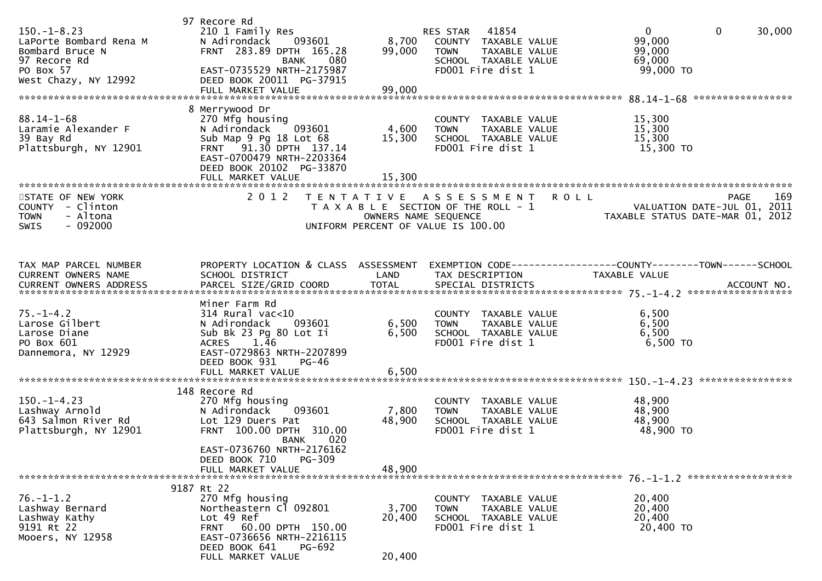| $150. - 1 - 8.23$<br>LaPorte Bombard Rena M<br>Bombard Bruce N<br>97 Recore Rd<br>PO Box 57<br>West Chazy, NY 12992 | 97 Recore Rd<br>210 1 Family Res<br>093601<br>N Adirondack<br>FRNT 283.89 DPTH 165.28<br>080<br><b>BANK</b><br>EAST-0735529 NRTH-2175987<br>DEED BOOK 20011 PG-37915<br>FULL MARKET VALUE                     | 8,700<br>99,000<br>99,000                 | RES STAR 41854<br>COUNTY TAXABLE VALUE<br>TAXABLE VALUE<br><b>TOWN</b><br>SCHOOL TAXABLE VALUE<br>FD001 Fire dist 1 | $\overline{0}$<br>$\mathbf 0$<br>30,000<br>99,000<br>99,000<br>69,000<br>99,000 TO    |
|---------------------------------------------------------------------------------------------------------------------|---------------------------------------------------------------------------------------------------------------------------------------------------------------------------------------------------------------|-------------------------------------------|---------------------------------------------------------------------------------------------------------------------|---------------------------------------------------------------------------------------|
| $88.14 - 1 - 68$<br>Laramie Alexander F<br>39 Bay Rd<br>Plattsburgh, NY 12901                                       | 8 Merrywood Dr<br>270 Mfg housing<br>093601<br>N Adirondack<br>Sub Map 9 Pg 18 Lot 68<br>FRNT 91.30 DPTH 137.14<br>EAST-0700479 NRTH-2203364<br>DEED BOOK 20102 PG-33870<br>FULL MARKET VALUE                 | 4,600<br>15,300<br>15,300                 | COUNTY TAXABLE VALUE<br>TAXABLE VALUE<br><b>TOWN</b><br>SCHOOL TAXABLE VALUE<br>FD001 Fire dist 1                   | 15,300<br>15,300<br>15,300<br>15,300 TO                                               |
| STATE OF NEW YORK<br>COUNTY - Clinton<br><b>TOWN</b><br>- Altona<br>$-092000$<br><b>SWIS</b>                        | 2 0 1 2                                                                                                                                                                                                       | T E N T A T I V E<br>OWNERS NAME SEQUENCE | ASSESSMENT<br><b>ROLL</b><br>T A X A B L E SECTION OF THE ROLL - 1<br>UNIFORM PERCENT OF VALUE IS 100.00            | 169<br><b>PAGE</b><br>VALUATION DATE-JUL 01, 2011<br>TAXABLE STATUS DATE-MAR 01, 2012 |
| TAX MAP PARCEL NUMBER<br>CURRENT OWNERS NAME                                                                        | PROPERTY LOCATION & CLASS ASSESSMENT<br>SCHOOL DISTRICT                                                                                                                                                       | LAND                                      | TAX DESCRIPTION                                                                                                     | EXEMPTION CODE------------------COUNTY--------TOWN------SCHOOL<br>TAXABLE VALUE       |
| $75. - 1 - 4.2$<br>Larose Gilbert<br>Larose Diane<br>PO Box 601<br>Dannemora, NY 12929                              | Miner Farm Rd<br>$314$ Rural vac<10<br>N Adirondack<br>093601<br>Sub Bk 23 Pg 80 Lot Ii<br>$ACRES$ 1.46<br>EAST-0729863 NRTH-2207899<br>DEED BOOK 931<br>$PG-46$                                              | 6,500<br>6,500                            | COUNTY TAXABLE VALUE<br>TAXABLE VALUE<br><b>TOWN</b><br>SCHOOL TAXABLE VALUE<br>FD001 Fire dist 1                   | 6,500<br>6,500<br>6,500<br>6,500 TO                                                   |
| $150. - 1 - 4.23$<br>Lashway Arnold<br>643 Salmon River Rd<br>Plattsburgh, NY 12901                                 | 148 Recore Rd<br>270 Mfg housing<br>093601<br>N Adirondack<br>Lot 129 Duers Pat<br>FRNT 100.00 DPTH 310.00<br>020<br>BANK<br>EAST-0736760 NRTH-2176162<br>DEED BOOK 710<br><b>PG-309</b><br>FULL MARKET VALUE | 7,800<br>48,900<br>48,900                 | COUNTY TAXABLE VALUE<br><b>TOWN</b><br>TAXABLE VALUE<br>SCHOOL TAXABLE VALUE<br>FD001 Fire dist 1                   | 48,900<br>48,900<br>48,900<br>48,900 TO                                               |
| $76. - 1 - 1.2$<br>Lashway Bernard<br>Lashway Kathy<br>9191 Rt 22<br>Mooers, NY 12958                               | 9187 Rt 22<br>270 Mfg housing<br>Northeastern Cl 092801<br>Lot 49 Ref<br>FRNT 60.00 DPTH 150.00<br>EAST-0736656 NRTH-2216115<br>DEED BOOK 641<br><b>PG-692</b><br>FULL MARKET VALUE                           | 3,700<br>20,400<br>20,400                 | COUNTY<br>TAXABLE VALUE<br><b>TOWN</b><br>TAXABLE VALUE<br>SCHOOL TAXABLE VALUE<br>FD001 Fire dist 1                | 20,400<br>20,400<br>20,400<br>20,400 TO                                               |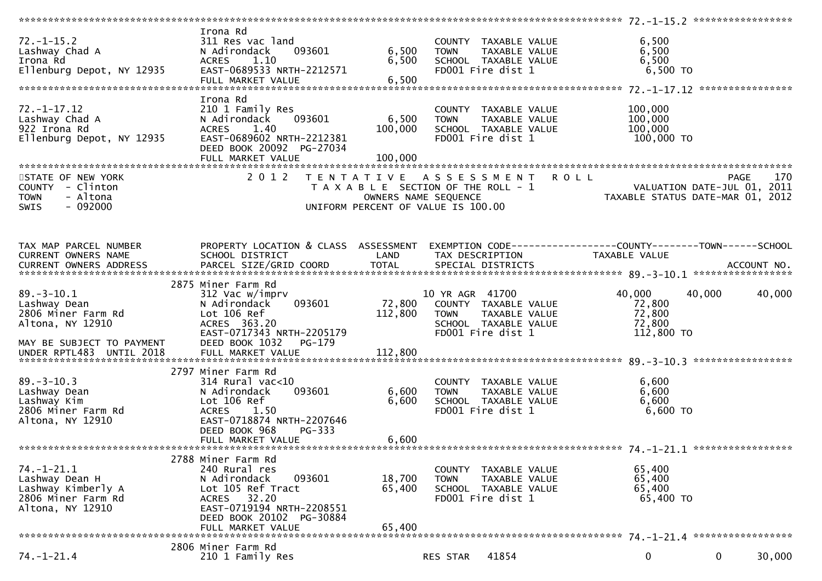|                                        | Irona Rd                                              |                   |                                                                |                                                                 |                    |
|----------------------------------------|-------------------------------------------------------|-------------------|----------------------------------------------------------------|-----------------------------------------------------------------|--------------------|
| $72. - 1 - 15.2$                       | 311 Res vac land                                      |                   | COUNTY TAXABLE VALUE                                           | 6,500                                                           |                    |
| Lashway Chad A                         | 093601<br>N Adirondack                                | 6,500             | TAXABLE VALUE<br><b>TOWN</b>                                   | 6,500                                                           |                    |
| Irona Rd                               | 1.10<br><b>ACRES</b>                                  | 6,500             | SCHOOL TAXABLE VALUE                                           | 6,500                                                           |                    |
| Ellenburg Depot, NY 12935              | EAST-0689533 NRTH-2212571                             |                   | FD001 Fire dist 1                                              | $6,500$ TO                                                      |                    |
|                                        | FULL MARKET VALUE                                     | 6,500             |                                                                |                                                                 | *****************  |
|                                        |                                                       |                   |                                                                |                                                                 |                    |
|                                        | Irona Rd                                              |                   |                                                                |                                                                 |                    |
| $72. - 1 - 17.12$                      | 210 1 Family Res                                      |                   | COUNTY TAXABLE VALUE                                           | 100,000                                                         |                    |
| Lashway Chad A                         | 093601<br>N Adirondack                                | 6,500             | TAXABLE VALUE<br><b>TOWN</b>                                   | 100,000                                                         |                    |
| 922 Irona Rd                           | 1.40<br><b>ACRES</b>                                  | 100,000           | SCHOOL TAXABLE VALUE                                           | 100,000                                                         |                    |
| Ellenburg Depot, NY 12935              | EAST-0689602 NRTH-2212381<br>DEED BOOK 20092 PG-27034 |                   | FD001 Fire dist 1                                              | 100,000 TO                                                      |                    |
|                                        | FULL MARKET VALUE                                     | 100,000           |                                                                |                                                                 |                    |
|                                        |                                                       |                   |                                                                |                                                                 |                    |
| STATE OF NEW YORK                      | 2 0 1 2                                               | T E N T A T I V E | <b>ROLL</b><br>A S S E S S M E N T                             |                                                                 | 170<br><b>PAGE</b> |
| COUNTY - Clinton                       |                                                       |                   | T A X A B L E SECTION OF THE ROLL - 1                          |                                                                 |                    |
| - Altona<br><b>TOWN</b>                |                                                       |                   | OWNERS NAME SEQUENCE                                           | VALUATION DATE-JUL 01, 2011<br>TAXABLE STATUS DATE-MAR 01, 2012 |                    |
| $-092000$<br><b>SWIS</b>               |                                                       |                   | UNIFORM PERCENT OF VALUE IS 100.00                             |                                                                 |                    |
|                                        |                                                       |                   |                                                                |                                                                 |                    |
|                                        |                                                       |                   |                                                                |                                                                 |                    |
|                                        |                                                       |                   |                                                                |                                                                 |                    |
| TAX MAP PARCEL NUMBER                  | PROPERTY LOCATION & CLASS ASSESSMENT                  |                   | EXEMPTION CODE------------------COUNTY--------TOWN------SCHOOL |                                                                 |                    |
| CURRENT OWNERS NAME                    | SCHOOL DISTRICT                                       | LAND              | TAX DESCRIPTION                                                | TAXABLE VALUE                                                   |                    |
|                                        |                                                       |                   |                                                                |                                                                 |                    |
| CURRENT OWNERS ADDRESS                 |                                                       |                   |                                                                |                                                                 |                    |
|                                        |                                                       |                   |                                                                |                                                                 |                    |
|                                        | 2875 Miner Farm Rd                                    |                   |                                                                |                                                                 |                    |
| $89. - 3 - 10.1$                       | 312 Vac w/imprv                                       |                   | 10 YR AGR 41700                                                | 40,000<br>40,000                                                | 40,000             |
| Lashway Dean                           | 093601<br>N Adirondack                                | 72,800            | COUNTY TAXABLE VALUE                                           | 72,800                                                          |                    |
| 2806 Miner Farm Rd                     | Lot 106 Ref                                           | 112,800           | <b>TOWN</b><br>TAXABLE VALUE                                   | 72,800                                                          |                    |
| Altona, NY 12910                       | ACRES 363.20                                          |                   | SCHOOL TAXABLE VALUE                                           | 72,800                                                          |                    |
|                                        | EAST-0717343 NRTH-2205179                             |                   | FD001 Fire dist 1                                              | 112,800 TO                                                      |                    |
| MAY BE SUBJECT TO PAYMENT              | DEED BOOK 1032<br>PG-179                              |                   |                                                                |                                                                 |                    |
|                                        |                                                       |                   |                                                                |                                                                 |                    |
|                                        |                                                       |                   |                                                                |                                                                 |                    |
|                                        | 2797 Miner Farm Rd                                    |                   |                                                                |                                                                 |                    |
|                                        |                                                       |                   |                                                                |                                                                 |                    |
| $89. - 3 - 10.3$                       | $314$ Rural vac<10                                    |                   | COUNTY TAXABLE VALUE                                           | 6,600                                                           |                    |
| Lashway Dean                           | 093601<br>N Adirondack                                | 6,600             | <b>TOWN</b><br>TAXABLE VALUE                                   | 6,600                                                           |                    |
| Lashway Kim                            | Lot 106 Ref                                           | 6,600             | SCHOOL TAXABLE VALUE                                           | 6,600                                                           |                    |
| 2806 Miner Farm Rd                     | 1.50<br><b>ACRES</b>                                  |                   | FD001 Fire dist 1                                              | $6,600$ TO                                                      |                    |
| Altona, NY 12910                       | EAST-0718874 NRTH-2207646                             |                   |                                                                |                                                                 |                    |
|                                        | DEED BOOK 968<br>$PG-333$                             |                   |                                                                |                                                                 |                    |
|                                        | FULL MARKET VALUE                                     | 6,600             |                                                                |                                                                 |                    |
|                                        |                                                       |                   |                                                                |                                                                 |                    |
|                                        | 2788 Miner Farm Rd                                    |                   |                                                                |                                                                 |                    |
| 74. -1 -21.1                           | 240 Rural res                                         |                   | COUNTY<br>TAXABLE VALUE                                        | 65,400                                                          |                    |
| Lashway Dean H                         | N Adirondack<br>093601                                | 18,700            | TAXABLE VALUE<br><b>TOWN</b>                                   | 65,400                                                          |                    |
|                                        | Lot 105 Ref Tract                                     |                   |                                                                |                                                                 |                    |
| Lashway Kimberly A                     |                                                       | 65,400            | SCHOOL TAXABLE VALUE                                           | 65,400                                                          |                    |
| 2806 Miner Farm Rd<br>Altona, NY 12910 | ACRES 32.20                                           |                   | FD001 Fire dist 1                                              | 65,400 TO                                                       |                    |
|                                        |                                                       |                   |                                                                |                                                                 |                    |
|                                        | EAST-0719194 NRTH-2208551                             |                   |                                                                |                                                                 |                    |
|                                        | DEED BOOK 20102 PG-30884                              |                   |                                                                |                                                                 |                    |
|                                        | FULL MARKET VALUE                                     | 65,400            |                                                                |                                                                 |                    |
|                                        |                                                       |                   |                                                                |                                                                 |                    |
|                                        | 2806 Miner Farm Rd                                    |                   |                                                                |                                                                 |                    |
| $74. - 1 - 21.4$                       | 210 1 Family Res                                      |                   | 41854<br>RES STAR                                              | $\mathbf 0$<br>$\mathbf 0$                                      | 30,000             |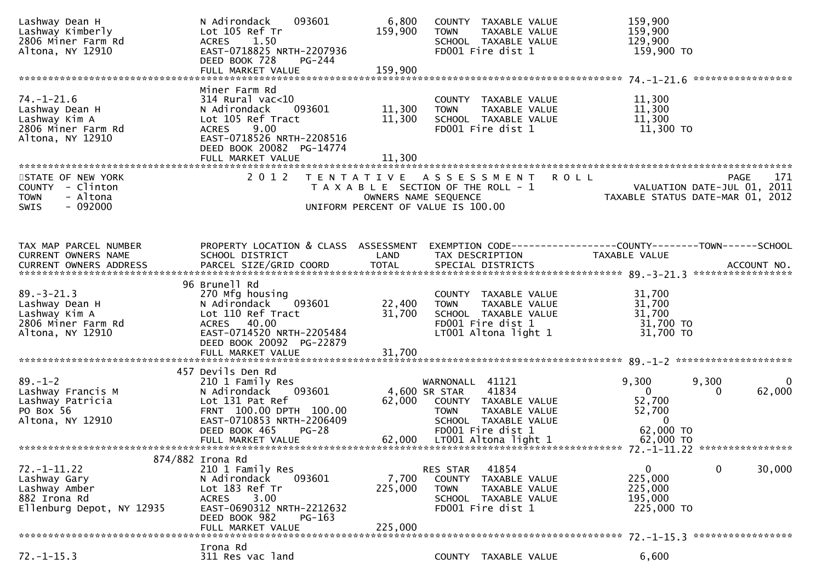| Lashway Dean H<br>Lashway Kimberly<br>2806 Miner Farm Rd<br>Altona, NY 12910                    | N Adirondack<br>093601<br>Lot 105 Ref Tr<br><b>ACRES</b><br>1.50<br>EAST-0718825 NRTH-2207936<br>DEED BOOK 728<br>PG-244                                                                 | 6,800<br>159,900            | COUNTY TAXABLE VALUE<br>TOWN<br>TAXABLE VALUE<br>SCHOOL TAXABLE VALUE<br>FD001 Fire dist 1                                                     | 159,900<br>159,900<br>129,900<br>159,900 TO                                            |                    |
|-------------------------------------------------------------------------------------------------|------------------------------------------------------------------------------------------------------------------------------------------------------------------------------------------|-----------------------------|------------------------------------------------------------------------------------------------------------------------------------------------|----------------------------------------------------------------------------------------|--------------------|
|                                                                                                 |                                                                                                                                                                                          |                             |                                                                                                                                                |                                                                                        | ****************** |
| $74. - 1 - 21.6$<br>Lashway Dean H<br>Lashway Kim A<br>2806 Miner Farm Rd<br>Altona, NY 12910   | Miner Farm Rd<br>$314$ Rural vac<10<br>093601<br>N Adirondack<br>Lot 105 Ref Tract<br>9.00<br><b>ACRES</b><br>EAST-0718526 NRTH-2208516<br>DEED BOOK 20082 PG-14774<br>FULL MARKET VALUE | 11,300<br>11,300<br>11.300  | COUNTY TAXABLE VALUE<br>TAXABLE VALUE<br><b>TOWN</b><br>SCHOOL TAXABLE VALUE<br>FD001 Fire dist 1                                              | 11,300<br>11,300<br>11,300<br>11,300 TO                                                |                    |
| STATE OF NEW YORK<br>COUNTY - Clinton<br>- Altona<br><b>TOWN</b><br>$-092000$<br>SWIS           | 2 0 1 2                                                                                                                                                                                  |                             | TENTATIVE ASSESSMENT<br>T A X A B L E SECTION OF THE ROLL - 1<br>OWNERS NAME SEQUENCE<br>UNIFORM PERCENT OF VALUE IS 100.00                    | <b>ROLL</b><br>VALUATION DATE-JUL 01, 2011<br>TAXABLE STATUS DATE-MAR 01, 2012         | 171<br><b>PAGE</b> |
| TAX MAP PARCEL NUMBER<br>CURRENT OWNERS NAME<br>CURRENT OWNERS ADDRESS                          | PROPERTY LOCATION & CLASS ASSESSMENT<br>SCHOOL DISTRICT<br>PARCEL SIZE/GRID COORD                                                                                                        | LAND<br>TOTAL               | TAX DESCRIPTION<br>SPECIAL DISTRICTS                                                                                                           | EXEMPTION CODE-----------------COUNTY-------TOWN------SCHOOL<br>TAXABLE VALUE          | ACCOUNT NO.        |
| $89. - 3 - 21.3$<br>Lashway Dean H<br>Lashway Kim A<br>2806 Miner Farm Rd<br>Altona, NY 12910   | 96 Brunell Rd<br>270 Mfg housing<br>093601<br>N Adirondack<br>Lot 110 Ref Tract<br>ACRES 40.00<br>EAST-0714520 NRTH-2205484<br>DEED BOOK 20092 PG-22879                                  | 22,400<br>31,700            | COUNTY TAXABLE VALUE<br>TAXABLE VALUE<br><b>TOWN</b><br>SCHOOL TAXABLE VALUE<br>FD001 Fire dist 1<br>LT001 Altona light 1                      | 31,700<br>31,700<br>31,700<br>31,700 TO<br>31,700 TO                                   |                    |
|                                                                                                 | 457 Devils Den Rd                                                                                                                                                                        |                             |                                                                                                                                                |                                                                                        |                    |
| $89. - 1 - 2$<br>Lashway Francis M<br>Lashway Patricia<br>PO Box 56<br>Altona, NY 12910         | 210 1 Family Res<br>093601<br>N Adirondack<br>Lot 131 Pat Ref<br>FRNT 100.00 DPTH 100.00<br>EAST-0710853 NRTH-2206409<br>DEED BOOK 465<br>$PG-28$                                        |                             | WARNONALL 41121<br>4,600 SR STAR<br>41834<br>62,000 COUNTY TAXABLE VALUE<br>TAXABLE VALUE<br>TOWN<br>SCHOOL TAXABLE VALUE<br>FD001 Fire dist 1 | 9,300<br>9,300<br>$\mathbf{0}$<br>0<br>52,700<br>52,700<br>$\overline{0}$<br>62,000 TO | 0<br>62,000        |
|                                                                                                 | FULL MARKET VALUE                                                                                                                                                                        | 62,000                      | LTOO1 Altona light 1                                                                                                                           | 62,000 TO                                                                              |                    |
| $72. - 1 - 11.22$<br>Lashway Gary<br>Lashway Amber<br>882 Irona Rd<br>Ellenburg Depot, NY 12935 | 874/882 Irona Rd<br>210 1 Family Res<br>N Adirondack<br>093601<br>Lot 183 Ref Tr<br>3.00<br><b>ACRES</b><br>EAST-0690312 NRTH-2212632<br>DEED BOOK 982<br>PG-163<br>FULL MARKET VALUE    | 7,700<br>225,000<br>225,000 | 41854<br><b>RES STAR</b><br>TAXABLE VALUE<br><b>COUNTY</b><br><b>TOWN</b><br>TAXABLE VALUE<br>SCHOOL TAXABLE VALUE<br>FD001 Fire dist 1        | 0<br>0<br>225,000<br>225,000<br>195,000<br>225,000 TO                                  | 30,000             |
| $72. - 1 - 15.3$                                                                                | Irona Rd<br>311 Res vac land                                                                                                                                                             |                             | COUNTY TAXABLE VALUE                                                                                                                           | 6,600                                                                                  |                    |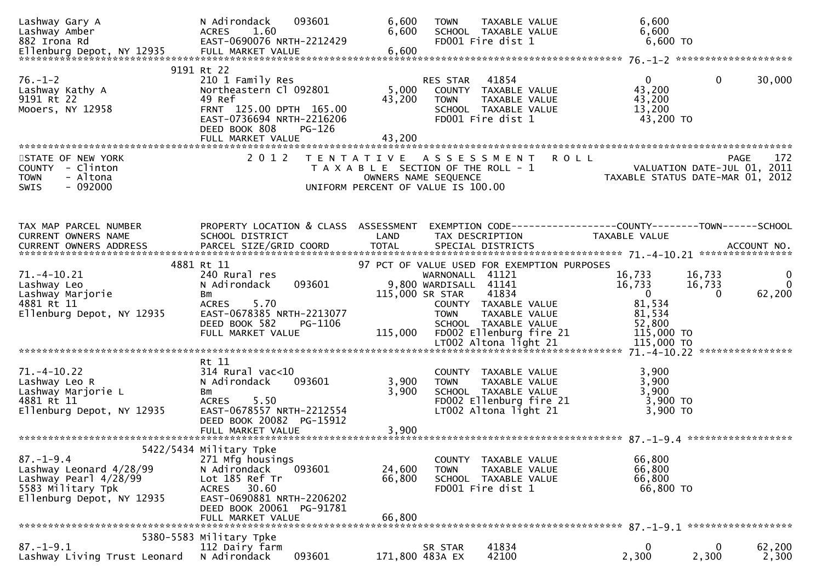| Lashway Gary A<br>Lashway Amber<br>882 Irona Rd                                                                       | N Adirondack<br>093601<br>ACRES<br>1.60<br>EAST-0690076 NRTH-2212429                                                                                                                    | 6,600<br>6,600                                                                                      | <b>TOWN</b><br>SCHOOL TAXABLE VALUE<br>FD001 Fire dist 1                                                        | TAXABLE VALUE                               | 6,600<br>6,600<br>6,600 TO                              |                                            |                                        |
|-----------------------------------------------------------------------------------------------------------------------|-----------------------------------------------------------------------------------------------------------------------------------------------------------------------------------------|-----------------------------------------------------------------------------------------------------|-----------------------------------------------------------------------------------------------------------------|---------------------------------------------|---------------------------------------------------------|--------------------------------------------|----------------------------------------|
|                                                                                                                       |                                                                                                                                                                                         |                                                                                                     |                                                                                                                 |                                             |                                                         |                                            |                                        |
| $76. - 1 - 2$<br>Lashway Kathy A<br>9191 Rt 22<br>Mooers, NY 12958                                                    | 9191 Rt 22<br>210 1 Family Res<br>Northeastern Cl 092801<br>49 Ref<br>FRNT 125.00 DPTH 165.00<br>EAST-0736694 NRTH-2216206<br>DEED BOOK 808<br>PG-126                                   | 5,000<br>43,200<br>43,200                                                                           | 41854<br>RES STAR<br>COUNTY TAXABLE VALUE<br><b>TOWN</b><br>SCHOOL TAXABLE VALUE<br>FD001 Fire dist 1           | TAXABLE VALUE                               | $\mathbf{0}$<br>43,200<br>43,200<br>13,200<br>43,200 TO | $\mathbf 0$                                | 30,000                                 |
|                                                                                                                       |                                                                                                                                                                                         |                                                                                                     |                                                                                                                 |                                             |                                                         |                                            |                                        |
| STATE OF NEW YORK<br>COUNTY - Clinton<br>- Altona<br><b>TOWN</b><br>SWIS<br>- 092000                                  | 2 0 1 2                                                                                                                                                                                 | TENTATIVE ASSESSMENT<br>T A X A B L E SECTION OF THE ROLL - 1<br>UNIFORM PERCENT OF VALUE IS 100.00 | OWNERS NAME SEQUENCE                                                                                            | <b>ROLL</b>                                 | TAXABLE STATUS DATE-MAR 01, 2012                        | <b>PAGE</b><br>VALUATION DATE-JUL 01, 2011 | 172                                    |
| TAX MAP PARCEL NUMBER                                                                                                 | PROPERTY LOCATION & CLASS ASSESSMENT                                                                                                                                                    |                                                                                                     |                                                                                                                 |                                             |                                                         |                                            |                                        |
| <b>CURRENT OWNERS NAME</b>                                                                                            | SCHOOL DISTRICT                                                                                                                                                                         | LAND                                                                                                | TAX DESCRIPTION                                                                                                 |                                             | TAXABLE VALUE                                           |                                            |                                        |
|                                                                                                                       | 4881 Rt 11                                                                                                                                                                              |                                                                                                     |                                                                                                                 | 97 PCT OF VALUE USED FOR EXEMPTION PURPOSES |                                                         |                                            |                                        |
| $71. - 4 - 10.21$<br>Lashway Leo<br>Lashway Marjorie                                                                  | 240 Rural res<br>093601<br>N Adirondack<br>Bm                                                                                                                                           |                                                                                                     | WARNONALL 41121<br>9,800 WARDISALL 41141<br>41834<br>115,000 SR STAR                                            |                                             | 16,733<br>16,733<br>$\overline{\mathbf{0}}$<br>81,534   | 16,733<br>16,733<br>$\Omega$               | $\mathbf{0}$<br>$\mathbf{0}$<br>62,200 |
| 4881 Rt 11<br>Ellenburg Depot, NY 12935                                                                               | 5.70<br><b>ACRES</b><br>EAST-0678385 NRTH-2213077<br>DEED BOOK 582<br>PG-1106<br>FULL MARKET VALUE                                                                                      | 115,000                                                                                             | COUNTY TAXABLE VALUE<br><b>TOWN</b><br>SCHOOL TAXABLE VALUE<br>FD002 Ellenburg fire 21<br>LT002 Altona light 21 | TAXABLE VALUE                               | 81,534<br>52,800<br>115,000 TO<br>115,000 TO            |                                            |                                        |
|                                                                                                                       |                                                                                                                                                                                         |                                                                                                     |                                                                                                                 |                                             |                                                         |                                            |                                        |
| $71. -4 - 10.22$<br>Lashway Leo R<br>Lashway Marjorie L<br>4881 Rt 11<br>Ellenburg Depot, NY 12935                    | Rt 11<br>$314$ Rural vac< $10$<br>N Adirondack<br>093601<br>Bm<br>5.50<br><b>ACRES</b><br>EAST-0678557 NRTH-2212554<br>DEED BOOK 20082 PG-15912                                         | 3,900<br>3,900                                                                                      | COUNTY TAXABLE VALUE<br><b>TOWN</b><br>SCHOOL TAXABLE VALUE<br>LT002 Altona light 21                            | TAXABLE VALUE<br>FD002 Ellenburg fire 21    | 3,900<br>3,900<br>3,900<br>3,900 TO<br>3,900 TO         |                                            |                                        |
|                                                                                                                       |                                                                                                                                                                                         |                                                                                                     |                                                                                                                 |                                             |                                                         |                                            |                                        |
| $87. - 1 - 9.4$<br>Lashway Leonard 4/28/99<br>Lashway Pearl 4/28/99<br>5583 Military Tpk<br>Ellenburg Depot, NY 12935 | 5422/5434 Military Tpke<br>271 Mfg housings<br>093601<br>N Adirondack<br>Lot 185 Ref Tr<br>30.60<br>ACRES<br>EAST-0690881 NRTH-2206202<br>DEED BOOK 20061 PG-91781<br>FULL MARKET VALUE | 24,600<br>66,800<br>66,800                                                                          | <b>COUNTY</b><br><b>TOWN</b><br>SCHOOL TAXABLE VALUE<br>FD001 Fire dist 1                                       | TAXABLE VALUE<br>TAXABLE VALUE              | 66,800<br>66,800<br>66,800<br>66,800 TO                 |                                            |                                        |
|                                                                                                                       | 5380-5583 Military Tpke                                                                                                                                                                 |                                                                                                     |                                                                                                                 |                                             |                                                         |                                            |                                        |
| $87. - 1 - 9.1$<br>Lashway Living Trust Leonard                                                                       | 112 Dairy farm<br>093601<br>N Adirondack                                                                                                                                                |                                                                                                     | SR STAR<br>171,800 483A EX                                                                                      | 41834<br>42100                              | 0<br>2,300                                              | 0<br>2,300                                 | 62,200<br>2,300                        |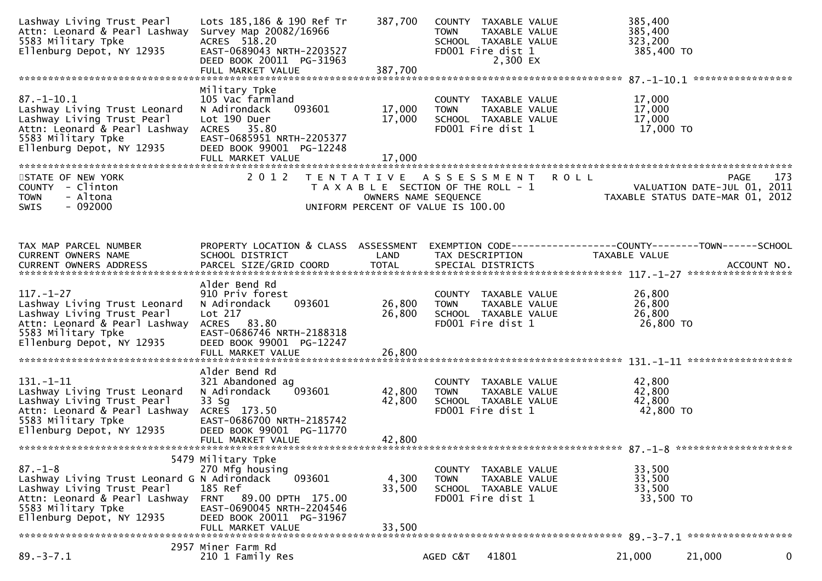| Lashway Living Trust Pearl<br>Attn: Leonard & Pearl Lashway<br>5583 Military Tpke<br>Ellenburg Depot, NY 12935                                                                 | Lots 185,186 & 190 Ref Tr<br>Survey Map 20082/16966<br>ACRES 518.20<br>EAST-0689043 NRTH-2203527<br>DEED BOOK 20011 PG-31963<br>FULL MARKET VALUE                        | 387,700<br>387,700                        | COUNTY TAXABLE VALUE<br><b>TOWN</b><br>TAXABLE VALUE<br>SCHOOL TAXABLE VALUE<br>FD001 Fire dist 1<br>2,300 EX | 385,400<br>385,400<br>323,200<br>385,400 TO                                   |                                                                                |
|--------------------------------------------------------------------------------------------------------------------------------------------------------------------------------|--------------------------------------------------------------------------------------------------------------------------------------------------------------------------|-------------------------------------------|---------------------------------------------------------------------------------------------------------------|-------------------------------------------------------------------------------|--------------------------------------------------------------------------------|
|                                                                                                                                                                                |                                                                                                                                                                          |                                           |                                                                                                               |                                                                               |                                                                                |
| $87. - 1 - 10.1$<br>Lashway Living Trust Leonard<br>Lashway Living Trust Pearl<br>Attn: Leonard & Pearl Lashway<br>5583 Military Tpke<br>Ellenburg Depot, NY 12935             | Military Tpke<br>105 Vac farmland<br>093601<br>N Adirondack<br>Lot 190 Duer<br>ACRES 35.80<br>EAST-0685951 NRTH-2205377<br>DEED BOOK 99001 PG-12248<br>FULL MARKET VALUE | 17,000<br>17,000<br>17,000                | COUNTY TAXABLE VALUE<br><b>TOWN</b><br>TAXABLE VALUE<br>SCHOOL TAXABLE VALUE<br>FD001 Fire dist 1             | 17,000<br>17,000<br>17,000<br>17,000 TO                                       |                                                                                |
|                                                                                                                                                                                |                                                                                                                                                                          |                                           |                                                                                                               |                                                                               |                                                                                |
| STATE OF NEW YORK<br>COUNTY - Clinton<br>- Altona<br><b>TOWN</b><br>$-092000$<br><b>SWIS</b>                                                                                   | 2 0 1 2                                                                                                                                                                  | T E N T A T I V E<br>OWNERS NAME SEQUENCE | A S S E S S M E N T<br>T A X A B L E SECTION OF THE ROLL - 1<br>UNIFORM PERCENT OF VALUE IS 100.00            | <b>ROLL</b>                                                                   | PAGE<br>173<br>VALUATION DATE-JUL 01, 2011<br>TAXABLE STATUS DATE-MAR 01, 2012 |
|                                                                                                                                                                                |                                                                                                                                                                          |                                           |                                                                                                               |                                                                               |                                                                                |
| TAX MAP PARCEL NUMBER<br><b>CURRENT OWNERS NAME</b><br><b>CURRENT OWNERS ADDRESS</b>                                                                                           | PROPERTY LOCATION & CLASS ASSESSMENT<br>SCHOOL DISTRICT<br>PARCEL SIZE/GRID COORD                                                                                        | LAND<br><b>TOTAL</b>                      | TAX DESCRIPTION<br>SPECIAL DISTRICTS                                                                          | EXEMPTION CODE-----------------COUNTY-------TOWN------SCHOOL<br>TAXABLE VALUE | ACCOUNT NO.                                                                    |
|                                                                                                                                                                                | Alder Bend Rd                                                                                                                                                            |                                           |                                                                                                               |                                                                               |                                                                                |
| $117. - 1 - 27$<br>Lashway Living Trust Leonard<br>Lashway Living Trust Pearl<br>Attn: Leonard & Pearl Lashway<br>5583 Military Tpke<br>Ellenburg Depot, NY 12935              | 910 Priv forest<br>093601<br>N Adirondack<br>Lot 217<br>ACRES 83.80<br>EAST-0686746 NRTH-2188318<br>DEED BOOK 99001 PG-12247                                             | 26,800<br>26,800                          | COUNTY TAXABLE VALUE<br><b>TOWN</b><br>TAXABLE VALUE<br>SCHOOL TAXABLE VALUE<br>FD001 Fire dist 1             | 26,800<br>26,800<br>26,800<br>26,800 TO                                       |                                                                                |
|                                                                                                                                                                                | FULL MARKET VALUE                                                                                                                                                        | 26,800                                    |                                                                                                               |                                                                               |                                                                                |
|                                                                                                                                                                                | Alder Bend Rd                                                                                                                                                            |                                           |                                                                                                               |                                                                               |                                                                                |
| $131. - 1 - 11$<br>Lashway Living Trust Leonard<br>Lashway Living Trust Pearl<br>Attn: Leonard & Pearl Lashway<br>5583 Military Tpke<br>Ellenburg Depot, NY 12935              | 321 Abandoned ag<br>093601<br>N Adirondack<br>$33$ Sg<br>ACRES 173.50<br>EAST-0686700 NRTH-2185742<br>DEED BOOK 99001 PG-11770<br>FULL MARKET VALUE                      | 42,800<br>42,800<br>42,800                | COUNTY TAXABLE VALUE<br><b>TOWN</b><br>TAXABLE VALUE<br>SCHOOL TAXABLE VALUE<br>FD001 Fire dist 1             | 42,800<br>42,800<br>42,800<br>42,800 TO                                       |                                                                                |
|                                                                                                                                                                                |                                                                                                                                                                          |                                           |                                                                                                               |                                                                               |                                                                                |
| $87. - 1 - 8$<br>Lashway Living Trust Leonard G N Adirondack<br>Lashway Living Trust Pearl<br>Attn: Leonard & Pearl Lashway<br>5583 Military Tpke<br>Ellenburg Depot, NY 12935 | 5479 Military Tpke<br>270 Mfg housing<br>093601<br>185 Ref<br>89.00 DPTH 175.00<br>FRNT<br>EAST-0690045 NRTH-2204546<br>DEED BOOK 20011 PG-31967<br>FULL MARKET VALUE    | 4,300<br>33,500<br>33,500                 | COUNTY TAXABLE VALUE<br><b>TOWN</b><br>TAXABLE VALUE<br>SCHOOL TAXABLE VALUE<br>FD001 Fire dist 1             | 33,500<br>33,500<br>33,500<br>33,500 TO                                       |                                                                                |
|                                                                                                                                                                                | 2957 Miner Farm Rd                                                                                                                                                       |                                           |                                                                                                               |                                                                               |                                                                                |
| $89. - 3 - 7.1$                                                                                                                                                                | 210 1 Family Res                                                                                                                                                         |                                           | 41801<br>AGED C&T                                                                                             | 21,000                                                                        | 21,000<br>0                                                                    |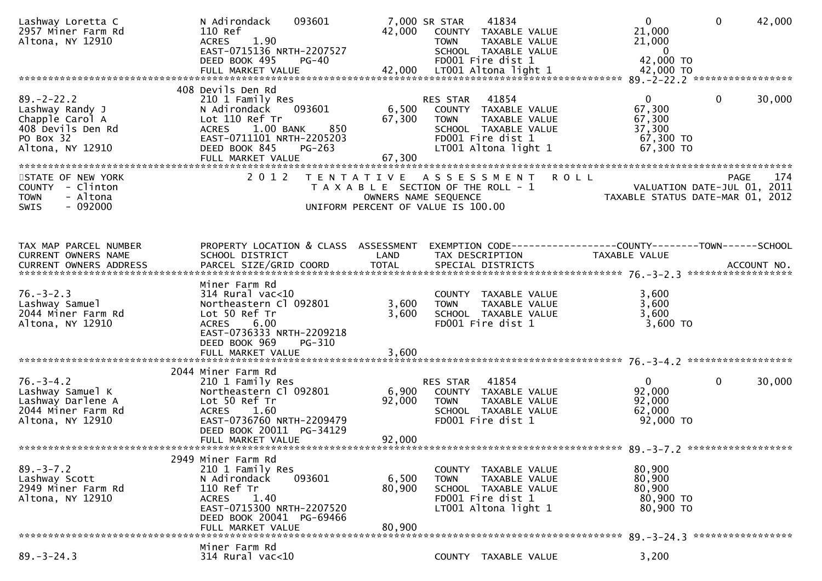| Lashway Loretta C<br>2957 Miner Farm Rd<br>Altona, NY 12910                                        | N Adirondack<br>093601<br>110 Ref<br>1.90<br><b>ACRES</b><br>EAST-0715136 NRTH-2207527<br>DEED BOOK 495<br>PG-40                                                                        | 42,000                    | 41834<br>7,000 SR STAR<br>COUNTY TAXABLE VALUE<br>TAXABLE VALUE<br><b>TOWN</b><br>SCHOOL TAXABLE VALUE<br>FD001 Fire dist 1      | $\mathbf{0}$<br>21,000<br>21,000<br>$\overline{0}$<br>42,000 TO | $\mathbf{0}$<br>42,000 |
|----------------------------------------------------------------------------------------------------|-----------------------------------------------------------------------------------------------------------------------------------------------------------------------------------------|---------------------------|----------------------------------------------------------------------------------------------------------------------------------|-----------------------------------------------------------------|------------------------|
| $89. - 2 - 22.2$                                                                                   | 408 Devils Den Rd<br>210 1 Family Res                                                                                                                                                   |                           | RES STAR<br>41854                                                                                                                | $\mathbf{0}$                                                    | $\mathbf 0$<br>30,000  |
| Lashway Randy J<br>Chapple Carol A<br>408 Devils Den Rd<br>PO Box 32                               | 093601<br>N Adirondack<br>Lot 110 Ref Tr<br>$1.00\,$ BANK<br>850<br><b>ACRES</b><br>EAST-0711101 NRTH-2205203                                                                           | 6,500<br>67,300           | COUNTY TAXABLE VALUE<br>TAXABLE VALUE<br><b>TOWN</b><br>SCHOOL TAXABLE VALUE<br>FD001 Fire dist 1                                | 67,300<br>67,300<br>37,300<br>67,300 TO                         |                        |
| Altona, NY 12910                                                                                   | DEED BOOK 845<br>PG-263<br>FULL MARKET VALUE                                                                                                                                            | 67,300                    | LT001 Altona light 1                                                                                                             | 67,300 TO                                                       |                        |
| STATE OF NEW YORK<br>COUNTY - Clinton<br>- Altona<br><b>TOWN</b><br>$-092000$                      | 2 0 1 2                                                                                                                                                                                 |                           | TENTATIVE ASSESSMENT ROLL<br>T A X A B L E SECTION OF THE ROLL - 1<br>OWNERS NAME SEQUENCE<br>UNIFORM PERCENT OF VALUE IS 100.00 | VALUATION DATE-JUL 01, 2011<br>TAXABLE STATUS DATE-MAR 01, 2012 | 174<br><b>PAGE</b>     |
| SWIS                                                                                               |                                                                                                                                                                                         |                           |                                                                                                                                  |                                                                 |                        |
| TAX MAP PARCEL NUMBER<br>CURRENT OWNERS NAME<br>CURRENT OWNERS ADDRESS                             | PROPERTY LOCATION & CLASS ASSESSMENT<br>SCHOOL DISTRICT<br>PARCEL SIZE/GRID COORD                                                                                                       | LAND<br><b>TOTAL</b>      | EXEMPTION CODE------------------COUNTY--------TOWN------SCHOOL<br>TAX DESCRIPTION<br>SPECIAL DISTRICTS                           | TAXABLE VALUE                                                   | ACCOUNT NO.            |
|                                                                                                    |                                                                                                                                                                                         |                           |                                                                                                                                  |                                                                 |                        |
| $76. - 3 - 2.3$<br>Lashway Samuel<br>2044 Miner Farm Rd<br>Altona, NY 12910                        | Miner Farm Rd<br>$314$ Rural vac<10<br>Northeastern Cl 092801<br>Lot 50 Ref Tr<br>6.00<br><b>ACRES</b><br>EAST-0736333 NRTH-2209218<br>DEED BOOK 969<br>PG-310                          | 3,600<br>3,600            | COUNTY TAXABLE VALUE<br>TAXABLE VALUE<br><b>TOWN</b><br>SCHOOL TAXABLE VALUE<br>FD001 Fire dist 1                                | 3,600<br>3,600<br>3,600<br>$3,600$ TO                           |                        |
|                                                                                                    |                                                                                                                                                                                         |                           |                                                                                                                                  |                                                                 |                        |
| $76. - 3 - 4.2$<br>Lashway Samuel K<br>Lashway Darlene A<br>2044 Miner Farm Rd<br>Altona, NY 12910 | 2044 Miner Farm Rd<br>210 1 Family Res<br>Northeastern Cl 092801<br>Lot 50 Ref Tr<br><b>ACRES</b><br>1.60<br>EAST-0736760 NRTH-2209479<br>DEED BOOK 20011 PG-34129<br>FULL MARKET VALUE | 6,900<br>92,000<br>92,000 | 41854<br>RES STAR<br>COUNTY TAXABLE VALUE<br>TOWN TAXABLE VALUE<br>SCHOOL TAXABLE VALUE<br>FD001 Fire dist 1                     | $\overline{0}$<br>92,000<br>92,000<br>62,000<br>92,000 TO       | $\mathbf{0}$<br>30,000 |
|                                                                                                    |                                                                                                                                                                                         |                           |                                                                                                                                  |                                                                 |                        |
| $89. - 3 - 7.2$<br>Lashway Scott<br>2949 Miner Farm Rd<br>Altona, NY 12910                         | 2949 Miner Farm Rd<br>210 1 Family Res<br>N Adirondack<br>093601<br>110 Ref Tr<br>1.40<br><b>ACRES</b><br>EAST-0715300 NRTH-2207520<br>DEED BOOK 20041 PG-69466<br>FULL MARKET VALUE    | 6,500<br>80,900<br>80,900 | COUNTY<br>TAXABLE VALUE<br>TAXABLE VALUE<br><b>TOWN</b><br>SCHOOL TAXABLE VALUE<br>FD001 Fire dist 1<br>LT001 Altona light 1     | 80,900<br>80,900<br>80,900<br>80,900 TO<br>80,900 TO            |                        |
|                                                                                                    | Miner Farm Rd                                                                                                                                                                           |                           |                                                                                                                                  |                                                                 |                        |
| $89. - 3 - 24.3$                                                                                   | 314 Rural vac<10                                                                                                                                                                        |                           | COUNTY TAXABLE VALUE                                                                                                             | 3,200                                                           |                        |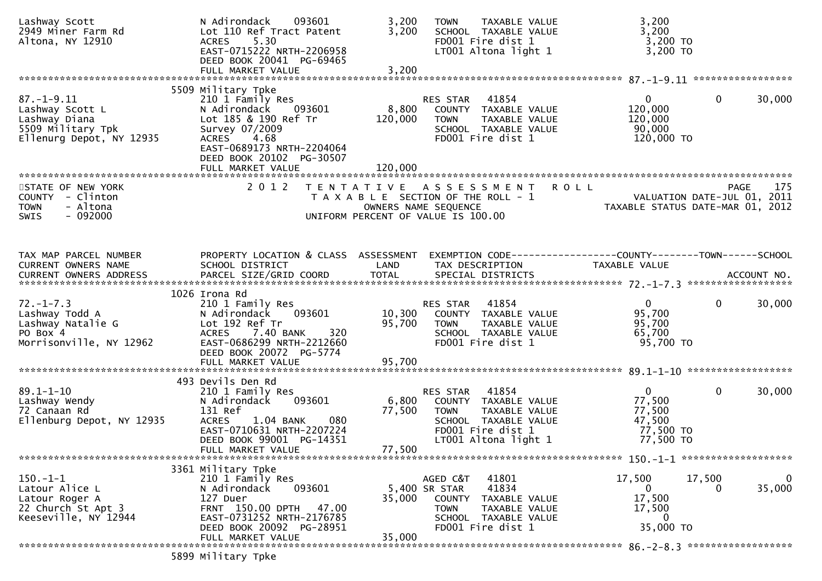| Lashway Scott<br>2949 Miner Farm Rd<br>Altona, NY 12910                                               | N Adirondack<br>093601<br>Lot 110 Ref Tract Patent<br>5.30<br><b>ACRES</b><br>EAST-0715222 NRTH-2206958<br>DEED BOOK 20041 PG-69465<br>FULL MARKET VALUE                                               | 3,200<br>3,200<br>3,200     | TAXABLE VALUE<br><b>TOWN</b><br>SCHOOL TAXABLE VALUE<br>FD001 Fire dist 1<br>LT001 Altona light 1                                                   | 3,200<br>3,200<br>3,200 TO<br>3,200 TO                               |                                                   |
|-------------------------------------------------------------------------------------------------------|--------------------------------------------------------------------------------------------------------------------------------------------------------------------------------------------------------|-----------------------------|-----------------------------------------------------------------------------------------------------------------------------------------------------|----------------------------------------------------------------------|---------------------------------------------------|
|                                                                                                       |                                                                                                                                                                                                        |                             |                                                                                                                                                     |                                                                      |                                                   |
| $87. - 1 - 9.11$<br>Lashway Scott L<br>Lashway Diana<br>5509 Military Tpk<br>Ellenurg Depot, NY 12935 | 5509 Military Tpke<br>210 1 Family Res<br>N Adirondack<br>093601<br>Lot 185 & 190 Ref Tr<br>Survey 07/2009<br>ACRES 4.68<br>EAST-0689173 NRTH-2204064<br>DEED BOOK 20102 PG-30507<br>FULL MARKET VALUE | 8,800<br>120,000<br>120,000 | RES STAR<br>41854<br>COUNTY TAXABLE VALUE<br><b>TOWN</b><br>TAXABLE VALUE<br>SCHOOL TAXABLE VALUE<br>FD001 Fire dist 1                              | $\mathbf{0}$<br>120,000<br>120,000<br>90,000<br>120,000 TO           | 30,000<br>$\mathbf{0}$                            |
| STATE OF NEW YORK<br>COUNTY - Clinton<br>- Altona<br><b>TOWN</b><br>$-092000$<br>SWIS                 | 2 0 1 2                                                                                                                                                                                                |                             | TENTATIVE ASSESSMENT<br>T A X A B L E SECTION OF THE ROLL - 1<br>OWNERS NAME SEQUENCE<br>UNIFORM PERCENT OF VALUE IS 100.00                         | <b>ROLL</b><br>TAXABLE STATUS DATE-MAR 01, 2012                      | 175<br><b>PAGE</b><br>VALUATION DATE-JUL 01, 2011 |
| TAX MAP PARCEL NUMBER<br>CURRENT OWNERS NAME                                                          | PROPERTY LOCATION & CLASS ASSESSMENT<br>SCHOOL DISTRICT                                                                                                                                                | LAND                        | TAX DESCRIPTION                                                                                                                                     | TAXABLE VALUE                                                        |                                                   |
| $72. - 1 - 7.3$<br>Lashway Todd A<br>Lashway Natalie G<br>PO Box 4<br>Morrisonville, NY 12962         | 1026 Irona Rd<br>210 1 Family Res<br>093601<br>N Adirondack<br>Lot 192 Ref Tr<br>7.40 BANK<br><b>ACRES</b><br>320<br>EAST-0686299 NRTH-2212660<br>DEED BOOK 20072 PG-5774                              | 10,300<br>95,700            | 41854<br>RES STAR<br>COUNTY TAXABLE VALUE<br>TAXABLE VALUE<br><b>TOWN</b><br>SCHOOL TAXABLE VALUE<br>FD001 Fire dist 1                              | $\overline{0}$<br>95,700<br>95,700<br>65,700<br>95,700 TO            | $\Omega$<br>30,000                                |
| $89.1 - 1 - 10$<br>Lashway Wendy<br>72 Canaan Rd<br>Ellenburg Depot, NY 12935                         | 493 Devils Den Rd<br>210 1 Family Res<br>093601<br>N Adirondack<br>131 Ref<br>080<br><b>ACRES</b><br>1.04 BANK<br>EAST-0710631 NRTH-2207224<br>DEED BOOK 99001 PG-14351<br>FULL MARKET VALUE           | 6,800<br>77,500<br>77,500   | 41854<br>RES STAR<br>COUNTY TAXABLE VALUE<br><b>TOWN</b><br>TAXABLE VALUE<br>SCHOOL TAXABLE VALUE<br>FD001 Fire dist 1<br>LT001 Altona light 1      | $\mathbf{0}$<br>77,500<br>77,500<br>47,500<br>77,500 TO<br>77,500 TO | $\mathbf 0$<br>30,000                             |
| $150.-1-1$<br>Latour Alice L<br>Latour Roger A<br>22 Church St Apt 3<br>Keeseville, NY 12944          | 3361 Military Tpke<br>210 1 Family Res<br>093601<br>N Adirondack<br>127 Duer<br>FRNT 150.00 DPTH 47.00<br>EAST-0731252 NRTH-2176785<br>DEED BOOK 20092 PG-28951<br>FULL MARKET VALUE                   | 35,000<br>35,000            | 41801<br>AGED C&T<br>41834<br>5,400 SR STAR<br>COUNTY<br>TAXABLE VALUE<br><b>TOWN</b><br>TAXABLE VALUE<br>SCHOOL TAXABLE VALUE<br>FD001 Fire dist 1 | 17,500<br>$\overline{0}$<br>17,500<br>17,500<br>0<br>35,000 TO       | $\mathbf 0$<br>17,500<br>35,000<br>$_{0}$         |
|                                                                                                       | 5899 Military Tpke                                                                                                                                                                                     |                             |                                                                                                                                                     |                                                                      |                                                   |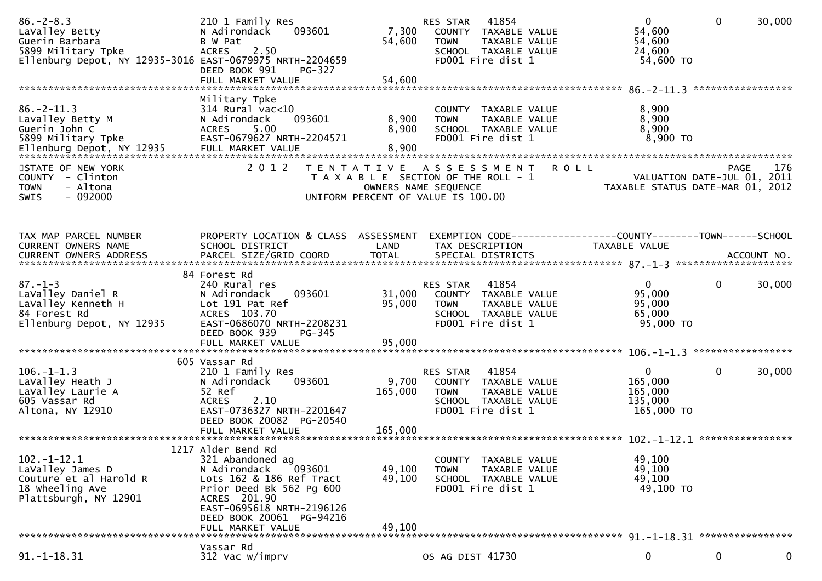| $86. - 2 - 8.3$<br>LaValley Betty<br>Guerin Barbara<br>5899 Military Tpke<br>Ellenburg Depot, NY 12935-3016 EAST-0679975 NRTH-2204659 | 210 1 Family Res<br>093601<br>N Adirondack<br>B W Pat<br>2.50<br><b>ACRES</b><br>DEED BOOK 991<br>PG-327<br>FULL MARKET VALUE                                                                                          | 7,300<br>54,600<br>54,600   | RES STAR<br>41854<br>COUNTY TAXABLE VALUE<br><b>TOWN</b><br>TAXABLE VALUE<br>SCHOOL TAXABLE VALUE<br>FD001 Fire dist 1           | $\overline{0}$<br>54,600<br>54,600<br>24,600<br>54,600 TO   | $\mathbf 0$<br>30,000                                                                 |
|---------------------------------------------------------------------------------------------------------------------------------------|------------------------------------------------------------------------------------------------------------------------------------------------------------------------------------------------------------------------|-----------------------------|----------------------------------------------------------------------------------------------------------------------------------|-------------------------------------------------------------|---------------------------------------------------------------------------------------|
| $86. -2 - 11.3$<br>Lavalley Betty M<br>Guerin John C<br>5899 Military Tpke<br>Ellenburg Depot, NY 12935 FULL MARKET VALUE             | Military Tpke<br>$314$ Rural vac<10<br>093601<br>N Adirondack<br>5.00<br><b>ACRES</b><br>EAST-0679627 NRTH-2204571                                                                                                     | 8,900<br>8,900<br>8,900     | COUNTY TAXABLE VALUE<br>TAXABLE VALUE<br><b>TOWN</b><br>SCHOOL TAXABLE VALUE<br>FD001 Fire dist 1                                | 8,900<br>8,900<br>8,900<br>8,900 TO                         | *****************                                                                     |
| STATE OF NEW YORK<br>COUNTY - Clinton<br>- Altona<br><b>TOWN</b><br>$-092000$<br>SWIS                                                 | 2012                                                                                                                                                                                                                   |                             | TENTATIVE ASSESSMENT ROLL<br>T A X A B L E SECTION OF THE ROLL - 1<br>OWNERS NAME SEQUENCE<br>UNIFORM PERCENT OF VALUE IS 100.00 |                                                             | 176<br><b>PAGE</b><br>VALUATION DATE-JUL 01, 2011<br>TAXABLE STATUS DATE-MAR 01, 2012 |
| TAX MAP PARCEL NUMBER<br>CURRENT OWNERS NAME                                                                                          | PROPERTY LOCATION & CLASS ASSESSMENT<br>SCHOOL DISTRICT                                                                                                                                                                | LAND<br>TOTAL               | EXEMPTION CODE------------------COUNTY--------TOWN------SCHOOL<br>TAX DESCRIPTION                                                | TAXABLE VALUE                                               |                                                                                       |
| $87. - 1 - 3$<br>LaValley Daniel R<br>LaValley Kenneth H<br>84 Forest Rd<br>Ellenburg Depot, NY 12935                                 | 84 Forest Rd<br>240 Rural res<br>N Adirondack<br>093601<br>Lot 191 Pat Ref<br>ACRES 103.70<br>EAST-0686070 NRTH-2208231<br>DEED BOOK 939<br>PG-345<br>FULL MARKET VALUE                                                | 31,000<br>95,000<br>95,000  | RES STAR<br>41854<br>COUNTY TAXABLE VALUE<br><b>TOWN</b><br>TAXABLE VALUE<br>SCHOOL TAXABLE VALUE<br>FD001 Fire dist 1           | $\Omega$<br>95,000<br>95,000<br>65,000<br>95,000 TO         | 0<br>30,000                                                                           |
| $106. - 1 - 1.3$<br>LaValley Heath J<br>LaValley Laurie A<br>605 Vassar Rd<br>Altona, NY 12910                                        | 605 Vassar Rd<br>210 1 Family Res<br>093601<br>N Adirondack<br>52 Ref<br><b>ACRES</b><br>2.10<br>EAST-0736327 NRTH-2201647<br>DEED BOOK 20082 PG-20540<br>FULL MARKET VALUE                                            | 9,700<br>165,000<br>165,000 | 41854<br>RES STAR<br>COUNTY TAXABLE VALUE<br><b>TOWN</b><br>TAXABLE VALUE<br>SCHOOL TAXABLE VALUE<br>FD001 Fire dist 1           | $\mathbf{0}$<br>165,000<br>165,000<br>135,000<br>165,000 TO | $\mathbf{0}$<br>30,000                                                                |
| $102 - 1 - 12.1$<br>LaValley James D<br>Couture et al Harold R<br>18 wheeling Ave<br>Plattsburgh, NY 12901                            | 1217 Alder Bend Rd<br>321 Abandoned ag<br>N Adirondack<br>093601<br>Lots 162 & 186 Ref Tract<br>Prior Deed Bk 562 Pg 600<br>ACRES 201.90<br>EAST-0695618 NRTH-2196126<br>DEED BOOK 20061 PG-94216<br>FULL MARKET VALUE | 49,100<br>49,100<br>49,100  | COUNTY TAXABLE VALUE<br>TAXABLE VALUE<br><b>TOWN</b><br>SCHOOL TAXABLE VALUE<br>FD001 Fire dist 1                                | 49,100<br>49,100<br>49,100<br>49,100 TO                     |                                                                                       |
| $91. -1 - 18.31$                                                                                                                      | Vassar Rd<br>312 Vac w/imprv                                                                                                                                                                                           |                             | OS AG DIST 41730                                                                                                                 | 0                                                           | 0<br>0                                                                                |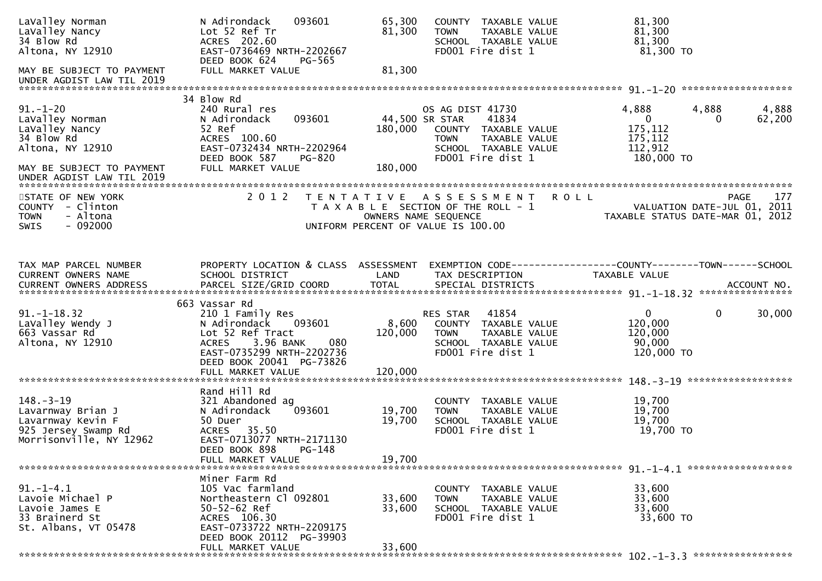| LaValley Norman<br>LaValley Nancy<br>34 Blow Rd<br>Altona, NY 12910                                                                             | N Adirondack<br>093601<br>Lot 52 Ref Tr<br>ACRES 202.60<br>EAST-0736469 NRTH-2202667<br>DEED BOOK 624<br>PG-565                                                                                   | 65,300<br>81,300            | COUNTY TAXABLE VALUE<br>TAXABLE VALUE<br><b>TOWN</b><br>SCHOOL TAXABLE VALUE<br>FD001 Fire dist 1                                                | 81,300<br>81,300<br>81,300<br>81,300 TO                                                              |
|-------------------------------------------------------------------------------------------------------------------------------------------------|---------------------------------------------------------------------------------------------------------------------------------------------------------------------------------------------------|-----------------------------|--------------------------------------------------------------------------------------------------------------------------------------------------|------------------------------------------------------------------------------------------------------|
| MAY BE SUBJECT TO PAYMENT<br>UNDER AGDIST LAW TIL 2019                                                                                          | FULL MARKET VALUE                                                                                                                                                                                 | 81,300                      |                                                                                                                                                  |                                                                                                      |
| $91. - 1 - 20$<br>LaValley Norman<br>LaValley Nancy<br>34 Blow Rd<br>Altona, NY 12910<br>MAY BE SUBJECT TO PAYMENT<br>UNDER AGDIST LAW TIL 2019 | 34 Blow Rd<br>240 Rural res<br>093601<br>N Adirondack<br>52 Ref<br>ACRES 100.60<br>EAST-0732434 NRTH-2202964<br>DEED BOOK 587<br>PG-820<br>FULL MARKET VALUE                                      | 180,000<br>180,000          | OS AG DIST 41730<br>41834<br>44,500 SR STAR<br>COUNTY TAXABLE VALUE<br>TAXABLE VALUE<br><b>TOWN</b><br>SCHOOL TAXABLE VALUE<br>FD001 Fire dist 1 | 4,888<br>4,888<br>4,888<br>$\mathbf{0}$<br>62,200<br>175,112<br>175,112<br>112,912<br>180,000 TO     |
| STATE OF NEW YORK<br>COUNTY - Clinton<br><b>TOWN</b><br>- Altona<br>$-092000$<br><b>SWIS</b>                                                    | 2 0 1 2                                                                                                                                                                                           | T E N T A T I V E           | A S S E S S M E N T<br>T A X A B L E SECTION OF THE ROLL - 1<br>OWNERS NAME SEQUENCE<br>UNIFORM PERCENT OF VALUE IS 100.00                       | <b>ROLL</b><br>177<br><b>PAGE</b><br>VALUATION DATE-JUL 01, 2011<br>TAXABLE STATUS DATE-MAR 01, 2012 |
| TAX MAP PARCEL NUMBER<br>CURRENT OWNERS NAME                                                                                                    | PROPERTY LOCATION & CLASS ASSESSMENT<br>SCHOOL DISTRICT                                                                                                                                           | LAND                        | TAX DESCRIPTION                                                                                                                                  | EXEMPTION CODE-----------------COUNTY-------TOWN------SCHOOL<br><b>TAXABLE VALUE</b>                 |
| $91. - 1 - 18.32$<br>LaValley Wendy J<br>663 Vassar Rd<br>Altona, NY 12910                                                                      | 663 Vassar Rd<br>210 1 Family Res<br>N Adirondack<br>093601<br>Lot 52 Ref Tract<br>3.96 BANK<br>080<br><b>ACRES</b><br>EAST-0735299 NRTH-2202736<br>DEED BOOK 20041 PG-73826<br>FULL MARKET VALUE | 8,600<br>120,000<br>120,000 | 41854<br>RES STAR<br>COUNTY TAXABLE VALUE<br><b>TOWN</b><br>TAXABLE VALUE<br>SCHOOL TAXABLE VALUE<br>FD001 Fire dist 1                           | 30,000<br>$\mathbf{0}$<br>0<br>120,000<br>120,000<br>90,000<br>120,000 TO                            |
|                                                                                                                                                 |                                                                                                                                                                                                   |                             |                                                                                                                                                  | ******************                                                                                   |
| $148. - 3 - 19$<br>Lavarnway Brian J<br>Lavarnway Kevin F<br>925 Jersey Swamp Rd<br>Morrisonville, NY 12962                                     | Rand Hill Rd<br>321 Abandoned ag<br>093601<br>N Adirondack<br>50 Duer<br>ACRES 35.50<br>EAST-0713077 NRTH-2171130<br>DEED BOOK 898<br>PG-148<br>FULL MARKET VALUE                                 | 19,700<br>19,700<br>19,700  | COUNTY TAXABLE VALUE<br>TAXABLE VALUE<br><b>TOWN</b><br>SCHOOL TAXABLE VALUE<br>FD001 Fire dist 1                                                | 19,700<br>19,700<br>19,700<br>19,700 TO                                                              |
|                                                                                                                                                 |                                                                                                                                                                                                   |                             |                                                                                                                                                  |                                                                                                      |
| $91. - 1 - 4.1$<br>Lavoie Michael P<br>Lavoie James E<br>33 Brainerd St<br>St. Albans, VT 05478                                                 | Miner Farm Rd<br>105 Vac farmland<br>Northeastern Cl 092801<br>$50 - 52 - 62$ Ref<br>ACRES 106.30<br>EAST-0733722 NRTH-2209175<br>DEED BOOK 20112 PG-39903                                        | 33,600<br>33,600            | COUNTY TAXABLE VALUE<br><b>TOWN</b><br>TAXABLE VALUE<br>SCHOOL TAXABLE VALUE<br>FD001 Fire dist 1                                                | 33,600<br>33,600<br>33,600<br>33,600 TO                                                              |
|                                                                                                                                                 | FULL MARKET VALUE                                                                                                                                                                                 | 33,600                      |                                                                                                                                                  |                                                                                                      |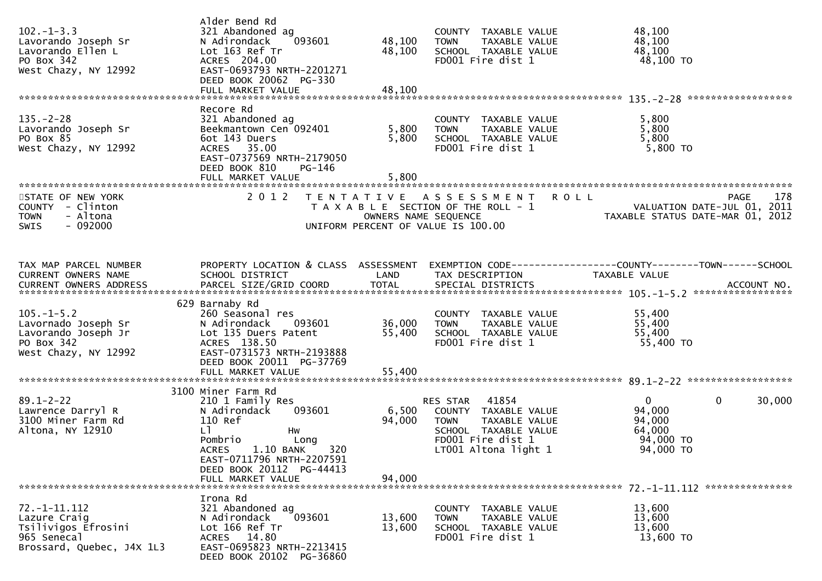| $102 - 1 - 3.3$<br>Lavorando Joseph Sr<br>Lavorando Ellen L<br>PO Box 342<br>West Chazy, NY 12992     | Alder Bend Rd<br>321 Abandoned ag<br>N Adirondack<br>093601<br>Lot 163 Ref Tr<br>ACRES 204.00<br>EAST-0693793 NRTH-2201271<br>DEED BOOK 20062 PG-330                                                                | 48,100<br>48,100          | COUNTY TAXABLE VALUE<br>TAXABLE VALUE<br>TOWN<br>SCHOOL TAXABLE VALUE<br>FD001 Fire dist 1                                              | 48,100<br>48,100<br>48,100<br>$48,100$ TO                                           |                    |
|-------------------------------------------------------------------------------------------------------|---------------------------------------------------------------------------------------------------------------------------------------------------------------------------------------------------------------------|---------------------------|-----------------------------------------------------------------------------------------------------------------------------------------|-------------------------------------------------------------------------------------|--------------------|
| $135. - 2 - 28$<br>Lavorando Joseph Sr<br>PO Box 85<br>West Chazy, NY 12992                           | Recore Rd<br>321 Abandoned ag<br>Beekmantown Cen 092401<br>6ot 143 Duers<br>ACRES 35.00<br>EAST-0737569 NRTH-2179050<br>DEED BOOK 810<br>PG-146                                                                     | 5,800<br>5,800<br>5,800   | COUNTY TAXABLE VALUE<br><b>TOWN</b><br>TAXABLE VALUE<br>SCHOOL TAXABLE VALUE<br>FD001 Fire dist 1                                       | 5,800<br>5,800<br>5,800<br>5,800 TO                                                 |                    |
| STATE OF NEW YORK<br>COUNTY - Clinton<br><b>TOWN</b><br>- Altona<br>$-092000$<br><b>SWIS</b>          | 2 0 1 2                                                                                                                                                                                                             | OWNERS NAME SEQUENCE      | TENTATIVE ASSESSMENT<br>T A X A B L E SECTION OF THE ROLL - 1<br>UNIFORM PERCENT OF VALUE IS 100.00                                     | <b>ROLL</b><br>VALUATION DATE-JUL 01, 2011<br>TAXABLE STATUS DATE-MAR 01, 2012      | 178<br><b>PAGE</b> |
| TAX MAP PARCEL NUMBER<br>CURRENT OWNERS NAME                                                          | PROPERTY LOCATION & CLASS ASSESSMENT<br>SCHOOL DISTRICT                                                                                                                                                             | LAND                      | TAX DESCRIPTION                                                                                                                         | EXEMPTION CODE------------------COUNTY--------TOWN------SCHOOL<br>TAXABLE VALUE     |                    |
| $105. - 1 - 5.2$<br>Lavornado Joseph Sr<br>Lavorando Joseph Jr<br>PO Box 342<br>West Chazy, NY 12992  | 629 Barnaby Rd<br>260 Seasonal res<br>N Adirondack<br>093601<br>Lot 135 Duers Patent<br>ACRES 138.50<br>EAST-0731573 NRTH-2193888<br>DEED BOOK 20011 PG-37769                                                       | 36,000<br>55,400          | COUNTY TAXABLE VALUE<br>TAXABLE VALUE<br>TOWN<br>SCHOOL TAXABLE VALUE<br>FD001 Fire dist 1                                              | 55,400<br>55,400<br>55,400<br>55,400 TO                                             |                    |
| $89.1 - 2 - 22$<br>Lawrence Darryl R<br>3100 Miner Farm Rd<br>Altona, NY 12910                        | 3100 Miner Farm Rd<br>210 1 Family Res<br>093601<br>N Adirondack<br>110 Ref<br>LI.<br>Hw<br>Pombrio<br>Long<br>320<br>ACRES 1.10 BANK<br>EAST-0711796 NRTH-2207591<br>DEED BOOK 20112 PG-44413<br>FULL MARKET VALUE | 6,500<br>94,000<br>94,000 | 41854<br>RES STAR<br>COUNTY TAXABLE VALUE<br>TAXABLE VALUE<br>TOWN<br>SCHOOL TAXABLE VALUE<br>FD001 Fire dist 1<br>LT001 Altona light 1 | $\mathbf{0}$<br>$\mathbf 0$<br>94,000<br>94,000<br>64,000<br>94,000 TO<br>94,000 TO | 30,000             |
| $72. - 1 - 11.112$<br>Lazure Craig<br>Tsilivigos Efrosini<br>965 Senecal<br>Brossard, Quebec, J4X 1L3 | Irona Rd<br>321 Abandoned ag<br>093601<br>N Adirondack<br>Lot 166 Ref Tr<br>ACRES 14.80<br>EAST-0695823 NRTH-2213415<br>DEED BOOK 20102 PG-36860                                                                    | 13,600<br>13,600          | COUNTY TAXABLE VALUE<br>TAXABLE VALUE<br><b>TOWN</b><br>SCHOOL TAXABLE VALUE<br>FD001 Fire dist 1                                       | 13,600<br>13,600<br>13,600<br>13,600 TO                                             |                    |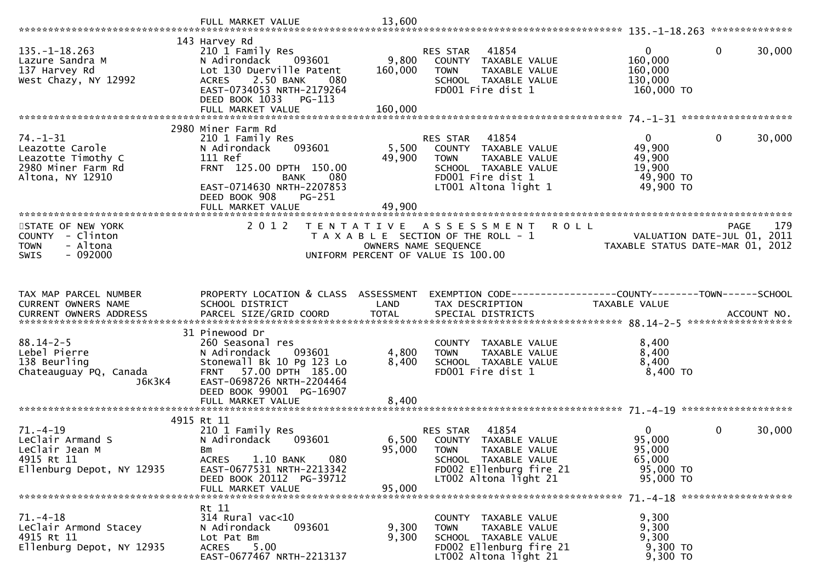|                                                                                                 |                                                                                                                                                                                             | 13,600           |                                                                                                                                                          |                                                                        |                       |
|-------------------------------------------------------------------------------------------------|---------------------------------------------------------------------------------------------------------------------------------------------------------------------------------------------|------------------|----------------------------------------------------------------------------------------------------------------------------------------------------------|------------------------------------------------------------------------|-----------------------|
|                                                                                                 |                                                                                                                                                                                             |                  |                                                                                                                                                          |                                                                        |                       |
| $135. - 1 - 18.263$<br>Lazure Sandra M<br>137 Harvey Rd<br>West Chazy, NY 12992                 | 143 Harvey Rd<br>210 1 Family Res<br>N Adirondack<br>093601<br>Lot 130 Duerville Patent<br>2.50 BANK<br><b>ACRES</b><br>080<br>EAST-0734053 NRTH-2179264<br>DEED BOOK 1033<br>PG-113        | 9,800<br>160,000 | 41854<br>RES STAR<br>COUNTY TAXABLE VALUE<br>TAXABLE VALUE<br><b>TOWN</b><br>SCHOOL TAXABLE VALUE<br>FD001 Fire dist 1                                   | $\overline{0}$<br>160,000<br>160,000<br>130,000<br>160,000 TO          | $\mathbf 0$<br>30,000 |
|                                                                                                 |                                                                                                                                                                                             |                  |                                                                                                                                                          |                                                                        |                       |
| 74. -1 - 31<br>Leazotte Carole<br>Leazotte Timothy C<br>2980 Miner Farm Rd<br>Altona, NY 12910  | 2980 Miner Farm Rd<br>210 1 Family Res<br>N Adirondack<br>093601<br>111 Ref<br>FRNT 125.00 DPTH 150.00<br>080<br><b>BANK</b><br>EAST-0714630 NRTH-2207853<br>DEED BOOK 908<br><b>PG-251</b> | 5,500<br>49,900  | RES STAR 41854<br>COUNTY TAXABLE VALUE<br>TAXABLE VALUE<br><b>TOWN</b><br>SCHOOL TAXABLE VALUE<br>FD001 Fire dist 1<br>LT001 Altona light 1              | $\overline{0}$<br>49,900<br>49,900<br>19,900<br>49,900 TO<br>49,900 TO | $\mathbf 0$<br>30,000 |
|                                                                                                 | FULL MARKET VALUE                                                                                                                                                                           | 49,900           |                                                                                                                                                          |                                                                        |                       |
| STATE OF NEW YORK<br>COUNTY - Clinton<br><b>TOWN</b><br>- Altona<br>$-092000$<br><b>SWIS</b>    | 2 0 1 2                                                                                                                                                                                     |                  | TENTATIVE ASSESSMENT ROLL<br>T A X A B L E SECTION OF THE ROLL - 1<br>OWNERS NAME SEQUENCE<br>UNIFORM PERCENT OF VALUE IS 100.00                         | VALUATION DATE-JUL 01, 2011<br>TAXABLE STATUS DATE-MAR 01, 2012        | 179<br><b>PAGE</b>    |
| TAX MAP PARCEL NUMBER                                                                           | PROPERTY LOCATION & CLASS ASSESSMENT                                                                                                                                                        |                  | EXEMPTION CODE------------------COUNTY--------TOWN------SCHOOL                                                                                           |                                                                        |                       |
| CURRENT OWNERS NAME                                                                             | SCHOOL DISTRICT                                                                                                                                                                             | LAND             | TAX DESCRIPTION                                                                                                                                          | TAXABLE VALUE                                                          |                       |
|                                                                                                 | 31 Pinewood Dr                                                                                                                                                                              |                  |                                                                                                                                                          |                                                                        |                       |
| $88.14 - 2 - 5$<br>Lebel Pierre<br>138 Beurling<br>Chateauguay PQ, Canada<br>J6K3K4             | 260 Seasonal res<br>N Adirondack<br>093601<br>Stonewall Bk 10 Pg 123 Lo<br>FRNT 57.00 DPTH 185.00<br>EAST-0698726 NRTH-2204464<br>DEED BOOK 99001 PG-16907                                  | 4,800<br>8,400   | COUNTY TAXABLE VALUE<br><b>TOWN</b><br>TAXABLE VALUE<br>SCHOOL TAXABLE VALUE<br>FD001 Fire dist 1                                                        | 8,400<br>8,400<br>8,400<br>$8,400$ TO                                  |                       |
|                                                                                                 | FULL MARKET VALUE                                                                                                                                                                           | 8,400            |                                                                                                                                                          |                                                                        |                       |
|                                                                                                 | 4915 Rt 11                                                                                                                                                                                  |                  |                                                                                                                                                          |                                                                        |                       |
| $71. - 4 - 19$<br>Leclair Armand S<br>LeClair Jean M<br>4915 Rt 11<br>Ellenburg Depot, NY 12935 | 210 1 Family Res<br>N Adirondack<br>093601<br>Bm<br><b>ACRES</b><br>1.10 BANK<br>080<br>EAST-0677531 NRTH-2213342<br>DEED BOOK 20112 PG-39712                                               | 6,500<br>95,000  | 41854<br>RES STAR<br>TAXABLE VALUE<br>COUNTY<br><b>TOWN</b><br>TAXABLE VALUE<br>SCHOOL TAXABLE VALUE<br>FD002 Ellenburg fire 21<br>LT002 Altona light 21 | 0<br>95,000<br>95,000<br>65,000<br>95,000 TO<br>95,000 TO              | $\mathbf 0$<br>30,000 |
|                                                                                                 | FULL MARKET VALUE                                                                                                                                                                           | 95,000           |                                                                                                                                                          |                                                                        |                       |
| $71. - 4 - 18$<br>LeClair Armond Stacey<br>4915 Rt 11<br>Ellenburg Depot, NY 12935              | Rt 11<br>$314$ Rural vac<10<br>093601<br>N Adirondack<br>Lot Pat Bm<br>5.00<br>ACRES<br>EAST-0677467 NRTH-2213137                                                                           | 9,300<br>9,300   | COUNTY TAXABLE VALUE<br><b>TOWN</b><br>TAXABLE VALUE<br>SCHOOL TAXABLE VALUE<br>FD002 Ellenburg fire 21<br>LT002 Altona light 21                         | 9,300<br>9,300<br>9,300<br>9,300 TO<br>9,300 TO                        |                       |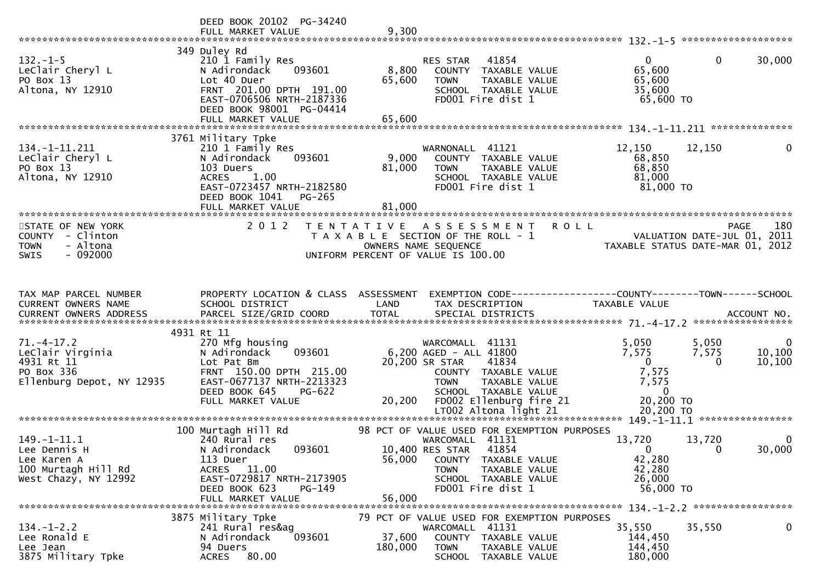|                                                                                               | DEED BOOK 20102 PG-34240<br>FULL MARKET VALUE                                                                                                                                      | 9,300                     |                                                                                                                                                                                                                 |                                                                                           |                                                                                       |
|-----------------------------------------------------------------------------------------------|------------------------------------------------------------------------------------------------------------------------------------------------------------------------------------|---------------------------|-----------------------------------------------------------------------------------------------------------------------------------------------------------------------------------------------------------------|-------------------------------------------------------------------------------------------|---------------------------------------------------------------------------------------|
| $132 - 1 - 5$<br>LeClair Cheryl L<br>PO Box 13<br>Altona, NY 12910                            | 349 Duley Rd<br>210 1 Family Res<br>N Adirondack<br>093601<br>Lot 40 Duer<br>FRNT 201.00 DPTH 191.00<br>EAST-0706506 NRTH-2187336<br>DEED BOOK 98001 PG-04414<br>FULL MARKET VALUE | 8,800<br>65,600<br>65,600 | 41854<br>RES STAR<br>COUNTY TAXABLE VALUE<br>TAXABLE VALUE<br><b>TOWN</b><br>SCHOOL TAXABLE VALUE<br>FD001 Fire dist 1                                                                                          | $\mathbf{0}$<br>65,600<br>65,600<br>35,600<br>65,600 TO                                   | $\mathbf 0$<br>30,000                                                                 |
|                                                                                               |                                                                                                                                                                                    |                           |                                                                                                                                                                                                                 |                                                                                           |                                                                                       |
| 134. -1 -11. 211<br>LeClair Cheryl L<br>PO Box 13<br>Altona, NY 12910                         | 3761 Military Tpke<br>210 1 Family Res<br>N Adirondack<br>093601<br>103 Duers<br>1.00<br><b>ACRES</b><br>EAST-0723457 NRTH-2182580<br>DEED BOOK 1041<br>$PG-265$                   | 9,000<br>81,000           | WARNONALL 41121<br>COUNTY TAXABLE VALUE<br><b>TOWN</b><br>TAXABLE VALUE<br>SCHOOL TAXABLE VALUE<br>FD001 Fire dist 1                                                                                            | 12,150<br>68,850<br>68,850<br>81,000<br>81,000 TO                                         | 12,150<br>0                                                                           |
|                                                                                               |                                                                                                                                                                                    |                           |                                                                                                                                                                                                                 |                                                                                           |                                                                                       |
| STATE OF NEW YORK<br>COUNTY - Clinton<br><b>TOWN</b><br>- Altona<br>$-092000$<br>SWIS         | 2 0 1 2                                                                                                                                                                            | T E N T A T I V E         | A S S E S S M E N T<br>T A X A B L E SECTION OF THE ROLL - 1<br>OWNERS NAME SEQUENCE<br>UNIFORM PERCENT OF VALUE IS 100.00                                                                                      | <b>ROLL</b>                                                                               | 180<br><b>PAGE</b><br>VALUATION DATE-JUL 01, 2011<br>TAXABLE STATUS DATE-MAR 01, 2012 |
| TAX MAP PARCEL NUMBER<br><b>CURRENT OWNERS NAME</b>                                           | PROPERTY LOCATION & CLASS ASSESSMENT<br>SCHOOL DISTRICT                                                                                                                            | LAND                      | EXEMPTION CODE------------------COUNTY--------TOWN------SCHOOL<br>TAX DESCRIPTION                                                                                                                               | TAXABLE VALUE                                                                             |                                                                                       |
| $71. - 4 - 17.2$<br>LeClair Virginia<br>4931 Rt 11<br>PO Box 336<br>Ellenburg Depot, NY 12935 | 4931 Rt 11<br>270 Mfg housing<br>093601<br>N Adirondack<br>Lot Pat Bm<br>FRNT 150.00 DPTH 215.00<br>EAST-0677137 NRTH-2213323<br>DEED BOOK 645<br>PG-622<br>FULL MARKET VALUE      |                           | WARCOMALL 41131<br>6,200 AGED - ALL 41800<br>20,200 SR STAR<br>41834<br>COUNTY TAXABLE VALUE<br>TAXABLE VALUE<br><b>TOWN</b><br>SCHOOL TAXABLE VALUE<br>20,200 FD002 Ellenburg fire 21<br>LT002 Altona light 21 | 5,050<br>7,575<br>$\mathbf{0}$<br>7,575<br>7,575<br>$\mathbf 0$<br>20,200 TO<br>20,200 TO | 5,050<br>$\bf{0}$<br>7,575<br>10,100<br>10, 100<br>$\Omega$                           |
|                                                                                               |                                                                                                                                                                                    |                           |                                                                                                                                                                                                                 |                                                                                           |                                                                                       |
| 149. - 1 - 11.1<br>Lee Dennis H<br>Lee Karen A<br>100 Murtagh Hill Rd<br>West Chazy, NY 12992 | 100 Murtagh Hill Rd<br>240 Rural res<br>093601<br>N Adirondack<br>113 Duer<br>11.00<br><b>ACRES</b><br>EAST-0729817 NRTH-2173905<br>DEED BOOK 623<br>PG-149                        | 56,000                    | 98 PCT OF VALUE USED FOR EXEMPTION PURPOSES<br>WARCOMALL 41131<br>10,400 RES STAR<br>41854<br>COUNTY TAXABLE VALUE<br>TAXABLE VALUE<br><b>TOWN</b><br>SCHOOL TAXABLE VALUE<br>FD001 Fire dist 1                 | 13,720<br>$\Omega$<br>42,280<br>42,280<br>26,000<br>56,000 TO                             | 13,720<br>$\bf{0}$<br>30,000<br>0                                                     |
|                                                                                               | FULL MARKET VALUE                                                                                                                                                                  | 56,000                    |                                                                                                                                                                                                                 |                                                                                           |                                                                                       |
|                                                                                               | 3875 Military Tpke                                                                                                                                                                 |                           |                                                                                                                                                                                                                 |                                                                                           |                                                                                       |
| $134. - 1 - 2.2$<br>Lee Ronald E<br>Lee Jean<br>3875 Military Tpke                            | 241 Rural res&ag<br>N Adirondack<br>093601<br>94 Duers<br><b>ACRES</b><br>80.00                                                                                                    | 37,600<br>180,000         | 79 PCT OF VALUE USED FOR EXEMPTION PURPOSES<br>WARCOMALL 41131<br>COUNTY TAXABLE VALUE<br><b>TOWN</b><br>TAXABLE VALUE<br>SCHOOL TAXABLE VALUE                                                                  | 35,550<br>144,450<br>144,450<br>180,000                                                   | 0<br>35,550                                                                           |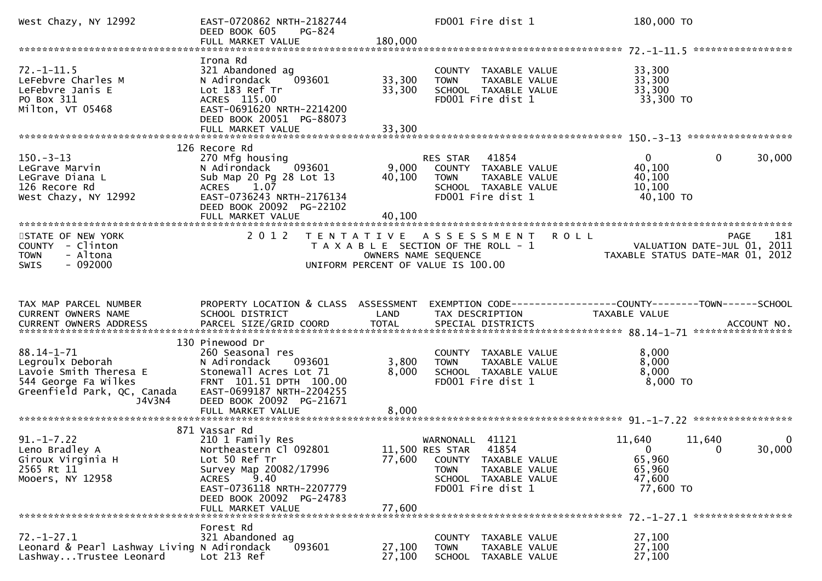| West Chazy, NY 12992                                                                                                            | EAST-0720862 NRTH-2182744<br>PG-824<br>DEED BOOK 605<br>FULL MARKET VALUE                                                                                                                                    | 180,000                   | FD001 Fire dist 1                                                                                                                                | 180,000 TO                                                      |                    |                       |
|---------------------------------------------------------------------------------------------------------------------------------|--------------------------------------------------------------------------------------------------------------------------------------------------------------------------------------------------------------|---------------------------|--------------------------------------------------------------------------------------------------------------------------------------------------|-----------------------------------------------------------------|--------------------|-----------------------|
|                                                                                                                                 |                                                                                                                                                                                                              |                           |                                                                                                                                                  |                                                                 |                    |                       |
| $72. - 1 - 11.5$<br>LeFebvre Charles M<br>LeFebvre Janis E<br>PO Box 311<br>Milton, VT 05468                                    | Irona Rd<br>321 Abandoned ag<br>093601<br>N Adirondack<br>Lot 183 Ref Tr<br>ACRES 115.00<br>EAST-0691620 NRTH-2214200<br>DEED BOOK 20051 PG-88073                                                            | 33,300<br>33,300          | COUNTY TAXABLE VALUE<br>TAXABLE VALUE<br><b>TOWN</b><br>SCHOOL TAXABLE VALUE<br>FD001 Fire dist 1                                                | 33,300<br>33,300<br>33,300<br>33,300 TO                         |                    |                       |
|                                                                                                                                 | FULL MARKET VALUE                                                                                                                                                                                            | 33,300                    |                                                                                                                                                  |                                                                 |                    |                       |
|                                                                                                                                 | 126 Recore Rd                                                                                                                                                                                                |                           |                                                                                                                                                  |                                                                 |                    |                       |
| $150 - 3 - 13$<br>LeGrave Marvin<br>LeGrave Diana L<br>126 Recore Rd<br>West Chazy, NY 12992                                    | 270 Mfg housing<br>N Adirondack 093601<br>Sub Map 20 Pg 28 Lot 13<br>1.07<br><b>ACRES</b><br>EAST-0736243 NRTH-2176134<br>DEED BOOK 20092 PG-22102<br>FULL MARKET VALUE                                      | 9,000<br>40,100<br>40,100 | RES STAR<br>41854<br>COUNTY TAXABLE VALUE<br><b>TOWN</b><br>TAXABLE VALUE<br>SCHOOL TAXABLE VALUE<br>FD001 Fire dist 1                           | 0<br>40,100<br>40,100<br>10,100<br>40,100 TO                    | $\mathbf{0}$       | 30,000                |
|                                                                                                                                 |                                                                                                                                                                                                              |                           |                                                                                                                                                  |                                                                 |                    |                       |
| STATE OF NEW YORK<br>COUNTY - Clinton<br>- Altona<br><b>TOWN</b><br>$-092000$<br><b>SWIS</b>                                    | 2 0 1 2                                                                                                                                                                                                      |                           | TENTATIVE ASSESSMENT ROLL<br>T A X A B L E SECTION OF THE ROLL - 1<br>OWNERS NAME SEQUENCE<br>UNIFORM PERCENT OF VALUE IS 100.00                 | VALUATION DATE-JUL 01, 2011<br>TAXABLE STATUS DATE-MAR 01, 2012 |                    | 181<br>PAGE           |
|                                                                                                                                 |                                                                                                                                                                                                              |                           |                                                                                                                                                  |                                                                 |                    |                       |
| TAX MAP PARCEL NUMBER<br>CURRENT OWNERS NAME                                                                                    | PROPERTY LOCATION & CLASS ASSESSMENT<br>SCHOOL DISTRICT                                                                                                                                                      | LAND<br><b>TOTAL</b>      | EXEMPTION CODE-----------------COUNTY--------TOWN------SCHOOL<br>TAX DESCRIPTION                                                                 | TAXABLE VALUE                                                   |                    |                       |
|                                                                                                                                 | 130 Pinewood Dr                                                                                                                                                                                              |                           |                                                                                                                                                  |                                                                 |                    |                       |
| $88.14 - 1 - 71$<br>Legroulx Deborah<br>Lavoie Smith Theresa E<br>544 George Fa Wilkes<br>Greenfield Park, QC, Canada<br>J4V3N4 | 260 Seasonal res<br>N Adirondack<br>093601<br>Stonewall Acres Lot 71<br>FRNT 101.51 DPTH 100.00<br>EAST-0699187 NRTH-2204255<br>DEED BOOK 20092 PG-21671                                                     | 3,800<br>8,000            | COUNTY TAXABLE VALUE<br><b>TOWN</b><br>TAXABLE VALUE<br>SCHOOL TAXABLE VALUE<br>FD001 Fire dist 1                                                | 8,000<br>8,000<br>8,000<br>8,000 TO                             |                    |                       |
|                                                                                                                                 |                                                                                                                                                                                                              |                           |                                                                                                                                                  |                                                                 |                    |                       |
|                                                                                                                                 |                                                                                                                                                                                                              |                           |                                                                                                                                                  |                                                                 |                    |                       |
| $91. - 1 - 7.22$<br>Leno Bradley A<br>Giroux Virginia H<br>2565 Rt 11<br>Mooers, NY 12958                                       | 871 Vassar Rd<br>210 1 Family Res<br>Northeastern Cl 092801<br>Lot 50 Ref Tr<br>Survey Map 20082/17996<br>9.40<br><b>ACRES</b><br>EAST-0736118 NRTH-2207779<br>DEED BOOK 20092 PG-24783<br>FULL MARKET VALUE | 77,600<br>77,600          | WARNONALL 41121<br>11,500 RES STAR<br>41854<br>COUNTY TAXABLE VALUE<br>TAXABLE VALUE<br><b>TOWN</b><br>SCHOOL TAXABLE VALUE<br>FD001 Fire dist 1 | 11,640<br>$\Omega$<br>65,960<br>65,960<br>47,600<br>77,600 TO   | 11,640<br>$\Omega$ | $\mathbf 0$<br>30,000 |
|                                                                                                                                 |                                                                                                                                                                                                              |                           |                                                                                                                                                  |                                                                 |                    |                       |
| $72. - 1 - 27.1$<br>Leonard & Pearl Lashway Living N Adirondack<br>LashwayTrustee Leonard                                       | Forest Rd<br>321 Abandoned ag<br>093601<br>Lot 213 Ref                                                                                                                                                       | 27,100<br>27,100          | <b>COUNTY</b><br>TAXABLE VALUE<br>TAXABLE VALUE<br><b>TOWN</b><br>SCHOOL<br>TAXABLE VALUE                                                        | 27,100<br>27,100<br>27,100                                      |                    |                       |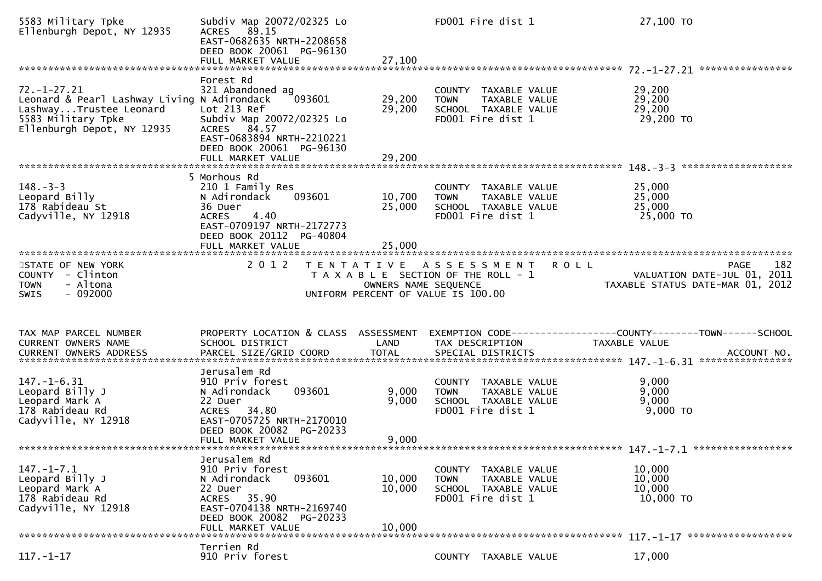| 5583 Military Tpke<br>Ellenburgh Depot, NY 12935                                                                                               | Subdiv Map 20072/02325 Lo<br>ACRES 89.15<br>EAST-0682635 NRTH-2208658<br>DEED BOOK 20061 PG-96130<br>FULL MARKET VALUE                                                      | 27,100                     | FD001 Fire dist 1                                                                                   | 27,100 TO                                                                                     |
|------------------------------------------------------------------------------------------------------------------------------------------------|-----------------------------------------------------------------------------------------------------------------------------------------------------------------------------|----------------------------|-----------------------------------------------------------------------------------------------------|-----------------------------------------------------------------------------------------------|
|                                                                                                                                                | Forest Rd                                                                                                                                                                   |                            |                                                                                                     |                                                                                               |
| $72. - 1 - 27.21$<br>Leonard & Pearl Lashway Living N Adirondack<br>LashwayTrustee Leonard<br>5583 Military Tpke<br>Ellenburgh Depot, NY 12935 | 321 Abandoned ag<br>093601<br>Lot 213 Ref<br>Subdiv Map 20072/02325 Lo<br>ACRES 84.57<br>EAST-0683894 NRTH-2210221<br>DEED BOOK 20061 PG-96130                              | 29,200<br>29,200           | COUNTY TAXABLE VALUE<br>TAXABLE VALUE<br><b>TOWN</b><br>SCHOOL TAXABLE VALUE<br>FD001 Fire dist 1   | 29,200<br>29,200<br>29,200<br>29,200 TO                                                       |
|                                                                                                                                                | FULL MARKET VALUE                                                                                                                                                           | 29,200                     |                                                                                                     |                                                                                               |
|                                                                                                                                                |                                                                                                                                                                             |                            |                                                                                                     |                                                                                               |
| $148. - 3 - 3$<br>Leopard Billy<br>178 Rabideau St<br>Cadyville, NY 12918                                                                      | 5 Morhous Rd<br>210 1 Family Res<br>N Adirondack<br>093601<br>36 Duer<br><b>ACRES</b><br>4.40<br>EAST-0709197 NRTH-2172773<br>DEED BOOK 20112 PG-40804<br>FULL MARKET VALUE | 10,700<br>25,000<br>25,000 | COUNTY TAXABLE VALUE<br>TAXABLE VALUE<br><b>TOWN</b><br>SCHOOL TAXABLE VALUE<br>FD001 Fire dist 1   | 25,000<br>25,000<br>25,000<br>25,000 TO                                                       |
|                                                                                                                                                |                                                                                                                                                                             |                            |                                                                                                     |                                                                                               |
| STATE OF NEW YORK<br>COUNTY - Clinton<br><b>TOWN</b><br>- Altona<br>$-092000$<br><b>SWIS</b>                                                   | 2 0 1 2                                                                                                                                                                     | OWNERS NAME SEQUENCE       | TENTATIVE ASSESSMENT<br>T A X A B L E SECTION OF THE ROLL - 1<br>UNIFORM PERCENT OF VALUE IS 100.00 | 182<br><b>ROLL</b><br>PAGE<br>VALUATION DATE-JUL 01, 2011<br>TAXABLE STATUS DATE-MAR 01, 2012 |
|                                                                                                                                                |                                                                                                                                                                             |                            |                                                                                                     |                                                                                               |
|                                                                                                                                                |                                                                                                                                                                             |                            |                                                                                                     |                                                                                               |
| TAX MAP PARCEL NUMBER<br><b>CURRENT OWNERS NAME</b>                                                                                            | PROPERTY LOCATION & CLASS ASSESSMENT<br>SCHOOL DISTRICT                                                                                                                     | LAND                       | TAX DESCRIPTION                                                                                     | EXEMPTION CODE-----------------COUNTY-------TOWN------SCHOOL<br>TAXABLE VALUE                 |
|                                                                                                                                                |                                                                                                                                                                             |                            |                                                                                                     |                                                                                               |
| $147. - 1 - 6.31$<br>Leopard Billy J<br>Leopard Mark A<br>178 Rabideau Rd<br>Cadyville, NY 12918                                               | Jerusalem Rd<br>910 Priv forest<br>093601<br>N Adirondack<br>22 Duer<br>ACRES 34.80<br>EAST-0705725 NRTH-2170010<br>DEED BOOK 20082 PG-20233                                | 9,000<br>9,000             | COUNTY TAXABLE VALUE<br>TAXABLE VALUE<br><b>TOWN</b><br>SCHOOL TAXABLE VALUE<br>FD001 Fire dist 1   | 9,000<br>9,000<br>9,000<br>9,000 TO                                                           |
| **********************                                                                                                                         | FULL MARKET VALUE                                                                                                                                                           | 9,000                      |                                                                                                     |                                                                                               |
| $147. - 1 - 7.1$<br>Leopard Billy J<br>Leopard Mark A<br>178 Rabideau Rd<br>Cadyville, NY 12918                                                | Jerusalem Rd<br>910 Priv forest<br>093601<br>N Adirondack<br>22 Duer<br>ACRES 35.90<br>EAST-0704138 NRTH-2169740<br>DEED BOOK 20082 PG-20233<br>FULL MARKET VALUE           | 10,000<br>10,000<br>10,000 | COUNTY TAXABLE VALUE<br>TAXABLE VALUE<br>TOWN<br>SCHOOL TAXABLE VALUE<br>FD001 Fire dist 1          | 10,000<br>10,000<br>10,000<br>10,000 TO                                                       |
|                                                                                                                                                | Terrien Rd                                                                                                                                                                  |                            |                                                                                                     |                                                                                               |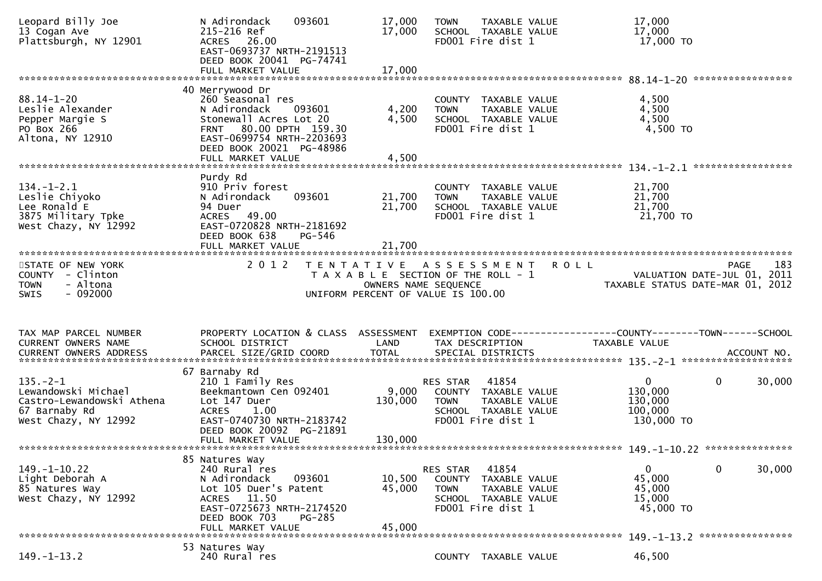| Leopard Billy Joe<br>13 Cogan Ave<br>Plattsburgh, NY 12901                                                  | N Adirondack<br>093601<br>215-216 Ref<br>ACRES 26.00<br>EAST-0693737 NRTH-2191513<br>DEED BOOK 20041 PG-74741<br>FULL MARKET VALUE                                                       | 17,000<br>17,000<br>17,000                                                                                                  | <b>TOWN</b>                       | TAXABLE VALUE<br>SCHOOL TAXABLE VALUE<br>FD001 Fire dist 1                                  |                                                              | 17,000<br>17,000<br>17,000 TO                               |                                                                                |
|-------------------------------------------------------------------------------------------------------------|------------------------------------------------------------------------------------------------------------------------------------------------------------------------------------------|-----------------------------------------------------------------------------------------------------------------------------|-----------------------------------|---------------------------------------------------------------------------------------------|--------------------------------------------------------------|-------------------------------------------------------------|--------------------------------------------------------------------------------|
|                                                                                                             |                                                                                                                                                                                          |                                                                                                                             |                                   |                                                                                             |                                                              |                                                             |                                                                                |
| $88.14 - 1 - 20$<br>Leslie Alexander<br>Pepper Margie S<br>PO Box 266<br>Altona, NY 12910                   | 40 Merrywood Dr<br>260 Seasonal res<br>N Adirondack<br>093601<br>Stonewall Acres Lot 20<br>FRNT 80.00 DPTH 159.30<br>EAST-0699754 NRTH-2203693<br>DEED BOOK 20021 PG-48986               | 4,200<br>4,500                                                                                                              | <b>TOWN</b>                       | COUNTY TAXABLE VALUE<br>TAXABLE VALUE<br>SCHOOL TAXABLE VALUE<br>FD001 Fire dist 1          |                                                              | 4,500<br>4,500<br>4,500<br>4,500 TO                         |                                                                                |
|                                                                                                             | FULL MARKET VALUE                                                                                                                                                                        | 4,500                                                                                                                       |                                   |                                                                                             |                                                              |                                                             |                                                                                |
| $134. - 1 - 2.1$<br>Leslie Chiyoko<br>Lee Ronald E<br>3875 Military Tpke<br>West Chazy, NY 12992            | Purdy Rd<br>910 Priv forest<br>N Adirondack<br>093601<br>94 Duer<br>49.00<br>ACRES<br>EAST-0720828 NRTH-2181692<br>DEED BOOK 638<br>PG-546                                               | 21,700<br>21,700                                                                                                            | <b>TOWN</b>                       | COUNTY TAXABLE VALUE<br>TAXABLE VALUE<br>SCHOOL TAXABLE VALUE<br>FD001 Fire dist 1          |                                                              | 21,700<br>21,700<br>21,700<br>21,700 TO                     |                                                                                |
|                                                                                                             |                                                                                                                                                                                          |                                                                                                                             |                                   |                                                                                             |                                                              |                                                             |                                                                                |
| STATE OF NEW YORK<br>COUNTY - Clinton<br>- Altona<br><b>TOWN</b><br>$-092000$<br><b>SWIS</b>                | 2 0 1 2                                                                                                                                                                                  | TENTATIVE ASSESSMENT<br>T A X A B L E SECTION OF THE ROLL - 1<br>OWNERS NAME SEQUENCE<br>UNIFORM PERCENT OF VALUE IS 100.00 |                                   |                                                                                             | <b>ROLL</b>                                                  |                                                             | 183<br>PAGE<br>VALUATION DATE-JUL 01, 2011<br>TAXABLE STATUS DATE-MAR 01, 2012 |
|                                                                                                             |                                                                                                                                                                                          |                                                                                                                             |                                   |                                                                                             |                                                              |                                                             |                                                                                |
| TAX MAP PARCEL NUMBER                                                                                       | PROPERTY LOCATION & CLASS ASSESSMENT                                                                                                                                                     |                                                                                                                             |                                   |                                                                                             | EXEMPTION CODE-----------------COUNTY-------TOWN------SCHOOL |                                                             |                                                                                |
| CURRENT OWNERS NAME                                                                                         | SCHOOL DISTRICT                                                                                                                                                                          | LAND                                                                                                                        | TAX DESCRIPTION                   |                                                                                             |                                                              | <b>TAXABLE VALUE</b>                                        |                                                                                |
|                                                                                                             |                                                                                                                                                                                          |                                                                                                                             |                                   |                                                                                             |                                                              |                                                             |                                                                                |
| $135. - 2 - 1$<br>Lewandowski Michael<br>Castro-Lewandowski Athena<br>67 Barnaby Rd<br>West Chazy, NY 12992 | 67 Barnaby Rd<br>210 1 Family Res<br>Beekmantown Cen 092401<br>Lot 147 Duer<br><b>ACRES</b><br>1.00<br>EAST-0740730 NRTH-2183742<br>DEED BOOK 20092 PG-21891<br>FULL MARKET VALUE        | 9,000<br>130,000<br>130,000                                                                                                 | RES STAR<br><b>TOWN</b>           | 41854<br>COUNTY TAXABLE VALUE<br>TAXABLE VALUE<br>SCHOOL TAXABLE VALUE<br>FD001 Fire dist 1 |                                                              | $\mathbf{0}$<br>130,000<br>130,000<br>100,000<br>130,000 TO | 30,000<br>0                                                                    |
|                                                                                                             |                                                                                                                                                                                          |                                                                                                                             |                                   |                                                                                             |                                                              |                                                             |                                                                                |
| $149. - 1 - 10.22$<br>Light Deborah A<br>85 Natures Way<br>West Chazy, NY 12992                             | 85 Natures Way<br>240 Rural res<br>093601<br>N Adirondack<br>Lot 105 Duer's Patent<br>11.50<br><b>ACRES</b><br>EAST-0725673 NRTH-2174520<br>DEED BOOK 703<br>PG-285<br>FULL MARKET VALUE | 10,500<br>45,000<br>45,000                                                                                                  | RES STAR<br>COUNTY<br><b>TOWN</b> | 41854<br>TAXABLE VALUE<br>TAXABLE VALUE<br>SCHOOL TAXABLE VALUE<br>FD001 Fire dist 1        |                                                              | 0<br>45,000<br>45,000<br>15,000<br>45,000 TO                | 0<br>30,000                                                                    |
|                                                                                                             | 53 Natures Way                                                                                                                                                                           |                                                                                                                             |                                   |                                                                                             |                                                              |                                                             | 149. -1-13.2 *****************                                                 |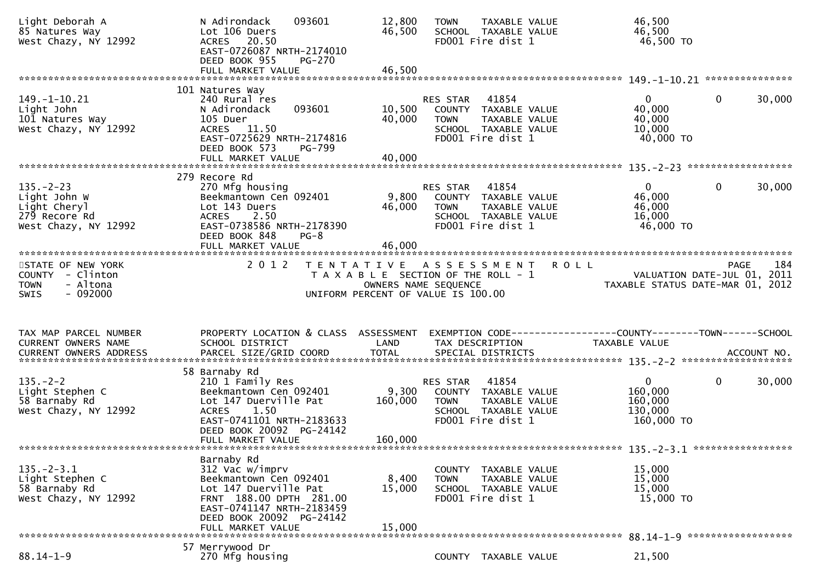| Light Deborah A<br>85 Natures Way<br>West Chazy, NY 12992                                | 093601<br>N Adirondack<br>Lot 106 Duers<br>ACRES 20.50<br>EAST-0726087 NRTH-2174010<br>DEED BOOK 955<br>PG-270<br>FULL MARKET VALUE                                                        | 12,800<br>46,500<br>46,500  | <b>TOWN</b><br>TAXABLE VALUE<br>SCHOOL TAXABLE VALUE<br>FD001 Fire dist 1                                                     | 46,500<br>46,500<br>46,500 TO                                                                        |
|------------------------------------------------------------------------------------------|--------------------------------------------------------------------------------------------------------------------------------------------------------------------------------------------|-----------------------------|-------------------------------------------------------------------------------------------------------------------------------|------------------------------------------------------------------------------------------------------|
|                                                                                          |                                                                                                                                                                                            |                             |                                                                                                                               |                                                                                                      |
| $149. - 1 - 10.21$<br>Light John<br>101 Natures Way<br>West Chazy, NY 12992              | 101 Natures Way<br>240 Rural res<br>093601<br>N Adirondack<br>105 Duer<br>ACRES 11.50<br>EAST-0725629 NRTH-2174816<br>DEED BOOK 573<br><b>PG-799</b><br>FULL MARKET VALUE                  | 10,500<br>40,000<br>40,000  | 41854<br>RES STAR<br>COUNTY TAXABLE VALUE<br>TAXABLE VALUE<br><b>TOWN</b><br>SCHOOL TAXABLE VALUE<br>FD001 Fire dist 1        | $\mathbf 0$<br>30,000<br>$\overline{0}$<br>40,000<br>40,000<br>10,000<br>40,000 TO                   |
|                                                                                          |                                                                                                                                                                                            |                             |                                                                                                                               |                                                                                                      |
| $135. - 2 - 23$<br>Light John W<br>Light Cheryl<br>279 Recore Rd<br>West Chazy, NY 12992 | 279 Recore Rd<br>270 Mfg housing<br>Beekmantown Cen 092401<br>Lot 143 Duers<br><b>ACRES</b><br>2.50<br>EAST-0738586 NRTH-2178390<br>DEED BOOK 848<br>$PG-8$                                | 9,800<br>46,000             | 41854<br><b>RES STAR</b><br>COUNTY TAXABLE VALUE<br><b>TOWN</b><br>TAXABLE VALUE<br>SCHOOL TAXABLE VALUE<br>FD001 Fire dist 1 | $\mathbf{0}$<br>$\mathbf{0}$<br>30,000<br>46,000<br>46,000<br>16,000<br>46,000 TO                    |
|                                                                                          |                                                                                                                                                                                            |                             |                                                                                                                               |                                                                                                      |
| STATE OF NEW YORK<br>COUNTY - Clinton<br>- Altona<br><b>TOWN</b><br>$-092000$<br>SWIS    | 2 0 1 2                                                                                                                                                                                    | OWNERS NAME SEQUENCE        | TENTATIVE ASSESSMENT<br>T A X A B L E SECTION OF THE ROLL - 1<br>UNIFORM PERCENT OF VALUE IS 100.00                           | 184<br><b>ROLL</b><br><b>PAGE</b><br>VALUATION DATE-JUL 01, 2011<br>TAXABLE STATUS DATE-MAR 01, 2012 |
|                                                                                          |                                                                                                                                                                                            |                             |                                                                                                                               |                                                                                                      |
|                                                                                          |                                                                                                                                                                                            |                             |                                                                                                                               |                                                                                                      |
| TAX MAP PARCEL NUMBER<br>CURRENT OWNERS NAME                                             | PROPERTY LOCATION & CLASS ASSESSMENT<br>SCHOOL DISTRICT                                                                                                                                    | LAND                        | TAX DESCRIPTION                                                                                                               | EXEMPTION CODE-----------------COUNTY-------TOWN------SCHOOL<br><b>TAXABLE VALUE</b>                 |
|                                                                                          |                                                                                                                                                                                            |                             |                                                                                                                               |                                                                                                      |
| $135. - 2 - 2$<br>Light Stephen C<br>58 Barnaby Rd<br>West Chazy, NY 12992               | 58 Barnaby Rd<br>210 1 Family Res<br>Beekmantown Cen 092401<br>Lot 147 Duerville Pat<br><b>ACRES</b><br>1.50<br>EAST-0741101 NRTH-2183633<br>DEED BOOK 20092 PG-24142<br>FULL MARKET VALUE | 9,300<br>160,000<br>160,000 | 41854<br>RES STAR<br>COUNTY TAXABLE VALUE<br><b>TOWN</b><br>TAXABLE VALUE<br>SCHOOL TAXABLE VALUE<br>FD001 Fire dist 1        | 30,000<br>$\mathbf{0}$<br>$\bf{0}$<br>160,000<br>160,000<br>130,000<br>160,000 TO                    |
|                                                                                          |                                                                                                                                                                                            |                             |                                                                                                                               |                                                                                                      |
| $135. - 2 - 3.1$<br>Light Stephen C<br>58 Barnaby Rd<br>West Chazy, NY 12992             | Barnaby Rd<br>312 Vac w/imprv<br>Beekmantown Cen 092401<br>Lot 147 Duerville Pat<br>FRNT 188.00 DPTH 281.00<br>EAST-0741147 NRTH-2183459<br>DEED BOOK 20092 PG-24142<br>FULL MARKET VALUE  | 8,400<br>15,000<br>15,000   | COUNTY<br>TAXABLE VALUE<br><b>TOWN</b><br>TAXABLE VALUE<br>SCHOOL TAXABLE VALUE<br>FD001 Fire dist 1                          | 15,000<br>15,000<br>15,000<br>15,000 TO                                                              |
|                                                                                          | 57 Merrywood Dr                                                                                                                                                                            |                             |                                                                                                                               | 88.14-1-9 *******************                                                                        |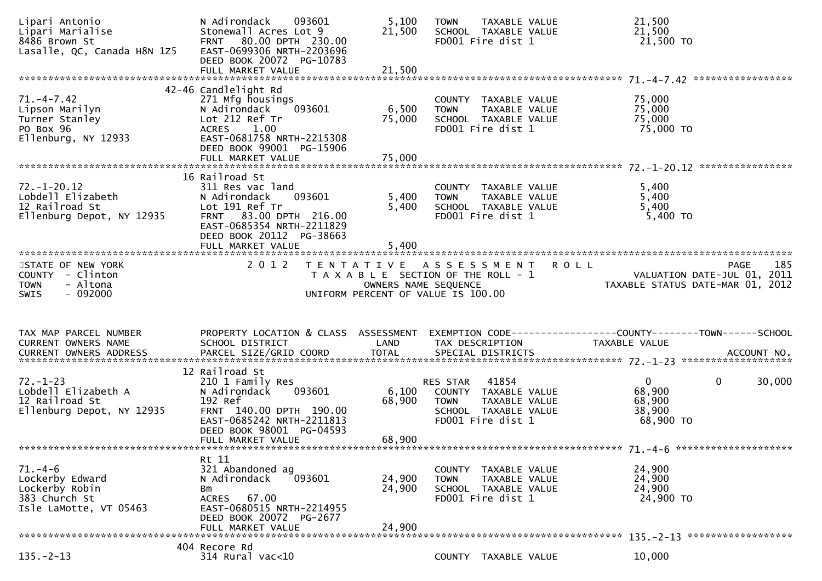| Lipari Antonio<br>Lipari Marialise<br>8486 Brown St<br>Lasalle, QC, Canada H8N 1Z5            | N Adirondack<br>093601<br>Stonewall Acres Lot 9<br>FRNT 80.00 DPTH 230.00<br>EAST-0699306 NRTH-2203696<br>DEED BOOK 20072 PG-10783                                                         | 5,100<br>21,500            | TAXABLE VALUE<br><b>TOWN</b><br>SCHOOL TAXABLE VALUE<br>FD001 Fire dist 1                                              | 21,500<br>21,500<br>21,500 TO                                   |                                     |
|-----------------------------------------------------------------------------------------------|--------------------------------------------------------------------------------------------------------------------------------------------------------------------------------------------|----------------------------|------------------------------------------------------------------------------------------------------------------------|-----------------------------------------------------------------|-------------------------------------|
|                                                                                               |                                                                                                                                                                                            |                            |                                                                                                                        |                                                                 |                                     |
| $71. -4 - 7.42$<br>Lipson Marilyn<br>Turner Stanley<br>PO Box 96<br>Ellenburg, NY 12933       | 42-46 Candlelight Rd<br>271 Mfg housings<br>093601<br>N Adirondack<br>Lot 212 Ref Tr<br><b>ACRES</b><br>1.00<br>EAST-0681758 NRTH-2215308<br>DEED BOOK 99001 PG-15906<br>FULL MARKET VALUE | 6,500<br>75,000<br>75,000  | COUNTY TAXABLE VALUE<br><b>TOWN</b><br>TAXABLE VALUE<br>SCHOOL TAXABLE VALUE<br>FD001 Fire dist 1                      | 75,000<br>75,000<br>75,000<br>75,000 TO                         |                                     |
|                                                                                               |                                                                                                                                                                                            |                            |                                                                                                                        |                                                                 |                                     |
| 72. -1 -20.12<br>Lobdell Elizabeth<br>12 Railroad St<br>Ellenburg Depot, NY 12935             | 16 Railroad St<br>311 Res vac land<br>N Adirondack<br>093601<br>Lot 191 Ref Tr<br>FRNT 83.00 DPTH 216.00<br>EAST-0685354 NRTH-2211829<br>DEED BOOK 20112 PG-38663                          | 5,400<br>5,400             | COUNTY TAXABLE VALUE<br>TAXABLE VALUE<br><b>TOWN</b><br>SCHOOL TAXABLE VALUE<br>FD001 Fire dist 1                      | 5,400<br>5,400<br>5,400<br>$5,400$ TO                           |                                     |
|                                                                                               |                                                                                                                                                                                            |                            |                                                                                                                        |                                                                 |                                     |
| STATE OF NEW YORK<br>COUNTY - Clinton<br>- Altona<br><b>TOWN</b><br>$-092000$<br><b>SWIS</b>  | 2 0 1 2                                                                                                                                                                                    | OWNERS NAME SEQUENCE       | TENTATIVE ASSESSMENT ROLL<br>T A X A B L E SECTION OF THE ROLL - 1                                                     | VALUATION DATE-JUL 01, 2011<br>TAXABLE STATUS DATE-MAR 01, 2012 | 185<br>PAGE                         |
|                                                                                               |                                                                                                                                                                                            |                            | UNIFORM PERCENT OF VALUE IS 100.00                                                                                     |                                                                 |                                     |
|                                                                                               |                                                                                                                                                                                            |                            |                                                                                                                        |                                                                 |                                     |
| TAX MAP PARCEL NUMBER<br>CURRENT OWNERS NAME                                                  | PROPERTY LOCATION & CLASS ASSESSMENT<br>SCHOOL DISTRICT                                                                                                                                    | LAND                       | TAX DESCRIPTION                                                                                                        | <b>TAXABLE VALUE</b>                                            |                                     |
|                                                                                               |                                                                                                                                                                                            |                            |                                                                                                                        |                                                                 |                                     |
|                                                                                               |                                                                                                                                                                                            |                            |                                                                                                                        |                                                                 |                                     |
| $72. - 1 - 23$<br>Lobdell Elizabeth A<br>12 Railroad St<br>Ellenburg Depot, NY 12935          | 12 Railroad St<br>210 1 Family Res<br>093601<br>N Adirondack<br>192 Ref<br>FRNT 140.00 DPTH 190.00<br>EAST-0685242 NRTH-2211813<br>DEED BOOK 98001 PG-04593<br>FULL MARKET VALUE           | 6,100<br>68,900<br>68,900  | 41854<br>RES STAR<br>COUNTY TAXABLE VALUE<br><b>TOWN</b><br>TAXABLE VALUE<br>SCHOOL TAXABLE VALUE<br>FD001 Fire dist 1 | $\overline{0}$<br>68,900<br>68,900<br>38,900<br>68,900 TO       | 30,000<br>0                         |
|                                                                                               |                                                                                                                                                                                            |                            |                                                                                                                        |                                                                 |                                     |
| $71. - 4 - 6$<br>Lockerby Edward<br>Lockerby Robin<br>383 Church St<br>Isle LaMotte, VT 05463 | Rt 11<br>321 Abandoned ag<br>N Adirondack<br>093601<br>Bm<br>67.00<br><b>ACRES</b><br>EAST-0680515 NRTH-2214955<br>DEED BOOK 20072 PG-2677<br>FULL MARKET VALUE                            | 24,900<br>24,900<br>24,900 | COUNTY<br>TAXABLE VALUE<br><b>TOWN</b><br>TAXABLE VALUE<br>SCHOOL TAXABLE VALUE<br>FD001 Fire dist 1                   | 24,900<br>24,900<br>24,900<br>24,900 TO                         |                                     |
|                                                                                               | 404 Recore Rd                                                                                                                                                                              |                            |                                                                                                                        |                                                                 | $135. -2 - 13$ ******************** |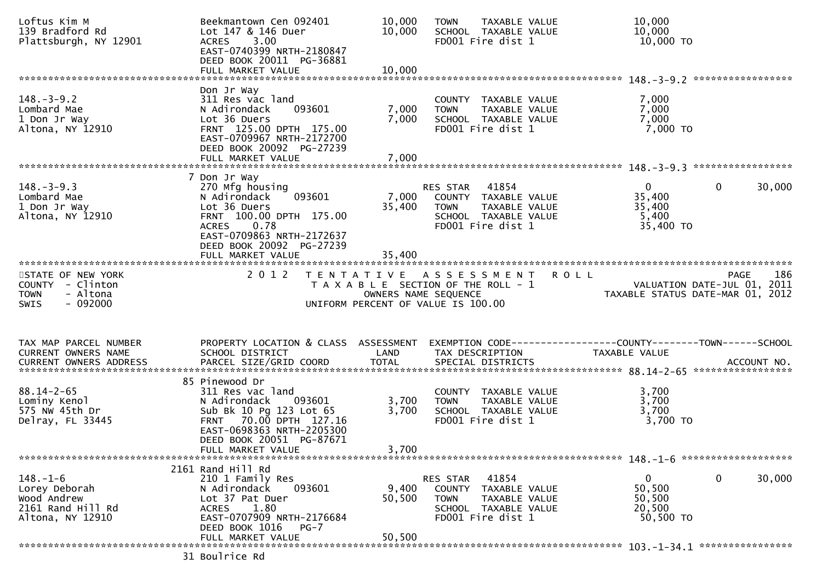| Loftus Kim M<br>139 Bradford Rd<br>Plattsburgh, NY 12901                                     | Beekmantown Cen 092401<br>Lot 147 & 146 Duer<br>3.00<br><b>ACRES</b><br>EAST-0740399 NRTH-2180847<br>DEED BOOK 20011 PG-36881<br>FULL MARKET VALUE                                      | 10,000<br>10,000<br>10,000                | <b>TOWN</b><br>SCHOOL TAXABLE VALUE<br>FD001 Fire dist 1                                              | TAXABLE VALUE                                                  | 10,000<br>10,000<br>10,000 TO                              |                             |
|----------------------------------------------------------------------------------------------|-----------------------------------------------------------------------------------------------------------------------------------------------------------------------------------------|-------------------------------------------|-------------------------------------------------------------------------------------------------------|----------------------------------------------------------------|------------------------------------------------------------|-----------------------------|
|                                                                                              | Don Jr Way                                                                                                                                                                              |                                           |                                                                                                       |                                                                |                                                            |                             |
| $148. - 3 - 9.2$<br>Lombard Mae<br>1 Don Jr Way<br>Altona, NY 12910                          | 311 Res vac land<br>N Adirondack<br>093601<br>Lot 36 Duers<br>FRNT 125.00 DPTH 175.00<br>EAST-0709967 NRTH-2172700<br>DEED BOOK 20092 PG-27239<br>FULL MARKET VALUE                     | 7,000<br>7,000<br>7,000                   | COUNTY TAXABLE VALUE<br><b>TOWN</b><br>SCHOOL TAXABLE VALUE<br>FD001 Fire dist 1                      | TAXABLE VALUE                                                  | 7,000<br>7,000<br>7,000<br>7,000 TO                        |                             |
|                                                                                              |                                                                                                                                                                                         |                                           |                                                                                                       |                                                                |                                                            |                             |
| $148. - 3 - 9.3$<br>Lombard Mae<br>1 Don Jr Way<br>Altona, NY 12910                          | 7 Don Jr Way<br>270 Mfg housing<br>093601<br>N Adirondack<br>Lot 36 Duers<br>FRNT 100.00 DPTH 175.00<br>0.78<br><b>ACRES</b><br>EAST-0709863 NRTH-2172637<br>DEED BOOK 20092 PG-27239   | 7,000<br>35,400                           | 41854<br>RES STAR<br>COUNTY TAXABLE VALUE<br><b>TOWN</b><br>SCHOOL TAXABLE VALUE<br>FD001 Fire dist 1 | TAXABLE VALUE                                                  | $\overline{0}$<br>35,400<br>35,400<br>5,400<br>35,400 TO   | 30,000<br>0                 |
|                                                                                              | FULL MARKET VALUE                                                                                                                                                                       | 35,400                                    |                                                                                                       |                                                                |                                                            |                             |
| STATE OF NEW YORK<br>COUNTY - Clinton<br>- Altona<br><b>TOWN</b><br><b>SWIS</b><br>$-092000$ | 2 0 1 2                                                                                                                                                                                 | T E N T A T I V E<br>OWNERS NAME SEQUENCE | ASSESSMENT<br>T A X A B L E SECTION OF THE ROLL - 1<br>UNIFORM PERCENT OF VALUE IS 100.00             | <b>ROLL</b>                                                    | VALUATION DATE-JUL 01,<br>TAXABLE STATUS DATE-MAR 01, 2012 | 186<br><b>PAGE</b><br>-2011 |
| TAX MAP PARCEL NUMBER                                                                        | PROPERTY LOCATION & CLASS ASSESSMENT                                                                                                                                                    |                                           |                                                                                                       | EXEMPTION CODE------------------COUNTY--------TOWN------SCHOOL |                                                            |                             |
| CURRENT OWNERS NAME                                                                          | SCHOOL DISTRICT                                                                                                                                                                         | LAND                                      | TAX DESCRIPTION                                                                                       |                                                                | TAXABLE VALUE                                              |                             |
|                                                                                              | 85 Pinewood Dr                                                                                                                                                                          |                                           |                                                                                                       |                                                                |                                                            |                             |
| $88.14 - 2 - 65$<br>Lominy Kenol<br>575 NW 45th Dr<br>Delray, FL 33445                       | 311 Res vac land<br>N Adirondack<br>093601<br>Sub Bk 10 Pg 123 Lot 65<br>70.00 DPTH 127.16<br><b>FRNT</b><br>EAST-0698363 NRTH-2205300<br>DEED BOOK 20051 PG-87671<br>FULL MARKET VALUE | 3,700<br>3,700<br>3,700                   | COUNTY TAXABLE VALUE<br><b>TOWN</b><br>SCHOOL TAXABLE VALUE<br>FD001 Fire dist 1                      | TAXABLE VALUE                                                  | 3,700<br>3,700<br>3,700<br>3,700 TO                        |                             |
|                                                                                              |                                                                                                                                                                                         |                                           |                                                                                                       |                                                                |                                                            |                             |
| $148. - 1 - 6$<br>Lorey Deborah                                                              | 2161 Rand Hill Rd<br>210 1 Family Res                                                                                                                                                   |                                           | 41854<br>RES STAR                                                                                     |                                                                | $\mathbf{0}$                                               | 0<br>30,000                 |
| Wood Andrew<br>2161 Rand Hill Rd<br>Altona, NY 12910                                         | N Adirondack<br>093601<br>Lot 37 Pat Duer<br>1.80<br>ACRES<br>EAST-0707909 NRTH-2176684                                                                                                 | 9,400<br>50,500                           | COUNTY TAXABLE VALUE<br>TOWN<br>SCHOOL TAXABLE VALUE<br>FD001 Fire dist 1                             | TAXABLE VALUE                                                  | 50,500<br>50,500<br>20,500<br>50,500 TO                    |                             |
|                                                                                              | DEED BOOK 1016<br>$PG-7$<br>FULL MARKET VALUE                                                                                                                                           | 50,500                                    |                                                                                                       |                                                                |                                                            |                             |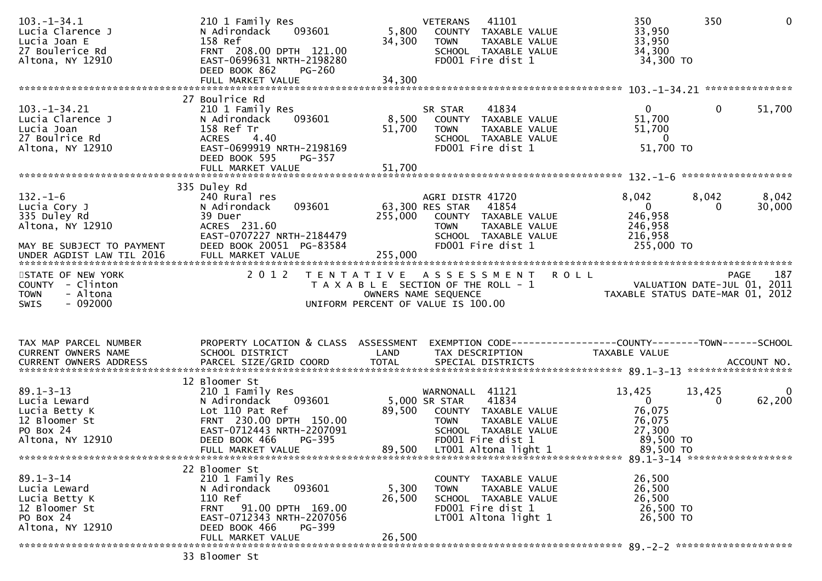| $103. - 1 - 34.1$<br>Lucia Clarence J<br>Lucia Joan E<br>27 Boulerice Rd<br>Altona, NY 12910                                                                                                        | 210 1 Family Res<br>093601<br>N Adirondack<br>158 Ref<br>FRNT 208.00 DPTH 121.00<br>EAST-0699631 NRTH-2198280<br>DEED BOOK 862<br><b>PG-260</b>                                        | 5,800<br>34,300  | 41101<br><b>VETERANS</b><br>COUNTY TAXABLE VALUE<br><b>TOWN</b><br>TAXABLE VALUE<br>SCHOOL TAXABLE VALUE<br>FD001 Fire dist 1                                          | 350<br>350<br>33,950<br>33,950<br>34,300<br>34,300 TO                                      | $\mathbf{0}$         |
|-----------------------------------------------------------------------------------------------------------------------------------------------------------------------------------------------------|----------------------------------------------------------------------------------------------------------------------------------------------------------------------------------------|------------------|------------------------------------------------------------------------------------------------------------------------------------------------------------------------|--------------------------------------------------------------------------------------------|----------------------|
|                                                                                                                                                                                                     | 27 Boulrice Rd                                                                                                                                                                         |                  |                                                                                                                                                                        |                                                                                            |                      |
| $103. - 1 - 34.21$<br>Lucia Clarence J<br>Lucia Joan<br>27 Boulrice Rd<br>Altona, NY 12910                                                                                                          | 210 1 Family Res<br>093601<br>N Adirondack<br>158 Ref Tr<br><b>ACRES</b><br>4.40<br>EAST-0699919 NRTH-2198169<br>DEED BOOK 595<br>$PG-357$                                             | 8,500<br>51,700  | SR STAR<br>41834<br>COUNTY TAXABLE VALUE<br><b>TOWN</b><br>TAXABLE VALUE<br>SCHOOL TAXABLE VALUE<br>FD001 Fire dist 1                                                  | $\mathbf{0}$<br>51,700<br>51,700<br>$\overline{0}$<br>51,700 TO                            | 0<br>51,700          |
|                                                                                                                                                                                                     |                                                                                                                                                                                        |                  |                                                                                                                                                                        |                                                                                            |                      |
| $132. - 1 - 6$<br>Lucia Cory J<br>335 Duley Rd<br>Altona, NY 12910<br>MAY BE SUBJECT TO PAYMENT                                                                                                     | 335 Duley Rd<br>240 Rural res<br>093601<br>N Adirondack<br>39 Duer<br>ACRES 231.60<br>EAST-0707227 NRTH-2184479<br>DEED BOOK 20051 PG-83584                                            | 255,000          | AGRI DISTR 41720<br>63,300 RES STAR<br>41854<br>COUNTY TAXABLE VALUE<br><b>TOWN</b><br>TAXABLE VALUE<br>SCHOOL TAXABLE VALUE<br>FD001 Fire dist 1                      | 8,042<br>8,042<br>$\overline{0}$<br>246,958<br>246,958<br>216,958<br>255,000 TO            | 8,042<br>30,000<br>0 |
|                                                                                                                                                                                                     |                                                                                                                                                                                        |                  |                                                                                                                                                                        |                                                                                            |                      |
| STATE OF NEW YORK<br>COUNTY - Clinton<br>- Altona<br><b>TOWN</b><br>$-092000$<br><b>SWIS</b>                                                                                                        | 2 0 1 2                                                                                                                                                                                |                  | TENTATIVE ASSESSMENT<br>T A X A B L E SECTION OF THE ROLL - 1<br>OWNERS NAME SEQUENCE<br>UNIFORM PERCENT OF VALUE IS 100.00                                            | <b>ROLL</b><br>VALUATION DATE-JUL 01, 2011<br>TAXABLE STATUS DATE-MAR 01, 2012             | 187<br>PAGE          |
| TAX MAP PARCEL NUMBER                                                                                                                                                                               | PROPERTY LOCATION & CLASS ASSESSMENT                                                                                                                                                   |                  |                                                                                                                                                                        |                                                                                            |                      |
|                                                                                                                                                                                                     |                                                                                                                                                                                        |                  |                                                                                                                                                                        |                                                                                            |                      |
| CURRENT OWNERS NAME                                                                                                                                                                                 | SCHOOL DISTRICT                                                                                                                                                                        | LAND             | TAX DESCRIPTION                                                                                                                                                        | TAXABLE VALUE                                                                              |                      |
| CURRENT OWNERS ADDRESS PARCEL SIZE/GRID COORD TOTAL SPECIAL DISTRICTS (2011) 1974 ACCOUNT NO.<br>$89.1 - 3 - 13$<br>Lucia Leward<br>Lucia Betty K<br>12 Bloomer St<br>PO Box 24<br>Altona, NY 12910 | 12 Bloomer St<br>210 1 Family Res<br>093601<br>N Adirondack<br>Lot 110 Pat Ref<br>FRNT 230.00 DPTH 150.00<br>EAST-0712443 NRTH-2207091<br>DEED BOOK 466<br>PG-395<br>FULL MARKET VALUE | 89,500<br>89,500 | WARNONALL 41121<br>5,000 SR STAR<br>41834<br>COUNTY TAXABLE VALUE<br><b>TOWN</b><br>TAXABLE VALUE<br>SCHOOL TAXABLE VALUE<br>FD001 Fire dist 1<br>LT001 Altona light 1 | 13,425<br>13,425<br>$\overline{0}$<br>76,075<br>76,075<br>27,300<br>89,500 TO<br>89,500 TO | 62,200<br>0          |
|                                                                                                                                                                                                     |                                                                                                                                                                                        |                  |                                                                                                                                                                        |                                                                                            |                      |
| $89.1 - 3 - 14$<br>Lucia Leward<br>Lucia Betty K<br>12 Bloomer St<br>PO Box 24<br>Altona, NY 12910                                                                                                  | 22 Bloomer St<br>210 1 Family Res<br>093601<br>N Adirondack<br>110 Ref<br>FRNT 91.00 DPTH 169.00<br>EAST-0712343 NRTH-2207056<br>DEED BOOK 466<br>PG-399                               | 5,300<br>26,500  | COUNTY TAXABLE VALUE<br>TAXABLE VALUE<br><b>TOWN</b><br>SCHOOL TAXABLE VALUE<br>FD001 Fire dist 1<br>LT001 Altona light 1                                              | 26,500<br>26,500<br>26,500<br>26,500 TO<br>26,500 TO                                       |                      |
|                                                                                                                                                                                                     | FULL MARKET VALUE                                                                                                                                                                      | 26,500           |                                                                                                                                                                        |                                                                                            |                      |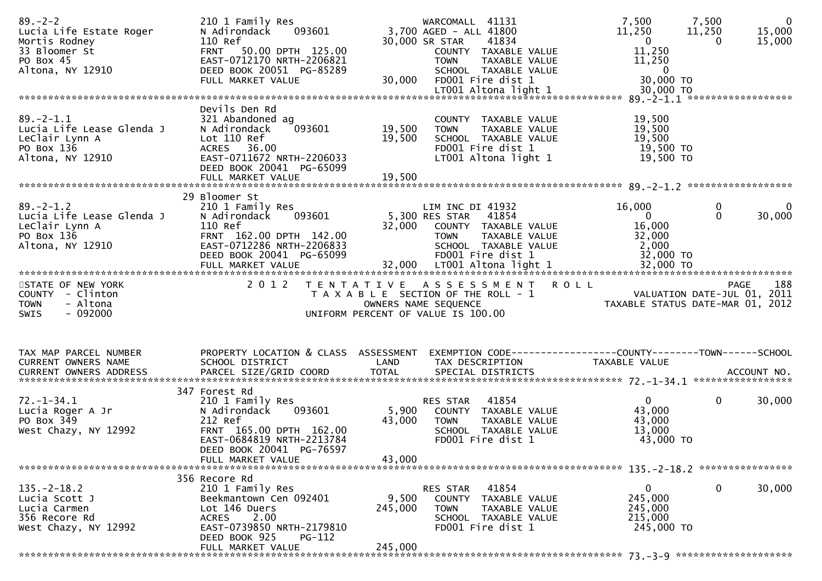| $89 - 2 - 2$<br>Lucia Life Estate Roger<br>Mortis Rodney<br>33 Bloomer St<br>PO Box 45<br>Altona, NY 12910 | 210 1 Family Res<br>093601<br>N Adirondack<br>110 Ref<br>FRNT 50.00 DPTH 125.00<br>EAST-0712170 NRTH-2206821<br>DEED BOOK 20051 PG-85289<br>FULL MARKET VALUE                     | 30,000                      | WARCOMALL 41131<br>3,700 AGED - ALL 41800<br>30,000 SR STAR<br>41834<br>COUNTY TAXABLE VALUE<br>TAXABLE VALUE<br><b>TOWN</b><br>SCHOOL TAXABLE VALUE<br>FD001 Fire dist 1 | 7,500<br>11,250<br>$\overline{\mathbf{0}}$<br>11,250<br>11,250<br>$\overline{\mathbf{0}}$<br>30,000 TO | 7,500<br>$\overline{0}$<br>15,000<br>11,250<br>15,000<br>0 |
|------------------------------------------------------------------------------------------------------------|-----------------------------------------------------------------------------------------------------------------------------------------------------------------------------------|-----------------------------|---------------------------------------------------------------------------------------------------------------------------------------------------------------------------|--------------------------------------------------------------------------------------------------------|------------------------------------------------------------|
|                                                                                                            |                                                                                                                                                                                   |                             |                                                                                                                                                                           |                                                                                                        |                                                            |
| $89. - 2 - 1.1$<br>Lucia Life Lease Glenda J<br>Leclair Lynn A<br>PO Box 136<br>Altona, NY 12910           | Devils Den Rd<br>321 Abandoned ag<br>093601<br>N Adirondack<br>Lot 110 Ref<br>ACRES 36.00<br>EAST-0711672 NRTH-2206033<br>DEED BOOK 20041 PG-65099<br>FULL MARKET VALUE           | 19,500<br>19,500<br>19,500  | COUNTY TAXABLE VALUE<br><b>TOWN</b><br>TAXABLE VALUE<br>SCHOOL TAXABLE VALUE<br>FD001 Fire dist 1<br>LT001 Altona light 1                                                 | 19,500<br>19,500<br>19,500<br>19,500 TO<br>19,500 TO                                                   |                                                            |
|                                                                                                            |                                                                                                                                                                                   |                             |                                                                                                                                                                           |                                                                                                        |                                                            |
| $89. - 2 - 1.2$<br>Lucia Life Lease Glenda J<br>LeClair Lynn A<br>PO Box 136<br>Altona, NY 12910           | 29 Bloomer St<br>210 1 Family Res<br>093601<br>N Adirondack<br>110 Ref<br>FRNT 162.00 DPTH 142.00<br>EAST-0712286 NRTH-2206833<br>DEED BOOK 20041 PG-65099                        |                             | LIM INC DI 41932<br>5,300 RES STAR<br>41854<br>32,000 COUNTY TAXABLE VALUE<br>TAXABLE VALUE<br><b>TOWN</b><br>SCHOOL TAXABLE VALUE<br>FD001 Fire dist 1                   | 16,000<br>$\mathbf{0}$<br>16,000<br>32,000<br>2,000<br>32,000 TO                                       | 0<br>$\bf{0}$<br>30,000<br>$\Omega$                        |
|                                                                                                            |                                                                                                                                                                                   |                             |                                                                                                                                                                           |                                                                                                        |                                                            |
| STATE OF NEW YORK<br>COUNTY - Clinton<br><b>TOWN</b><br>- Altona<br>$-092000$<br><b>SWIS</b>               | 2 0 1 2                                                                                                                                                                           |                             | TENTATIVE ASSESSMENT ROLL<br>T A X A B L E SECTION OF THE ROLL - 1<br>OWNERS NAME SEQUENCE<br>UNIFORM PERCENT OF VALUE IS 100.00                                          | VALUATION DATE-JUL 01, 2011<br>TAXABLE STATUS DATE-MAR 01, 2012                                        | 188<br><b>PAGE</b>                                         |
| TAX MAP PARCEL NUMBER<br>CURRENT OWNERS NAME                                                               | PROPERTY LOCATION & CLASS ASSESSMENT<br>SCHOOL DISTRICT                                                                                                                           | LAND                        | EXEMPTION CODE------------------COUNTY--------TOWN------SCHOOL<br>TAX DESCRIPTION                                                                                         | TAXABLE VALUE                                                                                          |                                                            |
| $72. - 1 - 34.1$<br>Lucia Roger A Jr<br>PO Box 349<br>West Chazy, NY 12992                                 | 347 Forest Rd<br>210 1 Family Res<br>093601<br>N Adirondack<br>212 Ref<br>FRNT 165.00 DPTH 162.00<br>EAST-0684819 NRTH-2213784<br>DEED BOOK 20041 PG-76597<br>FULL MARKET VALUE   | 5,900<br>43,000<br>43,000   | RES STAR<br>41854<br>COUNTY TAXABLE VALUE<br><b>TOWN</b><br>TAXABLE VALUE<br>SCHOOL TAXABLE VALUE<br>FD001 Fire dist 1                                                    | $\overline{0}$<br>43,000<br>43,000<br>13,000<br>43,000 TO                                              | $\mathbf 0$<br>30,000                                      |
|                                                                                                            |                                                                                                                                                                                   |                             |                                                                                                                                                                           |                                                                                                        |                                                            |
| $135. - 2 - 18.2$<br>Lucia Scott J<br>Lucia Carmen<br>356 Recore Rd<br>West Chazy, NY 12992                | 356 Recore Rd<br>210 1 Family Res<br>Beekmantown Cen 092401<br>Lot 146 Duers<br>2.00<br><b>ACRES</b><br>EAST-0739850 NRTH-2179810<br>DEED BOOK 925<br>PG-112<br>FULL MARKET VALUE | 9,500<br>245,000<br>245,000 | RES STAR<br>41854<br>COUNTY<br>TAXABLE VALUE<br><b>TOWN</b><br>TAXABLE VALUE<br>SCHOOL TAXABLE VALUE<br>FD001 Fire dist 1                                                 | 0<br>245,000<br>245,000<br>215,000<br>245,000 TO                                                       | $\mathbf 0$<br>30,000                                      |
|                                                                                                            |                                                                                                                                                                                   |                             |                                                                                                                                                                           |                                                                                                        |                                                            |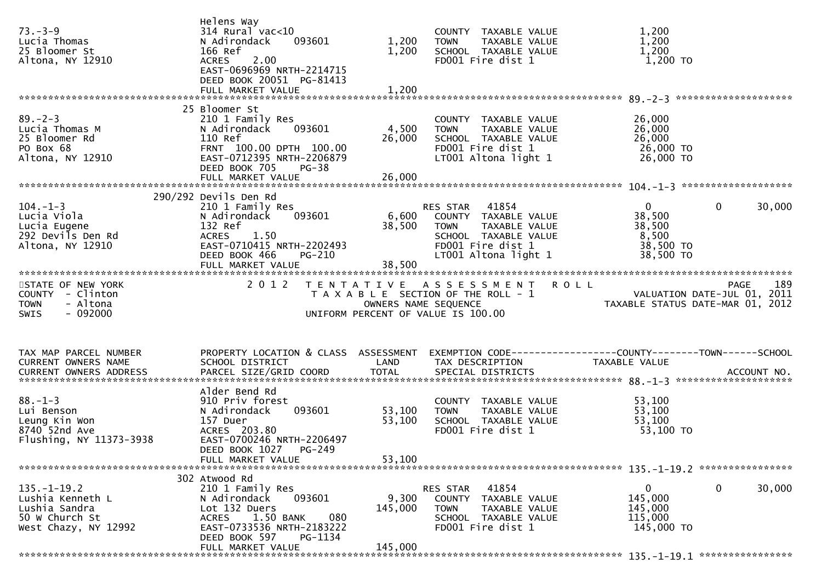| $73. - 3 - 9$<br>Lucia Thomas<br>25 Bloomer St<br>Altona, NY 12910                               | Helens Way<br>$314$ Rural vac<10<br>N Adirondack<br>093601<br>166 Ref<br>2.00<br><b>ACRES</b><br>EAST-0696969 NRTH-2214715<br>DEED BOOK 20051 PG-81413                                         | 1,200<br>1,200              | COUNTY TAXABLE VALUE<br><b>TOWN</b><br>TAXABLE VALUE<br>SCHOOL TAXABLE VALUE<br>FD001 Fire dist 1                                           | 1,200<br>1,200<br>1,200<br>1,200 TO                                                             |
|--------------------------------------------------------------------------------------------------|------------------------------------------------------------------------------------------------------------------------------------------------------------------------------------------------|-----------------------------|---------------------------------------------------------------------------------------------------------------------------------------------|-------------------------------------------------------------------------------------------------|
|                                                                                                  | FULL MARKET VALUE                                                                                                                                                                              | 1,200                       |                                                                                                                                             |                                                                                                 |
| $89 - 2 - 3$<br>Lucia Thomas M<br>25 Bloomer Rd<br>PO Box 68<br>Altona, NY 12910                 | 25 Bloomer St<br>210 1 Family Res<br>N Adirondack<br>093601<br>110 Ref<br>FRNT 100.00 DPTH 100.00<br>EAST-0712395 NRTH-2206879<br>DEED BOOK 705<br>$PG-38$                                     | 4,500<br>26,000             | COUNTY TAXABLE VALUE<br>TAXABLE VALUE<br><b>TOWN</b><br>SCHOOL TAXABLE VALUE<br>FD001 Fire dist 1<br>LT001 Altona light 1                   | 26,000<br>26,000<br>26,000<br>26,000 TO<br>26,000 TO                                            |
|                                                                                                  |                                                                                                                                                                                                |                             |                                                                                                                                             |                                                                                                 |
| $104. - 1 - 3$<br>Lucia Viola<br>Lucia Eugene<br>292 Devils Den Rd<br>Altona, NY 12910           | 290/292 Devils Den Rd<br>210 1 Family Res<br>093601<br>N Adirondack<br>132 Ref<br>1.50<br><b>ACRES</b><br>EAST-0710415 NRTH-2202493<br>DEED BOOK 466<br>PG-210<br>FULL MARKET VALUE            | 6,600<br>38,500<br>38,500   | RES STAR 41854<br>COUNTY TAXABLE VALUE<br>TAXABLE VALUE<br><b>TOWN</b><br>SCHOOL TAXABLE VALUE<br>FD001 Fire dist 1<br>LT001 Altona light 1 | $\overline{0}$<br>$\mathbf{0}$<br>30,000<br>38,500<br>38,500<br>8,500<br>38,500 TO<br>38,500 TO |
| STATE OF NEW YORK<br>COUNTY - Clinton<br>- Altona<br><b>TOWN</b><br>$-092000$<br><b>SWIS</b>     | 2 0 1 2                                                                                                                                                                                        | OWNERS NAME SEQUENCE        | TENTATIVE ASSESSMENT ROLL<br>T A X A B L E SECTION OF THE ROLL - 1<br>UNIFORM PERCENT OF VALUE IS 100.00                                    | 189<br>PAGE<br>VALUATION DATE-JUL 01, 2011<br>TAXABLE STATUS DATE-MAR 01, 2012                  |
| TAX MAP PARCEL NUMBER<br>CURRENT OWNERS NAME                                                     | PROPERTY LOCATION & CLASS ASSESSMENT<br>SCHOOL DISTRICT                                                                                                                                        | LAND                        | TAX DESCRIPTION                                                                                                                             | EXEMPTION CODE-----------------COUNTY-------TOWN------SCHOOL<br>TAXABLE VALUE                   |
| $88. - 1 - 3$<br>Lui Benson<br>Leung Kin Won<br>8740 52nd Ave<br>Flushing, NY 11373-3938         | Alder Bend Rd<br>910 Priv forest<br>093601<br>N Adirondack<br>157 Duer<br>ACRES 203.80<br>EAST-0700246 NRTH-2206497<br>DEED BOOK 1027<br>PG-249<br>FULL MARKET VALUE                           | 53,100<br>53,100<br>53,100  | COUNTY TAXABLE VALUE<br><b>TOWN</b><br>TAXABLE VALUE<br>SCHOOL TAXABLE VALUE<br>FD001 Fire dist 1                                           | 53,100<br>53,100<br>53,100<br>53,100 TO                                                         |
| $135. - 1 - 19.2$<br>Lushia Kenneth L<br>Lushia Sandra<br>50 W Church St<br>West Chazy, NY 12992 | 302 Atwood Rd<br>210 1 Family Res<br>093601<br>N Adirondack<br>Lot 132 Duers<br>1.50 BANK<br>080<br><b>ACRES</b><br>EAST-0733536 NRTH-2183222<br>DEED BOOK 597<br>PG-1134<br>FULL MARKET VALUE | 9,300<br>145,000<br>145,000 | 41854<br>RES STAR<br>COUNTY TAXABLE VALUE<br><b>TOWN</b><br>TAXABLE VALUE<br>SCHOOL TAXABLE VALUE<br>FD001 Fire dist 1                      | 0<br>0<br>30,000<br>145,000<br>145,000<br>115,000<br>145,000 TO                                 |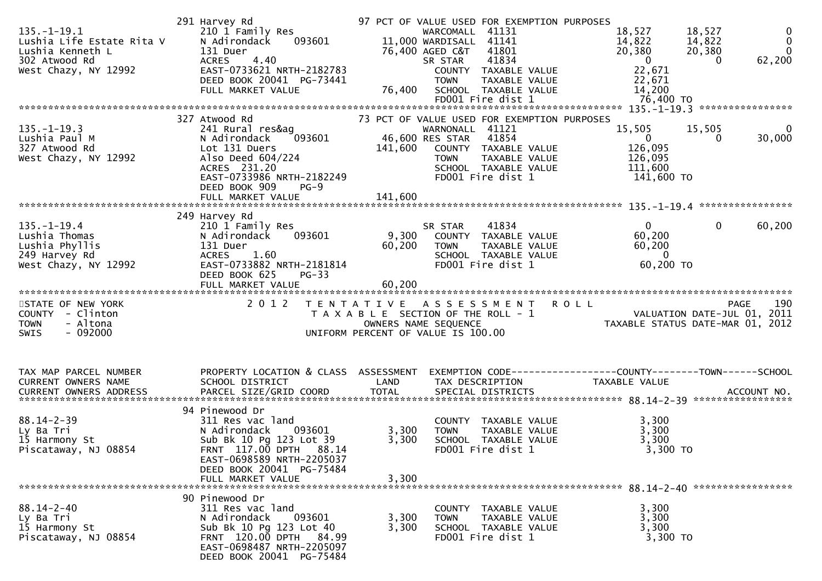| $135. - 1 - 19.1$<br>Lushia Life Estate Rita V<br>Lushia Kenneth L<br>302 Atwood Rd<br>West Chazy, NY 12992 | 291 Harvey Rd<br>210 1 Family Res<br>N Adirondack<br>093601<br>131 Duer<br><b>ACRES</b><br>4.40<br>EAST-0733621 NRTH-2182783<br>DEED BOOK 20041 PG-73441<br>FULL MARKET VALUE                   | 76,400                  | 97 PCT OF VALUE USED FOR EXEMPTION PURPOSES<br>WARCOMALL<br>41131<br>11,000 WARDISALL 41141<br>41801<br>76,400 AGED C&T<br>41834<br>SR STAR<br>COUNTY TAXABLE VALUE<br><b>TOWN</b><br>TAXABLE VALUE<br>SCHOOL TAXABLE VALUE<br>FD001 Fire dist 1 | 18,527<br>18,527<br>$\bf{0}$<br>$\mathbf 0$<br>14,822<br>14,822<br>$\Omega$<br>20,380<br>20,380<br>62,200<br>$\overline{\mathbf{0}}$<br>$\Omega$<br>22,671<br>22,671<br>14,200<br>76,400 TO |
|-------------------------------------------------------------------------------------------------------------|-------------------------------------------------------------------------------------------------------------------------------------------------------------------------------------------------|-------------------------|--------------------------------------------------------------------------------------------------------------------------------------------------------------------------------------------------------------------------------------------------|---------------------------------------------------------------------------------------------------------------------------------------------------------------------------------------------|
| $135. - 1 - 19.3$<br>Lushia Paul M<br>327 Atwood Rd<br>West Chazy, NY 12992                                 | 327 Atwood Rd<br>241 Rural res&ag<br>093601<br>N Adirondack<br>Lot 131 Duers<br>Also Deed 604/224<br>ACRES 231.20<br>EAST-0733986 NRTH-2182249<br>DEED BOOK 909<br>$PG-9$<br>FULL MARKET VALUE  | 141,600<br>141,600      | 73 PCT OF VALUE USED FOR EXEMPTION PURPOSES<br>WARNONALL 41121<br>41854<br>46,600 RES STAR<br>COUNTY TAXABLE VALUE<br>TAXABLE VALUE<br><b>TOWN</b><br>SCHOOL TAXABLE VALUE<br>FD001 Fire dist 1                                                  | 15,505<br>15,505<br>0<br>30,000<br>$\mathbf{0}$<br>0<br>126,095<br>126,095<br>111,600<br>141,600 TO                                                                                         |
|                                                                                                             |                                                                                                                                                                                                 |                         |                                                                                                                                                                                                                                                  |                                                                                                                                                                                             |
| $135. - 1 - 19.4$<br>Lushia Thomas<br>Lushia Phyllis<br>249 Harvey Rd<br>West Chazy, NY 12992               | 249 Harvey Rd<br>210 1 Family Res<br>093601<br>N Adirondack<br>131 Duer<br><b>ACRES</b><br>1.60<br>EAST-0733882 NRTH-2181814<br>DEED BOOK 625<br>$PG-33$                                        | 9,300<br>60,200         | SR STAR<br>41834<br>COUNTY TAXABLE VALUE<br><b>TOWN</b><br>TAXABLE VALUE<br>SCHOOL TAXABLE VALUE<br>FD001 Fire dist 1                                                                                                                            | $\mathbf{0}$<br>$\mathbf{0}$<br>60,200<br>60,200<br>60,200<br>$\overline{0}$<br>60,200 TO                                                                                                   |
|                                                                                                             | FULL MARKET VALUE                                                                                                                                                                               | 60,200                  |                                                                                                                                                                                                                                                  |                                                                                                                                                                                             |
| STATE OF NEW YORK<br>COUNTY - Clinton<br>- Altona<br><b>TOWN</b><br>$-092000$<br><b>SWIS</b>                | 2 0 1 2                                                                                                                                                                                         | OWNERS NAME SEQUENCE    | TENTATIVE ASSESSMENT<br>T A X A B L E SECTION OF THE ROLL - 1<br>UNIFORM PERCENT OF VALUE IS 100.00                                                                                                                                              | <b>ROLL</b><br>190<br>PAGE<br>VALUATION DATE-JUL 01, 2011<br>TAXABLE STATUS DATE-MAR 01, 2012                                                                                               |
| TAX MAP PARCEL NUMBER<br>CURRENT OWNERS NAME                                                                | PROPERTY LOCATION & CLASS ASSESSMENT<br>SCHOOL DISTRICT                                                                                                                                         | LAND                    | TAX DESCRIPTION                                                                                                                                                                                                                                  | EXEMPTION CODE-----------------COUNTY-------TOWN------SCHOOL<br><b>TAXABLE VALUE</b>                                                                                                        |
| $88.14 - 2 - 39$<br>Ly Ba Tri<br>15 Harmony St<br>Piscataway, NJ 08854                                      | 94 Pinewood Dr<br>311 Res vac land<br>N Adirondack<br>093601<br>Sub Bk 10 Pg 123 Lot 39<br>FRNT 117.00 DPTH 88.14<br>EAST-0698589 NRTH-2205037<br>DEED BOOK 20041 PG-75484<br>FULL MARKET VALUE | 3,300<br>3,300<br>3,300 | COUNTY TAXABLE VALUE<br>TAXABLE VALUE<br><b>TOWN</b><br>SCHOOL TAXABLE VALUE<br>FD001 Fire dist 1                                                                                                                                                | 3,300<br>3,300<br>3,300<br>3,300 TO                                                                                                                                                         |
| $88.14 - 2 - 40$                                                                                            | 90 Pinewood Dr<br>311 Res vac land                                                                                                                                                              |                         | COUNTY TAXABLE VALUE                                                                                                                                                                                                                             | 3,300                                                                                                                                                                                       |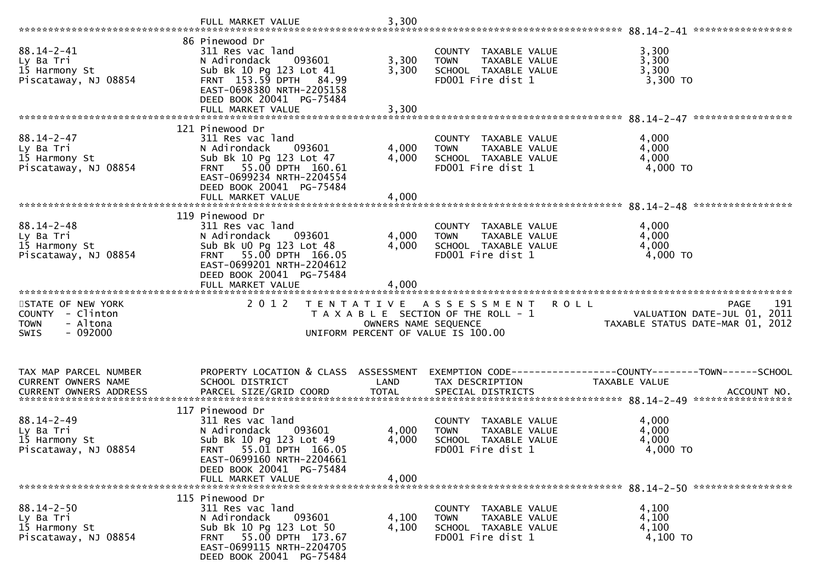|                                                                                              | FULL MARKET VALUE                                                                                                                                                                                | 3,300                   |                                                                                                                   |                                                                                                                      |
|----------------------------------------------------------------------------------------------|--------------------------------------------------------------------------------------------------------------------------------------------------------------------------------------------------|-------------------------|-------------------------------------------------------------------------------------------------------------------|----------------------------------------------------------------------------------------------------------------------|
| $88.14 - 2 - 41$<br>Ly Ba Tri<br>15 Harmony St<br>Piscataway, NJ 08854                       | 86 Pinewood Dr<br>311 Res vac land<br>N Adirondack<br>093601<br>Sub Bk 10 Pg 123 Lot 41<br>FRNT 153.59 DPTH 84.99<br>EAST-0698380 NRTH-2205158<br>DEED BOOK 20041 PG-75484<br>FULL MARKET VALUE  | 3,300<br>3,300<br>3,300 | COUNTY TAXABLE VALUE<br>TAXABLE VALUE<br><b>TOWN</b><br>SCHOOL TAXABLE VALUE<br>FD001 Fire dist 1                 | 3,300<br>3,300<br>3,300<br>3,300 TO                                                                                  |
|                                                                                              | 121 Pinewood Dr                                                                                                                                                                                  |                         |                                                                                                                   |                                                                                                                      |
| $88.14 - 2 - 47$<br>Ly Ba Tri<br>15 Harmony St<br>Piscataway, NJ 08854                       | 311 Res vac land<br>N Adirondack<br>093601<br>Sub Bk 10 Pg 123 Lot 47<br>FRNT 55.00 DPTH 160.61<br>EAST-0699234 NRTH-2204554<br>DEED BOOK 20041 PG-75484                                         | 4,000<br>4,000          | COUNTY TAXABLE VALUE<br>TAXABLE VALUE<br><b>TOWN</b><br>SCHOOL TAXABLE VALUE<br>FD001 Fire dist 1                 | 4,000<br>4,000<br>4,000<br>4,000 TO                                                                                  |
|                                                                                              | FULL MARKET VALUE                                                                                                                                                                                | 4,000                   |                                                                                                                   |                                                                                                                      |
|                                                                                              | 119 Pinewood Dr                                                                                                                                                                                  |                         |                                                                                                                   |                                                                                                                      |
| $88.14 - 2 - 48$<br>Ly Ba Tri<br>15 Harmony St<br>Piscataway, NJ 08854                       | 311 Res vac land<br>093601<br>N Adirondack<br>Sub Bk UO Pg 123 Lot 48<br>FRNT 55.00 DPTH 166.05<br>EAST-0699201 NRTH-2204612<br>DEED BOOK 20041 PG-75484                                         | 4,000<br>4,000          | COUNTY TAXABLE VALUE<br><b>TOWN</b><br>TAXABLE VALUE<br>SCHOOL TAXABLE VALUE<br>FD001 Fire dist 1                 | 4,000<br>4,000<br>4,000<br>4,000 TO                                                                                  |
|                                                                                              | FULL MARKET VALUE                                                                                                                                                                                | 4,000                   |                                                                                                                   |                                                                                                                      |
|                                                                                              |                                                                                                                                                                                                  |                         |                                                                                                                   |                                                                                                                      |
| STATE OF NEW YORK<br>COUNTY - Clinton<br><b>TOWN</b><br>- Altona<br>$-092000$<br><b>SWIS</b> | 2 0 1 2<br>T E N T A T I V E                                                                                                                                                                     | OWNERS NAME SEQUENCE    | A S S E S S M E N T<br><b>ROLL</b><br>T A X A B L E SECTION OF THE ROLL - 1<br>UNIFORM PERCENT OF VALUE IS 100.00 | 191<br><b>PAGE</b><br>VALUATION DATE-JUL 01, 2011<br>VALUATION DATE SUL 01, 2012<br>TAXABLE STATUS DATE-MAR 01, 2012 |
| TAX MAP PARCEL NUMBER<br>CURRENT OWNERS NAME<br><b>CURRENT OWNERS ADDRESS</b>                | PROPERTY LOCATION & CLASS ASSESSMENT<br>SCHOOL DISTRICT<br>PARCEL SIZE/GRID COORD                                                                                                                | LAND<br><b>TOTAL</b>    | TAX DESCRIPTION<br>SPECIAL DISTRICTS                                                                              | EXEMPTION CODE-----------------COUNTY-------TOWN------SCHOOL<br>TAXABLE VALUE<br>ACCOUNT NO.                         |
| $88.14 - 2 - 49$<br>Ly Ba Tri<br>15 Harmony St<br>Piscataway, NJ 08854                       | 117 Pinewood Dr<br>311 Res vac land<br>N Adirondack<br>093601<br>Sub Bk 10 Pg 123 Lot 49<br>FRNT 55.01 DPTH 166.05<br>EAST-0699160 NRTH-2204661<br>DEED BOOK 20041 PG-75484<br>FULL MARKET VALUE | 4,000<br>4,000<br>4,000 | COUNTY TAXABLE VALUE<br><b>TAXABLE VALUE</b><br><b>TOWN</b><br>SCHOOL TAXABLE VALUE<br>FD001 Fire dist 1          | 4,000<br>4,000<br>4,000<br>4,000 TO                                                                                  |
|                                                                                              | 115 Pinewood Dr                                                                                                                                                                                  |                         |                                                                                                                   |                                                                                                                      |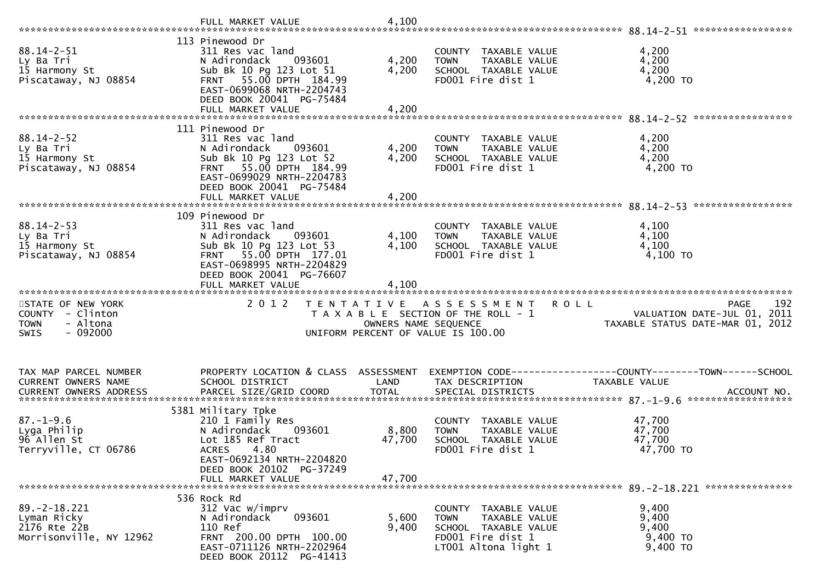|                                                                                              | FULL MARKET VALUE                                                                                                                                                                           | 4,100                                              |                                                                                                    |                                                                                                |
|----------------------------------------------------------------------------------------------|---------------------------------------------------------------------------------------------------------------------------------------------------------------------------------------------|----------------------------------------------------|----------------------------------------------------------------------------------------------------|------------------------------------------------------------------------------------------------|
| $88.14 - 2 - 51$<br>Ly Ba Tri<br>15 Harmony St<br>Piscataway, NJ 08854                       | 113 Pinewood Dr<br>311 Res vac land<br>093601<br>N Adirondack<br>Sub Bk 10 Pg 123 Lot 51<br>FRNT 55.00 DPTH 184.99<br>EAST-0699068 NRTH-2204743<br>DEED BOOK 20041 PG-75484                 | 4,200<br>4,200                                     | COUNTY TAXABLE VALUE<br>TAXABLE VALUE<br><b>TOWN</b><br>SCHOOL TAXABLE VALUE<br>FD001 Fire dist 1  | 4,200<br>4,200<br>4,200<br>4,200 TO                                                            |
|                                                                                              | 111 Pinewood Dr                                                                                                                                                                             |                                                    |                                                                                                    |                                                                                                |
| $88.14 - 2 - 52$<br>Ly Ba Tri<br>15 Harmony St<br>Piscataway, NJ 08854                       | 311 Res vac land<br>093601<br>N Adirondack<br>Sub Bk 10 Pg 123 Lot 52<br>FRNT 55.00 DPTH 184.99<br>EAST-0699029 NRTH-2204783<br>DEED BOOK 20041 PG-75484                                    | 4,200<br>4,200                                     | COUNTY TAXABLE VALUE<br>TAXABLE VALUE<br><b>TOWN</b><br>SCHOOL TAXABLE VALUE<br>FD001 Fire dist 1  | 4,200<br>4,200<br>4,200<br>4,200 TO                                                            |
|                                                                                              | FULL MARKET VALUE                                                                                                                                                                           | 4,200                                              |                                                                                                    |                                                                                                |
|                                                                                              | 109 Pinewood Dr                                                                                                                                                                             |                                                    |                                                                                                    |                                                                                                |
| $88.14 - 2 - 53$<br>Ly Ba Tri<br>15 Harmony St<br>Piscataway, NJ 08854                       | 311 Res vac land<br>N Adirondack 093601<br>Sub Bk 10 Pg 123 Lot 53<br>FRNT 55.00 DPTH 177.01<br>EAST-0698995 NRTH-2204829                                                                   | 4,100<br>4,100                                     | COUNTY TAXABLE VALUE<br>TAXABLE VALUE<br><b>TOWN</b><br>SCHOOL TAXABLE VALUE<br>FD001 Fire dist 1  | 4,100<br>4,100<br>4,100<br>4,100 TO                                                            |
|                                                                                              | DEED BOOK 20041 PG-76607                                                                                                                                                                    |                                                    |                                                                                                    |                                                                                                |
|                                                                                              |                                                                                                                                                                                             |                                                    |                                                                                                    |                                                                                                |
| STATE OF NEW YORK<br>COUNTY - Clinton<br><b>TOWN</b><br>- Altona<br>$-092000$<br><b>SWIS</b> | FULL MARKET VALUE<br>2 0 1 2                                                                                                                                                                | 4,100<br>T E N T A T I V E<br>OWNERS NAME SEQUENCE | A S S E S S M E N T<br>T A X A B L E SECTION OF THE ROLL - 1<br>UNIFORM PERCENT OF VALUE IS 100.00 | <b>ROLL</b><br>192<br>PAGE<br>VALUATION DATE-JUL 01, 2011<br>TAXABLE STATUS DATE-MAR 01, 2012  |
| TAX MAP PARCEL NUMBER<br>CURRENT OWNERS NAME<br><b>CURRENT OWNERS ADDRESS</b>                | PROPERTY LOCATION & CLASS ASSESSMENT<br>SCHOOL DISTRICT<br>PARCEL SIZE/GRID COORD                                                                                                           | LAND<br><b>TOTAL</b>                               | TAX DESCRIPTION<br>SPECIAL DISTRICTS                                                               | EXEMPTION CODE------------------COUNTY--------TOWN------SCHOOL<br>TAXABLE VALUE<br>ACCOUNT NO. |
| $87. - 1 - 9.6$<br>Lyga Philip<br>96 Allen St<br>Terryville, CT 06786                        | 5381 Military Tpke<br>210 1 Family Res<br>N Adirondack<br>093601<br>Lot 185 Ref Tract<br><b>ACRES</b><br>4.80<br>EAST-0692134 NRTH-2204820<br>DEED BOOK 20102 PG-37249<br>FULL MARKET VALUE | 8,800<br>47,700<br>47,700                          | COUNTY TAXABLE VALUE<br><b>TOWN</b><br>TAXABLE VALUE<br>SCHOOL TAXABLE VALUE<br>FD001 Fire dist 1  | 47,700<br>47,700<br>47,700<br>47,700 TO                                                        |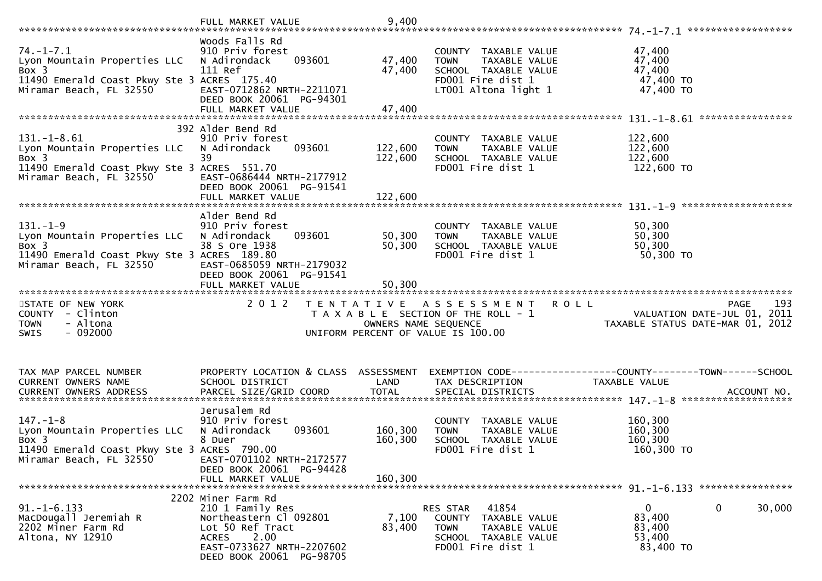|                                                                                                                                    | FULL MARKET VALUE                                                                                                                                         | 9,400                         |                                                                                                                           |                                                                                       |
|------------------------------------------------------------------------------------------------------------------------------------|-----------------------------------------------------------------------------------------------------------------------------------------------------------|-------------------------------|---------------------------------------------------------------------------------------------------------------------------|---------------------------------------------------------------------------------------|
| $74. - 1 - 7.1$<br>Lyon Mountain Properties LLC<br>Box 3<br>11490 Emerald Coast Pkwy Ste 3 ACRES 175.40<br>Miramar Beach, FL 32550 | Woods Falls Rd<br>910 Priv forest<br>093601<br>N Adirondack<br>111 Ref<br>EAST-0712862 NRTH-2211071<br>DEED BOOK 20061 PG-94301<br>FULL MARKET VALUE      | 47,400<br>47,400<br>47,400    | COUNTY TAXABLE VALUE<br>TAXABLE VALUE<br><b>TOWN</b><br>SCHOOL TAXABLE VALUE<br>FD001 Fire dist 1<br>LT001 Altona light 1 | 47,400<br>47,400<br>47,400<br>47,400 TO<br>47,400 TO                                  |
| $131.-1-8.61$<br>Lyon Mountain Properties LLC<br>Box 3<br>11490 Emerald Coast Pkwy Ste 3 ACRES 551.70<br>Miramar Beach, FL 32550   | 392 Alder Bend Rd<br>910 Priv forest<br>093601<br>N Adirondack<br>39<br>EAST-0686444 NRTH-2177912<br>DEED BOOK 20061 PG-91541<br>FULL MARKET VALUE        | 122,600<br>122,600<br>122,600 | COUNTY TAXABLE VALUE<br>TAXABLE VALUE<br><b>TOWN</b><br>SCHOOL TAXABLE VALUE<br>FD001 Fire dist 1                         | 122,600<br>122,600<br>122,600<br>122,600 TO                                           |
| $131. - 1 - 9$<br>Lyon Mountain Properties LLC<br>Box 3<br>11490 Emerald Coast Pkwy Ste 3 ACRES 189.80<br>Miramar Beach, FL 32550  | Alder Bend Rd<br>910 Priv forest<br>093601<br>N Adirondack<br>38 S Ore 1938<br>EAST-0685059 NRTH-2179032<br>DEED BOOK 20061 PG-91541<br>FULL MARKET VALUE | 50,300<br>50,300<br>50,300    | COUNTY TAXABLE VALUE<br><b>TOWN</b><br>TAXABLE VALUE<br>SCHOOL TAXABLE VALUE<br>FD001 Fire dist 1                         | 50,300<br>50,300<br>50,300<br>50,300 TO                                               |
|                                                                                                                                    |                                                                                                                                                           |                               |                                                                                                                           |                                                                                       |
| STATE OF NEW YORK<br>COUNTY - Clinton<br>- Altona<br><b>TOWN</b><br>$-092000$<br>SWIS                                              | 2012                                                                                                                                                      | OWNERS NAME SEQUENCE          | R O L L<br>TENTATIVE ASSESSMENT<br>T A X A B L E SECTION OF THE ROLL - 1<br>UNIFORM PERCENT OF VALUE IS 100.00            | 193<br><b>PAGE</b><br>VALUATION DATE-JUL 01, 2011<br>TAXABLE STATUS DATE-MAR 01, 2012 |
| TAX MAP PARCEL NUMBER<br>CURRENT OWNERS NAME<br>CURRENT OWNERS ADDRESS                                                             | PROPERTY LOCATION & CLASS ASSESSMENT<br>SCHOOL DISTRICT<br>PARCEL SIZE/GRID COORD                                                                         | LAND<br><b>TOTAL</b>          | TAX DESCRIPTION<br>SPECIAL DISTRICTS                                                                                      | TAXABLE VALUE<br>ACCOUNT NO.                                                          |
| $147. - 1 - 8$<br>Lyon Mountain Properties LLC<br>Box 3<br>11490 Emerald Coast Pkwy Ste 3 ACRES 790.00<br>Miramar Beach, FL 32550  | Jerusalem Rd<br>910 Priv forest<br>N Adirondack<br>093601<br>8 Duer<br>EAST-0701102 NRTH-2172577<br>DEED BOOK 20061 PG-94428<br>FULL MARKET VALUE         | 160,300<br>160,300<br>160,300 | COUNTY TAXABLE VALUE<br><b>TAXABLE VALUE</b><br><b>TOWN</b><br>SCHOOL TAXABLE VALUE<br>FD001 Fire dist 1                  | 160,300<br>160,300<br>160,300<br>160,300 TO                                           |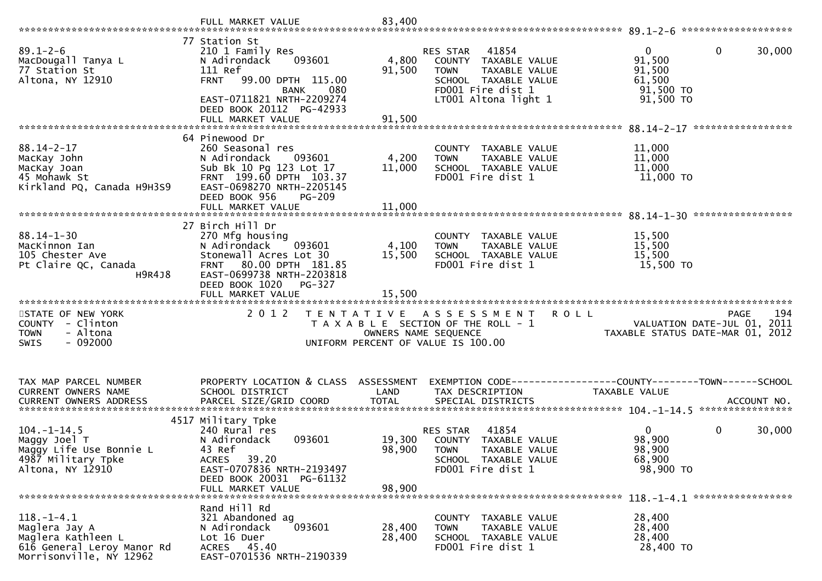|                                                                                                              | 77 Station St                                                                                                                                                                          |                           |                                                                                                                                                |                                                                                               |
|--------------------------------------------------------------------------------------------------------------|----------------------------------------------------------------------------------------------------------------------------------------------------------------------------------------|---------------------------|------------------------------------------------------------------------------------------------------------------------------------------------|-----------------------------------------------------------------------------------------------|
| $89.1 - 2 - 6$<br>MacDougall Tanya L<br>77 Station St<br>Altona, NY 12910                                    | 210 1 Family Res<br>N Adirondack<br>093601<br>111 Ref<br><b>FRNT</b><br>99.00 DPTH 115.00<br>080<br>BANK<br>EAST-0711821 NRTH-2209274<br>DEED BOOK 20112 PG-42933<br>FULL MARKET VALUE | 4,800<br>91,500<br>91,500 | RES STAR<br>41854<br>COUNTY TAXABLE VALUE<br>TAXABLE VALUE<br><b>TOWN</b><br>SCHOOL TAXABLE VALUE<br>FD001 Fire dist 1<br>LT001 Altona light 1 | $\mathbf{0}$<br>$\mathbf 0$<br>30,000<br>91,500<br>91,500<br>61,500<br>91,500 TO<br>91,500 TO |
|                                                                                                              |                                                                                                                                                                                        |                           |                                                                                                                                                |                                                                                               |
| $88.14 - 2 - 17$<br>MacKay John<br>MacKay Joan<br>45 Mohawk St<br>Kirkland PQ, Canada H9H3S9                 | 64 Pinewood Dr<br>260 Seasonal res<br>N Adirondack<br>093601<br>Sub Bk 10 Pg 123 Lot 17<br>FRNT 199.60 DPTH 103.37<br>EAST-0698270 NRTH-2205145<br>DEED BOOK 956<br><b>PG-209</b>      | 4,200<br>11,000           | COUNTY TAXABLE VALUE<br><b>TOWN</b><br>TAXABLE VALUE<br>SCHOOL TAXABLE VALUE<br>FD001 Fire dist 1                                              | 11,000<br>11,000<br>11,000<br>11,000 TO                                                       |
|                                                                                                              | FULL MARKET VALUE                                                                                                                                                                      | 11,000                    |                                                                                                                                                |                                                                                               |
|                                                                                                              | 27 Birch Hill Dr                                                                                                                                                                       |                           |                                                                                                                                                | *****************                                                                             |
| $88.14 - 1 - 30$<br>MacKinnon Ian<br>105 Chester Ave<br>Pt Claire QC, Canada<br>H9R4J8                       | 270 Mfg housing<br>093601<br>N Adirondack<br>Stonewall Acres Lot 30<br>80.00 DPTH 181.85<br><b>FRNT</b><br>EAST-0699738 NRTH-2203818<br>DEED BOOK 1020<br>PG-327<br>FULL MARKET VALUE  | 4,100<br>15,500           | COUNTY<br>TAXABLE VALUE<br>TAXABLE VALUE<br><b>TOWN</b><br>SCHOOL TAXABLE VALUE<br>FD001 Fire dist 1                                           | 15,500<br>15,500<br>15,500<br>15,500 TO                                                       |
|                                                                                                              |                                                                                                                                                                                        |                           |                                                                                                                                                |                                                                                               |
| STATE OF NEW YORK<br>COUNTY - Clinton<br>- Altona<br><b>TOWN</b><br>$-092000$<br><b>SWIS</b>                 | 2 0 1 2                                                                                                                                                                                |                           | TENTATIVE ASSESSMENT<br><b>ROLL</b><br>T A X A B L E SECTION OF THE ROLL - 1<br>OWNERS NAME SEQUENCE<br>UNIFORM PERCENT OF VALUE IS 100.00     | 194<br><b>PAGE</b><br>VALUATION DATE-JUL 01, 2011<br>TAXABLE STATUS DATE-MAR 01, 2012         |
| TAX MAP PARCEL NUMBER                                                                                        | PROPERTY LOCATION & CLASS ASSESSMENT                                                                                                                                                   |                           |                                                                                                                                                |                                                                                               |
| CURRENT OWNERS NAME                                                                                          | SCHOOL DISTRICT                                                                                                                                                                        | LAND                      | TAX DESCRIPTION                                                                                                                                | TAXABLE VALUE                                                                                 |
|                                                                                                              |                                                                                                                                                                                        |                           |                                                                                                                                                |                                                                                               |
| $104. - 1 - 14.5$<br>Maggy Joel T<br>Maggy Life Use Bonnie L<br>4987 Military Tpke<br>Altona, NY 12910       | 4517 Military Tpke<br>240 Rural res<br>N Adirondack<br>093601<br>43 Ref<br>ACRES 39.20<br>EAST-0707836 NRTH-2193497<br>DEED BOOK 20031 PG-61132                                        | 19,300<br>98,900          | 41854<br>RES STAR<br>COUNTY TAXABLE VALUE<br><b>TOWN</b><br>TAXABLE VALUE<br>SCHOOL TAXABLE VALUE<br>FD001 Fire dist 1                         | $\Omega$<br>$\mathbf 0$<br>30,000<br>98,900<br>98,900<br>68,900<br>98,900 TO                  |
|                                                                                                              | FULL MARKET VALUE                                                                                                                                                                      | 98,900                    |                                                                                                                                                |                                                                                               |
| $118.-1-4.1$<br>Maglera Jay A<br>Maglera Kathleen L<br>616 General Leroy Manor Rd<br>Morrisonville, NY 12962 | Rand Hill Rd<br>321 Abandoned ag<br>093601<br>N Adirondack<br>Lot 16 Duer<br>ACRES 45.40                                                                                               | 28,400<br>28,400          | COUNTY TAXABLE VALUE<br>TAXABLE VALUE<br><b>TOWN</b><br>SCHOOL TAXABLE VALUE<br>FD001 Fire dist 1                                              | 28,400<br>28,400<br>28,400<br>28,400 TO                                                       |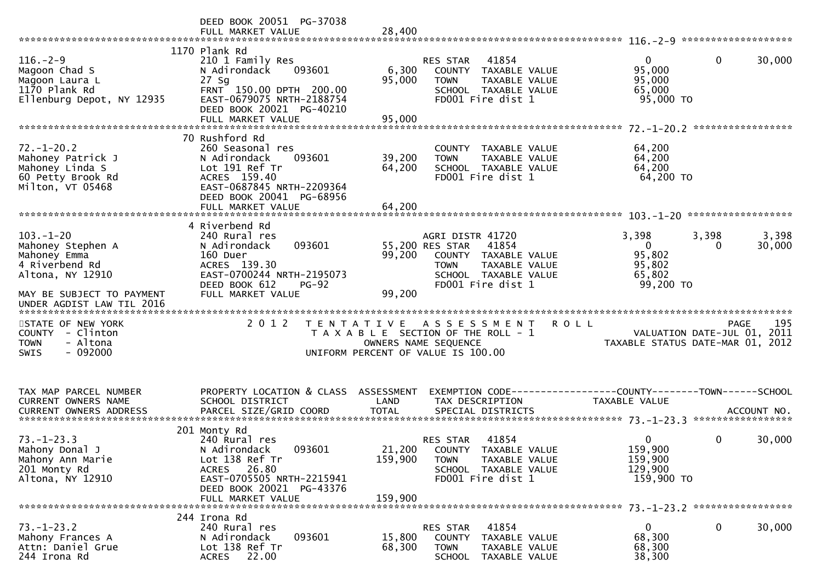|                                                                                                                           | DEED BOOK 20051 PG-37038<br>FULL MARKET VALUE                                                                                                                                    | 28,400                             |                                                                                                                                                   |                                                                    |                                                                                |
|---------------------------------------------------------------------------------------------------------------------------|----------------------------------------------------------------------------------------------------------------------------------------------------------------------------------|------------------------------------|---------------------------------------------------------------------------------------------------------------------------------------------------|--------------------------------------------------------------------|--------------------------------------------------------------------------------|
| $116. - 2 - 9$<br>Magoon Chad S<br>Magoon Laura L<br>1170 Plank Rd<br>Ellenburg Depot, NY 12935                           | 1170 Plank Rd<br>210 1 Family Res<br>N Adirondack<br>093601<br>$27$ Sg<br>FRNT 150.00 DPTH 200.00<br>EAST-0679075 NRTH-2188754<br>DEED BOOK 20021 PG-40210<br>FULL MARKET VALUE  | 6,300<br>95,000<br>95,000          | RES STAR<br>41854<br>COUNTY TAXABLE VALUE<br>TAXABLE VALUE<br><b>TOWN</b><br>SCHOOL TAXABLE VALUE<br>FD001 Fire dist 1                            | $\mathbf 0$<br>95,000<br>95,000<br>65,000<br>95,000 TO             | $\mathbf 0$<br>30,000                                                          |
| $72. - 1 - 20.2$<br>Mahoney Patrick J<br>Mahoney Linda S<br>60 Petty Brook Rd<br>Milton, VT 05468                         | 70 Rushford Rd<br>260 Seasonal res<br>N Adirondack<br>093601<br>Lot 191 Ref Tr<br>ACRES 159.40<br>EAST-0687845 NRTH-2209364<br>DEED BOOK 20041 PG-68956                          | 39,200<br>64,200                   | COUNTY TAXABLE VALUE<br>TAXABLE VALUE<br><b>TOWN</b><br>SCHOOL TAXABLE VALUE<br>FD001 Fire dist 1                                                 | 64,200<br>64,200<br>64,200<br>64,200 TO                            | ******************                                                             |
| $103 - 1 - 20$<br>Mahoney Stephen A<br>Mahoney Emma<br>4 Riverbend Rd<br>Altona, NY 12910<br>MAY BE SUBJECT TO PAYMENT    | 4 Riverbend Rd<br>240 Rural res<br>093601<br>N Adirondack<br>160 Duer<br>ACRES 139.30<br>EAST-0700244 NRTH-2195073<br>DEED BOOK 612<br>$PG-92$<br>FULL MARKET VALUE              | 99,200<br>99,200                   | AGRI DISTR 41720<br>55,200 RES STAR<br>41854<br>COUNTY TAXABLE VALUE<br>TAXABLE VALUE<br><b>TOWN</b><br>SCHOOL TAXABLE VALUE<br>FD001 Fire dist 1 | 3,398<br>$\overline{0}$<br>95,802<br>95,802<br>65,802<br>99,200 TO | 3,398<br>3,398<br>30,000<br>$\Omega$                                           |
| UNDER AGDIST LAW TIL 2016<br>STATE OF NEW YORK<br>COUNTY - Clinton<br><b>TOWN</b><br>- Altona<br>$-092000$<br><b>SWIS</b> | 2 0 1 2                                                                                                                                                                          | T E N T A T I V E                  | ASSESSMENT<br>T A X A B L E SECTION OF THE ROLL - 1<br>OWNERS NAME SEQUENCE<br>UNIFORM PERCENT OF VALUE IS 100.00                                 | <b>ROLL</b>                                                        | 195<br>PAGE<br>VALUATION DATE-JUL 01, 2011<br>TAXABLE STATUS DATE-MAR 01, 2012 |
| TAX MAP PARCEL NUMBER<br>CURRENT OWNERS NAME<br><b>CURRENT OWNERS ADDRESS</b>                                             | PROPERTY LOCATION & CLASS<br>SCHOOL DISTRICT<br>PARCEL SIZE/GRID COORD                                                                                                           | ASSESSMENT<br>LAND<br><b>TOTAL</b> | EXEMPTION CODE------------------COUNTY--------TOWN------SCHOOL<br>TAX DESCRIPTION<br>SPECIAL DISTRICTS                                            | TAXABLE VALUE                                                      | ACCOUNT NO.<br>*****************                                               |
| $73. - 1 - 23.3$<br>Mahony Donal J<br>Mahony Ann Marie<br>201 Monty Rd<br>Altona, NY 12910                                | 201 Monty Rd<br>240 Rural res<br>093601<br>N Adirondack<br>Lot 138 Ref Tr<br>26.80<br><b>ACRES</b><br>EAST-0705505 NRTH-2215941<br>DEED BOOK 20021 PG-43376<br>FULL MARKET VALUE | 159,900<br>159,900                 | 41854<br>RES STAR<br>21,200 COUNTY TAXABLE VALUE<br><b>TOWN</b><br>TAXABLE VALUE<br>SCHOOL TAXABLE VALUE<br>FD001 Fire dist 1                     | 0<br>159,900<br>159,900<br>129,900<br>159,900 TO                   | $\mathbf 0$<br>30,000                                                          |
| $73. - 1 - 23.2$<br>Mahony Frances A<br>Attn: Daniel Grue<br>244 Irona Rd                                                 | 244 Irona Rd<br>240 Rural res<br>093601<br>N Adirondack<br>Lot 138 Ref Tr<br>22.00<br><b>ACRES</b>                                                                               | 15,800<br>68,300                   | 41854<br>RES STAR<br><b>COUNTY</b><br>TAXABLE VALUE<br><b>TOWN</b><br>TAXABLE VALUE<br><b>SCHOOL</b><br>TAXABLE VALUE                             | $\mathbf{0}$<br>68,300<br>68,300<br>38,300                         | 0<br>30,000                                                                    |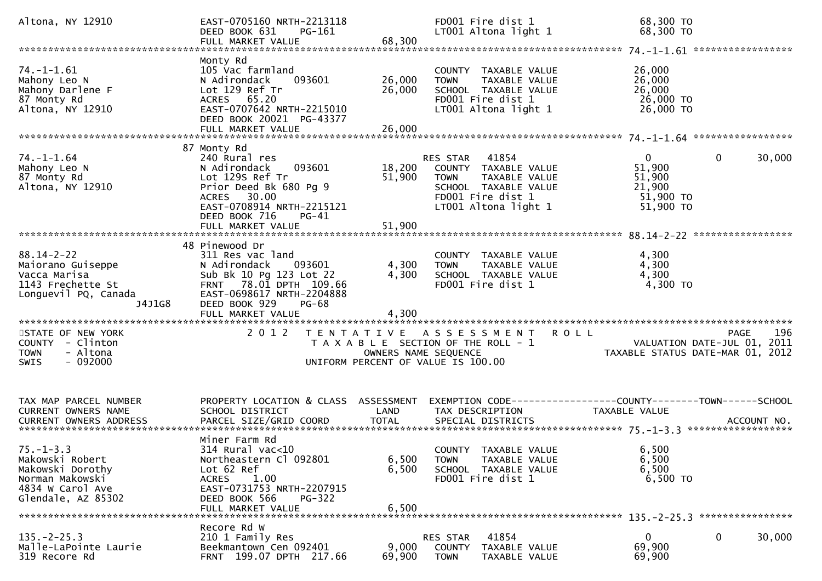| Altona, NY 12910                                                                                                    | EAST-0705160 NRTH-2213118<br>PG-161<br>DEED BOOK 631                                                                                                                                          |                            | FD001 Fire dist 1<br>LT001 Altona light 1                                                                                                      | 68,300 TO<br>68,300 TO                                                                 |        |
|---------------------------------------------------------------------------------------------------------------------|-----------------------------------------------------------------------------------------------------------------------------------------------------------------------------------------------|----------------------------|------------------------------------------------------------------------------------------------------------------------------------------------|----------------------------------------------------------------------------------------|--------|
|                                                                                                                     |                                                                                                                                                                                               |                            |                                                                                                                                                |                                                                                        |        |
| $74. - 1 - 1.61$<br>Mahony Leo N<br>Mahony Darlene F<br>87 Monty Rd<br>Altona, NY 12910                             | Monty Rd<br>105 Vac farmland<br>N Adirondack<br>093601<br>Lot 129 Ref Tr<br>ACRES 65.20<br>EAST-0707642 NRTH-2215010<br>DEED BOOK 20021 PG-43377<br>FULL MARKET VALUE                         | 26,000<br>26,000<br>26,000 | COUNTY TAXABLE VALUE<br>TAXABLE VALUE<br><b>TOWN</b><br>SCHOOL TAXABLE VALUE<br>FD001 Fire dist 1<br>LT001 Altona light 1                      | 26,000<br>26,000<br>26,000<br>26,000 TO<br>26,000 TO                                   |        |
|                                                                                                                     |                                                                                                                                                                                               |                            |                                                                                                                                                |                                                                                        |        |
| $74. - 1 - 1.64$<br>Mahony Leo N<br>87 Monty Rd<br>Altona, NY 12910                                                 | 87 Monty Rd<br>240 Rural res<br>093601<br>N Adirondack<br>Lot 129s Ref Tr<br>Prior Deed Bk 680 Pg 9<br>ACRES 30.00<br>EAST-0708914 NRTH-2215121<br>DEED BOOK 716<br>PG-41                     | 18,200<br>51,900           | RES STAR<br>41854<br>COUNTY TAXABLE VALUE<br>TAXABLE VALUE<br><b>TOWN</b><br>SCHOOL TAXABLE VALUE<br>FD001 Fire dist 1<br>LT001 Altona light 1 | $\overline{0}$<br>$\mathbf{0}$<br>51,900<br>51,900<br>21,900<br>51,900 TO<br>51,900 TO | 30,000 |
|                                                                                                                     | FULL MARKET VALUE                                                                                                                                                                             | 51,900                     |                                                                                                                                                |                                                                                        |        |
| $88.14 - 2 - 22$<br>Maiorano Guiseppe<br>Vacca Marisa<br>1143 Frechette St<br>Longuevil PQ, Canada<br>J4J1G8        | 48 Pinewood Dr<br>311 Res vac land<br>N Adirondack<br>093601<br>Sub Bk 10 Pg 123 Lot 22<br>FRNT 78.01 DPTH 109.66<br>EAST-0698617 NRTH-2204888<br>DEED BOOK 929<br>PG-68<br>FULL MARKET VALUE | 4,300<br>4,300<br>4,300    | COUNTY TAXABLE VALUE<br>TAXABLE VALUE<br><b>TOWN</b><br>SCHOOL TAXABLE VALUE<br>FD001 Fire dist 1                                              | 4,300<br>4,300<br>4,300<br>4,300 TO                                                    |        |
| STATE OF NEW YORK<br>COUNTY - Clinton<br>- Altona<br><b>TOWN</b>                                                    | 2 0 1 2                                                                                                                                                                                       | OWNERS NAME SEQUENCE       | TENTATIVE ASSESSMENT<br>T A X A B L E SECTION OF THE ROLL - 1                                                                                  | <b>ROLL</b><br>PAGE<br>VALUATION DATE-JUL 01, 2011<br>TAXABLE STATUS DATE-MAR 01, 2012 | 196    |
| $-092000$<br><b>SWIS</b>                                                                                            |                                                                                                                                                                                               |                            | UNIFORM PERCENT OF VALUE IS 100.00                                                                                                             |                                                                                        |        |
| TAX MAP PARCEL NUMBER<br>CURRENT OWNERS NAME                                                                        | PROPERTY LOCATION & CLASS ASSESSMENT<br>SCHOOL DISTRICT                                                                                                                                       | LAND                       | TAX DESCRIPTION                                                                                                                                | EXEMPTION CODE-----------------COUNTY-------TOWN------SCHOOL<br><b>TAXABLE VALUE</b>   |        |
| $75. - 1 - 3.3$<br>Makowski Robert<br>Makowski Dorothy<br>Norman Makowski<br>4834 W Carol Ave<br>Glendale, AZ 85302 | Miner Farm Rd<br>$314$ Rural vac<10<br>Northeastern Cl 092801<br>Lot 62 Ref<br><b>ACRES</b><br>1.00<br>EAST-0731753 NRTH-2207915<br>DEED BOOK 566<br><b>PG-322</b><br>FULL MARKET VALUE       | 6,500<br>6,500<br>6,500    | COUNTY TAXABLE VALUE<br>TAXABLE VALUE<br><b>TOWN</b><br>SCHOOL TAXABLE VALUE<br>FD001 Fire dist 1                                              | 6,500<br>6,500<br>6,500<br>6,500 TO                                                    |        |
| $135. - 2 - 25.3$<br>Malle-LaPointe Laurie<br>319 Recore Rd                                                         | Recore Rd W<br>210 1 Family Res<br>Beekmantown Cen 092401<br>FRNT 199.07 DPTH 217.66                                                                                                          | 9,000<br>69,900            | 41854<br>RES STAR<br>COUNTY<br>TAXABLE VALUE<br><b>TOWN</b><br>TAXABLE VALUE                                                                   | $\overline{0}$<br>$\mathbf{0}$<br>69,900<br>69,900                                     | 30,000 |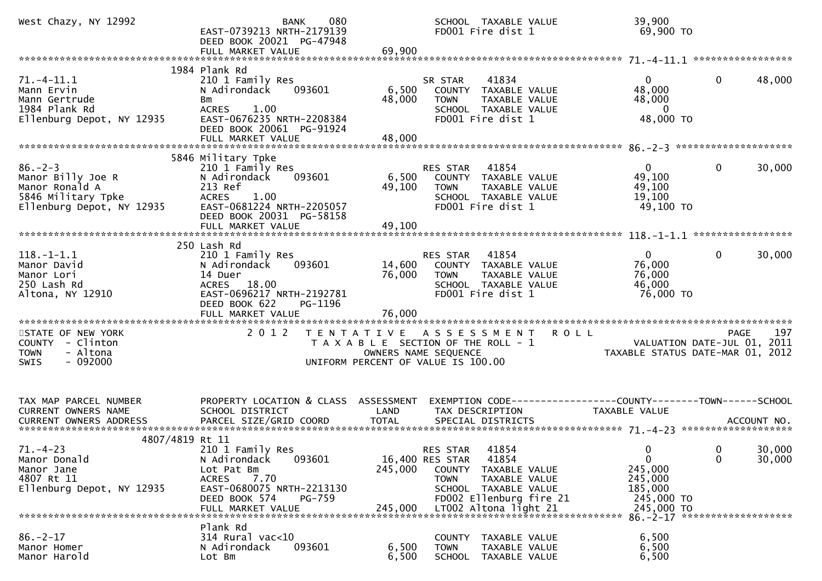| West Chazy, NY 12992                                                                                    | 080<br><b>BANK</b><br>EAST-0739213 NRTH-2179139<br>DEED BOOK 20021 PG-47948                                                                                                       |                           | SCHOOL TAXABLE VALUE<br>FD001 Fire dist 1                                                                                                                                            | 39,900<br>69,900 TO                                                                        |                                                                                       |
|---------------------------------------------------------------------------------------------------------|-----------------------------------------------------------------------------------------------------------------------------------------------------------------------------------|---------------------------|--------------------------------------------------------------------------------------------------------------------------------------------------------------------------------------|--------------------------------------------------------------------------------------------|---------------------------------------------------------------------------------------|
|                                                                                                         | FULL MARKET VALUE                                                                                                                                                                 | 69,900                    |                                                                                                                                                                                      |                                                                                            |                                                                                       |
| $71.-4-11.1$<br>Mann Ervin<br>Mann Gertrude<br>1984 Plank Rd<br>Ellenburg Depot, NY 12935               | 1984 Plank Rd<br>210 1 Family Res<br>093601<br>N Adirondack<br>Bm<br>ACRES 1.00<br>EAST-0676235 NRTH-2208384<br>DEED BOOK 20061 PG-91924<br>FULL MARKET VALUE                     | 6,500<br>48,000<br>48,000 | 41834<br>SR STAR<br>COUNTY TAXABLE VALUE<br><b>TOWN</b><br>TAXABLE VALUE<br>SCHOOL TAXABLE VALUE<br>FD001 Fire dist 1                                                                | $\overline{0}$<br>48,000<br>48,000<br>$\mathbf 0$<br>48,000 TO                             | 48,000<br>0                                                                           |
|                                                                                                         |                                                                                                                                                                                   |                           |                                                                                                                                                                                      |                                                                                            |                                                                                       |
| $86. - 2 - 3$<br>Manor Billy Joe R<br>Manor Ronald A<br>5846 Military Tpke<br>Ellenburg Depot, NY 12935 | 5846 Military Tpke<br>210 1 Family Res<br>093601<br>N Adirondack<br>213 Ref<br><b>ACRES</b><br>1.00<br>EAST-0681224 NRTH-2205057<br>DEED BOOK 20031 PG-58158<br>FULL MARKET VALUE | 6,500<br>49,100<br>49,100 | RES STAR<br>41854<br>COUNTY TAXABLE VALUE<br><b>TOWN</b><br>TAXABLE VALUE<br>SCHOOL TAXABLE VALUE<br>FD001 Fire dist 1                                                               | $\mathbf{0}$<br>49,100<br>49,100<br>19,100<br>49,100 TO                                    | 30,000<br>0                                                                           |
|                                                                                                         | 250 Lash Rd                                                                                                                                                                       |                           |                                                                                                                                                                                      |                                                                                            | *****************                                                                     |
| $118. - 1 - 1.1$<br>Manor David<br>Manor Lori<br>250 Lash Rd<br>Altona, NY 12910                        | 210 1 Family Res<br>N Adirondack<br>093601<br>14 Duer<br>ACRES 18.00<br>EAST-0696217 NRTH-2192781<br>PG-1196<br>DEED BOOK 622<br>FULL MARKET VALUE                                | 14,600<br>76,000          | 41854<br>RES STAR<br>COUNTY TAXABLE VALUE<br>TAXABLE VALUE<br><b>TOWN</b><br>SCHOOL TAXABLE VALUE<br>FD001 Fire dist 1                                                               | 0<br>76,000<br>76,000<br>46,000<br>76,000 TO                                               | 30,000<br>0                                                                           |
|                                                                                                         |                                                                                                                                                                                   |                           |                                                                                                                                                                                      |                                                                                            |                                                                                       |
| STATE OF NEW YORK<br>COUNTY - Clinton<br>- Altona<br><b>TOWN</b><br>$-092000$<br><b>SWIS</b>            | 2 0 1 2                                                                                                                                                                           |                           | TENTATIVE ASSESSMENT<br>T A X A B L E SECTION OF THE ROLL - 1<br>OWNERS NAME SEQUENCE<br>UNIFORM PERCENT OF VALUE IS 100.00                                                          | <b>ROLL</b>                                                                                | 197<br><b>PAGE</b><br>VALUATION DATE-JUL 01, 2011<br>TAXABLE STATUS DATE-MAR 01, 2012 |
| TAX MAP PARCEL NUMBER<br>CURRENT OWNERS NAME<br><b>CURRENT OWNERS ADDRESS</b><br>4807/4819 Rt 11        | PROPERTY LOCATION & CLASS ASSESSMENT<br>SCHOOL DISTRICT<br>PARCEL SIZE/GRID COORD                                                                                                 | LAND<br><b>TOTAL</b>      | TAX DESCRIPTION<br>SPECIAL DISTRICTS                                                                                                                                                 | EXEMPTION CODE------------------COUNTY--------TOWN------SCHOOL<br>TAXABLE VALUE            | ACCOUNT NO.                                                                           |
| $71. - 4 - 23$<br>Manor Donald<br>Manor Jane<br>4807 Rt 11<br>Ellenburg Depot, NY 12935                 | 210 1 Family Res<br>093601<br>N Adirondack<br>Lot Pat Bm<br>7.70<br>ACRES<br>EAST-0680075 NRTH-2213130<br>DEED BOOK 574<br>PG-759<br>FULL MARKET VALUE                            | 245,000<br>245,000        | 41854<br>RES STAR<br>16,400 RES STAR<br>41854<br>COUNTY<br>TAXABLE VALUE<br>TAXABLE VALUE<br><b>TOWN</b><br>SCHOOL TAXABLE VALUE<br>FD002 Ellenburg fire 21<br>LT002 Altona light 21 | $\overline{0}$<br>$\mathbf 0$<br>245,000<br>245,000<br>185,000<br>245,000 TO<br>245,000 TO | 30,000<br>$\overline{\mathbf{0}}$<br>$\mathbf{0}$<br>30,000                           |
|                                                                                                         | Plank Rd                                                                                                                                                                          |                           |                                                                                                                                                                                      |                                                                                            |                                                                                       |
| $86. - 2 - 17$<br>Manor Homer<br>Manor Harold                                                           | $314$ Rural vac<10<br>N Adirondack<br>093601<br>Lot Bm                                                                                                                            | 6,500<br>6,500            | COUNTY TAXABLE VALUE<br><b>TOWN</b><br>TAXABLE VALUE<br>SCHOOL TAXABLE VALUE                                                                                                         | 6,500<br>6,500<br>6,500                                                                    |                                                                                       |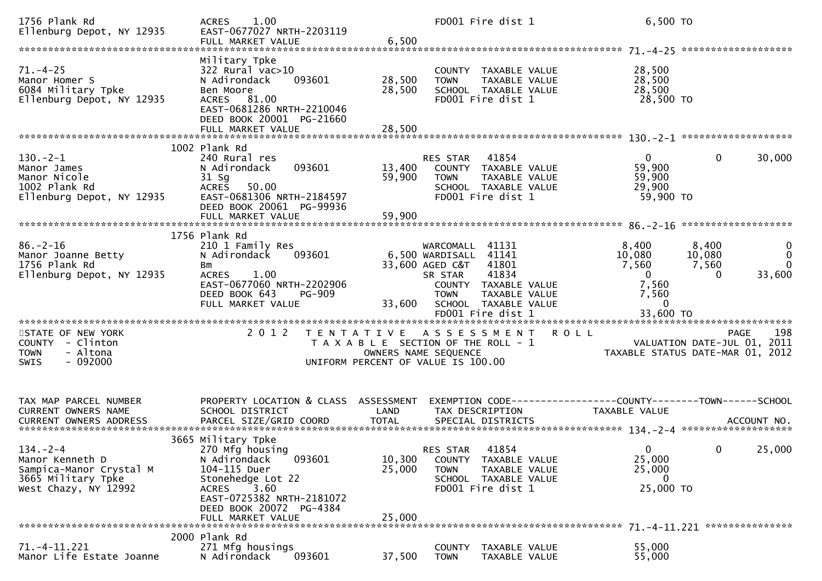| 1756 Plank Rd<br>Ellenburg Depot, NY 12935                                                                 | 1.00<br><b>ACRES</b><br>EAST-0677027 NRTH-2203119                                                                                                                                                  |                                                                                                     |                                                                           | FD001 Fire dist 1                                                                                 |                                                                     | 6,500 TO                                                          |                                            |                                            |
|------------------------------------------------------------------------------------------------------------|----------------------------------------------------------------------------------------------------------------------------------------------------------------------------------------------------|-----------------------------------------------------------------------------------------------------|---------------------------------------------------------------------------|---------------------------------------------------------------------------------------------------|---------------------------------------------------------------------|-------------------------------------------------------------------|--------------------------------------------|--------------------------------------------|
| $71. - 4 - 25$<br>Manor Homer S<br>6084 Military Tpke<br>Ellenburg Depot, NY 12935                         | Military Tpke<br>322 Rural vac>10<br>093601<br>N Adirondack<br>Ben Moore<br>ACRES 81.00<br>EAST-0681286 NRTH-2210046<br>DEED BOOK 20001 PG-21660                                                   | 28,500<br>28,500                                                                                    | <b>TOWN</b>                                                               | COUNTY TAXABLE VALUE<br>TAXABLE VALUE<br>SCHOOL TAXABLE VALUE<br>FD001 Fire dist 1                |                                                                     | 28,500<br>28,500<br>28,500<br>28,500 TO                           |                                            |                                            |
|                                                                                                            | FULL MARKET VALUE                                                                                                                                                                                  | 28,500                                                                                              |                                                                           |                                                                                                   |                                                                     |                                                                   |                                            |                                            |
| $130. - 2 - 1$<br>Manor James<br>Manor Nicole<br>1002 Plank Rd<br>Ellenburg Depot, NY 12935                | 1002 Plank Rd<br>240 Rural res<br>093601<br>N Adirondack<br>$31$ Sg<br><b>ACRES</b><br>50.00<br>EAST-0681306 NRTH-2184597<br>DEED BOOK 20061 PG-99936                                              | 13,400<br>59,900                                                                                    | RES STAR 41854<br><b>TOWN</b>                                             | COUNTY TAXABLE VALUE<br>TAXABLE VALUE<br>SCHOOL TAXABLE VALUE<br>FD001 Fire dist 1                |                                                                     | $\mathbf{0}$<br>59,900<br>59,900<br>29,900<br>59,900 TO           | 0                                          | 30,000                                     |
|                                                                                                            | FULL MARKET VALUE                                                                                                                                                                                  | 59,900                                                                                              |                                                                           |                                                                                                   |                                                                     |                                                                   |                                            |                                            |
| $86. - 2 - 16$<br>Manor Joanne Betty<br>1756 Plank Rd<br>Ellenburg Depot, NY 12935                         | 1756 Plank Rd<br>210 1 Family Res<br>093601<br>N Adirondack<br>Bm<br><b>ACRES</b><br>1.00<br>EAST-0677060 NRTH-2202906<br>DEED BOOK 643<br><b>PG-909</b><br>FULL MARKET VALUE                      | 33,600                                                                                              | WARCOMALL<br>6,500 WARDISALL<br>33,600 AGED C&T<br>SR STAR<br><b>TOWN</b> | 41131<br>41141<br>41801<br>41834<br>COUNTY TAXABLE VALUE<br>TAXABLE VALUE<br>SCHOOL TAXABLE VALUE |                                                                     | 8,400<br>10,080<br>7,560<br>$\overline{0}$<br>7,560<br>7,560<br>0 | 8,400<br>10,080<br>7,560<br>$\Omega$       | $\bf{0}$<br>$\Omega$<br>$\Omega$<br>33,600 |
| STATE OF NEW YORK<br>- Clinton<br>COUNTY<br>- Altona<br><b>TOWN</b><br>$-092000$<br>SWIS                   | 2 0 1 2                                                                                                                                                                                            | TENTATIVE ASSESSMENT<br>T A X A B L E SECTION OF THE ROLL - 1<br>UNIFORM PERCENT OF VALUE IS 100.00 | OWNERS NAME SEQUENCE                                                      |                                                                                                   | <b>ROLL</b>                                                         | TAXABLE STATUS DATE-MAR 01, 2012                                  | <b>PAGE</b><br>VALUATION DATE-JUL 01, 2011 | 198                                        |
| TAX MAP PARCEL NUMBER<br>CURRENT OWNERS NAME                                                               | PROPERTY LOCATION & CLASS ASSESSMENT<br>SCHOOL DISTRICT                                                                                                                                            | LAND                                                                                                | TAX DESCRIPTION                                                           |                                                                                                   | EXEMPTION        CODE-----------------COUNTY-------TOWN------SCHOOL | <b>TAXABLE VALUE</b>                                              |                                            |                                            |
| $134. - 2 - 4$<br>Manor Kenneth D<br>Sampica-Manor Crystal M<br>3665 Military Tpke<br>West Chazy, NY 12992 | 3665 Military Tpke<br>270 Mfg housing<br>093601<br>N Adirondack<br>104-115 Duer<br>Stonehedge Lot 22<br>3.60<br>ACRES<br>EAST-0725382 NRTH-2181072<br>DEED BOOK 20072 PG-4384<br>FULL MARKET VALUE | 10,300<br>25,000<br>25,000                                                                          | RES STAR<br><b>TOWN</b>                                                   | 41854<br>COUNTY TAXABLE VALUE<br>TAXABLE VALUE<br>SCHOOL TAXABLE VALUE<br>FD001 Fire dist 1       |                                                                     | $\mathbf{0}$<br>25,000<br>25,000<br>$\bf{0}$<br>25,000 TO         | $\mathbf{0}$                               | 25,000                                     |
| $71. - 4 - 11.221$<br>Manor Life Estate Joanne                                                             | 2000 Plank Rd<br>271 Mfg housings<br>N Adirondack<br>093601                                                                                                                                        | 37,500                                                                                              | <b>TOWN</b>                                                               | COUNTY TAXABLE VALUE<br>TAXABLE VALUE                                                             |                                                                     | 55,000<br>55,000                                                  |                                            |                                            |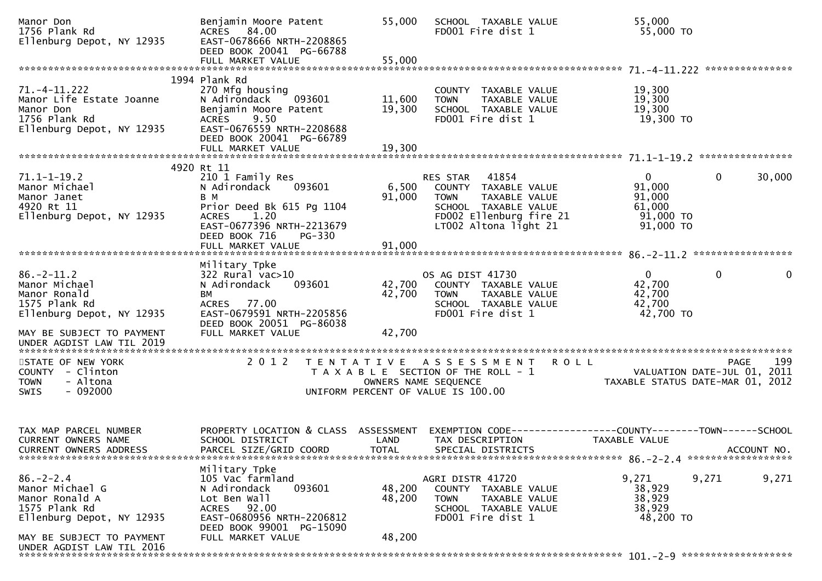| Manor Don<br>1756 Plank Rd<br>Ellenburg Depot, NY 12935                                                                         | Benjamin Moore Patent<br>ACRES 84.00<br>EAST-0678666 NRTH-2208865<br>DEED BOOK 20041 PG-66788<br>FULL MARKET VALUE                                                       | 55,000<br>55,000           | SCHOOL TAXABLE VALUE<br>FD001 Fire dist 1                                                                                                             | 55,000<br>55,000 TO                                                           |                                            |
|---------------------------------------------------------------------------------------------------------------------------------|--------------------------------------------------------------------------------------------------------------------------------------------------------------------------|----------------------------|-------------------------------------------------------------------------------------------------------------------------------------------------------|-------------------------------------------------------------------------------|--------------------------------------------|
|                                                                                                                                 |                                                                                                                                                                          |                            |                                                                                                                                                       |                                                                               |                                            |
| $71. - 4 - 11.222$<br>Manor Life Estate Joanne<br>Manor Don<br>1756 Plank Rd<br>Ellenburg Depot, NY 12935                       | 1994 Plank Rd<br>270 Mfg housing<br>N Adirondack<br>093601<br>Benjamin Moore Patent<br>9.50<br><b>ACRES</b><br>EAST-0676559 NRTH-2208688<br>DEED BOOK 20041 PG-66789     | 11,600<br>19,300           | COUNTY TAXABLE VALUE<br>TAXABLE VALUE<br><b>TOWN</b><br>SCHOOL TAXABLE VALUE<br>FD001 Fire dist 1                                                     | 19,300<br>19,300<br>19,300<br>19,300 TO                                       |                                            |
|                                                                                                                                 | FULL MARKET VALUE                                                                                                                                                        | 19,300                     |                                                                                                                                                       |                                                                               |                                            |
| $71.1 - 1 - 19.2$<br>Manor Michael<br>Manor Janet<br>4920 Rt 11<br>Ellenburg Depot, NY 12935                                    | 4920 Rt 11<br>210 1 Family Res<br>N Adirondack<br>093601<br>B M<br>Prior Deed Bk 615 Pg 1104<br>ACRES 1.20<br>EAST-0677396 NRTH-2213679<br>DEED BOOK 716<br>PG-330       | 6,500<br>91,000            | 41854<br>RES STAR<br>COUNTY TAXABLE VALUE<br>TAXABLE VALUE<br><b>TOWN</b><br>SCHOOL TAXABLE VALUE<br>FD002 Ellenburg fire 21<br>LT002 Altona light 21 | $\mathbf{0}$<br>91,000<br>91,000<br>61,000<br>91,000 TO<br>91,000 TO          | $\mathbf{0}$<br>30,000                     |
|                                                                                                                                 | FULL MARKET VALUE                                                                                                                                                        | 91,000                     |                                                                                                                                                       |                                                                               |                                            |
| $86. - 2 - 11.2$<br>Manor Michael<br>Manor Ronald<br>1575 Plank Rd<br>Ellenburg Depot, NY 12935                                 | Military Tpke<br>$322$ Rural vac $>10$<br>093601<br>N Adirondack<br><b>BM</b><br>ACRES 77.00<br>EAST-0679591 NRTH-2205856<br>DEED BOOK 20051 PG-86038                    | 42,700<br>42,700           | OS AG DIST 41730<br>COUNTY TAXABLE VALUE<br><b>TOWN</b><br>TAXABLE VALUE<br>SCHOOL TAXABLE VALUE<br>FD001 Fire dist 1                                 | $\overline{0}$<br>42,700<br>42,700<br>42,700<br>42,700 TO                     | $\Omega$<br>$\mathbf{0}$                   |
| MAY BE SUBJECT TO PAYMENT<br>UNDER AGDIST LAW TIL 2019                                                                          | FULL MARKET VALUE                                                                                                                                                        | 42,700                     |                                                                                                                                                       |                                                                               |                                            |
| STATE OF NEW YORK<br>COUNTY - Clinton<br>- Altona<br><b>TOWN</b><br>$-092000$<br><b>SWIS</b>                                    | 2 0 1 2                                                                                                                                                                  |                            | TENTATIVE ASSESSMENT ROLL<br>T A X A B L E SECTION OF THE ROLL - 1<br>OWNERS NAME SEQUENCE<br>UNIFORM PERCENT OF VALUE IS 100.00                      | TAXABLE STATUS DATE-MAR 01, 2012                                              | 199<br>PAGE<br>VALUATION DATE-JUL 01, 2011 |
| TAX MAP PARCEL NUMBER<br><b>CURRENT OWNERS NAME</b>                                                                             | PROPERTY LOCATION & CLASS ASSESSMENT<br>SCHOOL DISTRICT                                                                                                                  | LAND                       | TAX DESCRIPTION                                                                                                                                       | EXEMPTION CODE-----------------COUNTY-------TOWN------SCHOOL<br>TAXABLE VALUE |                                            |
| $86. - 2 - 2.4$<br>Manor Michael G<br>Manor Ronald A<br>1575 Plank Rd<br>Ellenburg Depot, NY 12935<br>MAY BE SUBJECT TO PAYMENT | Military Tpke<br>105 Vac farmland<br>093601<br>N Adirondack<br>Lot Ben Wall<br>ACRES 92.00<br>EAST-0680956 NRTH-2206812<br>DEED BOOK 99001 PG-15090<br>FULL MARKET VALUE | 48,200<br>48,200<br>48,200 | AGRI DISTR 41720<br>COUNTY TAXABLE VALUE<br><b>TOWN</b><br>TAXABLE VALUE<br>SCHOOL TAXABLE VALUE<br>FD001 Fire dist 1                                 | 9,271<br>38,929<br>38,929<br>38,929<br>48,200 TO                              | 9,271<br>9,271                             |
| UNDER AGDIST LAW TIL 2016                                                                                                       |                                                                                                                                                                          |                            |                                                                                                                                                       |                                                                               |                                            |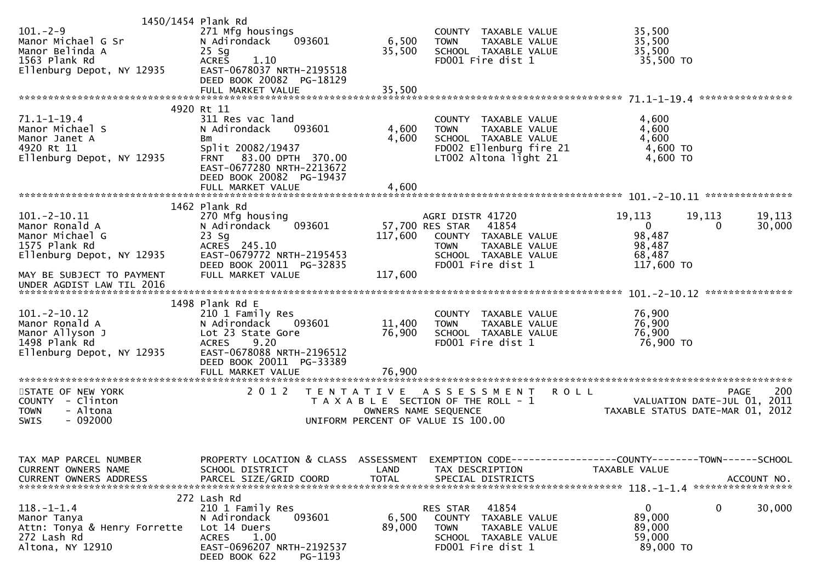| 1450/1454 Plank Rd<br>$101. - 2 - 9$<br>Manor Michael G Sr<br>Manor Belinda A<br>1563 Plank Rd<br>Ellenburg Depot, NY 12935 | 271 Mfg housings<br>N Adirondack<br>093601<br>$25$ Sg<br><b>ACRES</b><br>1.10<br>EAST-0678037 NRTH-2195518<br>DEED BOOK 20082 PG-18129                                        | 6,500<br>35,500                           | COUNTY TAXABLE VALUE<br>TAXABLE VALUE<br><b>TOWN</b><br>SCHOOL TAXABLE VALUE<br>FD001 Fire dist 1                                                 | 35,500<br>35,500<br>35,500<br>35,500 TO                                        |                                                   |
|-----------------------------------------------------------------------------------------------------------------------------|-------------------------------------------------------------------------------------------------------------------------------------------------------------------------------|-------------------------------------------|---------------------------------------------------------------------------------------------------------------------------------------------------|--------------------------------------------------------------------------------|---------------------------------------------------|
|                                                                                                                             | 4920 Rt 11                                                                                                                                                                    |                                           |                                                                                                                                                   |                                                                                |                                                   |
| $71.1 - 1 - 19.4$<br>Manor Michael S<br>Manor Janet A<br>4920 Rt 11<br>Ellenburg Depot, NY 12935                            | 311 Res vac land<br>N Adirondack<br>093601<br>Bm<br>Split 20082/19437<br>FRNT 83.00 DPTH 370.00<br>EAST-0677280 NRTH-2213672<br>DEED BOOK 20082 PG-19437<br>FULL MARKET VALUE | 4,600<br>4,600<br>4,600                   | COUNTY TAXABLE VALUE<br><b>TOWN</b><br>TAXABLE VALUE<br>SCHOOL TAXABLE VALUE<br>FD002 Ellenburg fire 21<br>LT002 Altona light 21                  | 4,600<br>4,600<br>4,600<br>4,600 TO<br>4,600 TO                                |                                                   |
|                                                                                                                             | 1462 Plank Rd                                                                                                                                                                 |                                           |                                                                                                                                                   |                                                                                |                                                   |
| $101. - 2 - 10.11$<br>Manor Ronald A<br>Manor Michael G<br>1575 Plank Rd<br>Ellenburg Depot, NY 12935                       | 270 Mfg housing<br>093601<br>N Adirondack<br>$23$ Sg<br>ACRES 245.10<br>EAST-0679772 NRTH-2195453<br>DEED BOOK 20011 PG-32835                                                 | 117,600                                   | AGRI DISTR 41720<br>57,700 RES STAR<br>41854<br>COUNTY TAXABLE VALUE<br><b>TOWN</b><br>TAXABLE VALUE<br>SCHOOL TAXABLE VALUE<br>FD001 Fire dist 1 | 19,113<br>19,113<br>$\overline{0}$<br>98,487<br>98,487<br>68,487<br>117,600 TO | 19,113<br>0<br>30,000                             |
| MAY BE SUBJECT TO PAYMENT<br>UNDER AGDIST LAW TIL 2016                                                                      | FULL MARKET VALUE                                                                                                                                                             | 117,600                                   |                                                                                                                                                   |                                                                                |                                                   |
|                                                                                                                             |                                                                                                                                                                               |                                           |                                                                                                                                                   |                                                                                |                                                   |
| $101. - 2 - 10.12$<br>Manor Ronald A<br>Manor Allyson J<br>1498 Plank Rd<br>Ellenburg Depot, NY 12935                       | 1498 Plank Rd E<br>210 1 Family Res<br>N Adirondack<br>093601<br>Lot 23 State Gore<br><b>ACRES</b><br>9.20<br>EAST-0678088 NRTH-2196512<br>DEED BOOK 20011 PG-33389           | 11,400<br>76,900                          | COUNTY TAXABLE VALUE<br><b>TOWN</b><br>TAXABLE VALUE<br>SCHOOL TAXABLE VALUE<br>FD001 Fire dist 1                                                 | 76,900<br>76,900<br>76,900<br>76,900 TO                                        |                                                   |
|                                                                                                                             | FULL MARKET VALUE                                                                                                                                                             | 76,900                                    |                                                                                                                                                   |                                                                                |                                                   |
| STATE OF NEW YORK<br>COUNTY - Clinton<br>- Altona<br><b>TOWN</b><br>$-092000$<br><b>SWIS</b>                                | 2 0 1 2                                                                                                                                                                       | T E N T A T I V E<br>OWNERS NAME SEQUENCE | A S S E S S M E N T<br>T A X A B L E SECTION OF THE ROLL - 1<br>UNIFORM PERCENT OF VALUE IS 100.00                                                | <b>ROLL</b><br>TAXABLE STATUS DATE-MAR 01, 2012                                | 200<br><b>PAGE</b><br>VALUATION DATE-JUL 01, 2011 |
| TAX MAP PARCEL NUMBER<br><b>CURRENT OWNERS NAME</b><br><b>CURRENT OWNERS ADDRESS</b>                                        | PROPERTY LOCATION & CLASS ASSESSMENT<br>SCHOOL DISTRICT<br>PARCEL SIZE/GRID COORD                                                                                             | LAND<br><b>TOTAL</b>                      | TAX DESCRIPTION<br>SPECIAL DISTRICTS                                                                                                              | EXEMPTION CODE-----------------COUNTY-------TOWN------SCHOOL<br>TAXABLE VALUE  | ACCOUNT NO.                                       |
| $118.-1-1.4$<br>Manor Tanya<br>Attn: Tonya & Henry Forrette<br>272 Lash Rd<br>Altona, NY 12910                              | 272 Lash Rd<br>210 1 Family Res<br>093601<br>N Adirondack<br>Lot 14 Duers<br>ACRES 1.00<br>EAST-0696207 NRTH-2192537<br>DEED BOOK 622<br>PG-1193                              | 6,500<br>89,000                           | 41854<br>RES STAR<br>COUNTY TAXABLE VALUE<br>TAXABLE VALUE<br><b>TOWN</b><br>SCHOOL TAXABLE VALUE<br>FD001 Fire dist 1                            | $\mathbf{0}$<br>89,000<br>89,000<br>59,000<br>89,000 TO                        | 0<br>30,000                                       |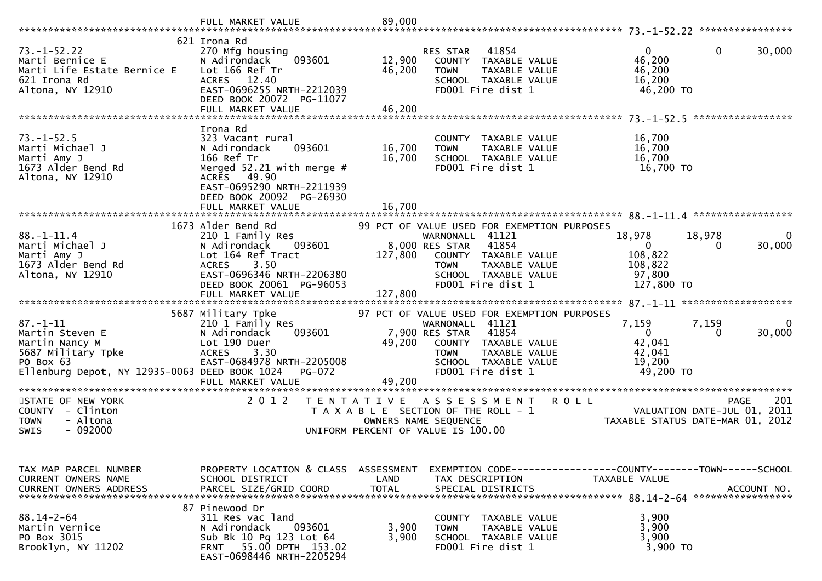|                                                                                                                                         | FULL MARKET VALUE                                                                                                                                                                                | 89,000                                    |                                                                                                                                                                                                |                                                                        |                                                                                |
|-----------------------------------------------------------------------------------------------------------------------------------------|--------------------------------------------------------------------------------------------------------------------------------------------------------------------------------------------------|-------------------------------------------|------------------------------------------------------------------------------------------------------------------------------------------------------------------------------------------------|------------------------------------------------------------------------|--------------------------------------------------------------------------------|
| $73. - 1 - 52.22$<br>Marti Bernice E<br>Marti Life Estate Bernice E<br>621 Irona Rd<br>Altona, NY 12910                                 | 621 Irona Rd<br>270 Mfg housing<br>N Adirondack<br>093601<br>Lot 166 Ref Tr<br><b>ACRES</b><br>12.40<br>EAST-0696255 NRTH-2212039<br>DEED BOOK 20072 PG-11077<br>FULL MARKET VALUE               | 12,900<br>46,200<br>46,200                | 41854<br>RES STAR<br>COUNTY TAXABLE VALUE<br><b>TOWN</b><br>TAXABLE VALUE<br>SCHOOL TAXABLE VALUE<br>FD001 Fire dist 1                                                                         | $\Omega$<br>46,200<br>46,200<br>16,200<br>46,200 TO                    | $\mathbf 0$<br>30,000                                                          |
| $73. - 1 - 52.5$<br>Marti Michael J<br>Marti Amy J<br>1673 Alder Bend Rd<br>Altona, NY 12910                                            | Irona Rd<br>323 Vacant rural<br>N Adirondack<br>093601<br>166 Ref Tr<br>Merged $52.21$ with merge #<br>ACRES 49.90<br>EAST-0695290 NRTH-2211939<br>DEED BOOK 20092 PG-26930<br>FULL MARKET VALUE | 16,700<br>16,700<br>16,700                | COUNTY TAXABLE VALUE<br>TAXABLE VALUE<br><b>TOWN</b><br>SCHOOL TAXABLE VALUE<br>FD001 Fire dist 1                                                                                              | 16,700<br>16,700<br>16,700<br>16,700 TO                                |                                                                                |
| $88. - 1 - 11.4$<br>Marti Michael J<br>Marti Amy J<br>1673 Alder Bend Rd<br>Altona, NY 12910                                            | 1673 Alder Bend Rd<br>210 1 Family Res<br>N Adirondack<br>093601<br>Lot 164 Ref Tract<br>3.50<br><b>ACRES</b><br>EAST-0696346 NRTH-2206380<br>DEED BOOK 20061 PG-96053                           | 127,800                                   | 99 PCT OF VALUE USED FOR EXEMPTION PURPOSES<br>WARNONALL 41121<br>8,000 RES STAR<br>41854<br>COUNTY TAXABLE VALUE<br>TAXABLE VALUE<br><b>TOWN</b><br>SCHOOL TAXABLE VALUE<br>FD001 Fire dist 1 | 18,978<br>$\overline{0}$<br>108,822<br>108,822<br>97,800<br>127,800 TO | 18,978<br>30,000<br>0                                                          |
| $87. - 1 - 11$<br>Martin Steven E<br>Martin Nancy M<br>5687 Military Tpke<br>PO Box 63<br>Ellenburg Depot, NY 12935-0063 DEED BOOK 1024 | 5687 Military Tpke<br>210 1 Family Res<br>093601<br>N Adirondack<br>Lot 190 Duer<br>3.30<br><b>ACRES</b><br>EAST-0684978 NRTH-2205008<br><b>PG-072</b><br>FULL MARKET VALUE                      | 49,200<br>49,200                          | 97 PCT OF VALUE USED FOR EXEMPTION PURPOSES<br>WARNONALL 41121<br>41854<br>7,900 RES STAR<br>COUNTY TAXABLE VALUE<br>TAXABLE VALUE<br><b>TOWN</b><br>SCHOOL TAXABLE VALUE<br>FD001 Fire dist 1 | 7,159<br>$\mathbf{0}$<br>42,041<br>42,041<br>19,200<br>49,200 TO       | 7,159<br>30,000<br>0                                                           |
| STATE OF NEW YORK<br>COUNTY - Clinton<br>- Altona<br><b>TOWN</b><br>$-092000$<br><b>SWIS</b>                                            | 2 0 1 2                                                                                                                                                                                          | T E N T A T I V E<br>OWNERS NAME SEQUENCE | A S S E S S M E N T<br>T A X A B L E SECTION OF THE ROLL - 1<br>UNIFORM PERCENT OF VALUE IS 100.00                                                                                             | <b>ROLL</b>                                                            | 201<br>PAGE<br>VALUATION DATE-JUL 01, 2011<br>TAXABLE STATUS DATE-MAR 01, 2012 |
| TAX MAP PARCEL NUMBER<br>CURRENT OWNERS NAME<br><b>CURRENT OWNERS ADDRESS</b>                                                           | PROPERTY LOCATION & CLASS ASSESSMENT<br>SCHOOL DISTRICT<br>PARCEL SIZE/GRID COORD                                                                                                                | LAND<br><b>TOTAL</b>                      | EXEMPTION        CODE-----------------COUNTY-------TOWN------SCHOOL<br>TAX DESCRIPTION<br>SPECIAL DISTRICTS                                                                                    | TAXABLE VALUE                                                          | ACCOUNT NO.                                                                    |
| $88.14 - 2 - 64$<br>Martin Vernice<br>PO Box 3015<br>Brooklyn, NY 11202                                                                 | 87 Pinewood Dr<br>311 Res vac land<br>093601<br>N Adirondack<br>Sub Bk 10 Pg 123 Lot 64<br>FRNT 55.00 DPTH 153.02<br>EAST-0698446 NRTH-2205294                                                   | 3,900<br>3,900                            | COUNTY TAXABLE VALUE<br><b>TOWN</b><br>TAXABLE VALUE<br>SCHOOL TAXABLE VALUE<br>FD001 Fire dist 1                                                                                              | 3,900<br>3,900<br>3,900<br>3,900 TO                                    |                                                                                |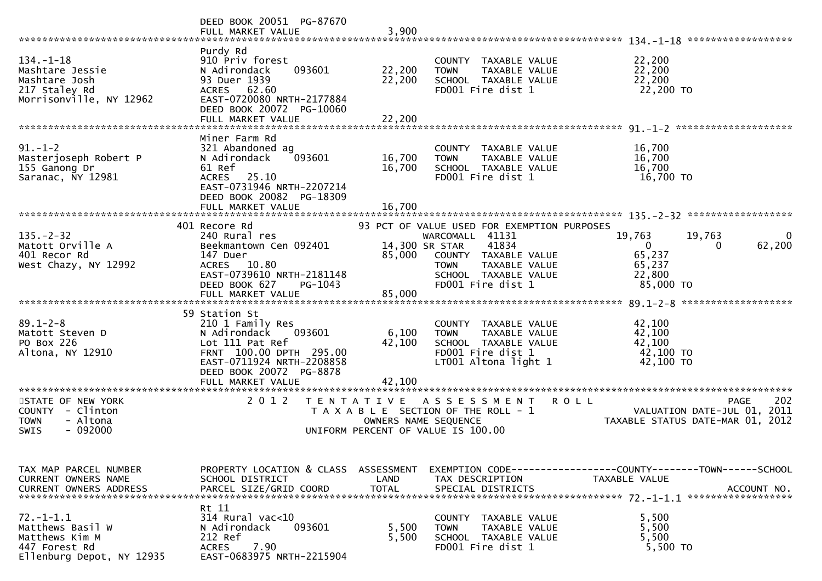|                                                                                                     | DEED BOOK 20051 PG-87670<br>FULL MARKET VALUE                                                                                                                                          | 3,900                                     |                                                                                                                                                                              |                                                                                                             |
|-----------------------------------------------------------------------------------------------------|----------------------------------------------------------------------------------------------------------------------------------------------------------------------------------------|-------------------------------------------|------------------------------------------------------------------------------------------------------------------------------------------------------------------------------|-------------------------------------------------------------------------------------------------------------|
| $134. - 1 - 18$<br>Mashtare Jessie<br>Mashtare Josh<br>217 Staley Rd<br>Morrisonville, NY 12962     | Purdy Rd<br>910 Priv forest<br>N Adirondack<br>093601<br>93 Duer 1939<br>ACRES 62.60<br>EAST-0720080 NRTH-2177884<br>DEED BOOK 20072 PG-10060<br>FULL MARKET VALUE                     | 22,200<br>22,200<br>22,200                | COUNTY TAXABLE VALUE<br><b>TOWN</b><br><b>TAXABLE VALUE</b><br>SCHOOL TAXABLE VALUE<br>FD001 Fire dist 1                                                                     | 22,200<br>22,200<br>22,200<br>22,200 TO                                                                     |
| $91. - 1 - 2$<br>Masterjoseph Robert P<br>155 Ganong Dr<br>Saranac, NY 12981                        | Miner Farm Rd<br>321 Abandoned ag<br>093601<br>N Adirondack<br>61 Ref<br>25.10<br><b>ACRES</b><br>EAST-0731946 NRTH-2207214<br>DEED BOOK 20082 PG-18309<br>FULL MARKET VALUE           | 16,700<br>16,700<br>16,700                | COUNTY TAXABLE VALUE<br><b>TOWN</b><br><b>TAXABLE VALUE</b><br>SCHOOL TAXABLE VALUE<br>FD001 Fire dist 1                                                                     | 16,700<br>16,700<br>16,700<br>16,700 TO                                                                     |
| $135. - 2 - 32$<br>Matott Orville A<br>401 Recor Rd<br>West Chazy, NY 12992                         | 401 Recore Rd<br>240 Rural res<br>Beekmantown Cen 092401<br>147 Duer<br>ACRES 10.80<br>EAST-0739610 NRTH-2181148<br>DEED BOOK 627<br>PG-1043<br>FULL MARKET VALUE                      | 14,300 SR STAR<br>85,000<br>85,000        | 93 PCT OF VALUE USED FOR EXEMPTION PURPOSES<br>WARCOMALL 41131<br>41834<br>COUNTY TAXABLE VALUE<br>TAXABLE VALUE<br><b>TOWN</b><br>SCHOOL TAXABLE VALUE<br>FD001 Fire dist 1 | 19,763<br>19,763<br>0<br>62,200<br>0<br>0<br>65,237<br>65,237<br>22,800<br>85,000 TO<br>******************* |
| $89.1 - 2 - 8$<br>Matott Steven D<br>PO Box 226<br>Altona, NY 12910                                 | 59 Station St<br>210 1 Family Res<br>N Adirondack<br>093601<br>Lot 111 Pat Ref<br>FRNT 100.00 DPTH 295.00<br>EAST-0711924 NRTH-2208858<br>DEED BOOK 20072 PG-8878<br>FULL MARKET VALUE | 6,100<br>42,100<br>42,100                 | COUNTY TAXABLE VALUE<br><b>TOWN</b><br>TAXABLE VALUE<br>SCHOOL TAXABLE VALUE<br>FD001 Fire dist 1<br>LT001 Altona light 1                                                    | 42,100<br>42,100<br>42,100<br>42,100 TO<br>42,100 TO                                                        |
| STATE OF NEW YORK<br><b>COUNTY</b><br>- Clinton<br>- Altona<br><b>TOWN</b><br>$-092000$<br>SWIS     | *****************<br>2 0 1 2                                                                                                                                                           | T E N T A T I V E<br>OWNERS NAME SEQUENCE | A S S E S S M E N T<br>T A X A B L E SECTION OF THE ROLL - 1<br>UNIFORM PERCENT OF VALUE IS 100.00                                                                           | 202<br><b>ROLL</b><br><b>PAGE</b><br>VALUATION DATE-JUL 01, 2011<br>TAXABLE STATUS DATE-MAR 01, 2012        |
| TAX MAP PARCEL NUMBER<br>CURRENT OWNERS NAME<br><b>CURRENT OWNERS ADDRESS</b>                       | PROPERTY LOCATION & CLASS<br>SCHOOL DISTRICT<br>PARCEL SIZE/GRID COORD                                                                                                                 | ASSESSMENT<br>LAND<br><b>TOTAL</b>        | TAX DESCRIPTION<br>SPECIAL DISTRICTS                                                                                                                                         | EXEMPTION CODE------------------COUNTY--------TOWN------SCHOOL<br>TAXABLE VALUE<br>ACCOUNT NO.              |
| $72. - 1 - 1.1$<br>Matthews Basil W<br>Matthews Kim M<br>447 Forest Rd<br>Ellenburg Depot, NY 12935 | Rt 11<br>$314$ Rural vac<10<br>093601<br>N Adirondack<br>212 Ref<br>7.90<br>ACRES<br>EAST-0683975 NRTH-2215904                                                                         | 5,500<br>5,500                            | COUNTY TAXABLE VALUE<br>TAXABLE VALUE<br><b>TOWN</b><br>SCHOOL TAXABLE VALUE<br>FD001 Fire dist 1                                                                            | 5,500<br>5,500<br>5,500<br>5,500 TO                                                                         |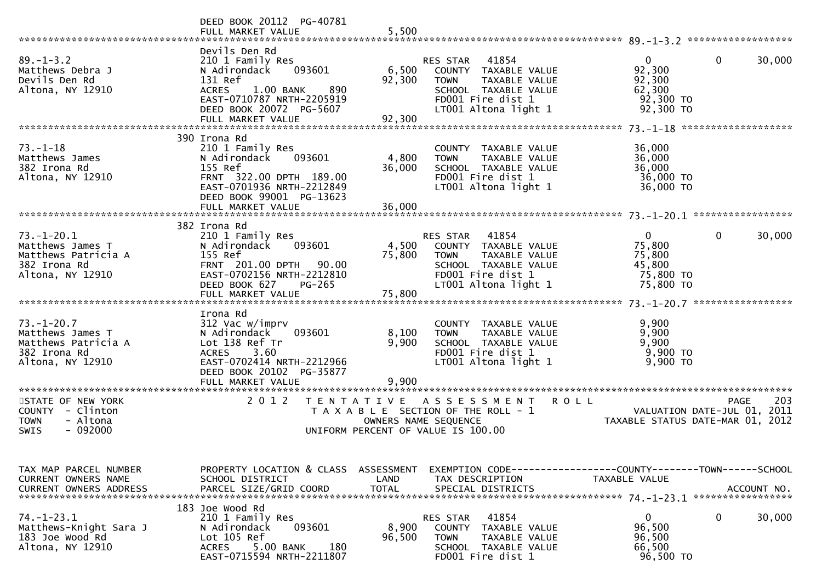|                                                     | DEED BOOK 20112 PG-40781                                      |                      |                                           |                                                                 |
|-----------------------------------------------------|---------------------------------------------------------------|----------------------|-------------------------------------------|-----------------------------------------------------------------|
|                                                     | FULL MARKET VALUE                                             | 5,500                |                                           |                                                                 |
|                                                     |                                                               |                      |                                           |                                                                 |
|                                                     | Devils Den Rd                                                 |                      |                                           |                                                                 |
| $89. - 1 - 3.2$                                     | 210 1 Family Res                                              |                      | 41854<br>RES STAR                         | $\overline{0}$<br>$\Omega$<br>30,000                            |
| Matthews Debra J                                    | N Adirondack<br>093601<br>131 Ref                             | 6,500                | COUNTY TAXABLE VALUE                      | 92,300                                                          |
| Devils Den Rd                                       |                                                               | 92,300               | <b>TOWN</b><br>TAXABLE VALUE              | 92,300                                                          |
| Altona, NY 12910                                    | 1.00 BANK<br>890<br><b>ACRES</b><br>EAST-0710787 NRTH-2205919 |                      | SCHOOL TAXABLE VALUE<br>FD001 Fire dist 1 | 62,300<br>$92,300$ TO                                           |
|                                                     | DEED BOOK 20072 PG-5607                                       |                      | LT001 Altona light 1                      | 92,300 TO                                                       |
|                                                     | FULL MARKET VALUE                                             | 92,300               |                                           |                                                                 |
|                                                     |                                                               |                      |                                           |                                                                 |
|                                                     | 390 Irona Rd                                                  |                      |                                           |                                                                 |
| $73. - 1 - 18$                                      | 210 1 Family Res                                              |                      | COUNTY TAXABLE VALUE                      | 36,000                                                          |
| Matthews James                                      | 093601<br>N Adirondack                                        | 4,800                | <b>TOWN</b><br>TAXABLE VALUE              | 36,000                                                          |
| 382 Irona Rd                                        | 155 Ref                                                       | 36,000               | SCHOOL TAXABLE VALUE                      | 36,000                                                          |
| Altona, NY 12910                                    | FRNT 322.00 DPTH 189.00                                       |                      | FD001 Fire dist 1                         | 36,000 TO                                                       |
|                                                     | EAST-0701936 NRTH-2212849                                     |                      | LT001 Altona light 1                      | 36,000 TO                                                       |
|                                                     | DEED BOOK 99001 PG-13623                                      |                      |                                           |                                                                 |
|                                                     |                                                               |                      |                                           |                                                                 |
|                                                     |                                                               |                      |                                           |                                                                 |
|                                                     | 382 Irona Rd                                                  |                      |                                           |                                                                 |
| $73. - 1 - 20.1$                                    | 210 1 Family Res                                              |                      | 41854<br>RES STAR                         | $\overline{0}$<br>$\mathbf{0}$<br>30,000                        |
| Matthews James T                                    | 093601<br>N Adirondack                                        | 4,500                | COUNTY TAXABLE VALUE                      | 75,800                                                          |
| Matthews Patricia A                                 | 155 Ref                                                       | 75,800               | <b>TOWN</b><br>TAXABLE VALUE              | 75,800                                                          |
| 382 Irona Rd                                        | FRNT 201.00 DPTH 90.00                                        |                      | SCHOOL TAXABLE VALUE                      | 45,800                                                          |
| Altona, NY 12910                                    | EAST-0702156 NRTH-2212810                                     |                      | FD001 Fire dist 1                         | 75,800 TO                                                       |
|                                                     | PG-265<br>DEED BOOK 627                                       |                      | LT001 Altona light 1                      | 75,800 TO                                                       |
|                                                     |                                                               |                      |                                           |                                                                 |
|                                                     |                                                               |                      |                                           |                                                                 |
|                                                     |                                                               |                      |                                           |                                                                 |
|                                                     | Irona Rd                                                      |                      |                                           |                                                                 |
| $73. - 1 - 20.7$                                    | 312 Vac w/imprv                                               |                      | COUNTY TAXABLE VALUE                      | 9,900                                                           |
| Matthews James T                                    | 093601<br>N Adirondack                                        | 8,100                | TAXABLE VALUE<br><b>TOWN</b>              | 9,900                                                           |
| Matthews Patricia A                                 | Lot 138 Ref Tr                                                | 9,900                | SCHOOL TAXABLE VALUE                      | 9,900                                                           |
| 382 Irona Rd                                        | 3.60<br><b>ACRES</b>                                          |                      | FD001 Fire dist 1                         | 9,900 TO                                                        |
| Altona, NY 12910                                    | EAST-0702414 NRTH-2212966                                     |                      | LT001 Altona light 1                      | 9,900 TO                                                        |
|                                                     | DEED BOOK 20102 PG-35877                                      |                      |                                           |                                                                 |
|                                                     | FULL MARKET VALUE                                             | 9,900                |                                           |                                                                 |
|                                                     |                                                               |                      |                                           |                                                                 |
| STATE OF NEW YORK                                   | 2 0 1 2<br>T E N T A T I V E                                  |                      | A S S E S S M E N T                       | 203<br><b>ROLL</b><br>PAGE                                      |
| COUNTY - Clinton                                    |                                                               |                      | T A X A B L E SECTION OF THE ROLL - 1     |                                                                 |
| - Altona<br><b>TOWN</b><br>$-092000$<br><b>SWIS</b> |                                                               | OWNERS NAME SEQUENCE | UNIFORM PERCENT OF VALUE IS 100.00        | VALUATION DATE-JUL 01, 2011<br>TAXABLE STATUS DATE-MAR 01, 2012 |
|                                                     |                                                               |                      |                                           |                                                                 |
|                                                     |                                                               |                      |                                           |                                                                 |
|                                                     |                                                               |                      |                                           |                                                                 |
| TAX MAP PARCEL NUMBER                               | PROPERTY LOCATION & CLASS ASSESSMENT                          |                      |                                           | EXEMPTION CODE------------------COUNTY--------TOWN------SCHOOL  |
| CURRENT OWNERS NAME                                 | SCHOOL DISTRICT                                               | LAND                 | TAX DESCRIPTION                           | TAXABLE VALUE                                                   |
| <b>CURRENT OWNERS ADDRESS</b>                       | PARCEL SIZE/GRID COORD                                        | <b>TOTAL</b>         | SPECIAL DISTRICTS                         | ACCOUNT NO.                                                     |
|                                                     |                                                               |                      |                                           |                                                                 |
|                                                     | 183 Joe Wood Rd                                               |                      |                                           |                                                                 |
| $74. - 1 - 23.1$                                    | 210 1 Family Res                                              |                      | 41854<br>RES STAR                         | $\mathbf 0$<br>30,000<br>0                                      |
| Matthews-Knight Sara J                              | 093601<br>N Adirondack                                        | 8,900                | COUNTY TAXABLE VALUE                      | 96,500                                                          |
| 183 Joe Wood Rd                                     | Lot 105 Ref                                                   | 96,500               | <b>TOWN</b><br>TAXABLE VALUE              | 96,500                                                          |
| Altona, NY 12910                                    | 5.00 BANK<br>180<br><b>ACRES</b><br>EAST-0715594 NRTH-2211807 |                      | SCHOOL TAXABLE VALUE<br>FD001 Fire dist 1 | 66,500<br>96,500 TO                                             |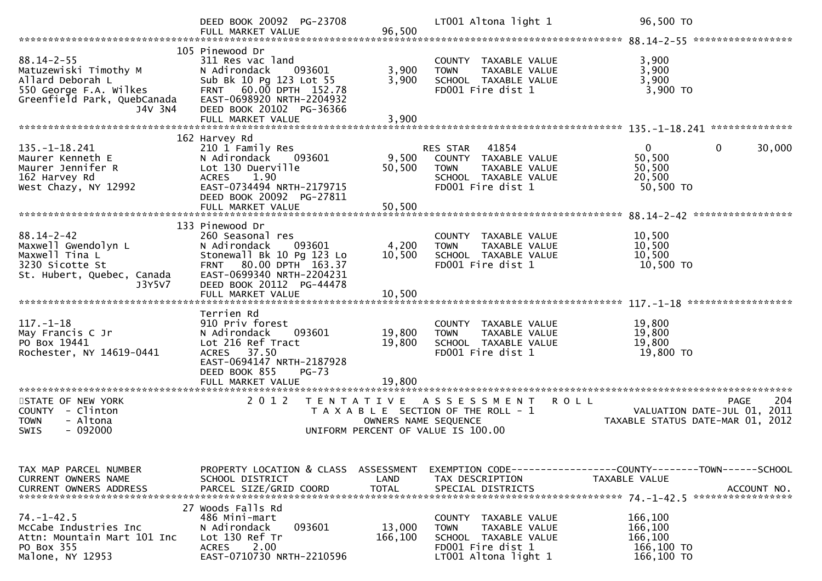|                                                                                                                                   | DEED BOOK 20092 PG-23708<br>FULL MARKET VALUE                                                                                                                                                    | 96,500                             | LT001 Altona light 1                                                                                                      | 96,500 TO                                                                                    |
|-----------------------------------------------------------------------------------------------------------------------------------|--------------------------------------------------------------------------------------------------------------------------------------------------------------------------------------------------|------------------------------------|---------------------------------------------------------------------------------------------------------------------------|----------------------------------------------------------------------------------------------|
| $88.14 - 2 - 55$<br>Matuzewiski Timothy M<br>Allard Deborah L<br>550 George F.A. Wilkes<br>Greenfield Park, QuebCanada<br>J4V 3N4 | 105 Pinewood Dr<br>311 Res vac land<br>N Adirondack<br>093601<br>Sub Bk 10 Pg 123 Lot 55<br>FRNT 60.00 DPTH 152.78<br>EAST-0698920 NRTH-2204932<br>DEED BOOK 20102 PG-36366<br>FULL MARKET VALUE | 3,900<br>3,900<br>3,900            | COUNTY TAXABLE VALUE<br>TAXABLE VALUE<br><b>TOWN</b><br>SCHOOL TAXABLE VALUE<br>FD001 Fire dist 1                         | 3,900<br>3,900<br>3,900<br>3,900 TO                                                          |
|                                                                                                                                   | 162 Harvey Rd                                                                                                                                                                                    |                                    |                                                                                                                           |                                                                                              |
| $135. - 1 - 18.241$<br>Maurer Kenneth E<br>Maurer Jennifer R<br>162 Harvey Rd<br>West Chazy, NY 12992                             | 210 1 Family Res<br>N Adirondack<br>093601<br>Lot 130 Duerville<br>1.90<br><b>ACRES</b><br>EAST-0734494 NRTH-2179715<br>DEED BOOK 20092 PG-27811                                                 | 9,500<br>50,500                    | RES STAR<br>41854<br>COUNTY TAXABLE VALUE<br>TAXABLE VALUE<br><b>TOWN</b><br>SCHOOL TAXABLE VALUE<br>FD001 Fire dist 1    | $\mathbf{0}$<br>0<br>30,000<br>50,500<br>50,500<br>20,500<br>50,500 TO                       |
|                                                                                                                                   |                                                                                                                                                                                                  |                                    |                                                                                                                           | *****************                                                                            |
| $88.14 - 2 - 42$<br>Maxwell Gwendolyn L<br>Maxwell Tina L<br>3230 Sicotte St<br>St. Hubert, Quebec, Canada<br>J3Y5V7              | 133 Pinewood Dr<br>260 Seasonal res<br>N Adirondack<br>093601<br>Stonewall Bk 10 Pg 123 Lo<br>FRNT 80.00 DPTH 163.37<br>EAST-0699340 NRTH-2204231<br>DEED BOOK 20112 PG-44478                    | 4,200<br>10,500                    | COUNTY TAXABLE VALUE<br><b>TOWN</b><br><b>TAXABLE VALUE</b><br>SCHOOL TAXABLE VALUE<br>FD001 Fire dist 1                  | 10,500<br>10,500<br>10,500<br>10,500 TO                                                      |
|                                                                                                                                   | Terrien Rd                                                                                                                                                                                       |                                    |                                                                                                                           |                                                                                              |
| $117. - 1 - 18$<br>May Francis C Jr<br>PO Box 19441<br>Rochester, NY 14619-0441                                                   | 910 Priv forest<br>N Adirondack<br>093601<br>Lot 216 Ref Tract<br>37.50<br><b>ACRES</b><br>EAST-0694147 NRTH-2187928                                                                             | 19,800<br>19,800                   | COUNTY TAXABLE VALUE<br>TAXABLE VALUE<br><b>TOWN</b><br>SCHOOL TAXABLE VALUE<br>FD001 Fire dist 1                         | 19,800<br>19,800<br>19,800<br>19,800 TO                                                      |
|                                                                                                                                   | DEED BOOK 855<br>$PG-73$                                                                                                                                                                         | 19,800                             |                                                                                                                           |                                                                                              |
| STATE OF NEW YORK<br>COUNTY - Clinton<br><b>TOWN</b><br>- Altona<br>$-092000$<br><b>SWIS</b>                                      | FULL MARKET VALUE<br>*********************<br>2012<br>T E N T A T I V E                                                                                                                          | OWNERS NAME SEQUENCE               | <b>ROLL</b><br>A S S E S S M E N T<br>T A X A B L E SECTION OF THE ROLL - 1<br>UNIFORM PERCENT OF VALUE IS 100.00         | 204<br><b>PAGE</b><br>VALUATION DATE-JUL 01,<br>2011<br>TAXABLE STATUS DATE-MAR 01,<br>-2012 |
|                                                                                                                                   |                                                                                                                                                                                                  |                                    |                                                                                                                           |                                                                                              |
| TAX MAP PARCEL NUMBER<br><b>CURRENT OWNERS NAME</b><br><b>CURRENT OWNERS ADDRESS</b>                                              | PROPERTY LOCATION & CLASS<br>SCHOOL DISTRICT<br>PARCEL SIZE/GRID COORD                                                                                                                           | ASSESSMENT<br>LAND<br><b>TOTAL</b> | TAX DESCRIPTION<br>SPECIAL DISTRICTS                                                                                      | EXEMPTION CODE-----------------COUNTY-------TOWN------SCHOOL<br>TAXABLE VALUE<br>ACCOUNT NO. |
|                                                                                                                                   | 27 Woods Falls Rd                                                                                                                                                                                |                                    |                                                                                                                           |                                                                                              |
| $74. - 1 - 42.5$<br>McCabe Industries Inc<br>Attn: Mountain Mart 101 Inc<br>PO Box 355<br>Malone, NY 12953                        | 486 Mini-mart<br>093601<br>N Adirondack<br>Lot 130 Ref Tr<br>2.00<br><b>ACRES</b><br>EAST-0710730 NRTH-2210596                                                                                   | 13,000<br>166,100                  | COUNTY TAXABLE VALUE<br>TAXABLE VALUE<br><b>TOWN</b><br>SCHOOL TAXABLE VALUE<br>FD001 Fire dist 1<br>LT001 Altona light 1 | 166,100<br>166,100<br>166,100<br>166,100 TO<br>166,100 TO                                    |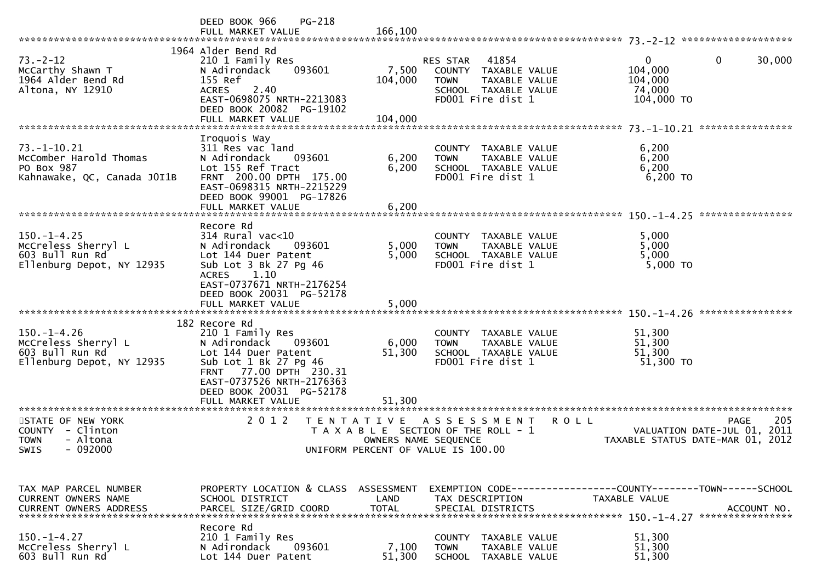|                                                                                                                       | <b>PG-218</b><br>DEED BOOK 966<br>FULL MARKET VALUE                                                                                                                                                                 | 166,100                                                                                                                                               |                                                                       |
|-----------------------------------------------------------------------------------------------------------------------|---------------------------------------------------------------------------------------------------------------------------------------------------------------------------------------------------------------------|-------------------------------------------------------------------------------------------------------------------------------------------------------|-----------------------------------------------------------------------|
| $73 - 2 - 12$<br>McCarthy Shawn T<br>1964 Alder Bend Rd<br>Altona, NY 12910                                           | 1964 Alder Bend Rd<br>210 1 Family Res<br>093601<br>N Adirondack<br>155 Ref<br>2.40<br><b>ACRES</b><br>EAST-0698075 NRTH-2213083<br>DEED BOOK 20082 PG-19102<br>FULL MARKET VALUE                                   | 41854<br>RES STAR<br>7,500<br>COUNTY TAXABLE VALUE<br>104,000<br>TAXABLE VALUE<br><b>TOWN</b><br>SCHOOL TAXABLE VALUE<br>FD001 Fire dist 1<br>104,000 | 30,000<br>0<br>$\bf{0}$<br>104,000<br>104,000<br>74,000<br>104,000 TO |
|                                                                                                                       |                                                                                                                                                                                                                     |                                                                                                                                                       |                                                                       |
| 73. –1–10.21<br>McComber Harold Thomas<br>PO Box 987<br>Kahnawake, QC, Canada JOI1B                                   | Iroquois Way<br>311 Res vac land<br>N Adirondack<br>093601<br>Lot 155 Ref Tract<br>FRNT 200.00 DPTH 175.00<br>EAST-0698315 NRTH-2215229<br>DEED BOOK 99001 PG-17826<br>FULL MARKET VALUE                            | COUNTY TAXABLE VALUE<br>6,200<br><b>TOWN</b><br>TAXABLE VALUE<br>6,200<br>SCHOOL TAXABLE VALUE<br>FD001 Fire dist 1<br>6,200                          | 6,200<br>6,200<br>6,200<br>6,200 TO                                   |
|                                                                                                                       |                                                                                                                                                                                                                     |                                                                                                                                                       |                                                                       |
| $150. - 1 - 4.25$<br>McCreless Sherryl L<br>603 Bull Run Rd<br>Ellenburg Depot, NY 12935                              | Recore Rd<br>$314$ Rural vac<10<br>N Adirondack<br>093601<br>Lot 144 Duer Patent<br>Sub Lot 3 Bk 27 Pg 46<br>1.10<br><b>ACRES</b><br>EAST-0737671 NRTH-2176254<br>DEED BOOK 20031 PG-52178                          | COUNTY TAXABLE VALUE<br>5,000<br>TAXABLE VALUE<br><b>TOWN</b><br>5,000<br>SCHOOL TAXABLE VALUE<br>FD001 Fire dist 1                                   | 5,000<br>5,000<br>5,000<br>5,000 TO                                   |
|                                                                                                                       | FULL MARKET VALUE                                                                                                                                                                                                   | 5,000                                                                                                                                                 | ****************                                                      |
| $150. - 1 - 4.26$<br>McCreless Sherryl L<br>603 Bull Run Rd<br>Ellenburg Depot, NY 12935<br>************************* | 182 Recore Rd<br>210 1 Family Res<br>N Adirondack<br>093601<br>Lot 144 Duer Patent<br>Sub Lot 1 Bk 27 Pg 46<br>FRNT 77.00 DPTH 230.31<br>EAST-0737526 NRTH-2176363<br>DEED BOOK 20031 PG-52178<br>FULL MARKET VALUE | COUNTY TAXABLE VALUE<br>6,000<br><b>TOWN</b><br>TAXABLE VALUE<br>51,300<br>SCHOOL TAXABLE VALUE<br>FD001 Fire dist 1<br>51,300                        | 51,300<br>51,300<br>51,300<br>51,300 TO                               |
| STATE OF NEW YORK                                                                                                     | 2 0 1 2                                                                                                                                                                                                             | <b>ROLL</b><br>T E N T A T I V E<br>A S S E S S M E N T                                                                                               | 205<br><b>PAGE</b>                                                    |
| <b>COUNTY</b><br>- Clinton<br>- Altona<br><b>TOWN</b><br>$-092000$<br><b>SWIS</b>                                     |                                                                                                                                                                                                                     | T A X A B L E SECTION OF THE ROLL - 1<br>OWNERS NAME SEQUENCE<br>UNIFORM PERCENT OF VALUE IS 100.00                                                   | 2011<br>VALUATION DATE-JUL 01,<br>TAXABLE STATUS DATE-MAR 01, 2012    |
| TAX MAP PARCEL NUMBER<br><b>CURRENT OWNERS NAME</b>                                                                   | PROPERTY LOCATION & CLASS ASSESSMENT<br>SCHOOL DISTRICT                                                                                                                                                             | LAND<br>TAX DESCRIPTION                                                                                                                               | TAXABLE VALUE                                                         |
| $150. - 1 - 4.27$<br>McCreless Sherryl L<br>603 Bull Run Rd                                                           | Recore Rd<br>210 1 Family Res<br>N Adirondack<br>093601<br>Lot 144 Duer Patent                                                                                                                                      | COUNTY TAXABLE VALUE<br>7,100<br><b>TOWN</b><br>TAXABLE VALUE<br>51,300<br><b>SCHOOL</b><br>TAXABLE VALUE                                             | 51,300<br>51,300<br>51,300                                            |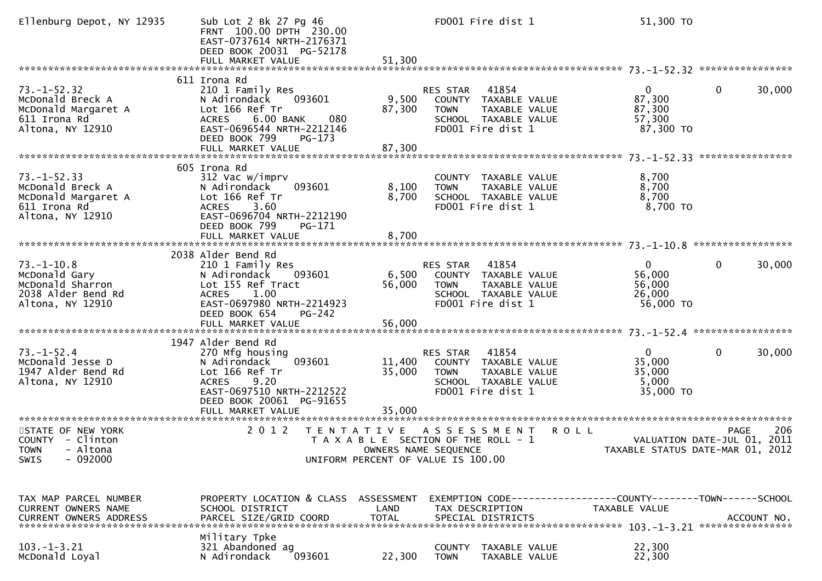| Ellenburg Depot, NY 12935                                                                        | Sub Lot 2 Bk 27 Pg 46<br>FRNT 100.00 DPTH 230.00<br>EAST-0737614 NRTH-2176371<br>DEED BOOK 20031 PG-52178                                                                           |                                                                                                     |                                              | FD001 Fire dist 1                                                                           | 51,300 TO                                                                       |                  |             |
|--------------------------------------------------------------------------------------------------|-------------------------------------------------------------------------------------------------------------------------------------------------------------------------------------|-----------------------------------------------------------------------------------------------------|----------------------------------------------|---------------------------------------------------------------------------------------------|---------------------------------------------------------------------------------|------------------|-------------|
|                                                                                                  |                                                                                                                                                                                     |                                                                                                     |                                              |                                                                                             |                                                                                 |                  |             |
| $73. - 1 - 52.32$<br>McDonald Breck A<br>McDonald Margaret A<br>611 Irona Rd<br>Altona, NY 12910 | 611 Irona Rd<br>210 1 Family Res<br>N Adirondack<br>093601<br>Lot 166 Ref Tr<br>ACRES 6.00 BANK<br>080<br>EAST-0696544 NRTH-2212146<br>DEED BOOK 799<br>PG-173<br>FULL MARKET VALUE | 9,500<br>87,300<br>87,300                                                                           | RES STAR<br><b>TOWN</b>                      | 41854<br>COUNTY TAXABLE VALUE<br>TAXABLE VALUE<br>SCHOOL TAXABLE VALUE<br>FD001 Fire dist 1 | $\mathbf{0}$<br>87,300<br>87,300<br>57,300<br>87,300 TO                         | $\mathbf{0}$     | 30,000      |
|                                                                                                  |                                                                                                                                                                                     |                                                                                                     |                                              |                                                                                             |                                                                                 | **************** |             |
| $73. - 1 - 52.33$<br>McDonald Breck A<br>McDonald Margaret A<br>611 Irona Rd<br>Altona, NY 12910 | 605 Irona Rd<br>312 Vac w/imprv<br>093601<br>N Adirondack<br>Lot 166 Ref Tr<br>ACRES 3.60<br>EAST-0696704 NRTH-2212190<br>DEED BOOK 799<br>$PG-171$<br>FULL MARKET VALUE            | 8,100<br>8,700<br>8,700                                                                             | <b>TOWN</b>                                  | COUNTY TAXABLE VALUE<br>TAXABLE VALUE<br>SCHOOL TAXABLE VALUE<br>FD001 Fire dist 1          | 8,700<br>8,700<br>8,700<br>8,700 TO                                             |                  |             |
|                                                                                                  |                                                                                                                                                                                     |                                                                                                     |                                              |                                                                                             |                                                                                 |                  |             |
| $73. - 1 - 10.8$<br>McDonald Gary<br>McDonald Sharron<br>2038 Alder Bend Rd<br>Altona, NY 12910  | 2038 Alder Bend Rd<br>210 1 Family Res<br>N Adirondack<br>093601<br>Lot 155 Ref Tract<br>ACRES 1.00<br>EAST-0697980 NRTH-2214923<br>DEED BOOK 654<br><b>PG-242</b>                  | 6,500<br>56,000                                                                                     | RES STAR<br><b>TOWN</b><br>FD001 Fire dist 1 | 41854<br>COUNTY TAXABLE VALUE<br>TAXABLE VALUE<br>SCHOOL TAXABLE VALUE                      | $\mathbf{0}$<br>56,000<br>56,000<br>26,000<br>56,000 TO                         | $\mathbf{0}$     | 30,000      |
|                                                                                                  |                                                                                                                                                                                     |                                                                                                     |                                              |                                                                                             |                                                                                 |                  |             |
| $73. - 1 - 52.4$<br>McDonald Jesse D<br>1947 Alder Bend Rd<br>Altona, NY 12910                   | 1947 Alder Bend Rd<br>270 Mfg housing<br>093601<br>N Adirondack<br>Lot 166 Ref Tr<br>ACRES 9.20<br>EAST-0697510 NRTH-2212522<br>DEED BOOK 20061 PG-91655<br>FULL MARKET VALUE       | 11,400<br>35,000<br>35,000                                                                          | RES STAR<br><b>TOWN</b><br>FD001 Fire dist 1 | 41854<br>COUNTY TAXABLE VALUE<br>TAXABLE VALUE<br>SCHOOL TAXABLE VALUE                      | $\mathbf{0}$<br>35,000<br>35,000<br>5,000<br>35,000 TO                          | 0                | 30,000      |
|                                                                                                  |                                                                                                                                                                                     |                                                                                                     |                                              |                                                                                             |                                                                                 |                  |             |
| STATE OF NEW YORK<br>COUNTY - Clinton<br>TOWN - Altona<br>$-092000$<br><b>SWIS</b>               | 2 0 1 2                                                                                                                                                                             | TENTATIVE ASSESSMENT<br>T A X A B L E SECTION OF THE ROLL - 1<br>UNIFORM PERCENT OF VALUE IS 100.00 | OWNERS NAME SEQUENCE                         | <b>ROLL</b>                                                                                 | VALUATION DATE-JUL 01, 2011<br>TAXABLE STATUS DATE-MAR 01, 2012                 | <b>PAGE</b>      | 206         |
| TAX MAP PARCEL NUMBER<br>CURRENT OWNERS NAME                                                     | PROPERTY LOCATION & CLASS ASSESSMENT<br>SCHOOL DISTRICT                                                                                                                             | LAND                                                                                                | TAX DESCRIPTION                              |                                                                                             | EXEMPTION CODE------------------COUNTY--------TOWN------SCHOOL<br>TAXABLE VALUE | **************** | ACCOUNT NO. |
| $103. - 1 - 3.21$<br>McDonald Loyal                                                              | Military Tpke<br>321 Abandoned ag<br>N Adirondack<br>093601                                                                                                                         | 22,300                                                                                              | COUNTY<br><b>TOWN</b>                        | TAXABLE VALUE<br>TAXABLE VALUE                                                              | 22,300<br>22,300                                                                |                  |             |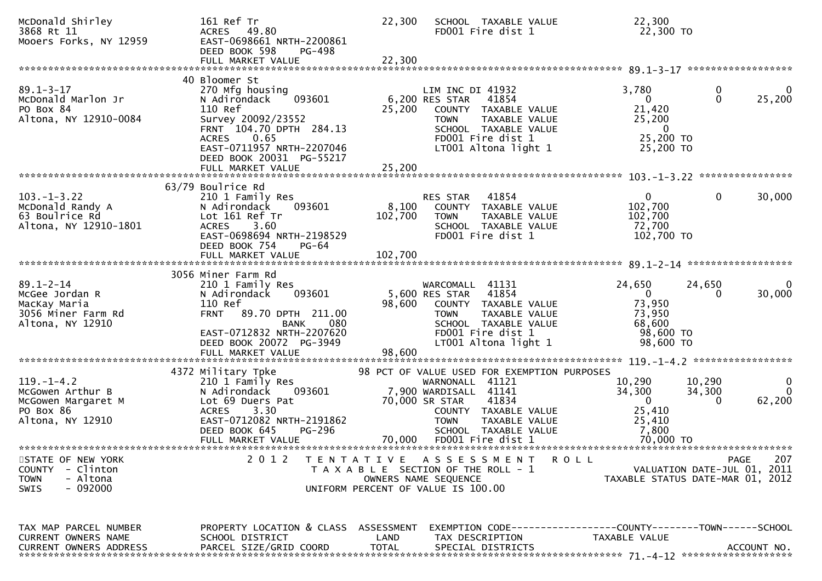| McDonald Shirley<br>3868 Rt 11<br>Mooers Forks, NY 12959                                               | 161 Ref Tr<br>ACRES 49.80<br>EAST-0698661 NRTH-2200861<br>DEED BOOK 598<br>PG-498<br>FULL MARKET VALUE                                                                                                  | 22,300<br>SCHOOL TAXABLE VALUE<br>FD001 Fire dist 1<br>22,300                                                                                                                                      | 22,300<br>22,300 TO                                                                                                          |
|--------------------------------------------------------------------------------------------------------|---------------------------------------------------------------------------------------------------------------------------------------------------------------------------------------------------------|----------------------------------------------------------------------------------------------------------------------------------------------------------------------------------------------------|------------------------------------------------------------------------------------------------------------------------------|
|                                                                                                        |                                                                                                                                                                                                         |                                                                                                                                                                                                    |                                                                                                                              |
| $89.1 - 3 - 17$<br>McDonald Marlon Jr<br>PO Box 84<br>Altona, NY 12910-0084                            | 40 Bloomer St<br>270 Mfg housing<br>093601<br>N Adirondack<br>110 Ref<br>Survey 20092/23552<br>FRNT 104.70 DPTH 284.13<br>0.65<br><b>ACRES</b><br>EAST-0711957 NRTH-2207046<br>DEED BOOK 20031 PG-55217 | LIM INC DI 41932<br>6,200 RES STAR<br>41854<br>25,200<br>COUNTY TAXABLE VALUE<br>TAXABLE VALUE<br><b>TOWN</b><br>SCHOOL TAXABLE VALUE<br>FD001 Fire dist 1<br>LT001 Altona light 1                 | 3,780<br>0<br>0<br>25,200<br>$\Omega$<br>$\Omega$<br>21,420<br>25,200<br>$\mathbf{0}$<br>25,200 TO<br>25,200 TO              |
|                                                                                                        | 63/79 Boulrice Rd                                                                                                                                                                                       |                                                                                                                                                                                                    |                                                                                                                              |
| $103. - 1 - 3.22$<br>McDonald Randy A<br>63 Boulrice Rd<br>Altona, NY 12910-1801                       | 210 1 Family Res<br>N Adirondack<br>093601<br>Lot 161 Ref Tr<br>3.60<br><b>ACRES</b><br>EAST-0698694 NRTH-2198529<br>DEED BOOK 754<br><b>PG-64</b>                                                      | 41854<br>RES STAR<br>8,100<br>COUNTY TAXABLE VALUE<br>102,700<br>TAXABLE VALUE<br><b>TOWN</b><br>SCHOOL TAXABLE VALUE<br>FD001 Fire dist 1                                                         | $\mathbf{0}$<br>$\mathbf 0$<br>30,000<br>102,700<br>102,700<br>72,700<br>102,700 TO                                          |
|                                                                                                        |                                                                                                                                                                                                         |                                                                                                                                                                                                    |                                                                                                                              |
| $89.1 - 2 - 14$<br>McGee Jordan R<br>MacKay Maria<br>3056 Miner Farm Rd<br>Altona, NY 12910            | 3056 Miner Farm Rd<br>210 1 Family Res<br>N Adirondack<br>093601<br>110 Ref<br>FRNT 89.70 DPTH 211.00<br>BANK<br>080<br>EAST-0712832 NRTH-2207620<br>DEED BOOK 20072 PG-3949<br>FULL MARKET VALUE       | WARCOMALL 41131<br>5,600 RES STAR<br>41854<br>98,600<br>COUNTY TAXABLE VALUE<br><b>TOWN</b><br>TAXABLE VALUE<br>SCHOOL TAXABLE VALUE<br>FD001 Fire dist 1<br>LT001 Altona light 1<br>98,600        | 24,650<br>24,650<br>0<br>$\Omega$<br>30,000<br>0<br>73,950<br>73,950<br>68,600<br>98,600 TO<br>98,600 TO                     |
|                                                                                                        |                                                                                                                                                                                                         |                                                                                                                                                                                                    |                                                                                                                              |
| $119. - 1 - 4.2$<br>McGowen Arthur B<br>McGowen Margaret M<br>PO Box 86<br>Altona, NY 12910            | 4372 Military Tpke<br>210 1 Family Res<br>N Adirondack<br>093601<br>Lot 69 Duers Pat<br>3.30<br><b>ACRES</b><br>EAST-0712082 NRTH-2191862<br>DEED BOOK 645<br>PG-296                                    | 98 PCT OF VALUE USED FOR EXEMPTION PURPOSES<br>WARNONALL 41121<br>7,900 WARDISALL 41141<br>70,000 SR STAR<br>41834<br>COUNTY TAXABLE VALUE<br><b>TOWN</b><br>TAXABLE VALUE<br>SCHOOL TAXABLE VALUE | 10,290<br>10,290<br>0<br>34,300<br>34,300<br>$\mathbf{0}$<br>62,200<br>$\mathbf{0}$<br>$\Omega$<br>25,410<br>25,410<br>7,800 |
|                                                                                                        | FULL MARKET VALUE                                                                                                                                                                                       | 70,000<br>FD001 Fire dist 1                                                                                                                                                                        | 70,000 TO                                                                                                                    |
| STATE OF NEW YORK<br><b>COUNTY</b><br>- Clinton<br>- Altona<br><b>TOWN</b><br>$-092000$<br><b>SWIS</b> | 2 0 1 2                                                                                                                                                                                                 | TENTATIVE ASSESSMENT<br>T A X A B L E SECTION OF THE ROLL - 1<br>OWNERS NAME SEQUENCE<br>UNIFORM PERCENT OF VALUE IS 100.00                                                                        | 207<br><b>ROLL</b><br>PAGE<br>VALUATION DATE-JUL 01, 2011<br>TAXABLE STATUS DATE-MAR 01, 2012                                |
| TAX MAP PARCEL NUMBER<br>CURRENT OWNERS NAME<br><b>CURRENT OWNERS ADDRESS</b>                          | PROPERTY LOCATION & CLASS ASSESSMENT<br>SCHOOL DISTRICT<br>PARCEL SIZE/GRID COORD                                                                                                                       | LAND<br>TAX DESCRIPTION<br><b>TOTAL</b><br>SPECIAL DISTRICTS                                                                                                                                       | EXEMPTION CODE-----------------COUNTY-------TOWN------SCHOOL<br>TAXABLE VALUE<br>ACCOUNT NO.                                 |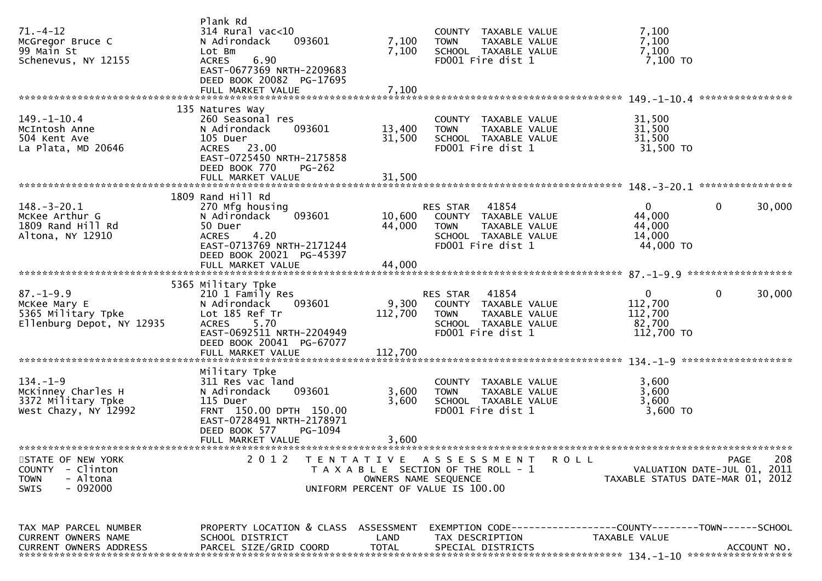| $71. - 4 - 12$<br>McGregor Bruce C<br>99 Main St<br>Schenevus, NY 12155                               | Plank Rd<br>$314$ Rural vac<10<br>093601<br>N Adirondack<br>Lot Bm<br>6.90<br><b>ACRES</b><br>EAST-0677369 NRTH-2209683<br>DEED BOOK 20082 PG-17695                 | 7,100<br>7,100       | COUNTY TAXABLE VALUE<br><b>TOWN</b><br>TAXABLE VALUE<br>SCHOOL TAXABLE VALUE<br>FD001 Fire dist 1                           | 7,100<br>7,100<br>7,100<br>7,100 TO                                           |                                                                                       |
|-------------------------------------------------------------------------------------------------------|---------------------------------------------------------------------------------------------------------------------------------------------------------------------|----------------------|-----------------------------------------------------------------------------------------------------------------------------|-------------------------------------------------------------------------------|---------------------------------------------------------------------------------------|
|                                                                                                       | 135 Natures Way                                                                                                                                                     |                      |                                                                                                                             |                                                                               |                                                                                       |
| $149. - 1 - 10.4$<br>McIntosh Anne<br>504 Kent Ave<br>La Plata, MD 20646                              | 260 Seasonal res<br>N Adirondack<br>093601<br>105 Duer<br>ACRES 23.00<br>EAST-0725450 NRTH-2175858<br>DEED BOOK 770<br>$PG-262$                                     | 13,400<br>31,500     | COUNTY TAXABLE VALUE<br><b>TOWN</b><br>TAXABLE VALUE<br>SCHOOL TAXABLE VALUE<br>FD001 Fire dist 1                           | 31,500<br>31,500<br>31,500<br>31,500 TO                                       |                                                                                       |
|                                                                                                       |                                                                                                                                                                     |                      |                                                                                                                             |                                                                               |                                                                                       |
|                                                                                                       |                                                                                                                                                                     |                      |                                                                                                                             |                                                                               |                                                                                       |
| $148. - 3 - 20.1$<br>McKee Arthur G<br>1809 Rand Hill Rd<br>Altona, NY 12910                          | 1809 Rand Hill Rd<br>270 Mfg housing<br>093601<br>N Adirondack<br>50 Duer<br>4.20<br><b>ACRES</b><br>EAST-0713769 NRTH-2171244<br>DEED BOOK 20021 PG-45397          | 10,600<br>44,000     | 41854<br>RES STAR<br>COUNTY TAXABLE VALUE<br>TAXABLE VALUE<br><b>TOWN</b><br>SCHOOL TAXABLE VALUE<br>FD001 Fire dist 1      | $\mathbf{0}$<br>44,000<br>44,000<br>14,000<br>44,000 TO                       | $\mathbf{0}$<br>30,000                                                                |
|                                                                                                       |                                                                                                                                                                     |                      |                                                                                                                             |                                                                               |                                                                                       |
|                                                                                                       |                                                                                                                                                                     |                      |                                                                                                                             |                                                                               |                                                                                       |
| $87. - 1 - 9.9$<br>McKee Mary E<br>5365 Military Tpke<br>Ellenburg Depot, NY 12935                    | 5365 Military Tpke<br>210 1 Family Res<br>093601<br>N Adirondack<br>Lot 185 Ref Tr<br><b>ACRES</b><br>5.70<br>EAST-0692511 NRTH-2204949<br>DEED BOOK 20041 PG-67077 | 9,300<br>112,700     | RES STAR<br>41854<br>COUNTY TAXABLE VALUE<br><b>TOWN</b><br>TAXABLE VALUE<br>SCHOOL TAXABLE VALUE<br>FD001 Fire dist 1      | $\mathbf{0}$<br>112,700<br>112,700<br>82,700<br>112,700 TO                    | 0<br>30,000                                                                           |
|                                                                                                       | FULL MARKET VALUE                                                                                                                                                   | 112,700              |                                                                                                                             |                                                                               |                                                                                       |
| $134. - 1 - 9$<br>McKinney Charles H<br>3372 Military Tpke<br>West Chazy, NY 12992                    | Military Tpke<br>311 Res vac land<br>N Adirondack<br>093601<br>115 Duer<br>FRNT 150.00 DPTH 150.00<br>EAST-0728491 NRTH-2178971<br>DEED BOOK 577<br>PG-1094         | 3,600<br>3,600       | COUNTY TAXABLE VALUE<br>TAXABLE VALUE<br><b>TOWN</b><br>SCHOOL TAXABLE VALUE<br>FD001 Fire dist 1                           | 3,600<br>3,600<br>3,600<br>$3,600$ TO                                         |                                                                                       |
|                                                                                                       | FULL MARKET VALUE                                                                                                                                                   | 3,600                |                                                                                                                             |                                                                               |                                                                                       |
| STATE OF NEW YORK<br>- Clinton<br><b>COUNTY</b><br>- Altona<br><b>TOWN</b><br>- 092000<br><b>SWIS</b> | 2 0 1 2                                                                                                                                                             |                      | TENTATIVE ASSESSMENT<br>T A X A B L E SECTION OF THE ROLL - 1<br>OWNERS NAME SEQUENCE<br>UNIFORM PERCENT OF VALUE IS 100.00 | <b>ROLL</b>                                                                   | 208<br><b>PAGE</b><br>VALUATION DATE-JUL 01, 2011<br>TAXABLE STATUS DATE-MAR 01, 2012 |
| TAX MAP PARCEL NUMBER<br>CURRENT OWNERS NAME<br>CURRENT OWNERS ADDRESS                                | PROPERTY LOCATION & CLASS ASSESSMENT<br>SCHOOL DISTRICT<br>PARCEL SIZE/GRID COORD                                                                                   | LAND<br><b>TOTAL</b> | TAX DESCRIPTION<br>SPECIAL DISTRICTS                                                                                        | EXEMPTION CODE-----------------COUNTY-------TOWN------SCHOOL<br>TAXABLE VALUE | ACCOUNT NO.                                                                           |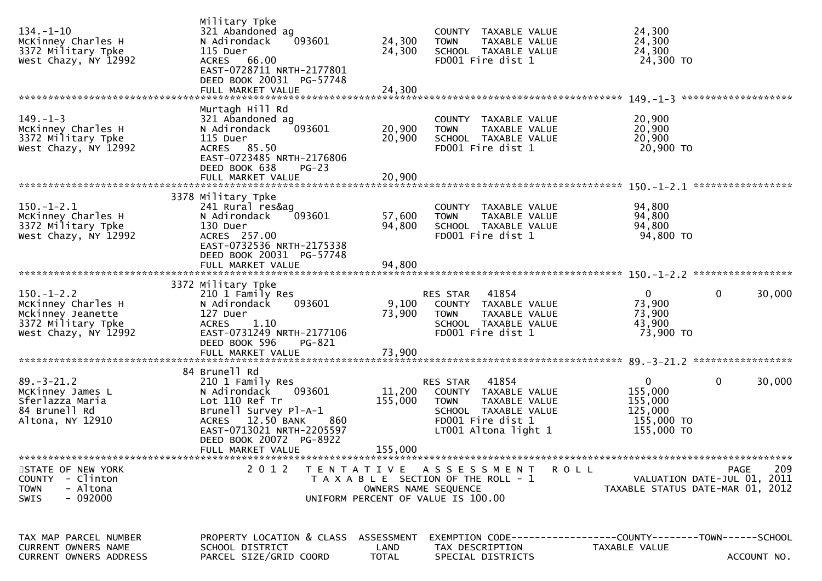| $134. - 1 - 10$<br>McKinney Charles H<br>3372 Military Tpke<br>West Chazy, NY 12992                       | Military Tpke<br>321 Abandoned ag<br>093601<br>N Adirondack<br>115 Duer<br>ACRES 66.00<br>EAST-0728711 NRTH-2177801<br>DEED BOOK 20031 PG-57748<br>FULL MARKET VALUE                                | 24,300<br>24,300<br>24,300 | COUNTY TAXABLE VALUE<br><b>TOWN</b><br>TAXABLE VALUE<br>SCHOOL TAXABLE VALUE<br>FD001 Fire dist 1                                              | 24,300<br>24,300<br>24,300<br>24,300 TO                                                               |
|-----------------------------------------------------------------------------------------------------------|-----------------------------------------------------------------------------------------------------------------------------------------------------------------------------------------------------|----------------------------|------------------------------------------------------------------------------------------------------------------------------------------------|-------------------------------------------------------------------------------------------------------|
|                                                                                                           | Murtagh Hill Rd                                                                                                                                                                                     |                            |                                                                                                                                                |                                                                                                       |
| $149. - 1 - 3$<br>McKinney Charles H<br>3372 Military Tpke<br>West Chazy, NY 12992                        | 321 Abandoned ag<br>N Adirondack<br>093601<br>115 Duer<br>ACRES 85.50<br>EAST-0723485 NRTH-2176806<br>DEED BOOK 638<br>$PG-23$                                                                      | 20,900<br>20,900           | COUNTY TAXABLE VALUE<br><b>TOWN</b><br>TAXABLE VALUE<br>SCHOOL TAXABLE VALUE<br>FD001 Fire dist 1                                              | 20,900<br>20,900<br>20,900<br>20,900 TO                                                               |
|                                                                                                           | FULL MARKET VALUE                                                                                                                                                                                   | 20,900                     |                                                                                                                                                |                                                                                                       |
|                                                                                                           |                                                                                                                                                                                                     |                            |                                                                                                                                                |                                                                                                       |
| $150.-1-2.1$<br>McKinney Charles H<br>3372 Military Tpke<br>West Chazy, NY 12992                          | 3378 Military Tpke<br>241 Rural res&ag<br>093601<br>N Adirondack<br>130 Duer<br>ACRES 257.00<br>EAST-0732536 NRTH-2175338                                                                           | 57,600<br>94,800           | COUNTY TAXABLE VALUE<br>TAXABLE VALUE<br><b>TOWN</b><br>SCHOOL TAXABLE VALUE<br>FD001 Fire dist 1                                              | 94,800<br>94,800<br>94,800<br>94,800 TO                                                               |
|                                                                                                           | DEED BOOK 20031 PG-57748<br>FULL MARKET VALUE                                                                                                                                                       | 94,800                     |                                                                                                                                                |                                                                                                       |
|                                                                                                           |                                                                                                                                                                                                     |                            |                                                                                                                                                |                                                                                                       |
| $150. - 1 - 2.2$<br>McKinney Charles H<br>Mckinney Jeanette<br>3372 Military Tpke<br>West Chazy, NY 12992 | 3372 Military Tpke<br>210 1 Family Res<br>093601<br>N Adirondack<br>127 Duer<br><b>ACRES</b><br>1.10<br>EAST-0731249 NRTH-2177106<br>DEED BOOK 596<br>PG-821                                        | 9,100<br>73,900            | RES STAR<br>41854<br>COUNTY TAXABLE VALUE<br><b>TOWN</b><br>TAXABLE VALUE<br>SCHOOL TAXABLE VALUE<br>FD001 Fire dist 1                         | $\mathbf{0}$<br>0<br>30,000<br>73,900<br>73,900<br>43,900<br>73,900 TO                                |
|                                                                                                           | FULL MARKET VALUE                                                                                                                                                                                   | 73,900                     |                                                                                                                                                |                                                                                                       |
|                                                                                                           |                                                                                                                                                                                                     |                            |                                                                                                                                                |                                                                                                       |
| $89. - 3 - 21.2$<br>McKinney James L<br>Sferlazza Maria<br>84 Brunell Rd<br>Altona, NY 12910              | 84 Brunell Rd<br>210 1 Family Res<br>093601<br>N Adirondack<br>Lot 110 Ref Tr<br>Brunell Survey Pl-A-1<br>12.50 BANK<br><b>ACRES</b><br>860<br>EAST-0713021 NRTH-2205597<br>DEED BOOK 20072 PG-8922 | 11,200<br>155,000          | 41854<br>RES STAR<br>COUNTY TAXABLE VALUE<br><b>TOWN</b><br>TAXABLE VALUE<br>SCHOOL TAXABLE VALUE<br>FD001 Fire dist 1<br>LT001 Altona light 1 | $\overline{0}$<br>$\mathbf{0}$<br>30,000<br>155,000<br>155,000<br>125,000<br>155,000 TO<br>155,000 TO |
|                                                                                                           | FULL MARKET VALUE                                                                                                                                                                                   | 155,000                    |                                                                                                                                                |                                                                                                       |
|                                                                                                           |                                                                                                                                                                                                     |                            |                                                                                                                                                |                                                                                                       |
| STATE OF NEW YORK<br>COUNTY - Clinton<br><b>TOWN</b><br>- Altona<br>$-092000$<br>SWIS                     |                                                                                                                                                                                                     | OWNERS NAME SEQUENCE       | 2012 TENTATIVE ASSESSMENT ROLL<br>T A X A B L E SECTION OF THE ROLL - 1<br>UNIFORM PERCENT OF VALUE IS 100.00                                  | 209<br>PAGE<br>VALUATION DATE-JUL 01, 2011<br>TAXABLE STATUS DATE-MAR 01, 2012                        |
|                                                                                                           |                                                                                                                                                                                                     |                            |                                                                                                                                                |                                                                                                       |
| TAX MAP PARCEL NUMBER<br>CURRENT OWNERS NAME                                                              | PROPERTY LOCATION & CLASS<br>SCHOOL DISTRICT                                                                                                                                                        | ASSESSMENT<br>LAND         | TAX DESCRIPTION                                                                                                                                | EXEMPTION CODE-----------------COUNTY-------TOWN------SCHOOL<br>TAXABLE VALUE                         |
| <b>CURRENT OWNERS ADDRESS</b>                                                                             | PARCEL SIZE/GRID COORD                                                                                                                                                                              | <b>TOTAL</b>               | SPECIAL DISTRICTS                                                                                                                              | ACCOUNT NO.                                                                                           |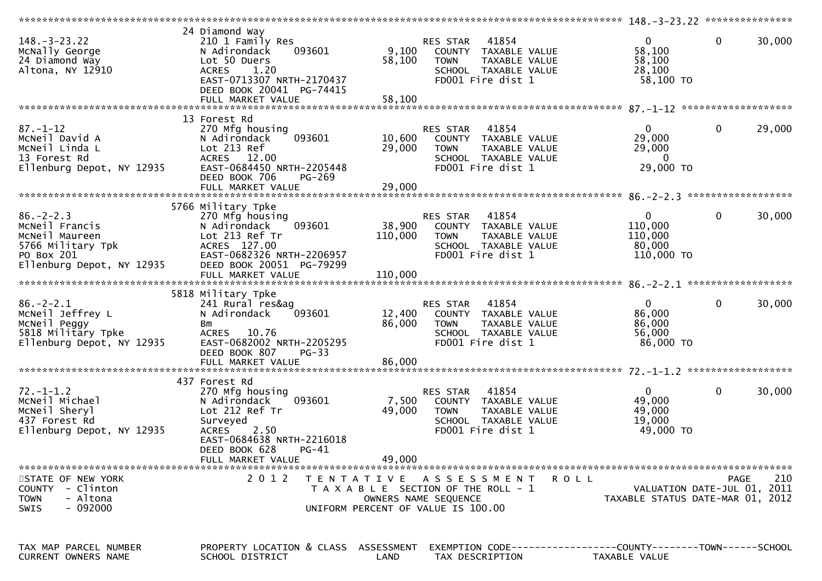| $148. - 3 - 23.22$<br>McNally George<br>24 Diamond Way<br>Altona, NY 12910                                          | 24 Diamond Way<br>210 1 Family Res<br>093601<br>N Adirondack<br>Lot 50 Duers<br>1.20<br><b>ACRES</b><br>EAST-0713307 NRTH-2170437<br>DEED BOOK 20041 PG-74415 | 9,100<br>58,100   | 41854<br>RES STAR<br>COUNTY TAXABLE VALUE<br>TAXABLE VALUE<br><b>TOWN</b><br>SCHOOL TAXABLE VALUE<br>FD001 Fire dist 1                 | $\mathbf{0}$<br>58,100<br>58,100<br>28,100<br>58,100 TO         | $\mathbf 0$ | 30,000 |
|---------------------------------------------------------------------------------------------------------------------|---------------------------------------------------------------------------------------------------------------------------------------------------------------|-------------------|----------------------------------------------------------------------------------------------------------------------------------------|-----------------------------------------------------------------|-------------|--------|
|                                                                                                                     | 13 Forest Rd                                                                                                                                                  |                   |                                                                                                                                        |                                                                 |             |        |
| $87. - 1 - 12$<br>MCNeil David A<br>McNeil Linda L<br>13 Forest Rd<br>Ellenburg Depot, NY 12935                     | 270 Mfg housing<br>093601<br>N Adirondack<br>Lot 213 Ref<br>ACRES 12.00<br>EAST-0684450 NRTH-2205448<br>DEED BOOK 706<br>PG-269                               | 10,600<br>29,000  | RES STAR 41854<br>COUNTY TAXABLE VALUE<br>TAXABLE VALUE<br><b>TOWN</b><br>SCHOOL TAXABLE VALUE<br>FD001 Fire dist 1                    | $\mathbf{0}$<br>29,000<br>29,000<br>$\mathbf{0}$<br>29,000 TO   | $\mathbf 0$ | 29,000 |
|                                                                                                                     | 5766 Military Tpke                                                                                                                                            |                   |                                                                                                                                        |                                                                 |             |        |
| $86. - 2 - 2.3$<br>MCNeil Francis<br>McNeil Maureen<br>5766 Military Tpk<br>PO Box 201<br>Ellenburg Depot, NY 12935 | 270 Mfg housing<br>093601<br>N Adirondack<br>Lot 213 Ref Tr<br>ACRES 127.00<br>EAST-0682326 NRTH-2206957<br>DEED BOOK 20051 PG-79299                          | 38,900<br>110,000 | RES STAR 41854<br>COUNTY TAXABLE VALUE<br>TAXABLE VALUE<br><b>TOWN</b><br>SCHOOL TAXABLE VALUE<br>FD001 Fire dist 1                    | $\overline{0}$<br>110,000<br>110,000<br>80,000<br>$110,000$ TO  | $\mathbf 0$ | 30,000 |
|                                                                                                                     |                                                                                                                                                               |                   |                                                                                                                                        |                                                                 |             |        |
| $86. - 2 - 2.1$<br>McNeil Jeffrey L<br>McNeil Peggy<br>5818 Military Tpke<br>Ellenburg Depot, NY 12935              | 5818 Military Tpke<br>241 Rural res&ag<br>N Adirondack<br>093601<br>Bm<br>ACRES 10.76<br>EAST-0682002 NRTH-2205295<br>DEED BOOK 807<br>$PG-33$                | 12,400<br>86,000  | RES STAR 41854<br>COUNTY TAXABLE VALUE<br><b>TOWN</b><br>TAXABLE VALUE<br>SCHOOL TAXABLE VALUE<br>FD001 Fire dist 1                    | $\overline{0}$<br>86,000<br>86,000<br>56,000<br>86,000 TO       | $\mathbf 0$ | 30,000 |
|                                                                                                                     | 437 Forest Rd                                                                                                                                                 |                   |                                                                                                                                        |                                                                 |             |        |
| $72. - 1 - 1.2$<br>McNeil Michael<br>MCNeil Sheryl<br>437 Forest Rd<br>Ellenburg Depot, NY 12935                    | 270 Mfg housing<br>093601<br>N Adirondack<br>Lot 212 Ref Tr<br>Surveyed<br><b>ACRES</b><br>2.50<br>EAST-0684638 NRTH-2216018<br>$PG-41$                       | 7,500<br>49,000   | 41854<br>RES STAR<br>COUNTY TAXABLE VALUE<br><b>TOWN</b><br>TAXABLE VALUE<br>SCHOOL TAXABLE VALUE<br>FD001 Fire dist 1                 | $\mathbf{0}$<br>49,000<br>49,000<br>19,000<br>49,000 TO         | $\mathbf 0$ | 30,000 |
|                                                                                                                     | DEED BOOK 628<br>FULL MARKET VALUE                                                                                                                            | 49,000            |                                                                                                                                        |                                                                 |             |        |
| STATE OF NEW YORK<br>COUNTY - Clinton<br>- Altona<br><b>TOWN</b><br>$-092000$<br>SWIS                               | 2 0 1 2                                                                                                                                                       |                   | TENTATIVE ASSESSMENT<br>R O L L<br>T A X A B L E SECTION OF THE ROLL - 1<br>OWNERS NAME SEQUENCE<br>UNIFORM PERCENT OF VALUE IS 100.00 | VALUATION DATE-JUL 01, 2011<br>TAXABLE STATUS DATE-MAR 01, 2012 | PAGE        | 210    |
| TAX MAP PARCEL NUMBER<br><b>CURRENT OWNERS NAME</b>                                                                 | PROPERTY LOCATION & CLASS ASSESSMENT<br>SCHOOL DISTRICT                                                                                                       | LAND              | EXEMPTION        CODE-----------------COUNTY-------TOWN------SCHOOL<br>TAX DESCRIPTION                                                 | TAXABLE VALUE                                                   |             |        |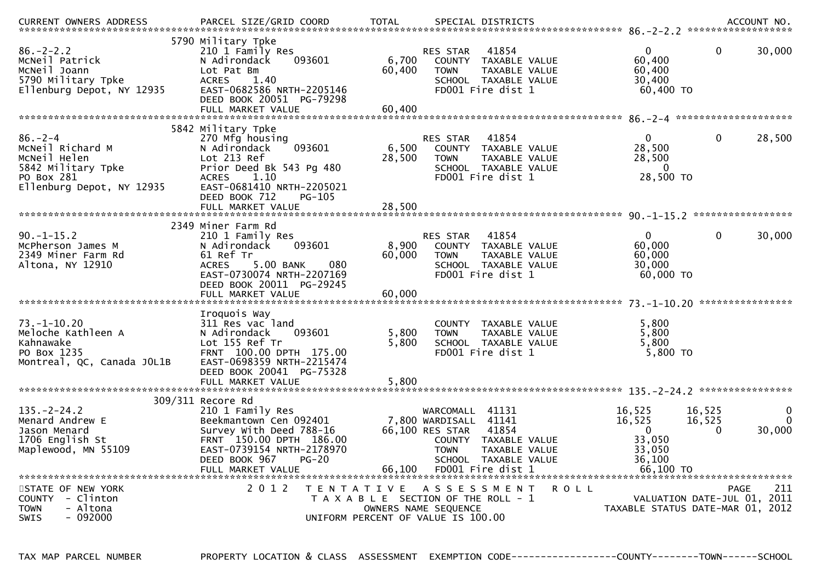| CURRENT OWNERS ADDRESS                                                                                             | PARCEL SIZE/GRID COORD                                                                                                                                                                              | <b>TOTAL</b>                                                                |                                                                      | SPECIAL DISTRICTS                                                                                    |             |                                                                             |                              | ACCOUNT NO.             |
|--------------------------------------------------------------------------------------------------------------------|-----------------------------------------------------------------------------------------------------------------------------------------------------------------------------------------------------|-----------------------------------------------------------------------------|----------------------------------------------------------------------|------------------------------------------------------------------------------------------------------|-------------|-----------------------------------------------------------------------------|------------------------------|-------------------------|
| $86. - 2 - 2.2$<br>MCNeil Patrick<br>McNeil Joann<br>5790 Military Tpke<br>Ellenburg Depot, NY 12935               | 5790 Military Tpke<br>210 1 Family Res<br>093601<br>N Adirondack<br>Lot Pat Bm<br><b>ACRES</b><br>1.40<br>EAST-0682586 NRTH-2205146<br>DEED BOOK 20051 PG-79298<br>FULL MARKET VALUE                | 6,700<br>60,400<br>60,400                                                   | <b>RES STAR</b><br>COUNTY<br><b>TOWN</b>                             | 41854<br>TAXABLE VALUE<br>TAXABLE VALUE<br>SCHOOL TAXABLE VALUE<br>FD001 Fire dist 1                 |             | $\Omega$<br>60,400<br>60,400<br>30,400<br>60,400 ТО                         | $\mathbf 0$                  | 30,000                  |
|                                                                                                                    | 5842 Military Tpke                                                                                                                                                                                  |                                                                             |                                                                      |                                                                                                      |             |                                                                             |                              |                         |
| $86. - 2 - 4$<br>MCNeil Richard M<br>McNeil Helen<br>5842 Military Tpke<br>PO Box 281<br>Ellenburg Depot, NY 12935 | 270 Mfg housing<br>093601<br>N Adirondack<br>Lot 213 Ref<br>Prior Deed Bk 543 Pg 480<br><b>ACRES</b><br>1.10<br>EAST-0681410 NRTH-2205021<br>DEED BOOK 712<br>PG-105<br>FULL MARKET VALUE           | 6,500<br>28,500<br>28,500                                                   | RES STAR<br><b>COUNTY</b><br><b>TOWN</b>                             | 41854<br>TAXABLE VALUE<br>TAXABLE VALUE<br>SCHOOL TAXABLE VALUE<br>FD001 Fire dist 1                 |             | $\Omega$<br>28,500<br>28,500<br>$\Omega$<br>28,500 TO                       | $\Omega$                     | 28,500                  |
|                                                                                                                    |                                                                                                                                                                                                     |                                                                             |                                                                      |                                                                                                      |             |                                                                             |                              |                         |
| $90. -1 - 15.2$<br>McPherson James M<br>2349 Miner Farm Rd<br>Altona, NY 12910                                     | 2349 Miner Farm Rd<br>210 1 Family Res<br>N Adirondack<br>093601<br>61 Ref Tr<br><b>ACRES</b><br>5.00 BANK<br>080<br>EAST-0730074 NRTH-2207169<br>DEED BOOK 20011 PG-29245<br>FULL MARKET VALUE     | 8,900<br>60,000<br>60,000                                                   | <b>RES STAR</b><br><b>TOWN</b>                                       | 41854<br>COUNTY TAXABLE VALUE<br>TAXABLE VALUE<br>SCHOOL TAXABLE VALUE<br>FD001 Fire dist 1          |             | $\Omega$<br>60,000<br>60,000<br>30,000<br>60,000 TO                         | 0                            | 30,000                  |
|                                                                                                                    | Iroquois Way                                                                                                                                                                                        |                                                                             |                                                                      |                                                                                                      |             |                                                                             |                              |                         |
| $73. - 1 - 10.20$<br>Meloche Kathleen A<br>Kahnawake<br>PO Box 1235<br>Montreal, QC, Canada JOL1B                  | 311 Res vac land<br>N Adirondack<br>093601<br>Lot 155 Ref Tr<br>FRNT 100.00 DPTH 175.00<br>EAST-0698359 NRTH-2215474<br>DEED BOOK 20041 PG-75328<br>FULL MARKET VALUE                               | 5,800<br>5,800<br>5,800                                                     | <b>TOWN</b>                                                          | COUNTY TAXABLE VALUE<br><b>TAXABLE VALUE</b><br>SCHOOL TAXABLE VALUE<br>FD001 Fire dist 1            |             | 5,800<br>5.800<br>5,800<br>5,800 TO                                         |                              |                         |
|                                                                                                                    |                                                                                                                                                                                                     |                                                                             |                                                                      |                                                                                                      |             |                                                                             |                              |                         |
| $135. - 2 - 24.2$<br>Menard Andrew E<br>Jason Menard<br>1706 English St<br>Maplewood, MN 55109                     | 309/311 Recore Rd<br>210 1 Family Res<br>Beekmantown Cen 092401<br>Survey With Deed 788-16<br>FRNT 150.00 DPTH 186.00<br>EAST-0739154 NRTH-2178970<br>DEED BOOK 967<br>$PG-20$<br>FULL MARKET VALUE | 66,100                                                                      | WARCOMALL 41131<br>7,800 WARDISALL<br>66,100 RES STAR<br><b>TOWN</b> | 41141<br>41854<br>COUNTY TAXABLE VALUE<br>TAXABLE VALUE<br>SCHOOL TAXABLE VALUE<br>FD001 Fire dist 1 |             | 16,525<br>16,525<br>$\mathbf{0}$<br>33,050<br>33,050<br>36,100<br>66.100 TO | 16,525<br>16,525<br>$\Omega$ | 0<br>$\Omega$<br>30,000 |
| STATE OF NEW YORK<br>COUNTY - Clinton<br>- Altona<br>TOWN<br>$-092000$<br><b>SWIS</b>                              | 2 0 1 2<br>T E N T A T I V E                                                                                                                                                                        | T A X A B L E SECTION OF THE ROLL - 1<br>UNIFORM PERCENT OF VALUE IS 100.00 | A S S E S S M E N T<br>OWNERS NAME SEQUENCE                          |                                                                                                      | <b>ROLL</b> | TAXABLE STATUS DATE-MAR 01, 2012                                            | VALUATION DATE-JUL 01, 2011  | 211<br>PAGE             |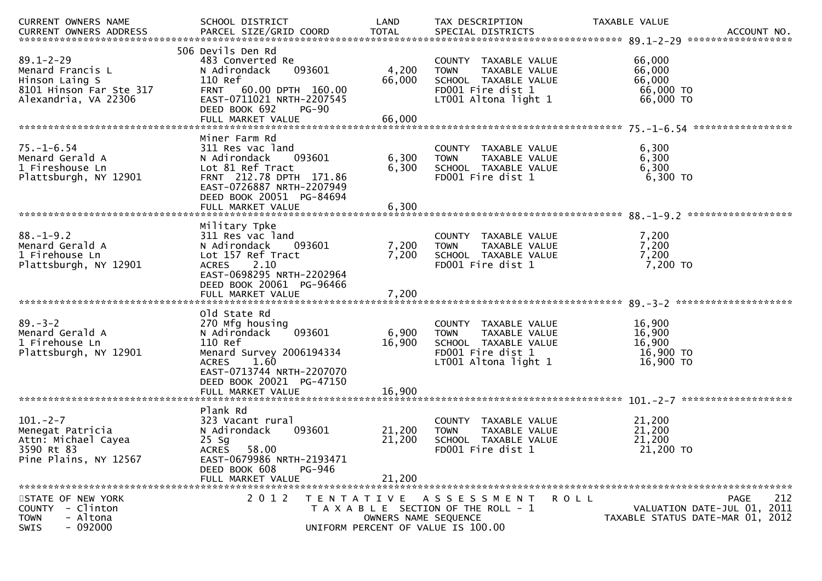| CURRENT OWNERS NAME                                                                                      | SCHOOL DISTRICT                                                                                                                                                                                        | LAND                                                                            | TAX DESCRIPTION                                                                                                           | <b>TAXABLE VALUE</b>                                                                      |
|----------------------------------------------------------------------------------------------------------|--------------------------------------------------------------------------------------------------------------------------------------------------------------------------------------------------------|---------------------------------------------------------------------------------|---------------------------------------------------------------------------------------------------------------------------|-------------------------------------------------------------------------------------------|
| $89.1 - 2 - 29$<br>Menard Francis L<br>Hinson Laing S<br>8101 Hinson Far Ste 317<br>Alexandria, VA 22306 | 506 Devils Den Rd<br>483 Converted Re<br>093601<br>N Adirondack<br>110 Ref<br>FRNT 60.00 DPTH 160.00<br>EAST-0711021 NRTH-2207545<br>DEED BOOK 692<br><b>PG-90</b><br>FULL MARKET VALUE                | 4,200<br>66,000<br>66,000                                                       | COUNTY TAXABLE VALUE<br>TAXABLE VALUE<br><b>TOWN</b><br>SCHOOL TAXABLE VALUE<br>FD001 Fire dist 1<br>LT001 Altona light 1 | 66,000<br>66,000<br>66,000<br>66,000 TO<br>66,000 TO                                      |
| $75. - 1 - 6.54$<br>Menard Gerald A<br>1 Fireshouse Ln<br>Plattsburgh, NY 12901                          | Miner Farm Rd<br>311 Res vac land<br>093601<br>N Adirondack<br>Lot 81 Ref Tract<br>FRNT 212.78 DPTH 171.86<br>EAST-0726887 NRTH-2207949<br>DEED BOOK 20051 PG-84694<br>FULL MARKET VALUE               | 6,300<br>6,300<br>6,300                                                         | COUNTY TAXABLE VALUE<br><b>TOWN</b><br>TAXABLE VALUE<br>SCHOOL TAXABLE VALUE<br>FD001 Fire dist 1                         | 6,300<br>6,300<br>6,300<br>6,300 TO                                                       |
| $88. - 1 - 9.2$<br>Menard Gerald A<br>1 Firehouse Ln<br>Plattsburgh, NY 12901                            | Military Tpke<br>311 Res vac land<br>N Adirondack<br>093601<br>Lot 157 Ref Tract<br>2.10<br><b>ACRES</b><br>EAST-0698295 NRTH-2202964<br>DEED BOOK 20061 PG-96466<br>FULL MARKET VALUE                 | 7,200<br>7,200<br>7,200                                                         | COUNTY TAXABLE VALUE<br>TAXABLE VALUE<br><b>TOWN</b><br>SCHOOL TAXABLE VALUE<br>FD001 Fire dist 1                         | 7,200<br>7,200<br>7,200<br>7,200 TO                                                       |
| $89 - 3 - 2$<br>Menard Gerald A<br>1 Firehouse Ln<br>Plattsburgh, NY 12901                               | old State Rd<br>270 Mfg housing<br>093601<br>N Adirondack<br>110 Ref<br>Menard Survey 2006194334<br>1.60<br><b>ACRES</b><br>EAST-0713744 NRTH-2207070<br>DEED BOOK 20021 PG-47150<br>FULL MARKET VALUE | 6,900<br>16,900<br>16,900                                                       | COUNTY TAXABLE VALUE<br>TAXABLE VALUE<br><b>TOWN</b><br>SCHOOL TAXABLE VALUE<br>FD001 Fire dist 1<br>LT001 Altona light 1 | 16,900<br>16,900<br>16,900<br>16,900 TO<br>16,900 TO                                      |
| $101 - 2 - 7$<br>Menegat Patricia<br>Attn: Michael Cayea<br>3590 Rt 83<br>Pine Plains, NY 12567          | Plank Rd<br>323 Vacant rural<br>093601<br>N Adirondack<br>$25$ Sg<br>58.00<br><b>ACRES</b><br>EAST-0679986 NRTH-2193471<br>DEED BOOK 608<br>PG-946<br>FULL MARKET VALUE                                | 21,200<br>21,200<br>21,200                                                      | COUNTY TAXABLE VALUE<br>TAXABLE VALUE<br><b>TOWN</b><br>SCHOOL TAXABLE VALUE<br>FD001 Fire dist 1                         | 21,200<br>21,200<br>21,200<br>21,200 TO                                                   |
| STATE OF NEW YORK<br>COUNTY - Clinton<br>- Altona<br><b>TOWN</b><br>$-092000$<br>SWIS                    | 2 0 1 2                                                                                                                                                                                                | T E N T A T I V E<br>OWNERS NAME SEQUENCE<br>UNIFORM PERCENT OF VALUE IS 100.00 | A S S E S S M E N T<br>T A X A B L E SECTION OF THE ROLL - 1                                                              | 212<br>PAGE<br>R O L L<br>VALUATION DATE-JUL 01, 2011<br>TAXABLE STATUS DATE-MAR 01, 2012 |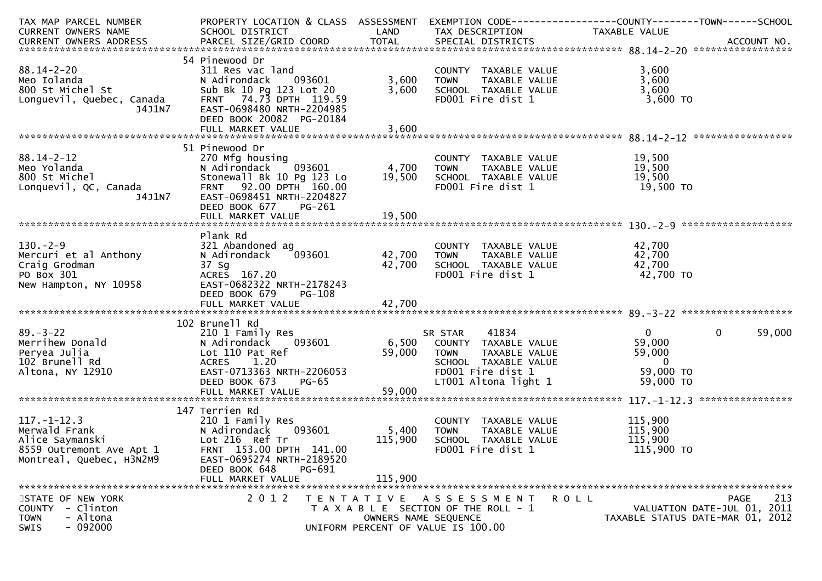| TAX MAP PARCEL NUMBER<br><b>CURRENT OWNERS NAME</b><br>.CURRENT OWNERS ADDRESS PARCEL SIZE/GRID COORD TOTAL SPECIAL DISTRICTS ACCOUNT NO ACCOUNT NO ACCOUNT NO ACCOUNT | PROPERTY LOCATION & CLASS ASSESSMENT<br>SCHOOL DISTRICT                                                                                                                               | LAND                        | TAX DESCRIPTION                                                                                                                                     | TAXABLE VALUE                                                                |                                                                                       |
|------------------------------------------------------------------------------------------------------------------------------------------------------------------------|---------------------------------------------------------------------------------------------------------------------------------------------------------------------------------------|-----------------------------|-----------------------------------------------------------------------------------------------------------------------------------------------------|------------------------------------------------------------------------------|---------------------------------------------------------------------------------------|
|                                                                                                                                                                        |                                                                                                                                                                                       |                             |                                                                                                                                                     |                                                                              |                                                                                       |
| $88.14 - 2 - 20$<br>Meo Iolanda<br>800 St Michel St<br>Longuevil, Quebec, Canada<br>J4J1N7                                                                             | 54 Pinewood Dr<br>311 Res vac land<br>093601<br>N Adirondack<br>Sub Bk 10 Pg 123 Lot 20<br>FRNT 74.73 DPTH 119.59<br>EAST-0698480 NRTH-2204985<br>DEED BOOK 20082 PG-20184            | 3,600<br>3,600              | COUNTY TAXABLE VALUE<br>TAXABLE VALUE<br><b>TOWN</b><br>SCHOOL TAXABLE VALUE<br>FD001 Fire dist 1                                                   | 3,600<br>3,600<br>3,600<br>$3,600$ TO                                        |                                                                                       |
|                                                                                                                                                                        |                                                                                                                                                                                       |                             |                                                                                                                                                     |                                                                              |                                                                                       |
|                                                                                                                                                                        |                                                                                                                                                                                       |                             |                                                                                                                                                     |                                                                              |                                                                                       |
| $88.14 - 2 - 12$<br>Meo Yolanda<br>ουυ st Michel<br>Lonquevil, QC, Canada<br>J4J1N7                                                                                    | 51 Pinewood Dr<br>270 Mfg housing<br>093601<br>N Adirondack<br>Stonewall Bk 10 Pg 123 Lo<br>FRNT 92.00 DPTH 160.00<br>EAST-0698451 NRTH-2204827<br>DEED BOOK 677<br>PG-261            | 4,700<br>19,500             | COUNTY TAXABLE VALUE<br>TAXABLE VALUE<br><b>TOWN</b><br>SCHOOL TAXABLE VALUE<br>FD001 Fire dist 1                                                   | 19,500<br>19,500<br>19,500<br>19,500 TO                                      |                                                                                       |
|                                                                                                                                                                        | FULL MARKET VALUE                                                                                                                                                                     | 19,500                      |                                                                                                                                                     |                                                                              |                                                                                       |
|                                                                                                                                                                        |                                                                                                                                                                                       |                             |                                                                                                                                                     |                                                                              |                                                                                       |
| $130. - 2 - 9$<br>Mercuri et al Anthony<br>Craig Grodman<br>PO Box 301<br>New Hampton, NY 10958                                                                        | Plank Rd<br>321 Abandoned ag<br>N Adirondack<br>093601<br>37 Sg<br>ACRES 167.20<br>EAST-0682322 NRTH-2178243<br>DEED BOOK 679<br><b>PG-108</b>                                        | 42,700<br>42,700            | COUNTY TAXABLE VALUE<br><b>TOWN</b><br>TAXABLE VALUE<br>SCHOOL TAXABLE VALUE<br>FD001 Fire dist 1                                                   | 42,700<br>42,700<br>42,700<br>42,700 TO                                      |                                                                                       |
|                                                                                                                                                                        |                                                                                                                                                                                       |                             |                                                                                                                                                     |                                                                              |                                                                                       |
| $89 - 3 - 22$<br>Merrihew Donald<br>Peryea Julia<br>102 Brunell Rd<br>Altona, NY 12910                                                                                 | 102 Brunell Rd<br>210 1 Family Res<br>093601<br>N Adirondack<br>Lot 110 Pat Ref<br>1.20<br><b>ACRES</b><br>EAST-0713363 NRTH-2206053<br>DEED BOOK 673<br>$PG-65$<br>FULL MARKET VALUE | 59,000<br>59,000            | 41834<br>SR STAR<br>6,500 COUNTY TAXABLE VALUE<br>TAXABLE VALUE<br><b>TOWN</b><br>SCHOOL TAXABLE VALUE<br>FD001 Fire dist 1<br>LT001 Altona light 1 | $\mathbf{0}$<br>59,000<br>59,000<br>$\overline{0}$<br>59,000 TO<br>59,000 TO | $\mathbf 0$<br>59,000                                                                 |
|                                                                                                                                                                        | 147 Terrien Rd                                                                                                                                                                        |                             |                                                                                                                                                     |                                                                              |                                                                                       |
| $117. - 1 - 12.3$<br>Merwald Frank<br>Alice Saymanski<br>8559 Outremont Ave Apt 1<br>Montreal, Quebec, H3N2M9                                                          | 210 1 Family Res<br>N Adirondack<br>093601<br>Lot 216 Ref Tr<br>FRNT 153.00 DPTH 141.00<br>EAST-0695274 NRTH-2189520<br>DEED BOOK 648<br>PG-691<br>FULL MARKET VALUE                  | 5,400<br>115,900<br>115,900 | COUNTY TAXABLE VALUE<br>TAXABLE VALUE<br>TOWN<br>SCHOOL TAXABLE VALUE<br>FD001 Fire dist 1                                                          | 115,900<br>115,900<br>115,900<br>115,900 TO                                  |                                                                                       |
|                                                                                                                                                                        |                                                                                                                                                                                       |                             |                                                                                                                                                     |                                                                              |                                                                                       |
| STATE OF NEW YORK<br>COUNTY - Clinton<br><b>TOWN</b><br>- Altona<br>$-092000$<br>SWIS                                                                                  | 2012                                                                                                                                                                                  |                             | TENTATIVE ASSESSMENT<br>T A X A B L E SECTION OF THE ROLL - 1<br>OWNERS NAME SEQUENCE<br>UNIFORM PERCENT OF VALUE IS 100.00                         | R O L L                                                                      | 213<br><b>PAGE</b><br>VALUATION DATE-JUL 01, 2011<br>TAXABLE STATUS DATE-MAR 01, 2012 |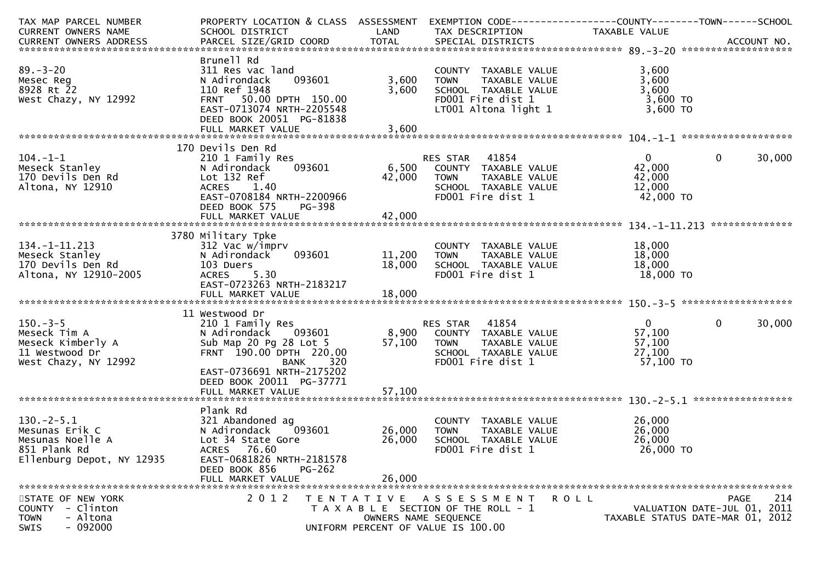| TAX MAP PARCEL NUMBER     | PROPERTY LOCATION & CLASS ASSESSMENT |        | EXEMPTION CODE-----------------COUNTY--------TOWN------SCHOOL |               |                                  |
|---------------------------|--------------------------------------|--------|---------------------------------------------------------------|---------------|----------------------------------|
| CURRENT OWNERS NAME       | SCHOOL DISTRICT                      | LAND   | TAX DESCRIPTION                                               | TAXABLE VALUE |                                  |
|                           |                                      |        |                                                               |               |                                  |
|                           | Brunell Rd                           |        |                                                               |               |                                  |
| $89. - 3 - 20$            | 311 Res vac land                     |        | COUNTY TAXABLE VALUE                                          | 3,600         |                                  |
| Mesec Reg                 | 093601<br>N Adirondack               | 3,600  | TAXABLE VALUE<br><b>TOWN</b>                                  | 3,600         |                                  |
| 8928 Rt 22                | 110 Ref 1948                         | 3,600  | SCHOOL TAXABLE VALUE                                          | 3,600         |                                  |
| West Chazy, NY 12992      | FRNT 50.00 DPTH 150.00               |        | FD001 Fire dist 1                                             | $3,600$ TO    |                                  |
|                           | EAST-0713074 NRTH-2205548            |        | LT001 Altona light 1                                          | 3,600 TO      |                                  |
|                           | DEED BOOK 20051 PG-81838             |        |                                                               |               |                                  |
|                           |                                      |        |                                                               |               |                                  |
|                           |                                      |        |                                                               |               |                                  |
|                           | 170 Devils Den Rd                    |        |                                                               |               |                                  |
| $104. - 1 - 1$            | 210 1 Family Res                     |        | RES STAR 41854                                                | $\mathbf{0}$  | $\mathbf{0}$<br>30,000           |
| Meseck Stanley            | 093601<br>N Adirondack               |        | 6,500 COUNTY TAXABLE VALUE                                    | 42,000        |                                  |
| 170 Devils Den Rd         |                                      |        |                                                               | 42,000        |                                  |
|                           | Lot 132 Ref<br>1.40                  | 42,000 | <b>TOWN</b><br>TAXABLE VALUE                                  | 12,000        |                                  |
| Altona, NY 12910          | <b>ACRES</b>                         |        | SCHOOL TAXABLE VALUE                                          |               |                                  |
|                           | EAST-0708184 NRTH-2200966            |        | FD001 Fire dist 1                                             | 42,000 TO     |                                  |
|                           | DEED BOOK 575<br>PG-398              |        |                                                               |               |                                  |
|                           |                                      |        |                                                               |               |                                  |
|                           |                                      |        |                                                               |               |                                  |
|                           | 3780 Military Tpke                   |        |                                                               |               |                                  |
| $134. - 1 - 11.213$       | 312 Vac w/imprv                      |        | COUNTY TAXABLE VALUE                                          | 18,000        |                                  |
| Meseck Stanley            | 093601<br>N Adirondack               | 11,200 | TAXABLE VALUE<br><b>TOWN</b>                                  | 18,000        |                                  |
| 170 Devils Den Rd         | 103 Duers                            | 18,000 | SCHOOL TAXABLE VALUE                                          | 18,000        |                                  |
| Altona, NY 12910-2005     | ACRES 5.30                           |        | FD001 Fire dist 1                                             | 18,000 TO     |                                  |
|                           | EAST-0723263 NRTH-2183217            |        |                                                               |               |                                  |
|                           |                                      |        |                                                               |               |                                  |
|                           |                                      |        |                                                               |               |                                  |
|                           | 11 Westwood Dr                       |        |                                                               |               |                                  |
| $150 - 3 - 5$             | 210 1 Family Res                     |        | RES STAR     41854<br>8,900    COUNTY   TAXABLE VALUE         | $\mathbf{0}$  | 30,000<br>$\mathbf{0}$           |
| Meseck Tim A              | N Adirondack 093601                  |        |                                                               | 57,100        |                                  |
| Meseck Kimberly A         | Sub Map 20 Pg 28 Lot 5               | 57,100 | TAXABLE VALUE<br>TOWN                                         | 57,100        |                                  |
| 11 Westwood Dr            | FRNT 190.00 DPTH 220.00              |        | SCHOOL TAXABLE VALUE                                          | 27,100        |                                  |
| West Chazy, NY 12992      | 320<br><b>BANK</b>                   |        | FD001 Fire dist 1                                             | 57,100 TO     |                                  |
|                           | EAST-0736691 NRTH-2175202            |        |                                                               |               |                                  |
|                           | DEED BOOK 20011 PG-37771             |        |                                                               |               |                                  |
|                           | FULL MARKET VALUE                    | 57,100 |                                                               |               |                                  |
|                           |                                      |        |                                                               |               |                                  |
|                           | Plank Rd                             |        |                                                               |               |                                  |
| $130.-2-5.1$              | 321 Abandoned ag                     |        | COUNTY TAXABLE VALUE                                          | 26,000        |                                  |
| Mesunas Erik C            | N Adirondack<br>093601               | 26,000 | TAXABLE VALUE<br>TOWN                                         | 26,000        |                                  |
| Mesunas Noelle A          | Lot 34 State Gore                    | 26,000 | SCHOOL TAXABLE VALUE                                          | 26,000        |                                  |
| 851 Plank Rd              | ACRES 76.60                          |        | FD001 Fire dist 1                                             | 26,000 TO     |                                  |
| Ellenburg Depot, NY 12935 | EAST-0681826 NRTH-2181578            |        |                                                               |               |                                  |
|                           | DEED BOOK 856<br>$PG-262$            |        |                                                               |               |                                  |
|                           | FULL MARKET VALUE                    | 26,000 |                                                               |               |                                  |
|                           |                                      |        |                                                               |               |                                  |
| STATE OF NEW YORK         | 2 0 1 2                              |        | TENTATIVE ASSESSMENT                                          | R O L L       | 214<br><b>PAGE</b>               |
| COUNTY - Clinton          |                                      |        | T A X A B L E SECTION OF THE ROLL - 1                         |               | VALUATION DATE-JUL 01, 2011      |
| - Altona<br><b>TOWN</b>   |                                      |        | OWNERS NAME SEQUENCE                                          |               | TAXABLE STATUS DATE-MAR 01, 2012 |
| $-092000$<br>SWIS         |                                      |        | UNIFORM PERCENT OF VALUE IS 100.00                            |               |                                  |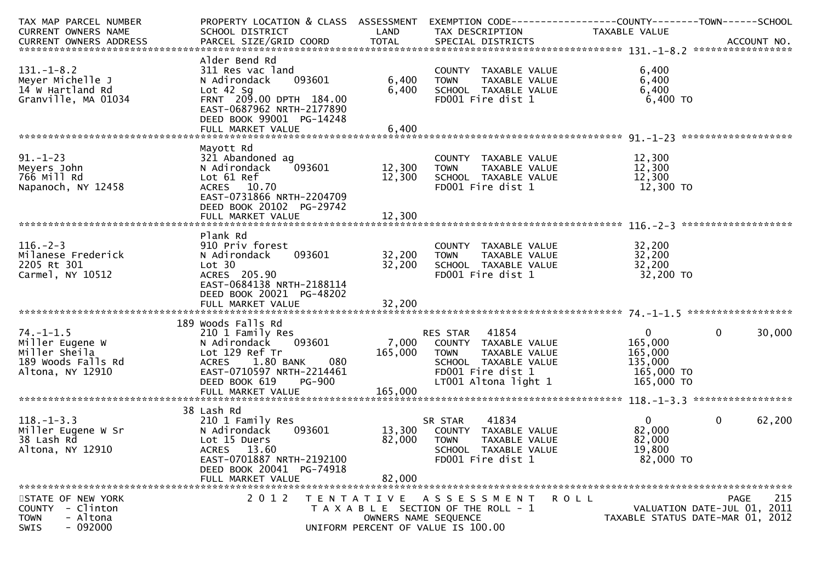| TAX MAP PARCEL NUMBER<br>CURRENT OWNERS NAME | PROPERTY LOCATION & CLASS ASSESSMENT<br>SCHOOL DISTRICT | LAND    | EXEMPTION CODE------------------COUNTY--------TOWN------SCHOOL<br>TAX DESCRIPTION | TAXABLE VALUE      |                                                                 |
|----------------------------------------------|---------------------------------------------------------|---------|-----------------------------------------------------------------------------------|--------------------|-----------------------------------------------------------------|
|                                              |                                                         |         |                                                                                   |                    |                                                                 |
|                                              |                                                         |         |                                                                                   |                    |                                                                 |
|                                              | Alder Bend Rd                                           |         |                                                                                   |                    |                                                                 |
| $131. - 1 - 8.2$                             | 311 Res vac land                                        |         | COUNTY TAXABLE VALUE                                                              | 6,400              |                                                                 |
| Meyer Michelle J                             | 093601<br>N Adirondack                                  | 6,400   | TAXABLE VALUE<br><b>TOWN</b>                                                      | 6,400              |                                                                 |
| 14 W Hartland Rd                             | Lot $42$ Sq                                             | 6,400   | SCHOOL TAXABLE VALUE                                                              | 6,400              |                                                                 |
| Granville, MA 01034                          | FRNT 209.00 DPTH 184.00                                 |         | FD001 Fire dist 1                                                                 | $6,400$ TO         |                                                                 |
|                                              | EAST-0687962 NRTH-2177890                               |         |                                                                                   |                    |                                                                 |
|                                              | DEED BOOK 99001 PG-14248                                |         |                                                                                   |                    |                                                                 |
|                                              | FULL MARKET VALUE                                       | 6,400   |                                                                                   |                    |                                                                 |
|                                              |                                                         |         |                                                                                   |                    |                                                                 |
| $91. - 1 - 23$                               | Mayott Rd<br>321 Abandoned ag                           |         |                                                                                   | 12,300             |                                                                 |
| Meyers John                                  | 093601<br>N Adirondack                                  | 12,300  | COUNTY TAXABLE VALUE<br><b>TOWN</b><br>TAXABLE VALUE                              | 12,300             |                                                                 |
| 766 Mill Rd                                  | Lot 61 Ref                                              | 12,300  | SCHOOL TAXABLE VALUE                                                              | 12,300             |                                                                 |
| Napanoch, NY 12458                           | ACRES 10.70                                             |         | FD001 Fire dist 1                                                                 | 12,300 TO          |                                                                 |
|                                              | EAST-0731866 NRTH-2204709                               |         |                                                                                   |                    |                                                                 |
|                                              | DEED BOOK 20102 PG-29742                                |         |                                                                                   |                    |                                                                 |
|                                              |                                                         |         |                                                                                   |                    |                                                                 |
|                                              |                                                         |         |                                                                                   |                    |                                                                 |
|                                              | Plank Rd                                                |         |                                                                                   |                    |                                                                 |
| $116. - 2 - 3$                               | 910 Priv forest                                         |         | COUNTY TAXABLE VALUE                                                              | 32,200             |                                                                 |
| Milanese Frederick                           | 093601<br>N Adirondack                                  | 32,200  | TAXABLE VALUE<br>TOWN                                                             | 32,200             |                                                                 |
| 2205 Rt 301                                  | Lot 30                                                  | 32,200  | SCHOOL TAXABLE VALUE                                                              | 32,200             |                                                                 |
| Carmel, NY 10512                             | ACRES 205.90                                            |         | FD001 Fire dist 1                                                                 | 32,200 TO          |                                                                 |
|                                              | EAST-0684138 NRTH-2188114                               |         |                                                                                   |                    |                                                                 |
|                                              | DEED BOOK 20021 PG-48202                                |         |                                                                                   |                    |                                                                 |
|                                              |                                                         |         |                                                                                   |                    |                                                                 |
|                                              |                                                         |         |                                                                                   |                    |                                                                 |
|                                              | 189 Woods Falls Rd                                      |         |                                                                                   |                    |                                                                 |
| $74. - 1 - 1.5$                              | 210 1 Family Res                                        | 7,000   | RES STAR 41854                                                                    | $\overline{0}$     | $\mathbf{0}$<br>30,000                                          |
| Miller Eugene W<br>Miller Sheila             | 093601<br>N Adirondack<br>Lot 129 Ref Tr                | 165,000 | COUNTY TAXABLE VALUE                                                              | 165,000<br>165,000 |                                                                 |
| 189 Woods Falls Rd                           | <b>ACRES</b><br>1.80 BANK<br>080                        |         | <b>TOWN</b><br>TAXABLE VALUE<br>SCHOOL TAXABLE VALUE                              | 135,000            |                                                                 |
| Altona, NY 12910                             | EAST-0710597 NRTH-2214461                               |         | FD001 Fire dist 1                                                                 | 165,000 TO         |                                                                 |
|                                              | DEED BOOK 619<br><b>PG-900</b>                          |         | LT001 Altona light 1                                                              | 165,000 TO         |                                                                 |
|                                              | FULL MARKET VALUE                                       | 165,000 |                                                                                   |                    |                                                                 |
|                                              |                                                         |         |                                                                                   |                    |                                                                 |
|                                              | 38 Lash Rd                                              |         |                                                                                   |                    |                                                                 |
| $118. - 1 - 3.3$                             | 210 1 Family Res                                        |         | 41834<br>SR STAR                                                                  | $\Omega$           | $\mathbf{0}$<br>62,200                                          |
| Miller Eugene W Sr                           | 093601<br>N Adirondack                                  |         | 13,300 COUNTY TAXABLE VALUE                                                       | 82,000             |                                                                 |
| 38 Lash Rd                                   | Lot 15 Duers                                            | 82,000  | <b>TOWN</b><br>TAXABLE VALUE                                                      | 82,000             |                                                                 |
| Altona, NY 12910                             | ACRES 13.60                                             |         | SCHOOL TAXABLE VALUE                                                              | 19,800             |                                                                 |
|                                              | EAST-0701887 NRTH-2192100                               |         | FD001 Fire dist 1                                                                 | 82,000 TO          |                                                                 |
|                                              | DEED BOOK 20041 PG-74918                                |         |                                                                                   |                    |                                                                 |
|                                              | FULL MARKET VALUE                                       | 82,000  |                                                                                   |                    |                                                                 |
|                                              |                                                         |         |                                                                                   |                    |                                                                 |
| STATE OF NEW YORK                            | 2 0 1 2                                                 |         | TENTATIVE ASSESSMENT                                                              | R O L L            | 215<br>PAGE                                                     |
| COUNTY - Clinton<br><b>TOWN</b><br>- Altona  |                                                         |         | T A X A B L E SECTION OF THE ROLL - 1<br>OWNERS NAME SEQUENCE                     |                    | VALUATION DATE-JUL 01, 2011<br>TAXABLE STATUS DATE-MAR 01, 2012 |
| $-092000$<br>SWIS                            |                                                         |         | UNIFORM PERCENT OF VALUE IS 100.00                                                |                    |                                                                 |
|                                              |                                                         |         |                                                                                   |                    |                                                                 |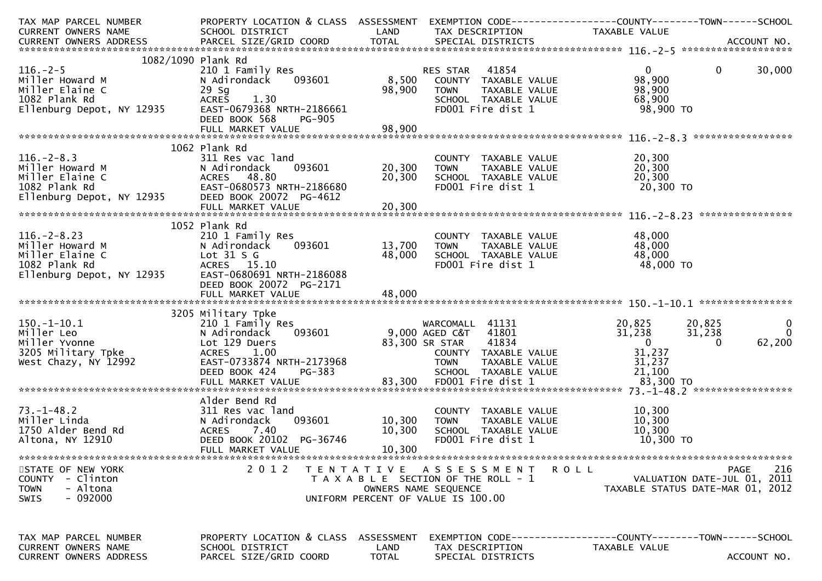| TAX MAP PARCEL NUMBER<br>CURRENT OWNERS NAME                                                                                                                                        | PROPERTY LOCATION & CLASS ASSESSMENT EXEMPTION CODE----------------COUNTY-------TOWN------SCHOOL<br>SCHOOL DISTRICT | LAND   | TAX DESCRIPTION                                                                           | TAXABLE VALUE            |                                  |
|-------------------------------------------------------------------------------------------------------------------------------------------------------------------------------------|---------------------------------------------------------------------------------------------------------------------|--------|-------------------------------------------------------------------------------------------|--------------------------|----------------------------------|
| CURRENT OWNERS ADDRESS<br>.CURRENT OWNERS ADDRESS PARCEL SIZE/GRID COORD TOTAL SPECIAL DISTRICTS ACCOUNT NO ACCOUNT NO ACCOUNT NO AND ARCEL SIZE/GRID COORD TOTAL SPECIAL DISTRICTS |                                                                                                                     |        |                                                                                           |                          |                                  |
|                                                                                                                                                                                     |                                                                                                                     |        |                                                                                           |                          |                                  |
| 1082/1090 Plank Rd                                                                                                                                                                  |                                                                                                                     |        |                                                                                           |                          |                                  |
| $116. - 2 - 5$<br>Miller Howard M                                                                                                                                                   | 210 1 Family Res<br>N Adirondack 093601                                                                             |        | 41854<br>RES STAR<br>8,500 COUNTY TAXABLE VALUE                                           | $\overline{0}$<br>98,900 | $\mathbf 0$<br>30,000            |
| Miller Elaine C                                                                                                                                                                     | $29$ Sg                                                                                                             | 98,900 | <b>TOWN</b><br>TAXABLE VALUE                                                              | 98,900                   |                                  |
| 1082 Plank Rd                                                                                                                                                                       | 1.30<br><b>ACRES</b>                                                                                                |        | SCHOOL TAXABLE VALUE                                                                      | 68,900                   |                                  |
| Ellenburg Depot, NY 12935                                                                                                                                                           | EAST-0679368 NRTH-2186661                                                                                           |        | FD001 Fire dist 1                                                                         | 98,900 TO                |                                  |
|                                                                                                                                                                                     | DEED BOOK 568<br><b>PG-905</b>                                                                                      |        |                                                                                           |                          |                                  |
|                                                                                                                                                                                     |                                                                                                                     |        |                                                                                           |                          |                                  |
|                                                                                                                                                                                     |                                                                                                                     |        |                                                                                           |                          |                                  |
|                                                                                                                                                                                     | 1062 Plank Rd                                                                                                       |        |                                                                                           |                          |                                  |
| $116. - 2 - 8.3$                                                                                                                                                                    | 311 Res vac land                                                                                                    |        | COUNTY TAXABLE VALUE                                                                      | 20,300                   |                                  |
|                                                                                                                                                                                     | 093601<br>N Adirondack                                                                                              | 20,300 | <b>TOWN</b>                                                                               | 20,300                   |                                  |
|                                                                                                                                                                                     | ACRES 48.80<br>EAST-0680573 NRTH-2186680                                                                            | 20,300 | TOWN     TAXABLE VALUE<br>SCHOOL  TAXABLE VALUE<br>FDOO1 Fire dist 1<br>FD001 Fire dist 1 | 20,300<br>20,300 TO      |                                  |
| Miller Howard M<br>Miller Elaine C<br>1082 Plank Rd<br>Ellenburg Depot, NY 12935                                                                                                    | DEED BOOK 20072 PG-4612                                                                                             |        |                                                                                           |                          |                                  |
|                                                                                                                                                                                     |                                                                                                                     |        |                                                                                           |                          |                                  |
|                                                                                                                                                                                     |                                                                                                                     |        |                                                                                           |                          |                                  |
|                                                                                                                                                                                     | 1052 Plank Rd                                                                                                       |        |                                                                                           |                          |                                  |
| $116. - 2 - 8.23$                                                                                                                                                                   | 210 1 Family Res                                                                                                    |        | COUNTY TAXABLE VALUE                                                                      | 48,000                   |                                  |
| Miller Howard M                                                                                                                                                                     | N Adirondack<br>093601                                                                                              | 13,700 | <b>TOWN</b><br>TAXABLE VALUE                                                              | 48,000                   |                                  |
| Miller Elaine C                                                                                                                                                                     | Lot $31 S G$                                                                                                        | 48,000 | SCHOOL TAXABLE VALUE                                                                      | 48,000                   |                                  |
| 1082 Plank Rd<br>Ellenburg Depot, NY 12935                                                                                                                                          | ACRES 15.10                                                                                                         |        | FD001 Fire dist 1                                                                         | 48,000 TO                |                                  |
|                                                                                                                                                                                     | EAST-0680691 NRTH-2186088                                                                                           |        |                                                                                           |                          |                                  |
|                                                                                                                                                                                     | DEED BOOK 20072 PG-2171                                                                                             |        |                                                                                           |                          |                                  |
|                                                                                                                                                                                     |                                                                                                                     |        |                                                                                           |                          |                                  |
|                                                                                                                                                                                     | 3205 Military Tpke                                                                                                  |        |                                                                                           |                          |                                  |
| $150.-1-10.1$                                                                                                                                                                       | 210 1 Family Res                                                                                                    |        | WARCOMALL 41131                                                                           | 20,825 20,825            | $\mathbf{0}$                     |
| Miller Leo                                                                                                                                                                          | 093601<br>N Adirondack                                                                                              |        | 9,000 AGED C&T<br>41801                                                                   | 31,238                   | $\overline{0}$<br>31,238         |
| Miller Yvonne                                                                                                                                                                       | Lot 129 Duers                                                                                                       |        | 83,300 SR STAR<br>41834                                                                   | $\overline{0}$           | 62,200<br>$\Omega$               |
| 3205 Military Tpke                                                                                                                                                                  | <b>ACRES</b><br>1.00                                                                                                |        | COUNTY TAXABLE VALUE                                                                      | 31,237                   |                                  |
| West Chazy, NY 12992                                                                                                                                                                | EAST-0733874 NRTH-2173968                                                                                           |        | <b>TOWN</b><br>TAXABLE VALUE                                                              | 31,237                   |                                  |
|                                                                                                                                                                                     | PG-383<br>DEED BOOK 424                                                                                             |        | SCHOOL TAXABLE VALUE                                                                      | 21,100                   |                                  |
|                                                                                                                                                                                     |                                                                                                                     |        |                                                                                           |                          |                                  |
|                                                                                                                                                                                     |                                                                                                                     |        |                                                                                           |                          |                                  |
| $73. - 1 - 48.2$                                                                                                                                                                    | Alder Bend Rd<br>311 Res vac land                                                                                   |        |                                                                                           |                          |                                  |
| Miller Linda                                                                                                                                                                        | 093601<br>N Adirondack                                                                                              | 10,300 | COUNTY TAXABLE VALUE<br>TAXABLE VALUE<br><b>TOWN</b>                                      | 10,300<br>10,300         |                                  |
| 1750 Alder Bend Rd                                                                                                                                                                  | ACRES 7.40                                                                                                          | 10,300 | SCHOOL TAXABLE VALUE                                                                      | 10,300                   |                                  |
| Altona, NY 12910                                                                                                                                                                    | DEED BOOK 20102 PG-36746                                                                                            |        | FD001 Fire dist 1                                                                         | 10,300 TO                |                                  |
|                                                                                                                                                                                     | FULL MARKET VALUE                                                                                                   | 10,300 |                                                                                           |                          |                                  |
|                                                                                                                                                                                     |                                                                                                                     |        |                                                                                           |                          |                                  |
| STATE OF NEW YORK                                                                                                                                                                   | 2 0 1 2                                                                                                             |        | TENTATIVE ASSESSMENT                                                                      | <b>ROLL</b>              | <b>PAGE</b><br>216               |
| - Clinton<br><b>COUNTY</b>                                                                                                                                                          |                                                                                                                     |        | T A X A B L E SECTION OF THE ROLL - 1                                                     |                          | VALUATION DATE-JUL 01, 2011      |
| - Altona<br><b>TOWN</b>                                                                                                                                                             |                                                                                                                     |        | OWNERS NAME SEQUENCE                                                                      |                          | TAXABLE STATUS DATE-MAR 01, 2012 |
| - 092000<br><b>SWIS</b>                                                                                                                                                             |                                                                                                                     |        | UNIFORM PERCENT OF VALUE IS 100.00                                                        |                          |                                  |
|                                                                                                                                                                                     |                                                                                                                     |        |                                                                                           |                          |                                  |
|                                                                                                                                                                                     |                                                                                                                     |        |                                                                                           |                          |                                  |
| TAX MAP PARCEL NUMBER                                                                                                                                                               | PROPERTY LOCATION & CLASS ASSESSMENT                                                                                |        | EXEMPTION        CODE-----------------COUNTY-------TOWN------SCHOOL                       |                          |                                  |
| CURRENT OWNERS NAME                                                                                                                                                                 | SCHOOL DISTRICT                                                                                                     | LAND   | TAX DESCRIPTION                                                                           | TAXABLE VALUE            |                                  |
| <b>CURRENT OWNERS ADDRESS</b>                                                                                                                                                       | PARCEL SIZE/GRID COORD                                                                                              | TOTAL  | SPECIAL DISTRICTS                                                                         |                          | ACCOUNT NO.                      |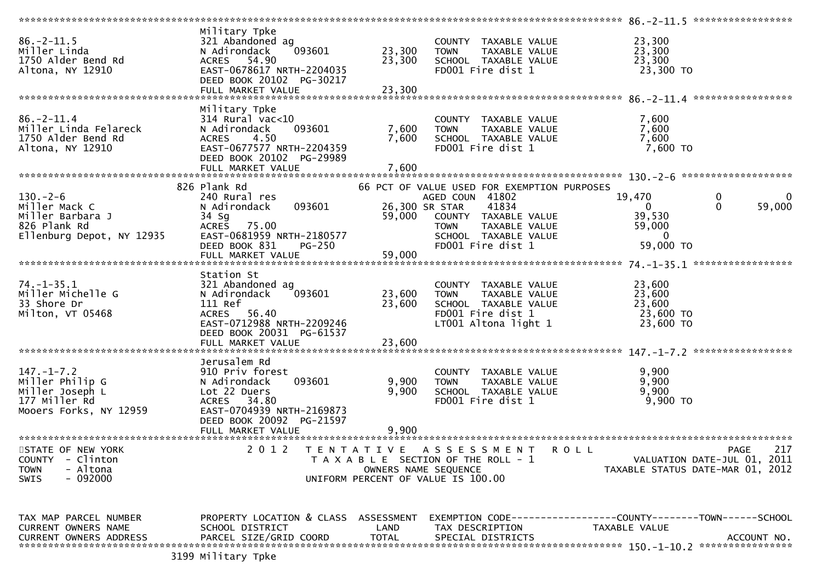|                               | Military Tpke                        |                      |                                             |                                                                     |                    |
|-------------------------------|--------------------------------------|----------------------|---------------------------------------------|---------------------------------------------------------------------|--------------------|
| $86. - 2 - 11.5$              | 321 Abandoned ag                     |                      | COUNTY TAXABLE VALUE                        | 23,300                                                              |                    |
| Miller Linda                  | N Adirondack<br>093601               | 23,300               | <b>TOWN</b><br>TAXABLE VALUE                | 23,300                                                              |                    |
| 1750 Alder Bend Rd            | ACRES 54.90                          | 23,300               | SCHOOL TAXABLE VALUE                        | 23,300                                                              |                    |
| Altona, NY 12910              | EAST-0678617 NRTH-2204035            |                      | FD001 Fire dist 1                           | 23,300 TO                                                           |                    |
|                               | DEED BOOK 20102 PG-30217             |                      |                                             |                                                                     |                    |
|                               |                                      |                      |                                             |                                                                     |                    |
|                               | FULL MARKET VALUE                    | 23,300               |                                             |                                                                     |                    |
|                               |                                      |                      |                                             |                                                                     |                    |
|                               | Military Tpke                        |                      |                                             |                                                                     |                    |
| $86. - 2 - 11.4$              | $314$ Rural vac< $10$                |                      | COUNTY TAXABLE VALUE                        | 7,600                                                               |                    |
| Miller Linda Felareck         | 093601<br>N Adirondack               | 7,600                | TAXABLE VALUE<br><b>TOWN</b>                | 7,600                                                               |                    |
| 1750 Alder Bend Rd            | 4.50<br><b>ACRES</b>                 | 7,600                | SCHOOL TAXABLE VALUE                        | 7,600                                                               |                    |
| Altona, NY 12910              | EAST-0677577 NRTH-2204359            |                      | FD001 Fire dist 1                           | $7,600$ TO                                                          |                    |
|                               | DEED BOOK 20102 PG-29989             |                      |                                             |                                                                     |                    |
|                               |                                      |                      |                                             |                                                                     |                    |
|                               |                                      |                      |                                             |                                                                     |                    |
|                               |                                      |                      |                                             |                                                                     |                    |
|                               | 826 Plank Rd                         |                      | 66 PCT OF VALUE USED FOR EXEMPTION PURPOSES |                                                                     |                    |
| $130. - 2 - 6$                | 240 Rural res                        |                      | AGED COUN 41802                             | 19,470<br>0                                                         | 0                  |
| Miller Mack C                 | 093601<br>N Adirondack               | 26,300 SR STAR       | 41834                                       | $\mathbf{0}$<br>$\mathbf{0}$                                        | 59,000             |
| Miller Barbara J              | 34 Sg                                | 59,000               | COUNTY TAXABLE VALUE                        | 39,530                                                              |                    |
| 826 Plank Rd                  | 75.00<br><b>ACRES</b>                |                      | TAXABLE VALUE<br><b>TOWN</b>                | 59,000                                                              |                    |
|                               | EAST-0681959 NRTH-2180577            |                      | SCHOOL TAXABLE VALUE                        | 0                                                                   |                    |
| Ellenburg Depot, NY 12935     |                                      |                      |                                             |                                                                     |                    |
|                               | DEED BOOK 831<br><b>PG-250</b>       |                      | FD001 Fire dist 1                           | 59,000 TO                                                           |                    |
|                               | FULL MARKET VALUE                    | 59,000               |                                             |                                                                     |                    |
|                               |                                      |                      |                                             |                                                                     |                    |
|                               | Station St                           |                      |                                             |                                                                     |                    |
| $74. - 1 - 35.1$              | 321 Abandoned ag                     |                      | COUNTY TAXABLE VALUE                        | 23,600                                                              |                    |
| Miller Michelle G             | 093601<br>N Adirondack               | 23,600               | <b>TOWN</b><br>TAXABLE VALUE                | 23,600                                                              |                    |
| 33 Shore Dr                   | 111 Ref                              | 23,600               | SCHOOL TAXABLE VALUE                        | 23,600                                                              |                    |
| Milton, VT 05468              | ACRES 56.40                          |                      | FD001 Fire dist 1                           | 23,600 TO                                                           |                    |
|                               |                                      |                      |                                             |                                                                     |                    |
|                               | EAST-0712988 NRTH-2209246            |                      | LT001 Altona light 1                        | 23,600 TO                                                           |                    |
|                               | DEED BOOK 20031 PG-61537             |                      |                                             |                                                                     |                    |
|                               | FULL MARKET VALUE                    | 23,600               |                                             |                                                                     |                    |
|                               |                                      |                      |                                             |                                                                     |                    |
|                               | Jerusalem Rd                         |                      |                                             |                                                                     |                    |
| $147. - 1 - 7.2$              | 910 Priv forest                      |                      | COUNTY TAXABLE VALUE                        | 9,900                                                               |                    |
| Miller Philip G               | 093601<br>N Adirondack               | 9,900                | TAXABLE VALUE<br><b>TOWN</b>                | 9,900                                                               |                    |
| Miller Joseph L               | Lot 22 Duers                         | 9,900                | SCHOOL TAXABLE VALUE                        | 9,900                                                               |                    |
| 177 Miller Rd                 | <b>ACRES</b><br>34.80                |                      | FD001 Fire dist 1                           | 9,900 TO                                                            |                    |
|                               | EAST-0704939 NRTH-2169873            |                      |                                             |                                                                     |                    |
| Mooers Forks, NY 12959        |                                      |                      |                                             |                                                                     |                    |
|                               | DEED BOOK 20092 PG-21597             |                      |                                             |                                                                     |                    |
|                               | FULL MARKET VALUE                    | 9,900                |                                             |                                                                     |                    |
|                               |                                      |                      |                                             |                                                                     |                    |
| STATE OF NEW YORK             | 2 0 1 2                              | T E N T A T I V E    | A S S E S S M E N T                         | <b>ROLL</b>                                                         | 217<br><b>PAGE</b> |
| <b>COUNTY</b><br>- Clinton    |                                      |                      | T A X A B L E SECTION OF THE ROLL - 1       | VALUATION DATE-JUL 01, 2011                                         |                    |
| - Altona<br>TOWN              |                                      | OWNERS NAME SEQUENCE |                                             | TAXABLE STATUS DATE-MAR 01, 2012                                    |                    |
| $-092000$<br><b>SWIS</b>      |                                      |                      | UNIFORM PERCENT OF VALUE IS 100.00          |                                                                     |                    |
|                               |                                      |                      |                                             |                                                                     |                    |
|                               |                                      |                      |                                             |                                                                     |                    |
| TAX MAP PARCEL NUMBER         | PROPERTY LOCATION & CLASS ASSESSMENT |                      |                                             | EXEMPTION        CODE-----------------COUNTY-------TOWN------SCHOOL |                    |
| <b>CURRENT OWNERS NAME</b>    | SCHOOL DISTRICT                      | LAND                 | TAX DESCRIPTION                             | TAXABLE VALUE                                                       |                    |
| <b>CURRENT OWNERS ADDRESS</b> | PARCEL SIZE/GRID COORD               | <b>TOTAL</b>         | SPECIAL DISTRICTS                           |                                                                     | ACCOUNT NO.        |
|                               |                                      |                      |                                             |                                                                     |                    |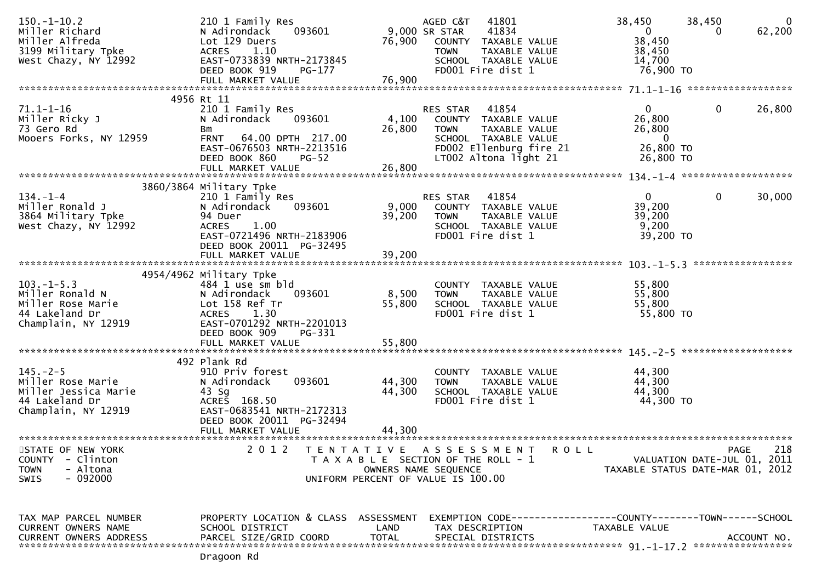| $150. - 1 - 10.2$<br>Miller Richard<br>Miller Alfreda<br>3199 Military Tpke<br>West Chazy, NY 12992    | 210 1 Family Res<br>093601<br>N Adirondack<br>Lot 129 Duers<br>ACRES 1.10<br>EAST-0733839 NRTH-2173845<br>DEED BOOK 919<br>PG-177<br>FULL MARKET VALUE                                | 76,900<br>76,900                                                                                    | AGED C&T<br>9,000 SR STAR<br><b>TOWN</b> | 41801<br>41834<br>COUNTY TAXABLE VALUE<br>TAXABLE VALUE<br>SCHOOL TAXABLE VALUE<br>FD001 Fire dist 1                       | 38,450<br>$\mathbf{0}$<br>38,450<br>38,450<br>14,700<br>76,900 TO             | 38,450<br>0                                | $\overline{0}$<br>62,200 |
|--------------------------------------------------------------------------------------------------------|---------------------------------------------------------------------------------------------------------------------------------------------------------------------------------------|-----------------------------------------------------------------------------------------------------|------------------------------------------|----------------------------------------------------------------------------------------------------------------------------|-------------------------------------------------------------------------------|--------------------------------------------|--------------------------|
|                                                                                                        |                                                                                                                                                                                       |                                                                                                     |                                          |                                                                                                                            |                                                                               |                                            |                          |
| $71.1 - 1 - 16$<br>Miller Ricky J<br>73 Gero Rd<br>Mooers Forks, NY 12959                              | 4956 Rt 11<br>210 1 Family Res<br>N Adirondack<br>093601<br>Bm<br><b>FRNT</b><br>64.00 DPTH 217.00<br>EAST-0676503 NRTH-2213516<br>DEED BOOK 860<br><b>PG-52</b><br>FULL MARKET VALUE | 4,100<br>26,800<br>26,800                                                                           | <b>RES STAR</b><br><b>TOWN</b>           | 41854<br>COUNTY TAXABLE VALUE<br>TAXABLE VALUE<br>SCHOOL TAXABLE VALUE<br>FD002 Ellenburg fire 21<br>LT002 Altona light 21 | $\mathbf{0}$<br>26,800<br>26,800<br>$\mathbf{0}$<br>26,800 TO<br>26,800 TO    | 0                                          | 26,800                   |
|                                                                                                        | 3860/3864 Military Tpke                                                                                                                                                               |                                                                                                     |                                          |                                                                                                                            |                                                                               |                                            |                          |
| $134. - 1 - 4$<br>Miller Ronald J<br>3864 Military Tpke<br>West Chazy, NY 12992                        | 210 1 Family Res<br>093601<br>N Adirondack<br>94 Duer<br><b>ACRES</b><br>1.00<br>EAST-0721496 NRTH-2183906<br>DEED BOOK 20011 PG-32495                                                | 9,000<br>39,200                                                                                     | RES STAR<br><b>TOWN</b>                  | 41854<br>COUNTY TAXABLE VALUE<br>TAXABLE VALUE<br>SCHOOL TAXABLE VALUE<br>FD001 Fire dist 1                                | $\mathbf{0}$<br>39,200<br>39,200<br>9,200<br>39,200 TO                        | $\mathbf 0$                                | 30,000                   |
|                                                                                                        | FULL MARKET VALUE                                                                                                                                                                     | 39,200                                                                                              |                                          |                                                                                                                            |                                                                               |                                            |                          |
|                                                                                                        |                                                                                                                                                                                       |                                                                                                     |                                          |                                                                                                                            |                                                                               |                                            | *****************        |
| $103. -1 - 5.3$<br>Miller Ronald N<br>Miller Rose Marie<br>44 Lakeland Dr<br>Champlain, NY 12919       | 4954/4962 Military Tpke<br>484 1 use sm bld<br>N Adirondack<br>093601<br>Lot 158 Ref Tr<br><b>ACRES</b><br>1.30<br>EAST-0701292 NRTH-2201013<br>DEED BOOK 909<br>PG-331               | 8,500<br>55,800                                                                                     | <b>TOWN</b>                              | COUNTY TAXABLE VALUE<br>TAXABLE VALUE<br>SCHOOL TAXABLE VALUE<br>FD001 Fire dist 1                                         | 55,800<br>55,800<br>55,800<br>55,800 TO                                       |                                            |                          |
|                                                                                                        | FULL MARKET VALUE                                                                                                                                                                     | 55,800                                                                                              |                                          |                                                                                                                            |                                                                               |                                            |                          |
| $145. - 2 - 5$<br>Miller Rose Marie<br>Miller Jessica Marie<br>44 Lakeland Dr<br>Champlain, NY 12919   | 492 Plank Rd<br>910 Priv forest<br>093601<br>N Adirondack<br>43 Sg<br>ACRES 168.50<br>EAST-0683541 NRTH-2172313<br>DEED BOOK 20011 PG-32494<br>FULL MARKET VALUE                      | 44,300<br>44,300<br>44.300                                                                          | <b>TOWN</b>                              | COUNTY TAXABLE VALUE<br>TAXABLE VALUE<br>SCHOOL TAXABLE VALUE<br>FD001 Fire dist 1                                         | 44,300<br>44,300<br>44,300<br>44,300 TO                                       |                                            |                          |
|                                                                                                        |                                                                                                                                                                                       |                                                                                                     |                                          |                                                                                                                            |                                                                               |                                            |                          |
| STATE OF NEW YORK<br><b>COUNTY</b><br>- Clinton<br>- Altona<br><b>TOWN</b><br>$-092000$<br><b>SWIS</b> | 2 0 1 2<br>T E N T A T I V E                                                                                                                                                          | T A X A B L E SECTION OF THE ROLL - 1<br>OWNERS NAME SEQUENCE<br>UNIFORM PERCENT OF VALUE IS 100.00 |                                          | A S S E S S M E N T<br>R O L L                                                                                             | TAXABLE STATUS DATE-MAR 01, 2012                                              | <b>PAGE</b><br>VALUATION DATE-JUL 01, 2011 | 218                      |
| TAX MAP PARCEL NUMBER<br>CURRENT OWNERS NAME<br><b>CURRENT OWNERS ADDRESS</b>                          | PROPERTY LOCATION & CLASS ASSESSMENT<br>SCHOOL DISTRICT<br>PARCEL SIZE/GRID COORD                                                                                                     | LAND<br><b>TOTAL</b>                                                                                |                                          | TAX DESCRIPTION<br>SPECIAL DISTRICTS                                                                                       | EXEMPTION CODE-----------------COUNTY-------TOWN------SCHOOL<br>TAXABLE VALUE |                                            | ACCOUNT NO.              |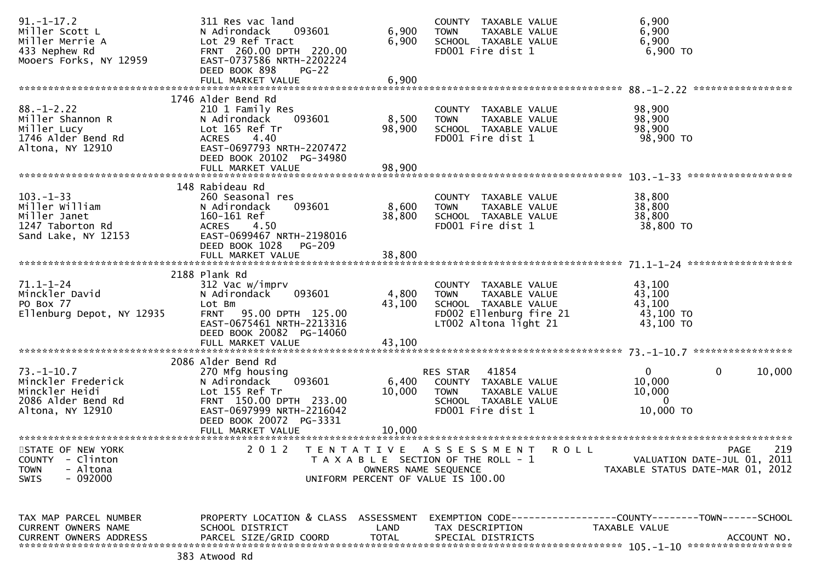| $91. - 1 - 17.2$<br>Miller Scott L<br>Miller Merrie A<br>433 Nephew Rd<br>Mooers Forks, NY 12959       | 311 Res vac land<br>093601<br>N Adirondack<br>Lot 29 Ref Tract<br>FRNT 260.00 DPTH 220.00<br>EAST-0737586 NRTH-2202224<br>DEED BOOK 898<br>$PG-22$                                | 6,900<br>6,900            | COUNTY TAXABLE VALUE<br><b>TOWN</b><br>TAXABLE VALUE<br>SCHOOL TAXABLE VALUE<br>FD001 Fire dist 1                                | 6,900<br>6,900<br>6,900<br>6,900 TO                                                  |             |
|--------------------------------------------------------------------------------------------------------|-----------------------------------------------------------------------------------------------------------------------------------------------------------------------------------|---------------------------|----------------------------------------------------------------------------------------------------------------------------------|--------------------------------------------------------------------------------------|-------------|
|                                                                                                        | FULL MARKET VALUE                                                                                                                                                                 | 6,900                     |                                                                                                                                  |                                                                                      |             |
| $88. - 1 - 2.22$<br>Miller Shannon R<br>Miller Lucy<br>1746 Alder Bend Rd<br>Altona, NY 12910          | 1746 Alder Bend Rd<br>210 1 Family Res<br>093601<br>N Adirondack<br>Lot 165 Ref Tr<br>4.40<br>ACRES<br>EAST-0697793 NRTH-2207472<br>DEED BOOK 20102 PG-34980<br>FULL MARKET VALUE | 8,500<br>98,900<br>98,900 | COUNTY TAXABLE VALUE<br><b>TOWN</b><br>TAXABLE VALUE<br>SCHOOL TAXABLE VALUE<br>FD001 Fire dist 1                                | 98,900<br>98,900<br>98,900<br>98,900 TO                                              |             |
|                                                                                                        |                                                                                                                                                                                   |                           |                                                                                                                                  |                                                                                      |             |
| $103 - 1 - 33$<br>Miller William<br>Miller Janet<br>1247 Taborton Rd<br>Sand Lake, NY 12153            | 148 Rabideau Rd<br>260 Seasonal res<br>093601<br>N Adirondack<br>160-161 Ref<br><b>ACRES</b><br>4.50<br>EAST-0699467 NRTH-2198016                                                 | 8,600<br>38,800           | COUNTY TAXABLE VALUE<br><b>TOWN</b><br>TAXABLE VALUE<br>SCHOOL TAXABLE VALUE<br>FD001 Fire dist 1                                | 38,800<br>38,800<br>38,800<br>38,800 TO                                              |             |
|                                                                                                        | DEED BOOK 1028 PG-209<br>FULL MARKET VALUE                                                                                                                                        | 38,800                    |                                                                                                                                  |                                                                                      |             |
| $71.1 - 1 - 24$<br>Minckler David<br>PO Box 77<br>Ellenburg Depot, NY 12935                            | 2188 Plank Rd<br>312 Vac w/imprv<br>N Adirondack<br>093601<br>Lot Bm<br>FRNT 95.00 DPTH 125.00<br>EAST-0675461 NRTH-2213316<br>DEED BOOK 20082 PG-14060                           | 4,800<br>43,100           | COUNTY TAXABLE VALUE<br><b>TOWN</b><br>TAXABLE VALUE<br>SCHOOL TAXABLE VALUE<br>FD002 Ellenburg fire 21<br>LT002 Altona light 21 | 43,100<br>43,100<br>43,100<br>43,100 TO<br>43,100 TO                                 |             |
|                                                                                                        | FULL MARKET VALUE                                                                                                                                                                 | 43,100                    |                                                                                                                                  |                                                                                      |             |
| $73. - 1 - 10.7$<br>Minckler Frederick<br>Minckler Heidi<br>2086 Alder Bend Rd<br>Altona, NY 12910     | 2086 Alder Bend Rd<br>270 Mfg housing<br>093601<br>N Adirondack<br>Lot 155 Ref Tr<br>FRNT 150.00 DPTH 233.00<br>EAST-0697999 NRTH-2216042<br>DEED BOOK 20072 PG-3331              | 6,400<br>10,000           | 41854<br>RES STAR<br>COUNTY TAXABLE VALUE<br><b>TOWN</b><br>TAXABLE VALUE<br>SCHOOL TAXABLE VALUE<br>FD001 Fire dist 1           | $\mathbf{0}$<br>0<br>10,000<br>10,000<br>$\Omega$<br>10,000 TO                       | 10,000      |
|                                                                                                        | FULL MARKET VALUE                                                                                                                                                                 | 10,000                    |                                                                                                                                  |                                                                                      |             |
| STATE OF NEW YORK<br><b>COUNTY</b><br>- Clinton<br>- Altona<br><b>TOWN</b><br>$-092000$<br><b>SWIS</b> | 2 0 1 2                                                                                                                                                                           | OWNERS NAME SEQUENCE      | TENTATIVE ASSESSMENT<br><b>ROLL</b><br>T A X A B L E SECTION OF THE ROLL - 1<br>UNIFORM PERCENT OF VALUE IS 100.00               | <b>PAGE</b><br>VALUATION DATE-JUL 01, 2011<br>TAXABLE STATUS DATE-MAR 01, 2012       | 219         |
| TAX MAP PARCEL NUMBER<br>CURRENT OWNERS NAME<br><b>CURRENT OWNERS ADDRESS</b>                          | PROPERTY LOCATION & CLASS ASSESSMENT<br>SCHOOL DISTRICT<br>PARCEL SIZE/GRID COORD                                                                                                 | LAND<br><b>TOTAL</b>      | TAX DESCRIPTION<br>SPECIAL DISTRICTS                                                                                             | EXEMPTION        CODE-----------------COUNTY-------TOWN------SCHOOL<br>TAXABLE VALUE | ACCOUNT NO. |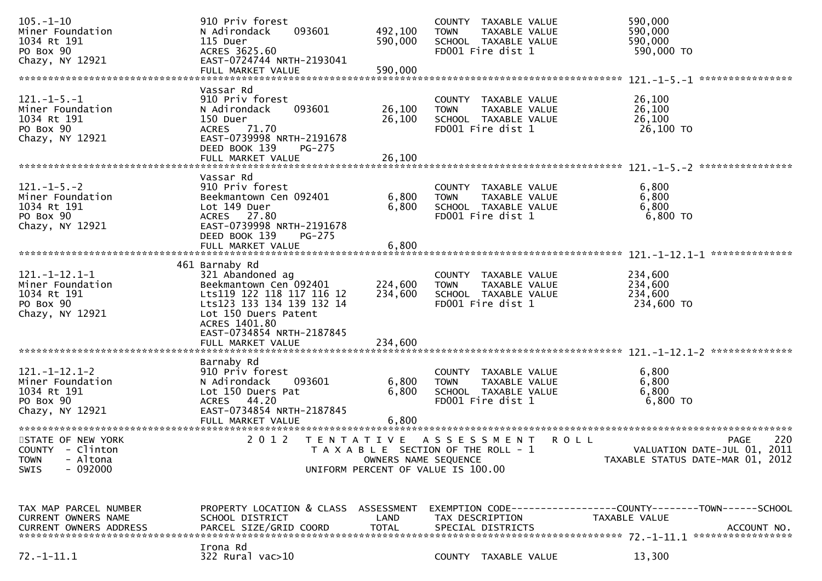| $105. - 1 - 10$<br>Miner Foundation<br>1034 Rt 191<br>PO Box 90<br>Chazy, NY 12921           | 910 Priv forest<br>093601<br>N Adirondack<br>115 Duer<br>ACRES 3625.60<br>EAST-0724744 NRTH-2193041                                                             | 492,100<br>590,000      | COUNTY TAXABLE VALUE<br>TAXABLE VALUE<br><b>TOWN</b><br>SCHOOL TAXABLE VALUE<br>FD001 Fire dist 1  |             | 590,000<br>590,000<br>590,000<br>590,000 TO                                                  |
|----------------------------------------------------------------------------------------------|-----------------------------------------------------------------------------------------------------------------------------------------------------------------|-------------------------|----------------------------------------------------------------------------------------------------|-------------|----------------------------------------------------------------------------------------------|
|                                                                                              |                                                                                                                                                                 |                         |                                                                                                    |             |                                                                                              |
| $121. -1 - 5. -1$<br>Miner Foundation<br>1034 Rt 191<br>PO Box 90<br>Chazy, NY 12921         | Vassar Rd<br>910 Priv forest<br>093601<br>N Adirondack<br>150 Duer<br>ACRES 71.70<br>EAST-0739998 NRTH-2191678                                                  | 26,100<br>26,100        | COUNTY TAXABLE VALUE<br><b>TOWN</b><br>TAXABLE VALUE<br>SCHOOL TAXABLE VALUE<br>FD001 Fire dist 1  |             | 26,100<br>26,100<br>26,100<br>26,100 TO                                                      |
|                                                                                              | DEED BOOK 139<br>PG-275                                                                                                                                         |                         |                                                                                                    |             |                                                                                              |
| $121. - 1 - 5. - 2$<br>Miner Foundation<br>1034 Rt 191<br>PO Box 90<br>Chazy, NY 12921       | Vassar Rd<br>910 Priv forest<br>Beekmantown Cen 092401<br>Lot 149 Duer<br>ACRES 27.80<br>EAST-0739998 NRTH-2191678<br>DEED BOOK 139<br><b>PG-275</b>            | 6,800<br>6,800          | COUNTY TAXABLE VALUE<br>TAXABLE VALUE<br><b>TOWN</b><br>SCHOOL TAXABLE VALUE<br>FD001 Fire dist 1  |             | 6,800<br>6,800<br>6,800<br>$6,800$ TO                                                        |
|                                                                                              |                                                                                                                                                                 |                         |                                                                                                    |             |                                                                                              |
| $121. - 1 - 12.1 - 1$<br>Miner Foundation<br>1034 Rt 191<br>PO Box 90<br>Chazy, NY 12921     | 461 Barnaby Rd<br>321 Abandoned ag<br>Beekmantown Cen 092401<br>Lts119 122 118 117 116 12<br>Lts123 133 134 139 132 14<br>Lot 150 Duers Patent<br>ACRES 1401.80 | 224,600<br>234,600      | COUNTY TAXABLE VALUE<br>TAXABLE VALUE<br><b>TOWN</b><br>SCHOOL TAXABLE VALUE<br>FD001 Fire dist 1  |             | 234,600<br>234,600<br>234,600<br>234,600 TO                                                  |
|                                                                                              | EAST-0734854 NRTH-2187845<br>FULL MARKET VALUE                                                                                                                  | 234,600                 |                                                                                                    |             |                                                                                              |
| $121. - 1 - 12.1 - 2$<br>Miner Foundation<br>1034 Rt 191<br>PO Box 90<br>Chazy, NY 12921     | Barnaby Rd<br>910 Priv forest<br>N Adirondack<br>093601<br>Lot 150 Duers Pat<br>ACRES 44.20<br>EAST-0734854 NRTH-2187845<br>FULL MARKET VALUE                   | 6,800<br>6,800<br>6,800 | COUNTY TAXABLE VALUE<br>TAXABLE VALUE<br><b>TOWN</b><br>SCHOOL TAXABLE VALUE<br>FD001 Fire dist 1  |             | 6,800<br>6,800<br>6,800<br>6,800 TO                                                          |
| STATE OF NEW YORK<br>COUNTY - Clinton<br><b>TOWN</b><br>- Altona<br>$-092000$<br><b>SWIS</b> | 2 0 1 2<br>T E N T A T I V E                                                                                                                                    | OWNERS NAME SEQUENCE    | A S S E S S M E N T<br>T A X A B L E SECTION OF THE ROLL - 1<br>UNIFORM PERCENT OF VALUE IS 100.00 | <b>ROLL</b> | 220<br><b>PAGE</b><br>VALUATION DATE-JUL 01, 2011<br>TAXABLE STATUS DATE-MAR 01, 2012        |
| TAX MAP PARCEL NUMBER<br>CURRENT OWNERS NAME<br><b>CURRENT OWNERS ADDRESS</b>                | PROPERTY LOCATION & CLASS ASSESSMENT<br>SCHOOL DISTRICT<br>PARCEL SIZE/GRID COORD<br>Irona Rd                                                                   | LAND<br><b>TOTAL</b>    | TAX DESCRIPTION<br>SPECIAL DISTRICTS                                                               |             | EXEMPTION CODE-----------------COUNTY-------TOWN------SCHOOL<br>TAXABLE VALUE<br>ACCOUNT NO. |
| $72. - 1 - 11.1$                                                                             | 322 Rural vac>10                                                                                                                                                |                         | COUNTY TAXABLE VALUE                                                                               |             | 13,300                                                                                       |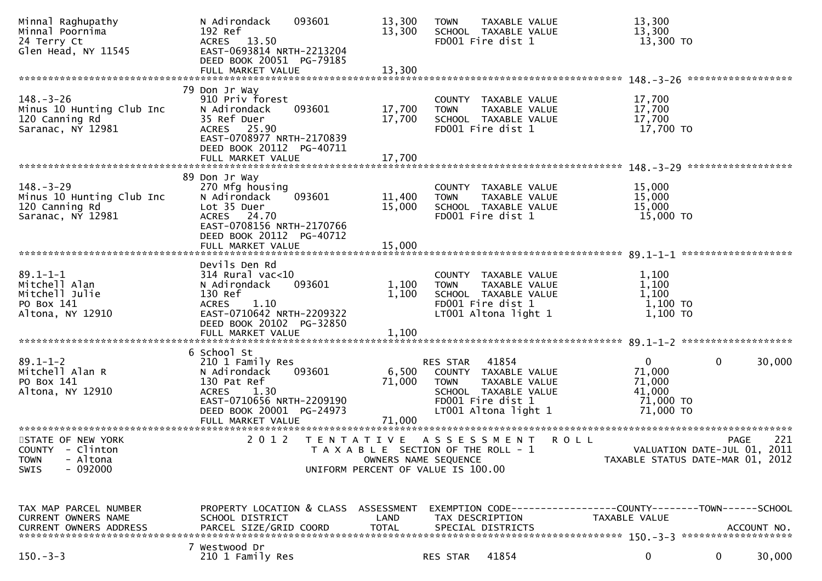| Minnal Raghupathy<br>Minnal Poornima<br>24 Terry Ct<br>Glen Head, NY 11545            | N Adirondack<br>192 Ref<br>ACRES 13.50<br>EAST-0693814 NRTH-2213204<br>DEED BOOK 20051 PG-79185                                                                      | 093601                                                                                              | 13,300<br>13,300          | <b>TOWN</b>             | TAXABLE VALUE<br>SCHOOL TAXABLE VALUE<br>FD001 Fire dist 1                                                          |             | 13,300<br>13,300<br>13,300 TO                                                   |             |             |
|---------------------------------------------------------------------------------------|----------------------------------------------------------------------------------------------------------------------------------------------------------------------|-----------------------------------------------------------------------------------------------------|---------------------------|-------------------------|---------------------------------------------------------------------------------------------------------------------|-------------|---------------------------------------------------------------------------------|-------------|-------------|
|                                                                                       |                                                                                                                                                                      |                                                                                                     |                           |                         |                                                                                                                     |             |                                                                                 |             |             |
| $148. - 3 - 26$<br>Minus 10 Hunting Club Inc<br>120 Canning Rd<br>Saranac, NY 12981   | 79 Don Jr Way<br>910 Priv forest<br>N Adirondack<br>35 Ref Duer<br>ACRES 25.90<br>EAST-0708977 NRTH-2170839                                                          | 093601                                                                                              | 17,700<br>17,700          | <b>TOWN</b>             | COUNTY TAXABLE VALUE<br>TAXABLE VALUE<br>SCHOOL TAXABLE VALUE<br>FD001 Fire dist 1                                  |             | 17,700<br>17,700<br>17,700<br>17,700 TO                                         |             |             |
|                                                                                       | DEED BOOK 20112 PG-40711                                                                                                                                             |                                                                                                     | 17,700                    |                         |                                                                                                                     |             |                                                                                 |             |             |
|                                                                                       | FULL MARKET VALUE                                                                                                                                                    |                                                                                                     |                           |                         |                                                                                                                     |             |                                                                                 |             |             |
| $148. - 3 - 29$<br>Minus 10 Hunting Club Inc<br>120 Canning Rd<br>Saranac, NY 12981   | 89 Don Jr Way<br>270 Mfg housing<br>N Adirondack<br>Lot 35 Duer<br>ACRES 24.70<br>EAST-0708156 NRTH-2170766<br>DEED BOOK 20112 PG-40712                              | 093601                                                                                              | 11,400<br>15,000          | <b>TOWN</b>             | COUNTY TAXABLE VALUE<br>TAXABLE VALUE<br>SCHOOL TAXABLE VALUE<br>FD001 Fire dist 1                                  |             | 15,000<br>15,000<br>15,000<br>15,000 TO                                         |             |             |
|                                                                                       |                                                                                                                                                                      |                                                                                                     |                           |                         |                                                                                                                     |             |                                                                                 |             |             |
|                                                                                       |                                                                                                                                                                      |                                                                                                     |                           |                         |                                                                                                                     |             |                                                                                 |             |             |
| $89.1 - 1 - 1$<br>Mitchell Alan<br>Mitchell Julie<br>PO Box 141<br>Altona, NY 12910   | Devils Den Rd<br>$314$ Rural vac<10<br>N Adirondack<br>130 Ref<br>1.10<br><b>ACRES</b><br>EAST-0710642 NRTH-2209322<br>DEED BOOK 20102 PG-32850                      | 093601                                                                                              | 1,100<br>1,100            | <b>TOWN</b>             | COUNTY TAXABLE VALUE<br>TAXABLE VALUE<br>SCHOOL TAXABLE VALUE<br>FD001 Fire dist 1<br>LT001 Altona light 1          |             | 1,100<br>1,100<br>1,100<br>$1,100$ TO<br>1,100 TO                               |             |             |
|                                                                                       | FULL MARKET VALUE                                                                                                                                                    |                                                                                                     | 1,100                     |                         |                                                                                                                     |             |                                                                                 |             |             |
| $89.1 - 1 - 2$<br>Mitchell Alan R<br>PO Box 141<br>Altona, NY 12910                   | 6 School St<br>210 1 Family Res<br>N Adirondack<br>130 Pat Ref<br>1.30<br><b>ACRES</b><br>EAST-0710656 NRTH-2209190<br>DEED BOOK 20001 PG-24973<br>FULL MARKET VALUE | 093601                                                                                              | 6,500<br>71,000<br>71,000 | RES STAR<br><b>TOWN</b> | 41854<br>COUNTY TAXABLE VALUE<br>TAXABLE VALUE<br>SCHOOL TAXABLE VALUE<br>FD001 Fire dist 1<br>LT001 Altona light 1 |             | $\mathbf{0}$<br>71,000<br>71,000<br>41,000<br>71,000 TO<br>71,000 TO            | 0           | 30,000      |
| STATE OF NEW YORK<br>COUNTY - Clinton<br>- Altona<br><b>TOWN</b><br>$-092000$<br>SWIS | 2 0 1 2                                                                                                                                                              | TENTATIVE ASSESSMENT<br>T A X A B L E SECTION OF THE ROLL - 1<br>UNIFORM PERCENT OF VALUE IS 100.00 | OWNERS NAME SEQUENCE      |                         |                                                                                                                     | <b>ROLL</b> | VALUATION DATE-JUL 01, 2011<br>TAXABLE STATUS DATE-MAR 01, 2012                 | <b>PAGE</b> | 221         |
| TAX MAP PARCEL NUMBER<br>CURRENT OWNERS NAME<br><b>CURRENT OWNERS ADDRESS</b>         | PROPERTY LOCATION & CLASS ASSESSMENT<br>SCHOOL DISTRICT<br>PARCEL SIZE/GRID COORD                                                                                    |                                                                                                     | LAND<br><b>TOTAL</b>      |                         | TAX DESCRIPTION<br>SPECIAL DISTRICTS                                                                                |             | EXEMPTION CODE------------------COUNTY--------TOWN------SCHOOL<br>TAXABLE VALUE |             | ACCOUNT NO. |
| $150. - 3 - 3$                                                                        | 7 Westwood Dr<br>210 1 Family Res                                                                                                                                    |                                                                                                     |                           | RES STAR                | 41854                                                                                                               |             | 0                                                                               | 0           | 30,000      |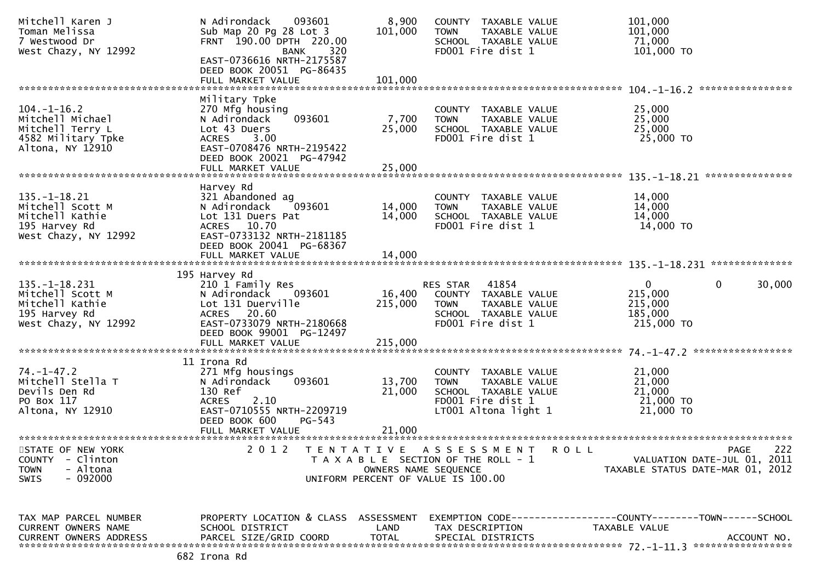| Mitchell Karen J<br>Toman Melissa<br>7 Westwood Dr<br>West Chazy, NY 12992                             | N Adirondack<br>093601<br>Sub Map 20 Pg 28 Lot 3<br>FRNT 190.00 DPTH 220.00<br>320<br>BANK                                                                                    | 8,900<br>101,000                          | COUNTY TAXABLE VALUE<br>TAXABLE VALUE<br><b>TOWN</b><br>SCHOOL TAXABLE VALUE<br>FD001 Fire dist 1                         | 101,000<br>101,000<br>71,000<br>101,000 TO                                                          |
|--------------------------------------------------------------------------------------------------------|-------------------------------------------------------------------------------------------------------------------------------------------------------------------------------|-------------------------------------------|---------------------------------------------------------------------------------------------------------------------------|-----------------------------------------------------------------------------------------------------|
|                                                                                                        | EAST-0736616 NRTH-2175587<br>DEED BOOK 20051 PG-86435<br>FULL MARKET VALUE                                                                                                    | 101,000                                   |                                                                                                                           | ****************                                                                                    |
| $104. - 1 - 16.2$<br>Mitchell Michael<br>Mitchell Terry L<br>4582 Military Tpke<br>Altona, NY 12910    | Military Tpke<br>270 Mfg housing<br>093601<br>N Adirondack<br>Lot 43 Duers<br><b>ACRES</b><br>3.00<br>EAST-0708476 NRTH-2195422<br>DEED BOOK 20021 PG-47942                   | 7,700<br>25,000                           | COUNTY TAXABLE VALUE<br>TAXABLE VALUE<br><b>TOWN</b><br>SCHOOL TAXABLE VALUE<br>FD001 Fire dist 1                         | 25,000<br>25,000<br>25,000<br>25,000 TO                                                             |
|                                                                                                        | FULL MARKET VALUE                                                                                                                                                             | 25,000                                    |                                                                                                                           | ***************                                                                                     |
| $135. - 1 - 18.21$<br>Mitchell Scott M<br>Mitchell Kathie<br>195 Harvey Rd<br>West Chazy, NY 12992     | Harvey Rd<br>321 Abandoned ag<br>N Adirondack<br>093601<br>Lot 131 Duers Pat<br>ACRES 10.70<br>EAST-0733132 NRTH-2181185                                                      | 14,000<br>14,000                          | COUNTY TAXABLE VALUE<br>TAXABLE VALUE<br><b>TOWN</b><br>SCHOOL TAXABLE VALUE<br>FD001 Fire dist 1                         | 14,000<br>14,000<br>14,000<br>14,000 TO                                                             |
|                                                                                                        | DEED BOOK 20041 PG-68367<br>FULL MARKET VALUE                                                                                                                                 | 14,000                                    |                                                                                                                           |                                                                                                     |
| $135. - 1 - 18.231$<br>Mitchell Scott M<br>Mitchell Kathie<br>195 Harvey Rd<br>West Chazy, NY 12992    | 195 Harvey Rd<br>210 1 Family Res<br>N Adirondack<br>093601<br>Lot 131 Duerville<br>ACRES 20.60<br>EAST-0733079 NRTH-2180668<br>DEED BOOK 99001 PG-12497<br>FULL MARKET VALUE | 16,400<br>215,000<br>215,000              | RES STAR<br>41854<br>COUNTY<br>TAXABLE VALUE<br><b>TOWN</b><br>TAXABLE VALUE<br>SCHOOL TAXABLE VALUE<br>FD001 Fire dist 1 | $\overline{0}$<br>0<br>30,000<br>215,000<br>215,000<br>185,000<br>215,000 TO                        |
|                                                                                                        |                                                                                                                                                                               |                                           |                                                                                                                           |                                                                                                     |
| $74. - 1 - 47.2$<br>Mitchell Stella T<br>Devils Den Rd<br>PO Box 117<br>Altona, NY 12910               | 11 Irona Rd<br>271 Mfg housings<br>093601<br>N Adirondack<br>130 Ref<br>2.10<br><b>ACRES</b><br>EAST-0710555 NRTH-2209719<br>DEED BOOK 600<br>$PG-543$<br>FULL MARKET VALUE   | 13,700<br>21,000<br>21,000                | COUNTY TAXABLE VALUE<br>TAXABLE VALUE<br><b>TOWN</b><br>SCHOOL TAXABLE VALUE<br>FD001 Fire dist 1<br>LT001 Altona light 1 | 21,000<br>21,000<br>21,000<br>21,000 TO<br>21,000 TO                                                |
| *************************                                                                              | *************************                                                                                                                                                     |                                           |                                                                                                                           |                                                                                                     |
| STATE OF NEW YORK<br><b>COUNTY</b><br>- Clinton<br>- Altona<br><b>TOWN</b><br>$-092000$<br><b>SWIS</b> | 2 0 1 2                                                                                                                                                                       | T E N T A T I V E<br>OWNERS NAME SEQUENCE | A S S E S S M E N T<br>R O L L<br>T A X A B L E SECTION OF THE ROLL - 1<br>UNIFORM PERCENT OF VALUE IS 100.00             | 222<br><b>PAGE</b><br>VALUATION DATE-JUL 01, 2011<br>TAXABLE STATUS DATE-MAR 01, 2012               |
| TAX MAP PARCEL NUMBER<br>CURRENT OWNERS NAME<br><b>CURRENT OWNERS ADDRESS</b>                          | PROPERTY LOCATION & CLASS ASSESSMENT<br>SCHOOL DISTRICT<br>PARCEL SIZE/GRID COORD                                                                                             | LAND<br><b>TOTAL</b>                      | TAX DESCRIPTION<br>SPECIAL DISTRICTS                                                                                      | EXEMPTION        CODE-----------------COUNTY-------TOWN------SCHOOL<br>TAXABLE VALUE<br>ACCOUNT NO. |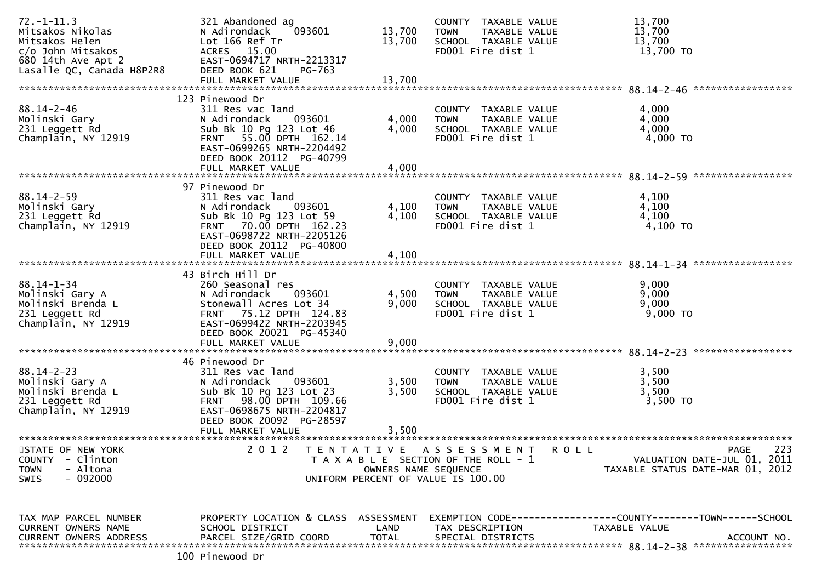| $72. - 1 - 11.3$<br>Mitsakos Nikolas<br>Mitsakos Helen<br>c/o John Mitsakos<br>680 14th Ave Apt 2<br>Lasalle QC, Canada H8P2R8 | 321 Abandoned ag<br>N Adirondack<br>093601<br>Lot 166 Ref Tr<br>ACRES 15.00<br>EAST-0694717 NRTH-2213317<br>DEED BOOK 621<br>PG-763<br>FULL MARKET VALUE                                         | 13,700<br>13,700<br>13,700                | COUNTY TAXABLE VALUE<br><b>TOWN</b><br>TAXABLE VALUE<br>SCHOOL TAXABLE VALUE<br>FD001 Fire dist 1                 | 13,700<br>13,700<br>13,700<br>13,700 TO                                                      |
|--------------------------------------------------------------------------------------------------------------------------------|--------------------------------------------------------------------------------------------------------------------------------------------------------------------------------------------------|-------------------------------------------|-------------------------------------------------------------------------------------------------------------------|----------------------------------------------------------------------------------------------|
| $88.14 - 2 - 46$<br>Molinski Gary<br>231 Leggett Rd<br>Champlain, NY 12919                                                     | 123 Pinewood Dr<br>311 Res vac land<br>N Adirondack<br>093601<br>Sub Bk 10 Pg 123 Lot 46<br>FRNT 55.00 DPTH 162.14<br>EAST-0699265 NRTH-2204492<br>DEED BOOK 20112 PG-40799<br>FULL MARKET VALUE | 4,000<br>4,000<br>4,000                   | COUNTY TAXABLE VALUE<br>TAXABLE VALUE<br><b>TOWN</b><br>SCHOOL TAXABLE VALUE<br>FD001 Fire dist 1                 | 4,000<br>4,000<br>4,000<br>4,000 TO                                                          |
| $88.14 - 2 - 59$<br>Molinski Gary<br>231 Leggett Rd<br>Champlain, NY 12919                                                     | 97 Pinewood Dr<br>311 Res vac land<br>N Adirondack<br>093601<br>Sub Bk 10 Pg 123 Lot 59<br>FRNT 70.00 DPTH 162.23<br>EAST-0698722 NRTH-2205126<br>DEED BOOK 20112 PG-40800<br>FULL MARKET VALUE  | 4,100<br>4,100<br>4,100                   | COUNTY TAXABLE VALUE<br>TAXABLE VALUE<br><b>TOWN</b><br>SCHOOL TAXABLE VALUE<br>FD001 Fire dist 1                 | 4,100<br>4,100<br>4,100<br>4,100 TO                                                          |
| $88.14 - 1 - 34$<br>Molinski Gary A<br>Molinski Brenda L<br>231 Leggett Rd<br>Champlain, NY 12919                              | 43 Birch Hill Dr<br>260 Seasonal res<br>N Adirondack<br>093601<br>Stonewall Acres Lot 34<br>FRNT 75.12 DPTH 124.83<br>EAST-0699422 NRTH-2203945<br>DEED BOOK 20021 PG-45340<br>FULL MARKET VALUE | 4,500<br>9,000<br>9,000                   | COUNTY TAXABLE VALUE<br>TAXABLE VALUE<br><b>TOWN</b><br>SCHOOL TAXABLE VALUE<br>FD001 Fire dist 1                 | 9,000<br>9,000<br>9,000<br>$9,000$ TO                                                        |
| $88.14 - 2 - 23$<br>Molinski Gary A<br>Molinski Brenda L<br>231 Leggett Rd<br>Champlain, NY 12919<br>**********************    | 46 Pinewood Dr<br>311 Res vac land<br>N Adirondack<br>093601<br>Sub Bk 10 Pg 123 Lot 23<br>FRNT 98.00 DPTH 109.66<br>EAST-0698675 NRTH-2204817<br>DEED BOOK 20092 PG-28597<br>FULL MARKET VALUE  | 3,500<br>3,500<br>3,500                   | COUNTY TAXABLE VALUE<br>TAXABLE VALUE<br><b>TOWN</b><br>SCHOOL TAXABLE VALUE<br>FD001 Fire dist 1                 | 3,500<br>3,500<br>3,500<br>3,500 TO                                                          |
| STATE OF NEW YORK<br><b>COUNTY</b><br>- Clinton<br>- Altona<br><b>TOWN</b><br>$-092000$<br><b>SWIS</b>                         | 2 0 1 2                                                                                                                                                                                          | T E N T A T I V E<br>OWNERS NAME SEQUENCE | A S S E S S M E N T<br><b>ROLL</b><br>T A X A B L E SECTION OF THE ROLL - 1<br>UNIFORM PERCENT OF VALUE IS 100.00 | 223<br><b>PAGE</b><br>VALUATION DATE-JUL 01, 2011<br>TAXABLE STATUS DATE-MAR 01, 2012        |
| TAX MAP PARCEL NUMBER<br>CURRENT OWNERS NAME<br><b>CURRENT OWNERS ADDRESS</b>                                                  | PROPERTY LOCATION & CLASS ASSESSMENT<br>SCHOOL DISTRICT<br>PARCEL SIZE/GRID COORD                                                                                                                | LAND<br><b>TOTAL</b>                      | TAX DESCRIPTION<br>SPECIAL DISTRICTS                                                                              | EXEMPTION CODE-----------------COUNTY-------TOWN------SCHOOL<br>TAXABLE VALUE<br>ACCOUNT NO. |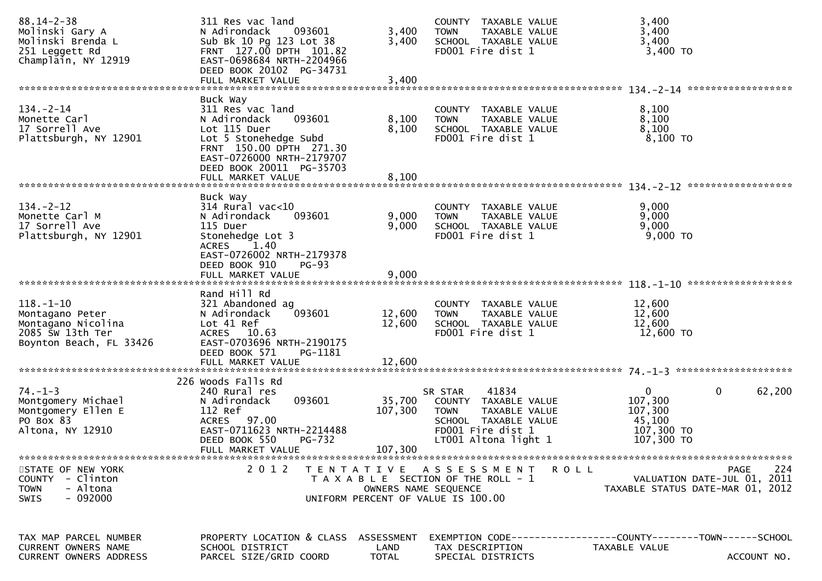| $88.14 - 2 - 38$<br>Molinski Gary A<br>Molinski Brenda L<br>251 Leggett Rd<br>Champlain, NY 12919       | 311 Res vac land<br>N Adirondack<br>093601<br>Sub Bk 10 Pg 123 Lot 38<br>FRNT 127.00 DPTH 101.82<br>EAST-0698684 NRTH-2204966<br>DEED BOOK 20102 PG-34731<br>FULL MARKET VALUE | 3,400<br>3,400<br>3,400      | COUNTY TAXABLE VALUE<br><b>TOWN</b><br>TAXABLE VALUE<br>SCHOOL TAXABLE VALUE<br>FD001 Fire dist 1                                             | 3,400<br>3,400<br>3,400<br>3,400 TO                                                                 |
|---------------------------------------------------------------------------------------------------------|--------------------------------------------------------------------------------------------------------------------------------------------------------------------------------|------------------------------|-----------------------------------------------------------------------------------------------------------------------------------------------|-----------------------------------------------------------------------------------------------------|
|                                                                                                         | Buck Way                                                                                                                                                                       |                              |                                                                                                                                               |                                                                                                     |
| $134 - 2 - 14$<br>Monette Carl<br>17 Sorrell Ave<br>Plattsburgh, NY 12901                               | 311 Res vac land<br>093601<br>N Adirondack<br>Lot 115 Duer<br>Lot 5 Stonehedge Subd<br>FRNT 150.00 DPTH 271.30<br>EAST-0726000 NRTH-2179707<br>DEED BOOK 20011 PG-35703        | 8,100<br>8,100               | COUNTY TAXABLE VALUE<br><b>TOWN</b><br>TAXABLE VALUE<br>SCHOOL TAXABLE VALUE<br>FD001 Fire dist 1                                             | 8,100<br>8,100<br>8,100<br>8,100 TO                                                                 |
|                                                                                                         | FULL MARKET VALUE                                                                                                                                                              | 8,100                        |                                                                                                                                               |                                                                                                     |
|                                                                                                         | Buck Way                                                                                                                                                                       |                              |                                                                                                                                               |                                                                                                     |
| $134 - 2 - 12$<br>Monette Carl M<br>17 Sorrell Ave<br>Plattsburgh, NY 12901                             | $314$ Rural vac<10<br>093601<br>N Adirondack<br>115 Duer<br>Stonehedge Lot 3<br><b>ACRES</b><br>1.40                                                                           | 9,000<br>9,000               | COUNTY TAXABLE VALUE<br><b>TOWN</b><br>TAXABLE VALUE<br>SCHOOL TAXABLE VALUE<br>FD001 Fire dist 1                                             | 9,000<br>9,000<br>9,000<br>$9,000$ TO                                                               |
|                                                                                                         | EAST-0726002 NRTH-2179378<br>DEED BOOK 910<br><b>PG-93</b><br>FULL MARKET VALUE                                                                                                | 9,000                        |                                                                                                                                               |                                                                                                     |
| $118. - 1 - 10$<br>Montagano Peter<br>Montagano Nicolina<br>2085 SW 13th Ter<br>Boynton Beach, FL 33426 | Rand Hill Rd<br>321 Abandoned ag<br>093601<br>N Adirondack<br>Lot 41 Ref<br>ACRES 10.63<br>EAST-0703696 NRTH-2190175<br>DEED BOOK 571<br>PG-1181                               | 12,600<br>12,600             | COUNTY TAXABLE VALUE<br>TAXABLE VALUE<br><b>TOWN</b><br>SCHOOL TAXABLE VALUE<br>FD001 Fire dist 1                                             | 12,600<br>12,600<br>12,600<br>12,600 TO                                                             |
|                                                                                                         |                                                                                                                                                                                |                              |                                                                                                                                               |                                                                                                     |
| $74. - 1 - 3$<br>Montgomery Michael<br>Montgomery Ellen E<br>PO Box 83<br>Altona, NY 12910              | 226 Woods Falls Rd<br>240 Rural res<br>093601<br>N Adirondack<br>112 Ref<br>ACRES 97.00<br>EAST-0711623 NRTH-2214488<br>DEED BOOK 550<br><b>PG-732</b><br>FULL MARKET VALUE    | 35,700<br>107,300<br>107,300 | 41834<br>SR STAR<br>COUNTY TAXABLE VALUE<br><b>TOWN</b><br>TAXABLE VALUE<br>SCHOOL TAXABLE VALUE<br>FD001 Fire dist 1<br>LT001 Altona light 1 | $\mathbf 0$<br>0<br>62,200<br>107,300<br>107,300<br>45,100<br>107,300 TO<br>107,300 TO              |
| STATE OF NEW YORK<br>COUNTY - Clinton<br>- Altona<br><b>TOWN</b><br>- 092000<br><b>SWIS</b>             | 2 0 1 2<br>T E N T A T I V E                                                                                                                                                   | OWNERS NAME SEQUENCE         | A S S E S S M E N T<br><b>ROLL</b><br>T A X A B L E SECTION OF THE ROLL - 1<br>UNIFORM PERCENT OF VALUE IS 100.00                             | 224<br><b>PAGE</b><br>VALUATION DATE-JUL 01, 2011<br>TAXABLE STATUS DATE-MAR 01, 2012               |
| TAX MAP PARCEL NUMBER<br>CURRENT OWNERS NAME<br><b>CURRENT OWNERS ADDRESS</b>                           | PROPERTY LOCATION & CLASS ASSESSMENT<br>SCHOOL DISTRICT<br>PARCEL SIZE/GRID COORD                                                                                              | LAND<br>TOTAL                | TAX DESCRIPTION<br>SPECIAL DISTRICTS                                                                                                          | EXEMPTION        CODE-----------------COUNTY-------TOWN------SCHOOL<br>TAXABLE VALUE<br>ACCOUNT NO. |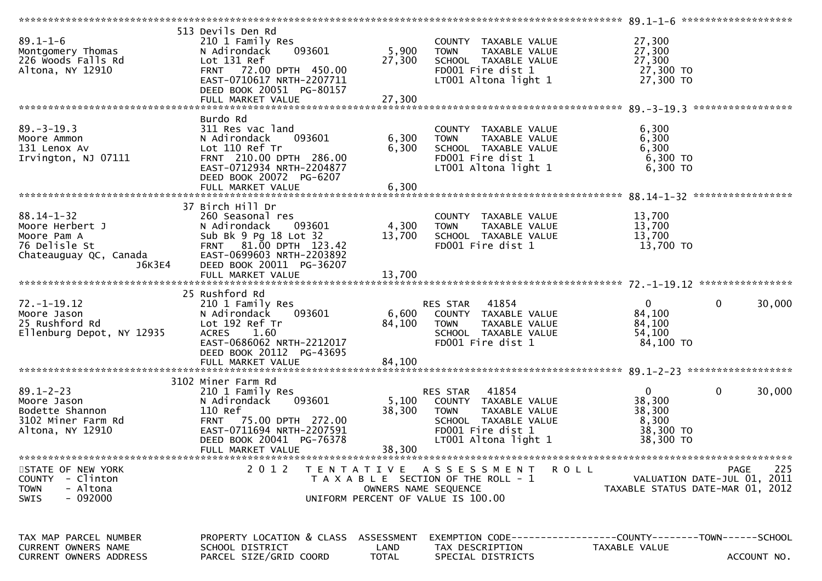| $89.1 - 1 - 6$<br>Montgomery Thomas<br>226 Woods Falls Rd<br>Altona, NY 12910                | 513 Devils Den Rd<br>210 1 Family Res<br>093601<br>N Adirondack<br>Lot 131 Ref<br>FRNT 72.00 DPTH 450.00<br>EAST-0710617 NRTH-2207711<br>DEED BOOK 20051 PG-80157                   | 5,900<br>27,300           | COUNTY TAXABLE VALUE<br><b>TOWN</b><br>TAXABLE VALUE<br>SCHOOL TAXABLE VALUE<br>FD001 Fire dist 1<br>LT001 Altona light 1                      | 27,300<br>27,300<br>27,300<br>27,300 TO<br>27,300 TO            |                                                                                       |
|----------------------------------------------------------------------------------------------|-------------------------------------------------------------------------------------------------------------------------------------------------------------------------------------|---------------------------|------------------------------------------------------------------------------------------------------------------------------------------------|-----------------------------------------------------------------|---------------------------------------------------------------------------------------|
|                                                                                              |                                                                                                                                                                                     |                           |                                                                                                                                                |                                                                 |                                                                                       |
| $89. - 3 - 19.3$<br>Moore Ammon<br>131 Lenox Av<br>Irvington, NJ 07111                       | Burdo Rd<br>311 Res vac land<br>093601<br>N Adirondack<br>Lot 110 Ref Tr<br>FRNT 210.00 DPTH 286.00<br>EAST-0712934 NRTH-2204877<br>DEED BOOK 20072 PG-6207                         | 6,300<br>6,300            | COUNTY TAXABLE VALUE<br>TAXABLE VALUE<br><b>TOWN</b><br>SCHOOL TAXABLE VALUE<br>FD001 Fire dist 1<br>LT001 Altona light 1                      | 6,300<br>6,300<br>6,300<br>6,300 TO<br>6,300 TO                 |                                                                                       |
|                                                                                              |                                                                                                                                                                                     |                           |                                                                                                                                                |                                                                 |                                                                                       |
| $88.14 - 1 - 32$<br>Moore Herbert J<br>Moore Pam A<br>Chateauguay QC, Canada<br>J6K3E4       | 37 Birch Hill Dr<br>260 Seasonal res<br>093601<br>N Adirondack<br>Sub Bk 9 Pg 18 Lot 32<br>FRNT 81.00 DPTH 123.42<br>EAST-0699603 NRTH-2203892<br>DEED BOOK 20011 PG-36207          | 4,300<br>13,700           | COUNTY TAXABLE VALUE<br><b>TOWN</b><br>TAXABLE VALUE<br>SCHOOL TAXABLE VALUE<br>FD001 Fire dist 1                                              | 13,700<br>13,700<br>13,700<br>13,700 TO                         |                                                                                       |
|                                                                                              |                                                                                                                                                                                     |                           |                                                                                                                                                |                                                                 |                                                                                       |
|                                                                                              |                                                                                                                                                                                     |                           |                                                                                                                                                |                                                                 |                                                                                       |
| $72. - 1 - 19.12$<br>Moore Jason<br>25 Rushford Rd<br>Ellenburg Depot, NY 12935              | 25 Rushford Rd<br>210 1 Family Res<br>N Adirondack<br>093601<br>Lot 192 Ref Tr<br><b>ACRES</b><br>1.60<br>EAST-0686062 NRTH-2212017<br>DEED BOOK 20112 PG-43695                     | 6,600<br>84,100           | 41854<br>RES STAR<br>COUNTY TAXABLE VALUE<br>TAXABLE VALUE<br><b>TOWN</b><br>SCHOOL TAXABLE VALUE<br>FD001 Fire dist 1                         | $\mathbf{0}$<br>84,100<br>84,100<br>54,100<br>84,100 TO         | $\mathbf 0$<br>30,000                                                                 |
|                                                                                              |                                                                                                                                                                                     |                           |                                                                                                                                                |                                                                 |                                                                                       |
| $89.1 - 2 - 23$<br>Moore Jason<br>Bodette Shannon<br>3102 Miner Farm Rd<br>Altona, NY 12910  | 3102 Miner Farm Rd<br>210 1 Family Res<br>N Adirondack<br>093601<br>110 Ref<br>FRNT 75.00 DPTH 272.00<br>EAST-0711694 NRTH-2207591<br>DEED BOOK 20041 PG-76378<br>FULL MARKET VALUE | 5,100<br>38,300<br>38,300 | 41854<br>RES STAR<br>COUNTY TAXABLE VALUE<br>TAXABLE VALUE<br><b>TOWN</b><br>SCHOOL TAXABLE VALUE<br>FD001 Fire dist 1<br>LT001 Altona light 1 | $\Omega$<br>38,300<br>38,300<br>8,300<br>38,300 TO<br>38,300 TO | $\mathbf 0$<br>30,000                                                                 |
|                                                                                              |                                                                                                                                                                                     |                           |                                                                                                                                                |                                                                 |                                                                                       |
| STATE OF NEW YORK<br>COUNTY - Clinton<br>- Altona<br><b>TOWN</b><br>$-092000$<br><b>SWIS</b> | 2 0 1 2                                                                                                                                                                             | T E N T A T I V E         | A S S E S S M E N T<br>T A X A B L E SECTION OF THE ROLL - 1<br>OWNERS NAME SEQUENCE<br>UNIFORM PERCENT OF VALUE IS 100.00                     | <b>ROLL</b>                                                     | 225<br><b>PAGE</b><br>VALUATION DATE-JUL 01, 2011<br>TAXABLE STATUS DATE-MAR 01, 2012 |
|                                                                                              |                                                                                                                                                                                     |                           |                                                                                                                                                |                                                                 |                                                                                       |
| TAX MAP PARCEL NUMBER<br><b>CURRENT OWNERS NAME</b>                                          | PROPERTY LOCATION & CLASS ASSESSMENT<br>SCHOOL DISTRICT                                                                                                                             | LAND                      | EXEMPTION CODE------------------COUNTY--------TOWN------SCHOOL<br>TAX DESCRIPTION                                                              | TAXABLE VALUE                                                   |                                                                                       |
| CURRENT OWNERS ADDRESS                                                                       | PARCEL SIZE/GRID COORD                                                                                                                                                              | <b>TOTAL</b>              | SPECIAL DISTRICTS                                                                                                                              |                                                                 | ACCOUNT NO.                                                                           |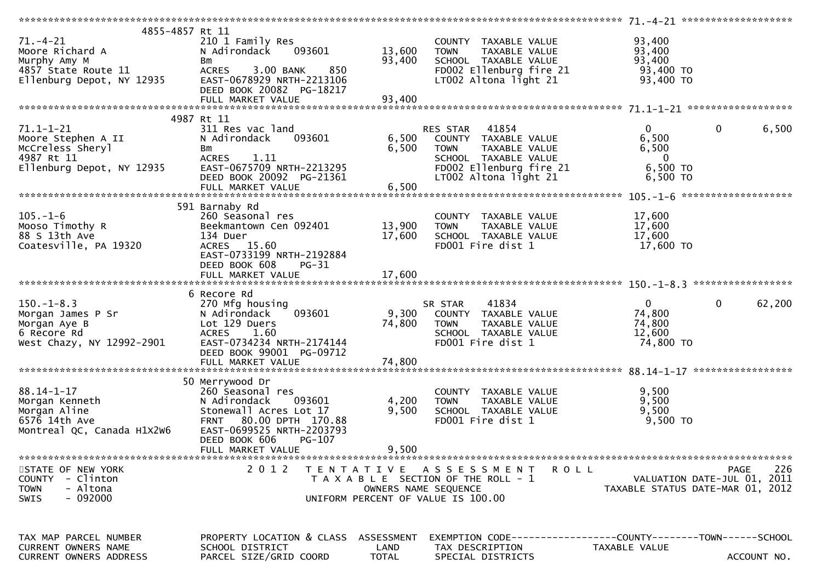| 4855-4857 Rt 11                                                  |                                           |                      |                                                                                    |                                  |             |
|------------------------------------------------------------------|-------------------------------------------|----------------------|------------------------------------------------------------------------------------|----------------------------------|-------------|
| $71. - 4 - 21$                                                   | 210 1 Family Res                          |                      | COUNTY TAXABLE VALUE                                                               | 93,400                           |             |
| Moore Richard A                                                  | 093601<br>N Adirondack                    | 13,600               | <b>TOWN</b><br>TAXABLE VALUE                                                       | 93,400                           |             |
|                                                                  | Bm                                        | 93,400               | SCHOOL TAXABLE VALUE                                                               | 93,400                           |             |
| Murphy Amy M<br>4857 State Route 11<br>Ellenburg Depot, NY 12935 | 850<br>ACRES 3.00 BANK                    |                      | FD002 Ellenburg fire 21                                                            | 93,400 TO                        |             |
|                                                                  | EAST-0678929 NRTH-2213106                 |                      | LT002 Altona light 21                                                              | 93,400 TO                        |             |
|                                                                  | DEED BOOK 20082 PG-18217                  |                      |                                                                                    |                                  |             |
|                                                                  |                                           |                      |                                                                                    |                                  |             |
|                                                                  |                                           |                      |                                                                                    |                                  |             |
|                                                                  |                                           |                      |                                                                                    |                                  |             |
|                                                                  | 4987 Rt 11                                |                      |                                                                                    |                                  |             |
| $71.1 - 1 - 21$                                                  | 311 Res vac land                          |                      | RES STAR 41854                                                                     | $\mathbf{0}$<br>$\mathbf{0}$     | 6,500       |
| Moore Stephen A II                                               | 093601<br>N Adirondack                    |                      | 6,500 COUNTY TAXABLE VALUE                                                         | 6,500                            |             |
| McCreless Sheryl                                                 | Bm                                        | 6,500                | <b>TOWN</b><br>TAXABLE VALUE                                                       | 6,500                            |             |
| 4987 Rt 11                                                       | ACRES 1.11                                |                      | SCHOOL TAXABLE VALUE<br>SCHOOL TAXABLE VALUE<br>FD002 Ellenburg fire 21<br>LT003 : | $\overline{\mathbf{0}}$          |             |
| Ellenburg Depot, NY 12935                                        | EAST-0675709 NRTH-2213295                 |                      |                                                                                    | 6,500 TO                         |             |
|                                                                  | DEED BOOK 20092 PG-21361                  |                      | LT002 Altona light 21                                                              | 6,500 TO                         |             |
|                                                                  |                                           |                      |                                                                                    |                                  |             |
|                                                                  |                                           |                      |                                                                                    |                                  |             |
|                                                                  | 591 Barnaby Rd                            |                      |                                                                                    |                                  |             |
| $105. - 1 - 6$                                                   | 260 Seasonal res                          |                      | COUNTY TAXABLE VALUE                                                               | 17,600                           |             |
| Mooso Timothy R                                                  | Beekmantown Cen 092401                    | 13,900               | TAXABLE VALUE                                                                      | 17,600                           |             |
|                                                                  |                                           |                      | <b>TOWN</b>                                                                        |                                  |             |
| 88 S 13th Ave                                                    | 134 Duer                                  | 17,600               | SCHOOL TAXABLE VALUE                                                               | 17,600                           |             |
| Coatesville, PA 19320                                            | ACRES 15.60                               |                      | FD001 Fire dist 1                                                                  | 17,600 TO                        |             |
|                                                                  | EAST-0733199 NRTH-2192884                 |                      |                                                                                    |                                  |             |
|                                                                  | DEED BOOK 608<br><b>PG-31</b>             |                      |                                                                                    |                                  |             |
|                                                                  |                                           |                      |                                                                                    |                                  |             |
|                                                                  |                                           |                      |                                                                                    |                                  |             |
|                                                                  |                                           |                      |                                                                                    |                                  |             |
|                                                                  |                                           |                      |                                                                                    |                                  |             |
|                                                                  | 6 Recore Rd                               |                      |                                                                                    |                                  |             |
|                                                                  | 270 Mfg housing                           |                      | 41834<br>SR STAR                                                                   | $\overline{0}$<br>$\mathbf{0}$   | 62,200      |
|                                                                  | 093601<br>N Adirondack                    |                      | 9,300 COUNTY TAXABLE VALUE                                                         | 74,800                           |             |
|                                                                  | Lot 129 Duers                             | 74,800               | <b>TOWN</b><br>TAXABLE VALUE                                                       | 74,800                           |             |
| 150.-1-8.3<br>Morgan James P Sr<br>Conson Ave B<br>6 Recore Rd   | ACRES 1.60                                |                      | SCHOOL TAXABLE VALUE                                                               | 12,600                           |             |
| West Chazy, NY 12992-2901                                        | EAST-0734234 NRTH-2174144                 |                      | FD001 Fire dist 1                                                                  | 74,800 TO                        |             |
|                                                                  | DEED BOOK 99001 PG-09712                  |                      |                                                                                    |                                  |             |
|                                                                  |                                           |                      |                                                                                    |                                  |             |
|                                                                  |                                           |                      |                                                                                    |                                  |             |
|                                                                  | 50 Merrywood Dr                           |                      |                                                                                    |                                  |             |
|                                                                  | 260 Seasonal res                          |                      | COUNTY TAXABLE VALUE                                                               | 9,500                            |             |
|                                                                  | N Adirondack<br>093601                    | 4,200                | <b>TOWN</b><br>TAXABLE VALUE                                                       | 9,500                            |             |
|                                                                  |                                           |                      | SCHOOL TAXABLE VALUE                                                               |                                  |             |
| 88.14-1-⊥⁄<br>Morgan Kenneth<br>™organ Aline                     | Stonewall Acres Lot 17                    | 9,500                |                                                                                    | 9,500                            |             |
| 6576 14th Ave                                                    | FRNT 80.00 DPTH 170.88                    |                      | FD001 Fire dist 1                                                                  | 9,500 TO                         |             |
| Montreal QC, Canada H1X2W6                                       | EAST-0699525 NRTH-2203793                 |                      |                                                                                    |                                  |             |
|                                                                  | DEED BOOK 606<br>PG-107                   |                      |                                                                                    |                                  |             |
|                                                                  | FULL MARKET VALUE                         | 9,500                |                                                                                    |                                  |             |
|                                                                  |                                           |                      |                                                                                    |                                  |             |
| STATE OF NEW YORK                                                | 2 0 1 2<br>T E N T A T I V E              |                      | A S S E S S M E N T<br><b>ROLL</b>                                                 |                                  | 226<br>PAGE |
| COUNTY - Clinton                                                 |                                           |                      | T A X A B L E SECTION OF THE ROLL - 1                                              | VALUATION DATE-JUL 01, 2011      |             |
| - Altona<br><b>TOWN</b>                                          |                                           | OWNERS NAME SEQUENCE |                                                                                    | TAXABLE STATUS DATE-MAR 01, 2012 |             |
| - 092000<br><b>SWIS</b>                                          |                                           |                      | UNIFORM PERCENT OF VALUE IS 100.00                                                 |                                  |             |
|                                                                  |                                           |                      |                                                                                    |                                  |             |
|                                                                  |                                           |                      |                                                                                    |                                  |             |
|                                                                  |                                           |                      |                                                                                    |                                  |             |
| TAX MAP PARCEL NUMBER                                            | PROPERTY LOCATION & CLASS ASSESSMENT      |                      | EXEMPTION CODE------------------COUNTY--------TOWN------SCHOOL                     |                                  |             |
| <b>CURRENT OWNERS NAME</b><br>CURRENT OWNERS ADDRESS             | SCHOOL DISTRICT<br>PARCEL SIZE/GRID COORD | LAND<br><b>TOTAL</b> | TAX DESCRIPTION<br>SPECIAL DISTRICTS                                               | TAXABLE VALUE                    | ACCOUNT NO. |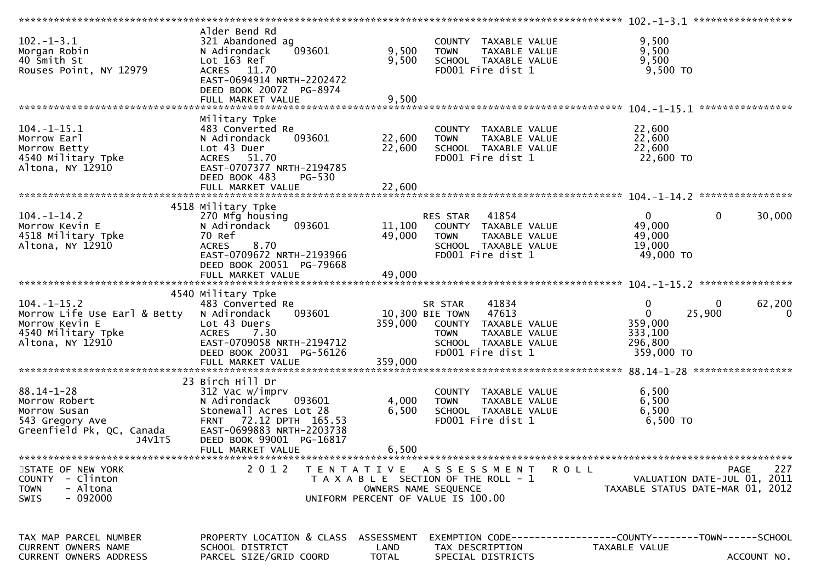| $102. - 1 - 3.1$<br>Morgan Robin<br>40 Smith St<br>Rouses Point, NY 12979                                     | Alder Bend Rd<br>321 Abandoned ag<br>093601<br>N Adirondack<br>Lot 163 Ref<br>ACRES 11.70<br>EAST-0694914 NRTH-2202472<br>DEED BOOK 20072 PG-8974<br>FULL MARKET VALUE                                    | 9,500<br>9,500<br>9,500            | COUNTY TAXABLE VALUE<br><b>TOWN</b><br>TAXABLE VALUE<br>SCHOOL TAXABLE VALUE<br>FD001 Fire dist 1                                                 | 9,500<br>9,500<br>9,500<br>9,500 TO                                       |                                                    |
|---------------------------------------------------------------------------------------------------------------|-----------------------------------------------------------------------------------------------------------------------------------------------------------------------------------------------------------|------------------------------------|---------------------------------------------------------------------------------------------------------------------------------------------------|---------------------------------------------------------------------------|----------------------------------------------------|
|                                                                                                               |                                                                                                                                                                                                           |                                    |                                                                                                                                                   |                                                                           |                                                    |
| $104.-1-15.1$<br>Morrow Earl<br>Morrow Betty<br>4540 Military Tpke<br>Altona, NY 12910                        | Military Tpke<br>483 Converted Re<br>N Adirondack<br>093601<br>Lot 43 Duer<br>ACRES 51.70<br>EAST-0707377 NRTH-2194785<br>DEED BOOK 483<br><b>PG-530</b>                                                  | 22,600<br>22,600                   | COUNTY TAXABLE VALUE<br>TAXABLE VALUE<br><b>TOWN</b><br>SCHOOL TAXABLE VALUE<br>FD001 Fire dist 1                                                 | 22,600<br>22,600<br>22,600<br>22,600 TO                                   |                                                    |
|                                                                                                               |                                                                                                                                                                                                           |                                    |                                                                                                                                                   |                                                                           |                                                    |
| $104. - 1 - 14.2$<br>Morrow Kevin E<br>4518 Military Tpke<br>Altona, NY 12910                                 | 4518 Military Tpke<br>270 Mfg housing<br>093601<br>N Adirondack<br>70 Ref<br><b>ACRES</b><br>8.70<br>EAST-0709672 NRTH-2193966<br>DEED BOOK 20051 PG-79668                                                | 11,100<br>49,000                   | RES STAR<br>41854<br>COUNTY TAXABLE VALUE<br>TAXABLE VALUE<br><b>TOWN</b><br>SCHOOL TAXABLE VALUE<br>FD001 Fire dist 1                            | $\overline{0}$<br>49,000<br>49,000<br>19,000<br>49,000 TO                 | 0<br>30,000                                        |
|                                                                                                               |                                                                                                                                                                                                           |                                    |                                                                                                                                                   |                                                                           |                                                    |
|                                                                                                               |                                                                                                                                                                                                           |                                    |                                                                                                                                                   |                                                                           |                                                    |
| $104. - 1 - 15.2$<br>Morrow Life Use Earl & Betty<br>Morrow Kevin E<br>4540 Military Tpke<br>Altona, NY 12910 | 4540 Military Tpke<br>483 Converted Re<br>N Adirondack<br>093601<br>Lot 43 Duers<br><b>ACRES</b><br>7.30<br>EAST-0709058 NRTH-2194712<br>DEED BOOK 20031 PG-56126                                         | 359,000                            | 41834<br>SR STAR<br>47613<br>10,300 BIE TOWN<br>COUNTY TAXABLE VALUE<br><b>TOWN</b><br>TAXABLE VALUE<br>SCHOOL TAXABLE VALUE<br>FD001 Fire dist 1 | $\mathbf 0$<br>$\mathbf 0$<br>359,000<br>333,100<br>296,800<br>359,000 TO | $\mathbf{0}$<br>62,200<br>25,900<br>$\overline{0}$ |
|                                                                                                               |                                                                                                                                                                                                           |                                    |                                                                                                                                                   |                                                                           |                                                    |
| $88.14 - 1 - 28$<br>Morrow Robert<br>Morrow Susan<br>543 Gregory Ave<br>Greenfield Pk, QC, Canada<br>J4V1T5   | 23 Birch Hill Dr<br>312 Vac w/imprv<br>N Adirondack<br>093601<br>Stonewall Acres Lot 28<br>72.12 DPTH 165.53<br><b>FRNT</b><br>EAST-0699883 NRTH-2203738<br>DEED BOOK 99001 PG-16817<br>FULL MARKET VALUE | 4,000<br>6,500<br>6,500            | COUNTY TAXABLE VALUE<br>TAXABLE VALUE<br><b>TOWN</b><br>SCHOOL TAXABLE VALUE<br>FD001 Fire dist 1                                                 | 6,500<br>6,500<br>6,500<br>6,500 TO                                       |                                                    |
| STATE OF NEW YORK<br>- Clinton<br><b>COUNTY</b><br>- Altona<br><b>TOWN</b><br>$-092000$<br><b>SWIS</b>        | 2012                                                                                                                                                                                                      | T E N T A T I V E                  | A S S E S S M E N T<br>T A X A B L E SECTION OF THE ROLL - 1<br>OWNERS NAME SEQUENCE<br>UNIFORM PERCENT OF VALUE IS 100.00                        | <b>ROLL</b><br>TAXABLE STATUS DATE-MAR 01, 2012                           | 227<br><b>PAGE</b><br>VALUATION DATE-JUL 01, 2011  |
| TAX MAP PARCEL NUMBER<br><b>CURRENT OWNERS NAME</b><br><b>CURRENT OWNERS ADDRESS</b>                          | PROPERTY LOCATION & CLASS<br>SCHOOL DISTRICT<br>PARCEL SIZE/GRID COORD                                                                                                                                    | ASSESSMENT<br>LAND<br><b>TOTAL</b> | EXEMPTION        CODE-----------------COUNTY-------TOWN------SCHOOL<br>TAX DESCRIPTION<br>SPECIAL DISTRICTS                                       | TAXABLE VALUE                                                             | ACCOUNT NO.                                        |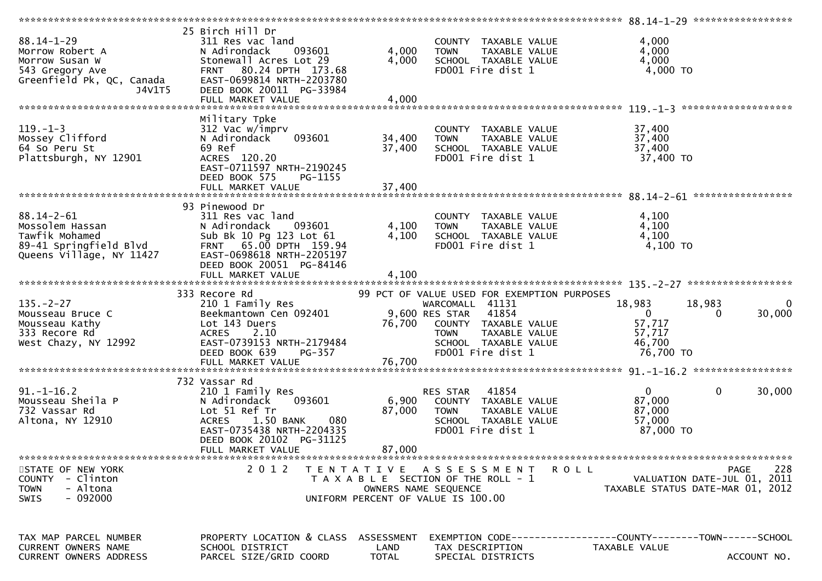| $88.14 - 1 - 29$                                               | 25 Birch Hill Dr<br>311 Res vac land      |                      | COUNTY TAXABLE VALUE                        | 4,000                                                         |                          |
|----------------------------------------------------------------|-------------------------------------------|----------------------|---------------------------------------------|---------------------------------------------------------------|--------------------------|
| Morrow Robert A                                                | 093601<br>N Adirondack                    | 4,000                | <b>TOWN</b><br>TAXABLE VALUE                | 4,000                                                         |                          |
| Morrow Susan W                                                 | Stonewall Acres Lot 29                    | 4,000                | SCHOOL TAXABLE VALUE                        | 4,000                                                         |                          |
| Morrow שמשות w<br>543 Gregory Ave<br>Greenfield Pk, QC, Canada | 80.24 DPTH 173.68<br><b>FRNT</b>          |                      | FD001 Fire dist 1                           | 4,000 TO                                                      |                          |
|                                                                | EAST-0699814 NRTH-2203780                 |                      |                                             |                                                               |                          |
| J4V1T5                                                         | DEED BOOK 20011 PG-33984                  |                      |                                             |                                                               |                          |
|                                                                |                                           | 4,000                |                                             |                                                               |                          |
|                                                                | FULL MARKET VALUE                         |                      |                                             |                                                               |                          |
|                                                                |                                           |                      |                                             |                                                               |                          |
|                                                                | Military Tpke                             |                      |                                             |                                                               |                          |
| $119. - 1 - 3$                                                 | 312 Vac w/imprv                           |                      | COUNTY TAXABLE VALUE                        | 37,400                                                        |                          |
| Mossey Clifford                                                | 093601<br>N Adirondack                    | 34,400               | TAXABLE VALUE<br><b>TOWN</b>                | 37,400                                                        |                          |
| 64 So Peru St                                                  | 69 Ref                                    | 37,400               | SCHOOL TAXABLE VALUE                        | 37,400                                                        |                          |
| Plattsburgh, NY 12901                                          | ACRES 120.20                              |                      | FD001 Fire dist 1                           | 37,400 TO                                                     |                          |
|                                                                | EAST-0711597 NRTH-2190245                 |                      |                                             |                                                               |                          |
|                                                                |                                           |                      |                                             |                                                               |                          |
|                                                                | DEED BOOK 575<br>PG-1155                  |                      |                                             |                                                               |                          |
|                                                                |                                           |                      |                                             |                                                               |                          |
|                                                                |                                           |                      |                                             |                                                               |                          |
|                                                                | 93 Pinewood Dr                            |                      |                                             |                                                               |                          |
| $88.14 - 2 - 61$                                               | 311 Res vac land                          |                      | COUNTY TAXABLE VALUE                        | 4,100                                                         |                          |
| Mossolem Hassan                                                | N Adirondack<br>093601                    | 4,100                | <b>TOWN</b><br>TAXABLE VALUE                | 4,100                                                         |                          |
| Tawfik Mohamed                                                 | Sub Bk 10 Pg 123 Lot 61                   | 4,100                | SCHOOL TAXABLE VALUE                        | 4,100                                                         |                          |
|                                                                |                                           |                      |                                             |                                                               |                          |
| 89-41 Springfield Blvd                                         | FRNT 65.00 DPTH 159.94                    |                      | FD001 Fire dist 1                           | 4,100 TO                                                      |                          |
| Queens Village, NY 11427                                       | EAST-0698618 NRTH-2205197                 |                      |                                             |                                                               |                          |
|                                                                | DEED BOOK 20051 PG-84146                  |                      |                                             |                                                               |                          |
|                                                                | FULL MARKET VALUE                         | 4,100                |                                             |                                                               |                          |
|                                                                |                                           |                      |                                             |                                                               |                          |
|                                                                |                                           |                      |                                             |                                                               |                          |
|                                                                |                                           |                      |                                             |                                                               |                          |
|                                                                | 333 Recore Rd                             |                      | 99 PCT OF VALUE USED FOR EXEMPTION PURPOSES |                                                               |                          |
| $135. - 2 - 27$                                                | 210 1 Family Res                          |                      | WARCOMALL 41131                             | 18,983<br>18,983                                              |                          |
| Mousseau Bruce C                                               | Beekmantown Cen 092401                    |                      | 9,600 RES STAR<br>41854                     | $\mathbf{0}$<br>0                                             | $\overline{0}$<br>30,000 |
| Mousseau Kathy                                                 | Lot 143 Duers                             | 76,700               | COUNTY TAXABLE VALUE                        | 57,717                                                        |                          |
| 333 Recore Rd                                                  | <b>ACRES</b><br>2.10                      |                      | <b>TOWN</b><br>TAXABLE VALUE                | 57,717                                                        |                          |
| West Chazy, NY 12992                                           | EAST-0739153 NRTH-2179484                 |                      | SCHOOL TAXABLE VALUE                        | 46,700                                                        |                          |
|                                                                |                                           |                      |                                             |                                                               |                          |
|                                                                | DEED BOOK 639<br>PG-357                   |                      | FD001 Fire dist 1                           | 76,700 TO                                                     |                          |
|                                                                |                                           |                      |                                             |                                                               |                          |
|                                                                |                                           |                      |                                             |                                                               |                          |
|                                                                | 732 Vassar Rd                             |                      |                                             |                                                               |                          |
| $91. - 1 - 16.2$                                               | 210 1 Family Res                          |                      | 41854<br>RES STAR                           | $\mathbf{0}$<br>$\mathbf 0$                                   | 30,000                   |
| Mousseau Sheila P                                              | 093601<br>N Adirondack                    | 6,900                | COUNTY TAXABLE VALUE                        | 87,000                                                        |                          |
| 732 Vassar Rd                                                  | Lot 51 Ref Tr                             | 87,000               | TAXABLE VALUE<br><b>TOWN</b>                | 87,000                                                        |                          |
|                                                                | 1.50 BANK<br><b>ACRES</b><br>080          |                      | SCHOOL TAXABLE VALUE                        | 57,000                                                        |                          |
| Altona, NY 12910                                               |                                           |                      |                                             |                                                               |                          |
|                                                                | EAST-0735438 NRTH-2204335                 |                      | FD001 Fire dist 1                           | 87,000 TO                                                     |                          |
|                                                                | DEED BOOK 20102 PG-31125                  |                      |                                             |                                                               |                          |
|                                                                | FULL MARKET VALUE                         | 87,000               |                                             |                                                               |                          |
|                                                                |                                           |                      |                                             |                                                               |                          |
| STATE OF NEW YORK                                              | 2 0 1 2                                   |                      | TENTATIVE ASSESSMENT<br><b>ROLL</b>         |                                                               | 228<br><b>PAGE</b>       |
| COUNTY - Clinton                                               |                                           |                      | T A X A B L E SECTION OF THE ROLL - 1       | VALUATION DATE-JUL 01, 2011                                   |                          |
| - Altona<br><b>TOWN</b>                                        |                                           |                      | OWNERS NAME SEQUENCE                        | TAXABLE STATUS DATE-MAR 01, 2012                              |                          |
| $-092000$<br><b>SWIS</b>                                       |                                           |                      | UNIFORM PERCENT OF VALUE IS 100.00          |                                                               |                          |
|                                                                |                                           |                      |                                             |                                                               |                          |
|                                                                |                                           |                      |                                             |                                                               |                          |
|                                                                |                                           |                      |                                             |                                                               |                          |
|                                                                |                                           |                      |                                             |                                                               |                          |
| TAX MAP PARCEL NUMBER                                          | PROPERTY LOCATION & CLASS ASSESSMENT      |                      |                                             | EXEMPTION CODE-----------------COUNTY--------TOWN------SCHOOL |                          |
| CURRENT OWNERS NAME<br>CURRENT OWNERS ADDRESS                  | SCHOOL DISTRICT<br>PARCEL SIZE/GRID COORD | LAND<br><b>TOTAL</b> | TAX DESCRIPTION<br>SPECIAL DISTRICTS        | TAXABLE VALUE                                                 | ACCOUNT NO.              |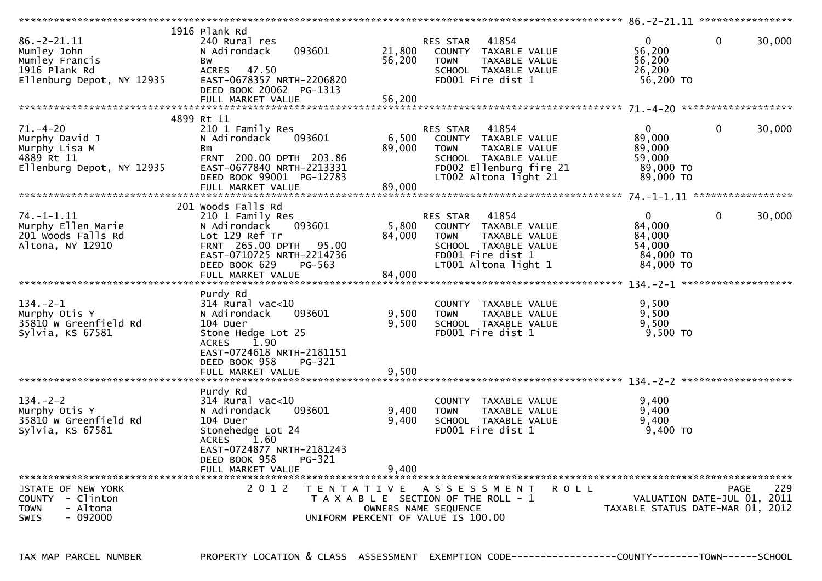| $86. - 2 - 21.11$<br>Mumley John<br>Mumley Francis<br>1916 Plank Rd<br>Ellenburg Depot, NY 12935 | 1916 Plank Rd<br>240 Rural res<br>N Adirondack<br>093601<br>Bw<br><b>ACRES</b><br>47.50<br>EAST-0678357 NRTH-2206820<br>DEED BOOK 20062 PG-1313<br>FULL MARKET VALUE    | 21,800<br>56,200<br>56,200 | RES STAR<br>41854<br>COUNTY TAXABLE VALUE<br>TAXABLE VALUE<br><b>TOWN</b><br>SCHOOL TAXABLE VALUE<br>FD001 Fire dist 1                                       | $\mathbf{0}$<br>56,200<br>56,200<br>26,200<br>56,200 TO              | $\mathbf{0}$<br>30,000                            |
|--------------------------------------------------------------------------------------------------|-------------------------------------------------------------------------------------------------------------------------------------------------------------------------|----------------------------|--------------------------------------------------------------------------------------------------------------------------------------------------------------|----------------------------------------------------------------------|---------------------------------------------------|
|                                                                                                  |                                                                                                                                                                         |                            |                                                                                                                                                              |                                                                      |                                                   |
| $71. - 4 - 20$<br>Murphy David J<br>Murphy Lisa M<br>4889 Rt 11<br>Ellenburg Depot, NY 12935     | 4899 Rt 11<br>210 1 Family Res<br>093601<br>N Adirondack<br>Вm<br>FRNT 200.00 DPTH 203.86<br>EAST-0677840 NRTH-2213331<br>DEED BOOK 99001 PG-12783<br>FULL MARKET VALUE | 6,500<br>89,000<br>89,000  | 41854<br>RES STAR<br>COUNTY TAXABLE VALUE<br><b>TAXABLE VALUE</b><br><b>TOWN</b><br>SCHOOL TAXABLE VALUE<br>FD002 Ellenburg fire 21<br>LT002 Altona light 21 | $\mathbf{0}$<br>89,000<br>89,000<br>59.000<br>89,000 TO<br>89,000 TO | $\mathbf 0$<br>30,000                             |
|                                                                                                  | 201 Woods Falls Rd                                                                                                                                                      |                            |                                                                                                                                                              |                                                                      |                                                   |
| $74. - 1 - 1.11$<br>Murphy Ellen Marie<br>201 Woods Falls Rd<br>Altona, NY 12910                 | 210 1 Family Res<br>N Adirondack<br>093601<br>Lot 129 Ref Tr<br>FRNT 265.00 DPTH<br>95.00<br>EAST-0710725 NRTH-2214736<br>DEED BOOK 629<br>PG-563<br>FULL MARKET VALUE  | 5,800<br>84,000<br>84,000  | <b>RES STAR</b><br>41854<br>COUNTY TAXABLE VALUE<br><b>TOWN</b><br>TAXABLE VALUE<br>SCHOOL TAXABLE VALUE<br>FD001 Fire dist 1<br>LT001 Altona light 1        | $\Omega$<br>84,000<br>84,000<br>54,000<br>84,000 TO<br>84,000 TO     | $\mathbf{0}$<br>30,000                            |
|                                                                                                  | Purdy Rd                                                                                                                                                                |                            |                                                                                                                                                              |                                                                      |                                                   |
| $134. - 2 - 1$<br>Murphy Otis Y<br>35810 W Greenfield Rd<br>Sylvia, KS 67581                     | 314 Rural vac<10<br>N Adirondack<br>093601<br>104 Duer<br>Stone Hedge Lot 25<br>1.90<br><b>ACRES</b><br>EAST-0724618 NRTH-2181151                                       | 9,500<br>9,500             | COUNTY TAXABLE VALUE<br>TAXABLE VALUE<br><b>TOWN</b><br>SCHOOL TAXABLE VALUE<br>FD001 Fire dist 1                                                            | 9,500<br>9,500<br>9,500<br>9,500 TO                                  |                                                   |
|                                                                                                  | DEED BOOK 958<br>PG-321                                                                                                                                                 | 9,500                      |                                                                                                                                                              |                                                                      |                                                   |
|                                                                                                  | FULL MARKET VALUE                                                                                                                                                       |                            |                                                                                                                                                              |                                                                      |                                                   |
| $134. - 2 - 2$<br>Murphy Otis Y<br>35810 W Greenfield Rd<br>Sylvia, KS 67581                     | Purdy Rd<br>314 Rural vac<10<br>N Adirondack<br>093601<br>104 Duer<br>Stonehedge Lot 24<br>1.60<br><b>ACRES</b><br>EAST-0724877 NRTH-2181243                            | 9,400<br>9,400             | COUNTY TAXABLE VALUE<br><b>TOWN</b><br>TAXABLE VALUE<br>SCHOOL TAXABLE VALUE<br>FD001 Fire dist 1                                                            | 9,400<br>9,400<br>9,400<br>9,400 TO                                  |                                                   |
|                                                                                                  | DEED BOOK 958<br>PG-321<br>FULL MARKET VALUE                                                                                                                            | 9.400                      |                                                                                                                                                              |                                                                      |                                                   |
|                                                                                                  |                                                                                                                                                                         |                            |                                                                                                                                                              |                                                                      |                                                   |
| STATE OF NEW YORK<br>COUNTY - Clinton<br>- Altona<br><b>TOWN</b><br><b>SWIS</b><br>- 092000      | 2 0 1 2<br>T E N T A T I V E                                                                                                                                            |                            | A S S E S S M E N T<br><b>ROLL</b><br>T A X A B L E SECTION OF THE ROLL - 1<br>OWNERS NAME SEQUENCE<br>UNIFORM PERCENT OF VALUE IS 100.00                    | TAXABLE STATUS DATE-MAR 01, 2012                                     | 229<br><b>PAGE</b><br>VALUATION DATE-JUL 01, 2011 |

TAX MAP PARCEL NUMBER PROPERTY LOCATION & CLASS ASSESSMENT EXEMPTION CODE------------------COUNTY--------TOWN------SCHOOL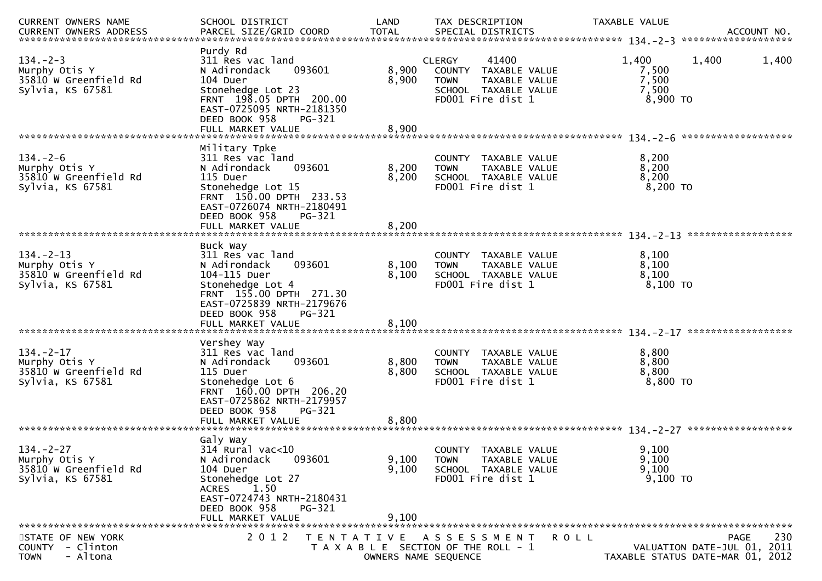| CURRENT OWNERS NAME                                                           | SCHOOL DISTRICT                                                                                                                                                                                    | LAND                    | TAX DESCRIPTION                                                                                                                | TAXABLE VALUE                                |                                                                                       |
|-------------------------------------------------------------------------------|----------------------------------------------------------------------------------------------------------------------------------------------------------------------------------------------------|-------------------------|--------------------------------------------------------------------------------------------------------------------------------|----------------------------------------------|---------------------------------------------------------------------------------------|
| $134. - 2 - 3$<br>Murphy Otis Y<br>35810 W Greenfield Rd<br>Sylvia, KS 67581  | Purdy Rd<br>311 Res vac land<br>N Adirondack<br>093601<br>104 Duer<br>Stonehedge Lot 23<br>FRNT 198.05 DPTH 200.00<br>EAST-0725095 NRTH-2181350<br>DEED BOOK 958<br>PG-321                         | 8,900<br>8,900          | 41400<br><b>CLERGY</b><br>COUNTY<br>TAXABLE VALUE<br>TAXABLE VALUE<br><b>TOWN</b><br>SCHOOL TAXABLE VALUE<br>FD001 Fire dist 1 | 1,400<br>7,500<br>7,500<br>7,500<br>8,900 TO | 1,400<br>1,400                                                                        |
|                                                                               | FULL MARKET VALUE                                                                                                                                                                                  | 8,900                   |                                                                                                                                |                                              |                                                                                       |
| $134. - 2 - 6$<br>Murphy Otis Y<br>35810 W Greenfield Rd<br>Sylvia, KS 67581  | Military Tpke<br>311 Res vac land<br>093601<br>N Adirondack<br>115 Duer<br>Stonehedge Lot 15<br>FRNT 150.00 DPTH 233.53<br>EAST-0726074 NRTH-2180491<br>DEED BOOK 958<br>PG-321                    | 8,200<br>8,200          | COUNTY TAXABLE VALUE<br><b>TOWN</b><br>TAXABLE VALUE<br>SCHOOL TAXABLE VALUE<br>FD001 Fire dist 1                              | 8,200<br>8,200<br>8,200<br>8,200 TO          |                                                                                       |
|                                                                               |                                                                                                                                                                                                    |                         |                                                                                                                                |                                              |                                                                                       |
| $134 - 2 - 13$<br>Murphy Otis Y<br>35810 W Greenfield Rd<br>Sylvia, KS 67581  | Buck Way<br>311 Res vac land<br>N Adirondack<br>093601<br>104-115 Duer<br>Stonehedge Lot 4<br>FRNT 155.00 DPTH 271.30<br>EAST-0725839 NRTH-2179676<br>DEED BOOK 958<br>PG-321<br>FULL MARKET VALUE | 8,100<br>8,100<br>8,100 | COUNTY TAXABLE VALUE<br>TAXABLE VALUE<br><b>TOWN</b><br>SCHOOL TAXABLE VALUE<br>FD001 Fire dist 1                              | 8,100<br>8,100<br>8,100<br>8,100 TO          |                                                                                       |
| $134. - 2 - 17$<br>Murphy Otis Y<br>35810 W Greenfield Rd<br>Sylvia, KS 67581 | Vershey Way<br>311 Res vac land<br>093601<br>N Adirondack<br>115 Duer<br>Stonehedge Lot 6<br>FRNT 160.00 DPTH 206.20<br>EAST-0725862 NRTH-2179957<br>DEED BOOK 958<br>PG-321<br>FULL MARKET VALUE  | 8,800<br>8,800<br>8,800 | COUNTY<br>TAXABLE VALUE<br><b>TOWN</b><br>TAXABLE VALUE<br>SCHOOL TAXABLE VALUE<br>FD001 Fire dist 1                           | 8,800<br>8,800<br>8,800<br>8,800 TO          |                                                                                       |
|                                                                               | Galy Way                                                                                                                                                                                           |                         |                                                                                                                                |                                              |                                                                                       |
| $134. - 2 - 27$<br>Murphy Otis Y<br>35810 W Greenfield Rd<br>Sylvia, KS 67581 | 314 Rural vac<10<br>093601<br>N Adirondack<br>104 Duer<br>Stonehedge Lot 27<br>1.50<br><b>ACRES</b><br>EAST-0724743 NRTH-2180431<br>DEED BOOK 958<br>PG-321<br>FULL MARKET VALUE                   | 9,100<br>9,100<br>9,100 | COUNTY TAXABLE VALUE<br>TAXABLE VALUE<br><b>TOWN</b><br>SCHOOL TAXABLE VALUE<br>FD001 Fire dist 1                              | 9.100<br>9,100<br>9,100<br>$9,100$ TO        |                                                                                       |
|                                                                               |                                                                                                                                                                                                    |                         |                                                                                                                                |                                              |                                                                                       |
| STATE OF NEW YORK<br>COUNTY - Clinton<br>- Altona<br><b>TOWN</b>              | 2 0 1 2                                                                                                                                                                                            | OWNERS NAME SEQUENCE    | TENTATIVE ASSESSMENT<br><b>ROLL</b><br>T A X A B L E SECTION OF THE ROLL - 1                                                   |                                              | 230<br><b>PAGE</b><br>VALUATION DATE-JUL 01, 2011<br>TAXABLE STATUS DATE-MAR 01, 2012 |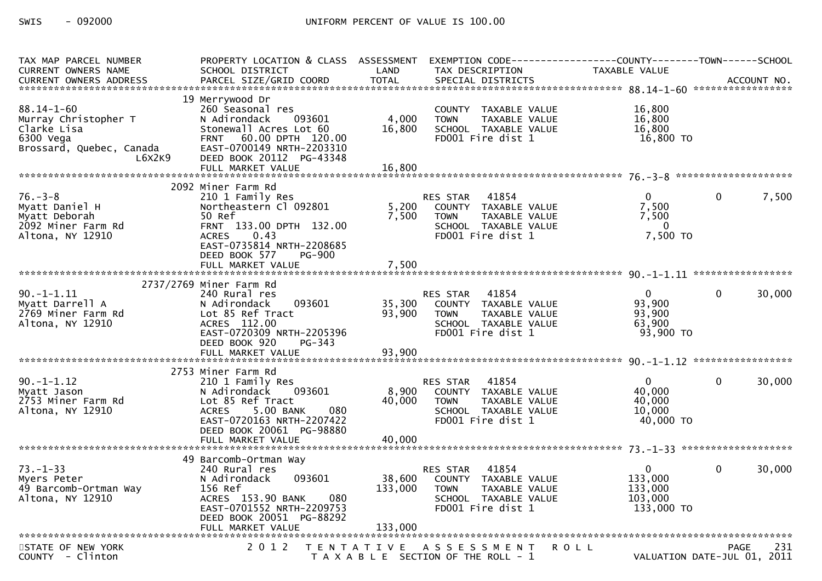| TAX MAP PARCEL NUMBER<br><b>CURRENT OWNERS NAME</b>                                                        | PROPERTY LOCATION & CLASS ASSESSMENT<br>SCHOOL DISTRICT                                                                                                                                                   | LAND                       | EXEMPTION CODE-----------------COUNTY-------TOWN------SCHOOL<br>TAX DESCRIPTION                                     | TAXABLE VALUE                                                 |                             |
|------------------------------------------------------------------------------------------------------------|-----------------------------------------------------------------------------------------------------------------------------------------------------------------------------------------------------------|----------------------------|---------------------------------------------------------------------------------------------------------------------|---------------------------------------------------------------|-----------------------------|
|                                                                                                            |                                                                                                                                                                                                           |                            |                                                                                                                     |                                                               |                             |
| $88.14 - 1 - 60$<br>Murray Christopher T<br>Clarke Lisa<br>6300 Vega<br>Brossard, Quebec, Canada<br>L6X2K9 | 19 Merrywood Dr<br>260 Seasonal res<br>N Adirondack<br>093601<br>Stonewall Acres Lot 60<br>60.00 DPTH 120.00<br><b>FRNT</b><br>EAST-0700149 NRTH-2203310<br>DEED BOOK 20112 PG-43348<br>FULL MARKET VALUE | 4,000<br>16,800<br>16,800  | COUNTY TAXABLE VALUE<br><b>TOWN</b><br>TAXABLE VALUE<br>SCHOOL TAXABLE VALUE<br>FD001 Fire dist 1                   | 16,800<br>16,800<br>16,800<br>16,800 TO                       |                             |
|                                                                                                            | 2092 Miner Farm Rd                                                                                                                                                                                        |                            |                                                                                                                     |                                                               |                             |
| $76. - 3 - 8$<br>Myatt Daniel H<br>Myatt Deborah<br>2092 Miner Farm Rd<br>Altona, NY 12910                 | 210 1 Family Res<br>Northeastern Cl 092801<br>50 Ref<br>FRNT 133.00 DPTH 132.00<br><b>ACRES</b><br>0.43<br>EAST-0735814 NRTH-2208685<br>DEED BOOK 577<br><b>PG-900</b>                                    | 5,200<br>7,500             | RES STAR 41854<br>COUNTY TAXABLE VALUE<br>TAXABLE VALUE<br><b>TOWN</b><br>SCHOOL TAXABLE VALUE<br>FD001 Fire dist 1 | $\mathbf{0}$<br>7,500<br>7,500<br>$\overline{0}$<br>7,500 TO  | 7,500<br>$\Omega$           |
|                                                                                                            |                                                                                                                                                                                                           |                            |                                                                                                                     |                                                               |                             |
|                                                                                                            |                                                                                                                                                                                                           |                            |                                                                                                                     |                                                               |                             |
| $90. -1 - 1.11$<br>Myatt Darrell A<br>2769 Miner Farm Rd<br>Altona, NY 12910                               | 2737/2769 Miner Farm Rd<br>240 Rural res<br>N Adirondack<br>093601<br>Lot 85 Ref Tract<br>ACRES 112.00<br>EAST-0720309 NRTH-2205396<br>DEED BOOK 920<br>$PG-343$<br>FULL MARKET VALUE                     | 35,300<br>93,900<br>93,900 | RES STAR 41854<br>COUNTY TAXABLE VALUE<br>TAXABLE VALUE<br><b>TOWN</b><br>SCHOOL TAXABLE VALUE<br>FD001 Fire dist 1 | $\mathbf{0}$<br>93,900<br>93,900<br>63,900<br>93,900 TO       | 30,000<br>$\Omega$          |
|                                                                                                            |                                                                                                                                                                                                           |                            |                                                                                                                     |                                                               |                             |
| $90. -1 - 1.12$<br>Myatt Jason<br>2753 Miner Farm Rd<br>Altona, NY 12910                                   | 2753 Miner Farm Rd<br>210 1 Family Res<br>093601<br>N Adirondack<br>Lot 85 Ref Tract<br>5.00 BANK<br><b>ACRES</b><br>080<br>EAST-0720163 NRTH-2207422<br>DEED BOOK 20061 PG-98880<br>FULL MARKET VALUE    | 8,900<br>40,000<br>40,000  | RES STAR 41854<br>COUNTY TAXABLE VALUE<br><b>TOWN</b><br>TAXABLE VALUE<br>SCHOOL TAXABLE VALUE<br>FD001 Fire dist 1 | $\Omega$<br>40,000<br>40,000<br>10,000<br>40,000 TO           | $\Omega$<br>30,000          |
| $73. - 1 - 33$<br>Myers Peter<br>49 Barcomb-Ortman Way<br>Altona, NY 12910                                 | 49 Barcomb-Ortman Way<br>240 Rural res<br>093601<br>N Adirondack<br>156 Ref<br>080<br>ACRES 153.90 BANK<br>EAST-0701552 NRTH-2209753<br>DEED BOOK 20051 PG-88292                                          | 38,600<br>133,000          | RES STAR 41854<br>COUNTY TAXABLE VALUE<br>TAXABLE VALUE<br><b>TOWN</b><br>SCHOOL TAXABLE VALUE<br>FD001 Fire dist 1 | $\overline{0}$<br>133,000<br>133,000<br>103.000<br>133,000 TO | 30,000<br>$\Omega$          |
| STATE OF NEW YORK                                                                                          | 2 0 1 2                                                                                                                                                                                                   |                            | TENTATIVE ASSESSMENT ROLL                                                                                           |                                                               | 231<br>PAGE                 |
| COUNTY - Clinton                                                                                           |                                                                                                                                                                                                           |                            | T A X A B L E SECTION OF THE ROLL - 1                                                                               |                                                               | VALUATION DATE-JUL 01, 2011 |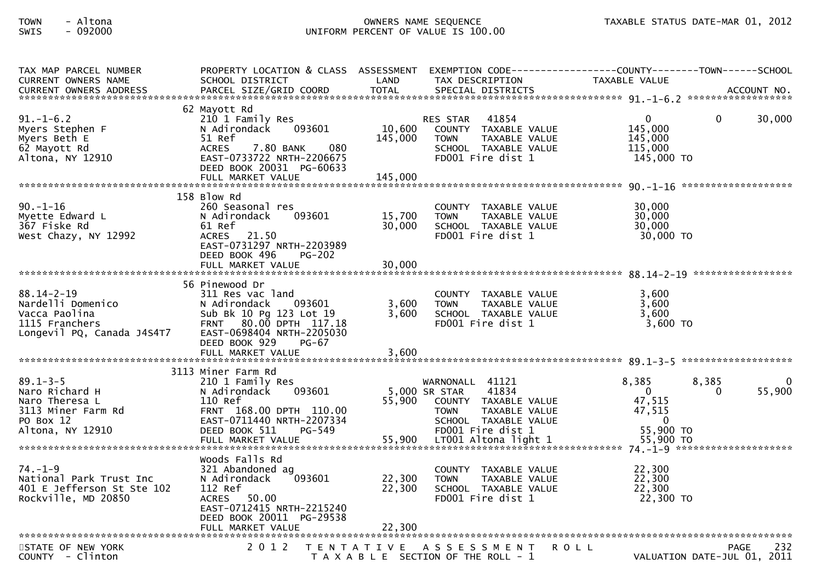## TOWN - Altona OWNERS NAME SEQUENCE TAXABLE STATUS DATE-MAR 01, 2012SWIS - 092000 UNIFORM PERCENT OF VALUE IS 100.00

| TAX MAP PARCEL NUMBER<br><b>CURRENT OWNERS NAME</b>                                                       | PROPERTY LOCATION & CLASS ASSESSMENT<br>SCHOOL DISTRICT                                                                                                                             | LAND              | TAX DESCRIPTION                                                                                                                                                        | EXEMPTION CODE------------------COUNTY--------TOWN------SCHOOL<br><b>TAXABLE VALUE</b>               |                     |
|-----------------------------------------------------------------------------------------------------------|-------------------------------------------------------------------------------------------------------------------------------------------------------------------------------------|-------------------|------------------------------------------------------------------------------------------------------------------------------------------------------------------------|------------------------------------------------------------------------------------------------------|---------------------|
|                                                                                                           |                                                                                                                                                                                     |                   |                                                                                                                                                                        |                                                                                                      |                     |
| $91. - 1 - 6.2$<br>Myers Stephen F<br>Myers Beth E<br>62 Mayott Rd<br>Altona, NY 12910                    | 62 Mayott Rd<br>210 1 Family Res<br>N Adirondack<br>093601<br>51 Ref<br>7.80 BANK<br>080<br><b>ACRES</b><br>EAST-0733722 NRTH-2206675<br>DEED BOOK 20031 PG-60633                   | 10,600<br>145,000 | 41854<br><b>RES STAR</b><br>COUNTY TAXABLE VALUE<br>TAXABLE VALUE<br><b>TOWN</b><br>SCHOOL TAXABLE VALUE<br>FD001 Fire dist 1                                          | 0<br>0<br>145,000<br>145,000<br>115,000<br>145,000 TO                                                | 30,000              |
|                                                                                                           |                                                                                                                                                                                     |                   |                                                                                                                                                                        |                                                                                                      | ******************* |
| $90. - 1 - 16$<br>Myette Edward L<br>367 Fiske Rd<br>West Chazy, NY 12992                                 | 158 Blow Rd<br>260 Seasonal res<br>N Adirondack<br>093601<br>61 Ref<br>21.50<br><b>ACRES</b><br>EAST-0731297 NRTH-2203989<br>DEED BOOK 496<br>$PG-202$                              | 15,700<br>30,000  | TAXABLE VALUE<br><b>COUNTY</b><br>TAXABLE VALUE<br><b>TOWN</b><br>SCHOOL TAXABLE VALUE<br>FD001 Fire dist 1                                                            | 30,000<br>30,000<br>30,000<br>30,000 TO                                                              |                     |
|                                                                                                           | FULL MARKET VALUE                                                                                                                                                                   | 30,000            |                                                                                                                                                                        |                                                                                                      |                     |
| $88.14 - 2 - 19$<br>Nardelli Domenico<br>Vacca Paolina<br>1115 Franchers<br>Longevil PQ, Canada J4S4T7    | 56 Pinewood Dr<br>311 Res vac land<br>N Adirondack<br>093601<br>Sub Bk 10 Pg 123 Lot 19<br>FRNT 80.00 DPTH 117.18<br>EAST-0698404 NRTH-2205030<br>DEED BOOK 929<br><b>PG-67</b>     | 3,600<br>3,600    | COUNTY TAXABLE VALUE<br><b>TOWN</b><br>TAXABLE VALUE<br>SCHOOL TAXABLE VALUE<br>FD001 Fire dist 1                                                                      | 3,600<br>3,600<br>3.600<br>$3,600$ TO                                                                |                     |
|                                                                                                           |                                                                                                                                                                                     |                   |                                                                                                                                                                        |                                                                                                      |                     |
|                                                                                                           |                                                                                                                                                                                     |                   |                                                                                                                                                                        |                                                                                                      |                     |
| $89.1 - 3 - 5$<br>Naro Richard H<br>Naro Theresa L<br>3113 Miner Farm Rd<br>PO Box 12<br>Altona, NY 12910 | 3113 Miner Farm Rd<br>210 1 Family Res<br>093601<br>N Adirondack<br>110 Ref<br>FRNT 168.00 DPTH 110.00<br>EAST-0711440 NRTH-2207334<br>DEED BOOK 511<br>PG-549<br>FULL MARKET VALUE | 55,900<br>55,900  | WARNONALL 41121<br>5,000 SR STAR<br>41834<br>COUNTY TAXABLE VALUE<br><b>TOWN</b><br>TAXABLE VALUE<br>SCHOOL TAXABLE VALUE<br>FD001 Fire dist 1<br>LT001 Altona light 1 | 8,385<br>8,385<br>$\mathbf{0}$<br>$\Omega$<br>47,515<br>47,515<br>$\Omega$<br>55,900 TO<br>55,900 TO | 55,900              |
|                                                                                                           |                                                                                                                                                                                     |                   |                                                                                                                                                                        |                                                                                                      |                     |
| $74. - 1 - 9$<br>National Park Trust Inc<br>401 E Jefferson St Ste 102<br>Rockville, MD 20850             | Woods Falls Rd<br>321 Abandoned ag<br>093601<br>N Adirondack<br>112 Ref<br>ACRES 50.00<br>EAST-0712415 NRTH-2215240<br>DEED BOOK 20011 PG-29538                                     | 22,300<br>22,300  | COUNTY TAXABLE VALUE<br><b>TOWN</b><br>TAXABLE VALUE<br>SCHOOL TAXABLE VALUE<br>FD001 Fire dist 1                                                                      | 22,300<br>22,300<br>22,300<br>22,300 TO                                                              |                     |
|                                                                                                           |                                                                                                                                                                                     |                   |                                                                                                                                                                        |                                                                                                      |                     |
| STATE OF NEW YORK<br>COUNTY - Clinton                                                                     | 2 0 1 2<br>T E N T A T I V E                                                                                                                                                        |                   | A S S E S S M E N T<br>T A X A B L E SECTION OF THE ROLL - 1                                                                                                           | <b>ROLL</b><br>VALUATION DATE-JUL 01, 2011                                                           | 232<br>PAGE         |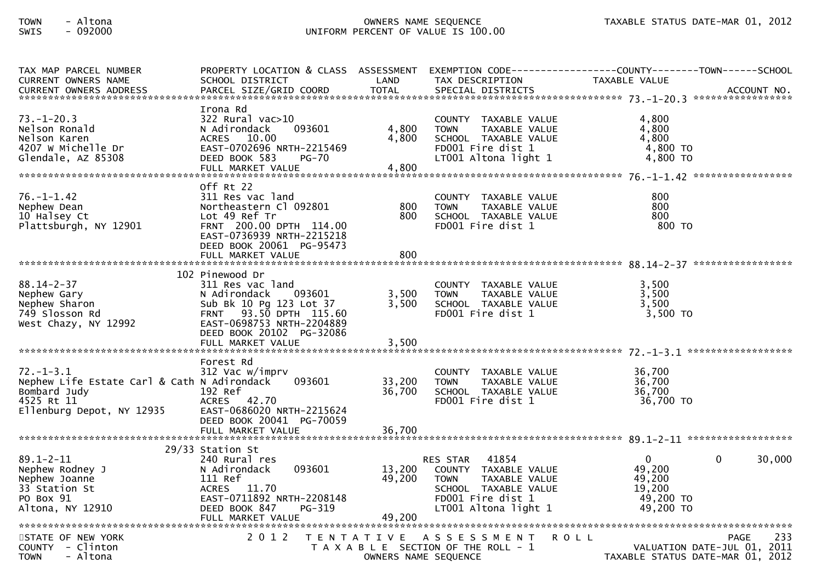## TOWN - Altona OWNERS NAME SEQUENCE TAXABLE STATUS DATE-MAR 01, 2012SWIS - 092000 UNIFORM PERCENT OF VALUE IS 100.00

| TAX MAP PARCEL NUMBER<br>CURRENT OWNERS NAME                                                                              | PROPERTY LOCATION & CLASS ASSESSMENT<br>SCHOOL DISTRICT                                                                                                                                          | LAND                       | EXEMPTION CODE------------------COUNTY--------TOWN------SCHOOL<br>TAX DESCRIPTION                                                                     | <b>TAXABLE VALUE</b>                                             |                                                                                |
|---------------------------------------------------------------------------------------------------------------------------|--------------------------------------------------------------------------------------------------------------------------------------------------------------------------------------------------|----------------------------|-------------------------------------------------------------------------------------------------------------------------------------------------------|------------------------------------------------------------------|--------------------------------------------------------------------------------|
| $73. - 1 - 20.3$<br>Nelson Ronald<br>Nelson Karen<br>4207 W Michelle Dr<br>Glendale, AZ 85308                             | Irona Rd<br>322 Rural vac>10<br>N Adirondack<br>093601<br>ACRES 10.00<br>EAST-0702696 NRTH-2215469<br>DEED BOOK 583<br><b>PG-70</b><br>FULL MARKET VALUE                                         | 4,800<br>4,800<br>4,800    | COUNTY TAXABLE VALUE<br><b>TOWN</b><br>TAXABLE VALUE<br>SCHOOL TAXABLE VALUE<br>FD001 Fire dist 1<br>LT001 Altona light 1                             | 4,800<br>4,800<br>4,800<br>4,800 TO<br>4,800 TO                  |                                                                                |
| $76. - 1 - 1.42$<br>Nephew Dean<br>10 Halsey Ct<br>Plattsburgh, NY 12901                                                  | Off Rt 22<br>311 Res vac land<br>Northeastern Cl 092801<br>Lot 49 Ref Tr<br>FRNT 200.00 DPTH 114.00<br>EAST-0736939 NRTH-2215218<br>DEED BOOK 20061 PG-95473<br>FULL MARKET VALUE                | 800<br>800<br>800          | COUNTY TAXABLE VALUE<br>TAXABLE VALUE<br><b>TOWN</b><br>SCHOOL TAXABLE VALUE<br>FD001 Fire dist 1                                                     | 800<br>800<br>800<br>800 TO                                      |                                                                                |
| $88.14 - 2 - 37$<br>Nephew Gary<br>Nephew Sharon<br>749 Slosson Rd<br>West Chazy, NY 12992                                | 102 Pinewood Dr<br>311 Res vac land<br>N Adirondack<br>093601<br>Sub Bk 10 Pg 123 Lot 37<br>FRNT 93.50 DPTH 115.60<br>EAST-0698753 NRTH-2204889<br>DEED BOOK 20102 PG-32086<br>FULL MARKET VALUE | 3,500<br>3,500<br>3,500    | COUNTY TAXABLE VALUE<br>TAXABLE VALUE<br><b>TOWN</b><br>SCHOOL TAXABLE VALUE<br>FD001 Fire dist 1                                                     | 3,500<br>3,500<br>3,500<br>3,500 TO                              |                                                                                |
| $72. - 1 - 3.1$<br>Nephew Life Estate Carl & Cath N Adirondack<br>Bombard Judy<br>4525 Rt 11<br>Ellenburg Depot, NY 12935 | Forest Rd<br>312 Vac w/imprv<br>093601<br>192 Ref<br>ACRES 42.70<br>EAST-0686020 NRTH-2215624<br>DEED BOOK 20041 PG-70059<br>FULL MARKET VALUE                                                   | 33,200<br>36,700<br>36,700 | COUNTY TAXABLE VALUE<br>TAXABLE VALUE<br><b>TOWN</b><br>SCHOOL TAXABLE VALUE<br>FD001 Fire dist 1                                                     | 36,700<br>36,700<br>36,700<br>36,700 TO                          |                                                                                |
| $89.1 - 2 - 11$<br>Nephew Rodney J<br>Nephew Joanne<br>33 Station St<br>PO Box 91<br>Altona, NY 12910                     | 29/33 Station St<br>240 Rural res<br>093601<br>N Adirondack<br>111 Ref<br>ACRES 11.70<br>EAST-0711892 NRTH-2208148<br>PG-319<br>DEED BOOK 847<br>FULL MARKET VALUE                               | 13,200<br>49,200<br>49,200 | 41854<br><b>RES STAR</b><br>COUNTY TAXABLE VALUE<br><b>TOWN</b><br>TAXABLE VALUE<br>SCHOOL TAXABLE VALUE<br>FD001 Fire dist 1<br>LT001 Altona light 1 | $\Omega$<br>49,200<br>49,200<br>19,200<br>49,200 TO<br>49,200 TO | 30,000<br>$\Omega$                                                             |
| STATE OF NEW YORK<br>COUNTY - Clinton<br>- Altona<br><b>TOWN</b>                                                          | 2 0 1 2                                                                                                                                                                                          |                            | TENTATIVE ASSESSMENT<br>R O L L<br>T A X A B L E SECTION OF THE ROLL - 1<br>OWNERS NAME SEQUENCE                                                      |                                                                  | 233<br>PAGE<br>VALUATION DATE-JUL 01, 2011<br>TAXABLE STATUS DATE-MAR 01, 2012 |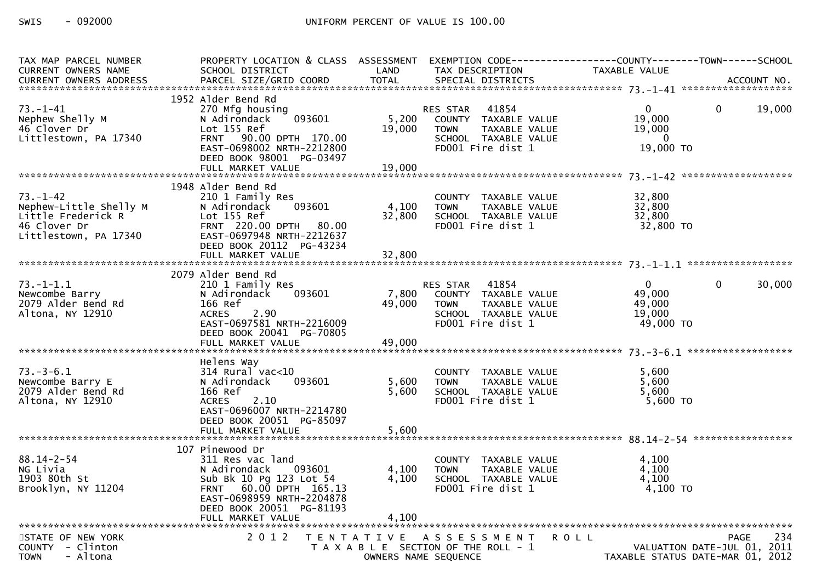| TAX MAP PARCEL NUMBER   |                                                   |                      |                                           | PROPERTY LOCATION & CLASS ASSESSMENT EXEMPTION CODE----------------COUNTY-------TOWN------SCHOOL |             |
|-------------------------|---------------------------------------------------|----------------------|-------------------------------------------|--------------------------------------------------------------------------------------------------|-------------|
| CURRENT OWNERS NAME     | SCHOOL DISTRICT                                   | LAND                 | TAX DESCRIPTION                           | TAXABLE VALUE                                                                                    |             |
|                         |                                                   |                      |                                           |                                                                                                  |             |
|                         | 1952 Alder Bend Rd                                |                      |                                           |                                                                                                  |             |
| $73. - 1 - 41$          |                                                   |                      | 41854                                     | $\Omega$<br>$\mathbf{0}$                                                                         | 19,000      |
| Nephew Shelly M         | 270 Mfg housing<br>093601                         | 5,200                | RES STAR<br>COUNTY TAXABLE VALUE          | 19,000                                                                                           |             |
| 46 Clover Dr            | N Adirondack<br>Lot 155 Ref                       | 19,000               | <b>TOWN</b>                               | 19,000                                                                                           |             |
| Littlestown, PA 17340   | FRNT 90.00 DPTH 170.00                            |                      | TAXABLE VALUE<br>SCHOOL TAXABLE VALUE     | $\Omega$                                                                                         |             |
|                         | EAST-0698002 NRTH-2212800                         |                      | FD001 Fire dist 1                         | 19,000 TO                                                                                        |             |
|                         | DEED BOOK 98001 PG-03497                          |                      |                                           |                                                                                                  |             |
|                         | FULL MARKET VALUE                                 | 19,000               |                                           |                                                                                                  |             |
|                         |                                                   |                      |                                           |                                                                                                  |             |
|                         | 1948 Alder Bend Rd                                |                      |                                           |                                                                                                  |             |
| $73. - 1 - 42$          | 210 1 Family Res                                  |                      | COUNTY TAXABLE VALUE                      | 32,800                                                                                           |             |
| Nephew-Little Shelly M  | 093601<br>N Adirondack                            | 4,100                | <b>TOWN</b><br>TAXABLE VALUE              | 32,800                                                                                           |             |
| Little Frederick R      | Lot 155 Ref                                       | 32,800               | SCHOOL TAXABLE VALUE                      | 32,800                                                                                           |             |
| 46 Clover Dr            | FRNT 220.00 DPTH 80.00                            |                      | FD001 Fire dist 1                         | 32,800 TO                                                                                        |             |
| Littlestown, PA 17340   | EAST-0697948 NRTH-2212637                         |                      |                                           |                                                                                                  |             |
|                         | DEED BOOK 20112 PG-43234                          |                      |                                           |                                                                                                  |             |
|                         |                                                   |                      |                                           |                                                                                                  |             |
|                         |                                                   |                      |                                           |                                                                                                  |             |
|                         | 2079 Alder Bend Rd                                |                      |                                           |                                                                                                  |             |
| $73. - 1 - 1.1$         | 210 1 Family Res                                  |                      | 41854<br>RES STAR                         | 0<br>$\mathbf{0}$                                                                                | 30,000      |
| Newcombe Barry          | 093601<br>N Adirondack                            | 7,800                | COUNTY TAXABLE VALUE                      | 49,000                                                                                           |             |
| 2079 Alder Bend Rd      | 166 Ref                                           | 49,000               | TAXABLE VALUE<br><b>TOWN</b>              | 49,000                                                                                           |             |
| Altona, NY 12910        | <b>ACRES</b><br>2.90                              |                      | SCHOOL TAXABLE VALUE                      | 19,000                                                                                           |             |
|                         | EAST-0697581 NRTH-2216009                         |                      | FD001 Fire dist 1                         | 49,000 TO                                                                                        |             |
|                         | DEED BOOK 20041 PG-70805                          |                      |                                           |                                                                                                  |             |
|                         | FULL MARKET VALUE                                 | 49,000               |                                           |                                                                                                  |             |
|                         |                                                   |                      |                                           |                                                                                                  |             |
|                         | Helens Way                                        |                      |                                           |                                                                                                  |             |
| $73. - 3 - 6.1$         | $314$ Rural vac<10                                |                      | COUNTY TAXABLE VALUE                      | 5,600                                                                                            |             |
| Newcombe Barry E        | N Adirondack<br>093601                            | 5,600                | <b>TOWN</b><br>TAXABLE VALUE              | 5,600                                                                                            |             |
| 2079 Alder Bend Rd      | 166 Ref                                           | 5,600                | SCHOOL TAXABLE VALUE<br>FD001 Fire dist 1 | 5,600<br>$5,600$ TO                                                                              |             |
| Altona, NY 12910        | 2.10<br><b>ACRES</b><br>EAST-0696007 NRTH-2214780 |                      |                                           |                                                                                                  |             |
|                         | DEED BOOK 20051 PG-85097                          |                      |                                           |                                                                                                  |             |
|                         |                                                   |                      |                                           |                                                                                                  |             |
|                         |                                                   |                      |                                           |                                                                                                  |             |
|                         | 107 Pinewood Dr                                   |                      |                                           |                                                                                                  |             |
| $88.14 - 2 - 54$        | 311 Res vac land                                  |                      | COUNTY TAXABLE VALUE                      | 4,100                                                                                            |             |
| NG Livia                | N Adirondack<br>093601                            | 4,100                | TAXABLE VALUE<br><b>TOWN</b>              | 4,100                                                                                            |             |
| 1903 80th St            | Sub Bk 10 Pg 123 Lot 54                           | 4,100                | SCHOOL TAXABLE VALUE                      | 4,100                                                                                            |             |
| Brooklyn, NY 11204      | FRNT 60.00 DPTH 165.13                            |                      | FD001 Fire dist 1                         | 4,100 TO                                                                                         |             |
|                         | EAST-0698959 NRTH-2204878                         |                      |                                           |                                                                                                  |             |
|                         | DEED BOOK 20051 PG-81193                          |                      |                                           |                                                                                                  |             |
|                         |                                                   |                      |                                           |                                                                                                  |             |
|                         |                                                   |                      |                                           |                                                                                                  |             |
| STATE OF NEW YORK       | 2 0 1 2                                           |                      | TENTATIVE ASSESSMENT<br><b>ROLL</b>       |                                                                                                  | 234<br>PAGE |
| COUNTY - Clinton        |                                                   |                      | T A X A B L E SECTION OF THE ROLL - 1     | VALUATION DATE-JUL 01, 2011                                                                      |             |
| - Altona<br><b>TOWN</b> |                                                   | OWNERS NAME SEQUENCE |                                           | TAXABLE STATUS DATE-MAR 01, 2012                                                                 |             |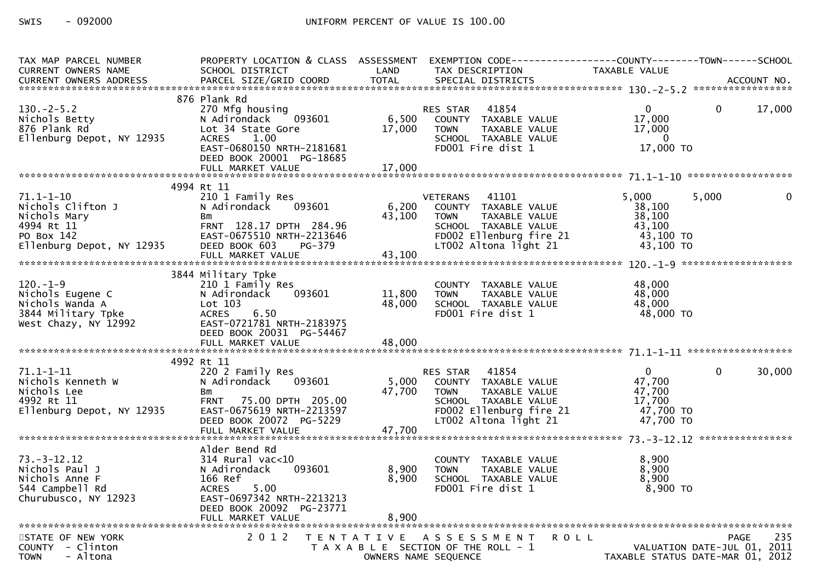| TAX MAP PARCEL NUMBER            | PROPERTY LOCATION & CLASS ASSESSMENT                  |                |                                           | EXEMPTION CODE------------------COUNTY--------TOWN------SCHOOL |              |
|----------------------------------|-------------------------------------------------------|----------------|-------------------------------------------|----------------------------------------------------------------|--------------|
| <b>CURRENT OWNERS NAME</b>       | SCHOOL DISTRICT                                       | LAND           | TAX DESCRIPTION                           | TAXABLE VALUE                                                  |              |
| CURRENT OWNERS ADDRESS           | PARCEL SIZE/GRID COORD                                | <b>TOTAL</b>   | SPECIAL DISTRICTS                         |                                                                | ACCOUNT NO.  |
|                                  |                                                       |                |                                           |                                                                |              |
|                                  | 876 Plank Rd                                          |                |                                           |                                                                |              |
| $130 - 2 - 5.2$                  | 270 Mfg housing                                       |                | RES STAR 41854                            | $\mathbf{0}$<br>$\mathbf{0}$                                   | 17,000       |
| Nichols Betty                    | N Adirondack 093601                                   | 6,500          | COUNTY TAXABLE VALUE                      | 17,000                                                         |              |
| 876 Plank Rd                     | Lot 34 State Gore                                     | 17,000         | TAXABLE VALUE<br><b>TOWN</b>              | 17,000                                                         |              |
| Ellenburg Depot, NY 12935        | <b>ACRES</b><br>1.00                                  |                | SCHOOL TAXABLE VALUE                      | $\mathbf{0}$                                                   |              |
|                                  | EAST-0680150 NRTH-2181681                             |                | FD001 Fire dist 1                         | 17,000 TO                                                      |              |
|                                  | DEED BOOK 20001 PG-18685                              |                |                                           |                                                                |              |
|                                  | FULL MARKET VALUE                                     | 17,000         |                                           |                                                                |              |
|                                  | 4994 Rt 11                                            |                |                                           |                                                                |              |
| $71.1 - 1 - 10$                  | 210 1 Family Res                                      |                | VETERANS 41101                            | 5,000<br>5,000                                                 | $\mathbf{0}$ |
| Nichols Clifton J                | 093601<br>N Adirondack                                | 6,200          | COUNTY TAXABLE VALUE                      | 38,100                                                         |              |
| Nichols Mary                     | <b>Bm</b>                                             | 43,100         | <b>TOWN</b><br>TAXABLE VALUE              | 38,100                                                         |              |
| 4994 Rt 11                       | FRNT 128.17 DPTH 284.96                               |                | SCHOOL TAXABLE VALUE                      | 43,100                                                         |              |
| PO Box 142                       | EAST-0675510 NRTH-2213646                             |                | FD002 Ellenburg fire 21                   | 43,100 TO                                                      |              |
| Ellenburg Depot, NY 12935        | DEED BOOK 603 PG-379                                  |                | LT002 Altona light 21                     | 43,100 TO                                                      |              |
|                                  |                                                       |                |                                           |                                                                |              |
|                                  |                                                       |                |                                           |                                                                |              |
|                                  | 3844 Military Tpke                                    |                |                                           |                                                                |              |
| $120. - 1 - 9$                   | 210 1 Family Res                                      |                | COUNTY TAXABLE VALUE                      | 48.000                                                         |              |
| Nichols Eugene C                 | N Adirondack<br>093601                                | 11,800         | TAXABLE VALUE<br><b>TOWN</b>              | 48,000                                                         |              |
| Nichols Wanda A                  | Lot 103                                               | 48,000         | SCHOOL TAXABLE VALUE                      | 48,000                                                         |              |
| 3844 Military Tpke               | ACRES<br>6.50                                         |                | FD001 Fire dist 1                         | 48,000 TO                                                      |              |
| West Chazy, NY 12992             | EAST-0721781 NRTH-2183975                             |                |                                           |                                                                |              |
|                                  | DEED BOOK 20031 PG-54467                              |                |                                           |                                                                |              |
|                                  | FULL MARKET VALUE                                     | 48,000         |                                           |                                                                |              |
|                                  |                                                       |                |                                           |                                                                |              |
|                                  | 4992 Rt 11                                            |                |                                           |                                                                |              |
| $71.1 - 1 - 11$                  | 220 2 Family Res                                      |                | RES STAR 41854                            | $\Omega$<br>$\Omega$                                           | 30,000       |
| Nichols Kenneth W                | N Adirondack<br>093601                                | 5,000          | COUNTY TAXABLE VALUE                      | 47,700                                                         |              |
| Nichols Lee                      | Bm                                                    | 47,700         | TAXABLE VALUE<br><b>TOWN</b>              | 47,700                                                         |              |
| 4992 Rt 11                       | FRNT 75.00 DPTH 205.00                                |                | SCHOOL TAXABLE VALUE                      | 17,700                                                         |              |
| Ellenburg Depot, NY 12935        | EAST-0675619 NRTH-2213597                             |                | FD002 Ellenburg fire 21                   | 47,700 TO                                                      |              |
|                                  | DEED BOOK 20072 PG-5229                               |                | LT002 Altona light 21                     | 47,700 TO                                                      |              |
|                                  |                                                       |                |                                           |                                                                |              |
|                                  |                                                       |                |                                           |                                                                |              |
|                                  | Alder Bend Rd                                         |                |                                           |                                                                |              |
| $73. - 3 - 12.12$                | $314$ Rural vac $<$ 10                                |                | COUNTY TAXABLE VALUE                      | 8,900                                                          |              |
| Nichols Paul J<br>Nichols Anne F | 093601<br>N Adirondack                                | 8,900<br>8,900 | TAXABLE VALUE<br><b>TOWN</b>              | 8,900<br>8,900                                                 |              |
|                                  | 166 Ref                                               |                | SCHOOL TAXABLE VALUE<br>FD001 Fire dist 1 | 8,900 TO                                                       |              |
| 544 Campbell Rd                  | <b>ACRES</b><br>5.00                                  |                |                                           |                                                                |              |
| Churubusco, NY 12923             | EAST-0697342 NRTH-2213213<br>DEED BOOK 20092 PG-23771 |                |                                           |                                                                |              |
|                                  | FULL MARKET VALUE                                     | 8,900          |                                           |                                                                |              |
|                                  |                                                       |                |                                           |                                                                |              |
| STATE OF NEW YORK                | 2 0 1 2                                               |                | TENTATIVE ASSESSMENT                      | <b>ROLL</b><br><b>PAGE</b>                                     | 235          |
| COUNTY - Clinton                 |                                                       |                | T A X A B L E SECTION OF THE ROLL - 1     | VALUATION DATE-JUL 01, 2011                                    |              |
| - Altona<br><b>TOWN</b>          |                                                       |                | OWNERS NAME SEQUENCE                      | TAXABLE STATUS DATE-MAR 01, 2012                               |              |
|                                  |                                                       |                |                                           |                                                                |              |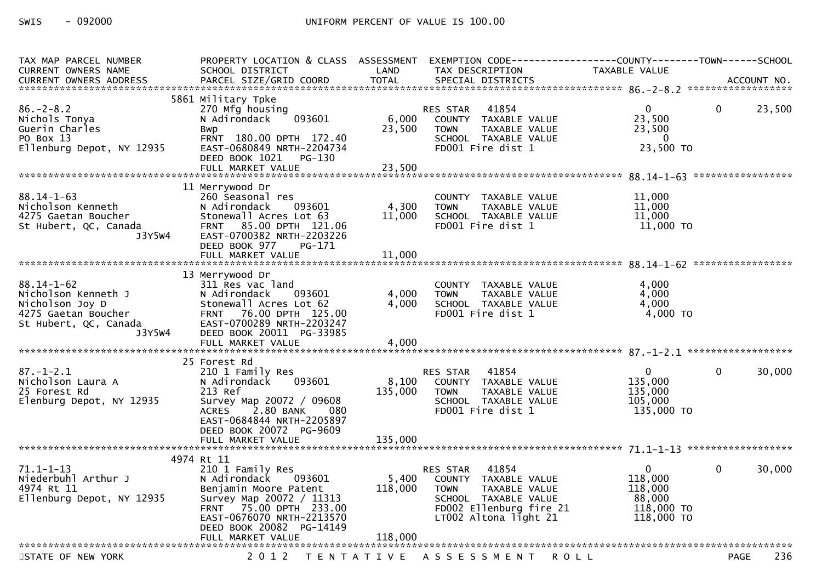| TAX MAP PARCEL NUMBER<br><b>CURRENT OWNERS NAME</b>                                                                  | PROPERTY LOCATION & CLASS ASSESSMENT<br>SCHOOL DISTRICT                                                                                                                                         | LAND                      | TAX DESCRIPTION                                                                                                                                       | TAXABLE VALUE                                                        |                        |
|----------------------------------------------------------------------------------------------------------------------|-------------------------------------------------------------------------------------------------------------------------------------------------------------------------------------------------|---------------------------|-------------------------------------------------------------------------------------------------------------------------------------------------------|----------------------------------------------------------------------|------------------------|
|                                                                                                                      |                                                                                                                                                                                                 |                           |                                                                                                                                                       |                                                                      |                        |
| $86. - 2 - 8.2$<br>Nichols Tonya<br>Guerin Charles<br>PO Box 13<br>Ellenburg Depot, NY 12935                         | 5861 Military Tpke<br>270 Mfg housing<br>093601<br>N Adirondack<br>Bwp<br>FRNT 180.00 DPTH 172.40<br>EAST-0680849 NRTH-2204734<br>DEED BOOK 1021 PG-130<br>FULL MARKET VALUE                    | 6,000<br>23,500<br>23,500 | 41854<br>RES STAR<br>COUNTY TAXABLE VALUE<br>TAXABLE VALUE<br><b>TOWN</b><br>SCHOOL TAXABLE VALUE<br>FD001 Fire dist 1                                | $\Omega$<br>23,500<br>23,500<br>$\Omega$<br>23,500 TO                | $\mathbf{0}$<br>23,500 |
|                                                                                                                      | 11 Merrywood Dr                                                                                                                                                                                 |                           |                                                                                                                                                       |                                                                      |                        |
| $88.14 - 1 - 63$<br>Nicholson Kenneth<br>4275 Gaetan Boucher<br>St Hubert, QC, Canada<br>J3Y5W4                      | 260 Seasonal res<br>093601<br>N Adirondack<br>Stonewall Acres Lot 63<br>FRNT 85.00 DPTH 121.06<br>EAST-0700382 NRTH-2203226<br>DEED BOOK 977<br>PG-171                                          | 4,300<br>11,000           | COUNTY TAXABLE VALUE<br><b>TOWN</b><br>TAXABLE VALUE<br>SCHOOL TAXABLE VALUE<br>FD001 Fire dist 1                                                     | 11,000<br>11,000<br>11,000<br>11,000 TO                              |                        |
|                                                                                                                      | FULL MARKET VALUE                                                                                                                                                                               | 11,000                    |                                                                                                                                                       |                                                                      |                        |
| $88.14 - 1 - 62$<br>Nicholson Kenneth J<br>Nicholson Joy D<br>4275 Gaetan Boucher<br>St Hubert, QC, Canada<br>J3Y5W4 | 13 Merrywood Dr<br>311 Res vac land<br>N Adirondack<br>093601<br>Stonewall Acres Lot 62<br>FRNT 76.00 DPTH 125.00<br>EAST-0700289 NRTH-2203247<br>DEED BOOK 20011 PG-33985<br>FULL MARKET VALUE | 4,000<br>4,000<br>4,000   | COUNTY TAXABLE VALUE<br>TAXABLE VALUE<br><b>TOWN</b><br>SCHOOL TAXABLE VALUE<br>FD001 Fire dist 1                                                     | 4,000<br>4,000<br>4,000<br>4,000 TO                                  |                        |
|                                                                                                                      | 25 Forest Rd                                                                                                                                                                                    |                           |                                                                                                                                                       |                                                                      |                        |
| $87. - 1 - 2.1$<br>Nicholson Laura A<br>25 Forest Rd<br>Elenburg Depot, NY 12935                                     | 210 1 Family Res<br>093601<br>N Adirondack<br>213 Ref<br>Survey Map 20072 / 09608<br>2.80 BANK<br><b>ACRES</b><br>080<br>EAST-0684844 NRTH-2205897<br>DEED BOOK 20072 PG-9609                   | 8,100<br>135,000          | 41854<br>RES STAR<br>COUNTY TAXABLE VALUE<br>TAXABLE VALUE<br><b>TOWN</b><br>SCHOOL TAXABLE VALUE<br>FD001 Fire dist 1                                | $\Omega$<br>135,000<br>135,000<br>105,000<br>135,000 TO              | 30,000<br>$\Omega$     |
|                                                                                                                      | FULL MARKET VALUE                                                                                                                                                                               | 135,000                   |                                                                                                                                                       |                                                                      |                        |
|                                                                                                                      | 4974 Rt 11                                                                                                                                                                                      |                           |                                                                                                                                                       |                                                                      |                        |
| $71.1 - 1 - 13$<br>Niederbuhl Arthur J<br>4974 Rt 11<br>Ellenburg Depot, NY 12935                                    | 210 1 Family Res<br>093601<br>N Adirondack<br>Benjamin Moore Patent<br>Survey Map 20072 / 11313<br>FRNT 75.00 DPTH 233.00<br>EAST-0676070 NRTH-2213570<br>DEED BOOK 20082 PG-14149              | 5,400<br>118,000          | 41854<br>RES STAR<br>COUNTY TAXABLE VALUE<br>TAXABLE VALUE<br><b>TOWN</b><br>SCHOOL TAXABLE VALUE<br>FD002 Ellenburg fire 21<br>LT002 Altona light 21 | $\Omega$<br>118,000<br>118,000<br>88.000<br>118,000 TO<br>118,000 TO | 30,000<br>$\mathbf{0}$ |
|                                                                                                                      | FULL MARKET VALUE                                                                                                                                                                               | 118,000                   |                                                                                                                                                       |                                                                      |                        |
| STATE OF NEW YORK                                                                                                    | 2 0 1 2                                                                                                                                                                                         |                           | TENTATIVE ASSESSMENT ROLL                                                                                                                             |                                                                      | 236<br><b>PAGE</b>     |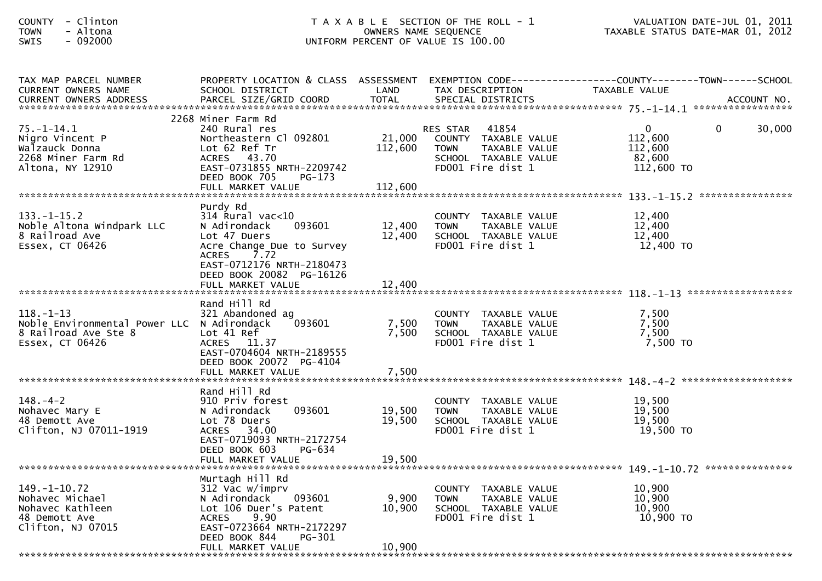| - Clinton<br><b>COUNTY</b><br>- Altona<br><b>TOWN</b><br>$-092000$<br>SWIS                                                         | T A X A B L E SECTION OF THE ROLL - 1<br>OWNERS NAME SEQUENCE<br>UNIFORM PERCENT OF VALUE IS 100.00                                                                                        |                           |                                                                                                                        | VALUATION DATE-JUL 01, 2011<br>TAXABLE STATUS DATE-MAR 01, 2012                        |  |
|------------------------------------------------------------------------------------------------------------------------------------|--------------------------------------------------------------------------------------------------------------------------------------------------------------------------------------------|---------------------------|------------------------------------------------------------------------------------------------------------------------|----------------------------------------------------------------------------------------|--|
| TAX MAP PARCEL NUMBER<br>CURRENT OWNERS NAME<br>CURRENT OWNERS ADDRESS                                                             | PROPERTY LOCATION & CLASS ASSESSMENT<br>SCHOOL DISTRICT                                                                                                                                    | LAND                      | TAX DESCRIPTION                                                                                                        | EXEMPTION CODE------------------COUNTY--------TOWN------SCHOOL<br>TAXABLE VALUE        |  |
| 75. – 1–14.1<br>Nigro Vincent P<br>Walzauck Donna<br>2268 Miner Farm Rd<br>Altona, NY 12910                                        | 2268 Miner Farm Rd<br>240 Rural res<br>Northeastern Cl 092801<br>Lot 62 Ref Tr<br>ACRES 43.70<br>EAST-0731855 NRTH-2209742<br>DEED BOOK 705<br>$PG-173$                                    | 21,000<br>112,600         | 41854<br>RES STAR<br>COUNTY TAXABLE VALUE<br><b>TOWN</b><br>TAXABLE VALUE<br>SCHOOL TAXABLE VALUE<br>FD001 Fire dist 1 | $\overline{0}$<br>$\mathbf{0}$<br>30,000<br>112,600<br>112,600<br>82,600<br>112,600 TO |  |
|                                                                                                                                    |                                                                                                                                                                                            |                           |                                                                                                                        |                                                                                        |  |
| $133. - 1 - 15.2$<br>Noble Altona Windpark LLC<br>8 Railroad Ave<br>Essex, CT 06426                                                | Purdy Rd<br>$314$ Rural vac< $10$<br>093601<br>N Adirondack<br>Lot 47 Duers<br>Acre Change Due to Survey<br><b>ACRES</b><br>7.72<br>EAST-0712176 NRTH-2180473                              | 12,400<br>12,400          | COUNTY TAXABLE VALUE<br><b>TOWN</b><br>TAXABLE VALUE<br>SCHOOL TAXABLE VALUE<br>FD001 Fire dist 1                      | 12,400<br>12,400<br>12,400<br>12,400 TO                                                |  |
|                                                                                                                                    | DEED BOOK 20082 PG-16126                                                                                                                                                                   |                           |                                                                                                                        |                                                                                        |  |
|                                                                                                                                    |                                                                                                                                                                                            |                           |                                                                                                                        |                                                                                        |  |
| $118. - 1 - 13$<br>Noble Environmental Power LLC N Adirondack<br>8 Railroad Ave Ste 8<br>Essex, CT 06426                           | Rand Hill Rd<br>321 Abandoned ag<br>093601<br>Lot 41 Ref<br>ACRES 11.37<br>EAST-0704604 NRTH-2189555<br>DEED BOOK 20072 PG-4104                                                            | 7,500<br>7,500            | COUNTY TAXABLE VALUE<br>TAXABLE VALUE<br>TOWN<br>SCHOOL TAXABLE VALUE<br>FD001 Fire dist 1                             | 7,500<br>7,500<br>7,500<br>7,500 TO                                                    |  |
|                                                                                                                                    |                                                                                                                                                                                            |                           |                                                                                                                        |                                                                                        |  |
| $148. - 4 - 2$<br>Nohavec Mary E<br>48 Demott Ave<br>Clifton, NJ 07011-1919                                                        | Rand Hill Rd<br>910 Priv forest<br>093601<br>N Adirondack<br>Lot 78 Duers<br>ACRES 34.00<br>EAST-0719093 NRTH-2172754<br>DEED BOOK 603<br><b>PG-634</b>                                    | 19,500<br>19,500          | COUNTY TAXABLE VALUE<br>TAXABLE VALUE<br><b>TOWN</b><br>SCHOOL TAXABLE VALUE<br>FD001 Fire dist 1                      | 19,500<br>19,500<br>19,500<br>19,500 TO                                                |  |
|                                                                                                                                    | FULL MARKET VALUE                                                                                                                                                                          | 19,500                    |                                                                                                                        |                                                                                        |  |
| *******************************<br>$149. - 1 - 10.72$<br>Nohavec Michael<br>Nohavec Kathleen<br>48 Demott Ave<br>Clifton, NJ 07015 | Murtagh Hill Rd<br>312 Vac w/imprv<br>093601<br>N Adirondack<br>Lot 106 Duer's Patent<br>9.90<br><b>ACRES</b><br>EAST-0723664 NRTH-2172297<br>DEED BOOK 844<br>PG-301<br>FULL MARKET VALUE | 9,900<br>10,900<br>10,900 | COUNTY<br>TAXABLE VALUE<br><b>TOWN</b><br>TAXABLE VALUE<br>SCHOOL TAXABLE VALUE<br>FD001 Fire dist 1                   | 10,900<br>10,900<br>10,900<br>10,900 TO                                                |  |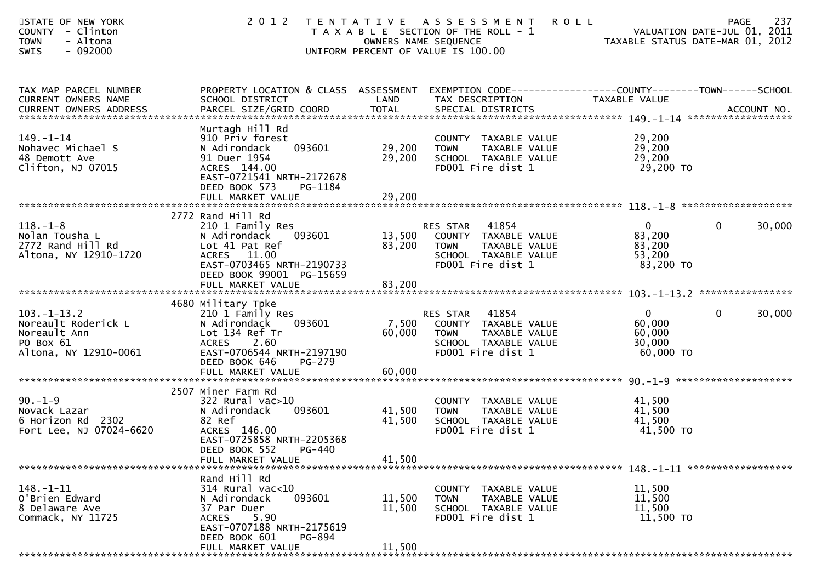| STATE OF NEW YORK<br><b>COUNTY</b><br>- Clinton<br>- Altona<br><b>TOWN</b><br>$-092000$<br><b>SWIS</b> | 2 0 1 2                                                                                                                                               |                  | <b>ROLL</b><br>TENTATIVE ASSESSMENT<br>T A X A B L E SECTION OF THE ROLL - 1<br>OWNERS NAME SEQUENCE<br>UNIFORM PERCENT OF VALUE IS 100.00 | VALUATION DATE-JUL 01, 2011<br>VALUATION DATE-JUL 01, 2011<br>TAXABLE STATUS DATE-MAR 01, 2012 | 237<br><b>PAGE</b>     |
|--------------------------------------------------------------------------------------------------------|-------------------------------------------------------------------------------------------------------------------------------------------------------|------------------|--------------------------------------------------------------------------------------------------------------------------------------------|------------------------------------------------------------------------------------------------|------------------------|
| TAX MAP PARCEL NUMBER<br>CURRENT OWNERS NAME                                                           | SCHOOL DISTRICT                                                                                                                                       | LAND             | PROPERTY LOCATION & CLASS ASSESSMENT EXEMPTION CODE----------------COUNTY-------TOWN------SCHOOL<br>TAX DESCRIPTION                        | TAXABLE VALUE                                                                                  |                        |
| $149. - 1 - 14$<br>Nohavec Michael S<br>48 Demott Ave<br>Clifton, NJ 07015                             | Murtagh Hill Rd<br>910 Priv forest<br>093601<br>N Adirondack<br>91 Duer 1954<br>ACRES 144.00<br>EAST-0721541 NRTH-2172678<br>DEED BOOK 573<br>PG-1184 | 29,200<br>29,200 | COUNTY TAXABLE VALUE<br>TAXABLE VALUE<br><b>TOWN</b><br>SCHOOL TAXABLE VALUE<br>FD001 Fire dist 1                                          | 29,200<br>29,200<br>29,200<br>29,200 TO                                                        |                        |
|                                                                                                        | 2772 Rand Hill Rd                                                                                                                                     |                  |                                                                                                                                            |                                                                                                |                        |
| $118. - 1 - 8$<br>Nolan Tousha L<br>2772 Rand Hill Rd<br>Altona, NY 12910-1720                         | 210 1 Family Res<br>093601<br>N Adirondack<br>Lot 41 Pat Ref<br>ACRES 11.00<br>EAST-0703465 NRTH-2190733                                              | 83,200           | 41854<br>RES STAR<br>13,500 COUNTY TAXABLE VALUE<br><b>TOWN</b><br>TAXABLE VALUE<br>SCHOOL TAXABLE VALUE<br>FD001 Fire dist 1              | $\overline{0}$<br>83,200<br>83,200<br>53,200<br>83,200 TO                                      | $\mathbf{0}$<br>30,000 |
|                                                                                                        | DEED BOOK 99001 PG-15659                                                                                                                              |                  |                                                                                                                                            |                                                                                                |                        |
|                                                                                                        | 4680 Military Tpke                                                                                                                                    |                  |                                                                                                                                            |                                                                                                |                        |
| $103. - 1 - 13.2$<br>Noreault Roderick L<br>Noreault Ann<br>PO Box 61<br>Altona, NY 12910-0061         | 210 1 Family Res<br>N Adirondack<br>093601<br>Lot 134 Ref Tr<br><b>ACRES</b><br>2.60<br>EAST-0706544 NRTH-2197190<br>DEED BOOK 646<br>PG-279          | 7,500<br>60,000  | 41854<br>RES STAR<br>COUNTY TAXABLE VALUE<br>TAXABLE VALUE<br><b>TOWN</b><br>SCHOOL TAXABLE VALUE<br>FD001 Fire dist 1                     | $\overline{0}$<br>60,000<br>60,000<br>30,000<br>60,000 TO                                      | $\mathbf{0}$<br>30,000 |
|                                                                                                        |                                                                                                                                                       |                  |                                                                                                                                            |                                                                                                |                        |
|                                                                                                        | 2507 Miner Farm Rd                                                                                                                                    |                  |                                                                                                                                            |                                                                                                |                        |
| $90. - 1 - 9$<br>Novack Lazar<br>6 Horizon Rd 2302<br>Fort Lee, NJ 07024-6620                          | 322 Rural vac>10<br>093601<br>N Adirondack<br>82 Ref<br>ACRES 146.00<br>EAST-0725858 NRTH-2205368                                                     | 41,500<br>41,500 | COUNTY TAXABLE VALUE<br>TAXABLE VALUE<br><b>TOWN</b><br>SCHOOL TAXABLE VALUE<br>FD001 Fire dist 1                                          | 41,500<br>41,500<br>41,500<br>41,500 TO                                                        |                        |
|                                                                                                        | DEED BOOK 552 PG-440<br>FULL MARKET VALUE                                                                                                             | 41,500           |                                                                                                                                            |                                                                                                |                        |
|                                                                                                        | Rand Hill Rd                                                                                                                                          |                  |                                                                                                                                            |                                                                                                |                        |
| $148. - 1 - 11$<br>O'Brien Edward<br>8 Delaware Ave<br>Commack, NY 11725                               | 314 Rural vac<10<br>093601<br>N Adirondack<br>37 Par Duer<br>5.90<br><b>ACRES</b><br>EAST-0707188 NRTH-2175619                                        | 11,500<br>11,500 | COUNTY TAXABLE VALUE<br>TAXABLE VALUE<br><b>TOWN</b><br>SCHOOL TAXABLE VALUE<br>FD001 Fire dist 1                                          | 11,500<br>11,500<br>11,500<br>11,500 TO                                                        |                        |
|                                                                                                        | DEED BOOK 601<br>PG-894<br>FULL MARKET VALUE                                                                                                          | 11,500           |                                                                                                                                            |                                                                                                |                        |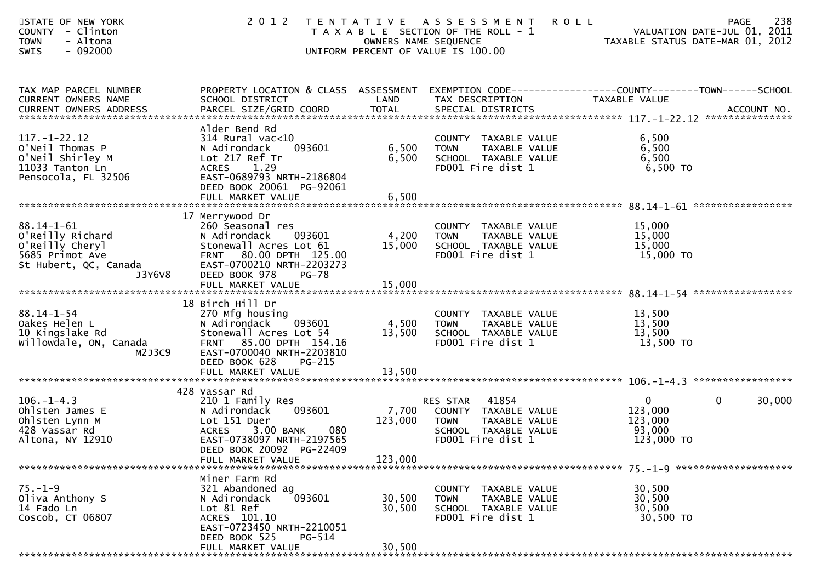| STATE OF NEW YORK<br><b>COUNTY</b><br>- Clinton<br>- Altona<br><b>TOWN</b><br>$-092000$<br><b>SWIS</b> | 2 0 1 2                                                                                                                                                                               |                         | TENTATIVE ASSESSMENT<br><b>ROLL</b><br>T A X A B L E SECTION OF THE ROLL - 1<br>OWNERS NAME SEQUENCE<br>UNIFORM PERCENT OF VALUE IS 100.00 | VALUATION DATE-JUL 01, ZUII<br>TAXABLE STATUS DATE-MAR 01, 2012 | 238<br>PAGE<br>VALUATION DATE-JUL 01, 2011 |
|--------------------------------------------------------------------------------------------------------|---------------------------------------------------------------------------------------------------------------------------------------------------------------------------------------|-------------------------|--------------------------------------------------------------------------------------------------------------------------------------------|-----------------------------------------------------------------|--------------------------------------------|
| TAX MAP PARCEL NUMBER<br>CURRENT OWNERS NAME                                                           | PROPERTY LOCATION & CLASS ASSESSMENT<br>SCHOOL DISTRICT                                                                                                                               | LAND                    | EXEMPTION CODE------------------COUNTY--------TOWN------SCHOOL<br>TAX DESCRIPTION                                                          | TAXABLE VALUE                                                   |                                            |
| $117. - 1 - 22.12$<br>O'Neil Thomas P<br>O'Neil Shirley M<br>11033 Tanton Ln<br>Pensocola, FL 32506    | Alder Bend Rd<br>$314$ Rural vac<10<br>N Adirondack<br>093601<br>Lot 217 Ref Tr<br>1.29<br><b>ACRES</b><br>EAST-0689793 NRTH-2186804<br>DEED BOOK 20061 PG-92061<br>FULL MARKET VALUE | 6,500<br>6,500<br>6,500 | COUNTY TAXABLE VALUE<br><b>TOWN</b><br>TAXABLE VALUE<br>SCHOOL TAXABLE VALUE<br>FD001 Fire dist 1                                          | 6,500<br>6,500<br>6,500<br>6,500 TO                             |                                            |
|                                                                                                        | 17 Merrywood Dr                                                                                                                                                                       |                         |                                                                                                                                            |                                                                 |                                            |
| $88.14 - 1 - 61$<br>O'Reilly Richard<br>O'Reilly Cheryl<br>5685 Primot Ave<br>St Hubert, QC, Canada    | 260 Seasonal res<br>N Adirondack<br>093601<br>Stonewall Acres Lot 61<br><b>FRNT</b><br>80.00 DPTH 125.00<br>EAST-0700210 NRTH-2203273                                                 | 4,200<br>15,000         | COUNTY TAXABLE VALUE<br><b>TOWN</b><br>TAXABLE VALUE<br>SCHOOL TAXABLE VALUE<br>FD001 Fire dist 1                                          | 15,000<br>15,000<br>15,000<br>15,000 TO                         |                                            |
| J3Y6V8                                                                                                 | DEED BOOK 978<br><b>PG-78</b><br>FULL MARKET VALUE                                                                                                                                    | 15,000                  |                                                                                                                                            |                                                                 |                                            |
|                                                                                                        | 18 Birch Hill Dr                                                                                                                                                                      |                         |                                                                                                                                            |                                                                 |                                            |
| $88.14 - 1 - 54$<br>Oakes Helen L<br>10 Kingslake Rd<br>willowdale, ON, Canada<br>M2J3C9               | 270 Mfg housing<br>N Adirondack<br>093601<br>Stonewall Acres Lot 54<br>85.00 DPTH 154.16<br><b>FRNT</b><br>EAST-0700040 NRTH-2203810<br>DEED BOOK 628<br><b>PG-215</b>                | 4,500<br>13,500         | COUNTY TAXABLE VALUE<br>TAXABLE VALUE<br><b>TOWN</b><br>SCHOOL TAXABLE VALUE<br>FD001 Fire dist 1                                          | 13,500<br>13,500<br>13,500<br>13,500 TO                         |                                            |
|                                                                                                        |                                                                                                                                                                                       |                         |                                                                                                                                            |                                                                 |                                            |
|                                                                                                        | 428 Vassar Rd                                                                                                                                                                         |                         |                                                                                                                                            |                                                                 |                                            |
| $106. - 1 - 4.3$<br>Ohlsten James E<br>Ohlsten Lynn M<br>428 Vassar Rd<br>Altona, NY 12910             | 210 1 Family Res<br>093601<br>N Adirondack<br>Lot 151 Duer<br>080<br><b>ACRES</b><br>3.00 BANK<br>EAST-0738097 NRTH-2197565                                                           | 7,700<br>123,000        | 41854<br>RES STAR<br>COUNTY TAXABLE VALUE<br>TAXABLE VALUE<br><b>TOWN</b><br>SCHOOL TAXABLE VALUE<br>FD001 Fire dist 1                     | $\mathbf{0}$<br>123,000<br>123,000<br>93,000<br>123,000 TO      | $\mathbf{0}$<br>30,000                     |
|                                                                                                        | DEED BOOK 20092 PG-22409<br>FULL MARKET VALUE                                                                                                                                         | 123,000                 |                                                                                                                                            |                                                                 |                                            |
|                                                                                                        | Miner Farm Rd                                                                                                                                                                         |                         |                                                                                                                                            |                                                                 |                                            |
| $75. - 1 - 9$<br>Oliva Anthony S<br>14 Fado Ln<br>Coscob, CT 06807                                     | 321 Abandoned ag<br>093601<br>N Adirondack<br>Lot 81 Ref<br>ACRES 101.10<br>EAST-0723450 NRTH-2210051                                                                                 | 30,500<br>30,500        | COUNTY TAXABLE VALUE<br>TAXABLE VALUE<br><b>TOWN</b><br>SCHOOL TAXABLE VALUE<br>FD001 Fire dist 1                                          | 30,500<br>30,500<br>30,500<br>30,500 TO                         |                                            |
|                                                                                                        | DEED BOOK 525<br>PG-514<br>FULL MARKET VALUE                                                                                                                                          | 30,500                  |                                                                                                                                            |                                                                 |                                            |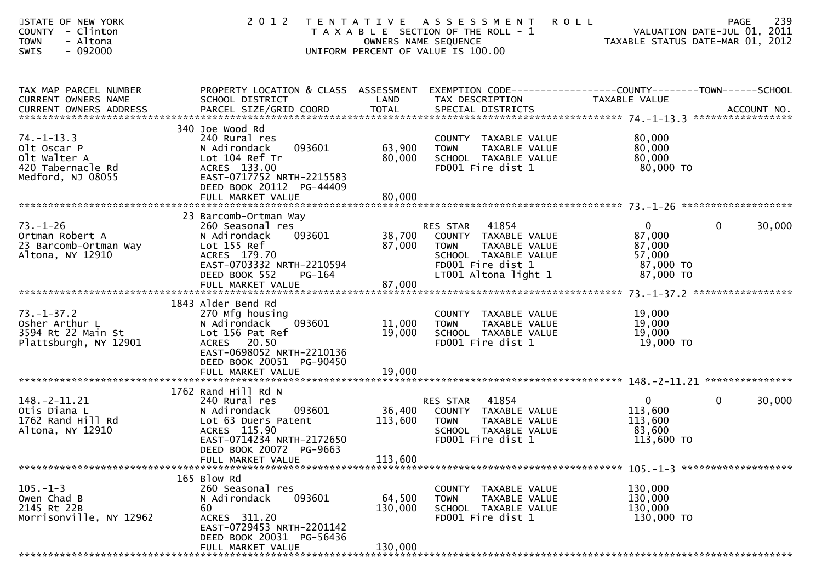| STATE OF NEW YORK<br>- Clinton<br><b>COUNTY</b><br>- Altona<br><b>TOWN</b><br>SWIS<br>$-092000$ | 2 0 1 2                                                                                                                                                                                   | OWNERS NAME SEQUENCE         | TENTATIVE ASSESSMENT<br><b>ROLL</b><br>T A X A B L E SECTION OF THE ROLL - 1<br>UNIFORM PERCENT OF VALUE IS 100.00                             | VALUATION DATE-JUL UI, 2011<br>TAXABLE STATUS DATE-MAR 01, 2012      | 239<br><b>PAGE</b><br>VALUATION DATE-JUL 01, 2011 |
|-------------------------------------------------------------------------------------------------|-------------------------------------------------------------------------------------------------------------------------------------------------------------------------------------------|------------------------------|------------------------------------------------------------------------------------------------------------------------------------------------|----------------------------------------------------------------------|---------------------------------------------------|
| TAX MAP PARCEL NUMBER<br>CURRENT OWNERS NAME<br><b>CURRENT OWNERS ADDRESS</b>                   | PROPERTY LOCATION & CLASS ASSESSMENT<br>SCHOOL DISTRICT                                                                                                                                   | LAND                         | EXEMPTION CODE------------------COUNTY--------TOWN------SCHOOL<br>TAX DESCRIPTION                                                              | TAXABLE VALUE                                                        | ACCOUNT NO.<br>*****************                  |
| $74. - 1 - 13.3$<br>Olt Oscar P<br>Olt Walter A<br>420 Tabernacle Rd<br>Medford, NJ 08055       | 340 Joe Wood Rd<br>240 Rural res<br>N Adirondack<br>093601<br>Lot 104 Ref Tr<br>ACRES 133.00<br>EAST-0717752 NRTH-2215583<br>DEED BOOK 20112 PG-44409<br>FULL MARKET VALUE                | 63,900<br>80,000<br>80,000   | COUNTY TAXABLE VALUE<br>TAXABLE VALUE<br><b>TOWN</b><br>SCHOOL TAXABLE VALUE<br>FD001 Fire dist 1                                              | 80,000<br>80,000<br>80,000<br>80,000 TO                              |                                                   |
| $73. - 1 - 26$<br>Ortman Robert A<br>23 Barcomb-Ortman Way<br>Altona, NY 12910                  | 23 Barcomb-Ortman Way<br>260 Seasonal res<br>093601<br>N Adirondack<br>Lot 155 Ref<br>ACRES 179.70<br>EAST-0703332 NRTH-2210594<br>DEED BOOK 552<br><b>PG-164</b><br>FULL MARKET VALUE    | 38,700<br>87,000<br>87,000   | 41854<br>RES STAR<br>COUNTY TAXABLE VALUE<br>TAXABLE VALUE<br><b>TOWN</b><br>SCHOOL TAXABLE VALUE<br>FD001 Fire dist 1<br>LT001 Altona light 1 | $\mathbf{0}$<br>87,000<br>87,000<br>57,000<br>87,000 TO<br>87,000 TO | 0<br>30,000                                       |
| $73. - 1 - 37.2$<br>Osher Arthur L<br>3594 Rt 22 Main St<br>Plattsburgh, NY 12901               | 1843 Alder Bend Rd<br>270 Mfg housing<br>N Adirondack<br>093601<br>Lot 156 Pat Ref<br><b>ACRES</b><br>20.50<br>EAST-0698052 NRTH-2210136<br>DEED BOOK 20051 PG-90450<br>FULL MARKET VALUE | 11,000<br>19,000<br>19,000   | COUNTY<br>TAXABLE VALUE<br>TAXABLE VALUE<br><b>TOWN</b><br>SCHOOL TAXABLE VALUE<br>FD001 Fire dist 1                                           | 19,000<br>19,000<br>19,000<br>19,000 TO                              |                                                   |
| $148. - 2 - 11.21$<br>Otis Diana L<br>1762 Rand Hill Rd<br>Altona, NY 12910                     | 1762 Rand Hill Rd N<br>240 Rural res<br>N Adirondack<br>093601<br>Lot 63 Duers Patent<br>ACRES 115.90<br>EAST-0714234 NRTH-2172650<br>DEED BOOK 20072 PG-9663<br>FULL MARKET VALUE        | 36,400<br>113,600<br>113,600 | 41854<br>RES STAR<br>COUNTY TAXABLE VALUE<br>TAXABLE VALUE<br><b>TOWN</b><br>SCHOOL TAXABLE VALUE<br>FD001 Fire dist 1                         | $\mathbf{0}$<br>113,600<br>113,600<br>83,600<br>113,600 TO           | $\mathbf{0}$<br>30,000                            |
| $105. - 1 - 3$<br>Owen Chad B<br>2145 Rt 22B<br>Morrisonville, NY 12962                         | 165 Blow Rd<br>260 Seasonal res<br>093601<br>N Adirondack<br>60<br>ACRES 311.20<br>EAST-0729453 NRTH-2201142<br>DEED BOOK 20031 PG-56436<br>FULL MARKET VALUE                             | 64,500<br>130,000<br>130,000 | COUNTY TAXABLE VALUE<br>TAXABLE VALUE<br><b>TOWN</b><br>SCHOOL TAXABLE VALUE<br>FD001 Fire dist 1                                              | 130,000<br>130,000<br>130,000<br>130,000 TO                          |                                                   |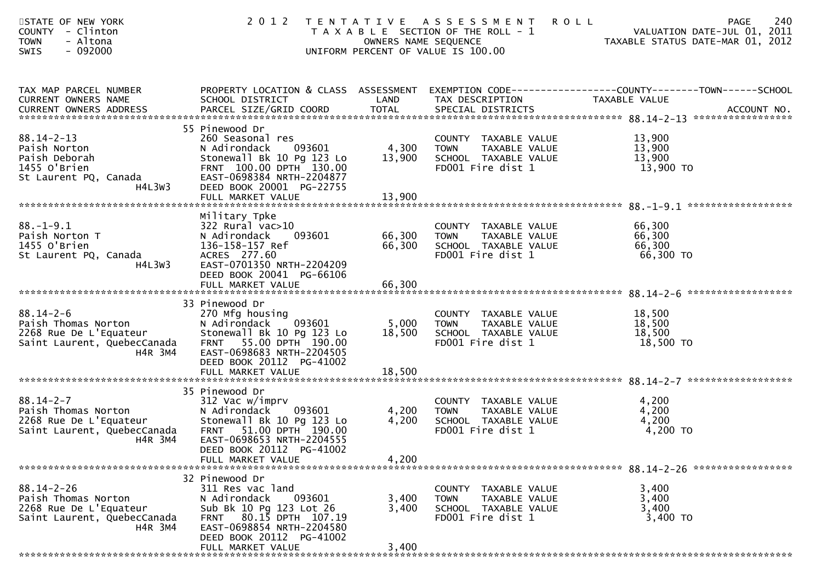| STATE OF NEW YORK<br>COUNTY - Clinton<br>- Altona<br><b>TOWN</b><br>$-092000$<br><b>SWIS</b>                | 2 0 1 2                                                                                                                                                                                                    |                            | TENTATIVE ASSESSMENT<br><b>ROLL</b><br>T A X A B L E SECTION OF THE ROLL - 1<br>OWNERS NAME SEQUENCE<br>UNIFORM PERCENT OF VALUE IS 100.00 | 240<br>PAGE<br>VALUATION DATE-JUL 01, 2011<br>VALUATION DATE-JUL 01, 2011<br>TAXABLE STATUS DATE-MAR 01, 2012     |
|-------------------------------------------------------------------------------------------------------------|------------------------------------------------------------------------------------------------------------------------------------------------------------------------------------------------------------|----------------------------|--------------------------------------------------------------------------------------------------------------------------------------------|-------------------------------------------------------------------------------------------------------------------|
| TAX MAP PARCEL NUMBER<br>CURRENT OWNERS NAME                                                                | SCHOOL DISTRICT                                                                                                                                                                                            | LAND                       | TAX DESCRIPTION                                                                                                                            | PROPERTY LOCATION & CLASS ASSESSMENT EXEMPTION CODE----------------COUNTY-------TOWN------SCHOOL<br>TAXABLE VALUE |
| $88.14 - 2 - 13$<br>Paish Norton<br>Paish Deborah<br>1455 O'Brien<br>St Laurent PQ, Canada<br>H4L3W3        | 55 Pinewood Dr<br>260 Seasonal res<br>N Adirondack<br>093601<br>Stonewall Bk 10 Pg 123 Lo<br>FRNT 100.00 DPTH 130.00<br>EAST-0698384 NRTH-2204877<br>DEED BOOK 20001 PG-22755<br>FULL MARKET VALUE         | 4,300<br>13,900<br>13,900  | COUNTY TAXABLE VALUE<br>TAXABLE VALUE<br><b>TOWN</b><br>SCHOOL TAXABLE VALUE<br>FD001 Fire dist 1                                          | 13,900<br>13,900<br>13,900<br>13,900 TO                                                                           |
| $88. - 1 - 9.1$<br>Paish Norton T<br>1455 O'Brien<br>St Laurent PQ, Canada<br>H4L3W3                        | Military Tpke<br>$322$ Rural vac $>10$<br>093601<br>N Adirondack<br>136-158-157 Ref<br>ACRES 277.60<br>EAST-0701350 NRTH-2204209<br>DEED BOOK 20041 PG-66106<br>FULL MARKET VALUE                          | 66,300<br>66,300<br>66,300 | COUNTY TAXABLE VALUE<br><b>TOWN</b><br>TAXABLE VALUE<br>SCHOOL TAXABLE VALUE<br>FD001 Fire dist 1                                          | 66,300<br>66,300<br>66,300<br>66,300 TO                                                                           |
| $88.14 - 2 - 6$<br>Paish Thomas Norton<br>2268 Rue De L'Equateur<br>Saint Laurent, QuebecCanada<br>H4R 3M4  | 33 Pinewood Dr<br>270 Mfg housing<br>[093601]<br>N Adirondack<br>Stonewall Bk 10 Pg 123 Lo<br>FRNT 55.00 DPTH 190.00<br>EAST-0698683 NRTH-2204505<br>DEED BOOK 20112 PG-41002                              | 5,000<br>18,500            | COUNTY TAXABLE VALUE<br>TAXABLE VALUE<br><b>TOWN</b><br>SCHOOL TAXABLE VALUE<br>FD001 Fire dist 1                                          | 18,500<br>18,500<br>18,500<br>18,500 TO                                                                           |
| 88.14-2-7<br>Paish Thomas Norton<br>Coco Pue De L'Equateur<br>Saint Laurent, QuebecCanada<br>H4R 3M4        | 35 Pinewood Dr<br>312 Vac w/imprv<br>N Adirondack<br>093601<br>Stonewall Bk 10 Pg 123 Lo<br>51.00 DPTH 190.00<br><b>FRNT</b><br>EAST-0698653 NRTH-2204555<br>DEED BOOK 20112 PG-41002<br>FULL MARKET VALUE | 4,200<br>4,200<br>4,200    | COUNTY TAXABLE VALUE<br><b>TOWN</b><br>TAXABLE VALUE<br>SCHOOL TAXABLE VALUE<br>FD001 Fire dist 1                                          | 4,200<br>4,200<br>4,200<br>4,200 TO                                                                               |
| $88.14 - 2 - 26$<br>Paish Thomas Norton<br>2268 Rue De L'Equateur<br>Saint Laurent, QuebecCanada<br>H4R 3M4 | 32 Pinewood Dr<br>311 Res vac land<br>N Adirondack<br>093601<br>Sub Bk 10 Pg 123 Lot 26<br>FRNT 80.15 DPTH 107.19<br>EAST-0698854 NRTH-2204580<br>DEED BOOK 20112 PG-41002<br>FULL MARKET VALUE            | 3,400<br>3,400<br>3,400    | <b>COUNTY</b><br>TAXABLE VALUE<br>TAXABLE VALUE<br><b>TOWN</b><br>SCHOOL TAXABLE VALUE<br>FD001 Fire dist 1                                | 3,400<br>3,400<br>3,400<br>3,400 TO                                                                               |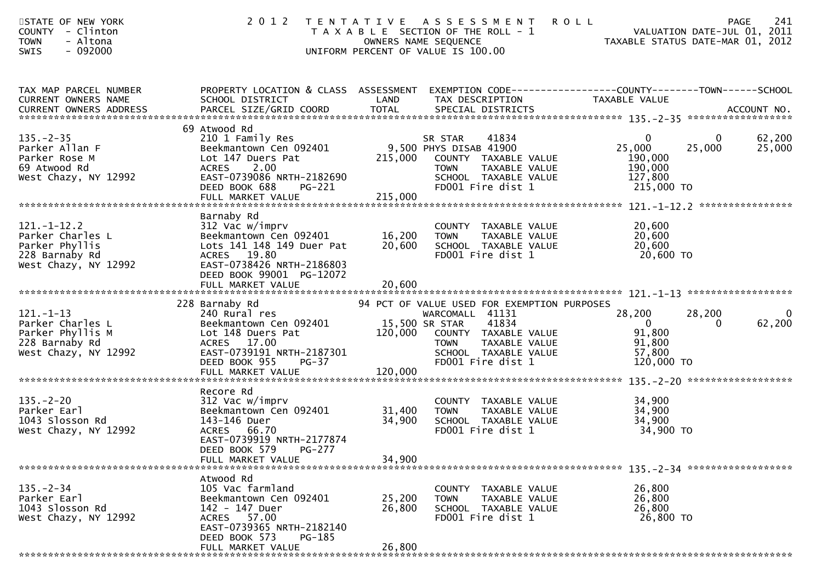| STATE OF NEW YORK<br>COUNTY - Clinton<br>- Altona<br><b>TOWN</b><br>SWIS<br>$-092000$             | 2 0 1 2                                                                                                                                                                           | TENTATIVE ASSESSMENT<br>T A X A B L E SECTION OF THE ROLL - 1<br>OWNERS NAME SEQUENCE<br>UNIFORM PERCENT OF VALUE IS 100.00 | <b>ROLL</b>                                                                                                                                                   | VALUATION DATE-JUL 01, 2011<br>VALUATION DATE-JUL 01, 2011<br>TAXABLE STATUS DATE-MAR 01, 2012 | 241<br><b>PAGE</b>    |
|---------------------------------------------------------------------------------------------------|-----------------------------------------------------------------------------------------------------------------------------------------------------------------------------------|-----------------------------------------------------------------------------------------------------------------------------|---------------------------------------------------------------------------------------------------------------------------------------------------------------|------------------------------------------------------------------------------------------------|-----------------------|
| TAX MAP PARCEL NUMBER<br>CURRENT OWNERS NAME                                                      | PROPERTY LOCATION & CLASS ASSESSMENT EXEMPTION CODE---------------COUNTY-------TOWN------SCHOOL<br>SCHOOL DISTRICT                                                                | LAND                                                                                                                        | TAX DESCRIPTION                                                                                                                                               | TAXABLE VALUE                                                                                  |                       |
| $135. - 2 - 35$<br>Parker Allan F<br>Parker Rose M<br>69 Atwood Rd<br>West Chazy, NY 12992        | 69 Atwood Rd<br>210 1 Family Res<br>Beekmantown Cen 092401<br>Lot 147 Duers Pat<br>ACRES<br>2.00<br>EAST-0739086 NRTH-2182690<br>DEED BOOK 688<br>PG-221<br>FULL MARKET VALUE     | SR STAR TEND 9,500 PHYS DISAB 41900<br>215,000<br><b>TOWN</b><br>215,000                                                    | COUNTY TAXABLE VALUE<br>TAXABLE VALUE<br>SCHOOL TAXABLE VALUE<br>FD001 Fire dist 1                                                                            | $\mathbf{0}$<br>25,000<br>25,000<br>190,000<br>190,000<br>127,800<br>215,000 TO                | 62,200<br>25,000      |
| $121. - 1 - 12.2$<br>Parker Charles L<br>Parker Phyllis<br>228 Barnaby Rd<br>West Chazy, NY 12992 | Barnaby Rd<br>312 Vac w/imprv<br>Beekmantown Cen 092401<br>Lots 141 148 149 Duer Pat<br>ACRES 19.80<br>EAST-0738426 NRTH-2186803<br>DEED BOOK 99001 PG-12072<br>FULL MARKET VALUE | 16,200<br><b>TOWN</b><br>20,600<br>20,600                                                                                   | COUNTY TAXABLE VALUE<br>TAXABLE VALUE<br>SCHOOL TAXABLE VALUE<br>FD001 Fire dist 1                                                                            | 20,600<br>20,600<br>20,600<br>20,600 TO                                                        |                       |
|                                                                                                   |                                                                                                                                                                                   |                                                                                                                             |                                                                                                                                                               |                                                                                                |                       |
| $121. - 1 - 13$<br>Parker Charles L<br>Parker Phyllis M<br>228 Barnaby Rd<br>West Chazy, NY 12992 | 228 Barnaby Rd<br>240 Rural res<br>Beekmantown Cen 092401<br>Lot 148 Duers Pat<br>ACRES 17.00<br>EAST-0739191 NRTH-2187301<br>DEED BOOK 955<br>$PG-37$                            | 15,500 SR STAR<br>120,000<br><b>TOWN</b>                                                                                    | 94 PCT OF VALUE USED FOR EXEMPTION PURPOSES<br>WARCOMALL 41131<br>41834<br>COUNTY TAXABLE VALUE<br>TAXABLE VALUE<br>SCHOOL TAXABLE VALUE<br>FD001 Fire dist 1 | 28,200<br>28,200<br>$\overline{0}$<br>$\Omega$<br>91,800<br>91,800<br>57,800<br>120,000 TO     | $\mathbf 0$<br>62,200 |
|                                                                                                   |                                                                                                                                                                                   |                                                                                                                             |                                                                                                                                                               |                                                                                                |                       |
| $135. - 2 - 20$<br>Parker Earl<br>1043 Slosson Rd<br>West Chazy, NY 12992                         | Recore Rd<br>312 Vac w/imprv<br>Beekmantown Cen 092401<br>143-146 Duer<br>ACRES 66.70<br>EAST-0739919 NRTH-2177874                                                                | 31,400<br><b>TOWN</b><br>34,900                                                                                             | COUNTY TAXABLE VALUE<br>TAXABLE VALUE<br>SCHOOL TAXABLE VALUE<br>FD001 Fire dist 1                                                                            | 34,900<br>34,900<br>34,900<br>34,900 TO                                                        |                       |
|                                                                                                   | DEED BOOK 579<br>PG-277<br>FULL MARKET VALUE                                                                                                                                      | 34,900                                                                                                                      |                                                                                                                                                               |                                                                                                |                       |
| $135. - 2 - 34$<br>Parker Earl<br>1043 Slosson Rd<br>West Chazy, NY 12992                         | Atwood Rd<br>105 Vac farmland<br>Beekmantown Cen 092401<br>142 - 147 Duer<br>ACRES 57.00<br>EAST-0739365 NRTH-2182140<br>DEED BOOK 573<br>PG-185<br>FULL MARKET VALUE             | <b>COUNTY</b><br>25,200<br><b>TOWN</b><br>26,800<br>26,800                                                                  | TAXABLE VALUE<br>TAXABLE VALUE<br>SCHOOL TAXABLE VALUE<br>FD001 Fire dist 1                                                                                   | 26,800<br>26,800<br>26,800<br>26,800 TO                                                        |                       |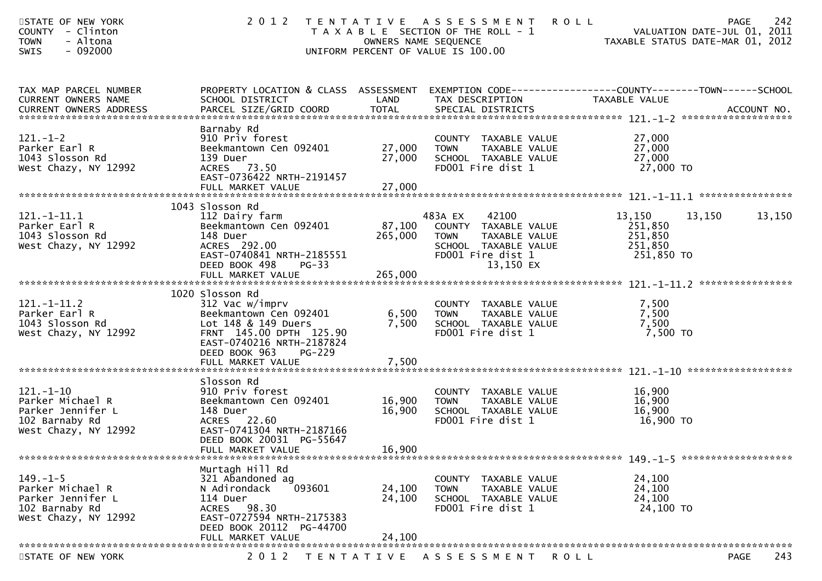| STATE OF NEW YORK<br>COUNTY - Clinton<br>- Altona<br><b>TOWN</b><br>- 092000<br><b>SWIS</b>        | 2 0 1 2                                                                                                                                                                                       |                              | TENTATIVE ASSESSMENT<br>T A X A B L E SECTION OF THE ROLL - 1<br>OWNERS NAME SEQUENCE<br>UNIFORM PERCENT OF VALUE IS 100.00        | <b>ROLL</b>                                           | 242<br><b>PAGE</b><br>VALUATION DATE-JUL 01, 2011<br>VALUATION DATE-JUL 01, 2011<br>TAXABLE STATUS DATE-MAR 01, 2012 |
|----------------------------------------------------------------------------------------------------|-----------------------------------------------------------------------------------------------------------------------------------------------------------------------------------------------|------------------------------|------------------------------------------------------------------------------------------------------------------------------------|-------------------------------------------------------|----------------------------------------------------------------------------------------------------------------------|
| TAX MAP PARCEL NUMBER<br>CURRENT OWNERS NAME                                                       | PROPERTY LOCATION & CLASS ASSESSMENT EXEMPTION CODE----------------COUNTY-------TOWN------SCHOOL<br>SCHOOL DISTRICT                                                                           | LAND                         | TAX DESCRIPTION                                                                                                                    | TAXABLE VALUE                                         |                                                                                                                      |
| $121. - 1 - 2$<br>Parker Earl R<br>1043 Slosson Rd<br>West Chazy, NY 12992                         | Barnaby Rd<br>910 Priv forest<br>Beekmantown Cen 092401<br>139 Duer<br>ACRES 73.50<br>EAST-0736422 NRTH-2191457<br>FULL MARKET VALUE                                                          | 27,000<br>27,000<br>27,000   | COUNTY TAXABLE VALUE<br>TAXABLE VALUE<br><b>TOWN</b><br>SCHOOL TAXABLE VALUE<br>FD001 Fire dist 1                                  | 27,000<br>27,000<br>27,000<br>27,000 TO               |                                                                                                                      |
| $121. - 1 - 11.1$<br>Parker Earl R<br>1043 Slosson Rd<br>West Chazy, NY 12992                      | 1043 Slosson Rd<br>112 Dairy farm<br>Beekmantown Cen 092401<br>148 Duer<br>ACRES 292.00<br>EAST-0740841 NRTH-2185551<br>DEED BOOK 498<br>$PG-33$<br>FULL MARKET VALUE                         | 87,100<br>265,000<br>265,000 | 483A EX<br>42100<br>COUNTY TAXABLE VALUE<br><b>TOWN</b><br>TAXABLE VALUE<br>SCHOOL TAXABLE VALUE<br>FD001 Fire dist 1<br>13,150 EX | 13,150<br>251,850<br>251,850<br>251,850<br>251,850 TO | 13,150<br>13,150                                                                                                     |
| $121.-1-11.2$<br>Parker Earl R<br>1043 Slosson Rd<br>West Chazy, NY 12992                          | 1020 Slosson Rd<br>312 Vac w/imprv<br>Beekmantown Cen 092401<br>Lot 148 & 149 Duers<br>FRNT 145.00 DPTH 125.90<br>EAST-0740216 NRTH-2187824<br>DEED BOOK 963<br>$PG-229$<br>FULL MARKET VALUE | 6,500<br>7,500<br>7,500      | COUNTY TAXABLE VALUE<br>TAXABLE VALUE<br><b>TOWN</b><br>SCHOOL TAXABLE VALUE<br>FD001 Fire dist 1                                  | 7,500<br>7,500<br>7,500<br>7,500 TO                   |                                                                                                                      |
| $121. - 1 - 10$<br>Parker Michael R<br>Parker Jennifer L<br>102 Barnaby Rd<br>West Chazy, NY 12992 | Slosson Rd<br>910 Priv forest<br>Beekmantown Cen 092401<br>148 Duer<br>ACRES 22.60<br>EAST-0741304 NRTH-2187166<br>DEED BOOK 20031 PG-55647<br>FULL MARKET VALUE                              | 16,900<br>16,900<br>16,900   | COUNTY TAXABLE VALUE<br><b>TOWN</b><br>TAXABLE VALUE<br>SCHOOL TAXABLE VALUE<br>FD001 Fire dist 1                                  | 16,900<br>16,900<br>16,900<br>16,900 TO               |                                                                                                                      |
| $149. - 1 - 5$<br>Parker Michael R<br>Parker Jennifer L<br>102 Barnaby Rd<br>West Chazy, NY 12992  | Murtagh Hill Rd<br>321 Abandoned ag<br>093601<br>N Adirondack<br>114 Duer<br>ACRES 98.30<br>EAST-0727594 NRTH-2175383<br>DEED BOOK 20112 PG-44700<br>FULL MARKET VALUE                        | 24,100<br>24,100<br>24.100   | COUNTY TAXABLE VALUE<br><b>TOWN</b><br>TAXABLE VALUE<br>SCHOOL TAXABLE VALUE<br>FD001 Fire dist 1                                  | 24,100<br>24,100<br>24,100<br>24,100 TO               |                                                                                                                      |
| STATE OF NEW YORK                                                                                  |                                                                                                                                                                                               |                              | 2012 TENTATIVE ASSESSMENT                                                                                                          | R O L L                                               | 243<br>PAGE                                                                                                          |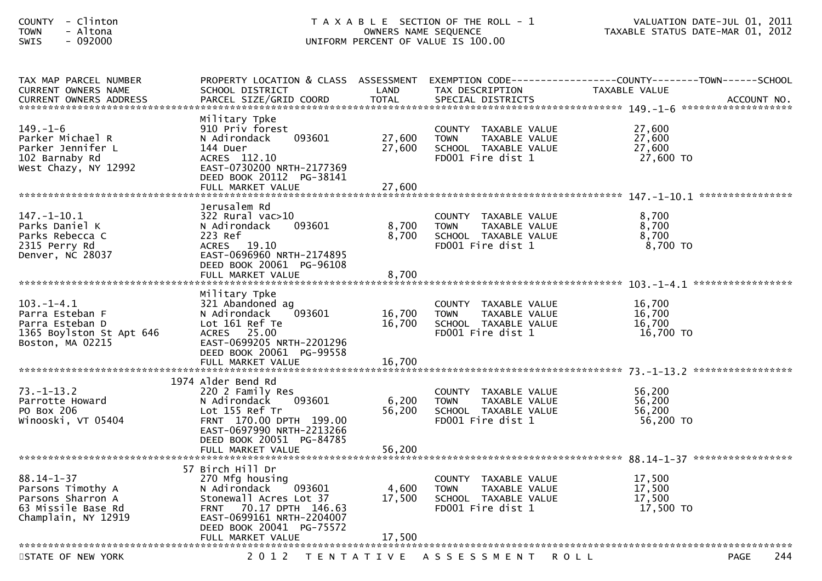| - Clinton<br><b>COUNTY</b><br>- Altona<br><b>TOWN</b><br>$-092000$<br>SWIS                              |                                                                                                                                                                                                           | OWNERS NAME SEQUENCE       | T A X A B L E SECTION OF THE ROLL - 1<br>UNIFORM PERCENT OF VALUE IS 100.00                       | VALUATION DATE-JUL 01, 2011<br>TAXABLE STATUS DATE-MAR 01, 2012                                                   |
|---------------------------------------------------------------------------------------------------------|-----------------------------------------------------------------------------------------------------------------------------------------------------------------------------------------------------------|----------------------------|---------------------------------------------------------------------------------------------------|-------------------------------------------------------------------------------------------------------------------|
| TAX MAP PARCEL NUMBER<br>CURRENT OWNERS NAME<br>CURRENT OWNERS ADDRESS                                  | SCHOOL DISTRICT                                                                                                                                                                                           | LAND                       | TAX DESCRIPTION                                                                                   | PROPERTY LOCATION & CLASS ASSESSMENT EXEMPTION CODE----------------COUNTY-------TOWN------SCHOOL<br>TAXABLE VALUE |
| $149. - 1 - 6$<br>Parker Michael R<br>Parker Jennifer L<br>102 Barnaby Rd<br>West Chazy, NY 12992       | Military Tpke<br>910 Priv forest<br>093601<br>N Adirondack<br>144 Duer<br>ACRES 112.10<br>EAST-0730200 NRTH-2177369<br>DEED BOOK 20112 PG-38141<br>FULL MARKET VALUE                                      | 27,600<br>27,600<br>27,600 | COUNTY TAXABLE VALUE<br>TAXABLE VALUE<br><b>TOWN</b><br>SCHOOL TAXABLE VALUE<br>FD001 Fire dist 1 | 27,600<br>27,600<br>27,600<br>27,600 TO                                                                           |
| $147. - 1 - 10.1$<br>Parks Daniel K<br>Parks Rebecca C<br>2315 Perry Rd<br>Denver, NC 28037             | Jerusalem Rd<br>$322$ Rural vac $>10$<br>093601<br>N Adirondack<br>223 Ref<br>ACRES 19.10<br>EAST-0696960 NRTH-2174895<br>DEED BOOK 20061 PG-96108<br>FULL MARKET VALUE                                   | 8,700<br>8,700<br>8,700    | COUNTY TAXABLE VALUE<br><b>TOWN</b><br>TAXABLE VALUE<br>SCHOOL TAXABLE VALUE<br>FD001 Fire dist 1 | 8,700<br>8,700<br>8,700<br>8,700 TO                                                                               |
| $103.-1-4.1$<br>Parra Esteban F<br>Parra Esteban D<br>1365 Boylston St Apt 646<br>Boston, MA 02215      | Military Tpke<br>321 Abandoned ag<br>093601<br>N Adirondack<br>Lot 161 Ref Te<br>ACRES 25.00<br>EAST-0699205 NRTH-2201296<br>DEED BOOK 20061 PG-99558                                                     | 16,700<br>16,700           | COUNTY TAXABLE VALUE<br><b>TOWN</b><br>TAXABLE VALUE<br>SCHOOL TAXABLE VALUE<br>FD001 Fire dist 1 | 16,700<br>16,700<br>16,700<br>16,700 TO                                                                           |
| $73. - 1 - 13.2$<br>Parrotte Howard<br>PO Box 206<br>Winooski, VT 05404                                 | 1974 Alder Bend Rd<br>220 2 Family Res<br>N Adirondack<br>093601<br>Lot 155 Ref Tr<br>FRNT 170.00 DPTH 199.00<br>EAST-0697990 NRTH-2213266<br>DEED BOOK 20051 PG-84785<br>FULL MARKET VALUE               | 6,200<br>56,200<br>56,200  | COUNTY TAXABLE VALUE<br>TAXABLE VALUE<br><b>TOWN</b><br>SCHOOL TAXABLE VALUE<br>FD001 Fire dist 1 | 56,200<br>56,200<br>56,200<br>56,200 TO                                                                           |
| $88.14 - 1 - 37$<br>Parsons Timothy A<br>Parsons Sharron A<br>63 Missile Base Rd<br>Champlain, NY 12919 | 57 Birch Hill Dr<br>270 Mfg housing<br>N Adirondack<br>093601<br>Stonewall Acres Lot 37<br>70.17 DPTH 146.63<br><b>FRNT</b><br>EAST-0699161 NRTH-2204007<br>DEED BOOK 20041 PG-75572<br>FULL MARKET VALUE | 4,600<br>17,500<br>17,500  | COUNTY TAXABLE VALUE<br><b>TOWN</b><br>TAXABLE VALUE<br>SCHOOL TAXABLE VALUE<br>FD001 Fire dist 1 | 17,500<br>17,500<br>17,500<br>17,500 TO                                                                           |
| STATE OF NEW YORK                                                                                       | 2 0 1 2<br>T E N T A T I V E                                                                                                                                                                              |                            | A S S E S S M E N T                                                                               | 244<br><b>PAGE</b><br>R O L L                                                                                     |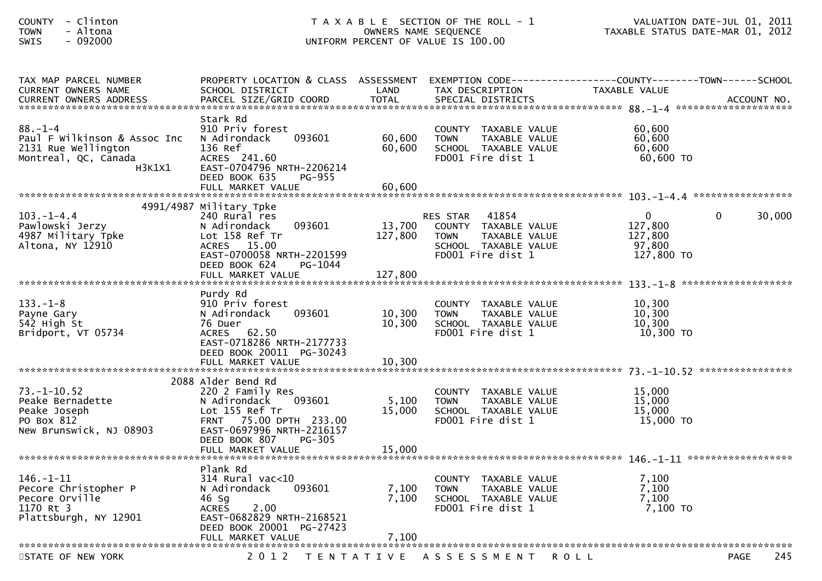| - Clinton<br><b>COUNTY</b><br>- Altona<br><b>TOWN</b><br>$-092000$<br><b>SWIS</b>                      |                                                                                                                                                                      |                            | T A X A B L E SECTION OF THE ROLL - 1<br>OWNERS NAME SEQUENCE<br>UNIFORM PERCENT OF VALUE IS 100.00                    | TAXABLE STATUS DATE-MAR 01, 2012                             | VALUATION DATE-JUL 01, 2011 |
|--------------------------------------------------------------------------------------------------------|----------------------------------------------------------------------------------------------------------------------------------------------------------------------|----------------------------|------------------------------------------------------------------------------------------------------------------------|--------------------------------------------------------------|-----------------------------|
| TAX MAP PARCEL NUMBER<br>CURRENT OWNERS NAME                                                           | PROPERTY LOCATION & CLASS ASSESSMENT EXEMPTION CODE----------------COUNTY-------TOWN------SCHOOL<br>SCHOOL DISTRICT                                                  | LAND                       | TAX DESCRIPTION                                                                                                        | TAXABLE VALUE                                                |                             |
| $88. - 1 - 4$<br>Paul F Wilkinson & Assoc Inc<br>2131 Rue Wellington<br>Montreal, QC, Canada<br>H3K1X1 | Stark Rd<br>910 Priv forest<br>093601<br>N Adirondack<br>136 Ref<br>ACRES 241.60<br>EAST-0704796 NRTH-2206214<br>DEED BOOK 635<br>PG-955<br>FULL MARKET VALUE        | 60,600<br>60,600<br>60,600 | COUNTY TAXABLE VALUE<br><b>TOWN</b><br>TAXABLE VALUE<br>SCHOOL TAXABLE VALUE<br>FD001 Fire dist 1                      | 60,600<br>60,600<br>60,600<br>60,600 TO                      |                             |
| $103. -1 - 4.4$<br>Pawlowski Jerzy<br>4987 Military Tpke<br>Altona, NY 12910                           | 4991/4987 Military Tpke<br>240 Rural res<br>N Adirondack<br>093601<br>Lot 158 Ref Tr<br>ACRES 15.00<br>EAST-0700058 NRTH-2201599<br>DEED BOOK 624<br>PG-1044         | 13,700<br>127,800          | 41854<br>RES STAR<br>COUNTY TAXABLE VALUE<br>TAXABLE VALUE<br><b>TOWN</b><br>SCHOOL TAXABLE VALUE<br>FD001 Fire dist 1 | $\overline{0}$<br>127,800<br>127,800<br>97,800<br>127,800 TO | $\mathbf{0}$<br>30,000      |
|                                                                                                        | FULL MARKET VALUE                                                                                                                                                    | 127,800                    |                                                                                                                        |                                                              |                             |
| $133. - 1 - 8$<br>Payne Gary<br>542 High St<br>Bridport, VT 05734                                      | Purdy Rd<br>910 Priv forest<br>N Adirondack<br>093601<br>76 Duer<br>ACRES 62.50<br>EAST-0718286 NRTH-2177733<br>DEED BOOK 20011 PG-30243<br>FULL MARKET VALUE        | 10,300<br>10,300<br>10,300 | COUNTY TAXABLE VALUE<br>TAXABLE VALUE<br><b>TOWN</b><br>SCHOOL TAXABLE VALUE<br>FD001 Fire dist 1                      | 10,300<br>10,300<br>10,300<br>10,300 TO                      |                             |
|                                                                                                        |                                                                                                                                                                      |                            |                                                                                                                        |                                                              |                             |
| $73. - 1 - 10.52$<br>Peake Bernadette<br>Peake Joseph<br>PO Box 812<br>New Brunswick, NJ 08903         | 2088 Alder Bend Rd<br>220 2 Family Res<br>N Adirondack<br>093601<br>Lot 155 Ref Tr<br>FRNT 75.00 DPTH 233.00<br>EAST-0697996 NRTH-2216157<br>DEED BOOK 807<br>PG-305 | 5,100<br>15,000            | COUNTY TAXABLE VALUE<br><b>TOWN</b><br>TAXABLE VALUE<br>SCHOOL TAXABLE VALUE<br>FD001 Fire dist 1                      | 15,000<br>15,000<br>15,000<br>15,000 TO                      |                             |
|                                                                                                        | FULL MARKET VALUE                                                                                                                                                    | 15,000                     |                                                                                                                        |                                                              |                             |
| $146. - 1 - 11$<br>Pecore Christopher P<br>Pecore Orville<br>1170 Rt 3<br>Plattsburgh, NY 12901        | Plank Rd<br>$314$ Rural vac<10<br>N Adirondack<br>093601<br>46 Sg<br>2.00<br><b>ACRES</b><br>EAST-0682829 NRTH-2168521<br>DEED BOOK 20001 PG-27423                   | 7,100<br>7,100             | COUNTY TAXABLE VALUE<br>TAXABLE VALUE<br><b>TOWN</b><br>SCHOOL TAXABLE VALUE<br>FD001 Fire dist 1                      | 7,100<br>7,100<br>7,100<br>7,100 TO                          |                             |
|                                                                                                        | FULL MARKET VALUE                                                                                                                                                    | 7,100                      |                                                                                                                        |                                                              |                             |
| STATE OF NEW YORK                                                                                      | 2 0 1 2                                                                                                                                                              | T E N T A T I V E          | A S S E S S M E N T                                                                                                    | <b>ROLL</b>                                                  | 245<br><b>PAGE</b>          |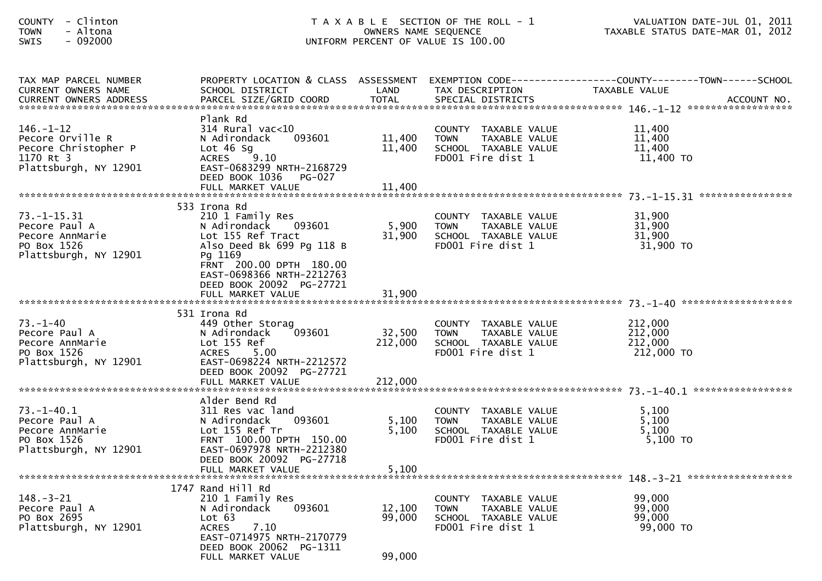| <b>COUNTY</b><br>- Clinton<br>- Altona<br><b>TOWN</b><br>$-092000$<br><b>SWIS</b>                 |                                                                                                                                                                                                             |                            | T A X A B L E SECTION OF THE ROLL - 1<br>OWNERS NAME SEQUENCE<br>UNIFORM PERCENT OF VALUE IS 100.00 | VALUATION DATE-JUL 01, 2011<br>VALUATION DATE-JUL 01, 2011<br>TAXABLE STATUS DATE-MAR 01, 2012                    |
|---------------------------------------------------------------------------------------------------|-------------------------------------------------------------------------------------------------------------------------------------------------------------------------------------------------------------|----------------------------|-----------------------------------------------------------------------------------------------------|-------------------------------------------------------------------------------------------------------------------|
| TAX MAP PARCEL NUMBER<br>CURRENT OWNERS NAME                                                      | SCHOOL DISTRICT                                                                                                                                                                                             | LAND                       | TAX DESCRIPTION                                                                                     | PROPERTY LOCATION & CLASS ASSESSMENT EXEMPTION CODE----------------COUNTY-------TOWN------SCHOOL<br>TAXABLE VALUE |
| $146. - 1 - 12$<br>Pecore Orville R<br>Pecore Christopher P<br>1170 Rt 3<br>Plattsburgh, NY 12901 | Plank Rd<br>314 Rural vac<10<br>N Adirondack<br>093601<br>Lot $46$ Sg<br>ACRES 9.10<br>EAST-0683299 NRTH-2168729<br>DEED BOOK 1036<br><b>PG-027</b><br>FULL MARKET VALUE                                    | 11,400<br>11,400<br>11,400 | COUNTY TAXABLE VALUE<br><b>TOWN</b><br>TAXABLE VALUE<br>SCHOOL TAXABLE VALUE<br>FD001 Fire dist 1   | 11,400<br>11,400<br>11,400<br>11,400 TO                                                                           |
| $73. - 1 - 15.31$<br>Pecore Paul A<br>Pecore AnnMarie<br>PO Box 1526<br>Plattsburgh, NY 12901     | 533 Irona Rd<br>210 1 Family Res<br>N Adirondack<br>093601<br>Lot 155 Ref Tract<br>Also Deed Bk 699 Pg 118 B<br>Pg 1169<br>FRNT 200.00 DPTH 180.00<br>EAST-0698366 NRTH-2212763<br>DEED BOOK 20092 PG-27721 | 5,900<br>31,900            | COUNTY TAXABLE VALUE<br><b>TOWN</b><br>TAXABLE VALUE<br>SCHOOL TAXABLE VALUE<br>FD001 Fire dist 1   | 31,900<br>31,900<br>31,900<br>31,900 TO                                                                           |
| $73. - 1 - 40$<br>Pecore Paul A<br>Pecore AnnMarie<br>PO Box 1526<br>Plattsburgh, NY 12901        | 531 Irona Rd<br>449 Other Storag<br>N Adirondack<br>093601<br>Lot 155 Ref<br><b>ACRES</b><br>5.00<br>EAST-0698224 NRTH-2212572<br>DEED BOOK 20092 PG-27721                                                  | 32,500<br>212,000          | COUNTY TAXABLE VALUE<br>TAXABLE VALUE<br><b>TOWN</b><br>SCHOOL TAXABLE VALUE<br>FD001 Fire dist 1   | 212,000<br>212,000<br>212,000<br>212,000 TO                                                                       |
| $73. - 1 - 40.1$<br>Pecore Paul A<br>Pecore AnnMarie<br>PO Box 1526<br>Plattsburgh, NY 12901      | Alder Bend Rd<br>311 Res vac land<br>093601<br>N Adirondack<br>Lot 155 Ref Tr<br>FRNT 100.00 DPTH 150.00<br>EAST-0697978 NRTH-2212380<br>DEED BOOK 20092 PG-27718                                           | 5,100<br>5,100             | COUNTY TAXABLE VALUE<br>TAXABLE VALUE<br><b>TOWN</b><br>SCHOOL TAXABLE VALUE<br>FD001 Fire dist 1   | 5,100<br>5,100<br>5,100<br>$5,100$ TO                                                                             |
| $148. - 3 - 21$<br>Pecore Paul A<br>PO Box 2695<br>Plattsburgh, NY 12901                          | 1747 Rand Hill Rd<br>210 1 Family Res<br>093601<br>N Adirondack<br>Lot 63<br>7.10<br><b>ACRES</b><br>EAST-0714975 NRTH-2170779<br>DEED BOOK 20062 PG-1311<br>FULL MARKET VALUE                              | 12,100<br>99,000<br>99,000 | COUNTY TAXABLE VALUE<br><b>TOWN</b><br>TAXABLE VALUE<br>SCHOOL TAXABLE VALUE<br>FD001 Fire dist 1   | 99,000<br>99,000<br>99,000<br>99,000 TO                                                                           |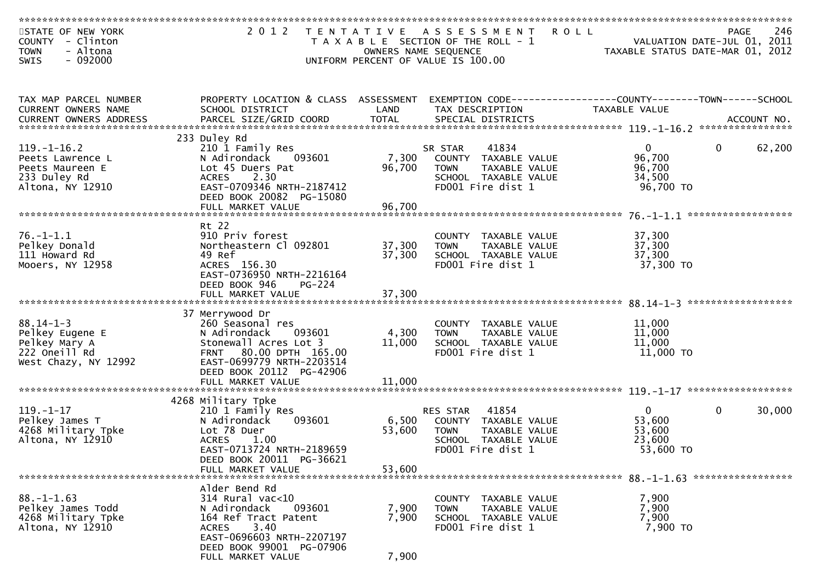| STATE OF NEW YORK<br>COUNTY - Clinton<br><b>TOWN</b><br>- Altona                                                                                                                                                               | 2 0 1 2                                                 | OWNERS NAME SEQUENCE | TENTATIVE ASSESSMENT<br>T A X A B L E SECTION OF THE ROLL - 1                   | <b>ROLL</b><br>VALUATION DATE-JUL 01, 2011<br>TAXABLE STATUS DATE-MAR 01, 2012 | <b>PAGE</b>  | 246                |
|--------------------------------------------------------------------------------------------------------------------------------------------------------------------------------------------------------------------------------|---------------------------------------------------------|----------------------|---------------------------------------------------------------------------------|--------------------------------------------------------------------------------|--------------|--------------------|
| $-092000$<br><b>SWIS</b>                                                                                                                                                                                                       |                                                         |                      | UNIFORM PERCENT OF VALUE IS 100.00                                              |                                                                                |              |                    |
| TAX MAP PARCEL NUMBER<br>CURRENT OWNERS NAME                                                                                                                                                                                   | PROPERTY LOCATION & CLASS ASSESSMENT<br>SCHOOL DISTRICT | LAND                 | EXEMPTION CODE-----------------COUNTY-------TOWN------SCHOOL<br>TAX DESCRIPTION | <b>TAXABLE VALUE</b>                                                           |              |                    |
| -OURRENT OWNERS ADDRESS PARCEL SIZE/GRID COORD TOTAL SPECIAL DISTRICTS MOLE TO MERENT OWNERS ADDRESS PARCEL SIZE/GRID COORD TOTAL SPECIAL DISTRICTS AND MOLE AND MOLE AND MANUSCRIPT OWNERS ADDRESS FOR THE STATE OF THE SERVE |                                                         |                      |                                                                                 |                                                                                |              |                    |
|                                                                                                                                                                                                                                | 233 Duley Rd                                            |                      |                                                                                 |                                                                                |              |                    |
| $119. - 1 - 16.2$<br>Peets Lawrence L                                                                                                                                                                                          | 210 1 Family Res<br>N Adirondack<br>093601              | 7,300                | 41834<br>SR STAR<br>COUNTY TAXABLE VALUE                                        | $\overline{0}$<br>96,700                                                       | $\mathbf{0}$ | 62,200             |
| Peets Maureen E                                                                                                                                                                                                                | Lot 45 Duers Pat                                        | 96,700               | TAXABLE VALUE<br><b>TOWN</b>                                                    | 96,700                                                                         |              |                    |
| 233 Duley Rd                                                                                                                                                                                                                   | 2.30<br><b>ACRES</b>                                    |                      | SCHOOL TAXABLE VALUE                                                            | 34,500                                                                         |              |                    |
| Altona, NY 12910                                                                                                                                                                                                               | EAST-0709346 NRTH-2187412                               |                      | FD001 Fire dist 1                                                               | 96,700 TO                                                                      |              |                    |
|                                                                                                                                                                                                                                | DEED BOOK 20082 PG-15080                                |                      |                                                                                 |                                                                                |              |                    |
|                                                                                                                                                                                                                                | FULL MARKET VALUE                                       | 96,700               |                                                                                 |                                                                                |              | ****************** |
|                                                                                                                                                                                                                                | Rt 22                                                   |                      |                                                                                 |                                                                                |              |                    |
| $76. - 1 - 1.1$                                                                                                                                                                                                                | 910 Priv forest                                         |                      | COUNTY TAXABLE VALUE                                                            | 37,300                                                                         |              |                    |
| Pelkey Donald                                                                                                                                                                                                                  | Northeastern Cl 092801                                  | 37,300               | <b>TOWN</b><br>TAXABLE VALUE                                                    | 37,300                                                                         |              |                    |
| 111 Howard Rd                                                                                                                                                                                                                  | 49 Ref                                                  | 37,300               | SCHOOL TAXABLE VALUE                                                            | 37,300                                                                         |              |                    |
| Mooers, NY 12958                                                                                                                                                                                                               | ACRES 156.30<br>EAST-0736950 NRTH-2216164               |                      | FD001 Fire dist 1                                                               | 37,300 TO                                                                      |              |                    |
|                                                                                                                                                                                                                                | DEED BOOK 946<br>PG-224                                 |                      |                                                                                 |                                                                                |              |                    |
|                                                                                                                                                                                                                                |                                                         |                      |                                                                                 |                                                                                |              |                    |
|                                                                                                                                                                                                                                |                                                         |                      |                                                                                 |                                                                                |              |                    |
|                                                                                                                                                                                                                                | 37 Merrywood Dr                                         |                      |                                                                                 |                                                                                |              |                    |
| $88.14 - 1 - 3$<br>Pelkey Eugene E                                                                                                                                                                                             | 260 Seasonal res<br>N Adirondack<br>093601              | 4,300                | COUNTY TAXABLE VALUE<br><b>TAXABLE VALUE</b><br><b>TOWN</b>                     | 11,000<br>11,000                                                               |              |                    |
| Pelkey Mary A                                                                                                                                                                                                                  | Stonewall Acres Lot 3                                   | 11,000               | SCHOOL TAXABLE VALUE                                                            | 11,000                                                                         |              |                    |
| 222 Oneill Rd                                                                                                                                                                                                                  | FRNT 80.00 DPTH 165.00                                  |                      | FD001 Fire dist 1                                                               | 11,000 TO                                                                      |              |                    |
| West Chazy, NY 12992                                                                                                                                                                                                           | EAST-0699779 NRTH-2203514                               |                      |                                                                                 |                                                                                |              |                    |
|                                                                                                                                                                                                                                | DEED BOOK 20112 PG-42906                                |                      |                                                                                 |                                                                                |              |                    |
|                                                                                                                                                                                                                                |                                                         |                      |                                                                                 |                                                                                |              |                    |
|                                                                                                                                                                                                                                | 4268 Military Tpke                                      |                      |                                                                                 |                                                                                |              |                    |
| $119. - 1 - 17$                                                                                                                                                                                                                | 210 1 Family Res                                        |                      | 41854<br><b>RES STAR</b>                                                        | $\mathbf{0}$                                                                   | $\Omega$     | 30,000             |
| Pelkey James T                                                                                                                                                                                                                 | 093601<br>N Adirondack                                  | 6,500                | COUNTY TAXABLE VALUE                                                            | 53,600                                                                         |              |                    |
| 4268 Military Tpke                                                                                                                                                                                                             | Lot 78 Duer                                             | 53,600               | <b>TOWN</b><br>TAXABLE VALUE                                                    | 53,600                                                                         |              |                    |
| Altona, NY 12910                                                                                                                                                                                                               | <b>ACRES</b><br>1.00<br>EAST-0713724 NRTH-2189659       |                      | SCHOOL TAXABLE VALUE<br>FD001 Fire dist 1                                       | 23,600<br>53,600 TO                                                            |              |                    |
|                                                                                                                                                                                                                                | DEED BOOK 20011 PG-36621                                |                      |                                                                                 |                                                                                |              |                    |
|                                                                                                                                                                                                                                | FULL MARKET VALUE                                       | 53,600               |                                                                                 |                                                                                |              |                    |
|                                                                                                                                                                                                                                |                                                         |                      |                                                                                 |                                                                                |              |                    |
|                                                                                                                                                                                                                                | Alder Bend Rd                                           |                      |                                                                                 |                                                                                |              |                    |
| $88. - 1 - 1.63$<br>Pelkey James Todd                                                                                                                                                                                          | 314 Rural vac<10<br>093601<br>N Adirondack              | 7,900                | COUNTY TAXABLE VALUE<br>TAXABLE VALUE<br>TOWN                                   | 7,900<br>7,900                                                                 |              |                    |
| 4268 Military Tpke                                                                                                                                                                                                             | 164 Ref Tract Patent                                    | 7,900                | SCHOOL TAXABLE VALUE                                                            | 7,900                                                                          |              |                    |
| Altona, NY 12910                                                                                                                                                                                                               | 3.40<br>ACRES                                           |                      | FD001 Fire dist 1                                                               | 7,900 TO                                                                       |              |                    |
|                                                                                                                                                                                                                                | EAST-0696603 NRTH-2207197                               |                      |                                                                                 |                                                                                |              |                    |
|                                                                                                                                                                                                                                | DEED BOOK 99001 PG-07906                                |                      |                                                                                 |                                                                                |              |                    |
|                                                                                                                                                                                                                                | FULL MARKET VALUE                                       | 7,900                |                                                                                 |                                                                                |              |                    |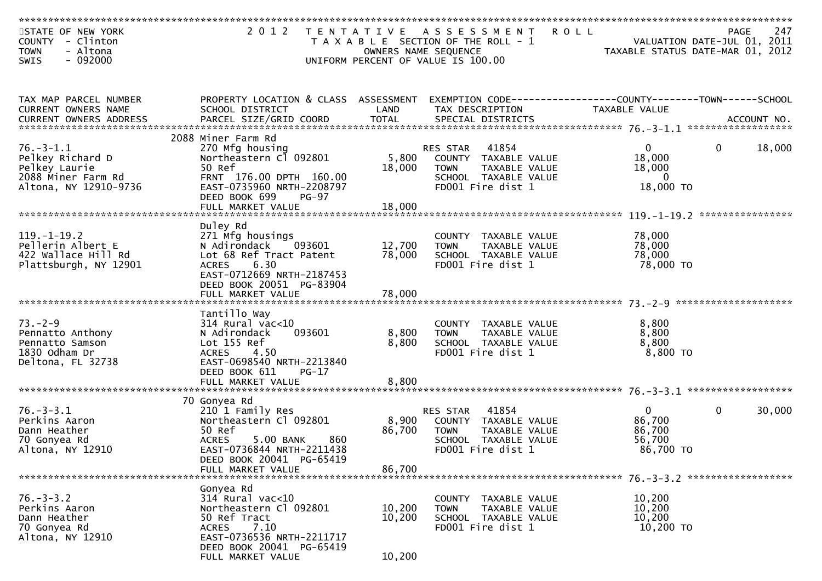| STATE OF NEW YORK<br>COUNTY - Clinton<br><b>TOWN</b><br>- Altona                                    | 2 0 1 2                                                                                                                                                                                 | OWNERS NAME SEQUENCE       | <b>ROLL</b><br>TENTATIVE ASSESSMENT<br>T A X A B L E SECTION OF THE ROLL - 1                                           | VALUATION DATE-JUL 01, 2011<br>TAXABLE STATUS DATE-MAR 01, 2012 | PAGE         | 247              |
|-----------------------------------------------------------------------------------------------------|-----------------------------------------------------------------------------------------------------------------------------------------------------------------------------------------|----------------------------|------------------------------------------------------------------------------------------------------------------------|-----------------------------------------------------------------|--------------|------------------|
| $-092000$<br><b>SWIS</b>                                                                            |                                                                                                                                                                                         |                            | UNIFORM PERCENT OF VALUE IS 100.00                                                                                     |                                                                 |              |                  |
| TAX MAP PARCEL NUMBER<br>CURRENT OWNERS NAME                                                        | PROPERTY LOCATION & CLASS ASSESSMENT<br>SCHOOL DISTRICT                                                                                                                                 | LAND                       | EXEMPTION CODE-----------------COUNTY-------TOWN------SCHOOL<br>TAX DESCRIPTION                                        | TAXABLE VALUE                                                   |              |                  |
|                                                                                                     | 2088 Miner Farm Rd                                                                                                                                                                      |                            |                                                                                                                        |                                                                 |              |                  |
| $76. - 3 - 1.1$<br>Pelkey Richard D<br>Pelkey Laurie<br>2088 Miner Farm Rd<br>Altona, NY 12910-9736 | 270 Mfg housing<br>Northeastern C1 092801<br>50 Ref<br>FRNT 176.00 DPTH 160.00<br>EAST-0735960 NRTH-2208797<br>DEED BOOK 699<br><b>PG-97</b>                                            | 5,800<br>18,000            | 41854<br>RES STAR<br>COUNTY TAXABLE VALUE<br>TAXABLE VALUE<br><b>TOWN</b><br>SCHOOL TAXABLE VALUE<br>FD001 Fire dist 1 | $\overline{0}$<br>18,000<br>18,000<br>$\Omega$<br>18,000 TO     | $\mathbf{0}$ | 18,000           |
|                                                                                                     |                                                                                                                                                                                         |                            |                                                                                                                        |                                                                 |              | **************** |
| $119. - 1 - 19.2$<br>Pellerin Albert E<br>422 Wallace Hill Rd<br>Plattsburgh, NY 12901              | Duley Rd<br>271 Mfg housings<br>N Adirondack<br>093601<br>Lot 68 Ref Tract Patent<br>6.30<br><b>ACRES</b><br>EAST-0712669 NRTH-2187453<br>DEED BOOK 20051 PG-83904<br>FULL MARKET VALUE | 12,700<br>78,000<br>78,000 | COUNTY TAXABLE VALUE<br><b>TAXABLE VALUE</b><br><b>TOWN</b><br>SCHOOL TAXABLE VALUE<br>FD001 Fire dist 1               | 78,000<br>78,000<br>78,000<br>78,000 TO                         |              |                  |
|                                                                                                     |                                                                                                                                                                                         |                            |                                                                                                                        |                                                                 |              |                  |
| $73. - 2 - 9$<br>Pennatto Anthony<br>Pennatto Samson<br>1830 Odham Dr<br>Deltona, FL 32738          | Tantillo Way<br>$314$ Rural vac<10<br>093601<br>N Adirondack<br>Lot 155 Ref<br>4.50<br><b>ACRES</b><br>EAST-0698540 NRTH-2213840<br>DEED BOOK 611<br>PG-17                              | 8,800<br>8,800             | COUNTY TAXABLE VALUE<br>TAXABLE VALUE<br><b>TOWN</b><br>SCHOOL TAXABLE VALUE<br>FD001 Fire dist 1                      | 8,800<br>8,800<br>8,800<br>8,800 TO                             |              |                  |
|                                                                                                     |                                                                                                                                                                                         |                            |                                                                                                                        |                                                                 |              |                  |
| $76. - 3 - 3.1$<br>Perkins Aaron<br>Dann Heather<br>70 Gonyea Rd<br>Altona, NY 12910                | 70 Gonyea Rd<br>210 1 Family Res<br>Northeastern Cl 092801<br>50 Ref<br><b>ACRES</b><br>5.00 BANK<br>860<br>EAST-0736844 NRTH-2211438                                                   | 8,900<br>86,700            | 41854<br>RES STAR<br>COUNTY TAXABLE VALUE<br>TAXABLE VALUE<br><b>TOWN</b><br>SCHOOL TAXABLE VALUE<br>FD001 Fire dist 1 | $\mathbf{0}$<br>86,700<br>86,700<br>56,700<br>86,700 TO         | 0            | 30,000           |
|                                                                                                     | DEED BOOK 20041 PG-65419<br>FULL MARKET VALUE                                                                                                                                           | 86,700                     |                                                                                                                        |                                                                 |              |                  |
|                                                                                                     |                                                                                                                                                                                         |                            |                                                                                                                        |                                                                 |              |                  |
| $76. - 3 - 3.2$<br>Perkins Aaron<br>Dann Heather<br>70 Gonyea Rd<br>Altona, NY 12910                | Gonyea Rd<br>$314$ Rural vac<10<br>Northeastern Cl 092801<br>50 Ref Tract<br><b>ACRES</b><br>7.10<br>EAST-0736536 NRTH-2211717<br>DEED BOOK 20041 PG-65419                              | 10,200<br>10,200           | COUNTY TAXABLE VALUE<br>TAXABLE VALUE<br><b>TOWN</b><br>SCHOOL TAXABLE VALUE<br>FD001 Fire dist 1                      | 10,200<br>10,200<br>10,200<br>10,200 TO                         |              |                  |
|                                                                                                     | FULL MARKET VALUE                                                                                                                                                                       | 10,200                     |                                                                                                                        |                                                                 |              |                  |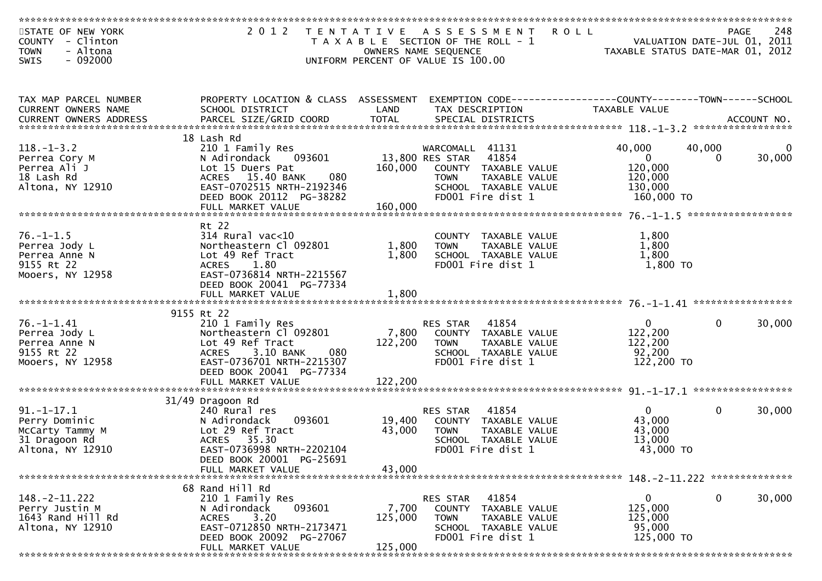| STATE OF NEW YORK        | 2 0 1 2                                                                                          | T E N T A T I V E | <b>ROLL</b><br>A S S E S S M E N T        |                                  | <b>PAGE</b>  | 248    |
|--------------------------|--------------------------------------------------------------------------------------------------|-------------------|-------------------------------------------|----------------------------------|--------------|--------|
| COUNTY - Clinton         |                                                                                                  |                   | T A X A B L E SECTION OF THE ROLL - 1     | VALUATION DATE-JUL 01, 2011      |              |        |
| - Altona<br><b>TOWN</b>  |                                                                                                  |                   | OWNERS NAME SEQUENCE                      | TAXABLE STATUS DATE-MAR 01, 2012 |              |        |
| $-092000$<br><b>SWIS</b> |                                                                                                  |                   | UNIFORM PERCENT OF VALUE IS 100.00        |                                  |              |        |
|                          |                                                                                                  |                   |                                           |                                  |              |        |
|                          |                                                                                                  |                   |                                           |                                  |              |        |
| TAX MAP PARCEL NUMBER    | PROPERTY LOCATION & CLASS ASSESSMENT EXEMPTION CODE----------------COUNTY-------TOWN------SCHOOL |                   |                                           |                                  |              |        |
| CURRENT OWNERS NAME      | SCHOOL DISTRICT                                                                                  | LAND              | TAX DESCRIPTION                           | TAXABLE VALUE                    |              |        |
|                          |                                                                                                  |                   |                                           |                                  |              |        |
|                          | 18 Lash Rd                                                                                       |                   |                                           |                                  |              |        |
| $118. - 1 - 3.2$         | 210 1 Family Res                                                                                 |                   | WARCOMALL 41131                           | 40,000                           | 40,000       |        |
| Perrea Cory M            | N Adirondack 093601                                                                              |                   | 13,800 RES STAR<br>41854                  | $\overline{0}$                   | $\mathbf{0}$ | 30,000 |
| Perrea Ali J             | Lot 15 Duers Pat                                                                                 | 160,000           | COUNTY TAXABLE VALUE                      | 120,000                          |              |        |
| 18 Lash Rd               | ACRES 15.40 BANK<br>080                                                                          |                   | TAXABLE VALUE<br>TOWN                     | 120,000                          |              |        |
| Altona, NY 12910         | EAST-0702515 NRTH-2192346                                                                        |                   | SCHOOL TAXABLE VALUE                      | 130,000                          |              |        |
|                          | DEED BOOK 20112 PG-38282                                                                         |                   | FD001 Fire dist 1                         | 160,000 TO                       |              |        |
|                          |                                                                                                  |                   |                                           |                                  |              |        |
|                          | Rt 22                                                                                            |                   |                                           |                                  |              |        |
| $76. - 1 - 1.5$          | 314 Rural vac<10                                                                                 |                   | COUNTY TAXABLE VALUE                      | 1,800                            |              |        |
| Perrea Jody L            | Northeastern Cl 092801                                                                           | 1,800             | <b>TOWN</b><br>TAXABLE VALUE              | 1,800                            |              |        |
| Perrea Anne N            | Lot 49 Ref Tract                                                                                 | 1,800             | SCHOOL TAXABLE VALUE                      | 1,800                            |              |        |
| 9155 Rt 22               | <b>ACRES</b><br>1.80                                                                             |                   | FD001 Fire dist 1                         | 1,800 TO                         |              |        |
| Mooers, NY 12958         | EAST-0736814 NRTH-2215567                                                                        |                   |                                           |                                  |              |        |
|                          | DEED BOOK 20041 PG-77334                                                                         |                   |                                           |                                  |              |        |
|                          | FULL MARKET VALUE                                                                                | 1,800             |                                           |                                  |              |        |
|                          |                                                                                                  |                   |                                           |                                  |              |        |
|                          | 9155 Rt 22                                                                                       |                   |                                           |                                  |              |        |
| $76. - 1 - 1.41$         | 210 1 Family Res                                                                                 |                   | RES STAR 41854                            | $\overline{0}$                   | $\Omega$     | 30,000 |
| Perrea Jody L            | Northeastern Cl 092801                                                                           |                   | 7,800 COUNTY TAXABLE VALUE                | 122,200                          |              |        |
| Perrea Anne N            | Lot 49 Ref Tract                                                                                 | 122,200           | <b>TOWN</b><br>TAXABLE VALUE              | 122,200                          |              |        |
| 9155 Rt 22               | 3.10 BANK<br>080<br><b>ACRES</b>                                                                 |                   | SCHOOL TAXABLE VALUE<br>FD001 Fire dist 1 | 92,200<br>122,200 TO             |              |        |
| Mooers, NY 12958         | EAST-0736701 NRTH-2215307<br>DEED BOOK 20041 PG-77334                                            |                   |                                           |                                  |              |        |
|                          |                                                                                                  |                   |                                           |                                  |              |        |
|                          |                                                                                                  |                   |                                           |                                  |              |        |
|                          | 31/49 Dragoon Rd                                                                                 |                   |                                           |                                  |              |        |
| $91. -1 - 17.1$          | 240 Rural res                                                                                    |                   | 41854<br>RES STAR                         | $\mathbf{0}$                     | $\Omega$     | 30,000 |
| Perry Dominic            | 093601<br>N Adirondack                                                                           | 19,400            | COUNTY TAXABLE VALUE                      | 43,000                           |              |        |
| McCarty Tammy M          | Lot 29 Ref Tract                                                                                 | 43,000            | <b>TOWN</b><br>TAXABLE VALUE              | 43,000                           |              |        |
| 31 Dragoon Rd            | ACRES 35.30                                                                                      |                   | SCHOOL TAXABLE VALUE                      | 13,000                           |              |        |
| Altona, NY 12910         | EAST-0736998 NRTH-2202104                                                                        |                   | FD001 Fire dist 1                         | 43,000 TO                        |              |        |
|                          | DEED BOOK 20001 PG-25691                                                                         |                   |                                           |                                  |              |        |
|                          | FULL MARKET VALUE                                                                                | 43,000            |                                           |                                  |              |        |
|                          | 68 Rand Hill Rd                                                                                  |                   |                                           |                                  |              |        |
| $148. - 2 - 11.222$      | 210 1 Family Res                                                                                 |                   | 41854<br>RES STAR                         | $\Omega$                         | $\mathbf{0}$ | 30,000 |
| Perry Justin M           | 093601<br>N Adirondack                                                                           | 7,700             | COUNTY TAXABLE VALUE                      | 125,000                          |              |        |
| 1643 Rand Hill Rd        | 3.20<br><b>ACRES</b>                                                                             | 125,000           | TAXABLE VALUE<br><b>TOWN</b>              | 125,000                          |              |        |
| Altona, NY 12910         | EAST-0712850 NRTH-2173471                                                                        |                   | SCHOOL TAXABLE VALUE                      | 95,000                           |              |        |
|                          | DEED BOOK 20092 PG-27067                                                                         |                   | FD001 Fire dist 1                         | 125,000 TO                       |              |        |
|                          | FULL MARKET VALUE                                                                                | 125,000           |                                           |                                  |              |        |
|                          |                                                                                                  |                   |                                           |                                  |              |        |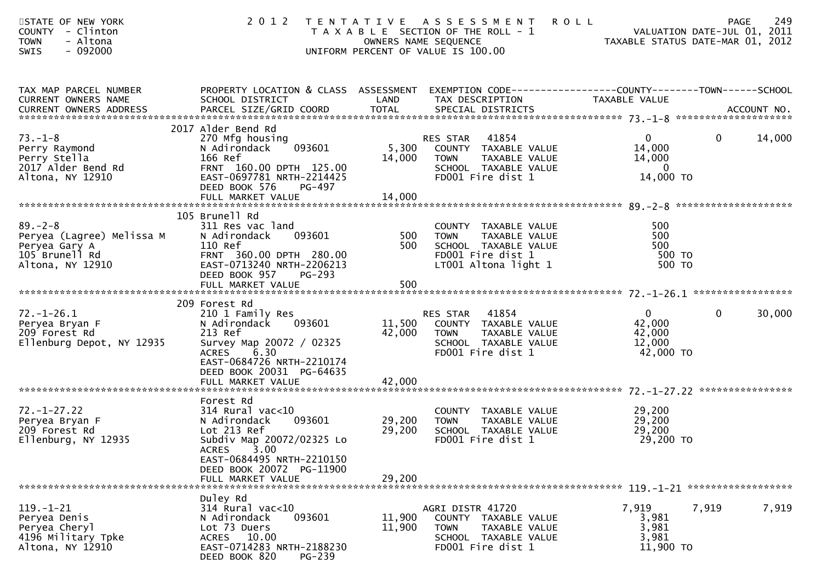| STATE OF NEW YORK<br>COUNTY - Clinton<br>- Altona<br><b>TOWN</b><br>$-092000$<br><b>SWIS</b>     |                                                                                                                                                                                     |                         | 2012 TENTATIVE ASSESSMENT<br>PAGE 249<br>OWNERS NAME SEQUENCE<br>OWNERS NAME SEQUENCE<br>OWNERS NAME SEQUENCE<br>OWNERS NAME SEQUENCE<br>ONIFORM PERCENT OF VALUE IS 100.00 |                                                                                   |        |
|--------------------------------------------------------------------------------------------------|-------------------------------------------------------------------------------------------------------------------------------------------------------------------------------------|-------------------------|-----------------------------------------------------------------------------------------------------------------------------------------------------------------------------|-----------------------------------------------------------------------------------|--------|
| TAX MAP PARCEL NUMBER<br>CURRENT OWNERS NAME                                                     | SCHOOL DISTRICT                                                                                                                                                                     | LAND                    | PROPERTY LOCATION & CLASS ASSESSMENT EXEMPTION CODE----------------COUNTY-------TOWN------SCHOOL<br>TAX DESCRIPTION                                                         | TAXABLE VALUE                                                                     |        |
| $73. - 1 - 8$<br>Perry Raymond<br>Perry Stella<br>2017 Alder Bend Rd<br>Altona, NY 12910         | 2017 Alder Bend Rd<br>270 Mfg housing<br>093601<br>N Adirondack<br>166 Ref<br>FRNT 160.00 DPTH 125.00<br>EAST-0697781 NRTH-2214425<br>DEED BOOK 576<br>PG-497                       | 5,300<br>14,000         | 41854<br>RES STAR<br>COUNTY TAXABLE VALUE<br><b>TOWN</b><br>TAXABLE VALUE<br>SCHOOL TAXABLE VALUE<br>FD001 Fire dist 1                                                      | $\overline{0}$<br>$\mathbf{0}$<br>14,000<br>14,000<br>$\overline{0}$<br>14,000 TO | 14,000 |
|                                                                                                  |                                                                                                                                                                                     |                         |                                                                                                                                                                             |                                                                                   |        |
| $89 - 2 - 8$<br>Peryea (Lagree) Melissa M<br>Peryea Gary A<br>105 Brunell Rd<br>Altona, NY 12910 | 105 Brunell Rd<br>311 Res vac land<br>093601<br>N Adirondack<br>110 Ref<br>FRNT 360.00 DPTH 280.00<br>EAST-0713240 NRTH-2206213<br>DEED BOOK 957<br>PG-293                          | $\frac{500}{50}$<br>500 | COUNTY TAXABLE VALUE<br><b>TOWN</b><br>TAXABLE VALUE<br>SCHOOL TAXABLE VALUE<br>FD001 Fire dist 1<br>LT001 Altona light 1                                                   | 500<br>500<br>500<br>500 TO<br>500 TO                                             |        |
|                                                                                                  | FULL MARKET VALUE                                                                                                                                                                   | 500                     |                                                                                                                                                                             |                                                                                   |        |
|                                                                                                  |                                                                                                                                                                                     |                         |                                                                                                                                                                             |                                                                                   |        |
| $72. - 1 - 26.1$<br>Peryea Bryan F<br>209 Forest Rd<br>Ellenburg Depot, NY 12935                 | 209 Forest Rd<br>210 1 Family Res<br>093601<br>N Adirondack<br>213 Ref<br>Survey Map 20072 / 02325<br>6.30<br><b>ACRES</b><br>EAST-0684726 NRTH-2210174<br>DEED BOOK 20031 PG-64635 | 42,000                  | RES STAR 41854<br>11,500 COUNTY TAXABLE VALUE<br>TAXABLE VALUE<br>TOWN<br>SCHOOL TAXABLE VALUE<br>FD001 Fire dist 1                                                         | $\mathbf{0}$<br>$\mathbf{0}$<br>42,000<br>42,000<br>12,000<br>42,000 TO           | 30,000 |
|                                                                                                  |                                                                                                                                                                                     |                         |                                                                                                                                                                             |                                                                                   |        |
| $72. - 1 - 27.22$<br>Peryea Bryan F<br>209 Forest Rd<br>Ellenburg, NY 12935                      | Forest Rd<br>314 Rural vac<10<br>093601<br>N Adirondack<br>Lot 213 Ref<br>Subdiv Map 20072/02325 Lo<br>ACRES 3.00                                                                   | 29,200                  | COUNTY TAXABLE VALUE<br>29,200 TOWN<br>TAXABLE VALUE<br>SCHOOL TAXABLE VALUE<br>FD001 Fire dist 1                                                                           | 29,200<br>29,200<br>29,200<br>29,200 TO                                           |        |
| *******************************                                                                  | EAST-0684495 NRTH-2210150<br>DEED BOOK 20072 PG-11900<br>FULL MARKET VALUE                                                                                                          | 29,200                  |                                                                                                                                                                             |                                                                                   |        |
| $119. - 1 - 21$<br>Peryea Denis<br>Peryea Cheryl<br>4196 Military Tpke<br>Altona, NY 12910       | Duley Rd<br>$314$ Rural vac<10<br>093601<br>N Adirondack<br>Lot 73 Duers<br>ACRES 10.00<br>EAST-0714283 NRTH-2188230<br>DEED BOOK 820<br><b>PG-239</b>                              | 11,900<br>11,900        | AGRI DISTR 41720<br>COUNTY TAXABLE VALUE<br><b>TOWN</b><br>TAXABLE VALUE<br>SCHOOL TAXABLE VALUE<br>FD001 Fire dist 1                                                       | 7,919<br>7,919<br>3,981<br>3,981<br>3,981<br>11,900 TO                            | 7,919  |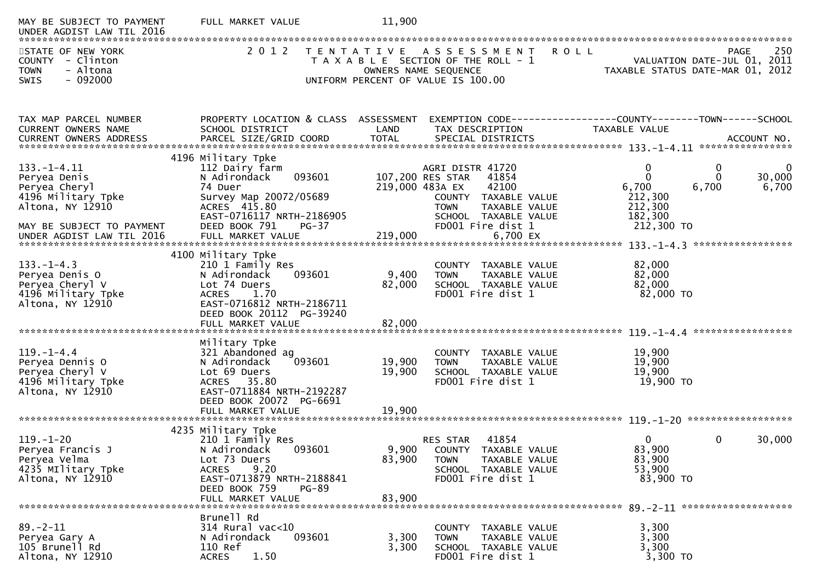| MAY BE SUBJECT TO PAYMENT<br>UNDER AGDIST LAW TIL 2016                                                                    | FULL MARKET VALUE                                                                                                                                                                      | 11,900                    |                                                                                                                                                                                       |                                                                      |                                                                         |     |
|---------------------------------------------------------------------------------------------------------------------------|----------------------------------------------------------------------------------------------------------------------------------------------------------------------------------------|---------------------------|---------------------------------------------------------------------------------------------------------------------------------------------------------------------------------------|----------------------------------------------------------------------|-------------------------------------------------------------------------|-----|
| STATE OF NEW YORK<br>COUNTY - Clinton<br><b>TOWN</b><br>- Altona<br>$-092000$<br><b>SWIS</b>                              | 2 0 1 2                                                                                                                                                                                |                           | <b>ROLL</b><br>TENTATIVE ASSESSMENT<br>T A X A B L E SECTION OF THE ROLL - 1<br>OWNERS NAME SEQUENCE<br>UNIFORM PERCENT OF VALUE IS 100.00                                            |                                                                      | PAGE<br>VALUATION DATE-JUL 01, 2011<br>TAXABLE STATUS DATE-MAR 01, 2012 | 250 |
|                                                                                                                           |                                                                                                                                                                                        |                           |                                                                                                                                                                                       |                                                                      |                                                                         |     |
| TAX MAP PARCEL NUMBER<br>CURRENT OWNERS NAME                                                                              | PROPERTY LOCATION & CLASS ASSESSMENT<br>SCHOOL DISTRICT                                                                                                                                | LAND                      | EXEMPTION CODE------------------COUNTY--------TOWN------SCHOOL<br>TAX DESCRIPTION                                                                                                     | TAXABLE VALUE                                                        |                                                                         |     |
|                                                                                                                           | 4196 Military Tpke                                                                                                                                                                     |                           |                                                                                                                                                                                       |                                                                      |                                                                         |     |
| $133. - 1 - 4.11$<br>Peryea Denis<br>Peryea Cheryl<br>4196 Military Tpke<br>Altona, NY 12910<br>MAY BE SUBJECT TO PAYMENT | 112 Dairy farm<br>093601<br>N Adirondack<br>74 Duer<br>Survey Map 20072/05689<br>ACRES 415.80<br>EAST-0716117 NRTH-2186905<br>DEED BOOK 791<br>PG-37                                   |                           | AGRI DISTR 41720<br>107,200 RES STAR<br>41854<br>219,000 483A EX<br>42100<br>COUNTY TAXABLE VALUE<br><b>TAXABLE VALUE</b><br><b>TOWN</b><br>SCHOOL TAXABLE VALUE<br>FD001 Fire dist 1 | $\mathbf{0}$<br>6,700<br>212,300<br>212,300<br>182,300<br>212,300 TO | 0<br>$\Omega$<br>30,000<br>6,700<br>6,700                               | 0   |
|                                                                                                                           |                                                                                                                                                                                        |                           |                                                                                                                                                                                       |                                                                      |                                                                         |     |
| $133. - 1 - 4.3$<br>Peryea Denis O<br>Peryea Cheryl V<br>4196 Military Tpke<br>Altona, NY 12910                           | 4100 Military Tpke<br>210 1 Family Res<br>093601<br>N Adirondack<br>Lot 74 Duers<br>1.70<br><b>ACRES</b><br>EAST-0716812 NRTH-2186711<br>DEED BOOK 20112 PG-39240<br>FULL MARKET VALUE | 9,400<br>82,000<br>82,000 | COUNTY TAXABLE VALUE<br><b>TOWN</b><br>TAXABLE VALUE<br>SCHOOL TAXABLE VALUE<br>FD001 Fire dist 1                                                                                     | 82,000<br>82,000<br>82,000<br>82,000 TO                              |                                                                         |     |
|                                                                                                                           | Military Tpke                                                                                                                                                                          |                           |                                                                                                                                                                                       |                                                                      |                                                                         |     |
| $119. - 1 - 4.4$<br>Peryea Dennis O<br>Peryea Cheryl V<br>4196 Military Tpke<br>Altona, NY 12910                          | 321 Abandoned ag<br>093601<br>N Adirondack<br>Lot 69 Duers<br>35.80<br><b>ACRES</b><br>EAST-0711884 NRTH-2192287<br>DEED BOOK 20072 PG-6691                                            | 19,900<br>19,900          | COUNTY TAXABLE VALUE<br>TAXABLE VALUE<br><b>TOWN</b><br>SCHOOL TAXABLE VALUE<br>FD001 Fire dist 1                                                                                     | 19,900<br>19,900<br>19,900<br>19,900 TO                              |                                                                         |     |
|                                                                                                                           | FULL MARKET VALUE                                                                                                                                                                      | 19,900                    |                                                                                                                                                                                       |                                                                      |                                                                         |     |
| $119. - 1 - 20$<br>Peryea Francis J<br>Peryea Velma<br>4235 Military Tpke<br>Altona, NY 12910                             | 4235 Military Tpke<br>210 1 Family Res<br>N Adirondack<br>093601<br>Lot 73 Duers<br>9.20<br><b>ACRES</b><br>EAST-0713879 NRTH-2188841                                                  | 9,900<br>83,900           | 41854<br>RES STAR<br>COUNTY TAXABLE VALUE<br>TAXABLE VALUE<br><b>TOWN</b><br>SCHOOL TAXABLE VALUE<br>FD001 Fire dist 1                                                                | 0<br>83,900<br>83,900<br>53,900<br>83,900 TO                         | 30,000<br>$\Omega$                                                      |     |
|                                                                                                                           | DEED BOOK 759<br><b>PG-89</b><br>FULL MARKET VALUE                                                                                                                                     | 83,900                    |                                                                                                                                                                                       |                                                                      |                                                                         |     |
|                                                                                                                           | Brunell Rd                                                                                                                                                                             |                           |                                                                                                                                                                                       |                                                                      |                                                                         |     |
| $89. - 2 - 11$<br>Peryea Gary A<br>105 Brunell Rd<br>Altona, NY 12910                                                     | $314$ Rural vac<10<br>093601<br>N Adirondack<br>110 Ref<br>1.50<br><b>ACRES</b>                                                                                                        | 3,300<br>3,300            | COUNTY TAXABLE VALUE<br>TAXABLE VALUE<br><b>TOWN</b><br>SCHOOL TAXABLE VALUE<br>FD001 Fire dist 1                                                                                     | 3,300<br>3,300<br>3,300<br>3,300 TO                                  |                                                                         |     |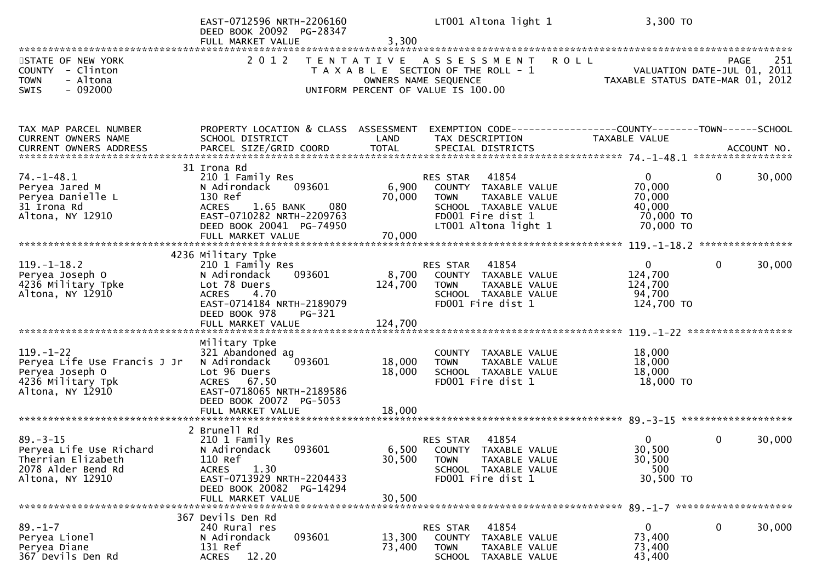|                                                                                                             | EAST-0712596 NRTH-2206160<br>DEED BOOK 20092 PG-28347<br>FULL MARKET VALUE                                                                                                             | 3,300                       | LT001 Altona light 1                                                                                                                           | 3,300 TO                                                               |                                                   |
|-------------------------------------------------------------------------------------------------------------|----------------------------------------------------------------------------------------------------------------------------------------------------------------------------------------|-----------------------------|------------------------------------------------------------------------------------------------------------------------------------------------|------------------------------------------------------------------------|---------------------------------------------------|
| STATE OF NEW YORK<br>COUNTY - Clinton<br>- Altona<br><b>TOWN</b><br>$-092000$<br>SWIS                       | 2 0 1 2                                                                                                                                                                                |                             | TENTATIVE ASSESSMENT<br><b>ROLL</b><br>T A X A B L E SECTION OF THE ROLL - 1<br>OWNERS NAME SEQUENCE<br>UNIFORM PERCENT OF VALUE IS 100.00     | VALUATION DATE-JUL 01, 2011<br>TAXABLE STATUS DATE-MAR 01, 2012        | 251<br><b>PAGE</b><br>VALUATION DATE-JUL 01, 2011 |
| TAX MAP PARCEL NUMBER<br>CURRENT OWNERS NAME                                                                | PROPERTY LOCATION & CLASS ASSESSMENT<br>SCHOOL DISTRICT                                                                                                                                | LAND                        | EXEMPTION CODE-----------------COUNTY--------TOWN------SCHOOL<br>TAX DESCRIPTION                                                               | TAXABLE VALUE                                                          |                                                   |
| $74. - 1 - 48.1$<br>Peryea Jared M<br>Peryea Danielle L<br>31 Irona Rd<br>Altona, NY 12910                  | 31 Irona Rd<br>210 1 Family Res<br>093601<br>N Adirondack<br>130 Ref<br><b>ACRES</b><br>1.65 BANK<br>080<br>EAST-0710282 NRTH-2209763<br>DEED BOOK 20041 PG-74950<br>FULL MARKET VALUE | 6,900<br>70,000<br>70,000   | 41854<br>RES STAR<br>COUNTY TAXABLE VALUE<br><b>TOWN</b><br>TAXABLE VALUE<br>SCHOOL TAXABLE VALUE<br>FD001 Fire dist 1<br>LT001 Altona light 1 | $\overline{0}$<br>70,000<br>70,000<br>40,000<br>70,000 TO<br>70,000 TO | $\mathbf{0}$<br>30,000                            |
| $119. - 1 - 18.2$<br>Peryea Joseph O<br>4236 Military Tpke<br>Altona, NY 12910                              | 4236 Military Tpke<br>210 1 Family Res<br>093601<br>N Adirondack<br>Lot 78 Duers<br>ACRES 4.70<br>EAST-0714184 NRTH-2189079<br>DEED BOOK 978<br>PG-321<br>FULL MARKET VALUE            | 8,700<br>124,700<br>124,700 | 41854<br>RES STAR<br>COUNTY TAXABLE VALUE<br><b>TOWN</b><br>TAXABLE VALUE<br>SCHOOL TAXABLE VALUE<br>FD001 Fire dist 1                         | $\mathbf{0}$<br>124,700<br>124,700<br>94,700<br>124,700 TO             | $\mathbf{0}$<br>30,000                            |
| $119. - 1 - 22$<br>Peryea Life Use Francis J Jr<br>Peryea Joseph O<br>4236 Military Tpk<br>Altona, NY 12910 | Military Tpke<br>321 Abandoned ag<br>N Adirondack<br>093601<br>Lot 96 Duers<br>ACRES 67.50<br>EAST-0718065 NRTH-2189586<br>DEED BOOK 20072 PG-5053<br>FULL MARKET VALUE                | 18,000<br>18,000<br>18,000  | COUNTY TAXABLE VALUE<br><b>TOWN</b><br>TAXABLE VALUE<br>SCHOOL TAXABLE VALUE<br>FD001 Fire dist 1                                              | 18,000<br>18,000<br>18,000<br>18,000 TO                                |                                                   |
| $89 - 3 - 15$<br>Peryea Life Use Richard<br>Therrian Elizabeth<br>2078 Alder Bend Rd<br>Altona, NY 12910    | 2 Brunell Rd<br>210 1 Family Res<br>093601<br>N Adirondack<br>110 Ref<br>1.30<br><b>ACRES</b><br>EAST-0713929 NRTH-2204433<br>DEED BOOK 20082 PG-14294<br>FULL MARKET VALUE            | 30,500<br>30,500            | 41854<br>RES STAR<br>6,500 COUNTY TAXABLE VALUE<br><b>TAXABLE VALUE</b><br><b>TOWN</b><br>SCHOOL TAXABLE VALUE<br>FD001 Fire dist 1            | 0<br>30,500<br>30,500<br>500<br>30,500 TO                              | $\mathbf{0}$<br>30,000                            |
| $89. - 1 - 7$<br>Peryea Lionel<br>Peryea Diane<br>367 Devils Den Rd                                         | 367 Devils Den Rd<br>240 Rural res<br>093601<br>N Adirondack<br>131 Ref<br><b>ACRES</b><br>12.20                                                                                       | 13,300<br>73,400            | RES STAR<br>41854<br><b>COUNTY</b><br>TAXABLE VALUE<br>TAXABLE VALUE<br><b>TOWN</b><br><b>SCHOOL</b><br>TAXABLE VALUE                          | 0<br>73,400<br>73,400<br>43,400                                        | 0<br>30,000                                       |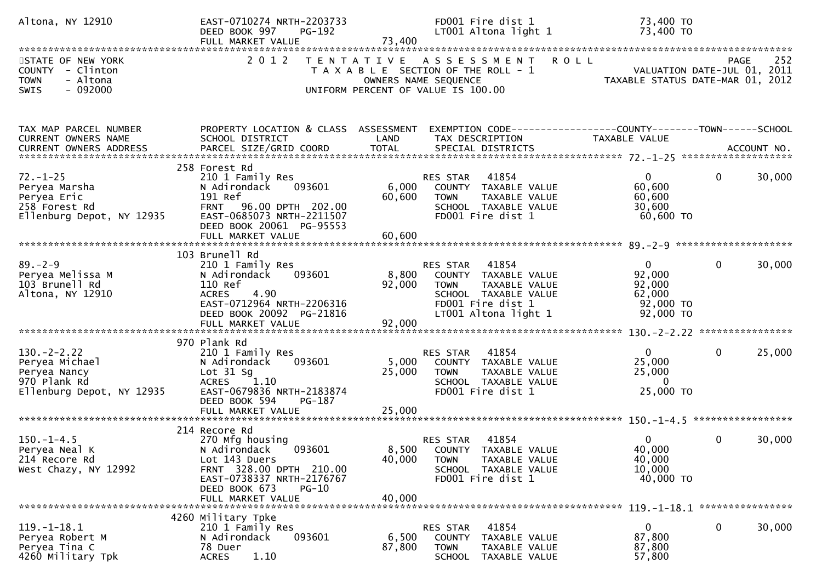| Altona, NY 12910                                                                                | EAST-0710274 NRTH-2203733<br>DEED BOOK 997<br>PG-192<br>FULL MARKET VALUE                                                                                                          | 73,400                    | FD001 Fire dist 1<br>LT001 Altona light 1                                                                                                   | 73,400 TO<br>73,400 TO                                                              |                    |
|-------------------------------------------------------------------------------------------------|------------------------------------------------------------------------------------------------------------------------------------------------------------------------------------|---------------------------|---------------------------------------------------------------------------------------------------------------------------------------------|-------------------------------------------------------------------------------------|--------------------|
| STATE OF NEW YORK<br>COUNTY - Clinton<br>- Altona<br><b>TOWN</b><br>$-092000$<br><b>SWIS</b>    | 2 0 1 2                                                                                                                                                                            |                           | TENTATIVE ASSESSMENT<br><b>ROLL</b><br>T A X A B L E SECTION OF THE ROLL - 1<br>OWNERS NAME SEQUENCE<br>UNIFORM PERCENT OF VALUE IS 100.00  | - 1<br>VALUATION DATE-JUL 01, 2011<br>TAXABLE STATUS DATE-MAR 01, 2012              | 252<br><b>PAGE</b> |
| TAX MAP PARCEL NUMBER<br>CURRENT OWNERS NAME                                                    | PROPERTY LOCATION & CLASS ASSESSMENT<br>SCHOOL DISTRICT                                                                                                                            | LAND                      | EXEMPTION CODE------------------COUNTY--------TOWN------SCHOOL<br>TAX DESCRIPTION                                                           | TAXABLE VALUE                                                                       |                    |
| $72. - 1 - 25$<br>Peryea Marsha<br>Peryea Eric<br>258 Forest Rd<br>Ellenburg Depot, NY 12935    | 258 Forest Rd<br>210 1 Family Res<br>093601<br>N Adirondack<br>191 Ref<br>FRNT 96.00 DPTH 202.00<br>EAST-0685073 NRTH-2211507<br>DEED BOOK 20061 PG-95553                          | 6,000<br>60,600           | RES STAR 41854<br>COUNTY TAXABLE VALUE<br>TAXABLE VALUE<br><b>TOWN</b><br>SCHOOL TAXABLE VALUE<br>FD001 Fire dist 1                         | $\mathbf 0$<br>$\mathbf{0}$<br>60,600<br>60,600<br>30,600<br>60,600 TO              | 30,000             |
| $89 - 2 - 9$<br>Peryea Melissa M<br>103 Brunell Rd<br>Altona, NY 12910                          | 103 Brunell Rd<br>210 1 Family Res<br>093601<br>N Adirondack<br>110 Ref<br>ACRES 4.90<br>EAST-0712964 NRTH-2206316<br>DEED BOOK 20092 PG-21816                                     | 8,800<br>92,000           | RES STAR 41854<br>COUNTY TAXABLE VALUE<br>TAXABLE VALUE<br><b>TOWN</b><br>SCHOOL TAXABLE VALUE<br>FD001 Fire dist 1<br>LT001 Altona light 1 | $\mathbf 0$<br>$\mathbf{0}$<br>92,000<br>92,000<br>62,000<br>92,000 TO<br>92,000 TO | 30,000             |
| $130 - 2 - 2.22$<br>Peryea Michael<br>Peryea Nancy<br>970 Plank Rd<br>Ellenburg Depot, NY 12935 | 970 Plank Rd<br>210 1 Family Res<br>093601<br>N Adirondack<br>Lot $31$ Sg<br>ACRES 1.10<br>EAST-0679836 NRTH-2183874<br>DEED BOOK 594<br>PG-187<br>FULL MARKET VALUE               | 5,000<br>25,000<br>25,000 | RES STAR<br>41854<br>COUNTY TAXABLE VALUE<br><b>TOWN</b><br>TAXABLE VALUE<br>SCHOOL TAXABLE VALUE<br>FD001 Fire dist 1                      | $\mathbf{0}$<br>$\mathbf{0}$<br>25,000<br>25,000<br>$\overline{0}$<br>25,000 TO     | 25,000             |
| $150. - 1 - 4.5$<br>Peryea Neal K<br>214 Recore Rd<br>West Chazy, NY 12992                      | 214 Recore Rd<br>270 Mfg housing<br>N Adirondack<br>093601<br>Lot 143 Duers<br>FRNT 328.00 DPTH 210.00<br>EAST-0738337 NRTH-2176767<br>DEED BOOK 673<br>PG-10<br>FULL MARKET VALUE | 40,000<br>40,000          | 41854<br>RES STAR<br>8,500 COUNTY TAXABLE VALUE<br>TAXABLE VALUE<br><b>TOWN</b><br>SCHOOL TAXABLE VALUE<br>FD001 Fire dist 1                | $\mathbf{0}$<br>$\mathbf{0}$<br>40,000<br>40,000<br>10,000<br>40,000 TO             | 30,000             |
| $119. - 1 - 18.1$<br>Peryea Robert M<br>Peryea Tina C<br>4260 Military Tpk                      | 4260 Military Tpke<br>210 1 Family Res<br>N Adirondack<br>093601<br>78 Duer<br><b>ACRES</b><br>1.10                                                                                | 6,500<br>87,800           | 41854<br>RES STAR<br>COUNTY<br>TAXABLE VALUE<br><b>TOWN</b><br>TAXABLE VALUE<br><b>SCHOOL</b><br>TAXABLE VALUE                              | $\mathbf{0}$<br>0<br>87,800<br>87,800<br>57,800                                     | 30,000             |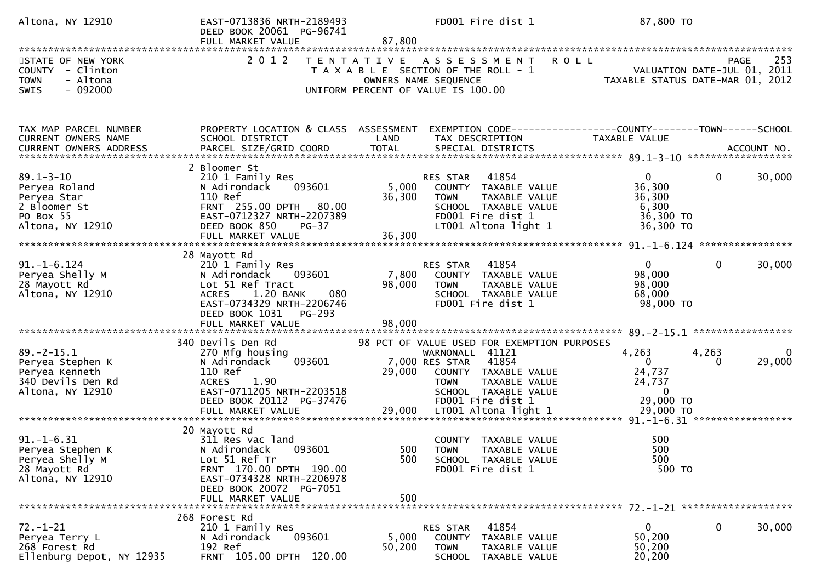| Altona, NY 12910                                                                                                                                                                 | EAST-0713836 NRTH-2189493<br>DEED BOOK 20061 PG-96741<br>FULL MARKET VALUE                                                                                     | 87,800          | FD001 Fire dist 1                                                                                                                                                         | 87,800 TO                                                                  |                                                   |
|----------------------------------------------------------------------------------------------------------------------------------------------------------------------------------|----------------------------------------------------------------------------------------------------------------------------------------------------------------|-----------------|---------------------------------------------------------------------------------------------------------------------------------------------------------------------------|----------------------------------------------------------------------------|---------------------------------------------------|
|                                                                                                                                                                                  |                                                                                                                                                                |                 |                                                                                                                                                                           |                                                                            |                                                   |
| STATE OF NEW YORK<br>COUNTY - Clinton<br><b>TOWN</b><br>- Altona<br>$-092000$<br><b>SWIS</b>                                                                                     | 2 0 1 2                                                                                                                                                        |                 | TENTATIVE ASSESSMENT<br><b>ROLL</b><br>T A X A B L E SECTION OF THE ROLL - 1<br>OWNERS NAME SEQUENCE<br>UNIFORM PERCENT OF VALUE IS 100.00                                | TAXABLE STATUS DATE-MAR 01, 2012                                           | 253<br><b>PAGE</b><br>VALUATION DATE-JUL 01, 2011 |
|                                                                                                                                                                                  |                                                                                                                                                                |                 |                                                                                                                                                                           |                                                                            |                                                   |
| TAX MAP PARCEL NUMBER<br>CURRENT OWNERS NAME                                                                                                                                     | PROPERTY LOCATION & CLASS ASSESSMENT<br>SCHOOL DISTRICT                                                                                                        | LAND            | EXEMPTION CODE------------------COUNTY--------TOWN------SCHOOL<br>TAX DESCRIPTION                                                                                         | TAXABLE VALUE                                                              |                                                   |
|                                                                                                                                                                                  |                                                                                                                                                                |                 |                                                                                                                                                                           |                                                                            |                                                   |
|                                                                                                                                                                                  |                                                                                                                                                                |                 |                                                                                                                                                                           |                                                                            |                                                   |
| $89.1 - 3 - 10$<br>Peryea Roland<br>Peryea Star<br>2 Bloomer St<br>PO Box 55<br>Altona, NY 12910                                                                                 | 2 Bloomer St<br>210 1 Family Res<br>093601<br>N Adirondack<br>110 Ref<br>FRNT 255.00 DPTH 80.00<br>EAST-0712327 NRTH-2207389<br><b>PG-37</b><br>DEED BOOK 850  | 5,000<br>36,300 | 41854<br>RES STAR<br>COUNTY TAXABLE VALUE<br>TAXABLE VALUE<br><b>TOWN</b><br>SCHOOL TAXABLE VALUE<br>FD001 Fire dist 1<br>LT001 Altona light 1                            | $\overline{0}$<br>36,300<br>36,300<br>6,300<br>36,300 TO<br>36,300 TO      | 0<br>30,000                                       |
|                                                                                                                                                                                  |                                                                                                                                                                |                 |                                                                                                                                                                           |                                                                            |                                                   |
|                                                                                                                                                                                  | 28 Mayott Rd                                                                                                                                                   |                 |                                                                                                                                                                           |                                                                            |                                                   |
| $91. - 1 - 6.124$<br>Peryea Shelly M<br>28 Mayott Rd<br>Altona, NY 12910                                                                                                         | 210 1 Family Res<br>N Adirondack<br>093601<br>Lot 51 Ref Tract<br>1.20 BANK<br>080<br><b>ACRES</b><br>EAST-0734329 NRTH-2206746<br>DEED BOOK 1031<br>PG-293    | 7,800<br>98,000 | 41854<br>RES STAR<br>COUNTY TAXABLE VALUE<br><b>TOWN</b><br>TAXABLE VALUE<br>SCHOOL TAXABLE VALUE<br>FD001 Fire dist 1                                                    | $\mathbf{0}$<br>98,000<br>98,000<br>68,000<br>98,000 TO                    | 0<br>30,000                                       |
|                                                                                                                                                                                  | FULL MARKET VALUE                                                                                                                                              | 98,000          |                                                                                                                                                                           |                                                                            |                                                   |
|                                                                                                                                                                                  |                                                                                                                                                                |                 |                                                                                                                                                                           |                                                                            |                                                   |
| $89. -2 - 15.1$<br>Peryea Stephen K<br>Peryea Kenneth<br>340 Devils Den Rd<br>Altona, NY 12910                                                                                   | 340 Devils Den Rd<br>270 Mfg housing<br>093601<br>N Adirondack<br>110 Ref<br><b>ACRES</b><br>1.90<br>EAST-0711205 NRTH-2203518                                 | 29,000          | 98 PCT OF VALUE USED FOR EXEMPTION PURPOSES<br>WARNONALL 41121<br>41854<br>7,000 RES STAR<br>COUNTY TAXABLE VALUE<br>TAXABLE VALUE<br><b>TOWN</b><br>SCHOOL TAXABLE VALUE | 4,263<br>$\overline{0}$<br>24,737<br>24,737<br>$\overline{0}$<br>29,000 TO | 4,263<br>0<br>29,000                              |
|                                                                                                                                                                                  | DEED BOOK 20112 PG-37476                                                                                                                                       |                 | FD001 Fire dist 1                                                                                                                                                         |                                                                            |                                                   |
| = 1-12 MARKET VALUE<br>FULL MARKET VALUE 29,000 LT001 A1tona 1ight 1 29,000 TO FULL MARKET VALUE 29,000 FO PRESS 29,000 TO PRESS 29 MARKET VALUE 29,000 TO PRESS 29 MARKET VALUE |                                                                                                                                                                |                 |                                                                                                                                                                           |                                                                            |                                                   |
| $91. -1 - 6.31$<br>Peryea Stephen K<br>Peryea Shelly M<br>28 Mayott Rd<br>Altona, NY 12910                                                                                       | 20 Mayott Rd<br>311 Res vac land<br>N Adirondack<br>093601<br>Lot 51 Ref Tr<br>FRNT 170.00 DPTH 190.00<br>EAST-0734328 NRTH-2206978<br>DEED BOOK 20072 PG-7051 | 500             | COUNTY TAXABLE VALUE<br>500 TOWN<br>TAXABLE VALUE<br>SCHOOL TAXABLE VALUE<br>FD001 Fire dist 1                                                                            | 500<br>500<br>500<br>500 TO                                                |                                                   |
|                                                                                                                                                                                  | FULL MARKET VALUE                                                                                                                                              | 500             |                                                                                                                                                                           |                                                                            |                                                   |
| $72. - 1 - 21$<br>Peryea Terry L<br>268 Forest Rd<br>Ellenburg Depot, NY 12935                                                                                                   | 268 Forest Rd<br>210 1 Family Res<br>093601<br>N Adirondack<br>192 Ref<br>FRNT 105.00 DPTH 120.00                                                              | 5,000<br>50,200 | 41854<br>RES STAR<br>COUNTY<br>TAXABLE VALUE<br><b>TOWN</b><br>TAXABLE VALUE<br>TAXABLE VALUE<br>SCHOOL                                                                   | $\mathbf{0}$<br>50,200<br>50,200<br>20,200                                 | $\bf{0}$<br>30,000                                |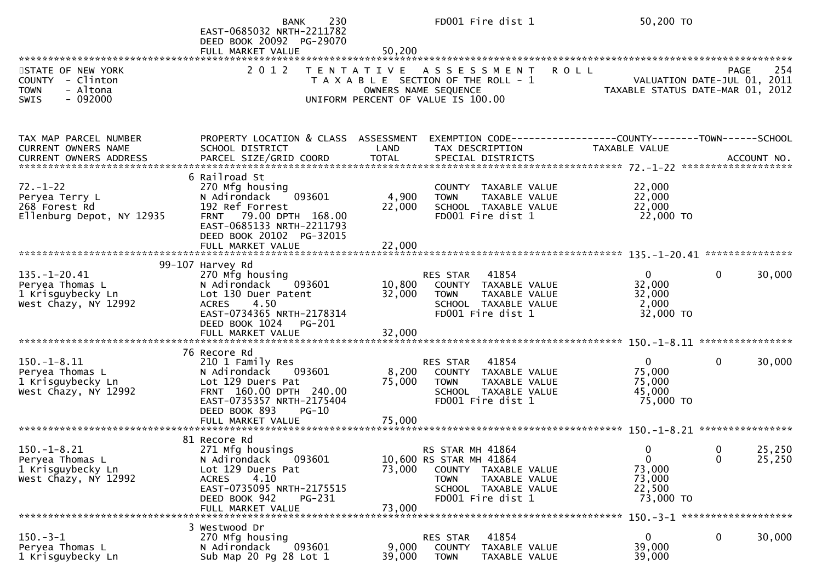|                                                                                              | 230<br><b>BANK</b><br>EAST-0685032 NRTH-2211782<br>DEED BOOK 20092 PG-29070<br>FULL MARKET VALUE                                                                           | 50,200            | FD001 Fire dist 1                                                                                                                                |             | 50,200 TO                                                             |                  |                  |
|----------------------------------------------------------------------------------------------|----------------------------------------------------------------------------------------------------------------------------------------------------------------------------|-------------------|--------------------------------------------------------------------------------------------------------------------------------------------------|-------------|-----------------------------------------------------------------------|------------------|------------------|
| STATE OF NEW YORK<br>COUNTY - Clinton<br><b>TOWN</b><br>- Altona<br>$-092000$<br><b>SWIS</b> | 2 0 1 2                                                                                                                                                                    | T E N T A T I V E | A S S E S S M E N T<br>T A X A B L E SECTION OF THE ROLL - 1<br>OWNERS NAME SEQUENCE<br>UNIFORM PERCENT OF VALUE IS 100.00                       | <b>ROLL</b> | VALUATION DATE-JUL 01, 2011<br>TAXABLE STATUS DATE-MAR 01,            | <b>PAGE</b>      | 254<br>2012      |
| TAX MAP PARCEL NUMBER<br>CURRENT OWNERS NAME                                                 | PROPERTY LOCATION & CLASS ASSESSMENT<br>SCHOOL DISTRICT                                                                                                                    | LAND              | TAX DESCRIPTION                                                                                                                                  |             | <b>TAXABLE VALUE</b>                                                  |                  |                  |
| $72. - 1 - 22$<br>Peryea Terry L<br>268 Forest Rd<br>Ellenburg Depot, NY 12935               | 6 Railroad St<br>270 Mfg housing<br>093601<br>N Adirondack<br>192 Ref Forrest<br>79.00 DPTH 168.00<br><b>FRNT</b><br>EAST-0685133 NRTH-2211793<br>DEED BOOK 20102 PG-32015 | 4,900<br>22,000   | <b>COUNTY</b><br>TAXABLE VALUE<br>TAXABLE VALUE<br><b>TOWN</b><br>SCHOOL TAXABLE VALUE<br>FD001 Fire dist 1                                      |             | 22,000<br>22,000<br>22,000<br>22,000 TO                               |                  |                  |
|                                                                                              | 99-107 Harvey Rd                                                                                                                                                           |                   |                                                                                                                                                  |             |                                                                       |                  |                  |
| $135. - 1 - 20.41$<br>Peryea Thomas L<br>1 Krisguybecky Ln<br>West Chazy, NY 12992           | 270 Mfg housing<br>N Adirondack<br>093601<br>Lot 130 Duer Patent<br>4.50<br><b>ACRES</b><br>EAST-0734365 NRTH-2178314<br>DEED BOOK 1024<br>PG-201                          | 10,800<br>32,000  | 41854<br>RES STAR<br>COUNTY TAXABLE VALUE<br>TAXABLE VALUE<br><b>TOWN</b><br>SCHOOL TAXABLE VALUE<br>FD001 Fire dist 1                           |             | $\mathbf{0}$<br>32,000<br>32,000<br>2,000<br>32,000 TO                | $\mathbf 0$      | 30,000           |
|                                                                                              |                                                                                                                                                                            |                   |                                                                                                                                                  |             |                                                                       |                  |                  |
| $150. - 1 - 8.11$<br>Peryea Thomas L<br>1 Krisguybecky Ln<br>West Chazy, NY 12992            | 76 Recore Rd<br>210 1 Family Res<br>093601<br>N Adirondack<br>Lot 129 Duers Pat<br>FRNT 160.00 DPTH 240.00<br>EAST-0735357 NRTH-2175404<br>DEED BOOK 893<br>$PG-10$        | 8,200<br>75,000   | 41854<br>RES STAR<br>COUNTY TAXABLE VALUE<br><b>TOWN</b><br><b>TAXABLE VALUE</b><br>SCHOOL TAXABLE VALUE<br>FD001 Fire dist 1                    |             | $\mathbf{0}$<br>75,000<br>75,000<br>45,000<br>75,000 TO               | $\mathbf{0}$     | 30,000           |
|                                                                                              | 81 Recore Rd                                                                                                                                                               |                   |                                                                                                                                                  |             |                                                                       |                  |                  |
| $150. - 1 - 8.21$<br>Peryea Thomas L<br>1 Krisguybecky Ln<br>West Chazy, NY 12992            | 271 Mfg housings<br>093601<br>N Adirondack<br>Lot 129 Duers Pat<br>4.10<br><b>ACRES</b><br>EAST-0735095 NRTH-2175515<br>DEED BOOK 942<br>PG-231<br>FULL MARKET VALUE       | 73,000<br>73,000  | RS STAR MH 41864<br>10,600 RS STAR MH 41864<br>COUNTY TAXABLE VALUE<br><b>TOWN</b><br>TAXABLE VALUE<br>SCHOOL TAXABLE VALUE<br>FD001 Fire dist 1 |             | $\Omega$<br>$\overline{0}$<br>73,000<br>73,000<br>22,500<br>73,000 TO | $\mathbf 0$<br>0 | 25,250<br>25,250 |
|                                                                                              | 3 Westwood Dr                                                                                                                                                              |                   |                                                                                                                                                  |             |                                                                       |                  |                  |
| $150 - 3 - 1$<br>Peryea Thomas L<br>1 Krisguybecky Ln                                        | 270 Mfg housing<br>093601<br>N Adirondack<br>Sub Map 20 Pg 28 Lot 1                                                                                                        | 9,000<br>39,000   | 41854<br>RES STAR<br><b>COUNTY</b><br>TAXABLE VALUE<br><b>TOWN</b><br>TAXABLE VALUE                                                              |             | $\mathbf{0}$<br>39,000<br>39,000                                      | 0                | 30,000           |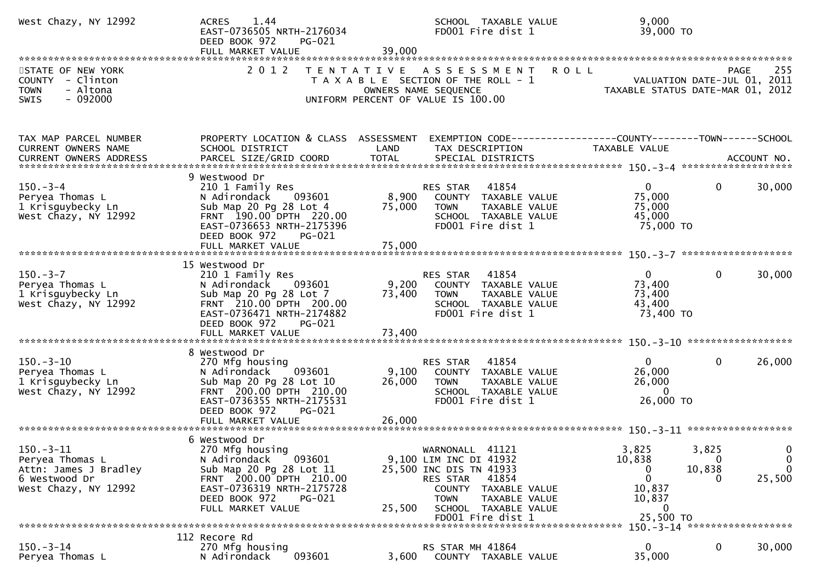| West Chazy, NY 12992                                                                                 | 1.44<br><b>ACRES</b><br>EAST-0736505 NRTH-2176034<br>DEED BOOK 972<br>PG-021<br>FULL MARKET VALUE                                                                                              | 39,000           | SCHOOL TAXABLE VALUE<br>FD001 Fire dist 1                                                                                                                                                         | 9,000<br>39,000 TO                                                                             |                       |
|------------------------------------------------------------------------------------------------------|------------------------------------------------------------------------------------------------------------------------------------------------------------------------------------------------|------------------|---------------------------------------------------------------------------------------------------------------------------------------------------------------------------------------------------|------------------------------------------------------------------------------------------------|-----------------------|
| STATE OF NEW YORK<br>COUNTY - Clinton<br>- Altona<br><b>TOWN</b><br>$-092000$<br>SWIS                | 2 0 1 2                                                                                                                                                                                        |                  | <b>ROLL</b><br>TENTATIVE ASSESSMENT<br>T A X A B L E SECTION OF THE ROLL - 1<br>OWNERS NAME SEQUENCE<br>UNIFORM PERCENT OF VALUE IS 100.00                                                        | VALUATION DATE-JUL 01, 2011<br>TAXABLE STATUS DATE-MAR 01, 2012                                | 255<br><b>PAGE</b>    |
| TAX MAP PARCEL NUMBER<br><b>CURRENT OWNERS NAME</b>                                                  | PROPERTY LOCATION & CLASS ASSESSMENT<br>SCHOOL DISTRICT                                                                                                                                        | LAND             | TAX DESCRIPTION                                                                                                                                                                                   | EXEMPTION CODE-----------------COUNTY-------TOWN------SCHOOL<br>TAXABLE VALUE                  |                       |
| $150 - 3 - 4$<br>Peryea Thomas L<br>1 Krisguybecky Ln<br>West Chazy, NY 12992                        | 9 Westwood Dr<br>210 1 Family Res<br>093601<br>N Adirondack<br>Sub Map 20 Pg 28 Lot 4<br>FRNT 190.00 DPTH 220.00<br>EAST-0736653 NRTH-2175396<br>DEED BOOK 972<br>PG-021                       | 8,900<br>75,000  | RES STAR<br>41854<br>COUNTY TAXABLE VALUE<br><b>TOWN</b><br>TAXABLE VALUE<br>SCHOOL TAXABLE VALUE<br>FD001 Fire dist 1                                                                            | $\overline{0}$<br>0<br>75,000<br>75,000<br>45,000<br>75,000 TO                                 | 30,000                |
| $150 - 3 - 7$<br>Peryea Thomas L<br>1 Krisguybecky Ln<br>West Chazy, NY 12992                        | 15 Westwood Dr<br>210 1 Family Res<br>N Adirondack<br>093601<br>Sub Map 20 Pg 28 Lot 7<br>FRNT 210.00 DPTH 200.00<br>EAST-0736471 NRTH-2174882<br>DEED BOOK 972<br>PG-021<br>FULL MARKET VALUE | 73,400<br>73,400 | RES STAR 41854<br>9,200 COUNTY TAXABLE VALUE<br><b>TOWN</b><br>TAXABLE VALUE<br>SCHOOL TAXABLE VALUE<br>FD001 Fire dist 1                                                                         | $\mathbf{0}$<br>0<br>73,400<br>73,400<br>43,400<br>73,400 TO                                   | 30,000                |
| $150 - 3 - 10$<br>Peryea Thomas L<br>1 Krisguybecky Ln<br>West Chazy, NY 12992                       | 8 Westwood Dr<br>270 Mfg housing<br>093601<br>N Adirondack<br>Sub Map 20 Pg 28 Lot 10<br>FRNT 200.00 DPTH 210.00<br>EAST-0736355 NRTH-2175531<br>DEED BOOK 972<br>PG-021                       | 9,100<br>26,000  | 41854<br>RES STAR<br>COUNTY TAXABLE VALUE<br>TAXABLE VALUE<br><b>TOWN</b><br>SCHOOL TAXABLE VALUE<br>FD001 Fire dist 1                                                                            | $\mathbf{0}$<br>0<br>26,000<br>26,000<br>$\overline{0}$<br>26,000 TO                           | 26,000                |
| $150. - 3 - 11$<br>Peryea Thomas L<br>Attn: James J Bradley<br>6 Westwood Dr<br>West Chazy, NY 12992 | 6 Westwood Dr<br>270 Mfg housing<br>N Adirondack 093601<br>Sub Map 20 Pg 28 Lot 11<br>FRNT 200.00 DPTH 210.00<br>EAST-0736319 NRTH-2175728<br>DEED BOOK 972<br>PG-021<br>FULL MARKET VALUE     | 25,500           | 41121<br>WARNONALL<br>9,100 LIM INC DI 41932<br>25,500 INC DIS TN 41933<br>41854<br>RES STAR<br>COUNTY TAXABLE VALUE<br>TAXABLE VALUE<br><b>TOWN</b><br>SCHOOL TAXABLE VALUE<br>FD001 Fire dist 1 | 3,825<br>3,825<br>10,838<br>$\Omega$<br>10,838<br>0<br>0<br>10,837<br>10,837<br>0<br>25,500 TO | 0<br>0<br>0<br>25,500 |
|                                                                                                      | 112 Recore Rd                                                                                                                                                                                  |                  |                                                                                                                                                                                                   | 150. -3-14 *******************                                                                 |                       |
| $150 - 3 - 14$<br>Peryea Thomas L                                                                    | 270 Mfg housing<br>093601<br>N Adirondack                                                                                                                                                      | 3,600            | RS STAR MH 41864<br>COUNTY TAXABLE VALUE                                                                                                                                                          | $\mathbf{0}$<br>0<br>35,000                                                                    | 30,000                |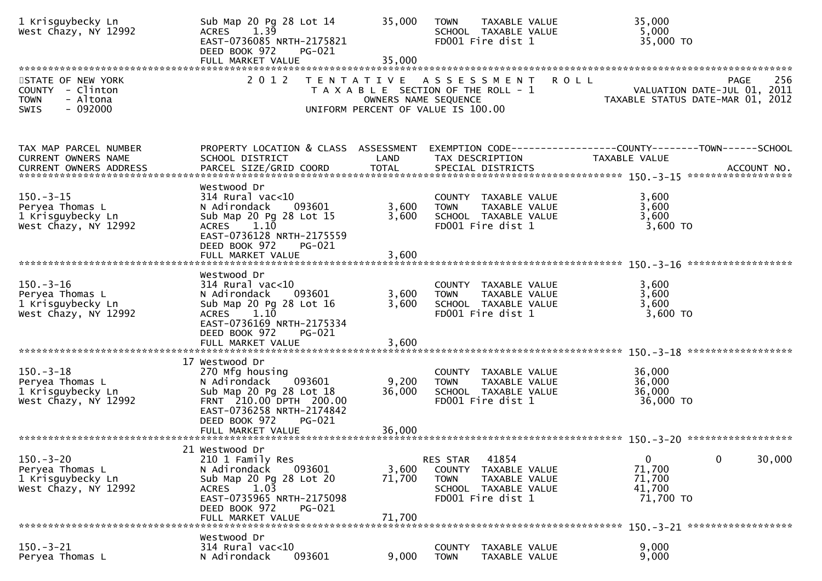| 1 Krisguybecky Ln<br>West Chazy, NY 12992                                                    | Sub Map 20 Pg 28 Lot 14<br>$ACRES$ 1.39<br>EAST-0736085 NRTH-2175821<br>DEED BOOK 972<br><b>PG-021</b><br>FULL MARKET VALUE                                                                         | 35,000<br>35,000          | <b>TOWN</b><br>TAXABLE VALUE<br>SCHOOL TAXABLE VALUE<br>FD001 Fire dist 1                                                   | 35,000<br>5,000<br>35,000 TO                                                                         |
|----------------------------------------------------------------------------------------------|-----------------------------------------------------------------------------------------------------------------------------------------------------------------------------------------------------|---------------------------|-----------------------------------------------------------------------------------------------------------------------------|------------------------------------------------------------------------------------------------------|
| STATE OF NEW YORK<br>COUNTY - Clinton<br><b>TOWN</b><br>- Altona<br>$-092000$<br><b>SWIS</b> | 2 0 1 2                                                                                                                                                                                             |                           | TENTATIVE ASSESSMENT<br>T A X A B L E SECTION OF THE ROLL - 1<br>OWNERS NAME SEQUENCE<br>UNIFORM PERCENT OF VALUE IS 100.00 | <b>ROLL</b><br>256<br><b>PAGE</b><br>VALUATION DATE-JUL 01, 2011<br>TAXABLE STATUS DATE-MAR 01, 2012 |
| TAX MAP PARCEL NUMBER<br>CURRENT OWNERS NAME<br>CURRENT OWNERS ADDRESS                       | PROPERTY LOCATION & CLASS ASSESSMENT<br>SCHOOL DISTRICT                                                                                                                                             | LAND                      | TAX DESCRIPTION                                                                                                             | TAXABLE VALUE                                                                                        |
| $150. - 3 - 15$<br>Peryea Thomas L<br>1 Krisguybecky Ln<br>West Chazy, NY 12992              | Westwood Dr<br>$314$ Rural vac<10<br>093601<br>N Adirondack<br>Sub Map 20 Pg 28 Lot 15<br>1.10<br><b>ACRES</b><br>EAST-0736128 NRTH-2175559<br>DEED BOOK 972<br>PG-021<br>FULL MARKET VALUE         | 3,600<br>3,600<br>3,600   | COUNTY TAXABLE VALUE<br>TAXABLE VALUE<br><b>TOWN</b><br>SCHOOL TAXABLE VALUE<br>FD001 Fire dist 1                           | 3,600<br>3,600<br>3,600<br>3,600 TO                                                                  |
| $150 - 3 - 16$<br>Peryea Thomas L<br>1 Krisguybecky Ln<br>West Chazy, NY 12992               | Westwood Dr<br>$314$ Rural vac<10<br>093601<br>N Adirondack<br>Sub Map 20 Pg 28 Lot 16<br>$1.1\bar{0}$<br><b>ACRES</b><br>EAST-0736169 NRTH-2175334<br>DEED BOOK 972<br>PG-021<br>FULL MARKET VALUE | 3,600<br>3,600<br>3,600   | COUNTY TAXABLE VALUE<br><b>TOWN</b><br>TAXABLE VALUE<br>SCHOOL TAXABLE VALUE<br>FD001 Fire dist 1                           | 3,600<br>3,600<br>3,600<br>3,600 TO                                                                  |
| $150.-3-18$<br>Peryea Thomas L<br>1 Krisguybecky Ln<br>West Chazy, NY 12992                  | 17 Westwood Dr<br>270 Mfg housing<br>N Adirondack<br>093601<br>Sub Map 20 Pg 28 Lot 18<br>FRNT 210.00 DPTH 200.00<br>EAST-0736258 NRTH-2174842<br>DEED BOOK 972<br>PG-021                           | 9,200<br>36,000           | COUNTY TAXABLE VALUE<br>TAXABLE VALUE<br><b>TOWN</b><br>SCHOOL TAXABLE VALUE<br>FD001 Fire dist 1                           | 36,000<br>36,000<br>36,000<br>36,000 TO                                                              |
| $150 - 3 - 20$<br>Peryea Thomas L<br>1 Krisguybecky Ln<br>West Chazy, NY 12992               | 21 Westwood Dr<br>210 1 Family Res<br>N Adirondack<br>093601<br>Sub Map 20 Pg 28 Lot 20<br>1.03<br><b>ACRES</b><br>EAST-0735965 NRTH-2175098<br>DEED BOOK 972<br>PG-021<br>FULL MARKET VALUE        | 3,600<br>71,700<br>71,700 | RES STAR<br>41854<br>COUNTY<br>TAXABLE VALUE<br><b>TOWN</b><br>TAXABLE VALUE<br>SCHOOL TAXABLE VALUE<br>FD001 Fire dist 1   | 0<br>$\mathbf 0$<br>30,000<br>71,700<br>71,700<br>41,700<br>71,700 TO                                |
| $150 - 3 - 21$<br>Peryea Thomas L                                                            | Westwood Dr<br>$314$ Rural vac<10<br>093601<br>N Adirondack                                                                                                                                         | 9,000                     | <b>COUNTY</b><br>TAXABLE VALUE<br><b>TOWN</b><br>TAXABLE VALUE                                                              | 9,000<br>9,000                                                                                       |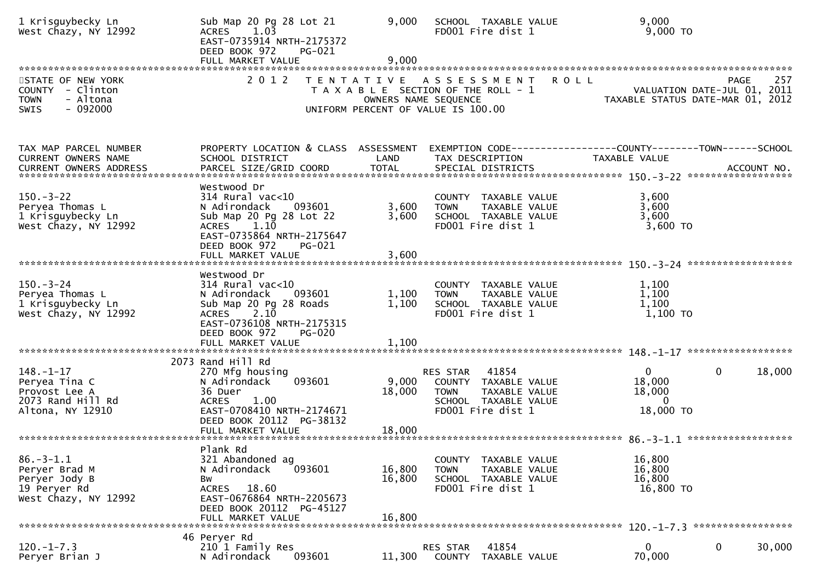| 1 Krisguybecky Ln<br>West Chazy, NY 12992                                                    | Sub Map 20 Pg 28 Lot 21<br>1.03<br><b>ACRES</b><br>EAST-0735914 NRTH-2175372<br>DEED BOOK 972<br>PG-021<br>FULL MARKET VALUE                                                                    | 9,000<br>9,000             | SCHOOL TAXABLE VALUE<br>FD001 Fire dist 1                                                                                  | 9,000<br>$9,000$ TO                                                                           |
|----------------------------------------------------------------------------------------------|-------------------------------------------------------------------------------------------------------------------------------------------------------------------------------------------------|----------------------------|----------------------------------------------------------------------------------------------------------------------------|-----------------------------------------------------------------------------------------------|
| STATE OF NEW YORK<br>COUNTY - Clinton<br><b>TOWN</b><br>- Altona<br>$-092000$<br><b>SWIS</b> | 2 0 1 2                                                                                                                                                                                         | T E N T A T I V E          | A S S E S S M E N T<br>T A X A B L E SECTION OF THE ROLL - 1<br>OWNERS NAME SEQUENCE<br>UNIFORM PERCENT OF VALUE IS 100.00 | 257<br><b>ROLL</b><br>PAGE<br>VALUATION DATE-JUL 01, 2011<br>TAXABLE STATUS DATE-MAR 01, 2012 |
| TAX MAP PARCEL NUMBER<br>CURRENT OWNERS NAME                                                 | PROPERTY LOCATION & CLASS ASSESSMENT<br>SCHOOL DISTRICT                                                                                                                                         | LAND                       | TAX DESCRIPTION                                                                                                            | EXEMPTION        CODE------------------COUNTY-------TOWN------SCHOOL<br>TAXABLE VALUE         |
| $150 - 3 - 22$<br>Peryea Thomas L<br>1 Krisguybecky Ln<br>West Chazy, NY 12992               | Westwood Dr<br>$314$ Rural vac<10<br>093601<br>N Adirondack<br>Sub Map 20 Pg 28 Lot 22<br>ACRES 1.10<br>EAST-0735864 NRTH-2175647<br>DEED BOOK 972<br>PG-021                                    | 3,600<br>3,600             | COUNTY TAXABLE VALUE<br>TAXABLE VALUE<br><b>TOWN</b><br>SCHOOL TAXABLE VALUE<br>FD001 Fire dist 1                          | 3,600<br>3,600<br>3,600<br>3,600 TO                                                           |
| $150 - 3 - 24$<br>Peryea Thomas L<br>1 Krisguybecky Ln<br>West Chazy, NY 12992               | Westwood Dr<br>314 Rural vac<10<br>N Adirondack<br>093601<br>Sub Map 20 Pg 28 Roads<br>2.10<br><b>ACRES</b><br>EAST-0736108 NRTH-2175315<br>DEED BOOK 972<br><b>PG-020</b><br>FULL MARKET VALUE | 1,100<br>1,100<br>1,100    | COUNTY TAXABLE VALUE<br><b>TOWN</b><br>TAXABLE VALUE<br>SCHOOL TAXABLE VALUE<br>FD001 Fire dist 1                          | 1,100<br>1,100<br>1,100<br>1,100 TO                                                           |
| $148. - 1 - 17$<br>Peryea Tina C<br>Provost Lee A<br>2073 Rand Hill Rd<br>Altona, NY 12910   | 2073 Rand Hill Rd<br>270 Mfg housing<br>N Adirondack<br>093601<br>36 Duer<br><b>ACRES</b><br>1.00<br>EAST-0708410 NRTH-2174671<br>DEED BOOK 20112 PG-38132                                      | 9,000<br>18,000            | 41854<br>RES STAR<br>COUNTY TAXABLE VALUE<br><b>TOWN</b><br>TAXABLE VALUE<br>SCHOOL TAXABLE VALUE<br>FD001 Fire dist 1     | $\Omega$<br>$\mathbf{0}$<br>18,000<br>18,000<br>18,000<br>$\overline{0}$<br>18,000 TO         |
| $86. - 3 - 1.1$<br>Peryer Brad M<br>Peryer Jody B<br>19 Peryer Rd<br>West Chazy, NY 12992    | Plank Rd<br>321 Abandoned ag<br>N Adirondack<br>093601<br>Вw<br>ACRES 18.60<br>EAST-0676864 NRTH-2205673<br>DEED BOOK 20112 PG-45127<br>FULL MARKET VALUE                                       | 16,800<br>16,800<br>16,800 | TAXABLE VALUE<br>COUNTY<br><b>TOWN</b><br>TAXABLE VALUE<br>SCHOOL TAXABLE VALUE<br>FD001 Fire dist 1                       | 16,800<br>16,800<br>16,800<br>16,800 TO                                                       |
| $120. -1 - 7.3$<br>Peryer Brian J                                                            | 46 Peryer Rd<br>210 1 Family Res<br>093601<br>N Adirondack                                                                                                                                      | 11,300                     | 41854<br>RES STAR<br>COUNTY<br>TAXABLE VALUE                                                                               | $\mathbf 0$<br>0<br>30,000<br>70,000                                                          |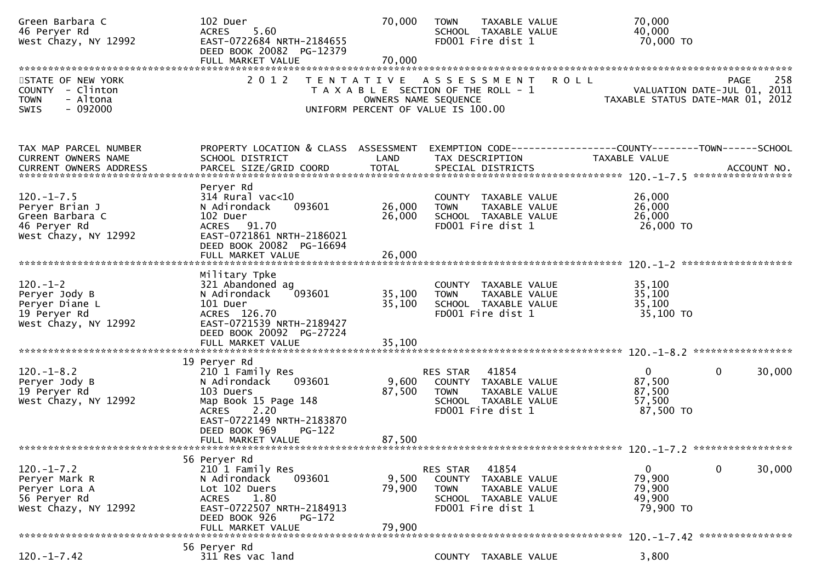| Green Barbara C<br>46 Peryer Rd<br>West Chazy, NY 12992                                       | 102 Duer<br>5.60<br><b>ACRES</b><br>EAST-0722684 NRTH-2184655<br>DEED BOOK 20082 PG-12379<br>FULL MARKET VALUE                                                                                         | 70,000<br>70,000                                                                                                            | <b>TOWN</b>                              | TAXABLE VALUE<br>SCHOOL TAXABLE VALUE<br>FD001 Fire dist 1                           |             | 70,000<br>40,000<br>70,000 TO                             |                                                                                       |
|-----------------------------------------------------------------------------------------------|--------------------------------------------------------------------------------------------------------------------------------------------------------------------------------------------------------|-----------------------------------------------------------------------------------------------------------------------------|------------------------------------------|--------------------------------------------------------------------------------------|-------------|-----------------------------------------------------------|---------------------------------------------------------------------------------------|
| STATE OF NEW YORK<br>COUNTY - Clinton<br>- Altona<br><b>TOWN</b><br>$-092000$<br><b>SWIS</b>  | 2 0 1 2                                                                                                                                                                                                | TENTATIVE ASSESSMENT<br>T A X A B L E SECTION OF THE ROLL - 1<br>OWNERS NAME SEQUENCE<br>UNIFORM PERCENT OF VALUE IS 100.00 |                                          |                                                                                      | <b>ROLL</b> |                                                           | 258<br><b>PAGE</b><br>VALUATION DATE-JUL 01, 2011<br>TAXABLE STATUS DATE-MAR 01, 2012 |
| TAX MAP PARCEL NUMBER<br>CURRENT OWNERS NAME                                                  | PROPERTY LOCATION & CLASS ASSESSMENT<br>SCHOOL DISTRICT                                                                                                                                                | LAND                                                                                                                        |                                          | TAX DESCRIPTION                                                                      |             | TAXABLE VALUE                                             | EXEMPTION CODE-----------------COUNTY--------TOWN-----SCHOOL                          |
| $120. - 1 - 7.5$<br>Peryer Brian J<br>Green Barbara C<br>46 Peryer Rd<br>West Chazy, NY 12992 | Peryer Rd<br>$314$ Rural vac< $10$<br>093601<br>N Adirondack<br>102 Duer<br>ACRES 91.70<br>EAST-0721861 NRTH-2186021<br>DEED BOOK 20082 PG-16694                                                       | 26,000<br>26,000                                                                                                            | <b>TOWN</b>                              | COUNTY TAXABLE VALUE<br>TAXABLE VALUE<br>SCHOOL TAXABLE VALUE<br>FD001 Fire dist 1   |             | 26,000<br>26,000<br>26,000<br>26,000 TO                   |                                                                                       |
| $120.-1-2$<br>Peryer Jody B<br>Peryer Diane L<br>19 Peryer Rd<br>West Chazy, NY 12992         | Military Tpke<br>321 Abandoned ag<br>093601<br>N Adirondack<br>101 Duer<br>ACRES 126.70<br>EAST-0721539 NRTH-2189427<br>DEED BOOK 20092 PG-27224<br>FULL MARKET VALUE                                  | 35,100<br>35,100<br>35,100                                                                                                  | <b>TOWN</b>                              | COUNTY TAXABLE VALUE<br>TAXABLE VALUE<br>SCHOOL TAXABLE VALUE<br>FD001 Fire dist 1   |             | 35,100<br>35,100<br>35,100<br>35,100 TO                   |                                                                                       |
| $120. - 1 - 8.2$<br>Peryer Jody B<br>19 Peryer Rd<br>West Chazy, NY 12992                     | 19 Peryer Rd<br>210 1 Family Res<br>093601<br>N Adirondack<br>103 Duers<br>Map Book 15 Page 148<br>2.20<br><b>ACRES</b><br>EAST-0722149 NRTH-2183870<br>DEED BOOK 969<br>$PG-122$<br>FULL MARKET VALUE | 9,600<br>87,500<br>87,500                                                                                                   | RES STAR 41854<br><b>TOWN</b>            | COUNTY TAXABLE VALUE<br>TAXABLE VALUE<br>SCHOOL TAXABLE VALUE<br>FD001 Fire dist 1   |             | $\overline{0}$<br>87,500<br>87,500<br>57,500<br>87,500 TO | $\mathbf{0}$<br>30,000                                                                |
| $120. -1 - 7.2$<br>Peryer Mark R<br>Peryer Lora A<br>56 Peryer Rd<br>West Chazy, NY 12992     | 56 Peryer Rd<br>210 1 Family Res<br>093601<br>N Adirondack<br>Lot 102 Duers<br><b>ACRES</b><br>1.80<br>EAST-0722507 NRTH-2184913<br>DEED BOOK 926<br>PG-172<br>FULL MARKET VALUE                       | 9,500<br>79,900<br>79.900                                                                                                   | RES STAR<br><b>COUNTY</b><br><b>TOWN</b> | 41854<br>TAXABLE VALUE<br>TAXABLE VALUE<br>SCHOOL TAXABLE VALUE<br>FD001 Fire dist 1 |             | 0<br>79,900<br>79,900<br>49,900<br>79,900 TO              | $\mathbf{0}$<br>30,000<br>120. -1-7.42 *****************                              |
| $120. -1 - 7.42$                                                                              | 56 Peryer Rd<br>311 Res vac land                                                                                                                                                                       |                                                                                                                             | <b>COUNTY</b>                            | TAXABLE VALUE                                                                        |             | 3,800                                                     |                                                                                       |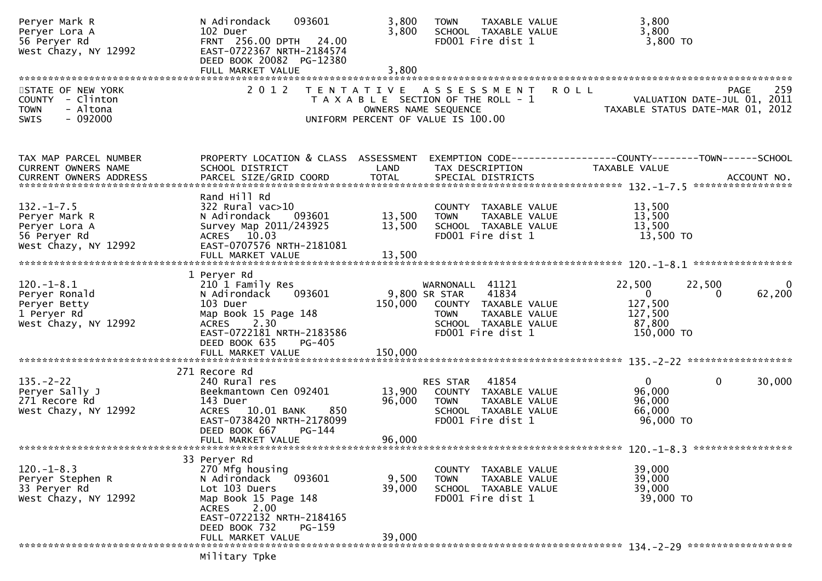| Peryer Mark R<br>Peryer Lora A<br>56 Peryer Rd<br>West Chazy, NY 12992                     | 093601<br>N Adirondack<br>102 Duer<br>FRNT 256.00 DPTH 24.00<br>EAST-0722367 NRTH-2184574<br>DEED BOOK 20082 PG-12380                                                                                   | 3,800<br><b>TOWN</b><br>3,800                                                                                               | TAXABLE VALUE<br>SCHOOL TAXABLE VALUE<br>FD001 Fire dist 1                                                     | 3,800<br>3,800<br>3,800 TO                                                      |             |
|--------------------------------------------------------------------------------------------|---------------------------------------------------------------------------------------------------------------------------------------------------------------------------------------------------------|-----------------------------------------------------------------------------------------------------------------------------|----------------------------------------------------------------------------------------------------------------|---------------------------------------------------------------------------------|-------------|
| STATE OF NEW YORK<br>COUNTY - Clinton<br>- Altona<br><b>TOWN</b><br>$-092000$<br>SWIS      | 2 0 1 2                                                                                                                                                                                                 | TENTATIVE ASSESSMENT<br>T A X A B L E SECTION OF THE ROLL - 1<br>OWNERS NAME SEQUENCE<br>UNIFORM PERCENT OF VALUE IS 100.00 |                                                                                                                | <b>ROLL</b><br>VALUATION DATE-JUL 01, 2011<br>TAXABLE STATUS DATE-MAR 01, 2012  | 259<br>PAGE |
| TAX MAP PARCEL NUMBER<br><b>CURRENT OWNERS NAME</b>                                        | PROPERTY LOCATION & CLASS ASSESSMENT<br>SCHOOL DISTRICT                                                                                                                                                 | LAND                                                                                                                        | TAX DESCRIPTION                                                                                                | EXEMPTION CODE-----------------COUNTY--------TOWN------SCHOOL<br>TAXABLE VALUE  |             |
| $132. - 1 - 7.5$<br>Peryer Mark R<br>Peryer Lora A<br>56 Peryer Rd<br>West Chazy, NY 12992 | Rand Hill Rd<br>$322$ Rural vac $>10$<br>N Adirondack<br>093601<br>Survey Map 2011/243925<br>ACRES 10.03<br>EAST-0707576 NRTH-2181081<br>FULL MARKET VALUE                                              | 13,500<br><b>TOWN</b><br>13,500<br>13,500                                                                                   | COUNTY TAXABLE VALUE<br>TAXABLE VALUE<br>SCHOOL TAXABLE VALUE<br>FD001 Fire dist 1                             | 13,500<br>13,500<br>13,500<br>13,500 TO                                         |             |
| $120. - 1 - 8.1$<br>Peryer Ronald<br>Peryer Betty<br>1 Peryer Rd<br>West Chazy, NY 12992   | 1 Peryer Rd<br>210 1 Family Res<br>093601<br>N Adirondack<br>103 Duer<br>Map Book 15 Page 148<br>2.30<br><b>ACRES</b><br>EAST-0722181 NRTH-2183586<br>DEED BOOK 635<br><b>PG-405</b>                    | 9,800 SR STAR<br>150,000<br><b>TOWN</b>                                                                                     | WARNONALL 41121<br>41834<br>COUNTY TAXABLE VALUE<br>TAXABLE VALUE<br>SCHOOL TAXABLE VALUE<br>FD001 Fire dist 1 | 22,500<br>22,500<br>$\Omega$<br>0<br>127,500<br>127,500<br>87,800<br>150,000 TO | 0<br>62,200 |
| $135. - 2 - 22$<br>Peryer Sally J<br>271 Recore Rd<br>West Chazy, NY 12992                 | 271 Recore Rd<br>240 Rural res<br>Beekmantown Cen 092401<br>143 Duer<br>850<br>ACRES 10.01 BANK<br>EAST-0738420 NRTH-2178099<br>DEED BOOK 667<br>PG-144                                                 | RES STAR<br>13,900<br>96,000<br>TOWN                                                                                        | 41854<br>COUNTY TAXABLE VALUE<br>TAXABLE VALUE<br>SCHOOL TAXABLE VALUE<br>FD001 Fire dist 1                    | $\mathbf{0}$<br>0<br>96,000<br>96,000<br>66,000<br>96,000 TO                    | 30,000      |
|                                                                                            | FULL MARKET VALUE                                                                                                                                                                                       | 96,000                                                                                                                      |                                                                                                                |                                                                                 |             |
| $120. -1 - 8.3$<br>Peryer Stephen R<br>33 Peryer Rd<br>West Chazy, NY 12992                | 33 Peryer Rd<br>270 Mfg housing<br>093601<br>N Adirondack<br>Lot 103 Duers<br>Map Book 15 Page 148<br>2.00<br><b>ACRES</b><br>EAST-0722132 NRTH-2184165<br>DEED BOOK 732<br>PG-159<br>FULL MARKET VALUE | 9,500<br><b>TOWN</b><br>39,000<br>39,000                                                                                    | COUNTY TAXABLE VALUE<br>TAXABLE VALUE<br>SCHOOL TAXABLE VALUE<br>FD001 Fire dist 1                             | 39,000<br>39,000<br>39,000<br>39,000 TO                                         |             |
|                                                                                            | Military Tpke                                                                                                                                                                                           |                                                                                                                             |                                                                                                                |                                                                                 |             |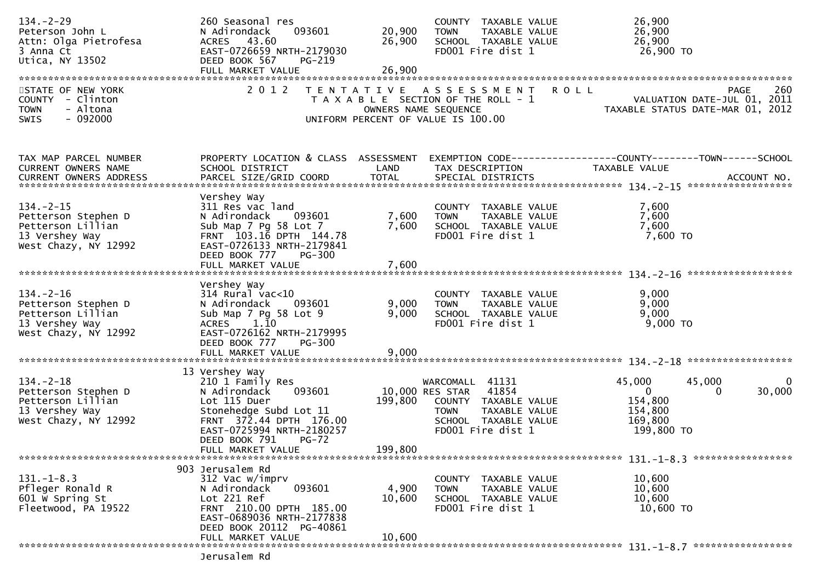| $134. - 2 - 29$<br>Peterson John L<br>Attn: Olga Pietrofesa<br>3 Anna Ct<br>Utica, NY 13502           | 260 Seasonal res<br>093601<br>N Adirondack<br>ACRES 43.60<br>EAST-0726659 NRTH-2179030<br>DEED BOOK 567<br>PG-219                                                                                                    | 20,900<br>26,900        | COUNTY TAXABLE VALUE<br>TAXABLE VALUE<br><b>TOWN</b><br>SCHOOL TAXABLE VALUE<br>FD001 Fire dist 1                                                | 26,900<br>26,900<br>26,900<br>26,900 TO                                                                          |
|-------------------------------------------------------------------------------------------------------|----------------------------------------------------------------------------------------------------------------------------------------------------------------------------------------------------------------------|-------------------------|--------------------------------------------------------------------------------------------------------------------------------------------------|------------------------------------------------------------------------------------------------------------------|
| STATE OF NEW YORK<br>COUNTY - Clinton<br>- Altona<br><b>TOWN</b><br>$-092000$<br>SWIS                 | 2 0 1 2                                                                                                                                                                                                              |                         | TENTATIVE ASSESSMENT ROLL<br>T A X A B L E SECTION OF THE ROLL - 1<br>OWNERS NAME SEQUENCE<br>UNIFORM PERCENT OF VALUE IS 100.00                 | 260<br>PAGE<br>VALUATION DATE-JUL 01, 2011<br>TAXABLE STATUS DATE-MAR 01, 2012                                   |
| TAX MAP PARCEL NUMBER<br>CURRENT OWNERS NAME<br>CURRENT OWNERS ADDRESS                                | PROPERTY LOCATION & CLASS ASSESSMENT<br>SCHOOL DISTRICT                                                                                                                                                              | LAND                    | TAX DESCRIPTION                                                                                                                                  | EXEMPTION CODE-----------------COUNTY-------TOWN------SCHOOL<br>TAXABLE VALUE                                    |
| $134. - 2 - 15$<br>Petterson Stephen D<br>Petterson Lillian<br>13 Vershey Way<br>West Chazy, NY 12992 | Vershey Way<br>311 Res vac land<br>093601<br>N Adirondack<br>Sub Map 7 Pg 58 Lot 7<br>FRNT 103.16 DPTH 144.78<br>EAST-0726133 NRTH-2179841<br>DEED BOOK 777<br>PG-300<br>FULL MARKET VALUE                           | 7,600<br>7,600<br>7,600 | COUNTY TAXABLE VALUE<br>TAXABLE VALUE<br><b>TOWN</b><br>SCHOOL TAXABLE VALUE<br>FD001 Fire dist 1                                                | 7,600<br>7,600<br>7,600<br>$7,600$ TO                                                                            |
|                                                                                                       | Vershey Way                                                                                                                                                                                                          |                         |                                                                                                                                                  |                                                                                                                  |
| $134. - 2 - 16$<br>Petterson Stephen D<br>Petterson Lillian<br>13 Vershey Way<br>West Chazy, NY 12992 | $314$ Rural vac< $10$<br>N Adirondack<br>093601<br>Sub Map 7 Pg 58 Lot 9<br>ACRES 1.10<br>EAST-0726162 NRTH-2179995<br>DEED BOOK 777<br><b>PG-300</b>                                                                | 9,000<br>9,000          | COUNTY TAXABLE VALUE<br><b>TOWN</b><br>TAXABLE VALUE<br>SCHOOL TAXABLE VALUE<br>FD001 Fire dist 1                                                | 9,000<br>9,000<br>9,000<br>$9,000$ TO                                                                            |
|                                                                                                       | FULL MARKET VALUE                                                                                                                                                                                                    | 9,000                   |                                                                                                                                                  |                                                                                                                  |
| $134. - 2 - 18$<br>Petterson Stephen D<br>Petterson Lillian<br>13 Vershey Way<br>West Chazy, NY 12992 | 13 Vershey Way<br>210 1 Family Res<br>093601<br>N Adirondack<br>Lot 115 Duer<br>Stonehedge Subd Lot 11<br>FRNT 372.44 DPTH 176.00<br>EAST-0725994 NRTH-2180257<br>DEED BOOK 791<br><b>PG-72</b><br>FULL MARKET VALUE | 199,800<br>199,800      | WARCOMALL 41131<br>10,000 RES STAR<br>41854<br>COUNTY TAXABLE VALUE<br>TAXABLE VALUE<br><b>TOWN</b><br>SCHOOL TAXABLE VALUE<br>FD001 Fire dist 1 | 45,000<br>45,000<br>0<br>30,000<br>$\overline{0}$<br>$\mathbf{0}$<br>154,800<br>154,800<br>169,800<br>199,800 TO |
|                                                                                                       |                                                                                                                                                                                                                      |                         |                                                                                                                                                  | 131. -1-8.3 ******************                                                                                   |
| $131. - 1 - 8.3$<br>Pfleger Ronald R<br>601 W Spring St<br>Fleetwood, PA 19522                        | 903 Jerusalem Rd<br>312 Vac w/imprv<br>093601<br>N Adirondack<br>Lot 221 Ref<br>FRNT 210.00 DPTH 185.00<br>EAST-0689036 NRTH-2177838<br>DEED BOOK 20112 PG-40861                                                     | 4,900<br>10,600         | COUNTY TAXABLE VALUE<br>TAXABLE VALUE<br><b>TOWN</b><br>SCHOOL TAXABLE VALUE<br>FD001 Fire dist 1                                                | 10,600<br>10,600<br>10,600<br>10,600 TO                                                                          |
|                                                                                                       | FULL MARKET VALUE<br>lerusalem Rd                                                                                                                                                                                    | 10,600                  |                                                                                                                                                  |                                                                                                                  |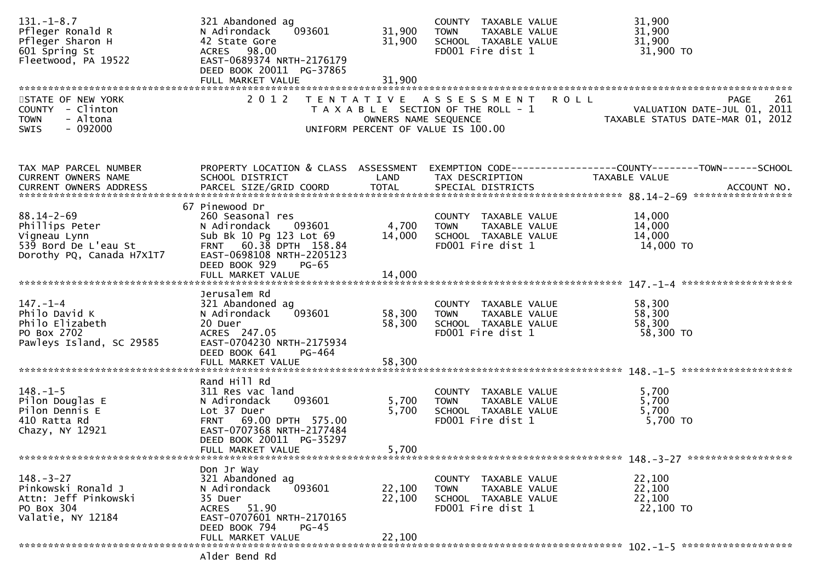| $131. - 1 - 8.7$<br>Pfleger Ronald R<br>Pfleger Sharon H<br>601 Spring St<br>Fleetwood, PA 19522        | 321 Abandoned ag<br>093601<br>N Adirondack<br>42 State Gore<br>ACRES 98.00<br>EAST-0689374 NRTH-2176179<br>DEED BOOK 20011 PG-37865<br>FULL MARKET VALUE                   | 31,900<br>31,900<br>31,900 | COUNTY TAXABLE VALUE<br>TAXABLE VALUE<br><b>TOWN</b><br>SCHOOL TAXABLE VALUE<br>FD001 Fire dist 1                  | 31,900<br>31,900<br>31,900<br>31,900 TO                                                                                                                                                                                                                                                      |
|---------------------------------------------------------------------------------------------------------|----------------------------------------------------------------------------------------------------------------------------------------------------------------------------|----------------------------|--------------------------------------------------------------------------------------------------------------------|----------------------------------------------------------------------------------------------------------------------------------------------------------------------------------------------------------------------------------------------------------------------------------------------|
| STATE OF NEW YORK<br>COUNTY - Clinton<br><b>TOWN</b><br>- Altona<br><b>SWIS</b><br>- 092000             | 2 0 1 2                                                                                                                                                                    | OWNERS NAME SEQUENCE       | TENTATIVE ASSESSMENT<br><b>ROLL</b><br>T A X A B L E SECTION OF THE ROLL - 1<br>UNIFORM PERCENT OF VALUE IS 100.00 | 261<br><b>PAGE</b><br>- 1<br>VALUATION DATE-JUL 01, 2011<br>TAXABLE STATUS DATE-MAR 01, 2012                                                                                                                                                                                                 |
| TAX MAP PARCEL NUMBER<br>CURRENT OWNERS NAME                                                            | PROPERTY LOCATION & CLASS ASSESSMENT<br>SCHOOL DISTRICT                                                                                                                    | LAND                       | TAX DESCRIPTION                                                                                                    | EXEMPTION CODE-----------------COUNTY--------TOWN------SCHOOL<br>TAXABLE VALUE<br>-CURRENT OWNERS ADDRESS PARCEL SIZE/GRID COORD TOTAL SPECIAL DISTRICTS AND MONERS ADDRESS PARCEL SIZE/GRID COORD TOTAL SPECIAL DISTRICTS AND MONERS ADDRESS PARCEL SIZE/GRID COORD TOTAL SPECIAL DISTRICTS |
| $88.14 - 2 - 69$<br>Phillips Peter<br>Vigneau Lynn<br>539 Bord De L'eau St<br>Dorothy PQ, Canada H7X1T7 | 67 Pinewood Dr<br>260 Seasonal res<br>N Adirondack<br>093601<br>Sub Bk 10 Pg 123 Lot 69<br>FRNT 60.38 DPTH 158.84<br>EAST-0698108 NRTH-2205123<br>DEED BOOK 929<br>$PG-65$ | 4,700<br>14,000            | COUNTY TAXABLE VALUE<br><b>TOWN</b><br>TAXABLE VALUE<br>SCHOOL TAXABLE VALUE<br>FD001 Fire dist 1                  | 14,000<br>14,000<br>14,000<br>14,000 TO                                                                                                                                                                                                                                                      |
|                                                                                                         |                                                                                                                                                                            |                            |                                                                                                                    |                                                                                                                                                                                                                                                                                              |
| $147. - 1 - 4$<br>Philo David K<br>Philo Elizabeth<br>PO Box 2702<br>Pawleys Island, SC 29585           | Jerusalem Rd<br>321 Abandoned ag<br>093601<br>N Adirondack<br>20 Duer<br>ACRES 247.05<br>EAST-0704230 NRTH-2175934<br>DEED BOOK 641<br>PG-464                              | 58,300<br>58,300           | COUNTY TAXABLE VALUE<br><b>TOWN</b><br>TAXABLE VALUE<br>SCHOOL TAXABLE VALUE<br>FD001 Fire dist 1                  | 58,300<br>58,300<br>58,300<br>58,300 TO                                                                                                                                                                                                                                                      |
|                                                                                                         |                                                                                                                                                                            |                            |                                                                                                                    |                                                                                                                                                                                                                                                                                              |
| $148. - 1 - 5$<br>Pilon Douglas E<br>Pilon Dennis E<br>410 Ratta Rd<br>Chazy, NY 12921                  | Rand Hill Rd<br>311 Res vac land<br>093601<br>N Adirondack<br>Lot 37 Duer<br>FRNT 69.00 DPTH 575.00<br>EAST-0707368 NRTH-2177484<br>DEED BOOK 20011 PG-35297               | 5,700<br>5,700             | COUNTY TAXABLE VALUE<br>TAXABLE VALUE<br><b>TOWN</b><br>SCHOOL TAXABLE VALUE<br>FD001 Fire dist 1                  | 5,700<br>5,700<br>5,700<br>5,700 TO                                                                                                                                                                                                                                                          |
|                                                                                                         | FULL MARKET VALUE                                                                                                                                                          | 5,700                      |                                                                                                                    |                                                                                                                                                                                                                                                                                              |
|                                                                                                         | Don Jr Way                                                                                                                                                                 |                            |                                                                                                                    |                                                                                                                                                                                                                                                                                              |
| $148. - 3 - 27$<br>Pinkowski Ronald J<br>Attn: Jeff Pinkowski<br>PO Box 304<br>Valatie, NY 12184        | 321 Abandoned ag<br>N Adirondack<br>093601<br>35 Duer<br>ACRES 51.90<br>EAST-0707601 NRTH-2170165<br>DEED BOOK 794<br><b>PG-45</b>                                         | 22,100<br>22,100           | COUNTY TAXABLE VALUE<br>TAXABLE VALUE<br><b>TOWN</b><br>SCHOOL TAXABLE VALUE<br>FD001 Fire dist 1                  | 22,100<br>22,100<br>22,100<br>22,100 TO                                                                                                                                                                                                                                                      |
|                                                                                                         | FULL MARKET VALUE<br>Alder Bend Rd                                                                                                                                         | 22,100                     |                                                                                                                    |                                                                                                                                                                                                                                                                                              |
|                                                                                                         |                                                                                                                                                                            |                            |                                                                                                                    |                                                                                                                                                                                                                                                                                              |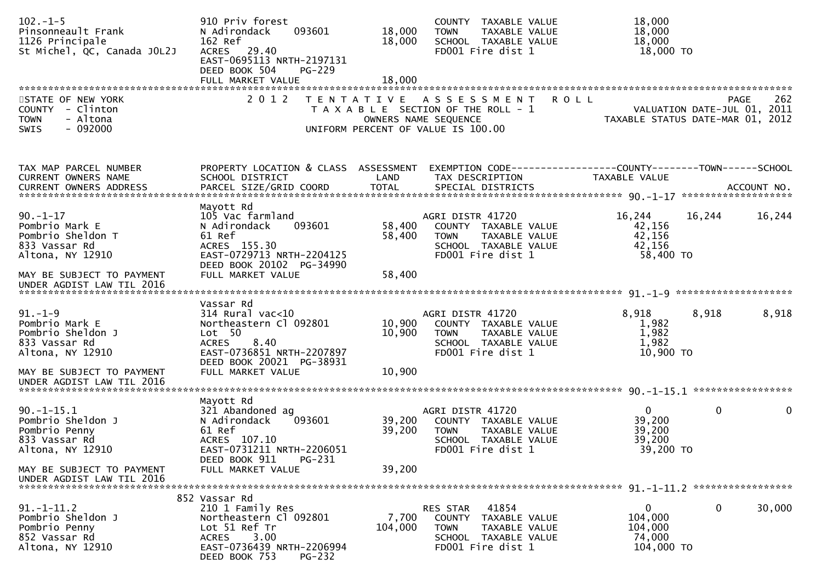| $102 - 1 - 5$<br>Pinsonneault Frank<br>1126 Principale<br>St Michel, QC, Canada JOL2J                                                               | 910 Priv forest<br>093601<br>N Adirondack<br>162 Ref<br>ACRES 29.40<br>EAST-0695113 NRTH-2197131<br>DEED BOOK 504<br><b>PG-229</b>                                        | 18,000<br>18,000           | COUNTY TAXABLE VALUE<br>TAXABLE VALUE<br><b>TOWN</b><br>SCHOOL TAXABLE VALUE<br>FD001 Fire dist 1                                          | 18,000<br>18,000<br>18,000<br>18,000 TO                                                                        |             |
|-----------------------------------------------------------------------------------------------------------------------------------------------------|---------------------------------------------------------------------------------------------------------------------------------------------------------------------------|----------------------------|--------------------------------------------------------------------------------------------------------------------------------------------|----------------------------------------------------------------------------------------------------------------|-------------|
| STATE OF NEW YORK<br>COUNTY - Clinton<br>- Altona<br><b>TOWN</b><br>SWIS<br>$-092000$                                                               | 2 0 1 2                                                                                                                                                                   |                            | TENTATIVE ASSESSMENT<br><b>ROLL</b><br>T A X A B L E SECTION OF THE ROLL - 1<br>OWNERS NAME SEQUENCE<br>UNIFORM PERCENT OF VALUE IS 100.00 | PAGE<br>262<br>VALUATION DATE-JUL 01, 2011<br>TAXARIF STATUS DATE 115 2011<br>TAXABLE STATUS DATE-MAR 01, 2012 | 262         |
| TAX MAP PARCEL NUMBER<br>CURRENT OWNERS NAME                                                                                                        | PROPERTY LOCATION & CLASS ASSESSMENT<br>SCHOOL DISTRICT                                                                                                                   | LAND                       | TAX DESCRIPTION                                                                                                                            | TAXABLE VALUE                                                                                                  |             |
| $90. - 1 - 17$<br>Pombrio Mark E<br>Pombrio Sheldon T<br>833 Vassar Rd<br>Altona, NY 12910                                                          | Mayott Rd<br>105 Vac farmland<br>N Adirondack<br>093601<br>61 Ref<br>ACRES 155.30<br>EAST-0729713 NRTH-2204125<br>DEED BOOK 20102 PG-34990                                | 58,400<br>58,400           | AGRI DISTR 41720<br>COUNTY TAXABLE VALUE<br>TAXABLE VALUE<br><b>TOWN</b><br>SCHOOL TAXABLE VALUE<br>FD001 Fire dist 1                      | 16,244<br>16,244<br>42,156<br>42,156<br>42,156<br>58,400 TO                                                    | 16,244      |
| MAY BE SUBJECT TO PAYMENT<br>UNDER AGDIST LAW TIL 2016                                                                                              | FULL MARKET VALUE                                                                                                                                                         | 58,400                     |                                                                                                                                            |                                                                                                                |             |
| $91. - 1 - 9$<br>Pombrio Mark E<br>Pombrio Sheldon J<br>833 Vassar Rd<br>Altona, NY 12910<br>MAY BE SUBJECT TO PAYMENT<br>UNDER AGDIST LAW TIL 2016 | Vassar Rd<br>$314$ Rural vac<10<br>Northeastern Cl 092801<br>Lot 50<br>8.40<br><b>ACRES</b><br>EAST-0736851 NRTH-2207897<br>DEED BOOK 20021 PG-38931<br>FULL MARKET VALUE | 10,900<br>10,900<br>10,900 | AGRI DISTR 41720<br>COUNTY TAXABLE VALUE<br><b>TOWN</b><br>TAXABLE VALUE<br>SCHOOL TAXABLE VALUE<br>FD001 Fire dist 1                      | 8,918<br>8,918<br>1,982<br>1,982<br>1,982<br>10,900 TO                                                         | 8,918       |
|                                                                                                                                                     |                                                                                                                                                                           |                            |                                                                                                                                            |                                                                                                                |             |
| $90. -1 - 15.1$<br>Pombrio Sheldon J<br>Pombrio Penny<br>833 Vassar Rd<br>Altona, NY 12910                                                          | Mayott Rd<br>321 Abandoned ag<br>093601<br>N Adirondack<br>61 Ref<br>ACRES 107.10<br>EAST-0731211 NRTH-2206051<br>PG-231                                                  | 39,200<br>39,200           | AGRI DISTR 41720<br>COUNTY TAXABLE VALUE<br><b>TOWN</b><br>TAXABLE VALUE<br>SCHOOL TAXABLE VALUE<br>FD001 Fire dist 1                      | $\mathbf 0$<br>$\mathbf{0}$<br>39,200<br>39,200<br>39,200<br>39,200 TO                                         | $\mathbf 0$ |
| MAY BE SUBJECT TO PAYMENT<br>UNDER AGDIST LAW TIL 2016                                                                                              | DEED BOOK 911<br>FULL MARKET VALUE                                                                                                                                        | 39,200                     |                                                                                                                                            |                                                                                                                |             |
| $91. - 1 - 11.2$<br>Pombrio Sheldon J<br>Pombrio Penny<br>852 Vassar Rd<br>Altona, NY 12910                                                         | 852 Vassar Rd<br>210 1 Family Res<br>Northeastern Cl 092801<br>Lot 51 Ref Tr<br><b>ACRES</b><br>3.00<br>EAST-0736439 NRTH-2206994<br>DEED BOOK 753<br><b>PG-232</b>       | 7,700<br>104,000           | RES STAR<br>41854<br>COUNTY TAXABLE VALUE<br><b>TOWN</b><br>TAXABLE VALUE<br>SCHOOL TAXABLE VALUE<br>FD001 Fire dist 1                     | $\mathbf 0$<br>$\overline{0}$<br>104,000<br>104,000<br>74,000<br>104,000 TO                                    | 30,000      |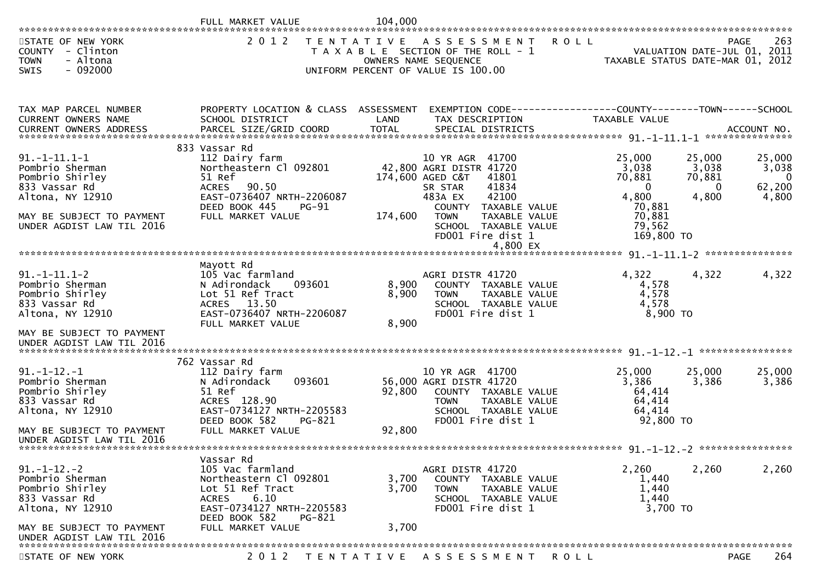|                                                                                                                                                          | FULL MARKET VALUE                                                                                                                                                          | 104,000                 |                                                                                                                                                                                                                         |                                                                                                  |                                                |                                                   |
|----------------------------------------------------------------------------------------------------------------------------------------------------------|----------------------------------------------------------------------------------------------------------------------------------------------------------------------------|-------------------------|-------------------------------------------------------------------------------------------------------------------------------------------------------------------------------------------------------------------------|--------------------------------------------------------------------------------------------------|------------------------------------------------|---------------------------------------------------|
| STATE OF NEW YORK<br>COUNTY - Clinton<br><b>TOWN</b><br>- Altona<br>$-092000$<br><b>SWIS</b>                                                             | 2 0 1 2                                                                                                                                                                    | T E N T A T I V E       | A S S E S S M E N T<br>T A X A B L E SECTION OF THE ROLL - 1<br>OWNERS NAME SEQUENCE<br>UNIFORM PERCENT OF VALUE IS 100.00                                                                                              | <b>ROLL</b><br>TAXABLE STATUS DATE-MAR 01, 2012                                                  |                                                | 263<br><b>PAGE</b><br>VALUATION DATE-JUL 01, 2011 |
| TAX MAP PARCEL NUMBER<br>CURRENT OWNERS NAME                                                                                                             | PROPERTY LOCATION & CLASS ASSESSMENT<br>SCHOOL DISTRICT                                                                                                                    | LAND                    | EXEMPTION CODE-----------------COUNTY-------TOWN------SCHOOL<br>TAX DESCRIPTION                                                                                                                                         | TAXABLE VALUE                                                                                    |                                                |                                                   |
| $91. -1 - 11.1 - 1$<br>Pombrio Sherman<br>Pombrio Shirley<br>833 Vassar Rd<br>Altona, NY 12910<br>MAY BE SUBJECT TO PAYMENT<br>UNDER AGDIST LAW TIL 2016 | 833 Vassar Rd<br>112 Dairy farm<br>Northeastern Cl 092801<br>51 Ref<br>90.50<br><b>ACRES</b><br>EAST-0736407 NRTH-2206087<br>DEED BOOK 445<br>$PG-91$<br>FULL MARKET VALUE | 174,600                 | 10 YR AGR 41700<br>42,800 AGRI DISTR 41720<br>174,600 AGED C&T<br>41801<br>41834<br>SR STAR<br>42100<br>483A EX<br>COUNTY<br>TAXABLE VALUE<br><b>TOWN</b><br>TAXABLE VALUE<br>SCHOOL TAXABLE VALUE<br>FD001 Fire dist 1 | 25,000<br>3,038<br>70,881<br>$\overline{0}$<br>4,800<br>70,881<br>70,881<br>79,562<br>169,800 TO | 25,000<br>3,038<br>70,881<br>$\Omega$<br>4,800 | 25,000<br>3,038<br>-0<br>62,200<br>4,800          |
|                                                                                                                                                          | Mayott Rd                                                                                                                                                                  |                         |                                                                                                                                                                                                                         |                                                                                                  |                                                |                                                   |
| $91. -1 - 11.1 - 2$<br>Pombrio Sherman<br>Pombrio Shirley<br>833 Vassar Rd<br>Altona, NY 12910<br>MAY BE SUBJECT TO PAYMENT<br>UNDER AGDIST LAW TIL 2016 | 105 Vac farmland<br>093601<br>N Adirondack<br>Lot 51 Ref Tract<br>ACRES 13.50<br>EAST-0736407 NRTH-2206087<br>FULL MARKET VALUE                                            | 8,900<br>8,900<br>8,900 | AGRI DISTR 41720<br>COUNTY TAXABLE VALUE<br>TAXABLE VALUE<br><b>TOWN</b><br>SCHOOL TAXABLE VALUE<br>FD001 Fire dist 1                                                                                                   | 4,322<br>4,578<br>4,578<br>4,578<br>8,900 TO                                                     | 4,322                                          | 4,322                                             |
|                                                                                                                                                          | 762 Vassar Rd                                                                                                                                                              |                         |                                                                                                                                                                                                                         |                                                                                                  |                                                |                                                   |
| $91. -1 - 12. -1$<br>Pombrio Sherman<br>Pombrio Shirley<br>833 Vassar Rd<br>Altona, NY 12910<br>MAY BE SUBJECT TO PAYMENT                                | 112 Dairy farm<br>093601<br>N Adirondack<br>51 Ref<br>ACRES 128.90<br>EAST-0734127 NRTH-2205583<br>DEED BOOK 582<br>PG-821<br>FULL MARKET VALUE                            | 92,800<br>92,800        | 10 YR AGR 41700<br>56,000 AGRI DISTR 41720<br>COUNTY TAXABLE VALUE<br><b>TOWN</b><br>TAXABLE VALUE<br>SCHOOL TAXABLE VALUE<br>FD001 Fire dist 1                                                                         | 25,000<br>3,386<br>64,414<br>64,414<br>64,414<br>92,800 TO                                       | 25,000<br>3,386                                | 25,000<br>3,386                                   |
| UNDER AGDIST LAW TIL 2016                                                                                                                                |                                                                                                                                                                            |                         |                                                                                                                                                                                                                         |                                                                                                  |                                                |                                                   |
| $91. - 1 - 12. - 2$<br>Pombrio Sherman<br>Pombrio Shirley<br>833 Vassar Rd<br>Altona, NY 12910                                                           | Vassar Rd<br>105 Vac farmland<br>Northeastern Cl 092801<br>Lot 51 Ref Tract<br>6.10<br><b>ACRES</b><br>EAST-0734127 NRTH-2205583<br>DEED BOOK 582<br>PG-821                | 3,700<br>3,700          | AGRI DISTR 41720<br>COUNTY TAXABLE VALUE<br><b>TOWN</b><br>TAXABLE VALUE<br>SCHOOL TAXABLE VALUE<br>FD001 Fire dist 1                                                                                                   | 2,260<br>1,440<br>1,440<br>1,440<br>3,700 TO                                                     | 2,260                                          | 2,260                                             |
| MAY BE SUBJECT TO PAYMENT<br>UNDER AGDIST LAW TIL 2016                                                                                                   | FULL MARKET VALUE                                                                                                                                                          | 3,700                   |                                                                                                                                                                                                                         |                                                                                                  |                                                |                                                   |
| STATE OF NEW YORK                                                                                                                                        |                                                                                                                                                                            |                         | 2012 TENTATIVE ASSESSMENT                                                                                                                                                                                               | <b>ROLL</b>                                                                                      |                                                | 264<br>PAGE                                       |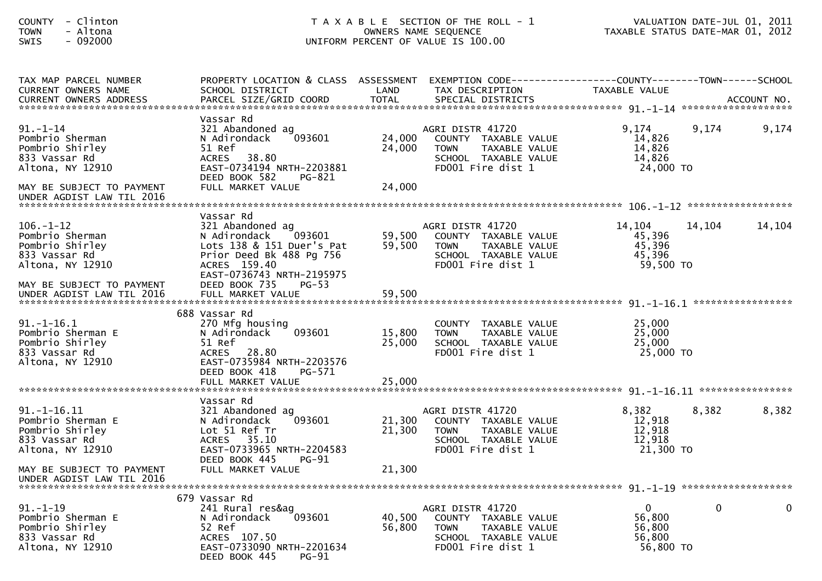| - Clinton<br><b>COUNTY</b><br>- Altona<br><b>TOWN</b><br>$-092000$<br>SWIS                                              | T A X A B L E SECTION OF THE ROLL - 1<br>OWNERS NAME SEQUENCE<br>UNIFORM PERCENT OF VALUE IS 100.00                                                                                                      |                            |                                                                                                                       | TAXABLE STATUS DATE-MAR 01, 2012                          | VALUATION DATE-JUL 01, 2011 |             |
|-------------------------------------------------------------------------------------------------------------------------|----------------------------------------------------------------------------------------------------------------------------------------------------------------------------------------------------------|----------------------------|-----------------------------------------------------------------------------------------------------------------------|-----------------------------------------------------------|-----------------------------|-------------|
| TAX MAP PARCEL NUMBER<br>CURRENT OWNERS NAME                                                                            | PROPERTY LOCATION & CLASS ASSESSMENT<br>SCHOOL DISTRICT                                                                                                                                                  | LAND                       | EXEMPTION CODE------------------COUNTY--------TOWN------SCHOOL<br>TAX DESCRIPTION                                     | TAXABLE VALUE                                             |                             |             |
| $91 - 1 - 14$<br>Pombrio Sherman<br>Pombrio Shirley<br>833 Vassar Rd<br>Altona, NY 12910<br>MAY BE SUBJECT TO PAYMENT   | Vassar Rd<br>321 Abandoned ag<br>093601<br>N Adirondack<br>51 Ref<br>38.80<br><b>ACRES</b><br>EAST-0734194 NRTH-2203881<br>DEED BOOK 582<br>PG-821<br>FULL MARKET VALUE                                  | 24,000<br>24,000<br>24,000 | AGRI DISTR 41720<br>COUNTY TAXABLE VALUE<br><b>TOWN</b><br>TAXABLE VALUE<br>SCHOOL TAXABLE VALUE<br>FD001 Fire dist 1 | 9,174<br>14,826<br>14,826<br>14,826<br>24,000 TO          | 9,174                       | 9,174       |
| UNDER AGDIST LAW TIL 2016                                                                                               |                                                                                                                                                                                                          |                            |                                                                                                                       |                                                           |                             |             |
| $106. - 1 - 12$<br>Pombrio Sherman<br>Pombrio Shirley<br>833 Vassar Rd<br>Altona, NY 12910<br>MAY BE SUBJECT TO PAYMENT | Vassar Rd<br>321 Abandoned ag<br>$\left[093601\right]$<br>N Adirondack<br>Lots 138 & 151 Duer's Pat<br>Prior Deed Bk 488 Pg 756<br>ACRES 159.40<br>EAST-0736743 NRTH-2195975<br>DEED BOOK 735<br>$PG-53$ | 59,500<br>59,500           | AGRI DISTR 41720<br>COUNTY TAXABLE VALUE<br><b>TOWN</b><br>TAXABLE VALUE<br>SCHOOL TAXABLE VALUE<br>FD001 Fire dist 1 | 14,104<br>45,396<br>45,396<br>45,396<br>59,500 TO         | 14,104                      | 14,104      |
|                                                                                                                         |                                                                                                                                                                                                          |                            |                                                                                                                       |                                                           |                             |             |
| $91.-1-16.1$<br>Pombrio Sherman E<br>Pombrio Shirley<br>833 Vassar Rd<br>Altona, NY 12910                               | 688 Vassar Rd<br>270 Mfg housing<br>093601<br>N Adirondack<br>51 Ref<br>ACRES 28.80<br>EAST-0735984 NRTH-2203576<br>DEED BOOK 418<br>PG-571                                                              | 15,800<br>25,000           | COUNTY TAXABLE VALUE<br>TAXABLE VALUE<br><b>TOWN</b><br>SCHOOL TAXABLE VALUE<br>FD001 Fire dist 1                     | 25,000<br>25,000<br>25,000<br>25,000 TO                   |                             |             |
|                                                                                                                         | Vassar Rd                                                                                                                                                                                                |                            |                                                                                                                       |                                                           |                             |             |
| $91.-1-16.11$<br>Pombrio Sherman E<br>Pombrio Shirley<br>833 Vassar Rd<br>Altona, NY 12910                              | 321 Abandoned ag<br>093601<br>N Adirondack<br>Lot 51 Ref Tr<br>ACRES 35.10<br>EAST-0733965 NRTH-2204583                                                                                                  | 21,300<br>21,300           | AGRI DISTR 41720<br>COUNTY TAXABLE VALUE<br>TAXABLE VALUE<br><b>TOWN</b><br>SCHOOL TAXABLE VALUE<br>FD001 Fire dist 1 | 8,382<br>12,918<br>12,918<br>12,918<br>21,300 TO          | 8,382                       | 8,382       |
| MAY BE SUBJECT TO PAYMENT<br>UNDER AGDIST LAW TIL 2016                                                                  | <b>PG-91</b><br>DEED BOOK 445<br>FULL MARKET VALUE                                                                                                                                                       | 21,300                     |                                                                                                                       |                                                           |                             |             |
| $91. - 1 - 19$<br>Pombrio Sherman E<br>Pombrio Shirley<br>833 Vassar Rd<br>Altona, NY 12910                             | 679 Vassar Rd<br>241 Rural res&ag<br>N Adirondack<br>093601<br>52 Ref<br>ACRES 107.50<br>EAST-0733090 NRTH-2201634<br>DEED BOOK 445<br><b>PG-91</b>                                                      | 40,500<br>56,800           | AGRI DISTR 41720<br>COUNTY TAXABLE VALUE<br><b>TOWN</b><br>TAXABLE VALUE<br>SCHOOL TAXABLE VALUE<br>FD001 Fire dist 1 | $\overline{0}$<br>56,800<br>56,800<br>56,800<br>56,800 TO | $\mathbf 0$                 | $\mathbf 0$ |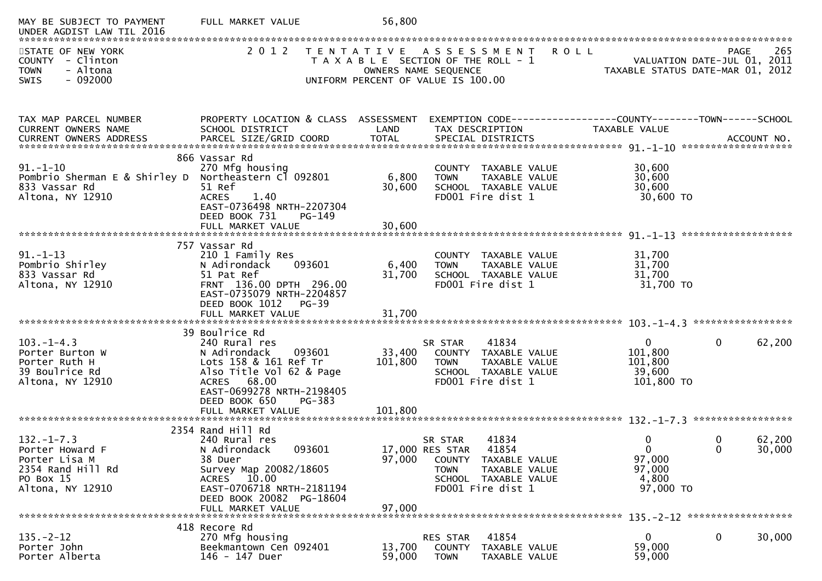| MAY BE SUBJECT TO PAYMENT<br>UNDER AGDIST LAW TIL 2016                                                     | FULL MARKET VALUE                                                                                                                                                                              | 56,800            |                                                                                                                                                   |                                                            |                                                                                       |
|------------------------------------------------------------------------------------------------------------|------------------------------------------------------------------------------------------------------------------------------------------------------------------------------------------------|-------------------|---------------------------------------------------------------------------------------------------------------------------------------------------|------------------------------------------------------------|---------------------------------------------------------------------------------------|
| STATE OF NEW YORK<br>COUNTY - Clinton<br><b>TOWN</b><br>- Altona<br>$-092000$<br><b>SWIS</b>               | 2 0 1 2<br>T E N T A T I V E                                                                                                                                                                   |                   | A S S E S S M E N T<br>T A X A B L E SECTION OF THE ROLL - 1<br>OWNERS NAME SEQUENCE<br>UNIFORM PERCENT OF VALUE IS 100.00                        | <b>ROLL</b>                                                | 265<br><b>PAGE</b><br>VALUATION DATE-JUL 01, 2011<br>TAXABLE STATUS DATE-MAR 01, 2012 |
| TAX MAP PARCEL NUMBER                                                                                      | PROPERTY LOCATION & CLASS ASSESSMENT                                                                                                                                                           |                   |                                                                                                                                                   |                                                            |                                                                                       |
| <b>CURRENT OWNERS NAME</b>                                                                                 | SCHOOL DISTRICT                                                                                                                                                                                | LAND              | TAX DESCRIPTION                                                                                                                                   | TAXABLE VALUE                                              |                                                                                       |
| $91. - 1 - 10$<br>Pombrio Sherman E & Shirley D<br>833 Vassar Rd<br>Altona, NY 12910                       | 866 Vassar Rd<br>270 Mfg housing<br>Northeastern Cl 092801<br>51 Ref<br>1.40<br><b>ACRES</b><br>EAST-0736498 NRTH-2207304<br>DEED BOOK 731<br>PG-149                                           | 6,800<br>30,600   | COUNTY TAXABLE VALUE<br><b>TOWN</b><br>TAXABLE VALUE<br>SCHOOL TAXABLE VALUE<br>FD001 Fire dist 1                                                 | 30,600<br>30,600<br>30,600<br>30,600 TO                    |                                                                                       |
|                                                                                                            |                                                                                                                                                                                                |                   |                                                                                                                                                   |                                                            |                                                                                       |
| $91. - 1 - 13$<br>Pombrio Shirley<br>833 Vassar Rd<br>Altona, NY 12910                                     | 757 Vassar Rd<br>210 1 Family Res<br>093601<br>N Adirondack<br>51 Pat Ref<br>FRNT 136.00 DPTH 296.00<br>EAST-0735079 NRTH-2204857<br>DEED BOOK 1012<br>PG-39                                   | 6,400<br>31,700   | COUNTY TAXABLE VALUE<br>TAXABLE VALUE<br><b>TOWN</b><br>SCHOOL TAXABLE VALUE<br>FD001 Fire dist 1                                                 | 31,700<br>31,700<br>31,700<br>31,700 TO                    |                                                                                       |
|                                                                                                            |                                                                                                                                                                                                |                   |                                                                                                                                                   |                                                            |                                                                                       |
| $103. -1 - 4.3$<br>Porter Burton W<br>Porter Ruth H<br>39 Boulrice Rd<br>Altona, NY 12910                  | 39 Boulrice Rd<br>240 Rural res<br>N Adirondack<br>093601<br>Lots 158 & 161 Ref Tr<br>Also Title Vol 62 & Page<br>ACRES 68.00<br>EAST-0699278 NRTH-2198405<br>DEED BOOK 650<br>PG-383          | 33,400<br>101,800 | 41834<br>SR STAR<br>COUNTY TAXABLE VALUE<br><b>TOWN</b><br>TAXABLE VALUE<br>SCHOOL TAXABLE VALUE<br>FD001 Fire dist 1                             | $\mathbf{0}$<br>101,800<br>101,800<br>39,600<br>101,800 TO | $\mathbf 0$<br>62,200                                                                 |
|                                                                                                            | FULL MARKET VALUE                                                                                                                                                                              | 101,800           |                                                                                                                                                   |                                                            |                                                                                       |
| $132. - 1 - 7.3$<br>Porter Howard F<br>Porter Lisa M<br>2354 Rand Hill Rd<br>PO Box 15<br>Altona, NY 12910 | 2354 Rand Hill Rd<br>240 Rural res<br>093601<br>N Adirondack<br>38 Duer<br>Survey Map 20082/18605<br>ACRES 10.00<br>EAST-0706718 NRTH-2181194<br>DEED BOOK 20082 PG-18604<br>FULL MARKET VALUE | 97,000<br>97,000  | SR STAR<br>41834<br>17,000 RES STAR<br>41854<br>COUNTY TAXABLE VALUE<br><b>TOWN</b><br>TAXABLE VALUE<br>SCHOOL TAXABLE VALUE<br>FD001 Fire dist 1 | 0<br>$\Omega$<br>97,000<br>97,000<br>4,800<br>97,000 TO    | 62,200<br>0<br>$\Omega$<br>30,000                                                     |
|                                                                                                            | 418 Recore Rd                                                                                                                                                                                  |                   |                                                                                                                                                   |                                                            |                                                                                       |
| $135. - 2 - 12$<br>Porter John<br>Porter Alberta                                                           | 270 Mfg housing<br>Beekmantown Cen 092401<br>146 - 147 Duer                                                                                                                                    | 13,700<br>59,000  | 41854<br>RES STAR<br>COUNTY<br>TAXABLE VALUE<br><b>TOWN</b><br>TAXABLE VALUE                                                                      | $\mathbf{0}$<br>59,000<br>59,000                           | $\mathbf 0$<br>30,000                                                                 |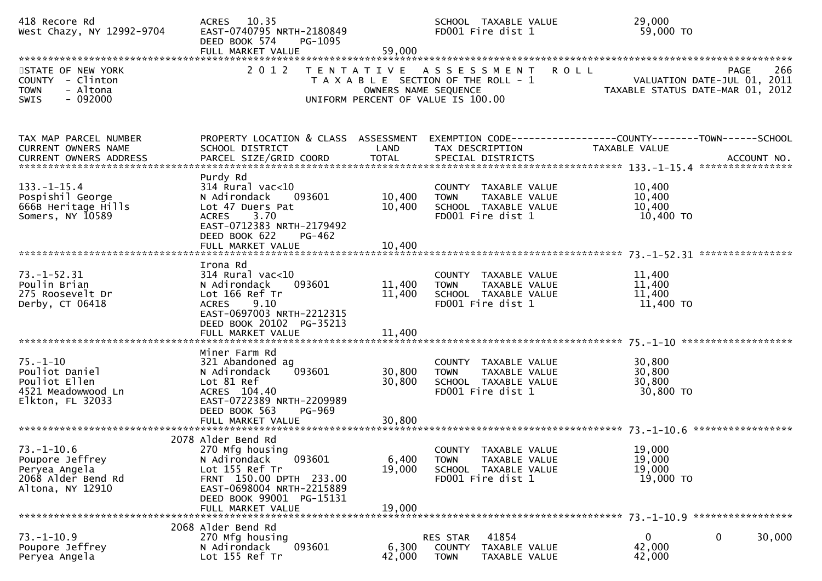| 418 Recore Rd<br>West Chazy, NY 12992-9704                                                   | ACRES 10.35<br>EAST-0740795 NRTH-2180849<br>DEED BOOK 574<br>PG-1095<br>FULL MARKET VALUE                                                                                                  | 59,000                     | SCHOOL TAXABLE VALUE<br>FD001 Fire dist 1                                                           | 29,000<br>59,000 TO                                                                                  |
|----------------------------------------------------------------------------------------------|--------------------------------------------------------------------------------------------------------------------------------------------------------------------------------------------|----------------------------|-----------------------------------------------------------------------------------------------------|------------------------------------------------------------------------------------------------------|
| STATE OF NEW YORK<br>COUNTY - Clinton<br>- Altona<br><b>TOWN</b><br>$-092000$<br><b>SWIS</b> | 2 0 1 2                                                                                                                                                                                    | OWNERS NAME SEQUENCE       | TENTATIVE ASSESSMENT<br>T A X A B L E SECTION OF THE ROLL - 1<br>UNIFORM PERCENT OF VALUE IS 100.00 | 266<br><b>ROLL</b><br><b>PAGE</b><br>VALUATION DATE-JUL 01, 2011<br>TAXABLE STATUS DATE-MAR 01, 2012 |
| TAX MAP PARCEL NUMBER<br><b>CURRENT OWNERS NAME</b><br><b>CURRENT OWNERS ADDRESS</b>         | PROPERTY LOCATION & CLASS ASSESSMENT<br>SCHOOL DISTRICT<br>PARCEL SIZE/GRID COORD                                                                                                          | LAND<br><b>TOTAL</b>       | TAX DESCRIPTION<br>SPECIAL DISTRICTS                                                                | EXEMPTION CODE-----------------COUNTY-------TOWN------SCHOOL<br><b>TAXABLE VALUE</b><br>ACCOUNT NO.  |
| $133. - 1 - 15.4$<br>Pospishil George<br>666B Heritage Hills<br>Somers, NY 10589             | Purdy Rd<br>314 Rural vac<10<br>N Adirondack<br>093601<br>Lot 47 Duers Pat<br>3.70<br><b>ACRES</b><br>EAST-0712383 NRTH-2179492<br>DEED BOOK 622<br>PG-462                                 | 10,400<br>10,400           | COUNTY TAXABLE VALUE<br>TAXABLE VALUE<br><b>TOWN</b><br>SCHOOL TAXABLE VALUE<br>FD001 Fire dist 1   | 10,400<br>10,400<br>10,400<br>10,400 TO                                                              |
| $73. - 1 - 52.31$<br>Poulin Brian<br>275 Roosevelt Dr<br>Derby, CT 06418                     | Irona Rd<br>$314$ Rural vac<10<br>093601<br>N Adirondack<br>Lot 166 Ref Tr<br><b>ACRES</b><br>9.10<br>EAST-0697003 NRTH-2212315<br>DEED BOOK 20102 PG-35213<br>FULL MARKET VALUE           | 11,400<br>11,400<br>11,400 | COUNTY TAXABLE VALUE<br>TAXABLE VALUE<br><b>TOWN</b><br>SCHOOL TAXABLE VALUE<br>FD001 Fire dist 1   | 11,400<br>11,400<br>11,400<br>11,400 TO                                                              |
| $75. - 1 - 10$<br>Pouliot Daniel<br>Pouliot Ellen<br>4521 Meadowwood Ln<br>Elkton, FL 32033  | Miner Farm Rd<br>321 Abandoned ag<br>093601<br>N Adirondack<br>Lot 81 Ref<br>ACRES 104.40<br>EAST-0722389 NRTH-2209989<br>DEED BOOK 563<br>PG-969<br>FULL MARKET VALUE                     | 30,800<br>30,800<br>30,800 | COUNTY TAXABLE VALUE<br>TAXABLE VALUE<br><b>TOWN</b><br>SCHOOL TAXABLE VALUE<br>FD001 Fire dist 1   | 30,800<br>30,800<br>30,800<br>30,800 TO                                                              |
| $73.-1-10.6$<br>Poupore Jeffrey<br>Peryea Angela<br>2068 Alder Bend Rd<br>Altona, NY 12910   | 2078 Alder Bend Rd<br>270 Mfg housing<br>093601<br>N Adirondack<br>Lot 155 Ref Tr<br>FRNT 150.00 DPTH 233.00<br>EAST-0698004 NRTH-2215889<br>DEED BOOK 99001 PG-15131<br>FULL MARKET VALUE | 6,400<br>19,000<br>19,000  | COUNTY TAXABLE VALUE<br>TAXABLE VALUE<br><b>TOWN</b><br>SCHOOL TAXABLE VALUE<br>FD001 Fire dist 1   | 19,000<br>19,000<br>19,000<br>19,000 TO                                                              |
| $73. - 1 - 10.9$<br>Poupore Jeffrey<br>Peryea Angela                                         | 2068 Alder Bend Rd<br>270 Mfg housing<br>093601<br>N Adirondack<br>Lot 155 Ref Tr                                                                                                          | 6,300<br>42,000            | 41854<br>RES STAR<br><b>COUNTY</b><br>TAXABLE VALUE<br><b>TOWN</b><br>TAXABLE VALUE                 | 0<br>0<br>30,000<br>42,000<br>42,000                                                                 |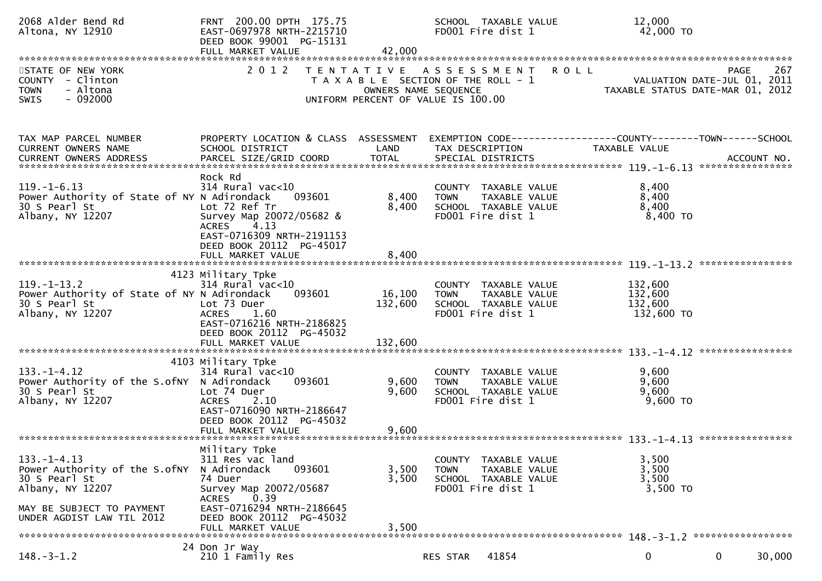| 2068 Alder Bend Rd<br>Altona, NY 12910                                                                                                                                                                                                                                                                          | FRNT 200.00 DPTH 175.75<br>EAST-0697978 NRTH-2215710<br>DEED BOOK 99001 PG-15131<br>FULL MARKET VALUE                                                                                           | 42,000                                    | SCHOOL TAXABLE VALUE<br>FD001 Fire dist 1                                                          | 12,000                        | 42,000 TO                                                                      |
|-----------------------------------------------------------------------------------------------------------------------------------------------------------------------------------------------------------------------------------------------------------------------------------------------------------------|-------------------------------------------------------------------------------------------------------------------------------------------------------------------------------------------------|-------------------------------------------|----------------------------------------------------------------------------------------------------|-------------------------------|--------------------------------------------------------------------------------|
| STATE OF NEW YORK<br>COUNTY - Clinton<br>- Altona<br><b>TOWN</b><br>$-092000$<br><b>SWIS</b>                                                                                                                                                                                                                    | 2 0 1 2                                                                                                                                                                                         | T E N T A T I V E<br>OWNERS NAME SEQUENCE | A S S E S S M E N T<br>T A X A B L E SECTION OF THE ROLL - 1<br>UNIFORM PERCENT OF VALUE IS 100.00 | <b>ROLL</b>                   | 267<br>PAGE<br>VALUATION DATE-JUL 01, 2011<br>TAXABLE STATUS DATE-MAR 01, 2012 |
| TAX MAP PARCEL NUMBER<br>CURRENT OWNERS NAME<br>.CURRENT OWNERS ADDRESS PARCEL SIZE/GRID COORD TOTAL SPECIAL DISTRICTS (ACCOUNT NO ACCOUNT NO ACCOUNT NO AND TOTAL SPECIAL DISTRICTS (2004) AND ALL AND A ART AND A A SERVER AND A A SERVER AND A SERVER AND TOTAL TO A SERVER<br><b>CURRENT OWNERS ADDRESS</b> | PROPERTY LOCATION & CLASS ASSESSMENT<br>SCHOOL DISTRICT                                                                                                                                         | LAND                                      | TAX DESCRIPTION                                                                                    | TAXABLE VALUE                 | EXEMPTION CODE------------------COUNTY--------TOWN------SCHOOL                 |
| $119. - 1 - 6.13$<br>Power Authority of State of NY N Adirondack<br>30 S Pearl St<br>Albany, NY 12207                                                                                                                                                                                                           | Rock Rd<br>$314$ Rural vac<10<br>093601<br>Lot 72 Ref Tr<br>Survey Map 20072/05682 &<br>4.13<br><b>ACRES</b><br>EAST-0716309 NRTH-2191153<br>DEED BOOK 20112 PG-45017<br>FULL MARKET VALUE      | 8,400<br>8,400<br>8,400                   | COUNTY TAXABLE VALUE<br>TAXABLE VALUE<br><b>TOWN</b><br>SCHOOL TAXABLE VALUE<br>FD001 Fire dist 1  | 8,400<br>8,400<br>8,400       | 8,400 TO                                                                       |
| $119. - 1 - 13.2$<br>Power Authority of State of NY N Adirondack<br>30 S Pearl St<br>Albany, NY 12207                                                                                                                                                                                                           | 4123 Military Tpke<br>314 Rural vac<10<br>093601<br>Lot 73 Duer<br><b>ACRES</b><br>1.60<br>EAST-0716216 NRTH-2186825<br>DEED BOOK 20112 PG-45032                                                | 16,100<br>132,600                         | COUNTY TAXABLE VALUE<br><b>TOWN</b><br>TAXABLE VALUE<br>SCHOOL TAXABLE VALUE<br>FD001 Fire dist 1  | 132,600<br>132,600<br>132,600 | 132,600 TO                                                                     |
| $133. - 1 - 4.12$<br>Power Authority of the S.ofny N Adirondack<br>30 S Pearl St<br>Albany, NY 12207                                                                                                                                                                                                            | 4103 Military Tpke<br>$314$ Rural vac<10<br>093601<br>Lot 74 Duer<br>2.10<br><b>ACRES</b><br>EAST-0716090 NRTH-2186647<br>DEED BOOK 20112 PG-45032                                              | 9,600<br>9,600                            | COUNTY TAXABLE VALUE<br>TAXABLE VALUE<br><b>TOWN</b><br>SCHOOL TAXABLE VALUE<br>FD001 Fire dist 1  | 9,600<br>9,600<br>9,600       | 9,600 TO                                                                       |
| $133. - 1 - 4.13$<br>Power Authority of the S.ofNY<br>30 S Pearl St<br>Albany, NY 12207<br>MAY BE SUBJECT TO PAYMENT<br>UNDER AGDIST LAW TIL 2012                                                                                                                                                               | Military Tpke<br>311 Res vac land<br>N Adirondack<br>093601<br>74 Duer<br>Survey Map 20072/05687<br>0.39<br>ACRES<br>EAST-0716294 NRTH-2186645<br>DEED BOOK 20112 PG-45032<br>FULL MARKET VALUE | 3,500<br>3,500<br>3,500                   | COUNTY TAXABLE VALUE<br>TAXABLE VALUE<br><b>TOWN</b><br>SCHOOL TAXABLE VALUE<br>FD001 Fire dist 1  | 3,500<br>3,500<br>3,500       | 3,500 TO                                                                       |
| $148. - 3 - 1.2$                                                                                                                                                                                                                                                                                                | 24 Don Jr Way<br>210 1 Family Res                                                                                                                                                               |                                           | 41854<br>RES STAR                                                                                  | 0                             | 30,000<br>0                                                                    |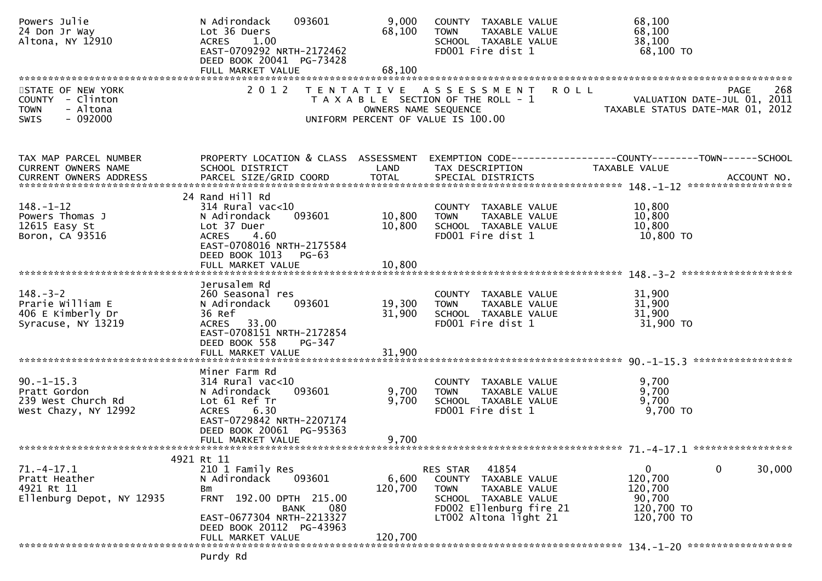| Powers Julie<br>24 Don Jr Way<br>Altona, NY 12910                                            | N Adirondack<br>093601<br>Lot 36 Duers<br><b>ACRES</b><br>1.00<br>EAST-0709292 NRTH-2172462<br>DEED BOOK 20041 PG-73428                                         | 9,000<br>68,100  | COUNTY TAXABLE VALUE<br>TAXABLE VALUE<br><b>TOWN</b><br>SCHOOL TAXABLE VALUE<br>FD001 Fire dist 1                                                        | 68,100<br>68,100<br>38,100<br>68,100 TO                                                       |
|----------------------------------------------------------------------------------------------|-----------------------------------------------------------------------------------------------------------------------------------------------------------------|------------------|----------------------------------------------------------------------------------------------------------------------------------------------------------|-----------------------------------------------------------------------------------------------|
|                                                                                              |                                                                                                                                                                 |                  |                                                                                                                                                          |                                                                                               |
| STATE OF NEW YORK<br>COUNTY - Clinton<br>- Altona<br><b>TOWN</b><br>$-092000$<br><b>SWIS</b> | 2 0 1 2                                                                                                                                                         |                  | TENTATIVE ASSESSMENT<br>T A X A B L E SECTION OF THE ROLL - 1<br>OWNERS NAME SEQUENCE<br>UNIFORM PERCENT OF VALUE IS 100.00                              | <b>ROLL</b><br>268<br>PAGE<br>VALUATION DATE-JUL 01, 2011<br>TAXABLE STATUS DATE-MAR 01, 2012 |
| TAX MAP PARCEL NUMBER<br>CURRENT OWNERS NAME                                                 | PROPERTY LOCATION & CLASS ASSESSMENT<br>SCHOOL DISTRICT                                                                                                         | LAND             | TAX DESCRIPTION                                                                                                                                          | TAXABLE VALUE                                                                                 |
|                                                                                              | 24 Rand Hill Rd                                                                                                                                                 |                  |                                                                                                                                                          |                                                                                               |
| $148. - 1 - 12$                                                                              | $314$ Rural vac<10                                                                                                                                              |                  | COUNTY TAXABLE VALUE                                                                                                                                     | 10,800                                                                                        |
| Powers Thomas J                                                                              | 093601<br>N Adirondack                                                                                                                                          | 10,800           | TAXABLE VALUE<br><b>TOWN</b>                                                                                                                             | 10,800                                                                                        |
| 12615 Easy St<br>Boron, CA 93516                                                             | Lot 37 Duer<br><b>ACRES</b><br>4.60<br>EAST-0708016 NRTH-2175584<br>DEED BOOK 1013<br><b>PG-63</b>                                                              | 10,800           | SCHOOL TAXABLE VALUE<br>FD001 Fire dist 1                                                                                                                | 10,800<br>10,800 TO                                                                           |
|                                                                                              | FULL MARKET VALUE                                                                                                                                               | 10,800           |                                                                                                                                                          |                                                                                               |
|                                                                                              |                                                                                                                                                                 |                  |                                                                                                                                                          |                                                                                               |
| $148. - 3 - 2$<br>Prarie William E<br>406 E Kimberly Dr<br>Syracuse, NY 13219                | Jerusalem Rd<br>260 Seasonal res<br>N Adirondack<br>093601<br>36 Ref<br>ACRES 33.00<br>EAST-0708151 NRTH-2172854<br>DEED BOOK 558<br>$PG-347$                   | 19,300<br>31,900 | COUNTY TAXABLE VALUE<br><b>TOWN</b><br>TAXABLE VALUE<br>SCHOOL TAXABLE VALUE<br>FD001 Fire dist 1                                                        | 31,900<br>31,900<br>31,900<br>31,900 TO                                                       |
|                                                                                              | FULL MARKET VALUE                                                                                                                                               | 31,900           |                                                                                                                                                          |                                                                                               |
|                                                                                              |                                                                                                                                                                 |                  |                                                                                                                                                          |                                                                                               |
| $90. -1 - 15.3$<br>Pratt Gordon<br>239 West Church Rd<br>West Chazy, NY 12992                | Miner Farm Rd<br>$314$ Rural vac<10<br>093601<br>N Adirondack<br>Lot 61 Ref Tr<br><b>ACRES</b><br>6.30<br>EAST-0729842 NRTH-2207174<br>DEED BOOK 20061 PG-95363 | 9,700<br>9,700   | COUNTY TAXABLE VALUE<br><b>TOWN</b><br>TAXABLE VALUE<br>SCHOOL TAXABLE VALUE<br>FD001 Fire dist 1                                                        | 9,700<br>9,700<br>9,700<br>9,700 TO                                                           |
|                                                                                              | FULL MARKET VALUE                                                                                                                                               | 9,700            |                                                                                                                                                          |                                                                                               |
|                                                                                              |                                                                                                                                                                 |                  |                                                                                                                                                          |                                                                                               |
|                                                                                              | 4921 Rt 11                                                                                                                                                      |                  |                                                                                                                                                          |                                                                                               |
| 71.-4-17.1<br>Pratt Heather<br>4921 Rt 11<br>Ellenburg Depot, NY 12935                       | 210 1 Family Res<br>N Adirondack<br>093601<br>Bm<br>FRNT 192.00 DPTH 215.00<br>080<br>BANK<br>EAST-0677304 NRTH-2213327<br>DEED BOOK 20112 PG-43963             | 6,600<br>120,700 | 41854<br>RES STAR<br>COUNTY<br>TAXABLE VALUE<br><b>TOWN</b><br>TAXABLE VALUE<br>SCHOOL TAXABLE VALUE<br>FD002 Ellenburg fire 21<br>LT002 Altona light 21 | $\mathbf 0$<br>0<br>30,000<br>120,700<br>120,700<br>90,700<br>120,700 TO<br>120,700 TO        |
|                                                                                              | FULL MARKET VALUE                                                                                                                                               | 120,700          |                                                                                                                                                          |                                                                                               |
|                                                                                              | Purdy Rd                                                                                                                                                        |                  |                                                                                                                                                          |                                                                                               |
|                                                                                              |                                                                                                                                                                 |                  |                                                                                                                                                          |                                                                                               |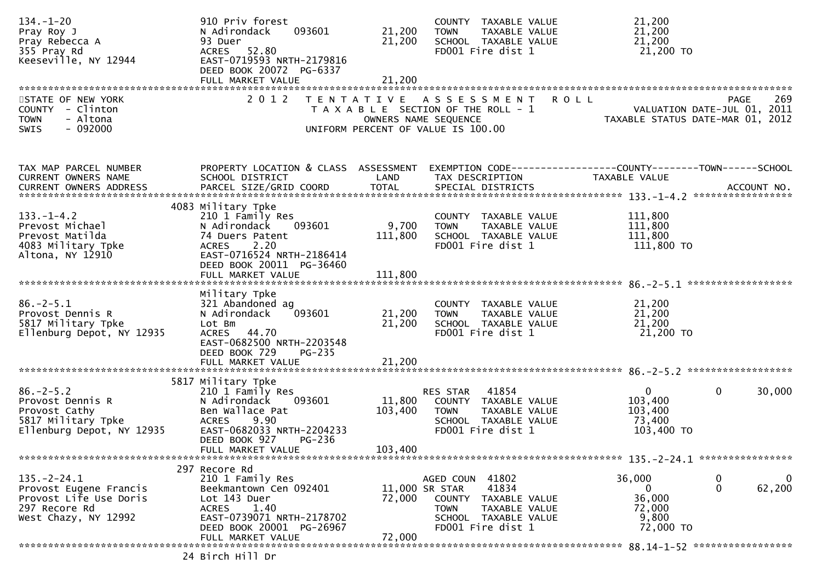| $134. - 1 - 20$<br>Pray Roy J<br>Pray Rebecca A<br>355 Pray Rd<br>Keeseville, NY 12944                         | 910 Priv forest<br>093601<br>N Adirondack<br>93 Duer<br>ACRES 52.80<br>EAST-0719593 NRTH-2179816<br>DEED BOOK 20072 PG-6337<br>FULL MARKET VALUE                                         | 21,200<br>21,200<br>21,200   | COUNTY TAXABLE VALUE<br>TAXABLE VALUE<br><b>TOWN</b><br>SCHOOL TAXABLE VALUE<br>FD001 Fire dist 1                                                  | 21,200<br>21,200<br>21,200<br>21,200 TO                                                              |
|----------------------------------------------------------------------------------------------------------------|------------------------------------------------------------------------------------------------------------------------------------------------------------------------------------------|------------------------------|----------------------------------------------------------------------------------------------------------------------------------------------------|------------------------------------------------------------------------------------------------------|
| STATE OF NEW YORK<br>COUNTY - Clinton<br><b>TOWN</b><br>- Altona<br><b>SWIS</b><br>- 092000                    | 2 0 1 2                                                                                                                                                                                  |                              | TENTATIVE ASSESSMENT<br>T A X A B L E SECTION OF THE ROLL - 1<br>OWNERS NAME SEQUENCE<br>UNIFORM PERCENT OF VALUE IS 100.00                        | <b>ROLL</b><br>269<br><b>PAGE</b><br>VALUATION DATE-JUL 01, 2011<br>TAXABLE STATUS DATE-MAR 01, 2012 |
| TAX MAP PARCEL NUMBER<br>CURRENT OWNERS NAME                                                                   | PROPERTY LOCATION & CLASS ASSESSMENT<br>SCHOOL DISTRICT                                                                                                                                  | LAND                         | TAX DESCRIPTION                                                                                                                                    | EXEMPTION CODE------------------COUNTY--------TOWN------SCHOOL<br>TAXABLE VALUE                      |
| $133. - 1 - 4.2$<br>Prevost Michael<br>Prevost Matilda<br>4083 Military Tpke<br>Altona, NY 12910               | 4083 Military Tpke<br>210 1 Family Res<br>093601<br>N Adirondack<br>74 Duers Patent<br>2.20<br><b>ACRES</b><br>EAST-0716524 NRTH-2186414<br>DEED BOOK 20011 PG-36460                     | 9,700<br>111,800             | COUNTY TAXABLE VALUE<br><b>TOWN</b><br>TAXABLE VALUE<br>SCHOOL TAXABLE VALUE<br>FD001 Fire dist 1                                                  | 111,800<br>111,800<br>111,800<br>111,800 TO                                                          |
| $86. - 2 - 5.1$<br>Provost Dennis R<br>5817 Military Tpke<br>Ellenburg Depot, NY 12935                         | Military Tpke<br>321 Abandoned ag<br>093601<br>N Adirondack<br>Lot Bm<br>ACRES 44.70<br>EAST-0682500 NRTH-2203548<br>DEED BOOK 729<br>PG-235                                             | 21,200<br>21,200             | COUNTY TAXABLE VALUE<br>TAXABLE VALUE<br><b>TOWN</b><br>SCHOOL TAXABLE VALUE<br>FD001 Fire dist 1                                                  | 21,200<br>21,200<br>21,200<br>21,200 TO                                                              |
| $86. - 2 - 5.2$<br>Provost Dennis R<br>Provost Cathy<br>5817 Military Tpke<br>Ellenburg Depot, NY 12935        | 5817 Military Tpke<br>210 1 Family Res<br>093601<br>N Adirondack<br>Ben Wallace Pat<br>9.90<br><b>ACRES</b><br>EAST-0682033 NRTH-2204233<br>DEED BOOK 927<br>PG-236<br>FULL MARKET VALUE | 11,800<br>103,400<br>103,400 | 41854<br>RES STAR<br>COUNTY TAXABLE VALUE<br>TAXABLE VALUE<br>TOWN<br>SCHOOL TAXABLE VALUE<br>FD001 Fire dist 1                                    | $\mathbf{0}$<br>$\mathbf 0$<br>30,000<br>103,400<br>103,400<br>73,400<br>103,400 TO                  |
| $135. - 2 - 24.1$<br>Provost Eugene Francis<br>Provost Life Use Doris<br>297 Recore Rd<br>West Chazy, NY 12992 | 297 Recore Rd<br>210 1 Family Res<br>Beekmantown Cen 092401<br>Lot 143 Duer<br><b>ACRES</b><br>1.40<br>EAST-0739071 NRTH-2178702<br>DEED BOOK 20001 PG-26967<br>FULL MARKET VALUE        | 72,000<br>72,000             | AGED COUN 41802<br>41834<br>11,000 SR STAR<br>COUNTY<br>TAXABLE VALUE<br>TAXABLE VALUE<br><b>TOWN</b><br>SCHOOL TAXABLE VALUE<br>FD001 Fire dist 1 | 36,000<br>0<br>0<br>$\mathbf{0}$<br>62,200<br>0<br>36,000<br>72,000<br>9,800<br>72,000 TO            |
|                                                                                                                | 24 Birch Hill Dr                                                                                                                                                                         |                              |                                                                                                                                                    |                                                                                                      |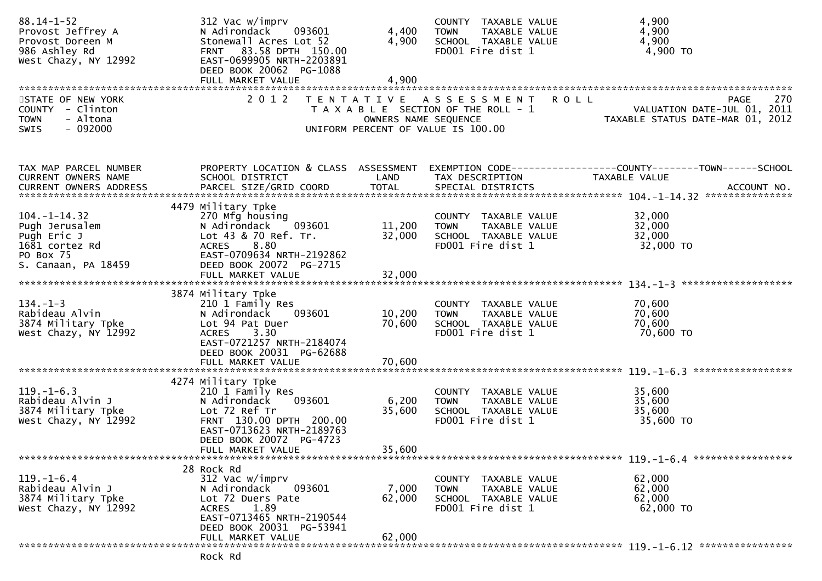| $88.14 - 1 - 52$<br>Provost Jeffrey A<br>Provost Doreen M<br>986 Ashley Rd<br>West Chazy, NY 12992        | 312 Vac w/imprv<br>093601<br>N Adirondack<br>Stonewall Acres Lot 52<br>FRNT 83.58 DPTH 150.00<br>EAST-0699905 NRTH-2203891<br>DEED BOOK 20062 PG-1088<br>FULL MARKET VALUE         | 4,400<br>4,900<br>4,900   | COUNTY TAXABLE VALUE<br>TAXABLE VALUE<br><b>TOWN</b><br>SCHOOL TAXABLE VALUE<br>FD001 Fire dist 1                  | 4,900<br>4,900<br>4,900<br>4,900 TO                                                   |
|-----------------------------------------------------------------------------------------------------------|------------------------------------------------------------------------------------------------------------------------------------------------------------------------------------|---------------------------|--------------------------------------------------------------------------------------------------------------------|---------------------------------------------------------------------------------------|
| STATE OF NEW YORK<br>COUNTY - Clinton<br><b>TOWN</b><br>- Altona<br><b>SWIS</b><br>- 092000               | 2 0 1 2                                                                                                                                                                            | OWNERS NAME SEQUENCE      | TENTATIVE ASSESSMENT<br><b>ROLL</b><br>T A X A B L E SECTION OF THE ROLL - 1<br>UNIFORM PERCENT OF VALUE IS 100.00 | 270<br><b>PAGE</b><br>VALUATION DATE-JUL 01, 2011<br>TAXABLE STATUS DATE-MAR 01, 2012 |
| TAX MAP PARCEL NUMBER<br>CURRENT OWNERS NAME                                                              | PROPERTY LOCATION & CLASS ASSESSMENT<br>SCHOOL DISTRICT                                                                                                                            | LAND                      | TAX DESCRIPTION                                                                                                    | EXEMPTION CODE------------------COUNTY--------TOWN------SCHOOL<br>TAXABLE VALUE       |
| $104. - 1 - 14.32$<br>Pugh Jerusalem<br>Pugh Eric J<br>1681 cortez Rd<br>PO Box 75<br>S. Canaan, PA 18459 | 4479 Military Tpke<br>270 Mfg housing<br>093601<br>N Adirondack<br>Lot 43 & 70 Ref. Tr.<br>8.80<br><b>ACRES</b><br>EAST-0709634 NRTH-2192862<br>DEED BOOK 20072 PG-2715            | 11,200<br>32,000          | COUNTY TAXABLE VALUE<br><b>TOWN</b><br>TAXABLE VALUE<br>SCHOOL TAXABLE VALUE<br>FD001 Fire dist 1                  | 32,000<br>32,000<br>32,000<br>32,000 TO                                               |
|                                                                                                           | 3874 Military Tpke                                                                                                                                                                 |                           |                                                                                                                    |                                                                                       |
| $134. - 1 - 3$<br>Rabideau Alvin<br>3874 Military Tpke<br>West Chazy, NY 12992                            | 210 1 Family Res<br>N Adirondack<br>093601<br>Lot 94 Pat Duer<br>ACRES 3.30<br>EAST-0721257 NRTH-2184074<br>DEED BOOK 20031 PG-62688                                               | 10,200<br>70,600          | COUNTY TAXABLE VALUE<br><b>TOWN</b><br>TAXABLE VALUE<br>SCHOOL TAXABLE VALUE<br>FD001 Fire dist 1                  | 70,600<br>70,600<br>70,600<br>70,600 TO                                               |
|                                                                                                           |                                                                                                                                                                                    |                           |                                                                                                                    |                                                                                       |
| $119. - 1 - 6.3$<br>Rabideau Alvin J<br>3874 Military Tpke<br>West Chazy, NY 12992                        | 4274 Military Tpke<br>210 1 Family Res<br>093601<br>N Adirondack<br>Lot 72 Ref Tr<br>FRNT 130.00 DPTH 200.00<br>EAST-0713623 NRTH-2189763<br>DEED BOOK 20072 PG-4723               | 6,200<br>35,600           | COUNTY TAXABLE VALUE<br>TAXABLE VALUE<br><b>TOWN</b><br>SCHOOL TAXABLE VALUE<br>FD001 Fire dist 1                  | 35,600<br>35,600<br>35,600<br>35,600 TO                                               |
|                                                                                                           | FULL MARKET VALUE                                                                                                                                                                  | 35,600                    |                                                                                                                    |                                                                                       |
| $119. - 1 - 6.4$<br>Rabideau Alvin J<br>3874 Military Tpke<br>West Chazy, NY 12992                        | 28 Rock Rd<br>312 Vac w/imprv<br>093601<br>N Adirondack<br>Lot 72 Duers Pate<br>1.89<br><b>ACRES</b><br>EAST-0713465 NRTH-2190544<br>DEED BOOK 20031 PG-53941<br>FULL MARKET VALUE | 7,000<br>62,000<br>62,000 | COUNTY TAXABLE VALUE<br><b>TOWN</b><br>TAXABLE VALUE<br>SCHOOL TAXABLE VALUE<br>FD001 Fire dist 1                  | 62,000<br>62,000<br>62,000<br>62,000 TO                                               |
|                                                                                                           | Rock Rd                                                                                                                                                                            |                           |                                                                                                                    |                                                                                       |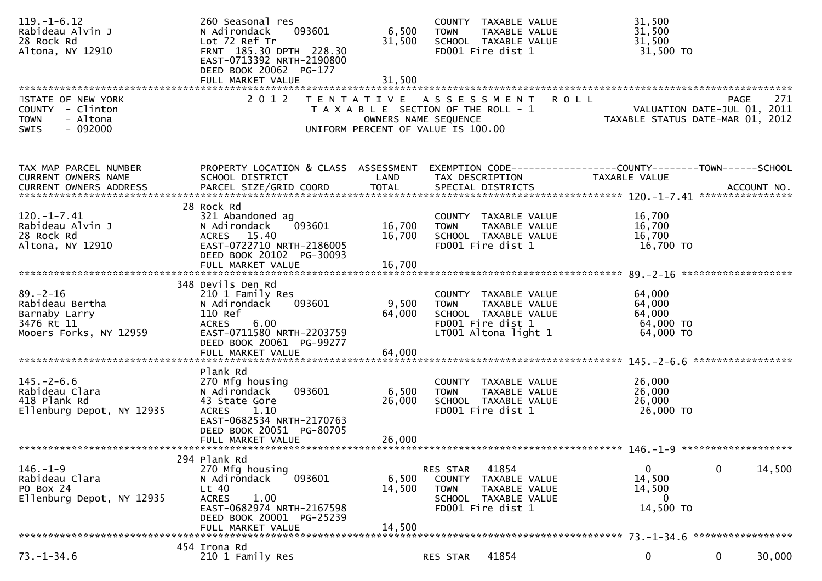| $119. - 1 - 6.12$<br>Rabideau Alvin J<br>28 Rock Rd<br>Altona, NY 12910                     | 260 Seasonal res<br>093601<br>N Adirondack<br>Lot 72 Ref Tr<br>FRNT 185.30 DPTH 228.30<br>EAST-0713392 NRTH-2190800<br>DEED BOOK 20062 PG-177<br>FULL MARKET VALUE           | 6,500<br>31,500<br>31,500 | COUNTY TAXABLE VALUE<br>TAXABLE VALUE<br><b>TOWN</b><br>SCHOOL TAXABLE VALUE<br>FD001 Fire dist 1                         | 31,500<br>31,500<br>31,500<br>31,500 TO                                               |
|---------------------------------------------------------------------------------------------|------------------------------------------------------------------------------------------------------------------------------------------------------------------------------|---------------------------|---------------------------------------------------------------------------------------------------------------------------|---------------------------------------------------------------------------------------|
| STATE OF NEW YORK<br>COUNTY - Clinton<br><b>TOWN</b><br>- Altona<br><b>SWIS</b><br>- 092000 | 2 0 1 2                                                                                                                                                                      | OWNERS NAME SEQUENCE      | TENTATIVE ASSESSMENT<br><b>ROLL</b><br>T A X A B L E SECTION OF THE ROLL - 1<br>UNIFORM PERCENT OF VALUE IS 100.00        | 271<br><b>PAGE</b><br>VALUATION DATE-JUL 01, 2011<br>TAXABLE STATUS DATE-MAR 01, 2012 |
| TAX MAP PARCEL NUMBER<br>CURRENT OWNERS NAME                                                | PROPERTY LOCATION & CLASS ASSESSMENT<br>SCHOOL DISTRICT                                                                                                                      | LAND                      | TAX DESCRIPTION                                                                                                           | EXEMPTION CODE------------------COUNTY--------TOWN------SCHOOL<br>TAXABLE VALUE       |
| $120. -1 - 7.41$<br>Rabideau Alvin J<br>28 Rock Rd<br>Altona, NY 12910                      | 28 Rock Rd<br>321 Abandoned ag<br>N Adirondack<br>093601<br>ACRES 15.40<br>EAST-0722710 NRTH-2186005<br>DEED BOOK 20102 PG-30093                                             | 16,700<br>16,700          | COUNTY TAXABLE VALUE<br><b>TOWN</b><br>TAXABLE VALUE<br>SCHOOL TAXABLE VALUE<br>FD001 Fire dist 1                         | 16,700<br>16,700<br>16,700<br>16,700 то                                               |
|                                                                                             | FULL MARKET VALUE                                                                                                                                                            | 16,700                    |                                                                                                                           |                                                                                       |
| $89 - 2 - 16$<br>Rabideau Bertha<br>Barnaby Larry<br>3476 Rt 11<br>Mooers Forks, NY 12959   | 348 Devils Den Rd<br>210 1 Family Res<br>N Adirondack<br>093601<br>110 Ref<br>6.00<br><b>ACRES</b><br>EAST-0711580 NRTH-2203759<br>DEED BOOK 20061 PG-99277                  | 9,500<br>64,000           | COUNTY TAXABLE VALUE<br><b>TOWN</b><br>TAXABLE VALUE<br>SCHOOL TAXABLE VALUE<br>FD001 Fire dist 1<br>LT001 Altona light 1 | 64,000<br>64,000<br>64,000<br>64,000 TO<br>64,000 TO                                  |
|                                                                                             |                                                                                                                                                                              |                           |                                                                                                                           |                                                                                       |
| $145. - 2 - 6.6$<br>Rabideau Clara<br>418 Plank Rd<br>Ellenburg Depot, NY 12935             | Plank Rd<br>270 Mfg housing<br>093601<br>N Adirondack<br>43 State Gore<br>1.10<br><b>ACRES</b><br>EAST-0682534 NRTH-2170763<br>DEED BOOK 20051 PG-80705<br>FULL MARKET VALUE | 6,500<br>26,000<br>26,000 | COUNTY TAXABLE VALUE<br>TAXABLE VALUE<br><b>TOWN</b><br>SCHOOL TAXABLE VALUE<br>FD001 Fire dist 1                         | 26,000<br>26,000<br>26,000<br>26,000 TO                                               |
|                                                                                             |                                                                                                                                                                              |                           |                                                                                                                           |                                                                                       |
| $146. - 1 - 9$<br>Rabideau Clara<br>PO Box 24<br>Ellenburg Depot, NY 12935                  | 294 Plank Rd<br>270 Mfg housing<br>093601<br>N Adirondack<br>$Lt$ 40<br><b>ACRES</b><br>1.00<br>EAST-0682974 NRTH-2167598<br>DEED BOOK 20001 PG-25239<br>FULL MARKET VALUE   | 6,500<br>14,500<br>14,500 | 41854<br>RES STAR<br>COUNTY<br>TAXABLE VALUE<br>TAXABLE VALUE<br><b>TOWN</b><br>SCHOOL TAXABLE VALUE<br>FD001 Fire dist 1 | 0<br>14,500<br>0<br>14,500<br>14,500<br>0<br>14,500 TO                                |
|                                                                                             | 454 Irona Rd                                                                                                                                                                 |                           |                                                                                                                           |                                                                                       |
| $73. - 1 - 34.6$                                                                            | 210 1 Family Res                                                                                                                                                             |                           | 41854<br>RES STAR                                                                                                         | 0<br>0<br>30,000                                                                      |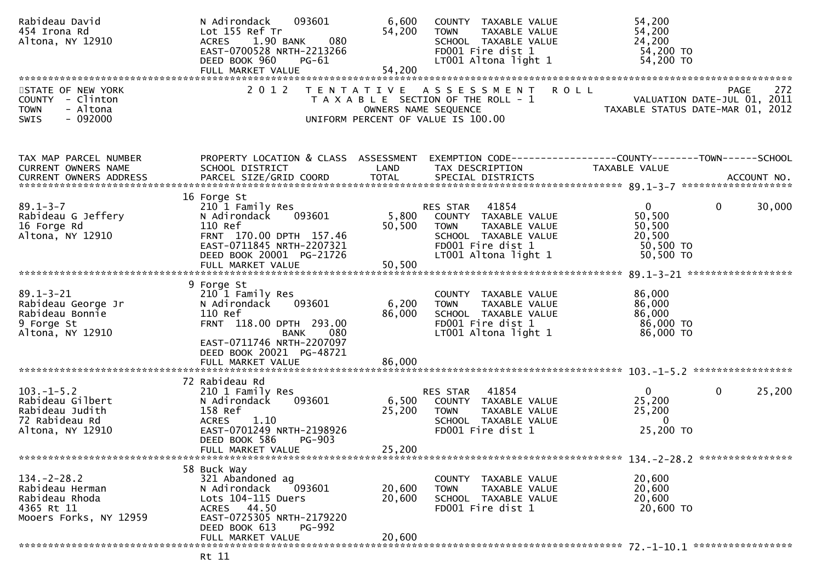| Rabideau David<br>454 Irona Rd<br>Altona, NY 12910                                             | 093601<br>N Adirondack<br>Lot 155 Ref Tr<br>080<br>1.90 BANK<br><b>ACRES</b><br>EAST-0700528 NRTH-2213266<br>DEED BOOK 960<br>$PG-61$                                         | 6,600<br>54,200           | COUNTY TAXABLE VALUE<br>TAXABLE VALUE<br><b>TOWN</b><br>SCHOOL TAXABLE VALUE<br>FD001 Fire dist 1<br>LT001 Altona light 1                      | 54,200<br>54,200<br>24,200<br>54,200 TO<br>54,200 TO                                  |
|------------------------------------------------------------------------------------------------|-------------------------------------------------------------------------------------------------------------------------------------------------------------------------------|---------------------------|------------------------------------------------------------------------------------------------------------------------------------------------|---------------------------------------------------------------------------------------|
| STATE OF NEW YORK<br>COUNTY - Clinton<br>- Altona<br><b>TOWN</b><br>SWIS<br>- 092000           | 2 0 1 2                                                                                                                                                                       | OWNERS NAME SEQUENCE      | TENTATIVE ASSESSMENT ROLL<br>T A X A B L E SECTION OF THE ROLL - 1<br>UNIFORM PERCENT OF VALUE IS 100.00                                       | 272<br><b>PAGE</b><br>VALUATION DATE-JUL 01, 2011<br>TAXABLE STATUS DATE-MAR 01, 2012 |
| TAX MAP PARCEL NUMBER<br>CURRENT OWNERS NAME<br>CURRENT OWNERS ADDRESS                         | PROPERTY LOCATION & CLASS ASSESSMENT<br>SCHOOL DISTRICT                                                                                                                       | LAND                      | TAX DESCRIPTION                                                                                                                                | EXEMPTION CODE-----------------COUNTY-------TOWN------SCHOOL<br>TAXABLE VALUE         |
| $89.1 - 3 - 7$<br>Rabideau G Jeffery<br>16 Forge Rd<br>Altona, NY 12910                        | 16 Forge St<br>210 1 Family Res<br>093601<br>N Adirondack<br>110 Ref<br>FRNT 170.00 DPTH 157.46<br>EAST-0711845 NRTH-2207321<br>DEED BOOK 20001 PG-21726<br>FULL MARKET VALUE | 5,800<br>50,500<br>50,500 | RES STAR<br>41854<br>COUNTY TAXABLE VALUE<br><b>TOWN</b><br>TAXABLE VALUE<br>SCHOOL TAXABLE VALUE<br>FD001 Fire dist 1<br>LT001 Altona light 1 | 30,000<br>$\mathbf 0$<br>0<br>50,500<br>50,500<br>20,500<br>50,500 TO<br>50,500 TO    |
| $89.1 - 3 - 21$<br>Rabideau George Jr<br>Rabideau Bonnie<br>9 Forge St<br>Altona, NY 12910     | 9 Forge St<br>210 1 Family Res<br>093601<br>N Adirondack<br>110 Ref<br>FRNT 118.00 DPTH 293.00<br>080<br><b>BANK</b><br>EAST-0711746 NRTH-2207097<br>DEED BOOK 20021 PG-48721 | 6,200<br>86,000           | COUNTY TAXABLE VALUE<br><b>TOWN</b><br>TAXABLE VALUE<br>SCHOOL TAXABLE VALUE<br>FD001 Fire dist 1<br>LT001 Altona light 1                      | 86,000<br>86,000<br>86,000<br>86,000 TO<br>86,000 TO                                  |
|                                                                                                | 72 Rabideau Rd                                                                                                                                                                |                           |                                                                                                                                                |                                                                                       |
| $103. -1 - 5.2$<br>Rabideau Gilbert<br>Rabideau Judith<br>72 Rabideau Rd<br>Altona, NY 12910   | 210 1 Family Res<br>093601<br>N Adirondack<br>158 Ref<br><b>ACRES</b><br>1.10<br>EAST-0701249 NRTH-2198926<br>DEED BOOK 586<br><b>PG-903</b>                                  | 6,500<br>25,200           | RES STAR<br>41854<br>COUNTY TAXABLE VALUE<br><b>TOWN</b><br>TAXABLE VALUE<br>SCHOOL TAXABLE VALUE<br>FD001 Fire dist 1                         | $\Omega$<br>0<br>25,200<br>25,200<br>25,200<br>$\Omega$<br>25,200 TO                  |
|                                                                                                | FULL MARKET VALUE                                                                                                                                                             | 25,200                    |                                                                                                                                                |                                                                                       |
| $134. - 2 - 28.2$<br>Rabideau Herman<br>Rabideau Rhoda<br>4365 Rt 11<br>Mooers Forks, NY 12959 | 58 Buck Way<br>321 Abandoned ag<br>N Adirondack<br>093601<br>Lots 104-115 Duers<br>ACRES 44.50<br>EAST-0725305 NRTH-2179220<br>DEED BOOK 613<br><b>PG-992</b>                 | 20,600<br>20,600          | COUNTY TAXABLE VALUE<br>TAXABLE VALUE<br><b>TOWN</b><br>SCHOOL TAXABLE VALUE<br>FD001 Fire dist 1                                              | 20,600<br>20,600<br>20,600<br>20,600 TO                                               |
|                                                                                                | FULL MARKET VALUE                                                                                                                                                             | 20,600                    |                                                                                                                                                |                                                                                       |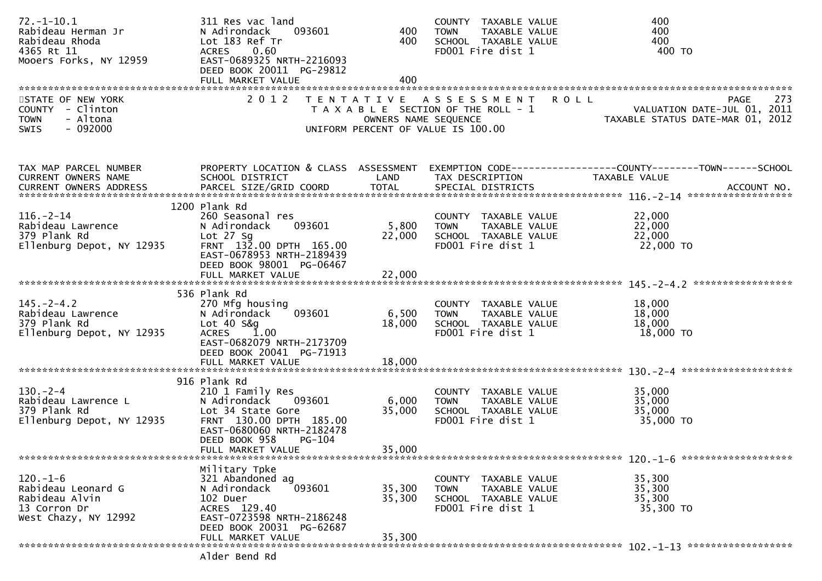| $72. - 1 - 10.1$<br>Rabideau Herman Jr<br>Rabideau Rhoda<br>4365 Rt 11<br>Mooers Forks, NY 12959                              | 311 Res vac land<br>093601<br>N Adirondack<br>Lot 183 Ref Tr<br>ACRES 0.60<br>EAST-0689325 NRTH-2216093<br>DEED BOOK 20011 PG-29812<br>FULL MARKET VALUE              | 400<br>400<br>400          | COUNTY TAXABLE VALUE<br>TAXABLE VALUE<br>TOWN<br>SCHOOL TAXABLE VALUE<br>FD001 Fire dist 1                        | 400<br>400<br>400<br>400 то                                                                                               |
|-------------------------------------------------------------------------------------------------------------------------------|-----------------------------------------------------------------------------------------------------------------------------------------------------------------------|----------------------------|-------------------------------------------------------------------------------------------------------------------|---------------------------------------------------------------------------------------------------------------------------|
| STATE OF NEW YORK<br>COUNTY - Clinton<br><b>TOWN</b><br>- Altona<br>$-092000$<br><b>SWIS</b>                                  | 2 0 1 2                                                                                                                                                               |                            | TENTATIVE ASSESSMENT ROLL<br>UNIFORM PERCENT OF VALUE IS 100.00                                                   | 273<br><b>PAGE</b><br>T A X A B L E SECTION OF THE ROLL - 1<br>OWNERS NAME SEQUENCE TALL TAXABLE STATUS DATE-MAR 01, 2012 |
| TAX MAP PARCEL NUMBER<br>CURRENT OWNERS NAME<br>CURRENT OWNERS ADDRESS                                                        | SCHOOL DISTRICT                                                                                                                                                       | LAND                       | TAX DESCRIPTION                                                                                                   | PROPERTY LOCATION & CLASS ASSESSMENT EXEMPTION CODE----------------COUNTY-------TOWN------SCHOOL<br>TAXABLE VALUE         |
| $116. - 2 - 14$<br>Rabideau Lawrence<br>379 Plank Rd<br>Ellenburg Depot, NY 12935                                             | 1200 Plank Rd<br>260 Seasonal res<br>093601<br>N Adirondack<br>Lot $27$ Sq<br>FRNT 132.00 DPTH 165.00<br>EAST-0678953 NRTH-2189439<br>DEED BOOK 98001 PG-06467        |                            | COUNTY TAXABLE VALUE<br>5,800    TOWN      TAXABLE VALUE<br>22,000    SCHOOL   TAXABLE VALUE<br>FD001 Fire dist 1 | 22,000<br>22,000<br>22,000<br>22,000 TO                                                                                   |
|                                                                                                                               |                                                                                                                                                                       |                            |                                                                                                                   |                                                                                                                           |
| $145. - 2 - 4.2$<br>145.-2-4.2<br>Rabideau Lawrence<br>379 Plank Rd<br>Ellenburg Depot, NY 12935<br>Ellenburg Depot, NY 12935 | 536 Plank Rd<br>270 Mfg housing<br>093601<br>N Adirondack<br>Lot 40 S&g<br>ACRES 1.00<br>EAST-0682079 NRTH-2173709<br>DEED BOOK 20041 PG-71913                        | 6,500<br>18,000            | COUNTY TAXABLE VALUE<br>TAXABLE VALUE<br><b>TOWN</b><br>SCHOOL TAXABLE VALUE<br>FD001 Fire dist 1                 | 18,000<br>18,000<br>18,000<br>18,000 TO                                                                                   |
|                                                                                                                               | 916 Plank Rd                                                                                                                                                          |                            |                                                                                                                   |                                                                                                                           |
| $130 - 2 - 4$<br>Rabideau Lawrence L<br>379 Plank Rd<br>Ellenburg Depot, NY 12935                                             | 210 1 Family Res<br>N Adirondack 093601<br>Lot 34 State Gore<br>FRNT 130.00 DPTH 185.00<br>EAST-0680060 NRTH-2182478<br>DEED BOOK 958<br>PG-104                       | 6,000<br>35,000            | COUNTY TAXABLE VALUE<br>TOWN      TAXABLE VALUE<br>SCHOOL TAXABLE VALUE<br>FD001 Fire dist 1                      | 35,000<br>35,000<br>35,000<br>35,000 TO                                                                                   |
|                                                                                                                               | FULL MARKET VALUE                                                                                                                                                     | 35,000                     |                                                                                                                   |                                                                                                                           |
| $120. - 1 - 6$<br>Rabideau Leonard G<br>Rabideau Alvin<br>13 Corron Dr<br>West Chazy, NY 12992                                | Military Tpke<br>321 Abandoned ag<br>N Adirondack<br>093601<br>102 Duer<br>ACRES 129.40<br>EAST-0723598 NRTH-2186248<br>DEED BOOK 20031 PG-62687<br>FULL MARKET VALUE | 35,300<br>35,300<br>35,300 | COUNTY TAXABLE VALUE<br>TAXABLE VALUE<br><b>TOWN</b><br>SCHOOL TAXABLE VALUE<br>FD001 Fire dist 1                 | 35,300<br>35,300<br>35,300<br>35,300 TO                                                                                   |
|                                                                                                                               | Alder Bend Rd                                                                                                                                                         |                            |                                                                                                                   |                                                                                                                           |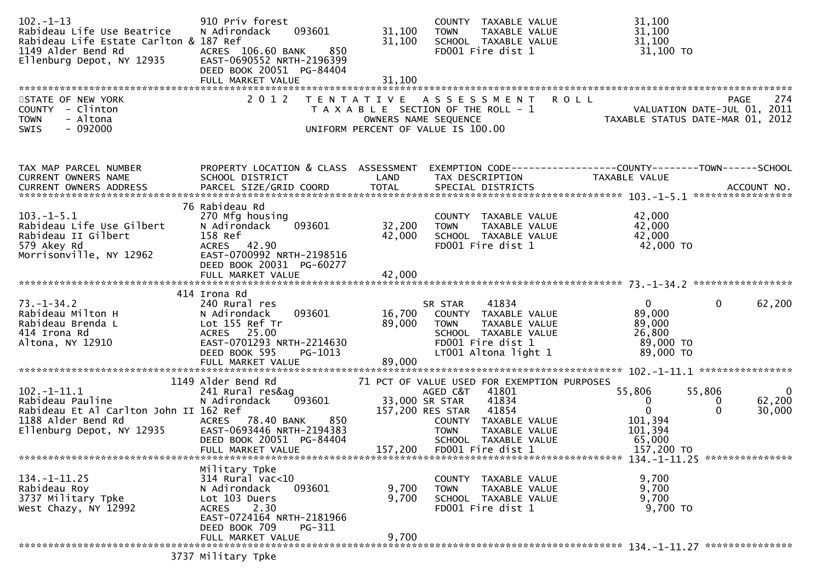| $102 - 1 - 13$<br>Rabideau Life Use Beatrice<br>Rabideau Life Estate Carlton & 187 Ref<br>1149 Alder Bend Rd<br>12935<br>Ellenburg Depot, NY 12935 | 910 Priv forest<br>N Adirondack<br>093601<br>ACRES 106.60 BANK<br>850<br>EAST-0690552 NRTH-2196399<br>DEED BOOK 20051 PG-84404                                                      | 31,100<br>31,100        | COUNTY TAXABLE VALUE<br>TAXABLE VALUE<br><b>TOWN</b><br>SCHOOL TAXABLE VALUE<br>FD001 Fire dist 1                                                                                                                | 31,100<br>31,100<br>31,100<br>31,100 TO                                                                                                                     |
|----------------------------------------------------------------------------------------------------------------------------------------------------|-------------------------------------------------------------------------------------------------------------------------------------------------------------------------------------|-------------------------|------------------------------------------------------------------------------------------------------------------------------------------------------------------------------------------------------------------|-------------------------------------------------------------------------------------------------------------------------------------------------------------|
| STATE OF NEW YORK<br>COUNTY - Clinton<br>- Altona<br><b>TOWN</b><br>$-092000$<br><b>SWIS</b>                                                       | 2 0 1 2                                                                                                                                                                             | OWNERS NAME SEQUENCE    | TENTATIVE ASSESSMENT<br>T A X A B L E SECTION OF THE ROLL - 1<br>UNIFORM PERCENT OF VALUE IS 100.00                                                                                                              | PAGE 274<br>VALUATION DATE-JUL 01, 2011<br>TAXABLE STATIIS DATE MARE 21                                                                                     |
| TAX MAP PARCEL NUMBER<br>CURRENT OWNERS NAME                                                                                                       | PROPERTY LOCATION & CLASS ASSESSMENT<br>SCHOOL DISTRICT                                                                                                                             | LAND                    | TAX DESCRIPTION                                                                                                                                                                                                  | EXEMPTION CODE------------------COUNTY--------TOWN------SCHOOL<br>TAXABLE VALUE                                                                             |
| $103.-1-5.1$<br>Rabideau Life Use Gilbert<br>Rabideau II Gilbert<br>579 Akey Rd<br>Morrisonville, NY 12962                                         | 76 Rabideau Rd<br>270 Mfg housing<br>093601<br>N Adirondack<br>158 Ref<br>ACRES 42.90<br>EAST-0700992 NRTH-2198516<br>DEED BOOK 20031 PG-60277                                      | 32,200<br>42,000        | COUNTY TAXABLE VALUE<br><b>TOWN</b><br>TAXABLE VALUE<br>SCHOOL TAXABLE VALUE<br>FD001 Fire dist 1                                                                                                                | 42,000<br>42,000<br>42,000<br>42,000 TO                                                                                                                     |
| $73. - 1 - 34.2$<br>Rabideau Milton H<br>Rabideau Brenda L<br>414 Irona Rd<br>Altona, NY 12910                                                     | 414 Irona Rd<br>240 Rural res<br>N Adirondack<br>093601<br>Lot 155 Ref Tr<br>ACRES 25.00<br>EAST-0701293 NRTH-2214630<br>DEED BOOK 595<br>PG-1013                                   | 16,700<br>89,000        | 41834<br>SR STAR<br>COUNTY TAXABLE VALUE<br>TAXABLE VALUE<br><b>TOWN</b><br>SCHOOL TAXABLE VALUE<br>FD001 Fire dist 1<br>LT001 Altona light 1                                                                    | $\overline{0}$<br>$\mathbf{0}$<br>62,200<br>89,000<br>89,000<br>26,800<br>89,000 TO<br>89,000 TO                                                            |
| $102. - 1 - 11.1$<br>Rabideau Pauline<br>Rabideau Et Al Carlton John II 162 Ref<br>1188 Alder Bend Rd<br>2935<br>Ellenburg Depot, NY 12935         | 1149 Alder Bend Rd<br>241 Rural res&ag<br>093601<br>N Adirondack<br>78.40 BANK<br>850<br><b>ACRES</b><br>EAST-0693446 NRTH-2194383<br>DEED BOOK 20051 PG-84404<br>FULL MARKET VALUE | 33,000 SR STAR          | 71 PCT OF VALUE USED FOR EXEMPTION PURPOSES<br>AGED C&T<br>41801<br>41834<br>157,200 RES STAR 41854<br>COUNTY TAXABLE VALUE<br><b>TOWN</b><br>TAXABLE VALUE<br>SCHOOL TAXABLE VALUE<br>157,200 FD001 Fire dist 1 | 55,806<br>55,806<br>$\overline{0}$<br>62,200<br>$\mathbf{0}$<br>$\bf{0}$<br>$\mathbf 0$<br>$\Omega$<br>30,000<br>101,394<br>101,394<br>65,000<br>157,200 TO |
| $134. - 1 - 11.25$<br>Rabideau Roy<br>3737 Military Tpke<br>West Chazy, NY 12992                                                                   | Military Tpke<br>$314$ Rural vac<10<br>093601<br>N Adirondack<br>Lot 103 Duers<br><b>ACRES</b><br>2.30<br>EAST-0724164 NRTH-2181966<br>DEED BOOK 709<br>PG-311<br>FULL MARKET VALUE | 9,700<br>9,700<br>9,700 | COUNTY TAXABLE VALUE<br><b>TOWN</b><br>TAXABLE VALUE<br>SCHOOL TAXABLE VALUE<br>FD001 Fire dist 1                                                                                                                | 9,700<br>9,700<br>9,700<br>9,700 TO                                                                                                                         |
|                                                                                                                                                    | 3737 Military Tpke                                                                                                                                                                  |                         |                                                                                                                                                                                                                  |                                                                                                                                                             |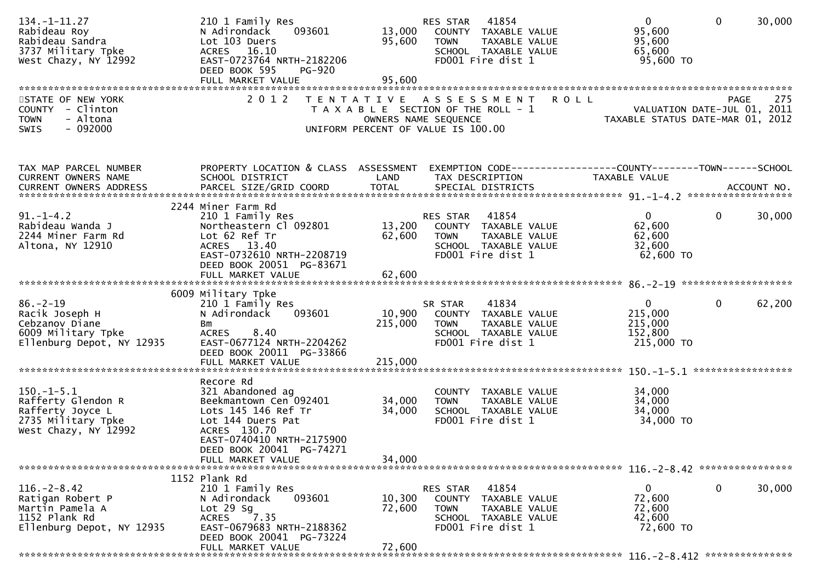| $134. - 1 - 11.27$<br>Rabideau Roy<br>Rabideau Sandra<br>3737 Military Tpke<br>West Chazy, NY 12992    | 210 1 Family Res<br>093601<br>N Adirondack<br>Lot 103 Duers<br>ACRES 16.10<br>EAST-0723764 NRTH-2182206<br>DEED BOOK 595<br>PG-920                                                 | 13,000<br>95,600           | RES STAR<br>41854<br>COUNTY TAXABLE VALUE<br>TAXABLE VALUE<br><b>TOWN</b><br>SCHOOL TAXABLE VALUE<br>FD001 Fire dist 1       | $\overline{0}$<br>95,600<br>95,600<br>65,600<br>95,600 TO   | $\overline{0}$<br>30,000    |
|--------------------------------------------------------------------------------------------------------|------------------------------------------------------------------------------------------------------------------------------------------------------------------------------------|----------------------------|------------------------------------------------------------------------------------------------------------------------------|-------------------------------------------------------------|-----------------------------|
| STATE OF NEW YORK                                                                                      | 2 0 1 2                                                                                                                                                                            |                            | TENTATIVE ASSESSMENT<br><b>ROLL</b>                                                                                          |                                                             | 275<br><b>PAGE</b>          |
| COUNTY - Clinton<br><b>TOWN</b><br>- Altona<br>$-092000$<br>SWIS                                       |                                                                                                                                                                                    |                            | T A X A B L E SECTION OF THE ROLL - 1<br>OWNERS NAME SEQUENCE<br>UNIFORM PERCENT OF VALUE IS 100.00                          | TAXABLE STATUS DATE-MAR 01, 2012                            | VALUATION DATE-JUL 01, 2011 |
| TAX MAP PARCEL NUMBER                                                                                  |                                                                                                                                                                                    |                            | PROPERTY LOCATION & CLASS ASSESSMENT EXEMPTION CODE----------------COUNTY-------TOWN------SCHOOL                             |                                                             |                             |
| CURRENT OWNERS NAME                                                                                    | SCHOOL DISTRICT                                                                                                                                                                    | LAND                       | TAX DESCRIPTION                                                                                                              | TAXABLE VALUE                                               |                             |
|                                                                                                        | 2244 Miner Farm Rd                                                                                                                                                                 |                            |                                                                                                                              |                                                             |                             |
| $91. - 1 - 4.2$<br>Rabideau Wanda J<br>2244 Miner Farm Rd<br>Altona, NY 12910                          | 210 1 Family Res<br>Northeastern Cl 092801<br>Lot 62 Ref Tr<br>ACRES 13.40<br>EAST-0732610 NRTH-2208719                                                                            | 62,600                     | RES STAR 41854<br>13,200 COUNTY TAXABLE VALUE<br><b>TOWN</b><br>TAXABLE VALUE<br>SCHOOL TAXABLE VALUE<br>FD001 Fire dist 1   | $\overline{0}$<br>62,600<br>62,600<br>32,600<br>62,600 TO   | $\mathbf 0$<br>30,000       |
|                                                                                                        | DEED BOOK 20051 PG-83671                                                                                                                                                           |                            |                                                                                                                              |                                                             |                             |
|                                                                                                        |                                                                                                                                                                                    |                            |                                                                                                                              |                                                             |                             |
|                                                                                                        | 6009 Military Tpke                                                                                                                                                                 |                            |                                                                                                                              |                                                             |                             |
| $86. - 2 - 19$<br>Racik Joseph H<br>Cebzanov Diane<br>6009 Military Tpke<br>Ellenburg Depot, NY 12935  | 210 1 Family Res<br>093601<br>N Adirondack<br>Bm<br>ACRES 8.40<br>EAST-0677124 NRTH-2204262<br>DEED BOOK 20011 PG-33866                                                            | 215,000                    | 41834<br>SR STAR<br>10,900 COUNTY TAXABLE VALUE<br><b>TOWN</b><br>TAXABLE VALUE<br>SCHOOL TAXABLE VALUE<br>FD001 Fire dist 1 | $\mathbf{0}$<br>215,000<br>215,000<br>152,800<br>215,000 TO | $\overline{0}$<br>62,200    |
|                                                                                                        |                                                                                                                                                                                    |                            |                                                                                                                              |                                                             |                             |
|                                                                                                        | Recore Rd                                                                                                                                                                          |                            |                                                                                                                              |                                                             |                             |
| $150.-1-5.1$<br>Rafferty Glendon R<br>Rafferty Joyce L<br>2735 Military Tpke<br>West Chazy, NY 12992   | 321 Abandoned ag<br>Beekmantown Cen 092401<br>Lots 145 146 Ref Tr<br>Lot 144 Duers Pat<br>ACRES 130.70<br>EAST-0740410 NRTH-2175900<br>DEED BOOK 20041 PG-74271                    | 34,000<br>34,000           | COUNTY TAXABLE VALUE<br><b>TOWN</b><br>TAXABLE VALUE<br>SCHOOL TAXABLE VALUE<br>FD001 Fire dist 1                            | 34,000<br>34,000<br>34,000<br>34,000 TO                     |                             |
|                                                                                                        | FULL MARKET VALUE                                                                                                                                                                  | 34,000                     |                                                                                                                              |                                                             |                             |
|                                                                                                        |                                                                                                                                                                                    |                            |                                                                                                                              |                                                             |                             |
| $116. - 2 - 8.42$<br>Ratigan Robert P<br>Martin Pamela A<br>1152 Plank Rd<br>Ellenburg Depot, NY 12935 | 1152 Plank Rd<br>210 1 Family Res<br>093601<br>N Adirondack<br>Lot $29$ Sg<br>$7.35$<br><b>ACRES</b><br>EAST-0679683 NRTH-2188362<br>DEED BOOK 20041 PG-73224<br>FULL MARKET VALUE | 10,300<br>72,600<br>72,600 | RES STAR<br>41854<br>COUNTY TAXABLE VALUE<br><b>TOWN</b><br>TAXABLE VALUE<br>SCHOOL TAXABLE VALUE<br>FD001 Fire dist 1       | 0<br>72,600<br>72,600<br>42,600<br>72,600 TO                | 0<br>30,000                 |
|                                                                                                        |                                                                                                                                                                                    |                            |                                                                                                                              |                                                             |                             |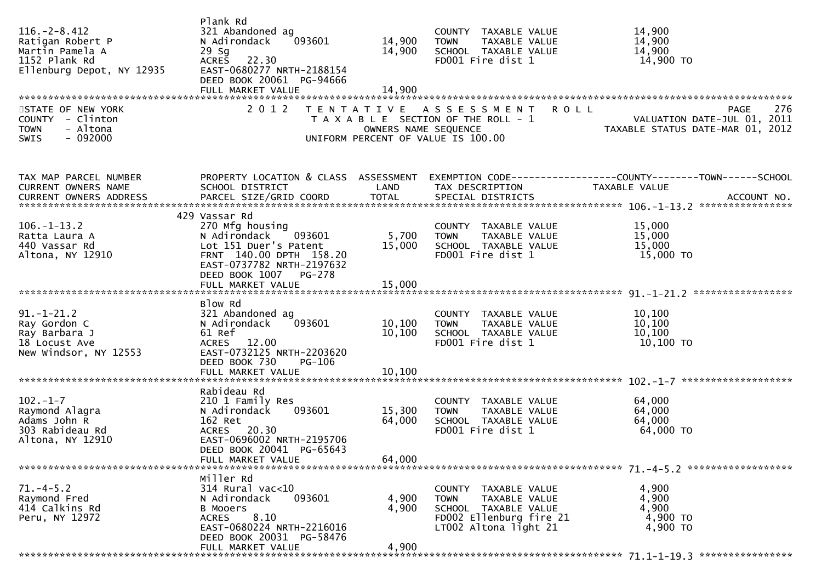| $116. - 2 - 8.412$<br>Ratigan Robert P<br>Martin Pamela A<br>1152 Plank Rd<br>Ellenburg Depot, NY 12935<br>STATE OF NEW YORK<br>COUNTY - Clinton<br>- Altona<br><b>TOWN</b><br>$-092000$<br><b>SWIS</b> | Plank Rd<br>321 Abandoned ag<br>N Adirondack<br>093601<br>$29$ Sg<br>ACRES 22.30<br>EAST-0680277 NRTH-2188154<br>DEED BOOK 20061 PG-94666<br>2 0 1 2                 | 14,900<br>14,900<br>OWNERS NAME SEQUENCE | COUNTY TAXABLE VALUE<br><b>TOWN</b><br>TAXABLE VALUE<br>SCHOOL TAXABLE VALUE<br>FD001 Fire dist 1<br>TENTATIVE ASSESSMENT<br>T A X A B L E SECTION OF THE ROLL - 1<br>UNIFORM PERCENT OF VALUE IS 100.00 | 14,900<br>14,900<br>14,900<br>14,900 TO<br>276<br><b>ROLL</b><br><b>PAGE</b><br>VALUATION DATE-JUL 01, 2011<br>TAXABLE STATUS DATE-MAR 01, 2012                                                                                       |
|---------------------------------------------------------------------------------------------------------------------------------------------------------------------------------------------------------|----------------------------------------------------------------------------------------------------------------------------------------------------------------------|------------------------------------------|----------------------------------------------------------------------------------------------------------------------------------------------------------------------------------------------------------|---------------------------------------------------------------------------------------------------------------------------------------------------------------------------------------------------------------------------------------|
|                                                                                                                                                                                                         |                                                                                                                                                                      |                                          |                                                                                                                                                                                                          |                                                                                                                                                                                                                                       |
| TAX MAP PARCEL NUMBER<br>CURRENT OWNERS NAME                                                                                                                                                            | SCHOOL DISTRICT                                                                                                                                                      | LAND                                     | TAX DESCRIPTION                                                                                                                                                                                          | PROPERTY LOCATION & CLASS ASSESSMENT EXEMPTION CODE----------------COUNTY--------TOWN------SCHOOL<br>TAXABLE VALUE<br>.CURRENT OWNERS ADDRESS PARCEL SIZE/GRID COORD TOTAL SPECIAL DISTRICTS ACCOUNT NO ACCOUNT NO ACCOUNT NO ACCOUNT |
|                                                                                                                                                                                                         |                                                                                                                                                                      |                                          |                                                                                                                                                                                                          |                                                                                                                                                                                                                                       |
| $106. - 1 - 13.2$<br>Ratta Laura A<br>440 Vassar Rd<br>Altona, NY 12910                                                                                                                                 | 429 Vassar Rd<br>270 Mfg housing<br>093601<br>N Adirondack<br>Lot 151 Duer's Patent<br>FRNT 140.00 DPTH 158.20<br>EAST-0737782 NRTH-2197632<br>DEED BOOK 1007 PG-278 | 5,700<br>15,000                          | COUNTY TAXABLE VALUE<br><b>TOWN</b><br>TAXABLE VALUE<br>SCHOOL TAXABLE VALUE<br>FD001 Fire dist 1                                                                                                        | 15,000<br>15,000<br>15,000<br>15,000 TO                                                                                                                                                                                               |
|                                                                                                                                                                                                         | FULL MARKET VALUE                                                                                                                                                    | 15,000                                   |                                                                                                                                                                                                          |                                                                                                                                                                                                                                       |
|                                                                                                                                                                                                         |                                                                                                                                                                      |                                          |                                                                                                                                                                                                          |                                                                                                                                                                                                                                       |
| $91.-1-21.2$<br>Ray Gordon C<br>Ray Barbara J<br>18 Locust Ave<br>New Windsor, NY 12553                                                                                                                 | Blow Rd<br>321 Abandoned ag<br>093601<br>N Adirondack<br>61 Ref<br>ACRES 12.00<br>EAST-0732125 NRTH-2203620<br>DEED BOOK 730<br>PG-106                               | 10,100<br>10,100                         | COUNTY TAXABLE VALUE<br>TAXABLE VALUE<br><b>TOWN</b><br>SCHOOL TAXABLE VALUE<br>FD001 Fire dist 1                                                                                                        | 10,100<br>10,100<br>10,100<br>10,100 TO                                                                                                                                                                                               |
|                                                                                                                                                                                                         | FULL MARKET VALUE                                                                                                                                                    | 10,100                                   |                                                                                                                                                                                                          |                                                                                                                                                                                                                                       |
|                                                                                                                                                                                                         |                                                                                                                                                                      |                                          |                                                                                                                                                                                                          |                                                                                                                                                                                                                                       |
| $102 - 1 - 7$<br>Raymond Alagra<br>Adams John R<br>303 Rabideau Rd<br>Altona, NY 12910                                                                                                                  | Rabideau Rd<br>210 1 Family Res<br>093601<br>N Adirondack<br>162 Ret<br>ACRES 20.30<br>EAST-0696002 NRTH-2195706<br>DEED BOOK 20041 PG-65643                         | 15,300<br>64,000                         | COUNTY TAXABLE VALUE<br>TAXABLE VALUE<br><b>TOWN</b><br>SCHOOL TAXABLE VALUE<br>FD001 Fire dist 1                                                                                                        | 64,000<br>64,000<br>64,000<br>64,000 TO                                                                                                                                                                                               |
|                                                                                                                                                                                                         | FULL MARKET VALUE                                                                                                                                                    | 64,000                                   |                                                                                                                                                                                                          |                                                                                                                                                                                                                                       |
|                                                                                                                                                                                                         |                                                                                                                                                                      |                                          |                                                                                                                                                                                                          |                                                                                                                                                                                                                                       |
| $71. -4 - 5.2$<br>Raymond Fred<br>414 Calkins Rd<br>Peru, NY 12972                                                                                                                                      | Miller Rd<br>$314$ Rural vac< $10$<br>093601<br>N Adirondack<br><b>B Mooers</b><br>8.10<br><b>ACRES</b><br>EAST-0680224 NRTH-2216016<br>DEED BOOK 20031 PG-58476     | 4,900<br>4,900                           | COUNTY TAXABLE VALUE<br><b>TOWN</b><br>TAXABLE VALUE<br>SCHOOL TAXABLE VALUE<br>FD002 Ellenburg fire 21<br>LT002 Altona light 21                                                                         | 4,900<br>4,900<br>4,900<br>4,900 TO<br>4,900 TO                                                                                                                                                                                       |
|                                                                                                                                                                                                         | FULL MARKET VALUE                                                                                                                                                    | 4,900                                    |                                                                                                                                                                                                          |                                                                                                                                                                                                                                       |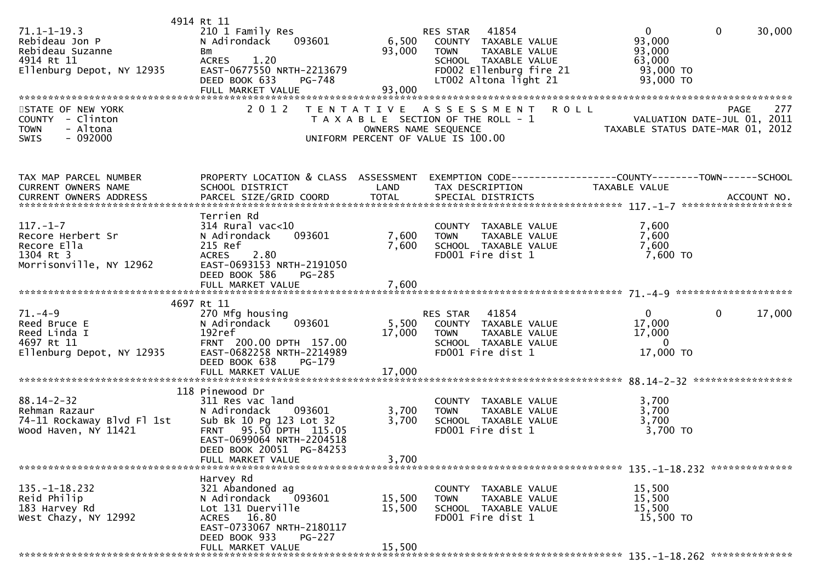| $71.1 - 1 - 19.3$<br>Rebideau Jon P<br>Rebideau Suzanne<br>4914 Rt 11<br>Ellenburg Depot, NY 12935 | 4914 Rt 11<br>210 1 Family Res<br>093601<br>N Adirondack<br>Bm<br>ACRES 1.20<br>EAST-0677550 NRTH-2213679<br>DEED BOOK 633<br>PG-748                                                          | 93,000                     | RES STAR 41854<br>6,500 COUNTY TAXABLE VALUE<br>TAXABLE VALUE<br><b>TOWN</b><br>SCHOOL TAXABLE VALUE<br>FD002 Ellenburg fire 21<br>LT002 Altona light 21 | $\overline{0}$<br>$\mathbf 0$<br>30,000<br>93,000<br>93,000<br>63,000<br>93,000 TO<br>93,000 TO                   |
|----------------------------------------------------------------------------------------------------|-----------------------------------------------------------------------------------------------------------------------------------------------------------------------------------------------|----------------------------|----------------------------------------------------------------------------------------------------------------------------------------------------------|-------------------------------------------------------------------------------------------------------------------|
| STATE OF NEW YORK<br>COUNTY - Clinton<br>- Altona<br><b>TOWN</b><br>SWIS<br>$-092000$              | 2 0 1 2                                                                                                                                                                                       |                            | TENTATIVE ASSESSMENT<br><b>ROLL</b><br>T A X A B L E SECTION OF THE ROLL - 1<br>OWNERS NAME SEQUENCE<br>UNIFORM PERCENT OF VALUE IS 100.00               | 277<br><b>PAGE</b><br>VALUATION DATE-JUL 01, 2011<br>TAXABLE STATUS DATE-MAR 01, 2012                             |
| TAX MAP PARCEL NUMBER<br>CURRENT OWNERS NAME<br>CURRENT OWNERS ADDRESS                             | SCHOOL DISTRICT                                                                                                                                                                               | <b>LAND</b>                | TAX DESCRIPTION                                                                                                                                          | PROPERTY LOCATION & CLASS ASSESSMENT EXEMPTION CODE----------------COUNTY-------TOWN------SCHOOL<br>TAXABLE VALUE |
| $117. - 1 - 7$<br>Recore Herbert Sr<br>Recore Ella<br>1304 Rt 3<br>Morrisonville, NY 12962         | Terrien Rd<br>$314$ Rural vac< $10$<br>093601<br>N Adirondack<br>215 Ref<br>2.80<br><b>ACRES</b><br>EAST-0693153 NRTH-2191050<br>DEED BOOK 586<br><b>PG-285</b>                               | 7,600<br>7,600             | COUNTY TAXABLE VALUE<br><b>TOWN</b><br>TAXABLE VALUE<br>SCHOOL TAXABLE VALUE<br>FD001 Fire dist 1                                                        | 7,600<br>7,600<br>7,600<br>7,600 TO                                                                               |
|                                                                                                    | FULL MARKET VALUE                                                                                                                                                                             | 7,600                      |                                                                                                                                                          |                                                                                                                   |
| $71. -4 - 9$<br>Reed Bruce E<br>Reed Linda I<br>4697 Rt 11<br>Ellenburg Depot, NY 12935            | 4697 Rt 11<br>270 Mfg housing<br>093601<br>N Adirondack<br>192ref<br>FRNT 200.00 DPTH 157.00<br>EAST-0682258 NRTH-2214989<br>DEED BOOK 638<br>PG-179                                          | 5,500<br>17,000            | RES STAR 41854<br>COUNTY TAXABLE VALUE<br>TAXABLE VALUE<br>TOWN<br>SCHOOL TAXABLE VALUE<br>FD001 Fire dist 1                                             | $\mathbf{0}$<br>$\mathbf{0}$<br>17,000<br>17,000<br>17,000<br>$\mathbf{0}$<br>17,000 TO                           |
|                                                                                                    |                                                                                                                                                                                               |                            |                                                                                                                                                          |                                                                                                                   |
| $88.14 - 2 - 32$<br>Rehman Razaur<br>74-11 Rockaway Blvd Fl 1st<br>Wood Haven, NY 11421            | 118 Pinewood Dr<br>311 Res vac land<br>N Adirondack 093601<br>Sub Bk 10 Pg 123 Lot 32<br>FRNT 95.50 DPTH 115.05<br>EAST-0699064 NRTH-2204518<br>DEED BOOK 20051 PG-84253<br>FULL MARKET VALUE | 3,700<br>3,700<br>3,700    | COUNTY TAXABLE VALUE<br><b>TOWN</b><br>TAXABLE VALUE<br>SCHOOL TAXABLE VALUE<br>FD001 Fire dist 1                                                        | 3,700<br>3,700<br>3,700<br>3,700 TO                                                                               |
| $135. - 1 - 18.232$<br>Reid Philip<br>183 Harvey Rd<br>West Chazy, NY 12992                        | Harvey Rd<br>321 Abandoned ag<br>N Adirondack<br>093601<br>Lot 131 Duerville<br>ACRES 16.80<br>EAST-0733067 NRTH-2180117<br>DEED BOOK 933<br><b>PG-227</b><br>FULL MARKET VALUE               | 15,500<br>15,500<br>15,500 | COUNTY TAXABLE VALUE<br>TAXABLE VALUE<br>TOWN<br>SCHOOL TAXABLE VALUE<br>FD001 Fire dist 1                                                               | 15,500<br>15,500<br>15,500<br>15,500 TO                                                                           |
|                                                                                                    |                                                                                                                                                                                               |                            |                                                                                                                                                          |                                                                                                                   |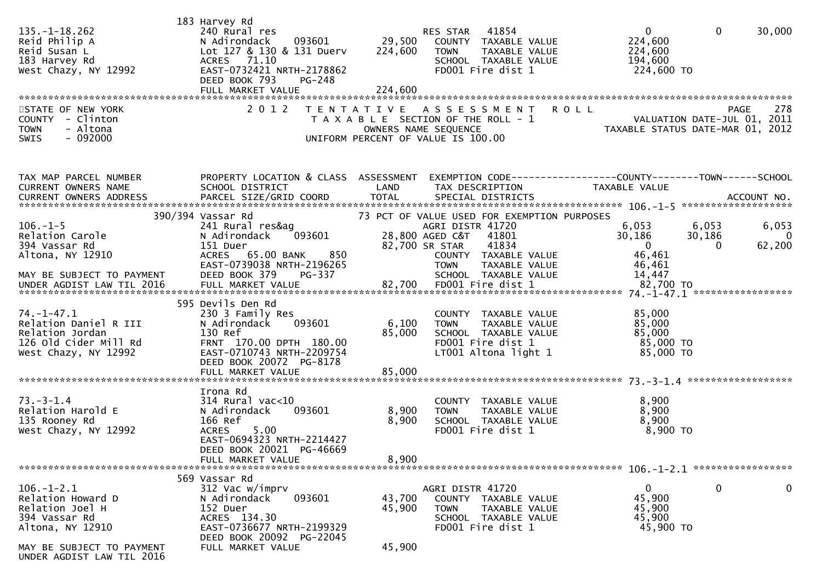| $135. - 1 - 18.262$<br>Reid Philip A<br>Reid Susan L<br>183 Harvey Rd<br>West Chazy, NY 12992                                                                   | 183 Harvey Rd<br>240 Rural res<br>093601<br>N Adirondack<br>Lot 127 & 130 & 131 Duerv<br>ACRES 71.10<br>EAST-0732421 NRTH-2178862<br>DEED BOOK 793<br>PG-248            | 29,500<br>224,600                               | RES STAR 41854<br>COUNTY TAXABLE VALUE<br>TAXABLE VALUE<br>TOWN<br>SCHOOL TAXABLE VALUE<br>FD001 Fire dist 1                                                      | $\mathbf{0}$<br>224,600<br>224,600<br>194,600<br>224,600 TO                        | $\overline{0}$<br>30,000                                |
|-----------------------------------------------------------------------------------------------------------------------------------------------------------------|-------------------------------------------------------------------------------------------------------------------------------------------------------------------------|-------------------------------------------------|-------------------------------------------------------------------------------------------------------------------------------------------------------------------|------------------------------------------------------------------------------------|---------------------------------------------------------|
| STATE OF NEW YORK<br>COUNTY - Clinton<br>- Altona<br><b>TOWN</b><br>$-092000$<br>SWIS                                                                           | 2 0 1 2                                                                                                                                                                 | OWNERS NAME SEQUENCE                            | TENTATIVE ASSESSMENT ROLL<br>T A X A B L E SECTION OF THE ROLL - 1<br>UNIFORM PERCENT OF VALUE IS 100.00                                                          | PAGE 278<br>VALUATION DATE-JUL 01, 2011<br>TAXABLE STATUS DATE-MAR 01, 2019        | 278<br><b>PAGE</b>                                      |
| TAX MAP PARCEL NUMBER<br>CURRENT OWNERS NAME<br>.CURRENT OWNERS ADDRESS PARCEL SIZE/GRID COORD TOTAL SPECIAL DISTRICTS ACCOUNT NO ACCOUNT NO ACCOUNT NO ACCOUNT | PROPERTY LOCATION & CLASS ASSESSMENT<br>SCHOOL DISTRICT                                                                                                                 | LAND                                            | EXEMPTION CODE----------------COUNTY-------TOWN------SCHOOL<br>TAX DESCRIPTION                                                                                    | TAXABLE VALUE                                                                      |                                                         |
| $106. - 1 - 5$<br>Relation Carole<br>394 Vassar Rd<br>Altona, NY 12910<br>MAY BE SUBJECT TO PAYMENT                                                             | 390/394 Vassar Rd<br>241 Rural res&ag<br>093601<br>N Adirondack<br>151 Duer<br>850<br>ACRES 65.00 BANK<br>EAST-0739038 NRTH-2196265<br>DEED BOOK 379<br>PG-337          | AGRI DISTR<br>28,800 AGED C&T<br>82,700 SR STAR | 73 PCT OF VALUE USED FOR EXEMPTION PURPOSES<br>AGRI DISTR 41720<br>41801<br>41834<br>COUNTY TAXABLE VALUE<br><b>TOWN</b><br>TAXABLE VALUE<br>SCHOOL TAXABLE VALUE | 6,053<br>6,053<br>30,186<br>30,186<br>$\overline{0}$<br>46,461<br>46,461<br>14,447 | 6,053<br>$\overline{\phantom{0}}$<br>62,200<br>$\Omega$ |
| $74. - 1 - 47.1$<br>Relation Daniel R III<br>Relation Jordan<br>126 Old Cider Mill Rd<br>West Chazy, NY 12992                                                   | 595 Devils Den Rd<br>230 3 Family Res<br>093601<br>N Adirondack<br>130 Ref<br>FRNT 170.00 DPTH 180.00<br>EAST-0710743 NRTH-2209754<br>DEED BOOK 20072 PG-8178           | 6,100<br>85,000                                 | COUNTY TAXABLE VALUE<br><b>TOWN</b><br>TAXABLE VALUE<br>SCHOOL TAXABLE VALUE<br>FD001 Fire dist 1<br>LT001 Altona light 1                                         | 85,000<br>85,000<br>85,000<br>85,000 TO<br>85,000 TO                               |                                                         |
| $73. - 3 - 1.4$<br>Relation Harold E<br>135 Rooney Rd<br>West Chazy, NY 12992                                                                                   | Irona Rd<br>314 Rural vac<10<br>093601<br>N Adirondack<br>166 Ref<br>5.00<br><b>ACRES</b><br>EAST-0694323 NRTH-2214427<br>DEED BOOK 20021 PG-46669<br>FULL MARKET VALUE | 8,900<br>8,900<br>8,900                         | COUNTY TAXABLE VALUE<br><b>TOWN</b><br>TAXABLE VALUE<br>SCHOOL TAXABLE VALUE<br>FD001 Fire dist 1                                                                 | 8,900<br>8,900<br>8,900<br>8,900 TO                                                |                                                         |
| $106. - 1 - 2.1$<br>Relation Howard D<br>Relation Joel H<br>394 Vassar Rd<br>Altona, NY 12910<br>MAY BE SUBJECT TO PAYMENT<br>UNDER AGDIST LAW TIL 2016         | 569 Vassar Rd<br>312 Vac w/imprv<br>N Adirondack<br>093601<br>152 Duer<br>ACRES 134.30<br>EAST-0736677 NRTH-2199329<br>DEED BOOK 20092 PG-22045<br>FULL MARKET VALUE    | 43,700<br>45,900<br>45,900                      | AGRI DISTR 41720<br>COUNTY TAXABLE VALUE<br>TAXABLE VALUE<br>TOWN<br>SCHOOL TAXABLE VALUE<br>FD001 Fire dist 1                                                    | 0<br>45,900<br>45,900<br>45,900<br>45,900 TO                                       | 0<br>0                                                  |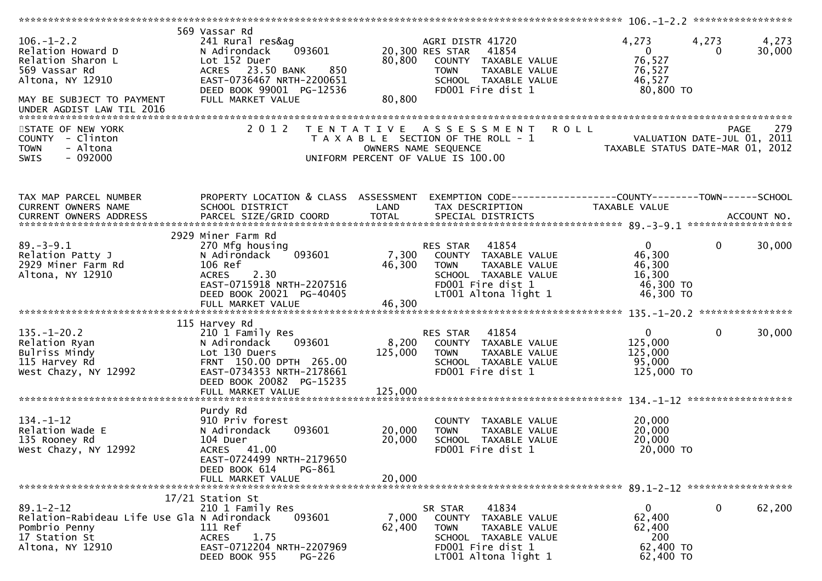| $106. - 1 - 2.2$<br>Relation Howard D<br>Relation Sharon L<br>569 Vassar Rd<br>Altona, NY 12910<br>MAY BE SUBJECT TO PAYMENT | 569 Vassar Rd<br>241 Rural res&ag<br>093601<br>N Adirondack<br>Lot 152 Duer<br>ACRES 23.50 BANK<br>850<br>EAST-0736467 NRTH-2200651<br>DEED BOOK 99001 PG-12536<br>FULL MARKET VALUE | 80,800<br>80,800            | AGRI DISTR 41720<br>20,300 RES STAR<br>41854<br>COUNTY TAXABLE VALUE<br>TAXABLE VALUE<br><b>TOWN</b><br>SCHOOL TAXABLE VALUE<br>FD001 Fire dist 1 | 4,273<br>$\overline{0}$<br>76,527<br>76,527<br>46,527<br>80,800 TO     | 4,273<br>4,273<br>30,000<br>0                     |
|------------------------------------------------------------------------------------------------------------------------------|--------------------------------------------------------------------------------------------------------------------------------------------------------------------------------------|-----------------------------|---------------------------------------------------------------------------------------------------------------------------------------------------|------------------------------------------------------------------------|---------------------------------------------------|
| STATE OF NEW YORK<br>COUNTY - Clinton<br>- Altona<br><b>TOWN</b><br>$-092000$<br><b>SWIS</b>                                 | 2 0 1 2                                                                                                                                                                              |                             | <b>ROLL</b><br>TENTATIVE ASSESSMENT<br>T A X A B L E SECTION OF THE ROLL - 1<br>OWNERS NAME SEQUENCE<br>UNIFORM PERCENT OF VALUE IS 100.00        | TAXABLE STATUS DATE-MAR 01, 2012                                       | 279<br><b>PAGE</b><br>VALUATION DATE-JUL 01, 2011 |
| TAX MAP PARCEL NUMBER<br>CURRENT OWNERS NAME                                                                                 | PROPERTY LOCATION & CLASS ASSESSMENT<br>SCHOOL DISTRICT                                                                                                                              | LAND                        | EXEMPTION CODE-----------------COUNTY-------TOWN------SCHOOL<br>TAX DESCRIPTION                                                                   | TAXABLE VALUE                                                          |                                                   |
| CURRENT OWNERS ADDRESS PARCEL SIZE/GRID COORD TOTAL SPECIAL DISTRICTS (2014) ACCOUNT NO.                                     |                                                                                                                                                                                      |                             |                                                                                                                                                   |                                                                        |                                                   |
| $89. - 3 - 9.1$<br>Relation Patty J<br>2929 Miner Farm Rd<br>Altona, NY 12910                                                | 2929 Miner Farm Rd<br>270 Mfg housing<br>093601<br>N Adirondack<br>106 Ref<br>ACRES 2.30<br>EAST-0715918 NRTH-2207516<br>DEED BOOK 20021 PG-40405                                    | 7,300<br>46,300             | 41854<br>RES STAR<br>COUNTY TAXABLE VALUE<br><b>TOWN</b><br>TAXABLE VALUE<br>SCHOOL TAXABLE VALUE<br>FD001 Fire dist 1<br>LT001 Altona light 1    | $\overline{0}$<br>46,300<br>46,300<br>16,300<br>46,300 TO<br>46,300 TO | $\mathbf 0$<br>30,000                             |
|                                                                                                                              | 115 Harvey Rd                                                                                                                                                                        |                             |                                                                                                                                                   |                                                                        |                                                   |
| $135. - 1 - 20.2$<br>Relation Ryan<br>Bulriss Mindy<br>115 Harvey Rd<br>West Chazy, NY 12992                                 | 210 1 Family Res<br>N Adirondack<br>093601<br>Lot 130 Duers<br>FRNT 150.00 DPTH 265.00<br>EAST-0734353 NRTH-2178661<br>DEED BOOK 20082 PG-15235<br>FULL MARKET VALUE                 | 8,200<br>125,000<br>125,000 | 41854<br>RES STAR<br>COUNTY TAXABLE VALUE<br><b>TOWN</b><br>TAXABLE VALUE<br>SCHOOL TAXABLE VALUE<br>FD001 Fire dist 1                            | $\mathbf{0}$<br>125,000<br>125,000<br>95,000<br>125,000 TO             | $\mathbf 0$<br>30,000                             |
|                                                                                                                              | Purdy Rd                                                                                                                                                                             |                             |                                                                                                                                                   |                                                                        |                                                   |
| $134. - 1 - 12$<br>Relation Wade E<br>135 Rooney Rd<br>West Chazy, NY 12992                                                  | 910 Priv forest<br>093601<br>N Adirondack<br>104 Duer<br>ACRES 41.00<br>EAST-0724499 NRTH-2179650<br>DEED BOOK 614<br>PG-861                                                         | 20,000<br>20,000            | COUNTY TAXABLE VALUE<br>TAXABLE VALUE<br><b>TOWN</b><br>SCHOOL TAXABLE VALUE<br>FD001 Fire dist 1                                                 | 20,000<br>20,000<br>20,000<br>20,000 TO                                |                                                   |
|                                                                                                                              | FULL MARKET VALUE                                                                                                                                                                    | 20,000                      |                                                                                                                                                   |                                                                        |                                                   |
| $89.1 - 2 - 12$<br>Relation-Rabideau Life Use Gla N Adirondack<br>Pombrio Penny<br>17 Station St<br>Altona, NY 12910         | 17/21 Station St<br>210 1 Family Res<br>093601<br>111 Ref<br><b>ACRES</b><br>1.75<br>EAST-0712204 NRTH-2207969<br>DEED BOOK 955<br>$PG-226$                                          | 7,000<br>62,400             | 41834<br>SR STAR<br>COUNTY TAXABLE VALUE<br>TAXABLE VALUE<br><b>TOWN</b><br>SCHOOL TAXABLE VALUE<br>FD001 Fire dist 1<br>LT001 Altona light 1     | $\mathbf{0}$<br>62,400<br>62,400<br>200<br>62,400 TO<br>62,400 TO      | 0<br>62,200                                       |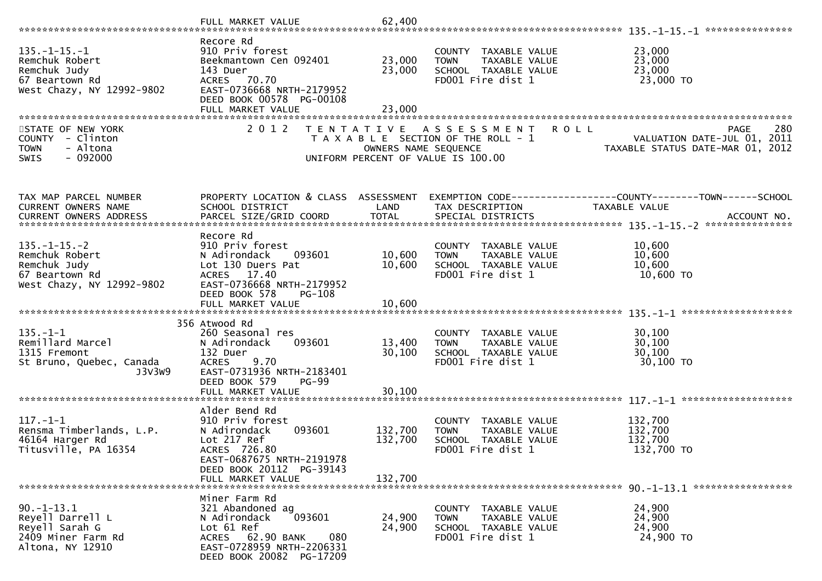| $135. - 1 - 15. - 1$<br>Remchuk Robert<br>Remchuk Judy<br>67 Beartown Rd<br>West Chazy, NY 12992-9802 | Recore Rd<br>910 Priv forest<br>Beekmantown Cen 092401<br>143 Duer<br>ACRES 70.70<br>EAST-0736668 NRTH-2179952<br>DEED BOOK 00578 PG-00108                    | 23,000<br>23,000     | COUNTY TAXABLE VALUE<br><b>TOWN</b><br>TAXABLE VALUE<br>SCHOOL TAXABLE VALUE<br>FD001 Fire dist 1                 | 23,000<br>23,000<br>23,000<br>23,000 TO                                                   |
|-------------------------------------------------------------------------------------------------------|---------------------------------------------------------------------------------------------------------------------------------------------------------------|----------------------|-------------------------------------------------------------------------------------------------------------------|-------------------------------------------------------------------------------------------|
|                                                                                                       | FULL MARKET VALUE                                                                                                                                             | 23,000               |                                                                                                                   |                                                                                           |
|                                                                                                       |                                                                                                                                                               |                      |                                                                                                                   |                                                                                           |
| STATE OF NEW YORK<br>COUNTY - Clinton<br><b>TOWN</b><br>- Altona<br>$-092000$<br><b>SWIS</b>          | 2 0 1 2<br>T E N T A T I V E                                                                                                                                  | OWNERS NAME SEQUENCE | A S S E S S M E N T<br><b>ROLL</b><br>T A X A B L E SECTION OF THE ROLL - 1<br>UNIFORM PERCENT OF VALUE IS 100.00 | 280<br><b>PAGE</b><br>VALUATION DATE-JUL 01, 2011<br>TAXABLE STATUS DATE-MAR 01,<br>-2012 |
| TAX MAP PARCEL NUMBER                                                                                 | PROPERTY LOCATION & CLASS ASSESSMENT                                                                                                                          |                      |                                                                                                                   | EXEMPTION CODE------------------COUNTY--------TOWN------SCHOOL                            |
| CURRENT OWNERS NAME                                                                                   | SCHOOL DISTRICT                                                                                                                                               | LAND                 | TAX DESCRIPTION                                                                                                   | TAXABLE VALUE                                                                             |
|                                                                                                       |                                                                                                                                                               |                      |                                                                                                                   |                                                                                           |
|                                                                                                       |                                                                                                                                                               |                      |                                                                                                                   |                                                                                           |
| $135. - 1 - 15. - 2$<br>Remchuk Robert<br>Remchuk Judy<br>67 Beartown Rd<br>West Chazy, NY 12992-9802 | Recore Rd<br>910 Priv forest<br>N Adirondack<br>093601<br>Lot 130 Duers Pat<br>ACRES 17.40<br>EAST-0736668 NRTH-2179952                                       | 10,600<br>10,600     | COUNTY TAXABLE VALUE<br>TAXABLE VALUE<br><b>TOWN</b><br>SCHOOL TAXABLE VALUE<br>FD001 Fire dist 1                 | 10,600<br>10,600<br>10,600<br>10,600 TO                                                   |
|                                                                                                       | DEED BOOK 578<br><b>PG-108</b>                                                                                                                                |                      |                                                                                                                   |                                                                                           |
|                                                                                                       |                                                                                                                                                               |                      |                                                                                                                   |                                                                                           |
|                                                                                                       | 356 Atwood Rd                                                                                                                                                 |                      |                                                                                                                   |                                                                                           |
| $135. - 1 - 1$                                                                                        | 260 Seasonal res                                                                                                                                              |                      | COUNTY TAXABLE VALUE                                                                                              | 30,100                                                                                    |
| Remillard Marcel<br>1315 Fremont                                                                      | 093601<br>N Adirondack<br>132 Duer                                                                                                                            | 13,400<br>30,100     | TAXABLE VALUE<br><b>TOWN</b><br>SCHOOL TAXABLE VALUE                                                              | 30,100<br>30,100                                                                          |
| St Bruno, Quebec, Canada<br>J3V3W9                                                                    | <b>ACRES</b><br>9.70<br>EAST-0731936 NRTH-2183401<br>DEED BOOK 579<br>$PG-99$                                                                                 |                      | FD001 Fire dist 1                                                                                                 | 30,100 TO                                                                                 |
|                                                                                                       | FULL MARKET VALUE                                                                                                                                             | 30,100               |                                                                                                                   |                                                                                           |
|                                                                                                       | Alder Bend Rd                                                                                                                                                 |                      |                                                                                                                   |                                                                                           |
| $117. - 1 - 1$<br>Rensma Timberlands, L.P.<br>46164 Harger Rd<br>Titusville, PA 16354                 | 910 Priv forest<br>N Adirondack<br>093601<br>Lot 217 Ref<br>ACRES 726.80<br>EAST-0687675 NRTH-2191978<br>DEED BOOK 20112 PG-39143                             | 132,700<br>132,700   | COUNTY TAXABLE VALUE<br>TAXABLE VALUE<br><b>TOWN</b><br>SCHOOL TAXABLE VALUE<br>FD001 Fire dist 1                 | 132,700<br>132,700<br>132,700<br>132,700 TO                                               |
|                                                                                                       | FULL MARKET VALUE                                                                                                                                             | 132,700              |                                                                                                                   |                                                                                           |
|                                                                                                       |                                                                                                                                                               |                      |                                                                                                                   |                                                                                           |
| $90. -1 - 13.1$<br>Reyell Darrell L<br>Reyell Sarah G<br>2409 Miner Farm Rd<br>Altona, NY 12910       | Miner Farm Rd<br>321 Abandoned ag<br>093601<br>N Adirondack<br>Lot 61 Ref<br>ACRES 62.90 BANK<br>080<br>EAST-0728959 NRTH-2206331<br>DEED BOOK 20082 PG-17209 | 24,900<br>24,900     | COUNTY TAXABLE VALUE<br>TAXABLE VALUE<br><b>TOWN</b><br>SCHOOL TAXABLE VALUE<br>FD001 Fire dist 1                 | 24,900<br>24,900<br>24,900<br>24,900 TO                                                   |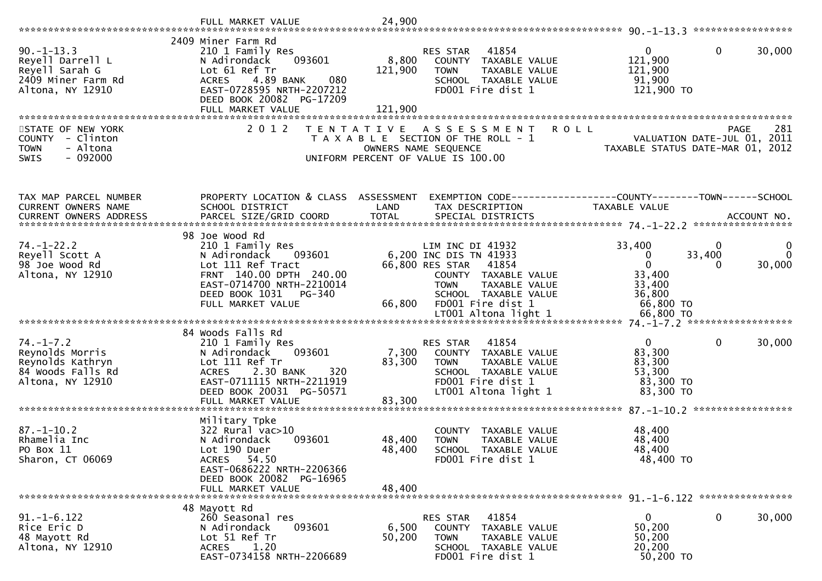|                                                                                                 | FULL MARKET VALUE                                                                                                                                                              | 24,900           |                                                                                                                                                |                                                                        |                                                    |
|-------------------------------------------------------------------------------------------------|--------------------------------------------------------------------------------------------------------------------------------------------------------------------------------|------------------|------------------------------------------------------------------------------------------------------------------------------------------------|------------------------------------------------------------------------|----------------------------------------------------|
|                                                                                                 |                                                                                                                                                                                |                  |                                                                                                                                                |                                                                        |                                                    |
| $90. -1 - 13.3$<br>Reyell Darrell L<br>Reyell Sarah G<br>2409 Miner Farm Rd<br>Altona, NY 12910 | 2409 Miner Farm Rd<br>210 1 Family Res<br>093601<br>N Adirondack<br>Lot 61 Ref Tr<br>4.89 BANK<br>080<br><b>ACRES</b><br>EAST-0728595 NRTH-2207212<br>DEED BOOK 20082 PG-17209 | 8,800<br>121,900 | 41854<br>RES STAR<br>COUNTY TAXABLE VALUE<br>TAXABLE VALUE<br><b>TOWN</b><br>SCHOOL TAXABLE VALUE<br>FD001 Fire dist 1                         | $\overline{0}$<br>121,900<br>121,900<br>91,900<br>121,900 TO           | $\mathbf 0$<br>30,000                              |
|                                                                                                 | FULL MARKET VALUE                                                                                                                                                              | 121,900          |                                                                                                                                                |                                                                        |                                                    |
|                                                                                                 |                                                                                                                                                                                |                  |                                                                                                                                                |                                                                        |                                                    |
| STATE OF NEW YORK<br>COUNTY - Clinton<br>- Altona<br><b>TOWN</b><br>- 092000<br>SWIS            | 2 0 1 2<br>T E N T A T I V E                                                                                                                                                   |                  | A S S E S S M E N T<br>T A X A B L E SECTION OF THE ROLL - 1<br>OWNERS NAME SEQUENCE<br>UNIFORM PERCENT OF VALUE IS 100.00                     | <b>ROLL</b><br>TAXABLE STATUS DATE-MAR 01,                             | 281<br>PAGE<br>VALUATION DATE-JUL 01, 2011<br>2012 |
| TAX MAP PARCEL NUMBER                                                                           | PROPERTY LOCATION & CLASS ASSESSMENT                                                                                                                                           |                  | EXEMPTION CODE------------------COUNTY--------TOWN------SCHOOL                                                                                 |                                                                        |                                                    |
| CURRENT OWNERS NAME                                                                             | SCHOOL DISTRICT                                                                                                                                                                | LAND             | TAX DESCRIPTION                                                                                                                                | TAXABLE VALUE                                                          |                                                    |
|                                                                                                 |                                                                                                                                                                                |                  |                                                                                                                                                |                                                                        |                                                    |
| $74. - 1 - 22.2$<br>Reyell Scott A                                                              | 98 Joe Wood Rd<br>210 1 Family Res<br>N Adirondack<br>093601                                                                                                                   |                  | LIM INC DI 41932<br>6,200 INC DIS TN 41933                                                                                                     | 33,400<br>$\mathbf 0$                                                  | 0<br>0<br>33,400<br>$\mathbf{0}$                   |
| 98 Joe Wood Rd<br>Altona, NY 12910                                                              | Lot 111 Ref Tract<br>FRNT 140.00 DPTH 240.00<br>EAST-0714700 NRTH-2210014<br>DEED BOOK 1031<br>PG-340<br>FULL MARKET VALUE                                                     | 66,800           | 66,800 RES STAR<br>41854<br>COUNTY TAXABLE VALUE<br>TAXABLE VALUE<br><b>TOWN</b><br>SCHOOL TAXABLE VALUE<br>FD001 Fire dist 1                  | $\mathbf 0$<br>33,400<br>33,400<br>36,800<br>66,800 TO                 | 30,000                                             |
|                                                                                                 |                                                                                                                                                                                |                  |                                                                                                                                                |                                                                        |                                                    |
| $74. - 1 - 7.2$<br>Reynolds Morris<br>Reynolds Kathryn<br>84 Woods Falls Rd<br>Altona, NY 12910 | 84 Woods Falls Rd<br>210 1 Family Res<br>093601<br>N Adirondack<br>Lot 111 Ref Tr<br>2.30 BANK<br>320<br><b>ACRES</b><br>EAST-0711115 NRTH-2211919<br>DEED BOOK 20031 PG-50571 | 7,300<br>83,300  | RES STAR<br>41854<br>COUNTY TAXABLE VALUE<br><b>TOWN</b><br>TAXABLE VALUE<br>SCHOOL TAXABLE VALUE<br>FD001 Fire dist 1<br>LT001 Altona light 1 | $\overline{0}$<br>83,300<br>83,300<br>53,300<br>83,300 TO<br>83,300 TO | $\mathbf 0$<br>30,000                              |
|                                                                                                 | FULL MARKET VALUE                                                                                                                                                              | 83,300           |                                                                                                                                                |                                                                        |                                                    |
| $87. - 1 - 10.2$<br>Rhamelia Inc<br>PO Box 11<br>Sharon, CT 06069                               | Military Tpke<br>$322$ Rural vac $>10$<br>093601<br>N Adirondack<br>Lot 190 Duer<br>54.50<br>ACRES<br>EAST-0686222 NRTH-2206366<br>DEED BOOK 20082 PG-16965                    | 48,400<br>48,400 | COUNTY<br>TAXABLE VALUE<br><b>TOWN</b><br>TAXABLE VALUE<br><b>SCHOOL</b><br>TAXABLE VALUE<br>FD001 Fire dist 1                                 | 48,400<br>48,400<br>48,400<br>48,400 TO                                |                                                    |
|                                                                                                 | FULL MARKET VALUE                                                                                                                                                              | 48,400           |                                                                                                                                                |                                                                        |                                                    |
|                                                                                                 |                                                                                                                                                                                |                  |                                                                                                                                                |                                                                        |                                                    |
| $91. -1 - 6.122$<br>Rice Eric D<br>48 Mayott Rd<br>Altona, NY 12910                             | 48 Mayott Rd<br>260 Seasonal res<br>N Adirondack<br>093601<br>Lot 51 Ref Tr<br>1.20<br>ACRES<br>EAST-0734158 NRTH-2206689                                                      | 6,500<br>50,200  | 41854<br>RES STAR<br>COUNTY TAXABLE VALUE<br><b>TOWN</b><br>TAXABLE VALUE<br>SCHOOL TAXABLE VALUE<br>FD001 Fire dist 1                         | $\mathbf{0}$<br>50,200<br>50,200<br>20,200<br>50,200 TO                | 30,000<br>$\bf{0}$                                 |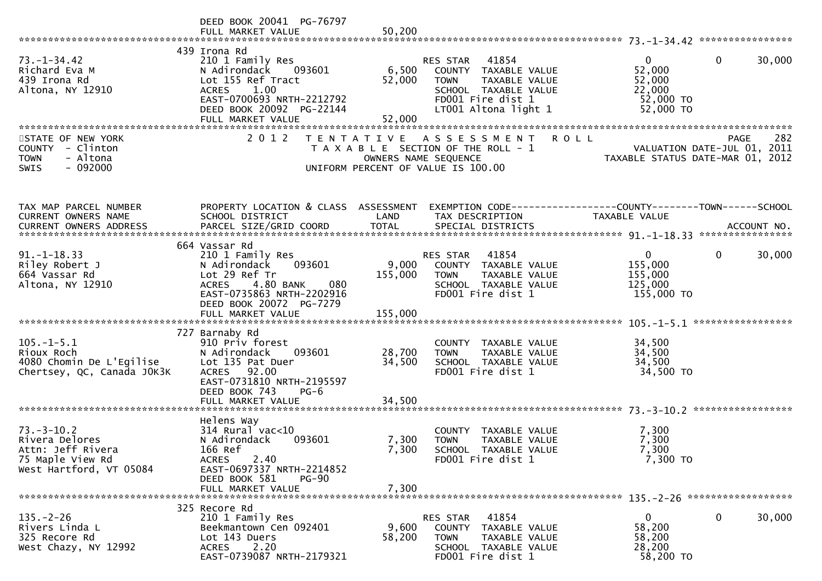|                                                                                                        | DEED BOOK 20041 PG-76797                                                                                                                                                              |                           |                                                                                                                                             |                                                                                      |                    |
|--------------------------------------------------------------------------------------------------------|---------------------------------------------------------------------------------------------------------------------------------------------------------------------------------------|---------------------------|---------------------------------------------------------------------------------------------------------------------------------------------|--------------------------------------------------------------------------------------|--------------------|
| $73. - 1 - 34.42$<br>Richard Eva M<br>439 Irona Rd<br>Altona, NY 12910                                 | 439 Irona Rd<br>210 1 Family Res<br>N Adirondack<br>093601<br>Lot 155 Ref Tract<br><b>ACRES</b><br>1.00<br>EAST-0700693 NRTH-2212792<br>DEED BOOK 20092 PG-22144<br>FULL MARKET VALUE | 6,500<br>52,000<br>52,000 | RES STAR 41854<br>COUNTY TAXABLE VALUE<br><b>TOWN</b><br>TAXABLE VALUE<br>SCHOOL TAXABLE VALUE<br>FD001 Fire dist 1<br>LT001 Altona light 1 | $\mathbf{0}$<br>$\mathbf{0}$<br>52,000<br>52,000<br>22,000<br>52,000 TO<br>52,000 TO | 30,000             |
| STATE OF NEW YORK<br>COUNTY - Clinton<br>- Altona<br><b>TOWN</b><br>$-092000$<br><b>SWIS</b>           | 2 0 1 2                                                                                                                                                                               |                           | <b>ROLL</b><br>TENTATIVE ASSESSMENT<br>T A X A B L E SECTION OF THE ROLL - 1<br>OWNERS NAME SEQUENCE<br>UNIFORM PERCENT OF VALUE IS 100.00  | VALUATION DATE-JUL 01, 2011<br>TAXABLE STATUS DATE-MAR 01, 2012                      | 282<br><b>PAGE</b> |
| TAX MAP PARCEL NUMBER<br>CURRENT OWNERS NAME                                                           | PROPERTY LOCATION & CLASS ASSESSMENT<br>SCHOOL DISTRICT                                                                                                                               | LAND                      | TAX DESCRIPTION                                                                                                                             | EXEMPTION CODE-----------------COUNTY-------TOWN------SCHOOL<br>TAXABLE VALUE        |                    |
| $91. -1 - 18.33$<br>Riley Robert J<br>664 Vassar Rd<br>Altona, NY 12910                                | 664 Vassar Rd<br>210 1 Family Res<br>093601<br>N Adirondack<br>Lot 29 Ref Tr<br>4.80 BANK<br>080<br><b>ACRES</b><br>EAST-0735863 NRTH-2202916<br>DEED BOOK 20072 PG-7279              | 9,000<br>155,000          | 41854<br>RES STAR<br>COUNTY TAXABLE VALUE<br><b>TOWN</b><br>TAXABLE VALUE<br>SCHOOL TAXABLE VALUE<br>FD001 Fire dist 1                      | $\overline{0}$<br>$\mathbf 0$<br>155,000<br>155,000<br>125,000<br>155,000 TO         | 30,000             |
| $105. - 1 - 5.1$<br>Rioux Roch<br>4080 Chomin De L'Egilise<br>Chertsey, QC, Canada JOK3K               | 727 Barnaby Rd<br>910 Priv forest<br>093601<br>N Adirondack<br>Lot 135 Pat Duer<br>ACRES 92.00<br>EAST-0731810 NRTH-2195597<br>DEED BOOK 743<br>$PG-6$                                | 28,700<br>34,500          | COUNTY TAXABLE VALUE<br><b>TOWN</b><br>TAXABLE VALUE<br>SCHOOL TAXABLE VALUE<br>FD001 Fire dist 1                                           | 34,500<br>34,500<br>34,500<br>34,500 TO                                              |                    |
|                                                                                                        |                                                                                                                                                                                       |                           |                                                                                                                                             |                                                                                      |                    |
| $73. - 3 - 10.2$<br>Rivera Delores<br>Attn: Jeff Rivera<br>75 Maple View Rd<br>West Hartford, VT 05084 | Helens Way<br>$314$ Rural vac< $10$<br>N Adirondack<br>093601<br>166 Ref<br>2.40<br><b>ACRES</b><br>EAST-0697337 NRTH-2214852<br>DEED BOOK 581<br>$PG-90$                             | 7,300<br>7,300            | COUNTY TAXABLE VALUE<br>TAXABLE VALUE<br><b>TOWN</b><br>SCHOOL TAXABLE VALUE<br>FD001 Fire dist 1                                           | 7,300<br>7,300<br>7,300<br>7,300 TO                                                  |                    |
|                                                                                                        | FULL MARKET VALUE                                                                                                                                                                     | 7,300                     |                                                                                                                                             |                                                                                      |                    |
| $135. - 2 - 26$<br>Rivers Linda L<br>325 Recore Rd<br>West Chazy, NY 12992                             | 325 Recore Rd<br>210 1 Family Res<br>Beekmantown Cen 092401<br>Lot 143 Duers<br>2.20<br><b>ACRES</b><br>EAST-0739087 NRTH-2179321                                                     | 9,600<br>58,200           | 41854<br>RES STAR<br>COUNTY TAXABLE VALUE<br>TAXABLE VALUE<br><b>TOWN</b><br>SCHOOL TAXABLE VALUE<br>FD001 Fire dist 1                      | $\mathbf{0}$<br>$\mathbf 0$<br>58,200<br>58,200<br>28,200<br>58,200 TO               | 30,000             |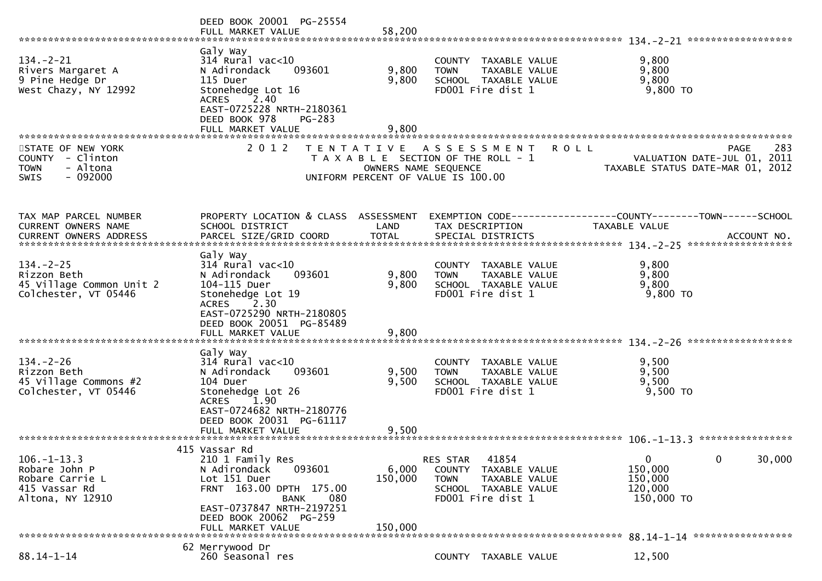|                                                                                              | DEED BOOK 20001 PG-25554<br>FULL MARKET VALUE                                                                                                                                                                                       | 58,200                  |                                                                                                                        |                                                                     |                                                                 |             |        |
|----------------------------------------------------------------------------------------------|-------------------------------------------------------------------------------------------------------------------------------------------------------------------------------------------------------------------------------------|-------------------------|------------------------------------------------------------------------------------------------------------------------|---------------------------------------------------------------------|-----------------------------------------------------------------|-------------|--------|
| $134. - 2 - 21$<br>Rivers Margaret A<br>9 Pine Hedge Dr<br>West Chazy, NY 12992              | Galy Way<br>$314$ Rural vac<10<br>N Adirondack<br>093601<br>115 Duer<br>Stonehedge Lot 16<br>ACRES 2.40<br>EAST-0725228 NRTH-2180361<br>DEED BOOK 978<br>PG-283<br>FULL MARKET VALUE                                                | 9,800<br>9,800<br>9,800 | COUNTY TAXABLE VALUE<br><b>TOWN</b><br>SCHOOL TAXABLE VALUE<br>FD001 Fire dist 1                                       | TAXABLE VALUE                                                       | 9,800<br>9,800<br>9,800<br>9,800 TO                             |             |        |
| STATE OF NEW YORK<br>COUNTY - Clinton<br>- Altona<br><b>TOWN</b><br>$-092000$<br><b>SWIS</b> | 2 0 1 2                                                                                                                                                                                                                             | OWNERS NAME SEQUENCE    | TENTATIVE ASSESSMENT<br>T A X A B L E SECTION OF THE ROLL - 1<br>UNIFORM PERCENT OF VALUE IS 100.00                    | <b>ROLL</b>                                                         | VALUATION DATE-JUL 01, 2011<br>TAXABLE STATUS DATE-MAR 01, 2012 | PAGE        | 283    |
| TAX MAP PARCEL NUMBER<br><b>CURRENT OWNERS NAME</b>                                          | PROPERTY LOCATION & CLASS ASSESSMENT<br>SCHOOL DISTRICT                                                                                                                                                                             | LAND                    | TAX DESCRIPTION                                                                                                        | EXEMPTION        CODE-----------------COUNTY-------TOWN------SCHOOL | TAXABLE VALUE                                                   |             |        |
| $134. - 2 - 25$<br>Rizzon Beth<br>45 Village Common Unit 2<br>Colchester, VT 05446           | Galy Way<br>$314$ Rural vac<10<br>N Adirondack<br>093601<br>104-115 Duer<br>Stonehedge Lot 19<br>$^{\textcolor{red}{\textbf{72.30}}}$<br><b>ACRES</b><br>EAST-0725290 NRTH-2180805<br>DEED BOOK 20051 PG-85489<br>FULL MARKET VALUE | 9,800<br>9,800<br>9,800 | COUNTY TAXABLE VALUE<br>TAXABLE VALUE<br><b>TOWN</b><br>SCHOOL TAXABLE VALUE<br>FD001 Fire dist 1                      |                                                                     | 9,800<br>9,800<br>9,800<br>9,800 TO                             |             |        |
| $134. - 2 - 26$<br>Rizzon Beth<br>45 Village Commons #2<br>Colchester, VT 05446              | Galy Way<br>$314$ Rural vac< $10$<br>093601<br>N Adirondack<br>104 Duer<br>Stonehedge Lot 26<br>ACRES 1.90<br>EAST-0724682 NRTH-2180776<br>DEED BOOK 20031 PG-61117                                                                 | 9,500<br>9,500          | COUNTY TAXABLE VALUE<br>TAXABLE VALUE<br><b>TOWN</b><br>SCHOOL TAXABLE VALUE<br>FD001 Fire dist 1                      |                                                                     | 9,500<br>9,500<br>9,500<br>$9,500$ TO                           |             |        |
| $106. - 1 - 13.3$<br>Robare John P<br>Robare Carrie L<br>415 Vassar Rd<br>Altona, NY 12910   | 415 Vassar Rd<br>210 1 Family Res<br>N Adirondack<br>093601<br>Lot 151 Duer<br>FRNT 163.00 DPTH 175.00<br>080<br><b>BANK</b><br>EAST-0737847 NRTH-2197251<br>DEED BOOK 20062 PG-259                                                 | 6,000<br>150,000        | 41854<br>RES STAR<br>COUNTY TAXABLE VALUE<br><b>TOWN</b><br>TAXABLE VALUE<br>SCHOOL TAXABLE VALUE<br>FD001 Fire dist 1 |                                                                     | $\mathbf{0}$<br>150,000<br>150,000<br>120,000<br>150,000 TO     | $\mathbf 0$ | 30,000 |
|                                                                                              | FULL MARKET VALUE                                                                                                                                                                                                                   | 150,000                 |                                                                                                                        |                                                                     | 88.14-1-14 ******************                                   |             |        |
| $88.14 - 1 - 14$                                                                             | 62 Merrywood Dr<br>260 Seasonal res                                                                                                                                                                                                 |                         | COUNTY TAXABLE VALUE                                                                                                   |                                                                     | 12,500                                                          |             |        |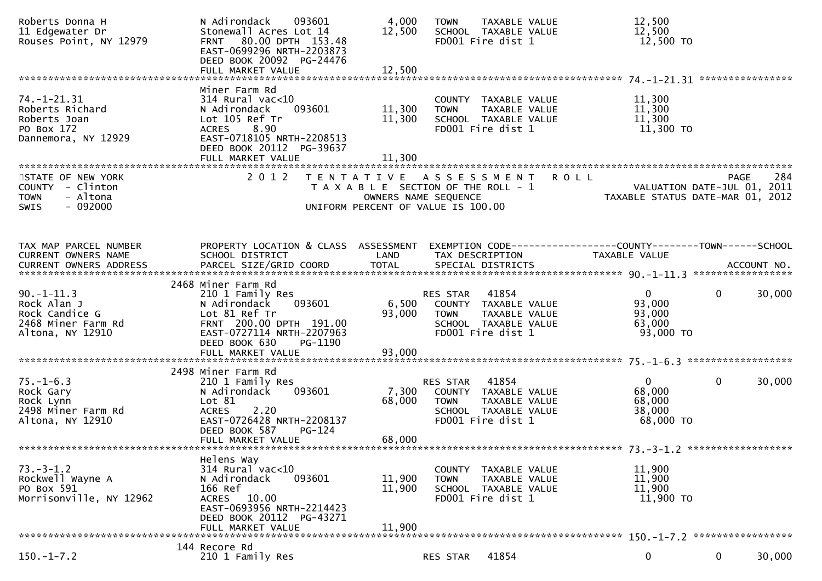| Roberts Donna H<br>11 Edgewater Dr<br>Rouses Point, NY 12979                                                                                                                                          | N Adirondack<br>093601<br>Stonewall Acres Lot 14<br>80.00 DPTH 153.48<br><b>FRNT</b><br>EAST-0699296 NRTH-2203873<br>DEED BOOK 20092 PG-24476                                              | 4,000<br>12,500                                                                                                          | <b>TOWN</b>                    | <b>TAXABLE VALUE</b><br>SCHOOL TAXABLE VALUE<br>FD001 Fire dist 1                           | 12,500<br>12,500<br>12,500 TO                                                        |                                                           |
|-------------------------------------------------------------------------------------------------------------------------------------------------------------------------------------------------------|--------------------------------------------------------------------------------------------------------------------------------------------------------------------------------------------|--------------------------------------------------------------------------------------------------------------------------|--------------------------------|---------------------------------------------------------------------------------------------|--------------------------------------------------------------------------------------|-----------------------------------------------------------|
|                                                                                                                                                                                                       |                                                                                                                                                                                            |                                                                                                                          |                                |                                                                                             |                                                                                      |                                                           |
| $74. - 1 - 21.31$<br>Roberts Richard<br>Roberts Joan<br>PO Box 172<br>Dannemora, NY 12929                                                                                                             | Miner Farm Rd<br>$314$ Rural vac<10<br>093601<br>N Adirondack<br>Lot 105 Ref Tr<br>8.90<br><b>ACRES</b><br>EAST-0718105 NRTH-2208513<br>DEED BOOK 20112 PG-39637<br>FULL MARKET VALUE      | 11,300<br>11,300<br>11,300                                                                                               | <b>TOWN</b>                    | COUNTY TAXABLE VALUE<br>TAXABLE VALUE<br>SCHOOL TAXABLE VALUE<br>FD001 Fire dist 1          | 11,300<br>11,300<br>11,300<br>11,300 TO                                              |                                                           |
| STATE OF NEW YORK<br>COUNTY - Clinton<br>- Altona<br><b>TOWN</b><br>$-092000$<br><b>SWIS</b>                                                                                                          | 2 0 1 2                                                                                                                                                                                    | T E N T A T I V E<br>T A X A B L E SECTION OF THE ROLL - 1<br>OWNERS NAME SEQUENCE<br>UNIFORM PERCENT OF VALUE IS 100.00 | A S S E S S M E N T            |                                                                                             | <b>ROLL</b><br>TAXABLE STATUS DATE-MAR 01,                                           | 284<br><b>PAGE</b><br>VALUATION DATE-JUL 01, 2011<br>2012 |
| TAX MAP PARCEL NUMBER<br>CURRENT OWNERS NAME<br>CURRENT OWNERS ADDRESS PARCEL SIZE/GRID COORD TOTAL SPECIAL DISTRICTS (2011) 1914 SPENT OWNERS ADDRESS PARCEL SIZE/GRID COORD TOTAL SPECIAL DISTRICTS | PROPERTY LOCATION & CLASS ASSESSMENT<br>SCHOOL DISTRICT                                                                                                                                    | LAND                                                                                                                     | TAX DESCRIPTION                |                                                                                             | EXEMPTION        CODE-----------------COUNTY-------TOWN------SCHOOL<br>TAXABLE VALUE |                                                           |
| $90. -1 - 11.3$<br>Rock Alan J<br>Rock Candice G<br>2468 Miner Farm Rd<br>Altona, NY 12910                                                                                                            | 2468 Miner Farm Rd<br>210 1 Family Res<br>093601<br>N Adirondack<br>Lot 81 Ref Tr<br>FRNT 200.00 DPTH 191.00<br>EAST-0727114 NRTH-2207963<br>DEED BOOK 630<br>PG-1190<br>FULL MARKET VALUE | 6,500<br>93,000<br>93,000                                                                                                | <b>RES STAR</b><br><b>TOWN</b> | 41854<br>COUNTY TAXABLE VALUE<br>TAXABLE VALUE<br>SCHOOL TAXABLE VALUE<br>FD001 Fire dist 1 | $\mathbf{0}$<br>93,000<br>93,000<br>63,000<br>93,000 TO                              | $\mathbf{0}$<br>30,000                                    |
|                                                                                                                                                                                                       |                                                                                                                                                                                            |                                                                                                                          |                                |                                                                                             |                                                                                      |                                                           |
| $75. - 1 - 6.3$<br>Rock Gary<br>Rock Lynn<br>2498 Miner Farm Rd<br>Altona, NY 12910                                                                                                                   | 2498 Miner Farm Rd<br>210 1 Family Res<br>N Adirondack<br>093601<br>Lot 81<br>2.20<br><b>ACRES</b><br>EAST-0726428 NRTH-2208137<br>DEED BOOK 587<br>$PG-124$<br>FULL MARKET VALUE          | 7,300<br>68,000<br>68,000                                                                                                | RES STAR<br><b>TOWN</b>        | 41854<br>COUNTY TAXABLE VALUE<br>TAXABLE VALUE<br>SCHOOL TAXABLE VALUE<br>FD001 Fire dist 1 | $\Omega$<br>68,000<br>68,000<br>38,000<br>68,000 TO                                  | $\mathbf{0}$<br>30,000                                    |
|                                                                                                                                                                                                       |                                                                                                                                                                                            |                                                                                                                          |                                |                                                                                             |                                                                                      |                                                           |
| $73. - 3 - 1.2$<br>Rockwell Wayne A<br>PO Box 591<br>Morrisonville, NY 12962                                                                                                                          | Helens Way<br>$314$ Rural vac< $10$<br>N Adirondack<br>093601<br>166 Ref<br>10.00<br>ACRES<br>EAST-0693956 NRTH-2214423<br>DEED BOOK 20112 PG-43271<br>FULL MARKET VALUE                   | 11,900<br>11,900<br>11,900                                                                                               | <b>TOWN</b>                    | COUNTY TAXABLE VALUE<br>TAXABLE VALUE<br>SCHOOL TAXABLE VALUE<br>FD001 Fire dist 1          | 11,900<br>11,900<br>11,900<br>11,900 TO                                              |                                                           |
|                                                                                                                                                                                                       | 144 Recore Rd                                                                                                                                                                              |                                                                                                                          |                                |                                                                                             |                                                                                      |                                                           |
| $150.-1-7.2$                                                                                                                                                                                          | 210 1 Family Res                                                                                                                                                                           |                                                                                                                          | RES STAR                       | 41854                                                                                       | 0                                                                                    | 0<br>30,000                                               |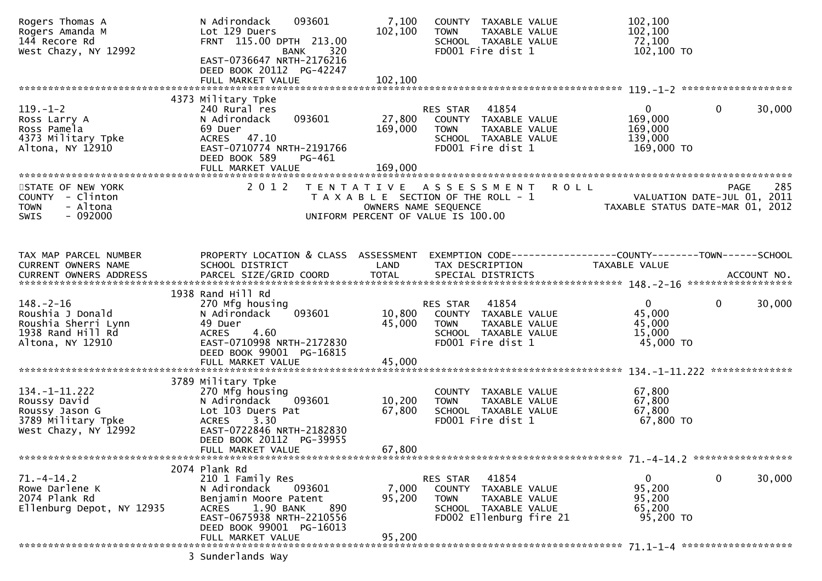| Rogers Thomas A<br>Rogers Amanda M<br>144 Recore Rd<br>West Chazy, NY 12992                         | 093601<br>N Adirondack<br>Lot 129 Duers<br>FRNT 115.00 DPTH 213.00<br><b>BANK</b><br>320<br>EAST-0736647 NRTH-2176216<br>DEED BOOK 20112 PG-42247<br>FULL MARKET VALUE                                 | 7,100<br>102,100<br>102,100  | COUNTY TAXABLE VALUE<br>TAXABLE VALUE<br><b>TOWN</b><br>SCHOOL TAXABLE VALUE<br>FD001 Fire dist 1                                          | 102,100<br>102,100<br>72,100<br>102,100 TO                                               |
|-----------------------------------------------------------------------------------------------------|--------------------------------------------------------------------------------------------------------------------------------------------------------------------------------------------------------|------------------------------|--------------------------------------------------------------------------------------------------------------------------------------------|------------------------------------------------------------------------------------------|
|                                                                                                     |                                                                                                                                                                                                        |                              |                                                                                                                                            |                                                                                          |
| $119. - 1 - 2$<br>Ross Larry A<br>Ross Pamela<br>4373 Military Tpke<br>Altona, NY 12910             | 4373 Military Tpke<br>240 Rural res<br>093601<br>N Adirondack<br>69 Duer<br>ACRES 47.10<br>EAST-0710774 NRTH-2191766<br>DEED BOOK 589<br>PG-461<br>FULL MARKET VALUE                                   | 27,800<br>169,000<br>169,000 | RES STAR<br>41854<br>COUNTY TAXABLE VALUE<br><b>TOWN</b><br>TAXABLE VALUE<br>SCHOOL TAXABLE VALUE<br>FD001 Fire dist 1                     | $\mathbf{0}$<br>0<br>30,000<br>169,000<br>169,000<br>139,000<br>169,000 TO               |
| STATE OF NEW YORK<br>COUNTY - Clinton<br><b>TOWN</b><br>- Altona<br>$-092000$<br><b>SWIS</b>        | 2 0 1 2                                                                                                                                                                                                |                              | <b>ROLL</b><br>TENTATIVE ASSESSMENT<br>T A X A B L E SECTION OF THE ROLL - 1<br>OWNERS NAME SEQUENCE<br>UNIFORM PERCENT OF VALUE IS 100.00 | 285<br>PAGE<br>VALUATION DATE-JUL 01, 2011<br>TAXABLE STATUS DATE-MAR 01, 2012           |
| TAX MAP PARCEL NUMBER<br>CURRENT OWNERS NAME                                                        | PROPERTY LOCATION & CLASS ASSESSMENT<br>SCHOOL DISTRICT                                                                                                                                                | LAND                         | TAX DESCRIPTION                                                                                                                            | EXEMPTION CODE-----------------COUNTY-------TOWN------SCHOOL<br>TAXABLE VALUE            |
| $148. - 2 - 16$<br>Roushia J Donald<br>Roushia Sherri Lynn<br>1938 Rand Hill Rd<br>Altona, NY 12910 | 1938 Rand Hill Rd<br>270 Mfg housing<br>N Adirondack<br>093601<br>49 Duer<br>4.60<br><b>ACRES</b><br>EAST-0710998 NRTH-2172830<br>DEED BOOK 99001 PG-16815                                             | 10,800<br>45,000             | 41854<br>RES STAR<br>COUNTY TAXABLE VALUE<br><b>TOWN</b><br>TAXABLE VALUE<br>SCHOOL TAXABLE VALUE<br>FD001 Fire dist 1                     | $\mathbf{0}$<br>0<br>30,000<br>45,000<br>45,000<br>15,000<br>45,000 TO<br>************** |
| $134. - 1 - 11.222$<br>Roussy David<br>Roussy Jason G<br>3789 Military Tpke<br>West Chazy, NY 12992 | 3789 Military Tpke<br>270 Mfg housing<br>N Adirondack<br>093601<br>Lot 103 Duers Pat<br>3.30<br><b>ACRES</b><br>EAST-0722846 NRTH-2182830<br>DEED BOOK 20112 PG-39955<br>FULL MARKET VALUE             | 10,200<br>67,800<br>67,800   | COUNTY TAXABLE VALUE<br>TAXABLE VALUE<br><b>TOWN</b><br>SCHOOL TAXABLE VALUE<br>FD001 Fire dist 1                                          | 67,800<br>67,800<br>67,800<br>67,800 TO                                                  |
| $71. - 4 - 14.2$<br>Rowe Darlene K<br>2074 Plank Rd<br>Ellenburg Depot, NY 12935                    | 2074 Plank Rd<br>210 1 Family Res<br>N Adirondack<br>093601<br>Benjamin Moore Patent<br>1.90 BANK<br>890<br><b>ACRES</b><br>EAST-0675938 NRTH-2210556<br>DEED BOOK 99001 PG-16013<br>FULL MARKET VALUE | 7,000<br>95,200<br>95,200    | RES STAR 41854<br>COUNTY TAXABLE VALUE<br><b>TOWN</b><br>TAXABLE VALUE<br>SCHOOL TAXABLE VALUE<br>FD002 Ellenburg fire 21                  | 0<br>30,000<br>$\overline{0}$<br>95,200<br>95,200<br>65,200<br>95,200 TO                 |
|                                                                                                     | 3 Sunderlands Way                                                                                                                                                                                      |                              |                                                                                                                                            |                                                                                          |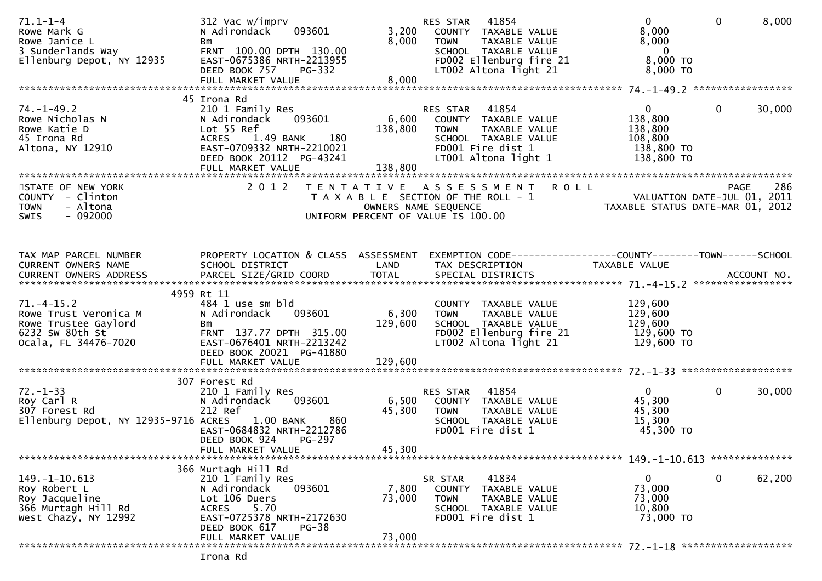| $71.1 - 1 - 4$<br>Rowe Mark G<br>Rowe Janice L<br>коwe Janıce L<br>3 Sunderlands Way<br>Ellenburg Depot, NY 12935 | 312 Vac w/imprv<br>093601<br>N Adirondack<br>Bm<br>FRNT 100.00 DPTH 130.00<br>EAST-0675386 NRTH-2213955<br>DEED BOOK 757<br>PG-332<br>FULL MARKET VALUE                 | 8,000<br>8,000              | 41854<br>RES STAR<br>3,200 COUNTY TAXABLE VALUE<br><b>TOWN</b><br>TAXABLE VALUE<br>TOWN     TAXABLE VALUE<br>SCHOOL  TAXABLE VALUE<br>FDOO2 Ellenburg fire 21<br>LT002 Altona light 21 | $\overline{0}$<br>8,000<br>8,000<br>$\overline{\mathbf{0}}$<br>8,000 TO<br>8,000 TO | $\mathbf{0}$ | 8,000  |
|-------------------------------------------------------------------------------------------------------------------|-------------------------------------------------------------------------------------------------------------------------------------------------------------------------|-----------------------------|----------------------------------------------------------------------------------------------------------------------------------------------------------------------------------------|-------------------------------------------------------------------------------------|--------------|--------|
|                                                                                                                   | 45 Irona Rd                                                                                                                                                             |                             |                                                                                                                                                                                        |                                                                                     |              |        |
| 74. –1–49.2<br>Prove Nicholas N<br>Rowe Katie D<br>45 Irona Rd<br>Altona, NY 12910                                | 210 1 Family Res<br>093601<br>N Adirondack<br>Lot 55 Ref<br>1.49 BANK 180<br><b>ACRES</b><br>EAST-0709332 NRTH-2210021<br>DEED BOOK 20112 PG-43241<br>FULL MARKET VALUE | 6,600<br>138,800<br>138,800 | RES STAR 41854<br>COUNTY TAXABLE VALUE<br><b>TOWN</b><br>TAXABLE VALUE<br>SCHOOL TAXABLE VALUE<br>FD001 Fire dist 1<br>LT001 Altona light 1                                            | $\overline{0}$<br>138,800<br>138,800<br>108,800<br>138,800 TO<br>138,800 TO         | $\mathbf{0}$ | 30,000 |
| STATE OF NEW YORK                                                                                                 | 2 0 1 2                                                                                                                                                                 |                             | TENTATIVE ASSESSMENT ROLL                                                                                                                                                              |                                                                                     | PAGE         | 286    |
| COUNTY - Clinton<br>- Altona<br><b>TOWN</b><br>$-092000$<br><b>SWIS</b>                                           |                                                                                                                                                                         |                             | T A X A B L E SECTION OF THE ROLL - 1<br>OWNERS NAME SEQUENCE<br>UNIFORM PERCENT OF VALUE IS 100.00                                                                                    | ROLL - 1<br>VALUATION DATE-JUL 01, 2011<br>TAXABLE STATUS DATE-MAR 01, 2012         |              |        |
| TAX MAP PARCEL NUMBER                                                                                             |                                                                                                                                                                         |                             | PROPERTY LOCATION & CLASS ASSESSMENT EXEMPTION CODE----------------COUNTY-------TOWN------SCHOOL                                                                                       |                                                                                     |              |        |
| CURRENT OWNERS NAME                                                                                               | SCHOOL DISTRICT<br><b>Example 18 The LAND</b>                                                                                                                           |                             | TAX DESCRIPTION                                                                                                                                                                        | TAXABLE VALUE                                                                       |              |        |
|                                                                                                                   | 4959 Rt 11                                                                                                                                                              |                             |                                                                                                                                                                                        |                                                                                     |              |        |
| $71. -4 - 15.2$<br>Rowe Trust Veronica M<br>Rowe Trustee Gaylord<br>6232 SW 80th St<br>Ocala, FL 34476-7020       | 484 1 use sm bld<br>N Adirondack 093601<br>Bm<br>FRNT 137.77 DPTH 315.00<br>EAST-0676401 NRTH-2213242<br>DEED BOOK 20021 PG-41880                                       | 6,300<br>129,600            | COUNTY TAXABLE VALUE<br><b>TOWN</b><br>TAXABLE VALUE<br>SCHOOL TAXABLE VALUE<br>FD002 Ellenburg fire 21<br>LT002 Altona light 21                                                       | 129,600<br>$\overline{1}29,600$<br>129,600<br>129,600 TO<br>129,600 TO              |              |        |
|                                                                                                                   |                                                                                                                                                                         |                             |                                                                                                                                                                                        |                                                                                     |              |        |
|                                                                                                                   | 307 Forest Rd                                                                                                                                                           |                             |                                                                                                                                                                                        |                                                                                     |              |        |
| $72. - 1 - 33$<br>Roy Carl R<br>307 Forest Rd<br>Ellenburg Depot, NY 12935-9716 ACRES                             | 210 1 Family Res<br>093601<br>N Adirondack<br>212 Ref<br>860<br>1.00 BANK<br>EAST-0684832 NRTH-2212786<br>PG-297<br>DEED BOOK 924<br>FULL MARKET VALUE                  | 6,500<br>45,300<br>45,300   | RES STAR 41854<br>COUNTY TAXABLE VALUE<br><b>TOWN</b><br>TAXABLE VALUE<br>SCHOOL TAXABLE VALUE<br>FD001 Fire dist 1                                                                    | $0 \qquad \qquad$<br>45,300<br>45,300<br>15,300<br>45,300 TO                        | $\mathbf 0$  | 30,000 |
|                                                                                                                   |                                                                                                                                                                         |                             |                                                                                                                                                                                        |                                                                                     |              |        |
| $149. - 1 - 10.613$<br>Roy Robert L<br>Roy Jacqueline<br>366 Murtagh Hill Rd<br>West Chazy, NY 12992              | 366 Murtagh Hill Rd<br>210 1 Family Res<br>093601<br>N Adirondack<br>Lot 106 Duers<br>5.70<br><b>ACRES</b><br>EAST-0725378 NRTH-2172630<br>DEED BOOK 617<br>$PG-38$     | 7,800<br>73,000             | 41834<br>SR STAR<br>COUNTY<br>TAXABLE VALUE<br>TAXABLE VALUE<br><b>TOWN</b><br>SCHOOL TAXABLE VALUE<br>FD001 Fire dist 1                                                               | $\mathbf{0}$<br>73,000<br>73,000<br>10,800<br>73,000 TO                             | 0            | 62,200 |
|                                                                                                                   | FULL MARKET VALUE                                                                                                                                                       | 73,000                      |                                                                                                                                                                                        |                                                                                     |              |        |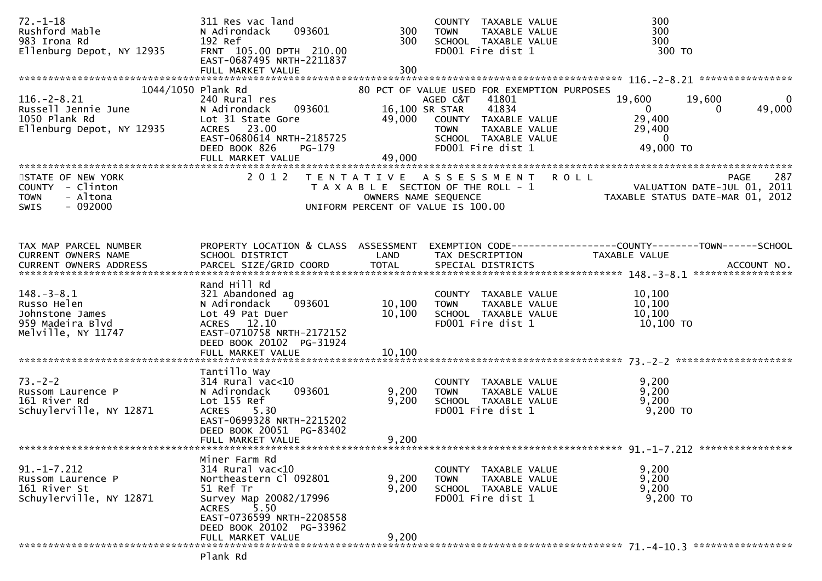| $72. - 1 - 18$<br>Rushford Mable<br>983 Irona Rd<br>Ellenburg Depot, NY 12935                                                                                | 311 Res vac land<br>093601<br>N Adirondack<br>192 Ref<br>FRNT 105.00 DPTH 210.00<br>EAST-0687495 NRTH-2211837    | 300<br>300        | COUNTY TAXABLE VALUE<br>TAXABLE VALUE<br>TOWN<br>SCHOOL TAXABLE VALUE<br>FD001 Fire dist 1        |               | 300<br>300<br>300<br>300 TO                                                                                                     |
|--------------------------------------------------------------------------------------------------------------------------------------------------------------|------------------------------------------------------------------------------------------------------------------|-------------------|---------------------------------------------------------------------------------------------------|---------------|---------------------------------------------------------------------------------------------------------------------------------|
|                                                                                                                                                              |                                                                                                                  |                   |                                                                                                   |               |                                                                                                                                 |
| 1044/1050 Plank Rd<br>$116. - 2 - 8.21$                                                                                                                      | 240 Rural res<br>N Adirondack 093601                                                                             | 16,100 SR STAR    | 80 PCT OF VALUE USED FOR EXEMPTION PURPOSES<br>41801<br>AGED C&T<br>41834                         | 19,600        | 19,600<br>0<br>$\overline{0}$<br>49,000<br>$\overline{0}$                                                                       |
| 116.-2-8.21<br>Russell Jennie June<br>1050 Plank Rd<br>Ellenburg Depot, NY 12935                                                                             | Lot 31 State Gore<br>ACRES 23.00<br>EAST-0680614 NRTH-2185725                                                    |                   | 49,000 COUNTY TAXABLE VALUE<br>TAXABLE VALUE<br><b>TOWN</b><br>SCHOOL TAXABLE VALUE               |               | 29,400<br>29,400<br>$\mathbf{0}$                                                                                                |
|                                                                                                                                                              | DEED BOOK 826<br>PG-179                                                                                          | 49,000            | FD001 Fire dist 1                                                                                 |               | 49,000 TO                                                                                                                       |
| STATE OF NEW YORK<br>COUNTY - Clinton<br>- Altona<br><b>TOWN</b><br>$-092000$<br><b>SWIS</b>                                                                 | 2 0 1 2                                                                                                          |                   |                                                                                                   |               | PAGE 287<br>OWNERS NAME SEQUENCE<br>OWNERS NAME SEQUENCE TAXABLE STATUS DATE-MAR 01, 2012<br>UNIFORM PERCENT OF VALUE IS 100.00 |
| TAX MAP PARCEL NUMBER<br>CURRENT OWNERS NAME                                                                                                                 | PROPERTY LOCATION & CLASS ASSESSMENT<br>SCHOOL DISTRICT                                                          | LAND              | TAX DESCRIPTION                                                                                   | TAXABLE VALUE | EXEMPTION CODE------------------COUNTY--------TOWN------SCHOOL                                                                  |
| .4CCOUNT NO . PARCEL SIZE/GRID COORD TOTAL SPECIAL DISTRICTS SPERENT OWNERS ADDRESS PARCEL SIZE/GRID COORD TOTAL SPECIAL DISTRICTS<br>CURRENT OWNERS ADDRESS |                                                                                                                  |                   |                                                                                                   |               |                                                                                                                                 |
| $148. - 3 - 8.1$<br>Russo Helen<br>Johnstone James<br>959 Madeira Blvd                                                                                       | Rand Hill Rd<br>321 Abandoned ag<br>093601<br>N Adirondack<br>Lot 49 Pat Duer<br>ACRES 12.10                     | 10, 100<br>10,100 | COUNTY TAXABLE VALUE<br><b>TOWN</b><br>TAXABLE VALUE<br>SCHOOL TAXABLE VALUE<br>FD001 Fire dist 1 |               | 10,100<br>10,100<br>10,100<br>10,100 TO                                                                                         |
| Melville, NY 11747                                                                                                                                           | EAST-0710758 NRTH-2172152<br>DEED BOOK 20102 PG-31924                                                            |                   |                                                                                                   |               |                                                                                                                                 |
|                                                                                                                                                              | Tantillo Way                                                                                                     |                   |                                                                                                   |               |                                                                                                                                 |
| $73. - 2 - 2$<br>Russom Laurence P<br>161 River Rd<br>Schuylerville, NY 12871                                                                                | $314$ Rural vac<10<br>093601<br>N Adirondack<br>Lot 155 Ref<br><b>ACRES</b><br>5.30<br>EAST-0699328 NRTH-2215202 | 9,200<br>9,200    | COUNTY TAXABLE VALUE<br><b>TOWN</b><br>SCHOOL TAXABLE VALUE<br>FD001 Fire dist 1                  | TAXABLE VALUE | 9,200<br>9,200<br>9,200<br>$9,200$ TO                                                                                           |
|                                                                                                                                                              | DEED BOOK 20051 PG-83402<br>FULL MARKET VALUE                                                                    | 9,200             |                                                                                                   |               |                                                                                                                                 |
|                                                                                                                                                              | Miner Farm Rd                                                                                                    |                   |                                                                                                   |               |                                                                                                                                 |
| $91. - 1 - 7.212$<br>Russom Laurence P<br>161 River St<br>Schuylerville, NY 12871                                                                            | 314 Rural vac<10<br>Northeastern Cl 092801<br>51 Ref Tr<br>Survey Map 20082/17996<br>5.50<br><b>ACRES</b>        | 9,200<br>9,200    | COUNTY TAXABLE VALUE<br><b>TOWN</b><br>TAXABLE VALUE<br>SCHOOL TAXABLE VALUE<br>FD001 Fire dist 1 |               | 9,200<br>9,200<br>9,200<br>9,200 TO                                                                                             |
|                                                                                                                                                              | EAST-0736599 NRTH-2208558<br>DEED BOOK 20102 PG-33962<br>FULL MARKET VALUE                                       | 9,200             |                                                                                                   |               |                                                                                                                                 |
|                                                                                                                                                              | Plank Rd                                                                                                         |                   |                                                                                                   |               |                                                                                                                                 |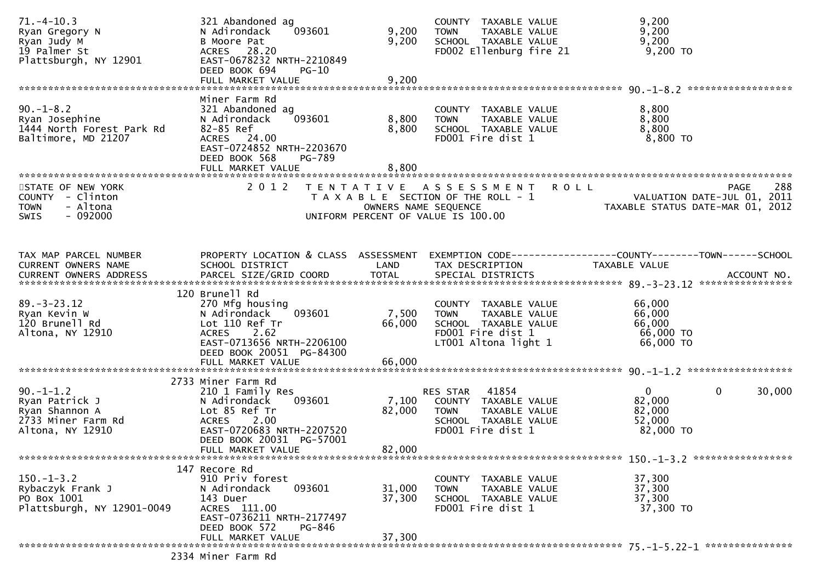| $71. - 4 - 10.3$<br>Ryan Gregory N<br>Ryan Judy M<br>19 Palmer St<br>Plattsburgh, NY 12901   | 321 Abandoned ag<br>093601<br>N Adirondack<br>B Moore Pat<br>ACRES 28.20<br>EAST-0678232 NRTH-2210849<br>DEED BOOK 694<br><b>PG-10</b>                                                  | 9,200<br>9,200            | COUNTY TAXABLE VALUE<br>TAXABLE VALUE<br><b>TOWN</b><br>SCHOOL TAXABLE VALUE<br>FD002 Ellenburg fire 21                   | 9,200<br>9,200<br>9,200<br>9,200 TO                                                   |
|----------------------------------------------------------------------------------------------|-----------------------------------------------------------------------------------------------------------------------------------------------------------------------------------------|---------------------------|---------------------------------------------------------------------------------------------------------------------------|---------------------------------------------------------------------------------------|
|                                                                                              | Miner Farm Rd                                                                                                                                                                           |                           |                                                                                                                           |                                                                                       |
| $90. -1 - 8.2$<br>Ryan Josephine<br>1444 North Forest Park Rd<br>Baltimore, MD 21207         | 321 Abandoned ag<br>N Adirondack<br>093601<br>82-85 Ref<br>ACRES 24.00<br>EAST-0724852 NRTH-2203670<br>DEED BOOK 568<br>PG-789<br>FULL MARKET VALUE                                     | 8,800<br>8,800<br>8,800   | COUNTY TAXABLE VALUE<br>TAXABLE VALUE<br><b>TOWN</b><br>SCHOOL TAXABLE VALUE<br>FD001 Fire dist 1                         | 8,800<br>8,800<br>8,800<br>8,800 TO                                                   |
|                                                                                              |                                                                                                                                                                                         |                           |                                                                                                                           |                                                                                       |
| STATE OF NEW YORK<br>COUNTY - Clinton<br>- Altona<br><b>TOWN</b><br>$-092000$<br>SWIS        | 2 0 1 2                                                                                                                                                                                 | OWNERS NAME SEQUENCE      | <b>ROLL</b><br>TENTATIVE ASSESSMENT<br>T A X A B L E SECTION OF THE ROLL - 1<br>UNIFORM PERCENT OF VALUE IS 100.00        | 288<br><b>PAGE</b><br>VALUATION DATE-JUL 01, 2011<br>TAXABLE STATUS DATE-MAR 01, 2012 |
|                                                                                              |                                                                                                                                                                                         |                           |                                                                                                                           |                                                                                       |
| TAX MAP PARCEL NUMBER<br>CURRENT OWNERS NAME                                                 | PROPERTY LOCATION & CLASS ASSESSMENT<br>SCHOOL DISTRICT                                                                                                                                 | LAND                      | TAX DESCRIPTION                                                                                                           | EXEMPTION CODE------------------COUNTY--------TOWN------SCHOOL<br>TAXABLE VALUE       |
|                                                                                              | 120 Brunell Rd                                                                                                                                                                          |                           |                                                                                                                           |                                                                                       |
| $89. - 3 - 23.12$<br>Ryan Kevin W<br>120 Brunell Rd<br>Altona, NY 12910                      | 270 Mfg housing<br>093601<br>N Adirondack<br>Lot 110 Ref Tr<br>ACRES 2.62<br>EAST-0713656 NRTH-2206100<br>DEED BOOK 20051 PG-84300                                                      | 7,500<br>66,000           | COUNTY TAXABLE VALUE<br>TAXABLE VALUE<br><b>TOWN</b><br>SCHOOL TAXABLE VALUE<br>FD001 Fire dist 1<br>LT001 Altona light 1 | 66,000<br>66,000<br>66,000<br>66,000 TO<br>66,000 TO                                  |
|                                                                                              |                                                                                                                                                                                         |                           |                                                                                                                           |                                                                                       |
| $90. -1 - 1.2$<br>Ryan Patrick J<br>Ryan Shannon A<br>2733 Miner Farm Rd<br>Altona, NY 12910 | 2733 Miner Farm Rd<br>210 1 Family Res<br>093601<br>N Adirondack<br>Lot 85 Ref Tr<br>2.00<br><b>ACRES</b><br>EAST-0720683 NRTH-2207520<br>DEED BOOK 20031 PG-57001<br>FULL MARKET VALUE | 7,100<br>82,000<br>82,000 | RES STAR<br>41854<br>COUNTY TAXABLE VALUE<br>TAXABLE VALUE<br><b>TOWN</b><br>SCHOOL TAXABLE VALUE<br>FD001 Fire dist 1    | $\mathbf{0}$<br>0<br>30,000<br>82,000<br>82,000<br>52,000<br>82,000 TO                |
|                                                                                              |                                                                                                                                                                                         |                           |                                                                                                                           |                                                                                       |
| $150. - 1 - 3.2$<br>Rybaczyk Frank J<br>PO Box 1001<br>Plattsburgh, NY 12901-0049            | 147 Recore Rd<br>910 Priv forest<br>093601<br>N Adirondack<br>143 Duer<br>ACRES 111.00<br>EAST-0736211 NRTH-2177497                                                                     | 31,000<br>37,300          | COUNTY TAXABLE VALUE<br>TAXABLE VALUE<br><b>TOWN</b><br>SCHOOL TAXABLE VALUE<br>FD001 Fire dist 1                         | 37,300<br>37,300<br>37,300<br>37,300 TO                                               |
|                                                                                              | DEED BOOK 572<br>PG-846<br>FULL MARKET VALUE<br>2334 Miner Farm Rd                                                                                                                      | 37,300                    |                                                                                                                           |                                                                                       |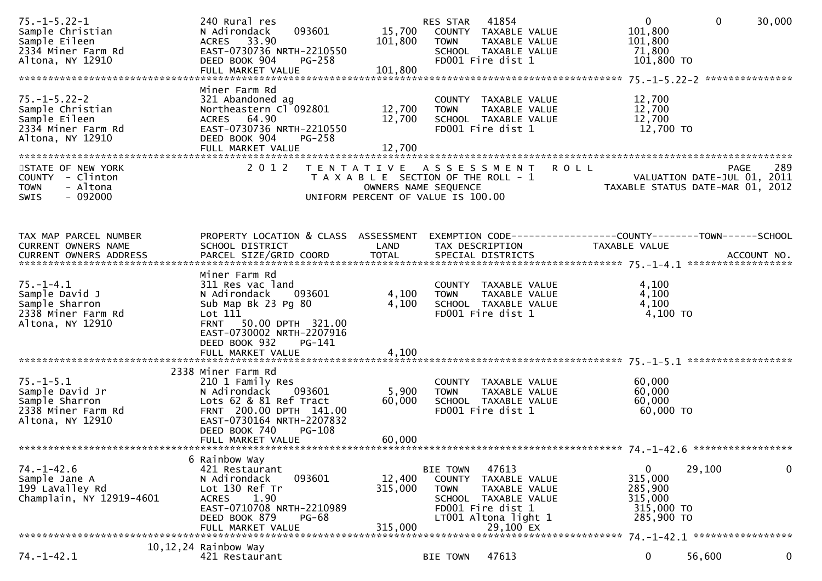| $75. - 1 - 5.22 - 1$<br>Sample Christian<br>Sample Eileen<br>2334 Miner Farm Rd<br>Altona, NY 12910 | 240 Rural res<br>093601<br>N Adirondack<br>ACRES 33.90<br>EAST-0730736 NRTH-2210550<br>DEED BOOK 904<br>$PG-258$<br>FULL MARKET VALUE                                                                          | 15,700<br>101,800<br>101,800              | 41854<br>RES STAR<br>COUNTY TAXABLE VALUE<br><b>TOWN</b><br>TAXABLE VALUE<br>SCHOOL TAXABLE VALUE<br>FD001 Fire dist 1                                                | $\mathbf{0}$<br>$\mathbf 0$<br>101,800<br>101,800<br>71,800<br>101,800 TO                                  | 30,000 |
|-----------------------------------------------------------------------------------------------------|----------------------------------------------------------------------------------------------------------------------------------------------------------------------------------------------------------------|-------------------------------------------|-----------------------------------------------------------------------------------------------------------------------------------------------------------------------|------------------------------------------------------------------------------------------------------------|--------|
| $75. - 1 - 5.22 - 2$<br>Sample Christian<br>Sample Eileen<br>2334 Miner Farm Rd<br>Altona, NY 12910 | Miner Farm Rd<br>321 Abandoned ag<br>Northeastern Cl 092801<br>ACRES 64.90<br>EAST-0730736 NRTH-2210550<br>DEED BOOK 904<br>PG-258<br>FULL MARKET VALUE                                                        | 12,700<br>12,700<br>12,700                | COUNTY TAXABLE VALUE<br><b>TOWN</b><br>TAXABLE VALUE<br>SCHOOL TAXABLE VALUE<br>FD001 Fire dist 1                                                                     | 12,700<br>12,700<br>12,700<br>12,700 TO                                                                    |        |
| STATE OF NEW YORK<br>COUNTY - Clinton<br><b>TOWN</b><br>- Altona<br>$-092000$<br><b>SWIS</b>        | 2 0 1 2                                                                                                                                                                                                        | T E N T A T I V E<br>OWNERS NAME SEQUENCE | <b>ROLL</b><br>A S S E S S M E N T<br>T A X A B L E SECTION OF THE ROLL - 1<br>UNIFORM PERCENT OF VALUE IS 100.00                                                     | <b>PAGE</b><br>VALUATION DATE-JUL 01, 2011<br>TAXABLE STATUS DATE-MAR 01, 2012                             | 289    |
| TAX MAP PARCEL NUMBER<br>CURRENT OWNERS NAME                                                        | PROPERTY LOCATION & CLASS ASSESSMENT<br>SCHOOL DISTRICT                                                                                                                                                        | LAND                                      | TAX DESCRIPTION                                                                                                                                                       | EXEMPTION CODE------------------COUNTY--------TOWN------SCHOOL<br>TAXABLE VALUE                            |        |
| $75. - 1 - 4.1$<br>Sample David J<br>Sample Sharron<br>2338 Miner Farm Rd<br>Altona, NY 12910       | Miner Farm Rd<br>311 Res vac land<br>093601<br>N Adirondack<br>Sub Map Bk 23 Pg 80<br>Lot 111<br><b>FRNT</b><br>50.00 DPTH 321.00<br>EAST-0730002 NRTH-2207916<br>DEED BOOK 932<br>PG-141<br>FULL MARKET VALUE | 4,100<br>4,100<br>4,100                   | COUNTY TAXABLE VALUE<br>TAXABLE VALUE<br><b>TOWN</b><br>SCHOOL TAXABLE VALUE<br>FD001 Fire dist 1                                                                     | 4,100<br>4,100<br>4,100<br>4,100 TO                                                                        |        |
| $75. - 1 - 5.1$<br>Sample David Jr<br>Sample Sharron<br>2338 Miner Farm Rd<br>Altona, NY 12910      | 2338 Miner Farm Rd<br>210 1 Family Res<br>N Adirondack 093601<br>Lots 62 & 81 Ref Tract<br>FRNT 200.00 DPTH 141.00<br>EAST-0730164 NRTH-2207832<br>DEED BOOK 740<br><b>PG-108</b><br>FULL MARKET VALUE         | 5,900<br>60,000<br>60,000                 | COUNTY TAXABLE VALUE<br><b>TOWN</b><br>TAXABLE VALUE<br>SCHOOL TAXABLE VALUE<br>FD001 Fire dist 1                                                                     | 60,000<br>60,000<br>60,000<br>60,000 TO                                                                    |        |
| $74. - 1 - 42.6$<br>Sample Jane A<br>199 LaValley Rd<br>Champlain, NY 12919-4601                    | 6 Rainbow Way<br>421 Restaurant<br>093601<br>N Adirondack<br>Lot 130 Ref Tr<br>1.90<br><b>ACRES</b><br>EAST-0710708 NRTH-2210989<br>DEED BOOK 879<br><b>PG-68</b><br>FULL MARKET VALUE                         | 12,400<br>315,000<br>315,000              | 47613<br><b>BIE TOWN</b><br>COUNTY<br>TAXABLE VALUE<br>TAXABLE VALUE<br><b>TOWN</b><br>SCHOOL TAXABLE VALUE<br>FD001 Fire dist 1<br>LT001 Altona light 1<br>29,100 EX | 29,100<br>0<br>315,000<br>285,900<br>315,000<br>315,000 TO<br>285,900 TO<br>74. -1-42.1 ****************** | 0      |
| $74. - 1 - 42.1$                                                                                    | 10, 12, 24 Rainbow Way<br>421 Restaurant                                                                                                                                                                       |                                           | 47613<br><b>BIE TOWN</b>                                                                                                                                              | 56,600<br>0                                                                                                | 0      |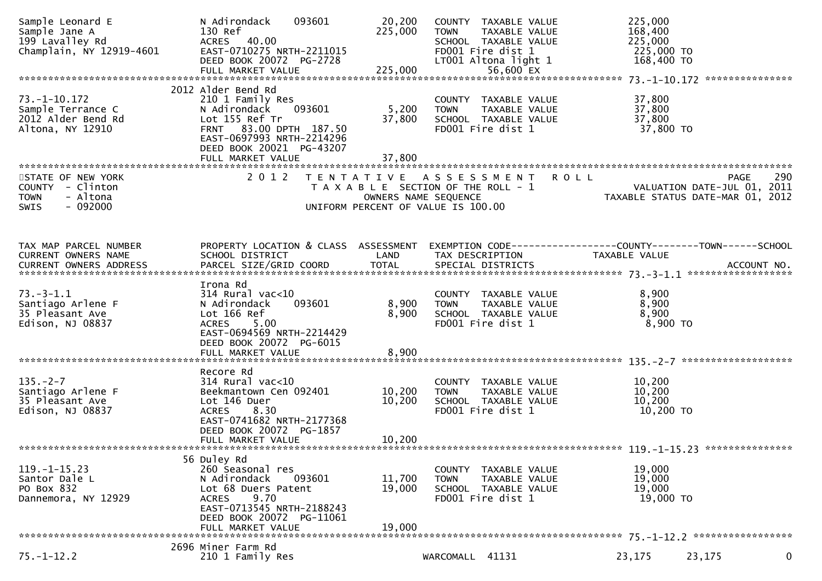| Sample Leonard E<br>Sample Jane A<br>199 Lavalley Rd<br>Champlain, NY 12919-4601             | N Adirondack<br>093601<br>130 Ref<br>ACRES 40.00<br>EAST-0710275 NRTH-2211015<br>DEED BOOK 20072 PG-2728                                                                                             | 20,200<br>225,000                                                                                                        | COUNTY TAXABLE VALUE<br><b>TOWN</b><br>SCHOOL TAXABLE VALUE<br>FD001 Fire dist 1<br>LT001 Altona light 1 | TAXABLE VALUE        |             | 225,000<br>168,400<br>225,000<br>225,000 TO<br>168,400 TO |                                                                                |   |
|----------------------------------------------------------------------------------------------|------------------------------------------------------------------------------------------------------------------------------------------------------------------------------------------------------|--------------------------------------------------------------------------------------------------------------------------|----------------------------------------------------------------------------------------------------------|----------------------|-------------|-----------------------------------------------------------|--------------------------------------------------------------------------------|---|
|                                                                                              |                                                                                                                                                                                                      |                                                                                                                          |                                                                                                          |                      |             |                                                           |                                                                                |   |
| $73. - 1 - 10.172$<br>Sample Terrance C<br>2012 Alder Bend Rd<br>Altona, NY 12910            | 2012 Alder Bend Rd<br>210 1 Family Res<br>N Adirondack<br>093601<br>Lot 155 Ref Tr<br>83.00 DPTH 187.50<br><b>FRNT</b><br>EAST-0697993 NRTH-2214296<br>DEED BOOK 20021 PG-43207<br>FULL MARKET VALUE | 5,200<br>37,800<br>37,800                                                                                                | COUNTY TAXABLE VALUE<br><b>TOWN</b><br>SCHOOL TAXABLE VALUE<br>FD001 Fire dist 1                         | TAXABLE VALUE        |             | 37,800<br>37,800<br>37,800<br>37,800 TO                   |                                                                                |   |
| STATE OF NEW YORK<br>COUNTY - Clinton<br>- Altona<br><b>TOWN</b><br>$-092000$<br><b>SWIS</b> | 2 0 1 2                                                                                                                                                                                              | T E N T A T I V E<br>T A X A B L E SECTION OF THE ROLL - 1<br>OWNERS NAME SEQUENCE<br>UNIFORM PERCENT OF VALUE IS 100.00 | A S S E S S M E N T                                                                                      |                      | <b>ROLL</b> |                                                           | 290<br>PAGE<br>VALUATION DATE-JUL 01, 2011<br>TAXABLE STATUS DATE-MAR 01, 2012 |   |
| TAX MAP PARCEL NUMBER<br>CURRENT OWNERS NAME                                                 | PROPERTY LOCATION & CLASS ASSESSMENT<br>SCHOOL DISTRICT                                                                                                                                              | LAND                                                                                                                     | TAX DESCRIPTION                                                                                          |                      |             | TAXABLE VALUE                                             | EXEMPTION CODE-----------------COUNTY-------TOWN------SCHOOL                   |   |
| $73. - 3 - 1.1$<br>Santiago Arlene F<br>35 Pleasant Ave<br>Edison, NJ 08837                  | Irona Rd<br>$314$ Rural vac< $10$<br>N Adirondack<br>093601<br>Lot 166 Ref<br><b>ACRES</b><br>5.00<br>EAST-0694569 NRTH-2214429<br>DEED BOOK 20072 PG-6015<br>FULL MARKET VALUE                      | 8,900<br>8,900<br>8,900                                                                                                  | COUNTY TAXABLE VALUE<br><b>TOWN</b><br>SCHOOL TAXABLE VALUE<br>FD001 Fire dist 1                         | TAXABLE VALUE        |             | 8,900<br>8,900<br>8,900<br>8,900 TO                       |                                                                                |   |
|                                                                                              |                                                                                                                                                                                                      |                                                                                                                          |                                                                                                          |                      |             |                                                           |                                                                                |   |
| $135. - 2 - 7$<br>Santiago Arlene F<br>35 Pleasant Ave<br>Edison, NJ 08837                   | Recore Rd<br>$314$ Rural vac< $10$<br>Beekmantown Cen 092401<br>Lot 146 Duer<br>8.30<br><b>ACRES</b><br>EAST-0741682 NRTH-2177368<br>DEED BOOK 20072 PG-1857<br>FULL MARKET VALUE                    | 10,200<br>10,200<br>10,200                                                                                               | COUNTY TAXABLE VALUE<br><b>TOWN</b><br>SCHOOL TAXABLE VALUE<br>FD001 Fire dist 1                         | TAXABLE VALUE        |             | 10,200<br>10,200<br>10,200<br>10,200 TO                   |                                                                                |   |
|                                                                                              |                                                                                                                                                                                                      |                                                                                                                          |                                                                                                          |                      |             |                                                           |                                                                                |   |
| $119. - 1 - 15.23$<br>Santor Dale L<br>PO Box 832<br>Dannemora, NY 12929                     | 56 Duley Rd<br>260 Seasonal res<br>N Adirondack<br>093601<br>Lot 68 Duers Patent<br>9.70<br><b>ACRES</b><br>EAST-0713545 NRTH-2188243<br>DEED BOOK 20072 PG-11061<br>FULL MARKET VALUE               | 11,700<br>19,000<br>19,000                                                                                               | COUNTY TAXABLE VALUE<br><b>TOWN</b><br>SCHOOL TAXABLE VALUE<br>FD001 Fire dist 1                         | <b>TAXABLE VALUE</b> |             | 19,000<br>19,000<br>19,000<br>19,000 TO                   |                                                                                |   |
|                                                                                              | 2696 Miner Farm Rd                                                                                                                                                                                   |                                                                                                                          |                                                                                                          |                      |             |                                                           |                                                                                |   |
| $75. - 1 - 12.2$                                                                             | 210 1 Family Res                                                                                                                                                                                     |                                                                                                                          | WARCOMALL 41131                                                                                          |                      |             | 23,175                                                    | 23,175                                                                         | 0 |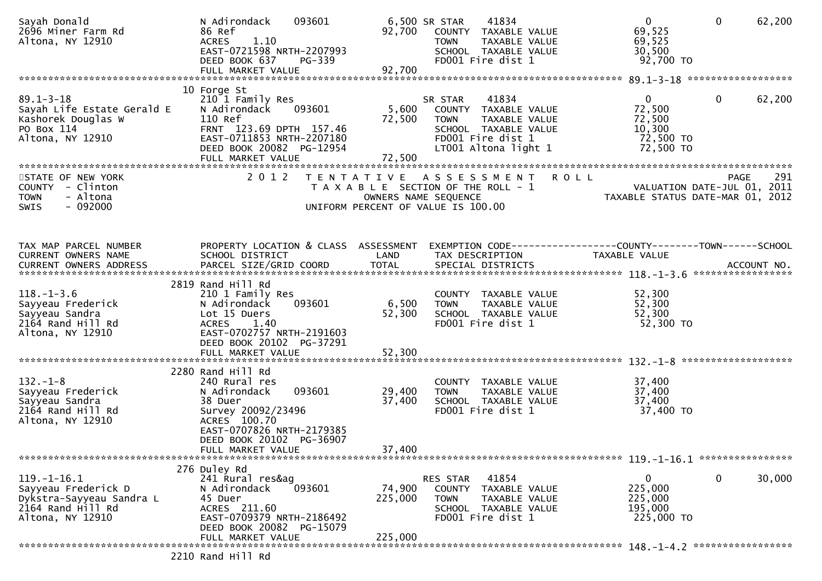| Sayah Donald<br>2696 Miner Farm Rd<br>Altona, NY 12910                                                        | N Adirondack<br>093601<br>86 Ref<br>1.10<br><b>ACRES</b><br>EAST-0721598 NRTH-2207993<br>DEED BOOK 637<br>PG-339                                         | 92,700               | 41834<br>6,500 SR STAR<br>COUNTY TAXABLE VALUE<br><b>TOWN</b><br>TAXABLE VALUE<br>SCHOOL TAXABLE VALUE<br>FD001 Fire dist 1              | $\overline{0}$<br>$\mathbf{0}$<br>69,525<br>69,525<br>30,500<br>92,700 TO            | 62,200      |
|---------------------------------------------------------------------------------------------------------------|----------------------------------------------------------------------------------------------------------------------------------------------------------|----------------------|------------------------------------------------------------------------------------------------------------------------------------------|--------------------------------------------------------------------------------------|-------------|
|                                                                                                               |                                                                                                                                                          |                      |                                                                                                                                          |                                                                                      |             |
| $89.1 - 3 - 18$<br>Sayah Life Estate Gerald E<br>Kashorek Douglas W<br>PO Box 114<br>Altona, NY 12910         | 10 Forge St<br>210 1 Family Res<br>093601<br>N Adirondack<br>110 Ref<br>FRNT 123.69 DPTH 157.46<br>EAST-0711853 NRTH-2207180<br>DEED BOOK 20082 PG-12954 | 5,600<br>72,500      | 41834<br>SR STAR<br>COUNTY TAXABLE VALUE<br>TAXABLE VALUE<br>TOWN<br>SCHOOL TAXABLE VALUE<br>FD001 Fire dist 1<br>LT001 Altona light 1   | $\mathbf{0}$<br>$\mathbf{0}$<br>72,500<br>72,500<br>10,300<br>72,500 TO<br>72,500 TO | 62,200      |
|                                                                                                               |                                                                                                                                                          |                      |                                                                                                                                          |                                                                                      |             |
| STATE OF NEW YORK<br>COUNTY - Clinton<br>- Altona<br><b>TOWN</b><br>$-092000$<br>SWIS                         | 2 0 1 2                                                                                                                                                  |                      | TENTATIVE ASSESSMENT ROLL<br>T A X A B L E SECTION OF THE ROLL - 1<br>OWNERS NAME SEQUENCE<br>UNIFORM PERCENT OF VALUE IS 100.00         | VALUATION DATE-JUL 01, 2011<br>TAXABLE STATUS DATE-MAR 01, 2012                      | 291<br>PAGE |
|                                                                                                               |                                                                                                                                                          |                      |                                                                                                                                          |                                                                                      |             |
| TAX MAP PARCEL NUMBER<br>CURRENT OWNERS NAME<br>CURRENT OWNERS ADDRESS                                        | SCHOOL DISTRICT<br>PARCEL SIZE/GRID COORD                                                                                                                | LAND<br><b>TOTAL</b> | PROPERTY LOCATION & CLASS ASSESSMENT EXEMPTION CODE----------------COUNTY-------TOWN------SCHOOL<br>TAX DESCRIPTION<br>SPECIAL DISTRICTS | TAXABLE VALUE                                                                        | ACCOUNT NO. |
|                                                                                                               | 2819 Rand Hill Rd                                                                                                                                        |                      |                                                                                                                                          |                                                                                      |             |
| $118.-1-3.6$<br>Sayyeau Frederick<br>Sayyeau Sandra<br>2164 Rand Hill Rd<br>Altona, NY 12910                  | 210 1 Family Res<br>093601<br>N Adirondack<br>Lot 15 Duers<br>1.40<br><b>ACRES</b><br>EAST-0702757 NRTH-2191603<br>DEED BOOK 20102 PG-37291              | 6,500<br>52,300      | COUNTY TAXABLE VALUE<br>TAXABLE VALUE<br>TOWN<br>SCHOOL TAXABLE VALUE<br>FD001 Fire dist 1                                               | 52,300<br>52,300<br>52,300<br>52,300 TO                                              |             |
|                                                                                                               |                                                                                                                                                          |                      |                                                                                                                                          |                                                                                      |             |
|                                                                                                               |                                                                                                                                                          |                      |                                                                                                                                          |                                                                                      |             |
| $132. - 1 - 8$<br>Sayyeau Frederick<br>Sayyeau Sandra<br>2164 Rand Hill Rd<br>Altona, NY 12910                | 2280 Rand Hill Rd<br>240 Rural res<br>093601<br>N Adirondack<br>38 Duer<br>Survey 20092/23496<br>ACRES 100.70<br>EAST-0707826 NRTH-2179385               | 29,400<br>37,400     | COUNTY TAXABLE VALUE<br>TAXABLE VALUE<br>TOWN<br>SCHOOL TAXABLE VALUE<br>FD001 Fire dist 1                                               | 37,400<br>37,400<br>37,400<br>37,400 TO                                              |             |
|                                                                                                               | DEED BOOK 20102 PG-36907<br>FULL MARKET VALUE                                                                                                            | 37,400               |                                                                                                                                          |                                                                                      |             |
|                                                                                                               | 276 Duley Rd                                                                                                                                             |                      |                                                                                                                                          |                                                                                      |             |
| $119. - 1 - 16.1$<br>Sayyeau Frederick D<br>Dykstra-Sayyeau Sandra L<br>2164 Rand Hill Rd<br>Altona, NY 12910 | 241 Rural res&ag<br>093601<br>N Adirondack<br>45 Duer<br>ACRES 211.60<br>EAST-0709379 NRTH-2186492<br>DEED BOOK 20082 PG-15079                           | 74,900<br>225,000    | 41854<br>RES STAR<br>COUNTY TAXABLE VALUE<br>TAXABLE VALUE<br><b>TOWN</b><br>SCHOOL TAXABLE VALUE<br>FD001 Fire dist 1                   | $\mathbf 0$<br>0<br>225,000<br>225,000<br>195,000<br>225,000 TO                      | 30,000      |
|                                                                                                               | FULL MARKET VALUE                                                                                                                                        | 225,000              |                                                                                                                                          |                                                                                      |             |
|                                                                                                               | 2210 Rand Hill Rd                                                                                                                                        |                      |                                                                                                                                          |                                                                                      |             |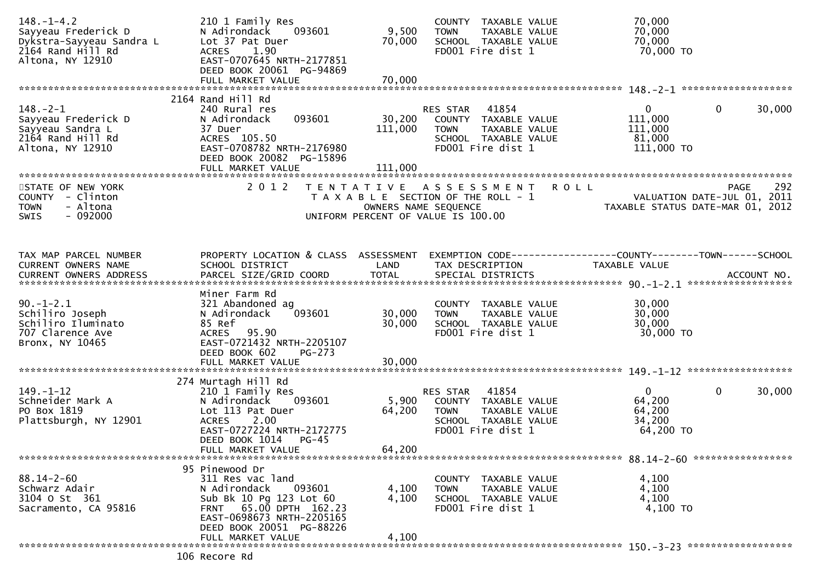| $148. - 1 - 4.2$<br>Sayyeau Frederick D<br>Dykstra-Sayyeau Sandra L<br>2164 Rand Hill Rd<br>Altona, NY 12910 | 210 1 Family Res<br>093601<br>N Adirondack<br>Lot 37 Pat Duer<br>1.90<br><b>ACRES</b><br>EAST-0707645 NRTH-2177851<br>DEED BOOK 20061 PG-94869<br>FULL MARKET VALUE                             | 9,500<br>70,000<br>70,000    | COUNTY TAXABLE VALUE<br>TAXABLE VALUE<br><b>TOWN</b><br>SCHOOL TAXABLE VALUE<br>FD001 Fire dist 1                      | 70,000<br>70,000<br>70,000<br>70,000 TO                                   |
|--------------------------------------------------------------------------------------------------------------|-------------------------------------------------------------------------------------------------------------------------------------------------------------------------------------------------|------------------------------|------------------------------------------------------------------------------------------------------------------------|---------------------------------------------------------------------------|
|                                                                                                              | 2164 Rand Hill Rd                                                                                                                                                                               |                              |                                                                                                                        |                                                                           |
| $148. - 2 - 1$<br>Sayyeau Frederick D<br>Sayyeau Sandra L<br>2164 Rand Hill Rd<br>Altona, NY 12910           | 240 Rural res<br>093601<br>N Adirondack<br>37 Duer<br>ACRES 105.50<br>EAST-0708782 NRTH-2176980<br>DEED BOOK 20082 PG-15896<br>FULL MARKET VALUE                                                | 30,200<br>111,000<br>111,000 | 41854<br>RES STAR<br>COUNTY TAXABLE VALUE<br>TAXABLE VALUE<br><b>TOWN</b><br>SCHOOL TAXABLE VALUE<br>FD001 Fire dist 1 | $\mathbf{0}$<br>0<br>30,000<br>111,000<br>111,000<br>81,000<br>111,000 TO |
| STATE OF NEW YORK                                                                                            | 2 0 1 2                                                                                                                                                                                         |                              | <b>ROLL</b><br>TENTATIVE ASSESSMENT                                                                                    | 292<br><b>PAGE</b>                                                        |
| COUNTY - Clinton<br><b>TOWN</b><br>- Altona<br>$-092000$<br>SWIS                                             |                                                                                                                                                                                                 | OWNERS NAME SEQUENCE         | T A X A B L E SECTION OF THE ROLL - 1<br>UNIFORM PERCENT OF VALUE IS 100.00                                            | VALUATION DATE-JUL 01, 2011<br>TAXABLE STATUS DATE-MAR 01, 2012           |
| TAX MAP PARCEL NUMBER                                                                                        | PROPERTY LOCATION & CLASS ASSESSMENT                                                                                                                                                            |                              |                                                                                                                        | EXEMPTION CODE-----------------COUNTY-------TOWN------SCHOOL              |
| CURRENT OWNERS NAME                                                                                          | SCHOOL DISTRICT                                                                                                                                                                                 | LAND                         | TAX DESCRIPTION                                                                                                        | <b>TAXABLE VALUE</b>                                                      |
|                                                                                                              | Miner Farm Rd                                                                                                                                                                                   |                              |                                                                                                                        |                                                                           |
| $90. -1 - 2.1$<br>Schiliro Joseph<br>Schiliro Iluminato<br>707 Clarence Ave<br>Bronx, NY 10465               | 321 Abandoned ag<br>093601<br>N Adirondack<br>85 Ref<br>ACRES 95.90<br>EAST-0721432 NRTH-2205107<br>DEED BOOK 602<br>$PG-273$                                                                   | 30,000<br>30,000             | COUNTY TAXABLE VALUE<br>TAXABLE VALUE<br><b>TOWN</b><br>SCHOOL TAXABLE VALUE<br>FD001 Fire dist 1                      | 30,000<br>30,000<br>30,000<br>30,000 TO                                   |
|                                                                                                              |                                                                                                                                                                                                 |                              |                                                                                                                        |                                                                           |
| $149. - 1 - 12$<br>Schneider Mark A<br>PO Box 1819<br>Plattsburgh, NY 12901                                  | 274 Murtagh Hill Rd<br>210 1 Family Res<br>093601<br>N Adirondack<br>Lot 113 Pat Duer<br>2.00<br><b>ACRES</b><br>EAST-0727224 NRTH-2172775<br>DEED BOOK 1014<br>$PG-45$<br>FULL MARKET VALUE    | 5,900<br>64,200<br>64,200    | RES STAR<br>41854<br>COUNTY TAXABLE VALUE<br><b>TOWN</b><br>TAXABLE VALUE<br>SCHOOL TAXABLE VALUE<br>FD001 Fire dist 1 | $\mathbf{0}$<br>0<br>30,000<br>64,200<br>64,200<br>34,200<br>64,200 TO    |
|                                                                                                              |                                                                                                                                                                                                 |                              |                                                                                                                        |                                                                           |
| $88.14 - 2 - 60$<br>Schwarz Adair<br>3104 o st 361<br>Sacramento, CA 95816                                   | 95 Pinewood Dr<br>311 Res vac land<br>093601<br>N Adirondack<br>Sub Bk 10 Pg 123 Lot 60<br>FRNT 65.00 DPTH 162.23<br>EAST-0698673 NRTH-2205165<br>DEED BOOK 20051 PG-88226<br>FULL MARKET VALUE | 4,100<br>4,100<br>4,100      | COUNTY TAXABLE VALUE<br><b>TOWN</b><br>TAXABLE VALUE<br>SCHOOL TAXABLE VALUE<br>FD001 Fire dist 1                      | 4,100<br>4,100<br>4,100<br>4,100 TO                                       |
|                                                                                                              |                                                                                                                                                                                                 |                              |                                                                                                                        |                                                                           |
|                                                                                                              | 106 Recore Rd                                                                                                                                                                                   |                              |                                                                                                                        |                                                                           |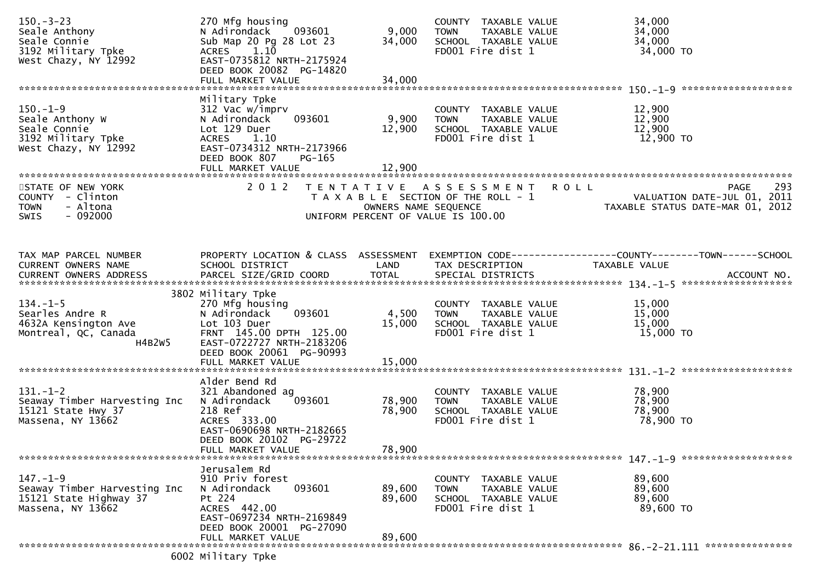| $150 - 3 - 23$<br>Seale Anthony<br>Seale Connie<br>3192 Military Tpke<br>West Chazy, NY 12992   | 270 Mfg housing<br>093601<br>N Adirondack<br>Sub Map 20 Pg 28 Lot 23<br>ACRES 1.10<br>EAST-0735812 NRTH-2175924<br>DEED BOOK 20082 PG-14820<br>FULL MARKET VALUE      | 9,000<br>34,000<br>34,000 | COUNTY TAXABLE VALUE<br>TAXABLE VALUE<br><b>TOWN</b><br>SCHOOL TAXABLE VALUE<br>FD001 Fire dist 1        | 34,000<br>34,000<br>34,000<br>34,000 TO                                               |
|-------------------------------------------------------------------------------------------------|-----------------------------------------------------------------------------------------------------------------------------------------------------------------------|---------------------------|----------------------------------------------------------------------------------------------------------|---------------------------------------------------------------------------------------|
|                                                                                                 |                                                                                                                                                                       |                           |                                                                                                          |                                                                                       |
| $150. - 1 - 9$<br>Seale Anthony W<br>Seale Connie<br>3192 Military Tpke<br>West Chazy, NY 12992 | Military Tpke<br>312 Vac w/imprv<br>093601<br>N Adirondack<br>Lot 129 Duer<br>ACRES 1.10<br>EAST-0734312 NRTH-2173966<br>DEED BOOK 807<br>PG-165<br>FULL MARKET VALUE | 9,900<br>12,900<br>12,900 | COUNTY TAXABLE VALUE<br>TAXABLE VALUE<br><b>TOWN</b><br>SCHOOL TAXABLE VALUE<br>FD001 Fire dist 1        | 12,900<br>12,900<br>12,900<br>12,900 TO                                               |
| STATE OF NEW YORK<br>COUNTY - Clinton<br>- Altona<br><b>TOWN</b><br>$-092000$<br>SWIS           | 2 0 1 2                                                                                                                                                               | OWNERS NAME SEQUENCE      | TENTATIVE ASSESSMENT ROLL<br>T A X A B L E SECTION OF THE ROLL - 1<br>UNIFORM PERCENT OF VALUE IS 100.00 | 293<br><b>PAGE</b><br>VALUATION DATE-JUL 01, 2011<br>TAXABLE STATUS DATE-MAR 01, 2012 |
| TAX MAP PARCEL NUMBER<br>CURRENT OWNERS NAME                                                    | PROPERTY LOCATION & CLASS ASSESSMENT<br>SCHOOL DISTRICT                                                                                                               | LAND                      | TAX DESCRIPTION                                                                                          | EXEMPTION CODE-----------------COUNTY-------TOWN------SCHOOL<br>TAXABLE VALUE         |
|                                                                                                 |                                                                                                                                                                       |                           |                                                                                                          |                                                                                       |
|                                                                                                 | 3802 Military Tpke                                                                                                                                                    |                           |                                                                                                          |                                                                                       |
| $134. - 1 - 5$<br>Searles Andre R<br>4632A Kensington Ave<br>Montreal, QC, Canada<br>H4B2W5     | 270 Mfg housing<br>093601<br>N Adirondack<br>Lot 103 Duer<br>FRNT 145.00 DPTH 125.00<br>EAST-0722727 NRTH-2183206<br>DEED BOOK 20061 PG-90993                         | 4,500<br>15,000           | COUNTY TAXABLE VALUE<br>TAXABLE VALUE<br><b>TOWN</b><br>SCHOOL TAXABLE VALUE<br>FD001 Fire dist 1        | 15,000<br>15,000<br>15,000<br>15,000 TO                                               |
|                                                                                                 |                                                                                                                                                                       |                           |                                                                                                          |                                                                                       |
| $131. - 1 - 2$<br>Seaway Timber Harvesting Inc<br>15121 State Hwy 37<br>Massena, NY 13662       | Alder Bend Rd<br>321 Abandoned ag<br>093601<br>N Adirondack<br>218 Ref<br>ACRES 333.00<br>EAST-0690698 NRTH-2182665<br>DEED BOOK 20102 PG-29722                       | 78,900<br>78,900          | COUNTY TAXABLE VALUE<br><b>TOWN</b><br>TAXABLE VALUE<br>SCHOOL TAXABLE VALUE<br>FD001 Fire dist 1        | 78,900<br>78,900<br>78,900<br>78,900 TO                                               |
|                                                                                                 | FULL MARKET VALUE                                                                                                                                                     | 78,900                    |                                                                                                          |                                                                                       |
|                                                                                                 | Jerusalem Rd                                                                                                                                                          |                           |                                                                                                          |                                                                                       |
| $147. - 1 - 9$<br>Seaway Timber Harvesting Inc<br>15121 State Highway 37<br>Massena, NY 13662   | 910 Priv forest<br>093601<br>N Adirondack<br>Pt 224<br>ACRES 442.00<br>EAST-0697234 NRTH-2169849<br>DEED BOOK 20001 PG-27090                                          | 89,600<br>89,600          | COUNTY TAXABLE VALUE<br>TAXABLE VALUE<br><b>TOWN</b><br>SCHOOL TAXABLE VALUE<br>FD001 Fire dist 1        | 89,600<br>89,600<br>89,600<br>89,600 TO                                               |
|                                                                                                 | FULL MARKET VALUE                                                                                                                                                     | 89,600                    |                                                                                                          |                                                                                       |
|                                                                                                 | 6002 Military Tpke                                                                                                                                                    |                           |                                                                                                          |                                                                                       |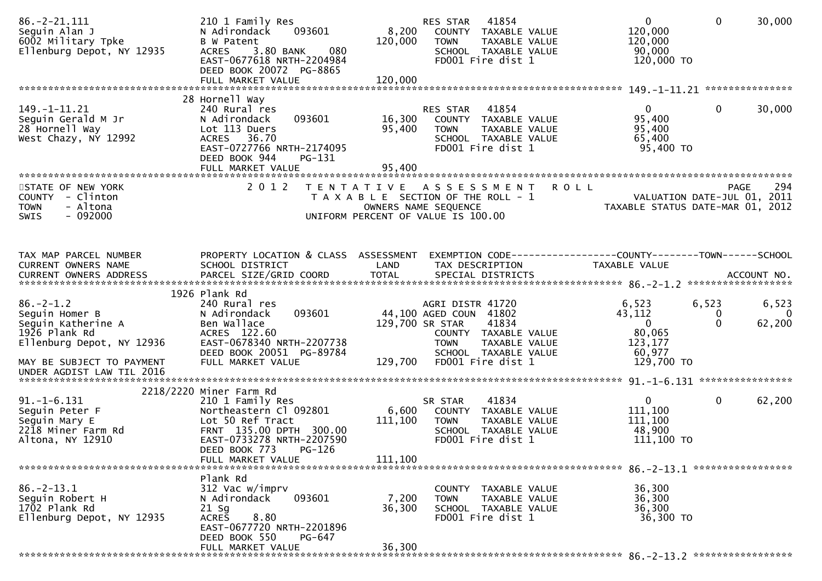| $86. -2 - 21.111$<br>Seguin Alan J<br>6002 Military Tpke<br>Ellenburg Depot, NY 12935                                              | 210 1 Family Res<br>093601<br>N Adirondack<br><b>B</b> W Patent<br>3.80 BANK<br>080<br><b>ACRES</b><br>EAST-0677618 NRTH-2204984<br>DEED BOOK 20072 PG-8865<br>FULL MARKET VALUE | 8,200<br>120,000<br>120,000 | 41854<br><b>RES STAR</b><br>COUNTY TAXABLE VALUE<br><b>TOWN</b><br>TAXABLE VALUE<br>SCHOOL TAXABLE VALUE<br>FD001 Fire dist 1                                               | $\overline{0}$<br>$\mathbf{0}$<br>120,000<br>120,000<br>90,000<br>120,000 TO                           | 30,000                 |
|------------------------------------------------------------------------------------------------------------------------------------|----------------------------------------------------------------------------------------------------------------------------------------------------------------------------------|-----------------------------|-----------------------------------------------------------------------------------------------------------------------------------------------------------------------------|--------------------------------------------------------------------------------------------------------|------------------------|
|                                                                                                                                    | 28 Hornell Way                                                                                                                                                                   |                             |                                                                                                                                                                             |                                                                                                        |                        |
| 149. - 1 - 11. 21<br>Seguin Gerald M Jr<br>28 Hornell Way<br>West Chazy, NY 12992                                                  | 240 Rural res<br>093601<br>N Adirondack<br>Lot 113 Duers<br>ACRES 36.70<br>EAST-0727766 NRTH-2174095<br>DEED BOOK 944<br>PG-131<br>FULL MARKET VALUE                             | 16,300<br>95,400<br>95,400  | 41854<br><b>RES STAR</b><br>COUNTY TAXABLE VALUE<br><b>TOWN</b><br>TAXABLE VALUE<br>SCHOOL TAXABLE VALUE<br>FD001 Fire dist 1                                               | $\Omega$<br>0<br>95,400<br>95,400<br>65,400<br>95,400 TO                                               | 30,000                 |
| STATE OF NEW YORK                                                                                                                  | 2 0 1 2                                                                                                                                                                          | T E N T A T I V E           | A S S E S S M E N T                                                                                                                                                         | <b>ROLL</b>                                                                                            | 294<br><b>PAGE</b>     |
| COUNTY - Clinton<br>- Altona<br><b>TOWN</b><br>$-092000$<br>SWIS                                                                   |                                                                                                                                                                                  |                             | T A X A B L E SECTION OF THE ROLL - 1<br>OWNERS NAME SEQUENCE<br>UNIFORM PERCENT OF VALUE IS 100.00                                                                         | VALUATION DATE-JUL 01, 2011<br>TAXABLE STATUS DATE-MAR 01, 2012                                        |                        |
|                                                                                                                                    |                                                                                                                                                                                  |                             |                                                                                                                                                                             |                                                                                                        |                        |
| TAX MAP PARCEL NUMBER<br>CURRENT OWNERS NAME                                                                                       | PROPERTY LOCATION & CLASS ASSESSMENT<br>SCHOOL DISTRICT                                                                                                                          | LAND                        | TAX DESCRIPTION                                                                                                                                                             | EXEMPTION CODE-----------------COUNTY-------TOWN------SCHOOL<br>TAXABLE VALUE                          |                        |
|                                                                                                                                    | 1926 Plank Rd                                                                                                                                                                    |                             |                                                                                                                                                                             |                                                                                                        |                        |
| $86. - 2 - 1.2$<br>Seguin Homer B<br>Seguin Katherine A<br>1926 Plank Rd<br>Ellenburg Depot, NY 12936<br>MAY BE SUBJECT TO PAYMENT | 240 Rural res<br>093601<br>N Adirondack<br>Ben Wallace<br>ACRES 122.60<br>EAST-0678340 NRTH-2207738<br>DEED BOOK 20051 PG-89784<br>FULL MARKET VALUE                             | 129,700                     | AGRI DISTR 41720<br>44,100 AGED COUN 41802<br>129,700 SR STAR<br>41834<br>COUNTY TAXABLE VALUE<br>TAXABLE VALUE<br><b>TOWN</b><br>SCHOOL TAXABLE VALUE<br>FD001 Fire dist 1 | 6,523<br>6,523<br>43,112<br>0<br>$\mathbf{0}$<br>$\Omega$<br>80,065<br>123,177<br>60,977<br>129,700 TO | 6,523<br>- 0<br>62,200 |
| UNDER AGDIST LAW TIL 2016                                                                                                          |                                                                                                                                                                                  |                             |                                                                                                                                                                             |                                                                                                        |                        |
|                                                                                                                                    | 2218/2220 Miner Farm Rd                                                                                                                                                          |                             |                                                                                                                                                                             |                                                                                                        |                        |
| $91. -1 - 6.131$<br>Seguin Peter F<br>Seguin Mary E<br>2218 Miner Farm Rd<br>Altona, NY 12910                                      | 210 1 Family Res<br>Northeastern Cl 092801<br>Lot 50 Ref Tract<br>FRNT 135.00 DPTH 300.00<br>EAST-0733278 NRTH-2207590<br>DEED BOOK 773<br>$PG-126$                              | 6,600<br>111,100<br>111,100 | 41834<br>SR STAR<br>COUNTY<br>TAXABLE VALUE<br><b>TOWN</b><br>TAXABLE VALUE<br>SCHOOL TAXABLE VALUE<br>FD001 Fire dist 1                                                    | $\mathbf{0}$<br>0<br>111,100<br>111,100<br>48,900<br>111,100 TO                                        | 62,200                 |
|                                                                                                                                    | FULL MARKET VALUE                                                                                                                                                                |                             |                                                                                                                                                                             |                                                                                                        |                        |
| $86. - 2 - 13.1$<br>Seguin Robert H<br>1702 Plank Rd<br>Ellenburg Depot, NY 12935                                                  | Plank Rd<br>312 Vac w/imprv<br>093601<br>N Adirondack<br>21 Sg<br>8.80<br><b>ACRES</b><br>EAST-0677720 NRTH-2201896<br>DEED BOOK 550<br>PG-647                                   | 7,200<br>36,300             | COUNTY TAXABLE VALUE<br><b>TOWN</b><br>TAXABLE VALUE<br>SCHOOL TAXABLE VALUE<br>FD001 Fire dist 1                                                                           | 36,300<br>36,300<br>36,300<br>36,300 TO                                                                |                        |
|                                                                                                                                    | FULL MARKET VALUE                                                                                                                                                                | 36,300                      |                                                                                                                                                                             |                                                                                                        |                        |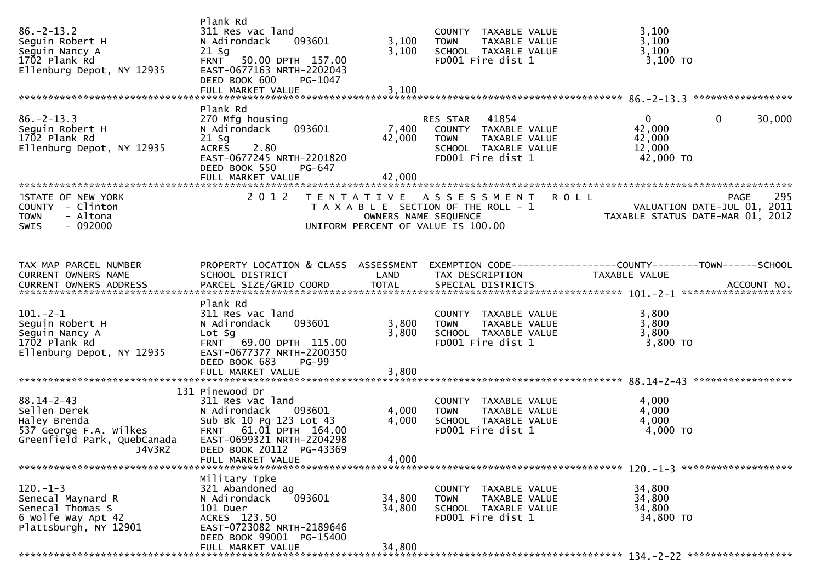| $86. - 2 - 13.2$<br>Seguin Robert H<br>Seguin Nancy A<br>1702 Plank Rd<br>Ellenburg Depot, NY 12935                 | Plank Rd<br>311 Res vac land<br>N Adirondack<br>093601<br>$21$ Sg<br>FRNT 50.00 DPTH 157.00<br>EAST-0677163 NRTH-2202043<br>DEED BOOK 600<br>PG-1047<br>FULL MARKET VALUE  | 3,100<br>3,100<br>3,100   | COUNTY TAXABLE VALUE<br>TAXABLE VALUE<br><b>TOWN</b><br>SCHOOL TAXABLE VALUE<br>FD001 Fire dist 1                      | 3,100<br>3,100<br>3,100<br>3,100 TO                                             |     |
|---------------------------------------------------------------------------------------------------------------------|----------------------------------------------------------------------------------------------------------------------------------------------------------------------------|---------------------------|------------------------------------------------------------------------------------------------------------------------|---------------------------------------------------------------------------------|-----|
|                                                                                                                     | Plank Rd                                                                                                                                                                   |                           |                                                                                                                        |                                                                                 |     |
| $86. -2 - 13.3$<br>Seguin Robert H<br>1702 Plank Rd<br>Ellenburg Depot, NY 12935                                    | 270 Mfg housing<br>093601<br>N Adirondack<br>$21$ Sq<br><b>ACRES</b><br>2.80<br>EAST-0677245 NRTH-2201820<br>DEED BOOK 550<br>PG-647<br>FULL MARKET VALUE                  | 7,400<br>42,000<br>42,000 | 41854<br>RES STAR<br>COUNTY TAXABLE VALUE<br>TAXABLE VALUE<br><b>TOWN</b><br>SCHOOL TAXABLE VALUE<br>FD001 Fire dist 1 | $\mathbf{0}$<br>0<br>30,000<br>42,000<br>42,000<br>12,000<br>42,000 TO          |     |
|                                                                                                                     |                                                                                                                                                                            |                           |                                                                                                                        |                                                                                 |     |
| STATE OF NEW YORK<br>COUNTY - Clinton<br>- Altona<br><b>TOWN</b><br>$-092000$<br><b>SWIS</b>                        | 2 0 1 2                                                                                                                                                                    | OWNERS NAME SEQUENCE      | TENTATIVE ASSESSMENT ROLL<br>T A X A B L E SECTION OF THE ROLL - 1<br>UNIFORM PERCENT OF VALUE IS 100.00               | PAGE<br>VALUATION DATE-JUL 01, 2011<br>TAXABLE STATUS DATE-MAR 01, 2012         | 295 |
| TAX MAP PARCEL NUMBER<br>CURRENT OWNERS NAME<br>CURRENT OWNERS ADDRESS                                              | PROPERTY LOCATION & CLASS ASSESSMENT<br>SCHOOL DISTRICT                                                                                                                    | LAND                      | TAX DESCRIPTION                                                                                                        | EXEMPTION CODE------------------COUNTY--------TOWN------SCHOOL<br>TAXABLE VALUE |     |
|                                                                                                                     | Plank Rd                                                                                                                                                                   |                           |                                                                                                                        |                                                                                 |     |
| $101 - 2 - 1$<br>Seguin Robert H<br>Seguin Nancy A<br>1702 Plank Rd<br>Ellenburg Depot, NY 12935                    | 311 Res vac land<br>093601<br>N Adirondack<br>Lot Sg<br>FRNT 69.00 DPTH 115.00<br>EAST-0677377 NRTH-2200350<br>DEED BOOK 683<br><b>PG-99</b>                               | 3,800<br>3,800            | COUNTY TAXABLE VALUE<br><b>TOWN</b><br>TAXABLE VALUE<br>SCHOOL TAXABLE VALUE<br>FD001 Fire dist 1                      | 3,800<br>3,800<br>3,800<br>$3,800$ TO                                           |     |
|                                                                                                                     |                                                                                                                                                                            |                           |                                                                                                                        |                                                                                 |     |
|                                                                                                                     | 131 Pinewood Dr                                                                                                                                                            |                           |                                                                                                                        |                                                                                 |     |
| $88.14 - 2 - 43$<br>Sellen Derek<br>Haley Brenda<br>537 George F.A. Wilkes<br>Greenfield Park, QuebCanada<br>J4V3R2 | 311 Res vac land<br>N Adirondack 093601<br>Sub Bk 10 Pg 123 Lot 43<br>FRNT 61.01 DPTH 164.00<br>EAST-0699321 NRTH-2204298<br>DEED BOOK 20112 PG-43369<br>FULL MARKET VALUE | 4,000<br>4,000<br>4,000   | COUNTY TAXABLE VALUE<br><b>TOWN</b><br>TAXABLE VALUE<br>SCHOOL TAXABLE VALUE<br>FD001 Fire dist 1                      | 4,000<br>4,000<br>4,000<br>4,000 TO                                             |     |
|                                                                                                                     |                                                                                                                                                                            |                           |                                                                                                                        |                                                                                 |     |
| $120. -1 - 3$<br>Senecal Maynard R<br>Senecal Thomas S<br>6 Wolfe Way Apt 42<br>Plattsburgh, NY 12901               | Military Tpke<br>321 Abandoned ag<br>093601<br>N Adirondack<br>101 Duer<br>ACRES 123.50<br>EAST-0723082 NRTH-2189646<br>DEED BOOK 99001 PG-15400                           | 34,800<br>34,800          | COUNTY TAXABLE VALUE<br><b>TOWN</b><br>TAXABLE VALUE<br>SCHOOL TAXABLE VALUE<br>FD001 Fire dist 1                      | 34,800<br>34,800<br>34,800<br>34,800 TO                                         |     |
|                                                                                                                     | FULL MARKET VALUE                                                                                                                                                          | 34,800                    |                                                                                                                        |                                                                                 |     |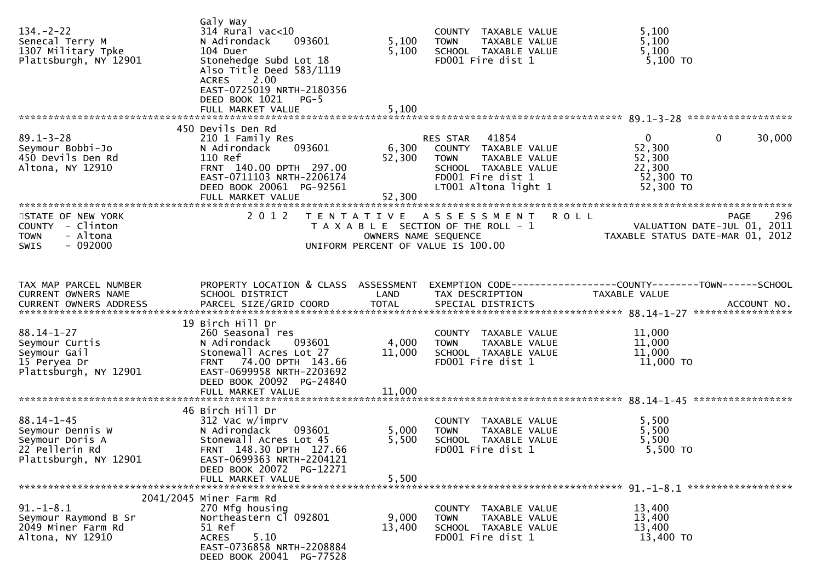| $134. - 2 - 22$<br>Senecal Terry M<br>1307 Military Tpke<br>Plattsburgh, NY 12901                  | Galy Way<br>$314$ Rural vac<10<br>093601<br>N Adirondack<br>104 Duer<br>Stonehedge Subd Lot 18<br>Also Title Deed 583/1119<br>2.00<br><b>ACRES</b><br>EAST-0725019 NRTH-2180356<br>DEED BOOK 1021 PG-5<br>FULL MARKET VALUE | 5,100<br>5,100<br>5,100   | COUNTY TAXABLE VALUE<br>TAXABLE VALUE<br><b>TOWN</b><br>SCHOOL TAXABLE VALUE<br>FD001 Fire dist 1                                              | 5,100<br>5,100<br>5,100<br>$5,100$ TO                                                |        |
|----------------------------------------------------------------------------------------------------|-----------------------------------------------------------------------------------------------------------------------------------------------------------------------------------------------------------------------------|---------------------------|------------------------------------------------------------------------------------------------------------------------------------------------|--------------------------------------------------------------------------------------|--------|
|                                                                                                    | 450 Devils Den Rd                                                                                                                                                                                                           |                           |                                                                                                                                                |                                                                                      |        |
| $89.1 - 3 - 28$<br>Seymour Bobbi-Jo<br>450 Devils Den Rd<br>Altona, NY 12910                       | 210 1 Family Res<br>N Adirondack<br>093601<br>110 Ref<br>FRNT 140.00 DPTH 297.00<br>EAST-0711103 NRTH-2206174<br>DEED BOOK 20061 PG-92561<br>FULL MARKET VALUE                                                              | 6,300<br>52,300<br>52,300 | 41854<br>RES STAR<br>COUNTY TAXABLE VALUE<br>TAXABLE VALUE<br><b>TOWN</b><br>SCHOOL TAXABLE VALUE<br>FD001 Fire dist 1<br>LT001 Altona light 1 | $\mathbf{0}$<br>$\mathbf{0}$<br>52,300<br>52,300<br>22,300<br>52,300 TO<br>52,300 TO | 30,000 |
|                                                                                                    |                                                                                                                                                                                                                             |                           |                                                                                                                                                |                                                                                      |        |
| STATE OF NEW YORK<br>COUNTY - Clinton<br>- Altona<br><b>TOWN</b><br>$-092000$<br><b>SWIS</b>       | 2 0 1 2                                                                                                                                                                                                                     | OWNERS NAME SEQUENCE      | TENTATIVE ASSESSMENT ROLL<br>T A X A B L E SECTION OF THE ROLL - 1<br>UNIFORM PERCENT OF VALUE IS 100.00                                       | PAGE<br>VALUATION DATE-JUL 01, 2011<br>TAXABLE STATUS DATE-MAR 01, 2012              | 296    |
| TAX MAP PARCEL NUMBER                                                                              | PROPERTY LOCATION & CLASS ASSESSMENT                                                                                                                                                                                        |                           |                                                                                                                                                | EXEMPTION CODE-----------------COUNTY-------TOWN------SCHOOL                         |        |
| CURRENT OWNERS NAME                                                                                | SCHOOL DISTRICT                                                                                                                                                                                                             | LAND                      | TAX DESCRIPTION                                                                                                                                | TAXABLE VALUE                                                                        |        |
|                                                                                                    | 19 Birch Hill Dr                                                                                                                                                                                                            |                           |                                                                                                                                                |                                                                                      |        |
| $88.14 - 1 - 27$<br>Seymour Curtis<br>Seymour Gail<br>15 Peryea Dr<br>Plattsburgh, NY 12901        | 260 Seasonal res<br>N Adirondack<br>093601<br>Stonewall Acres Lot 27<br>FRNT 74.00 DPTH 143.66<br>EAST-0699958 NRTH-2203692<br>DEED BOOK 20092 PG-24840<br>FULL MARKET VALUE                                                | 4,000<br>11,000<br>11,000 | COUNTY TAXABLE VALUE<br><b>TOWN</b><br>TAXABLE VALUE<br>SCHOOL TAXABLE VALUE<br>FD001 Fire dist 1                                              | 11,000<br>11,000<br>11,000<br>11,000 TO                                              |        |
|                                                                                                    |                                                                                                                                                                                                                             |                           |                                                                                                                                                |                                                                                      |        |
| $88.14 - 1 - 45$<br>Seymour Dennis W<br>Seymour Doris A<br>22 Pellerin Rd<br>Plattsburgh, NY 12901 | 46 Birch Hill Dr<br>312 Vac w/imprv<br>N Adirondack<br>093601<br>Stonewall Acres Lot 45<br>FRNT 148.30 DPTH 127.66<br>EAST-0699363 NRTH-2204121<br>DEED BOOK 20072 PG-12271<br>FULL MARKET VALUE                            | 5,000<br>5,500<br>5,500   | COUNTY TAXABLE VALUE<br>TAXABLE VALUE<br><b>TOWN</b><br>SCHOOL TAXABLE VALUE<br>FD001 Fire dist 1                                              | 5,500<br>5,500<br>5,500<br>5,500 TO                                                  |        |
|                                                                                                    | 2041/2045 Miner Farm Rd                                                                                                                                                                                                     |                           |                                                                                                                                                |                                                                                      |        |
| $91. - 1 - 8.1$<br>Seymour Raymond B Sr<br>2049 Miner Farm Rd<br>Altona, NY 12910                  | 270 Mfg housing<br>Northeastern Cl 092801<br>51 Ref<br>5.10<br><b>ACRES</b><br>EAST-0736858 NRTH-2208884<br>DEED BOOK 20041 PG-77528                                                                                        | 9,000<br>13,400           | COUNTY TAXABLE VALUE<br>TAXABLE VALUE<br><b>TOWN</b><br>SCHOOL TAXABLE VALUE<br>FD001 Fire dist 1                                              | 13,400<br>13,400<br>13,400<br>13,400 TO                                              |        |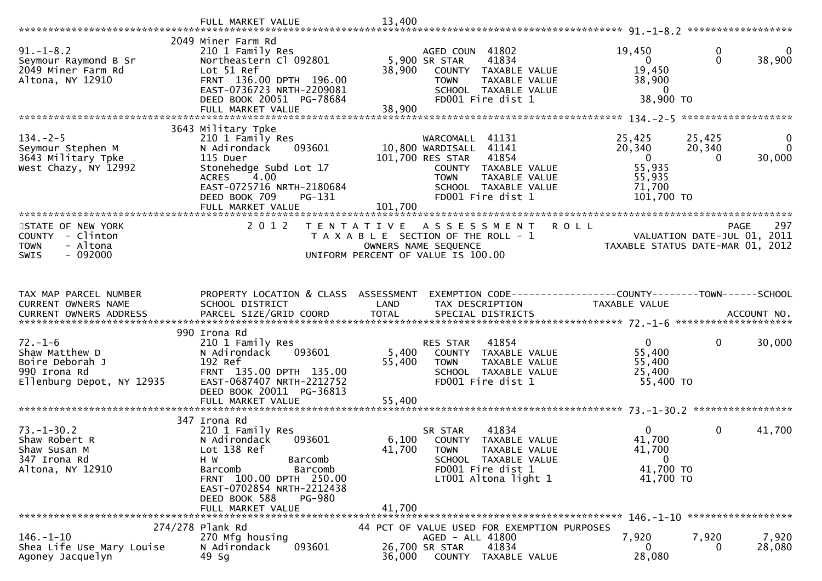| $91. - 1 - 8.2$<br>Seymour Raymond B Sr<br>2049 Miner Farm Rd<br>Altona, NY 12910               | 2049 Miner Farm Rd<br>210 1 Family Res<br>Northeastern Cl 092801<br>Lot 51 Ref<br>FRNT 136.00 DPTH 196.00<br>EAST-0736723 NRTH-2209081<br>DEED BOOK 20051 PG-78684<br>FULL MARKET VALUE              | AGED COUN 41802<br>5,900 SR STAR<br>41834<br>38,900<br>COUNTY TAXABLE VALUE<br><b>TOWN</b><br>TAXABLE VALUE<br>SCHOOL TAXABLE VALUE<br>FD001 Fire dist 1<br>38,900          | 19,450<br>0<br>0<br>$\Omega$<br>38,900<br>$\Omega$<br>19,450<br>38,900<br>$\mathbf{0}$<br>38,900 TO                                                     |
|-------------------------------------------------------------------------------------------------|------------------------------------------------------------------------------------------------------------------------------------------------------------------------------------------------------|-----------------------------------------------------------------------------------------------------------------------------------------------------------------------------|---------------------------------------------------------------------------------------------------------------------------------------------------------|
|                                                                                                 | 3643 Military Tpke                                                                                                                                                                                   |                                                                                                                                                                             |                                                                                                                                                         |
| $134. - 2 - 5$<br>Seymour Stephen M<br>3643 Military Tpke<br>West Chazy, NY 12992               | 210 1 Family Res<br>N Adirondack<br>093601<br>115 Duer<br>Stonehedge Subd Lot 17<br>4.00<br><b>ACRES</b><br>EAST-0725716 NRTH-2180684<br>DEED BOOK 709<br>PG-131                                     | WARCOMALL 41131<br>10,800 WARDISALL 41141<br>41854<br>101,700 RES STAR<br>COUNTY TAXABLE VALUE<br><b>TOWN</b><br>TAXABLE VALUE<br>SCHOOL TAXABLE VALUE<br>FD001 Fire dist 1 | $\mathbf 0$<br>25,425<br>25,425<br>20,340<br>20,340<br>$\mathbf{0}$<br>$\overline{0}$<br>30,000<br>$\Omega$<br>55,935<br>55,935<br>71,700<br>101,700 TO |
|                                                                                                 | FULL MARKET VALUE                                                                                                                                                                                    | 101,700                                                                                                                                                                     |                                                                                                                                                         |
| STATE OF NEW YORK<br>COUNTY - Clinton<br>- Altona<br><b>TOWN</b><br>$-092000$<br>SWIS           | 2 0 1 2                                                                                                                                                                                              | <b>ROLL</b><br>T E N T A T I V E<br>A S S E S S M E N T<br>T A X A B L E SECTION OF THE ROLL - 1<br>OWNERS NAME SEQUENCE<br>UNIFORM PERCENT OF VALUE IS 100.00              | 297<br><b>PAGE</b><br>VALUATION DATE-JUL 01, 2011<br>TAXABLE STATUS DATE-MAR 01, 2012                                                                   |
| TAX MAP PARCEL NUMBER<br>CURRENT OWNERS NAME                                                    | PROPERTY LOCATION & CLASS ASSESSMENT<br>SCHOOL DISTRICT                                                                                                                                              | LAND<br>TAX DESCRIPTION                                                                                                                                                     | EXEMPTION CODE-----------------COUNTY-------TOWN------SCHOOL<br>TAXABLE VALUE                                                                           |
| $72. - 1 - 6$<br>Shaw Matthew D<br>Boire Deborah J<br>990 Irona Rd<br>Ellenburg Depot, NY 12935 | 990 Irona Rd<br>210 1 Family Res<br>N Adirondack<br>093601<br>192 Ref<br>FRNT 135.00 DPTH 135.00<br>EAST-0687407 NRTH-2212752<br>DEED BOOK 20011 PG-36813                                            | RES STAR<br>41854<br>5,400<br>COUNTY TAXABLE VALUE<br>55,400<br><b>TOWN</b><br>TAXABLE VALUE<br>SCHOOL TAXABLE VALUE<br>FD001 Fire dist 1<br>55,400                         | $\mathbf 0$<br>$\overline{0}$<br>30,000<br>55,400<br>55,400<br>25,400<br>55,400 TO                                                                      |
|                                                                                                 | FULL MARKET VALUE                                                                                                                                                                                    |                                                                                                                                                                             |                                                                                                                                                         |
| $73. - 1 - 30.2$<br>Shaw Robert R<br>Shaw Susan M<br>347 Irona Rd<br>Altona, NY 12910           | 347 Irona Rd<br>210 1 Family Res<br>N Adirondack<br>093601<br>Lot 138 Ref<br>H W<br>Barcomb<br>Barcomb<br>Barcomb<br>FRNT 100.00 DPTH 250.00<br>EAST-0702854 NRTH-2212438<br>DEED BOOK 588<br>PG-980 | 41834<br>SR STAR<br>6,100 COUNTY TAXABLE VALUE<br>41,700<br><b>TOWN</b><br>TAXABLE VALUE<br>SCHOOL TAXABLE VALUE<br>FD001 Fire dist 1<br>LT001 Altona light 1               | $\Omega$<br>0<br>41,700<br>41,700<br>41,700<br>$\mathbf 0$<br>41,700 TO<br>41,700 TO                                                                    |
|                                                                                                 | FULL MARKET VALUE                                                                                                                                                                                    | 41,700                                                                                                                                                                      |                                                                                                                                                         |
|                                                                                                 | 274/278 Plank Rd                                                                                                                                                                                     | 44 PCT OF VALUE USED FOR EXEMPTION PURPOSES                                                                                                                                 |                                                                                                                                                         |
| $146. - 1 - 10$<br>Shea Life Use Mary Louise<br>Agoney Jacquelyn                                | 270 Mfg housing<br>093601<br>N Adirondack<br>49 Sg                                                                                                                                                   | AGED - ALL 41800<br>41834<br>26,700 SR STAR<br>36,000<br>COUNTY TAXABLE VALUE                                                                                               | 7,920<br>7,920<br>7,920<br>28,080<br>$\Omega$<br>0<br>28,080                                                                                            |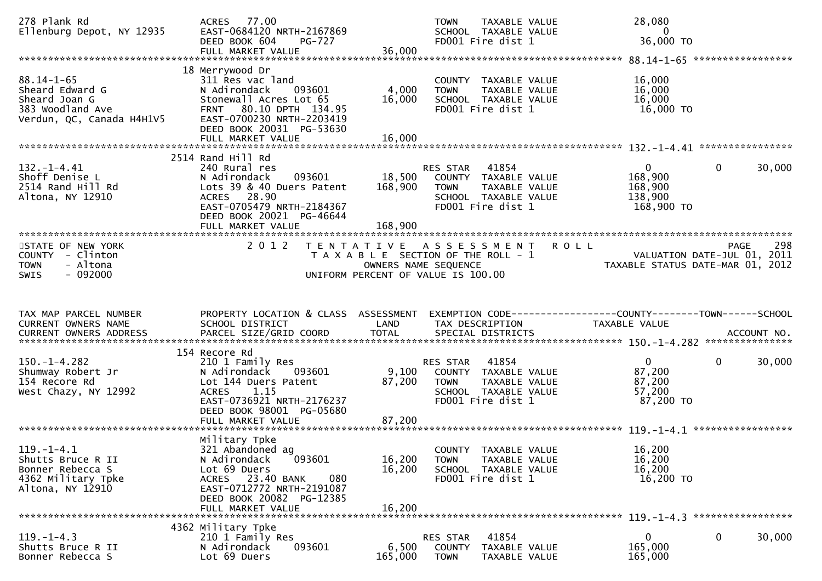| 278 Plank Rd<br>Ellenburg Depot, NY 12935                                                             | ACRES 77.00<br>EAST-0684120 NRTH-2167869<br>DEED BOOK 604<br>PG-727<br>FULL MARKET VALUE                                                                                                  | 36,000                                    | <b>TOWN</b><br>TAXABLE VALUE<br>SCHOOL TAXABLE VALUE<br>FD001 Fire dist 1                                                     | 28,080<br>0<br>36,000 TO                                                             |                                                                                       |
|-------------------------------------------------------------------------------------------------------|-------------------------------------------------------------------------------------------------------------------------------------------------------------------------------------------|-------------------------------------------|-------------------------------------------------------------------------------------------------------------------------------|--------------------------------------------------------------------------------------|---------------------------------------------------------------------------------------|
|                                                                                                       |                                                                                                                                                                                           |                                           |                                                                                                                               |                                                                                      |                                                                                       |
| $88.14 - 1 - 65$<br>Sheard Edward G<br>Sheard Joan G<br>383 Woodland Ave<br>Verdun, QC, Canada H4H1V5 | 18 Merrywood Dr<br>311 Res vac land<br>N Adirondack<br>093601<br>Stonewall Acres Lot 65<br>80.10 DPTH 134.95<br><b>FRNT</b><br>EAST-0700230 NRTH-2203419<br>DEED BOOK 20031 PG-53630      | 4,000<br>16,000                           | COUNTY TAXABLE VALUE<br>TAXABLE VALUE<br><b>TOWN</b><br>SCHOOL TAXABLE VALUE<br>FD001 Fire dist 1                             | 16,000<br>16,000<br>16,000<br>16,000 TO                                              |                                                                                       |
|                                                                                                       |                                                                                                                                                                                           |                                           |                                                                                                                               |                                                                                      |                                                                                       |
| $132. - 1 - 4.41$<br>Shoff Denise L<br>2514 Rand Hill Rd<br>Altona, NY 12910                          | 2514 Rand Hill Rd<br>240 Rural res<br>093601<br>N Adirondack<br>Lots 39 & 40 Duers Patent<br>ACRES 28.90<br>EAST-0705479 NRTH-2184367<br>DEED BOOK 20021 PG-46644<br>FULL MARKET VALUE    | 18,500<br>168,900<br>168,900              | 41854<br><b>RES STAR</b><br>COUNTY TAXABLE VALUE<br>TAXABLE VALUE<br><b>TOWN</b><br>SCHOOL TAXABLE VALUE<br>FD001 Fire dist 1 | $\mathbf{0}$<br>168,900<br>168,900<br>138,900<br>168,900 TO                          | 30,000<br>$\bf{0}$                                                                    |
|                                                                                                       |                                                                                                                                                                                           |                                           |                                                                                                                               |                                                                                      |                                                                                       |
| STATE OF NEW YORK<br>COUNTY - Clinton<br>- Altona<br><b>TOWN</b><br>$-092000$<br><b>SWIS</b>          | 2 0 1 2                                                                                                                                                                                   | T E N T A T I V E<br>OWNERS NAME SEQUENCE | A S S E S S M E N T<br>T A X A B L E SECTION OF THE ROLL - 1<br>UNIFORM PERCENT OF VALUE IS 100.00                            | <b>ROLL</b>                                                                          | 298<br><b>PAGE</b><br>VALUATION DATE-JUL 01, 2011<br>TAXABLE STATUS DATE-MAR 01, 2012 |
|                                                                                                       |                                                                                                                                                                                           |                                           |                                                                                                                               |                                                                                      |                                                                                       |
| TAX MAP PARCEL NUMBER<br>CURRENT OWNERS NAME<br>CURRENT OWNERS ADDRESS                                | PROPERTY LOCATION & CLASS ASSESSMENT<br>SCHOOL DISTRICT                                                                                                                                   | LAND                                      | TAX DESCRIPTION                                                                                                               | EXEMPTION        CODE-----------------COUNTY-------TOWN------SCHOOL<br>TAXABLE VALUE |                                                                                       |
|                                                                                                       |                                                                                                                                                                                           |                                           |                                                                                                                               |                                                                                      |                                                                                       |
| $150. - 1 - 4.282$<br>Shumway Robert Jr<br>154 Recore Rd<br>West Chazy, NY 12992                      | 154 Recore Rd<br>210 1 Family Res<br>N Adirondack<br>093601<br>Lot 144 Duers Patent<br><b>ACRES</b><br>1.15<br>EAST-0736921 NRTH-2176237<br>DEED BOOK 98001 PG-05680<br>FULL MARKET VALUE | 9,100<br>87,200<br>87,200                 | 41854<br><b>RES STAR</b><br>COUNTY TAXABLE VALUE<br><b>TOWN</b><br>TAXABLE VALUE<br>SCHOOL TAXABLE VALUE<br>FD001 Fire dist 1 | $\mathbf{0}$<br>87,200<br>87,200<br>57,200<br>87,200 TO                              | $\mathbf{0}$<br>30,000                                                                |
|                                                                                                       |                                                                                                                                                                                           |                                           |                                                                                                                               |                                                                                      |                                                                                       |
| $119. - 1 - 4.1$<br>Shutts Bruce R II<br>Bonner Rebecca S<br>4362 Military Tpke<br>Altona, NY 12910   | Military Tpke<br>321 Abandoned ag<br>093601<br>N Adirondack<br>Lot 69 Duers<br>ACRES 23.40 BANK<br>080<br>EAST-0712772 NRTH-2191087<br>DEED BOOK 20082 PG-12385<br>FULL MARKET VALUE      | 16,200<br>16,200<br>16,200                | COUNTY TAXABLE VALUE<br>TAXABLE VALUE<br><b>TOWN</b><br>SCHOOL TAXABLE VALUE<br>FD001 Fire dist 1                             | 16,200<br>16,200<br>16,200<br>16,200 TO                                              |                                                                                       |
|                                                                                                       |                                                                                                                                                                                           |                                           |                                                                                                                               |                                                                                      |                                                                                       |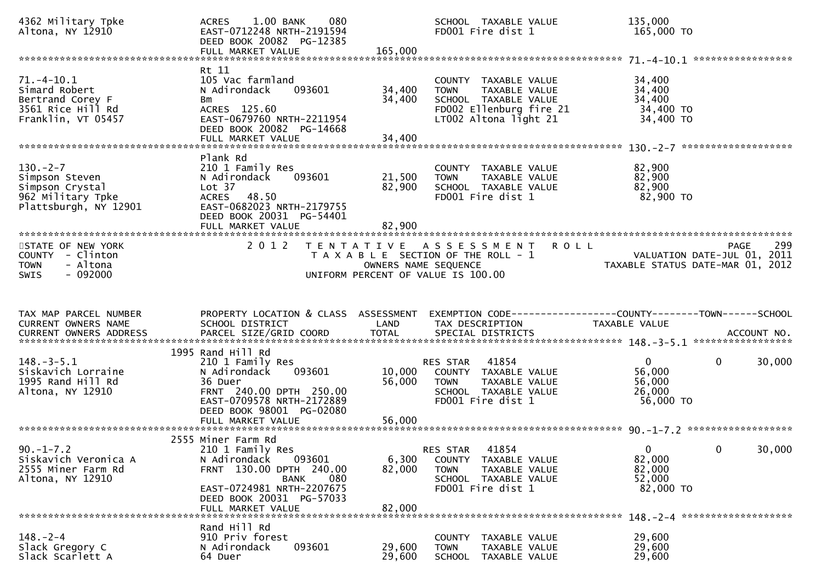| 4362 Military Tpke<br>Altona, NY 12910                                                           | 1.00 BANK<br>080<br><b>ACRES</b><br>EAST-0712248 NRTH-2191594<br>DEED BOOK 20082 PG-12385                                                                                                |                            | SCHOOL TAXABLE VALUE<br>FD001 Fire dist 1                                                                                        | 135,000<br>165,000 TO                                               |                    |
|--------------------------------------------------------------------------------------------------|------------------------------------------------------------------------------------------------------------------------------------------------------------------------------------------|----------------------------|----------------------------------------------------------------------------------------------------------------------------------|---------------------------------------------------------------------|--------------------|
| $71. - 4 - 10.1$<br>Simard Robert<br>Bertrand Corey F<br>3561 Rice Hill Rd<br>Franklin, VT 05457 | Rt 11<br>105 Vac farmland<br>N Adirondack<br>093601<br>Bm<br>ACRES 125.60<br>EAST-0679760 NRTH-2211954<br>DEED BOOK 20082 PG-14668                                                       | 34,400<br>34,400           | COUNTY TAXABLE VALUE<br>TAXABLE VALUE<br><b>TOWN</b><br>SCHOOL TAXABLE VALUE<br>FD002 Ellenburg fire 21<br>LT002 Altona light 21 | 34,400<br>34,400<br>34,400<br>34,400 TO<br>34,400 TO                |                    |
| $130 - 2 - 7$<br>Simpson Steven<br>Simpson Crystal<br>962 Military Tpke<br>Plattsburgh, NY 12901 | Plank Rd<br>210 1 Family Res<br>093601<br>N Adirondack<br>Lot 37<br>ACRES 48.50<br>EAST-0682023 NRTH-2179755<br>DEED BOOK 20031 PG-54401<br>FULL MARKET VALUE                            | 21,500<br>82,900<br>82,900 | COUNTY TAXABLE VALUE<br>TAXABLE VALUE<br><b>TOWN</b><br>SCHOOL TAXABLE VALUE<br>FD001 Fire dist 1                                | 82,900<br>82,900<br>82,900<br>82,900 TO                             |                    |
| STATE OF NEW YORK<br>COUNTY - Clinton<br>- Altona<br><b>TOWN</b><br>$-092000$<br><b>SWIS</b>     | 2 0 1 2                                                                                                                                                                                  | OWNERS NAME SEQUENCE       | TENTATIVE ASSESSMENT<br><b>ROLL</b><br>T A X A B L E SECTION OF THE ROLL - 1<br>UNIFORM PERCENT OF VALUE IS 100.00               | VALUATION DATE-JUL 01, 2011<br>TAXABLE STATUS DATE-MAR 01, 2012     | 299<br><b>PAGE</b> |
|                                                                                                  |                                                                                                                                                                                          |                            |                                                                                                                                  |                                                                     |                    |
| TAX MAP PARCEL NUMBER<br>CURRENT OWNERS NAME<br>CURRENT OWNERS ADDRESS                           | PROPERTY LOCATION & CLASS ASSESSMENT<br>SCHOOL DISTRICT                                                                                                                                  | LAND                       | EXEMPTION CODE-----------------COUNTY--------TOWN------SCHOOL<br>TAX DESCRIPTION                                                 | TAXABLE VALUE                                                       |                    |
| $148. - 3 - 5.1$<br>Siskavich Lorraine<br>1995 Rand Hill Rd<br>Altona, NY 12910                  | 1995 Rand Hill Rd<br>210 1 Family Res<br>N Adirondack<br>093601<br>36 Duer<br>FRNT 240.00 DPTH 250.00<br>EAST-0709578 NRTH-2172889<br>DEED BOOK 98001 PG-02080<br>FULL MARKET VALUE      | 10,000<br>56,000<br>56,000 | 41854<br>RES STAR<br>COUNTY TAXABLE VALUE<br>TAXABLE VALUE<br><b>TOWN</b><br>SCHOOL TAXABLE VALUE<br>FD001 Fire dist 1           | $\mathbf{0}$<br>0<br>56,000<br>56,000<br>26,000<br>56,000 TO        | 30,000             |
| $90. -1 - 7.2$<br>Siskavich Veronica A<br>2555 Miner Farm Rd<br>Altona, NY 12910                 | 2555 Miner Farm Rd<br>210 1 Family Res<br>N Adirondack<br>093601<br>FRNT 130.00 DPTH 240.00<br>080<br>BANK<br>EAST-0724981 NRTH-2207675<br>DEED BOOK 20031 PG-57033<br>FULL MARKET VALUE | 6,300<br>82,000<br>82,000  | 41854<br><b>RES STAR</b><br>TAXABLE VALUE<br>COUNTY<br><b>TOWN</b><br>TAXABLE VALUE<br>SCHOOL TAXABLE VALUE<br>FD001 Fire dist 1 | $\Omega$<br>$\mathbf{0}$<br>82,000<br>82,000<br>52,000<br>82,000 TO | 30,000             |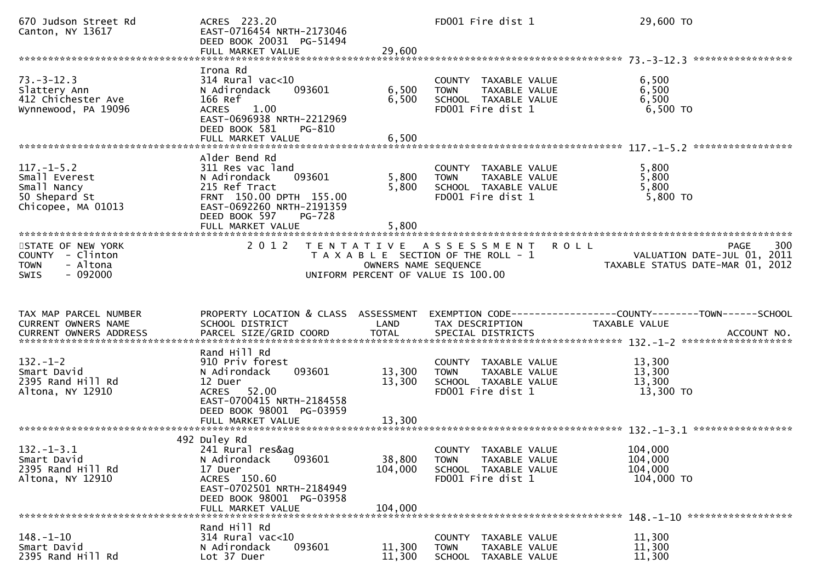| 670 Judson Street Rd<br>Canton, NY 13617                                                     | ACRES 223.20<br>EAST-0716454 NRTH-2173046<br>DEED BOOK 20031 PG-51494<br>FULL MARKET VALUE                                                                                           | 29,600                       | FD001 Fire dist 1                                                                                                  | 29,600 TO                                                                        |
|----------------------------------------------------------------------------------------------|--------------------------------------------------------------------------------------------------------------------------------------------------------------------------------------|------------------------------|--------------------------------------------------------------------------------------------------------------------|----------------------------------------------------------------------------------|
| $73. - 3 - 12.3$<br>Slattery Ann<br>412 Chichester Ave<br>Wynnewood, PA 19096                | Irona Rd<br>314 Rural vac<10<br>093601<br>N Adirondack<br>166 Ref<br>1.00<br>ACRES<br>EAST-0696938 NRTH-2212969<br>DEED BOOK 581<br>PG-810                                           | 6,500<br>6,500               | COUNTY TAXABLE VALUE<br>TAXABLE VALUE<br><b>TOWN</b><br>SCHOOL TAXABLE VALUE<br>FD001 Fire dist 1                  | 6,500<br>6,500<br>6,500<br>6,500 TO                                              |
| $117. - 1 - 5.2$<br>Small Everest<br>Small Nancy<br>50 Shepard St<br>Chicopee, MA 01013      | Alder Bend Rd<br>311 Res vac land<br>093601<br>N Adirondack<br>215 Ref Tract<br>FRNT 150.00 DPTH 155.00<br>EAST-0692260 NRTH-2191359<br>DEED BOOK 597<br>PG-728<br>FULL MARKET VALUE | 5,800<br>5,800<br>5.800      | COUNTY TAXABLE VALUE<br><b>TOWN</b><br>TAXABLE VALUE<br>SCHOOL TAXABLE VALUE<br>FD001 Fire dist 1                  | 5,800<br>5,800<br>5,800<br>5,800 TO                                              |
| STATE OF NEW YORK<br>COUNTY - Clinton<br>- Altona<br><b>TOWN</b><br>$-092000$<br><b>SWIS</b> | 2 0 1 2                                                                                                                                                                              | OWNERS NAME SEQUENCE         | TENTATIVE ASSESSMENT<br><b>ROLL</b><br>T A X A B L E SECTION OF THE ROLL - 1<br>UNIFORM PERCENT OF VALUE IS 100.00 | <b>PAGE</b><br>300<br>VALUATION DATE-JUL 01, 2011<br>VALUATION DATE-MAR 01, 2012 |
|                                                                                              |                                                                                                                                                                                      |                              |                                                                                                                    |                                                                                  |
| TAX MAP PARCEL NUMBER<br>CURRENT OWNERS NAME<br>CURRENT OWNERS ADDRESS                       | PROPERTY LOCATION & CLASS ASSESSMENT<br>SCHOOL DISTRICT                                                                                                                              | LAND                         | TAX DESCRIPTION                                                                                                    | EXEMPTION CODE------------------COUNTY--------TOWN------SCHOOL<br>TAXABLE VALUE  |
| $132 - 1 - 2$<br>Smart David<br>2395 Rand Hill Rd<br>Altona, NY 12910                        | Rand Hill Rd<br>910 Priv forest<br>N Adirondack<br>093601<br>12 Duer<br>ACRES 52.00<br>EAST-0700415 NRTH-2184558<br>DEED BOOK 98001 PG-03959<br>FULL MARKET VALUE                    | 13,300<br>13,300<br>13,300   | COUNTY TAXABLE VALUE<br>TAXABLE VALUE<br><b>TOWN</b><br>SCHOOL TAXABLE VALUE<br>FD001 Fire dist 1                  | 13,300<br>13,300<br>13,300<br>13,300 TO                                          |
| $132. - 1 - 3.1$<br>Smart David<br>2395 Rand Hill Rd<br>Altona, NY 12910                     | 492 Duley Rd<br>241 Rural res&ag<br>093601<br>N Adirondack<br>17 Duer<br>ACRES 150.60<br>EAST-0702501 NRTH-2184949<br>DEED BOOK 98001 PG-03958<br>FULL MARKET VALUE                  | 38,800<br>104,000<br>104,000 | COUNTY TAXABLE VALUE<br><b>TOWN</b><br>TAXABLE VALUE<br>SCHOOL TAXABLE VALUE<br>FD001 Fire dist 1                  | 104,000<br>104,000<br>104,000<br>104,000 TO                                      |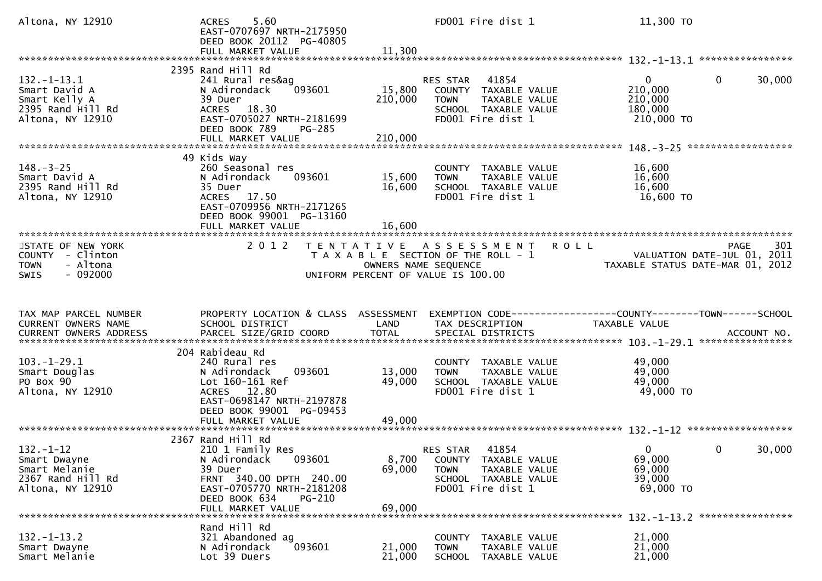| Altona, NY 12910                                                                             | 5.60<br><b>ACRES</b><br>EAST-0707697 NRTH-2175950<br>DEED BOOK 20112 PG-40805<br>FULL MARKET VALUE                                                                                   | 11,300                     | FD001 Fire dist 1                                                                                                                          | 11,300 TO                                                   |                                                   |
|----------------------------------------------------------------------------------------------|--------------------------------------------------------------------------------------------------------------------------------------------------------------------------------------|----------------------------|--------------------------------------------------------------------------------------------------------------------------------------------|-------------------------------------------------------------|---------------------------------------------------|
|                                                                                              |                                                                                                                                                                                      |                            |                                                                                                                                            |                                                             |                                                   |
| $132. - 1 - 13.1$<br>Smart David A<br>Smart Kelly A<br>2395 Rand Hill Rd<br>Altona, NY 12910 | 2395 Rand Hill Rd<br>241 Rural res&aq<br>093601<br>N Adirondack<br>39 Duer<br>ACRES 18.30<br>EAST-0705027 NRTH-2181699<br>DEED BOOK 789<br>PG-285                                    | 15,800<br>210,000          | 41854<br>RES STAR<br>COUNTY TAXABLE VALUE<br>TAXABLE VALUE<br><b>TOWN</b><br>SCHOOL TAXABLE VALUE<br>FD001 Fire dist 1                     | $\mathbf{0}$<br>210,000<br>210,000<br>180,000<br>210,000 TO | $\mathbf{0}$<br>30,000                            |
|                                                                                              |                                                                                                                                                                                      |                            |                                                                                                                                            |                                                             |                                                   |
| $148. - 3 - 25$<br>Smart David A<br>2395 Rand Hill Rd<br>Altona, NY 12910                    | 49 Kids Way<br>260 Seasonal res<br>N Adirondack<br>093601<br>35 Duer<br>17.50<br><b>ACRES</b><br>EAST-0709956 NRTH-2171265<br>DEED BOOK 99001 PG-13160<br>FULL MARKET VALUE          | 15,600<br>16,600<br>16,600 | COUNTY TAXABLE VALUE<br>TAXABLE VALUE<br><b>TOWN</b><br>SCHOOL TAXABLE VALUE<br>FD001 Fire dist 1                                          | 16,600<br>16,600<br>16,600<br>16,600 TO                     |                                                   |
|                                                                                              |                                                                                                                                                                                      |                            |                                                                                                                                            |                                                             |                                                   |
| STATE OF NEW YORK<br>COUNTY - Clinton<br>- Altona<br><b>TOWN</b><br>$-092000$<br>SWIS        | 2 0 1 2                                                                                                                                                                              |                            | <b>ROLL</b><br>TENTATIVE ASSESSMENT<br>T A X A B L E SECTION OF THE ROLL - 1<br>OWNERS NAME SEQUENCE<br>UNIFORM PERCENT OF VALUE IS 100.00 | TAXABLE STATUS DATE-MAR 01, 2012                            | <b>PAGE</b><br>301<br>VALUATION DATE-JUL 01, 2011 |
|                                                                                              |                                                                                                                                                                                      |                            |                                                                                                                                            |                                                             |                                                   |
| TAX MAP PARCEL NUMBER<br>CURRENT OWNERS NAME<br>CURRENT OWNERS ADDRESS                       | PROPERTY LOCATION & CLASS ASSESSMENT<br>SCHOOL DISTRICT                                                                                                                              | LAND                       | TAX DESCRIPTION                                                                                                                            | TAXABLE VALUE                                               |                                                   |
|                                                                                              |                                                                                                                                                                                      |                            |                                                                                                                                            |                                                             |                                                   |
| $103.-1-29.1$<br>Smart Douglas<br>PO Box 90<br>Altona, NY 12910                              | 204 Rabideau Rd<br>240 Rural res<br>093601<br>N Adirondack<br>Lot 160-161 Ref<br>ACRES 12.80<br>EAST-0698147 NRTH-2197878<br>DEED BOOK 99001 PG-09453                                | 13,000<br>49,000           | COUNTY TAXABLE VALUE<br>TAXABLE VALUE<br><b>TOWN</b><br>SCHOOL TAXABLE VALUE<br>FD001 Fire dist 1                                          | 49,000<br>49,000<br>49,000<br>49,000 TO                     |                                                   |
|                                                                                              | FULL MARKET VALUE                                                                                                                                                                    | 49,000                     |                                                                                                                                            |                                                             |                                                   |
| $132. - 1 - 12$<br>Smart Dwayne<br>Smart Melanie<br>2367 Rand Hill Rd<br>Altona, NY 12910    | 2367 Rand Hill Rd<br>210 1 Family Res<br>093601<br>N Adirondack<br>39 Duer<br>FRNT 340.00 DPTH 240.00<br>EAST-0705770 NRTH-2181208<br>DEED BOOK 634<br>$PG-210$<br>FULL MARKET VALUE | 8,700<br>69,000<br>69,000  | 41854<br>RES STAR<br>COUNTY TAXABLE VALUE<br>TAXABLE VALUE<br><b>TOWN</b><br>SCHOOL TAXABLE VALUE<br>FD001 Fire dist 1                     | $\mathbf{0}$<br>69,000<br>69,000<br>39,000<br>69,000 TO     | 30,000<br>$\bullet$ O                             |
|                                                                                              | Rand Hill Rd                                                                                                                                                                         |                            |                                                                                                                                            |                                                             |                                                   |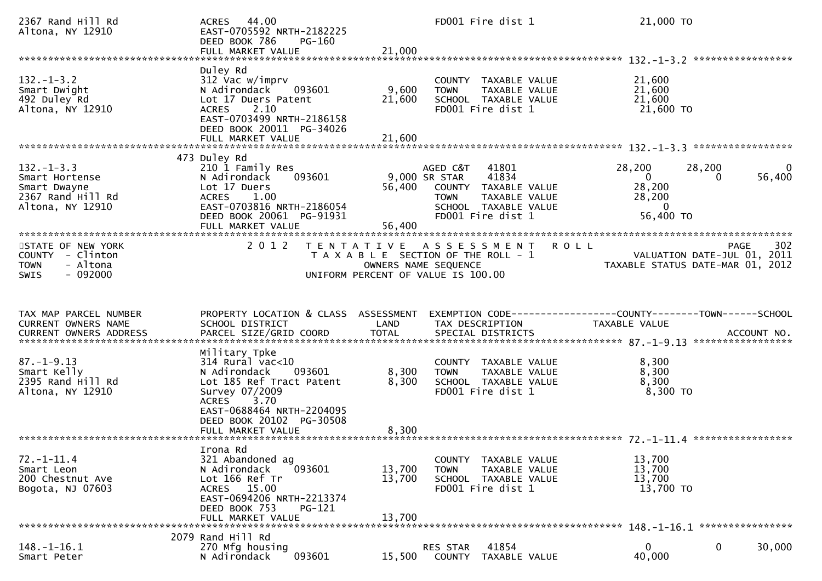| 2367 Rand Hill Rd<br>Altona, NY 12910                                                       | 44.00<br><b>ACRES</b><br>EAST-0705592 NRTH-2182225<br>DEED BOOK 786<br>PG-160<br>FULL MARKET VALUE                                                                                              | 21,000                     | FD001 Fire dist 1                                                                                                                                | 21,000 TO                                                                                      |             |
|---------------------------------------------------------------------------------------------|-------------------------------------------------------------------------------------------------------------------------------------------------------------------------------------------------|----------------------------|--------------------------------------------------------------------------------------------------------------------------------------------------|------------------------------------------------------------------------------------------------|-------------|
| $132. - 1 - 3.2$<br>Smart Dwight<br>492 Duley Rd<br>Altona, NY 12910                        | Duley Rd<br>312 Vac w/imprv<br>N Adirondack<br>093601<br>Lot 17 Duers Patent<br>2.10<br><b>ACRES</b><br>EAST-0703499 NRTH-2186158<br>DEED BOOK 20011 PG-34026<br>FULL MARKET VALUE              | 9,600<br>21,600<br>21,600  | COUNTY TAXABLE VALUE<br>TAXABLE VALUE<br><b>TOWN</b><br>SCHOOL TAXABLE VALUE<br>FD001 Fire dist 1                                                | 21,600<br>21,600<br>21,600<br>21,600 TO                                                        |             |
|                                                                                             |                                                                                                                                                                                                 |                            |                                                                                                                                                  |                                                                                                |             |
| $132. - 1 - 3.3$<br>Smart Hortense<br>Smart Dwayne<br>2367 Rand Hill Rd<br>Altona, NY 12910 | 473 Duley Rd<br>210 1 Family Res<br>N Adirondack<br>093601<br>Lot 17 Duers<br>1.00<br><b>ACRES</b><br>EAST-0703816 NRTH-2186054<br>DEED BOOK 20061 PG-91931<br>FULL MARKET VALUE                | 56,400<br>56,400           | AGED C&T<br>41801<br>41834<br>9,000 SR STAR<br>COUNTY TAXABLE VALUE<br>TAXABLE VALUE<br><b>TOWN</b><br>SCHOOL TAXABLE VALUE<br>FD001 Fire dist 1 | 28,200<br>28,200<br>$\overline{0}$<br>0<br>28,200<br>28,200<br>$\overline{0}$<br>56,400 TO     | 0<br>56,400 |
| STATE OF NEW YORK<br>COUNTY - Clinton<br>- Altona<br><b>TOWN</b><br>$-092000$<br>SWIS       | 2 0 1 2                                                                                                                                                                                         | OWNERS NAME SEQUENCE       | TENTATIVE ASSESSMENT<br><b>ROLL</b><br>T A X A B L E SECTION OF THE ROLL - 1<br>UNIFORM PERCENT OF VALUE IS 100.00                               | VALUATION DATE-JUL 01, 2011<br>VALUATION DATE-JUL 01, ZUII<br>TAXABLE STATUS DATE-MAR 01, 2012 | 302<br>PAGE |
|                                                                                             |                                                                                                                                                                                                 |                            |                                                                                                                                                  |                                                                                                |             |
| TAX MAP PARCEL NUMBER<br>CURRENT OWNERS NAME<br><b>CURRENT OWNERS ADDRESS</b>               | PROPERTY LOCATION & CLASS ASSESSMENT<br>SCHOOL DISTRICT<br>PARCEL SIZE/GRID COORD                                                                                                               | LAND<br><b>TOTAL</b>       | EXEMPTION CODE-----------------COUNTY-------TOWN------SCHOOL<br>TAX DESCRIPTION<br>SPECIAL DISTRICTS                                             | TAXABLE VALUE                                                                                  | ACCOUNT NO. |
| $87. - 1 - 9.13$<br>Smart Kelly<br>2395 Rand Hill Rd<br>Altona, NY 12910                    | Military Tpke<br>$314$ Rural vac< $10$<br>093601<br>N Adirondack<br>Lot 185 Ref Tract Patent<br>Survey 07/2009<br>3.70<br><b>ACRES</b><br>EAST-0688464 NRTH-2204095<br>DEED BOOK 20102 PG-30508 | 8,300<br>8,300             | COUNTY TAXABLE VALUE<br><b>TOWN</b><br>TAXABLE VALUE<br>SCHOOL TAXABLE VALUE<br>FD001 Fire dist 1                                                | 8,300<br>8,300<br>8,300<br>$8,300$ TO                                                          |             |
| $72. - 1 - 11.4$<br>Smart Leon<br>200 Chestnut Ave<br>Bogota, NJ 07603                      | Irona Rd<br>321 Abandoned ag<br>N Adirondack<br>093601<br>Lot 166 Ref Tr<br>ACRES 15.00<br>EAST-0694206 NRTH-2213374<br>DEED BOOK 753<br><b>PG-121</b><br>FULL MARKET VALUE                     | 13,700<br>13,700<br>13,700 | TAXABLE VALUE<br>COUNTY<br>TAXABLE VALUE<br><b>TOWN</b><br>SCHOOL TAXABLE VALUE<br>FD001 Fire dist 1                                             | 13,700<br>13,700<br>13,700<br>13,700 TO                                                        |             |
|                                                                                             | 2079 Rand Hill Rd                                                                                                                                                                               |                            |                                                                                                                                                  |                                                                                                |             |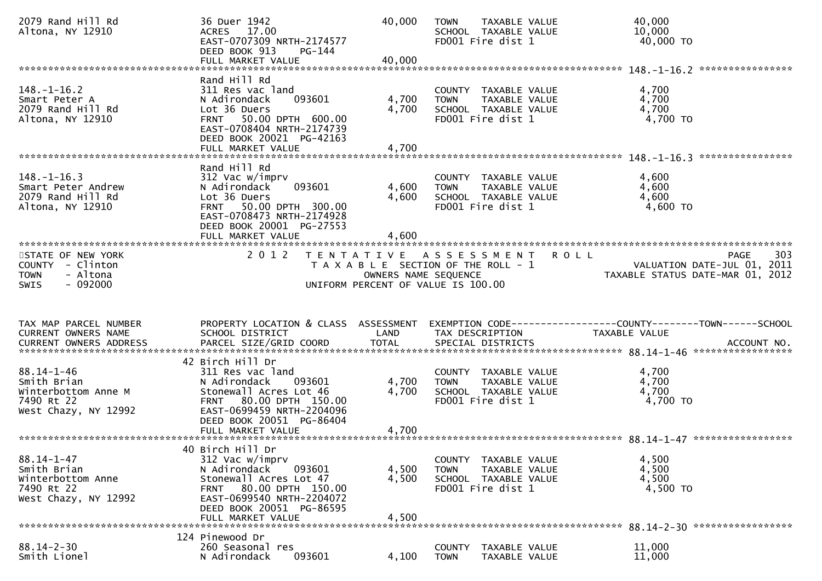| 2079 Rand Hill Rd<br>Altona, NY 12910                                                        | 36 Duer 1942<br>ACRES 17.00<br>EAST-0707309 NRTH-2174577<br>DEED BOOK 913<br>PG-144                                                                                                             | 40,000                  | <b>TOWN</b><br>TAXABLE VALUE<br>SCHOOL TAXABLE VALUE<br>FD001 Fire dist 1                         | 40,000<br>10,000<br>40,000 TO                                   |
|----------------------------------------------------------------------------------------------|-------------------------------------------------------------------------------------------------------------------------------------------------------------------------------------------------|-------------------------|---------------------------------------------------------------------------------------------------|-----------------------------------------------------------------|
|                                                                                              |                                                                                                                                                                                                 |                         |                                                                                                   |                                                                 |
| $148. - 1 - 16.2$<br>Smart Peter A<br>2079 Rand Hill Rd<br>Altona, NY 12910                  | Rand Hill Rd<br>311 Res vac land<br>093601<br>N Adirondack<br>Lot 36 Duers<br>FRNT 50.00 DPTH 600.00<br>EAST-0708404 NRTH-2174739<br>DEED BOOK 20021 PG-42163<br>FULL MARKET VALUE              | 4,700<br>4,700<br>4,700 | COUNTY TAXABLE VALUE<br>TAXABLE VALUE<br><b>TOWN</b><br>SCHOOL TAXABLE VALUE<br>FD001 Fire dist 1 | 4,700<br>4,700<br>4,700<br>4,700 TO                             |
|                                                                                              |                                                                                                                                                                                                 |                         |                                                                                                   | *****************                                               |
| $148. - 1 - 16.3$<br>Smart Peter Andrew<br>2079 Rand Hill Rd<br>Altona, NY 12910             | Rand Hill Rd<br>312 Vac w/imprv<br>093601<br>N Adirondack<br>Lot 36 Duers<br>FRNT 50.00 DPTH 300.00<br>EAST-0708473 NRTH-2174928<br>DEED BOOK 20001 PG-27553<br>FULL MARKET VALUE               | 4,600<br>4,600<br>4,600 | COUNTY TAXABLE VALUE<br>TAXABLE VALUE<br><b>TOWN</b><br>SCHOOL TAXABLE VALUE<br>FD001 Fire dist 1 | 4,600<br>4,600<br>4,600<br>4,600 TO                             |
| STATE OF NEW YORK                                                                            | 2 0 1 2                                                                                                                                                                                         |                         | TENTATIVE ASSESSMENT                                                                              | 303<br><b>ROLL</b><br><b>PAGE</b>                               |
| COUNTY - Clinton<br>- Altona<br><b>TOWN</b><br>$-092000$<br><b>SWIS</b>                      |                                                                                                                                                                                                 | OWNERS NAME SEQUENCE    | T A X A B L E SECTION OF THE ROLL - 1                                                             | VALUATION DATE-JUL 01, 2011<br>TAXABLE STATUS DATE-MAR 01, 2012 |
|                                                                                              |                                                                                                                                                                                                 |                         | UNIFORM PERCENT OF VALUE IS 100.00                                                                |                                                                 |
| TAX MAP PARCEL NUMBER                                                                        | PROPERTY LOCATION & CLASS ASSESSMENT                                                                                                                                                            |                         |                                                                                                   |                                                                 |
| CURRENT OWNERS NAME<br><b>CURRENT OWNERS ADDRESS</b>                                         | SCHOOL DISTRICT<br>PARCEL SIZE/GRID COORD                                                                                                                                                       | LAND<br><b>TOTAL</b>    | TAX DESCRIPTION<br>SPECIAL DISTRICTS                                                              | TAXABLE VALUE<br>ACCOUNT NO.                                    |
|                                                                                              |                                                                                                                                                                                                 |                         |                                                                                                   |                                                                 |
| $88.14 - 1 - 46$<br>Smith Brian<br>Winterbottom Anne M<br>7490 Rt 22<br>West Chazy, NY 12992 | 42 Birch Hill Dr<br>311 Res vac land<br>N Adirondack<br>093601<br>Stonewall Acres Lot 46<br>FRNT 80.00 DPTH 150.00<br>EAST-0699459 NRTH-2204096<br>DEED BOOK 20051 PG-86404                     | 4,700<br>4,700          | COUNTY TAXABLE VALUE<br>TAXABLE VALUE<br><b>TOWN</b><br>SCHOOL TAXABLE VALUE<br>FD001 Fire dist 1 | 4,700<br>4,700<br>4,700<br>4,700 TO                             |
|                                                                                              |                                                                                                                                                                                                 |                         |                                                                                                   |                                                                 |
| $88.14 - 1 - 47$<br>Smith Brian<br>Winterbottom Anne<br>7490 Rt 22<br>West Chazy, NY 12992   | 40 Birch Hill Dr<br>312 Vac w/imprv<br>N Adirondack<br>093601<br>Stonewall Acres Lot 47<br>FRNT 80.00 DPTH 150.00<br>EAST-0699540 NRTH-2204072<br>DEED BOOK 20051 PG-86595<br>FULL MARKET VALUE | 4,500<br>4,500<br>4,500 | COUNTY TAXABLE VALUE<br>TAXABLE VALUE<br><b>TOWN</b><br>SCHOOL TAXABLE VALUE<br>FD001 Fire dist 1 | 4,500<br>4,500<br>4,500<br>4,500 TO                             |
|                                                                                              | 124 Pinewood Dr                                                                                                                                                                                 |                         |                                                                                                   |                                                                 |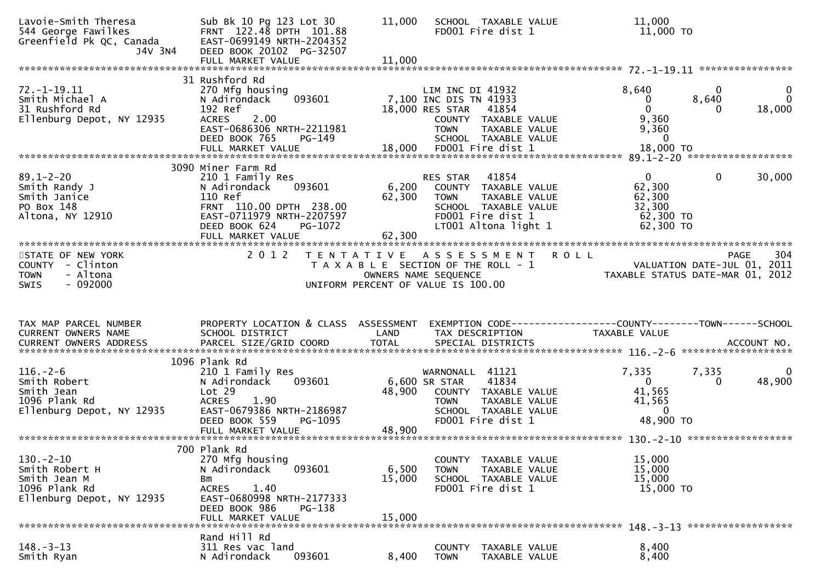| Lavoie-Smith Theresa<br>544 George Fawilkes<br>Greenfield Pk QC, Canada<br>J4V 3N4             | Sub Bk 10 Pg 123 Lot 30<br>FRNT 122.48 DPTH 101.88<br>EAST-0699149 NRTH-2204352<br>DEED BOOK 20102 PG-32507<br>FULL MARKET VALUE          | 11,000<br>11,000 | SCHOOL TAXABLE VALUE<br>FD001 Fire dist 1                                                                                                              | 11,000<br>11,000 TO                                                  |                                                                                       |
|------------------------------------------------------------------------------------------------|-------------------------------------------------------------------------------------------------------------------------------------------|------------------|--------------------------------------------------------------------------------------------------------------------------------------------------------|----------------------------------------------------------------------|---------------------------------------------------------------------------------------|
|                                                                                                | 31 Rushford Rd                                                                                                                            |                  |                                                                                                                                                        |                                                                      |                                                                                       |
| $72. - 1 - 19.11$<br>Smith Michael A<br>31 Rushford Rd<br>Ellenburg Depot, NY 12935            | 270 Mfg housing<br>093601<br>N Adirondack<br>192 Ref<br><b>ACRES</b><br>2.00<br>EAST-0686306 NRTH-2211981<br>DEED BOOK 765<br>PG-149      |                  | LIM INC DI 41932<br>7,100 INC DIS TN 41933<br>18,000 RES STAR<br>41854<br>COUNTY TAXABLE VALUE<br><b>TOWN</b><br>TAXABLE VALUE<br>SCHOOL TAXABLE VALUE | 8,640<br>0<br>$\Omega$<br>9,360<br>9,360<br>$\mathbf{0}$             | 0<br>8,640<br>18,000<br>0                                                             |
|                                                                                                | FULL MARKET VALUE                                                                                                                         |                  | 18,000 FD001 Fire dist 1                                                                                                                               | 18,000 TO                                                            |                                                                                       |
|                                                                                                | 3090 Miner Farm Rd                                                                                                                        |                  |                                                                                                                                                        |                                                                      |                                                                                       |
| $89.1 - 2 - 20$<br>Smith Randy J<br>Smith Janice<br>PO Box 148<br>Altona, NY 12910             | 210 1 Family Res<br>093601<br>N Adirondack<br>110 Ref<br>FRNT 110.00 DPTH 238.00<br>EAST-0711979 NRTH-2207597<br>DEED BOOK 624<br>PG-1072 | 6,200<br>62,300  | RES STAR<br>41854<br>COUNTY<br>TAXABLE VALUE<br><b>TOWN</b><br>TAXABLE VALUE<br>SCHOOL TAXABLE VALUE<br>FD001 Fire dist 1<br>LT001 Altona light 1      | $\mathbf{0}$<br>62,300<br>62,300<br>32,300<br>62,300 TO<br>62,300 TO | $\mathbf{0}$<br>30,000                                                                |
|                                                                                                | FULL MARKET VALUE                                                                                                                         | 62,300           |                                                                                                                                                        |                                                                      |                                                                                       |
| STATE OF NEW YORK<br>COUNTY - Clinton<br><b>TOWN</b><br>- Altona<br>$-092000$<br><b>SWIS</b>   | 2 0 1 2                                                                                                                                   |                  | <b>ROLL</b><br>TENTATIVE ASSESSMENT<br>T A X A B L E SECTION OF THE ROLL - 1<br>OWNERS NAME SEQUENCE<br>UNIFORM PERCENT OF VALUE IS 100.00             |                                                                      | 304<br><b>PAGE</b><br>VALUATION DATE-JUL 01, 2011<br>TAXABLE STATUS DATE-MAR 01, 2012 |
| TAX MAP PARCEL NUMBER                                                                          | PROPERTY LOCATION & CLASS ASSESSMENT                                                                                                      |                  | EXEMPTION CODE-----------------COUNTY--------TOWN------SCHOOL                                                                                          |                                                                      |                                                                                       |
| CURRENT OWNERS NAME                                                                            | SCHOOL DISTRICT                                                                                                                           |                  |                                                                                                                                                        |                                                                      |                                                                                       |
|                                                                                                |                                                                                                                                           | LAND             | TAX DESCRIPTION                                                                                                                                        | TAXABLE VALUE                                                        |                                                                                       |
|                                                                                                | 1096 Plank Rd                                                                                                                             |                  |                                                                                                                                                        |                                                                      |                                                                                       |
| $116. - 2 - 6$<br>Smith Robert<br>Smith Jean<br>1096 Plank Rd<br>Ellenburg Depot, NY 12935     | 210 1 Family Res<br>N Adirondack<br>093601<br>Lot 29<br><b>ACRES</b><br>1.90<br>EAST-0679386 NRTH-2186987<br>DEED BOOK 559<br>PG-1095     | 48,900           | WARNONALL 41121<br>41834<br>6,600 SR STAR<br>COUNTY TAXABLE VALUE<br><b>TOWN</b><br>TAXABLE VALUE<br>SCHOOL TAXABLE VALUE<br>FD001 Fire dist 1         | 7,335<br>$\Omega$<br>41,565<br>41,565<br>$\overline{0}$<br>48,900 TO | 7,335<br>$\mathbf 0$<br>48,900<br>0                                                   |
|                                                                                                |                                                                                                                                           |                  |                                                                                                                                                        |                                                                      |                                                                                       |
|                                                                                                | 700 Plank Rd                                                                                                                              |                  |                                                                                                                                                        |                                                                      |                                                                                       |
| $130 - 2 - 10$<br>Smith Robert H<br>Smith Jean M<br>1096 Plank Rd<br>Ellenburg Depot, NY 12935 | 270 Mfg housing<br>093601<br>N Adirondack<br>Bm<br><b>ACRES</b><br>1.40<br>EAST-0680998 NRTH-2177333<br>PG-138                            | 6,500<br>15,000  | COUNTY TAXABLE VALUE<br><b>TOWN</b><br>TAXABLE VALUE<br>SCHOOL TAXABLE VALUE<br>FD001 Fire dist 1                                                      | 15,000<br>15,000<br>15,000<br>15,000 TO                              |                                                                                       |
|                                                                                                | DEED BOOK 986<br>FULL MARKET VALUE                                                                                                        | 15,000           |                                                                                                                                                        |                                                                      |                                                                                       |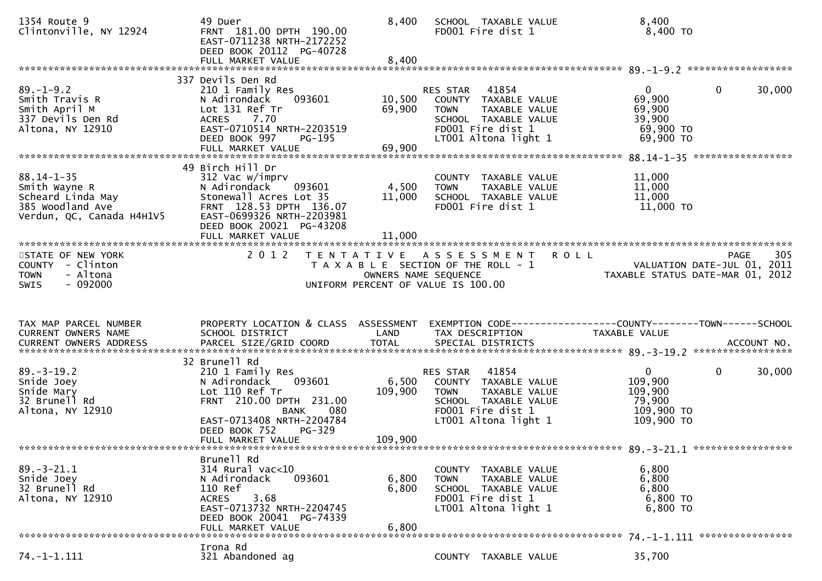| 1354 Route 9<br>Clintonville, NY 12924                                                                                       | 49 Duer<br>FRNT 181.00 DPTH 190.00<br>EAST-0711238 NRTH-2172252<br>DEED BOOK 20112 PG-40728<br>FULL MARKET VALUE                                                                                            | 8,400<br>8,400              | SCHOOL TAXABLE VALUE<br>FD001 Fire dist 1                                                                                               | 8,400<br>$8,400$ TO                                                                           |        |
|------------------------------------------------------------------------------------------------------------------------------|-------------------------------------------------------------------------------------------------------------------------------------------------------------------------------------------------------------|-----------------------------|-----------------------------------------------------------------------------------------------------------------------------------------|-----------------------------------------------------------------------------------------------|--------|
| $89. - 1 - 9.2$<br>Smith Travis R<br>Smith April M<br>337 Devils Den Rd<br>Altona, NY 12910                                  | 337 Devils Den Rd<br>210 1 Family Res<br>093601<br>N Adirondack<br>Lot 131 Ref Tr<br><b>ACRES</b><br>7.70<br>EAST-0710514 NRTH-2203519<br>DEED BOOK 997<br>PG-195                                           | 10,500<br>69,900            | RES STAR 41854<br>COUNTY TAXABLE VALUE<br>TAXABLE VALUE<br>TOWN<br>SCHOOL TAXABLE VALUE<br>FD001 Fire dist 1<br>LT001 Altona light 1    | $\mathbf{0}$<br>$\mathbf 0$<br>69,900<br>69,900<br>39,900<br>69,900 TO<br>69,900 TO           | 30,000 |
| $88.14 - 1 - 35$<br>Smith Wayne R<br>Smith.com<br>385 Woodland Ave<br>Verdun. OC. Canada H4H1V5<br>Verdun, QC, Canada H4H1V5 | 49 Birch Hill Dr<br>312 Vac w/imprv<br>093601<br>N Adirondack<br>Stonewall Acres Lot 35<br>FRNT 128.53 DPTH 136.07<br>EAST-0699326 NRTH-2203981<br>DEED BOOK 20021 PG-43208<br>FULL MARKET VALUE            | 4,500<br>11,000<br>11,000   | COUNTY TAXABLE VALUE<br>TAXABLE VALUE<br><b>TOWN</b><br>SCHOOL TAXABLE VALUE<br>FD001 Fire dist 1                                       | 11,000<br>11,000<br>11,000<br>$11,000$ TO                                                     |        |
| STATE OF NEW YORK<br>COUNTY - Clinton<br>- Altona<br><b>TOWN</b><br>$-092000$<br><b>SWIS</b>                                 | 2 0 1 2<br>T E N T A T I V E                                                                                                                                                                                | OWNERS NAME SEQUENCE        | A S S E S S M E N T<br>T A X A B L E SECTION OF THE ROLL - 1<br>UNIFORM PERCENT OF VALUE IS 100.00                                      | <b>ROLL</b><br><b>PAGE</b><br>VALUATION DATE-JUL 01, 2011<br>TAXABLE STATUS DATE-MAR 01, 2012 | 305    |
|                                                                                                                              |                                                                                                                                                                                                             |                             |                                                                                                                                         |                                                                                               |        |
| TAX MAP PARCEL NUMBER<br>CURRENT OWNERS NAME<br>CURRENT OWNERS ADDRESS                                                       | PROPERTY LOCATION & CLASS ASSESSMENT<br>SCHOOL DISTRICT                                                                                                                                                     | LAND                        | TAX DESCRIPTION                                                                                                                         | EXEMPTION CODE------------------COUNTY--------TOWN------SCHOOL<br>TAXABLE VALUE               |        |
| $89. - 3 - 19.2$<br>Snide Joey<br>Snide Mary<br>32 Brunell Rd<br>Altona, NY 12910                                            | 32 Brunell Rd<br>210 1 Family Res<br>N Adirondack<br>093601<br>Lot 110 Ref Tr<br>FRNT 210.00 DPTH 231.00<br><b>BANK</b><br>080<br>EAST-0713408 NRTH-2204784<br>PG-329<br>DEED BOOK 752<br>FULL MARKET VALUE | 6,500<br>109,900<br>109,900 | 41854<br>RES STAR<br>COUNTY TAXABLE VALUE<br>TAXABLE VALUE<br>TOWN<br>SCHOOL TAXABLE VALUE<br>FD001 Fire dist 1<br>LT001 Altona light 1 | $\mathbf{0}$<br>$\overline{0}$<br>109,900<br>109,900<br>79,900<br>109,900 TO<br>109,900 ТО    | 30,000 |
| $89. - 3 - 21.1$<br>Snide Joey<br>32 Brunell Rd<br>Altona, NY 12910<br>*******************************                       | Brunell Rd<br>314 Rural vac<10<br>093601<br>N Adirondack<br>110 Ref<br>3.68<br><b>ACRES</b><br>EAST-0713732 NRTH-2204745<br>DEED BOOK 20041 PG-74339<br>FULL MARKET VALUE                                   | 6,800<br>6,800<br>6,800     | COUNTY TAXABLE VALUE<br><b>TOWN</b><br>TAXABLE VALUE<br>SCHOOL TAXABLE VALUE<br>FD001 Fire dist 1<br>LT001 Altona light 1               | 6,800<br>6,800<br>6,800<br>6,800 TO<br>6,800 TO                                               |        |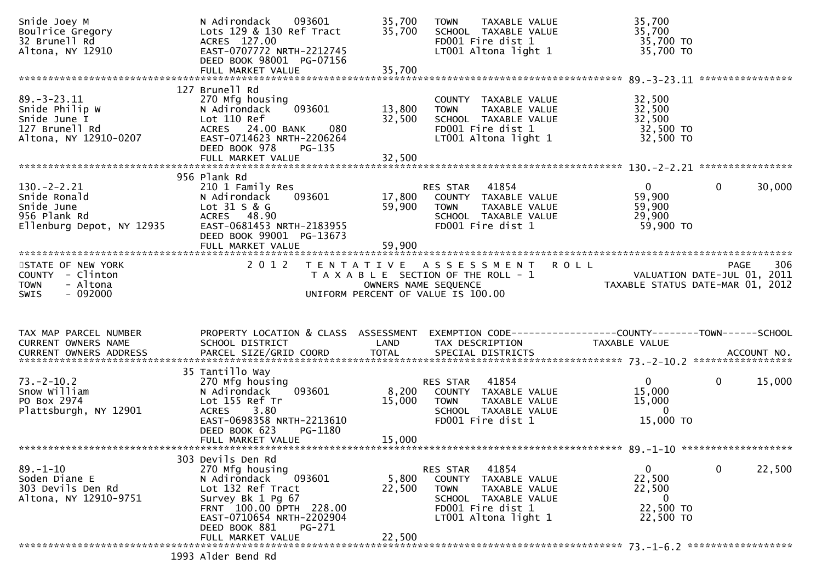| Snide Joey M<br>Boulrice Gregory<br>32 Brunell Rd<br>Altona, NY 12910                          | N Adirondack<br>093601<br>Lots 129 & 130 Ref Tract<br>ACRES 127.00<br>EAST-0707772 NRTH-2212745<br>DEED BOOK 98001 PG-07156                                                                 | 35,700<br>35,700     | TAXABLE VALUE<br><b>TOWN</b><br>SCHOOL TAXABLE VALUE<br>FD001 Fire dist 1<br>LT001 Altona light 1                                                 | 35,700<br>35,700<br>35,700 TO<br>35,700 TO                                                                                         |                        |
|------------------------------------------------------------------------------------------------|---------------------------------------------------------------------------------------------------------------------------------------------------------------------------------------------|----------------------|---------------------------------------------------------------------------------------------------------------------------------------------------|------------------------------------------------------------------------------------------------------------------------------------|------------------------|
|                                                                                                |                                                                                                                                                                                             |                      |                                                                                                                                                   |                                                                                                                                    |                        |
| $89. - 3 - 23.11$<br>Snide Philip W<br>Snide June I<br>127 Brunell Rd<br>Altona, NY 12910-0207 | 127 Brunell Rd<br>270 Mfg housing<br>093601<br>N Adirondack<br>Lot 110 Ref<br>080<br>ACRES 24.00 BANK<br>EAST-0714623 NRTH-2206264<br>DEED BOOK 978<br>PG-135                               | 13,800<br>32,500     | COUNTY TAXABLE VALUE<br><b>TOWN</b><br>TAXABLE VALUE<br>SCHOOL TAXABLE VALUE<br>FD001 Fire dist 1<br>LT001 Altona light 1                         | 32,500<br>32,500<br>32,500<br>32,500 TO<br>32,500 TO                                                                               |                        |
|                                                                                                |                                                                                                                                                                                             |                      |                                                                                                                                                   |                                                                                                                                    |                        |
| $130 - 2 - 2.21$<br>Snide Ronald<br>Snide June<br>956 Plank Rd<br>Ellenburg Depot, NY 12935    | 956 Plank Rd<br>210 1 Family Res<br>N Adirondack<br>093601<br>Lot 31 S & G<br>ACRES 48.90<br>EAST-0681453 NRTH-2183955<br>DEED BOOK 99001 PG-13673                                          | 17,800<br>59,900     | 41854<br>RES STAR<br>COUNTY TAXABLE VALUE<br><b>TOWN</b><br>TAXABLE VALUE<br>SCHOOL TAXABLE VALUE<br>FD001 Fire dist 1                            | $\overline{0}$<br>59,900<br>59,900<br>29,900<br>59,900 TO                                                                          | $\mathbf{0}$<br>30,000 |
|                                                                                                |                                                                                                                                                                                             |                      |                                                                                                                                                   |                                                                                                                                    |                        |
| STATE OF NEW YORK<br>COUNTY - Clinton<br>- Altona<br><b>TOWN</b>                               | 2 0 1 2                                                                                                                                                                                     | OWNERS NAME SEQUENCE | TENTATIVE ASSESSMENT<br>T A X A B L E SECTION OF THE ROLL - 1                                                                                     | <b>ROLL</b><br>PAGE 306<br>VALUATION DATE-JUL 01, 2011<br>TAYARLE STATIS ATTERICE 101-01, 2011<br>TAXABLE STATUS DATE-MAR 01, 2012 | 306<br>PAGE            |
| $-092000$<br><b>SWIS</b>                                                                       |                                                                                                                                                                                             |                      | UNIFORM PERCENT OF VALUE IS 100.00                                                                                                                |                                                                                                                                    |                        |
| TAX MAP PARCEL NUMBER                                                                          | PROPERTY LOCATION & CLASS ASSESSMENT                                                                                                                                                        |                      | EXEMPTION CODE------------------COUNTY--------TOWN------SCHOOL                                                                                    |                                                                                                                                    |                        |
| CURRENT OWNERS NAME                                                                            | SCHOOL DISTRICT                                                                                                                                                                             | LAND                 | TAX DESCRIPTION                                                                                                                                   | TAXABLE VALUE                                                                                                                      |                        |
|                                                                                                |                                                                                                                                                                                             |                      |                                                                                                                                                   |                                                                                                                                    |                        |
| $73. - 2 - 10.2$<br>Snow William<br>PO Box 2974<br>Plattsburgh, NY 12901                       | 35 Tantillo Way<br>270 Mfg housing<br>093601<br>N Adirondack<br>Lot 155 Ref Tr<br><b>ACRES</b><br>3.80<br>EAST-0698358 NRTH-2213610<br>DEED BOOK 623<br>PG-1180                             | 15,000               | 41854<br>RES STAR<br>8,200 COUNTY TAXABLE VALUE<br>TAXABLE VALUE<br>TOWN<br>SCHOOL TAXABLE VALUE<br>FD001 Fire dist 1                             | $\mathbf{0}$<br>15,000<br>15,000<br>$\Omega$<br>15,000 TO                                                                          | $\mathbf{0}$<br>15,000 |
|                                                                                                | FULL MARKET VALUE                                                                                                                                                                           | 15,000               |                                                                                                                                                   |                                                                                                                                    |                        |
|                                                                                                |                                                                                                                                                                                             |                      |                                                                                                                                                   |                                                                                                                                    |                        |
| $89. - 1 - 10$<br>Soden Diane E<br>303 Devils Den Rd<br>Altona, NY 12910-9751                  | 303 Devils Den Rd<br>270 Mfg housing<br>N Adirondack<br>093601<br>Lot 132 Ref Tract<br>Survey Bk 1 Pg 67<br>FRNT 100.00 DPTH 228.00<br>EAST-0710654 NRTH-2202904<br>DEED BOOK 881<br>PG-271 | 5,800<br>22,500      | 41854<br>RES STAR<br>COUNTY<br>TAXABLE VALUE<br><b>TOWN</b><br>TAXABLE VALUE<br>SCHOOL TAXABLE VALUE<br>FD001 Fire dist 1<br>LT001 Altona light 1 | 0<br>22,500<br>22,500<br>0<br>22,500 TO<br>22,500 TO                                                                               | $\mathbf 0$<br>22,500  |
|                                                                                                | FULL MARKET VALUE                                                                                                                                                                           | 22,500               |                                                                                                                                                   |                                                                                                                                    |                        |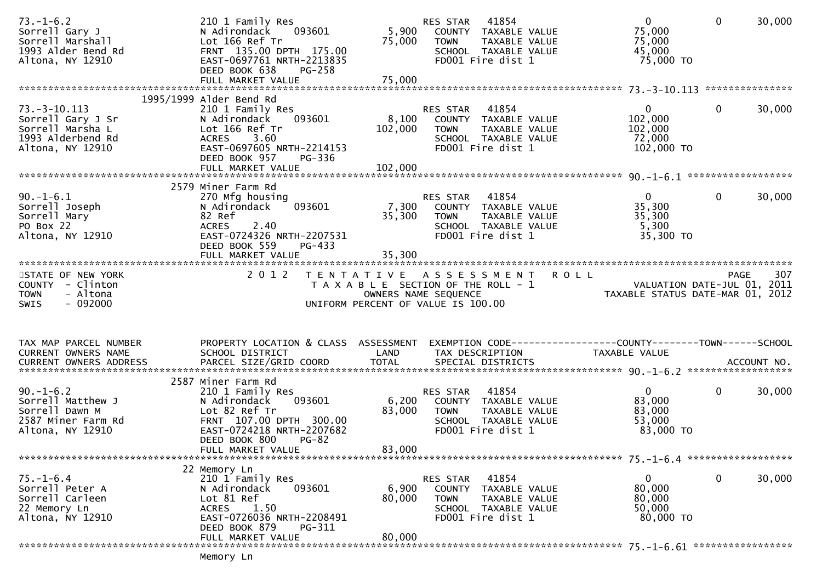| $73. - 1 - 6.2$<br>Sorrell Gary J<br>Sorrell Marshall<br>1993 Alder Bend Rd<br>Altona, NY 12910      | 210 1 Family Res<br>093601<br>N Adirondack<br>Lot 166 Ref Tr<br>FRNT 135.00 DPTH 175.00<br>EAST-0697761 NRTH-2213835<br>DEED BOOK 638<br>$PG-258$                                  | 5,900<br>75,000             | 41854<br>RES STAR<br>COUNTY TAXABLE VALUE<br>TAXABLE VALUE<br>TOWN<br>SCHOOL TAXABLE VALUE<br>FD001 Fire dist 1        | $\mathbf{0}$<br>75,000<br>75,000<br>45,000<br>75,000 TO                  | $\mathbf{0}$<br>30,000 |
|------------------------------------------------------------------------------------------------------|------------------------------------------------------------------------------------------------------------------------------------------------------------------------------------|-----------------------------|------------------------------------------------------------------------------------------------------------------------|--------------------------------------------------------------------------|------------------------|
|                                                                                                      |                                                                                                                                                                                    |                             |                                                                                                                        |                                                                          |                        |
| $73. - 3 - 10.113$<br>Sorrell Gary J Sr<br>Sorrell Marsha L<br>1993 Alderbend Rd<br>Altona, NY 12910 | 1995/1999 Alder Bend Rd<br>210 1 Family Res<br>093601<br>N Adirondack<br>Lot 166 Ref Tr<br>ACRES 3.60<br>EAST-0697605 NRTH-2214153<br>DEED BOOK 957<br>PG-336<br>FULL MARKET VALUE | 8,100<br>102,000<br>102,000 | RES STAR<br>41854<br>COUNTY TAXABLE VALUE<br><b>TOWN</b><br>TAXABLE VALUE<br>SCHOOL TAXABLE VALUE<br>FD001 Fire dist 1 | $\mathbf{0}$<br>102,000<br>102,000<br>72,000<br>102,000 TO               | $\mathbf{0}$<br>30,000 |
|                                                                                                      |                                                                                                                                                                                    |                             |                                                                                                                        |                                                                          |                        |
| $90. - 1 - 6.1$<br>Sorrell Joseph<br>Sorrell Mary<br>PO Box 22<br>Altona, NY 12910                   | 2579 Miner Farm Rd<br>270 Mfg housing<br>N Adirondack<br>093601<br>82 Ref<br>2.40<br><b>ACRES</b><br>EAST-0724326 NRTH-2207531<br>DEED BOOK 559<br>PG-433                          | 7,300<br>35,300             | 41854<br>RES STAR<br>COUNTY TAXABLE VALUE<br><b>TOWN</b><br>TAXABLE VALUE<br>SCHOOL TAXABLE VALUE<br>FD001 Fire dist 1 | $\overline{0}$<br>35,300<br>35,300<br>5,300<br>35,300 TO                 | $\Omega$<br>30,000     |
|                                                                                                      | FULL MARKET VALUE                                                                                                                                                                  | 35,300                      |                                                                                                                        |                                                                          |                        |
| STATE OF NEW YORK                                                                                    | 2012                                                                                                                                                                               |                             | TENTATIVE ASSESSMENT ROLL                                                                                              |                                                                          | 307<br><b>PAGE</b>     |
| COUNTY - Clinton<br>- Altona<br><b>TOWN</b><br>$-092000$<br>SWIS                                     |                                                                                                                                                                                    |                             | T A X A B L E SECTION OF THE ROLL - 1<br>OWNERS NAME SEQUENCE<br>UNIFORM PERCENT OF VALUE IS 100.00                    | 307 PAGE<br>VALUATION DATE-JUL 01, 2011<br>TAXABLE STATUS DATE MARI 2011 |                        |
| TAX MAP PARCEL NUMBER<br>CURRENT OWNERS NAME                                                         | PROPERTY LOCATION & CLASS ASSESSMENT<br>SCHOOL DISTRICT                                                                                                                            | LAND                        | EXEMPTION CODE------------------COUNTY--------TOWN------SCHOOL<br>TAX DESCRIPTION                                      | TAXABLE VALUE                                                            |                        |
|                                                                                                      |                                                                                                                                                                                    |                             |                                                                                                                        |                                                                          |                        |
| $90. - 1 - 6.2$<br>Sorrell Matthew J<br>Sorrell Dawn M<br>2587 Miner Farm Rd<br>Altona, NY 12910     | 2587 Miner Farm Rd<br>210 1 Family Res<br>093601<br>N Adirondack<br>Lot 82 Ref Tr<br>FRNT 107.00 DPTH 300.00<br>EAST-0724218 NRTH-2207682<br>DEED BOOK 800<br>$PG-82$              | 6,200<br>83,000             | 41854<br>RES STAR<br>COUNTY TAXABLE VALUE<br><b>TOWN</b><br>TAXABLE VALUE<br>SCHOOL TAXABLE VALUE<br>FD001 Fire dist 1 | $\mathbf{0}$<br>83,000<br>83,000<br>53,000<br>83,000 TO                  | $\mathbf 0$<br>30,000  |
|                                                                                                      | FULL MARKET VALUE                                                                                                                                                                  | 83,000                      |                                                                                                                        |                                                                          |                        |
|                                                                                                      |                                                                                                                                                                                    |                             |                                                                                                                        |                                                                          |                        |
| $75. - 1 - 6.4$<br>Sorrell Peter A<br>Sorrell Carleen<br>22 Memory Ln<br>Altona, NY 12910            | 22 Memory Ln<br>210 1 Family Res<br>N Adirondack<br>093601<br>Lot 81 Ref<br><b>ACRES</b><br>1.50<br>EAST-0726036 NRTH-2208491<br>DEED BOOK 879<br>PG-311                           | 6,900<br>80,000             | 41854<br>RES STAR<br>COUNTY TAXABLE VALUE<br><b>TOWN</b><br>TAXABLE VALUE<br>SCHOOL TAXABLE VALUE<br>FD001 Fire dist 1 | 0<br>80,000<br>80,000<br>50,000<br>80,000 TO                             | $\mathbf 0$<br>30,000  |
|                                                                                                      | FULL MARKET VALUE                                                                                                                                                                  | 80,000                      |                                                                                                                        |                                                                          |                        |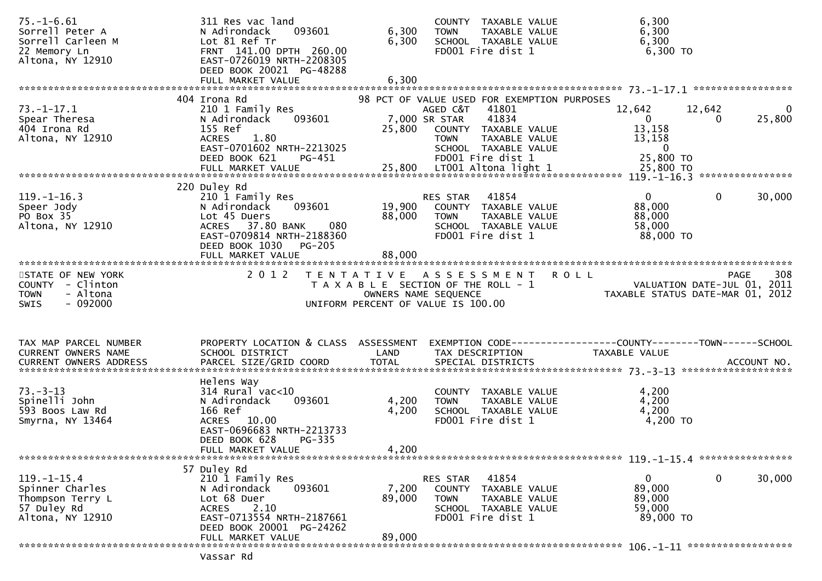| $75. - 1 - 6.61$<br>Sorrell Peter A<br>Sorrell Carleen M<br>22 Memory Ln<br>Altona, NY 12910 | 311 Res vac land<br>093601<br>N Adirondack<br>Lot 81 Ref Tr<br>FRNT 141.00 DPTH 260.00<br>EAST-0726019 NRTH-2208305<br>DEED BOOK 20021 PG-48288<br>FULL MARKET VALUE  | 6,300<br>6,300<br>6,300 | COUNTY TAXABLE VALUE<br>TAXABLE VALUE<br><b>TOWN</b><br>SCHOOL TAXABLE VALUE<br>FD001 Fire dist 1                                                                                               | 6,300<br>6,300<br>6,300<br>6,300 TO                                                                           |          |
|----------------------------------------------------------------------------------------------|-----------------------------------------------------------------------------------------------------------------------------------------------------------------------|-------------------------|-------------------------------------------------------------------------------------------------------------------------------------------------------------------------------------------------|---------------------------------------------------------------------------------------------------------------|----------|
|                                                                                              |                                                                                                                                                                       |                         |                                                                                                                                                                                                 |                                                                                                               |          |
| $73. - 1 - 17.1$<br>Spear Theresa<br>404 Irona Rd<br>Altona, NY 12910                        | 404 Irona Rd<br>210 1 Family Res<br>N Adirondack<br>093601<br>155 Ref<br>1.80<br><b>ACRES</b><br>EAST-0701602 NRTH-2213025<br>DEED BOOK 621<br>PG-451                 | 25,800                  | 98 PCT OF VALUE USED FOR EXEMPTION PURPOSES<br>41801<br>AGED C&T<br>41834<br>7,000 SR STAR<br>COUNTY TAXABLE VALUE<br><b>TOWN</b><br>TAXABLE VALUE<br>SCHOOL TAXABLE VALUE<br>FD001 Fire dist 1 | 12,642<br>12,642<br>25,800<br>$\overline{0}$<br>0<br>13,158<br>13,158<br>$\overline{\mathbf{0}}$<br>25,800 TO | $\bf{0}$ |
|                                                                                              |                                                                                                                                                                       |                         |                                                                                                                                                                                                 |                                                                                                               |          |
| $119. - 1 - 16.3$<br>Speer Jody<br>PO Box 35<br>Altona, NY 12910                             | 220 Duley Rd<br>210 1 Family Res<br>093601<br>N Adirondack<br>Lot 45 Duers<br>ACRES 37.80 BANK<br>080<br>EAST-0709814 NRTH-2188360<br>DEED BOOK 1030<br><b>PG-205</b> | 19,900<br>88,000        | 41854<br>RES STAR<br>COUNTY TAXABLE VALUE<br><b>TOWN</b><br>TAXABLE VALUE<br>SCHOOL TAXABLE VALUE<br>FD001 Fire dist 1                                                                          | $\overline{0}$<br>$\mathbf{0}$<br>30,000<br>88,000<br>88,000<br>58,000<br>88,000 TO                           |          |
|                                                                                              | FULL MARKET VALUE                                                                                                                                                     | 88,000                  |                                                                                                                                                                                                 |                                                                                                               |          |
| STATE OF NEW YORK<br>COUNTY - Clinton<br>- Altona<br><b>TOWN</b><br>$-092000$<br><b>SWIS</b> | 2 0 1 2                                                                                                                                                               |                         | TENTATIVE ASSESSMENT ROLL<br>T A X A B L E SECTION OF THE ROLL - 1<br>OWNERS NAME SEQUENCE<br>UNIFORM PERCENT OF VALUE IS 100.00                                                                | <b>PAGE</b><br>VALUATION DATE-JUL 01, 2011<br>TAXABLE STATUS DATE-MAR 01, 2012                                | 308      |
| TAX MAP PARCEL NUMBER<br>CURRENT OWNERS NAME                                                 | PROPERTY LOCATION & CLASS ASSESSMENT<br>SCHOOL DISTRICT                                                                                                               | LAND                    | TAX DESCRIPTION                                                                                                                                                                                 | EXEMPTION CODE------------------COUNTY--------TOWN------SCHOOL<br>TAXABLE VALUE                               |          |
| $73. - 3 - 13$<br>Spinelli John<br>593 Boos Law Rd<br>Smyrna, NY 13464                       | Helens Way<br>$314$ Rural vac<10<br>093601<br>N Adirondack<br>166 Ref<br>ACRES 10.00<br>EAST-0696683 NRTH-2213733<br>DEED BOOK 628<br>PG-335<br>FULL MARKET VALUE     | 4,200<br>4,200<br>4,200 | COUNTY TAXABLE VALUE<br><b>TOWN</b><br>TAXABLE VALUE<br>SCHOOL TAXABLE VALUE<br>FD001 Fire dist 1                                                                                               | 4,200<br>4,200<br>4,200<br>4,200 TO                                                                           |          |
|                                                                                              |                                                                                                                                                                       |                         |                                                                                                                                                                                                 | 119. -1-15.4 *****************                                                                                |          |
| $119. - 1 - 15.4$<br>Spinner Charles<br>Thompson Terry L<br>57 Duley Rd<br>Altona, NY 12910  | 57 Duley Rd<br>210 1 Family Res<br>N Adirondack<br>093601<br>Lot 68 Duer<br>2.10<br><b>ACRES</b><br>EAST-0713554 NRTH-2187661<br>DEED BOOK 20001 PG-24262             | 7,200<br>89,000         | 41854<br>RES STAR<br>COUNTY TAXABLE VALUE<br><b>TOWN</b><br>TAXABLE VALUE<br>SCHOOL TAXABLE VALUE<br>FD001 Fire dist 1                                                                          | $\mathbf 0$<br>$\mathbf{0}$<br>30,000<br>89,000<br>89,000<br>59,000<br>89,000 TO                              |          |
|                                                                                              | FULL MARKET VALUE<br>Vassar Rd                                                                                                                                        | 89,000                  |                                                                                                                                                                                                 |                                                                                                               |          |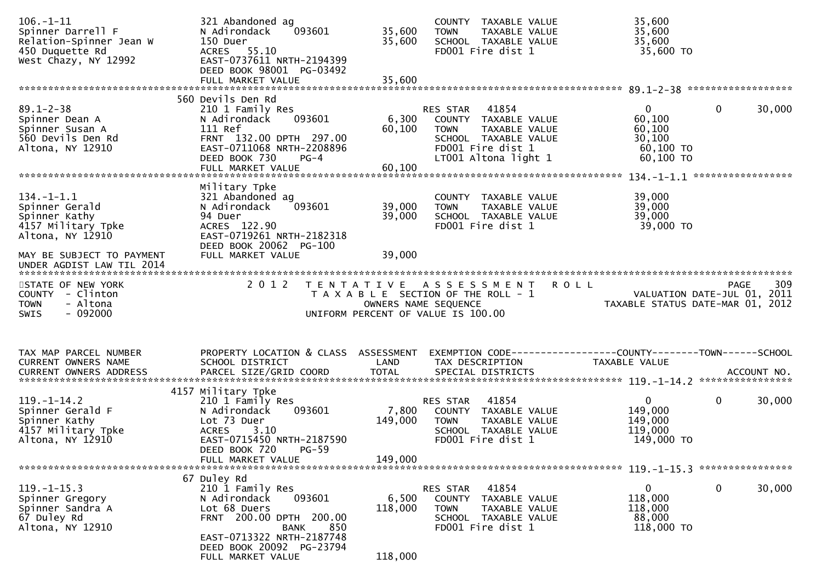| $106. - 1 - 11$<br>Spinner Darrell F<br>Relation-Spinner Jean W<br>450 Duquette Rd<br>West Chazy, NY 12992 | 321 Abandoned ag<br>093601<br>N Adirondack<br>150 Duer<br>ACRES 55.10<br>EAST-0737611 NRTH-2194399<br>DEED BOOK 98001 PG-03492<br>FULL MARKET VALUE                          | 35,600<br>35,600<br>35,600  | COUNTY TAXABLE VALUE<br>TAXABLE VALUE<br>TOWN<br>SCHOOL TAXABLE VALUE<br>FD001 Fire dist 1                                                     | 35,600<br>35,600<br>35,600<br>35,600 TO                                            |             |
|------------------------------------------------------------------------------------------------------------|------------------------------------------------------------------------------------------------------------------------------------------------------------------------------|-----------------------------|------------------------------------------------------------------------------------------------------------------------------------------------|------------------------------------------------------------------------------------|-------------|
|                                                                                                            | 560 Devils Den Rd                                                                                                                                                            |                             |                                                                                                                                                |                                                                                    |             |
| $89.1 - 2 - 38$<br>Spinner Dean A<br>Spinner Susan A<br>560 Devils Den Rd<br>Altona, NY 12910              | 210 1 Family Res<br>093601<br>N Adirondack<br>111 Ref<br>FRNT 132.00 DPTH 297.00<br>EAST-0711068 NRTH-2208896<br>DEED BOOK 730<br>$PG-4$                                     | 6,300<br>60,100             | RES STAR<br>41854<br>COUNTY TAXABLE VALUE<br>TAXABLE VALUE<br><b>TOWN</b><br>SCHOOL TAXABLE VALUE<br>FD001 Fire dist 1<br>LT001 Altona light 1 | $\mathbf 0$<br>$\mathbf 0$<br>60,100<br>60,100<br>30,100<br>60,100 TO<br>60,100 TO | 30,000      |
|                                                                                                            |                                                                                                                                                                              |                             |                                                                                                                                                |                                                                                    |             |
| $134. - 1 - 1.1$<br>Spinner Gerald<br>Spinner Kathy<br>4157 Military Tpke<br>Altona, NY 12910              | Military Tpke<br>321 Abandoned ag<br>093601<br>N Adirondack<br>94 Duer<br>ACRES 122.90<br>EAST-0719261 NRTH-2182318<br>DEED BOOK 20062 PG-100                                | 39,000<br>39,000            | COUNTY TAXABLE VALUE<br>TAXABLE VALUE<br><b>TOWN</b><br>SCHOOL TAXABLE VALUE<br>FD001 Fire dist 1                                              | 39,000<br>39,000<br>39,000<br>39,000 TO                                            |             |
| MAY BE SUBJECT TO PAYMENT<br>UNDER AGDIST LAW TIL 2014                                                     | FULL MARKET VALUE                                                                                                                                                            | 39,000                      |                                                                                                                                                |                                                                                    |             |
| STATE OF NEW YORK<br>COUNTY - Clinton<br>- Altona<br><b>TOWN</b><br>$-092000$<br><b>SWIS</b>               | 2 0 1 2<br>T E N T A T I V E                                                                                                                                                 | OWNERS NAME SEQUENCE        | A S S E S S M E N T R O L L<br>T A X A B L E SECTION OF THE ROLL - 1<br>UNIFORM PERCENT OF VALUE IS 100.00                                     | VALUATION DATE-JUL 01, 2011<br>TAXABLE STATUS DATE-MAR 01, 2012                    | 309<br>PAGE |
| TAX MAP PARCEL NUMBER<br>CURRENT OWNERS NAME                                                               | PROPERTY LOCATION & CLASS ASSESSMENT<br>SCHOOL DISTRICT                                                                                                                      | LAND                        | TAX DESCRIPTION                                                                                                                                | EXEMPTION CODE------------------COUNTY--------TOWN------SCHOOL<br>TAXABLE VALUE    |             |
| $119. - 1 - 14.2$<br>Spinner Gerald F<br>Spinner Kathy                                                     | 4157 Military Tpke<br>210 1 Family Res                                                                                                                                       |                             | 41854<br>RES STAR                                                                                                                              | $\mathbf 0$<br>$\overline{0}$                                                      | 30,000      |
| 4157 Military Tpke<br>Altona, NY 12910                                                                     | 093601<br>N Adirondack<br>Lot 73 Duer<br>ACRES 3.10<br>EAST-0715450 NRTH-2187590<br>DEED BOOK 720<br>$PG-59$<br>FULL MARKET VALUE                                            | 7,800<br>149,000<br>149,000 | COUNTY TAXABLE VALUE<br><b>TOWN</b><br>TAXABLE VALUE<br>SCHOOL TAXABLE VALUE<br>FD001 Fire dist 1                                              | 149,000<br>149,000<br>119,000<br>149,000 TO                                        |             |
|                                                                                                            |                                                                                                                                                                              |                             |                                                                                                                                                |                                                                                    |             |
| $119. - 1 - 15.3$<br>Spinner Gregory<br>Spinner Sandra A<br>67 Duley Rd<br>Altona, NY 12910                | 67 Duley Rd<br>210 1 Family Res<br>093601<br>N Adirondack<br>Lot 68 Duers<br>FRNT 200.00 DPTH 200.00<br>850<br>BANK<br>EAST-0713322 NRTH-2187748<br>DEED BOOK 20092 PG-23794 | 6,500<br>118,000            | RES STAR<br>41854<br><b>COUNTY</b><br>TAXABLE VALUE<br><b>TOWN</b><br>TAXABLE VALUE<br>SCHOOL TAXABLE VALUE<br>FD001 Fire dist 1               | 0<br>0<br>118,000<br>118,000<br>88,000<br>118,000 TO                               | 30,000      |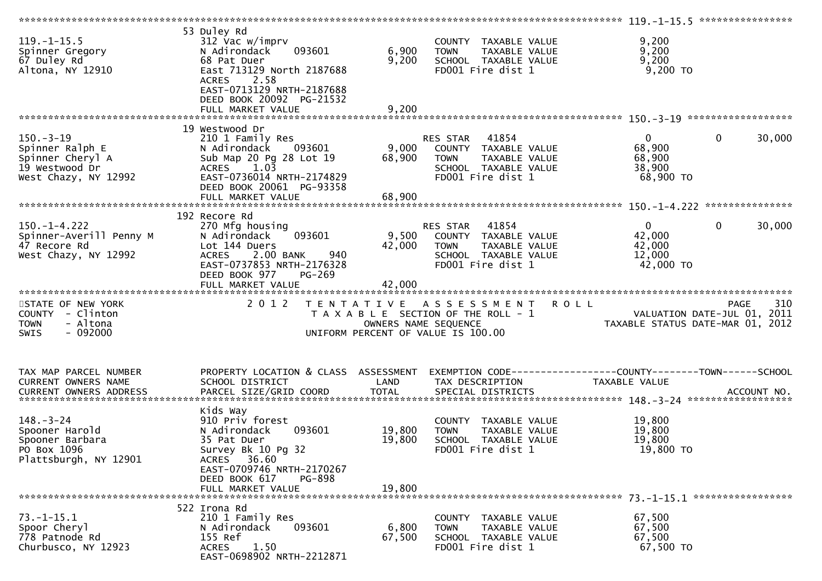| $119. - 1 - 15.5$<br>Spinner Gregory<br>67 Duley Rd<br>Altona, NY 12910                          | 53 Duley Rd<br>312 Vac w/imprv<br>093601<br>N Adirondack<br>68 Pat Duer<br>East 713129 North 2187688<br><b>ACRES</b><br>2.58<br>EAST-0713129 NRTH-2187688      | 6,900<br>9,200       | COUNTY TAXABLE VALUE<br><b>TOWN</b><br>TAXABLE VALUE<br>SCHOOL TAXABLE VALUE<br>FD001 Fire dist 1                      | 9,200<br>9,200<br>9,200<br>$9,200$ TO                                              |     |
|--------------------------------------------------------------------------------------------------|----------------------------------------------------------------------------------------------------------------------------------------------------------------|----------------------|------------------------------------------------------------------------------------------------------------------------|------------------------------------------------------------------------------------|-----|
|                                                                                                  | DEED BOOK 20092 PG-21532                                                                                                                                       |                      |                                                                                                                        |                                                                                    |     |
|                                                                                                  |                                                                                                                                                                |                      |                                                                                                                        |                                                                                    |     |
| $150. - 3 - 19$<br>Spinner Ralph E<br>Spinner Cheryl A<br>19 Westwood Dr<br>West Chazy, NY 12992 | 19 Westwood Dr<br>210 1 Family Res<br>N Adirondack<br>093601<br>Sub Map 20 Pg 28 Lot 19<br>ACRES 1.03<br>EAST-0736014 NRTH-2174829<br>DEED BOOK 20061 PG-93358 | 9,000<br>68,900      | RES STAR 41854<br>COUNTY TAXABLE VALUE<br><b>TOWN</b><br>TAXABLE VALUE<br>SCHOOL TAXABLE VALUE<br>FD001 Fire dist 1    | $\overline{0}$<br>$\mathbf 0$<br>30,000<br>68,900<br>68,900<br>38,900<br>68,900 TO |     |
|                                                                                                  | FULL MARKET VALUE                                                                                                                                              | 68,900               |                                                                                                                        |                                                                                    |     |
| $150. - 1 - 4.222$<br>Spinner-Averill Penny M<br>47 Recore Rd<br>West Chazy, NY 12992            | 192 Recore Rd<br>270 Mfg housing<br>093601<br>N Adirondack<br>Lot 144 Duers<br>2.00 BANK<br><b>ACRES</b><br>940<br>EAST-0737853 NRTH-2176328                   | 9,500<br>42,000      | RES STAR<br>41854<br>COUNTY TAXABLE VALUE<br><b>TOWN</b><br>TAXABLE VALUE<br>SCHOOL TAXABLE VALUE<br>FD001 Fire dist 1 | $\Omega$<br>$\mathbf{0}$<br>30,000<br>42,000<br>42,000<br>12,000<br>42,000 TO      |     |
|                                                                                                  | DEED BOOK 977<br>PG-269<br>FULL MARKET VALUE                                                                                                                   | 42,000               |                                                                                                                        |                                                                                    |     |
|                                                                                                  |                                                                                                                                                                |                      |                                                                                                                        |                                                                                    |     |
| STATE OF NEW YORK<br>COUNTY - Clinton<br>- Altona<br><b>TOWN</b><br>$-092000$<br><b>SWIS</b>     | 2 0 1 2                                                                                                                                                        | OWNERS NAME SEQUENCE | <b>ROLL</b><br>TENTATIVE ASSESSMENT<br>T A X A B L E SECTION OF THE ROLL - 1<br>UNIFORM PERCENT OF VALUE IS 100.00     | <b>PAGE</b><br>VALUATION DATE-JUL 01, 2011<br>TAXABLE STATUS DATE-MAR 01, 2012     | 310 |
| TAX MAP PARCEL NUMBER                                                                            | PROPERTY LOCATION & CLASS ASSESSMENT                                                                                                                           |                      |                                                                                                                        |                                                                                    |     |
| CURRENT OWNERS NAME                                                                              | SCHOOL DISTRICT                                                                                                                                                | LAND                 | TAX DESCRIPTION                                                                                                        | TAXABLE VALUE                                                                      |     |
|                                                                                                  |                                                                                                                                                                |                      |                                                                                                                        |                                                                                    |     |
|                                                                                                  | Kids Way                                                                                                                                                       |                      |                                                                                                                        |                                                                                    |     |
| $148. - 3 - 24$<br>Spooner Harold<br>Spooner Barbara<br>PO Box 1096<br>Plattsburgh, NY 12901     | 910 Priv forest<br>093601<br>N Adirondack<br>35 Pat Duer<br>Survey Bk 10 Pg 32<br>ACRES 36.60                                                                  | 19,800<br>19,800     | COUNTY TAXABLE VALUE<br>TAXABLE VALUE<br><b>TOWN</b><br>SCHOOL TAXABLE VALUE<br>FD001 Fire dist 1                      | 19,800<br>19,800<br>19,800<br>19,800 TO                                            |     |
|                                                                                                  | EAST-0709746 NRTH-2170267<br>DEED BOOK 617<br>PG-898<br>FULL MARKET VALUE                                                                                      | 19,800               |                                                                                                                        |                                                                                    |     |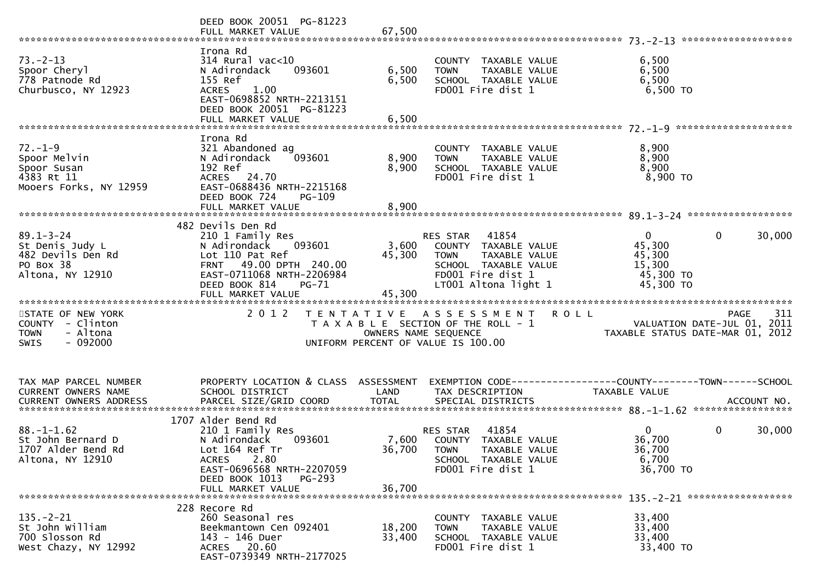|                                                                                              | DEED BOOK 20051 PG-81223                                                                                                                                                                        |                           |                                                                                                                                                |                                                                      |                                                   |
|----------------------------------------------------------------------------------------------|-------------------------------------------------------------------------------------------------------------------------------------------------------------------------------------------------|---------------------------|------------------------------------------------------------------------------------------------------------------------------------------------|----------------------------------------------------------------------|---------------------------------------------------|
| $73. - 2 - 13$<br>Spoor Cheryl<br>778 Patnode Rd<br>Churbusco, NY 12923                      | Irona Rd<br>$314$ Rural vac<10<br>093601<br>N Adirondack<br>155 Ref<br><b>ACRES</b><br>1.00<br>EAST-0698852 NRTH-2213151<br>DEED BOOK 20051 PG-81223<br>FULL MARKET VALUE                       | 6,500<br>6,500<br>6,500   | COUNTY TAXABLE VALUE<br>TAXABLE VALUE<br><b>TOWN</b><br>SCHOOL TAXABLE VALUE<br>FD001 Fire dist 1                                              | 6,500<br>6,500<br>6,500<br>6,500 TO                                  |                                                   |
| $72. - 1 - 9$<br>Spoor Melvin<br>Spoor Susan<br>4383 Rt 11<br>Mooers Forks, NY 12959         | Irona Rd<br>321 Abandoned ag<br>N Adirondack<br>093601<br>192 Ref<br>ACRES 24.70<br>EAST-0688436 NRTH-2215168<br>DEED BOOK 724<br>$PG-109$                                                      | 8,900<br>8,900            | COUNTY TAXABLE VALUE<br>TAXABLE VALUE<br><b>TOWN</b><br>SCHOOL TAXABLE VALUE<br>FD001 Fire dist 1                                              | 8,900<br>8,900<br>8,900<br>8,900 TO                                  |                                                   |
| $89.1 - 3 - 24$<br>St Denis Judy L<br>482 Devils Den Rd<br>PO Box 38<br>Altona, NY 12910     | 482 Devils Den Rd<br>210 1 Family Res<br>093601<br>N Adirondack<br>Lot 110 Pat Ref<br>FRNT 49.00 DPTH 240.00<br>EAST-0711068 NRTH-2206984<br>DEED BOOK 814<br>$PG-71$<br>FULL MARKET VALUE      | 3,600<br>45,300<br>45,300 | RES STAR<br>41854<br>COUNTY TAXABLE VALUE<br><b>TOWN</b><br>TAXABLE VALUE<br>SCHOOL TAXABLE VALUE<br>FD001 Fire dist 1<br>LT001 Altona light 1 | $\mathbf{0}$<br>45,300<br>45,300<br>15,300<br>45,300 TO<br>45,300 TO | $\mathbf{0}$<br>30,000                            |
| STATE OF NEW YORK<br>COUNTY - Clinton<br>- Altona<br><b>TOWN</b><br>$-092000$<br><b>SWIS</b> | 2 0 1 2                                                                                                                                                                                         | OWNERS NAME SEQUENCE      | TENTATIVE ASSESSMENT<br>T A X A B L E SECTION OF THE ROLL - 1<br>UNIFORM PERCENT OF VALUE IS 100.00                                            | <b>ROLL</b><br>TAXABLE STATUS DATE-MAR 01, 2012                      | 311<br><b>PAGE</b><br>VALUATION DATE-JUL 01, 2011 |
| TAX MAP PARCEL NUMBER<br>CURRENT OWNERS NAME                                                 | PROPERTY LOCATION & CLASS ASSESSMENT<br>SCHOOL DISTRICT                                                                                                                                         | LAND                      | TAX DESCRIPTION                                                                                                                                | TAXABLE VALUE                                                        |                                                   |
| $88. - 1 - 1.62$<br>St John Bernard D<br>1707 Alder Bend Rd<br>Altona, NY 12910              | 1707 Alder Bend Rd<br>210 1 Family Res<br>093601<br>N Adirondack<br>Lot 164 Ref Tr<br>2.80<br><b>ACRES</b><br>EAST-0696568 NRTH-2207059<br>DEED BOOK 1013<br><b>PG-293</b><br>FULL MARKET VALUE | 36,700                    | 41854<br>RES STAR<br>7,600 COUNTY TAXABLE VALUE<br>36,700 TOWN<br>TAXABLE VALUE<br>SCHOOL TAXABLE VALUE<br>FD001 Fire dist 1                   | $\overline{0}$<br>36,700<br>36,700<br>6,700<br>36,700 TO             | $\mathbf 0$<br>30,000                             |
| $135. - 2 - 21$<br>St John William<br>700 Slosson Rd<br>West Chazy, NY 12992                 | 228 Recore Rd<br>260 Seasonal res<br>Beekmantown Cen 092401<br>143 - 146 Duer<br>ACRES 20.60<br>EAST-0739349 NRTH-2177025                                                                       | 18,200<br>33,400          | COUNTY TAXABLE VALUE<br>TAXABLE VALUE<br><b>TOWN</b><br>SCHOOL TAXABLE VALUE<br>FD001 Fire dist 1                                              | 33,400<br>33,400<br>33,400<br>33,400 TO                              |                                                   |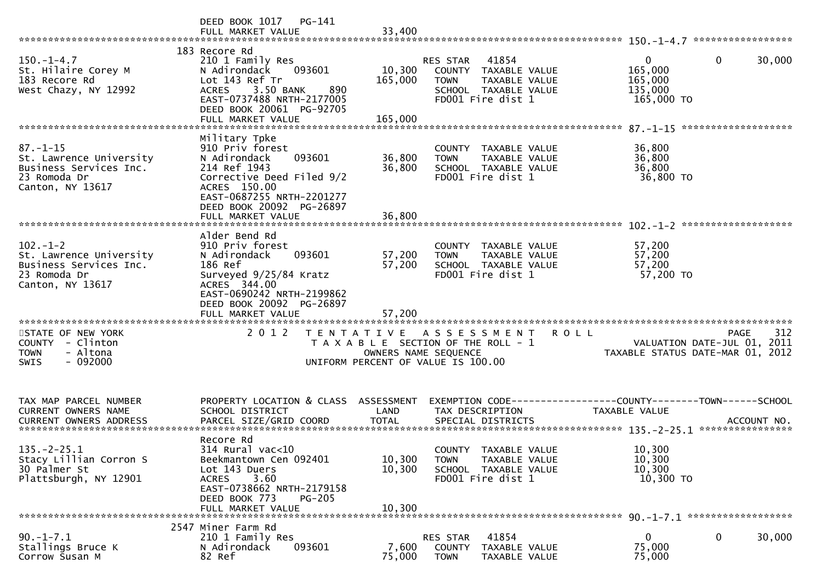|                                                                                                         | DEED BOOK 1017 PG-141<br>FULL MARKET VALUE                                                                                                                                            | 33,400                       |                                                                                                                        |                                                                  |                    |
|---------------------------------------------------------------------------------------------------------|---------------------------------------------------------------------------------------------------------------------------------------------------------------------------------------|------------------------------|------------------------------------------------------------------------------------------------------------------------|------------------------------------------------------------------|--------------------|
| $150. - 1 - 4.7$<br>St. Hilaire Corey M<br>183 Recore Rd<br>West Chazy, NY 12992                        | 183 Recore Rd<br>210 1 Family Res<br>N Adirondack<br>093601<br>Lot 143 Ref Tr<br>ACRES 3.50 BANK<br>890<br>EAST-0737488 NRTH-2177005<br>DEED BOOK 20061 PG-92705<br>FULL MARKET VALUE | 10,300<br>165,000<br>165,000 | 41854<br>RES STAR<br>COUNTY TAXABLE VALUE<br><b>TOWN</b><br>TAXABLE VALUE<br>SCHOOL TAXABLE VALUE<br>FD001 Fire dist 1 | $\mathbf{0}$<br>0<br>165,000<br>165,000<br>135,000<br>165,000 TO | 30,000             |
|                                                                                                         |                                                                                                                                                                                       |                              |                                                                                                                        |                                                                  |                    |
| $87. - 1 - 15$<br>St. Lawrence University<br>Business Services Inc.<br>23 Romoda Dr<br>Canton, NY 13617 | Military Tpke<br>910 Priv forest<br>093601<br>N Adirondack<br>214 Ref 1943<br>Corrective Deed Filed 9/2<br>ACRES 150.00<br>EAST-0687255 NRTH-2201277<br>DEED BOOK 20092 PG-26897      | 36,800<br>36,800             | COUNTY TAXABLE VALUE<br>TAXABLE VALUE<br><b>TOWN</b><br>SCHOOL TAXABLE VALUE<br>FD001 Fire dist 1                      | 36,800<br>36,800<br>36,800<br>36,800 TO                          |                    |
|                                                                                                         | FULL MARKET VALUE                                                                                                                                                                     | 36.800                       |                                                                                                                        |                                                                  |                    |
| $102 - 1 - 2$<br>St. Lawrence University<br>Business Services Inc.<br>23 Romoda Dr<br>Canton, NY 13617  | Alder Bend Rd<br>910 Priv forest<br>093601<br>N Adirondack<br>186 Ref<br>Surveyed 9/25/84 Kratz<br>ACRES 344.00<br>EAST-0690242 NRTH-2199862<br>DEED BOOK 20092 PG-26897              | 57,200<br>57,200             | COUNTY TAXABLE VALUE<br>TAXABLE VALUE<br><b>TOWN</b><br>SCHOOL TAXABLE VALUE<br>FD001 Fire dist 1                      | 57,200<br>57,200<br>57,200<br>57,200 TO                          |                    |
| STATE OF NEW YORK<br>COUNTY - Clinton<br>- Altona<br><b>TOWN</b><br>$-092000$<br><b>SWIS</b>            | 2 0 1 2                                                                                                                                                                               | OWNERS NAME SEQUENCE         | TENTATIVE ASSESSMENT ROLL<br>T A X A B L E SECTION OF THE ROLL - 1<br>UNIFORM PERCENT OF VALUE IS 100.00               | VALUATION DATE-JUL 01, 2011<br>TAXABLE STATUS DATE-MAR 01, 2012  | 312<br><b>PAGE</b> |
| TAX MAP PARCEL NUMBER<br><b>CURRENT OWNERS NAME</b><br><b>CURRENT OWNERS ADDRESS</b>                    | PROPERTY LOCATION & CLASS ASSESSMENT<br>SCHOOL DISTRICT<br>PARCEL SIZE/GRID COORD                                                                                                     | LAND<br><b>TOTAL</b>         | EXEMPTION CODE-----------------COUNTY-------TOWN------SCHOOL<br>TAX DESCRIPTION<br>SPECIAL DISTRICTS                   | TAXABLE VALUE                                                    | ACCOUNT NO.        |
| $135. - 2 - 25.1$<br>Stacy Lillian Corron S<br>30 Palmer St<br>Plattsburgh, NY 12901                    | Recore Rd<br>314 Rural vac<10<br>Beekmantown Cen 092401<br>Lot 143 Duers<br>3.60<br><b>ACRES</b><br>EAST-0738662 NRTH-2179158<br>DEED BOOK 773<br><b>PG-205</b><br>FULL MARKET VALUE  | 10,300<br>10,300<br>10,300   | COUNTY TAXABLE VALUE<br><b>TOWN</b><br>TAXABLE VALUE<br>SCHOOL TAXABLE VALUE<br>FD001 Fire dist 1                      | 10,300<br>10,300<br>10,300<br>10,300 TO                          |                    |
|                                                                                                         | 2547 Miner Farm Rd                                                                                                                                                                    |                              |                                                                                                                        |                                                                  |                    |
| $90. -1 - 7.1$<br>Stallings Bruce K<br>Corrow Susan M                                                   | 210 1 Family Res<br>N Adirondack<br>093601<br>82 Ref                                                                                                                                  | 7,600<br>75,000              | 41854<br>RES STAR<br>COUNTY<br>TAXABLE VALUE<br><b>TOWN</b><br>TAXABLE VALUE                                           | $\mathbf{0}$<br>0<br>75,000<br>75,000                            | 30,000             |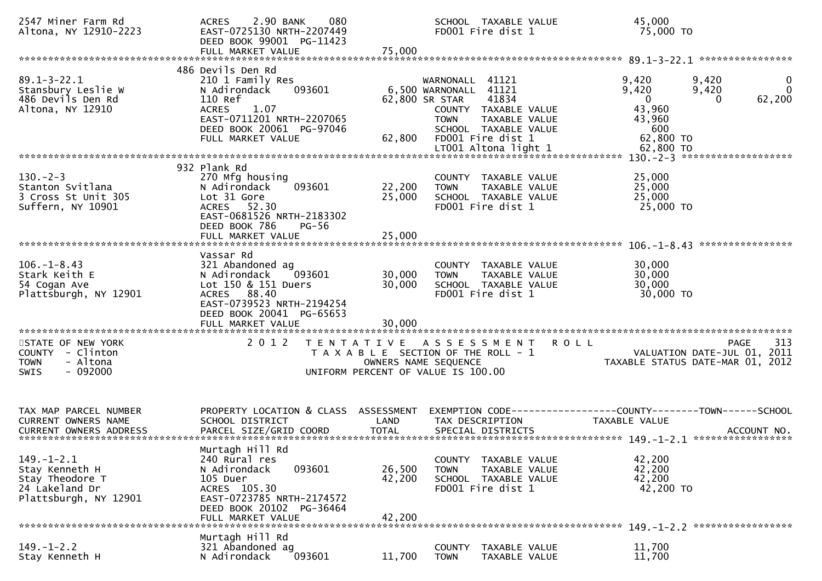| 2547 Miner Farm Rd<br>Altona, NY 12910-2223                                                      | 2.90 BANK<br>080<br>ACRES<br>EAST-0725130 NRTH-2207449<br>DEED BOOK 99001 PG-11423<br>FULL MARKET VALUE                                                                          | 75,000                                    | SCHOOL TAXABLE VALUE<br>FD001 Fire dist 1                                                                                                                    | 45,000<br>75,000 TO                                                                                                         |
|--------------------------------------------------------------------------------------------------|----------------------------------------------------------------------------------------------------------------------------------------------------------------------------------|-------------------------------------------|--------------------------------------------------------------------------------------------------------------------------------------------------------------|-----------------------------------------------------------------------------------------------------------------------------|
| $89.1 - 3 - 22.1$<br>Stansbury Leslie W<br>486 Devils Den Rd<br>Altona, NY 12910                 | 486 Devils Den Rd<br>210 1 Family Res<br>N Adirondack<br>093601<br>110 Ref<br>1.07<br><b>ACRES</b><br>EAST-0711201 NRTH-2207065<br>DEED BOOK 20061 PG-97046<br>FULL MARKET VALUE | 62,800 SR STAR<br>62,800                  | 41121<br>WARNONALL<br>6,500 WARNONALL<br>41121<br>41834<br>COUNTY TAXABLE VALUE<br>TAXABLE VALUE<br><b>TOWN</b><br>SCHOOL TAXABLE VALUE<br>FD001 Fire dist 1 | 9,420<br>9,420<br>0<br>9,420<br>9,420<br>$\Omega$<br>$\Omega$<br>62,200<br>$\Omega$<br>43,960<br>43,960<br>600<br>62,800 TO |
| $130 - 2 - 3$<br>Stanton Svitlana<br>3 Cross St Unit 305<br>Suffern, NY 10901                    | 932 Plank Rd<br>270 Mfg housing<br>093601<br>N Adirondack<br>Lot 31 Gore<br>ACRES 52.30<br>EAST-0681526 NRTH-2183302<br>DEED BOOK 786<br><b>PG-56</b><br>FULL MARKET VALUE       | 22,200<br>25,000<br>25,000                | COUNTY TAXABLE VALUE<br>TAXABLE VALUE<br><b>TOWN</b><br>SCHOOL TAXABLE VALUE<br>FD001 Fire dist 1                                                            | 25,000<br>25,000<br>25,000<br>25,000 TO                                                                                     |
| $106. - 1 - 8.43$<br>Stark Keith E<br>54 Cogan Ave<br>Plattsburgh, NY 12901                      | Vassar Rd<br>321 Abandoned ag<br>N Adirondack<br>093601<br>Lot 150 & 151 Duers<br>ACRES 88.40<br>EAST-0739523 NRTH-2194254<br>DEED BOOK 20041 PG-65653<br>FULL MARKET VALUE      | 30,000<br>30,000<br>30,000                | COUNTY TAXABLE VALUE<br><b>TOWN</b><br>TAXABLE VALUE<br>SCHOOL TAXABLE VALUE<br>FD001 Fire dist 1                                                            | 30,000<br>30,000<br>30,000<br>30,000 TO                                                                                     |
| STATE OF NEW YORK<br>COUNTY - Clinton<br>- Altona<br><b>TOWN</b><br><b>SWIS</b><br>- 092000      | 2 0 1 2                                                                                                                                                                          | T E N T A T I V E<br>OWNERS NAME SEQUENCE | A S S E S S M E N T<br>T A X A B L E SECTION OF THE ROLL - 1<br>UNIFORM PERCENT OF VALUE IS 100.00                                                           | 313<br><b>ROLL</b><br><b>PAGE</b><br>VALUATION DATE-JUL 01,<br>2011<br>TAXABLE STATUS DATE-MAR 01, 2012                     |
| TAX MAP PARCEL NUMBER<br>CURRENT OWNERS NAME                                                     | PROPERTY LOCATION & CLASS ASSESSMENT<br>SCHOOL DISTRICT                                                                                                                          | LAND                                      | TAX DESCRIPTION                                                                                                                                              | EXEMPTION CODE------------------COUNTY--------TOWN------SCHOOL<br>TAXABLE VALUE                                             |
| $149. - 1 - 2.1$<br>Stay Kenneth H<br>Stay Theodore T<br>24 Lakeland Dr<br>Plattsburgh, NY 12901 | Murtagh Hill Rd<br>240 Rural res<br>N Adirondack<br>093601<br>105 Duer<br>ACRES 105.30<br>EAST-0723785 NRTH-2174572<br>DEED BOOK 20102 PG-36464<br>FULL MARKET VALUE             | 26,500<br>42,200<br>42,200                | TAXABLE VALUE<br><b>COUNTY</b><br>TAXABLE VALUE<br><b>TOWN</b><br>SCHOOL TAXABLE VALUE<br>FD001 Fire dist 1                                                  | 42,200<br>42,200<br>42,200<br>42,200 TO                                                                                     |
| $149. - 1 - 2.2$<br>Stay Kenneth H                                                               | Murtagh Hill Rd<br>321 Abandoned ag<br>093601<br>N Adirondack                                                                                                                    | 11,700                                    | <b>COUNTY</b><br>TAXABLE VALUE<br><b>TOWN</b><br>TAXABLE VALUE                                                                                               | 11,700<br>11,700                                                                                                            |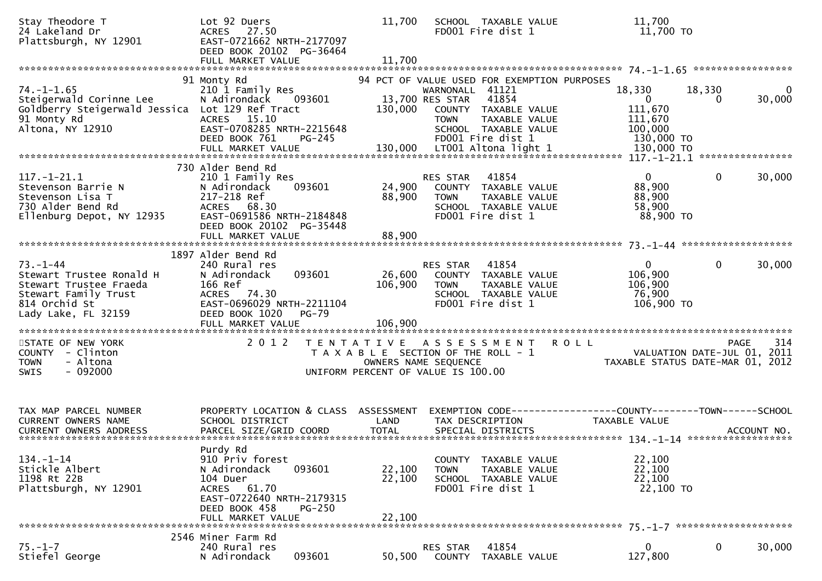| Stay Theodore T<br>24 Lakeland Dr<br>Plattsburgh, NY 12901                                                                           | Lot 92 Duers<br><b>ACRES</b><br>27.50<br>EAST-0721662 NRTH-2177097<br>DEED BOOK 20102 PG-36464                                    | 11,700            | SCHOOL TAXABLE VALUE<br>FD001 Fire dist 1                                                                                          | 11,700<br>11,700 TO                                                           |                                                                                          |
|--------------------------------------------------------------------------------------------------------------------------------------|-----------------------------------------------------------------------------------------------------------------------------------|-------------------|------------------------------------------------------------------------------------------------------------------------------------|-------------------------------------------------------------------------------|------------------------------------------------------------------------------------------|
|                                                                                                                                      | 91 Monty Rd                                                                                                                       |                   | 94 PCT OF VALUE USED FOR EXEMPTION PURPOSES                                                                                        |                                                                               |                                                                                          |
| $74. - 1 - 1.65$<br>Steigerwald Corinne Lee<br>Goldberry Steigerwald Jessica Lot 129 Ref Tract<br>91 Monty Rd<br>Altona, NY 12910    | 210 1 Family Res<br>N Adirondack<br>093601<br>ACRES 15.10<br>EAST-0708285 NRTH-2215648                                            | 130,000           | WARNONALL 41121<br>13,700 RES STAR<br>41854<br>COUNTY TAXABLE VALUE<br><b>TOWN</b><br><b>TAXABLE VALUE</b><br>SCHOOL TAXABLE VALUE | 18,330<br>$\overline{0}$<br>111,670<br>111,670<br>100,000                     | 18,330<br>0<br>30,000<br>$\Omega$                                                        |
|                                                                                                                                      | DEED BOOK 761<br>$PG-245$                                                                                                         |                   | FD001 Fire dist 1                                                                                                                  | 130,000 TO                                                                    |                                                                                          |
|                                                                                                                                      | 730 Alder Bend Rd                                                                                                                 |                   |                                                                                                                                    |                                                                               |                                                                                          |
| $117. - 1 - 21.1$<br>Stevenson Barrie N<br>Stevenson Lisa T<br>730 Alder Bend Rd<br>Ellenburg Depot, NY 12935                        | 210 1 Family Res<br>N Adirondack<br>093601<br>217-218 Ref<br>ACRES 68.30<br>EAST-0691586 NRTH-2184848<br>DEED BOOK 20102 PG-35448 | 24,900<br>88,900  | 41854<br><b>RES STAR</b><br>COUNTY TAXABLE VALUE<br><b>TOWN</b><br>TAXABLE VALUE<br>SCHOOL TAXABLE VALUE<br>FD001 Fire dist 1      | $\mathbf 0$<br>88,900<br>88,900<br>58,900<br>88,900 TO                        | $\mathbf 0$<br>30,000                                                                    |
|                                                                                                                                      | FULL MARKET VALUE                                                                                                                 | 88,900            |                                                                                                                                    |                                                                               |                                                                                          |
|                                                                                                                                      | 1897 Alder Bend Rd                                                                                                                |                   |                                                                                                                                    |                                                                               |                                                                                          |
| $73. - 1 - 44$<br>Stewart Trustee Ronald H<br>Stewart Trustee Fraeda<br>Stewart Family Trust<br>814 Orchid St<br>Lady Lake, FL 32159 | 240 Rural res<br>093601<br>N Adirondack<br>166 Ref<br>ACRES 74.30<br>EAST-0696029 NRTH-2211104<br>DEED BOOK 1020<br><b>PG-79</b>  | 26,600<br>106,900 | 41854<br>RES STAR<br>COUNTY TAXABLE VALUE<br><b>TOWN</b><br>TAXABLE VALUE<br>SCHOOL TAXABLE VALUE<br>FD001 Fire dist 1             | $\overline{0}$<br>106,900<br>106,900<br>76,900<br>106,900 TO                  | 0<br>30,000                                                                              |
|                                                                                                                                      | FULL MARKET VALUE<br>*********************                                                                                        | 106,900           |                                                                                                                                    |                                                                               |                                                                                          |
| STATE OF NEW YORK<br>COUNTY - Clinton<br>- Altona<br><b>TOWN</b><br>SWIS<br>$-092000$                                                | 2 0 1 2                                                                                                                           | T E N T A T I V E | ASSESSMENT<br>T A X A B L E SECTION OF THE ROLL - 1<br>OWNERS NAME SEQUENCE<br>UNIFORM PERCENT OF VALUE IS 100.00                  | <b>ROLL</b>                                                                   | 314<br><b>PAGE</b><br>2011<br>VALUATION DATE-JUL 01,<br>TAXABLE STATUS DATE-MAR 01, 2012 |
| TAX MAP PARCEL NUMBER<br><b>CURRENT OWNERS NAME</b>                                                                                  | PROPERTY LOCATION & CLASS ASSESSMENT<br>SCHOOL DISTRICT                                                                           | LAND              | TAX DESCRIPTION                                                                                                                    | EXEMPTION CODE-----------------COUNTY-------TOWN------SCHOOL<br>TAXABLE VALUE |                                                                                          |
|                                                                                                                                      | Purdy Rd                                                                                                                          |                   |                                                                                                                                    |                                                                               |                                                                                          |
| $134. - 1 - 14$<br>Stickle Albert<br>1198 Rt 22B<br>Plattsburgh, NY 12901                                                            | 910 Priv forest<br>093601<br>N Adirondack<br>104 Duer<br>ACRES 61.70<br>EAST-0722640 NRTH-2179315<br>DEED BOOK 458<br>$PG-250$    | 22,100<br>22,100  | TAXABLE VALUE<br>COUNTY<br>TAXABLE VALUE<br>TOWN<br>SCHOOL TAXABLE VALUE<br>FD001 Fire dist 1                                      | 22,100<br>22,100<br>22,100<br>22,100 TO                                       |                                                                                          |
|                                                                                                                                      | FULL MARKET VALUE                                                                                                                 | 22,100            |                                                                                                                                    |                                                                               |                                                                                          |
|                                                                                                                                      | 2546 Miner Farm Rd                                                                                                                |                   |                                                                                                                                    |                                                                               |                                                                                          |
| $75. - 1 - 7$<br>Stiefel George                                                                                                      | 240 Rural res<br>093601<br>N Adirondack                                                                                           | 50,500            | 41854<br>RES STAR<br>COUNTY<br>TAXABLE VALUE                                                                                       | $\mathbf{0}$<br>127,800                                                       | 0<br>30,000                                                                              |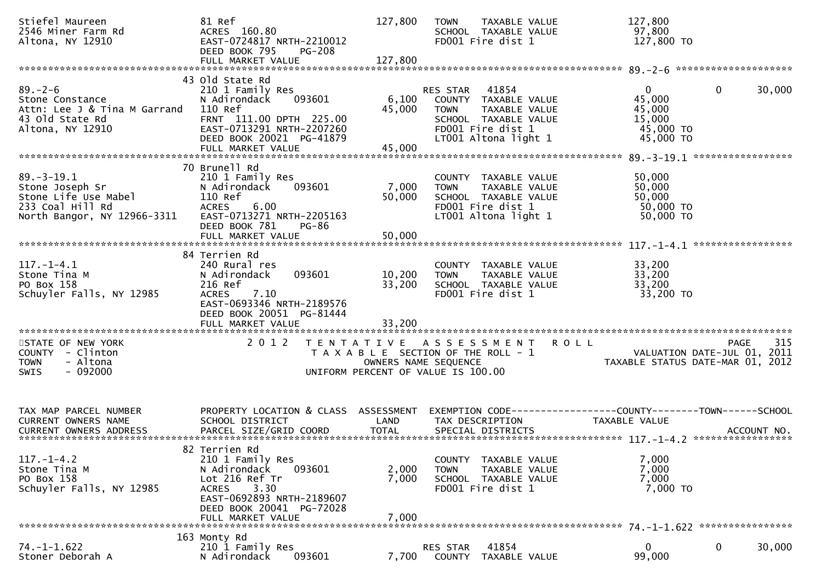| Stiefel Maureen<br>2546 Miner Farm Rd<br>Altona, NY 12910                                                                                             | 81 Ref<br>ACRES 160.80<br>EAST-0724817 NRTH-2210012<br>DEED BOOK 795<br><b>PG-208</b>                                                                                               | 127,800                    | <b>TOWN</b><br>TAXABLE VALUE<br>SCHOOL TAXABLE VALUE<br>FD001 Fire dist 1                                                                   | 127,800<br>97,800<br>127,800 TO                                                                 |
|-------------------------------------------------------------------------------------------------------------------------------------------------------|-------------------------------------------------------------------------------------------------------------------------------------------------------------------------------------|----------------------------|---------------------------------------------------------------------------------------------------------------------------------------------|-------------------------------------------------------------------------------------------------|
|                                                                                                                                                       | 43 Old State Rd                                                                                                                                                                     |                            |                                                                                                                                             |                                                                                                 |
| $89. - 2 - 6$<br>Stone Constance<br>Attn: Lee J & Tina M Garrand<br>43 old State Rd<br>Altona, NY 12910                                               | 210 1 Family Res<br>093601<br>N Adirondack<br>110 Ref<br>FRNT 111.00 DPTH 225.00<br>EAST-0713291 NRTH-2207260<br>DEED BOOK 20021 PG-41879<br>FULL MARKET VALUE                      | 6,100<br>45,000<br>45,000  | RES STAR 41854<br>COUNTY TAXABLE VALUE<br>TAXABLE VALUE<br><b>TOWN</b><br>SCHOOL TAXABLE VALUE<br>FD001 Fire dist 1<br>LT001 Altona light 1 | $\mathbf 0$<br>$\overline{0}$<br>30,000<br>45,000<br>45,000<br>15,000<br>45,000 TO<br>45,000 TO |
|                                                                                                                                                       |                                                                                                                                                                                     |                            |                                                                                                                                             |                                                                                                 |
| $89. - 3 - 19.1$<br>Stone Joseph Sr<br>Stone Joseph J.<br>Stone Life Use Mabel<br>222 Cool Hill Rd<br>233 Coal Hill Rd<br>North Bangor, NY 12966-3311 | 70 Brunell Rd<br>210 1 Family Res<br>N Adirondack<br>093601<br>110 Ref<br><b>ACRES</b><br>6.00<br>EAST-0713271 NRTH-2205163<br>DEED BOOK 781<br>PG-86<br>FULL MARKET VALUE          | 7,000<br>50,000<br>50,000  | COUNTY TAXABLE VALUE<br>TAXABLE VALUE<br><b>TOWN</b><br>SCHOOL TAXABLE VALUE<br>FD001 Fire dist 1<br>LT001 Altona light 1                   | 50,000<br>50,000<br>50,000<br>50,000 TO<br>50,000 TO                                            |
|                                                                                                                                                       |                                                                                                                                                                                     |                            |                                                                                                                                             |                                                                                                 |
| $117. - 1 - 4.1$<br>Stone Tina M<br>PO Box 158<br>Schuyler Falls, NY 12985                                                                            | 84 Terrien Rd<br>240 Rural res<br>093601<br>N Adirondack<br>216 Ref<br>ACRES 7.10<br>EAST-0693346 NRTH-2189576<br>DEED BOOK 20051 PG-81444<br>FULL MARKET VALUE                     | 10,200<br>33,200<br>33,200 | COUNTY TAXABLE VALUE<br>TAXABLE VALUE<br><b>TOWN</b><br>SCHOOL TAXABLE VALUE<br>FD001 Fire dist 1                                           | 33,200<br>33,200<br>33,200<br>33,200 TO                                                         |
| STATE OF NEW YORK<br>COUNTY - Clinton<br>- Altona<br><b>TOWN</b><br>SWIS<br>- 092000                                                                  | 2 0 1 2                                                                                                                                                                             | OWNERS NAME SEQUENCE       | TENTATIVE ASSESSMENT ROLL<br>T A X A B L E SECTION OF THE ROLL - 1<br>UNIFORM PERCENT OF VALUE IS 100.00                                    | 315<br><b>PAGE</b><br>VALUATION DATE-JUL 01, 2011<br>TAXABLE STATUS DATE-MAR 01, 2012           |
| TAX MAP PARCEL NUMBER<br><b>CURRENT OWNERS NAME</b>                                                                                                   | PROPERTY LOCATION & CLASS ASSESSMENT<br>SCHOOL DISTRICT                                                                                                                             | LAND                       | TAX DESCRIPTION                                                                                                                             | EXEMPTION CODE-----------------COUNTY-------TOWN------SCHOOL<br>TAXABLE VALUE                   |
| $117. - 1 - 4.2$<br>Stone Tina M<br>PO Box 158<br>Schuyler Falls, NY 12985                                                                            | 82 Terrien Rd<br>210 1 Family Res<br>N Adirondack<br>093601<br>Lot 216 Ref Tr<br>3.30<br><b>ACRES</b><br>EAST-0692893 NRTH-2189607<br>DEED BOOK 20041 PG-72028<br>FULL MARKET VALUE | 2,000<br>7,000<br>7,000    | COUNTY TAXABLE VALUE<br>TAXABLE VALUE<br><b>TOWN</b><br>SCHOOL TAXABLE VALUE<br>FD001 Fire dist 1                                           | 7,000<br>7,000<br>7,000<br>7,000 TO                                                             |
|                                                                                                                                                       | 163 Monty Rd                                                                                                                                                                        |                            |                                                                                                                                             |                                                                                                 |
| $74. - 1 - 1.622$<br>Stoner Deborah A                                                                                                                 | 210 1 Family Res<br>093601<br>N Adirondack                                                                                                                                          | 7,700                      | 41854<br>RES STAR<br>COUNTY<br>TAXABLE VALUE                                                                                                | 0<br>30,000<br>0<br>99,000                                                                      |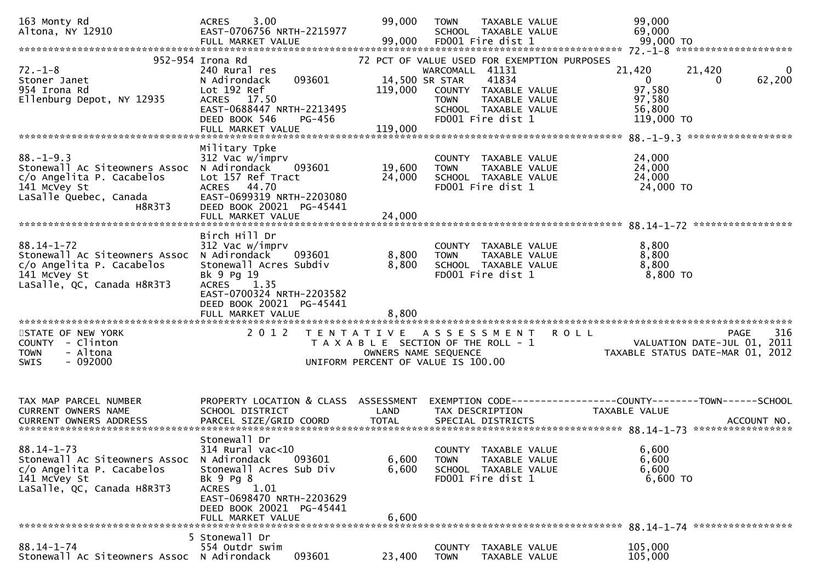| 163 Monty Rd<br>Altona, NY 12910                                                                                                  | 3.00<br><b>ACRES</b><br>EAST-0706756 NRTH-2215977<br>FULL MARKET VALUE                                                                                                                         | 99,000<br>99,000                     | <b>TOWN</b><br>TAXABLE VALUE<br>SCHOOL TAXABLE VALUE<br>FD001 Fire dist 1                                                                                                    | 99,000<br>69,000<br>99,000 TO                                                                                    |
|-----------------------------------------------------------------------------------------------------------------------------------|------------------------------------------------------------------------------------------------------------------------------------------------------------------------------------------------|--------------------------------------|------------------------------------------------------------------------------------------------------------------------------------------------------------------------------|------------------------------------------------------------------------------------------------------------------|
| $72. - 1 - 8$<br>Stoner Janet<br>954 Irona Rd<br>Ellenburg Depot, NY 12935                                                        | 952-954 Irona Rd<br>240 Rural res<br>093601<br>N Adirondack<br>Lot 192 Ref<br>ACRES 17.50<br>EAST-0688447 NRTH-2213495<br>DEED BOOK 546<br>PG-456<br>FULL MARKET VALUE                         | 14,500 SR STAR<br>119,000<br>119,000 | 72 PCT OF VALUE USED FOR EXEMPTION PURPOSES<br>WARCOMALL 41131<br>41834<br>COUNTY TAXABLE VALUE<br>TAXABLE VALUE<br><b>TOWN</b><br>SCHOOL TAXABLE VALUE<br>FD001 Fire dist 1 | 21,420<br>21,420<br>$\Omega$<br>62,200<br>$\overline{0}$<br>$\Omega$<br>97,580<br>97,580<br>56,800<br>119,000 TO |
|                                                                                                                                   | Military Tpke                                                                                                                                                                                  |                                      |                                                                                                                                                                              |                                                                                                                  |
| $88. - 1 - 9.3$<br>Stonewall Ac Siteowners Assoc<br>c/o Angelita P. Cacabelos<br>141 McVey St<br>LaSalle Quebec, Canada<br>H8R3T3 | 312 Vac w/imprv<br>N Adirondack<br>093601<br>Lot 157 Ref Tract<br>ACRES 44.70<br>EAST-0699319 NRTH-2203080<br>DEED BOOK 20021 PG-45441                                                         | 19,600<br>24,000                     | COUNTY TAXABLE VALUE<br>TAXABLE VALUE<br><b>TOWN</b><br>SCHOOL TAXABLE VALUE<br>FD001 Fire dist 1                                                                            | 24,000<br>24,000<br>24,000<br>24,000 TO                                                                          |
|                                                                                                                                   | FULL MARKET VALUE                                                                                                                                                                              | 24,000                               |                                                                                                                                                                              |                                                                                                                  |
| $88.14 - 1 - 72$<br>Stonewall Ac Siteowners Assoc<br>c/o Angelita P. Cacabelos<br>141 McVey St<br>LaSalle, QC, Canada H8R3T3      | Birch Hill Dr<br>312 Vac w/imprv<br>N Adirondack<br>093601<br>Stonewall Acres Subdiv<br>Bk 9 Pg 19<br>ACRES 1.35<br>EAST-0700324 NRTH-2203582<br>DEED BOOK 20021 PG-45441                      | 8,800<br>8,800                       | COUNTY TAXABLE VALUE<br>TAXABLE VALUE<br><b>TOWN</b><br>SCHOOL TAXABLE VALUE<br>FD001 Fire dist 1                                                                            | 8,800<br>8,800<br>8,800<br>8,800 TO                                                                              |
| STATE OF NEW YORK<br>COUNTY - Clinton<br>- Altona<br><b>TOWN</b><br>$-092000$<br><b>SWIS</b>                                      | 2 0 1 2                                                                                                                                                                                        | OWNERS NAME SEQUENCE                 | TENTATIVE ASSESSMENT<br>T A X A B L E SECTION OF THE ROLL - 1<br>UNIFORM PERCENT OF VALUE IS 100.00                                                                          | 316<br><b>ROLL</b><br>PAGE<br>VALUATION DATE-JUL 01, 2011<br>TAXABLE STATUS DATE-MAR 01, 2012                    |
|                                                                                                                                   |                                                                                                                                                                                                |                                      |                                                                                                                                                                              |                                                                                                                  |
| TAX MAP PARCEL NUMBER<br>CURRENT OWNERS NAME<br>CURRENT OWNERS ADDRESS                                                            | PROPERTY LOCATION & CLASS<br>SCHOOL DISTRICT<br>PARCEL SIZE/GRID COORD                                                                                                                         | ASSESSMENT<br>LAND<br><b>TOTAL</b>   | TAX DESCRIPTION<br>SPECIAL DISTRICTS                                                                                                                                         | EXEMPTION        CODE-----------------COUNTY-------TOWN------SCHOOL<br><b>TAXABLE VALUE</b><br>ACCOUNT NO.       |
| $88.14 - 1 - 73$<br>Stonewall Ac Siteowners Assoc<br>c/o Angelita P. Cacabelos<br>141 McVey St<br>LaSalle, QC, Canada H8R3T3      | Stonewall Dr<br>314 Rural vac<10<br>N Adirondack<br>093601<br>Stonewall Acres Sub Div<br>Bk 9 Pg 8<br>ACRES 1.01<br>EAST-0698470 NRTH-2203629<br>DEED BOOK 20021 PG-45441<br>FULL MARKET VALUE | 6,600<br>6,600<br>6,600              | COUNTY TAXABLE VALUE<br>TAXABLE VALUE<br><b>TOWN</b><br>SCHOOL TAXABLE VALUE<br>FD001 Fire dist 1                                                                            | 6,600<br>6,600<br>6,600<br>6,600 TO                                                                              |
|                                                                                                                                   | 5 Stonewall Dr                                                                                                                                                                                 |                                      |                                                                                                                                                                              |                                                                                                                  |
| $88.14 - 1 - 74$<br>Stonewall Ac Siteowners Assoc N Adirondack                                                                    | 554 Outdr swim<br>093601                                                                                                                                                                       | 23,400                               | COUNTY TAXABLE VALUE<br><b>TOWN</b><br>TAXABLE VALUE                                                                                                                         | 105,000<br>105,000                                                                                               |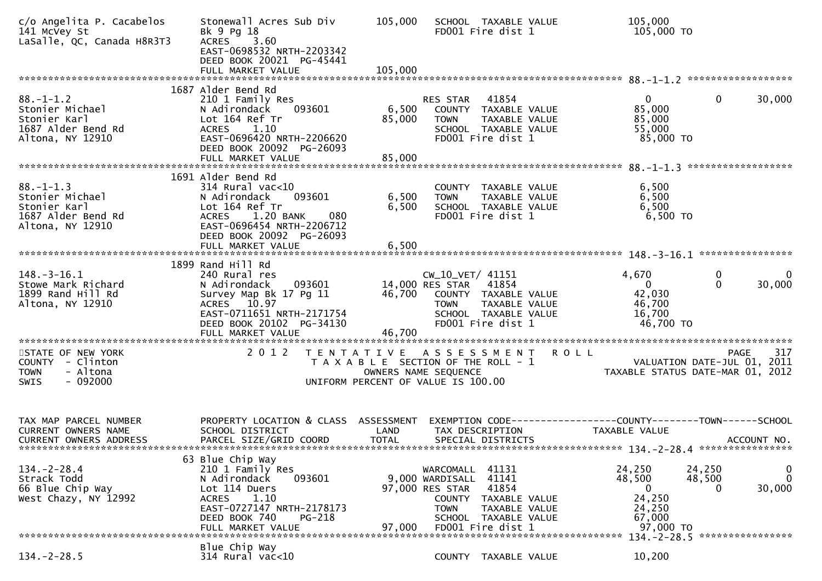| c/o Angelita P. Cacabelos<br>141 McVey St<br>LaSalle, QC, Canada H8R3T3                      | Stonewall Acres Sub Div<br>Bk 9 Pg 18<br>ACRES 3.60<br>EAST-0698532 NRTH-2203342<br>DEED BOOK 20021 PG-45441<br>FULL MARKET VALUE                                                          | 105,000<br>105,000        | SCHOOL TAXABLE VALUE<br>FD001 Fire dist 1                                                                                                                                       | 105,000<br>105,000 TO                                                         |                                                             |                             |
|----------------------------------------------------------------------------------------------|--------------------------------------------------------------------------------------------------------------------------------------------------------------------------------------------|---------------------------|---------------------------------------------------------------------------------------------------------------------------------------------------------------------------------|-------------------------------------------------------------------------------|-------------------------------------------------------------|-----------------------------|
|                                                                                              |                                                                                                                                                                                            |                           |                                                                                                                                                                                 |                                                                               |                                                             |                             |
| $88. - 1 - 1.2$<br>Stonier Michael<br>Stonier Karl<br>1687 Alder Bend Rd<br>Altona, NY 12910 | 1687 Alder Bend Rd<br>210 1 Family Res<br>N Adirondack<br>093601<br>Lot 164 Ref Tr<br>ACRES 1.10<br>EAST-0696420 NRTH-2206620<br>DEED BOOK 20092 PG-26093<br>FULL MARKET VALUE             | 6,500<br>85,000<br>85,000 | RES STAR<br>41854<br>COUNTY TAXABLE VALUE<br><b>TOWN</b><br>TAXABLE VALUE<br>SCHOOL TAXABLE VALUE<br>FD001 Fire dist 1                                                          | $\mathbf{0}$<br>85,000<br>85,000<br>55,000<br>85,000 TO                       | 0                                                           | 30,000                      |
|                                                                                              |                                                                                                                                                                                            |                           |                                                                                                                                                                                 |                                                                               |                                                             |                             |
| $88. - 1 - 1.3$<br>Stonier Michael<br>Stonier Karl<br>1687 Alder Bend Rd<br>Altona, NY 12910 | 1691 Alder Bend Rd<br>314 Rural vac<10<br>093601<br>N Adirondack<br>Lot 164 Ref Tr<br>ACRES 1.20 BANK<br>080<br>EAST-0696454 NRTH-2206712<br>DEED BOOK 20092 PG-26093<br>FULL MARKET VALUE | 6,500<br>6,500<br>6,500   | COUNTY TAXABLE VALUE<br>TAXABLE VALUE<br><b>TOWN</b><br>SCHOOL TAXABLE VALUE<br>FD001 Fire dist 1                                                                               | 6,500<br>6,500<br>6,500<br>$6,500$ TO                                         |                                                             |                             |
|                                                                                              |                                                                                                                                                                                            |                           |                                                                                                                                                                                 |                                                                               |                                                             |                             |
| $148. - 3 - 16.1$<br>Stowe Mark Richard<br>1899 Rand Hill Rd<br>Altona, NY 12910             | 1899 Rand Hill Rd<br>240 Rural res<br>N Adirondack<br>093601<br>Survey Map Bk 17 Pg 11<br>ACRES 10.97<br>EAST-0711651 NRTH-2171754<br>DEED BOOK 20102 PG-34130<br>FULL MARKET VALUE        | 46,700<br>46,700          | CW_10_VET/ 41151<br>14,000 RES STAR<br>41854<br>COUNTY TAXABLE VALUE<br>TAXABLE VALUE<br><b>TOWN</b><br>SCHOOL TAXABLE VALUE<br>FD001 Fire dist 1                               | 4,670<br>$\mathbf{0}$<br>42,030<br>46,700<br>16,700<br>46,700 TO              | 0<br>$\mathbf{0}$                                           | 0<br>30,000                 |
|                                                                                              |                                                                                                                                                                                            |                           |                                                                                                                                                                                 |                                                                               |                                                             |                             |
| STATE OF NEW YORK<br>COUNTY - Clinton<br>- Altona<br><b>TOWN</b><br>$-092000$<br><b>SWIS</b> | 2 0 1 2                                                                                                                                                                                    |                           | TENTATIVE ASSESSMENT ROLL<br>T A X A B L E SECTION OF THE ROLL - 1<br>OWNERS NAME SEQUENCE<br>UNIFORM PERCENT OF VALUE IS 100.00                                                | TAXABLE STATUS DATE-MAR 01, 2012                                              | PAGE<br>VALUATION DATE-JUL 01, 2011                         | 317                         |
|                                                                                              |                                                                                                                                                                                            |                           |                                                                                                                                                                                 |                                                                               |                                                             |                             |
| TAX MAP PARCEL NUMBER<br>CURRENT OWNERS NAME<br><b>CURRENT OWNERS ADDRESS</b>                | PROPERTY LOCATION & CLASS ASSESSMENT<br>SCHOOL DISTRICT<br>PARCEL SIZE/GRID COORD                                                                                                          | LAND<br><b>TOTAL</b>      | EXEMPTION CODE------------------COUNTY--------TOWN------SCHOOL<br>TAX DESCRIPTION<br>SPECIAL DISTRICTS                                                                          | TAXABLE VALUE                                                                 | ACCOUNT NO.                                                 |                             |
| $134 - 2 - 28.4$<br>Strack Todd<br>66 Blue Chip Way<br>West Chazy, NY 12992                  | 63 Blue Chip Way<br>210 1 Family Res<br>N Adirondack<br>093601<br>Lot 114 Duers<br>1.10<br><b>ACRES</b><br>EAST-0727147 NRTH-2178173<br>DEED BOOK 740<br>PG-218<br>FULL MARKET VALUE       | 97,000                    | 41131<br>WARCOMALL<br>9,000 WARDISALL<br>41141<br>41854<br>97,000 RES STAR<br>COUNTY TAXABLE VALUE<br>TAXABLE VALUE<br><b>TOWN</b><br>SCHOOL TAXABLE VALUE<br>FD001 Fire dist 1 | 24,250<br>48,500<br>$\overline{0}$<br>24,250<br>24,250<br>67,000<br>97,000 TO | 24,250<br>48,500<br>0<br>134. - 2 - 28. 5 ***************** | 0<br>$\mathbf{0}$<br>30,000 |
|                                                                                              | Blue Chip Way                                                                                                                                                                              |                           |                                                                                                                                                                                 |                                                                               |                                                             |                             |
| $134. - 2 - 28.5$                                                                            | $314$ Rural vac<10                                                                                                                                                                         |                           | COUNTY TAXABLE VALUE                                                                                                                                                            | 10,200                                                                        |                                                             |                             |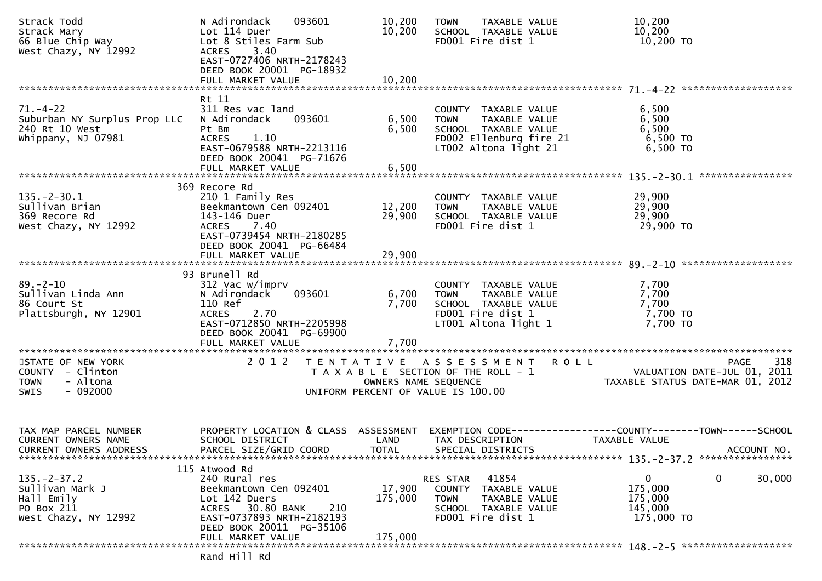| Strack Todd<br>Strack Tour<br>Strack Mary<br>66 Blue Chip Way<br>12002 Lot 8 Stiles Farm Sub<br>Lot 8 Stiles Farm Sub<br>West Chazy, NY 12992 | 093601<br>N Adirondack<br>ACRES 3.40<br>EAST-0727406 NRTH-2178243<br>DEED BOOK 20001 PG-18932                                                                                      | 10,200<br>10,200             | <b>TOWN</b><br>TAXABLE VALUE<br>SCHOOL TAXABLE VALUE<br>FD001 Fire dist 1                                                                       | 10,200<br>10,200<br>10,200 TO                                                                |
|-----------------------------------------------------------------------------------------------------------------------------------------------|------------------------------------------------------------------------------------------------------------------------------------------------------------------------------------|------------------------------|-------------------------------------------------------------------------------------------------------------------------------------------------|----------------------------------------------------------------------------------------------|
|                                                                                                                                               |                                                                                                                                                                                    |                              |                                                                                                                                                 |                                                                                              |
| $71. - 4 - 22$<br>Suburban NY Surplus Prop LLC<br>240 Rt 10 West<br>Whippany, NJ 07981                                                        | Rt 11<br>311 Res vac land<br>N Adirondack 093601<br>Pt Bm<br><b>ACRES</b><br>1.10<br>EAST-0679588 NRTH-2213116<br>DEED BOOK 20041 PG-71676                                         | 6,500<br>6,500               | COUNTY TAXABLE VALUE<br>TOWN TAXABLE VALUE<br>SCHOOL TAXABLE VALUE<br>FDOO2 Ellenburg fire 21<br>LTOO2 Altona light 21                          | 6,500<br>6,500<br>6,500<br>6,500 TO<br>$6,500$ TO                                            |
|                                                                                                                                               |                                                                                                                                                                                    |                              |                                                                                                                                                 |                                                                                              |
| $135. - 2 - 30.1$<br>Sullivan Brian<br>369 Recore Rd<br>West Chazy, NY 12992                                                                  | 369 Recore Rd<br>210 1 Family Res<br>Beekmantown Cen 092401<br>143-146 Duer<br>ACRES 7.40<br>EAST-0739454 NRTH-2180285<br>DEED BOOK 20041 PG-66484                                 | 29,900                       | COUNTY TAXABLE VALUE<br>12,200 TOWN TAXABLE VALUE<br>SCHOOL TAXABLE VALUE<br>FD001 Fire dist 1                                                  | 29,900<br>29,900<br>29,900<br>29,900 TO                                                      |
|                                                                                                                                               |                                                                                                                                                                                    |                              |                                                                                                                                                 |                                                                                              |
| $89 - 2 - 10$<br>Sullivan Linda Ann<br>86 Court St<br>Plattsburgh, NY 12901                                                                   | 93 Brunell Rd<br>312 Vac w/imprv<br>093601<br>N Adirondack<br>110 Ref<br>ACRES 2.70<br>EAST-0712850 NRTH-2205998<br>DEED BOOK 20041 PG-69900<br>FULL MARKET VALUE                  | 7,700<br>7,700               | COUNTY TAXABLE VALUE<br>TOWN     TAXABLE VALUE<br>6,700 TOWN TAXABLE VALUE<br>SCHOOL TAXABLE VALUE<br>FD001 Fire dist 1<br>LT001 Altona light 1 | 7,700<br>7,700<br>7,700<br>7,700 TO<br>7,700 TO                                              |
| STATE OF NEW YORK<br>COUNTY - Clinton<br>- Altona<br><b>TOWN</b><br>$-092000$<br>SWIS                                                         | 2 0 1 2                                                                                                                                                                            |                              | TENTATIVE ASSESSMENT ROLL<br>UNIFORM PERCENT OF VALUE IS 100.00                                                                                 | 318<br>PAGE                                                                                  |
| TAX MAP PARCEL NUMBER<br><b>CURRENT OWNERS NAME</b><br>CURRENT OWNERS ADDRESS                                                                 | PROPERTY LOCATION & CLASS ASSESSMENT<br>SCHOOL DISTRICT<br>PARCEL SIZE/GRID COORD                                                                                                  | LAND<br><b>TOTAL</b>         | TAX DESCRIPTION<br>SPECIAL DISTRICTS                                                                                                            | EXEMPTION CODE-----------------COUNTY-------TOWN------SCHOOL<br>TAXABLE VALUE<br>ACCOUNT NO. |
| $135. - 2 - 37.2$<br>Sullivan Mark J<br>Hall Emily<br>PO Box 211<br>West Chazy, NY 12992                                                      | 115 Atwood Rd<br>240 Rural res<br>Beekmantown Cen 092401<br>Lot 142 Duers<br>ACRES 30.80 BANK<br>210<br>EAST-0737893 NRTH-2182193<br>DEED BOOK 20011 PG-35106<br>FULL MARKET VALUE | 17,900<br>175,000<br>175,000 | 41854<br>RES STAR<br>COUNTY TAXABLE VALUE<br>TAXABLE VALUE<br><b>TOWN</b><br>SCHOOL TAXABLE VALUE<br>FD001 Fire dist 1                          | $\mathbf{0}$<br>30,000<br>0<br>175,000<br>175,000<br>145,000<br>175,000 TO                   |
|                                                                                                                                               | Rand Hill Rd                                                                                                                                                                       |                              |                                                                                                                                                 |                                                                                              |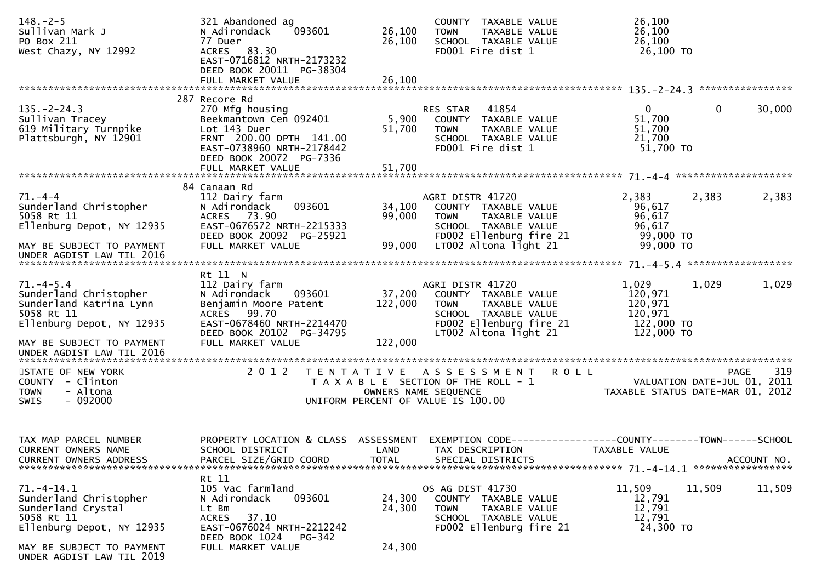| $148. - 2 - 5$<br>Sullivan Mark J<br>PO Box 211<br>West Chazy, NY 12992                                        | 321 Abandoned ag<br>093601<br>N Adirondack<br>77 Duer<br>ACRES 83.30<br>EAST-0716812 NRTH-2173232<br>DEED BOOK 20011 PG-38304                                  | 26,100<br>26,100             | COUNTY TAXABLE VALUE<br>TAXABLE VALUE<br><b>TOWN</b><br>SCHOOL TAXABLE VALUE<br>FD001 Fire dist 1                                                    | 26,100<br>26,100<br>26,100<br>26,100 TO                                        |             |
|----------------------------------------------------------------------------------------------------------------|----------------------------------------------------------------------------------------------------------------------------------------------------------------|------------------------------|------------------------------------------------------------------------------------------------------------------------------------------------------|--------------------------------------------------------------------------------|-------------|
|                                                                                                                | 287 Recore Rd                                                                                                                                                  |                              |                                                                                                                                                      |                                                                                |             |
| $135. - 2 - 24.3$<br>Sullivan Tracey<br>619 Military Turnpike<br>Plattsburgh, NY 12901                         | 270 Mfg housing<br>Beekmantown Cen 092401<br>Lot 143 Duer<br>FRNT 200.00 DPTH 141.00<br>EAST-0738960 NRTH-2178442<br>DEED BOOK 20072 PG-7336                   | 5,900<br>51,700              | RES STAR<br>41854<br>COUNTY TAXABLE VALUE<br><b>TOWN</b><br>TAXABLE VALUE<br>SCHOOL TAXABLE VALUE<br>FD001 Fire dist 1                               | $\overline{0}$<br>0<br>51,700<br>51,700<br>21,700<br>51,700 TO                 | 30,000      |
|                                                                                                                | FULL MARKET VALUE                                                                                                                                              | 51,700                       |                                                                                                                                                      |                                                                                |             |
| $71. - 4 - 4$<br>Sunderland Christopher<br>5058 Rt 11<br>Ellenburg Depot, NY 12935                             | 84 Canaan Rd<br>112 Dairy farm<br>093601<br>N Adirondack<br>ACRES 73.90<br>EAST-0676572 NRTH-2215333<br>DEED BOOK 20092 PG-25921                               | 34,100<br>99,000             | AGRI DISTR 41720<br>COUNTY TAXABLE VALUE<br>TAXABLE VALUE<br><b>TOWN</b><br>SCHOOL TAXABLE VALUE<br>FD002 Ellenburg fire 21                          | 2,383<br>2,383<br>96,617<br>96,617<br>96,617<br>99,000 TO                      | 2,383       |
| MAY BE SUBJECT TO PAYMENT<br>UNDER AGDIST LAW TIL 2016                                                         | FULL MARKET VALUE                                                                                                                                              | 99,000                       | LT002 Altona light 21                                                                                                                                | 99,000 TO                                                                      |             |
|                                                                                                                | Rt 11 N                                                                                                                                                        |                              |                                                                                                                                                      |                                                                                |             |
| $71. -4 - 5.4$<br>Sunderland Christopher<br>Sunderland Katrina Lynn<br>5058 Rt 11<br>Ellenburg Depot, NY 12935 | 112 Dairy farm<br>N Adirondack<br>093601<br>Benjamin Moore Patent<br>ACRES 99.70<br>EAST-0678460 NRTH-2214470<br>DEED BOOK 20102 PG-34795<br>FULL MARKET VALUE | 37,200<br>122,000<br>122,000 | AGRI DISTR 41720<br>COUNTY TAXABLE VALUE<br><b>TOWN</b><br>TAXABLE VALUE<br>SCHOOL TAXABLE VALUE<br>FD002 Ellenburg fire 21<br>LT002 Altona light 21 | 1,029<br>1,029<br>120,971<br>120,971<br>120,971<br>122,000 TO<br>122,000 TO    | 1,029       |
| MAY BE SUBJECT TO PAYMENT<br>UNDER AGDIST LAW TIL 2016                                                         |                                                                                                                                                                |                              |                                                                                                                                                      |                                                                                |             |
| STATE OF NEW YORK<br>COUNTY - Clinton<br>- Altona<br><b>TOWN</b><br>$-092000$<br><b>SWIS</b>                   | 2 0 1 2                                                                                                                                                        | OWNERS NAME SEQUENCE         | TENTATIVE ASSESSMENT<br><b>ROLL</b><br>T A X A B L E SECTION OF THE ROLL - 1<br>UNIFORM PERCENT OF VALUE IS 100.00                                   | <b>PAGE</b><br>VALUATION DATE-JUL 01, 2011<br>TAXABLE STATUS DATE-MAR 01, 2012 | 319         |
| TAX MAP PARCEL NUMBER<br>CURRENT OWNERS NAME<br>CURRENT OWNERS ADDRESS                                         | PROPERTY LOCATION & CLASS ASSESSMENT<br>SCHOOL DISTRICT<br>PARCEL SIZE/GRID COORD                                                                              | LAND<br><b>TOTAL</b>         | EXEMPTION CODE-<br>TAX DESCRIPTION<br>SPECIAL DISTRICTS                                                                                              | ---------------COUNTY--------TOWN------SCHOOL<br>TAXABLE VALUE                 | ACCOUNT NO. |
| $71. -4 - 14.1$<br>Sunderland Christopher<br>Sunderland Crystal<br>5058 Rt 11<br>Ellenburg Depot, NY 12935     | Rt 11<br>105 Vac farmland<br>093601<br>N Adirondack<br>Lt Bm<br>37.10<br><b>ACRES</b><br>EAST-0676024 NRTH-2212242<br>DEED BOOK 1024<br>PG-342                 | 24,300<br>24,300             | OS AG DIST 41730<br>COUNTY TAXABLE VALUE<br><b>TOWN</b><br>TAXABLE VALUE<br>SCHOOL TAXABLE VALUE<br>FD002 Ellenburg fire 21                          | 11,509<br>11,509<br>12,791<br>12,791<br>12,791<br>24,300 TO                    | 11,509      |
| MAY BE SUBJECT TO PAYMENT<br>UNDER AGDIST LAW TIL 2019                                                         | FULL MARKET VALUE                                                                                                                                              | 24,300                       |                                                                                                                                                      |                                                                                |             |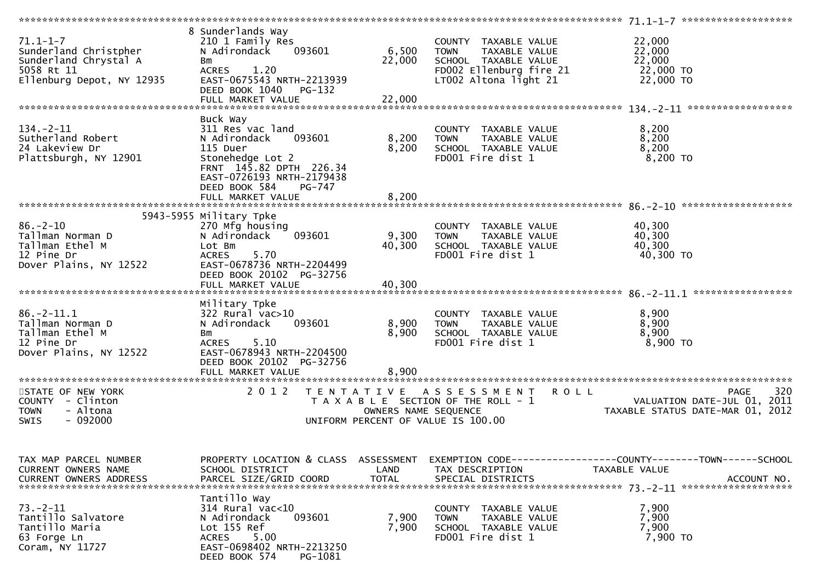|                                                                                                             |                                                                                                                                                                                                |                                           |                                                                                                                                  | 71.1-1-7 *********************                                                                      |
|-------------------------------------------------------------------------------------------------------------|------------------------------------------------------------------------------------------------------------------------------------------------------------------------------------------------|-------------------------------------------|----------------------------------------------------------------------------------------------------------------------------------|-----------------------------------------------------------------------------------------------------|
| $71.1 - 1 - 7$<br>Sunderland Christpher<br>Sunderland Chrystal A<br>5058 Rt 11<br>Ellenburg Depot, NY 12935 | 8 Sunderlands Way<br>210 1 Family Res<br>N Adirondack<br>093601<br>Bm<br>1.20<br><b>ACRES</b><br>EAST-0675543 NRTH-2213939<br>DEED BOOK 1040<br>PG-132                                         | 6,500<br>22,000                           | COUNTY TAXABLE VALUE<br><b>TOWN</b><br>TAXABLE VALUE<br>SCHOOL TAXABLE VALUE<br>FD002 Ellenburg fire 21<br>LT002 Altona light 21 | 22,000<br>22,000<br>22,000<br>22,000 TO<br>22,000 TO                                                |
| $134. - 2 - 11$<br>Sutherland Robert<br>24 Lakeview Dr<br>Plattsburgh, NY 12901                             | Buck Way<br>311 Res vac land<br>N Adirondack<br>093601<br>115 Duer<br>Stonehedge Lot 2<br>FRNT 145.82 DPTH 226.34<br>EAST-0726193 NRTH-2179438<br>DEED BOOK 584<br>PG-747<br>FULL MARKET VALUE | 8,200<br>8,200<br>8,200                   | COUNTY TAXABLE VALUE<br>TAXABLE VALUE<br><b>TOWN</b><br>SCHOOL TAXABLE VALUE<br>FD001 Fire dist 1                                | 8,200<br>8,200<br>8,200<br>8,200 TO                                                                 |
|                                                                                                             |                                                                                                                                                                                                |                                           |                                                                                                                                  |                                                                                                     |
| $86. - 2 - 10$<br>Tallman Norman D<br>Tallman Ethel M<br>12 Pine Dr<br>Dover Plains, NY 12522               | 5943-5955 Military Tpke<br>270 Mfg housing<br>093601<br>N Adirondack<br>Lot Bm<br>5.70<br><b>ACRES</b><br>EAST-0678736 NRTH-2204499<br>DEED BOOK 20102 PG-32756                                | 9,300<br>40,300                           | COUNTY TAXABLE VALUE<br>TAXABLE VALUE<br><b>TOWN</b><br>SCHOOL TAXABLE VALUE<br>FD001 Fire dist 1                                | 40,300<br>40,300<br>40,300<br>40,300 TO                                                             |
|                                                                                                             | FULL MARKET VALUE                                                                                                                                                                              | 40,300                                    |                                                                                                                                  |                                                                                                     |
| $86. - 2 - 11.1$<br>Tallman Norman D<br>Tallman Ethel M<br>12 Pine Dr<br>Dover Plains, NY 12522             | Military Tpke<br>$322$ Rural vac $>10$<br>093601<br>N Adirondack<br>Bm<br><b>ACRES</b><br>5.10<br>EAST-0678943 NRTH-2204500<br>DEED BOOK 20102 PG-32756<br>FULL MARKET VALUE                   | 8,900<br>8,900<br>8,900                   | COUNTY TAXABLE VALUE<br><b>TOWN</b><br>TAXABLE VALUE<br>SCHOOL TAXABLE VALUE<br>FD001 Fire dist 1                                | 8,900<br>8,900<br>8,900<br>8,900 TO                                                                 |
| STATE OF NEW YORK<br>COUNTY - Clinton<br>- Altona<br><b>TOWN</b><br>$-092000$<br>SWIS                       | 2 0 1 2                                                                                                                                                                                        | T E N T A T I V E<br>OWNERS NAME SEQUENCE | A S S E S S M E N T<br>T A X A B L E SECTION OF THE ROLL - 1<br>UNIFORM PERCENT OF VALUE IS 100.00                               | 320<br><b>ROLL</b><br>PAGE<br>VALUATION DATE-JUL 01, 2011<br>TAXABLE STATUS DATE-MAR 01, 2012       |
| TAX MAP PARCEL NUMBER<br>CURRENT OWNERS NAME<br><b>CURRENT OWNERS ADDRESS</b>                               | PROPERTY LOCATION & CLASS ASSESSMENT<br>SCHOOL DISTRICT<br>PARCEL SIZE/GRID COORD                                                                                                              | LAND<br><b>TOTAL</b>                      | TAX DESCRIPTION<br>SPECIAL DISTRICTS                                                                                             | EXEMPTION CODE-----------------COUNTY-------TOWN------SCHOOL<br><b>TAXABLE VALUE</b><br>ACCOUNT NO. |
| $73. - 2 - 11$<br>Tantillo Salvatore<br>Tantillo Maria<br>63 Forge Ln<br>Coram, NY 11727                    | Tantillo Way<br>314 Rural vac<10<br>093601<br>N Adirondack<br>Lot 155 Ref<br>5.00<br><b>ACRES</b><br>EAST-0698402 NRTH-2213250<br>DEED BOOK 574<br>PG-1081                                     | 7,900<br>7,900                            | COUNTY TAXABLE VALUE<br>TAXABLE VALUE<br><b>TOWN</b><br>SCHOOL TAXABLE VALUE<br>FD001 Fire dist 1                                | 7,900<br>7,900<br>7,900<br>7,900 TO                                                                 |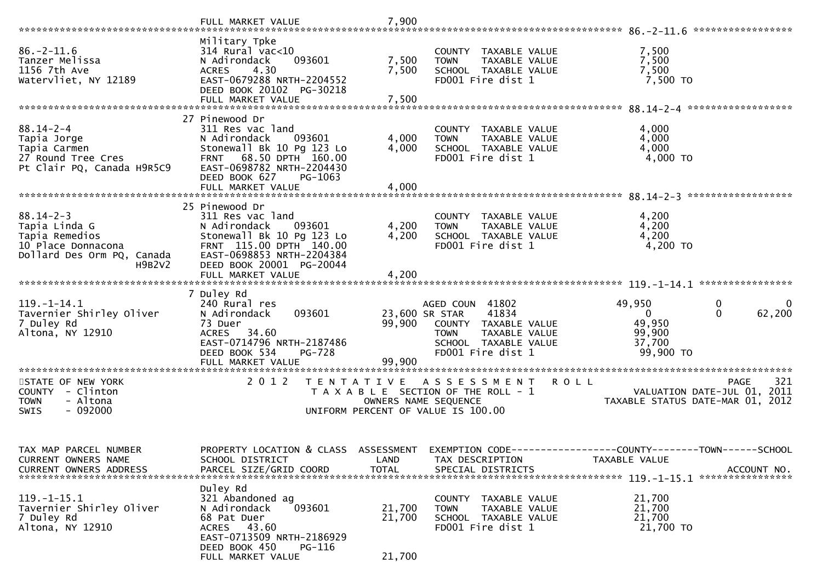|                                                                                                                  | FULL MARKET VALUE                                                                                                                                                                                  | 7,900                      |                                                                                                                                                 | *****************                                                                                               |
|------------------------------------------------------------------------------------------------------------------|----------------------------------------------------------------------------------------------------------------------------------------------------------------------------------------------------|----------------------------|-------------------------------------------------------------------------------------------------------------------------------------------------|-----------------------------------------------------------------------------------------------------------------|
| $86. - 2 - 11.6$<br>Tanzer Melissa<br>1156 7th Ave<br>Watervliet, NY 12189                                       | Military Tpke<br>$314$ Rural vac<10<br>093601<br>N Adirondack<br>4.30<br><b>ACRES</b><br>EAST-0679288 NRTH-2204552<br>DEED BOOK 20102 PG-30218<br>FULL MARKET VALUE                                | 7,500<br>7,500<br>7,500    | COUNTY TAXABLE VALUE<br><b>TOWN</b><br>TAXABLE VALUE<br>SCHOOL TAXABLE VALUE<br>FD001 Fire dist 1                                               | 7,500<br>7,500<br>7,500<br>7,500 TO                                                                             |
| $88.14 - 2 - 4$<br>Tapia Jorge<br>Tapia Carmen<br>27 Round Tree Cres<br>Pt Clair PQ, Canada H9R5C9               | 27 Pinewood Dr<br>311 Res vac land<br>093601<br>N Adirondack<br>Stonewall Bk 10 Pg 123 Lo<br>FRNT 68.50 DPTH 160.00<br>EAST-0698782 NRTH-2204430<br>DEED BOOK 627<br>PG-1063<br>FULL MARKET VALUE  | 4,000<br>4,000<br>4,000    | COUNTY TAXABLE VALUE<br>TAXABLE VALUE<br><b>TOWN</b><br>SCHOOL TAXABLE VALUE<br>FD001 Fire dist 1                                               | 4,000<br>4,000<br>4,000<br>4,000 TO                                                                             |
| $88.14 - 2 - 3$<br>Tapia Linda G<br>Tapia Remedios<br>10 Place Donnacona<br>Dollard Des Orm PQ, Canada<br>H9B2V2 | 25 Pinewood Dr<br>311 Res vac land<br>093601<br>N Adirondack<br>Stonewall Bk 10 Pg 123 Lo<br>FRNT 115.00 DPTH 140.00<br>EAST-0698853 NRTH-2204384<br>DEED BOOK 20001 PG-20044<br>FULL MARKET VALUE | 4,200<br>4,200<br>4,200    | COUNTY TAXABLE VALUE<br>TAXABLE VALUE<br><b>TOWN</b><br>SCHOOL TAXABLE VALUE<br>FD001 Fire dist 1                                               | 4,200<br>4,200<br>4,200<br>4,200 TO                                                                             |
| $119. - 1 - 14.1$<br>Tavernier Shirley Oliver<br>7 Duley Rd<br>Altona, NY 12910                                  | 7 Duley Rd<br>240 Rural res<br>093601<br>N Adirondack<br>73 Duer<br>ACRES 34.60<br>EAST-0714796 NRTH-2187486<br>DEED BOOK 534<br>PG-728<br>FULL MARKET VALUE                                       | 99,900<br>99,900           | AGED COUN 41802<br>41834<br>23,600 SR STAR<br>COUNTY TAXABLE VALUE<br>TAXABLE VALUE<br><b>TOWN</b><br>SCHOOL TAXABLE VALUE<br>FD001 Fire dist 1 | 49,950<br>0<br>$\mathbf{0}$<br>$\mathbf 0$<br>62,200<br>$\mathbf{0}$<br>49,950<br>99,900<br>37,700<br>99,900 TO |
| STATE OF NEW YORK<br>COUNTY - Clinton<br>- Altona<br><b>TOWN</b><br>$-092000$<br><b>SWIS</b>                     | 2 0 1 2                                                                                                                                                                                            |                            | TENTATIVE ASSESSMENT<br>T A X A B L E SECTION OF THE ROLL - 1<br>OWNERS NAME SEQUENCE<br>UNIFORM PERCENT OF VALUE IS 100.00                     | 321<br><b>ROLL</b><br><b>PAGE</b><br>VALUATION DATE-JUL 01, 2011<br>TAXABLE STATUS DATE-MAR 01, 2012            |
| TAX MAP PARCEL NUMBER<br>CURRENT OWNERS NAME<br><b>CURRENT OWNERS ADDRESS</b>                                    | PROPERTY LOCATION & CLASS ASSESSMENT<br>SCHOOL DISTRICT<br>PARCEL SIZE/GRID COORD                                                                                                                  | LAND<br><b>TOTAL</b>       | TAX DESCRIPTION<br>SPECIAL DISTRICTS                                                                                                            | EXEMPTION CODE------------------COUNTY-------TOWN------SCHOOL<br>TAXABLE VALUE<br>ACCOUNT NO.                   |
| $119. - 1 - 15.1$<br>Tavernier Shirley Oliver<br>7 Duley Rd<br>Altona, NY 12910                                  | Duley Rd<br>321 Abandoned ag<br>093601<br>N Adirondack<br>68 Pat Duer<br>ACRES 43.60<br>EAST-0713509 NRTH-2186929<br>DEED BOOK 450<br>PG-116<br>FULL MARKET VALUE                                  | 21,700<br>21,700<br>21,700 | COUNTY TAXABLE VALUE<br><b>TOWN</b><br>TAXABLE VALUE<br>SCHOOL TAXABLE VALUE<br>FD001 Fire dist 1                                               | 21,700<br>21,700<br>21,700<br>21,700 TO                                                                         |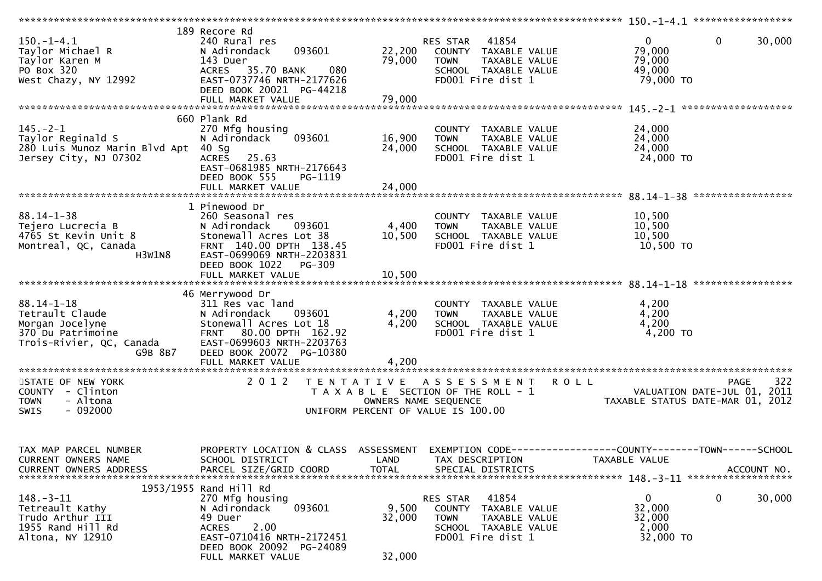| $150.-1-4.1$<br>Taylor Michael R<br>Taylor Karen M<br>PO Box 320<br>West Chazy, NY 12992                           | 189 Recore Rd<br>240 Rural res<br>N Adirondack<br>093601<br>143 Duer<br>080<br>35.70 BANK<br>ACRES<br>EAST-0737746 NRTH-2177626<br>DEED BOOK 20021 PG-44218<br>FULL MARKET VALUE            | 22,200<br>79,000<br>79,000 | 41854<br>RES STAR<br>COUNTY TAXABLE VALUE<br>TAXABLE VALUE<br><b>TOWN</b><br>SCHOOL TAXABLE VALUE<br>FD001 Fire dist 1                    | $\mathbf{0}$<br>$\mathbf{0}$<br>30,000<br>79,000<br>79,000<br>49,000<br>79,000 TO              |
|--------------------------------------------------------------------------------------------------------------------|---------------------------------------------------------------------------------------------------------------------------------------------------------------------------------------------|----------------------------|-------------------------------------------------------------------------------------------------------------------------------------------|------------------------------------------------------------------------------------------------|
| $145. - 2 - 1$<br>Taylor Reginald S<br>280 Luis Munoz Marin Blvd Apt<br>Jersey City, NJ 07302                      | 660 Plank Rd<br>270 Mfg housing<br>N Adirondack<br>093601<br>40 Sg<br>ACRES 25.63<br>EAST-0681985 NRTH-2176643<br>DEED BOOK 555<br>PG-1119                                                  | 16,900<br>24,000           | COUNTY TAXABLE VALUE<br>TAXABLE VALUE<br><b>TOWN</b><br>SCHOOL TAXABLE VALUE<br>FD001 Fire dist 1                                         | 24,000<br>24,000<br>24,000<br>24,000 TO                                                        |
| $88.14 - 1 - 38$<br>Tejero Lucrecia B<br>4765 St Kevin Unit 8<br>Montreal, QC, Canada<br>H3W1N8                    | 1 Pinewood Dr<br>260 Seasonal res<br>N Adirondack<br>093601<br>Stonewall Acres Lot 38<br>FRNT 140.00 DPTH 138.45<br>EAST-0699069 NRTH-2203831<br>DEED BOOK 1022 PG-309<br>FULL MARKET VALUE | 4,400<br>10,500<br>10,500  | COUNTY TAXABLE VALUE<br><b>TOWN</b><br>TAXABLE VALUE<br>SCHOOL TAXABLE VALUE<br>FD001 Fire dist 1                                         | 10,500<br>10,500<br>10,500<br>10,500 TO                                                        |
| $88.14 - 1 - 18$<br>Tetrault Claude<br>Morgan Jocelyne<br>370 Du Patrimoine<br>Trois-Rivier, QC, Canada<br>G9B 8B7 | 46 Merrywood Dr<br>311 Res vac land<br>N Adirondack<br>093601<br>Stonewall Acres Lot 18<br>FRNT 80.00 DPTH 162.92<br>EAST-0699603 NRTH-2203763<br>DEED BOOK 20072 PG-10380                  | 4,200<br>4,200<br>4,200    | COUNTY TAXABLE VALUE<br>TAXABLE VALUE<br><b>TOWN</b><br>SCHOOL TAXABLE VALUE<br>FD001 Fire dist 1                                         | 4,200<br>4,200<br>4,200<br>4,200 TO                                                            |
| STATE OF NEW YORK<br>COUNTY - Clinton<br>- Altona<br><b>TOWN</b><br><b>SWIS</b><br>- 092000                        | 2 0 1 2                                                                                                                                                                                     | T E N T A T I V E          | A S S E S S M E N T<br><b>ROLL</b><br>T A X A B L E SECTION OF THE ROLL - 1<br>OWNERS NAME SEQUENCE<br>UNIFORM PERCENT OF VALUE IS 100.00 | 322<br><b>PAGE</b><br>VALUATION DATE-JUL 01,<br>2011<br>TAXABLE STATUS DATE-MAR 01, 2012       |
| TAX MAP PARCEL NUMBER<br>CURRENT OWNERS NAME<br>CURRENT OWNERS ADDRESS                                             | PROPERTY LOCATION & CLASS ASSESSMENT<br>SCHOOL DISTRICT<br>PARCEL SIZE/GRID COORD                                                                                                           | LAND<br><b>TOTAL</b>       | TAX DESCRIPTION<br>SPECIAL DISTRICTS                                                                                                      | EXEMPTION CODE------------------COUNTY--------TOWN------SCHOOL<br>TAXABLE VALUE<br>ACCOUNT NO. |
| $148. - 3 - 11$<br>Tetreault Kathy<br>Trudo Arthur III<br>1955 Rand Hill Rd<br>Altona, NY 12910                    | 1953/1955 Rand Hill Rd<br>270 Mfg housing<br>093601<br>N Adirondack<br>49 Duer<br>2.00<br><b>ACRES</b><br>EAST-0710416 NRTH-2172451<br>DEED BOOK 20092 PG-24089<br>FULL MARKET VALUE        | 9,500<br>32,000<br>32,000  | 41854<br>RES STAR<br><b>COUNTY</b><br>TAXABLE VALUE<br><b>TOWN</b><br>TAXABLE VALUE<br>SCHOOL TAXABLE VALUE<br>FD001 Fire dist 1          | 0<br>0<br>30,000<br>32,000<br>32,000<br>2,000<br>32,000 TO                                     |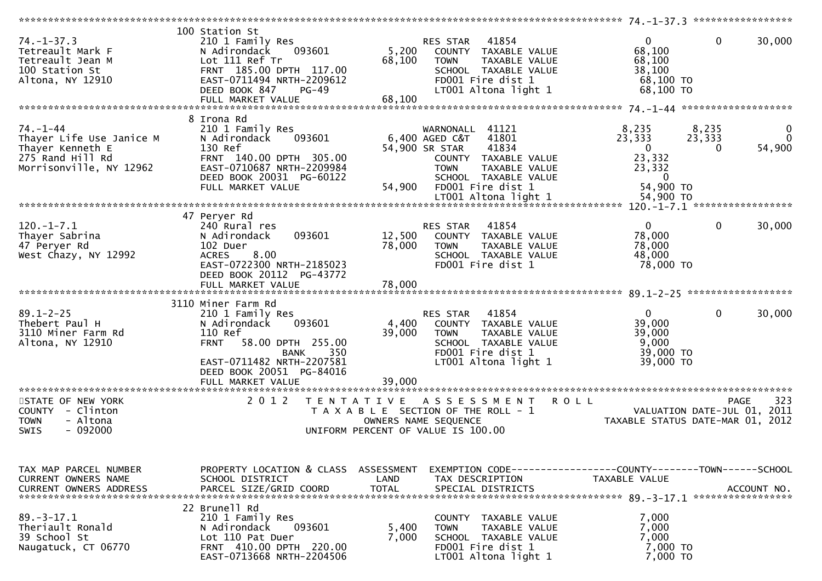| $74. - 1 - 37.3$<br>Tetreault Mark F<br>Tetreault Jean M<br>100 Station St<br>Altona, NY 12910                | 100 Station St<br>210 1 Family Res<br>093601<br>N Adirondack<br>Lot 111 Ref Tr<br>FRNT 185.00 DPTH 117.00<br>EAST-0711494 NRTH-2209612<br>DEED BOOK 847<br>PG-49<br>FULL MARKET VALUE | 5,200<br>68,100<br>68,100                 | 41854<br>RES STAR<br>COUNTY TAXABLE VALUE<br>TAXABLE VALUE<br>TOWN<br>SCHOOL TAXABLE VALUE<br>FD001 Fire dist 1<br>LT001 Altona light 1                                                            | $\mathbf{0}$<br>$\mathbf{0}$<br>30,000<br>68,100<br>68,100<br>38,100<br>68,100 TO<br>68,100 TO                                                  |
|---------------------------------------------------------------------------------------------------------------|---------------------------------------------------------------------------------------------------------------------------------------------------------------------------------------|-------------------------------------------|----------------------------------------------------------------------------------------------------------------------------------------------------------------------------------------------------|-------------------------------------------------------------------------------------------------------------------------------------------------|
|                                                                                                               | 8 Irona Rd                                                                                                                                                                            |                                           |                                                                                                                                                                                                    |                                                                                                                                                 |
| $74. - 1 - 44$<br>Thayer Life Use Janice M<br>Thayer Kenneth E<br>275 Rand Hill Rd<br>Morrisonville, NY 12962 | 210 1 Family Res<br>093601<br>N Adirondack<br>130 Ref<br>FRNT 140.00 DPTH 305.00<br>EAST-0710687 NRTH-2209984<br>DEED BOOK 20031 PG-60122<br>FULL MARKET VALUE                        | 54,900                                    | WARNONALL 41121<br>41801<br>6,400 AGED C&T<br>41834<br>54,900 SR STAR<br>COUNTY TAXABLE VALUE<br><b>TOWN</b><br>TAXABLE VALUE<br>SCHOOL TAXABLE VALUE<br>FD001 Fire dist 1<br>LT001 Altona light 1 | 8,235<br>8,235<br>0<br>23,333<br>23,333<br>$\Omega$<br>54,900<br>$\mathbf 0$<br>0<br>23,332<br>23,332<br>$\mathbf{0}$<br>54,900 TO<br>54,900 TO |
|                                                                                                               |                                                                                                                                                                                       |                                           |                                                                                                                                                                                                    |                                                                                                                                                 |
| $120.-1-7.1$<br>Thayer Sabrina<br>47 Peryer Rd<br>West Chazy, NY 12992                                        | 47 Peryer Rd<br>240 Rural res<br>093601<br>N Adirondack<br>102 Duer<br>8.00<br><b>ACRES</b><br>EAST-0722300 NRTH-2185023<br>DEED BOOK 20112 PG-43772                                  | 12,500<br>78,000                          | RES STAR<br>41854<br>COUNTY TAXABLE VALUE<br><b>TOWN</b><br>TAXABLE VALUE<br>SCHOOL TAXABLE VALUE<br>FD001 Fire dist 1                                                                             | $\mathbf{0}$<br>$\mathbf{0}$<br>30,000<br>78,000<br>78,000<br>48,000<br>78,000 TO                                                               |
|                                                                                                               | FULL MARKET VALUE                                                                                                                                                                     | 78,000                                    |                                                                                                                                                                                                    |                                                                                                                                                 |
|                                                                                                               |                                                                                                                                                                                       |                                           |                                                                                                                                                                                                    |                                                                                                                                                 |
| $89.1 - 2 - 25$<br>Thebert Paul H<br>3110 Miner Farm Rd<br>Altona, NY 12910                                   | 3110 Miner Farm Rd<br>210 1 Family Res<br>093601<br>N Adirondack<br>110 Ref<br>58.00 DPTH 255.00<br><b>FRNT</b><br>350<br><b>BANK</b><br>EAST-0711482 NRTH-2207581                    | 4,400<br>39,000                           | RES STAR 41854<br>COUNTY TAXABLE VALUE<br><b>TOWN</b><br>TAXABLE VALUE<br>SCHOOL TAXABLE VALUE<br>FD001 Fire dist 1<br>LT001 Altona light 1                                                        | $\overline{0}$<br>$\Omega$<br>30,000<br>39,000<br>39,000<br>9,000<br>39,000 TO<br>39,000 TO                                                     |
|                                                                                                               | DEED BOOK 20051 PG-84016<br>FULL MARKET VALUE                                                                                                                                         | 39,000                                    |                                                                                                                                                                                                    |                                                                                                                                                 |
|                                                                                                               |                                                                                                                                                                                       |                                           |                                                                                                                                                                                                    |                                                                                                                                                 |
| STATE OF NEW YORK<br>COUNTY - Clinton<br>- Altona<br><b>TOWN</b><br>$-092000$<br><b>SWIS</b>                  | 2 0 1 2                                                                                                                                                                               | T E N T A T I V E<br>OWNERS NAME SEQUENCE | A S S E S S M E N T R O L L<br>T A X A B L E SECTION OF THE ROLL - 1<br>UNIFORM PERCENT OF VALUE IS 100.00                                                                                         | 323<br><b>PAGE</b><br>VALUATION DATE-JUL 01, 2011<br>TAXABLE STATUS DATE-MAR 01, 2012                                                           |
|                                                                                                               |                                                                                                                                                                                       |                                           |                                                                                                                                                                                                    |                                                                                                                                                 |
| TAX MAP PARCEL NUMBER<br>CURRENT OWNERS NAME<br><b>CURRENT OWNERS ADDRESS</b>                                 | PROPERTY LOCATION & CLASS ASSESSMENT<br>SCHOOL DISTRICT<br>PARCEL SIZE/GRID COORD                                                                                                     | LAND<br><b>TOTAL</b>                      | TAX DESCRIPTION<br>SPECIAL DISTRICTS                                                                                                                                                               | TAXABLE VALUE<br>ACCOUNT NO.                                                                                                                    |
|                                                                                                               | 22 Brunell Rd                                                                                                                                                                         |                                           |                                                                                                                                                                                                    |                                                                                                                                                 |
| $89. - 3 - 17.1$<br>Theriault Ronald<br>39 School St<br>Naugatuck, CT 06770                                   | 210 1 Family Res<br>093601<br>N Adirondack<br>Lot 110 Pat Duer<br>FRNT 410.00 DPTH 220.00<br>EAST-0713668 NRTH-2204506                                                                | 5,400<br>7,000                            | COUNTY TAXABLE VALUE<br>TOWN<br>TAXABLE VALUE<br>SCHOOL TAXABLE VALUE<br>FD001 Fire dist 1<br>LT001 Altona light 1                                                                                 | 7,000<br>7,000<br>7,000<br>7,000 TO<br>7,000 TO                                                                                                 |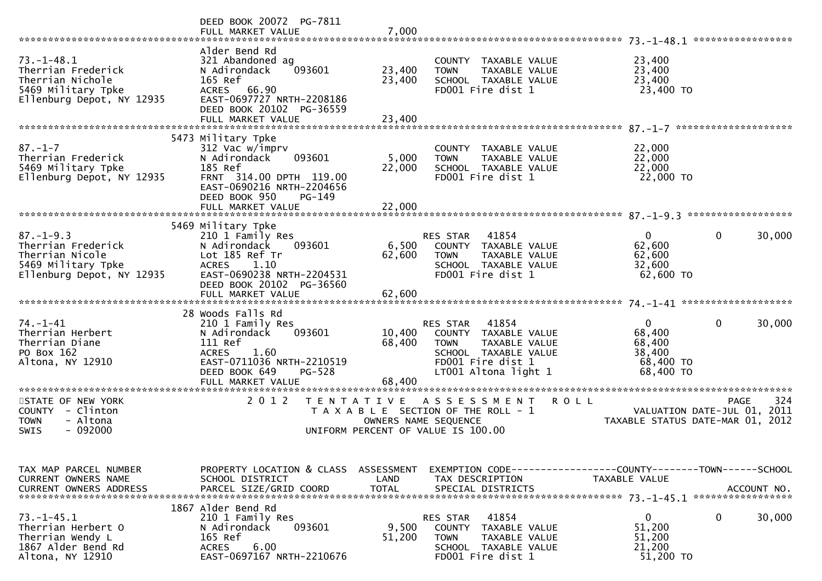|                                                                                                               | DEED BOOK 20072 PG-7811<br>FULL MARKET VALUE                                                                                                                        | 7,000                              |                                                                                                                                                |                                                                        | *****************                                                                     |
|---------------------------------------------------------------------------------------------------------------|---------------------------------------------------------------------------------------------------------------------------------------------------------------------|------------------------------------|------------------------------------------------------------------------------------------------------------------------------------------------|------------------------------------------------------------------------|---------------------------------------------------------------------------------------|
| $73. - 1 - 48.1$<br>Therrian Frederick<br>Therrian Nichole<br>5469 Military Tpke<br>Ellenburg Depot, NY 12935 | Alder Bend Rd<br>321 Abandoned ag<br>093601<br>N Adirondack<br>165 Ref<br>ACRES 66.90<br>EAST-0697727 NRTH-2208186<br>DEED BOOK 20102 PG-36559<br>FULL MARKET VALUE | 23,400<br>23,400<br>23,400         | COUNTY TAXABLE VALUE<br>TAXABLE VALUE<br><b>TOWN</b><br>SCHOOL TAXABLE VALUE<br>FD001 Fire dist 1                                              | 23,400<br>23,400<br>23,400<br>23,400 TO                                |                                                                                       |
|                                                                                                               |                                                                                                                                                                     |                                    |                                                                                                                                                |                                                                        |                                                                                       |
| $87. - 1 - 7$<br>Therrian Frederick<br>5469 Military Tpke<br>Ellenburg Depot, NY 12935                        | 5473 Military Tpke<br>312 Vac w/imprv<br>N Adirondack<br>093601<br>185 Ref<br>FRNT 314.00 DPTH 119.00<br>EAST-0690216 NRTH-2204656<br>DEED BOOK 950<br>PG-149       | 5,000<br>22,000                    | COUNTY TAXABLE VALUE<br><b>TOWN</b><br>TAXABLE VALUE<br>SCHOOL TAXABLE VALUE<br>FD001 Fire dist 1                                              | 22,000<br>22,000<br>22,000<br>22,000 TO                                |                                                                                       |
|                                                                                                               | FULL MARKET VALUE                                                                                                                                                   | 22,000                             |                                                                                                                                                |                                                                        |                                                                                       |
|                                                                                                               | 5469 Military Tpke                                                                                                                                                  |                                    |                                                                                                                                                |                                                                        |                                                                                       |
| $87. - 1 - 9.3$<br>Therrian Frederick<br>Therrian Nicole<br>5469 Military Tpke<br>Ellenburg Depot, NY 12935   | 210 1 Family Res<br>N Adirondack<br>093601<br>Lot 185 Ref Tr<br><b>ACRES</b><br>1.10<br>EAST-0690238 NRTH-2204531<br>DEED BOOK 20102 PG-36560<br>FULL MARKET VALUE  | 6,500<br>62,600<br>62,600          | 41854<br>RES STAR<br>COUNTY TAXABLE VALUE<br><b>TOWN</b><br><b>TAXABLE VALUE</b><br>SCHOOL TAXABLE VALUE<br>FD001 Fire dist 1                  | $\mathbf{0}$<br>62,600<br>62,600<br>32,600<br>62,600 TO                | 30,000<br>0                                                                           |
|                                                                                                               |                                                                                                                                                                     |                                    |                                                                                                                                                |                                                                        |                                                                                       |
| $74. - 1 - 41$<br>Therrian Herbert<br>Therrian Diane<br>PO Box 162<br>Altona, NY 12910                        | 28 Woods Falls Rd<br>210 1 Family Res<br>N Adirondack<br>093601<br>111 Ref<br>1.60<br><b>ACRES</b><br>EAST-0711036 NRTH-2210519<br>DEED BOOK 649<br>PG-528          | 10,400<br>68,400                   | 41854<br>RES STAR<br>COUNTY TAXABLE VALUE<br>TAXABLE VALUE<br><b>TOWN</b><br>SCHOOL TAXABLE VALUE<br>FD001 Fire dist 1<br>LT001 Altona light 1 | $\overline{0}$<br>68,400<br>68,400<br>38,400<br>68,400 TO<br>68,400 TO | $\mathbf{0}$<br>30,000                                                                |
|                                                                                                               | FULL MARKET VALUE                                                                                                                                                   | 68,400                             |                                                                                                                                                |                                                                        |                                                                                       |
| STATE OF NEW YORK<br>COUNTY - Clinton<br>- Altona<br><b>TOWN</b><br>$-092000$<br><b>SWIS</b>                  | 2 0 1 2                                                                                                                                                             | T E N T A T I V E                  | A S S E S S M E N T<br>T A X A B L E SECTION OF THE ROLL - 1<br>OWNERS NAME SEQUENCE<br>UNIFORM PERCENT OF VALUE IS 100.00                     | <b>ROLL</b>                                                            | 324<br><b>PAGE</b><br>VALUATION DATE-JUL 01, 2011<br>TAXABLE STATUS DATE-MAR 01, 2012 |
|                                                                                                               |                                                                                                                                                                     |                                    |                                                                                                                                                |                                                                        |                                                                                       |
| TAX MAP PARCEL NUMBER<br>CURRENT OWNERS NAME<br><b>CURRENT OWNERS ADDRESS</b>                                 | PROPERTY LOCATION & CLASS<br>SCHOOL DISTRICT<br>PARCEL SIZE/GRID COORD                                                                                              | ASSESSMENT<br>LAND<br><b>TOTAL</b> | EXEMPTION        CODE-----------------COUNTY-------TOWN------SCHOOL<br>TAX DESCRIPTION<br>SPECIAL DISTRICTS                                    | TAXABLE VALUE                                                          | ACCOUNT NO.                                                                           |
| $73. - 1 - 45.1$<br>Therrian Herbert O<br>Therrian Wendy L<br>1867 Alder Bend Rd<br>Altona, NY 12910          | 1867 Alder Bend Rd<br>210 1 Family Res<br>093601<br>N Adirondack<br>165 Ref<br>6.00<br><b>ACRES</b><br>EAST-0697167 NRTH-2210676                                    | 9,500<br>51,200                    | 41854<br>RES STAR<br><b>COUNTY</b><br>TAXABLE VALUE<br><b>TOWN</b><br>TAXABLE VALUE<br>SCHOOL TAXABLE VALUE<br>FD001 Fire dist 1               | $\mathbf{0}$<br>51,200<br>51,200<br>21,200<br>51,200 TO                | 0<br>30,000                                                                           |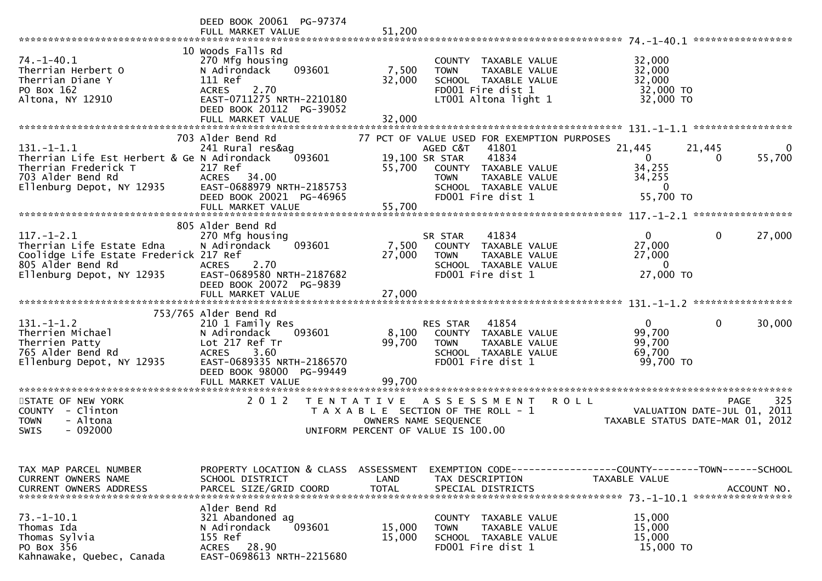|                                                                                                                                           | DEED BOOK 20061 PG-97374<br>FULL MARKET VALUE                                                                                                                                   | 51,200                             |                                                                                                                                                                                                  |                                                                                |                                  |
|-------------------------------------------------------------------------------------------------------------------------------------------|---------------------------------------------------------------------------------------------------------------------------------------------------------------------------------|------------------------------------|--------------------------------------------------------------------------------------------------------------------------------------------------------------------------------------------------|--------------------------------------------------------------------------------|----------------------------------|
| $74. - 1 - 40.1$<br>Therrian Herbert O<br>Therrian Diane Y<br>PO Box 162<br>Altona, NY 12910                                              | 10 Woods Falls Rd<br>270 Mfg housing<br>N Adirondack<br>093601<br>111 Ref<br>2.70<br><b>ACRES</b><br>EAST-0711275 NRTH-2210180<br>DEED BOOK 20112 PG-39052<br>FULL MARKET VALUE | 7,500<br>32,000<br>32,000          | COUNTY TAXABLE VALUE<br>TAXABLE VALUE<br><b>TOWN</b><br>SCHOOL TAXABLE VALUE<br>FD001 Fire dist 1<br>LT001 Altona light 1                                                                        | 32,000<br>32,000<br>32,000<br>32,000 TO<br>32,000 TO                           |                                  |
|                                                                                                                                           |                                                                                                                                                                                 |                                    |                                                                                                                                                                                                  |                                                                                |                                  |
| $131. - 1 - 1.1$<br>Therrian Life Est Herbert & Ge N Adirondack<br>Therrian Frederick T<br>703 Alder Bend Rd<br>Ellenburg Depot, NY 12935 | 703 Alder Bend Rd<br>241 Rural res&ag<br>093601<br>217 Ref<br>ACRES 34.00<br>EAST-0688979 NRTH-2185753<br>DEED BOOK 20021 PG-46965<br>FULL MARKET VALUE                         | 55,700<br>55,700                   | 77 PCT OF VALUE USED FOR EXEMPTION PURPOSES<br>AGED C&T<br>41801<br>19,100 SR STAR<br>41834<br>COUNTY TAXABLE VALUE<br><b>TOWN</b><br>TAXABLE VALUE<br>SCHOOL TAXABLE VALUE<br>FD001 Fire dist 1 | 21,445<br>$\mathbf{0}$<br>34,255<br>34,255<br>$\mathbf{0}$<br>55,700 TO        | 21,445<br>0<br>55,700<br>0       |
|                                                                                                                                           |                                                                                                                                                                                 |                                    |                                                                                                                                                                                                  |                                                                                |                                  |
| $117. - 1 - 2.1$<br>Therrian Life Estate Edna<br>Coolidge Life Estate Frederick 217 Ref<br>805 Alder Bend Rd<br>Ellenburg Depot, NY 12935 | 805 Alder Bend Rd<br>270 Mfg housing<br>093601<br>N Adirondack<br>2.70<br><b>ACRES</b><br>EAST-0689580 NRTH-2187682<br>DEED BOOK 20072 PG-9839                                  | 7,500<br>27,000                    | 41834<br>SR STAR<br>COUNTY TAXABLE VALUE<br>TAXABLE VALUE<br><b>TOWN</b><br>SCHOOL TAXABLE VALUE<br>FD001 Fire dist 1                                                                            | $\mathbf{0}$<br>27,000<br>27,000<br>$\mathbf{0}$<br>27,000 TO                  | $\Omega$<br>27,000               |
|                                                                                                                                           |                                                                                                                                                                                 |                                    |                                                                                                                                                                                                  |                                                                                |                                  |
| $131.-1-1.2$<br>Therrien Michael<br>Therrien Patty<br>765 Alder Bend Rd<br>Ellenburg Depot, NY 12935                                      | 753/765 Alder Bend Rd<br>210 1 Family Res<br>N Adirondack<br>093601<br>Lot 217 Ref Tr<br>3.60<br><b>ACRES</b><br>EAST-0689335 NRTH-2186570<br>DEED BOOK 98000 PG-99449          | 8,100<br>99,700                    | 41854<br>RES STAR<br>COUNTY TAXABLE VALUE<br><b>TOWN</b><br>TAXABLE VALUE<br>SCHOOL TAXABLE VALUE<br>FD001 Fire dist 1                                                                           | $\mathbf{0}$<br>99,700<br>99,700<br>69,700<br>99,700 TO                        | $\mathbf{0}$<br>30,000           |
|                                                                                                                                           | FULL MARKET VALUE                                                                                                                                                               | 99,700                             |                                                                                                                                                                                                  |                                                                                |                                  |
| STATE OF NEW YORK<br>COUNTY - Clinton<br>- Altona<br><b>TOWN</b><br>$-092000$<br>SWIS                                                     | 2 0 1 2<br>T E N T A T I V E                                                                                                                                                    | OWNERS NAME SEQUENCE               | ***********************<br>A S S E S S M E N T<br>T A X A B L E SECTION OF THE ROLL - 1<br>UNIFORM PERCENT OF VALUE IS 100.00                                                                    | <b>ROLL</b><br>VALUATION DATE-JUL 01, 2011<br>TAXABLE STATUS DATE-MAR 01, 2012 | 325<br><b>PAGE</b>               |
| TAX MAP PARCEL NUMBER<br>CURRENT OWNERS NAME<br><b>CURRENT OWNERS ADDRESS</b>                                                             | PROPERTY LOCATION & CLASS<br>SCHOOL DISTRICT<br>PARCEL SIZE/GRID COORD                                                                                                          | ASSESSMENT<br>LAND<br><b>TOTAL</b> | EXEMPTION CODE------------------COUNTY--------TOWN------SCHOOL<br>TAX DESCRIPTION<br>SPECIAL DISTRICTS                                                                                           | TAXABLE VALUE                                                                  | ACCOUNT NO.<br>***************** |
| $73. - 1 - 10.1$<br>Thomas Ida<br>Thomas Sylvia<br>PO Box 356<br>Kahnawake, Quebec, Canada                                                | Alder Bend Rd<br>321 Abandoned ag<br>093601<br>N Adirondack<br>155 Ref<br>ACRES 28.90<br>EAST-0698613 NRTH-2215680                                                              | 15,000<br>15,000                   | COUNTY TAXABLE VALUE<br>TAXABLE VALUE<br><b>TOWN</b><br>SCHOOL TAXABLE VALUE<br>FD001 Fire dist 1                                                                                                | 15,000<br>15,000<br>15,000<br>15,000 TO                                        |                                  |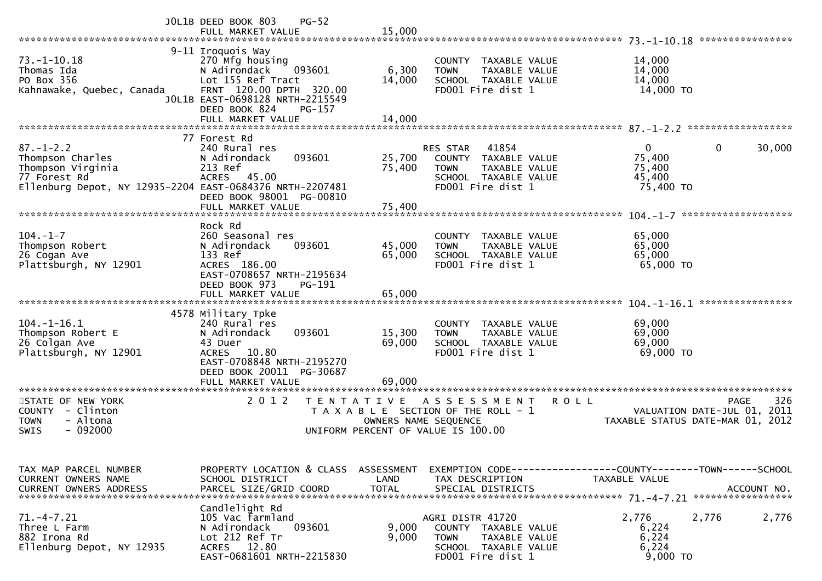|                                                                                                                                      | JOL1B DEED BOOK 803<br>$PG-52$<br>FULL MARKET VALUE                                                                                                                                               | 15,000                     |                                                                                                                               | 73. -1-10.18 *****************                                                                       |
|--------------------------------------------------------------------------------------------------------------------------------------|---------------------------------------------------------------------------------------------------------------------------------------------------------------------------------------------------|----------------------------|-------------------------------------------------------------------------------------------------------------------------------|------------------------------------------------------------------------------------------------------|
| $73. - 1 - 10.18$<br>Thomas Ida<br>PO Box 356<br>Kahnawake, Quebec, Canada                                                           | 9-11 Iroquois Way<br>270 Mfg housing<br>093601<br>N Adirondack<br>Lot 155 Ref Tract<br>FRNT 120.00 DPTH 320.00<br>JOL1B EAST-0698128 NRTH-2215549<br>DEED BOOK 824<br>PG-157<br>FULL MARKET VALUE | 6,300<br>14,000<br>14,000  | <b>COUNTY</b><br>TAXABLE VALUE<br><b>TOWN</b><br>TAXABLE VALUE<br>SCHOOL TAXABLE VALUE<br>FD001 Fire dist 1                   | 14,000<br>14,000<br>14,000<br>14,000 TO                                                              |
|                                                                                                                                      |                                                                                                                                                                                                   |                            |                                                                                                                               |                                                                                                      |
| $87. - 1 - 2.2$<br>Thompson Charles<br>Thompson Virginia<br>77 Forest Rd<br>Ellenburg Depot, NY 12935-2204 EAST-0684376 NRTH-2207481 | 77 Forest Rd<br>240 Rural res<br>093601<br>N Adirondack<br>213 Ref<br><b>ACRES</b><br>45.00<br>DEED BOOK 98001 PG-00810<br>FULL MARKET VALUE                                                      | 25,700<br>75,400<br>75,400 | 41854<br><b>RES STAR</b><br>COUNTY TAXABLE VALUE<br><b>TOWN</b><br>TAXABLE VALUE<br>SCHOOL TAXABLE VALUE<br>FD001 Fire dist 1 | 0<br>30,000<br>0<br>75,400<br>75,400<br>45,400<br>75,400 TO                                          |
|                                                                                                                                      |                                                                                                                                                                                                   |                            |                                                                                                                               | ******************                                                                                   |
| $104. - 1 - 7$<br>Thompson Robert<br>26 Cogan Ave<br>Plattsburgh, NY 12901                                                           | Rock Rd<br>260 Seasonal res<br>N Adirondack<br>093601<br>133 Ref<br>ACRES 186.00<br>EAST-0708657 NRTH-2195634<br>DEED BOOK 973<br>PG-191                                                          | 45,000<br>65,000           | TAXABLE VALUE<br><b>COUNTY</b><br>TAXABLE VALUE<br><b>TOWN</b><br>SCHOOL TAXABLE VALUE<br>FD001 Fire dist 1                   | 65,000<br>65,000<br>65,000<br>65,000 TO                                                              |
|                                                                                                                                      | FULL MARKET VALUE                                                                                                                                                                                 | 65,000                     |                                                                                                                               | ****************                                                                                     |
| $104. - 1 - 16.1$<br>Thompson Robert E<br>26 Colgan Ave<br>Plattsburgh, NY 12901                                                     | 4578 Military Tpke<br>240 Rural res<br>N Adirondack<br>093601<br>43 Duer<br>10.80<br><b>ACRES</b><br>EAST-0708848 NRTH-2195270<br>DEED BOOK 20011 PG-30687                                        | 15,300<br>69,000           | <b>COUNTY</b><br>TAXABLE VALUE<br>TAXABLE VALUE<br><b>TOWN</b><br>SCHOOL TAXABLE VALUE<br>FD001 Fire dist 1                   | 69,000<br>69,000<br>69,000<br>69,000 TO                                                              |
| *********************                                                                                                                | FULL MARKET VALUE                                                                                                                                                                                 | 69,000                     |                                                                                                                               |                                                                                                      |
| STATE OF NEW YORK<br><b>COUNTY</b><br>- Clinton<br>- Altona<br><b>TOWN</b><br>$-092000$<br><b>SWIS</b>                               | 2 0 1 2<br>T E N T A T I V E                                                                                                                                                                      | OWNERS NAME SEQUENCE       | A S S E S S M E N T<br>T A X A B L E SECTION OF THE ROLL - 1<br>UNIFORM PERCENT OF VALUE IS 100.00                            | 326<br><b>PAGE</b><br><b>ROLL</b><br>VALUATION DATE-JUL 01, 2011<br>TAXABLE STATUS DATE-MAR 01, 2012 |
| TAX MAP PARCEL NUMBER<br>CURRENT OWNERS NAME<br><b>CURRENT OWNERS ADDRESS</b>                                                        | PROPERTY LOCATION & CLASS ASSESSMENT<br>SCHOOL DISTRICT<br>PARCEL SIZE/GRID COORD                                                                                                                 | LAND<br><b>TOTAL</b>       | TAX DESCRIPTION<br>SPECIAL DISTRICTS                                                                                          | EXEMPTION CODE-----------------COUNTY-------TOWN------SCHOOL<br>TAXABLE VALUE<br>ACCOUNT NO.         |
| $71. -4 - 7.21$<br>Three L Farm<br>882 Irona Rd<br>Ellenburg Depot, NY 12935                                                         | Candlelight Rd<br>105 Vac farmland<br>093601<br>N Adirondack<br>Lot 212 Ref Tr<br>ACRES 12.80<br>EAST-0681601 NRTH-2215830                                                                        | 9,000<br>9,000             | AGRI DISTR 41720<br>COUNTY TAXABLE VALUE<br><b>TOWN</b><br>TAXABLE VALUE<br>SCHOOL TAXABLE VALUE<br>FD001 Fire dist 1         | 2,776<br>2,776<br>2,776<br>6,224<br>6,224<br>6,224<br>9,000 TO                                       |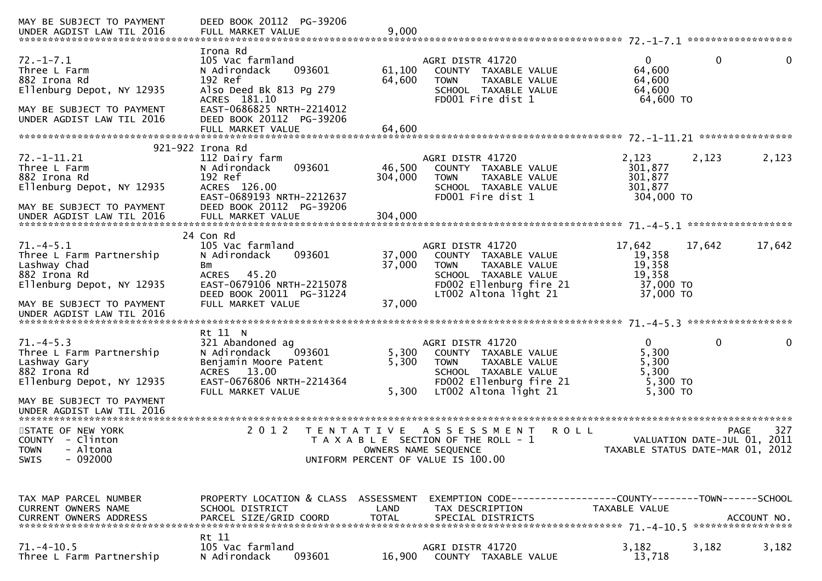| MAY BE SUBJECT TO PAYMENT                                                                                                              | DEED BOOK 20112 PG-39206                                                                                                                                              |                         |                                                                                                                                                      |                                                             |                                                                                       |
|----------------------------------------------------------------------------------------------------------------------------------------|-----------------------------------------------------------------------------------------------------------------------------------------------------------------------|-------------------------|------------------------------------------------------------------------------------------------------------------------------------------------------|-------------------------------------------------------------|---------------------------------------------------------------------------------------|
| $72. - 1 - 7.1$<br>Three L Farm<br>882 Irona Rd<br>Ellenburg Depot, NY 12935<br>MAY BE SUBJECT TO PAYMENT<br>UNDER AGDIST LAW TIL 2016 | Irona Rd<br>105 Vac farmland<br>093601<br>N Adirondack<br>192 Ref<br>Also Deed Bk 813 Pg 279<br>ACRES 181.10<br>EAST-0686825 NRTH-2214012<br>DEED BOOK 20112 PG-39206 | 61,100<br>64,600        | AGRI DISTR 41720<br>COUNTY TAXABLE VALUE<br>TAXABLE VALUE<br><b>TOWN</b><br>SCHOOL TAXABLE VALUE<br>FD001 Fire dist 1                                | $\overline{0}$<br>64,600<br>64,600<br>64,600<br>64,600 TO   | $\mathbf 0$<br>$\mathbf 0$                                                            |
|                                                                                                                                        | FULL MARKET VALUE                                                                                                                                                     | 64,600                  |                                                                                                                                                      |                                                             |                                                                                       |
| 72. -1-11.21<br>Three L Farm<br>882 Irona Rd<br>Ellenburg Depot, NY 12935<br>MAY BE SUBJECT TO PAYMENT                                 | 921-922 Irona Rd<br>112 Dairy farm<br>N Adirondack<br>093601<br>192 Ref<br>ACRES 126.00<br>EAST-0689193 NRTH-2212637<br>DEED BOOK 20112 PG-39206                      | 46,500<br>304,000       | AGRI DISTR 41720<br>COUNTY TAXABLE VALUE<br>TAXABLE VALUE<br><b>TOWN</b><br>SCHOOL TAXABLE VALUE<br>FD001 Fire dist 1                                | 2,123<br>301,877<br>301,877<br>301,877<br>304,000 TO        | 2,123<br>2,123                                                                        |
| UNDER AGDIST LAW TIL 2016                                                                                                              | FULL MARKET VALUE                                                                                                                                                     | 304,000                 |                                                                                                                                                      |                                                             |                                                                                       |
| $71. -4 - 5.1$<br>Three L Farm Partnership<br>Lashway Chad<br>882 Irona Rd                                                             | 24 Con Rd<br>105 Vac farmland<br>N Adirondack<br>093601<br>Bm<br>ACRES 45.20                                                                                          | 37,000<br>37,000        | AGRI DISTR 41720<br>COUNTY TAXABLE VALUE<br>TAXABLE VALUE<br><b>TOWN</b><br>SCHOOL TAXABLE VALUE                                                     | 17,642<br>19,358<br>19,358<br>19,358                        | 17,642<br>17,642                                                                      |
| Ellenburg Depot, NY 12935<br>MAY BE SUBJECT TO PAYMENT<br>UNDER AGDIST LAW TIL 2016                                                    | EAST-0679106 NRTH-2215078<br>DEED BOOK 20011 PG-31224<br>FULL MARKET VALUE                                                                                            | 37,000                  | FD002 Ellenburg fire 21<br>LT002 Altona light 21                                                                                                     | 37,000 TO<br>37,000 TO                                      |                                                                                       |
|                                                                                                                                        | Rt 11 N                                                                                                                                                               |                         |                                                                                                                                                      |                                                             |                                                                                       |
| $71. -4 - 5.3$<br>Three L Farm Partnership<br>Lashway Gary<br>882 Irona Rd<br>Ellenburg Depot, NY 12935                                | 321 Abandoned ag<br>093601<br>N Adirondack<br>Benjamin Moore Patent<br>ACRES 13.00<br>EAST-0676806 NRTH-2214364<br>FULL MARKET VALUE                                  | 5,300<br>5,300<br>5,300 | AGRI DISTR 41720<br>COUNTY TAXABLE VALUE<br><b>TOWN</b><br>TAXABLE VALUE<br>SCHOOL TAXABLE VALUE<br>FD002 Ellenburg fire 21<br>LT002 Altona light 21 | $\Omega$<br>5,300<br>5,300<br>5,300<br>5,300 TO<br>5,300 TO | $\mathbf 0$<br>0                                                                      |
| MAY BE SUBJECT TO PAYMENT<br>UNDER AGDIST LAW TIL 2016                                                                                 |                                                                                                                                                                       |                         |                                                                                                                                                      |                                                             |                                                                                       |
| STATE OF NEW YORK<br>COUNTY - Clinton<br><b>TOWN</b><br>- Altona<br>$-092000$<br>SWIS                                                  | 2 0 1 2                                                                                                                                                               | T E N T A T I V E       | A S S E S S M E N T<br><b>ROLL</b><br>T A X A B L E SECTION OF THE ROLL - 1<br>OWNERS NAME SEQUENCE<br>UNIFORM PERCENT OF VALUE IS 100.00            |                                                             | 327<br><b>PAGE</b><br>VALUATION DATE-JUL 01, 2011<br>TAXABLE STATUS DATE-MAR 01, 2012 |
| TAX MAP PARCEL NUMBER<br>CURRENT OWNERS NAME                                                                                           | PROPERTY LOCATION & CLASS ASSESSMENT<br>SCHOOL DISTRICT                                                                                                               | LAND                    | EXEMPTION CODE-----------------COUNTY-------TOWN------SCHOOL<br>TAX DESCRIPTION                                                                      | TAXABLE VALUE                                               |                                                                                       |
| $71.-4-10.5$<br>Three L Farm Partnership                                                                                               | Rt 11<br>105 Vac farmland<br>093601<br>N Adirondack                                                                                                                   | 16,900                  | AGRI DISTR 41720<br>COUNTY TAXABLE VALUE                                                                                                             | 3,182<br>13,718                                             | 3,182<br>3,182                                                                        |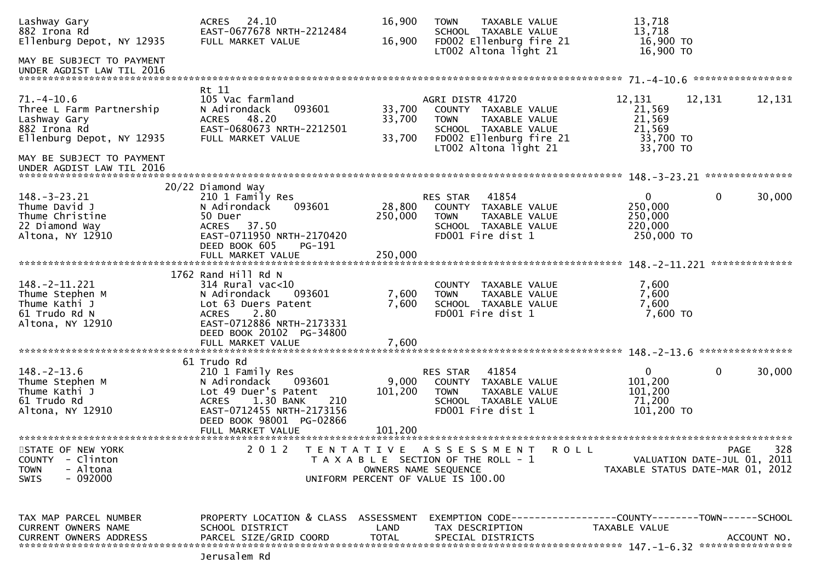| Lashway Gary<br>882 Irona Rd                           | ACRES 24.10<br>EAST-0677678 NRTH-2212484            | 16,900<br>16,900     | TAXABLE VALUE<br><b>TOWN</b><br>SCHOOL TAXABLE VALUE                | 13,718<br>13,718<br>16,900 TO    |                   |
|--------------------------------------------------------|-----------------------------------------------------|----------------------|---------------------------------------------------------------------|----------------------------------|-------------------|
| Ellenburg Depot, NY 12935<br>MAY BE SUBJECT TO PAYMENT | FULL MARKET VALUE                                   |                      | FD002 Ellenburg fire 21<br>LT002 Altona light 21                    | 16,900 TO                        |                   |
| UNDER AGDIST LAW TIL 2016                              |                                                     |                      |                                                                     |                                  | ***************** |
| $71. - 4 - 10.6$<br>Three L Farm Partnership           | Rt 11<br>105 Vac farmland<br>093601<br>N Adirondack | 33,700               | AGRI DISTR 41720<br>COUNTY TAXABLE VALUE                            | 12,131<br>12,131<br>21,569       | 12,131            |
| Lashway Gary<br>882 Irona Rd                           | ACRES 48.20<br>EAST-0680673 NRTH-2212501            | 33,700               | TAXABLE VALUE<br><b>TOWN</b><br>SCHOOL TAXABLE VALUE                | 21,569<br>21,569                 |                   |
| Ellenburg Depot, NY 12935                              | FULL MARKET VALUE                                   | 33,700               | FD002 Ellenburg fire 21<br>LT002 Altona light 21                    | 33,700 TO<br>33,700 TO           |                   |
| MAY BE SUBJECT TO PAYMENT<br>UNDER AGDIST LAW TIL 2016 |                                                     |                      |                                                                     |                                  | ***************   |
|                                                        | 20/22 Diamond Way                                   |                      |                                                                     |                                  |                   |
| $148. - 3 - 23.21$                                     | 210 1 Family Res<br>093601                          |                      | 41854<br>RES STAR                                                   | $\overline{0}$<br>$\mathbf 0$    | 30,000            |
| Thume David J<br>Thume Christine                       | N Adirondack<br>50 Duer                             | 28,800<br>250,000    | COUNTY TAXABLE VALUE<br><b>TOWN</b><br>TAXABLE VALUE                | 250,000<br>250,000               |                   |
| 22 Diamond Way                                         | ACRES 37.50                                         |                      | SCHOOL TAXABLE VALUE                                                | 220,000                          |                   |
| Altona, NY 12910                                       | EAST-0711950 NRTH-2170420                           |                      | FD001 Fire dist 1                                                   | 250,000 TO                       |                   |
|                                                        | DEED BOOK 605<br>PG-191                             |                      |                                                                     |                                  |                   |
|                                                        | FULL MARKET VALUE                                   | 250,000              |                                                                     |                                  | **************    |
|                                                        | 1762 Rand Hill Rd N                                 |                      |                                                                     |                                  |                   |
| $148. - 2 - 11.221$                                    | $314$ Rural vac<10                                  |                      | COUNTY TAXABLE VALUE                                                | 7,600                            |                   |
| Thume Stephen M                                        | N Adirondack<br>093601                              | 7,600                | <b>TOWN</b><br>TAXABLE VALUE                                        | 7,600                            |                   |
| Thume Kathi J                                          | Lot 63 Duers Patent                                 | 7,600                | SCHOOL TAXABLE VALUE                                                | 7,600                            |                   |
| 61 Trudo Rd N                                          | 2.80<br><b>ACRES</b>                                |                      | FD001 Fire dist 1                                                   | 7,600 TO                         |                   |
| Altona, NY 12910                                       | EAST-0712886 NRTH-2173331                           |                      |                                                                     |                                  |                   |
|                                                        | DEED BOOK 20102 PG-34800                            |                      |                                                                     |                                  |                   |
|                                                        | FULL MARKET VALUE                                   | 7,600                |                                                                     |                                  | ****************  |
|                                                        | 61 Trudo Rd                                         |                      |                                                                     |                                  |                   |
| $148. - 2 - 13.6$                                      | 210 1 Family Res                                    |                      | 41854<br>RES STAR                                                   | $\mathbf{0}$<br>$\mathbf 0$      | 30,000            |
| Thume Stephen M                                        | N Adirondack<br>093601                              | 9,000                | COUNTY TAXABLE VALUE                                                | 101,200                          |                   |
| Thume Kathi J                                          | Lot 49 Duer's Patent                                | 101,200              | <b>TOWN</b><br>TAXABLE VALUE                                        | 101,200                          |                   |
| 61 Trudo Rd                                            | 1.30 BANK<br>210<br><b>ACRES</b>                    |                      | SCHOOL TAXABLE VALUE                                                | 71,200                           |                   |
| Altona, NY 12910                                       | EAST-0712455 NRTH-2173156                           |                      | FD001 Fire dist 1                                                   | $101,200$ TO                     |                   |
|                                                        | DEED BOOK 98001 PG-02866                            |                      |                                                                     |                                  |                   |
|                                                        |                                                     |                      |                                                                     |                                  |                   |
| STATE OF NEW YORK                                      | 2 0 1 2                                             |                      | TENTATIVE ASSESSMENT<br>R O L L                                     |                                  | 328<br>PAGE       |
| - Clinton<br><b>COUNTY</b>                             |                                                     |                      | T A X A B L E SECTION OF THE ROLL - 1                               | VALUATION DATE-JUL 01, 2011      |                   |
| - Altona<br><b>TOWN</b>                                |                                                     | OWNERS NAME SEQUENCE |                                                                     | TAXABLE STATUS DATE-MAR 01, 2012 |                   |
| - 092000<br><b>SWIS</b>                                |                                                     |                      | UNIFORM PERCENT OF VALUE IS 100.00                                  |                                  |                   |
|                                                        |                                                     |                      |                                                                     |                                  |                   |
| TAX MAP PARCEL NUMBER                                  | PROPERTY LOCATION & CLASS ASSESSMENT                |                      | EXEMPTION        CODE-----------------COUNTY-------TOWN------SCHOOL |                                  |                   |
| <b>CURRENT OWNERS NAME</b>                             | SCHOOL DISTRICT                                     | LAND                 | TAX DESCRIPTION                                                     | TAXABLE VALUE                    |                   |
| <b>CURRENT OWNERS ADDRESS</b>                          | PARCEL SIZE/GRID COORD                              | <b>TOTAL</b>         | SPECIAL DISTRICTS                                                   |                                  | ACCOUNT NO.       |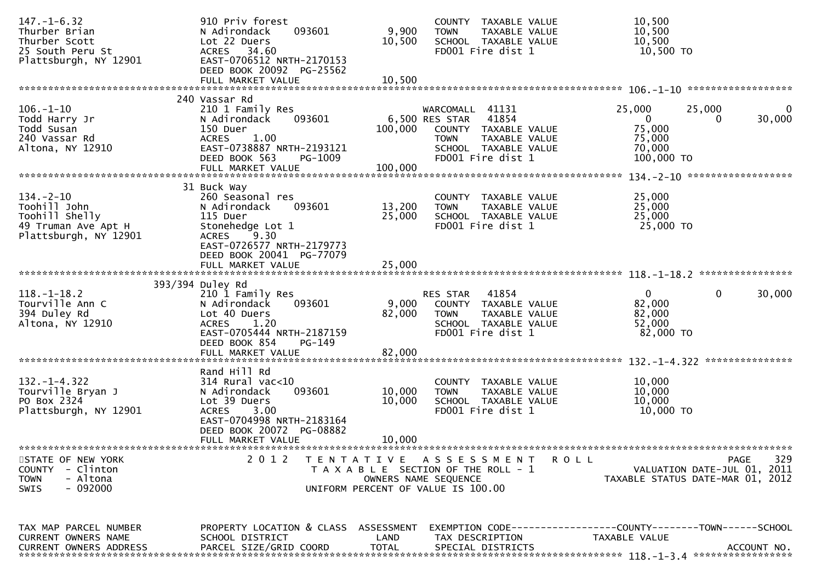| $147. - 1 - 6.32$<br>Thurber Brian                         | 910 Priv forest<br>093601<br>N Adirondack                                            | 9,900                | COUNTY TAXABLE VALUE<br>TAXABLE VALUE<br><b>TOWN</b>                     | 10,500<br>10,500                                                              |
|------------------------------------------------------------|--------------------------------------------------------------------------------------|----------------------|--------------------------------------------------------------------------|-------------------------------------------------------------------------------|
| Thurber Scott<br>25 South Peru St<br>Plattsburgh, NY 12901 | Lot 22 Duers<br>ACRES 34.60<br>EAST-0706512 NRTH-2170153<br>DEED BOOK 20092 PG-25562 | 10,500               | SCHOOL TAXABLE VALUE<br>FD001 Fire dist 1                                | 10,500<br>10,500 TO                                                           |
|                                                            | FULL MARKET VALUE                                                                    | 10,500               |                                                                          |                                                                               |
| $106. - 1 - 10$                                            | 240 Vassar Rd<br>210 1 Family Res                                                    |                      | WARCOMALL 41131                                                          | 25,000<br>25,000<br>$\Omega$                                                  |
| Todd Harry Jr<br>Todd Susan                                | 093601<br>N Adirondack<br>150 Duer                                                   | 100,000              | 41854<br>6,500 RES STAR<br>COUNTY TAXABLE VALUE                          | $\mathbf{0}$<br>30,000<br>75,000                                              |
| 240 Vassar Rd<br>Altona, NY 12910                          | 1.00<br><b>ACRES</b><br>EAST-0738887 NRTH-2193121                                    |                      | TAXABLE VALUE<br><b>TOWN</b><br>SCHOOL TAXABLE VALUE                     | 75,000<br>70,000                                                              |
|                                                            | DEED BOOK 563<br>PG-1009<br>FULL MARKET VALUE                                        | 100,000              | FD001 Fire dist 1                                                        | 100,000 TO                                                                    |
|                                                            | 31 Buck Way                                                                          |                      |                                                                          |                                                                               |
| $134. - 2 - 10$                                            | 260 Seasonal res                                                                     |                      | COUNTY TAXABLE VALUE                                                     | 25,000                                                                        |
| Toohill John<br>Toohill Shelly                             | 093601<br>N Adirondack<br>115 Duer                                                   | 13,200<br>25,000     | <b>TOWN</b><br>TAXABLE VALUE<br>SCHOOL TAXABLE VALUE                     | 25,000<br>25,000                                                              |
| 49 Truman Ave Apt H<br>Plattsburgh, NY 12901               | Stonehedge Lot 1<br><b>ACRES</b><br>9.30                                             |                      | FD001 Fire dist 1                                                        | 25,000 TO                                                                     |
|                                                            | EAST-0726577 NRTH-2179773<br>DEED BOOK 20041 PG-77079                                |                      |                                                                          |                                                                               |
|                                                            | FULL MARKET VALUE                                                                    | 25,000               |                                                                          |                                                                               |
|                                                            | 393/394 Duley Rd                                                                     |                      |                                                                          |                                                                               |
| $118.-1-18.2$<br>Tourville Ann C                           | 210 1 Family Res<br>N Adirondack<br>093601                                           | 9,000                | 41854<br>RES STAR<br>COUNTY TAXABLE VALUE                                | $\overline{0}$<br>$\mathbf{0}$<br>30,000<br>82,000                            |
| 394 Duley Rd<br>Altona, NY 12910                           | Lot 40 Duers<br>1.20<br><b>ACRES</b>                                                 | 82,000               | <b>TOWN</b><br>TAXABLE VALUE<br>SCHOOL TAXABLE VALUE                     | 82,000<br>52,000                                                              |
|                                                            | EAST-0705444 NRTH-2187159<br>DEED BOOK 854<br>PG-149                                 |                      | FD001 Fire dist 1                                                        | 82,000 TO                                                                     |
|                                                            |                                                                                      |                      |                                                                          |                                                                               |
|                                                            | Rand Hill Rd                                                                         |                      |                                                                          |                                                                               |
| $132. - 1 - 4.322$<br>Tourville Bryan J                    | 314 Rural vac<10<br>093601<br>N Adirondack                                           | 10,000               | COUNTY TAXABLE VALUE<br><b>TOWN</b><br>TAXABLE VALUE                     | 10,000<br>10,000                                                              |
| PO Box 2324<br>Plattsburgh, NY 12901                       | Lot 39 Duers<br>3.00<br><b>ACRES</b>                                                 | 10,000               | SCHOOL TAXABLE VALUE<br>FD001 Fire dist 1                                | 10,000<br>10,000 TO                                                           |
|                                                            | EAST-0704998 NRTH-2183164<br>DEED BOOK 20072 PG-08882                                |                      |                                                                          |                                                                               |
|                                                            | FULL MARKET VALUE                                                                    | 10,000               |                                                                          |                                                                               |
| STATE OF NEW YORK<br><b>COUNTY</b><br>- Clinton            | 2 0 1 2                                                                              |                      | TENTATIVE ASSESSMENT<br>R O L L<br>T A X A B L E SECTION OF THE ROLL - 1 | 329<br>PAGE<br>VALUATION DATE-JUL 01, 2011                                    |
| - Altona<br><b>TOWN</b>                                    |                                                                                      | OWNERS NAME SEQUENCE |                                                                          | TAXABLE STATUS DATE-MAR 01, 2012                                              |
| SWIS<br>- 092000                                           |                                                                                      |                      | UNIFORM PERCENT OF VALUE IS 100.00                                       |                                                                               |
|                                                            |                                                                                      |                      |                                                                          |                                                                               |
| TAX MAP PARCEL NUMBER<br>CURRENT OWNERS NAME               | PROPERTY LOCATION & CLASS ASSESSMENT<br>SCHOOL DISTRICT                              | LAND                 | TAX DESCRIPTION                                                          | EXEMPTION CODE-----------------COUNTY-------TOWN------SCHOOL<br>TAXABLE VALUE |
| <b>CURRENT OWNERS ADDRESS</b>                              | PARCEL SIZE/GRID COORD                                                               | <b>TOTAL</b>         | SPECIAL DISTRICTS                                                        | ACCOUNT NO.                                                                   |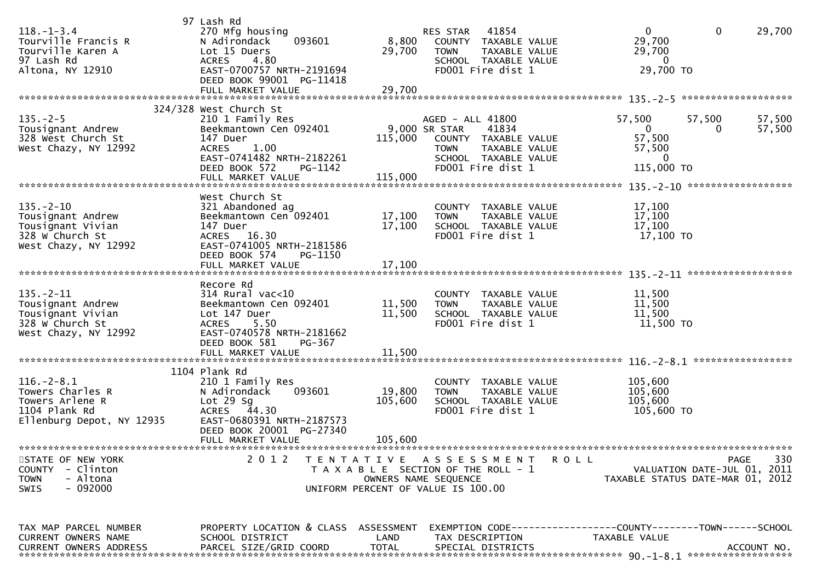| $118. - 1 - 3.4$<br>Tourville Francis R<br>Tourville Karen A<br>97 Lash Rd<br>Altona, NY 12910        | 97 Lash Rd<br>270 Mfg housing<br>093601<br>N Adirondack<br>Lot 15 Duers<br>4.80<br><b>ACRES</b><br>EAST-0700757 NRTH-2191694<br>DEED BOOK 99001 PG-11418          | 8,800<br>29,700      | RES STAR 41854<br>COUNTY TAXABLE VALUE<br><b>TOWN</b><br>TAXABLE VALUE<br>SCHOOL TAXABLE VALUE<br>FD001 Fire dist 1                             | $\Omega$<br>29,700<br>29,700<br>$\overline{0}$<br>29,700 TO     | $\mathbf 0$                         | 29,700           |
|-------------------------------------------------------------------------------------------------------|-------------------------------------------------------------------------------------------------------------------------------------------------------------------|----------------------|-------------------------------------------------------------------------------------------------------------------------------------------------|-----------------------------------------------------------------|-------------------------------------|------------------|
|                                                                                                       |                                                                                                                                                                   |                      |                                                                                                                                                 |                                                                 | *******************                 |                  |
| $135. - 2 - 5$<br>Tousignant Andrew<br>328 West Church St<br>West Chazy, NY 12992                     | 324/328 West Church St<br>210 1 Family Res<br>Beekmantown Cen 092401<br>147 Duer<br><b>ACRES</b><br>1.00<br>EAST-0741482 NRTH-2182261<br>DEED BOOK 572<br>PG-1142 | 115,000              | AGED - ALL 41800<br>9,000 SR STAR<br>41834<br>COUNTY TAXABLE VALUE<br><b>TOWN</b><br>TAXABLE VALUE<br>SCHOOL TAXABLE VALUE<br>FD001 Fire dist 1 | 57,500<br>0<br>57,500<br>57,500<br>$\overline{0}$<br>115,000 TO | 57,500<br>0                         | 57,500<br>57,500 |
|                                                                                                       | West Church St                                                                                                                                                    |                      |                                                                                                                                                 |                                                                 |                                     |                  |
| $135. - 2 - 10$<br>Tousignant Andrew<br>Tousignant Vivian<br>328 W Church St<br>West Chazy, NY 12992  | 321 Abandoned ag<br>Beekmantown Cen 092401<br>147 Duer<br>ACRES 16.30<br>EAST-0741005 NRTH-2181586<br>DEED BOOK 574<br>PG-1150                                    | 17,100<br>17,100     | COUNTY TAXABLE VALUE<br>TAXABLE VALUE<br><b>TOWN</b><br>SCHOOL TAXABLE VALUE<br>FD001 Fire dist 1                                               | 17,100<br>17,100<br>17,100<br>17,100 TO                         |                                     |                  |
|                                                                                                       | FULL MARKET VALUE                                                                                                                                                 | 17,100               |                                                                                                                                                 |                                                                 |                                     |                  |
|                                                                                                       |                                                                                                                                                                   |                      |                                                                                                                                                 |                                                                 | ******************                  |                  |
| $135. - 2 - 11$<br>Tousignant Andrew<br>Tousignant Vivian<br>328 W Church St<br>West Chazy, NY 12992  | Recore Rd<br>$314$ Rural vac<10<br>Beekmantown Cen 092401<br>Lot 147 Duer<br>5.50<br><b>ACRES</b><br>EAST-0740578 NRTH-2181662<br>DEED BOOK 581<br>PG-367         | 11,500<br>11,500     | COUNTY TAXABLE VALUE<br>TAXABLE VALUE<br><b>TOWN</b><br>SCHOOL TAXABLE VALUE<br>FD001 Fire dist 1                                               | 11,500<br>11,500<br>11,500<br>11,500 TO                         |                                     |                  |
|                                                                                                       | FULL MARKET VALUE                                                                                                                                                 | 11,500               |                                                                                                                                                 |                                                                 |                                     |                  |
|                                                                                                       |                                                                                                                                                                   |                      |                                                                                                                                                 |                                                                 |                                     |                  |
| $116. - 2 - 8.1$<br>Towers Charles R<br>Towers Arlene R<br>1104 Plank Rd<br>Ellenburg Depot, NY 12935 | 1104 Plank Rd<br>210 1 Family Res<br>N Adirondack<br>093601<br>Lot $29$ Sg<br>ACRES 44.30<br>EAST-0680391 NRTH-2187573<br>DEED BOOK 20001 PG-27340                | 19,800<br>105,600    | COUNTY TAXABLE VALUE<br>TAXABLE VALUE<br><b>TOWN</b><br>SCHOOL TAXABLE VALUE<br>FD001 Fire dist 1                                               | 105,600<br>105,600<br>105,600<br>105,600 TO                     |                                     |                  |
|                                                                                                       | FULL MARKET VALUE                                                                                                                                                 | 105,600              |                                                                                                                                                 |                                                                 |                                     |                  |
| STATE OF NEW YORK<br>- Clinton<br><b>COUNTY</b><br>- Altona<br><b>TOWN</b><br>- 092000<br><b>SWIS</b> | 2 0 1 2                                                                                                                                                           |                      | TENTATIVE ASSESSMENT<br>T A X A B L E SECTION OF THE ROLL - 1<br>OWNERS NAME SEQUENCE<br>UNIFORM PERCENT OF VALUE IS 100.00                     | <b>ROLL</b><br>TAXABLE STATUS DATE-MAR 01, 2012                 | PAGE<br>VALUATION DATE-JUL 01, 2011 | 330              |
| TAX MAP PARCEL NUMBER<br><b>CURRENT OWNERS NAME</b><br><b>CURRENT OWNERS ADDRESS</b>                  | PROPERTY LOCATION & CLASS ASSESSMENT<br>SCHOOL DISTRICT<br>PARCEL SIZE/GRID COORD                                                                                 | LAND<br><b>TOTAL</b> | TAX DESCRIPTION<br>SPECIAL DISTRICTS                                                                                                            | TAXABLE VALUE                                                   |                                     | ACCOUNT NO.      |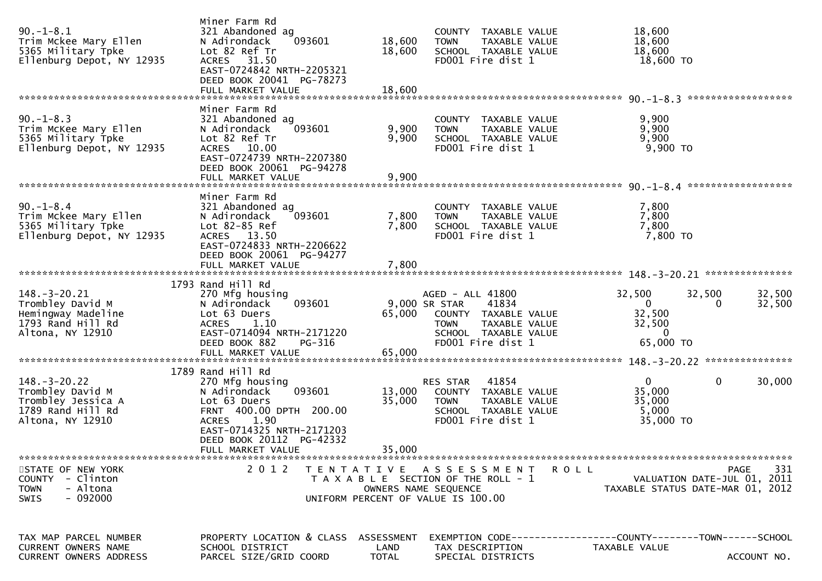| $90. - 1 - 8.1$<br>Trim Mckee Mary Ellen<br>5365 Military Tpke<br>Ellenburg Depot, NY 12935           | Miner Farm Rd<br>321 Abandoned ag<br>093601<br>N Adirondack<br>Lot 82 Ref Tr<br>ACRES 31.50<br>EAST-0724842 NRTH-2205321<br>DEED BOOK 20041 PG-78273                                                            | 18,600<br>18,600                   | COUNTY TAXABLE VALUE<br><b>TOWN</b><br>TAXABLE VALUE<br>SCHOOL TAXABLE VALUE<br>FD001 Fire dist 1                                               | 18,600<br>18,600<br>18,600<br>18,600 TO                                                                   |
|-------------------------------------------------------------------------------------------------------|-----------------------------------------------------------------------------------------------------------------------------------------------------------------------------------------------------------------|------------------------------------|-------------------------------------------------------------------------------------------------------------------------------------------------|-----------------------------------------------------------------------------------------------------------|
| $90. -1 - 8.3$<br>Trim McKee Mary Ellen<br>5365 Military Tpke<br>Ellenburg Depot, NY 12935            | Miner Farm Rd<br>321 Abandoned ag<br>093601<br>N Adirondack<br>Lot 82 Ref Tr<br>ACRES 10.00<br>EAST-0724739 NRTH-2207380<br>DEED BOOK 20061 PG-94278<br>FULL MARKET VALUE                                       | 9,900<br>9,900<br>9,900            | COUNTY TAXABLE VALUE<br>TAXABLE VALUE<br><b>TOWN</b><br>SCHOOL TAXABLE VALUE<br>FD001 Fire dist 1                                               | 9,900<br>9,900<br>9,900<br>9,900 TO                                                                       |
| $90. -1 - 8.4$<br>Trim Mckee Mary Ellen<br>5365 Military Tpke<br>Ellenburg Depot, NY 12935            | Miner Farm Rd<br>321 Abandoned ag<br>093601<br>N Adirondack<br>Lot 82-85 Ref<br>ACRES 13.50<br>EAST-0724833 NRTH-2206622<br>DEED BOOK 20061 PG-94277<br>FULL MARKET VALUE                                       | 7,800<br>7,800<br>7,800            | COUNTY TAXABLE VALUE<br>TAXABLE VALUE<br><b>TOWN</b><br>SCHOOL TAXABLE VALUE<br>FD001 Fire dist 1                                               | 7,800<br>7,800<br>7,800<br>7,800 TO                                                                       |
| $148. - 3 - 20.21$<br>Trombley David M<br>Hemingway Madeline<br>1793 Rand Hill Rd<br>Altona, NY 12910 | 1793 Rand Hill Rd<br>270 Mfg housing<br>093601<br>N Adirondack<br>Lot 63 Duers<br>1.10<br><b>ACRES</b><br>EAST-0714094 NRTH-2171220<br>DEED BOOK 882<br>PG-316<br>FULL MARKET VALUE                             | 65,000<br>65,000                   | AGED - ALL 41800<br>9,000 SR STAR<br>41834<br>COUNTY TAXABLE VALUE<br>TAXABLE VALUE<br><b>TOWN</b><br>SCHOOL TAXABLE VALUE<br>FD001 Fire dist 1 | 32,500<br>32,500<br>32,500<br>$\mathbf 0$<br>32,500<br>0<br>32,500<br>32,500<br>$\mathbf{0}$<br>65,000 TO |
| $148. - 3 - 20.22$<br>Trombley David M<br>Trombley Jessica A<br>1789 Rand Hill Rd<br>Altona, NY 12910 | 1789 Rand Hill Rd<br>270 Mfg housing<br>093601<br>N Adirondack<br>Lot 63 Duers<br>FRNT 400.00 DPTH 200.00<br>1.90<br><b>ACRES</b><br>EAST-0714325 NRTH-2171203<br>DEED BOOK 20112 PG-42332<br>FULL MARKET VALUE | 13,000<br>35,000<br>35,000         | 41854<br>RES STAR<br>COUNTY TAXABLE VALUE<br><b>TOWN</b><br>TAXABLE VALUE<br>SCHOOL TAXABLE VALUE<br>FD001 Fire dist 1                          | $\Omega$<br>$\mathbf{0}$<br>30,000<br>35,000<br>35,000<br>5,000<br>35,000 TO                              |
| STATE OF NEW YORK<br>COUNTY - Clinton<br>- Altona<br><b>TOWN</b><br>$-092000$<br><b>SWIS</b>          |                                                                                                                                                                                                                 |                                    | 2012 TENTATIVE ASSESSMENT ROLL<br>T A X A B L E SECTION OF THE ROLL - 1<br>OWNERS NAME SEQUENCE<br>UNIFORM PERCENT OF VALUE IS 100.00           | PAGE<br>331<br>VALUATION DATE-JUL 01, 2011<br>TAXABLE STATUS DATE-MAR 01, 2012                            |
| TAX MAP PARCEL NUMBER<br>CURRENT OWNERS NAME<br><b>CURRENT OWNERS ADDRESS</b>                         | PROPERTY LOCATION & CLASS<br>SCHOOL DISTRICT<br>PARCEL SIZE/GRID COORD                                                                                                                                          | ASSESSMENT<br>LAND<br><b>TOTAL</b> | TAX DESCRIPTION<br>SPECIAL DISTRICTS                                                                                                            | EXEMPTION CODE-----------------COUNTY-------TOWN------SCHOOL<br>TAXABLE VALUE<br>ACCOUNT NO.              |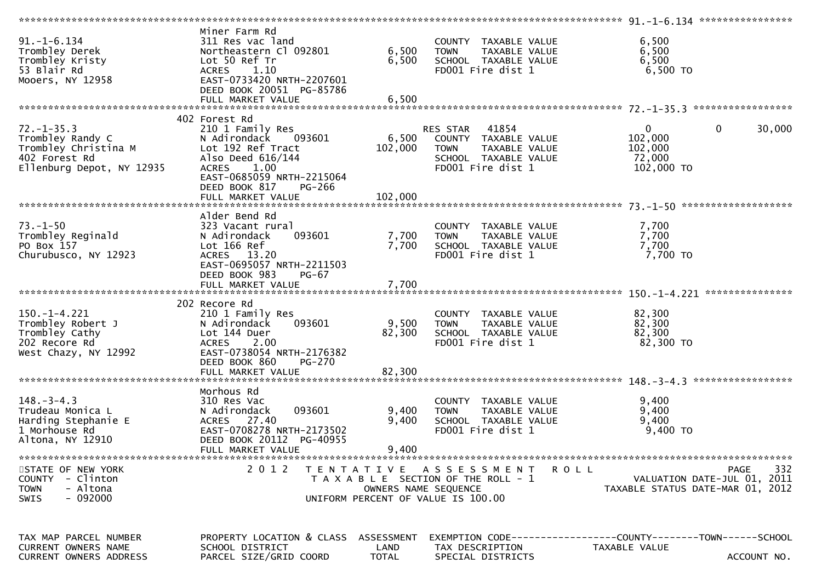|                                                                                                            |                                                                                                                                                                                         |                           |                                                                                                                     | ********************* 91.-1-6.134 *****************                            |             |
|------------------------------------------------------------------------------------------------------------|-----------------------------------------------------------------------------------------------------------------------------------------------------------------------------------------|---------------------------|---------------------------------------------------------------------------------------------------------------------|--------------------------------------------------------------------------------|-------------|
| $91. -1 - 6.134$<br>Trombley Derek<br>Trombley Kristy<br>53 Blair Rd<br>Mooers, NY 12958                   | Miner Farm Rd<br>311 Res vac land<br>Northeastern Cl 092801<br>Lot 50 Ref Tr<br>ACRES 1.10<br>EAST-0733420 NRTH-2207601<br>DEED BOOK 20051 PG-85786                                     | 6,500<br>6,500            | COUNTY TAXABLE VALUE<br>TAXABLE VALUE<br><b>TOWN</b><br>SCHOOL TAXABLE VALUE<br>FD001 Fire dist 1                   | 6,500<br>6,500<br>6,500<br>6,500 TO                                            |             |
|                                                                                                            | FULL MARKET VALUE                                                                                                                                                                       | 6,500                     |                                                                                                                     |                                                                                |             |
|                                                                                                            |                                                                                                                                                                                         |                           |                                                                                                                     |                                                                                |             |
|                                                                                                            | 402 Forest Rd                                                                                                                                                                           |                           |                                                                                                                     |                                                                                |             |
| $72. - 1 - 35.3$<br>Trombley Randy C<br>Trombley Christina M<br>402 Forest Rd<br>Ellenburg Depot, NY 12935 | 210 1 Family Res<br>N Adirondack<br>093601<br>Lot 192 Ref Tract<br>Also Deed 616/144<br>ACRES 1.00<br>EAST-0685059 NRTH-2215064<br>DEED BOOK 817<br><b>PG-266</b>                       | 6,500<br>102,000          | RES STAR 41854<br>COUNTY TAXABLE VALUE<br>TAXABLE VALUE<br><b>TOWN</b><br>SCHOOL TAXABLE VALUE<br>FD001 Fire dist 1 | $\mathbf 0$<br>$\mathbf{0}$<br>102,000<br>102,000<br>72,000<br>102,000 TO      | 30,000      |
|                                                                                                            | FULL MARKET VALUE                                                                                                                                                                       | 102,000                   |                                                                                                                     |                                                                                |             |
| $73. - 1 - 50$<br>Trombley Reginald<br>PO Box 157<br>Churubusco, NY 12923                                  | Alder Bend Rd<br>323 Vacant rural<br>093601<br>N Adirondack<br>Lot 166 Ref<br>ACRES 13.20<br>EAST-0695057 NRTH-2211503<br>DEED BOOK 983<br><b>PG-67</b>                                 | 7,700<br>7,700            | COUNTY TAXABLE VALUE<br>TAXABLE VALUE<br><b>TOWN</b><br>SCHOOL TAXABLE VALUE<br>FD001 Fire dist 1                   | 7,700<br>7,700<br>7,700<br>$7,700$ TO                                          |             |
|                                                                                                            |                                                                                                                                                                                         |                           |                                                                                                                     |                                                                                |             |
|                                                                                                            | FULL MARKET VALUE                                                                                                                                                                       | 7,700                     |                                                                                                                     |                                                                                |             |
|                                                                                                            |                                                                                                                                                                                         |                           |                                                                                                                     |                                                                                |             |
| $150. - 1 - 4.221$<br>Trombley Robert J<br>Trombley Cathy<br>202 Recore Rd<br>West Chazy, NY 12992         | 202 Recore Rd<br>210 1 Family Res<br>093601<br>N Adirondack<br>Lot 144 Duer<br><b>ACRES</b><br>2.00<br>EAST-0738054 NRTH-2176382<br>DEED BOOK 860<br><b>PG-270</b><br>FULL MARKET VALUE | 9,500<br>82,300<br>82,300 | COUNTY TAXABLE VALUE<br>TAXABLE VALUE<br><b>TOWN</b><br>SCHOOL TAXABLE VALUE<br>FD001 Fire dist 1                   | 82,300<br>82,300<br>82,300<br>82,300 TO                                        |             |
|                                                                                                            |                                                                                                                                                                                         |                           |                                                                                                                     |                                                                                |             |
| $148. - 3 - 4.3$<br>Trudeau Monica L<br>Harding Stephanie E<br>1 Morhouse Rd<br>Altona, NY 12910           | Morhous Rd<br>310 Res Vac<br>093601<br>N Adirondack<br>ACRES 27.40<br>EAST-0708278 NRTH-2173502<br>DEED BOOK 20112 PG-40955<br>FULL MARKET VALUE                                        | 9,400<br>9,400<br>9,400   | COUNTY TAXABLE VALUE<br><b>TOWN</b><br>TAXABLE VALUE<br>SCHOOL TAXABLE VALUE<br>FD001 Fire dist 1                   | 9,400<br>9,400<br>9,400<br>$9,400$ TO                                          |             |
| STATE OF NEW YORK<br>COUNTY - Clinton<br>- Altona<br><b>TOWN</b><br>$-092000$<br><b>SWIS</b>               | 2 0 1 2                                                                                                                                                                                 | OWNERS NAME SEQUENCE      | TENTATIVE ASSESSMENT<br>R O L L<br>T A X A B L E SECTION OF THE ROLL - 1<br>UNIFORM PERCENT OF VALUE IS 100.00      | <b>PAGE</b><br>VALUATION DATE-JUL 01, 2011<br>TAXABLE STATUS DATE-MAR 01, 2012 | 332         |
| TAX MAP PARCEL NUMBER<br><b>CURRENT OWNERS NAME</b><br><b>CURRENT OWNERS ADDRESS</b>                       | PROPERTY LOCATION & CLASS ASSESSMENT<br>SCHOOL DISTRICT<br>PARCEL SIZE/GRID COORD                                                                                                       | LAND<br><b>TOTAL</b>      | TAX DESCRIPTION<br>SPECIAL DISTRICTS                                                                                | TAXABLE VALUE                                                                  | ACCOUNT NO. |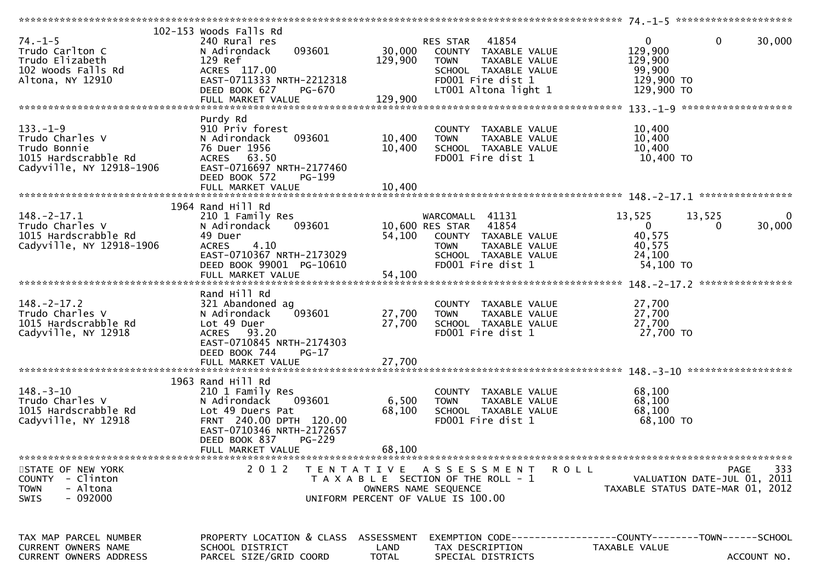|                                               | 102-153 woods Falls Rd                    |                      |                                       |                                                                |
|-----------------------------------------------|-------------------------------------------|----------------------|---------------------------------------|----------------------------------------------------------------|
| $74. - 1 - 5$                                 | 240 Rural res                             |                      | RES STAR 41854                        | 30,000<br>$\mathbf{0}$<br>$\mathbf{0}$                         |
| Trudo Carlton C                               | 093601<br>N Adirondack                    |                      | 30,000 COUNTY TAXABLE VALUE           | 129,900                                                        |
| Trudo Elizabeth                               | 129 Ref                                   | 129,900              | TAXABLE VALUE<br><b>TOWN</b>          | 129,900                                                        |
| 102 Woods Falls Rd                            |                                           |                      | SCHOOL TAXABLE VALUE                  | 99,900                                                         |
|                                               | ACRES 117.00                              |                      |                                       |                                                                |
| Altona, NY 12910                              | EAST-0711333 NRTH-2212318                 |                      | FD001 Fire dist 1                     | 129,900 TO                                                     |
|                                               | DEED BOOK 627<br>PG-670                   |                      | LT001 Altona light 1                  | 129,900 TO                                                     |
|                                               |                                           |                      |                                       |                                                                |
|                                               |                                           |                      |                                       |                                                                |
|                                               | Purdy Rd                                  |                      |                                       |                                                                |
| $133. - 1 - 9$                                | 910 Priv forest                           |                      | COUNTY TAXABLE VALUE                  | 10,400                                                         |
| Trudo Charles V                               | N Adirondack<br>093601                    | 10,400               | <b>TOWN</b><br>TAXABLE VALUE          | 10,400                                                         |
| Trudo Bonnie                                  | 76 Duer 1956                              | 10,400               | SCHOOL TAXABLE VALUE                  | 10,400                                                         |
| 1015 Hardscrabble Rd                          | ACRES 63.50                               |                      | FD001 Fire dist 1                     | 10,400 TO                                                      |
| Cadyville, NY 12918-1906                      | EAST-0716697 NRTH-2177460                 |                      |                                       |                                                                |
|                                               |                                           |                      |                                       |                                                                |
|                                               | DEED BOOK 572<br><b>PG-199</b>            |                      |                                       |                                                                |
|                                               |                                           |                      |                                       |                                                                |
|                                               |                                           |                      |                                       |                                                                |
|                                               | 1964 Rand Hill Rd                         |                      |                                       |                                                                |
| $148. - 2 - 17.1$                             | 210 1 Family Res                          |                      | WARCOMALL 41131                       | 13,525<br>13,525<br>0                                          |
| Trudo Charles V                               | 093601<br>N Adirondack                    |                      | 10,600 RES STAR 41854                 | $\Omega$<br>30,000<br>$\bf{0}$                                 |
| 1015 Hardscrabble Rd                          | 49 Duer                                   |                      | 54,100 COUNTY TAXABLE VALUE           | 40,575                                                         |
| Cadyville, NY 12918-1906                      | 4.10<br><b>ACRES</b>                      |                      | <b>TOWN</b><br>TAXABLE VALUE          | 40,575                                                         |
|                                               | EAST-0710367 NRTH-2173029                 |                      | SCHOOL TAXABLE VALUE                  | 24,100                                                         |
|                                               | DEED BOOK 99001 PG-10610                  |                      | FD001 Fire dist 1                     | 54,100 TO                                                      |
|                                               |                                           |                      |                                       |                                                                |
|                                               |                                           |                      |                                       |                                                                |
|                                               |                                           |                      |                                       |                                                                |
|                                               | Rand Hill Rd                              |                      |                                       |                                                                |
| $148. - 2 - 17.2$                             | 321 Abandoned ag                          |                      | COUNTY TAXABLE VALUE                  | 27,700                                                         |
| Trudo Charles V                               | 093601<br>N Adirondack                    | 27,700               | TAXABLE VALUE<br>TOWN                 | 27,700                                                         |
| 1015 Hardscrabble Rd                          | Lot 49 Duer                               | 27,700               | SCHOOL TAXABLE VALUE                  | 27,700                                                         |
| Cadyville, NY 12918                           | ACRES 93.20                               |                      | FD001 Fire dist 1                     | 27,700 TO                                                      |
|                                               | EAST-0710845 NRTH-2174303                 |                      |                                       |                                                                |
|                                               | DEED BOOK 744<br>$PG-17$                  |                      |                                       |                                                                |
|                                               |                                           |                      |                                       |                                                                |
|                                               |                                           |                      |                                       |                                                                |
|                                               | 1963 Rand Hill Rd                         |                      |                                       |                                                                |
| $148. - 3 - 10$                               |                                           |                      |                                       |                                                                |
|                                               | 210 1 Family Res                          |                      | COUNTY TAXABLE VALUE                  | 68,100                                                         |
| Trudo Charles V                               | 093601<br>N Adirondack                    | 6,500                | <b>TOWN</b><br>TAXABLE VALUE          | 68,100                                                         |
| 1015 Hardscrabble Rd                          | Lot 49 Duers Pat                          | 68,100               | SCHOOL TAXABLE VALUE                  | 68,100                                                         |
| Cadyville, NY 12918                           | FRNT 240.00 DPTH 120.00                   |                      | FD001 Fire dist 1                     | 68,100 TO                                                      |
|                                               | EAST-0710346 NRTH-2172657                 |                      |                                       |                                                                |
|                                               | DEED BOOK 837<br>PG-229                   |                      |                                       |                                                                |
|                                               | FULL MARKET VALUE                         | 68,100               |                                       |                                                                |
|                                               |                                           |                      |                                       |                                                                |
| STATE OF NEW YORK                             | 2 0 1 2                                   |                      | TENTATIVE ASSESSMENT                  | 333<br><b>ROLL</b><br><b>PAGE</b>                              |
| COUNTY - Clinton                              |                                           |                      | T A X A B L E SECTION OF THE ROLL - 1 | VALUATION DATE-JUL 01, 2011                                    |
| <b>TOWN</b><br>- Altona                       |                                           |                      | OWNERS NAME SEQUENCE                  | TAXABLE STATUS DATE-MAR 01, 2012                               |
| $-092000$<br>SWIS                             |                                           |                      | UNIFORM PERCENT OF VALUE IS 100.00    |                                                                |
|                                               |                                           |                      |                                       |                                                                |
|                                               |                                           |                      |                                       |                                                                |
|                                               |                                           |                      |                                       |                                                                |
|                                               |                                           |                      |                                       |                                                                |
| TAX MAP PARCEL NUMBER                         | PROPERTY LOCATION & CLASS ASSESSMENT      |                      |                                       | EXEMPTION CODE------------------COUNTY--------TOWN------SCHOOL |
| CURRENT OWNERS NAME<br>CURRENT OWNERS ADDRESS | SCHOOL DISTRICT<br>PARCEL SIZE/GRID COORD | LAND<br><b>TOTAL</b> | TAX DESCRIPTION<br>SPECIAL DISTRICTS  | TAXABLE VALUE<br>ACCOUNT NO.                                   |
|                                               |                                           |                      |                                       |                                                                |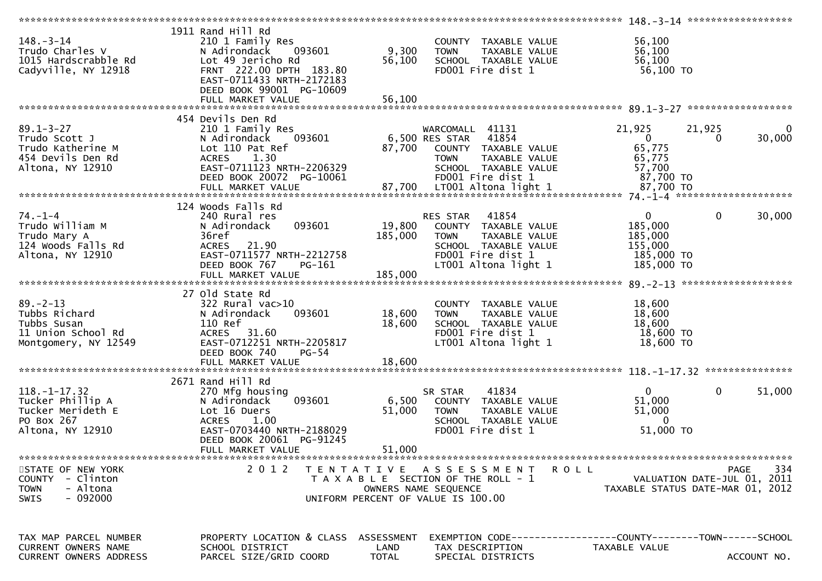|                                                                                                |                                                                                                                                                                                               |                                                                                                                                                                     | 148. -3-14 *******************<br>****************                                                              |
|------------------------------------------------------------------------------------------------|-----------------------------------------------------------------------------------------------------------------------------------------------------------------------------------------------|---------------------------------------------------------------------------------------------------------------------------------------------------------------------|-----------------------------------------------------------------------------------------------------------------|
| $148. - 3 - 14$<br>Trudo Charles V<br>1015 Hardscrabble Rd<br>Cadyville, NY 12918              | 1911 Rand Hill Rd<br>210 1 Family Res<br>093601<br>N Adirondack<br>Lot 49 Jericho Rd<br>FRNT 222.00 DPTH 183.80<br>EAST-0711433 NRTH-2172183<br>DEED BOOK 99001 PG-10609<br>FULL MARKET VALUE | COUNTY TAXABLE VALUE<br>9,300<br><b>TOWN</b><br>TAXABLE VALUE<br>56,100<br>SCHOOL TAXABLE VALUE<br>FD001 Fire dist 1<br>56,100                                      | 56,100<br>56,100<br>56,100<br>56,100 TO                                                                         |
|                                                                                                |                                                                                                                                                                                               |                                                                                                                                                                     |                                                                                                                 |
| $89.1 - 3 - 27$<br>Trudo Scott J<br>Trudo Katherine M<br>454 Devils Den Rd<br>Altona, NY 12910 | 454 Devils Den Rd<br>210 1 Family Res<br>093601<br>N Adirondack<br>Lot 110 Pat Ref<br>1.30<br><b>ACRES</b><br>EAST-0711123 NRTH-2206329<br>DEED BOOK 20072 PG-10061                           | WARCOMALL 41131<br>6,500 RES STAR 41854<br>87,700<br>COUNTY TAXABLE VALUE<br><b>TOWN</b><br>TAXABLE VALUE<br>SCHOOL TAXABLE VALUE<br>FD001 Fire dist 1              | 21,925<br>21,925<br>$\bf{0}$<br>$\overline{0}$<br>30,000<br>$\Omega$<br>65,775<br>65,775<br>57,700<br>87,700 TO |
|                                                                                                | 124 Woods Falls Rd                                                                                                                                                                            |                                                                                                                                                                     |                                                                                                                 |
| $74. - 1 - 4$<br>Trudo William M<br>Trudo Mary A<br>124 Woods Falls Rd<br>Altona, NY 12910     | 240 Rural res<br>093601<br>N Adirondack<br>36ref<br>ACRES 21.90<br>EAST-0711577 NRTH-2212758<br>DEED BOOK 767<br>PG-161                                                                       | 41854<br>RES STAR<br>19,800<br>COUNTY TAXABLE VALUE<br>185,000<br>TAXABLE VALUE<br><b>TOWN</b><br>SCHOOL TAXABLE VALUE<br>FD001 Fire dist 1<br>LT001 Altona light 1 | $\mathbf{0}$<br>$\mathbf 0$<br>30,000<br>185,000<br>185,000<br>155,000<br>185,000 TO<br>185,000 TO              |
|                                                                                                |                                                                                                                                                                                               |                                                                                                                                                                     |                                                                                                                 |
| $89. - 2 - 13$<br>Tubbs Richard<br>Tubbs Susan<br>11 Union School Rd<br>Montgomery, NY 12549   | 27 old State Rd<br>$322$ Rural vac $>10$<br>093601<br>N Adirondack<br>110 Ref<br>ACRES 31.60<br>EAST-0712251 NRTH-2205817<br>DEED BOOK 740<br>$PG-54$                                         | COUNTY TAXABLE VALUE<br>18,600<br>TAXABLE VALUE<br><b>TOWN</b><br>18,600<br>SCHOOL TAXABLE VALUE<br>FD001 Fire dist 1<br>LT001 Altona light 1                       | 18,600<br>18,600<br>18,600<br>18,600 TO<br>$18,600$ TO                                                          |
|                                                                                                |                                                                                                                                                                                               |                                                                                                                                                                     |                                                                                                                 |
| $118. - 1 - 17.32$<br>Tucker Phillip A<br>Tucker Merideth E<br>PO Box 267<br>Altona, NY 12910  | 2671 Rand Hill Rd<br>270 Mfg housing<br>093601<br>N Adirondack<br>Lot 16 Duers<br>1.00<br><b>ACRES</b><br>EAST-0703440 NRTH-2188029<br>DEED BOOK 20061 PG-91245<br>FULL MARKET VALUE          | 41834<br>SR STAR<br>6,500<br>COUNTY TAXABLE VALUE<br>51,000<br><b>TOWN</b><br>TAXABLE VALUE<br>SCHOOL TAXABLE VALUE<br>FD001 Fire dist 1<br>51,000                  | $\overline{0}$<br>0<br>51,000<br>51,000<br>51,000<br>$\Omega$<br>51,000 TO                                      |
|                                                                                                |                                                                                                                                                                                               |                                                                                                                                                                     |                                                                                                                 |
| STATE OF NEW YORK<br>COUNTY - Clinton<br>- Altona<br><b>TOWN</b><br>$-092000$<br><b>SWIS</b>   | 2 0 1 2                                                                                                                                                                                       | TENTATIVE ASSESSMENT<br>T A X A B L E SECTION OF THE ROLL - 1<br>OWNERS NAME SEQUENCE<br>UNIFORM PERCENT OF VALUE IS 100.00                                         | 334<br><b>PAGE</b><br>R O L L<br>VALUATION DATE-JUL 01, 2011<br>TAXABLE STATUS DATE-MAR 01, 2012                |
| TAX MAP PARCEL NUMBER<br><b>CURRENT OWNERS NAME</b><br>CURRENT OWNERS ADDRESS                  | PROPERTY LOCATION & CLASS ASSESSMENT<br>SCHOOL DISTRICT<br>PARCEL SIZE/GRID COORD                                                                                                             | LAND<br>TAX DESCRIPTION<br><b>TOTAL</b><br>SPECIAL DISTRICTS                                                                                                        | EXEMPTION        CODE-----------------COUNTY-------TOWN------SCHOOL<br>TAXABLE VALUE<br>ACCOUNT NO.             |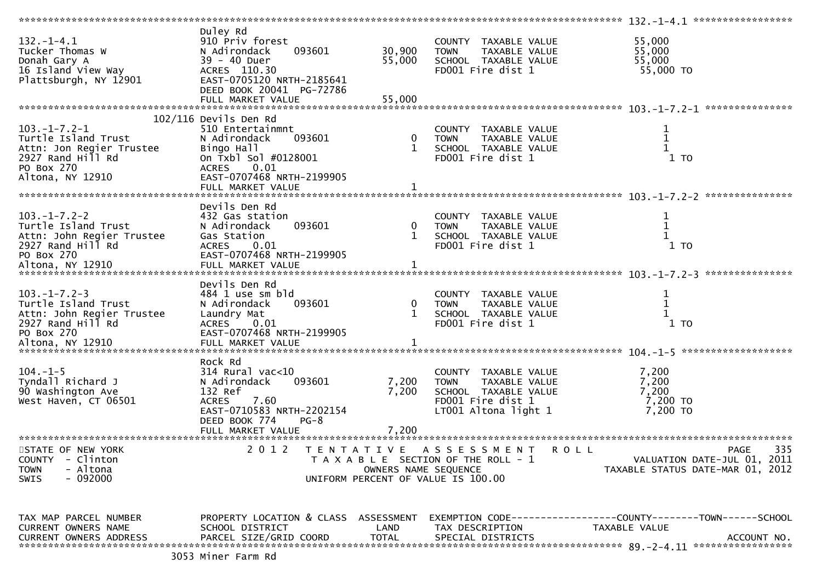|                                                |                                      |                      |                                       | 132.-1-4.1 ******************                                       |
|------------------------------------------------|--------------------------------------|----------------------|---------------------------------------|---------------------------------------------------------------------|
| $132. - 1 - 4.1$                               | Duley Rd<br>910 Priv forest          |                      | COUNTY TAXABLE VALUE                  | 55,000                                                              |
| Tucker Thomas W                                | 093601<br>N Adirondack               | 30,900               | <b>TOWN</b><br>TAXABLE VALUE          | 55,000                                                              |
| Donah Gary A                                   | 39 - 40 Duer                         | 55,000               | SCHOOL TAXABLE VALUE                  | 55,000                                                              |
| 16 Island View Way                             | ACRES 110.30                         |                      | FD001 Fire dist 1                     | 55,000 TO                                                           |
| Plattsburgh, NY 12901                          | EAST-0705120 NRTH-2185641            |                      |                                       |                                                                     |
|                                                | DEED BOOK 20041 PG-72786             |                      |                                       |                                                                     |
|                                                | FULL MARKET VALUE                    | 55,000               |                                       |                                                                     |
|                                                |                                      |                      |                                       |                                                                     |
|                                                | $102/116$ Devils Den Rd              |                      |                                       |                                                                     |
| $103. -1 - 7.2 - 1$                            | 510 Entertainmnt                     |                      | COUNTY TAXABLE VALUE                  | $\mathbf{1}$                                                        |
| Turtle Island Trust                            | 093601<br>N Adirondack               |                      | 0 TOWN<br>TAXABLE VALUE               | $\mathbf{1}$                                                        |
| Attn: Jon Regier Trustee                       | Bingo Hall                           | 1                    | SCHOOL TAXABLE VALUE                  | $\mathbf 1$                                                         |
| 2927 Rand Hill Rd                              | On Txbl Sol #0128001                 |                      | FD001 Fire dist 1                     | $1$ TO                                                              |
| PO Box 270                                     | 0.01<br><b>ACRES</b>                 |                      |                                       |                                                                     |
| Altona, NY 12910                               | EAST-0707468 NRTH-2199905            |                      |                                       |                                                                     |
|                                                |                                      |                      |                                       |                                                                     |
|                                                |                                      |                      |                                       | ***************                                                     |
|                                                | Devils Den Rd                        |                      |                                       |                                                                     |
| $103. - 1 - 7.2 - 2$                           | 432 Gas station                      |                      | COUNTY TAXABLE VALUE                  | $\mathbf{1}$                                                        |
| Turtle Island Trust                            | 093601<br>N Adirondack               | $\mathbf 0$          | TAXABLE VALUE<br><b>TOWN</b>          | $\mathbf 1$                                                         |
| Attn: John Regier Trustee<br>2927 Rand Hill Rd | Gas Station                          | 1                    | SCHOOL TAXABLE VALUE                  |                                                                     |
|                                                | ACRES 0.01                           |                      | FD001 Fire dist 1                     | $1$ TO                                                              |
| PO Box 270                                     | EAST-0707468 NRTH-2199905            |                      |                                       |                                                                     |
|                                                |                                      |                      |                                       |                                                                     |
|                                                | Devils Den Rd                        |                      |                                       |                                                                     |
| $103. -1 - 7.2 - 3$                            | 484 1 use sm bld                     |                      | COUNTY TAXABLE VALUE                  | $\mathbf{1}$                                                        |
| Turtle Island Trust                            | N Adirondack<br>093601               | $\mathbf{0}$         | TAXABLE VALUE<br><b>TOWN</b>          | $\mathbf 1$                                                         |
| Attn: John Regier Trustee                      | Laundry Mat                          | 1                    | SCHOOL TAXABLE VALUE                  |                                                                     |
| 2927 Rand Hill Rd                              | <b>ACRES</b><br>0.01                 |                      | FD001 Fire dist 1                     | $1$ TO                                                              |
| PO Box 270                                     | EAST-0707468 NRTH-2199905            |                      |                                       |                                                                     |
|                                                |                                      |                      |                                       |                                                                     |
|                                                |                                      |                      |                                       |                                                                     |
|                                                | Rock Rd                              |                      |                                       |                                                                     |
| $104. -1 - 5$                                  | $314$ Rural vac<10                   |                      | COUNTY TAXABLE VALUE                  | 7,200                                                               |
| Tyndall Richard J                              | 093601<br>N Adirondack               | 7,200                | TAXABLE VALUE<br><b>TOWN</b>          | 7,200                                                               |
| 90 Washington Ave                              | 132 Ref                              | 7,200                | SCHOOL TAXABLE VALUE                  | 7,200                                                               |
| West Haven, CT 06501                           | 7.60<br><b>ACRES</b>                 |                      | FD001 Fire dist 1                     | 7,200 TO                                                            |
|                                                | EAST-0710583 NRTH-2202154            |                      | LT001 Altona light 1                  | 7,200 TO                                                            |
|                                                | DEED BOOK 774<br>$PG-8$              |                      |                                       |                                                                     |
|                                                | FULL MARKET VALUE                    | 7,200                |                                       |                                                                     |
| *********************                          |                                      | ******************   |                                       |                                                                     |
| STATE OF NEW YORK                              | 2 0 1 2                              |                      | TENTATIVE ASSESSMENT<br><b>ROLL</b>   | 335<br><b>PAGE</b>                                                  |
| <b>COUNTY</b><br>- Clinton                     |                                      |                      | T A X A B L E SECTION OF THE ROLL - 1 | VALUATION DATE-JUL 01, 2011                                         |
| - Altona<br><b>TOWN</b><br>$-092000$<br>SWIS   |                                      | OWNERS NAME SEQUENCE |                                       | TAXABLE STATUS DATE-MAR 01, 2012                                    |
|                                                |                                      |                      | UNIFORM PERCENT OF VALUE IS 100.00    |                                                                     |
|                                                |                                      |                      |                                       |                                                                     |
|                                                |                                      |                      |                                       |                                                                     |
| TAX MAP PARCEL NUMBER                          | PROPERTY LOCATION & CLASS ASSESSMENT |                      |                                       | EXEMPTION        CODE-----------------COUNTY-------TOWN------SCHOOL |
| <b>CURRENT OWNERS NAME</b>                     | SCHOOL DISTRICT                      | LAND                 | TAX DESCRIPTION                       | TAXABLE VALUE                                                       |
| <b>CURRENT OWNERS ADDRESS</b>                  | PARCEL SIZE/GRID COORD               | <b>TOTAL</b>         | SPECIAL DISTRICTS                     | ACCOUNT NO.                                                         |
|                                                |                                      |                      |                                       |                                                                     |
|                                                |                                      |                      |                                       |                                                                     |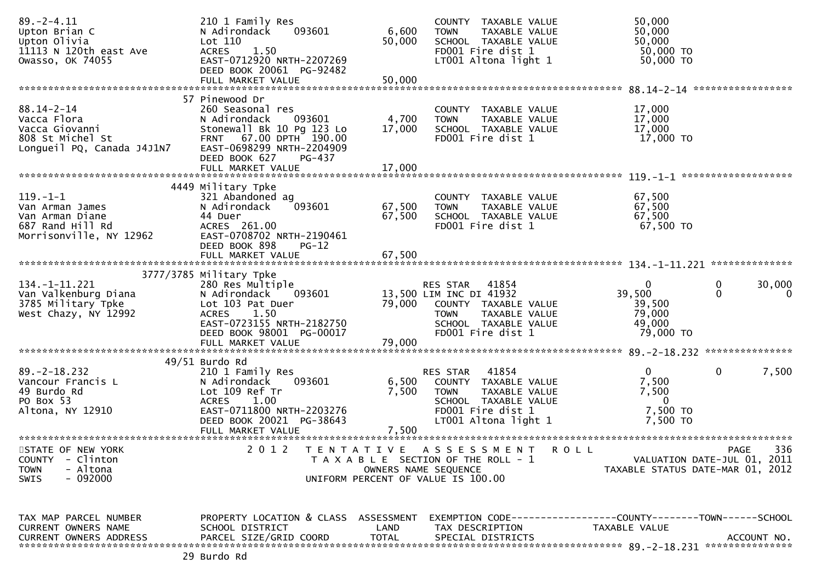| $89. - 2 - 4.11$<br>Upton Brian C<br>Upton Olivia<br>11113 N 120th east Ave<br>Owasso, OK 74055     | 210 1 Family Res<br>093601<br>N Adirondack<br>Lot 110<br>1.50<br><b>ACRES</b><br>EAST-0712920 NRTH-2207269<br>DEED BOOK 20061 PG-92482<br>FULL MARKET VALUE | 6,600<br>50,000<br>50,000   | COUNTY TAXABLE VALUE<br>TAXABLE VALUE<br><b>TOWN</b><br>SCHOOL TAXABLE VALUE<br>FD001 Fire dist 1<br>LT001 Altona light 1                         | 50,000<br>50,000<br>50,000<br>50,000 TO<br>50,000 TO                 |                              |
|-----------------------------------------------------------------------------------------------------|-------------------------------------------------------------------------------------------------------------------------------------------------------------|-----------------------------|---------------------------------------------------------------------------------------------------------------------------------------------------|----------------------------------------------------------------------|------------------------------|
|                                                                                                     | 57 Pinewood Dr                                                                                                                                              |                             |                                                                                                                                                   |                                                                      |                              |
| $88.14 - 2 - 14$<br>Vacca Flora<br>Vacca Giovanni<br>808 St Michel St<br>Longueil PQ, Canada J4J1N7 | 260 Seasonal res<br>N Adirondack<br>093601<br>Stonewall Bk 10 Pg 123 Lo<br>FRNT 67.00 DPTH 190.00<br>EAST-0698299 NRTH-2204909<br>DEED BOOK 627<br>PG-437   | 4,700<br>17,000             | COUNTY TAXABLE VALUE<br>TAXABLE VALUE<br><b>TOWN</b><br>SCHOOL TAXABLE VALUE<br>FD001 Fire dist 1                                                 | 17,000<br>17,000<br>17,000<br>17,000 TO                              |                              |
|                                                                                                     | FULL MARKET VALUE                                                                                                                                           | 17,000                      |                                                                                                                                                   |                                                                      |                              |
| $119. - 1 - 1$<br>Van Arman James<br>Van Arman Diane<br>687 Rand Hill Rd<br>Morrisonville, NY 12962 | 4449 Military Tpke<br>321 Abandoned ag<br>N Adirondack<br>093601<br>44 Duer<br>ACRES 261.00<br>EAST-0708702 NRTH-2190461<br>DEED BOOK 898<br>$PG-12$        | 67,500<br>67,500            | COUNTY TAXABLE VALUE<br>TAXABLE VALUE<br>TOWN<br>SCHOOL TAXABLE VALUE<br>FD001 Fire dist 1                                                        | 67,500<br>67,500<br>67,500<br>67,500 TO                              |                              |
|                                                                                                     | FULL MARKET VALUE                                                                                                                                           | 67,500                      |                                                                                                                                                   |                                                                      |                              |
|                                                                                                     | 3777/3785 Military Tpke                                                                                                                                     |                             |                                                                                                                                                   |                                                                      | **************               |
| $134. - 1 - 11.221$<br>Van Valkenburg Diana<br>3785 Military Tpke<br>West Chazy, NY 12992           | 280 Res Multiple<br>N Adirondack<br>093601<br>Lot 103 Pat Duer<br>1.50<br><b>ACRES</b><br>EAST-0723155 NRTH-2182750<br>DEED BOOK 98001 PG-00017             | 79,000                      | RES STAR<br>41854<br>13,500 LIM INC DI 41932<br>COUNTY TAXABLE VALUE<br>TAXABLE VALUE<br><b>TOWN</b><br>SCHOOL TAXABLE VALUE<br>FD001 Fire dist 1 | $\mathbf{0}$<br>39,500<br>39,500<br>79,000<br>49,000<br>79,000 TO    | 0<br>30,000<br>$\Omega$<br>0 |
|                                                                                                     | FULL MARKET VALUE                                                                                                                                           | 79,000                      |                                                                                                                                                   |                                                                      |                              |
|                                                                                                     | $49/51$ Burdo Rd                                                                                                                                            |                             |                                                                                                                                                   |                                                                      |                              |
| $89. - 2 - 18.232$<br>Vancour Francis L<br>49 Burdo Rd<br>PO Box 53<br>Altona, NY 12910             | 210 1 Family Res<br>N Adirondack<br>093601<br>Lot 109 Ref Tr<br>1.00<br><b>ACRES</b><br>EAST-0711800 NRTH-2203276<br>DEED BOOK 20021 PG-38643               | 6,500<br>7,500              | RES STAR<br>41854<br>COUNTY TAXABLE VALUE<br><b>TOWN</b><br>TAXABLE VALUE<br>SCHOOL TAXABLE VALUE<br>FD001 Fire dist 1<br>LT001 Altona light 1    | $\overline{0}$<br>7,500<br>7,500<br>$\Omega$<br>7,500 TO<br>7,500 TO | 7,500<br>0                   |
| STATE OF NEW YORK                                                                                   | 2 0 1 2                                                                                                                                                     | T E N T A T I V E           | A S S E S S M E N T<br>R O L L                                                                                                                    |                                                                      | 336<br>PAGE                  |
| <b>COUNTY</b><br>- Clinton<br>- Altona<br><b>TOWN</b><br>$-092000$<br>SWIS                          |                                                                                                                                                             | OWNERS NAME SEQUENCE        | T A X A B L E SECTION OF THE ROLL - 1<br>UNIFORM PERCENT OF VALUE IS 100.00                                                                       | TAXABLE STATUS DATE-MAR 01, 2012                                     | VALUATION DATE-JUL 01, 2011  |
|                                                                                                     |                                                                                                                                                             |                             |                                                                                                                                                   |                                                                      |                              |
| TAX MAP PARCEL NUMBER<br>CURRENT OWNERS NAME<br><b>CURRENT OWNERS ADDRESS</b>                       | PROPERTY LOCATION & CLASS ASSESSMENT<br>SCHOOL DISTRICT<br>PARCEL SIZE/GRID COORD                                                                           | <b>LAND</b><br><b>TOTAL</b> | EXEMPTION CODE-----------------COUNTY-------TOWN------SCHOOL<br>TAX DESCRIPTION<br>SPECIAL DISTRICTS                                              | TAXABLE VALUE                                                        | ACCOUNT NO.                  |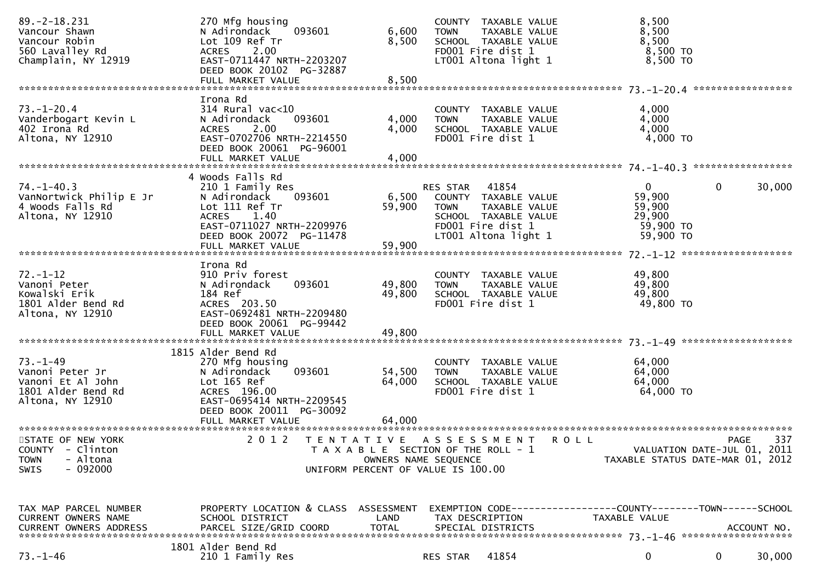| $89. -2 - 18.231$<br>Vancour Shawn<br>Vancour Robin<br>560 Lavalley Rd<br>Champlain, NY 12919    | 270 Mfg housing<br>N Adirondack<br>093601<br>Lot 109 Ref Tr<br>2.00<br><b>ACRES</b><br>EAST-0711447 NRTH-2203207<br>DEED BOOK 20102 PG-32887                      | 6,600<br>8,500             | COUNTY TAXABLE VALUE<br>TAXABLE VALUE<br><b>TOWN</b><br>SCHOOL TAXABLE VALUE<br>FD001 Fire dist 1<br>LT001 Altona light 1                      | 8,500<br>8,500<br>8,500<br>8,500 TO<br>8,500 TO                               |                                                                                       |
|--------------------------------------------------------------------------------------------------|-------------------------------------------------------------------------------------------------------------------------------------------------------------------|----------------------------|------------------------------------------------------------------------------------------------------------------------------------------------|-------------------------------------------------------------------------------|---------------------------------------------------------------------------------------|
| $73. - 1 - 20.4$<br>Vanderbogart Kevin L<br>402 Irona Rd<br>Altona, NY 12910                     | Irona Rd<br>$314$ Rural vac<10<br>093601<br>N Adirondack<br>2.00<br><b>ACRES</b><br>EAST-0702706 NRTH-2214550<br>DEED BOOK 20061 PG-96001<br>FULL MARKET VALUE    | 4,000<br>4,000<br>4,000    | COUNTY TAXABLE VALUE<br><b>TOWN</b><br>TAXABLE VALUE<br>SCHOOL TAXABLE VALUE<br>FD001 Fire dist 1                                              | 4,000<br>4,000<br>4,000<br>4,000 TO                                           |                                                                                       |
| $74. - 1 - 40.3$<br>VanNortwick Philip E Jr<br>4 Woods Falls Rd<br>Altona, NY 12910              | 4 Woods Falls Rd<br>210 1 Family Res<br>N Adirondack<br>093601<br>Lot 111 Ref Tr<br><b>ACRES</b><br>1.40<br>EAST-0711027 NRTH-2209976<br>DEED BOOK 20072 PG-11478 | 6,500<br>59,900            | RES STAR<br>41854<br>COUNTY TAXABLE VALUE<br><b>TOWN</b><br>TAXABLE VALUE<br>SCHOOL TAXABLE VALUE<br>FD001 Fire dist 1<br>LT001 Altona light 1 | $\mathbf{0}$<br>59,900<br>59,900<br>29,900<br>59,900 TO<br>59,900 TO          | 30,000<br>0                                                                           |
| $72. - 1 - 12$<br>Vanoni Peter<br>Kowalski Erik<br>1801 Alder Bend Rd<br>Altona, NY 12910        | Irona Rd<br>910 Priv forest<br>N Adirondack<br>093601<br>184 Ref<br>ACRES 203.50<br>EAST-0692481 NRTH-2209480<br>DEED BOOK 20061 PG-99442<br>FULL MARKET VALUE    | 49,800<br>49,800<br>49,800 | COUNTY TAXABLE VALUE<br><b>TOWN</b><br>TAXABLE VALUE<br>SCHOOL TAXABLE VALUE<br>FD001 Fire dist 1                                              | 49,800<br>49,800<br>49,800<br>49,800 TO                                       |                                                                                       |
| $73. - 1 - 49$<br>Vanoni Peter Jr<br>Vanoni Et Al John<br>1801 Alder Bend Rd<br>Altona, NY 12910 | 1815 Alder Bend Rd<br>270 Mfg housing<br>093601<br>N Adirondack<br>Lot 165 Ref<br>ACRES 196.00<br>EAST-0695414 NRTH-2209545<br>DEED BOOK 20011 PG-30092           | 54,500<br>64,000           | COUNTY TAXABLE VALUE<br>TAXABLE VALUE<br><b>TOWN</b><br>SCHOOL TAXABLE VALUE<br>FD001 Fire dist 1                                              | 64,000<br>64,000<br>64,000<br>64,000 TO                                       |                                                                                       |
| STATE OF NEW YORK<br>COUNTY - Clinton<br>- Altona<br><b>TOWN</b><br>$-092000$<br><b>SWIS</b>     | 2 0 1 2                                                                                                                                                           | OWNERS NAME SEQUENCE       | TENTATIVE ASSESSMENT<br>T A X A B L E SECTION OF THE ROLL - 1<br>UNIFORM PERCENT OF VALUE IS 100.00                                            | <b>ROLL</b>                                                                   | 337<br><b>PAGE</b><br>VALUATION DATE-JUL 01, 2011<br>TAXABLE STATUS DATE-MAR 01, 2012 |
| TAX MAP PARCEL NUMBER<br>CURRENT OWNERS NAME                                                     | PROPERTY LOCATION & CLASS ASSESSMENT<br>SCHOOL DISTRICT                                                                                                           | LAND                       | TAX DESCRIPTION                                                                                                                                | EXEMPTION CODE-----------------COUNTY-------TOWN------SCHOOL<br>TAXABLE VALUE |                                                                                       |
| $73. - 1 - 46$                                                                                   | 1801 Alder Bend Rd<br>210 1 Family Res                                                                                                                            |                            | 41854<br>RES STAR                                                                                                                              | 0                                                                             | 30,000<br>0                                                                           |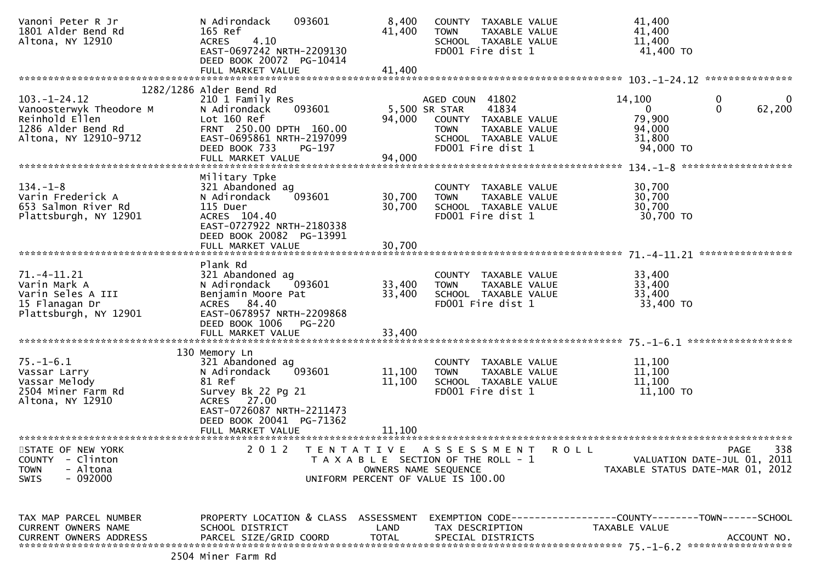| Vanoni Peter R Jr<br>1801 Alder Bend Rd<br>Altona, NY 12910 | N Adirondack<br>093601<br>165 Ref<br>4.10<br><b>ACRES</b><br>EAST-0697242 NRTH-2209130 | 8,400<br>41,400 | COUNTY TAXABLE VALUE<br><b>TOWN</b><br>TAXABLE VALUE<br>SCHOOL TAXABLE VALUE<br>FD001 Fire dist 1 |               | 41,400<br>41,400<br>11,400<br>41,400 TO     |                    |
|-------------------------------------------------------------|----------------------------------------------------------------------------------------|-----------------|---------------------------------------------------------------------------------------------------|---------------|---------------------------------------------|--------------------|
|                                                             | DEED BOOK 20072 PG-10414<br>FULL MARKET VALUE                                          | 41,400          |                                                                                                   |               |                                             |                    |
|                                                             |                                                                                        |                 |                                                                                                   |               |                                             |                    |
| $103. - 1 - 24.12$<br>Vanoosterwyk Theodore M               | 1282/1286 Alder Bend Rd<br>210 1 Family Res<br>093601<br>N Adirondack                  |                 | AGED COUN 41802<br>41834<br>5,500 SR STAR                                                         |               | 14,100<br>0<br>$\mathbf{0}$<br>$\mathbf{0}$ | 0<br>62,200        |
| Reinhold Ellen<br>1286 Alder Bend Rd                        | Lot 160 Ref<br>FRNT 250.00 DPTH 160.00                                                 | 94,000          | COUNTY TAXABLE VALUE<br><b>TOWN</b><br>TAXABLE VALUE                                              |               | 79,900<br>94,000                            |                    |
| Altona, NY 12910-9712                                       | EAST-0695861 NRTH-2197099<br>DEED BOOK 733<br><b>PG-197</b><br>FULL MARKET VALUE       | 94,000          | SCHOOL TAXABLE VALUE<br>FD001 Fire dist 1                                                         |               | 31,800<br>94,000 TO                         |                    |
|                                                             |                                                                                        |                 |                                                                                                   |               |                                             |                    |
| $134. - 1 - 8$                                              | Military Tpke<br>321 Abandoned ag                                                      |                 | COUNTY TAXABLE VALUE                                                                              |               | 30,700                                      |                    |
| Varin Frederick A                                           | N Adirondack<br>093601                                                                 | 30,700          | TAXABLE VALUE<br><b>TOWN</b>                                                                      |               | 30,700                                      |                    |
| 653 Salmon River Rd<br>Plattsburgh, NY 12901                | 115 Duer<br>ACRES 104.40                                                               | 30,700          | SCHOOL TAXABLE VALUE<br>FD001 Fire dist 1                                                         |               | 30,700<br>30,700 TO                         |                    |
|                                                             | EAST-0727922 NRTH-2180338<br>DEED BOOK 20082 PG-13991                                  |                 |                                                                                                   |               |                                             |                    |
|                                                             |                                                                                        |                 |                                                                                                   |               |                                             |                    |
|                                                             | Plank Rd                                                                               |                 |                                                                                                   |               |                                             |                    |
| $71. -4 - 11.21$                                            | 321 Abandoned ag                                                                       |                 | COUNTY TAXABLE VALUE                                                                              |               | 33,400                                      |                    |
| Varin Mark A                                                | N Adirondack<br>093601                                                                 | 33,400          | <b>TOWN</b><br>TAXABLE VALUE                                                                      |               | 33,400                                      |                    |
| Varin Seles A III<br>15 Flanagan Dr                         | Benjamin Moore Pat<br>ACRES 84.40                                                      | 33,400          | SCHOOL TAXABLE VALUE<br>FD001 Fire dist 1                                                         |               | 33,400<br>33,400 TO                         |                    |
| Plattsburgh, NY 12901                                       | EAST-0678957 NRTH-2209868                                                              |                 |                                                                                                   |               |                                             |                    |
|                                                             | DEED BOOK 1006<br><b>PG-220</b>                                                        |                 |                                                                                                   |               |                                             |                    |
|                                                             |                                                                                        |                 |                                                                                                   |               |                                             |                    |
|                                                             |                                                                                        |                 |                                                                                                   |               |                                             |                    |
| $75. - 1 - 6.1$                                             | 130 Memory Ln<br>321 Abandoned ag                                                      |                 | COUNTY TAXABLE VALUE                                                                              |               | 11,100                                      |                    |
| Vassar Larry                                                | 093601<br>N Adirondack                                                                 | 11,100          | TAXABLE VALUE<br><b>TOWN</b>                                                                      |               | 11,100                                      |                    |
| Vassar Melody                                               | 81 Ref                                                                                 | 11,100          | SCHOOL TAXABLE VALUE                                                                              |               | 11,100                                      |                    |
| 2504 Miner Farm Rd                                          | Survey Bk 22 Pg 21                                                                     |                 | FD001 Fire dist 1                                                                                 |               | 11,100 TO                                   |                    |
| Altona, NY 12910                                            | ACRES 27.00                                                                            |                 |                                                                                                   |               |                                             |                    |
|                                                             | EAST-0726087 NRTH-2211473<br>DEED BOOK 20041 PG-71362                                  |                 |                                                                                                   |               |                                             |                    |
|                                                             | FULL MARKET VALUE                                                                      | 11,100          |                                                                                                   |               |                                             |                    |
|                                                             | ***********************                                                                |                 |                                                                                                   |               |                                             |                    |
| STATE OF NEW YORK<br><b>COUNTY</b><br>- Clinton             | 2 0 1 2<br>T E N T A T I V E                                                           |                 | A S S E S S M E N T<br>T A X A B L E SECTION OF THE ROLL - 1                                      | ROLL          | VALUATION DATE-JUL 01, 2011                 | 338<br><b>PAGE</b> |
| - Altona<br><b>TOWN</b>                                     |                                                                                        |                 | OWNERS NAME SEQUENCE                                                                              |               | TAXABLE STATUS DATE-MAR 01, 2012            |                    |
| $-092000$<br>SWIS                                           |                                                                                        |                 | UNIFORM PERCENT OF VALUE IS 100.00                                                                |               |                                             |                    |
|                                                             |                                                                                        |                 |                                                                                                   |               |                                             |                    |
|                                                             |                                                                                        |                 |                                                                                                   |               |                                             |                    |
| TAX MAP PARCEL NUMBER                                       | PROPERTY LOCATION & CLASS ASSESSMENT                                                   |                 |                                                                                                   |               |                                             |                    |
| CURRENT OWNERS NAME                                         | SCHOOL DISTRICT                                                                        | LAND            | TAX DESCRIPTION                                                                                   | TAXABLE VALUE |                                             |                    |
| <b>CURRENT OWNERS ADDRESS</b>                               | PARCEL SIZE/GRID COORD                                                                 | <b>TOTAL</b>    | SPECIAL DISTRICTS                                                                                 |               |                                             | ACCOUNT NO.        |
|                                                             |                                                                                        |                 |                                                                                                   |               |                                             |                    |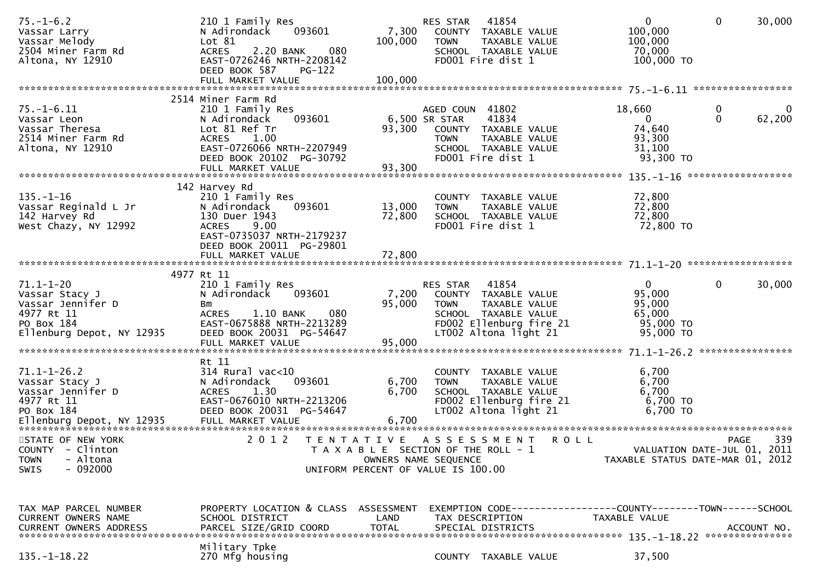| $75. - 1 - 6.2$<br>Vassar Larry<br>Vassar Melody<br>2504 Miner Farm Rd<br>Altona, NY 12910                      | 210 1 Family Res<br>093601<br>N Adirondack<br>Lot 81<br>2.20 BANK<br>080<br><b>ACRES</b><br>EAST-0726246 NRTH-2208142<br>DEED BOOK 587<br>PG-122                                 | 7,300<br>100,000          | RES STAR<br>41854<br>COUNTY TAXABLE VALUE<br>TAXABLE VALUE<br><b>TOWN</b><br>SCHOOL TAXABLE VALUE<br>FD001 Fire dist 1                             | $\overline{0}$<br>100,000<br>100,000<br>70,000<br>100,000 TO                  | $\mathbf 0$<br>30,000                                                          |
|-----------------------------------------------------------------------------------------------------------------|----------------------------------------------------------------------------------------------------------------------------------------------------------------------------------|---------------------------|----------------------------------------------------------------------------------------------------------------------------------------------------|-------------------------------------------------------------------------------|--------------------------------------------------------------------------------|
|                                                                                                                 |                                                                                                                                                                                  |                           |                                                                                                                                                    |                                                                               |                                                                                |
| $75. - 1 - 6.11$<br>Vassar Leon<br>Vassar Theresa<br>2514 Miner Farm Rd<br>Altona, NY 12910                     | 2514 Miner Farm Rd<br>210 1 Family Res<br>093601<br>N Adirondack<br>Lot 81 Ref Tr<br>1.00<br><b>ACRES</b><br>EAST-0726066 NRTH-2207949<br>DEED BOOK 20102 PG-30792               | 93,300                    | AGED COUN 41802<br>6,500 SR STAR<br>41834<br>COUNTY TAXABLE VALUE<br><b>TOWN</b><br>TAXABLE VALUE<br>SCHOOL TAXABLE VALUE<br>FD001 Fire dist 1     | 18,660<br>$\mathbf{0}$<br>74,640<br>93,300<br>31,100<br>93,300 TO             | 0<br>0<br>$\mathbf{0}$<br>62,200                                               |
|                                                                                                                 |                                                                                                                                                                                  |                           |                                                                                                                                                    |                                                                               |                                                                                |
| $135. - 1 - 16$<br>Vassar Reginald L Jr<br>142 Harvey Rd<br>West Chazy, NY 12992                                | 142 Harvey Rd<br>210 1 Family Res<br>N Adirondack<br>093601<br>130 Duer 1943<br>9.00<br><b>ACRES</b><br>EAST-0735037 NRTH-2179237<br>DEED BOOK 20011 PG-29801                    | 13,000<br>72,800          | COUNTY TAXABLE VALUE<br><b>TOWN</b><br>TAXABLE VALUE<br>SCHOOL TAXABLE VALUE<br>FD001 Fire dist 1                                                  | 72,800<br>72,800<br>72,800<br>72,800 TO                                       |                                                                                |
|                                                                                                                 |                                                                                                                                                                                  |                           |                                                                                                                                                    |                                                                               |                                                                                |
| $71.1 - 1 - 20$<br>Vassar Stacy J<br>Vassar Jennifer D<br>4977 Rt 11<br>PO Box 184<br>Ellenburg Depot, NY 12935 | 4977 Rt 11<br>210 1 Family Res<br>N Adirondack<br>093601<br>Bm<br>080<br><b>ACRES</b><br>1.10 BANK<br>EAST-0675888 NRTH-2213289<br>DEED BOOK 20031 PG-54647<br>FULL MARKET VALUE | 7,200<br>95,000<br>95,000 | RES STAR 41854<br>COUNTY TAXABLE VALUE<br><b>TOWN</b><br>TAXABLE VALUE<br>SCHOOL TAXABLE VALUE<br>FD002 Ellenburg fire 21<br>LT002 Altona light 21 | $\mathbf{0}$<br>95,000<br>95,000<br>65,000<br>95,000 TO<br>95,000 TO          | $\mathbf 0$<br>30,000                                                          |
| $71.1 - 1 - 26.2$<br>Vassar Stacy J<br>Vassar Jennifer D<br>4977 Rt 11<br>PO Box 184                            | Rt 11<br>$314$ Rural vac<10<br>093601<br>N Adirondack<br>1.30<br><b>ACRES</b><br>EAST-0676010 NRTH-2213206<br>DEED BOOK 20031 PG-54647                                           | 6,700<br>6,700            | COUNTY TAXABLE VALUE<br>TAXABLE VALUE<br><b>TOWN</b><br>SCHOOL TAXABLE VALUE<br>FD002 Ellenburg fire 21<br>LT002 Altona light 21                   | 6,700<br>6,700<br>6,700<br>6,700 TO<br>$6,700$ TO                             |                                                                                |
| STATE OF NEW YORK<br>COUNTY - Clinton<br>- Altona<br><b>TOWN</b><br>$-092000$<br><b>SWIS</b>                    | 2 0 1 2                                                                                                                                                                          |                           | TENTATIVE ASSESSMENT<br>T A X A B L E SECTION OF THE ROLL - 1<br>OWNERS NAME SEQUENCE<br>UNIFORM PERCENT OF VALUE IS 100.00                        | <b>ROLL</b>                                                                   | 339<br>PAGE<br>VALUATION DATE-JUL 01, 2011<br>TAXABLE STATUS DATE-MAR 01, 2012 |
| TAX MAP PARCEL NUMBER<br>CURRENT OWNERS NAME<br><b>CURRENT OWNERS ADDRESS</b>                                   | PROPERTY LOCATION & CLASS ASSESSMENT<br>SCHOOL DISTRICT<br>PARCEL SIZE/GRID COORD                                                                                                | LAND<br><b>TOTAL</b>      | TAX DESCRIPTION<br>SPECIAL DISTRICTS                                                                                                               | EXEMPTION CODE-----------------COUNTY-------TOWN------SCHOOL<br>TAXABLE VALUE | ACCOUNT NO.                                                                    |
| $135. - 1 - 18.22$                                                                                              | Military Tpke<br>270 Mfg housing                                                                                                                                                 |                           | COUNTY TAXABLE VALUE                                                                                                                               | 37,500                                                                        |                                                                                |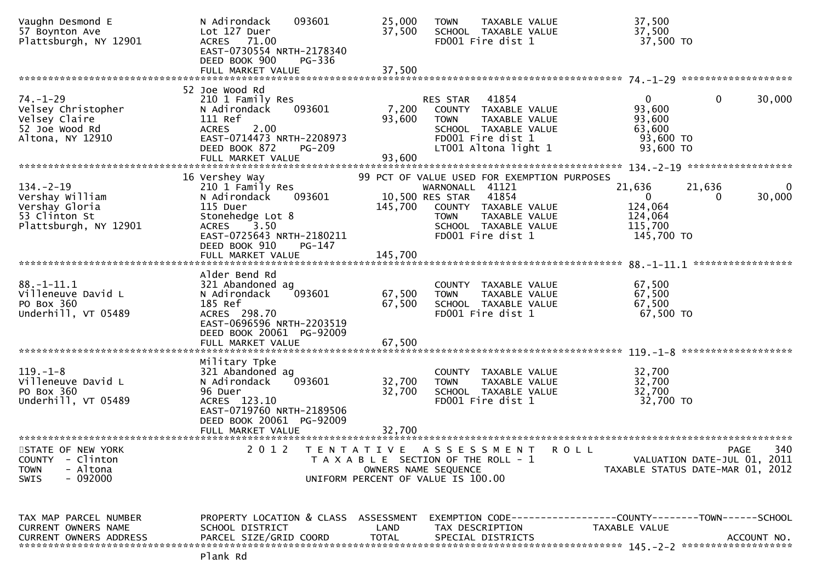| Vaughn Desmond E<br>57 Boynton Ave<br>Plattsburgh, NY 12901                                            | N Adirondack<br>093601<br>Lot 127 Duer<br>ACRES 71.00<br>EAST-0730554 NRTH-2178340<br>DEED BOOK 900<br>PG-336                                                                | 25,000<br>37,500                          | TAXABLE VALUE<br><b>TOWN</b><br>SCHOOL TAXABLE VALUE<br>FD001 Fire dist 1                                                                        | 37,500<br>37,500<br>37,500 TO                                                 |                                                                                |
|--------------------------------------------------------------------------------------------------------|------------------------------------------------------------------------------------------------------------------------------------------------------------------------------|-------------------------------------------|--------------------------------------------------------------------------------------------------------------------------------------------------|-------------------------------------------------------------------------------|--------------------------------------------------------------------------------|
|                                                                                                        |                                                                                                                                                                              |                                           |                                                                                                                                                  |                                                                               |                                                                                |
|                                                                                                        |                                                                                                                                                                              |                                           |                                                                                                                                                  |                                                                               |                                                                                |
| $74. - 1 - 29$<br>Velsey Christopher<br>Velsey Claire<br>52 Joe Wood Rd<br>Altona, NY 12910            | 52 Joe Wood Rd<br>210 1 Family Res<br>093601<br>N Adirondack<br>111 Ref<br><b>ACRES</b><br>2.00<br>EAST-0714473 NRTH-2208973<br>DEED BOOK 872<br>PG-209<br>FULL MARKET VALUE | 7,200<br>93,600<br>93,600                 | 41854<br>RES STAR<br>COUNTY TAXABLE VALUE<br>TAXABLE VALUE<br><b>TOWN</b><br>SCHOOL TAXABLE VALUE<br>FD001 Fire dist 1<br>LT001 Altona light 1   | 0<br>93,600<br>93,600<br>63,600<br>93,600 TO<br>93,600 TO                     | 0<br>30,000                                                                    |
|                                                                                                        | 16 Vershey Way                                                                                                                                                               |                                           | 99 PCT OF VALUE USED FOR EXEMPTION PURPOSES                                                                                                      |                                                                               |                                                                                |
| $134. - 2 - 19$<br>Vershay William<br>Vershay Gloria<br>53 Clinton St<br>Plattsburgh, NY 12901         | 210 1 Family Res<br>N Adirondack<br>093601<br>115 Duer<br>Stonehedge Lot 8<br>3.50<br><b>ACRES</b><br>EAST-0725643 NRTH-2180211<br>DEED BOOK 910<br>PG-147                   | 145,700                                   | WARNONALL 41121<br>10,500 RES STAR<br>41854<br>COUNTY TAXABLE VALUE<br><b>TOWN</b><br>TAXABLE VALUE<br>SCHOOL TAXABLE VALUE<br>FD001 Fire dist 1 | 21,636<br>$\overline{0}$<br>124,064<br>124,064<br>115,700<br>145,700 TO       | 21,636<br>$\mathbf{0}$<br>30,000<br>0                                          |
|                                                                                                        | FULL MARKET VALUE                                                                                                                                                            | 145,700                                   |                                                                                                                                                  |                                                                               | *****************                                                              |
|                                                                                                        | Alder Bend Rd                                                                                                                                                                |                                           |                                                                                                                                                  |                                                                               |                                                                                |
| $88. - 1 - 11.1$<br>Villeneuve David L<br>PO Box 360<br>Underhill, VT 05489                            | 321 Abandoned ag<br>N Adirondack<br>093601<br>185 Ref<br>ACRES 298.70<br>EAST-0696596 NRTH-2203519<br>DEED BOOK 20061 PG-92009<br>FULL MARKET VALUE                          | 67,500<br>67,500<br>67,500                | <b>COUNTY</b><br>TAXABLE VALUE<br>TAXABLE VALUE<br><b>TOWN</b><br>SCHOOL TAXABLE VALUE<br>FD001 Fire dist 1                                      | 67,500<br>67,500<br>67,500<br>67,500 TO                                       |                                                                                |
|                                                                                                        | Military Tpke                                                                                                                                                                |                                           |                                                                                                                                                  |                                                                               |                                                                                |
| $119. - 1 - 8$<br>Villeneuve David L<br>PO Box 360<br>Underhill, VT 05489                              | 321 Abandoned ag<br>093601<br>N Adirondack<br>96 Duer<br>ACRES 123.10<br>EAST-0719760 NRTH-2189506<br>DEED BOOK 20061 PG-92009<br>FULL MARKET VALUE                          | 32,700<br>32,700<br>32.700                | COUNTY TAXABLE VALUE<br>TAXABLE VALUE<br><b>TOWN</b><br>SCHOOL TAXABLE VALUE<br>FD001 Fire dist 1                                                | 32,700<br>32,700<br>32,700<br>32,700 TO                                       |                                                                                |
|                                                                                                        |                                                                                                                                                                              |                                           |                                                                                                                                                  |                                                                               |                                                                                |
| STATE OF NEW YORK<br><b>COUNTY</b><br>- Clinton<br>- Altona<br><b>TOWN</b><br>$-092000$<br><b>SWIS</b> | 2 0 1 2                                                                                                                                                                      | T E N T A T I V E<br>OWNERS NAME SEQUENCE | ASSESSMENT<br>T A X A B L E SECTION OF THE ROLL - 1<br>UNIFORM PERCENT OF VALUE IS 100.00                                                        | R O L L                                                                       | 340<br>PAGE<br>VALUATION DATE-JUL 01, 2011<br>TAXABLE STATUS DATE-MAR 01, 2012 |
| TAX MAP PARCEL NUMBER<br>CURRENT OWNERS NAME                                                           | PROPERTY LOCATION & CLASS ASSESSMENT<br>SCHOOL DISTRICT<br>Plank Rd                                                                                                          | LAND                                      | TAX DESCRIPTION                                                                                                                                  | EXEMPTION CODE-----------------COUNTY-------TOWN------SCHOOL<br>TAXABLE VALUE |                                                                                |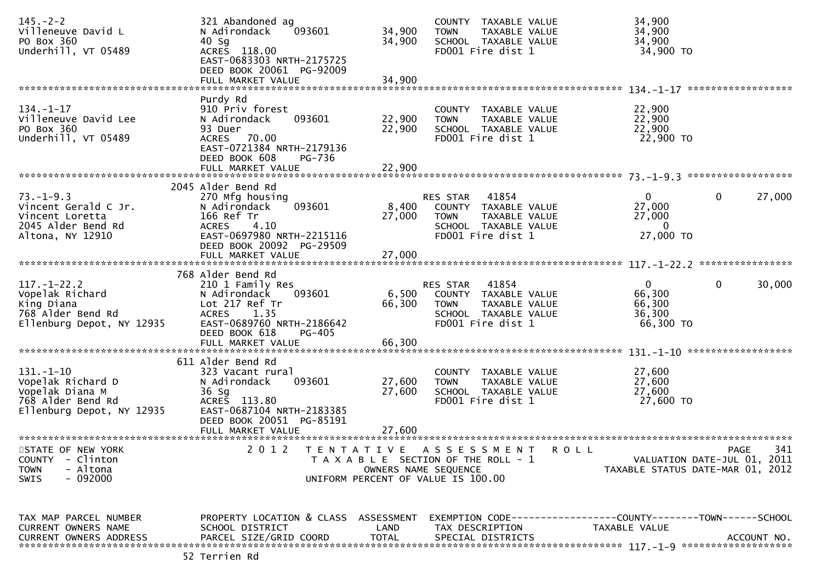| $145. - 2 - 2$<br>Villeneuve David L<br>PO Box 360<br>Underhill, VT 05489                                 | 321 Abandoned ag<br>N Adirondack<br>093601<br>40 Sg<br>ACRES 118.00<br>EAST-0683303 NRTH-2175725<br>DEED BOOK 20061 PG-92009<br>FULL MARKET VALUE              | 34,900<br>34,900<br>34,900        | COUNTY TAXABLE VALUE<br><b>TOWN</b><br>TAXABLE VALUE<br>SCHOOL TAXABLE VALUE<br>FD001 Fire dist 1                      | 34,900<br>34,900<br>34,900<br>34,900 TO                                                      |
|-----------------------------------------------------------------------------------------------------------|----------------------------------------------------------------------------------------------------------------------------------------------------------------|-----------------------------------|------------------------------------------------------------------------------------------------------------------------|----------------------------------------------------------------------------------------------|
|                                                                                                           | Purdy Rd                                                                                                                                                       |                                   |                                                                                                                        | ******************                                                                           |
| $134. - 1 - 17$<br>Villeneuve David Lee<br>PO Box 360<br>Underhill, VT 05489                              | 910 Priv forest<br>093601<br>N Adirondack<br>93 Duer<br>70.00<br><b>ACRES</b><br>EAST-0721384 NRTH-2179136<br>DEED BOOK 608<br>PG-736<br>FULL MARKET VALUE     | 22,900<br>22,900<br>22,900        | COUNTY TAXABLE VALUE<br>TAXABLE VALUE<br><b>TOWN</b><br>SCHOOL TAXABLE VALUE<br>FD001 Fire dist 1                      | 22,900<br>22,900<br>22,900<br>22,900 TO                                                      |
|                                                                                                           |                                                                                                                                                                |                                   |                                                                                                                        |                                                                                              |
| $73. - 1 - 9.3$<br>Vincent Gerald C Jr.<br>Vincent Loretta<br>2045 Alder Bend Rd<br>Altona, NY 12910      | 2045 Alder Bend Rd<br>270 Mfg housing<br>093601<br>N Adirondack<br>166 Ref Tr<br>4.10<br><b>ACRES</b><br>EAST-0697980 NRTH-2215116<br>DEED BOOK 20092 PG-29509 | 8,400<br>27,000                   | RES STAR<br>41854<br>COUNTY TAXABLE VALUE<br>TAXABLE VALUE<br><b>TOWN</b><br>SCHOOL TAXABLE VALUE<br>FD001 Fire dist 1 | $\mathbf{0}$<br>27,000<br>0<br>27,000<br>27,000<br>0<br>27,000 TO                            |
|                                                                                                           | FULL MARKET VALUE                                                                                                                                              | 27,000                            |                                                                                                                        |                                                                                              |
|                                                                                                           |                                                                                                                                                                |                                   |                                                                                                                        |                                                                                              |
| $117. - 1 - 22.2$<br>Vopelak Richard<br>King Diana<br>768 Alder Bend Rd<br>Ellenburg Depot, NY 12935      | 768 Alder Bend Rd<br>210 1 Family Res<br>N Adirondack<br>093601<br>Lot 217 Ref Tr<br>ACRES 1.35<br>EAST-0689760 NRTH-2186642<br>DEED BOOK 618<br>PG-405        | 6,500<br>66,300                   | RES STAR<br>41854<br>COUNTY TAXABLE VALUE<br><b>TOWN</b><br>TAXABLE VALUE<br>SCHOOL TAXABLE VALUE<br>FD001 Fire dist 1 | $\Omega$<br>$\mathbf 0$<br>30,000<br>66,300<br>66,300<br>36,300<br>66,300 TO                 |
|                                                                                                           | FULL MARKET VALUE                                                                                                                                              | 66,300                            |                                                                                                                        |                                                                                              |
|                                                                                                           | 611 Alder Bend Rd                                                                                                                                              |                                   |                                                                                                                        |                                                                                              |
| $131. - 1 - 10$<br>Vopelak Richard D<br>Vopelak Diana M<br>768 Alder Bend Rd<br>Ellenburg Depot, NY 12935 | 323 Vacant rural<br>N Adirondack<br>093601<br>36 Sg<br>ACRES 113.80<br>EAST-0687104 NRTH-2183385<br>DEED BOOK 20051 PG-85191                                   | 27,600<br>27,600                  | COUNTY TAXABLE VALUE<br>TAXABLE VALUE<br><b>TOWN</b><br>SCHOOL TAXABLE VALUE<br>FD001 Fire dist 1                      | 27,600<br>27,600<br>27,600<br>27,600 TO                                                      |
|                                                                                                           | FULL MARKET VALUE                                                                                                                                              | 27,600                            |                                                                                                                        |                                                                                              |
| STATE OF NEW YORK<br><b>COUNTY</b><br>- Clinton<br>- Altona<br><b>TOWN</b><br>$-092000$<br><b>SWIS</b>    | 2 0 1 2                                                                                                                                                        | TENTATIVE<br>OWNERS NAME SEQUENCE | ASSESSMENT<br>R O L L<br>T A X A B L E SECTION OF THE ROLL - 1<br>UNIFORM PERCENT OF VALUE IS 100.00                   | 341<br><b>PAGE</b><br>VALUATION DATE-JUL 01, 2011<br>TAXABLE STATUS DATE-MAR 01, 2012        |
| TAX MAP PARCEL NUMBER<br>CURRENT OWNERS NAME<br>CURRENT OWNERS ADDRESS                                    | PROPERTY LOCATION & CLASS ASSESSMENT<br>SCHOOL DISTRICT<br>PARCEL SIZE/GRID COORD                                                                              | LAND<br><b>TOTAL</b>              | TAX DESCRIPTION<br>SPECIAL DISTRICTS                                                                                   | EXEMPTION CODE-----------------COUNTY-------TOWN------SCHOOL<br>TAXABLE VALUE<br>ACCOUNT NO. |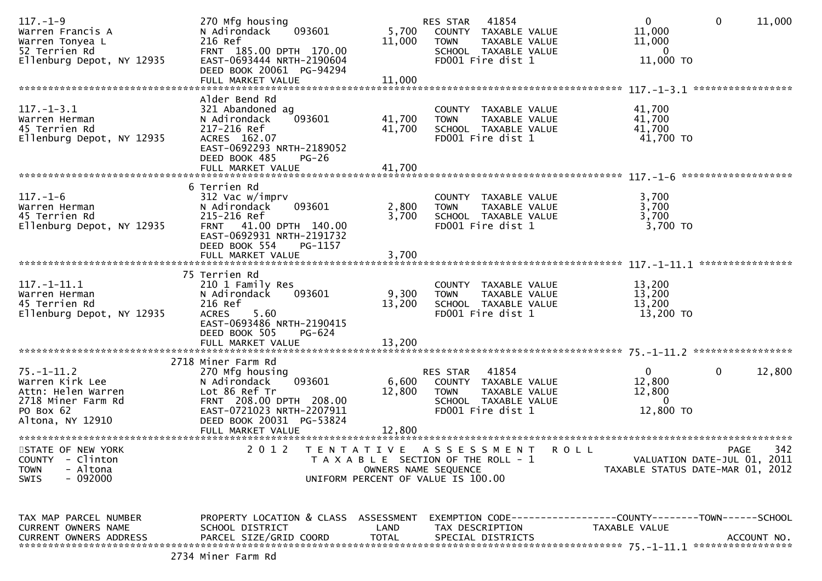| $117. - 1 - 9$<br>Warren Francis A<br>Warren Tonyea L<br>52 Terrien Rd<br>Ellenburg Depot, NY 12935              | 270 Mfg housing<br>093601<br>N Adirondack<br>216 Ref<br>FRNT 185.00 DPTH 170.00<br>EAST-0693444 NRTH-2190604<br>DEED BOOK 20061 PG-94294<br>FULL MARKET VALUE                             | 5,700<br>11,000<br>11,000  | 41854<br>RES STAR<br>COUNTY TAXABLE VALUE<br><b>TOWN</b><br>TAXABLE VALUE<br>SCHOOL TAXABLE VALUE<br>FD001 Fire dist 1                    | $\overline{0}$<br>$\mathbf 0$<br>11,000<br>11,000<br>$\mathbf{0}$<br>11,000 TO                            | 11,000           |
|------------------------------------------------------------------------------------------------------------------|-------------------------------------------------------------------------------------------------------------------------------------------------------------------------------------------|----------------------------|-------------------------------------------------------------------------------------------------------------------------------------------|-----------------------------------------------------------------------------------------------------------|------------------|
| $117. - 1 - 3.1$<br>Warren Herman<br>45 Terrien Rd<br>Ellenburg Depot, NY 12935                                  | Alder Bend Rd<br>321 Abandoned ag<br>093601<br>N Adirondack<br>217-216 Ref<br>ACRES 162.07<br>EAST-0692293 NRTH-2189052<br>DEED BOOK 485<br>$PG-26$<br>FULL MARKET VALUE                  | 41,700<br>41,700<br>41,700 | COUNTY TAXABLE VALUE<br>TAXABLE VALUE<br><b>TOWN</b><br>SCHOOL TAXABLE VALUE<br>FD001 Fire dist 1                                         | *****************<br>41,700<br>41,700<br>41,700<br>41,700 TO                                              |                  |
| $117. - 1 - 6$<br>Warren Herman<br>45 Terrien Rd<br>Ellenburg Depot, NY 12935                                    | 6 Terrien Rd<br>312 Vac w/imprv<br>093601<br>N Adirondack<br>215-216 Ref<br>FRNT 41.00 DPTH 140.00<br>EAST-0692931 NRTH-2191732<br>DEED BOOK 554<br>PG-1157<br>FULL MARKET VALUE          | 2,800<br>3,700<br>3,700    | COUNTY TAXABLE VALUE<br>TAXABLE VALUE<br><b>TOWN</b><br>SCHOOL TAXABLE VALUE<br>FD001 Fire dist 1                                         | 3,700<br>3,700<br>3,700<br>3,700 TO                                                                       | **************** |
| $117. - 1 - 11.1$<br>Warren Herman<br>45 Terrien Rd<br>Ellenburg Depot, NY 12935                                 | 75 Terrien Rd<br>210 1 Family Res<br>N Adirondack<br>093601<br>216 Ref<br><b>ACRES</b><br>5.60<br>EAST-0693486 NRTH-2190415<br>DEED BOOK 505<br>PG-624<br>FULL MARKET VALUE               | 9,300<br>13,200<br>13,200  | COUNTY TAXABLE VALUE<br>TAXABLE VALUE<br><b>TOWN</b><br>SCHOOL TAXABLE VALUE<br>FD001 Fire dist 1                                         | 13,200<br>13,200<br>13,200<br>13,200 TO                                                                   |                  |
| $75. - 1 - 11.2$<br>Warren Kirk Lee<br>Attn: Helen Warren<br>2718 Miner Farm Rd<br>PO Box 62<br>Altona, NY 12910 | 2718 Miner Farm Rd<br>270 Mfg housing<br>093601<br>N Adirondack<br>Lot 86 Ref Tr<br>FRNT 208.00 DPTH 208.00<br>EAST-0721023 NRTH-2207911<br>DEED BOOK 20031 PG-53824<br>FULL MARKET VALUE | 6,600<br>12,800<br>12,800  | 41854<br>RES STAR<br>COUNTY TAXABLE VALUE<br><b>TOWN</b><br>TAXABLE VALUE<br>SCHOOL TAXABLE VALUE<br>FD001 Fire dist 1                    | $\overline{0}$<br>$\mathbf{0}$<br>12,800<br>12,800<br>$\overline{0}$<br>12,800 TO                         | 12,800           |
| STATE OF NEW YORK<br><b>COUNTY</b><br>- Clinton<br>- Altona<br><b>TOWN</b><br>$-092000$<br><b>SWIS</b>           | 2 0 1 2                                                                                                                                                                                   | T E N T A T I V E          | A S S E S S M E N T<br><b>ROLL</b><br>T A X A B L E SECTION OF THE ROLL - 1<br>OWNERS NAME SEQUENCE<br>UNIFORM PERCENT OF VALUE IS 100.00 | PAGE<br>VALUATION DATE-JUL 01, 2011<br>TAXABLE STATUS DATE-MAR 01, 2012                                   | 342              |
| TAX MAP PARCEL NUMBER<br>CURRENT OWNERS NAME<br><b>CURRENT OWNERS ADDRESS</b>                                    | PROPERTY LOCATION & CLASS ASSESSMENT<br>SCHOOL DISTRICT<br>PARCEL SIZE/GRID COORD                                                                                                         | LAND<br><b>TOTAL</b>       | TAX DESCRIPTION<br>SPECIAL DISTRICTS                                                                                                      | EXEMPTION        CODE-----------------COUNTY-------TOWN------SCHOOL<br>TAXABLE VALUE<br>***************** | ACCOUNT NO.      |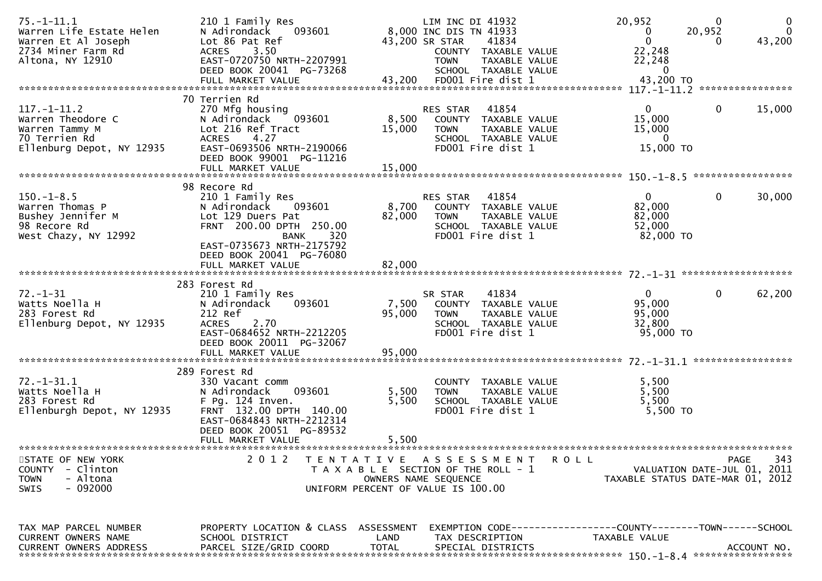| $75. - 1 - 11.1$<br>Warren Life Estate Helen<br>Warren Et Al Joseph<br>2734 Miner Farm Rd<br>Altona, NY 12910 | 210 1 Family Res<br>093601<br>N Adirondack<br>Lot 86 Pat Ref<br>3.50<br><b>ACRES</b><br>EAST-0720750 NRTH-2207991<br>DEED BOOK 20041 PG-73268<br>FULL MARKET VALUE | 43,200               | LIM INC DI 41932<br>8,000 INC DIS TN 41933<br>43,200 SR STAR<br><b>TOWN</b><br>FD001 Fire dist 1                            | 41834<br>COUNTY TAXABLE VALUE<br>TAXABLE VALUE<br>SCHOOL TAXABLE VALUE | 20,952<br>0<br>$\mathbf{0}$<br>22,248<br>22,248<br>$\mathbf{0}$<br>43,200 TO  | $\mathbf 0$<br>20,952<br>0 | 0<br>$\mathbf{0}$<br>43,200 |
|---------------------------------------------------------------------------------------------------------------|--------------------------------------------------------------------------------------------------------------------------------------------------------------------|----------------------|-----------------------------------------------------------------------------------------------------------------------------|------------------------------------------------------------------------|-------------------------------------------------------------------------------|----------------------------|-----------------------------|
|                                                                                                               |                                                                                                                                                                    |                      |                                                                                                                             |                                                                        |                                                                               |                            | ****************            |
| $117. - 1 - 11.2$<br>Warren Theodore C<br>Warren Tammy M<br>70 Terrien Rd<br>Ellenburg Depot, NY 12935        | 70 Terrien Rd<br>270 Mfg housing<br>093601<br>N Adirondack<br>Lot 216 Ref Tract<br>4.27<br><b>ACRES</b><br>EAST-0693506 NRTH-2190066<br>DEED BOOK 99001 PG-11216   | 8,500<br>15,000      | <b>RES STAR</b><br><b>TOWN</b><br>FD001 Fire dist 1                                                                         | 41854<br>COUNTY TAXABLE VALUE<br>TAXABLE VALUE<br>SCHOOL TAXABLE VALUE | $\mathbf{0}$<br>15,000<br>15,000<br>$\mathbf{0}$<br>15,000 TO                 | 0                          | 15,000                      |
|                                                                                                               | FULL MARKET VALUE                                                                                                                                                  | 15,000               |                                                                                                                             |                                                                        |                                                                               |                            |                             |
| $150. - 1 - 8.5$<br>Warren Thomas P<br>Bushey Jennifer M<br>98 Recore Rd                                      | 98 Recore Rd<br>210 1 Family Res<br>N Adirondack<br>093601<br>Lot 129 Duers Pat<br>FRNT 200.00 DPTH 250.00                                                         | 8,700<br>82,000      | RES STAR<br><b>TOWN</b>                                                                                                     | 41854<br>COUNTY TAXABLE VALUE<br>TAXABLE VALUE<br>SCHOOL TAXABLE VALUE | $\mathbf{0}$<br>82,000<br>82,000<br>52,000                                    | $\mathbf{0}$               | 30,000                      |
| West Chazy, NY 12992                                                                                          | <b>BANK</b><br>320<br>EAST-0735673 NRTH-2175792<br>DEED BOOK 20041 PG-76080<br>FULL MARKET VALUE                                                                   | 82,000               | FD001 Fire dist 1                                                                                                           |                                                                        | 82,000 TO                                                                     |                            |                             |
|                                                                                                               |                                                                                                                                                                    |                      |                                                                                                                             |                                                                        |                                                                               |                            |                             |
| 72. –1–31<br>Watts Noella H<br>283 Forest Rd<br>Ellenburg Depot, NY 12935                                     | 283 Forest Rd<br>210 1 Family Res<br>093601<br>N Adirondack<br>212 Ref<br>2.70<br><b>ACRES</b><br>EAST-0684652 NRTH-2212205<br>DEED BOOK 20011 PG-32067            | 7,500<br>95,000      | SR STAR<br><b>TOWN</b><br>FD001 Fire dist 1                                                                                 | 41834<br>COUNTY TAXABLE VALUE<br>TAXABLE VALUE<br>SCHOOL TAXABLE VALUE | $\mathbf{0}$<br>95,000<br>95,000<br>32,800<br>95,000 TO                       | $\mathbf{0}$               | 62,200                      |
|                                                                                                               | 289 Forest Rd                                                                                                                                                      |                      |                                                                                                                             |                                                                        |                                                                               |                            |                             |
| $72. - 1 - 31.1$<br>Watts Noella H<br>283 Forest Rd<br>Ellenburgh Depot, NY 12935                             | 330 Vacant comm<br>093601<br>N Adirondack<br>F Pg. 124 Inven.<br>FRNT 132.00 DPTH 140.00<br>EAST-0684843 NRTH-2212314<br>DEED BOOK 20051 PG-89532                  | 5,500<br>5,500       | <b>TOWN</b><br>FD001 Fire dist 1                                                                                            | COUNTY TAXABLE VALUE<br>TAXABLE VALUE<br>SCHOOL TAXABLE VALUE          | 5,500<br>5,500<br>5,500<br>5,500 TO                                           |                            |                             |
|                                                                                                               | FULL MARKET VALUE                                                                                                                                                  | 5,500                |                                                                                                                             |                                                                        |                                                                               |                            |                             |
| STATE OF NEW YORK<br>- Clinton<br><b>COUNTY</b><br>- Altona<br><b>TOWN</b><br>- 092000<br><b>SWIS</b>         | 2012                                                                                                                                                               |                      | TENTATIVE ASSESSMENT<br>T A X A B L E SECTION OF THE ROLL - 1<br>OWNERS NAME SEQUENCE<br>UNIFORM PERCENT OF VALUE IS 100.00 |                                                                        | R O L L<br>VALUATION DATE-JUL 01, 2011<br>TAXABLE STATUS DATE-MAR 01, 2012    |                            | 343<br>PAGE                 |
| TAX MAP PARCEL NUMBER<br>CURRENT OWNERS NAME<br><b>CURRENT OWNERS ADDRESS</b>                                 | PROPERTY LOCATION & CLASS ASSESSMENT<br>SCHOOL DISTRICT<br>PARCEL SIZE/GRID COORD                                                                                  | LAND<br><b>TOTAL</b> | TAX DESCRIPTION<br>SPECIAL DISTRICTS                                                                                        |                                                                        | EXEMPTION CODE-----------------COUNTY-------TOWN------SCHOOL<br>TAXABLE VALUE |                            | ACCOUNT NO.                 |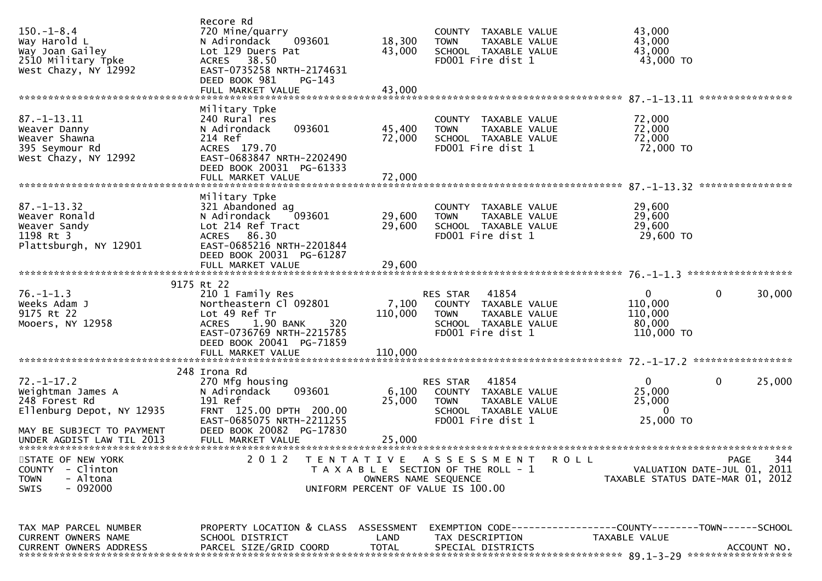| $150. - 1 - 8.4$<br>Way Harold L<br>Way Joan Gailey<br>2510 Military Tpke<br>West Chazy, NY 12992                | Recore Rd<br>720 Mine/quarry<br>N Adirondack<br>093601<br>Lot 129 Duers Pat<br>38.50<br><b>ACRES</b><br>EAST-0735258 NRTH-2174631<br>DEED BOOK 981<br>$PG-143$ | 18,300<br>43,000     | COUNTY TAXABLE VALUE<br>TAXABLE VALUE<br><b>TOWN</b><br>SCHOOL TAXABLE VALUE<br>FD001 Fire dist 1                             | 43,000<br>43,000<br>43,000<br>43,000 TO                                                      |  |
|------------------------------------------------------------------------------------------------------------------|----------------------------------------------------------------------------------------------------------------------------------------------------------------|----------------------|-------------------------------------------------------------------------------------------------------------------------------|----------------------------------------------------------------------------------------------|--|
|                                                                                                                  |                                                                                                                                                                |                      |                                                                                                                               | ****************                                                                             |  |
| $87. - 1 - 13.11$<br>Weaver Danny<br>Weaver Shawna<br>395 Seymour Rd<br>West Chazy, NY 12992                     | Military Tpke<br>240 Rural res<br>093601<br>N Adirondack<br>214 Ref<br>ACRES 179.70<br>EAST-0683847 NRTH-2202490<br>DEED BOOK 20031 PG-61333                   | 45,400<br>72,000     | COUNTY TAXABLE VALUE<br>TAXABLE VALUE<br><b>TOWN</b><br>SCHOOL TAXABLE VALUE<br>FD001 Fire dist 1                             | 72,000<br>72,000<br>72,000<br>72,000 TO                                                      |  |
|                                                                                                                  |                                                                                                                                                                |                      |                                                                                                                               |                                                                                              |  |
| $87. - 1 - 13.32$<br>Weaver Ronald<br>Weaver Sandy<br>1198 Rt 3<br>Plattsburgh, NY 12901                         | Military Tpke<br>321 Abandoned ag<br>093601<br>N Adirondack<br>Lot 214 Ref Tract<br>ACRES 86.30<br>EAST-0685216 NRTH-2201844                                   | 29,600<br>29,600     | COUNTY TAXABLE VALUE<br>TAXABLE VALUE<br><b>TOWN</b><br>SCHOOL TAXABLE VALUE<br>FD001 Fire dist 1                             | 29,600<br>29,600<br>29,600<br>29,600 TO                                                      |  |
|                                                                                                                  | DEED BOOK 20031 PG-61287                                                                                                                                       |                      |                                                                                                                               |                                                                                              |  |
|                                                                                                                  | FULL MARKET VALUE                                                                                                                                              | 29,600               |                                                                                                                               |                                                                                              |  |
|                                                                                                                  | 9175 Rt 22                                                                                                                                                     |                      |                                                                                                                               |                                                                                              |  |
| $76. - 1 - 1.3$<br>Weeks Adam J<br>9175 Rt 22<br>Mooers, NY 12958                                                | 210 1 Family Res<br>Northeastern Cl 092801<br>Lot 49 Ref Tr<br><b>ACRES</b><br>1.90 BANK<br>320<br>EAST-0736769 NRTH-2215785<br>DEED BOOK 20041 PG-71859       | 7,100<br>110,000     | 41854<br><b>RES STAR</b><br>COUNTY TAXABLE VALUE<br><b>TOWN</b><br>TAXABLE VALUE<br>SCHOOL TAXABLE VALUE<br>FD001 Fire dist 1 | $\mathbf{0}$<br>0<br>30,000<br>110,000<br>110,000<br>80,000<br>110,000 TO                    |  |
|                                                                                                                  | FULL MARKET VALUE                                                                                                                                              | 110,000              |                                                                                                                               |                                                                                              |  |
|                                                                                                                  |                                                                                                                                                                |                      |                                                                                                                               |                                                                                              |  |
| $72. - 1 - 17.2$<br>Weightman James A<br>248 Forest Rd<br>Ellenburg Depot, NY 12935<br>MAY BE SUBJECT TO PAYMENT | 248 Irona Rd<br>270 Mfg housing<br>093601<br>N Adirondack<br>191 Ref<br>FRNT 125.00 DPTH 200.00<br>EAST-0685075 NRTH-2211255<br>DEED BOOK 20082 PG-17830       | 6,100<br>25,000      | 41854<br>RES STAR<br>COUNTY TAXABLE VALUE<br>TAXABLE VALUE<br><b>TOWN</b><br>SCHOOL TAXABLE VALUE<br>FD001 Fire dist 1        | $\mathbf{0}$<br>0<br>25,000<br>25,000<br>25,000<br>$\mathbf{0}$<br>25,000 TO                 |  |
| UNDER AGDIST LAW TIL 2013                                                                                        | FULL MARKET VALUE                                                                                                                                              | 25,000               |                                                                                                                               |                                                                                              |  |
|                                                                                                                  |                                                                                                                                                                |                      |                                                                                                                               |                                                                                              |  |
| STATE OF NEW YORK<br>- Clinton<br><b>COUNTY</b><br><b>TOWN</b><br>- Altona<br>$-092000$<br>SWIS                  | 2 0 1 2                                                                                                                                                        | OWNERS NAME SEQUENCE | TENTATIVE ASSESSMENT<br><b>ROLL</b><br>T A X A B L E SECTION OF THE ROLL - 1<br>UNIFORM PERCENT OF VALUE IS 100.00            | 344<br><b>PAGE</b><br>VALUATION DATE-JUL 01, 2011<br>TAXABLE STATUS DATE-MAR 01, 2012        |  |
|                                                                                                                  |                                                                                                                                                                |                      |                                                                                                                               |                                                                                              |  |
| TAX MAP PARCEL NUMBER<br>CURRENT OWNERS NAME<br><b>CURRENT OWNERS ADDRESS</b>                                    | PROPERTY LOCATION & CLASS ASSESSMENT<br>SCHOOL DISTRICT<br>PARCEL SIZE/GRID COORD                                                                              | LAND<br><b>TOTAL</b> | TAX DESCRIPTION<br>SPECIAL DISTRICTS                                                                                          | EXEMPTION CODE-----------------COUNTY-------TOWN------SCHOOL<br>TAXABLE VALUE<br>ACCOUNT NO. |  |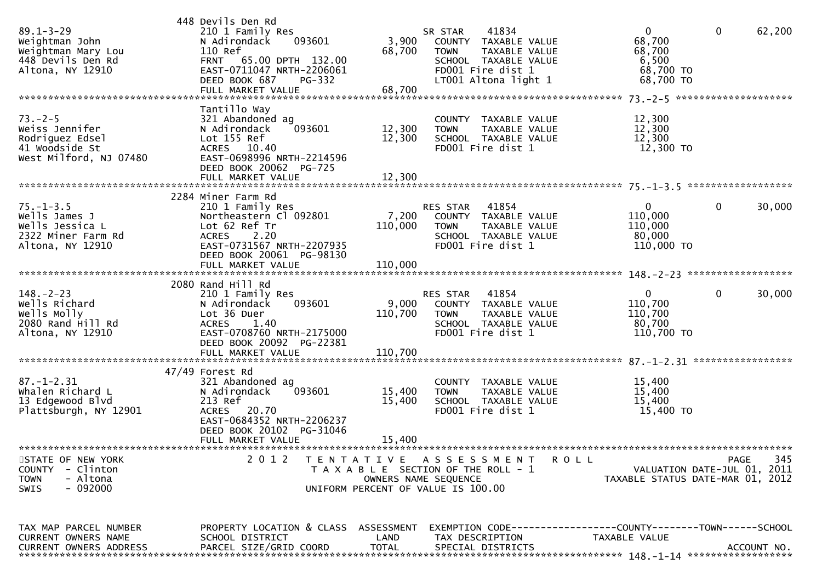| $89.1 - 3 - 29$<br>Weightman John<br>Weightman Mary Lou<br>448 Devils Den Rd<br>Altona, NY 12910 | 448 Devils Den Rd<br>210 1 Family Res<br>N Adirondack<br>093601<br>110 Ref<br>FRNT 65.00 DPTH 132.00<br>EAST-0711047 NRTH-2206061<br>DEED BOOK 687<br>PG-332                         | 3,900<br>68,700             | 41834<br>SR STAR<br>COUNTY TAXABLE VALUE<br><b>TOWN</b><br>TAXABLE VALUE<br>SCHOOL TAXABLE VALUE<br>FD001 Fire dist 1<br>LT001 Altona light 1 | $\mathbf 0$<br>68,700<br>68,700<br>6,500<br>68,700 TO<br>68,700 TO | $\mathbf 0$<br>62,200                             |
|--------------------------------------------------------------------------------------------------|--------------------------------------------------------------------------------------------------------------------------------------------------------------------------------------|-----------------------------|-----------------------------------------------------------------------------------------------------------------------------------------------|--------------------------------------------------------------------|---------------------------------------------------|
| $73. - 2 - 5$<br>Weiss Jennifer<br>Rodriguez Edsel<br>41 Woodside St<br>West Milford, NJ 07480   | Tantillo Way<br>321 Abandoned ag<br>N Adirondack<br>093601<br>Lot 155 Ref<br>ACRES 10.40<br>EAST-0698996 NRTH-2214596<br>DEED BOOK 20062 PG-725                                      | 12,300<br>12,300            | COUNTY TAXABLE VALUE<br><b>TOWN</b><br>TAXABLE VALUE<br>SCHOOL TAXABLE VALUE<br>FD001 Fire dist 1                                             | 12,300<br>12,300<br>12,300<br>12,300 TO                            |                                                   |
| $75. - 1 - 3.5$<br>Wells James J<br>Wells Jessica L<br>2322 Miner Farm Rd<br>Altona, NY 12910    | 2284 Miner Farm Rd<br>210 1 Family Res<br>Northeastern Cl 092801<br>Lot 62 Ref Tr<br>2.20<br><b>ACRES</b><br>EAST-0731567 NRTH-2207935<br>DEED BOOK 20061 PG-98130                   | 7,200<br>110,000            | RES STAR 41854<br>COUNTY TAXABLE VALUE<br>TAXABLE VALUE<br><b>TOWN</b><br>SCHOOL TAXABLE VALUE<br>FD001 Fire dist 1                           | $\mathbf 0$<br>110,000<br>110,000<br>80,000<br>110,000 TO          | $\mathbf 0$<br>30,000                             |
| $148. - 2 - 23$<br>Wells Richard<br>Wells Molly<br>2080 Rand Hill Rd<br>Altona, NY 12910         | 2080 Rand Hill Rd<br>210 1 Family Res<br>N Adirondack<br>093601<br>Lot 36 Duer<br><b>ACRES</b><br>1.40<br>EAST-0708760 NRTH-2175000<br>DEED BOOK 20092 PG-22381<br>FULL MARKET VALUE | 9,000<br>110,700<br>110,700 | 41854<br>RES STAR<br>COUNTY TAXABLE VALUE<br>TAXABLE VALUE<br><b>TOWN</b><br>SCHOOL TAXABLE VALUE<br>FD001 Fire dist 1                        | $\mathbf 0$<br>110,700<br>110,700<br>80,700<br>110,700 TO          | $\mathbf 0$<br>30,000                             |
| $87. - 1 - 2.31$<br>Whalen Richard L<br>13 Edgewood Blvd<br>Plattsburgh, NY 12901                | 47/49 Forest Rd<br>321 Abandoned ag<br>093601<br>N Adirondack<br>213 Ref<br>ACRES 20.70<br>EAST-0684352 NRTH-2206237<br>DEED BOOK 20102 PG-31046<br>FULL MARKET VALUE                | 15,400<br>15,400<br>15,400  | COUNTY TAXABLE VALUE<br>TAXABLE VALUE<br><b>TOWN</b><br>SCHOOL TAXABLE VALUE<br>FD001 Fire dist 1                                             | 15,400<br>15,400<br>15,400<br>15,400 TO                            |                                                   |
| STATE OF NEW YORK<br>- Clinton<br><b>COUNTY</b><br>- Altona<br><b>TOWN</b><br>$-092000$<br>SWIS  | 2 0 1 2                                                                                                                                                                              |                             | TENTATIVE ASSESSMENT<br><b>ROLL</b><br>T A X A B L E SECTION OF THE ROLL - 1<br>OWNERS NAME SEQUENCE<br>UNIFORM PERCENT OF VALUE IS 100.00    | TAXABLE STATUS DATE-MAR 01, 2012                                   | 345<br><b>PAGE</b><br>VALUATION DATE-JUL 01, 2011 |
| TAX MAP PARCEL NUMBER<br><b>CURRENT OWNERS NAME</b><br><b>CURRENT OWNERS ADDRESS</b>             | PROPERTY LOCATION & CLASS ASSESSMENT<br>SCHOOL DISTRICT<br>PARCEL SIZE/GRID COORD                                                                                                    | LAND<br><b>TOTAL</b>        | TAX DESCRIPTION<br>SPECIAL DISTRICTS                                                                                                          | TAXABLE VALUE                                                      | ACCOUNT NO.                                       |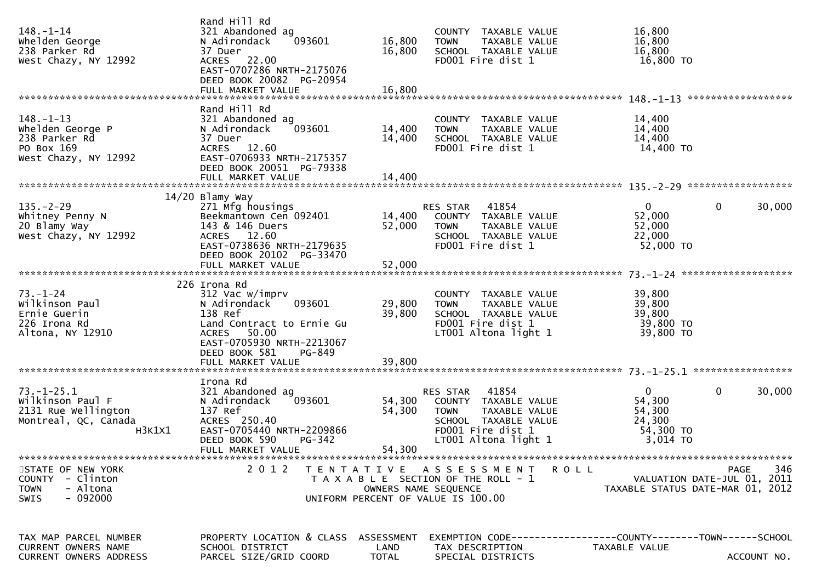| $148. - 1 - 14$<br>whelden George<br>238 Parker Rd<br>West Chazy, NY 12992                    | Rand Hill Rd<br>321 Abandoned ag<br>N Adirondack<br>093601<br>37 Duer<br>ACRES 22.00<br>EAST-0707286 NRTH-2175076<br>DEED BOOK 20082 PG-20954                                                    | 16,800<br>16,800            | COUNTY TAXABLE VALUE<br>TAXABLE VALUE<br><b>TOWN</b><br>SCHOOL TAXABLE VALUE<br>FD001 Fire dist 1                                              | 16,800<br>16,800<br>16,800<br>16,800 TO                                         |             |
|-----------------------------------------------------------------------------------------------|--------------------------------------------------------------------------------------------------------------------------------------------------------------------------------------------------|-----------------------------|------------------------------------------------------------------------------------------------------------------------------------------------|---------------------------------------------------------------------------------|-------------|
|                                                                                               |                                                                                                                                                                                                  |                             |                                                                                                                                                | *******************                                                             |             |
| $148. - 1 - 13$<br>Whelden George P<br>238 Parker Rd<br>PO Box 169<br>West Chazy, NY 12992    | Rand Hill Rd<br>321 Abandoned ag<br>N Adirondack<br>093601<br>37 Duer<br>ACRES 12.60<br>EAST-0706933 NRTH-2175357<br>DEED BOOK 20051 PG-79338                                                    | 14,400<br>14,400            | COUNTY TAXABLE VALUE<br>TAXABLE VALUE<br><b>TOWN</b><br>SCHOOL TAXABLE VALUE<br>FD001 Fire dist 1                                              | 14,400<br>14,400<br>14,400<br>14,400 TO                                         |             |
|                                                                                               |                                                                                                                                                                                                  |                             |                                                                                                                                                |                                                                                 |             |
| $135. - 2 - 29$<br>Whitney Penny N<br>20 Blamy Way<br>West Chazy, NY 12992                    | $14/20$ Blamy Way<br>271 Mfg housings<br>Beekmantown Cen 092401<br>143 & 146 Duers<br>ACRES 12.60<br>EAST-0738636 NRTH-2179635<br>DEED BOOK 20102 PG-33470                                       | 14,400<br>52,000            | RES STAR 41854<br>COUNTY TAXABLE VALUE<br>TAXABLE VALUE<br><b>TOWN</b><br>SCHOOL TAXABLE VALUE<br>FD001 Fire dist 1                            | $\mathbf{0}$<br>$\mathbf{0}$<br>52,000<br>52,000<br>22,000<br>52,000 TO         | 30,000      |
|                                                                                               |                                                                                                                                                                                                  |                             |                                                                                                                                                | *******************                                                             |             |
| $73. - 1 - 24$<br>Wilkinson Paul<br>Ernie Guerin<br>226 Irona Rd<br>Altona, NY 12910          | 226 Irona Rd<br>312 Vac w/imprv<br>093601<br>N Adirondack<br>138 Ref<br>Land Contract to Ernie Gu<br>50.00<br>ACRES<br>EAST-0705930 NRTH-2213067<br>DEED BOOK 581<br>PG-849<br>FULL MARKET VALUE | 29,800<br>39,800<br>39,800  | COUNTY TAXABLE VALUE<br><b>TOWN</b><br>TAXABLE VALUE<br>SCHOOL TAXABLE VALUE<br>FD001 Fire dist 1<br>LT001 Altona light 1                      | 39,800<br>39,800<br>39,800<br>39,800 TO<br>39,800 TO                            |             |
|                                                                                               |                                                                                                                                                                                                  |                             |                                                                                                                                                |                                                                                 |             |
| $73. - 1 - 25.1$<br>Wilkinson Paul F<br>2131 Rue Wellington<br>Montreal, QC, Canada<br>H3K1X1 | Irona Rd<br>321 Abandoned ag<br>093601<br>N Adirondack<br>137 Ref<br>ACRES 250.40<br>EAST-0705440 NRTH-2209866<br>DEED BOOK 590<br><b>PG-342</b><br>FULL MARKET VALUE                            | 54,300<br>54,300<br>54,300  | 41854<br>RES STAR<br>COUNTY TAXABLE VALUE<br><b>TOWN</b><br>TAXABLE VALUE<br>SCHOOL TAXABLE VALUE<br>FD001 Fire dist 1<br>LT001 Altona light 1 | $\mathbf 0$<br>0<br>54,300<br>54,300<br>24,300<br>54,300 TO<br>3,014 TO         | 30,000      |
| STATE OF NEW YORK<br>COUNTY - Clinton<br>- Altona<br><b>TOWN</b><br>$-092000$<br><b>SWIS</b>  |                                                                                                                                                                                                  | OWNERS NAME SEQUENCE        | 2012 TENTATIVE ASSESSMENT ROLL<br>T A X A B L E SECTION OF THE ROLL - 1<br>UNIFORM PERCENT OF VALUE IS 100.00                                  | PAGE<br>VALUATION DATE-JUL 01, 2011<br>TAXABLE STATUS DATE-MAR 01, 2012         | 346         |
| TAX MAP PARCEL NUMBER<br><b>CURRENT OWNERS NAME</b><br>CURRENT OWNERS ADDRESS                 | PROPERTY LOCATION & CLASS<br>SCHOOL DISTRICT<br>PARCEL SIZE/GRID COORD                                                                                                                           | ASSESSMENT<br>LAND<br>TOTAL | TAX DESCRIPTION<br>SPECIAL DISTRICTS                                                                                                           | EXEMPTION CODE------------------COUNTY--------TOWN------SCHOOL<br>TAXABLE VALUE | ACCOUNT NO. |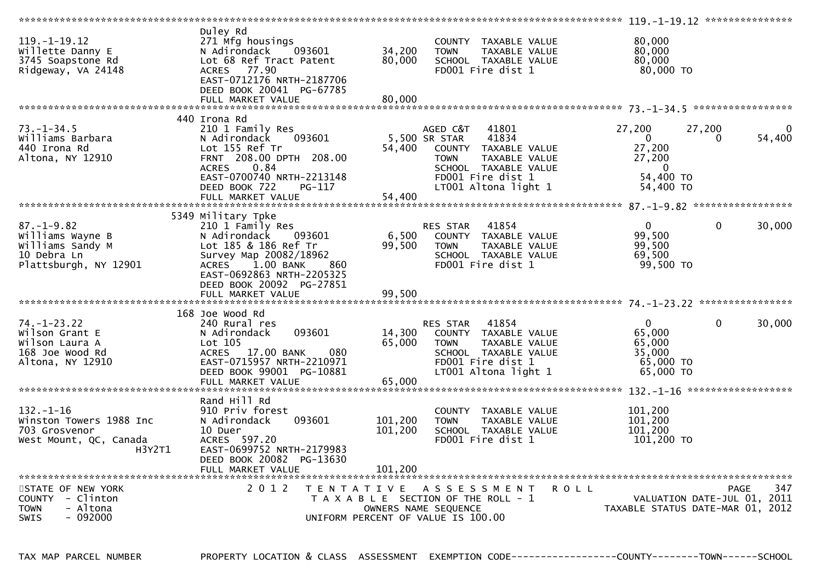| $119. - 1 - 19.12$<br>Willette Danny E<br>3745 Soapstone Rd<br>Ridgeway, VA 24148               | Duley Rd<br>271 Mfg housings<br>N Adirondack<br>093601<br>Lot 68 Ref Tract Patent<br>77.90<br><b>ACRES</b><br>EAST-0712176 NRTH-2187706<br>DEED BOOK 20041 PG-67785                          | 34,200<br>80,000              | COUNTY TAXABLE VALUE<br>TAXABLE VALUE<br><b>TOWN</b><br>SCHOOL TAXABLE VALUE<br>FD001 Fire dist 1                                                                               | 80,000<br>80,000<br>80,000<br>80,000 TO                                        |                    |        |
|-------------------------------------------------------------------------------------------------|----------------------------------------------------------------------------------------------------------------------------------------------------------------------------------------------|-------------------------------|---------------------------------------------------------------------------------------------------------------------------------------------------------------------------------|--------------------------------------------------------------------------------|--------------------|--------|
|                                                                                                 | FULL MARKET VALUE                                                                                                                                                                            | 80,000                        |                                                                                                                                                                                 |                                                                                |                    |        |
|                                                                                                 | 440 Irona Rd                                                                                                                                                                                 |                               |                                                                                                                                                                                 |                                                                                |                    |        |
| $73. - 1 - 34.5$<br>Williams Barbara<br>440 Irona Rd<br>Altona, NY 12910                        | 210 1 Family Res<br>093601<br>N Adirondack<br>Lot 155 Ref Tr<br>FRNT 208.00 DPTH 208.00<br>0.84<br><b>ACRES</b><br>EAST-0700740 NRTH-2213148<br>DEED BOOK 722<br>PG-117<br>FULL MARKET VALUE | 54,400<br>54,400              | 41801<br>AGED C&T<br>5,500 SR STAR<br>41834<br>COUNTY TAXABLE VALUE<br><b>TAXABLE VALUE</b><br><b>TOWN</b><br>SCHOOL TAXABLE VALUE<br>FD001 Fire dist 1<br>LT001 Altona light 1 | 27,200<br>$\Omega$<br>27,200<br>27,200<br>$\Omega$<br>54,400 TO<br>54,400 TO   | 27,200<br>$\Omega$ | 54,400 |
|                                                                                                 |                                                                                                                                                                                              |                               |                                                                                                                                                                                 |                                                                                |                    |        |
| $87. - 1 - 9.82$<br>Williams Wayne B<br>Williams Sandy M<br>10 Debra Ln                         | 5349 Military Tpke<br>210 1 Family Res<br>N Adirondack<br>093601<br>Lot 185 & 186 Ref Tr<br>Survey Map 20082/18962                                                                           | 6,500<br>99,500               | 41854<br><b>RES STAR</b><br>COUNTY TAXABLE VALUE<br>TAXABLE VALUE<br><b>TOWN</b><br>SCHOOL TAXABLE VALUE                                                                        | $\overline{0}$<br>99,500<br>99,500<br>69,500                                   | $\mathbf{0}$       | 30,000 |
| Plattsburgh, NY 12901                                                                           | 1.00 BANK<br><b>ACRES</b><br>860<br>EAST-0692863 NRTH-2205325<br>DEED BOOK 20092 PG-27851<br>FULL MARKET VALUE                                                                               | 99.500                        | FD001 Fire dist 1                                                                                                                                                               | 99,500 TO                                                                      |                    |        |
|                                                                                                 |                                                                                                                                                                                              |                               |                                                                                                                                                                                 |                                                                                |                    |        |
| $74. - 1 - 23.22$<br>Wilson Grant E<br>Wilson Laura A<br>168 Joe Wood Rd<br>Altona, NY 12910    | 168 Joe Wood Rd<br>240 Rural res<br>093601<br>N Adirondack<br>Lot 105<br>ACRES 17.00 BANK<br>080<br>EAST-0715957 NRTH-2210971<br>DEED BOOK 99001 PG-10881<br>FULL MARKET VALUE               | 14,300<br>65,000<br>65,000    | 41854<br><b>RES STAR</b><br>COUNTY TAXABLE VALUE<br>TAXABLE VALUE<br><b>TOWN</b><br>SCHOOL TAXABLE VALUE<br>FD001 Fire dist 1<br>LT001 Altona light 1                           | $\mathbf{0}$<br>65,000<br>65,000<br>35,000<br>65,000 TO<br>65,000 TO           | $\mathbf{0}$       | 30,000 |
| $132. - 1 - 16$<br>Winston Towers 1988 Inc<br>703 Grosvenor<br>West Mount, QC, Canada<br>H3Y2T1 | Rand Hill Rd<br>910 Priv forest<br>N Adirondack<br>093601<br>10 Duer<br>ACRES 597.20<br>EAST-0699752 NRTH-2179983<br>DEED BOOK 20082 PG-13630<br>FULL MARKET VALUE                           | 101,200<br>101,200<br>101.200 | COUNTY TAXABLE VALUE<br>TAXABLE VALUE<br><b>TOWN</b><br>SCHOOL TAXABLE VALUE<br>FD001 Fire dist 1                                                                               | 101,200<br>101,200<br>101,200<br>$101,200$ TO                                  |                    |        |
| STATE OF NEW YORK<br>COUNTY - Clinton<br><b>TOWN</b><br>- Altona<br><b>SWIS</b><br>$-092000$    | 2 0 1 2<br>T E N T A T I V E                                                                                                                                                                 | OWNERS NAME SEQUENCE          | A S S E S S M E N T<br>T A X A B L E SECTION OF THE ROLL - 1<br>UNIFORM PERCENT OF VALUE IS 100.00                                                                              | <b>ROLL</b><br>VALUATION DATE-JUL 01, 2011<br>TAXABLE STATUS DATE-MAR 01, 2012 | <b>PAGE</b>        | 347    |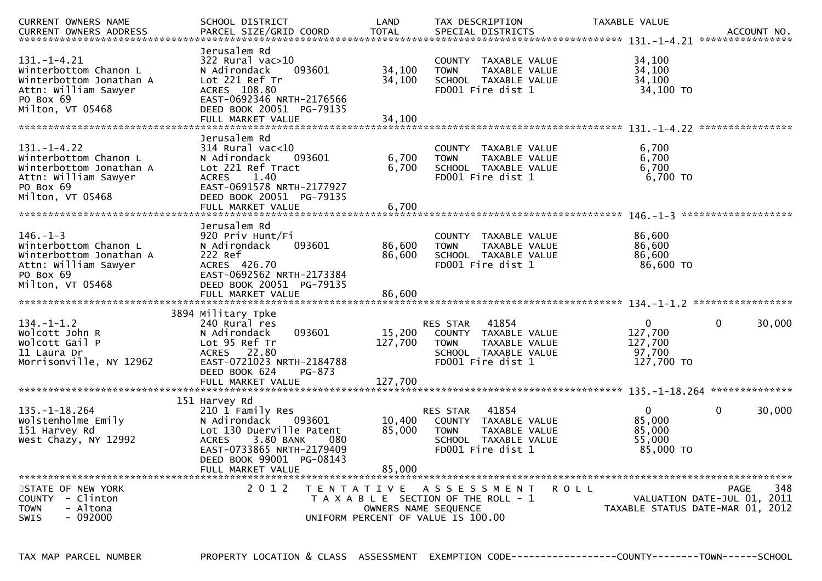| CURRENT OWNERS NAME                                                                                                            | SCHOOL DISTRICT                                                                                                                                                                                           | LAND                       | TAX DESCRIPTION                                                                                                               | TAXABLE VALUE                                                | ACCOUNT NO.<br>****************                                                |
|--------------------------------------------------------------------------------------------------------------------------------|-----------------------------------------------------------------------------------------------------------------------------------------------------------------------------------------------------------|----------------------------|-------------------------------------------------------------------------------------------------------------------------------|--------------------------------------------------------------|--------------------------------------------------------------------------------|
| $131. - 1 - 4.21$<br>Winterbottom Chanon L<br>Winterbottom Jonathan A<br>Attn: William Sawyer<br>PO Box 69<br>Milton, VT 05468 | Jerusalem Rd<br>$322$ Rural vac $>10$<br>093601<br>N Adirondack<br>Lot 221 Ref Tr<br>ACRES 108.80<br>EAST-0692346 NRTH-2176566<br>DEED BOOK 20051 PG-79135<br>FULL MARKET VALUE                           | 34,100<br>34,100<br>34,100 | COUNTY TAXABLE VALUE<br>TAXABLE VALUE<br><b>TOWN</b><br>SCHOOL TAXABLE VALUE<br>FD001 Fire dist 1                             | 34,100<br>34,100<br>34,100<br>34,100 TO                      |                                                                                |
| $131. - 1 - 4.22$<br>Winterbottom Chanon L<br>Winterbottom Jonathan A<br>Attn: William Sawyer<br>PO Box 69<br>Milton, VT 05468 | Jerusalem Rd<br>$314$ Rural vac<10<br>N Adirondack<br>093601<br>Lot 221 Ref Tract<br>ACRES 1.40<br>EAST-0691578 NRTH-2177927<br>DEED BOOK 20051 PG-79135<br>FULL MARKET VALUE                             | 6,700<br>6,700<br>6,700    | COUNTY TAXABLE VALUE<br>TAXABLE VALUE<br><b>TOWN</b><br>SCHOOL TAXABLE VALUE<br>FD001 Fire dist 1                             | 6,700<br>6,700<br>6,700<br>6,700 TO                          |                                                                                |
| $146. - 1 - 3$<br>Winterbottom Chanon L<br>Winterbottom Jonathan A<br>Attn: William Sawyer<br>PO Box 69<br>Milton, VT 05468    | Jerusalem Rd<br>920 Priv Hunt/Fi<br>093601<br>N Adirondack<br>222 Ref<br>ACRES 426.70<br>EAST-0692562 NRTH-2173384<br>DEED BOOK 20051 PG-79135                                                            | 86,600<br>86,600           | COUNTY TAXABLE VALUE<br>TAXABLE VALUE<br><b>TOWN</b><br>SCHOOL TAXABLE VALUE<br>FD001 Fire dist 1                             | 86,600<br>86,600<br>86,600<br>86,600 TO                      |                                                                                |
| $134. - 1 - 1.2$<br>Wolcott John R<br>Wolcott Gail P<br>11 Laura Dr<br>Morrisonville, NY 12962                                 | 3894 Military Tpke<br>240 Rural res<br>093601<br>N Adirondack<br>Lot 95 Ref Tr<br>ACRES 22.80<br>EAST-0721023 NRTH-2184788<br>DEED BOOK 624<br>PG-873                                                     | 15,200<br>127,700          | 41854<br>RES STAR<br>COUNTY TAXABLE VALUE<br>TAXABLE VALUE<br><b>TOWN</b><br>SCHOOL TAXABLE VALUE<br>FD001 Fire dist 1        | $\overline{0}$<br>127,700<br>127,700<br>97,700<br>127,700 TO | $\mathbf{0}$<br>30,000                                                         |
| $135. - 1 - 18.264$<br>Wolstenholme Emily<br>151 Harvey Rd<br>West Chazy, NY 12992                                             | 151 Harvey Rd<br>210 1 Family Res<br>N Adirondack<br>093601<br>Lot 130 Duerville Patent<br>3.80 BANK<br><b>ACRES</b><br>080<br>EAST-0733865 NRTH-2179409<br>DEED BOOK 99001 PG-08143<br>FULL MARKET VALUE | 10,400<br>85,000<br>85,000 | 41854<br><b>RES STAR</b><br>COUNTY TAXABLE VALUE<br><b>TOWN</b><br>TAXABLE VALUE<br>SCHOOL TAXABLE VALUE<br>FD001 Fire dist 1 | $\Omega$<br>85,000<br>85,000<br>55,000<br>85,000 TO          | 0<br>30,000                                                                    |
| STATE OF NEW YORK<br>COUNTY - Clinton<br><b>TOWN</b><br>- Altona<br>$-092000$<br>SWIS                                          | 2 0 1 2                                                                                                                                                                                                   |                            | TENTATIVE ASSESSMENT<br>T A X A B L E SECTION OF THE ROLL - 1<br>OWNERS NAME SEQUENCE<br>UNIFORM PERCENT OF VALUE IS 100.00   | R O L L                                                      | 348<br>PAGE<br>VALUATION DATE-JUL 01, 2011<br>TAXABLE STATUS DATE-MAR 01, 2012 |

TAX MAP PARCEL NUMBER PROPERTY LOCATION & CLASS ASSESSMENT EXEMPTION CODE------------------COUNTY--------TOWN------SCHOOL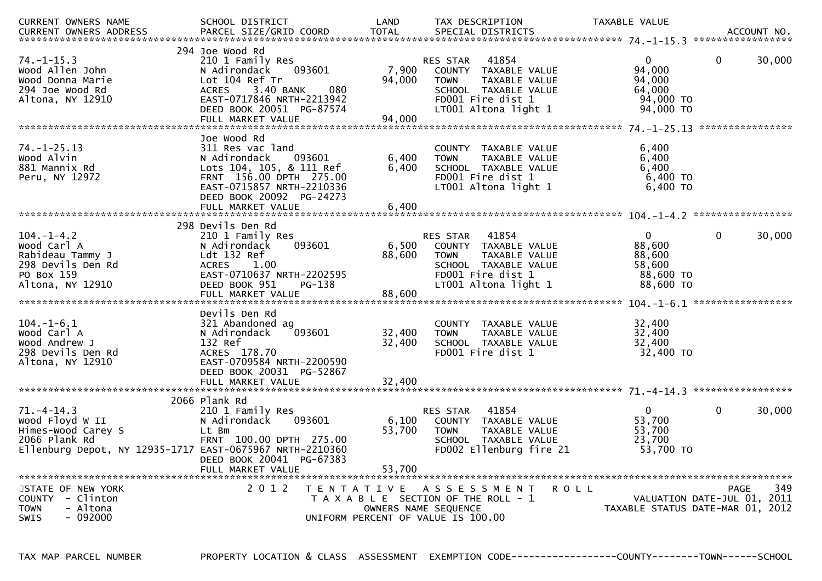| CURRENT OWNERS NAME<br><b>CURRENT OWNERS ADDRESS</b>                                                                                   | SCHOOL DISTRICT<br>PARCEL SIZE/GRID COORD                                                                                                                                                      | LAND<br><b>TOTAL</b>                                    | TAX DESCRIPTION<br>SPECIAL DISTRICTS                                                                                                                  | TAXABLE VALUE                                                          | ACCOUNT NO.                                                                           |
|----------------------------------------------------------------------------------------------------------------------------------------|------------------------------------------------------------------------------------------------------------------------------------------------------------------------------------------------|---------------------------------------------------------|-------------------------------------------------------------------------------------------------------------------------------------------------------|------------------------------------------------------------------------|---------------------------------------------------------------------------------------|
| $74. - 1 - 15.3$<br>Wood Allen John<br>Wood Donna Marie<br>294 Joe Wood Rd<br>Altona, NY 12910                                         | 294 Joe Wood Rd<br>210 1 Family Res<br>N Adirondack<br>093601<br>Lot 104 Ref Tr<br>3.40 BANK<br><b>ACRES</b><br>EAST-0717846 NRTH-2213942<br>DEED BOOK 20051 PG-87574<br>FULL MARKET VALUE     | 7,900<br>94,000<br>080<br>94,000                        | 41854<br><b>RES STAR</b><br>COUNTY TAXABLE VALUE<br>TAXABLE VALUE<br><b>TOWN</b><br>SCHOOL TAXABLE VALUE<br>FD001 Fire dist 1<br>LT001 Altona light 1 | $\overline{0}$<br>94,000<br>94,000<br>64,000<br>94,000 TO<br>94,000 TO | $\mathbf{0}$<br>30,000<br>****************                                            |
| $74. - 1 - 25.13$<br>Wood Alvin<br>881 Mannix Rd<br>Peru, NY 12972                                                                     | Joe Wood Rd<br>311 Res vac land<br>N Adirondack<br>093601<br>Lots 104, 105, & 111 Ref<br>FRNT 156.00 DPTH 275.00<br>EAST-0715857 NRTH-2210336<br>DEED BOOK 20092 PG-24273<br>FULL MARKET VALUE | 6,400<br>6,400<br>6,400                                 | COUNTY TAXABLE VALUE<br>TAXABLE VALUE<br><b>TOWN</b><br>SCHOOL TAXABLE VALUE<br>FD001 Fire dist 1<br>LT001 Altona light 1                             | 6,400<br>6,400<br>6,400<br>6,400 TO<br>6,400 TO                        |                                                                                       |
| $104. - 1 - 4.2$<br>Wood Carl A<br>Rabideau Tammy J<br>298 Devils Den Rd<br>PO Box 159<br>Altona, NY 12910                             | 298 Devils Den Rd<br>210 1 Family Res<br>093601<br>N Adirondack<br>Ldt 132 Ref<br><b>ACRES</b><br>1.00<br>EAST-0710637 NRTH-2202595<br>DEED BOOK 951<br>PG-138<br>FULL MARKET VALUE            | 6,500<br>88,600<br>88,600                               | 41854<br><b>RES STAR</b><br>COUNTY TAXABLE VALUE<br>TAXABLE VALUE<br><b>TOWN</b><br>SCHOOL TAXABLE VALUE<br>FD001 Fire dist 1<br>LT001 Altona light 1 | $\mathbf{0}$<br>88,600<br>88,600<br>58,600<br>88,600 TO<br>88,600 TO   | 30,000<br>0                                                                           |
| $104. - 1 - 6.1$<br>Wood Carl A<br>Wood Andrew J<br>298 Devils Den Rd<br>Altona, NY 12910                                              | Devils Den Rd<br>321 Abandoned ag<br>093601<br>N Adirondack<br>132 Ref<br>ACRES 178.70<br>EAST-0709584 NRTH-2200590<br>DEED BOOK 20031 PG-52867<br>FULL MARKET VALUE                           | 32,400<br>32,400<br>32,400                              | <b>COUNTY</b><br>TAXABLE VALUE<br>TAXABLE VALUE<br><b>TOWN</b><br>SCHOOL TAXABLE VALUE<br>FD001 Fire dist 1                                           | 32,400<br>32,400<br>32,400<br>32,400 TO                                |                                                                                       |
| $71. - 4 - 14.3$<br>Wood Floyd W II<br>Himes-Wood Carey S<br>2066 Plank Rd<br>Ellenburg Depot, NY 12935-1717 EAST-0675967 NRTH-2210360 | 2066 Plank Rd<br>210 1 Family Res<br>N Adirondack<br>093601<br>Lt Bm<br>FRNT 100.00 DPTH 275.00<br>DEED BOOK 20041 PG-67383<br>FULL MARKET VALUE                                               | 6,100<br>53,700<br>53,700                               | 41854<br>RES STAR<br>COUNTY TAXABLE VALUE<br><b>TOWN</b><br>TAXABLE VALUE<br>SCHOOL TAXABLE VALUE<br>FD002 Ellenburg fire 21                          | $\mathbf{0}$<br>53,700<br>53,700<br>23,700<br>53,700 TO                | $\mathbf 0$<br>30,000                                                                 |
| STATE OF NEW YORK<br>COUNTY - Clinton<br><b>TOWN</b><br>- Altona<br>$-092000$<br><b>SWIS</b>                                           | 2 0 1 2                                                                                                                                                                                        | T E N T A T I V E<br>UNIFORM PERCENT OF VALUE IS 100.00 | A S S E S S M E N T<br>T A X A B L E SECTION OF THE ROLL - 1<br>OWNERS NAME SEQUENCE                                                                  | <b>ROLL</b>                                                            | 349<br><b>PAGE</b><br>VALUATION DATE-JUL 01, 2011<br>TAXABLE STATUS DATE-MAR 01, 2012 |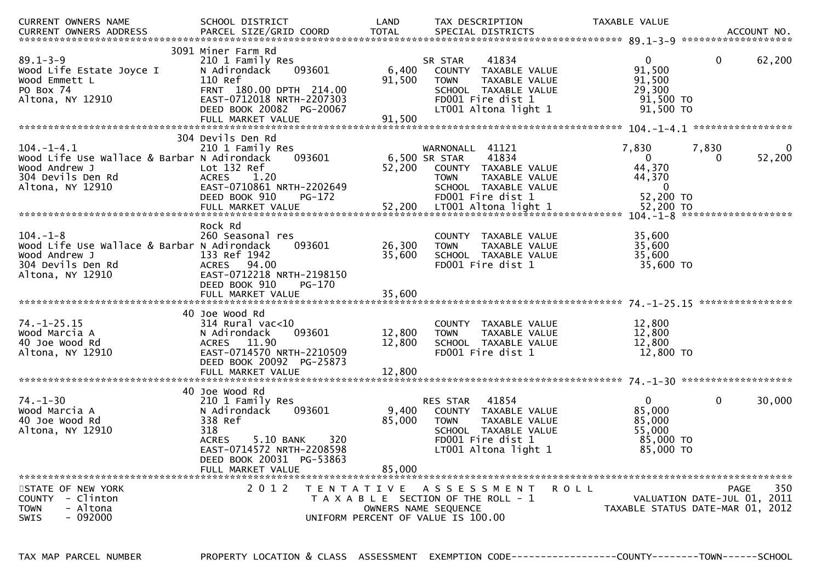| CURRENT OWNERS NAME<br><b>CURRENT OWNERS ADDRESS</b>                                                                      | SCHOOL DISTRICT<br>PARCEL SIZE/GRID COORD                                                                                                                                            | LAND<br><b>TOTAL</b>       | TAX DESCRIPTION<br>SPECIAL DISTRICTS                                                                                                                                      | TAXABLE VALUE                                                                   | ACCOUNT NO.                                                                           |
|---------------------------------------------------------------------------------------------------------------------------|--------------------------------------------------------------------------------------------------------------------------------------------------------------------------------------|----------------------------|---------------------------------------------------------------------------------------------------------------------------------------------------------------------------|---------------------------------------------------------------------------------|---------------------------------------------------------------------------------------|
| $89.1 - 3 - 9$<br>Wood Life Estate Joyce I<br>Wood Emmett L<br>PO Box 74<br>Altona, NY 12910                              | 3091 Miner Farm Rd<br>210 1 Family Res<br>N Adirondack<br>093601<br>110 Ref<br>FRNT 180.00 DPTH 214.00<br>EAST-0712018 NRTH-2207303<br>DEED BOOK 20082 PG-20067<br>FULL MARKET VALUE | 6,400<br>91,500<br>91,500  | 41834<br>SR STAR<br>COUNTY TAXABLE VALUE<br>TAXABLE VALUE<br><b>TOWN</b><br>SCHOOL TAXABLE VALUE<br>FD001 Fire dist 1<br>LT001 Altona light 1                             | 0<br>91,500<br>91,500<br>29,300<br>$91,500$ TO<br>91,500 TO                     | 62,200<br>0                                                                           |
|                                                                                                                           | 304 Devils Den Rd                                                                                                                                                                    |                            |                                                                                                                                                                           |                                                                                 |                                                                                       |
| $104. - 1 - 4.1$<br>Wood Life Use Wallace & Barbar N Adirondack<br>Wood Andrew J<br>304 Devils Den Rd<br>Altona, NY 12910 | 210 1 Family Res<br>093601<br>Lot 132 Ref<br><b>ACRES</b><br>1.20<br>EAST-0710861 NRTH-2202649<br>DEED BOOK 910<br>PG-172<br>FULL MARKET VALUE                                       | 52,200<br>52,200           | WARNONALL<br>41121<br>41834<br>6,500 SR STAR<br>COUNTY TAXABLE VALUE<br><b>TOWN</b><br>TAXABLE VALUE<br>SCHOOL TAXABLE VALUE<br>FD001 Fire dist 1<br>LT001 Altona light 1 | 7,830<br>$\mathbf{0}$<br>44,370<br>44,370<br>$\Omega$<br>52,200 TO<br>52,200 TO | 7,830<br>0<br>52,200<br>0                                                             |
|                                                                                                                           |                                                                                                                                                                                      |                            |                                                                                                                                                                           |                                                                                 | $104. -1 - 8$ *********************                                                   |
| $104. - 1 - 8$<br>Wood Life Use Wallace & Barbar N Adirondack<br>Wood Andrew J<br>304 Devils Den Rd<br>Altona, NY 12910   | Rock Rd<br>260 Seasonal res<br>093601<br>133 Ref 1942<br><b>ACRES</b><br>94.00<br>EAST-0712218 NRTH-2198150<br>DEED BOOK 910<br>PG-170<br>FULL MARKET VALUE                          | 26,300<br>35,600<br>35,600 | <b>COUNTY</b><br>TAXABLE VALUE<br><b>TAXABLE VALUE</b><br><b>TOWN</b><br>SCHOOL TAXABLE VALUE<br>FD001 Fire dist 1                                                        | 35,600<br>35,600<br>35,600<br>35,600 TO                                         |                                                                                       |
|                                                                                                                           |                                                                                                                                                                                      |                            |                                                                                                                                                                           |                                                                                 |                                                                                       |
| $74. - 1 - 25.15$<br>Wood Marcia A<br>40 Joe Wood Rd<br>Altona, NY 12910                                                  | 40 Joe Wood Rd<br>314 Rural vac<10<br>N Adirondack<br>093601<br>11.90<br><b>ACRES</b><br>EAST-0714570 NRTH-2210509<br>DEED BOOK 20092 PG-25873<br>FULL MARKET VALUE                  | 12,800<br>12,800<br>12,800 | TAXABLE VALUE<br><b>COUNTY</b><br>TAXABLE VALUE<br><b>TOWN</b><br>SCHOOL TAXABLE VALUE<br>FD001 Fire dist 1                                                               | 12,800<br>12,800<br>12,800<br>12,800 TO                                         |                                                                                       |
|                                                                                                                           |                                                                                                                                                                                      |                            |                                                                                                                                                                           |                                                                                 |                                                                                       |
| $74. - 1 - 30$<br>Wood Marcia A<br>40 Joe Wood Rd<br>Altona, NY 12910                                                     | 40 Joe Wood Rd<br>210 1 Family Res<br>N Adirondack<br>093601<br>338 Ref<br>318<br><b>ACRES</b><br>5.10 BANK<br>320<br>EAST-0714572 NRTH-2208598<br>DEED BOOK 20031 PG-53863          | 9,400<br>85,000            | 41854<br><b>RES STAR</b><br>COUNTY TAXABLE VALUE<br>TAXABLE VALUE<br><b>TOWN</b><br>SCHOOL TAXABLE VALUE<br>FD001 Fire dist 1<br>LT001 Altona light 1                     | $\mathbf{0}$<br>85,000<br>85,000<br>55,000<br>85,000 TO<br>85,000 TO            | $\mathbf{0}$<br>30,000                                                                |
|                                                                                                                           | FULL MARKET VALUE                                                                                                                                                                    | 85,000                     |                                                                                                                                                                           |                                                                                 |                                                                                       |
| STATE OF NEW YORK<br>COUNTY - Clinton<br>- Altona<br><b>TOWN</b><br>$-092000$<br><b>SWIS</b>                              | 2 0 1 2<br>T E N T A T I V E                                                                                                                                                         |                            | A S S E S S M E N T<br>T A X A B L E SECTION OF THE ROLL - 1<br>OWNERS NAME SEQUENCE<br>UNIFORM PERCENT OF VALUE IS 100.00                                                | <b>ROLL</b>                                                                     | 350<br><b>PAGE</b><br>VALUATION DATE-JUL 01, 2011<br>TAXABLE STATUS DATE-MAR 01, 2012 |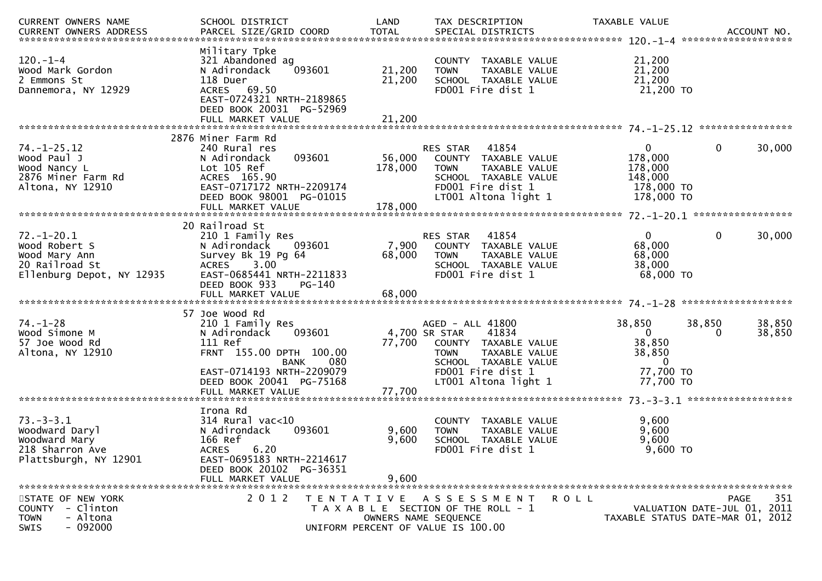| CURRENT OWNERS NAME<br>CURRENT OWNERS ADDRESS PARCEL SIZE/GRID COORD TOTAL SPECIAL DISTRICTS (2001) 2014 100 ACCOUNT NO | SCHOOL DISTRICT                                                                                                                                                           | LAND                                                                                                | TAX DESCRIPTION                                                                                                                                 | TAXABLE VALUE                                                             |                                                                                |
|-------------------------------------------------------------------------------------------------------------------------|---------------------------------------------------------------------------------------------------------------------------------------------------------------------------|-----------------------------------------------------------------------------------------------------|-------------------------------------------------------------------------------------------------------------------------------------------------|---------------------------------------------------------------------------|--------------------------------------------------------------------------------|
| $120. - 1 - 4$<br>Wood Mark Gordon<br>2 Emmons St<br>Dannemora, NY 12929                                                | Military Tpke<br>321 Abandoned ag<br>N Adirondack<br>093601<br>118 Duer<br>ACRES 69.50<br>EAST-0724321 NRTH-2189865<br>DEED BOOK 20031 PG-52969                           | 21,200<br>21,200                                                                                    | COUNTY TAXABLE VALUE<br>TAXABLE VALUE<br><b>TOWN</b><br>SCHOOL TAXABLE VALUE<br>FD001 Fire dist 1                                               | 21,200<br>21,200<br>21,200<br>21,200 TO                                   |                                                                                |
|                                                                                                                         | FULL MARKET VALUE                                                                                                                                                         | 21,200                                                                                              |                                                                                                                                                 |                                                                           |                                                                                |
| $74. - 1 - 25.12$<br>Wood Paul J<br>Wood Nancy L<br>2876 Miner Farm Rd<br>Altona, NY 12910                              | 2876 Miner Farm Rd<br>240 Rural res<br>093601<br>N Adirondack<br>Lot 105 Ref<br>ACRES 165.90<br>EAST-0717172 NRTH-2209174<br>DEED BOOK 98001 PG-01015                     | 56,000<br>178,000                                                                                   | 41854<br>RES STAR<br>COUNTY TAXABLE VALUE<br><b>TOWN</b><br>TAXABLE VALUE<br>SCHOOL TAXABLE VALUE<br>FD001 Fire dist 1<br>LT001 Altona light 1  | $\mathbf{0}$<br>178,000<br>178,000<br>148,000<br>178,000 TO<br>178,000 TO | $\mathbf{0}$<br>30,000                                                         |
|                                                                                                                         |                                                                                                                                                                           |                                                                                                     |                                                                                                                                                 |                                                                           |                                                                                |
| $72. - 1 - 20.1$<br>Wood Robert S<br>Wood Mary Ann<br>20 Railroad St<br>Ellenburg Depot, NY 12935                       | 20 Railroad St<br>210 1 Family Res<br>N Adirondack<br>093601<br>Survey Bk 19 Pg 64<br>3.00<br>ACRES<br>EAST-0685441 NRTH-2211833<br>DEED BOOK 933                         | 7,900<br>68,000<br>PG-140                                                                           | 41854<br><b>RES STAR</b><br>COUNTY TAXABLE VALUE<br><b>TOWN</b><br>TAXABLE VALUE<br>SCHOOL TAXABLE VALUE<br>FD001 Fire dist 1                   | $\overline{0}$<br>68,000<br>68,000<br>38,000<br>68,000 TO                 | $\mathbf{0}$<br>30,000                                                         |
|                                                                                                                         |                                                                                                                                                                           |                                                                                                     |                                                                                                                                                 |                                                                           |                                                                                |
| $74. - 1 - 28$<br>Wood Simone M<br>57 Joe Wood Rd<br>Altona, NY 12910                                                   | 57 Joe Wood Rd<br>210 1 Family Res<br>093601<br>N Adirondack<br>111 Ref<br>FRNT 155.00 DPTH 100.00<br><b>BANK</b><br>EAST-0714193 NRTH-2209079                            | 77,700<br>080                                                                                       | AGED - ALL 41800<br>4,700 SR STAR<br>41834<br>COUNTY TAXABLE VALUE<br>TAXABLE VALUE<br><b>TOWN</b><br>SCHOOL TAXABLE VALUE<br>FD001 Fire dist 1 | 38,850<br>$\mathbf{0}$<br>38,850<br>38,850<br>$\overline{0}$<br>77,700 TO | 38,850<br>38,850<br>38,850<br>0                                                |
|                                                                                                                         | DEED BOOK 20041 PG-75168<br>FULL MARKET VALUE                                                                                                                             | 77,700                                                                                              | LT001 Altona light 1                                                                                                                            | 77,700 TO                                                                 |                                                                                |
| $73. - 3 - 3.1$<br>Woodward Daryl<br>Woodward Mary<br>218 Sharron Ave<br>Plattsburgh, NY 12901                          | Irona Rd<br>$314$ Rural vac<10<br>N Adirondack<br>093601<br>166 Ref<br>6.20<br><b>ACRES</b><br>EAST-0695183 NRTH-2214617<br>DEED BOOK 20102 PG-36351<br>FULL MARKET VALUE | 9,600<br>9,600<br>9,600                                                                             | TAXABLE VALUE<br>COUNTY<br>TAXABLE VALUE<br><b>TOWN</b><br>SCHOOL TAXABLE VALUE<br>FD001 Fire dist 1                                            | 9,600<br>9,600<br>9,600<br>$9,600$ TO                                     |                                                                                |
| STATE OF NEW YORK<br>COUNTY - Clinton<br><b>TOWN</b><br>- Altona<br>$-092000$<br>SWIS                                   | 2 0 1 2                                                                                                                                                                   | TENTATIVE ASSESSMENT<br>T A X A B L E SECTION OF THE ROLL - 1<br>UNIFORM PERCENT OF VALUE IS 100.00 | OWNERS NAME SEQUENCE                                                                                                                            | <b>ROLL</b>                                                               | 351<br>PAGE<br>VALUATION DATE-JUL 01, 2011<br>TAXABLE STATUS DATE-MAR 01, 2012 |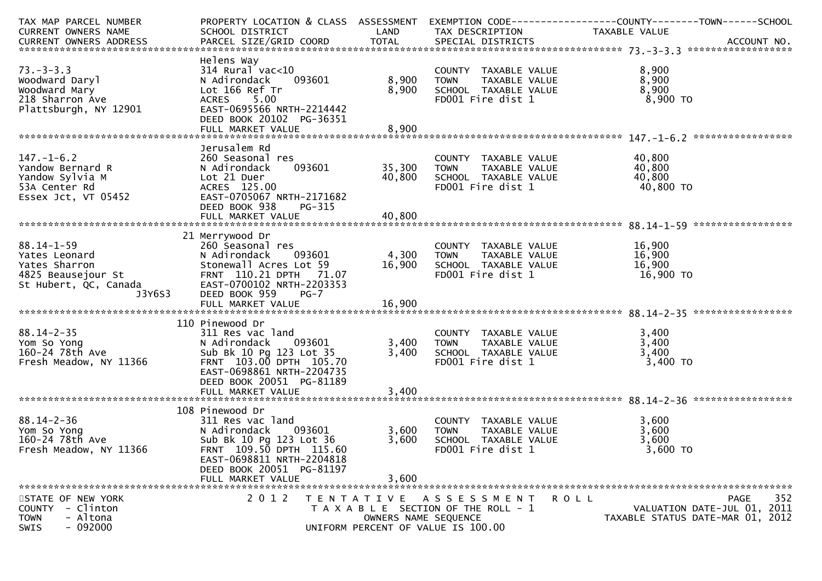| TAX MAP PARCEL NUMBER                |                                               |                      |                                                        | PROPERTY LOCATION & CLASS ASSESSMENT EXEMPTION CODE----------------COUNTY-------TOWN------SCHOOL |     |
|--------------------------------------|-----------------------------------------------|----------------------|--------------------------------------------------------|--------------------------------------------------------------------------------------------------|-----|
| CURRENT OWNERS NAME                  | SCHOOL DISTRICT                               | LAND                 | TAX DESCRIPTION                                        | TAXABLE VALUE                                                                                    |     |
|                                      |                                               |                      |                                                        |                                                                                                  |     |
|                                      | Helens Way                                    |                      |                                                        |                                                                                                  |     |
| $73. - 3 - 3.3$                      | $314$ Rural vac< $10$                         |                      |                                                        | 8,900                                                                                            |     |
| Woodward Daryl                       | 093601<br>N Adirondack                        | 8,900                | COUNTY TAXABLE VALUE<br>TOWN      TAXABLE VALUE        | 8,900                                                                                            |     |
| Woodward Mary                        | Lot 166 Ref Tr                                | 8,900                | SCHOOL TAXABLE VALUE                                   | 8,900                                                                                            |     |
| 218 Sharron Ave                      | ACRES 5.00                                    |                      | FD001 Fire dist 1                                      | 8,900 TO                                                                                         |     |
| Plattsburgh, NY 12901                | EAST-0695566 NRTH-2214442                     |                      |                                                        |                                                                                                  |     |
|                                      | DEED BOOK 20102 PG-36351                      |                      |                                                        |                                                                                                  |     |
|                                      |                                               |                      |                                                        |                                                                                                  |     |
|                                      |                                               |                      |                                                        |                                                                                                  |     |
|                                      |                                               |                      |                                                        |                                                                                                  |     |
| $147. - 1 - 6.2$                     | Jerusalem Rd                                  |                      |                                                        |                                                                                                  |     |
|                                      | 260 Seasonal res                              |                      | COUNTY TAXABLE VALUE<br>TAXABLE VALUE<br>TAXABLE VALUE | 40,800                                                                                           |     |
| Yandow Bernard R                     | 093601<br>N Adirondack                        | 35,300               | <b>TOWN</b>                                            | 40,800                                                                                           |     |
| Yandow Sylvia M                      | Lot 21 Duer                                   | 40,800               | SCHOOL TAXABLE VALUE                                   | 40,800                                                                                           |     |
| 53A Center Rd                        | ACRES 125.00                                  |                      | FD001 Fire dist 1                                      | 40,800 TO                                                                                        |     |
| Essex Jct, VT 05452                  | EAST-0705067 NRTH-2171682                     |                      |                                                        |                                                                                                  |     |
|                                      | DEED BOOK 938<br>PG-315                       |                      |                                                        |                                                                                                  |     |
|                                      |                                               |                      |                                                        |                                                                                                  |     |
|                                      |                                               |                      |                                                        |                                                                                                  |     |
|                                      | 21 Merrywood Dr                               |                      |                                                        |                                                                                                  |     |
| $88.14 - 1 - 59$                     | 260 Seasonal res                              |                      | COUNTY TAXABLE VALUE                                   | 16,900                                                                                           |     |
| Yates Leonard                        | N Adirondack<br>093601                        | 4,300                | TAXABLE VALUE<br>TOWN                                  | 16,900                                                                                           |     |
| Yates Sharron                        | Stonewall Acres Lot 59                        | 16,900               | SCHOOL TAXABLE VALUE                                   | 16,900                                                                                           |     |
| 4825 Beausejour St                   | FRNT 110.21 DPTH 71.07                        |                      | FD001 Fire dist 1                                      | 16,900 TO                                                                                        |     |
| St Hubert, QC, Canada                | EAST-0700102 NRTH-2203353                     |                      |                                                        |                                                                                                  |     |
| J3Y6S3                               | DEED BOOK 959<br>$PG-7$                       |                      |                                                        |                                                                                                  |     |
|                                      |                                               |                      |                                                        |                                                                                                  |     |
|                                      |                                               |                      |                                                        |                                                                                                  |     |
|                                      | 110 Pinewood Dr                               |                      |                                                        |                                                                                                  |     |
| $88.14 - 2 - 35$                     | 311 Res vac land                              |                      |                                                        | 3,400                                                                                            |     |
| Yom So Yong                          | N Adirondack 093601                           | 3,400                | COUNTY TAXABLE VALUE<br>TOWN     TAXABLE VALUE         | 3,400                                                                                            |     |
| 160-24 78th Ave                      | Sub Bk 10 Pg 123 Lot 35                       | 3,400                | SCHOOL TAXABLE VALUE                                   | 3,400                                                                                            |     |
| Fresh Meadow, NY 11366               | FRNT 103.00 DPTH 105.70                       |                      | FD001 Fire dist 1                                      | 3,400 TO                                                                                         |     |
|                                      | EAST-0698861 NRTH-2204735                     |                      |                                                        |                                                                                                  |     |
|                                      | DEED BOOK 20051 PG-81189                      |                      |                                                        |                                                                                                  |     |
|                                      | FULL MARKET VALUE                             | 3,400                |                                                        |                                                                                                  |     |
|                                      |                                               |                      |                                                        |                                                                                                  |     |
|                                      | 108 Pinewood Dr                               |                      |                                                        |                                                                                                  |     |
| $88.14 - 2 - 36$                     | 311 Res vac land                              |                      | COUNTY TAXABLE VALUE                                   | 3,600                                                                                            |     |
| Yom So Yong                          | N Adirondack<br>093601                        | 3,600                | TAXABLE VALUE<br>TOWN                                  | 3,600                                                                                            |     |
| Yom So Yong<br>160-24 78th Ave 11366 | Sub Bk 10 Pg 123 Lot 36                       | 3,600                | SCHOOL TAXABLE VALUE                                   | 3,600                                                                                            |     |
| Fresh Meadow, NY 11366               | FRNT 109.50 DPTH 115.60                       |                      | FD001 Fire dist 1                                      | 3,600 TO                                                                                         |     |
|                                      |                                               |                      |                                                        |                                                                                                  |     |
|                                      | EAST-0698811 NRTH-2204818                     |                      |                                                        |                                                                                                  |     |
|                                      | DEED BOOK 20051 PG-81197<br>FULL MARKET VALUE |                      |                                                        |                                                                                                  |     |
|                                      |                                               | 3,600                |                                                        |                                                                                                  |     |
|                                      | 2 0 1 2                                       |                      |                                                        |                                                                                                  |     |
| STATE OF NEW YORK                    |                                               |                      | TENTATIVE ASSESSMENT                                   | PAGE<br><b>ROLL</b>                                                                              | 352 |
| COUNTY - Clinton                     |                                               |                      | T A X A B L E SECTION OF THE ROLL - 1                  | VALUATION DATE-JUL 01, 2011                                                                      |     |
| <b>TOWN</b><br>- Altona              |                                               | OWNERS NAME SEQUENCE |                                                        | TAXABLE STATUS DATE-MAR 01, 2012                                                                 |     |
| $-092000$<br><b>SWIS</b>             |                                               |                      | UNIFORM PERCENT OF VALUE IS 100.00                     |                                                                                                  |     |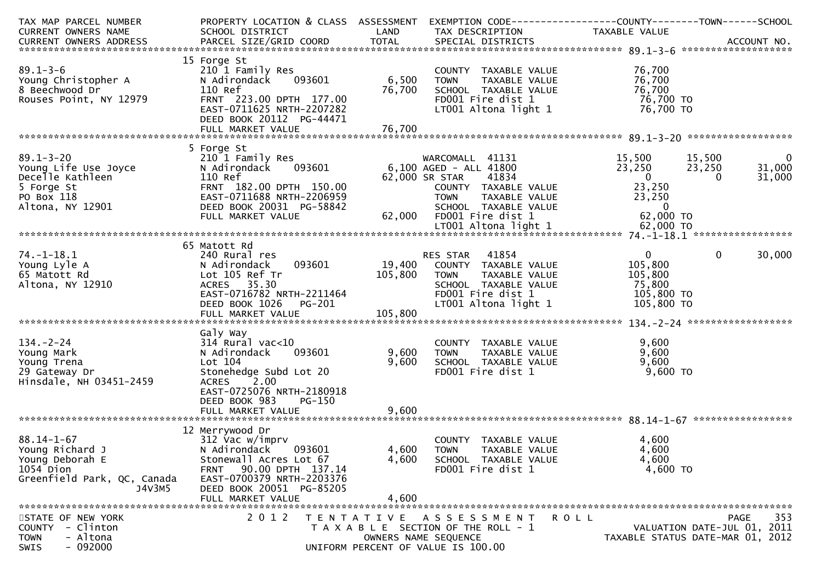| TAX MAP PARCEL NUMBER<br><b>CURRENT OWNERS NAME</b>                                                    | PROPERTY LOCATION & CLASS ASSESSMENT<br>SCHOOL DISTRICT                                                                                                                          | LAND                         | EXEMPTION CODE-----------------COUNTY-------TOWN------SCHOOL<br>TAX DESCRIPTION                                                                | TAXABLE VALUE                                                              |                                                                                       |
|--------------------------------------------------------------------------------------------------------|----------------------------------------------------------------------------------------------------------------------------------------------------------------------------------|------------------------------|------------------------------------------------------------------------------------------------------------------------------------------------|----------------------------------------------------------------------------|---------------------------------------------------------------------------------------|
|                                                                                                        |                                                                                                                                                                                  |                              |                                                                                                                                                |                                                                            |                                                                                       |
| $89.1 - 3 - 6$<br>Young Christopher A<br>8 Beechwood Dr<br>Rouses Point, NY 12979                      | 15 Forge St<br>210 1 Family Res<br>N Adirondack<br>093601<br>110 Ref<br>FRNT 223.00 DPTH 177.00<br>EAST-0711625 NRTH-2207282<br>DEED BOOK 20112 PG-44471                         | 6,500<br>76,700              | COUNTY TAXABLE VALUE<br>TAXABLE VALUE<br><b>TOWN</b><br>SCHOOL TAXABLE VALUE<br>FD001 Fire dist 1<br>LT001 Altona light 1                      | 76,700<br>76,700<br>76,700<br>76,700 TO<br>76,700 TO                       |                                                                                       |
|                                                                                                        |                                                                                                                                                                                  |                              |                                                                                                                                                |                                                                            |                                                                                       |
| $89.1 - 3 - 20$<br>Young Life Use Joyce<br>Decelle Kathleen<br>5 Forge St                              | 5 Forge St<br>210 1 Family Res<br>093601<br>N Adirondack<br>110 Ref<br>FRNT 182.00 DPTH 150.00                                                                                   |                              | WARCOMALL 41131<br>6,100 AGED - ALL 41800<br>41834<br>62,000 SR STAR<br>COUNTY TAXABLE VALUE                                                   | 15,500<br>23,250<br>$\overline{0}$<br>23,250                               | 15,500<br>$\bf{0}$<br>23,250<br>31,000<br>31,000<br>$\Omega$                          |
| PO Box 118<br>Altona, NY 12901                                                                         | EAST-0711688 NRTH-2206959<br>DEED BOOK 20031 PG-58842<br>FULL MARKET VALUE                                                                                                       | 62,000                       | TAXABLE VALUE<br><b>TOWN</b><br>SCHOOL TAXABLE VALUE<br>FD001 Fire dist 1                                                                      | 23,250<br>$\mathbf 0$<br>62,000 TO                                         |                                                                                       |
|                                                                                                        |                                                                                                                                                                                  |                              |                                                                                                                                                |                                                                            |                                                                                       |
| 74. –1–18.1<br>Young Lyle A<br>65 Matott Rd<br>Altona, NY 12910                                        | 65 Matott Rd<br>240 Rural res<br>093601<br>N Adirondack<br>Lot 105 Ref Tr<br>35.30<br><b>ACRES</b><br>EAST-0716782 NRTH-2211464<br>DEED BOOK 1026<br>PG-201<br>FULL MARKET VALUE | 19,400<br>105,800<br>105,800 | 41854<br>RES STAR<br>COUNTY TAXABLE VALUE<br><b>TOWN</b><br>TAXABLE VALUE<br>SCHOOL TAXABLE VALUE<br>FD001 Fire dist 1<br>LT001 Altona light 1 | $\overline{0}$<br>105,800<br>105,800<br>75,800<br>105,800 TO<br>105,800 TO | $\mathbf{0}$<br>30,000                                                                |
|                                                                                                        |                                                                                                                                                                                  |                              |                                                                                                                                                |                                                                            |                                                                                       |
| $134 - 2 - 24$<br>Young Mark<br>Young Trena<br>29 Gateway Dr<br>Hinsdale, NH 03451-2459                | Galy Way<br>$314$ Rural vac< $10$<br>N Adirondack<br>093601<br>Lot 104<br>Stonehedge Subd Lot 20<br>2.00<br>ACRES<br>EAST-0725076 NRTH-2180918<br>DEED BOOK 983<br>PG-150        | 9,600<br>9,600               | COUNTY TAXABLE VALUE<br>TAXABLE VALUE<br><b>TOWN</b><br>SCHOOL TAXABLE VALUE<br>FD001 Fire dist 1                                              | 9,600<br>9,600<br>9,600<br>9,600 TO                                        |                                                                                       |
|                                                                                                        |                                                                                                                                                                                  |                              |                                                                                                                                                |                                                                            |                                                                                       |
| $88.14 - 1 - 67$<br>Young Richard J<br>Young Deborah E                                                 | 12 Merrywood Dr<br>312 Vac w/imprv<br>N Adirondack<br>093601<br>Stonewall Acres Lot 67                                                                                           | 4,600<br>4,600               | <b>COUNTY</b><br>TAXABLE VALUE<br><b>TOWN</b><br>TAXABLE VALUE<br>SCHOOL TAXABLE VALUE                                                         | 4,600<br>4,600<br>4,600                                                    |                                                                                       |
| 1054 Dion<br>Greenfield Park, QC, Canada<br>J4V3M5                                                     | 90.00 DPTH 137.14<br><b>FRNT</b><br>EAST-0700379 NRTH-2203376<br>DEED BOOK 20051 PG-85205<br>FULL MARKET VALUE                                                                   | 4,600                        | FD001 Fire dist 1                                                                                                                              | 4,600 TO                                                                   |                                                                                       |
| STATE OF NEW YORK<br>- Clinton<br><b>COUNTY</b><br>- Altona<br><b>TOWN</b><br>$-092000$<br><b>SWIS</b> | 2 0 1 2                                                                                                                                                                          |                              | TENTATIVE ASSESSMENT<br>T A X A B L E SECTION OF THE ROLL - 1<br>OWNERS NAME SEQUENCE<br>UNIFORM PERCENT OF VALUE IS 100.00                    | ROLL                                                                       | 353<br><b>PAGE</b><br>VALUATION DATE-JUL 01, 2011<br>TAXABLE STATUS DATE-MAR 01, 2012 |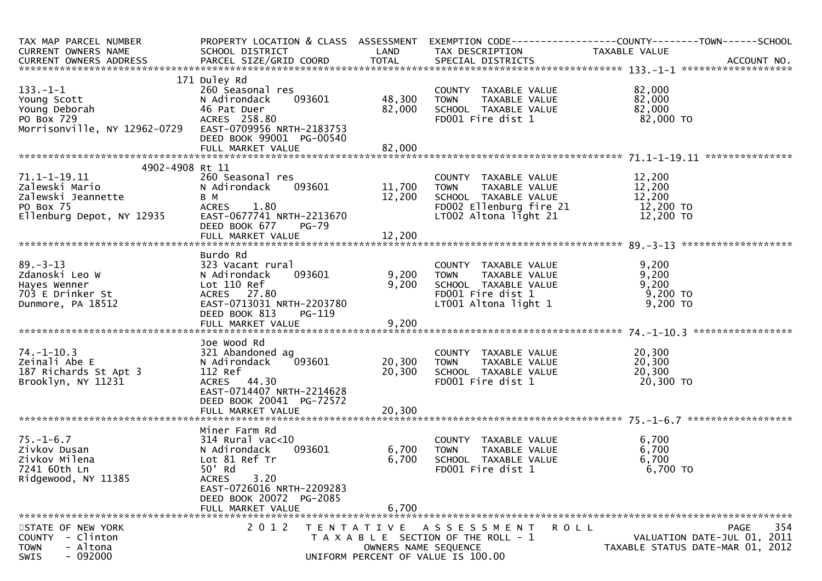| TAX MAP PARCEL NUMBER<br>CURRENT OWNERS NAME                                                                                                                                      | SCHOOL DISTRICT                                                                                                                             |                              | LAND TAX DESCRIPTION                                                                                                                                                                          | PROPERTY LOCATION & CLASS ASSESSMENT EXEMPTION CODE----------------COUNTY-------TOWN------SCHOOL<br>TAXABLE VALUE                                               |
|-----------------------------------------------------------------------------------------------------------------------------------------------------------------------------------|---------------------------------------------------------------------------------------------------------------------------------------------|------------------------------|-----------------------------------------------------------------------------------------------------------------------------------------------------------------------------------------------|-----------------------------------------------------------------------------------------------------------------------------------------------------------------|
|                                                                                                                                                                                   |                                                                                                                                             |                              |                                                                                                                                                                                               | CURRENT OWNERS ADDRESS FARCEL SIZE/GRID COORD<br>FARCEL SIZE/GRID COORD TOTAL SPECIAL DISTRICTS AND MERS ADDRESS PARCEL SIZE/GRID COORD TOTAL SPECIAL DISTRICTS |
| $133. - 1 - 1$<br>260 Seasonal<br>N Adirondack<br>46 Pat Duer<br>ACRES 258.8<br>Young Deborah<br>PO Box 729<br>Morrisonville, NY 12962-0729    EAST-0709956    NRTH-2183753       | 171 Duley Rd<br>260 Seasonal res<br>093601<br>N Adirondack<br>ACRES 258.80<br>DEED BOOK 99001 PG-00540                                      | 48,300<br>82,000             | COUNTY TAXABLE VALUE<br><b>TOWN</b><br>TAXABLE VALUE<br>SCHOOL TAXABLE VALUE<br>FD001 Fire dist 1                                                                                             | 82,000<br>82,000<br>82,000<br>82,000 TO                                                                                                                         |
|                                                                                                                                                                                   |                                                                                                                                             |                              |                                                                                                                                                                                               |                                                                                                                                                                 |
| 4902-4908 Rt 11<br>$71.1 - 1 - 19.11$                                                                                                                                             | 260 Seasonal res<br>DEED BOOK 677<br>PG-79                                                                                                  | 093601 11,700 TOWN<br>12,200 | COUNTY TAXABLE VALUE $12,200$<br>TOWN TAXABLE VALUE $12,200$<br>SCHOOL TAXABLE VALUE $12,200$<br>FDO02 Ellenburg fire<br>FD002 Ellenburg fire 21 12,200 TO<br>LT002 Altona light 21 12,200 TO |                                                                                                                                                                 |
|                                                                                                                                                                                   |                                                                                                                                             |                              |                                                                                                                                                                                               |                                                                                                                                                                 |
| $89 - 3 - 13$<br>325<br>N Adirondach<br>Lot 110 Ref<br>ACRES 27.<br>EAST-07130<br>PED BOOK<br>PED BOOK<br>Zdanoski Leo W<br>Hayes Wenner<br>703 E Drinker St<br>Dunmore, PA 18512 | 323 Vacant rural<br>093601<br>ACRES 27.80<br>EAST-0713031 NRTH-2203780<br>DEED BOOK 813<br>PG-119                                           | 9,200 TOWN<br>9,200          | COUNTY TAXABLE VALUE<br>TOWN     TAXABLE VALUE<br>SCHOOL  TAXABLE VALUE<br>FDOO1 Fire dist 1<br>LT001 Altona light 1                                                                          | 9,200<br>9,200<br>9,200<br>9,200 TO<br>$9,200$ TO                                                                                                               |
|                                                                                                                                                                                   |                                                                                                                                             |                              |                                                                                                                                                                                               |                                                                                                                                                                 |
| $74. - 1 - 10.3$<br>Zeinali Abe E<br>187 Richards St Apt 3<br>Brooklyn, NY 11231                                                                                                  | Joe Wood Rd<br>321 Abandoned ag<br>N Adirondack<br>112 Ref<br>ACRES 44.30<br>EAST-0714407 NRTH-2214628<br>DEED BOOK 20041 PG-72572          | 20,300                       | SCHOOL TAXABLE VALUE<br>FD001 Fire dist 1                                                                                                                                                     | 20,300<br>20,300<br>20,300<br>20,300 TO                                                                                                                         |
|                                                                                                                                                                                   |                                                                                                                                             |                              |                                                                                                                                                                                               |                                                                                                                                                                 |
| $75. - 1 - 6.7$<br>Zivkov Dusan<br>Zivkov Milena<br>7241 60th Ln<br>Ridgewood, NY 11385                                                                                           | Miner Farm Rd<br>314 Rural vac<10<br>N Adirondack<br>093601<br>Lot 81 Ref Tr<br>50' Rd<br>3.20<br><b>ACRES</b><br>EAST-0726016 NRTH-2209283 | 6,700<br>6,700               | COUNTY TAXABLE VALUE<br>TAXABLE VALUE<br>TOWN<br>SCHOOL TAXABLE VALUE<br>FD001 Fire dist 1                                                                                                    | 6,700<br>6,700<br>6,700<br>6,700 TO                                                                                                                             |
|                                                                                                                                                                                   | DEED BOOK 20072 PG-2085<br>FULL MARKET VALUE                                                                                                | 6,700                        |                                                                                                                                                                                               |                                                                                                                                                                 |
| STATE OF NEW YORK                                                                                                                                                                 | 2 0 1 2                                                                                                                                     |                              | TENTATIVE ASSESSMENT<br><b>ROLL</b>                                                                                                                                                           | 354<br><b>PAGE</b>                                                                                                                                              |
| COUNTY - Clinton<br>- Altona<br><b>TOWN</b><br>$-092000$<br>SWIS                                                                                                                  |                                                                                                                                             | OWNERS NAME SEQUENCE         | T A X A B L E SECTION OF THE ROLL - 1<br>UNIFORM PERCENT OF VALUE IS 100.00                                                                                                                   | VALUATION DATE-JUL 01, 2011<br>TAXABLE STATUS DATE-MAR 01, 2012                                                                                                 |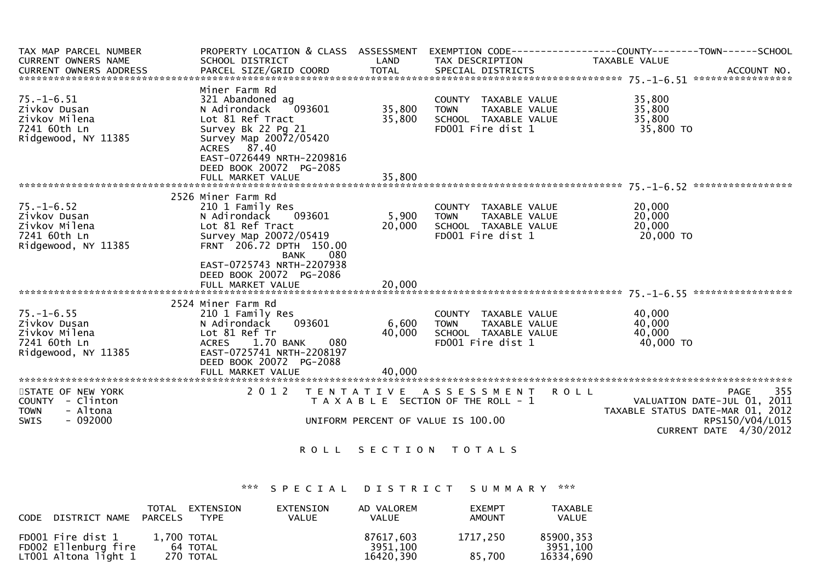| TAX MAP PARCEL NUMBER   |                                                                                            |                                 |                                       | PROPERTY LOCATION & CLASS ASSESSMENT EXEMPTION CODE----------------COUNTY-------TOWN------SCHOOL |     |
|-------------------------|--------------------------------------------------------------------------------------------|---------------------------------|---------------------------------------|--------------------------------------------------------------------------------------------------|-----|
| CURRENT OWNERS NAME     | SCHOOL DISTRICT                                                                            | <b>Example 12 District LAND</b> | TAX DESCRIPTION                       | TAXABLE VALUE                                                                                    |     |
|                         |                                                                                            |                                 |                                       |                                                                                                  |     |
|                         |                                                                                            |                                 |                                       |                                                                                                  |     |
|                         | Miner Farm Rd                                                                              |                                 |                                       |                                                                                                  |     |
| $75. - 1 - 6.51$        | 321 Abandoned ag<br>321 Abandoned ag<br>N Adirondack    093601             35,800          |                                 | COUNTY TAXABLE VALUE                  | 35,800                                                                                           |     |
| Zivkov Dusan            |                                                                                            |                                 | TOWN TAXABLE VALUE                    | 35,800                                                                                           |     |
| Zivkov Milena           | Lot 81 Ref Tract                                                                           | 35,800                          | SCHOOL TAXABLE VALUE                  | 35,800                                                                                           |     |
| 7241 60th Ln            | Survey Bk 22 Pg 21                                                                         |                                 | FD001 Fire dist 1                     | 35,800 TO                                                                                        |     |
| Ridgewood, NY 11385     | Survey Map 20072/05420                                                                     |                                 |                                       |                                                                                                  |     |
|                         | ACRES 87.40                                                                                |                                 |                                       |                                                                                                  |     |
|                         | EAST-0726449 NRTH-2209816                                                                  |                                 |                                       |                                                                                                  |     |
|                         | DEED BOOK 20072 PG-2085                                                                    |                                 |                                       |                                                                                                  |     |
|                         | FULL MARKET VALUE                                                                          | 35,800                          |                                       |                                                                                                  |     |
|                         |                                                                                            |                                 |                                       |                                                                                                  |     |
|                         | 2526 Miner Farm Rd                                                                         |                                 |                                       |                                                                                                  |     |
| $75. - 1 - 6.52$        | 210 1 Family Res<br>שוויי<br>את Adirondack<br>Lot 81 Ref Tract<br>Survey Man 2007<br>הייחס |                                 | COUNTY TAXABLE VALUE                  | 20,000                                                                                           |     |
| Zivkov Dusan            | 093601                                                                                     | 5,900                           | <b>TOWN</b><br>TAXABLE VALUE          | 20,000                                                                                           |     |
| Zivkov Milena           |                                                                                            | 20,000                          | SCHOOL TAXABLE VALUE                  | 20,000<br>20,000 c<br>20,000 co                                                                  |     |
| 7241 60th Ln            | Survey Map 20072/05419                                                                     |                                 | FD001 Fire dist 1                     |                                                                                                  |     |
| Ridgewood, NY 11385     | FRNT 206.72 DPTH 150.00                                                                    |                                 |                                       |                                                                                                  |     |
|                         | 080<br>BANK                                                                                |                                 |                                       |                                                                                                  |     |
|                         | EAST-0725743 NRTH-2207938                                                                  |                                 |                                       |                                                                                                  |     |
|                         | DEED BOOK 20072 PG-2086                                                                    |                                 |                                       |                                                                                                  |     |
|                         | FULL MARKET VALUE                                                                          | 20,000                          |                                       |                                                                                                  |     |
|                         | 2524 Miner Farm Rd                                                                         |                                 |                                       |                                                                                                  |     |
| $75. - 1 - 6.55$        | 210 1 Family Res                                                                           |                                 | COUNTY TAXABLE VALUE                  | 40.000                                                                                           |     |
| Zivkov Dusan            | 093601<br>N Adirondack                                                                     | 6,600                           | <b>TOWN</b><br>TAXABLE VALUE          | 40,000                                                                                           |     |
| Zivkov Milena           | Lot 81 Ref Tr                                                                              | 40,000                          | SCHOOL TAXABLE VALUE                  | 40,000                                                                                           |     |
| 7241 60th Ln            | 1.70 BANK<br>080<br>ACRES                                                                  |                                 | FD001 Fire dist 1                     | 40,000 TO                                                                                        |     |
| Ridgewood, NY 11385     | EAST-0725741 NRTH-2208197                                                                  |                                 |                                       |                                                                                                  |     |
|                         | DEED BOOK 20072 PG-2088                                                                    |                                 |                                       |                                                                                                  |     |
|                         | FULL MARKET VALUE                                                                          | 40,000                          |                                       |                                                                                                  |     |
|                         |                                                                                            |                                 |                                       |                                                                                                  |     |
| STATE OF NEW YORK       | 2 0 1 2                                                                                    | T E N T A T I V E               | A S S E S S M E N T                   | <b>ROLL</b><br><b>PAGE</b>                                                                       | 355 |
| COUNTY - Clinton        |                                                                                            |                                 | T A X A B L E SECTION OF THE ROLL - 1 | VALUATION DATE-JUL 01, 2011                                                                      |     |
| - Altona<br><b>TOWN</b> |                                                                                            |                                 |                                       | TAXABLE STATUS DATE-MAR 01, 2012                                                                 |     |
| $-092000$<br>SWIS       |                                                                                            |                                 | UNIFORM PERCENT OF VALUE IS 100.00    | RPS150/V04/L015                                                                                  |     |
|                         |                                                                                            |                                 |                                       | CURRENT DATE 4/30/2012                                                                           |     |
|                         |                                                                                            |                                 |                                       |                                                                                                  |     |
|                         | <b>ROLL</b>                                                                                |                                 | SECTION TOTALS                        |                                                                                                  |     |

## \*\*\* S P E C I A L D I S T R I C T S U M M A R Y \*\*\*

| DISTRICT NAME<br>CODE                                             | TOTAL<br>EXTENSION<br>PARCELS<br>TYPE | EXTENSION<br>VALUE | AD VALOREM<br><b>VALUE</b>         | <b>FXFMPT</b><br><b>AMOUNT</b> | <b>TAXABLE</b><br>VALUE            |
|-------------------------------------------------------------------|---------------------------------------|--------------------|------------------------------------|--------------------------------|------------------------------------|
| FD001 Fire dist 1<br>FD002 Ellenburg fire<br>LT001 Altona light 1 | 1,700 TOTAL<br>64 TOTAL<br>270 TOTAL  |                    | 87617,603<br>3951.100<br>16420.390 | 1717.250<br>85.700             | 85900,353<br>3951,100<br>16334,690 |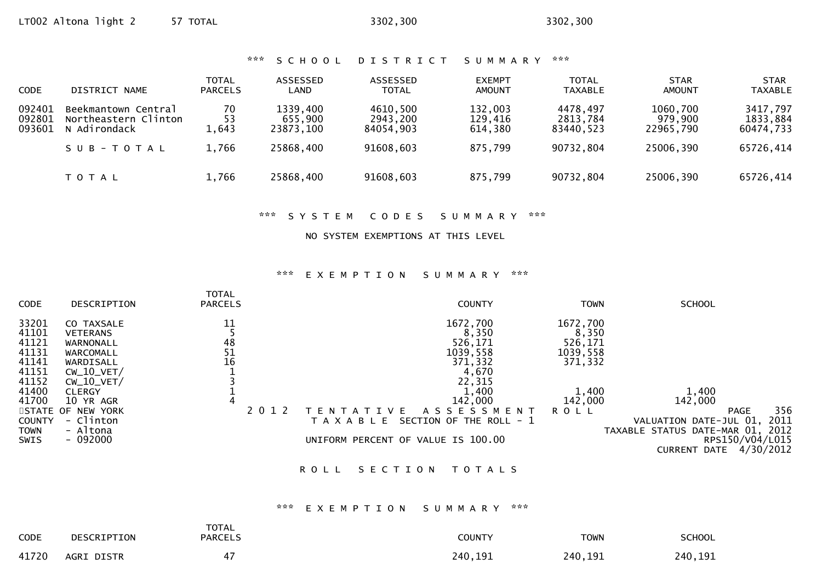\*\*\* S C H O O L D I S T R I C T S U M M A R Y \*\*\*

| CODE                       | DISTRICT NAME                                                            | TOTAL<br><b>PARCELS</b>    | ASSESSED<br>LAND                              | ASSESSED<br><b>TOTAL</b>                       | <b>EXEMPT</b><br><b>AMOUNT</b>           | <b>TOTAL</b><br><b>TAXABLE</b>                 | <b>STAR</b><br><b>AMOUNT</b>                  | <b>STAR</b><br><b>TAXABLE</b>                  |
|----------------------------|--------------------------------------------------------------------------|----------------------------|-----------------------------------------------|------------------------------------------------|------------------------------------------|------------------------------------------------|-----------------------------------------------|------------------------------------------------|
| 092401<br>092801<br>093601 | Beekmantown Central<br>Northeastern Clinton<br>N Adirondack<br>SUB-TOTAL | 70<br>53<br>1,643<br>1,766 | 1339,400<br>655,900<br>23873,100<br>25868,400 | 4610,500<br>2943,200<br>84054.903<br>91608,603 | 132,003<br>129,416<br>614,380<br>875,799 | 4478,497<br>2813,784<br>83440.523<br>90732,804 | 1060,700<br>979,900<br>22965,790<br>25006,390 | 3417,797<br>1833,884<br>60474,733<br>65726,414 |
|                            | T O T A L                                                                | 1,766                      | 25868,400                                     | 91608,603                                      | 875,799                                  | 90732,804                                      | 25006,390                                     | 65726,414                                      |

\*\*\* S Y S T E M C O D E S S U M M A R Y \*\*\*

#### NO SYSTEM EXEMPTIONS AT THIS LEVEL

#### \*\*\* E X E M P T I O N S U M M A R Y \*\*\*

| <b>CODE</b>   | DESCRIPTION       | <b>TOTAL</b><br><b>PARCELS</b> | <b>COUNTY</b>                            | <b>TOWN</b> | <b>SCHOOL</b>                    |
|---------------|-------------------|--------------------------------|------------------------------------------|-------------|----------------------------------|
| 33201         | CO TAXSALE        | 11                             | 1672,700                                 | 1672,700    |                                  |
| 41101         | <b>VETERANS</b>   |                                | 8,350                                    | 8,350       |                                  |
| 41121         | WARNONALL         | 48                             | 526,171                                  | 526,171     |                                  |
| 41131         | WARCOMALL         | 51                             | 1039,558                                 | 1039,558    |                                  |
| 41141         | WARDISALL         | 16                             | 371,332                                  | 371,332     |                                  |
| 41151         | $CW_10_VET/$      |                                | 4,670                                    |             |                                  |
| 41152         | $CW_10_VET/$      |                                | 22,315                                   |             |                                  |
| 41400         | <b>CLERGY</b>     |                                | 1,400                                    | 1,400       | 1,400                            |
| 41700         | 10 YR AGR         | 4                              | 142,000                                  | 142,000     | 142,000                          |
|               | STATE OF NEW YORK | 201                            | A S S E S S M E N T<br>E.<br>-F.<br>V.   | <b>ROLL</b> | 356<br><b>PAGE</b>               |
| <b>COUNTY</b> | - Clinton         |                                | SECTION OF THE ROLL - 1<br>T A X A B L E |             | 2011<br>VALUATION DATE-JUL 01,   |
| <b>TOWN</b>   | - Altona          |                                |                                          |             | TAXABLE STATUS DATE-MAR 01, 2012 |
| <b>SWIS</b>   | $-092000$         |                                | UNIFORM PERCENT OF VALUE IS 100.00       |             | RPS150/V04/L015                  |
|               |                   |                                |                                          |             | 4/30/2012<br><b>CURRENT DATE</b> |
|               |                   |                                |                                          |             |                                  |

# ROLL SECTION TOTALS

### \*\*\* E X E M P T I O N S U M M A R Y \*\*\*

| <b>CODE</b> | DESCRIPTION | <b>TOTAL</b><br><b>PARCELS</b> | <b>COUNTY</b> | <b>TOWN</b> | <b>SCHOOL</b> |
|-------------|-------------|--------------------------------|---------------|-------------|---------------|
| 41720       | AGRI DISTR  | 47                             | 240,191       | 240,191     | 240,191       |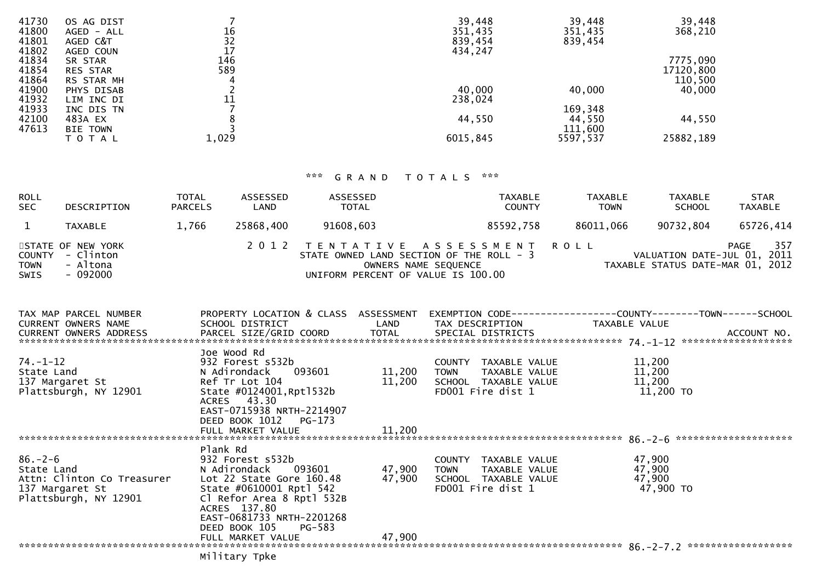| 41730 | OS AG DIST      |       | 39,448   | 39,448   | 39,448    |
|-------|-----------------|-------|----------|----------|-----------|
| 41800 | AGED - ALL      | 16    | 351,435  | 351,435  | 368,210   |
| 41801 | AGED C&T        | 32    | 839,454  | 839,454  |           |
| 41802 | AGED COUN       | 17    | 434,247  |          |           |
| 41834 | SR STAR         | 146   |          |          | 7775,090  |
| 41854 | <b>RES STAR</b> | 589   |          |          | 17120,800 |
| 41864 | RS STAR MH      | 4     |          |          | 110,500   |
| 41900 | PHYS DISAB      |       | 40,000   | 40,000   | 40,000    |
| 41932 | LIM INC DI      | 11    | 238,024  |          |           |
| 41933 | INC DIS TN      |       |          | 169,348  |           |
| 42100 | 483A EX         |       | 44,550   | 44,550   | 44,550    |
| 47613 | <b>BIE TOWN</b> |       |          | 111,600  |           |
|       | T O T A L       | 1,029 | 6015,845 | 5597,537 | 25882,189 |
|       |                 |       |          |          |           |

# \*\*\* G R A N D T O T A L S \*\*\*

| ROLL<br><b>SEC</b>            | DESCRIPTION                                            | <b>TOTAL</b><br><b>PARCELS</b> | ASSESSED<br>LAND | ASSESSED<br><b>TOTAL</b>           | <b>TAXABLE</b><br><b>COUNTY</b>                                                                    | <b>TAXABLE</b><br><b>TOWN</b> | <b>TAXABLE</b><br><b>SCHOOL</b> | <b>STAR</b><br><b>TAXABLE</b>                                                  |
|-------------------------------|--------------------------------------------------------|--------------------------------|------------------|------------------------------------|----------------------------------------------------------------------------------------------------|-------------------------------|---------------------------------|--------------------------------------------------------------------------------|
|                               | <b>TAXABLE</b>                                         | 1.766                          | 25868,400        | 91608,603                          | 85592,758                                                                                          | 86011,066                     | 90732,804                       | 65726,414                                                                      |
| COUNTY<br><b>TOWN</b><br>SWIS | STATE OF NEW YORK<br>- Clinton<br>- Altona<br>- 092000 |                                |                  | UNIFORM PERCENT OF VALUE IS 100.00 | 2012 TENTATIVE ASSESSMENT ROLL<br>STATE OWNED LAND SECTION OF THE ROLL - 3<br>OWNERS NAME SEQUENCE |                               |                                 | 357<br>PAGE<br>VALUATION DATE-JUL 01, 2011<br>TAXABLE STATUS DATE-MAR 01, 2012 |

| TAX MAP PARCEL NUMBER | PROPERTY LOCATION & CLASS ASSESSMENT                                                             | EXEMPTION CODE------------------COUNTY--------TOWN------SCHOOL                                            |                  |  |
|-----------------------|--------------------------------------------------------------------------------------------------|-----------------------------------------------------------------------------------------------------------|------------------|--|
| CURRENT OWNERS NAME   | SCHOOL DISTRICT                         LAND        TAX DESCRIPTION                TAXABLE VALUE |                                                                                                           |                  |  |
|                       |                                                                                                  |                                                                                                           |                  |  |
|                       |                                                                                                  |                                                                                                           |                  |  |
|                       | Joe Wood Rd                                                                                      |                                                                                                           |                  |  |
|                       |                                                                                                  | COUNTY TAXABLE VALUE $11,200$<br>TOWN TAXABLE VALUE $11,200$<br>SCHOOL TAXABLE VALUE $11,200$<br>$11,200$ |                  |  |
|                       |                                                                                                  |                                                                                                           |                  |  |
|                       |                                                                                                  |                                                                                                           |                  |  |
|                       |                                                                                                  | FD001 Fire dist 1                                                                                         | $11,200$ TO      |  |
|                       | ACRES 43.30                                                                                      |                                                                                                           |                  |  |
|                       | EAST-0715938 NRTH-2214907                                                                        |                                                                                                           |                  |  |
|                       | DEED BOOK 1012 PG-173                                                                            |                                                                                                           |                  |  |
|                       |                                                                                                  |                                                                                                           |                  |  |
|                       |                                                                                                  |                                                                                                           |                  |  |
|                       | Plank Rd                                                                                         |                                                                                                           |                  |  |
|                       |                                                                                                  | COUNTY TAXABLE VALUE                                                                                      | 47,900           |  |
|                       |                                                                                                  | TOWN       TAXABLE  VALUE<br>SCHOOL    TAXABLE  VALUE                                                     | 47,900<br>47,900 |  |
|                       |                                                                                                  | FD001 Fire dist 1                                                                                         |                  |  |
| 137 Margaret St       |                                                                                                  |                                                                                                           | 47,900 TO        |  |
|                       | ACRES 137.80                                                                                     |                                                                                                           |                  |  |
|                       | EAST-0681733 NRTH-2201268                                                                        |                                                                                                           |                  |  |
|                       | DEED BOOK 105 PG-583                                                                             |                                                                                                           |                  |  |
|                       |                                                                                                  |                                                                                                           |                  |  |
|                       |                                                                                                  |                                                                                                           |                  |  |
|                       | Military Tpke                                                                                    |                                                                                                           |                  |  |
|                       |                                                                                                  |                                                                                                           |                  |  |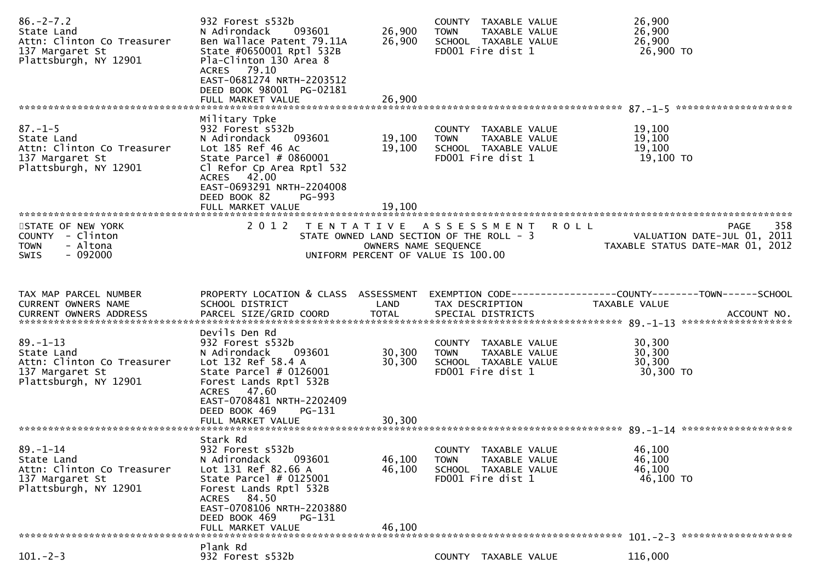| $86. -2 - 7.2$<br>State Land<br>Attn: Clinton Co Treasurer<br>137 Margaret St<br>Plattsburgh, NY 12901 | 932 Forest s532b<br>N Adirondack<br>093601<br>Ben Wallace Patent 79.11A<br>State #0650001 Rptl 532B<br>Pla-Clinton 130 Area 8<br>ACRES 79.10<br>EAST-0681274 NRTH-2203512<br>DEED BOOK 98001 PG-02181<br>FULL MARKET VALUE                | 26,900<br>26,900<br>26,900 | COUNTY TAXABLE VALUE<br><b>TOWN</b><br>TAXABLE VALUE<br>SCHOOL TAXABLE VALUE<br>FD001 Fire dist 1                     | 26,900<br>26,900<br>26,900<br>26,900 TO                                         |
|--------------------------------------------------------------------------------------------------------|-------------------------------------------------------------------------------------------------------------------------------------------------------------------------------------------------------------------------------------------|----------------------------|-----------------------------------------------------------------------------------------------------------------------|---------------------------------------------------------------------------------|
| $87. - 1 - 5$<br>State Land<br>Attn: Clinton Co Treasurer<br>137 Margaret St<br>Plattsburgh, NY 12901  | Military Tpke<br>932 Forest s532b<br>N Adirondack<br>093601<br>Lot 185 Ref 46 Ac<br>State Parcel # 0860001<br>Cl Refor Cp Area Rptl 532<br>ACRES 42.00<br>EAST-0693291 NRTH-2204008<br>DEED BOOK 82<br><b>PG-993</b><br>FULL MARKET VALUE | 19,100<br>19,100<br>19,100 | COUNTY TAXABLE VALUE<br>TAXABLE VALUE<br><b>TOWN</b><br>SCHOOL TAXABLE VALUE<br>FD001 Fire dist 1                     | 19,100<br>19,100<br>19,100<br>19,100 TO                                         |
| STATE OF NEW YORK<br>COUNTY - Clinton<br><b>TOWN</b><br>- Altona<br>$-092000$<br><b>SWIS</b>           | 2 0 1 2                                                                                                                                                                                                                                   | OWNERS NAME SEQUENCE       | TENTATIVE ASSESSMENT<br><b>ROLL</b><br>STATE OWNED LAND SECTION OF THE ROLL - 3<br>UNIFORM PERCENT OF VALUE IS 100.00 | 358<br>PAGE<br>VALUATION DATE-JUL 01, 2011<br>TAXABLE STATUS DATE-MAR 01, 2012  |
| TAX MAP PARCEL NUMBER<br>CURRENT OWNERS NAME                                                           | PROPERTY LOCATION & CLASS ASSESSMENT<br>SCHOOL DISTRICT                                                                                                                                                                                   | LAND                       | TAX DESCRIPTION                                                                                                       | EXEMPTION CODE------------------COUNTY--------TOWN------SCHOOL<br>TAXABLE VALUE |
| $89. - 1 - 13$<br>State Land<br>Attn: Clinton Co Treasurer<br>137 Margaret St<br>Plattsburgh, NY 12901 | Devils Den Rd<br>932 Forest s532b<br>N Adirondack<br>093601<br>Lot 132 Ref 58.4 A<br>State Parcel $# 0126001$<br>Forest Lands Rptl 532B<br>ACRES 47.60<br>EAST-0708481 NRTH-2202409<br>DEED BOOK 469<br>PG-131                            | 30,300<br>30,300           | COUNTY TAXABLE VALUE<br>TAXABLE VALUE<br><b>TOWN</b><br>SCHOOL TAXABLE VALUE<br>FD001 Fire dist 1                     | 30,300<br>30,300<br>30,300<br>30,300 TO                                         |
|                                                                                                        | FULL MARKET VALUE                                                                                                                                                                                                                         | 30,300                     |                                                                                                                       |                                                                                 |
| $89. - 1 - 14$<br>State Land<br>Attn: Clinton Co Treasurer<br>137 Margaret St<br>Plattsburgh, NY 12901 | Stark Rd<br>932 Forest s532b<br>N Adirondack<br>093601<br>Lot 131 Ref 82.66 A<br>State Parcel $#$ 0125001<br>Forest Lands Rptl 532B<br>ACRES 84.50<br>EAST-0708106 NRTH-2203880<br>DEED BOOK 469<br>PG-131<br>FULL MARKET VALUE           | 46,100<br>46,100<br>46.100 | COUNTY<br>TAXABLE VALUE<br><b>TOWN</b><br>TAXABLE VALUE<br>SCHOOL TAXABLE VALUE<br>FD001 Fire dist 1                  | 46,100<br>46,100<br>46,100<br>46,100 TO                                         |
|                                                                                                        | Plank Rd                                                                                                                                                                                                                                  |                            |                                                                                                                       |                                                                                 |
| $101. - 2 - 3$                                                                                         | 932 Forest s532b                                                                                                                                                                                                                          |                            | COUNTY TAXABLE VALUE                                                                                                  | 116,000                                                                         |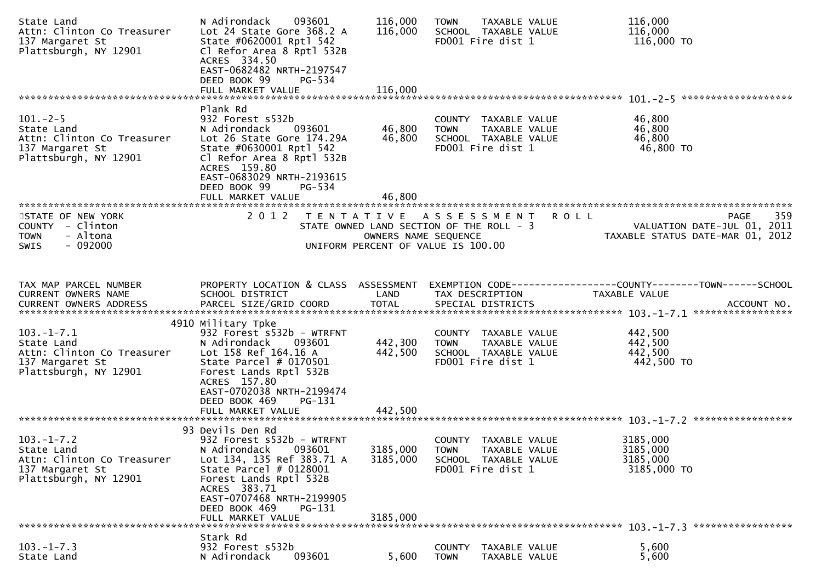| State Land<br>Attn: Clinton Co Treasurer<br>137 Margaret St<br>Plattsburgh, NY 12901                     | 093601<br>N Adirondack<br>Lot 24 State Gore 368.2 A<br>State #0620001 Rptl 542<br>Cl Refor Area 8 Rptl 532B<br>ACRES 334.50<br>EAST-0682482 NRTH-2197547<br>DEED BOOK 99<br>PG-534 | 116,000<br>116,000   | <b>TOWN</b><br>TAXABLE VALUE<br>SCHOOL TAXABLE VALUE<br>FD001 Fire dist 1                                   | 116,000<br>116,000<br>116,000 TO                                                |
|----------------------------------------------------------------------------------------------------------|------------------------------------------------------------------------------------------------------------------------------------------------------------------------------------|----------------------|-------------------------------------------------------------------------------------------------------------|---------------------------------------------------------------------------------|
|                                                                                                          | FULL MARKET VALUE                                                                                                                                                                  | 116,000              |                                                                                                             |                                                                                 |
| $101. - 2 - 5$<br>State Land                                                                             | Plank Rd<br>932 Forest s532b<br>N Adirondack<br>093601                                                                                                                             | 46,800               | COUNTY TAXABLE VALUE<br>TAXABLE VALUE<br><b>TOWN</b>                                                        | 46,800<br>46,800                                                                |
| Attn: Clinton Co Treasurer<br>137 Margaret St<br>Plattsburgh, NY 12901                                   | Lot 26 State Gore 174.29A<br>State #0630001 Rptl 542<br>Cl Refor Area 8 Rptl 532B<br>ACRES 159.80<br>EAST-0683029 NRTH-2193615<br>DEED BOOK 99<br>PG-534                           | 46,800               | SCHOOL TAXABLE VALUE<br>FD001 Fire dist 1                                                                   | 46,800<br>46,800 TO                                                             |
|                                                                                                          | FULL MARKET VALUE                                                                                                                                                                  | 46,800               |                                                                                                             |                                                                                 |
| STATE OF NEW YORK<br>COUNTY - Clinton<br>- Altona<br><b>TOWN</b><br>- 092000<br><b>SWIS</b>              | 2 0 1 2                                                                                                                                                                            | OWNERS NAME SEQUENCE | TENTATIVE ASSESSMENT ROLL<br>STATE OWNED LAND SECTION OF THE ROLL - 3<br>UNIFORM PERCENT OF VALUE IS 100.00 | 359<br>PAGE<br>VALUATION DATE-JUL 01, 2011<br>TAXABLE STATUS DATE-MAR 01, 2012  |
| TAX MAP PARCEL NUMBER<br>CURRENT OWNERS NAME                                                             | PROPERTY LOCATION & CLASS ASSESSMENT<br>SCHOOL DISTRICT                                                                                                                            | LAND                 | TAX DESCRIPTION                                                                                             | EXEMPTION CODE------------------COUNTY--------TOWN------SCHOOL<br>TAXABLE VALUE |
|                                                                                                          |                                                                                                                                                                                    |                      |                                                                                                             |                                                                                 |
|                                                                                                          | 4910 Military Tpke                                                                                                                                                                 |                      |                                                                                                             |                                                                                 |
| $103.-1-.7.1$                                                                                            | 932 Forest s532b - WTRFNT                                                                                                                                                          |                      | COUNTY TAXABLE VALUE                                                                                        | 442,500                                                                         |
| State Land<br>Attn: Clinton Co Treasurer                                                                 | N Adirondack<br>093601<br>Lot 158 Ref 164.16 A                                                                                                                                     | 442,300<br>442,500   | <b>TOWN</b><br>TAXABLE VALUE<br>SCHOOL TAXABLE VALUE                                                        | 442,500<br>442,500                                                              |
| 137 Margaret St<br>Plattsburgh, NY 12901                                                                 | State Parcel $#$ 0170501<br>Forest Lands Rptl 532B<br>ACRES 157.80<br>EAST-0702038 NRTH-2199474<br>DEED BOOK 469<br>$PG-131$<br>FULL MARKET VALUE                                  | 442,500              | FD001 Fire dist 1                                                                                           | 442,500 TO                                                                      |
|                                                                                                          | 93 Devils Den Rd                                                                                                                                                                   |                      |                                                                                                             |                                                                                 |
| $103. - 1 - 7.2$<br>State Land<br>Attn: Clinton Co Treasurer<br>137 Margaret St<br>Plattsburgh, NY 12901 | 932 Forest s532b - WTRFNT<br>093601<br>N Adirondack<br>Lot 134, 135 Ref 383.71 A<br>State Parcel # 0128001<br>Forest Lands Rptl 532B<br>ACRES 383.71<br>EAST-0707468 NRTH-2199905  | 3185,000<br>3185,000 | COUNTY TAXABLE VALUE<br><b>TOWN</b><br>TAXABLE VALUE<br>SCHOOL TAXABLE VALUE<br>FD001 Fire dist 1           | 3185,000<br>3185,000<br>3185,000<br>3185,000 TO                                 |
|                                                                                                          | DEED BOOK 469<br>PG-131<br>FULL MARKET VALUE                                                                                                                                       | 3185,000             |                                                                                                             |                                                                                 |
|                                                                                                          | Stark Rd                                                                                                                                                                           |                      |                                                                                                             |                                                                                 |
| $103. -1 - 7.3$<br>State Land                                                                            | 932 Forest s532b<br>093601<br>N Adirondack                                                                                                                                         | 5,600                | <b>COUNTY</b><br>TAXABLE VALUE<br><b>TOWN</b><br>TAXABLE VALUE                                              | 5,600<br>5,600                                                                  |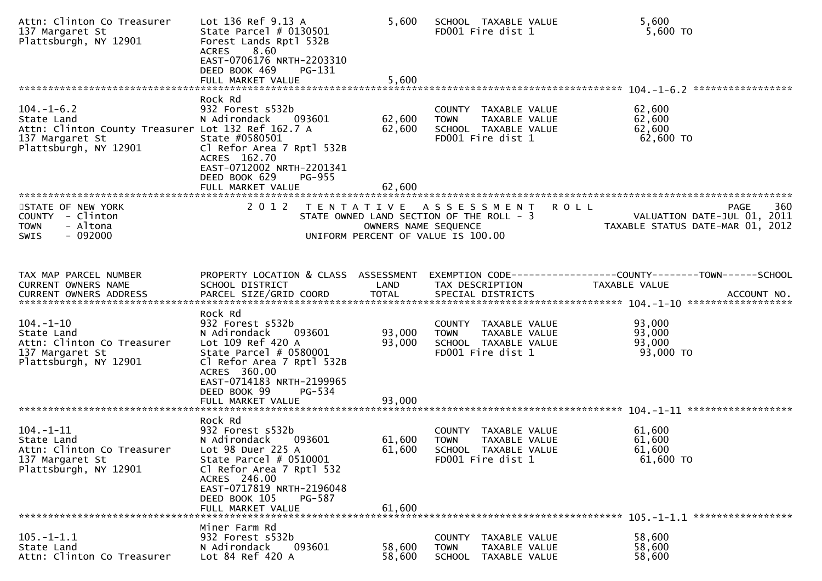| Attn: Clinton Co Treasurer<br>137 Margaret St<br>Plattsburgh, NY 12901                                                           | Lot 136 Ref 9.13 A<br>State Parcel $#$ 0130501<br>Forest Lands Rptl 532B<br>8.60<br><b>ACRES</b><br>EAST-0706176 NRTH-2203310<br>DEED BOOK 469<br>PG-131<br>FULL MARKET VALUE                                                 | 5,600<br>5,600             | SCHOOL TAXABLE VALUE<br>FD001 Fire dist 1                                                                   | 5,600<br>$5,600$ TO                                                                           |
|----------------------------------------------------------------------------------------------------------------------------------|-------------------------------------------------------------------------------------------------------------------------------------------------------------------------------------------------------------------------------|----------------------------|-------------------------------------------------------------------------------------------------------------|-----------------------------------------------------------------------------------------------|
| $104. - 1 - 6.2$<br>State Land<br>Attn: Clinton County Treasurer Lot 132 Ref 162.7 A<br>137 Margaret St<br>Plattsburgh, NY 12901 | Rock Rd<br>932 Forest s532b<br>N Adirondack<br>093601<br>State #0580501<br>Cl Refor Area 7 Rptl 532B<br>ACRES 162.70<br>EAST-0712002 NRTH-2201341<br>DEED BOOK 629<br>PG-955<br>FULL MARKET VALUE                             | 62,600<br>62,600<br>62,600 | COUNTY TAXABLE VALUE<br>TAXABLE VALUE<br>TOWN<br>SCHOOL TAXABLE VALUE<br>FD001 Fire dist 1                  | *****************<br>62,600<br>62,600<br>62,600<br>62,600 TO                                  |
| STATE OF NEW YORK<br>COUNTY - Clinton<br>- Altona<br><b>TOWN</b><br>$-092000$<br>SWIS                                            | 2 0 1 2                                                                                                                                                                                                                       | OWNERS NAME SEQUENCE       | TENTATIVE ASSESSMENT<br>STATE OWNED LAND SECTION OF THE ROLL - 3<br>UNIFORM PERCENT OF VALUE IS 100.00      | 360<br><b>ROLL</b><br>PAGE<br>VALUATION DATE-JUL 01, 2011<br>TAXABLE STATUS DATE-MAR 01, 2012 |
| TAX MAP PARCEL NUMBER<br><b>CURRENT OWNERS NAME</b>                                                                              | PROPERTY LOCATION & CLASS ASSESSMENT<br>SCHOOL DISTRICT                                                                                                                                                                       | LAND                       | TAX DESCRIPTION                                                                                             | EXEMPTION        CODE-----------------COUNTY-------TOWN------SCHOOL<br>TAXABLE VALUE          |
| $104. - 1 - 10$<br>State Land<br>Attn: Clinton Co Treasurer<br>137 Margaret St<br>Plattsburgh, NY 12901                          | Rock Rd<br>932 Forest s532b<br>N Adirondack<br>093601<br>Lot 109 Ref 420 A<br>State Parcel # 0580001<br>Cl Refor Area 7 Rptl 532B<br>ACRES 360.00<br>EAST-0714183 NRTH-2199965<br>DEED BOOK 99<br>PG-534<br>FULL MARKET VALUE | 93,000<br>93,000<br>93,000 | COUNTY TAXABLE VALUE<br>TAXABLE VALUE<br><b>TOWN</b><br>SCHOOL TAXABLE VALUE<br>FD001 Fire dist 1           | 93,000<br>93,000<br>93,000<br>93,000 TO                                                       |
| $104. - 1 - 11$<br>State Land<br>Attn: Clinton Co Treasurer<br>137 Margaret St<br>Plattsburgh, NY 12901                          | Rock Rd<br>932 Forest s532b<br>N Adirondack<br>093601<br>Lot 98 Duer 225 A<br>State Parcel # 0510001<br>Cl Refor Area 7 Rptl 532<br>ACRES 246.00<br>EAST-0717819 NRTH-2196048<br>DEED BOOK 105<br>PG-587<br>FULL MARKET VALUE | 61,600<br>61,600<br>61,600 | COUNTY TAXABLE VALUE<br>TAXABLE VALUE<br><b>TOWN</b><br><b>SCHOOL</b><br>TAXABLE VALUE<br>FD001 Fire dist 1 | 61,600<br>61,600<br>61,600<br>$61,600$ TO                                                     |
| $105. - 1 - 1.1$<br>State Land<br>Attn: Clinton Co Treasurer                                                                     | Miner Farm Rd<br>932 Forest s532b<br>N Adirondack<br>093601<br>Lot 84 Ref 420 A                                                                                                                                               | 58,600<br>58,600           | COUNTY<br>TAXABLE VALUE<br>TAXABLE VALUE<br><b>TOWN</b><br>SCHOOL<br>TAXABLE VALUE                          | 58,600<br>58,600<br>58,600                                                                    |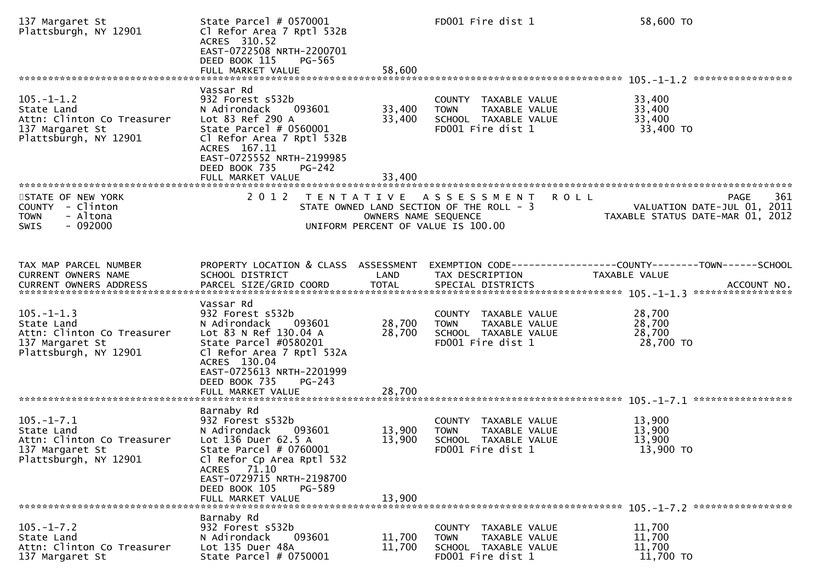| 137 Margaret St<br>Plattsburgh, NY 12901                                                                 | State Parcel $#$ 0570001<br>Cl Refor Area 7 Rptl 532B<br>ACRES 310.52<br>EAST-0722508 NRTH-2200701<br>DEED BOOK 115<br>PG-565<br>FULL MARKET VALUE                                                                                    | 58,600                     | FD001 Fire dist 1                                                                                     | 58,600 TO                                                                                            |
|----------------------------------------------------------------------------------------------------------|---------------------------------------------------------------------------------------------------------------------------------------------------------------------------------------------------------------------------------------|----------------------------|-------------------------------------------------------------------------------------------------------|------------------------------------------------------------------------------------------------------|
|                                                                                                          | Vassar Rd                                                                                                                                                                                                                             |                            |                                                                                                       |                                                                                                      |
| $105. - 1 - 1.2$<br>State Land<br>Attn: Clinton Co Treasurer<br>137 Margaret St<br>Plattsburgh, NY 12901 | 932 Forest s532b<br>N Adirondack<br>093601<br>Lot 83 Ref 290 A<br>State Parcel $# 0560001$<br>Cl Refor Area 7 Rptl 532B<br>ACRES 167.11<br>EAST-0725552 NRTH-2199985<br>DEED BOOK 735<br>PG-242                                       | 33,400<br>33,400           | COUNTY TAXABLE VALUE<br><b>TOWN</b><br>TAXABLE VALUE<br>SCHOOL TAXABLE VALUE<br>FD001 Fire dist 1     | 33,400<br>33,400<br>33,400<br>33,400 TO                                                              |
|                                                                                                          | FULL MARKET VALUE                                                                                                                                                                                                                     | 33,400                     |                                                                                                       |                                                                                                      |
| STATE OF NEW YORK<br>COUNTY - Clinton<br>- Altona<br><b>TOWN</b><br>$-092000$<br>SWIS                    | 2 0 1 2<br>T E N T A T I V E                                                                                                                                                                                                          | OWNERS NAME SEQUENCE       | A S S E S S M E N T<br>STATE OWNED LAND SECTION OF THE ROLL - 3<br>UNIFORM PERCENT OF VALUE IS 100.00 | 361<br><b>ROLL</b><br><b>PAGE</b><br>VALUATION DATE-JUL 01, 2011<br>TAXABLE STATUS DATE-MAR 01, 2012 |
| TAX MAP PARCEL NUMBER<br>CURRENT OWNERS NAME<br>CURRENT OWNERS ADDRESS                                   | PROPERTY LOCATION & CLASS ASSESSMENT<br>SCHOOL DISTRICT<br>PARCEL SIZE/GRID COORD                                                                                                                                                     | LAND<br><b>TOTAL</b>       | TAX DESCRIPTION<br>SPECIAL DISTRICTS                                                                  | EXEMPTION        CODE-----------------COUNTY-------TOWN------SCHOOL<br>TAXABLE VALUE<br>ACCOUNT NO.  |
| $105. - 1 - 1.3$<br>State Land<br>Attn: Clinton Co Treasurer<br>137 Margaret St<br>Plattsburgh, NY 12901 | Vassar Rd<br>932 Forest s532b<br>093601<br>N Adirondack<br>Lot 83 N Ref 130.04 A<br>State Parcel #0580201<br>Cl Refor Area 7 Rptl 532A<br>ACRES 130.04<br>EAST-0725613 NRTH-2201999<br>DEED BOOK 735<br>$PG-243$<br>FULL MARKET VALUE | 28,700<br>28,700<br>28,700 | COUNTY TAXABLE VALUE<br><b>TOWN</b><br>TAXABLE VALUE<br>SCHOOL TAXABLE VALUE<br>FD001 Fire dist 1     | 28,700<br>28,700<br>28,700<br>28,700 TO                                                              |
|                                                                                                          |                                                                                                                                                                                                                                       |                            |                                                                                                       |                                                                                                      |
| $105. - 1 - 7.1$<br>State Land<br>Attn: Clinton Co Treasurer<br>137 Margaret St<br>Plattsburgh, NY 12901 | Barnaby Rd<br>932 Forest s532b<br>N Adirondack<br>093601<br>Lot 136 Duer 62.5 A<br>State Parcel # 0760001<br>Cl Refor Cp Area Rptl 532<br>ACRES 71.10<br>EAST-0729715 NRTH-2198700<br>DEED BOOK 105<br>PG-589                         | 13,900<br>13,900           | COUNTY TAXABLE VALUE<br><b>TOWN</b><br>TAXABLE VALUE<br>SCHOOL TAXABLE VALUE<br>FD001 Fire dist 1     | 13,900<br>13,900<br>13,900<br>13,900 TO                                                              |
|                                                                                                          | FULL MARKET VALUE                                                                                                                                                                                                                     | 13,900                     |                                                                                                       |                                                                                                      |
| $105. - 1 - 7.2$<br>State Land<br>Attn: Clinton Co Treasurer<br>137 Margaret St                          | Barnaby Rd<br>932 Forest s532b<br>N Adirondack<br>093601<br>Lot 135 Duer 48A<br>State Parcel # 0750001                                                                                                                                | 11,700<br>11,700           | COUNTY TAXABLE VALUE<br>TAXABLE VALUE<br><b>TOWN</b><br>SCHOOL TAXABLE VALUE<br>FD001 Fire dist 1     | 11,700<br>11,700<br>11,700<br>11,700 TO                                                              |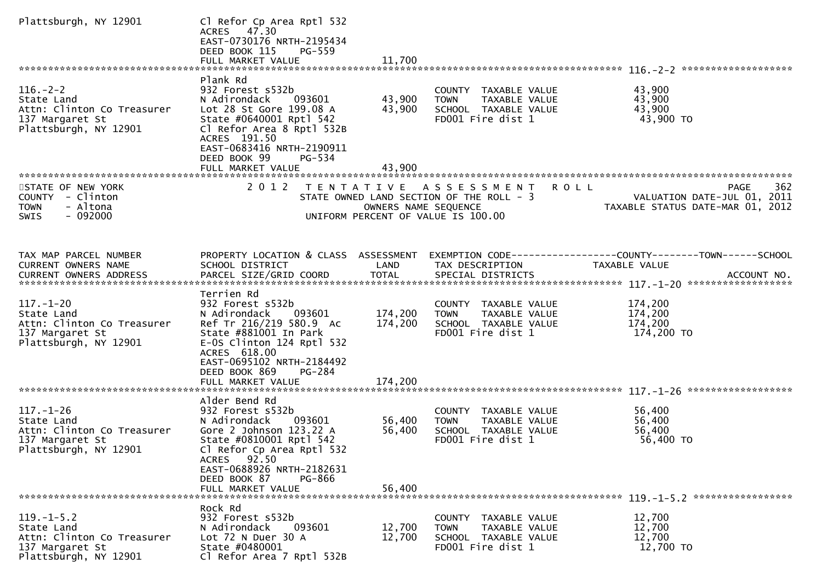| Plattsburgh, NY 12901                                                                                    | Cl Refor Cp Area Rptl 532<br>ACRES 47.30<br>EAST-0730176 NRTH-2195434<br>DEED BOOK 115<br>PG-559                                                                                                                            |                      |                                                                                                                      |                                                                                                                   |
|----------------------------------------------------------------------------------------------------------|-----------------------------------------------------------------------------------------------------------------------------------------------------------------------------------------------------------------------------|----------------------|----------------------------------------------------------------------------------------------------------------------|-------------------------------------------------------------------------------------------------------------------|
|                                                                                                          | Plank Rd                                                                                                                                                                                                                    |                      |                                                                                                                      |                                                                                                                   |
| $116. - 2 - 2$<br>State Land<br>Attn: Clinton Co Treasurer<br>137 Margaret St<br>Plattsburgh, NY 12901   | 932 Forest s532b<br>N Adirondack<br>093601<br>Lot 28 St Gore 199.08 A<br>State #0640001 Rptl 542<br>Cl Refor Area 8 Rptl 532B<br>ACRES 191.50<br>EAST-0683416 NRTH-2190911<br>DEED BOOK 99<br>PG-534                        | 43,900<br>43,900     | COUNTY TAXABLE VALUE<br><b>TOWN</b><br>TAXABLE VALUE<br>SCHOOL TAXABLE VALUE<br>FD001 Fire dist 1                    | 43,900<br>43,900<br>43,900<br>43,900 TO                                                                           |
|                                                                                                          | FULL MARKET VALUE                                                                                                                                                                                                           | 43,900               |                                                                                                                      |                                                                                                                   |
| STATE OF NEW YORK<br>COUNTY - Clinton<br>- Altona<br><b>TOWN</b><br>$-092000$<br>SWIS                    | 2 0 1 2<br>T E N T A T I V E                                                                                                                                                                                                | OWNERS NAME SEQUENCE | <b>ROLL</b><br>A S S E S S M E N T<br>STATE OWNED LAND SECTION OF THE ROLL - 3<br>UNIFORM PERCENT OF VALUE IS 100.00 | PAGE<br>362<br>VALUATION DATE-JUL 01, 2011<br>VALUATION DATE-JUL 01, 2011<br>TAXABLE STATUS DATE-MAR 01, 2012     |
| TAX MAP PARCEL NUMBER<br><b>CURRENT OWNERS NAME</b>                                                      | SCHOOL DISTRICT                                                                                                                                                                                                             | LAND                 | TAX DESCRIPTION                                                                                                      | PROPERTY LOCATION & CLASS ASSESSMENT EXEMPTION CODE----------------COUNTY-------TOWN------SCHOOL<br>TAXABLE VALUE |
|                                                                                                          | Terrien Rd                                                                                                                                                                                                                  |                      |                                                                                                                      |                                                                                                                   |
| $117. - 1 - 20$<br>State Land<br>Attn: Clinton Co Treasurer<br>137 Margaret St<br>Plattsburgh, NY 12901  | 932 Forest s532b<br>N Adirondack<br>093601<br>Ref Tr 216/219 580.9 Ac<br>State #881001 In Park<br>$E-0S$ Clinton 124 Rptl 532<br>ACRES 618.00<br>EAST-0695102 NRTH-2184492                                                  | 174,200<br>174,200   | COUNTY TAXABLE VALUE<br>TAXABLE VALUE<br><b>TOWN</b><br>SCHOOL TAXABLE VALUE<br>FD001 Fire dist 1                    | 174,200<br>174,200<br>174,200<br>174,200 TO                                                                       |
|                                                                                                          | DEED BOOK 869<br><b>PG-284</b><br>FULL MARKET VALUE                                                                                                                                                                         | 174,200              |                                                                                                                      |                                                                                                                   |
|                                                                                                          |                                                                                                                                                                                                                             |                      |                                                                                                                      |                                                                                                                   |
| $117. - 1 - 26$<br>State Land<br>Attn: Clinton Co Treasurer<br>137 Margaret St<br>Plattsburgh, NY 12901  | Alder Bend Rd<br>932 Forest s532b<br>N Adirondack<br>093601<br>Gore 2 Johnson 123.22 A<br>State #0810001 Rptl 542<br>Cl Refor Cp Area Rptl 532<br>ACRES 92.50<br>EAST-0688926 NRTH-2182631<br>DEED BOOK 87<br><b>PG-866</b> | 56,400<br>56,400     | COUNTY TAXABLE VALUE<br>TAXABLE VALUE<br><b>TOWN</b><br>SCHOOL TAXABLE VALUE<br>FD001 Fire dist 1                    | 56,400<br>56,400<br>56,400<br>56,400 TO                                                                           |
|                                                                                                          | FULL MARKET VALUE                                                                                                                                                                                                           | 56,400               |                                                                                                                      |                                                                                                                   |
|                                                                                                          | Rock Rd                                                                                                                                                                                                                     |                      |                                                                                                                      |                                                                                                                   |
| $119. - 1 - 5.2$<br>State Land<br>Attn: Clinton Co Treasurer<br>137 Margaret St<br>Plattsburgh, NY 12901 | 932 Forest s532b<br>N Adirondack<br>093601<br>Lot 72 N Duer 30 A<br>State #0480001<br>Cl Refor Area 7 Rptl 532B                                                                                                             | 12,700<br>12,700     | COUNTY TAXABLE VALUE<br><b>TOWN</b><br>TAXABLE VALUE<br>SCHOOL TAXABLE VALUE<br>FD001 Fire dist 1                    | 12,700<br>12,700<br>12,700<br>12,700 TO                                                                           |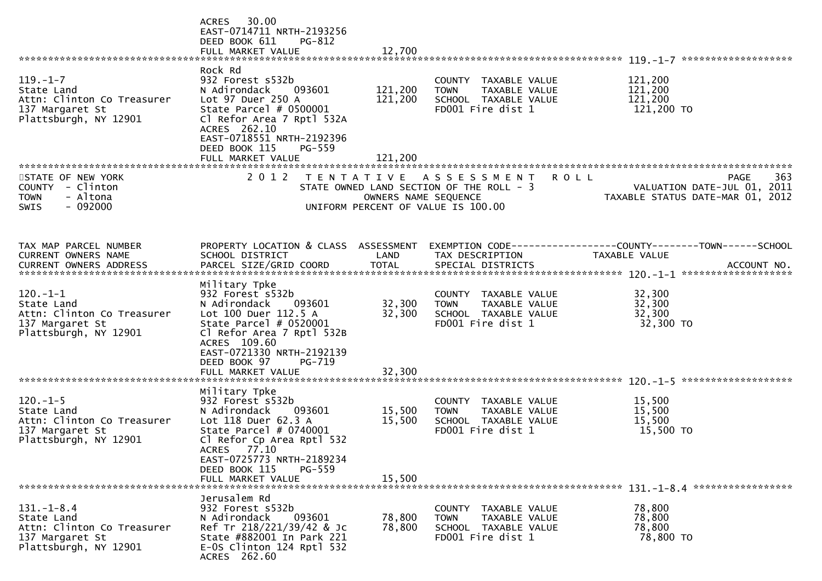|                                                                                                          | 30.00<br><b>ACRES</b><br>EAST-0714711 NRTH-2193256<br>DEED BOOK 611<br>PG-812<br>FULL MARKET VALUE                                                                                                          | 12,700               |                                                                                                                       |                                                                                |     |
|----------------------------------------------------------------------------------------------------------|-------------------------------------------------------------------------------------------------------------------------------------------------------------------------------------------------------------|----------------------|-----------------------------------------------------------------------------------------------------------------------|--------------------------------------------------------------------------------|-----|
|                                                                                                          |                                                                                                                                                                                                             |                      |                                                                                                                       |                                                                                |     |
| $119. - 1 - 7$<br>State Land<br>Attn: Clinton Co Treasurer<br>137 Margaret St<br>Plattsburgh, NY 12901   | Rock Rd<br>932 Forest s532b<br>N Adirondack<br>093601<br>Lot 97 Duer 250 A<br>State Parcel $# 0500001$<br>Cl Refor Area 7 Rptl 532A<br>ACRES 262.10<br>EAST-0718551 NRTH-2192396<br>DEED BOOK 115<br>PG-559 | 121,200<br>121,200   | COUNTY TAXABLE VALUE<br>TAXABLE VALUE<br><b>TOWN</b><br>SCHOOL TAXABLE VALUE<br>FD001 Fire dist 1                     | 121,200<br>121,200<br>121,200<br>121,200 TO                                    |     |
|                                                                                                          | FULL MARKET VALUE                                                                                                                                                                                           | 121,200              |                                                                                                                       |                                                                                |     |
|                                                                                                          |                                                                                                                                                                                                             |                      |                                                                                                                       |                                                                                |     |
| STATE OF NEW YORK<br>COUNTY - Clinton<br><b>TOWN</b><br>- Altona<br>$-092000$<br><b>SWIS</b>             | 2 0 1 2                                                                                                                                                                                                     | OWNERS NAME SEQUENCE | TENTATIVE ASSESSMENT<br><b>ROLL</b><br>STATE OWNED LAND SECTION OF THE ROLL - 3<br>UNIFORM PERCENT OF VALUE IS 100.00 | <b>PAGE</b><br>VALUATION DATE-JUL 01, 2011<br>TAXABLE STATUS DATE-MAR 01, 2012 | 363 |
|                                                                                                          |                                                                                                                                                                                                             |                      |                                                                                                                       |                                                                                |     |
| TAX MAP PARCEL NUMBER<br>CURRENT OWNERS NAME                                                             | PROPERTY LOCATION & CLASS ASSESSMENT<br>SCHOOL DISTRICT                                                                                                                                                     | LAND                 | TAX DESCRIPTION                                                                                                       | EXEMPTION CODE-----------------COUNTY--------TOWN-----SCHOOL<br>TAXABLE VALUE  |     |
|                                                                                                          |                                                                                                                                                                                                             |                      |                                                                                                                       |                                                                                |     |
| $120. - 1 - 1$<br>State Land<br>Attn: Clinton Co Treasurer<br>137 Margaret St<br>Plattsburgh, NY 12901   | Military Tpke<br>932 Forest s532b<br>093601<br>N Adirondack<br>Lot 100 Duer 112.5 A<br>State Parcel $# 0520001$<br>Cl Refor Area 7 Rptl 532B<br>ACRES 109.60                                                | 32,300<br>32,300     | COUNTY TAXABLE VALUE<br>TAXABLE VALUE<br>TOWN<br>SCHOOL TAXABLE VALUE<br>FD001 Fire dist 1                            | 32,300<br>32,300<br>32,300<br>32,300 TO                                        |     |
|                                                                                                          | EAST-0721330 NRTH-2192139<br>DEED BOOK 97<br>PG-719<br>FULL MARKET VALUE                                                                                                                                    | 32,300               |                                                                                                                       |                                                                                |     |
|                                                                                                          | Military Tpke                                                                                                                                                                                               |                      |                                                                                                                       |                                                                                |     |
| $120. - 1 - 5$<br>State Land<br>Attn: Clinton Co Treasurer<br>137 Margaret St<br>Plattsburgh, NY 12901   | 932 Forest s532b<br>093601<br>N Adirondack<br>Lot 118 Duer 62.3 A<br>State Parcel # 0740001<br>Cl Refor Cp Area Rptl 532<br>ACRES 77.10<br>EAST-0725773 NRTH-2189234<br>DEED BOOK 115<br>PG-559             | 15,500<br>15,500     | COUNTY TAXABLE VALUE<br><b>TOWN</b><br>TAXABLE VALUE<br>SCHOOL TAXABLE VALUE<br>FD001 Fire dist 1                     | 15,500<br>15,500<br>15,500<br>15,500 TO                                        |     |
|                                                                                                          | FULL MARKET VALUE                                                                                                                                                                                           | 15,500               |                                                                                                                       |                                                                                |     |
|                                                                                                          |                                                                                                                                                                                                             |                      |                                                                                                                       |                                                                                |     |
| $131. - 1 - 8.4$<br>State Land<br>Attn: Clinton Co Treasurer<br>137 Margaret St<br>Plattsburgh, NY 12901 | Jerusalem Rd<br>932 Forest s532b<br>N Adirondack<br>093601<br>Ref Tr 218/221/39/42 & Jc<br>State #882001 In Park 221<br>$E-0S$ Clinton 124 Rptl 532<br>ACRES 262.60                                         | 78,800<br>78,800     | COUNTY TAXABLE VALUE<br><b>TOWN</b><br>TAXABLE VALUE<br>SCHOOL TAXABLE VALUE<br>FD001 Fire dist 1                     | 78,800<br>78,800<br>78,800<br>78,800 TO                                        |     |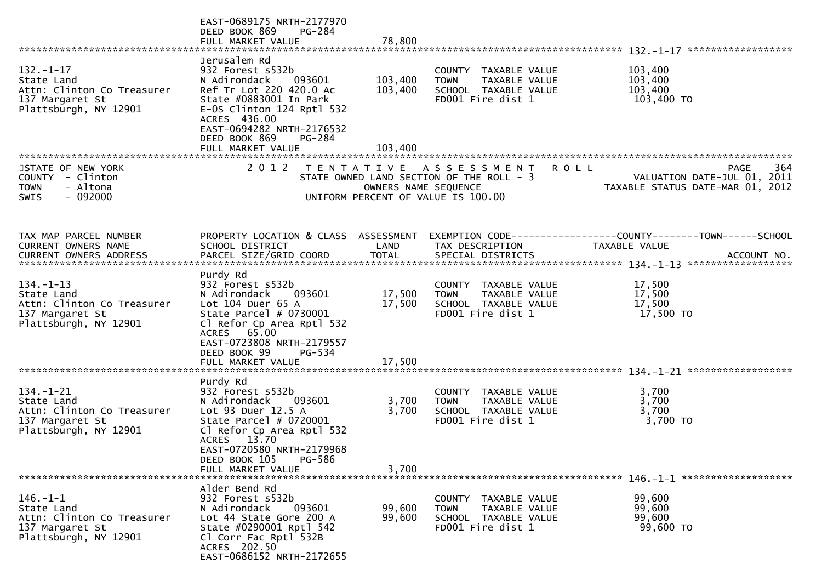|                                                                                                         | EAST-0689175 NRTH-2177970<br>DEED BOOK 869<br><b>PG-284</b><br>FULL MARKET VALUE                                                                                                                                                                   | 78,800                        |                                                                                                        |                                                                                                      |
|---------------------------------------------------------------------------------------------------------|----------------------------------------------------------------------------------------------------------------------------------------------------------------------------------------------------------------------------------------------------|-------------------------------|--------------------------------------------------------------------------------------------------------|------------------------------------------------------------------------------------------------------|
| $132. - 1 - 17$<br>State Land<br>Attn: Clinton Co Treasurer<br>137 Margaret St<br>Plattsburgh, NY 12901 | Jerusalem Rd<br>932 Forest s532b<br>N Adirondack<br>093601<br>Ref Tr Lot 220 420.0 Ac<br>State #0883001 In Park<br>$E-0S$ Clinton 124 Rptl 532<br>ACRES 436.00<br>EAST-0694282 NRTH-2176532<br>DEED BOOK 869<br><b>PG-284</b><br>FULL MARKET VALUE | 103,400<br>103,400<br>103,400 | COUNTY TAXABLE VALUE<br>TAXABLE VALUE<br><b>TOWN</b><br>SCHOOL TAXABLE VALUE<br>FD001 Fire dist 1      | 103,400<br>103,400<br>103,400<br>103,400 TO                                                          |
| STATE OF NEW YORK<br>COUNTY - Clinton<br><b>TOWN</b><br>- Altona<br>- 092000<br><b>SWIS</b>             | 2 0 1 2                                                                                                                                                                                                                                            | OWNERS NAME SEQUENCE          | TENTATIVE ASSESSMENT<br>STATE OWNED LAND SECTION OF THE ROLL - 3<br>UNIFORM PERCENT OF VALUE IS 100.00 | 364<br><b>ROLL</b><br><b>PAGE</b><br>VALUATION DATE-JUL 01, 2011<br>TAXABLE STATUS DATE-MAR 01, 2012 |
| TAX MAP PARCEL NUMBER<br>CURRENT OWNERS NAME                                                            | PROPERTY LOCATION & CLASS ASSESSMENT<br>SCHOOL DISTRICT                                                                                                                                                                                            | LAND                          | TAX DESCRIPTION                                                                                        | EXEMPTION CODE------------------COUNTY--------TOWN------SCHOOL<br>TAXABLE VALUE                      |
| $134. - 1 - 13$<br>State Land<br>Attn: Clinton Co Treasurer<br>137 Margaret St<br>Plattsburgh, NY 12901 | Purdy Rd<br>932 Forest s532b<br>N Adirondack<br>093601<br>Lot $104$ Duer $65$ A<br>State Parcel # 0730001<br>Cl Refor Cp Area Rptl 532<br>ACRES 65.00<br>EAST-0723808 NRTH-2179557<br>DEED BOOK 99<br>PG-534                                       | 17,500<br>17,500              | COUNTY TAXABLE VALUE<br><b>TOWN</b><br>TAXABLE VALUE<br>SCHOOL TAXABLE VALUE<br>FD001 Fire dist 1      | 17,500<br>17,500<br>17,500<br>17,500 TO                                                              |
| $134. - 1 - 21$<br>State Land<br>Attn: Clinton Co Treasurer<br>137 Margaret St<br>Plattsburgh, NY 12901 | Purdy Rd<br>932 Forest s532b<br>N Adirondack<br>093601<br>Lot 93 Duer 12.5 A<br>State Parcel # 0720001<br>Cl Refor Cp Area Rptl 532<br>ACRES 13.70<br>EAST-0720580 NRTH-2179968<br>DEED BOOK 105<br><b>PG-586</b><br>FULL MARKET VALUE             | 3,700<br>3,700<br>3,700       | COUNTY TAXABLE VALUE<br>TAXABLE VALUE<br><b>TOWN</b><br>SCHOOL TAXABLE VALUE<br>FD001 Fire dist 1      | 3,700<br>3,700<br>3,700<br>3,700 TO                                                                  |
| $146. - 1 - 1$<br>State Land<br>Attn: Clinton Co Treasurer<br>137 Margaret St<br>Plattsburgh, NY 12901  | Alder Bend Rd<br>932 Forest s532b<br>093601<br>N Adirondack<br>Lot 44 State Gore 200 A<br>State #0290001 Rptl 542<br>Cl Corr Fac Rptl 532B<br>ACRES 202.50<br>EAST-0686152 NRTH-2172655                                                            | 99,600<br>99,600              | COUNTY TAXABLE VALUE<br>TAXABLE VALUE<br>TOWN<br>SCHOOL TAXABLE VALUE<br>FD001 Fire dist 1             | 99,600<br>99,600<br>99,600<br>99,600 TO                                                              |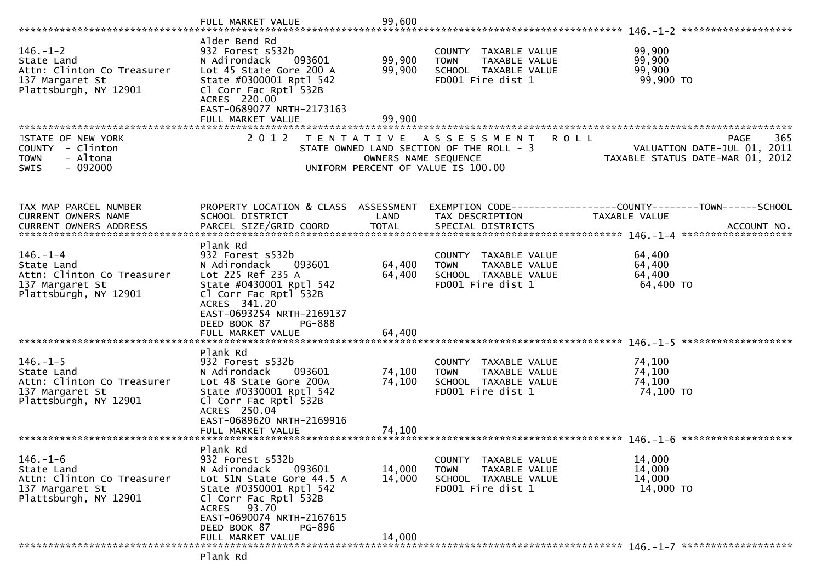|                                                                                                        | FULL MARKET VALUE                                                                                                                                                                                                           | 99,600                     |                                                                                                                       |                                                                                       |
|--------------------------------------------------------------------------------------------------------|-----------------------------------------------------------------------------------------------------------------------------------------------------------------------------------------------------------------------------|----------------------------|-----------------------------------------------------------------------------------------------------------------------|---------------------------------------------------------------------------------------|
| $146. - 1 - 2$<br>State Land<br>Attn: Clinton Co Treasurer<br>137 Margaret St<br>Plattsburgh, NY 12901 | Alder Bend Rd<br>932 Forest s532b<br>N Adirondack<br>093601<br>Lot 45 State Gore 200 A<br>State #0300001 Rptl 542<br>Cl Corr Fac Rptl 532B<br>ACRES 220.00<br>EAST-0689077 NRTH-2173163<br>FULL MARKET VALUE                | 99,900<br>99,900<br>99,900 | COUNTY TAXABLE VALUE<br><b>TOWN</b><br>TAXABLE VALUE<br>SCHOOL TAXABLE VALUE<br>FD001 Fire dist 1                     | 99,900<br>99,900<br>99,900<br>99,900 TO                                               |
| STATE OF NEW YORK<br>COUNTY - Clinton<br>- Altona<br><b>TOWN</b><br>$-092000$<br><b>SWIS</b>           | 2 0 1 2                                                                                                                                                                                                                     | OWNERS NAME SEQUENCE       | <b>ROLL</b><br>TENTATIVE ASSESSMENT<br>STATE OWNED LAND SECTION OF THE ROLL - 3<br>UNIFORM PERCENT OF VALUE IS 100.00 | 365<br><b>PAGE</b><br>VALUATION DATE-JUL 01, 2011<br>TAXABLE STATUS DATE-MAR 01, 2012 |
| TAX MAP PARCEL NUMBER<br>CURRENT OWNERS NAME                                                           | PROPERTY LOCATION & CLASS ASSESSMENT<br>SCHOOL DISTRICT                                                                                                                                                                     | LAND                       | TAX DESCRIPTION                                                                                                       | EXEMPTION CODE------------------COUNTY--------TOWN------SCHOOL<br>TAXABLE VALUE       |
| $146. - 1 - 4$<br>State Land<br>Attn: Clinton Co Treasurer<br>137 Margaret St<br>Plattsburgh, NY 12901 | Plank Rd<br>932 Forest s532b<br>N Adirondack<br>093601<br>Lot 225 Ref 235 A<br>State #0430001 Rptl 542<br>Cl Corr Fac Rptl 532B<br>ACRES 341.20<br>EAST-0693254 NRTH-2169137<br>DEED BOOK 87<br>PG-888<br>FULL MARKET VALUE | 64,400<br>64,400<br>64,400 | COUNTY TAXABLE VALUE<br>TAXABLE VALUE<br><b>TOWN</b><br>SCHOOL TAXABLE VALUE<br>FD001 Fire dist 1                     | 64,400<br>64,400<br>64,400<br>64,400 TO                                               |
| $146. - 1 - 5$<br>State Land<br>Attn: Clinton Co Treasurer<br>137 Margaret St<br>Plattsburgh, NY 12901 | Plank Rd<br>932 Forest s532b<br>N Adirondack<br>093601<br>Lot 48 State Gore 200A<br>State #0330001 Rptl 542<br>Cl Corr Fac Rptl 532B<br>ACRES 250.04<br>EAST-0689620 NRTH-2169916                                           | 74,100<br>74,100           | TAXABLE VALUE<br>COUNTY<br>TAXABLE VALUE<br><b>TOWN</b><br>SCHOOL TAXABLE VALUE<br>FD001 Fire dist 1                  | 74,100<br>74,100<br>74,100<br>74,100 TO                                               |
| $146. - 1 - 6$<br>State Land<br>Attn: Clinton Co Treasurer<br>137 Margaret St<br>Plattsburgh, NY 12901 | Plank Rd<br>932 Forest s532b<br>N Adirondack<br>093601<br>Lot 51N State Gore 44.5 A<br>State #0350001 Rptl 542<br>Cl Corr Fac Rptl 532B<br>ACRES 93.70<br>EAST-0690074 NRTH-2167615<br>DEED BOOK 87<br>PG-896               | 14,000<br>14,000           | COUNTY TAXABLE VALUE<br>TAXABLE VALUE<br><b>TOWN</b><br>SCHOOL TAXABLE VALUE<br>FD001 Fire dist 1                     | 14,000<br>14,000<br>14,000<br>14,000 TO                                               |
|                                                                                                        | FULL MARKET VALUE<br>Plank Rd                                                                                                                                                                                               | 14,000                     |                                                                                                                       |                                                                                       |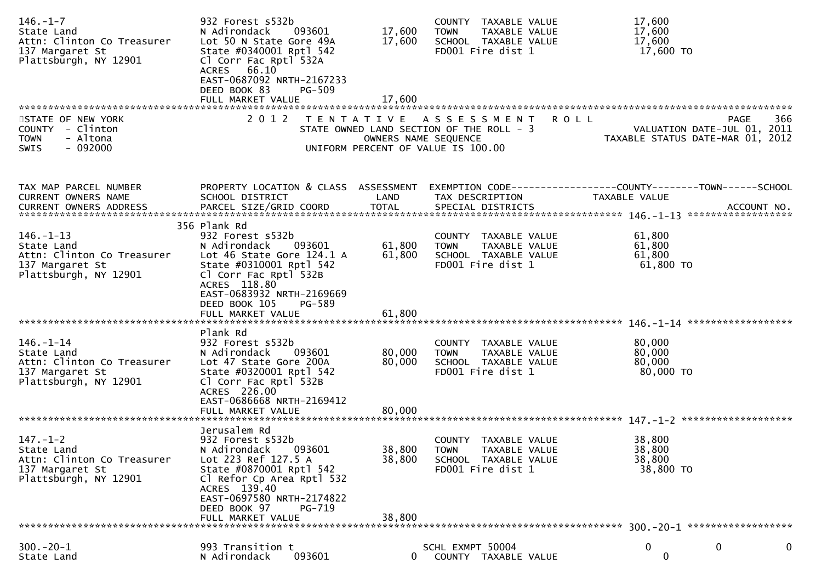| $146. - 1 - 7$<br>State Land<br>Attn: Clinton Co Treasurer<br>137 Margaret St<br>Plattsburgh, NY 12901  | 932 Forest s532b<br>N Adirondack<br>093601<br>Lot 50 N State Gore 49A<br>State #0340001 Rptl 542<br>Cl Corr Fac Rptl 532A<br>ACRES 66.10<br>EAST-0687092 NRTH-2167233<br>DEED BOOK 83<br><b>PG-509</b><br>FULL MARKET VALUE              | 17,600<br>17,600<br>17,600 | COUNTY TAXABLE VALUE<br><b>TOWN</b><br>TAXABLE VALUE<br>SCHOOL TAXABLE VALUE<br>FD001 Fire dist 1      | 17,600<br>17,600<br>17,600<br>17,600 TO                                                                                 |
|---------------------------------------------------------------------------------------------------------|------------------------------------------------------------------------------------------------------------------------------------------------------------------------------------------------------------------------------------------|----------------------------|--------------------------------------------------------------------------------------------------------|-------------------------------------------------------------------------------------------------------------------------|
|                                                                                                         |                                                                                                                                                                                                                                          |                            |                                                                                                        |                                                                                                                         |
| STATE OF NEW YORK<br>COUNTY - Clinton<br>- Altona<br><b>TOWN</b><br>$-092000$<br><b>SWIS</b>            | 2 0 1 2                                                                                                                                                                                                                                  | OWNERS NAME SEQUENCE       | TENTATIVE ASSESSMENT<br>STATE OWNED LAND SECTION OF THE ROLL - 3<br>UNIFORM PERCENT OF VALUE IS 100.00 | 366<br><b>ROLL</b><br>PAGE<br>VALUATION DATE-JUL 01, 2011<br>ـدنء , LON DAIL-JUL U.<br>TAXABLE STATUS DATE-MAR 01, 2012 |
| TAX MAP PARCEL NUMBER<br>CURRENT OWNERS NAME<br><b>CURRENT OWNERS ADDRESS</b>                           | PROPERTY LOCATION & CLASS ASSESSMENT<br>SCHOOL DISTRICT<br>PARCEL SIZE/GRID COORD                                                                                                                                                        | LAND<br><b>TOTAL</b>       | TAX DESCRIPTION<br>SPECIAL DISTRICTS                                                                   | EXEMPTION CODE------------------COUNTY--------TOWN------SCHOOL<br>TAXABLE VALUE<br>ACCOUNT NO.                          |
| $146. - 1 - 13$<br>State Land<br>Attn: Clinton Co Treasurer<br>137 Margaret St<br>Plattsburgh, NY 12901 | 356 Plank Rd<br>932 Forest s532b<br>N Adirondack<br>093601<br>Lot 46 State Gore 124.1 A<br>State #0310001 Rptl 542<br>Cl Corr Fac Rptl 532B<br>ACRES 118.80<br>EAST-0683932 NRTH-2169669<br>DEED BOOK 105<br>PG-589<br>FULL MARKET VALUE | 61,800<br>61,800<br>61,800 | COUNTY TAXABLE VALUE<br>TAXABLE VALUE<br><b>TOWN</b><br>SCHOOL TAXABLE VALUE<br>FD001 Fire dist 1      | 61,800<br>61,800<br>61,800<br>61,800 TO                                                                                 |
| 146.-1-14<br>State Land<br>Attn: Clinton Co Treasurer<br>137 Margaret St<br>Plattsburgh, NY 12901       | Plank Rd<br>932 Forest s532b<br>N Adirondack<br>093601<br>Lot 47 State Gore 200A<br>State #0320001 Rptl 542<br>Cl Corr Fac Rptl 532B<br>ACRES 226.00<br>EAST-0686668 NRTH-2169412<br>FULL MARKET VALUE                                   | 80,000<br>80,000<br>80,000 | COUNTY TAXABLE VALUE<br>TAXABLE VALUE<br><b>TOWN</b><br>SCHOOL TAXABLE VALUE<br>FD001 Fire dist 1      | 80,000<br>80,000<br>80,000<br>80,000 TO                                                                                 |
| $147. - 1 - 2$<br>State Land<br>Attn: Clinton Co Treasurer<br>137 Margaret St<br>Plattsburgh, NY 12901  | Jerusalem Rd<br>932 Forest s532b<br>093601<br>N Adirondack<br>Lot 223 Ref 127.5 A<br>State #0870001 Rptl 542<br>Cl Refor Cp Area Rptl 532<br>ACRES 139.40<br>EAST-0697580 NRTH-2174822<br>DEED BOOK 97<br>PG-719<br>FULL MARKET VALUE    | 38,800<br>38,800<br>38,800 | COUNTY<br>TAXABLE VALUE<br><b>TOWN</b><br>TAXABLE VALUE<br>SCHOOL TAXABLE VALUE<br>FD001 Fire dist 1   | 38,800<br>38,800<br>38,800<br>38,800 TO                                                                                 |
| ******************************                                                                          |                                                                                                                                                                                                                                          |                            |                                                                                                        |                                                                                                                         |
| $300 - 20 - 1$<br>State Land                                                                            | 993 Transition t<br>N Adirondack<br>093601                                                                                                                                                                                               |                            | SCHL EXMPT 50004<br>COUNTY TAXABLE VALUE                                                               | 0<br>0<br>0<br>0                                                                                                        |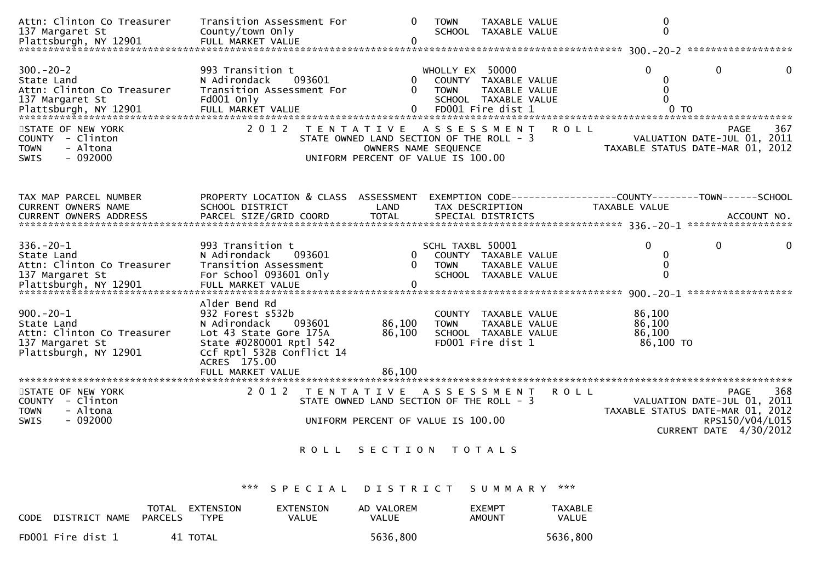| Attn: Clinton Co Treasurer<br>137 Margaret St<br>Plattsburgh, NY 12901                                  | Transition Assessment For<br>County/town Only<br>FULL MARKET VALUE                                                                                            | $\Omega$<br>$\Omega$                                                                                                        | <b>TOWN</b>                     | TAXABLE VALUE<br>SCHOOL TAXABLE VALUE                                              |             |                                                                                      | $\mathbf 0$<br>$\mathbf 0$ |                                                                                                                      |     |
|---------------------------------------------------------------------------------------------------------|---------------------------------------------------------------------------------------------------------------------------------------------------------------|-----------------------------------------------------------------------------------------------------------------------------|---------------------------------|------------------------------------------------------------------------------------|-------------|--------------------------------------------------------------------------------------|----------------------------|----------------------------------------------------------------------------------------------------------------------|-----|
| $300 - 20 - 2$<br>State Land<br>Attn: Clinton Co Treasurer<br>137 Margaret St                           | 993 Transition t<br>093601<br>N Adirondack<br>Transition Assessment For<br>Fd001 Only                                                                         | 0                                                                                                                           | WHOLLY EX 50000<br><b>TOWN</b>  | COUNTY TAXABLE VALUE<br>TAXABLE VALUE<br>SCHOOL TAXABLE VALUE<br>FD001 Fire dist 1 |             | $\Omega$                                                                             | 0<br>0<br>$\Omega$         | $\mathbf{0}$                                                                                                         | 0   |
| STATE OF NEW YORK<br>COUNTY - Clinton<br>- Altona<br><b>TOWN</b><br>$-092000$<br><b>SWIS</b>            | 2 0 1 2                                                                                                                                                       | T E N T A T I V E<br>STATE OWNED LAND SECTION OF THE ROLL - 3<br>OWNERS NAME SEQUENCE<br>UNIFORM PERCENT OF VALUE IS 100.00 | A S S E S S M E N T             |                                                                                    | <b>ROLL</b> |                                                                                      |                            | PAGE<br>VALUATION DATE-JUL 01, 2011<br>TAXABLE STATUS DATE-MAR 01, 2012                                              | 367 |
| TAX MAP PARCEL NUMBER<br><b>CURRENT OWNERS NAME</b><br>CURRENT OWNERS ADDRESS                           | PROPERTY LOCATION & CLASS ASSESSMENT<br>SCHOOL DISTRICT<br>PARCEL SIZE/GRID COORD                                                                             | LAND<br><b>TOTAL</b>                                                                                                        | TAX DESCRIPTION                 | SPECIAL DISTRICTS                                                                  |             | EXEMPTION        CODE-----------------COUNTY-------TOWN------SCHOOL<br>TAXABLE VALUE |                            | ACCOUNT NO.                                                                                                          |     |
| $336. - 20 - 1$<br>State Land<br>Attn: Clinton Co Treasurer<br>137 Margaret St<br>Plattsburgh, NY 12901 | 993 Transition t<br>N Adirondack<br>093601<br>Transition Assessment<br>For School 093601 Only<br>FULL MARKET VALUE                                            | 0<br>0<br>$\mathbf{0}$                                                                                                      | SCHL TAXBL 50001<br><b>TOWN</b> | COUNTY TAXABLE VALUE<br>TAXABLE VALUE<br>SCHOOL TAXABLE VALUE                      |             | $\mathbf{0}$                                                                         | 0<br>0<br>0                | 0                                                                                                                    | 0   |
| $900 - 20 - 1$<br>State Land<br>Attn: Clinton Co Treasurer<br>137 Margaret St<br>Plattsburgh, NY 12901  | Alder Bend Rd<br>932 Forest s532b<br>N Adirondack<br>093601<br>Lot 43 State Gore 175A<br>State #0280001 Rptl 542<br>Ccf Rptl 532B Conflict 14<br>ACRES 175.00 | 86,100<br>86,100                                                                                                            | <b>TOWN</b>                     | COUNTY TAXABLE VALUE<br>TAXABLE VALUE<br>SCHOOL TAXABLE VALUE<br>FD001 Fire dist 1 |             | 86.100<br>86,100<br>86,100                                                           | 86,100 TO                  |                                                                                                                      |     |
| STATE OF NEW YORK<br>COUNTY - Clinton<br>- Altona<br><b>TOWN</b><br><b>SWIS</b><br>$-092000$            | FULL MARKET VALUE<br>2012                                                                                                                                     | 86,100<br>TENTATIVE ASSESSMENT<br>STATE OWNED LAND SECTION OF THE ROLL - 3<br>UNIFORM PERCENT OF VALUE IS 100.00            |                                 |                                                                                    | ROLL        |                                                                                      |                            | PAGE<br>VALUATION DATE-JUL 01, 2011<br>TAXABLE STATUS DATE-MAR 01, 2012<br>RPS150/V04/L015<br>CURRENT DATE 4/30/2012 | 368 |
|                                                                                                         | <b>ROLL</b><br>***<br>SPECIAL                                                                                                                                 | SECTION TOTALS<br>D I S T R I C T                                                                                           |                                 | SUMMARY ***                                                                        |             |                                                                                      |                            |                                                                                                                      |     |

| CODE | DISTRICT NAME     | TOTAL<br>PARCELS | EXTENSION<br>EXTENSION<br>VALUE<br>TYPE | AD VALOREM<br>VALUE | <b>EXEMPT</b><br>AMOUNT | <b>TAXABLE</b><br><b>VALUE</b> |
|------|-------------------|------------------|-----------------------------------------|---------------------|-------------------------|--------------------------------|
|      | FD001 Fire dist 1 | 41 TOTAL         |                                         | 5636,800            |                         | 5636,800                       |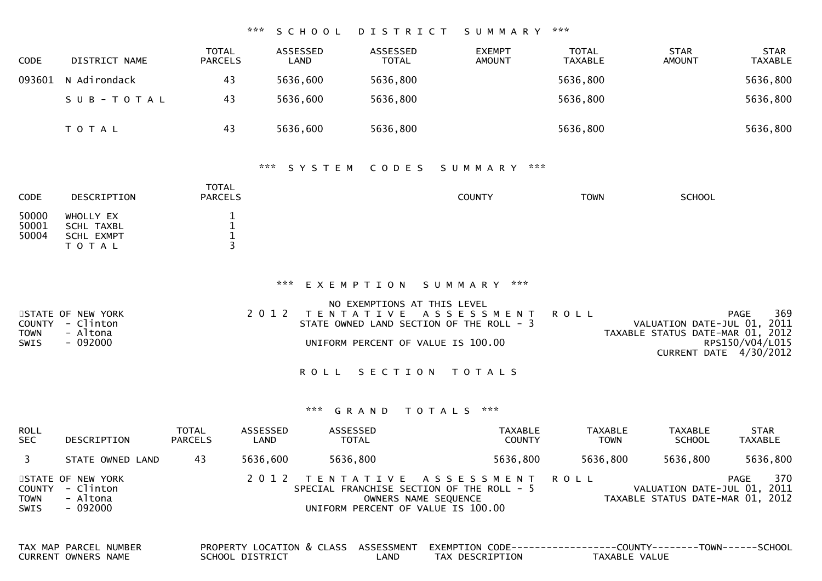### \*\*\* S C H O O L D I S T R I C T S U M M A R Y \*\*\*

| <b>CODE</b> | DISTRICT NAME | <b>TOTAL</b><br><b>PARCELS</b> | ASSESSED<br>LAND | ASSESSED<br><b>TOTAL</b> | <b>EXEMPT</b><br><b>AMOUNT</b> | TOTAL<br>TAXABLE | <b>STAR</b><br><b>AMOUNT</b> | <b>STAR</b><br><b>TAXABLE</b> |
|-------------|---------------|--------------------------------|------------------|--------------------------|--------------------------------|------------------|------------------------------|-------------------------------|
| 093601      | N Adirondack  | 43                             | 5636,600         | 5636,800                 |                                | 5636,800         |                              | 5636,800                      |
|             | SUB-TOTAL     | 43                             | 5636,600         | 5636,800                 |                                | 5636,800         |                              | 5636,800                      |
|             | T O T A L     | 43                             | 5636,600         | 5636,800                 |                                | 5636,800         |                              | 5636,800                      |

#### \*\*\* S Y S T E M C O D E S S U M M A R Y \*\*\*

| <b>CODE</b>             | DESCRIPTION                                        | TOTAL<br><b>PARCELS</b> | <b>COUNTY</b> | <b>TOWN</b> | <b>SCHOOL</b> |
|-------------------------|----------------------------------------------------|-------------------------|---------------|-------------|---------------|
| 50000<br>50001<br>50004 | WHOLLY EX<br>SCHL TAXBL<br>SCHL EXMPT<br>T O T A L |                         |               |             |               |

#### \*\*\* E X E M P T I O N S U M M A R Y \*\*\*

|             |                   | NO EXEMPTIONS AT THIS LEVEL              |  |                                  |     |
|-------------|-------------------|------------------------------------------|--|----------------------------------|-----|
|             | STATE OF NEW YORK | 2012 TENTATIVE ASSESSMENT ROLL           |  | PAGE                             | 369 |
|             | COUNTY - Clinton  | STATE OWNED LAND SECTION OF THE ROLL - 3 |  | VALUATION DATE-JUL 01, 2011      |     |
| <b>TOWN</b> | - Altona          |                                          |  | TAXABLE STATUS DATE-MAR 01, 2012 |     |
| SWIS        | - 092000          | UNIFORM PERCENT OF VALUE IS 100.00       |  | RPS150/V04/L015                  |     |
|             |                   |                                          |  |                                  |     |
|             |                   |                                          |  | CURRENT DATE 4/30/2012           |     |

ROLL SECTION TOTALS

## \*\*\* G R A N D T O T A L S \*\*\*

| <b>ROLL</b><br><b>SEC</b> | DESCRIPTION                                                   | <b>TOTAL</b><br><b>PARCELS</b> | ASSESSED<br>LAND | ASSESSED<br><b>TOTAL</b>           | TAXABLE<br><b>COUNTY</b>                                                                            | <b>TAXABLE</b><br><b>TOWN</b> | TAXABLE<br><b>SCHOOL</b>                                        | <b>STAR</b><br>TAXABLE |
|---------------------------|---------------------------------------------------------------|--------------------------------|------------------|------------------------------------|-----------------------------------------------------------------------------------------------------|-------------------------------|-----------------------------------------------------------------|------------------------|
|                           | STATE OWNED LAND                                              | 43                             | 5636.600         | 5636,800                           | 5636,800                                                                                            | 5636,800                      | 5636,800                                                        | 5636,800               |
| <b>TOWN</b><br>SWIS       | STATE OF NEW YORK<br>COUNTY - Clinton<br>- Altona<br>- 092000 |                                |                  | UNIFORM PERCENT OF VALUE IS 100.00 | 2012 TENTATIVE ASSESSMENT ROLL<br>SPECIAL FRANCHISE SECTION OF THE ROLL - 5<br>OWNERS NAME SEQUENCE |                               | VALUATION DATE-JUL 01, 2011<br>TAXABLE STATUS DATE-MAR 01, 2012 | 370<br>PAGE            |

| TAX MAP PARCEL NUMBER |                 |      |                 | PROPERTY LOCATION & CLASS ASSESSMENT EXEMPTION CODE----------------COUNTY-------TOWN------SCHOOL |  |
|-----------------------|-----------------|------|-----------------|--------------------------------------------------------------------------------------------------|--|
| CURRENT OWNERS NAME   | SCHOOL DISTRICT | _AND | TAX DESCRIPTION | TAXABLE VALUE                                                                                    |  |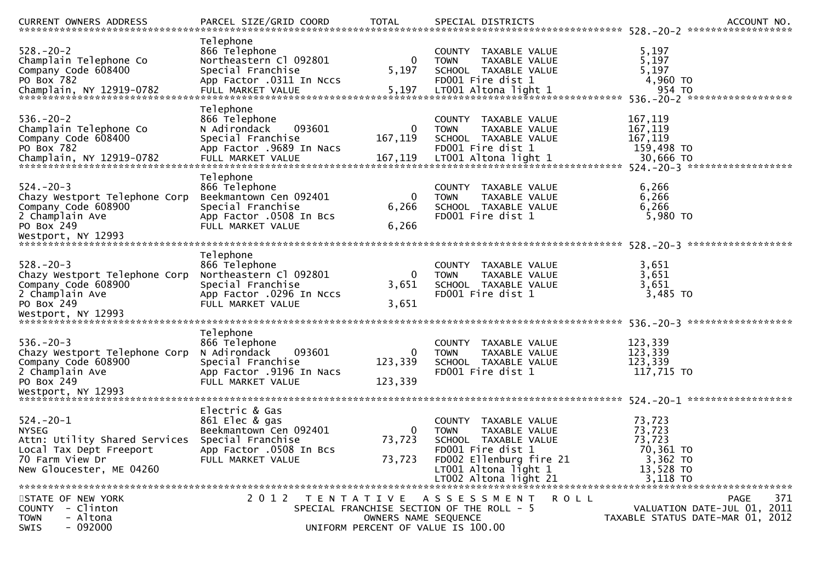| CURRENT OWNERS ADDRESS                                                                                                                 | PARCEL SIZE/GRID COORD                                                                                                          | TOTAL                                                      | SPECIAL DISTRICTS                                                                                                                                                                |         |                                                                              | ACCOUNT NO.                                                                           |
|----------------------------------------------------------------------------------------------------------------------------------------|---------------------------------------------------------------------------------------------------------------------------------|------------------------------------------------------------|----------------------------------------------------------------------------------------------------------------------------------------------------------------------------------|---------|------------------------------------------------------------------------------|---------------------------------------------------------------------------------------|
| $528 - 20 - 2$<br>Champlain Telephone Co<br>Company Code 608400<br>PO Box 782<br>Champlain, NY 12919-0782                              | Telephone<br>866 Telephone<br>Northeastern Cl 092801<br>Special Franchise<br>App Factor .0311 In Nccs                           | 0<br>5,197                                                 | COUNTY TAXABLE VALUE<br>TAXABLE VALUE<br><b>TOWN</b><br>SCHOOL TAXABLE VALUE<br>FD001 Fire dist 1                                                                                |         | 5,197<br>5,197<br>5,197<br>4,960 TO                                          |                                                                                       |
| $536. - 20 - 2$<br>Champlain Telephone Co<br>Company Code 608400<br>PO Box 782<br>Champlain, NY 12919-0782                             | Telephone<br>866 Telephone<br>N Adirondack<br>093601<br>Special Franchise<br>App Factor .9689 In Nacs<br>FULL MARKET VALUE      | 0<br>167,119<br>167,119                                    | COUNTY<br>TAXABLE VALUE<br><b>TOWN</b><br>TAXABLE VALUE<br>SCHOOL TAXABLE VALUE<br>FD001 Fire dist 1<br>LT001 Altona light 1                                                     |         | 167,119<br>167,119<br>167,119<br>159,498 TO<br>30,666 TO                     |                                                                                       |
| $524. - 20 - 3$<br>Chazy Westport Telephone Corp<br>Company Code 608900<br>2 Champlain Ave<br>PO Box 249<br>Westport, NY 12993         | Telephone<br>866 Telephone<br>Beekmantown Cen 092401<br>Special Franchise<br>App Factor .0508 In Bcs<br>FULL MARKET VALUE       | 0<br>6,266<br>6,266                                        | COUNTY TAXABLE VALUE<br>TAXABLE VALUE<br><b>TOWN</b><br>SCHOOL TAXABLE VALUE<br>FD001 Fire dist 1                                                                                |         | 6,266<br>6,266<br>6,266<br>5,980 TO                                          |                                                                                       |
| $528 - 20 - 3$<br>Chazy Westport Telephone Corp<br>Company Code 608900<br>2 Champlain Ave<br>PO Box 249<br>Westport, NY 12993          | Telephone<br>866 Telephone<br>Northeastern Cl 092801<br>Special Franchise<br>App Factor .0296 In Nccs<br>FULL MARKET VALUE      | 0<br>3,651<br>3,651                                        | COUNTY<br>TAXABLE VALUE<br><b>TOWN</b><br>TAXABLE VALUE<br>SCHOOL TAXABLE VALUE<br>FD001 Fire dist 1                                                                             |         | 3,651<br>3,651<br>3,651<br>3,485 TO                                          |                                                                                       |
| $536. - 20 - 3$<br>Chazy Westport Telephone Corp<br>Company Code 608900<br>2 Champlain Ave<br>PO Box 249<br>Westport, NY 12993         | Telephone<br>866 Telephone<br>093601<br>N Adirondack<br>Special Franchise<br>App Factor .9196 In Nacs<br>FULL MARKET VALUE      | 0<br>123,339<br>123,339                                    | TAXABLE VALUE<br><b>COUNTY</b><br>TAXABLE VALUE<br><b>TOWN</b><br>SCHOOL TAXABLE VALUE<br>FD001 Fire dist 1                                                                      |         | 123,339<br>123,339<br>123,339<br>117,715 TO                                  |                                                                                       |
| $524.-20-1$<br><b>NYSEG</b><br>Attn: Utility Shared Services<br>Local Tax Dept Freeport<br>70 Farm View Dr<br>New Gloucester, ME 04260 | Electric & Gas<br>861 Elec & gas<br>Beekmantown Cen 092401<br>Special Franchise<br>App Factor .0508 In Bcs<br>FULL MARKET VALUE | 0<br>73,723<br>73,723                                      | TAXABLE VALUE<br>COUNTY<br>TAXABLE VALUE<br><b>TOWN</b><br>SCHOOL TAXABLE VALUE<br>FD001 Fire dist 1<br>FD002 Ellenburg fire 21<br>LT001 Altona light 1<br>LT002 Altona light 21 |         | 73,723<br>73,723<br>73,723<br>70,361 TO<br>3,362 TO<br>13,528 TO<br>3,118 TO |                                                                                       |
| STATE OF NEW YORK<br>COUNTY - Clinton<br>- Altona<br><b>TOWN</b><br>$-092000$<br>SWIS                                                  | 2012 TENTATIVE ASSESSMENT                                                                                                       | OWNERS NAME SEQUENCE<br>UNIFORM PERCENT OF VALUE IS 100.00 | SPECIAL FRANCHISE SECTION OF THE ROLL - 5                                                                                                                                        | R O L L |                                                                              | 371<br><b>PAGE</b><br>VALUATION DATE-JUL 01, 2011<br>TAXABLE STATUS DATE-MAR 01, 2012 |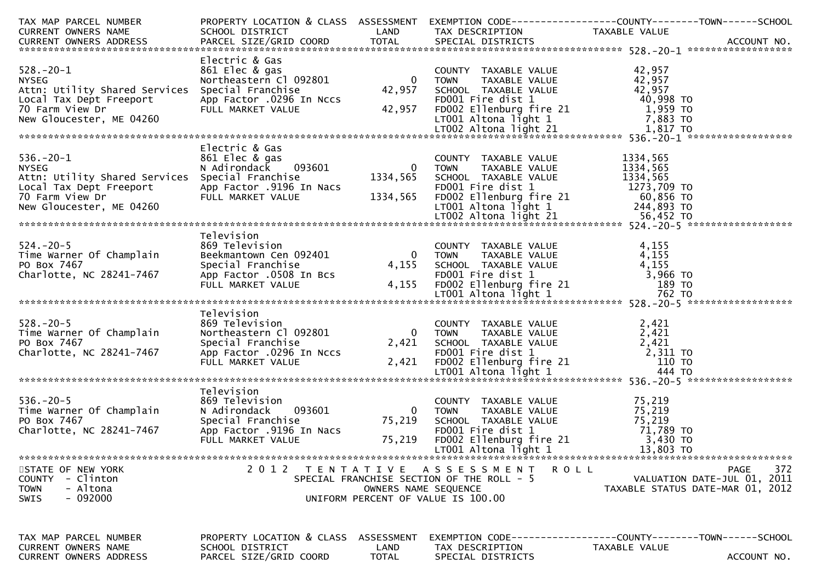| TAX MAP PARCEL NUMBER                                                                 |                                                                                                                                     |                             |                                                                                                                                                                                       | PROPERTY LOCATION & CLASS ASSESSMENT EXEMPTION CODE---------------COUNTY-------TOWN------SCHOOL<br>14. MAP PARCEL NUMBER<br>CURRENT OWNERS NAME SCHOOL DISTRICT LAND TAX DESCRIPTION TAXABLE VALUE<br>CURRENT OWNERS ADDRESS PARCEL SIZE/GRID COORD TOTAL SPECIAL DISTRICTS 2000 DISTRICTS ACCOUNT NO. |
|---------------------------------------------------------------------------------------|-------------------------------------------------------------------------------------------------------------------------------------|-----------------------------|---------------------------------------------------------------------------------------------------------------------------------------------------------------------------------------|--------------------------------------------------------------------------------------------------------------------------------------------------------------------------------------------------------------------------------------------------------------------------------------------------------|
|                                                                                       |                                                                                                                                     |                             |                                                                                                                                                                                       |                                                                                                                                                                                                                                                                                                        |
|                                                                                       | Electric & Gas                                                                                                                      |                             |                                                                                                                                                                                       | 328.-20-1<br>NYSEG NOTHER WINDOWS NOT MELL MARKET VALUE<br>Attn: Utility Shared Services Special Franchise<br>Local Tax Dept Freeport App Factor .0296 In Nccs<br>New Gloucester, ME 04260<br>New Gloucester, ME 04260<br>New Gloucester,                                                              |
|                                                                                       |                                                                                                                                     |                             |                                                                                                                                                                                       |                                                                                                                                                                                                                                                                                                        |
|                                                                                       | Electric & Gas                                                                                                                      |                             |                                                                                                                                                                                       | 336.-20-1<br>NYSEG Material Scheme Scheme Material Scheme Material Scheme Material Scheme Material Scheme Material Scheme Material Scheme Material Scheme Material Scheme Material Scheme Material Scheme Material Scheme Materi                                                                       |
|                                                                                       | Television                                                                                                                          |                             |                                                                                                                                                                                       |                                                                                                                                                                                                                                                                                                        |
| $524. - 20 - 5$                                                                       | FULL MARKET VALUE                                                                                                                   | 4,155                       | COUNTY TAXABLE VALUE<br>TOWN TAXABLE VALUE 4,155<br>SCHOOL TAXABLE VALUE 4,155<br>FDOO1 Fire dist 1 3,966 TO<br>FDOO2 Ellenburg fire 21 189 TO                                        |                                                                                                                                                                                                                                                                                                        |
|                                                                                       |                                                                                                                                     |                             |                                                                                                                                                                                       |                                                                                                                                                                                                                                                                                                        |
|                                                                                       | Television<br>869 Television<br>Northeastern Cl 092801                                                                              |                             |                                                                                                                                                                                       | 1978.-20-5<br>Time Warner Of Champlain and the services of the Market Champlain and the Market Champlain of the Market Champlain<br>PO Box 7467 (Analotte, NC 28241-7467 (App Factor .0296 In Nccs (App Factor .0296 In Nccs (App                                                                      |
|                                                                                       |                                                                                                                                     |                             |                                                                                                                                                                                       |                                                                                                                                                                                                                                                                                                        |
| $536.-20-5$<br>Time Warner Of Champlain<br>PO Box 7467<br>Charlotte, NC 28241-7467    | Television<br>869 Television<br>n<br>093601 0<br>N Adirondack<br>Special Franchise<br>App Factor .9196 In Nacs<br>FULL MARKET VALUE | 75,219<br>75,219            | COUNTY TAXABLE VALUE<br>TOWN TAXABLE VALUE 75,219<br>SCHOOL TAXABLE VALUE 75,219<br>FDOO1 Fire dist 1 71,789 TO<br>FDOO2 Ellenburg fire 21 3,430 TO<br>LTOO1 Altona light 1 13,803 TO |                                                                                                                                                                                                                                                                                                        |
| STATE OF NEW YORK<br>COUNTY - Clinton<br>- Altona<br><b>TOWN</b><br>$-092000$<br>SWIS |                                                                                                                                     | OWNERS NAME SEQUENCE        | 2012 TENTATIVE ASSESSMENT<br>SPECIAL FRANCHISE SECTION OF THE ROLL - 5<br>UNIFORM PERCENT OF VALUE IS 100.00                                                                          | 372<br>R O L L<br><b>PAGE</b><br>VALUATION DATE-JUL 01, 2011<br>TAXABLE STATUS DATE-MAR 01, 2012                                                                                                                                                                                                       |
| TAX MAP PARCEL NUMBER<br>CURRENT OWNERS NAME<br><b>CURRENT OWNERS ADDRESS</b>         | PROPERTY LOCATION & CLASS<br>SCHOOL DISTRICT<br>PARCEL SIZE/GRID COORD                                                              | ASSESSMENT<br>LAND<br>TOTAL | TAX DESCRIPTION<br>SPECIAL DISTRICTS                                                                                                                                                  | EXEMPTION        CODE------------------COUNTY--------TOWN------SCHOOL<br>TAXABLE VALUE<br>ACCOUNT NO.                                                                                                                                                                                                  |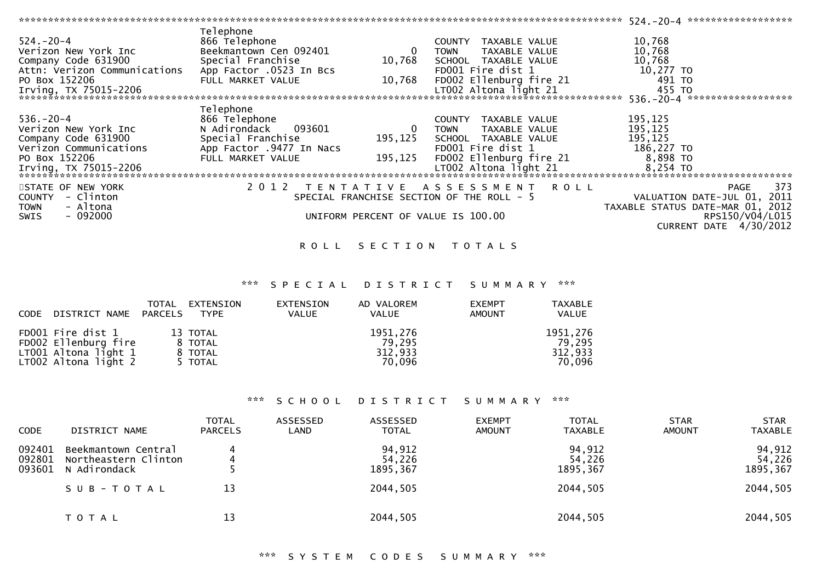|                              |                          |                  |                                           | - 524.-20-4 *******************   |                 |     |
|------------------------------|--------------------------|------------------|-------------------------------------------|-----------------------------------|-----------------|-----|
|                              | Telephone                |                  |                                           |                                   |                 |     |
| $524 - 20 - 4$               | 866 Telephone            |                  | TAXABLE VALUE<br><b>COUNTY</b>            | 10,768                            |                 |     |
| Verizon New York Inc         | Beekmantown Cen 092401   | $\boldsymbol{0}$ | TAXABLE VALUE<br><b>TOWN</b>              | 10,768                            |                 |     |
| Company Code 631900          | Special Franchise        | 10,768           | SCHOOL TAXABLE VALUE                      | 10,768                            |                 |     |
| Attn: Verizon Communications | App Factor .0523 In Bcs  |                  | FD001 Fire dist 1                         | 10,277 TO                         |                 |     |
| PO Box 152206                | FULL MARKET VALUE        | 10,768           | FD002 Ellenburg fire 21                   | $491$ TO                          |                 |     |
| Irving, TX 75015-2206        |                          |                  | LT002 Altona light 21                     | 455 TO                            |                 |     |
|                              |                          |                  |                                           | 536. - 20 - 4 ******************* |                 |     |
|                              |                          |                  |                                           |                                   |                 |     |
|                              | Telephone                |                  |                                           |                                   |                 |     |
| $536. - 20 - 4$              | 866 Telephone            |                  | TAXABLE VALUE<br><b>COUNTY</b>            | 195,125                           |                 |     |
| Verizon New York Inc         | N Adirondack<br>093601   | $\bf{0}$         | TAXABLE VALUE<br><b>TOWN</b>              | 195,125                           |                 |     |
| Company Code 631900          | Special Franchise        | 195,125          | SCHOOL TAXABLE VALUE                      | 195,125                           |                 |     |
| Verizon Communications       | App Factor .9477 In Nacs |                  | FD001 Fire dist 1                         | 186,227 TO                        |                 |     |
| PO Box 152206                | FULL MARKET VALUE        | 195,125          | FD002 Ellenburg fire 21                   | 8,898 TO                          |                 |     |
| Irving, TX 75015-2206        |                          |                  | LT002 Altona light 21                     | $8,254$ TO                        |                 |     |
|                              |                          |                  |                                           |                                   |                 |     |
| STATE OF NEW YORK            |                          |                  | 2012 TENTATIVE ASSESSMENT ROLL            |                                   | PAGE            | 373 |
| COUNTY - Clinton             |                          |                  | SPECIAL FRANCHISE SECTION OF THE ROLL - 5 |                                   |                 |     |
|                              |                          |                  |                                           | VALUATION DATE-JUL 01, 2011       |                 |     |
| - Altona<br><b>TOWN</b>      |                          |                  |                                           | TAXABLE STATUS DATE-MAR 01, 2012  |                 |     |
| - 092000<br>SWIS             |                          |                  | UNIFORM PERCENT OF VALUE IS 100.00        |                                   | RPS150/V04/L015 |     |
|                              |                          |                  |                                           | CURRENT DATE 4/30/2012            |                 |     |

### ROLL SECTION TOTALS

# \*\*\* S P E C I A L D I S T R I C T S U M M A R Y \*\*\*

| CODE DISTRICT NAME                                                                        | TOTAL<br>PARCELS | EXTENSION<br>TYPE                         | EXTENSION<br><b>VALUE</b> | AD VALOREM<br><b>VALUE</b>              | <b>EXEMPT</b><br><b>AMOUNT</b> | <b>TAXABLE</b><br><b>VALUE</b>          |
|-------------------------------------------------------------------------------------------|------------------|-------------------------------------------|---------------------------|-----------------------------------------|--------------------------------|-----------------------------------------|
| FD001 Fire dist 1<br>FD002 Ellenburg fire<br>LT001 Altona light 1<br>LT002 Altona light 2 |                  | 13 TOTAL<br>8 TOTAL<br>8 TOTAL<br>5 TOTAL |                           | 1951,276<br>79.295<br>312,933<br>70.096 |                                | 1951,276<br>79.295<br>312,933<br>70.096 |

### \*\*\* S C H O O L D I S T R I C T S U M M A R Y \*\*\*

| <b>CODE</b>                | DISTRICT NAME                                                                 | <b>TOTAL</b><br><b>PARCELS</b> | ASSESSED<br>LAND | ASSESSED<br><b>TOTAL</b>                  | <b>EXEMPT</b><br><b>AMOUNT</b> | <b>TOTAL</b><br><b>TAXABLE</b>           | <b>STAR</b><br><b>AMOUNT</b> | <b>STAR</b><br><b>TAXABLE</b>             |
|----------------------------|-------------------------------------------------------------------------------|--------------------------------|------------------|-------------------------------------------|--------------------------------|------------------------------------------|------------------------------|-------------------------------------------|
| 092401<br>092801<br>093601 | Beekmantown Central<br>Northeastern Clinton<br>N Adirondack<br>$SUB - TO TAL$ | 4<br>13                        |                  | 94,912<br>54,226<br>1895, 367<br>2044,505 |                                | 94,912<br>54,226<br>1895,367<br>2044,505 |                              | 94,912<br>54,226<br>1895, 367<br>2044,505 |
|                            | T O T A L                                                                     | 13                             |                  | 2044,505                                  |                                | 2044,505                                 |                              | 2044,505                                  |

# \*\*\* S Y S T E M C O D E S S U M M A R Y \*\*\*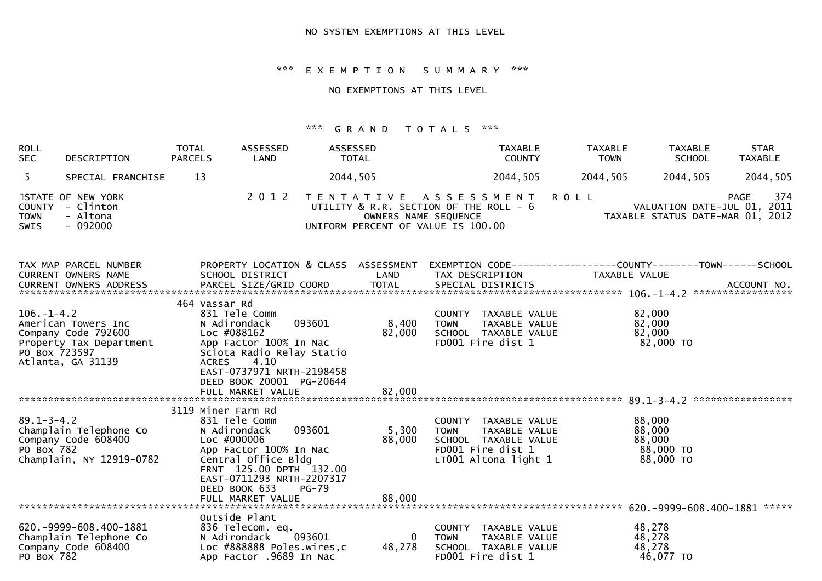\*\*\* E X E M P T I O N S U M M A R Y \*\*\*

## NO EXEMPTIONS AT THIS LEVEL

# \*\*\* G R A N D T O T A L S \*\*\*

| <b>ROLL</b><br><b>SEC</b>                   | DESCRIPTION                                                                                | <b>TOTAL</b><br><b>PARCELS</b> | ASSESSED<br>LAND                                                                                                                                                                            | ASSESSED<br>TOTAL                                                                                    |                                          | <b>TAXABLE</b><br><b>COUNTY</b>                                                                            | <b>TAXABLE</b><br><b>TOWN</b> | <b>TAXABLE</b><br><b>SCHOOL</b>                                               | <b>STAR</b><br><b>TAXABLE</b> |
|---------------------------------------------|--------------------------------------------------------------------------------------------|--------------------------------|---------------------------------------------------------------------------------------------------------------------------------------------------------------------------------------------|------------------------------------------------------------------------------------------------------|------------------------------------------|------------------------------------------------------------------------------------------------------------|-------------------------------|-------------------------------------------------------------------------------|-------------------------------|
| 5 <sup>1</sup>                              | SPECIAL FRANCHISE                                                                          | 13                             |                                                                                                                                                                                             | 2044,505                                                                                             |                                          | 2044,505                                                                                                   | 2044,505                      | 2044,505                                                                      | 2044,505                      |
| <b>COUNTY</b><br><b>TOWN</b><br><b>SWIS</b> | STATE OF NEW YORK<br>- Clinton<br>- Altona<br>$-092000$                                    |                                | 2 0 1 2                                                                                                                                                                                     | TENTATIVE ASSESSMENT<br>UTILITY & R.R. SECTION OF THE ROLL - 6<br>UNIFORM PERCENT OF VALUE IS 100.00 | OWNERS NAME SEQUENCE                     |                                                                                                            | <b>ROLL</b>                   | VALUATION DATE-JUL 01, 2011<br>TAXABLE STATUS DATE-MAR 01, 2012               | 374<br>PAGE                   |
|                                             | TAX MAP PARCEL NUMBER<br>CURRENT OWNERS NAME                                               |                                | SCHOOL DISTRICT                                                                                                                                                                             | PROPERTY LOCATION & CLASS ASSESSMENT<br>LAND                                                         |                                          | TAX DESCRIPTION                                                                                            |                               | EXEMPTION CODE-----------------COUNTY-------TOWN------SCHOOL<br>TAXABLE VALUE |                               |
| $106. - 1 - 4.2$<br>PO Box 723597           | American Towers Inc<br>Company Code 792600<br>Property Tax Department<br>Atlanta, GA 31139 | 464 Vassar Rd<br><b>ACRES</b>  | 831 Tele Comm<br>N Adirondack<br>Loc #088162<br>App Factor 100% In Nac<br>Sciota Radio Relay Statio<br>4.10<br>EAST-0737971 NRTH-2198458<br>DEED BOOK 20001 PG-20644<br>FULL MARKET VALUE   | 093601                                                                                               | 8,400<br><b>TOWN</b><br>82,000<br>82,000 | COUNTY TAXABLE VALUE<br>TAXABLE VALUE<br>SCHOOL TAXABLE VALUE<br>FD001 Fire dist 1                         |                               | 82,000<br>82,000<br>82,000<br>82,000 TO                                       |                               |
| $89.1 - 3 - 4.2$<br>PO Box 782              | Champlain Telephone Co<br>Company Code 608400<br>Champlain, NY 12919-0782                  | 3119 Miner Farm Rd             | 831 Tele Comm<br>N Adirondack<br>Loc #000006<br>App Factor 100% In Nac<br>Central Office Bldg<br>FRNT 125.00 DPTH 132.00<br>EAST-0711293 NRTH-2207317<br>DEED BOOK 633<br>FULL MARKET VALUE | 093601<br>$PG-79$                                                                                    | 5,300<br><b>TOWN</b><br>88,000<br>88,000 | COUNTY TAXABLE VALUE<br>TAXABLE VALUE<br>SCHOOL TAXABLE VALUE<br>FD001 Fire dist 1<br>LT001 Altona light 1 |                               | 88,000<br>88,000<br>88,000<br>88,000 TO<br>88,000 TO                          |                               |
| PO Box 782                                  | 620. - 9999 - 608. 400 - 1881<br>Champlain Telephone Co<br>Company Code 608400             |                                | Outside Plant<br>836 Telecom. eq.<br>N Adirondack<br>Loc #888888 Poles.wires,c<br>App Factor .9689 In Nac                                                                                   | 093601                                                                                               | $\Omega$<br><b>TOWN</b><br>48,278        | COUNTY TAXABLE VALUE<br>TAXABLE VALUE<br>SCHOOL TAXABLE VALUE<br>FD001 Fire dist 1                         |                               | 48,278<br>48,278<br>48,278<br>46,077 TO                                       |                               |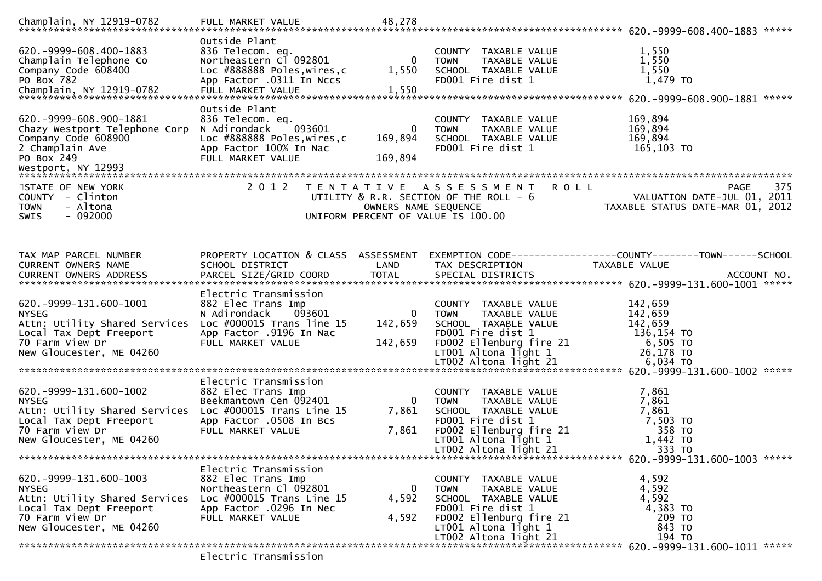|                                                                                                                                                          |                                                                                                                                                       |                                           |                                                                                                                                                                                 | *****                                                                                                                                                                                        |
|----------------------------------------------------------------------------------------------------------------------------------------------------------|-------------------------------------------------------------------------------------------------------------------------------------------------------|-------------------------------------------|---------------------------------------------------------------------------------------------------------------------------------------------------------------------------------|----------------------------------------------------------------------------------------------------------------------------------------------------------------------------------------------|
| 620. -9999-608.400-1883<br>Champlain Telephone Co<br>Company Code 608400<br>PO Box 782                                                                   | Outside Plant<br>836 Telecom. eq.<br>Northeastern Cl 092801<br>Loc #888888 Poles, wires, c<br>App Factor .0311 In Nccs                                | 0<br>1,550                                | COUNTY TAXABLE VALUE<br>TAXABLE VALUE<br><b>TOWN</b><br>SCHOOL TAXABLE VALUE<br>FD001 Fire dist 1                                                                               | 1,550<br>1,550<br>1,550<br>1,479 TO                                                                                                                                                          |
| 620. - 9999 - 608. 900 - 1881<br>Chazy Westport Telephone Corp<br>Company Code 608900<br>2 Champlain Ave<br>PO Box 249                                   | Outside Plant<br>836 Telecom. eq.<br>093601<br>N Adirondack<br>Loc #888888 Poles, wires, c<br>App Factor 100% In Nac<br>FULL MARKET VALUE             | 0<br>169,894<br>169,894                   | TAXABLE VALUE<br>COUNTY<br><b>TOWN</b><br>TAXABLE VALUE<br>SCHOOL TAXABLE VALUE<br>FD001 Fire dist 1                                                                            | 169,894<br>169,894<br>169,894<br>165,103 TO                                                                                                                                                  |
| STATE OF NEW YORK<br>COUNTY - Clinton<br>- Altona<br><b>TOWN</b><br>$-092000$<br><b>SWIS</b>                                                             | 2 0 1 2                                                                                                                                               | T E N T A T I V E<br>OWNERS NAME SEQUENCE | <b>ROLL</b><br>A S S E S S M E N T<br>UTILITY & R.R. SECTION OF THE ROLL - 6<br>UNIFORM PERCENT OF VALUE IS 100.00                                                              | <b>PAGE</b><br>375<br>VALUATION DATE-JUL 01, 2011<br>TAXABLE STATUS DATE-MAR 01, 2012                                                                                                        |
| TAX MAP PARCEL NUMBER<br>CURRENT OWNERS NAME                                                                                                             | PROPERTY LOCATION & CLASS ASSESSMENT<br>SCHOOL DISTRICT                                                                                               | LAND                                      | EXEMPTION        CODE------------------COUNTY-------TOWN------SCHOOL<br>TAX DESCRIPTION                                                                                         | <b>TAXABLE VALUE</b>                                                                                                                                                                         |
| 620. - 9999 - 131. 600 - 1001<br><b>NYSEG</b><br>Attn: Utility Shared Services<br>Local Tax Dept Freeport<br>70 Farm View Dr<br>New Gloucester, ME 04260 | Electric Transmission<br>882 Elec Trans Imp<br>N Adirondack<br>093601<br>Loc #000015 Trans line 15<br>App Factor .9196 In Nac<br>FULL MARKET VALUE    | $\mathbf{0}$<br>142,659<br>142,659        | COUNTY TAXABLE VALUE<br>TAXABLE VALUE<br><b>TOWN</b><br>SCHOOL TAXABLE VALUE<br>FD001 Fire dist 1<br>FD002 Ellenburg fire 21<br>LT001 Altona light 1                            | 142,659<br>142,659<br>142,659<br>136,154 TO<br>6,505 TO<br>26,178 TO<br>10,034 TO ETOO2 Altona light 21<br>********** 620.034 TO 6,034 TO ETOO2 Altona light 21 6,034 TO 6,034 TO 1002 ***** |
| 620. - 9999 - 131. 600 - 1002<br><b>NYSEG</b><br>Attn: Utility Shared Services<br>Local Tax Dept Freeport<br>70 Farm View Dr<br>New Gloucester, ME 04260 | Electric Transmission<br>882 Elec Trans Imp<br>Beekmantown Cen 092401<br>Loc $\#000015$ Trans Line 15<br>App Factor .0508 In Bcs<br>FULL MARKET VALUE | $\mathbf{0}$<br>7,861<br>7,861            | COUNTY TAXABLE VALUE<br><b>TOWN</b><br>TAXABLE VALUE<br>SCHOOL TAXABLE VALUE<br>FD001 Fire dist 1<br>FD002 Ellenburg fire 21<br>$LT001$ Altona light 1<br>LT002 Altona light 21 | 7,861<br>7,861<br>7,861<br>7,503 TO<br>358 TO<br>1,442 TO<br>333 TO                                                                                                                          |
| 620. -9999-131.600-1003<br><b>NYSEG</b><br>Attn: Utility Shared Services<br>Local Tax Dept Freeport<br>70 Farm View Dr<br>New Gloucester, ME 04260       | Electric Transmission<br>882 Elec Trans Imp<br>Northeastern Cl 092801<br>Loc #000015 Trans Line 15<br>App Factor .0296 In Nec<br>FULL MARKET VALUE    | 0<br>4,592<br>4,592                       | COUNTY TAXABLE VALUE<br><b>TOWN</b><br>TAXABLE VALUE<br>SCHOOL TAXABLE VALUE<br>FD001 Fire dist 1<br>FD002 Ellenburg fire 21<br>LT001 Altona light 1<br>LT002 Altona light 21   | 4,592<br>4,592<br>4,592<br>4,383 TO<br>209 TO<br>843 TO<br>194 TO                                                                                                                            |
|                                                                                                                                                          |                                                                                                                                                       |                                           |                                                                                                                                                                                 |                                                                                                                                                                                              |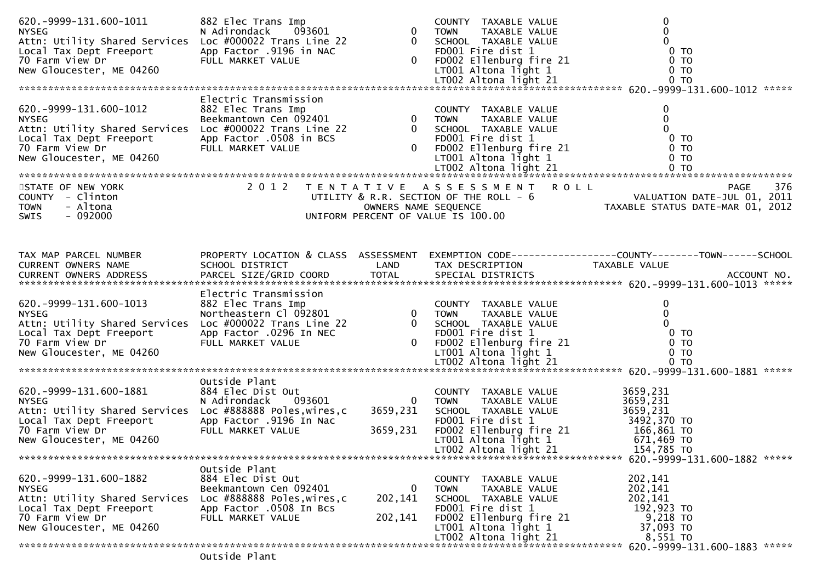| Local Tax Dept Freeport<br>70 Farm View Dr<br>New Cloucester MF 04260<br>New Gloucester, ME 04260                                                                                    | FULL MARKET VALUE                                                                                                                                                                                                                       |                                      | 0 TOWN TAXABLE VALUE<br>0 SCHOOL TAXABLE VALUE<br>0 FDO01 Fire dist 1 0 TO02 Ellenburg fire 21 0 TO02 Altona light 1 0 TO02 Altona light 21 0 TO02 Altona light 21 0 TO                                          | $\mathbf 0$<br>$\mathbf 0$                                                                                                                                                                                                          |
|--------------------------------------------------------------------------------------------------------------------------------------------------------------------------------------|-----------------------------------------------------------------------------------------------------------------------------------------------------------------------------------------------------------------------------------------|--------------------------------------|------------------------------------------------------------------------------------------------------------------------------------------------------------------------------------------------------------------|-------------------------------------------------------------------------------------------------------------------------------------------------------------------------------------------------------------------------------------|
|                                                                                                                                                                                      | Electric Transmission                                                                                                                                                                                                                   |                                      |                                                                                                                                                                                                                  |                                                                                                                                                                                                                                     |
|                                                                                                                                                                                      |                                                                                                                                                                                                                                         |                                      |                                                                                                                                                                                                                  | 620.-9999-131.600-1012 Electric Transmission<br>NYSEG Beekmantown Cen of 92401 0 TOWN TAXABLE VALUE 0<br>Attn: Utility Shared Services Loc #000022 Trans Line 22 0 SCHOOL TAXABLE VALUE 0<br>Local Tax Dept Freeport App Factor 050 |
| STATE OF NEW YORK<br>COUNTY - Clinton<br>- Altona<br><b>TOWN</b><br>$-092000$<br><b>SWIS</b>                                                                                         |                                                                                                                                                                                                                                         |                                      | 2012 TENTATIVE ASSESSMENT ROLL                                                                                                                                                                                   | 376<br><b>PAGE</b><br>UTILITY & R.R. SECTION OF THE ROLL - 6<br>OWNERS NAME SEQUENCE TAXABLE STATUS DATE-JUL 01, 2011<br>UNIFORM PERCENT OF VALUE IS 100.00                                                                         |
|                                                                                                                                                                                      |                                                                                                                                                                                                                                         |                                      |                                                                                                                                                                                                                  |                                                                                                                                                                                                                                     |
| TAX MAP PARCEL NUMBER<br>CURRENT OWNERS NAME<br>CURRENT OWNERS ADDRESS                                                                                                               | SCHOOL DISTRICT                                                                                                                                                                                                                         | LAND                                 | TAX DESCRIPTION                                                                                                                                                                                                  | PROPERTY LOCATION & CLASS ASSESSMENT EXEMPTION CODE----------------COUNTY-------TOWN------SCHOOL<br>TAXABLE VALUE                                                                                                                   |
| 620. - 9999 - 131. 600 - 1013<br><b>NYSEG</b><br>Attn: Utility Shared Services<br>Local Tax Dept Freeport<br>70 Farm View Dr<br>New Gloucester, ME 04260                             | Electric Transmission<br>882 Elec Trans Imp<br>Northeastern Cl 092801 0 70WN TAXABLE VALUE<br>Loc #000022 Trans Line 22 0 SCHOOL TAXABLE VALUE<br>App Factor .0296 In NEC FD001 Fire dist 1<br>FULL MARKET VALUE 0 FD002 Ellenburg fire |                                      |                                                                                                                                                                                                                  | $\mathbf 0$<br>$\mathbf 0$<br>$\Omega$<br>0 <sub>T</sub><br>0 TO<br>0 <sub>T</sub>                                                                                                                                                  |
|                                                                                                                                                                                      |                                                                                                                                                                                                                                         |                                      |                                                                                                                                                                                                                  |                                                                                                                                                                                                                                     |
| 620. - 9999 - 131. 600 - 1881<br><b>NYSEG</b><br>Attn: Utility Shared Services Loc #888888 Poles, wires, c<br>Local Tax Dept Freeport<br>70 Farm View Dr<br>New Gloucester, ME 04260 | Outside Plant<br>884 Elec Dist Out<br>Out<br>093601<br>N Adirondack<br>App Factor .9196 In Nac<br>FULL MARKET VALUE                                                                                                                     | $\mathbf{0}$<br>3659,231<br>3659,231 | COUNTY TAXABLE VALUE<br>TOWN TAXABLE VALUE<br>SCHOOL TAXABLE VALUE<br>FD001 Fire dist 1 5492,370 TO<br>FD002 Ellenburg fire 21 166,861 TO<br>LT001 Altona light 1 671,469 TO<br>LT002 Altona light 21 154.785 TO | 3659,231<br>3659,231<br>3659,231                                                                                                                                                                                                    |
|                                                                                                                                                                                      | Outside Plant                                                                                                                                                                                                                           |                                      |                                                                                                                                                                                                                  |                                                                                                                                                                                                                                     |
| 620. - 9999 - 131. 600 - 1882<br><b>NYSEG</b><br>Attn: Utility Shared Services<br>Local Tax Dept Freeport<br>70 Farm View Dr<br>New Gloucester, ME 04260                             | 884 Elec Dist Out<br>Beekmantown Cen 092401<br>Loc #888888 Poles, wires, c<br>App Factor .0508 In Bcs<br>FULL MARKET VALUE                                                                                                              | 0<br>202,141<br>202,141              | COUNTY TAXABLE VALUE<br><b>TOWN</b><br>TAXABLE VALUE<br>SCHOOL TAXABLE VALUE<br>FD001 Fire dist 1<br>FD002 Ellenburg fire 21<br>$LT001$ Altona light 1<br>LT002 Altona light 21                                  | 202,141<br>202,141<br>202,141<br>192,923 TO<br>9,218 TO<br>37,093 TO<br>8,551 TO                                                                                                                                                    |
|                                                                                                                                                                                      |                                                                                                                                                                                                                                         |                                      |                                                                                                                                                                                                                  |                                                                                                                                                                                                                                     |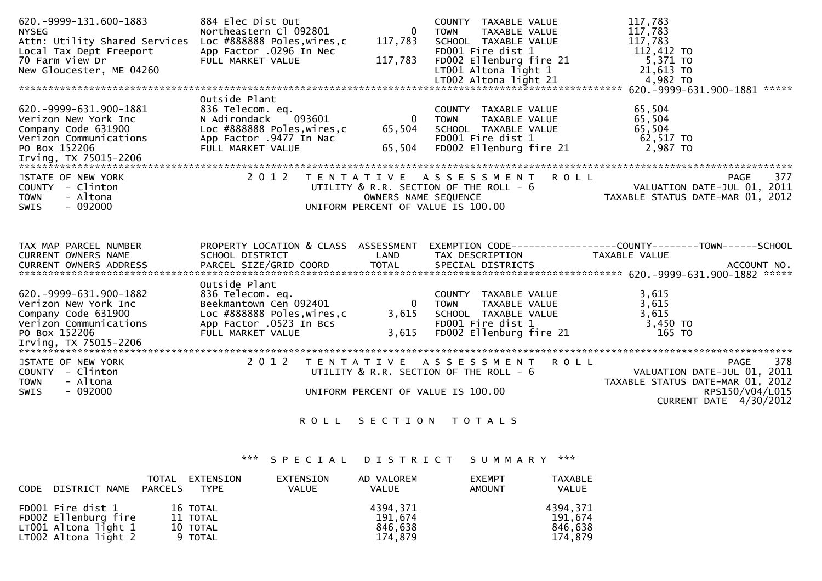| 620. - 9999 - 131. 600 - 1883<br><b>NYSEG</b><br>Attn: Utility Shared Services<br>Local Tax Dept Freeport<br>70 Farm View Dr<br>New Gloucester, ME 04260 | 884 Elec Dist Out<br>Northeastern Cl 092801<br>Loc #888888 Poles,wires,c<br>App Factor .0296 In Nec<br>FULL MARKET VALUE                   | $\overline{0}$<br>117,783<br>117,783        | COUNTY TAXABLE VALUE<br>TAXABLE VALUE<br><b>TOWN</b><br>SCHOOL TAXABLE VALUE<br>FD001 Fire dist 1<br>FD002 Ellenburg fire 21<br>LT001 Altona light 1<br>LT002 Altona light 21 | 117,783<br>117,783<br>117,783<br>112,412 TO<br>5,371 TO<br>21,613 TO<br>4,982 TO                                                                     |                        |
|----------------------------------------------------------------------------------------------------------------------------------------------------------|--------------------------------------------------------------------------------------------------------------------------------------------|---------------------------------------------|-------------------------------------------------------------------------------------------------------------------------------------------------------------------------------|------------------------------------------------------------------------------------------------------------------------------------------------------|------------------------|
|                                                                                                                                                          | Outside Plant                                                                                                                              |                                             |                                                                                                                                                                               |                                                                                                                                                      |                        |
| 620. - 9999 - 631. 900 - 1881<br>Verizon New York Inc<br>Company Code 631900<br>Verizon Communications App Factor .9477 In Nac<br>PO Box 152206          | 836 Telecom. eq.<br>N Adirondack<br>093601<br>Loc #888888 Poles,wires,c<br>FULL MARKET VALUE                                               | $\overline{\mathbf{0}}$<br>65,504<br>65,504 | COUNTY TAXABLE VALUE<br><b>TOWN</b><br>TAXABLE VALUE<br>SCHOOL TAXABLE VALUE<br>FD001 Fire dist 1<br>FD002 Ellenburg fire 21                                                  | 65,504<br>65,504<br>65,504<br>62,517 TO<br>2,987 TO                                                                                                  |                        |
| STATE OF NEW YORK<br>COUNTY - Clinton<br>- Altona<br><b>TOWN</b><br>$-092000$<br><b>SWIS</b>                                                             | 2 0 1 2                                                                                                                                    |                                             | TENTATIVE ASSESSMENT ROLL                                                                                                                                                     | <b>PAGE</b><br>UTILITY & R.R. SECTION OF THE ROLL - 6<br>OWNERS NAME SEQUENCE TAXABLE STATUS DATE-JUL 01, 2011<br>UNIFORM PERCENT OF VALUE IS 100.00 | 377                    |
| TAX MAP PARCEL NUMBER<br>CURRENT OWNERS NAME                                                                                                             | SCHOOL DISTRICT                                                                                                                            | LAND                                        | TAX DESCRIPTION                                                                                                                                                               | PROPERTY LOCATION & CLASS ASSESSMENT EXEMPTION CODE----------------COUNTY-------TOWN------SCHOOL<br>TAXABLE VALUE                                    |                        |
| 620. -9999-631.900-1882<br>Verizon New York Inc<br>Company Code 631900<br>Verizon Communications<br>PO Box 152206                                        | Outside Plant<br>836 Telecom. eq.<br>Beekmantown Cen 092401<br>Loc #888888 Poles, wires, c<br>App Factor .0523 In Bcs<br>FULL MARKET VALUE | $\overline{\mathbf{0}}$<br>3,615<br>3,615   | COUNTY TAXABLE VALUE<br>TOWN     TAXABLE VALUE<br>SCHOOL   TAXABLE  VALUE<br><b>TOWN</b><br>FD001 Fire dist 1<br>FD002 Ellenburg fire 21                                      | 3,615<br>3,615<br>3,615<br>$3,450$ TO<br>165 TO                                                                                                      |                        |
| STATE OF NEW YORK<br>COUNTY - Clinton<br>- Altona<br><b>TOWN</b><br>SWIS<br>$-092000$                                                                    | 2 0 1 2                                                                                                                                    | T E N T A T I V E                           | A S S E S S M E N T R O L L<br>UTILITY $\&$ R.R. SECTION OF THE ROLL - $6$<br>UNIFORM PERCENT OF VALUE IS 100.00                                                              | <b>PAGE</b><br>VALUATION DATE-JUL 01, 2011<br>TAXABLE STATUS DATE-MAR 01, 2012<br>CURRENT DATE 4/30/2012                                             | 378<br>RPS150/V04/L015 |
|                                                                                                                                                          | R O L L                                                                                                                                    |                                             | SECTION TOTALS                                                                                                                                                                |                                                                                                                                                      |                        |

\*\*\* S P E C I A L D I S T R I C T S U M M A R Y \*\*\*

| CODE | DISTRICT NAME PARCELS                                                                     | TOTAL | EXTENSION<br><b>TYPE</b>                    | EXTENSION<br><b>VALUE</b> | AD VALOREM<br><b>VALUE</b>                | <b>EXEMPT</b><br><b>AMOUNT</b> | TAXABLE<br><b>VALUE</b>                   |
|------|-------------------------------------------------------------------------------------------|-------|---------------------------------------------|---------------------------|-------------------------------------------|--------------------------------|-------------------------------------------|
|      | FD001 Fire dist 1<br>FD002 Ellenburg fire<br>LT001 Altona light 1<br>LT002 Altona light 2 |       | 16 TOTAL<br>11 TOTAL<br>10 TOTAL<br>9 TOTAL |                           | 4394.371<br>191,674<br>846,638<br>174.879 |                                | 4394.371<br>191.674<br>846,638<br>174.879 |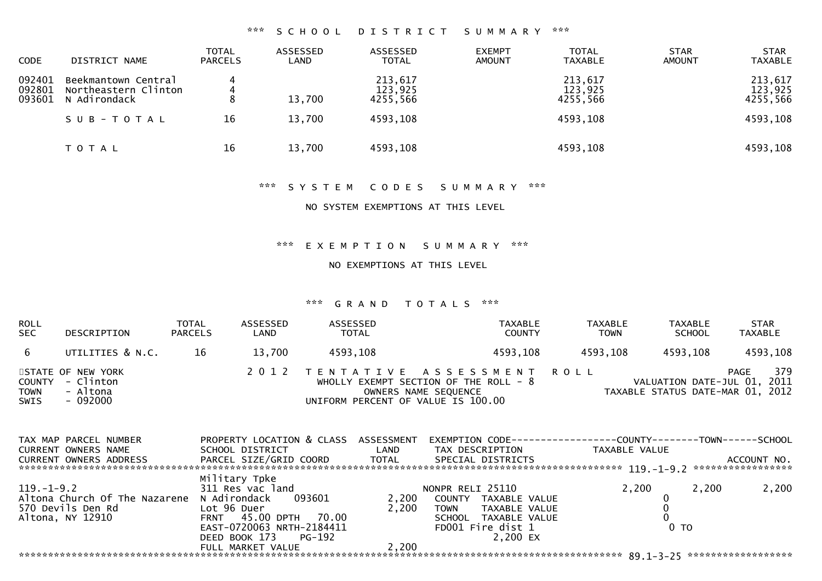### \*\*\* S C H O O L D I S T R I C T S U M M A R Y \*\*\*

| <b>CODE</b>                | DISTRICT NAME                                               | <b>TOTAL</b><br><b>PARCELS</b> | ASSESSED<br>LAND | ASSESSED<br><b>TOTAL</b>       | <b>EXEMPT</b><br><b>AMOUNT</b> | <b>TOTAL</b><br><b>TAXABLE</b> | <b>STAR</b><br><b>AMOUNT</b> | <b>STAR</b><br><b>TAXABLE</b>  |
|----------------------------|-------------------------------------------------------------|--------------------------------|------------------|--------------------------------|--------------------------------|--------------------------------|------------------------------|--------------------------------|
| 092401<br>092801<br>093601 | Beekmantown Central<br>Northeastern Clinton<br>N Adirondack | 4<br>4<br>8                    | 13,700           | 213,617<br>123,925<br>4255,566 |                                | 213,617<br>123,925<br>4255,566 |                              | 213,617<br>123,925<br>4255,566 |
|                            | SUB-TOTAL                                                   | 16                             | 13,700           | 4593,108                       |                                | 4593,108                       |                              | 4593,108                       |
|                            | T O T A L                                                   | 16                             | 13,700           | 4593,108                       |                                | 4593,108                       |                              | 4593,108                       |

#### \*\*\* S Y S T E M C O D E S S U M M A R Y \*\*\*

NO SYSTEM EXEMPTIONS AT THIS LEVEL

\*\*\* E X E M P T I O N S U M M A R Y \*\*\*

NO EXEMPTIONS AT THIS LEVEL

#### \*\*\* G R A N D T O T A L S \*\*\*

| ROLL<br>SEC  | DESCRIPTION                                                   | <b>TOTAL</b><br><b>PARCELS</b> | ASSESSED<br>LAND | ASSESSED<br><b>TOTAL</b>           | TAXABLE<br><b>COUNTY</b>                                                                        | <b>TAXABLE</b><br><b>TOWN</b> | <b>TAXABLE</b><br><b>SCHOOL</b>                                 | <b>STAR</b><br><b>TAXABLE</b> |
|--------------|---------------------------------------------------------------|--------------------------------|------------------|------------------------------------|-------------------------------------------------------------------------------------------------|-------------------------------|-----------------------------------------------------------------|-------------------------------|
| 6            | UTILITIES & N.C.                                              | 16                             | 13.700           | 4593,108                           | 4593,108                                                                                        | 4593,108                      | 4593,108                                                        | 4593,108                      |
| TOWN<br>SWIS | STATE OF NEW YORK<br>COUNTY - Clinton<br>- Altona<br>- 092000 |                                |                  | UNIFORM PERCENT OF VALUE IS 100.00 | 2012 TENTATIVE ASSESSMENT ROLL<br>WHOLLY EXEMPT SECTION OF THE ROLL - 8<br>OWNERS NAME SEQUENCE |                               | VALUATION DATE-JUL 01, 2011<br>TAXABLE STATUS DATE-MAR 01, 2012 | 379<br><b>PAGE</b>            |

| TAX MAP PARCEL NUMBER         | PROPERTY LOCATION & CLASS | ASSESSMENT | EXEMPTION CODE-----------------COUNTY-------TOWN------SCHOOL |                 |       |                   |
|-------------------------------|---------------------------|------------|--------------------------------------------------------------|-----------------|-------|-------------------|
| <b>CURRENT OWNERS NAME</b>    | SCHOOL DISTRICT           | LAND       | TAX DESCRIPTION                                              | TAXABLE VALUE   |       |                   |
| <b>CURRENT OWNERS ADDRESS</b> | PARCEL SIZE/GRID COORD    | TOTAL      | SPECIAL DISTRICTS                                            |                 |       | ACCOUNT NO.       |
|                               |                           |            |                                                              |                 |       | ***************** |
|                               | Military Tpke             |            |                                                              |                 |       |                   |
| $119. - 1 - 9.2$              | 311 Res vac land          |            | NONPR RELI 25110                                             | 2.200           | 2.200 | 2,200             |
| Altona Church Of The Nazarene | N Adirondack<br>093601    | 2.200      | COUNTY TAXABLE VALUE                                         |                 |       |                   |
| 570 Devils Den Rd             | Lot 96 Duer               | 2.200      | TAXABLE VALUE<br><b>TOWN</b>                                 |                 |       |                   |
| Altona, NY 12910              | FRNT 45.00 DPTH 70.00     |            | SCHOOL TAXABLE VALUE                                         |                 |       |                   |
|                               | EAST-0720063 NRTH-2184411 |            | FD001 Fire dist 1                                            | 0 <sub>TO</sub> |       |                   |
|                               | DEED BOOK 173<br>PG-192   |            | 2.200 EX                                                     |                 |       |                   |
|                               | FULL MARKET VALUE         | 2,200      |                                                              |                 |       |                   |
|                               |                           |            |                                                              |                 |       |                   |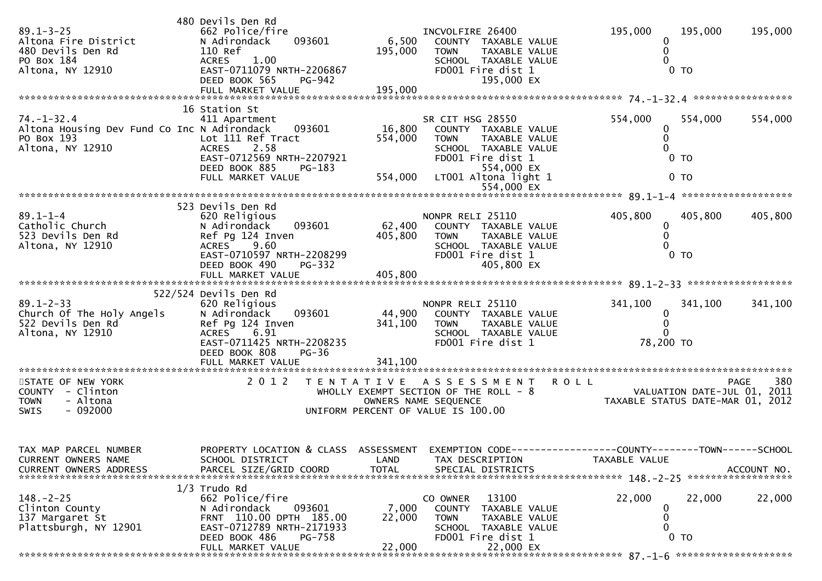| $89.1 - 3 - 25$<br>Altona Fire District<br>480 Devils Den Rd<br>PO Box 184<br>Altona, NY 12910    | 480 Devils Den Rd<br>662 Police/fire<br>N Adirondack<br>093601<br>110 Ref<br><b>ACRES</b><br>1.00<br>EAST-0711079 NRTH-2206867<br>DEED BOOK 565<br>PG-942                             | 6,500<br>195,000             | INCVOLFIRE 26400<br>COUNTY TAXABLE VALUE<br>TAXABLE VALUE<br><b>TOWN</b><br>SCHOOL TAXABLE VALUE<br>FD001 Fire dist 1<br>195,000 EX                         | 195,000<br>0 <sub>T</sub>                | 195,000<br>195,000                |
|---------------------------------------------------------------------------------------------------|---------------------------------------------------------------------------------------------------------------------------------------------------------------------------------------|------------------------------|-------------------------------------------------------------------------------------------------------------------------------------------------------------|------------------------------------------|-----------------------------------|
|                                                                                                   | 16 Station St                                                                                                                                                                         |                              |                                                                                                                                                             |                                          |                                   |
| $74. - 1 - 32.4$<br>Altona Housing Dev Fund Co Inc N Adirondack<br>PO Box 193<br>Altona, NY 12910 | 411 Apartment<br>093601<br>Lot 111 Ref Tract<br>2.58<br><b>ACRES</b><br>EAST-0712569 NRTH-2207921<br>DEED BOOK 885<br>PG-183<br>FULL MARKET VALUE                                     | 16,800<br>554,000<br>554,000 | SR CIT HSG 28550<br>COUNTY TAXABLE VALUE<br><b>TOWN</b><br>TAXABLE VALUE<br>SCHOOL TAXABLE VALUE<br>FD001 Fire dist 1<br>554,000 EX<br>LT001 Altona light 1 | 554,000<br>0<br>$0$ TO<br>0 <sub>T</sub> | 554,000<br>554,000                |
|                                                                                                   |                                                                                                                                                                                       |                              | 554,000 EX                                                                                                                                                  |                                          |                                   |
|                                                                                                   |                                                                                                                                                                                       |                              |                                                                                                                                                             |                                          |                                   |
| $89.1 - 1 - 4$<br>Catholic Church<br>523 Devils Den Rd<br>Altona, NY 12910                        | 523 Devils Den Rd<br>620 Religious<br>093601<br>N Adirondack<br>Ref Pg 124 Inven<br>9.60<br>ACRES<br>EAST-0710597 NRTH-2208299<br><b>PG-332</b><br>DEED BOOK 490<br>FULL MARKET VALUE | 62,400<br>405,800<br>405,800 | NONPR RELI 25110<br>COUNTY TAXABLE VALUE<br>TAXABLE VALUE<br><b>TOWN</b><br>SCHOOL TAXABLE VALUE<br>FD001 Fire dist 1<br>405,800 EX                         | 405,800<br>0<br>0<br>0 <sub>T</sub>      | 405,800<br>405,800                |
|                                                                                                   |                                                                                                                                                                                       |                              |                                                                                                                                                             |                                          |                                   |
| $89.1 - 2 - 33$<br>Church Of The Holy Angels<br>522 Devils Den Rd<br>Altona, NY 12910             | 522/524 Devils Den Rd<br>620 Religious<br>N Adirondack<br>093601<br>Ref Pg 124 Inven<br>6.91<br>ACRES<br>EAST-0711425 NRTH-2208235<br>DEED BOOK 808<br>$PG-36$                        | 44,900<br>341,100            | NONPR RELI 25110<br>COUNTY TAXABLE VALUE<br><b>TOWN</b><br>TAXABLE VALUE<br>SCHOOL TAXABLE VALUE<br>FD001 Fire dist 1                                       | 341,100<br>0<br>0<br>78,200 TO           | 341,100<br>341,100                |
| STATE OF NEW YORK                                                                                 | 2 0 1 2                                                                                                                                                                               |                              | TENTATIVE ASSESSMENT                                                                                                                                        | <b>ROLL</b>                              | 380<br><b>PAGE</b>                |
| COUNTY - Clinton<br>- Altona<br><b>TOWN</b><br>$-092000$<br>SWIS                                  |                                                                                                                                                                                       |                              | WHOLLY EXEMPT SECTION OF THE ROLL - 8<br>OWNERS NAME SEQUENCE<br>UNIFORM PERCENT OF VALUE IS 100.00                                                         | VALUATION DATE-JUL 01, 2011              | TAXABLE STATUS DATE-MAR 01, 2012  |
| TAX MAP PARCEL NUMBER<br>CURRENT OWNERS NAME<br>CURRENT OWNERS ADDRESS                            | PROPERTY LOCATION & CLASS ASSESSMENT EXEMPTION CODE----------------COUNTY--------TOWN------SCHOOL<br>SCHOOL DISTRICT<br>PARCEL SIZE/GRID COORD                                        | LAND<br><b>TOTAL</b>         | TAX DESCRIPTION<br>SPECIAL DISTRICTS                                                                                                                        | TAXABLE VALUE                            | ACCOUNT NO.<br>****************** |
|                                                                                                   | $1/3$ Trudo Rd                                                                                                                                                                        |                              |                                                                                                                                                             |                                          |                                   |
| $148. - 2 - 25$<br>Clinton County<br>137 Margaret St<br>Plattsburgh, NY 12901                     | 662 Police/fire<br>093601<br>N Adirondack<br>FRNT 110.00 DPTH 185.00<br>EAST-0712789 NRTH-2171933<br>DEED BOOK 486<br>PG-758<br>FULL MARKET VALUE                                     | 7,000<br>22,000<br>22,000    | 13100<br>CO OWNER<br><b>COUNTY</b><br>TAXABLE VALUE<br><b>TOWN</b><br>TAXABLE VALUE<br>SCHOOL TAXABLE VALUE<br>FD001 Fire dist 1<br>22,000 EX               | 22,000<br>$0$ TO                         | 22,000<br>22,000                  |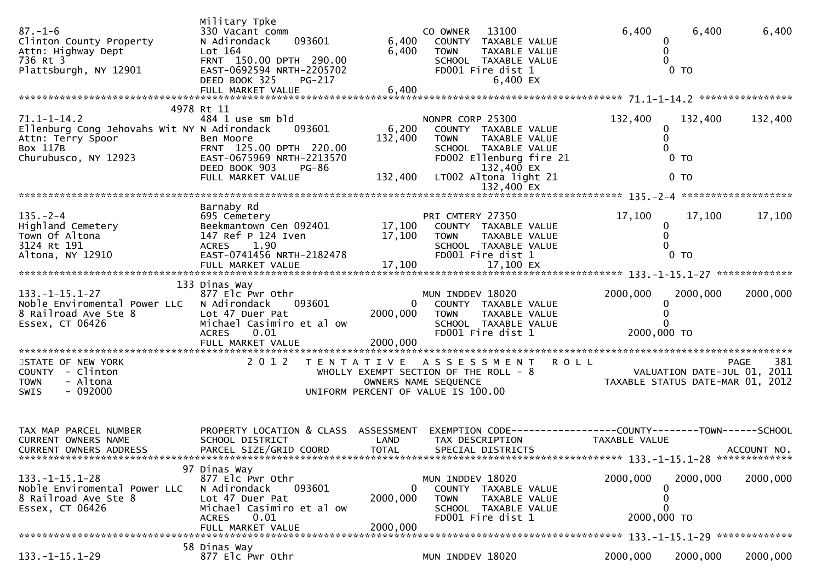| $87. - 1 - 6$<br>Clinton County Property<br>Attn: Highway Dept<br>736 Rt 3<br>Plattsburgh, NY 12901                       | Military Tpke<br>330 Vacant comm<br>093601<br>N Adirondack<br>Lot 164<br>FRNT 150.00 DPTH 290.00<br>EAST-0692594 NRTH-2205702<br>DEED BOOK 325<br>PG-217     | 6,400<br>6,400                       | 13100<br>CO OWNER<br>COUNTY TAXABLE VALUE<br><b>TOWN</b><br>TAXABLE VALUE<br>SCHOOL TAXABLE VALUE<br>FD001 Fire dist 1<br>6,400 EX                                 | 6,400<br>0                                                                     | 6,400<br>$0$ TO                     | 6,400              |
|---------------------------------------------------------------------------------------------------------------------------|--------------------------------------------------------------------------------------------------------------------------------------------------------------|--------------------------------------|--------------------------------------------------------------------------------------------------------------------------------------------------------------------|--------------------------------------------------------------------------------|-------------------------------------|--------------------|
| $71.1 - 1 - 14.2$<br>Ellenburg Cong Jehovahs Wit NY N Adirondack<br>Attn: Terry Spoor<br>Box 117B<br>Churubusco, NY 12923 | 4978 Rt 11<br>484 1 use sm bld<br>093601<br>Ben Moore<br>FRNT 125.00 DPTH 220.00<br>EAST-0675969 NRTH-2213570<br>DEED BOOK 903<br>PG-86<br>FULL MARKET VALUE | 6,200<br>132,400<br>132,400          | NONPR CORP 25300<br>COUNTY TAXABLE VALUE<br>TAXABLE VALUE<br><b>TOWN</b><br>SCHOOL TAXABLE VALUE<br>FD002 Ellenburg fire 21<br>132,400 EX<br>LT002 Altona light 21 | 132,400<br>0<br>$\Omega$                                                       | 132,400<br>$0$ TO<br>0 <sub>T</sub> | 132,400            |
|                                                                                                                           |                                                                                                                                                              |                                      | 132,400 EX                                                                                                                                                         |                                                                                |                                     |                    |
| $135. - 2 - 4$<br>Highland Cemetery<br>Town Of Altona<br>3124 Rt 191<br>Altona, NY 12910                                  | Barnaby Rd<br>695 Cemetery<br>Beekmantown Cen 092401<br>147 Ref P 124 Iven<br>1.90<br><b>ACRES</b><br>EAST-0741456 NRTH-2182478                              | 17,100<br>17,100                     | PRI CMTERY 27350<br>COUNTY TAXABLE VALUE<br><b>TOWN</b><br>TAXABLE VALUE<br>SCHOOL TAXABLE VALUE<br>FD001 Fire dist 1                                              | 17,100<br>0                                                                    | 17,100<br>0 <sub>T</sub>            | 17,100             |
|                                                                                                                           | 133 Dinas Way                                                                                                                                                |                                      |                                                                                                                                                                    |                                                                                |                                     |                    |
| $133. - 1 - 15.1 - 27$<br>Noble Enviromental Power LLC<br>8 Railroad Ave Ste 8<br>Essex, CT 06426                         | 877 Elc Pwr Othr<br>N Adirondack<br>093601<br>Lot 47 Duer Pat<br>Michael Casimiro et al ow<br><b>ACRES</b><br>0.01<br>FULL MARKET VALUE                      | $\mathbf{0}$<br>2000,000<br>2000,000 | MUN INDDEV 18020<br>COUNTY TAXABLE VALUE<br>TAXABLE VALUE<br><b>TOWN</b><br>SCHOOL TAXABLE VALUE<br>FD001 Fire dist 1                                              | 2000,000<br>2000,000 TO                                                        | 2000,000                            | 2000,000           |
| STATE OF NEW YORK<br>COUNTY - Clinton<br>- Altona<br><b>TOWN</b><br>$-092000$<br>SWIS                                     | 2 0 1 2                                                                                                                                                      |                                      | TENTATIVE ASSESSMENT<br>WHOLLY EXEMPT SECTION OF THE ROLL - 8<br>OWNERS NAME SEQUENCE<br>UNIFORM PERCENT OF VALUE IS 100.00                                        | <b>ROLL</b><br>VALUATION DATE-JUL 01, 2011<br>TAXABLE STATUS DATE-MAR 01, 2012 |                                     | 381<br><b>PAGE</b> |
| TAX MAP PARCEL NUMBER<br>CURRENT OWNERS NAME<br>CURRENT OWNERS ADDRESS                                                    | PROPERTY LOCATION & CLASS ASSESSMENT<br>SCHOOL DISTRICT<br>PARCEL SIZE/GRID COORD                                                                            | LAND<br>TOTAL                        | EXEMPTION CODE------------------COUNTY--------TOWN------SCHOOL<br>TAX DESCRIPTION<br>SPECIAL DISTRICTS                                                             | TAXABLE VALUE                                                                  |                                     | ACCOUNT NO.        |
| $133. - 1 - 15.1 - 28$<br>Noble Enviromental Power LLC<br>8 Railroad Ave Ste 8<br>Essex, CT 06426                         | 97 Dinas Way<br>877 Elc Pwr Othr<br>N Adirondack<br>093601<br>Lot 47 Duer Pat<br>Michael Casimiro et al ow<br>0.01<br><b>ACRES</b><br>FULL MARKET VALUE      | 2000,000<br>2000,000                 | MUN INDDEV 18020<br>COUNTY TAXABLE VALUE<br><b>TOWN</b><br>TAXABLE VALUE<br>SCHOOL TAXABLE VALUE<br>FD001 Fire dist 1                                              | 2000,000<br>0<br>$\Omega$<br>O<br>2000,000 TO                                  | 2000,000                            | 2000,000           |
|                                                                                                                           | 58 Dinas Way                                                                                                                                                 |                                      |                                                                                                                                                                    |                                                                                |                                     |                    |
| $133. - 1 - 15.1 - 29$                                                                                                    | 877 Elc Pwr Othr                                                                                                                                             |                                      | MUN INDDEV 18020                                                                                                                                                   | 2000,000                                                                       | 2000,000                            | 2000,000           |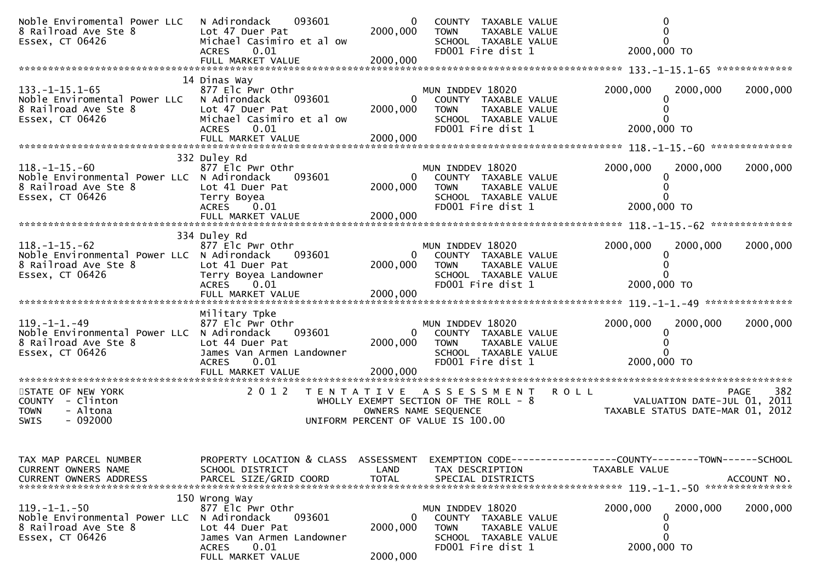| Noble Enviromental Power LLC<br>8 Railroad Ave Ste 8<br>Essex, CT 06426                                        | 093601<br>N Adirondack<br>Lot 47 Duer Pat<br>Michael Casimiro et al ow<br>0.01<br><b>ACRES</b>                                          | $\mathbf{0}$<br>2000,000  | COUNTY TAXABLE VALUE<br>TAXABLE VALUE<br><b>TOWN</b><br>SCHOOL TAXABLE VALUE<br>FD001 Fire dist 1                          | 2000,000 TO                                                                                                                   |                      |
|----------------------------------------------------------------------------------------------------------------|-----------------------------------------------------------------------------------------------------------------------------------------|---------------------------|----------------------------------------------------------------------------------------------------------------------------|-------------------------------------------------------------------------------------------------------------------------------|----------------------|
|                                                                                                                |                                                                                                                                         |                           |                                                                                                                            |                                                                                                                               |                      |
| $133. - 1 - 15.1 - 65$<br>Noble Enviromental Power LLC<br>8 Railroad Ave Ste 8<br>Essex, CT 06426              | 14 Dinas Way<br>877 Elc Pwr Othr<br>093601<br>N Adirondack<br>Lot 47 Duer Pat<br>Michael Casimiro et al ow<br>0.01<br><b>ACRES</b>      | 2000,000                  | MUN INDDEV 18020<br>0<br>COUNTY TAXABLE VALUE<br><b>TOWN</b><br>TAXABLE VALUE<br>SCHOOL TAXABLE VALUE<br>FD001 Fire dist 1 | 2000,000<br>2000,000 TO                                                                                                       | 2000,000<br>2000,000 |
|                                                                                                                |                                                                                                                                         |                           |                                                                                                                            |                                                                                                                               |                      |
|                                                                                                                | 332 Duley Rd                                                                                                                            |                           |                                                                                                                            |                                                                                                                               |                      |
| $118. - 1 - 15. - 60$<br>Noble Environmental Power LLC N Adirondack<br>8 Railroad Ave Ste 8<br>Essex, CT 06426 | 877 Elc Pwr Othr<br>093601<br>Lot 41 Duer Pat<br>Terry Boyea<br>ACRES 0.01                                                              | 2000,000                  | MUN INDDEV 18020<br>0<br>COUNTY TAXABLE VALUE<br><b>TOWN</b><br>TAXABLE VALUE<br>SCHOOL TAXABLE VALUE<br>FD001 Fire dist 1 | 2000,000<br>2000,000 TO                                                                                                       | 2000,000<br>2000,000 |
|                                                                                                                |                                                                                                                                         |                           |                                                                                                                            |                                                                                                                               |                      |
|                                                                                                                |                                                                                                                                         |                           |                                                                                                                            |                                                                                                                               |                      |
| $118. - 1 - 15. - 62$<br>Noble Environmental Power LLC N Adirondack<br>8 Railroad Ave Ste 8<br>Essex, CT 06426 | 334 Duley Rd<br>877 Elc Pwr Othr<br>093601<br>Lot 41 Duer Pat<br>Terry Boyea Landowner<br>ACRES 0.01                                    | 0<br>2000,000             | MUN INDDEV 18020<br>COUNTY TAXABLE VALUE<br><b>TOWN</b><br>TAXABLE VALUE<br>SCHOOL TAXABLE VALUE<br>FD001 Fire dist 1      | 2000,000<br>2000,000 TO                                                                                                       | 2000,000<br>2000,000 |
|                                                                                                                |                                                                                                                                         |                           |                                                                                                                            |                                                                                                                               |                      |
| $119. - 1 - 1. - 49$<br>Noble Environmental Power LLC N Adirondack<br>8 Railroad Ave Ste 8<br>Essex, CT 06426  | Military Tpke<br>877 Elc Pwr Othr<br>093601<br>Lot 44 Duer Pat<br>James Van Armen Landowner<br><b>ACRES</b><br>0.01                     | 2000,000                  | MUN INDDEV 18020<br>0<br>COUNTY TAXABLE VALUE<br>TOWN<br>TAXABLE VALUE<br>SCHOOL TAXABLE VALUE<br>FD001 Fire dist 1        | 2000,000<br>0<br>2000,000 TO                                                                                                  | 2000,000<br>2000,000 |
| STATE OF NEW YORK                                                                                              | 2 0 1 2                                                                                                                                 |                           | TENTATIVE ASSESSMENT ROLL                                                                                                  |                                                                                                                               | 382<br><b>PAGE</b>   |
| COUNTY - Clinton<br><b>TOWN</b><br>- Altona<br>$-092000$<br>SWIS                                               |                                                                                                                                         |                           | UNIFORM PERCENT OF VALUE IS 100.00                                                                                         | WHOLLY EXEMPT SECTION OF THE ROLL - 8<br>WALUATION DATE-JUL 01, 2011<br>OWNERS NAME SEQUENCE TAXABLE STATUS DATE-MAR 01, 2012 |                      |
|                                                                                                                |                                                                                                                                         |                           |                                                                                                                            |                                                                                                                               |                      |
| TAX MAP PARCEL NUMBER<br>CURRENT OWNERS NAME<br>CURRENT OWNERS ADDRESS                                         | PROPERTY LOCATION & CLASS ASSESSMENT<br>SCHOOL DISTRICT<br>PARCEL SIZE/GRID COORD                                                       | LAND<br><b>TOTAL</b>      | TAX DESCRIPTION<br>SPECIAL DISTRICTS                                                                                       | EXEMPTION CODE------------------COUNTY--------TOWN------SCHOOL<br>TAXABLE VALUE                                               | ACCOUNT NO.          |
|                                                                                                                | 150 Wrong Way                                                                                                                           |                           |                                                                                                                            |                                                                                                                               |                      |
| $119. -1 -1. -50$<br>Noble Environmental Power LLC<br>8 Railroad Ave Ste 8<br>Essex, CT 06426                  | 877 Elc Pwr Othr<br>093601<br>N Adirondack<br>Lot 44 Duer Pat<br>James Van Armen Landowner<br><b>ACRES</b><br>0.01<br>FULL MARKET VALUE | 0<br>2000,000<br>2000,000 | MUN INDDEV 18020<br>COUNTY TAXABLE VALUE<br>TAXABLE VALUE<br><b>TOWN</b><br>SCHOOL TAXABLE VALUE<br>FD001 Fire dist 1      | 2000,000<br>0<br>2000,000 TO                                                                                                  | 2000,000<br>2000,000 |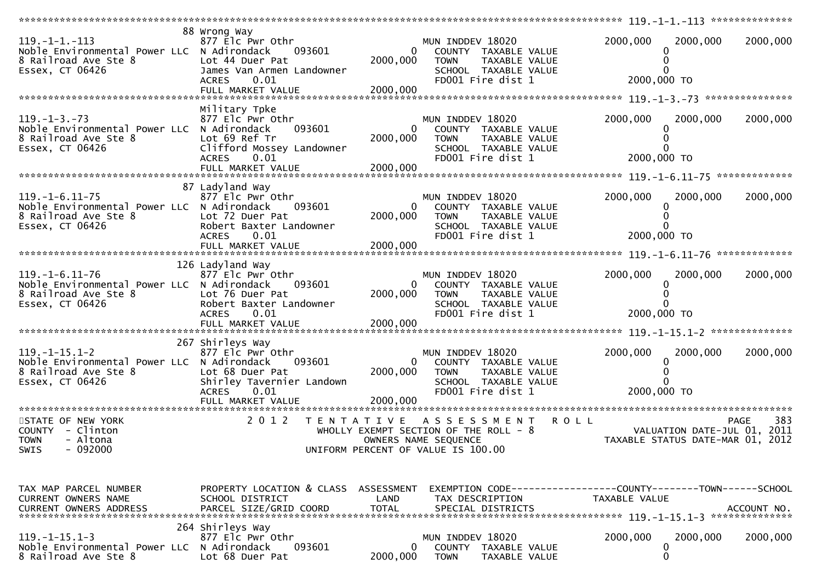| $119. -1 -1. -113$<br>Noble Environmental Power LLC N Adirondack<br>8 Railroad Ave Ste 8<br>Essex, CT 06426     | 88 Wrong Way<br>877 Elc Pwr Othr<br>093601<br>Lot 44 Duer Pat<br>James Van Armen Landowner<br>0.01<br><b>ACRES</b>                     | $\overline{0}$<br>2000,000             | MUN INDDEV 18020<br>COUNTY TAXABLE VALUE<br><b>TOWN</b><br>TAXABLE VALUE<br>SCHOOL TAXABLE VALUE<br>FD001 Fire dist 1       | 2000,000<br>2000,000<br>2000,000 TO                                           | 2000,000                                          |
|-----------------------------------------------------------------------------------------------------------------|----------------------------------------------------------------------------------------------------------------------------------------|----------------------------------------|-----------------------------------------------------------------------------------------------------------------------------|-------------------------------------------------------------------------------|---------------------------------------------------|
|                                                                                                                 |                                                                                                                                        |                                        |                                                                                                                             |                                                                               |                                                   |
| $119. - 1 - 3. - 73$<br>Noble Environmental Power LLC N Adirondack<br>8 Railroad Ave Ste 8<br>Essex, CT 06426   | Military Tpke<br>877 Elc Pwr Othr<br>093601<br>Lot 69 Ref Tr<br>Clifford Mossey Landowner<br>0.01<br><b>ACRES</b><br>FULL MARKET VALUE | $\overline{0}$<br>2000,000<br>2000,000 | MUN INDDEV 18020<br>COUNTY TAXABLE VALUE<br><b>TOWN</b><br>TAXABLE VALUE<br>SCHOOL TAXABLE VALUE<br>FD001 Fire dist 1       | 2000,000<br>2000,000<br>2000,000 TO                                           | 2000,000                                          |
|                                                                                                                 | 87 Ladyland Way                                                                                                                        |                                        |                                                                                                                             |                                                                               |                                                   |
| $119. - 1 - 6.11 - 75$<br>Noble Environmental Power LLC N Adirondack<br>8 Railroad Ave Ste 8<br>Essex, CT 06426 | 877 Elc Pwr Othr<br>093601<br>Lot 72 Duer Pat<br>Robert Baxter Landowner<br>0.01<br><b>ACRES</b>                                       | $\mathbf{0}$<br>2000,000               | MUN INDDEV 18020<br>COUNTY TAXABLE VALUE<br><b>TOWN</b><br>TAXABLE VALUE<br>SCHOOL TAXABLE VALUE<br>FD001 Fire dist 1       | 2000,000<br>2000,000<br>2000,000 TO                                           | 2000,000                                          |
|                                                                                                                 |                                                                                                                                        |                                        |                                                                                                                             |                                                                               |                                                   |
| $119. - 1 - 6.11 - 76$<br>Noble Environmental Power LLC N Adirondack<br>8 Railroad Ave Ste 8<br>Essex, CT 06426 | 126 Ladyland Way<br>877 Elc Pwr Othr<br>093601<br>Lot 76 Duer Pat<br>Robert Baxter Landowner<br><b>ACRES</b><br>0.01                   | 0<br>2000,000                          | MUN INDDEV 18020<br>COUNTY TAXABLE VALUE<br><b>TOWN</b><br>TAXABLE VALUE<br>SCHOOL TAXABLE VALUE<br>FD001 Fire dist 1       | 2000,000<br>2000,000<br>2000,000 TO                                           | 2000,000                                          |
|                                                                                                                 | 267 Shirleys Way                                                                                                                       |                                        |                                                                                                                             |                                                                               |                                                   |
| $119. - 1 - 15.1 - 2$<br>Noble Environmental Power LLC N Adirondack<br>8 Railroad Ave Ste 8<br>Essex, CT 06426  | 877 Elc Pwr Othr<br>093601<br>Lot 68 Duer Pat<br>Shirley Tavernier Landown<br><b>ACRES</b><br>0.01                                     | $\overline{0}$<br>2000,000             | MUN INDDEV 18020<br>COUNTY TAXABLE VALUE<br>TAXABLE VALUE<br><b>TOWN</b><br>SCHOOL TAXABLE VALUE<br>FD001 Fire dist 1       | 2000,000<br>2000,000<br>2000,000 TO                                           | 2000,000                                          |
|                                                                                                                 | FULL MARKET VALUE                                                                                                                      | 2000,000                               |                                                                                                                             |                                                                               |                                                   |
| STATE OF NEW YORK<br>COUNTY - Clinton<br>- Altona<br><b>TOWN</b><br>SWIS - 092000                               | 2 0 1 2                                                                                                                                |                                        | TENTATIVE ASSESSMENT<br>WHOLLY EXEMPT SECTION OF THE ROLL - 8<br>OWNERS NAME SEQUENCE<br>UNIFORM PERCENT OF VALUE IS 100.00 | <b>ROLL</b><br>TAXABLE STATUS DATE-MAR 01, 2012                               | 383<br><b>PAGE</b><br>VALUATION DATE-JUL 01, 2011 |
| TAX MAP PARCEL NUMBER<br>CURRENT OWNERS NAME<br><b>CURRENT OWNERS ADDRESS</b>                                   | PROPERTY LOCATION & CLASS ASSESSMENT<br>SCHOOL DISTRICT<br>PARCEL SIZE/GRID COORD                                                      | LAND<br><b>TOTAL</b>                   | TAX DESCRIPTION<br>SPECIAL DISTRICTS                                                                                        | EXEMPTION CODE-----------------COUNTY-------TOWN------SCHOOL<br>TAXABLE VALUE | ACCOUNT NO.                                       |
| $119. - 1 - 15.1 - 3$<br>Noble Environmental Power LLC N Adirondack<br>8 Railroad Ave Ste 8                     | 264 Shirleys Way<br>877 Elc Pwr Othr<br>093601<br>Lot 68 Duer Pat                                                                      | $\mathbf{0}$<br>2000,000               | MUN INDDEV 18020<br>COUNTY TAXABLE VALUE<br><b>TOWN</b><br><b>TAXABLE VALUE</b>                                             | 2000,000<br>2000,000<br>0<br>0                                                | 2000,000                                          |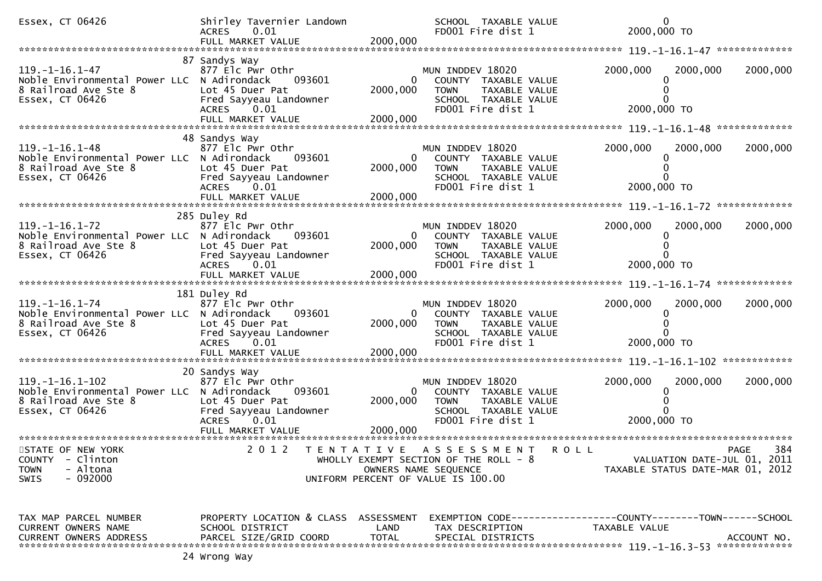| Essex, CT 06426                                                                                                  | Shirley Tavernier Landown<br>ACRES 0.01<br>FULL MARKET VALUE                                                                | 2000,000                             | SCHOOL TAXABLE VALUE<br>FD001 Fire dist 1                                                                             | $\mathbf{0}$<br>2000,000 TO                                                   |                    |
|------------------------------------------------------------------------------------------------------------------|-----------------------------------------------------------------------------------------------------------------------------|--------------------------------------|-----------------------------------------------------------------------------------------------------------------------|-------------------------------------------------------------------------------|--------------------|
|                                                                                                                  |                                                                                                                             |                                      |                                                                                                                       |                                                                               |                    |
| 119. –1–16. 1–47<br>Noble Environmental Power LLC N Adirondack<br>8 Railroad Ave Ste 8<br>Essex, CT 06426        | 87 Sandys Way<br>877 Elc Pwr Othr<br>093601<br>Lot 45 Duer Pat<br>Fred Sayyeau Landowner<br>ACRES 0.01<br>FULL MARKET VALUE | 0<br>2000,000<br>2000,000            | MUN INDDEV 18020<br>COUNTY TAXABLE VALUE<br><b>TOWN</b><br>TAXABLE VALUE<br>SCHOOL TAXABLE VALUE<br>FD001 Fire dist 1 | 2000,000<br>2000,000<br>2000,000 TO                                           | 2000,000           |
|                                                                                                                  | 48 Sandys Way                                                                                                               |                                      |                                                                                                                       |                                                                               |                    |
| $119. - 1 - 16.1 - 48$<br>Noble Environmental Power LLC N Adirondack<br>8 Railroad Ave Ste 8<br>Essex, CT 06426  | 877 Elc Pwr Othr<br>093601<br>Lot 45 Duer Pat<br>Fred Sayyeau Landowner<br>ACRES 0.01                                       | 2000,000                             | MUN INDDEV 18020<br>COUNTY TAXABLE VALUE<br><b>TOWN</b><br>TAXABLE VALUE<br>SCHOOL TAXABLE VALUE<br>FD001 Fire dist 1 | 2000,000<br>2000,000<br>0<br>2000,000 TO                                      | 2000,000           |
|                                                                                                                  |                                                                                                                             |                                      |                                                                                                                       |                                                                               |                    |
| $119. - 1 - 16.1 - 72$<br>Noble Environmental Power LLC N Adirondack<br>8 Railroad Ave Ste 8<br>Essex, CT 06426  | 285 Duley Rd<br>877 Elc Pwr Othr<br>093601<br>Lot 45 Duer Pat<br>Fred Sayyeau Landowner<br>ACRES 0.01                       | $\mathbf{0}$<br>2000,000             | MUN INDDEV 18020<br>COUNTY TAXABLE VALUE<br><b>TOWN</b><br>TAXABLE VALUE<br>SCHOOL TAXABLE VALUE<br>FD001 Fire dist 1 | 2000,000<br>2000,000<br>2000,000 TO                                           | 2000,000           |
|                                                                                                                  | FULL MARKET VALUE                                                                                                           | 2000,000                             |                                                                                                                       |                                                                               |                    |
| $119. - 1 - 16.1 - 74$<br>Noble Environmental Power LLC N Adirondack<br>8 Railroad Ave Ste 8<br>Essex, CT 06426  | 181 Duley Rd<br>877 Elc Pwr Othr<br>093601<br>Lot 45 Duer Pat<br>Fred Sayyeau Landowner<br>ACRES 0.01<br>FULL MARKET VALUE  | $\mathbf{0}$<br>2000,000<br>2000,000 | MUN INDDEV 18020<br>COUNTY TAXABLE VALUE<br><b>TOWN</b><br>TAXABLE VALUE<br>SCHOOL TAXABLE VALUE<br>FD001 Fire dist 1 | 2000,000<br>2000,000<br>2000,000 TO                                           | 2000,000           |
|                                                                                                                  | 20 Sandys Way                                                                                                               |                                      |                                                                                                                       |                                                                               |                    |
| $119. - 1 - 16.1 - 102$<br>Noble Environmental Power LLC N Adirondack<br>8 Railroad Ave Ste 8<br>Essex, CT 06426 | 877 Elc Pwr Othr<br>093601<br>Lot 45 Duer Pat<br>Fred Sayyeau Landowner<br><b>ACRES</b><br>0.01                             | 2000,000                             | MUN INDDEV 18020<br>COUNTY TAXABLE VALUE<br><b>TOWN</b><br>TAXABLE VALUE<br>SCHOOL TAXABLE VALUE<br>FD001 Fire dist 1 | 2000,000<br>2000,000<br>2000,000 TO                                           | 2000,000           |
|                                                                                                                  |                                                                                                                             |                                      |                                                                                                                       |                                                                               |                    |
| STATE OF NEW YORK<br>- Clinton<br><b>COUNTY</b><br>- Altona<br><b>TOWN</b><br>$-092000$<br>SWIS                  | 2 0 1 2                                                                                                                     | OWNERS NAME SEQUENCE                 | TENTATIVE ASSESSMENT<br>WHOLLY EXEMPT SECTION OF THE ROLL - 8<br>UNIFORM PERCENT OF VALUE IS 100.00                   | R O L L<br>VALUATION DATE-JUL 01, 2011<br>TAXABLE STATUS DATE-MAR 01, 2012    | 384<br><b>PAGE</b> |
| TAX MAP PARCEL NUMBER<br>CURRENT OWNERS NAME<br><b>CURRENT OWNERS ADDRESS</b>                                    | PROPERTY LOCATION & CLASS<br>SCHOOL DISTRICT<br>PARCEL SIZE/GRID COORD                                                      | ASSESSMENT<br>LAND<br><b>TOTAL</b>   | TAX DESCRIPTION<br>SPECIAL DISTRICTS                                                                                  | EXEMPTION CODE-----------------COUNTY-------TOWN------SCHOOL<br>TAXABLE VALUE | ACCOUNT NO.        |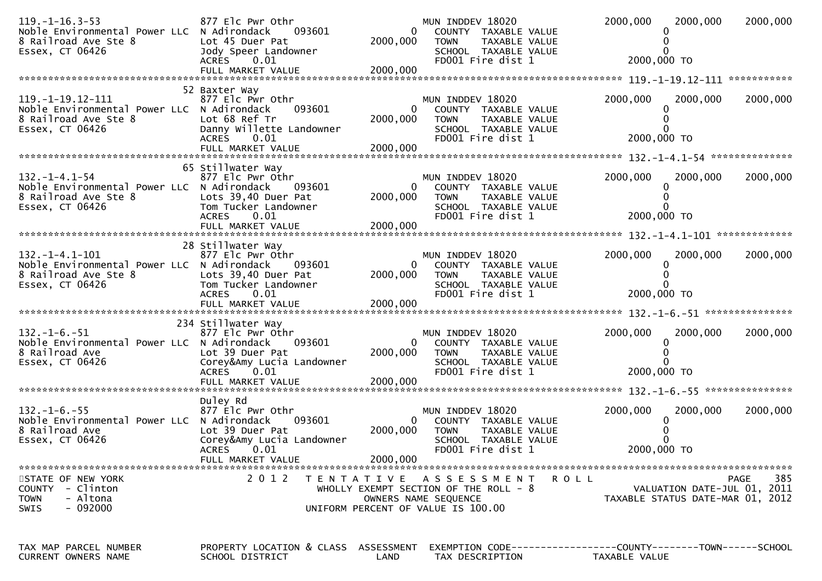| $119. - 1 - 16.3 - 53$<br>Noble Environmental Power LLC N Adirondack<br>8 Railroad Ave Ste 8<br>Essex, CT 06426 | 877 Elc Pwr Othr<br>093601<br>Lot 45 Duer Pat<br>Jody Speer Landowner<br>0.01<br><b>ACRES</b>                                       | $\Omega$<br>2000,000                   | MUN INDDEV 18020<br>COUNTY TAXABLE VALUE<br><b>TOWN</b><br>TAXABLE VALUE<br>SCHOOL TAXABLE VALUE<br>FD001 Fire dist 1       | 2000,000<br>2000,000<br>2000,000 TO                                                  | 2000,000           |
|-----------------------------------------------------------------------------------------------------------------|-------------------------------------------------------------------------------------------------------------------------------------|----------------------------------------|-----------------------------------------------------------------------------------------------------------------------------|--------------------------------------------------------------------------------------|--------------------|
|                                                                                                                 |                                                                                                                                     |                                        |                                                                                                                             |                                                                                      |                    |
|                                                                                                                 |                                                                                                                                     |                                        |                                                                                                                             |                                                                                      |                    |
| 119. -1-19. 12-111<br>Noble Environmental Power LLC N Adirondack<br>8 Railroad Ave Ste 8<br>Essex, CT 06426     | 52 Baxter Way<br>877 Elc Pwr Othr<br>093601<br>Lot 68 Ref Tr<br>Danny Willette Landowner<br><b>ACRES</b><br>0.01                    | $\overline{0}$<br>2000,000             | MUN INDDEV 18020<br>COUNTY TAXABLE VALUE<br><b>TOWN</b><br>TAXABLE VALUE<br>SCHOOL TAXABLE VALUE<br>FD001 Fire dist 1       | 2000,000<br>2000,000<br>2000,000 TO                                                  | 2000,000           |
|                                                                                                                 | FULL MARKET VALUE                                                                                                                   | 2000,000                               |                                                                                                                             |                                                                                      |                    |
|                                                                                                                 |                                                                                                                                     |                                        |                                                                                                                             |                                                                                      |                    |
| 132. – 1–4. 1–54<br>Noble Environmental Power LLC N Adirondack<br>8 Railroad Ave Ste 8<br>Essex, CT 06426       | 65 Stillwater Way<br>877 Elc Pwr Othr<br>093601<br>Lots 39,40 Duer Pat<br>Tom Tucker Landowner<br>0.01<br><b>ACRES</b>              | $\mathbf{0}$<br>2000,000               | MUN INDDEV 18020<br>COUNTY TAXABLE VALUE<br><b>TOWN</b><br>TAXABLE VALUE<br>SCHOOL TAXABLE VALUE<br>FD001 Fire dist 1       | 2000,000<br>2000,000<br>2000,000 TO                                                  | 2000,000           |
|                                                                                                                 |                                                                                                                                     |                                        |                                                                                                                             |                                                                                      |                    |
| $132. - 1 - 4.1 - 101$<br>Noble Environmental Power LLC N Adirondack<br>8 Railroad Ave Ste 8<br>Essex, CT 06426 | 28 Stillwater Way<br>877 Elc Pwr Othr<br>093601<br>Lots 39,40 Duer Pat<br>Tom Tucker Landowner<br><b>ACRES</b><br>0.01              | $\overline{0}$<br>2000,000             | MUN INDDEV 18020<br>COUNTY TAXABLE VALUE<br><b>TOWN</b><br>TAXABLE VALUE<br>SCHOOL TAXABLE VALUE<br>FD001 Fire dist 1       | 2000,000<br>2000,000<br>2000,000 TO                                                  | 2000,000           |
|                                                                                                                 |                                                                                                                                     |                                        |                                                                                                                             |                                                                                      |                    |
| $132. - 1 - 6. - 51$<br>Noble Environmental Power LLC N Adirondack<br>8 Railroad Ave<br>Essex, CT 06426         | 234 Stillwater Way<br>877 Elc Pwr Othr<br>093601<br>Lot 39 Duer Pat<br>Corey&Amy Lucia Landowner<br>ACRES 0.01<br>FULL MARKET VALUE | 0<br>2000,000<br>2000,000              | MUN INDDEV 18020<br>COUNTY TAXABLE VALUE<br><b>TOWN</b><br>TAXABLE VALUE<br>SCHOOL TAXABLE VALUE<br>FD001 Fire dist 1       | 2000,000<br>2000,000<br>2000,000 TO                                                  | 2000,000           |
|                                                                                                                 | Duley Rd                                                                                                                            |                                        |                                                                                                                             |                                                                                      |                    |
| $132. - 1 - 6. - 55$<br>Noble Environmental Power LLC N Adirondack<br>8 Railroad Ave<br>Essex, CT 06426         | 877 Elc Pwr Othr<br>093601<br>Lot 39 Duer Pat<br>Corey&Amy Lucia Landowner<br>ACRES 0.01<br>FULL MARKET VALUE                       | $\overline{0}$<br>2000,000<br>2000,000 | MUN INDDEV 18020<br>COUNTY TAXABLE VALUE<br><b>TOWN</b><br>TAXABLE VALUE<br>SCHOOL TAXABLE VALUE<br>FD001 Fire dist 1       | 2000,000<br>2000,000<br>2000,000 TO                                                  | 2000,000           |
|                                                                                                                 |                                                                                                                                     |                                        |                                                                                                                             |                                                                                      |                    |
| STATE OF NEW YORK<br>COUNTY - Clinton<br>- Altona<br><b>TOWN</b><br>- 092000<br><b>SWIS</b>                     | 2 0 1 2                                                                                                                             |                                        | TENTATIVE ASSESSMENT<br>WHOLLY EXEMPT SECTION OF THE ROLL - 8<br>OWNERS NAME SEQUENCE<br>UNIFORM PERCENT OF VALUE IS 100.00 | R O L L<br>VALUATION DATE-JUL 01, 2011<br>TAXABLE STATUS DATE-MAR 01, 2012           | 385<br><b>PAGE</b> |
| TAX MAP PARCEL NUMBER<br>CURRENT OWNERS NAME                                                                    | PROPERTY LOCATION & CLASS ASSESSMENT<br>SCHOOL DISTRICT                                                                             | LAND                                   | TAX DESCRIPTION                                                                                                             | EXEMPTION        CODE-----------------COUNTY-------TOWN------SCHOOL<br>TAXABLE VALUE |                    |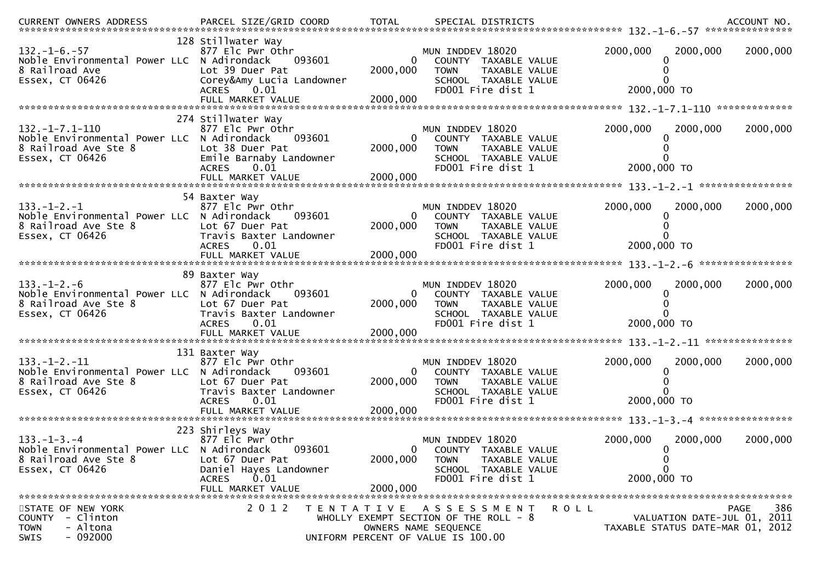| .CURRENT OWNERS ADDRESS PARCEL SIZE/GRID COORD TOTAL SPECIAL DISTRICTS 710 120 ACCOUNT NO ACCOUNT NO COORD 1999 |                                                 |                          |                                                               |             |                                                   |
|-----------------------------------------------------------------------------------------------------------------|-------------------------------------------------|--------------------------|---------------------------------------------------------------|-------------|---------------------------------------------------|
| $132. - 1 - 6. - 57$                                                                                            | 128 Stillwater Way<br>877 Elc Pwr Othr          |                          | MUN INDDEV 18020                                              | 2000,000    | 2000,000<br>2000,000                              |
| Noble Environmental Power LLC N Adirondack<br>8 Railroad Ave                                                    | 093601<br>Lot 39 Duer Pat                       | $\mathbf{0}$<br>2000,000 | COUNTY TAXABLE VALUE<br><b>TOWN</b><br>TAXABLE VALUE          |             |                                                   |
| Essex, CT 06426                                                                                                 | Corey&Amy Lucia Landowner                       |                          | SCHOOL TAXABLE VALUE                                          |             |                                                   |
|                                                                                                                 | 0.01<br><b>ACRES</b>                            |                          | FD001 Fire dist 1                                             |             | 2000,000 TO                                       |
|                                                                                                                 | FULL MARKET VALUE                               | 2000,000                 |                                                               |             |                                                   |
|                                                                                                                 | 274 Stillwater Way                              |                          |                                                               |             |                                                   |
| $132. -1 - 7.1 - 110$<br>Noble Environmental Power LLC N Adirondack                                             | 877 Elc Pwr Othr<br>093601                      | $\overline{0}$           | MUN INDDEV 18020                                              | 2000,000    | 2000,000<br>2000,000                              |
| 8 Railroad Ave Ste 8                                                                                            | Lot 38 Duer Pat                                 | 2000,000                 | COUNTY TAXABLE VALUE<br><b>TOWN</b><br>TAXABLE VALUE          |             |                                                   |
| Essex, CT 06426                                                                                                 | Emile Barnaby Landowner                         |                          | SCHOOL TAXABLE VALUE                                          |             |                                                   |
|                                                                                                                 | <b>ACRES</b><br>0.01                            |                          | FD001 Fire dist 1                                             |             | 2000,000 TO                                       |
|                                                                                                                 |                                                 |                          |                                                               |             |                                                   |
| $133. - 1 - 2. - 1$                                                                                             | 54 Baxter Way<br>877 Elc Pwr Othr               |                          |                                                               | 2000,000    |                                                   |
| Noble Environmental Power LLC N Adirondack                                                                      | 093601                                          | $\mathbf{0}$             | MUN INDDEV 18020<br>COUNTY TAXABLE VALUE                      |             | 2000,000<br>2000,000                              |
| 8 Railroad Ave Ste 8                                                                                            | Lot 67 Duer Pat                                 | 2000,000                 | <b>TOWN</b><br>TAXABLE VALUE                                  |             |                                                   |
| Essex, CT 06426                                                                                                 | Travis Baxter Landowner<br><b>ACRES</b><br>0.01 |                          | SCHOOL TAXABLE VALUE<br>FD001 Fire dist 1                     |             | 2000,000 TO                                       |
|                                                                                                                 | FULL MARKET VALUE                               | 2000,000                 |                                                               |             |                                                   |
|                                                                                                                 | 89 Baxter Way                                   |                          |                                                               |             |                                                   |
| $133. - 1 - 2. - 6$                                                                                             | 877 Elc Pwr Othr                                |                          | MUN INDDEV 18020                                              | 2000,000    | 2000,000<br>2000,000                              |
| Noble Environmental Power LLC N Adirondack                                                                      | 093601                                          | 0                        | COUNTY TAXABLE VALUE                                          |             |                                                   |
| 8 Railroad Ave Ste 8<br>Essex, CT 06426                                                                         | Lot 67 Duer Pat<br>Travis Baxter Landowner      | 2000,000                 | <b>TOWN</b><br>TAXABLE VALUE<br>SCHOOL TAXABLE VALUE          |             |                                                   |
|                                                                                                                 | 0.01<br><b>ACRES</b>                            |                          | FD001 Fire dist 1                                             |             | 2000,000 TO                                       |
|                                                                                                                 |                                                 |                          |                                                               |             |                                                   |
|                                                                                                                 | 131 Baxter Way                                  |                          |                                                               |             |                                                   |
| $133. - 1 - 2. - 11$                                                                                            | 877 Elc Pwr Othr                                |                          | MUN INDDEV 18020                                              | 2000,000    | 2000,000<br>2000,000                              |
| Noble Environmental Power LLC N Adirondack<br>8 Railroad Ave Ste 8                                              | 093601<br>Lot 67 Duer Pat                       | $\Omega$<br>2000,000     | COUNTY TAXABLE VALUE<br><b>TOWN</b><br>TAXABLE VALUE          |             |                                                   |
| Essex, CT 06426                                                                                                 | Travis Baxter Landowner                         |                          | SCHOOL TAXABLE VALUE                                          |             |                                                   |
|                                                                                                                 | 0.01<br><b>ACRES</b>                            |                          | FD001 Fire dist 1                                             |             | 2000,000 TO                                       |
|                                                                                                                 |                                                 |                          |                                                               |             |                                                   |
|                                                                                                                 | 223 Shirleys Way                                |                          |                                                               |             |                                                   |
| $133. - 1 - 3. - 4$<br>Noble Environmental Power LLC N Adirondack                                               | 877 Elc Pwr Othr<br>093601                      |                          | MUN INDDEV 18020<br>0<br>COUNTY TAXABLE VALUE                 | 2000,000    | 2000,000<br>2000,000<br>$\mathbf{0}$              |
| 8 Railroad Ave Ste 8                                                                                            | Lot 67 Duer Pat                                 | 2000,000                 | TAXABLE VALUE<br><b>TOWN</b>                                  |             | 0                                                 |
| Essex, CT 06426                                                                                                 | Daniel Hayes Landowner<br>0.01<br><b>ACRES</b>  |                          | SCHOOL TAXABLE VALUE<br>FD001 Fire dist 1                     |             | $\mathbf 0$<br>2000,000 TO                        |
|                                                                                                                 | FULL MARKET VALUE                               | 2000,000                 |                                                               |             |                                                   |
|                                                                                                                 |                                                 |                          |                                                               |             |                                                   |
| STATE OF NEW YORK<br>- Clinton<br><b>COUNTY</b>                                                                 | 2 0 1 2                                         |                          | TENTATIVE ASSESSMENT<br>WHOLLY EXEMPT SECTION OF THE ROLL - 8 | <b>ROLL</b> | 386<br><b>PAGE</b><br>VALUATION DATE-JUL 01, 2011 |
| - Altona<br><b>TOWN</b>                                                                                         |                                                 |                          | OWNERS NAME SEQUENCE                                          |             | TAXABLE STATUS DATE-MAR 01, 2012                  |
| $-092000$<br><b>SWIS</b>                                                                                        |                                                 |                          | UNIFORM PERCENT OF VALUE IS 100.00                            |             |                                                   |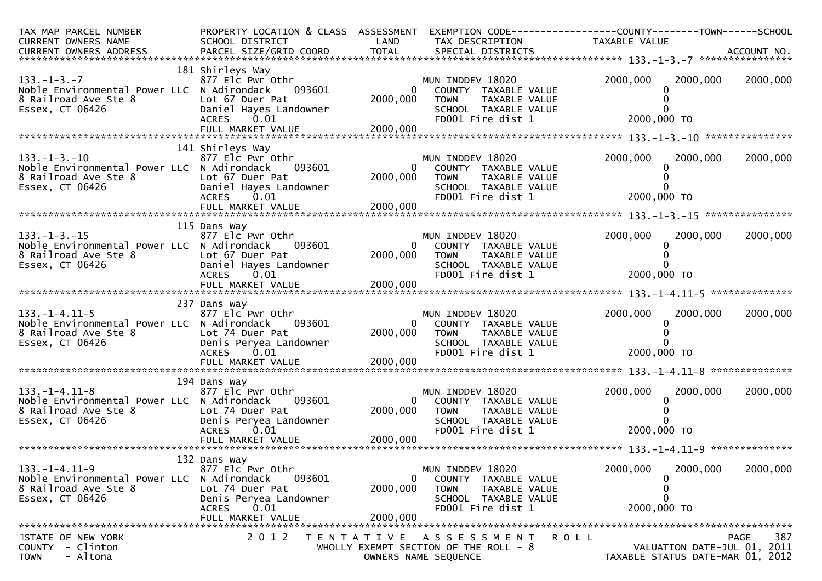| TAX MAP PARCEL NUMBER<br>CURRENT OWNERS NAME                                                                   | PROPERTY LOCATION & CLASS ASSESSMENT<br>SCHOOL DISTRICT                                                                                              | LAND                                   | EXEMPTION CODE------------------COUNTY--------TOWN------SCHOOL<br>TAX DESCRIPTION                                     | TAXABLE VALUE                                                   |                            |
|----------------------------------------------------------------------------------------------------------------|------------------------------------------------------------------------------------------------------------------------------------------------------|----------------------------------------|-----------------------------------------------------------------------------------------------------------------------|-----------------------------------------------------------------|----------------------------|
| $133. - 1 - 3. - 7$<br>Noble Environmental Power LLC N Adirondack<br>8 Railroad Ave Ste 8<br>Essex, CT 06426   | 181 Shirleys Way<br>877 Elc Pwr Othr<br>093601<br>Lot 67 Duer Pat<br>Daniel Hayes Landowner<br><b>ACRES</b><br>0.01<br>FULL MARKET VALUE             | $\overline{0}$<br>2000,000<br>2000,000 | MUN INDDEV 18020<br>COUNTY TAXABLE VALUE<br><b>TOWN</b><br>TAXABLE VALUE<br>SCHOOL TAXABLE VALUE<br>FD001 Fire dist 1 | 2000,000<br>2000,000<br>2000,000 TO                             | 2000,000                   |
| $133. - 1 - 3. - 10$<br>Noble Environmental Power LLC N Adirondack<br>8 Railroad Ave Ste 8<br>Essex, CT 06426  | 141 Shirleys Way<br>877 Elc Pwr Othr<br>093601<br>Lot 67 Duer Pat<br>Daniel Hayes Landowner<br><b>ACRES</b><br>0.01                                  | $\Omega$<br>2000,000                   | MUN INDDEV 18020<br>COUNTY TAXABLE VALUE<br><b>TOWN</b><br>TAXABLE VALUE<br>SCHOOL TAXABLE VALUE<br>FD001 Fire dist 1 | 2000,000<br>2000,000<br>2000,000 TO                             | 2000,000                   |
| $133. - 1 - 3. - 15$<br>Noble Environmental Power LLC N Adirondack<br>8 Railroad Ave Ste 8<br>Essex, CT 06426  | 115 Dans Way<br>877 Elc Pwr Othr<br>093601<br>Lot 67 Duer Pat<br>Daniel Hayes Landowner<br>0.01<br><b>ACRES</b><br>FULL MARKET VALUE                 | $\Omega$<br>2000,000<br>2000,000       | MUN INDDEV 18020<br>COUNTY TAXABLE VALUE<br><b>TOWN</b><br>TAXABLE VALUE<br>SCHOOL TAXABLE VALUE<br>FD001 Fire dist 1 | 2000,000<br>2000,000<br>2000,000 TO                             | 2000,000                   |
| $133. - 1 - 4.11 - 5$<br>Noble Environmental Power LLC N Adirondack<br>8 Railroad Ave Ste 8<br>Essex, CT 06426 | 237 Dans Way<br>877 Elc Pwr Othr<br>093601<br>Lot 74 Duer Pat<br>Denis Peryea Landowner<br>ACRES 0.01                                                | $\overline{0}$<br>2000,000             | MUN INDDEV 18020<br>COUNTY TAXABLE VALUE<br>TAXABLE VALUE<br><b>TOWN</b><br>SCHOOL TAXABLE VALUE<br>FD001 Fire dist 1 | 2000,000<br>2000,000<br>2000,000 TO                             | 2000,000                   |
| $133. - 1 - 4.11 - 8$<br>Noble Environmental Power LLC N Adirondack<br>8 Railroad Ave Ste 8<br>Essex, CT 06426 | 194 Dans Way<br>877 Elc Pwr Othr<br>093601<br>Lot 74 Duer Pat<br>Denis Peryea Landowner<br><b>ACRES</b><br>0.01<br>FULL MARKET VALUE                 | $\overline{0}$<br>2000,000<br>2000,000 | MUN INDDEV 18020<br>COUNTY TAXABLE VALUE<br>TAXABLE VALUE<br>TOWN<br>SCHOOL TAXABLE VALUE<br>FD001 Fire dist 1        | 2000,000<br>2000,000<br>0<br>2000,000 TO                        | 2000,000<br>************** |
| $133. - 1 - 4.11 - 9$<br>Noble Environmental Power LLC<br>8 Railroad Ave Ste 8<br>Essex, CT 06426              | 132 Dans Way<br>877 Elc Pwr Othr<br>N Adirondack<br>093601<br>Lot 74 Duer Pat<br>Denis Peryea Landowner<br>0.01<br><b>ACRES</b><br>FULL MARKET VALUE | 0<br>2000,000<br>2000,000              | MUN INDDEV 18020<br>COUNTY TAXABLE VALUE<br>TAXABLE VALUE<br><b>TOWN</b><br>SCHOOL TAXABLE VALUE<br>FD001 Fire dist 1 | 2000,000<br>2000,000<br>0<br>0<br>0<br>2000,000 TO              | 2000,000                   |
| STATE OF NEW YORK<br>COUNTY - Clinton<br>- Altona<br><b>TOWN</b>                                               | 2 0 1 2                                                                                                                                              | T E N T A T I V E                      | <b>ROLL</b><br>A S S E S S M E N T<br>WHOLLY EXEMPT SECTION OF THE ROLL - 8<br>OWNERS NAME SEQUENCE                   | VALUATION DATE-JUL 01, 2011<br>TAXABLE STATUS DATE-MAR 01, 2012 | 387<br><b>PAGE</b>         |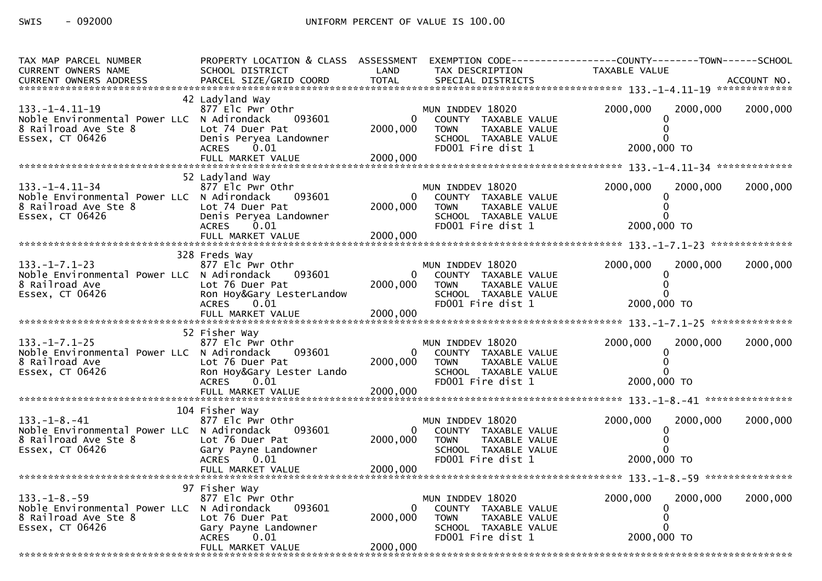| TAX MAP PARCEL NUMBER<br><b>CURRENT OWNERS NAME</b>                                                             | SCHOOL DISTRICT                                                                                                                          | LAND                     | TAX DESCRIPTION                                                                                                       | PROPERTY LOCATION & CLASS ASSESSMENT EXEMPTION CODE----------------COUNTY-------TOWN------SCHOOL<br>TAXABLE VALUE |          |
|-----------------------------------------------------------------------------------------------------------------|------------------------------------------------------------------------------------------------------------------------------------------|--------------------------|-----------------------------------------------------------------------------------------------------------------------|-------------------------------------------------------------------------------------------------------------------|----------|
|                                                                                                                 |                                                                                                                                          |                          |                                                                                                                       |                                                                                                                   |          |
| $133. - 1 - 4.11 - 19$<br>Noble Environmental Power LLC N Adirondack<br>8 Railroad Ave Ste 8<br>Essex, CT 06426 | 42 Ladyland Way<br>877 Elc Pwr Othr<br>093601<br>Lot 74 Duer Pat<br>Denis Peryea Landowner<br>ACRES 0.01                                 | 2000,000                 | MUN INDDEV 18020<br>COUNTY TAXABLE VALUE<br><b>TOWN</b><br>TAXABLE VALUE<br>SCHOOL TAXABLE VALUE<br>FD001 Fire dist 1 | 2000,000<br>2000,000<br>2000,000 TO                                                                               | 2000,000 |
|                                                                                                                 |                                                                                                                                          |                          |                                                                                                                       |                                                                                                                   |          |
| 133. – 1–4. 11–34<br>Noble Environmental Power LLC N Adirondack<br>8 Railroad Ave Ste 8<br>Essex, CT 06426      | 52 Ladyland Way<br>877 Elc Pwr Othr<br>093601<br>Lot 74 Duer Pat<br>Denis Peryea Landowner<br><b>ACRES</b><br>0.01                       | $\mathbf{0}$<br>2000,000 | MUN INDDEV 18020<br>COUNTY TAXABLE VALUE<br><b>TOWN</b><br>TAXABLE VALUE<br>SCHOOL TAXABLE VALUE<br>FD001 Fire dist 1 | 2000,000<br>2000,000<br>2000,000 TO                                                                               | 2000,000 |
|                                                                                                                 |                                                                                                                                          |                          |                                                                                                                       |                                                                                                                   |          |
| $133. -1 - 7.1 - 23$<br>Noble Environmental Power LLC N Adirondack<br>8 Railroad Ave<br>Essex, CT 06426         | 328 Freds Way<br>877 Elc Pwr Othr<br>093601<br>Lot 76 Duer Pat<br>Ron Hoy&Gary LesterLandow<br><b>ACRES</b><br>0.01<br>FULL MARKET VALUE | 2000,000<br>2000,000     | MUN INDDEV 18020<br>COUNTY TAXABLE VALUE<br><b>TOWN</b><br>TAXABLE VALUE<br>SCHOOL TAXABLE VALUE<br>FD001 Fire dist 1 | 2000,000<br>2000,000<br>2000,000 TO                                                                               | 2000,000 |
|                                                                                                                 |                                                                                                                                          |                          |                                                                                                                       |                                                                                                                   |          |
| $133. - 1 - 7.1 - 25$<br>Noble Environmental Power LLC N Adirondack<br>8 Railroad Ave<br>Essex, CT 06426        | 52 Fisher Way<br>877 Elc Pwr Othr<br>093601<br>Lot 76 Duer Pat<br>Ron Hoy&Gary Lester Lando<br>ACRES 0.01                                | 2000,000                 | MUN INDDEV 18020<br>COUNTY TAXABLE VALUE<br><b>TOWN</b><br>TAXABLE VALUE<br>SCHOOL TAXABLE VALUE<br>FD001 Fire dist 1 | 2000,000<br>2000,000<br>2000,000 TO                                                                               | 2000,000 |
|                                                                                                                 |                                                                                                                                          |                          |                                                                                                                       |                                                                                                                   |          |
| $133. - 1 - 8. - 41$<br>Noble Environmental Power LLC N Adirondack<br>8 Railroad Ave Ste 8<br>Essex, CT 06426   | 104 Fisher Way<br>877 Elc Pwr Othr<br>093601<br>Lot 76 Duer Pat<br>Gary Payne Landowner<br>ACRES<br>0.01                                 | 2000,000                 | MUN INDDEV 18020<br>COUNTY TAXABLE VALUE<br><b>TOWN</b><br>TAXABLE VALUE<br>SCHOOL TAXABLE VALUE<br>FD001 Fire dist 1 | 2000,000<br>2000,000<br>2000,000 TO                                                                               | 2000,000 |
|                                                                                                                 |                                                                                                                                          |                          |                                                                                                                       |                                                                                                                   |          |
|                                                                                                                 |                                                                                                                                          |                          |                                                                                                                       |                                                                                                                   |          |
| $133. - 1 - 8. - 59$<br>Noble Environmental Power LLC N Adirondack<br>8 Railroad Ave Ste 8<br>Essex, CT 06426   | 97 Fisher Way<br>877 Elc Pwr Othr<br>093601<br>Lot 76 Duer Pat<br>Gary Payne Landowner<br><b>ACRES</b><br>0.01                           | 2000,000                 | MUN INDDEV 18020<br>COUNTY TAXABLE VALUE<br>TAXABLE VALUE<br><b>TOWN</b><br>SCHOOL TAXABLE VALUE<br>FD001 Fire dist 1 | 2000,000<br>2000,000<br>2000,000 TO                                                                               | 2000,000 |
|                                                                                                                 | FULL MARKET VALUE                                                                                                                        | 2000,000                 |                                                                                                                       |                                                                                                                   |          |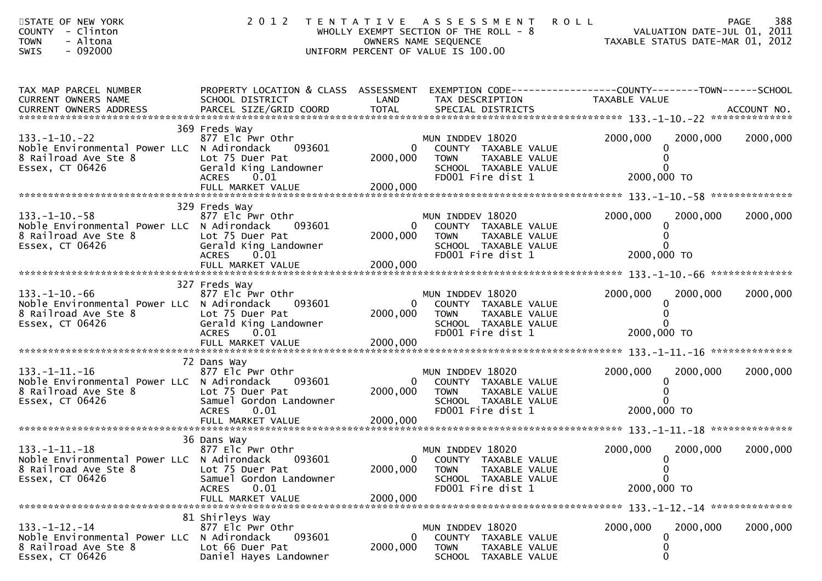| STATE OF NEW YORK<br>COUNTY - Clinton<br><b>TOWN</b><br>- Altona<br>$-092000$<br>SWIS                                                                                                                 | 2012 TENTATIVE ASSESSMENT                                                                                                            | WHOLLY EXEMPT SECTION OF THE ROLL - 8<br>OWNERS NAME SEQUENCE<br>UNIFORM PERCENT OF VALUE IS 100.00 |                                                                                                        | <b>ROLL</b><br>VALUATION DATE-JUL 01, 2011<br>TAXABLE STATUS DATE-MAR 01, 2012 |          | 388<br><b>PAGE</b> |
|-------------------------------------------------------------------------------------------------------------------------------------------------------------------------------------------------------|--------------------------------------------------------------------------------------------------------------------------------------|-----------------------------------------------------------------------------------------------------|--------------------------------------------------------------------------------------------------------|--------------------------------------------------------------------------------|----------|--------------------|
| TAX MAP PARCEL NUMBER<br>CURRENT OWNERS NAME<br>.CURRENT OWNERS ADDRESS PARCEL SIZE/GRID COORD TOTAL SPECIAL DISTRICTS MOTHER ACCOUNT NO ACCOUNT NO AND ARCEL SIZE/GRID COORD TOTAL SPECIAL DISTRICTS | PROPERTY LOCATION & CLASS ASSESSMENT EXEMPTION CODE----------------COUNTY-------TOWN------SCHOOL<br>SCHOOL DISTRICT                  | LAND                                                                                                | TAX DESCRIPTION                                                                                        | TAXABLE VALUE                                                                  |          |                    |
| $133. - 1 - 10. - 22$<br>Noble Environmental Power LLC N Adirondack<br>8 Railroad Ave Ste 8<br>Essex, CT 06426                                                                                        | 369 Freds Way<br>877 Elc Pwr Othr<br>093601<br>Lot 75 Duer Pat<br>Gerald King Landowner<br><b>ACRES</b><br>0.01                      | 0<br>2000,000<br><b>TOWN</b>                                                                        | MUN INDDEV 18020<br>COUNTY TAXABLE VALUE<br>TAXABLE VALUE<br>SCHOOL TAXABLE VALUE<br>FD001 Fire dist 1 | 2000,000<br>2000,000 TO                                                        | 2000,000 | 2000,000           |
| $133. - 1 - 10. - 58$<br>Noble Environmental Power LLC N Adirondack<br>8 Railroad Ave Ste 8<br>Essex, CT 06426                                                                                        | 329 Freds Way<br>877 Elc Pwr Othr<br>093601<br>Lot 75 Duer Pat<br>Gerald King Landowner<br><b>ACRES</b><br>0.01                      | $\mathbf{0}$<br>2000,000<br><b>TOWN</b>                                                             | MUN INDDEV 18020<br>COUNTY TAXABLE VALUE<br>TAXABLE VALUE<br>SCHOOL TAXABLE VALUE<br>FD001 Fire dist 1 | 2000,000<br>0<br>2000,000 TO                                                   | 2000,000 | 2000,000           |
| $133. - 1 - 10. - 66$<br>Noble Environmental Power LLC N Adirondack<br>8 Railroad Ave Ste 8<br>Essex, CT 06426                                                                                        | 327 Freds Way<br>877 Elc Pwr Othr<br>093601<br>Lot 75 Duer Pat<br>Gerald King Landowner<br>0.01<br><b>ACRES</b>                      | 0<br>2000,000<br><b>TOWN</b>                                                                        | MUN INDDEV 18020<br>COUNTY TAXABLE VALUE<br>TAXABLE VALUE<br>SCHOOL TAXABLE VALUE<br>FD001 Fire dist 1 | 2000,000<br>2000,000 TO                                                        | 2000,000 | 2000,000           |
| $133. -1 - 11. -16$<br>Noble Environmental Power LLC N Adirondack<br>8 Railroad Ave Ste 8<br>Essex, CT 06426                                                                                          | 72 Dans Way<br>877 Elc Pwr Othr<br>093601<br>Lot 75 Duer Pat<br>Samuel Gordon Landowner<br>0.01<br><b>ACRES</b>                      | 0<br>2000,000<br><b>TOWN</b>                                                                        | MUN INDDEV 18020<br>COUNTY TAXABLE VALUE<br>TAXABLE VALUE<br>SCHOOL TAXABLE VALUE<br>FD001 Fire dist 1 | 2000,000<br>$\Omega$<br>2000,000 TO                                            | 2000,000 | 2000,000           |
| $133. - 1 - 11. - 18$<br>Noble Environmental Power LLC N Adirondack<br>8 Railroad Ave Ste 8<br>Essex, CT 06426                                                                                        | 36 Dans Way<br>877 Elc Pwr Othr<br>093601<br>Lot 75 Duer Pat<br>Samuel Gordon Landowner<br>0.01<br><b>ACRES</b><br>FULL MARKET VALUE | $\mathbf{0}$<br>2000,000<br><b>TOWN</b><br>2000,000                                                 | MUN INDDEV 18020<br>COUNTY TAXABLE VALUE<br>TAXABLE VALUE<br>SCHOOL TAXABLE VALUE<br>FD001 Fire dist 1 | 2000,000<br>O<br>0<br>$\Omega$<br>2000,000 TO                                  | 2000,000 | 2000,000           |
| $133. - 1 - 12. - 14$<br>Noble Environmental Power LLC N Adirondack<br>8 Railroad Ave Ste 8<br>Essex, CT 06426                                                                                        | 81 Shirleys Way<br>877 Elc Pwr Othr<br>093601<br>Lot 66 Duer Pat<br>Daniel Hayes Landowner                                           | 0<br>2000,000<br><b>TOWN</b>                                                                        | MUN INDDEV 18020<br>COUNTY TAXABLE VALUE<br>TAXABLE VALUE<br>SCHOOL TAXABLE VALUE                      | 2000,000<br>0<br>0<br>$\mathbf{0}$                                             | 2000,000 | 2000,000           |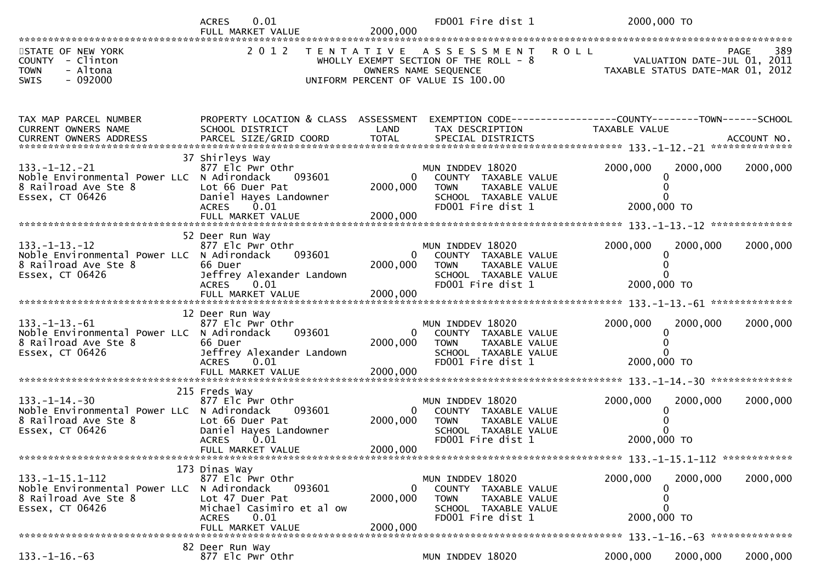|                                                                                                                | 0.01<br><b>ACRES</b>                                                                                                                                     | FD001 Fire dist 1                                                                                                                                               | 2000,000 TO                                                                                          |
|----------------------------------------------------------------------------------------------------------------|----------------------------------------------------------------------------------------------------------------------------------------------------------|-----------------------------------------------------------------------------------------------------------------------------------------------------------------|------------------------------------------------------------------------------------------------------|
| STATE OF NEW YORK<br>COUNTY - Clinton<br><b>TOWN</b><br>- Altona<br>SWIS<br>$-092000$                          | 2 0 1 2                                                                                                                                                  | TENTATIVE ASSESSMENT<br>WHOLLY EXEMPT SECTION OF THE ROLL - 8<br>OWNERS NAME SEQUENCE<br>UNIFORM PERCENT OF VALUE IS 100.00                                     | <b>ROLL</b><br>389<br><b>PAGE</b><br>VALUATION DATE-JUL 01, 2011<br>TAXABLE STATUS DATE-MAR 01, 2012 |
| TAX MAP PARCEL NUMBER<br>CURRENT OWNERS NAME                                                                   | PROPERTY LOCATION & CLASS ASSESSMENT<br>SCHOOL DISTRICT                                                                                                  | LAND<br>TAX DESCRIPTION                                                                                                                                         | EXEMPTION CODE------------------COUNTY--------TOWN------SCHOOL<br>TAXABLE VALUE                      |
| $133. - 1 - 12. - 21$<br>Noble Environmental Power LLC N Adirondack<br>8 Railroad Ave Ste 8<br>Essex, CT 06426 | 37 Shirleys Way<br>877 Elc Pwr Othr<br>093601<br>Lot 66 Duer Pat<br>Daniel Hayes Landowner<br>0.01<br><b>ACRES</b><br>FULL MARKET VALUE                  | MUN INDDEV 18020<br>$\mathbf{0}$<br>COUNTY TAXABLE VALUE<br>2000,000<br><b>TOWN</b><br>TAXABLE VALUE<br>SCHOOL TAXABLE VALUE<br>FD001 Fire dist 1<br>2000,000   | 2000,000<br>2000,000<br>2000,000<br>2000,000 TO                                                      |
| $133. - 1 - 13. - 12$<br>Noble Environmental Power LLC N Adirondack<br>8 Railroad Ave Ste 8<br>Essex, CT 06426 | 52 Deer Run Way<br>877 Elc Pwr Othr<br>093601<br>66 Duer<br>Jeffrey Alexander Landown<br><b>ACRES</b><br>0.01                                            | MUN INDDEV 18020<br>$\mathbf{0}$<br>COUNTY TAXABLE VALUE<br>2000,000<br>TAXABLE VALUE<br><b>TOWN</b><br>SCHOOL TAXABLE VALUE<br>FD001 Fire dist 1               | 2000,000<br>2000,000<br>2000,000<br>2000,000 TO                                                      |
| $133. - 1 - 13. - 61$<br>Noble Environmental Power LLC N Adirondack<br>8 Railroad Ave Ste 8<br>Essex, CT 06426 | 12 Deer Run Way<br>877 Elc Pwr Othr<br>093601<br>66 Duer<br>Jeffrey Alexander Landown<br><b>ACRES</b><br>0.01                                            | MUN INDDEV 18020<br>0<br>COUNTY TAXABLE VALUE<br>2000,000<br><b>TOWN</b><br>TAXABLE VALUE<br>SCHOOL TAXABLE VALUE<br>FD001 Fire dist 1                          | 2000,000<br>2000,000<br>2000,000<br>$\Omega$<br>2000,000 TO                                          |
| $133. - 1 - 14. - 30$<br>Noble Environmental Power LLC N Adirondack<br>8 Railroad Ave Ste 8<br>Essex, CT 06426 | 215 Freds Way<br>877 Elc Pwr Othr<br>093601<br>Lot 66 Duer Pat<br>Daniel Hayes Landowner<br>0.01<br><b>ACRES</b><br>FULL MARKET VALUE                    | MUN INDDEV 18020<br>$\overline{0}$<br>COUNTY TAXABLE VALUE<br>2000,000<br><b>TOWN</b><br>TAXABLE VALUE<br>SCHOOL TAXABLE VALUE<br>FD001 Fire dist 1<br>2000,000 | 2000,000<br>2000,000<br>2000,000<br>2000,000 TO                                                      |
| $133. - 1 - 15.1 - 112$<br>Noble Environmental Power LLC<br>8 Railroad Ave Ste 8<br>Essex, CT 06426            | 173 Dinas Way<br>877 Elc Pwr Othr<br>N Adirondack<br>093601<br>Lot 47 Duer Pat<br>Michael Casimiro et al ow<br>0.01<br><b>ACRES</b><br>FULL MARKET VALUE | MUN INDDEV 18020<br>$\mathbf{0}$<br>COUNTY TAXABLE VALUE<br>2000,000<br><b>TOWN</b><br>TAXABLE VALUE<br>SCHOOL TAXABLE VALUE<br>FD001 Fire dist 1<br>2000,000   | 2000,000<br>2000,000<br>2000,000<br>0<br>2000,000 TO                                                 |
| $133. - 1 - 16. - 63$                                                                                          | 82 Deer Run Way<br>877 Elc Pwr Othr                                                                                                                      | MUN INDDEV 18020                                                                                                                                                | 2000,000<br>2000,000<br>2000,000                                                                     |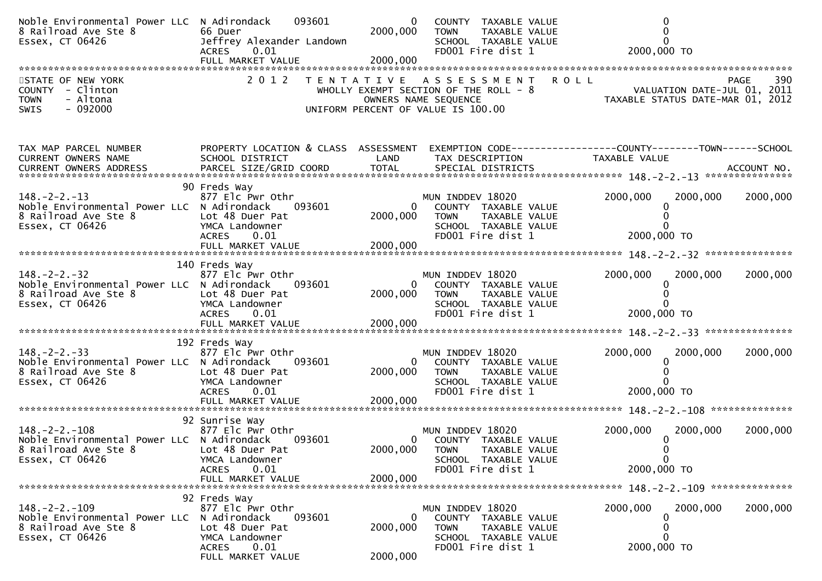| Noble Environmental Power LLC N Adirondack<br>8 Railroad Ave Ste 8<br>Essex, CT 06426                          | 093601<br>66 Duer<br>Jeffrey Alexander Landown<br><b>ACRES</b><br>0.01<br>FULL MARKET VALUE                                                  | $\mathbf{0}$<br>2000,000<br>2000,000 | COUNTY TAXABLE VALUE<br><b>TOWN</b><br>TAXABLE VALUE<br>SCHOOL TAXABLE VALUE<br>FD001 Fire dist 1                                     | $\Omega$<br>2000,000 TO                                                                                           |          |
|----------------------------------------------------------------------------------------------------------------|----------------------------------------------------------------------------------------------------------------------------------------------|--------------------------------------|---------------------------------------------------------------------------------------------------------------------------------------|-------------------------------------------------------------------------------------------------------------------|----------|
| STATE OF NEW YORK<br>COUNTY - Clinton<br><b>TOWN</b><br>- Altona<br>$-092000$<br><b>SWIS</b>                   | 2 0 1 2                                                                                                                                      |                                      | TENTATIVE ASSESSMENT ROLL<br>WHOLLY EXEMPT SECTION OF THE ROLL - 8<br>OWNERS NAME SEQUENCE<br>UNIFORM PERCENT OF VALUE IS 100.00      | PAGE<br>VALUATION DATE-JUL 01, 2011<br>TAXABLE STATUS DATE-MAR 01, 2012                                           | 390      |
| TAX MAP PARCEL NUMBER<br>CURRENT OWNERS NAME                                                                   | SCHOOL DISTRICT                                                                                                                              | LAND                                 | TAX DESCRIPTION                                                                                                                       | PROPERTY LOCATION & CLASS ASSESSMENT EXEMPTION CODE----------------COUNTY-------TOWN------SCHOOL<br>TAXABLE VALUE |          |
| $148. - 2 - 2. - 13$<br>Noble Environmental Power LLC N Adirondack<br>8 Railroad Ave Ste 8<br>Essex, CT 06426  | 90 Freds Way<br>877 Elc Pwr Othr<br>093601<br>Lot 48 Duer Pat<br>YMCA Landowner<br><b>ACRES</b><br>0.01                                      | 2000,000                             | MUN INDDEV 18020<br>COUNTY TAXABLE VALUE<br>$\mathbf{0}$<br><b>TOWN</b><br>TAXABLE VALUE<br>SCHOOL TAXABLE VALUE<br>FD001 Fire dist 1 | 2000,000<br>2000,000<br>2000,000 TO                                                                               | 2000,000 |
| $148. - 2 - 2. - 32$<br>Noble Environmental Power LLC N Adirondack<br>8 Railroad Ave Ste 8<br>Essex, CT 06426  | 140 Freds Way<br>877 Elc Pwr Othr<br>093601<br>Lot 48 Duer Pat<br>YMCA Landowner<br>ACRES 0.01<br>FULL MARKET VALUE                          | 2000,000<br>2000,000                 | MUN INDDEV 18020<br>$\mathbf{0}$<br>COUNTY TAXABLE VALUE<br><b>TOWN</b><br>TAXABLE VALUE<br>SCHOOL TAXABLE VALUE<br>FD001 Fire dist 1 | 2000,000<br>2000,000<br>2000,000 TO                                                                               | 2000,000 |
|                                                                                                                |                                                                                                                                              |                                      |                                                                                                                                       |                                                                                                                   |          |
| $148. - 2 - 2. - 33$<br>Noble Environmental Power LLC N Adirondack<br>8 Railroad Ave Ste 8<br>Essex, CT 06426  | 192 Freds Way<br>877 Elc Pwr Othr<br>093601<br>Lot 48 Duer Pat<br>YMCA Landowner<br>ACRES 0.01                                               | 2000,000                             | MUN INDDEV 18020<br>COUNTY TAXABLE VALUE<br>0<br>TAXABLE VALUE<br><b>TOWN</b><br>SCHOOL TAXABLE VALUE<br>FD001 Fire dist 1            | 2000,000<br>2000,000<br>2000,000 TO                                                                               | 2000,000 |
|                                                                                                                |                                                                                                                                              |                                      |                                                                                                                                       |                                                                                                                   |          |
|                                                                                                                | 92 Sunrise Way                                                                                                                               |                                      |                                                                                                                                       |                                                                                                                   |          |
| $148. - 2 - 2. - 108$<br>Noble Environmental Power LLC N Adirondack<br>8 Railroad Ave Ste 8<br>Essex, CT 06426 | 877 Elc Pwr Othr<br>093601<br>Lot 48 Duer Pat<br>YMCA Landowner<br>0.01<br><b>ACRES</b>                                                      | 2000,000                             | MUN INDDEV 18020<br>COUNTY TAXABLE VALUE<br>$\mathbf{0}$<br><b>TOWN</b><br>TAXABLE VALUE<br>SCHOOL TAXABLE VALUE<br>FD001 Fire dist 1 | 2000,000<br>2000,000<br>$\mathbf 0$<br>2000,000 TO                                                                | 2000,000 |
|                                                                                                                | FULL MARKET VALUE                                                                                                                            | 2000,000                             |                                                                                                                                       |                                                                                                                   |          |
| $148. - 2 - 2. - 109$<br>Noble Environmental Power LLC<br>8 Railroad Ave Ste 8<br>Essex, CT 06426              | 92 Freds Way<br>877 Elc Pwr Othr<br>N Adirondack<br>093601<br>Lot 48 Duer Pat<br>YMCA Landowner<br><b>ACRES</b><br>0.01<br>FULL MARKET VALUE | $\bf{0}$<br>2000,000<br>2000,000     | MUN INDDEV 18020<br>COUNTY TAXABLE VALUE<br>TAXABLE VALUE<br><b>TOWN</b><br>SCHOOL TAXABLE VALUE<br>FD001 Fire dist 1                 | 2000,000<br>2000,000<br>0<br>0<br>2000,000 TO                                                                     | 2000,000 |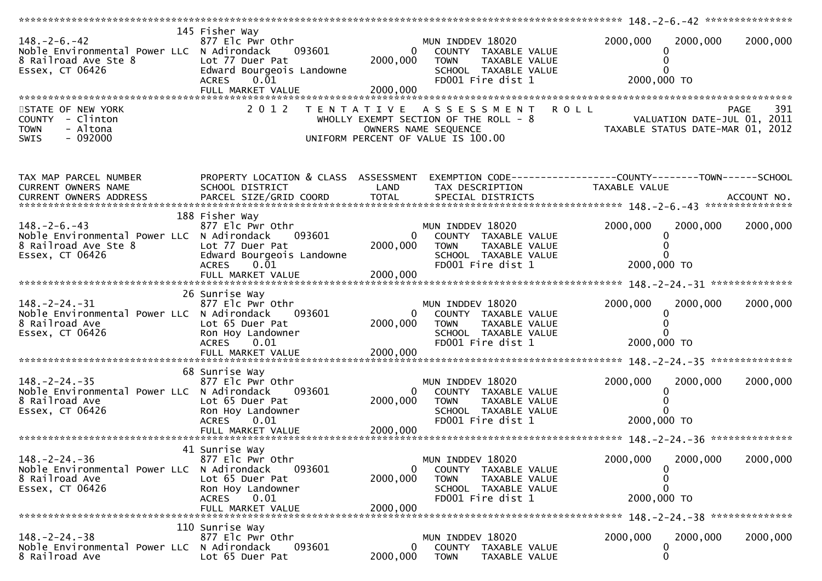| $148. - 2 - 6. - 42$<br>Noble Environmental Power LLC N Adirondack<br>8 Railroad Ave Ste 8<br>Essex, CT 06426 | 145 Fisher Way<br>877 Elc Pwr Othr<br>093601<br>Lot 77 Duer Pat<br>Edward Bourgeois Landowne<br>$0.\overline{0}1$<br><b>ACRES</b> | 2000,000                         | MUN INDDEV 18020<br>0<br>COUNTY TAXABLE VALUE<br><b>TOWN</b><br>TAXABLE VALUE<br>SCHOOL TAXABLE VALUE<br>FD001 Fire dist 1   | 2000,000<br>0<br>2000,000 TO                                                   | 2000,000<br>2000,000 |
|---------------------------------------------------------------------------------------------------------------|-----------------------------------------------------------------------------------------------------------------------------------|----------------------------------|------------------------------------------------------------------------------------------------------------------------------|--------------------------------------------------------------------------------|----------------------|
|                                                                                                               |                                                                                                                                   |                                  |                                                                                                                              |                                                                                |                      |
| STATE OF NEW YORK<br>COUNTY - Clinton<br>- Altona<br><b>TOWN</b><br>$-092000$<br>SWIS                         | 2 0 1 2                                                                                                                           |                                  | TENTATIVE ASSESSMENT<br>WHOLLY EXEMPT SECTION OF THE ROLL $-8$<br>OWNERS NAME SEQUENCE<br>UNIFORM PERCENT OF VALUE IS 100.00 | <b>ROLL</b><br>VALUATION DATE-JUL 01, 2011<br>TAXABLE STATUS DATE-MAR 01, 2012 | 391<br><b>PAGE</b>   |
| TAX MAP PARCEL NUMBER<br>CURRENT OWNERS NAME<br>CURRENT OWNERS ADDRESS                                        | PROPERTY LOCATION & CLASS ASSESSMENT<br>SCHOOL DISTRICT                                                                           | LAND                             | EXEMPTION CODE------------------COUNTY--------TOWN------SCHOOL<br>TAX DESCRIPTION                                            | TAXABLE VALUE                                                                  |                      |
|                                                                                                               | 188 Fisher Way                                                                                                                    |                                  |                                                                                                                              |                                                                                |                      |
| $148. - 2 - 6. - 43$<br>Noble Environmental Power LLC N Adirondack<br>8 Railroad Ave Ste 8<br>Essex, CT 06426 | 877 Elc Pwr Othr<br>093601<br>Lot 77 Duer Pat<br>Edward Bourgeois Landowne<br>0.Ō1<br><b>ACRES</b>                                | $\mathbf{0}$<br>2000,000         | MUN INDDEV 18020<br>COUNTY TAXABLE VALUE<br><b>TOWN</b><br>TAXABLE VALUE<br>SCHOOL TAXABLE VALUE<br>FD001 Fire dist 1        | 2000,000<br>2000,000 TO                                                        | 2000,000<br>2000,000 |
|                                                                                                               | FULL MARKET VALUE                                                                                                                 | 2000,000                         |                                                                                                                              |                                                                                |                      |
|                                                                                                               |                                                                                                                                   |                                  |                                                                                                                              |                                                                                |                      |
| $148. - 2 - 24. - 31$<br>Noble Environmental Power LLC N Adirondack<br>8 Railroad Ave<br>Essex, CT 06426      | 26 Sunrise Way<br>877 Elc Pwr Othr<br>093601<br>Lot 65 Duer Pat<br>Ron Hoy Landowner<br>ACRES 0.01                                | $\bf{0}$<br>2000,000             | MUN INDDEV 18020<br>COUNTY TAXABLE VALUE<br><b>TOWN</b><br>TAXABLE VALUE<br>SCHOOL TAXABLE VALUE<br>FD001 Fire dist 1        | 2000,000<br>0<br>2000,000 TO                                                   | 2000,000<br>2000,000 |
|                                                                                                               | FULL MARKET VALUE                                                                                                                 | 2000,000                         |                                                                                                                              |                                                                                |                      |
| $148. - 2 - 24. - 35$<br>Noble Environmental Power LLC N Adirondack<br>8 Railroad Ave<br>Essex, CT 06426      | 68 Sunrise Way<br>877 Elc Pwr Othr<br>093601<br>Lot 65 Duer Pat<br>Ron Hoy Landowner<br><b>ACRES</b><br>0.01                      | $\Omega$<br>2000,000             | MUN INDDEV 18020<br>COUNTY TAXABLE VALUE<br><b>TOWN</b><br>TAXABLE VALUE<br>SCHOOL TAXABLE VALUE<br>FD001 Fire dist 1        | 2000,000<br>$\Omega$<br>2000,000 TO                                            | 2000,000<br>2000,000 |
|                                                                                                               | 41 Sunrise Way                                                                                                                    |                                  |                                                                                                                              |                                                                                |                      |
| $148. - 2 - 24. - 36$<br>Noble Environmental Power LLC N Adirondack<br>8 Railroad Ave<br>Essex, CT 06426      | 877 Elc Pwr Othr<br>093601<br>Lot 65 Duer Pat<br>Ron Hoy Landowner<br>0.01<br>ACRES<br>FULL MARKET VALUE                          | $\bf{0}$<br>2000,000<br>2000,000 | MUN INDDEV 18020<br>COUNTY TAXABLE VALUE<br><b>TOWN</b><br>TAXABLE VALUE<br>SCHOOL TAXABLE VALUE<br>FD001 Fire dist 1        | 2000,000<br>$\Omega$<br>0<br>$\Omega$<br>2000,000 TO                           | 2000,000<br>2000,000 |
|                                                                                                               |                                                                                                                                   |                                  |                                                                                                                              |                                                                                |                      |
| $148. - 2 - 24. - 38$<br>Noble Environmental Power LLC N Adirondack<br>8 Railroad Ave                         | 110 Sunrise Way<br>877 Elc Pwr Othr<br>093601<br>Lot 65 Duer Pat                                                                  | $\overline{0}$<br>2000,000       | MUN INDDEV 18020<br>COUNTY TAXABLE VALUE<br><b>TOWN</b><br>TAXABLE VALUE                                                     | 2000,000<br>0<br>0                                                             | 2000,000<br>2000,000 |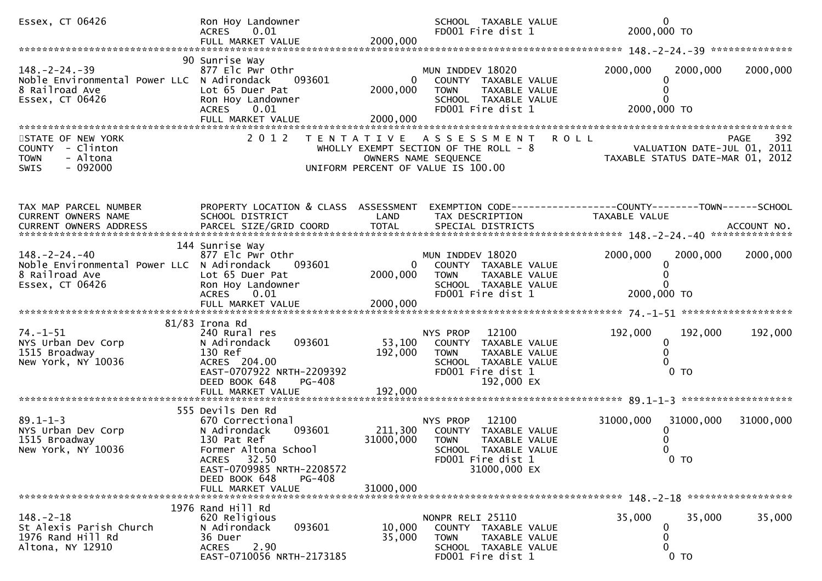| Essex, CT 06426                                                                                          | Ron Hoy Landowner<br>ACRES 0.01<br>FULL MARKET VALUE                                                                                                                                 | 2000,000                               | SCHOOL TAXABLE VALUE<br>FD001 Fire dist 1                                                                                                    |               | 0<br>2000,000 TO                                                                      |
|----------------------------------------------------------------------------------------------------------|--------------------------------------------------------------------------------------------------------------------------------------------------------------------------------------|----------------------------------------|----------------------------------------------------------------------------------------------------------------------------------------------|---------------|---------------------------------------------------------------------------------------|
|                                                                                                          |                                                                                                                                                                                      |                                        |                                                                                                                                              |               |                                                                                       |
| $148. - 2 - 24. - 39$<br>Noble Environmental Power LLC N Adirondack<br>8 Railroad Ave<br>Essex, CT 06426 | 90 Sunrise Way<br>877 Elc Pwr Othr<br>093601<br>Lot 65 Duer Pat<br>Ron Hoy Landowner<br>0.01<br><b>ACRES</b><br>FULL MARKET VALUE                                                    | 0<br>2000,000<br>2000,000              | MUN INDDEV 18020<br>COUNTY TAXABLE VALUE<br><b>TOWN</b><br>TAXABLE VALUE<br>SCHOOL TAXABLE VALUE<br>FD001 Fire dist 1                        | 2000,000      | 2000,000<br>2000,000<br>2000,000 TO                                                   |
| STATE OF NEW YORK<br>COUNTY - Clinton<br>- Altona<br><b>TOWN</b><br>$-092000$<br><b>SWIS</b>             | 2 0 1 2<br>T E N T A T I V E                                                                                                                                                         | OWNERS NAME SEQUENCE                   | A S S E S S M E N T<br>WHOLLY EXEMPT SECTION OF THE ROLL - 8<br>UNIFORM PERCENT OF VALUE IS 100.00                                           | <b>ROLL</b>   | 392<br><b>PAGE</b><br>VALUATION DATE-JUL 01, 2011<br>TAXABLE STATUS DATE-MAR 01, 2012 |
| TAX MAP PARCEL NUMBER<br>CURRENT OWNERS NAME                                                             | PROPERTY LOCATION & CLASS ASSESSMENT EXEMPTION CODE----------------COUNTY-------TOWN------SCHOOL<br>SCHOOL DISTRICT<br>144 Sunrise Way                                               | LAND                                   | TAX DESCRIPTION                                                                                                                              | TAXABLE VALUE |                                                                                       |
| $148. - 2 - 24. - 40$<br>Noble Environmental Power LLC N Adirondack<br>8 Railroad Ave<br>Essex, CT 06426 | 877 Elc Pwr Othr<br>093601<br>Lot 65 Duer Pat<br>Ron Hoy Landowner<br>ACRES 0.01<br>FULL MARKET VALUE                                                                                | $\overline{0}$<br>2000,000<br>2000,000 | MUN INDDEV 18020<br>COUNTY TAXABLE VALUE<br>TAXABLE VALUE<br><b>TOWN</b><br>SCHOOL TAXABLE VALUE<br>FD001 Fire dist 1                        | 2000,000      | 2000,000<br>2000,000<br>2000,000 TO                                                   |
|                                                                                                          |                                                                                                                                                                                      |                                        |                                                                                                                                              |               |                                                                                       |
| $74. - 1 - 51$<br>NYS Urban Dev Corp<br>1515 Broadway<br>New York, NY 10036                              | 81/83 Irona Rd<br>240 Rural res<br>093601<br>N Adirondack<br>130 Ref<br>ACRES 204.00<br>EAST-0707922 NRTH-2209392<br>DEED BOOK 648<br>PG-408<br>FULL MARKET VALUE                    | 53,100<br>192,000<br>192,000           | 12100<br>NYS PROP<br>COUNTY TAXABLE VALUE<br>TAXABLE VALUE<br>TOWN<br>SCHOOL TAXABLE VALUE<br>FD001 Fire dist 1<br>192,000 EX                | 192,000       | 192,000<br>192,000<br>0<br>0 <sub>T</sub>                                             |
|                                                                                                          |                                                                                                                                                                                      |                                        |                                                                                                                                              |               |                                                                                       |
| $89.1 - 1 - 3$<br>NYS Urban Dev Corp<br>1515 Broadway<br>New York, NY 10036                              | 555 Devils Den Rd<br>670 Correctional<br>093601<br>N Adirondack<br>130 Pat Ref<br>Former Altona School<br>ACRES 32.50<br>EAST-0709985 NRTH-2208572<br>DEED BOOK 648<br><b>PG-408</b> | 211,300<br>31000,000                   | 12100<br>NYS PROP<br>COUNTY<br>TAXABLE VALUE<br><b>TOWN</b><br>TAXABLE VALUE<br>SCHOOL<br>TAXABLE VALUE<br>FD001 Fire dist 1<br>31000,000 EX | 31000,000     | 31000,000<br>31000,000<br>0 <sub>T</sub>                                              |
|                                                                                                          | FULL MARKET VALUE                                                                                                                                                                    | 31000,000                              |                                                                                                                                              |               |                                                                                       |
| $148. - 2 - 18$<br>St Alexis Parish Church<br>1976 Rand Hill Rd<br>Altona, NY 12910                      | 1976 Rand Hill Rd<br>620 Religious<br>093601<br>N Adirondack<br>36 Duer<br>2.90<br><b>ACRES</b><br>EAST-0710056 NRTH-2173185                                                         | 10,000<br>35,000                       | NONPR RELI 25110<br>COUNTY TAXABLE VALUE<br>TAXABLE VALUE<br><b>TOWN</b><br>SCHOOL TAXABLE VALUE<br>FD001 Fire dist 1                        | 35,000        | 35,000<br>35,000<br>O<br>0<br>0 <sub>T</sub>                                          |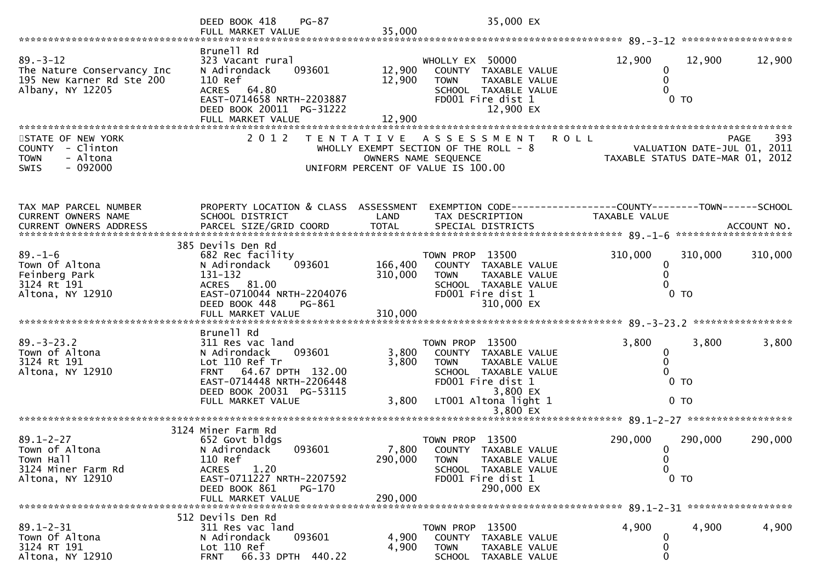|                                                                                                        | $PG-87$<br>DEED BOOK 418                                                                                                                                                                     |                            | 35,000 EX                                                                                                                                                               |                                   |                                                                                       |
|--------------------------------------------------------------------------------------------------------|----------------------------------------------------------------------------------------------------------------------------------------------------------------------------------------------|----------------------------|-------------------------------------------------------------------------------------------------------------------------------------------------------------------------|-----------------------------------|---------------------------------------------------------------------------------------|
|                                                                                                        | FULL MARKET VALUE                                                                                                                                                                            | 35,000                     |                                                                                                                                                                         |                                   |                                                                                       |
| $89. - 3 - 12$<br>The Nature Conservancy Inc<br>195 New Karner Rd Ste 200<br>Albany, NY 12205          | Brunell Rd<br>323 Vacant rural<br>093601<br>N Adirondack<br>110 Ref<br><b>ACRES</b><br>64.80<br>EAST-0714658 NRTH-2203887<br>DEED BOOK 20011 PG-31222<br>FULL MARKET VALUE                   | 12,900<br>12,900<br>12,900 | WHOLLY EX 50000<br>COUNTY TAXABLE VALUE<br><b>TOWN</b><br>TAXABLE VALUE<br>SCHOOL TAXABLE VALUE<br>FD001 Fire dist 1<br>12,900 EX                                       | 12,900<br>0                       | 12,900<br>12,900<br>0 <sub>T</sub>                                                    |
| STATE OF NEW YORK<br><b>COUNTY</b><br>- Clinton<br>- Altona<br><b>TOWN</b><br>$-092000$<br><b>SWIS</b> | 2 0 1 2                                                                                                                                                                                      |                            | TENTATIVE ASSESSMENT<br>WHOLLY EXEMPT SECTION OF THE ROLL - 8<br>OWNERS NAME SEQUENCE<br>UNIFORM PERCENT OF VALUE IS 100.00                                             | <b>ROLL</b>                       | 393<br><b>PAGE</b><br>VALUATION DATE-JUL 01, 2011<br>TAXABLE STATUS DATE-MAR 01, 2012 |
| TAX MAP PARCEL NUMBER<br>CURRENT OWNERS NAME                                                           | PROPERTY LOCATION & CLASS ASSESSMENT<br>SCHOOL DISTRICT                                                                                                                                      | LAND                       | EXEMPTION CODE------------------COUNTY--------TOWN------SCHOOL<br>TAX DESCRIPTION                                                                                       | TAXABLE VALUE                     | ACCOUNT NO.<br>********************                                                   |
| $89. - 1 - 6$<br>Town Of Altona<br>Feinberg Park<br>3124 Rt 191<br>Altona, NY 12910                    | 385 Devils Den Rd<br>682 Rec facility<br>093601<br>N Adirondack<br>131-132<br>ACRES 81.00<br>EAST-0710044 NRTH-2204076<br>DEED BOOK 448<br>PG-861                                            | 166,400<br>310,000         | TOWN PROP 13500<br>COUNTY<br>TAXABLE VALUE<br><b>TOWN</b><br>TAXABLE VALUE<br>SCHOOL TAXABLE VALUE<br>FD001 Fire dist 1<br>310,000 EX                                   | 310,000<br>0                      | 310,000<br>310,000<br>$0$ TO                                                          |
|                                                                                                        |                                                                                                                                                                                              |                            |                                                                                                                                                                         |                                   | *****************                                                                     |
| $89. - 3 - 23.2$<br>Town of Altona<br>3124 Rt 191<br>Altona, NY 12910                                  | Brunell Rd<br>311 Res vac land<br>N Adirondack<br>093601<br>Lot 110 Ref Tr<br>64.67 DPTH 132.00<br><b>FRNT</b><br>EAST-0714448 NRTH-2206448<br>DEED BOOK 20031 PG-53115<br>FULL MARKET VALUE | 3,800<br>3,800<br>3,800    | TOWN PROP 13500<br>COUNTY<br>TAXABLE VALUE<br><b>TOWN</b><br>TAXABLE VALUE<br>SCHOOL TAXABLE VALUE<br>FD001 Fire dist 1<br>3,800 EX<br>LT001 Altona light 1<br>3,800 EX | 3,800<br>0<br>0                   | 3,800<br>3,800<br>$0$ TO<br>0 <sub>T</sub>                                            |
|                                                                                                        |                                                                                                                                                                                              |                            |                                                                                                                                                                         |                                   |                                                                                       |
| $89.1 - 2 - 27$<br>Town of Altona<br>Town Hall<br>3124 Miner Farm Rd<br>Altona, NY 12910               | 3124 Miner Farm Rd<br>652 Govt bldgs<br>N Adirondack<br>093601<br>110 Ref<br>1.20<br><b>ACRES</b><br>EAST-0711227 NRTH-2207592<br>DEED BOOK 861<br>PG-170                                    | 7,800<br>290,000           | TOWN PROP 13500<br>COUNTY TAXABLE VALUE<br>TAXABLE VALUE<br><b>TOWN</b><br>SCHOOL TAXABLE VALUE<br>FD001 Fire dist 1<br>290,000 EX                                      | 290,000<br>$\mathbf{0}$<br>0<br>0 | 290,000<br>290,000<br>$0$ TO                                                          |
|                                                                                                        | FULL MARKET VALUE                                                                                                                                                                            | 290,000                    |                                                                                                                                                                         |                                   |                                                                                       |
| $89.1 - 2 - 31$<br>Town Of Altona<br>3124 RT 191<br>Altona, NY 12910                                   | 512 Devils Den Rd<br>311 Res vac land<br>093601<br>N Adirondack<br>Lot 110 Ref<br>66.33 DPTH 440.22<br><b>FRNT</b>                                                                           | 4,900<br>4,900             | TOWN PROP 13500<br>COUNTY<br>TAXABLE VALUE<br><b>TOWN</b><br>TAXABLE VALUE<br><b>SCHOOL</b><br>TAXABLE VALUE                                                            | 4,900<br>0<br>0                   | 4,900<br>4,900                                                                        |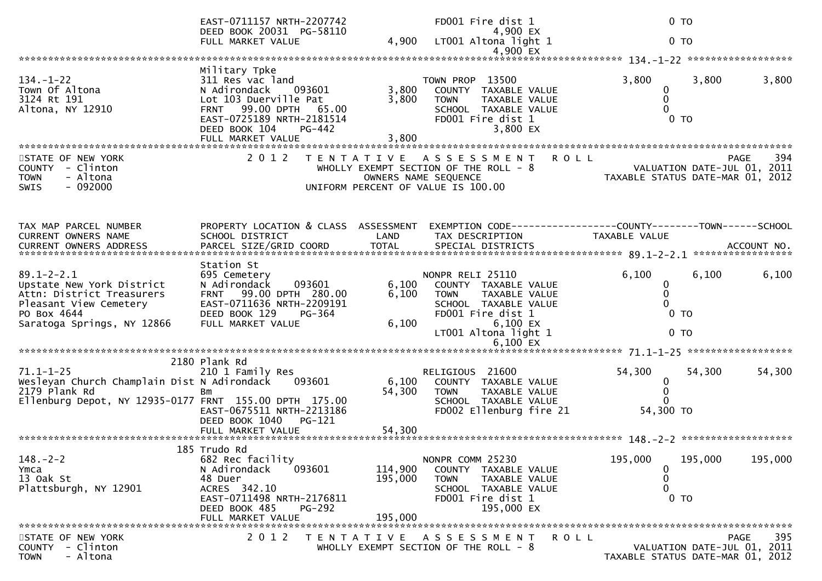|                                                                                       | EAST-0711157 NRTH-2207742<br>DEED BOOK 20031 PG-58110                                                                                                                           |                    | FD001 Fire dist 1<br>4,900 EX                                                                                                    | 0 <sub>T</sub>                                |                                                                                       |
|---------------------------------------------------------------------------------------|---------------------------------------------------------------------------------------------------------------------------------------------------------------------------------|--------------------|----------------------------------------------------------------------------------------------------------------------------------|-----------------------------------------------|---------------------------------------------------------------------------------------|
|                                                                                       | FULL MARKET VALUE                                                                                                                                                               | 4,900              | LT001 Altona light 1                                                                                                             | 0 <sub>T</sub>                                |                                                                                       |
|                                                                                       |                                                                                                                                                                                 |                    | 4,900 EX                                                                                                                         |                                               |                                                                                       |
| $134. - 1 - 22$<br>Town Of Altona<br>3124 Rt 191<br>Altona, NY 12910                  | Military Tpke<br>311 Res vac land<br>N Adirondack<br>093601<br>Lot 103 Duerville Pat<br>99.00 DPTH 65.00<br><b>FRNT</b><br>EAST-0725189 NRTH-2181514<br>DEED BOOK 104<br>PG-442 | 3,800<br>3,800     | TOWN PROP 13500<br>COUNTY TAXABLE VALUE<br><b>TOWN</b><br>TAXABLE VALUE<br>SCHOOL TAXABLE VALUE<br>FD001 Fire dist 1<br>3,800 EX | 3,800<br>0<br>0<br>$\Omega$<br>0 <sub>T</sub> | 3,800<br>3,800                                                                        |
|                                                                                       |                                                                                                                                                                                 |                    |                                                                                                                                  |                                               |                                                                                       |
| STATE OF NEW YORK<br>COUNTY - Clinton<br>- Altona<br><b>TOWN</b><br>$-092000$<br>SWIS | 2 0 1 2                                                                                                                                                                         |                    | TENTATIVE ASSESSMENT<br>WHOLLY EXEMPT SECTION OF THE ROLL - 8<br>OWNERS NAME SEQUENCE<br>UNIFORM PERCENT OF VALUE IS 100.00      | <b>ROLL</b>                                   | 394<br>PAGE<br>VALUATION DATE-JUL 01, 2011<br>TAXABLE STATUS DATE-MAR 01, 2012        |
| TAX MAP PARCEL NUMBER                                                                 | PROPERTY LOCATION & CLASS ASSESSMENT                                                                                                                                            |                    |                                                                                                                                  |                                               |                                                                                       |
| <b>CURRENT OWNERS NAME</b>                                                            | SCHOOL DISTRICT                                                                                                                                                                 | LAND               | TAX DESCRIPTION                                                                                                                  | <b>TAXABLE VALUE</b>                          |                                                                                       |
|                                                                                       |                                                                                                                                                                                 |                    |                                                                                                                                  |                                               |                                                                                       |
| $89.1 - 2 - 2.1$<br>Upstate New York District<br>Attn: District Treasurers            | Station St<br>695 Cemetery<br>093601<br>N Adirondack<br>FRNT 99.00 DPTH 280.00                                                                                                  | 6,100<br>6,100     | NONPR RELI 25110<br>COUNTY TAXABLE VALUE<br><b>TOWN</b><br>TAXABLE VALUE                                                         | 6,100<br>0<br>0                               | 6,100<br>6,100                                                                        |
| Pleasant View Cemetery<br>PO Box 4644                                                 | EAST-0711636 NRTH-2209191<br>DEED BOOK 129<br>PG-364                                                                                                                            |                    | SCHOOL TAXABLE VALUE<br>FD001 Fire dist 1                                                                                        | $\Omega$<br>0 <sub>T</sub>                    |                                                                                       |
| Saratoga Springs, NY 12866                                                            | FULL MARKET VALUE                                                                                                                                                               | 6,100              | 6,100 EX<br>LT001 Altona light 1                                                                                                 | 0 <sub>T</sub>                                |                                                                                       |
|                                                                                       |                                                                                                                                                                                 |                    | $6,100$ EX                                                                                                                       |                                               |                                                                                       |
| $71.1 - 1 - 25$<br>Wesleyan Church Champlain Dist N Adirondack                        | 2180 Plank Rd<br>210 1 Family Res<br>093601                                                                                                                                     | 6,100              | RELIGIOUS 21600<br>COUNTY TAXABLE VALUE                                                                                          | 54,300<br>0                                   | 54,300<br>54,300                                                                      |
| 2179 Plank Rd<br>Ellenburg Depot, NY 12935-0177 FRNT 155.00 DPTH 175.00               | Bm<br>EAST-0675511 NRTH-2213186                                                                                                                                                 | 54,300             | <b>TOWN</b><br>TAXABLE VALUE<br>SCHOOL TAXABLE VALUE<br>FD002 Ellenburg fire 21                                                  | $\mathbf{0}$<br>$\Omega$<br>54,300 TO         |                                                                                       |
|                                                                                       | DEED BOOK 1040<br>$PG-121$                                                                                                                                                      |                    |                                                                                                                                  |                                               |                                                                                       |
|                                                                                       | 185 Trudo Rd                                                                                                                                                                    |                    |                                                                                                                                  |                                               |                                                                                       |
| $148. - 2 - 2$<br>Ymca<br>13 Oak St<br>Plattsburgh, NY 12901                          | 682 Rec facility<br>N Adirondack<br>093601<br>48 Duer<br>ACRES 342.10                                                                                                           | 114,900<br>195,000 | NONPR COMM 25230<br><b>COUNTY</b><br>TAXABLE VALUE<br><b>TOWN</b><br>TAXABLE VALUE<br>SCHOOL TAXABLE VALUE                       | 195,000<br>0<br>0<br>0                        | 195,000<br>195,000                                                                    |
|                                                                                       | EAST-0711498 NRTH-2176811<br>DEED BOOK 485<br><b>PG-292</b><br>FULL MARKET VALUE                                                                                                | 195,000            | FD001 Fire dist 1<br>195,000 EX                                                                                                  | $0$ TO                                        |                                                                                       |
|                                                                                       |                                                                                                                                                                                 |                    |                                                                                                                                  |                                               |                                                                                       |
| STATE OF NEW YORK<br>COUNTY - Clinton<br>- Altona<br><b>TOWN</b>                      | 2 0 1 2                                                                                                                                                                         |                    | TENTATIVE ASSESSMENT<br>WHOLLY EXEMPT SECTION OF THE ROLL - 8                                                                    | <b>ROLL</b>                                   | 395<br><b>PAGE</b><br>VALUATION DATE-JUL 01, 2011<br>TAXABLE STATUS DATE-MAR 01, 2012 |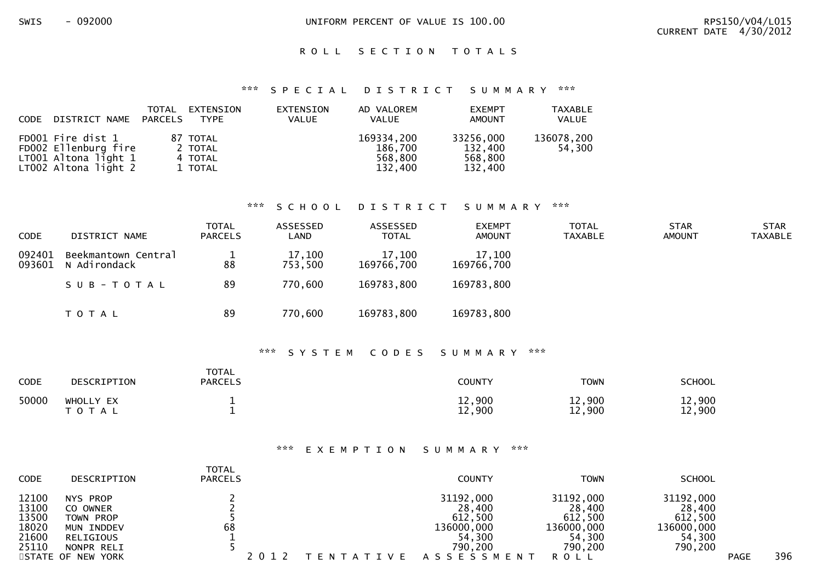SWIS - 092000 CONTROLLERY UNIFORM PERCENT OF VALUE IS 100.00

## ROLL SECTION TOTALS

#### \*\*\* S P E C I A L D I S T R I C T S U M M A R Y \*\*\*

| CODE | DISTRICT NAME PARCELS                                                                     | TOTAL | EXTENSION<br>TYPE                         | EXTENSION<br><b>VALUE</b> | AD VALOREM<br><b>VALUE</b>                  | <b>EXEMPT</b><br>AMOUNT                    | <b>TAXABLE</b><br>VALUE |
|------|-------------------------------------------------------------------------------------------|-------|-------------------------------------------|---------------------------|---------------------------------------------|--------------------------------------------|-------------------------|
|      | FD001 Fire dist 1<br>FD002 Ellenburg fire<br>LT001 Altona light 1<br>LT002 Altona light 2 |       | 87 TOTAL<br>2 TOTAL<br>4 TOTAL<br>1 TOTAL |                           | 169334,200<br>186,700<br>568,800<br>132,400 | 33256,000<br>132,400<br>568,800<br>132,400 | 136078,200<br>54.300    |

#### \*\*\* S C H O O L D I S T R I C T S U M M A R Y \*\*\*

| <b>CODE</b> | DISTRICT NAME                              | <b>TOTAL</b><br>PARCELS | ASSESSED<br>LAND  | ASSESSED<br><b>TOTAL</b> | <b>EXEMPT</b><br><b>AMOUNT</b> | TOTAL<br><b>TAXABLE</b> | <b>STAR</b><br><b>AMOUNT</b> | <b>STAR</b><br><b>TAXABLE</b> |
|-------------|--------------------------------------------|-------------------------|-------------------|--------------------------|--------------------------------|-------------------------|------------------------------|-------------------------------|
| 092401      | Beekmantown Central<br>093601 N Adirondack | 88                      | 17,100<br>753,500 | 17,100<br>169766,700     | 17,100<br>169766,700           |                         |                              |                               |
|             | SUB-TOTAL                                  | 89                      | 770,600           | 169783,800               | 169783,800                     |                         |                              |                               |
|             | T O T A L                                  | 89                      | 770,600           | 169783,800               | 169783,800                     |                         |                              |                               |

#### \*\*\* S Y S T E M C O D E S S U M M A R Y \*\*\*

| CODE  | <b>DESCRIPTION</b>        | <b>TOTAL</b><br><b>PARCELS</b> | <b>COUNTY</b>    | <b>TOWN</b>      | <b>SCHOOL</b>            |
|-------|---------------------------|--------------------------------|------------------|------------------|--------------------------|
| 50000 | WHOLLY EX<br>тот<br>- A L |                                | 12,900<br>12,900 | 12,900<br>12,900 | ,900<br>┸᠘<br>,900<br>12 |

### \*\*\* E X E M P T I O N S U M M A R Y \*\*\*

| <b>CODE</b>                               | DESCRIPTION                                                  | <b>TOTAL</b><br><b>PARCELS</b> |                   | <b>COUNTY</b>                                          | <b>TOWN</b>                                            | <b>SCHOOL</b>                                          |             |     |
|-------------------------------------------|--------------------------------------------------------------|--------------------------------|-------------------|--------------------------------------------------------|--------------------------------------------------------|--------------------------------------------------------|-------------|-----|
| 12100<br>13100<br>13500<br>18020<br>21600 | NYS PROP<br>CO OWNER<br>TOWN PROP<br>MUN INDDEV<br>RELIGIOUS | 68                             |                   | 31192,000<br>28,400<br>612,500<br>136000,000<br>54,300 | 31192,000<br>28,400<br>612,500<br>136000,000<br>54,300 | 31192,000<br>28,400<br>612,500<br>136000,000<br>54,300 |             |     |
| 25110                                     | NONPR RELI<br>STATE OF NEW YORK                              |                                | T E N T A T I V E | 790,200<br>A S S E S S M E N T                         | 790,200<br>ROLL                                        | 790,200                                                | <b>PAGE</b> | 396 |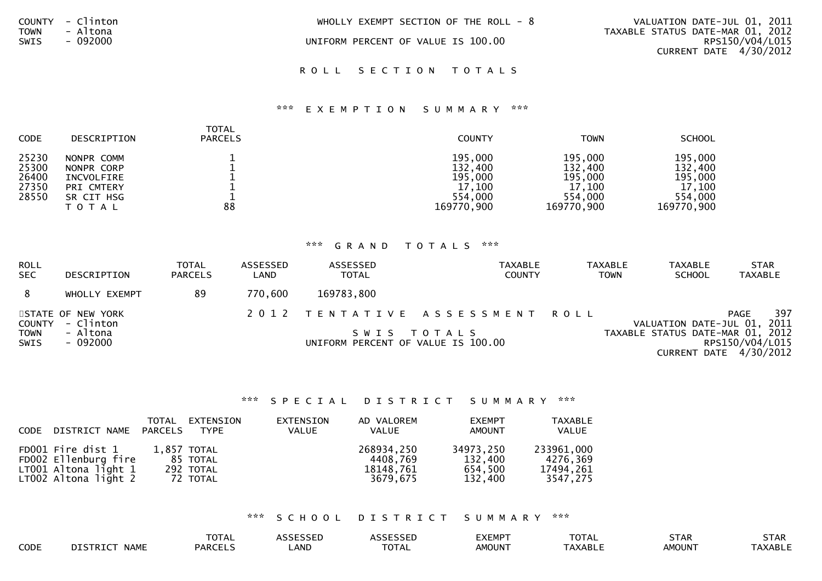|             | COUNTY - Clinton | WHOLLY EXEMPT SECTION OF THE ROLL $-8$ | VALUATION DATE-JUL 01, 2011      |                 |
|-------------|------------------|----------------------------------------|----------------------------------|-----------------|
| <b>TOWN</b> | - Altona         |                                        | TAXABLE STATUS DATE-MAR 01, 2012 |                 |
| SWIS        | - 092000         | UNIFORM PERCENT OF VALUE IS 100.00     |                                  | RPS150/V04/L015 |
|             |                  |                                        | CURRENT DATE 4/30/2012           |                 |
|             |                  |                                        |                                  |                 |

ROLL SECTION TOTALS

### \*\*\* E X E M P T I O N S U M M A R Y \*\*\*

| <b>CODE</b>                               | <b>DESCRIPTION</b>                                                              | TOTAL<br><b>PARCELS</b> | <b>COUNTY</b>                                                    | <b>TOWN</b>                                                      | <b>SCHOOL</b>                                                    |
|-------------------------------------------|---------------------------------------------------------------------------------|-------------------------|------------------------------------------------------------------|------------------------------------------------------------------|------------------------------------------------------------------|
| 25230<br>25300<br>26400<br>27350<br>28550 | NONPR COMM<br>NONPR CORP<br>INCVOLFIRE<br>PRI CMTERY<br>SR CIT HSG<br>T O T A L | 88                      | 195,000<br>132,400<br>195,000<br>17,100<br>554,000<br>169770,900 | 195,000<br>132,400<br>195,000<br>17,100<br>554,000<br>169770,900 | 195,000<br>132,400<br>195,000<br>17,100<br>554,000<br>169770,900 |

### \*\*\* G R A N D T O T A L S \*\*\*

| <b>ROLL</b><br><b>SEC</b> | DESCRIPTION                    | <b>TOTAL</b><br><b>PARCELS</b> | ASSESSED<br>LAND | ASSESSED<br><b>TOTAL</b>           | <b>TAXABLE</b><br><b>COUNTY</b> | <b>TAXABLE</b><br><b>TOWN</b> | <b>TAXABLE</b><br><b>SCHOOL</b>  | <b>STAR</b><br><b>TAXABLE</b>               |
|---------------------------|--------------------------------|--------------------------------|------------------|------------------------------------|---------------------------------|-------------------------------|----------------------------------|---------------------------------------------|
|                           | WHOLLY EXEMPT                  | 89                             | 770,600          | 169783,800                         |                                 |                               |                                  |                                             |
| COUNTY                    | STATE OF NEW YORK<br>- Clinton |                                |                  |                                    | 2012 TENTATIVE ASSESSMENT ROLL  |                               | VALUATION DATE-JUL 01, 2011      | 397<br>PAGE                                 |
| <b>TOWN</b><br>SWIS       | - Altona<br>- 092000           |                                |                  | UNIFORM PERCENT OF VALUE IS 100.00 | SWIS TOTALS                     |                               | TAXABLE STATUS DATE-MAR 01, 2012 | RPS150/V04/L015<br>CURRENT DATE $4/30/2012$ |

### \*\*\* S P E C I A L D I S T R I C T S U M M A R Y \*\*\*

| CODE | DISTRICT NAME                                                                             | PARCELS | TOTAL EXTENSION<br>TYPE                          | EXTENSION<br>VALUE | AD VALOREM<br><b>VALUE</b>                      | <b>EXEMPT</b><br><b>AMOUNT</b>             | <b>TAXABLE</b><br><b>VALUE</b>                  |
|------|-------------------------------------------------------------------------------------------|---------|--------------------------------------------------|--------------------|-------------------------------------------------|--------------------------------------------|-------------------------------------------------|
|      | FD001 Fire dist 1<br>FD002 Ellenburg fire<br>LT001 Altona light 1<br>LT002 Altona light 2 |         | 1,857 TOTAL<br>85 TOTAL<br>292 TOTAL<br>72 TOTAL |                    | 268934,250<br>4408.769<br>18148,761<br>3679.675 | 34973,250<br>132,400<br>654,500<br>132,400 | 233961,000<br>4276,369<br>17494,261<br>3547,275 |

\*\*\* S C H O O L D I S T R I C T S U M M A R Y \*\*\*

|      |                                                   | <b>TATA</b><br>UIAL |      | $\begin{array}{c} \n \bullet \bullet \bullet \bullet \bullet \bullet \bullet \bullet \end{array}$<br>ᄓᆮ | EXEMP <sup>-</sup> | $-2$<br>. . Δ.<br>VI | STAR          | $  -$<br><b>SIAK</b> |
|------|---------------------------------------------------|---------------------|------|---------------------------------------------------------------------------------------------------------|--------------------|----------------------|---------------|----------------------|
| CODE | $\overline{111}$<br><b>IA 84 F</b><br><b>NAME</b> | 0.0001              | _AND | $-2$<br>UIAL                                                                                            | AMOUN <sup>-</sup> | TAXABLL              | <b>AMOUNT</b> | `AXABLE              |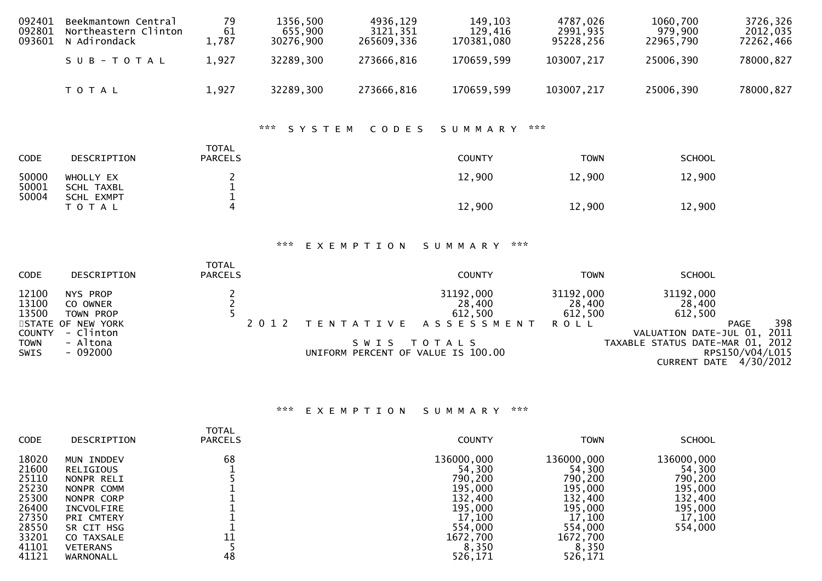| 092401<br>092801<br>093601                                                      | Beekmantown Central<br>Northeastern Clinton<br>N Adirondack                            | 79<br>61<br>1,787                          | 1356,500<br>655,900<br>30276,900 | 4936,129<br>3121,351<br>265609,336                              | 149,103<br>129,416<br>170381,080                                | 4787,026<br>2991,935<br>95228,256             | 1060,700<br>979,900<br>22965,790                                                                               | 3726,326<br>2012,035<br>72262,466                                  |
|---------------------------------------------------------------------------------|----------------------------------------------------------------------------------------|--------------------------------------------|----------------------------------|-----------------------------------------------------------------|-----------------------------------------------------------------|-----------------------------------------------|----------------------------------------------------------------------------------------------------------------|--------------------------------------------------------------------|
|                                                                                 | SUB-TOTAL                                                                              | 1,927                                      | 32289,300                        | 273666,816                                                      | 170659,599                                                      | 103007,217                                    | 25006,390                                                                                                      | 78000,827                                                          |
|                                                                                 | TOTAL                                                                                  | 1,927                                      | 32289,300                        | 273666,816                                                      | 170659,599                                                      | 103007,217                                    | 25006,390                                                                                                      | 78000,827                                                          |
|                                                                                 |                                                                                        |                                            | ***<br>SYSTEM                    | CODES                                                           | SUMMARY                                                         | ***                                           |                                                                                                                |                                                                    |
| CODE                                                                            | DESCRIPTION                                                                            | <b>TOTAL</b><br><b>PARCELS</b>             |                                  |                                                                 | <b>COUNTY</b>                                                   | <b>TOWN</b>                                   | <b>SCHOOL</b>                                                                                                  |                                                                    |
| 50000<br>50001<br>50004                                                         | WHOLLY EX<br><b>SCHL TAXBL</b><br><b>SCHL EXMPT</b>                                    | 2<br>1<br>1                                |                                  |                                                                 | 12,900                                                          | 12,900                                        | 12,900                                                                                                         |                                                                    |
|                                                                                 | T O T A L                                                                              | $\overline{4}$                             |                                  |                                                                 | 12,900                                                          | 12,900                                        | 12,900                                                                                                         |                                                                    |
|                                                                                 |                                                                                        |                                            | ***                              | EXEMPTION                                                       | ***<br>SUMMARY                                                  |                                               |                                                                                                                |                                                                    |
| CODE                                                                            | DESCRIPTION                                                                            | <b>TOTAL</b><br><b>PARCELS</b>             |                                  |                                                                 | <b>COUNTY</b>                                                   | <b>TOWN</b>                                   | <b>SCHOOL</b>                                                                                                  |                                                                    |
| 12100<br>13100<br>13500<br><b>STATE</b><br><b>COUNTY</b><br><b>TOWN</b><br>SWIS | NYS PROP<br>CO OWNER<br>TOWN PROP<br>OF NEW YORK<br>- Clinton<br>- Altona<br>$-092000$ | $\begin{array}{c} 2 \\ 2 \\ 5 \end{array}$ | 2 0 1 2                          | T E N T A T I V E<br>SWIS<br>UNIFORM PERCENT OF VALUE IS 100.00 | 31192,000<br>28,400<br>612,500<br>A S S E S S M E N T<br>TOTALS | 31192,000<br>28,400<br>612,500<br><b>ROLL</b> | 31192,000<br>28,400<br>612,500<br>VALUATION DATE-JUL 01,<br>TAXABLE STATUS DATE-MAR 01,<br><b>CURRENT DATE</b> | 398<br><b>PAGE</b><br>2011<br>2012<br>RPS150/V04/L015<br>4/30/2012 |

# \*\*\* E X E M P T I O N S U M M A R Y \*\*\*

| <b>CODE</b>                                                                            | DESCRIPTION                                                                                                                                         | TOTAL<br><b>PARCELS</b> | <b>COUNTY</b>                                                                                              | <b>TOWN</b>                                                                                                | <b>SCHOOL</b>                                                                         |
|----------------------------------------------------------------------------------------|-----------------------------------------------------------------------------------------------------------------------------------------------------|-------------------------|------------------------------------------------------------------------------------------------------------|------------------------------------------------------------------------------------------------------------|---------------------------------------------------------------------------------------|
| 18020<br>21600<br>25110<br>25230<br>25300<br>26400<br>27350<br>28550<br>33201<br>41101 | MUN INDDEV<br>RELIGIOUS<br>NONPR RELI<br>NONPR COMM<br>NONPR CORP<br>INCVOLFIRE<br><b>PRI CMTERY</b><br>SR CIT HSG<br>CO TAXSALE<br><b>VETERANS</b> | 68<br>11                | 136000,000<br>54,300<br>790,200<br>195,000<br>132,400<br>195,000<br>17,100<br>554,000<br>1672,700<br>8,350 | 136000,000<br>54,300<br>790,200<br>195,000<br>132,400<br>195,000<br>17,100<br>554,000<br>1672,700<br>8,350 | 136000,000<br>54,300<br>790,200<br>195,000<br>132,400<br>195,000<br>17,100<br>554,000 |
| 41121                                                                                  | WARNONALL                                                                                                                                           | 48                      | 526,171                                                                                                    | 526,171                                                                                                    |                                                                                       |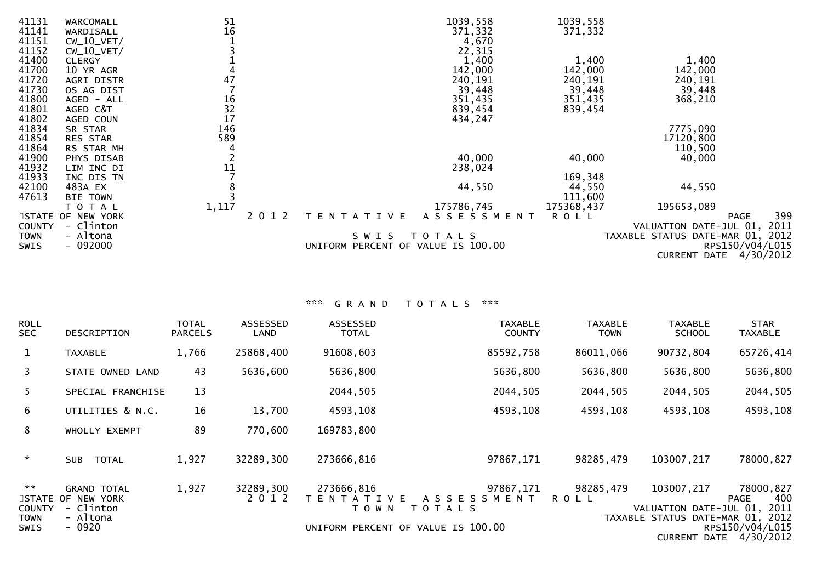| 41131<br>41141<br>41151 | WARCOMALL<br>WARDISALL<br>$CW_10_VET/$ | 51<br>16                                      |         |                                    | 1039,558<br>371,332<br>4,670 | 1039,558<br>371,332 |                                  |                        |
|-------------------------|----------------------------------------|-----------------------------------------------|---------|------------------------------------|------------------------------|---------------------|----------------------------------|------------------------|
| 41152                   | $CW_10_VET/$                           |                                               |         |                                    | 22,315                       |                     |                                  |                        |
| 41400                   | <b>CLERGY</b>                          |                                               |         |                                    | 1,400                        | 1,400               | 1,400                            |                        |
| 41700<br>41720          | 10 YR AGR                              | 47                                            |         |                                    | 142,000                      | 142,000             | 142,000                          |                        |
|                         | AGRI DISTR                             |                                               |         |                                    | 240,191                      | 240,191             | 240,191                          |                        |
| 41730                   | OS AG DIST                             |                                               |         |                                    | 39,448                       | 39,448              | 39,448                           |                        |
| 41800                   | AGED - ALL                             |                                               |         |                                    | 351,435                      | 351,435             | 368,210                          |                        |
| 41801                   | AGED C&T                               | $\begin{array}{c} 16 \\ 32 \\ 17 \end{array}$ |         |                                    | 839,454                      | 839,454             |                                  |                        |
| 41802                   | AGED COUN                              |                                               |         |                                    | 434,247                      |                     |                                  |                        |
| 41834                   | SR STAR                                | 146                                           |         |                                    |                              |                     | 7775,090                         |                        |
| 41854                   | RES STAR                               | 589                                           |         |                                    |                              |                     | 17120,800                        |                        |
| 41864                   | RS STAR MH                             |                                               |         |                                    |                              |                     | 110,500                          |                        |
| 41900                   | PHYS DISAB                             |                                               |         |                                    | 40,000                       | 40,000              | 40,000                           |                        |
| 41932                   | LIM INC DI                             | 11                                            |         |                                    | 238,024                      |                     |                                  |                        |
| 41933                   | INC DIS TN                             |                                               |         |                                    |                              | 169,348             |                                  |                        |
| 42100                   | 483A EX                                |                                               |         |                                    | 44,550                       | 44,550              | 44,550                           |                        |
| 47613                   | <b>BIE TOWN</b>                        |                                               |         |                                    |                              | 111,600             |                                  |                        |
|                         | TOTAL                                  | 1,117                                         |         |                                    | 175786,745                   | 175368,437          | 195653,089                       |                        |
|                         | STATE OF NEW YORK                      |                                               | 2 0 1 2 | TENTATIVE                          | ASSESSMENT                   | <b>ROLL</b>         |                                  | 399<br>PAGE            |
| <b>COUNTY</b>           | - Clinton                              |                                               |         |                                    |                              |                     | VALUATION DATE-JUL 01,           | 2011                   |
| <b>TOWN</b>             | - Altona                               |                                               |         | S W I S                            | T O T A L S                  |                     | TAXABLE STATUS DATE-MAR 01, 2012 |                        |
| <b>SWIS</b>             | $-092000$                              |                                               |         | UNIFORM PERCENT OF VALUE IS 100.00 |                              |                     |                                  | RPS150/V04/L015        |
|                         |                                        |                                               |         |                                    |                              |                     |                                  | CURRENT DATE 4/30/2012 |
|                         |                                        |                                               |         |                                    |                              |                     |                                  |                        |

# \*\*\* G R A N D T O T A L S \*\*\*

| <b>ROLL</b><br><b>SEC</b>     | DESCRIPTION                                          | <b>TOTAL</b><br><b>PARCELS</b> | ASSESSED<br>LAND     | <b>ASSESSED</b><br><b>TOTAL</b>            | <b>TAXABLE</b><br><b>COUNTY</b>                   | <b>TAXABLE</b><br>TOWN | <b>TAXABLE</b><br><b>SCHOOL</b>      | <b>STAR</b><br><b>TAXABLE</b>             |
|-------------------------------|------------------------------------------------------|--------------------------------|----------------------|--------------------------------------------|---------------------------------------------------|------------------------|--------------------------------------|-------------------------------------------|
| $\mathbf{1}$                  | <b>TAXABLE</b>                                       | 1,766                          | 25868,400            | 91608,603                                  | 85592,758                                         | 86011,066              | 90732,804                            | 65726,414                                 |
| 3                             | STATE OWNED LAND                                     | 43                             | 5636,600             | 5636,800                                   | 5636,800                                          | 5636,800               | 5636,800                             | 5636,800                                  |
| 5.                            | SPECIAL FRANCHISE                                    | 13                             |                      | 2044,505                                   | 2044,505                                          | 2044,505               | 2044,505                             | 2044,505                                  |
| 6                             | UTILITIES & N.C.                                     | 16                             | 13,700               | 4593,108                                   | 4593,108                                          | 4593,108               | 4593,108                             | 4593,108                                  |
| 8                             | WHOLLY EXEMPT                                        | 89                             | 770,600              | 169783,800                                 |                                                   |                        |                                      |                                           |
| $\mathcal{H}$                 | <b>TOTAL</b><br><b>SUB</b>                           | 1,927                          | 32289,300            | 273666,816                                 | 97867,171                                         | 98285,479              | 103007,217                           | 78000,827                                 |
| $\mathbf{x}$<br><b>COUNTY</b> | <b>GRAND TOTAL</b><br>STATE OF NEW YORK<br>- Clinton | 1,927                          | 32289,300<br>2 0 1 2 | 273666,816<br>T E N T A T I V E<br>T O W N | 97867,171<br>A S S E S S M E N T<br><b>TOTALS</b> | 98285,479<br>R O L L   | 103007,217<br>VALUATION DATE-JUL 01, | 78000,827<br>400<br>PAGE<br>2011          |
| <b>TOWN</b><br>SWIS           | - Altona<br>$-0920$                                  |                                |                      |                                            | UNIFORM PERCENT OF VALUE IS 100.00                |                        | TAXABLE STATUS DATE-MAR 01, 2012     | RPS150/V04/L015<br>CURRENT DATE 4/30/2012 |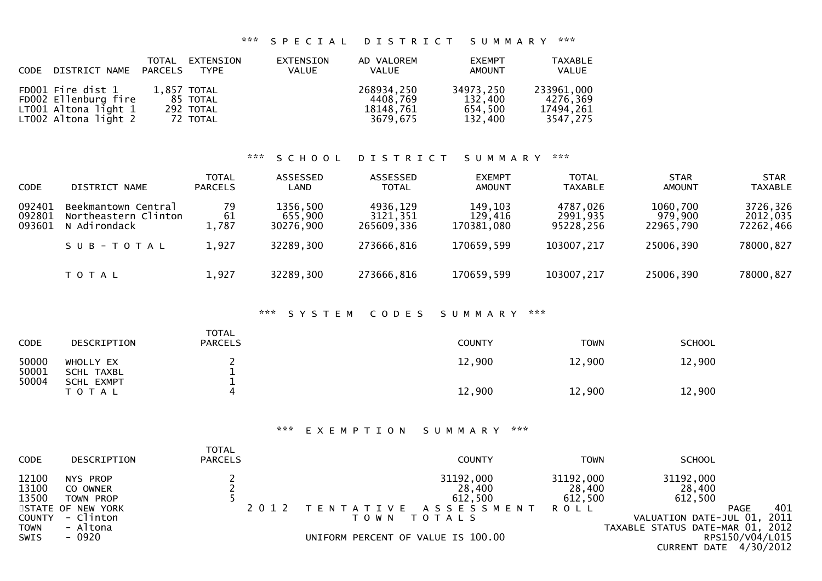# \*\*\* S P E C I A L D I S T R I C T S U M M A R Y \*\*\*

| CODE DISTRICT NAME PARCELS                                                                | TOTAL | EXTENSION<br><b>TYPE</b>                         | EXTENSION<br>VALUE | AD VALOREM<br><b>VALUE</b>                      | <b>EXEMPT</b><br>AMOUNT                    | <b>TAXABLE</b><br>VALUE                         |
|-------------------------------------------------------------------------------------------|-------|--------------------------------------------------|--------------------|-------------------------------------------------|--------------------------------------------|-------------------------------------------------|
| FD001 Fire dist 1<br>FD002 Ellenburg fire<br>LT001 Altona light 1<br>LT002 Altona light 2 |       | 1.857 TOTAL<br>85 TOTAL<br>292 TOTAL<br>72 TOTAL |                    | 268934,250<br>4408.769<br>18148,761<br>3679.675 | 34973.250<br>132.400<br>654.500<br>132,400 | 233961,000<br>4276,369<br>17494,261<br>3547,275 |

#### \*\*\* S C H O O L D I S T R I C T S U M M A R Y \*\*\*

| <b>CODE</b>                | DISTRICT NAME                                               | <b>TOTAL</b><br><b>PARCELS</b> | ASSESSED<br><b>LAND</b>          | ASSESSED<br><b>TOTAL</b>           | <b>EXEMPT</b><br><b>AMOUNT</b>   | <b>TOTAL</b><br><b>TAXABLE</b>    | <b>STAR</b><br><b>AMOUNT</b>     | <b>STAR</b><br><b>TAXABLE</b>     |
|----------------------------|-------------------------------------------------------------|--------------------------------|----------------------------------|------------------------------------|----------------------------------|-----------------------------------|----------------------------------|-----------------------------------|
| 092401<br>092801<br>093601 | Beekmantown Central<br>Northeastern Clinton<br>N Adirondack | 79<br>61<br>1,787              | 1356,500<br>655,900<br>30276.900 | 4936,129<br>3121,351<br>265609.336 | 149,103<br>129,416<br>170381,080 | 4787,026<br>2991,935<br>95228.256 | 1060,700<br>979,900<br>22965,790 | 3726,326<br>2012,035<br>72262,466 |
|                            | SUB-TOTAL                                                   | 1,927                          | 32289,300                        | 273666,816                         | 170659,599                       | 103007,217                        | 25006,390                        | 78000,827                         |
|                            | T O T A L                                                   | 1,927                          | 32289,300                        | 273666,816                         | 170659,599                       | 103007,217                        | 25006,390                        | 78000,827                         |

# \*\*\* S Y S T E M C O D E S S U M M A R Y \*\*\*

| <b>CODE</b>    | DESCRIPTION                    | <b>TOTAL</b><br><b>PARCELS</b> | <b>COUNTY</b> | <b>TOWN</b> | <b>SCHOOL</b> |
|----------------|--------------------------------|--------------------------------|---------------|-------------|---------------|
| 50000<br>50001 | WHOLLY EX<br>SCHL TAXBL        |                                | 12,900        | 12,900      | 12,900        |
| 50004          | <b>SCHL EXMPT</b><br>T O T A L |                                | 12,900        | 12,900      | 12,900        |

#### \*\*\* E X E M P T I O N S U M M A R Y \*\*\*

| <b>CODE</b>    | DESCRIPTION          | TOTAL<br><b>PARCELS</b> | <b>COUNTY</b>                      | TOWN                | <b>SCHOOL</b>                    |                 |
|----------------|----------------------|-------------------------|------------------------------------|---------------------|----------------------------------|-----------------|
| 12100<br>13100 | NYS PROP<br>CO OWNER |                         | 31192,000<br>28,400                | 31192,000<br>28,400 | 31192,000<br>28,400              |                 |
| 13500          | TOWN PROP            |                         | 612,500                            | 612,500             | 612,500                          |                 |
|                | STATE OF NEW YORK    |                         | TENTATIVE ASSESSMENT ROLL          |                     |                                  | 401<br>PAGE     |
| <b>COUNTY</b>  | - Clinton            |                         | T O T A L S<br>T O W N             |                     | VALUATION DATE-JUL 01, 2011      |                 |
| <b>TOWN</b>    | - Altona             |                         |                                    |                     | TAXABLE STATUS DATE-MAR 01, 2012 |                 |
| SWIS           | - 0920               |                         | UNIFORM PERCENT OF VALUE IS 100.00 |                     |                                  | RPS150/V04/L015 |
|                |                      |                         |                                    |                     | CURRENT DATE 4/30/2012           |                 |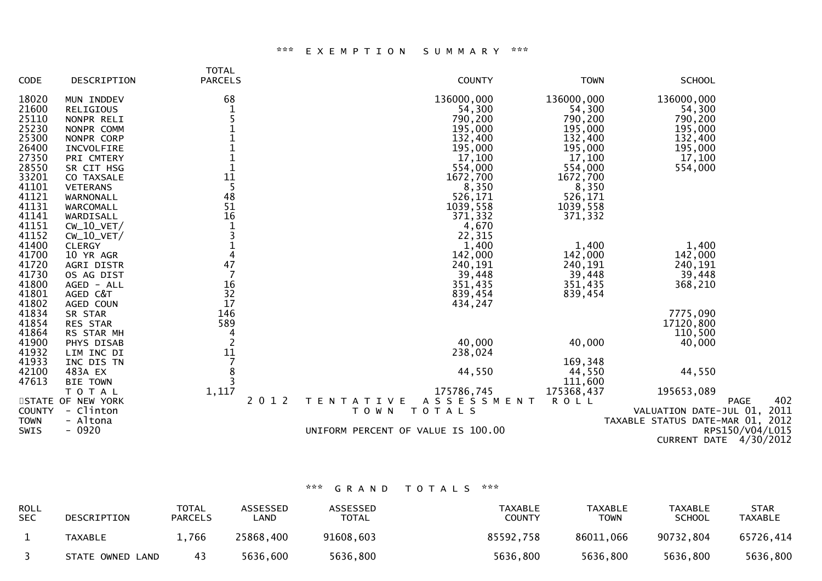#### \*\*\* E X E M P T I O N S U M M A R Y \*\*\*

| <b>CODE</b>   | DESCRIPTION       | <b>TOTAL</b><br><b>PARCELS</b> |         | <b>COUNTY</b>                      | <b>TOWN</b> | <b>SCHOOL</b>                    |
|---------------|-------------------|--------------------------------|---------|------------------------------------|-------------|----------------------------------|
| 18020         | MUN INDDEV        | 68                             |         | 136000,000                         | 136000,000  | 136000,000                       |
| 21600         | RELIGIOUS         |                                |         | 54,300                             | 54,300      | 54,300                           |
| 25110         | NONPR RELI        |                                |         | 790,200                            | 790,200     | 790,200                          |
| 25230         | NONPR COMM        |                                |         | 195,000                            | 195,000     | 195,000                          |
| 25300         | NONPR CORP        |                                |         | 132,400                            | 132,400     | 132,400                          |
| 26400         | INCVOLFIRE        |                                |         | 195,000                            | 195,000     | 195,000                          |
| 27350         | PRI CMTERY        |                                |         | 17,100                             | 17,100      | 17,100                           |
| 28550         | SR CIT HSG        |                                |         | 554,000                            | 554,000     | 554,000                          |
| 33201         | CO TAXSALE        | 11                             |         | 1672,700                           | 1672,700    |                                  |
| 41101         | <b>VETERANS</b>   | 5                              |         | 8,350                              | 8,350       |                                  |
| 41121         | WARNONALL         | 48                             |         | 526,171                            | 526,171     |                                  |
| 41131         | WARCOMALL         | 51                             |         | 1039,558                           | 1039,558    |                                  |
| 41141         | WARDISALL         | 16                             |         | 371,332                            | 371,332     |                                  |
| 41151         | $CW_10_VET/$      |                                |         | 4,670                              |             |                                  |
| 41152         | $CW_10_VET/$      |                                |         | 22,315                             |             |                                  |
| 41400         | <b>CLERGY</b>     | $\frac{1}{4}$                  |         | 1,400                              | 1,400       | 1,400                            |
| 41700         | 10 YR AGR         |                                |         | 142,000                            | 142,000     | 142,000                          |
| 41720         | AGRI DISTR        | 47                             |         | 240,191                            | 240,191     | 240,191                          |
| 41730         | OS AG DIST        |                                |         | 39,448                             | 39,448      | 39,448                           |
| 41800         | AGED - ALL        | 16                             |         | 351,435                            | 351,435     | 368,210                          |
| 41801         | AGED C&T          | 32                             |         | 839,454                            | 839,454     |                                  |
| 41802         | AGED COUN         | 17                             |         | 434,247                            |             |                                  |
| 41834         | SR STAR           | 146                            |         |                                    |             | 7775,090                         |
| 41854         | RES STAR          | 589                            |         |                                    |             | 17120,800                        |
| 41864         | RS STAR MH        | 4                              |         |                                    |             | 110,500                          |
| 41900         | PHYS DISAB        |                                |         | 40,000                             | 40,000      | 40,000                           |
| 41932         | LIM INC DI        | $\frac{11}{7}$                 |         | 238,024                            |             |                                  |
| 41933         | INC DIS TN        |                                |         |                                    | 169,348     |                                  |
| 42100         | 483A EX           | 8                              |         | 44,550                             | 44,550      | 44,550                           |
| 47613         | <b>BIE TOWN</b>   |                                |         |                                    | 111,600     |                                  |
|               | T O T A L         | 1,117                          |         | 175786,745                         | 175368,437  | 195653,089                       |
|               | STATE OF NEW YORK |                                | 2 0 1 2 | ASSESSMENT<br>TENTATIVE            | <b>ROLL</b> | 402<br><b>PAGE</b>               |
| <b>COUNTY</b> | - Clinton         |                                |         | <b>TOTALS</b><br>T O W N           |             | VALUATION DATE-JUL 01, 2011      |
| <b>TOWN</b>   | - Altona          |                                |         |                                    |             | TAXABLE STATUS DATE-MAR 01, 2012 |
| SWIS          | $-0920$           |                                |         | UNIFORM PERCENT OF VALUE IS 100.00 |             | RPS150/V04/L015                  |
|               |                   |                                |         |                                    |             | CURRENT DATE 4/30/2012           |

# \*\*\* G R A N D T O T A L S \*\*\*

| <b>ROLL</b><br><b>SEC</b> | DESCRIPTION      | TOTAL<br><b>PARCELS</b> | <b>ASSESSED</b><br>_AND | <b>ASSESSED</b><br><b>TOTAL</b> | TAXABLE<br><b>COUNTY</b> | TAXABLE<br><b>TOWN</b> | TAXABLE<br><b>SCHOOL</b> | <b>STAR</b><br>TAXABLE |
|---------------------------|------------------|-------------------------|-------------------------|---------------------------------|--------------------------|------------------------|--------------------------|------------------------|
|                           | TAXABLE          | 1,766                   | 25868,400               | 91608,603                       | 85592,758                | 86011,066              | 90732,804                | 65726.414              |
|                           | STATE OWNED LAND | 43                      | 5636,600                | 5636,800                        | 5636,800                 | 5636,800               | 5636,800                 | 5636,800               |